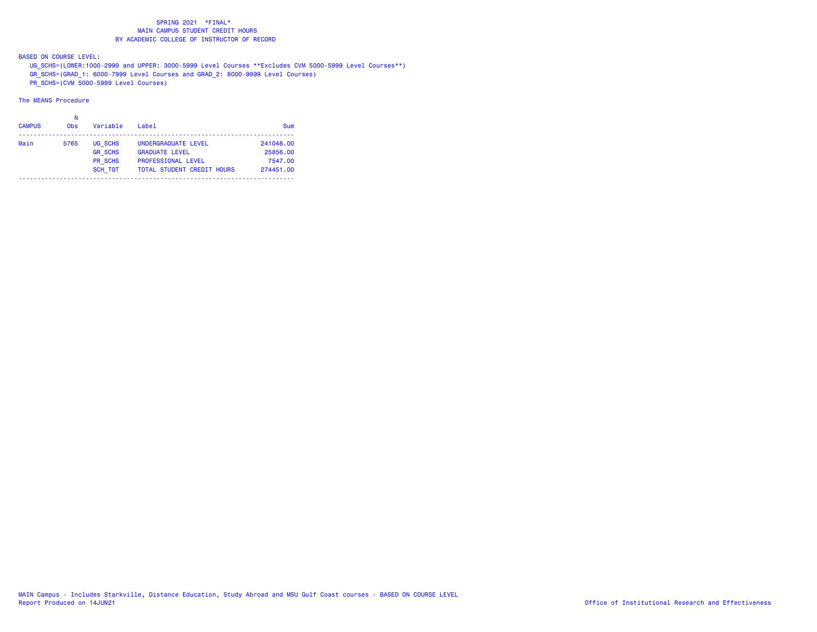BASED ON COURSE LEVEL:

UG\_SCHS=(LOWER:1000-2999 and UPPER: 3000-5999 Level Courses \*\*Excludes CVM 5000-5999 Level Courses\*\*)

GR\_SCHS=(GRAD\_1: 6000-7999 Level Courses and GRAD\_2: 8000-9999 Level Courses)

PR\_SCHS=(CVM 5000-5999 Level Courses)

| <b>CAMPUS</b> | <b>Obs</b> | Variable       | $I$ ahe $I$                       | Sum       |
|---------------|------------|----------------|-----------------------------------|-----------|
| Main          | 5765       | UG SCHS        | UNDERGRADUATE LEVEL               | 241048.00 |
|               |            | <b>GR SCHS</b> | <b>GRADUATE LEVEL</b>             | 25856.00  |
|               |            | PR SCHS        | <b>PROFESSIONAL LEVEL</b>         | 7547.00   |
|               |            | <b>SCH TOT</b> | <b>TOTAL STUDENT CREDIT HOURS</b> | 274451.00 |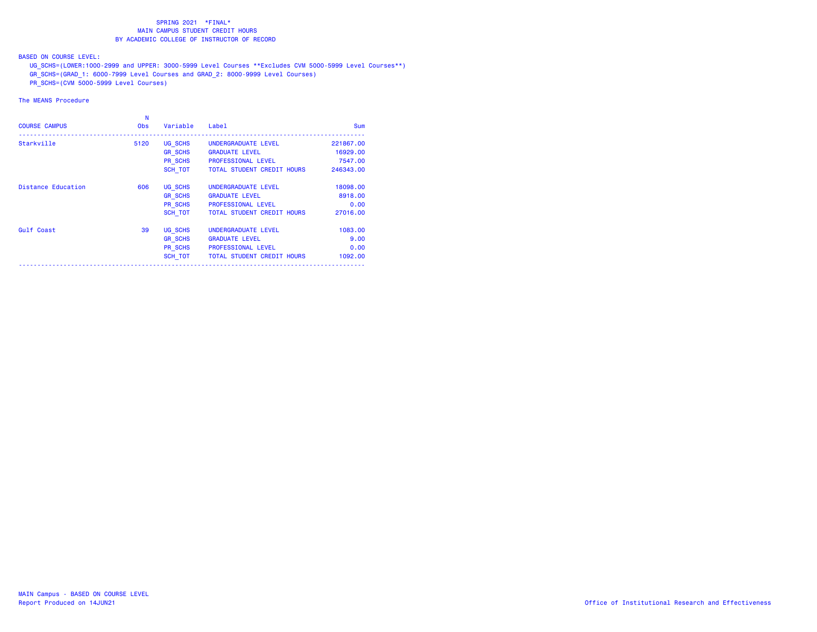BASED ON COURSE LEVEL:

UG\_SCHS=(LOWER:1000-2999 and UPPER: 3000-5999 Level Courses \*\*Excludes CVM 5000-5999 Level Courses\*\*)

GR\_SCHS=(GRAD\_1: 6000-7999 Level Courses and GRAD\_2: 8000-9999 Level Courses)

PR\_SCHS=(CVM 5000-5999 Level Courses)

| <b>COURSE CAMPUS</b>      | N<br><b>Obs</b> | Variable       | Label                              | <b>Sum</b> |
|---------------------------|-----------------|----------------|------------------------------------|------------|
| Starkville                | 5120            | UG SCHS        | UNDERGRADUATE LEVEL                | 221867.00  |
|                           |                 | <b>GR SCHS</b> | <b>GRADUATE LEVEL</b>              | 16929,00   |
|                           |                 | PR SCHS        | <b>PROFESSIONAL LEVEL</b>          | 7547.00    |
|                           |                 | SCH TOT        | TOTAL STUDENT CREDIT HOURS         | 246343.00  |
| <b>Distance Education</b> | 606             | UG SCHS        | UNDERGRADUATE LEVEL                | 18098.00   |
|                           |                 | <b>GR SCHS</b> | <b>GRADUATE LEVEL</b>              | 8918,00    |
|                           |                 | PR SCHS        | <b>PROFESSIONAL LEVEL</b>          | 0.00       |
|                           |                 | SCH TOT        | <b>TOTAL STUDENT CREDIT HOURS</b>  | 27016.00   |
| Gulf Coast                | 39              | UG SCHS        | UNDERGRADUATE LEVEL                | 1083.00    |
|                           |                 | <b>GR SCHS</b> | <b>GRADUATE LEVEL</b>              | 9.00       |
|                           |                 | PR SCHS        | <b>PROFESSIONAL LEVEL</b>          | 0.00       |
|                           |                 |                | SCH TOT TOTAL STUDENT CREDIT HOURS | 1092.00    |
|                           |                 |                |                                    |            |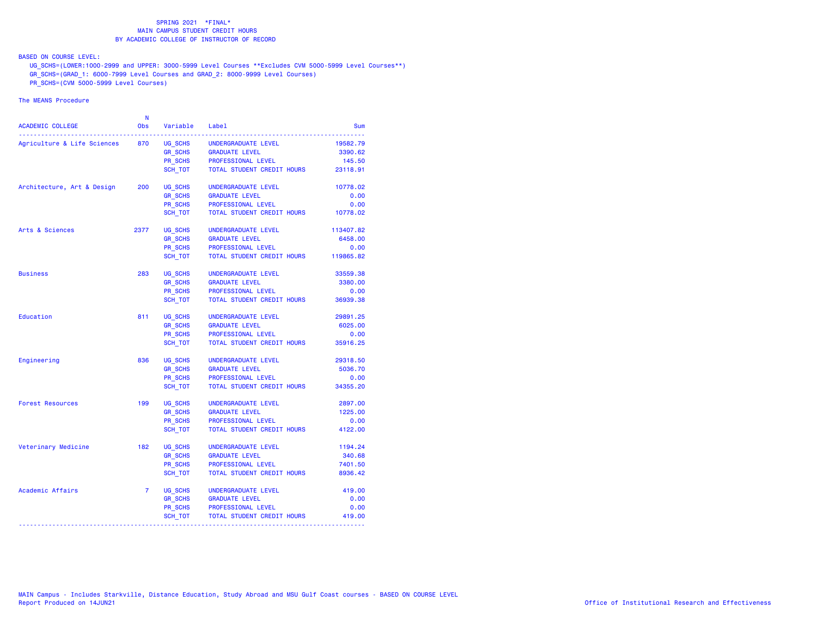BASED ON COURSE LEVEL:

UG\_SCHS=(LOWER:1000-2999 and UPPER: 3000-5999 Level Courses \*\*Excludes CVM 5000-5999 Level Courses\*\*)

GR\_SCHS=(GRAD\_1: 6000-7999 Level Courses and GRAD\_2: 8000-9999 Level Courses)

PR\_SCHS=(CVM 5000-5999 Level Courses)

|                             | N              |                |                            |           |
|-----------------------------|----------------|----------------|----------------------------|-----------|
| ACADEMIC COLLEGE            | <b>Obs</b>     | Variable       | Label                      | Sum       |
| Agriculture & Life Sciences | 870            | UG SCHS        | UNDERGRADUATE LEVEL        | 19582.79  |
|                             |                | <b>GR SCHS</b> | <b>GRADUATE LEVEL</b>      | 3390.62   |
|                             |                | PR_SCHS        | PROFESSIONAL LEVEL         | 145.50    |
|                             |                | SCH TOT        | TOTAL STUDENT CREDIT HOURS | 23118.91  |
| Architecture, Art & Design  | 200            | UG SCHS        | UNDERGRADUATE LEVEL        | 10778.02  |
|                             |                | <b>GR SCHS</b> | <b>GRADUATE LEVEL</b>      | 0.00      |
|                             |                | PR SCHS        | PROFESSIONAL LEVEL         | 0.00      |
|                             |                | SCH_TOT        | TOTAL STUDENT CREDIT HOURS | 10778.02  |
| Arts & Sciences             | 2377           | UG SCHS        | UNDERGRADUATE LEVEL        | 113407.82 |
|                             |                | <b>GR_SCHS</b> | <b>GRADUATE LEVEL</b>      | 6458.00   |
|                             |                | <b>PR SCHS</b> | PROFESSIONAL LEVEL         | 0.00      |
|                             |                | SCH_TOT        | TOTAL STUDENT CREDIT HOURS | 119865.82 |
| <b>Business</b>             | 283            | UG SCHS        | UNDERGRADUATE LEVEL        | 33559.38  |
|                             |                | <b>GR_SCHS</b> | <b>GRADUATE LEVEL</b>      | 3380.00   |
|                             |                | <b>PR SCHS</b> | PROFESSIONAL LEVEL         | 0.00      |
|                             |                | SCH_TOT        | TOTAL STUDENT CREDIT HOURS | 36939.38  |
| Education                   | 811            | UG SCHS        | UNDERGRADUATE LEVEL        | 29891.25  |
|                             |                | <b>GR SCHS</b> | <b>GRADUATE LEVEL</b>      | 6025.00   |
|                             |                | PR_SCHS        | PROFESSIONAL LEVEL         | 0.00      |
|                             |                | SCH TOT        | TOTAL STUDENT CREDIT HOURS | 35916.25  |
| Engineering                 | 836            | UG SCHS        | UNDERGRADUATE LEVEL        | 29318.50  |
|                             |                | <b>GR_SCHS</b> | <b>GRADUATE LEVEL</b>      | 5036.70   |
|                             |                | PR_SCHS        | PROFESSIONAL LEVEL         | 0.00      |
|                             |                | SCH_TOT        | TOTAL STUDENT CREDIT HOURS | 34355.20  |
| <b>Forest Resources</b>     | 199            | UG SCHS        | UNDERGRADUATE LEVEL        | 2897.00   |
|                             |                | <b>GR SCHS</b> | <b>GRADUATE LEVEL</b>      | 1225.00   |
|                             |                | PR SCHS        | PROFESSIONAL LEVEL         | 0.00      |
|                             |                | SCH_TOT        | TOTAL STUDENT CREDIT HOURS | 4122.00   |
| Veterinary Medicine         | 182            | UG SCHS        | UNDERGRADUATE LEVEL        | 1194.24   |
|                             |                | <b>GR SCHS</b> | <b>GRADUATE LEVEL</b>      | 340.68    |
|                             |                | <b>PR SCHS</b> | PROFESSIONAL LEVEL         | 7401.50   |
|                             |                | SCH TOT        | TOTAL STUDENT CREDIT HOURS | 8936.42   |
| Academic Affairs            | $\overline{7}$ | UG_SCHS        | UNDERGRADUATE LEVEL        | 419.00    |
|                             |                | <b>GR_SCHS</b> | <b>GRADUATE LEVEL</b>      | 0.00      |
|                             |                | PR_SCHS        | PROFESSIONAL LEVEL         | 0.00      |
|                             |                | SCH_TOT        | TOTAL STUDENT CREDIT HOURS | 419.00    |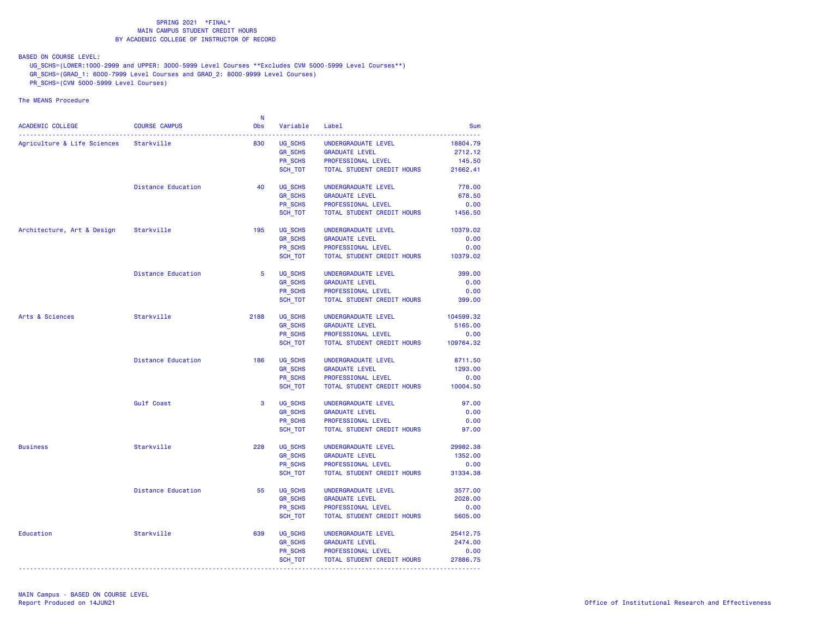BASED ON COURSE LEVEL:

UG\_SCHS=(LOWER:1000-2999 and UPPER: 3000-5999 Level Courses \*\*Excludes CVM 5000-5999 Level Courses\*\*)

- GR\_SCHS=(GRAD\_1: 6000-7999 Level Courses and GRAD\_2: 8000-9999 Level Courses)
- PR\_SCHS=(CVM 5000-5999 Level Courses)

|                                        |                           | -N   |                    |                                      |            |
|----------------------------------------|---------------------------|------|--------------------|--------------------------------------|------------|
| ACADEMIC COLLEGE                       | <b>COURSE CAMPUS</b>      | Obs  | Variable           | Label                                | <b>Sum</b> |
| Agriculture & Life Sciences Starkville |                           | 830  | UG_SCHS            | UNDERGRADUATE LEVEL                  | 18804.79   |
|                                        |                           |      | GR_SCHS            | <b>GRADUATE LEVEL</b>                | 2712.12    |
|                                        |                           |      |                    | PROFESSIONAL LEVEL                   | 145.50     |
|                                        |                           |      | PR_SCHS<br>SCH_TOT | TOTAL STUDENT CREDIT HOURS           | 21662.41   |
|                                        |                           |      |                    |                                      |            |
|                                        | <b>Distance Education</b> | 40   | UG SCHS            | UNDERGRADUATE LEVEL                  | 778.00     |
|                                        |                           |      | <b>GR SCHS</b>     | <b>GRADUATE LEVEL</b>                | 678.50     |
|                                        |                           |      | PR SCHS            | PROFESSIONAL LEVEL                   | 0.00       |
|                                        |                           |      | SCH TOT            | TOTAL STUDENT CREDIT HOURS           | 1456.50    |
| Architecture, Art & Design Starkville  |                           | 195  | UG_SCHS            | UNDERGRADUATE LEVEL                  | 10379.02   |
|                                        |                           |      | <b>GR SCHS</b>     | <b>GRADUATE LEVEL</b>                | 0.00       |
|                                        |                           |      | PR SCHS            | PROFESSIONAL LEVEL                   | 0.00       |
|                                        |                           |      | SCH_TOT            | TOTAL STUDENT CREDIT HOURS           | 10379.02   |
|                                        |                           |      |                    |                                      |            |
|                                        | <b>Distance Education</b> | 5    | UG SCHS            | UNDERGRADUATE LEVEL                  | 399.00     |
|                                        |                           |      | <b>GR_SCHS</b>     | <b>GRADUATE LEVEL</b>                | 0.00       |
|                                        |                           |      | <b>PR SCHS</b>     | PROFESSIONAL LEVEL                   | 0.00       |
|                                        |                           |      | SCH_TOT            | TOTAL STUDENT CREDIT HOURS           | 399.00     |
|                                        |                           |      |                    |                                      |            |
| Arts & Sciences                        | Starkville                | 2188 | UG SCHS            | UNDERGRADUATE LEVEL                  | 104599.32  |
|                                        |                           |      | <b>GR_SCHS</b>     | <b>GRADUATE LEVEL</b>                | 5165.00    |
|                                        |                           |      | PR SCHS            | PROFESSIONAL LEVEL                   | 0.00       |
|                                        |                           |      | SCH TOT            | TOTAL STUDENT CREDIT HOURS 109764.32 |            |
|                                        | Distance Education        | 186  | UG SCHS            | UNDERGRADUATE LEVEL                  | 8711.50    |
|                                        |                           |      | <b>GR_SCHS</b>     | <b>GRADUATE LEVEL</b>                | 1293.00    |
|                                        |                           |      | PR SCHS            | PROFESSIONAL LEVEL                   | 0.00       |
|                                        |                           |      | SCH_TOT            | TOTAL STUDENT CREDIT HOURS           | 10004.50   |
|                                        |                           |      |                    |                                      |            |
|                                        | Gulf Coast                | 3    | UG SCHS            | UNDERGRADUATE LEVEL                  | 97.00      |
|                                        |                           |      | <b>GR_SCHS</b>     | <b>GRADUATE LEVEL</b>                | 0.00       |
|                                        |                           |      | PR SCHS            | PROFESSIONAL LEVEL                   | 0.00       |
|                                        |                           |      | SCH_TOT            | TOTAL STUDENT CREDIT HOURS           | 97.00      |
| <b>Business</b>                        | Starkville                | 228  | UG SCHS            | UNDERGRADUATE LEVEL                  | 29982.38   |
|                                        |                           |      | <b>GR SCHS</b>     | <b>GRADUATE LEVEL</b>                | 1352.00    |
|                                        |                           |      | PR_SCHS            | PROFESSIONAL LEVEL                   | 0.00       |
|                                        |                           |      | SCH TOT            | TOTAL STUDENT CREDIT HOURS           | 31334.38   |
|                                        |                           |      |                    |                                      |            |
|                                        | Distance Education        | 55   | UG_SCHS            | UNDERGRADUATE LEVEL                  | 3577.00    |
|                                        |                           |      | <b>GR_SCHS</b>     | <b>GRADUATE LEVEL</b>                | 2028.00    |
|                                        |                           |      | PR SCHS            | PROFESSIONAL LEVEL                   | 0.00       |
|                                        |                           |      | SCH_TOT            | TOTAL STUDENT CREDIT HOURS           | 5605.00    |
| Education                              | Starkville                | 639  | UG SCHS            | UNDERGRADUATE LEVEL                  | 25412.75   |
|                                        |                           |      | <b>GR_SCHS</b>     | <b>GRADUATE LEVEL</b>                | 2474.00    |
|                                        |                           |      | PR SCHS            | PROFESSIONAL LEVEL                   | 0.00       |
|                                        |                           |      | SCH_TOT            | TOTAL STUDENT CREDIT HOURS           | 27886.75   |
|                                        |                           |      |                    |                                      |            |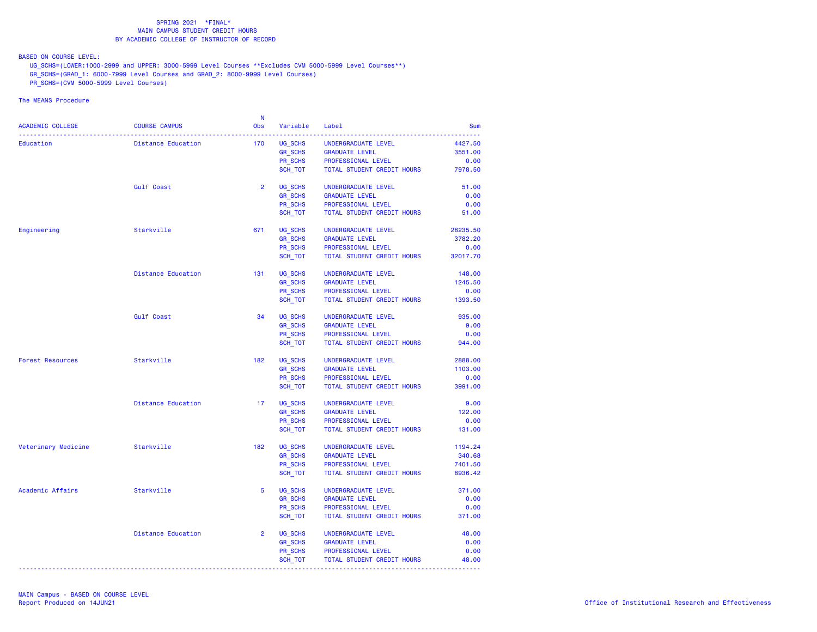BASED ON COURSE LEVEL:

UG\_SCHS=(LOWER:1000-2999 and UPPER: 3000-5999 Level Courses \*\*Excludes CVM 5000-5999 Level Courses\*\*)

- GR\_SCHS=(GRAD\_1: 6000-7999 Level Courses and GRAD\_2: 8000-9999 Level Courses)
- PR\_SCHS=(CVM 5000-5999 Level Courses)

|                         |                           | <b>N</b>        |                           |                            |              |
|-------------------------|---------------------------|-----------------|---------------------------|----------------------------|--------------|
| ACADEMIC COLLEGE        | <b>COURSE CAMPUS</b>      | Obs             | Variable                  | Label                      | <b>Sum</b>   |
| Education               | Distance Education        | 170             | UG SCHS                   | UNDERGRADUATE LEVEL        | 4427.50      |
|                         |                           |                 | <b>GR SCHS</b>            | <b>GRADUATE LEVEL</b>      | 3551.00      |
|                         |                           |                 | PR SCHS                   | PROFESSIONAL LEVEL         | 0.00         |
|                         |                           |                 | SCH TOT                   | TOTAL STUDENT CREDIT HOURS | 7978.50      |
|                         |                           |                 |                           |                            |              |
|                         | <b>Gulf Coast</b>         | $\overline{2}$  | UG SCHS                   | UNDERGRADUATE LEVEL        | 51.00        |
|                         |                           |                 | <b>GR_SCHS</b>            | <b>GRADUATE LEVEL</b>      | 0.00         |
|                         |                           |                 | PR SCHS                   | PROFESSIONAL LEVEL         | 0.00         |
|                         |                           |                 | SCH_TOT                   | TOTAL STUDENT CREDIT HOURS | 51.00        |
| Engineering             | Starkville                | 671             | UG_SCHS                   | UNDERGRADUATE LEVEL        | 28235.50     |
|                         |                           |                 | <b>GR SCHS</b>            | <b>GRADUATE LEVEL</b>      | 3782.20      |
|                         |                           |                 | PR_SCHS                   | PROFESSIONAL LEVEL         | 0.00         |
|                         |                           |                 | SCH_TOT                   | TOTAL STUDENT CREDIT HOURS | 32017.70     |
|                         |                           |                 |                           |                            |              |
|                         | Distance Education        | 131             | UG SCHS                   | UNDERGRADUATE LEVEL        | 148.00       |
|                         |                           |                 | <b>GR_SCHS</b>            | <b>GRADUATE LEVEL</b>      | 1245.50      |
|                         |                           |                 | PR SCHS                   | PROFESSIONAL LEVEL         | 0.00         |
|                         |                           |                 | SCH_TOT                   | TOTAL STUDENT CREDIT HOURS | 1393.50      |
|                         |                           | 34              |                           |                            |              |
|                         | Gulf Coast                |                 | UG SCHS                   | UNDERGRADUATE LEVEL        | 935.00       |
|                         |                           |                 | <b>GR SCHS</b><br>PR SCHS | <b>GRADUATE LEVEL</b>      | 9.00<br>0.00 |
|                         |                           |                 |                           | PROFESSIONAL LEVEL         | 944.00       |
|                         |                           |                 | SCH_TOT                   | TOTAL STUDENT CREDIT HOURS |              |
| <b>Forest Resources</b> | Starkville                | 182             | UG SCHS                   | UNDERGRADUATE LEVEL        | 2888.00      |
|                         |                           |                 | <b>GR_SCHS</b>            | <b>GRADUATE LEVEL</b>      | 1103.00      |
|                         |                           |                 | PR SCHS                   | PROFESSIONAL LEVEL         | 0.00         |
|                         |                           |                 | SCH_TOT                   | TOTAL STUDENT CREDIT HOURS | 3991.00      |
|                         | <b>Distance Education</b> | 17 <sub>1</sub> | UG SCHS                   | UNDERGRADUATE LEVEL        | 9.00         |
|                         |                           |                 | <b>GR_SCHS</b>            | <b>GRADUATE LEVEL</b>      | 122.00       |
|                         |                           |                 | PR SCHS                   | PROFESSIONAL LEVEL         | 0.00         |
|                         |                           |                 | SCH TOT                   | TOTAL STUDENT CREDIT HOURS | 131.00       |
|                         |                           |                 |                           |                            |              |
| Veterinary Medicine     | Starkville                | 182             | UG SCHS                   | UNDERGRADUATE LEVEL        | 1194.24      |
|                         |                           |                 | <b>GR SCHS</b>            | <b>GRADUATE LEVEL</b>      | 340.68       |
|                         |                           |                 | PR SCHS                   | PROFESSIONAL LEVEL         | 7401.50      |
|                         |                           |                 | SCH_TOT                   | TOTAL STUDENT CREDIT HOURS | 8936.42      |
| Academic Affairs        | Starkville                | 5               | UG SCHS                   | UNDERGRADUATE LEVEL        | 371.00       |
|                         |                           |                 | <b>GR SCHS</b>            | <b>GRADUATE LEVEL</b>      | 0.00         |
|                         |                           |                 | PR_SCHS                   | PROFESSIONAL LEVEL         | 0.00         |
|                         |                           |                 | SCH TOT                   | TOTAL STUDENT CREDIT HOURS | 371.00       |
|                         |                           |                 |                           |                            |              |
|                         | <b>Distance Education</b> | $\overline{2}$  | UG SCHS                   | UNDERGRADUATE LEVEL        | 48.00        |
|                         |                           |                 | <b>GR_SCHS</b>            | <b>GRADUATE LEVEL</b>      | 0.00         |
|                         |                           |                 | PR SCHS                   | PROFESSIONAL LEVEL         | 0.00         |
|                         |                           |                 | SCH_TOT                   | TOTAL STUDENT CREDIT HOURS | 48.00        |
|                         |                           |                 |                           |                            |              |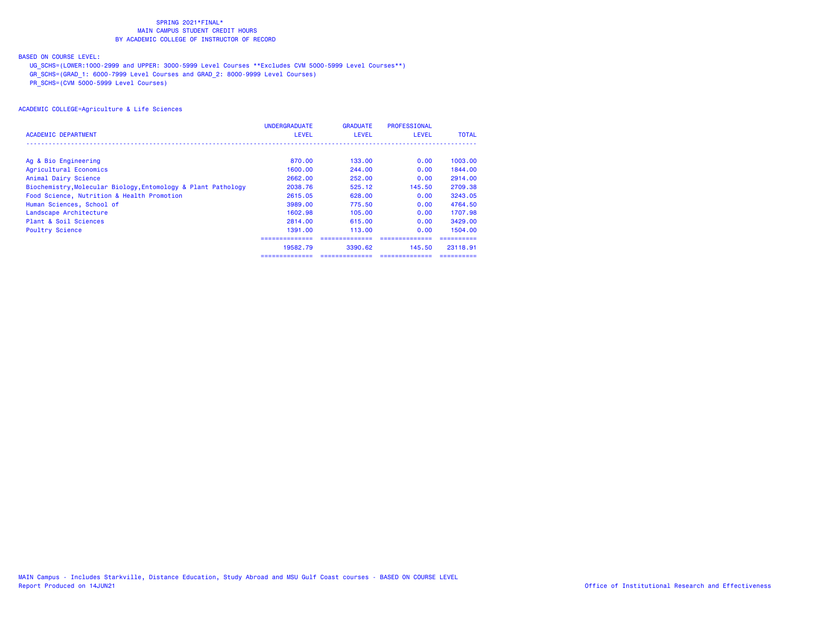## BASED ON COURSE LEVEL:

UG\_SCHS=(LOWER:1000-2999 and UPPER: 3000-5999 Level Courses \*\*Excludes CVM 5000-5999 Level Courses\*\*)

GR\_SCHS=(GRAD\_1: 6000-7999 Level Courses and GRAD\_2: 8000-9999 Level Courses)

PR\_SCHS=(CVM 5000-5999 Level Courses)

|                                                               | <b>UNDERGRADUATE</b> | <b>GRADUATE</b> | <b>PROFESSIONAL</b> |              |
|---------------------------------------------------------------|----------------------|-----------------|---------------------|--------------|
| ACADEMIC DEPARTMENT                                           | <b>LEVEL</b>         | <b>LEVEL</b>    | <b>LEVEL</b>        | <b>TOTAL</b> |
|                                                               |                      |                 |                     |              |
| Ag & Bio Engineering                                          | 870.00               | 133.00          | 0.00                | 1003.00      |
| Agricultural Economics                                        | 1600.00              | 244.00          | 0.00                | 1844.00      |
| Animal Dairy Science                                          | 2662.00              | 252.00          | 0.00                | 2914.00      |
| Biochemistry, Molecular Biology, Entomology & Plant Pathology | 2038.76              | 525.12          | 145.50              | 2709.38      |
| Food Science, Nutrition & Health Promotion                    | 2615.05              | 628,00          | 0.00                | 3243.05      |
| Human Sciences, School of                                     | 3989.00              | 775.50          | 0.00                | 4764.50      |
| Landscape Architecture                                        | 1602.98              | 105,00          | 0.00                | 1707.98      |
| Plant & Soil Sciences                                         | 2814.00              | 615.00          | 0.00                | 3429.00      |
| <b>Poultry Science</b>                                        | 1391.00              | 113.00          | 0.00                | 1504.00      |
|                                                               |                      |                 |                     |              |
|                                                               | 19582.79             | 3390.62         | 145.50              | 23118.91     |
|                                                               | :===========         |                 |                     |              |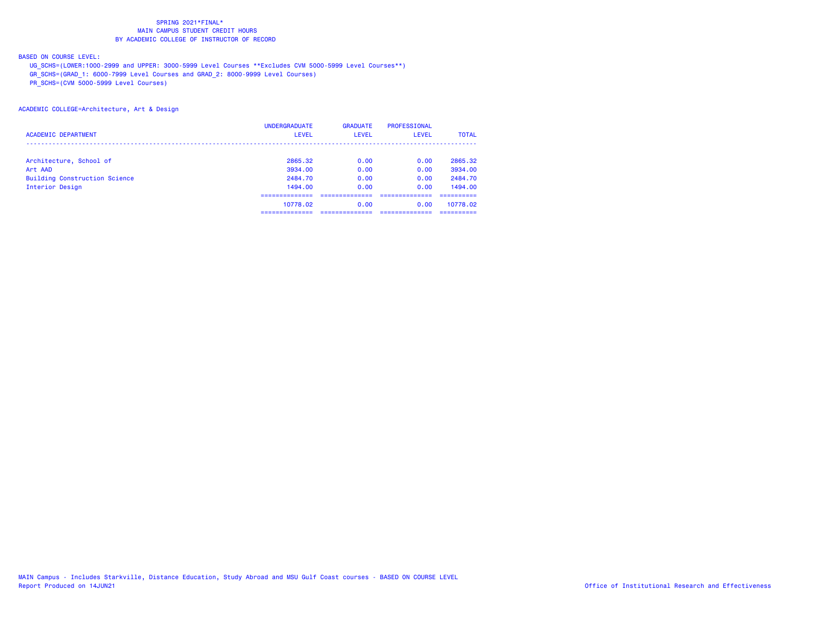## BASED ON COURSE LEVEL:

UG\_SCHS=(LOWER:1000-2999 and UPPER: 3000-5999 Level Courses \*\*Excludes CVM 5000-5999 Level Courses\*\*)

GR\_SCHS=(GRAD\_1: 6000-7999 Level Courses and GRAD\_2: 8000-9999 Level Courses)

PR\_SCHS=(CVM 5000-5999 Level Courses)

### ACADEMIC COLLEGE=Architecture, Art & Design

|                                      | <b>UNDERGRADUATE</b> | <b>GRADUATE</b> | PROFESSIONAL |              |
|--------------------------------------|----------------------|-----------------|--------------|--------------|
| <b>ACADEMIC DEPARTMENT</b>           | <b>LEVEL</b>         | <b>LEVEL</b>    | <b>LEVEL</b> | <b>TOTAL</b> |
|                                      |                      |                 |              |              |
| Architecture, School of              | 2865.32              | 0.00            | 0.00         | 2865.32      |
| Art AAD                              | 3934.00              | 0.00            | 0.00         | 3934.00      |
| <b>Building Construction Science</b> | 2484.70              | 0.00            | 0.00         | 2484.70      |
| Interior Design                      | 1494.00              | 0.00            | 0.00         | 1494.00      |
|                                      | ---------            |                 |              |              |
|                                      | 10778.02             | 0.00            | 0.00         | 10778.02     |
|                                      | ----------           |                 |              |              |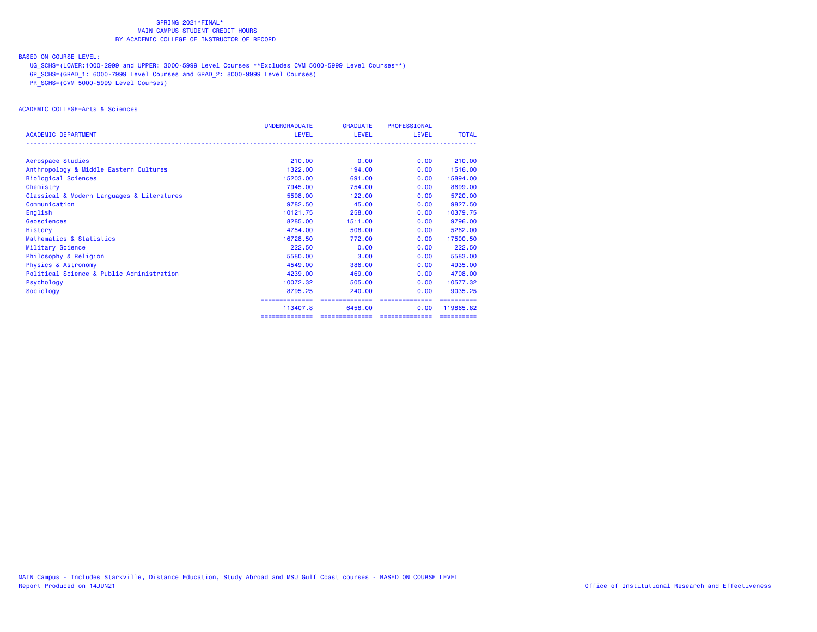## BASED ON COURSE LEVEL:

UG\_SCHS=(LOWER:1000-2999 and UPPER: 3000-5999 Level Courses \*\*Excludes CVM 5000-5999 Level Courses\*\*)

GR\_SCHS=(GRAD\_1: 6000-7999 Level Courses and GRAD\_2: 8000-9999 Level Courses)

PR\_SCHS=(CVM 5000-5999 Level Courses)

### ACADEMIC COLLEGE=Arts & Sciences

|                                            | <b>UNDERGRADUATE</b> | <b>GRADUATE</b> | PROFESSIONAL    |              |
|--------------------------------------------|----------------------|-----------------|-----------------|--------------|
| <b>ACADEMIC DEPARTMENT</b>                 | <b>LEVEL</b>         | <b>LEVEL</b>    | LEVEL           | <b>TOTAL</b> |
| Aerospace Studies                          | 210.00               | 0.00            | 0.00            | 210,00       |
| Anthropology & Middle Eastern Cultures     | 1322,00              | 194,00          | 0.00            | 1516.00      |
| <b>Biological Sciences</b>                 | 15203.00             | 691,00          | 0.00            | 15894.00     |
| Chemistry                                  | 7945.00              | 754.00          | 0.00            | 8699.00      |
| Classical & Modern Languages & Literatures | 5598.00              | 122.00          | 0.00            | 5720.00      |
| Communication                              | 9782.50              | 45.00           | 0.00            | 9827.50      |
| English                                    | 10121.75             | 258,00          | 0.00            | 10379.75     |
| Geosciences                                | 8285,00              | 1511.00         | 0.00            | 9796.00      |
| History                                    | 4754.00              | 508,00          | 0.00            | 5262.00      |
| Mathematics & Statistics                   | 16728.50             | 772.00          | 0.00            | 17500.50     |
| Military Science                           | 222.50               | 0.00            | 0.00            | 222.50       |
| Philosophy & Religion                      | 5580.00              | 3.00            | 0.00            | 5583.00      |
| <b>Physics &amp; Astronomy</b>             | 4549.00              | 386,00          | 0.00            | 4935.00      |
| Political Science & Public Administration  | 4239,00              | 469,00          | 0.00            | 4708.00      |
| Psychology                                 | 10072.32             | 505,00          | 0.00            | 10577.32     |
| Sociology                                  | 8795.25              | 240,00          | 0.00            | 9035.25      |
|                                            | ==============       | ==============  | ==============  |              |
|                                            | 113407.8             | 6458.00         | 0.00            | 119865.82    |
|                                            | ==============       | ==============  | --------------- | ==========   |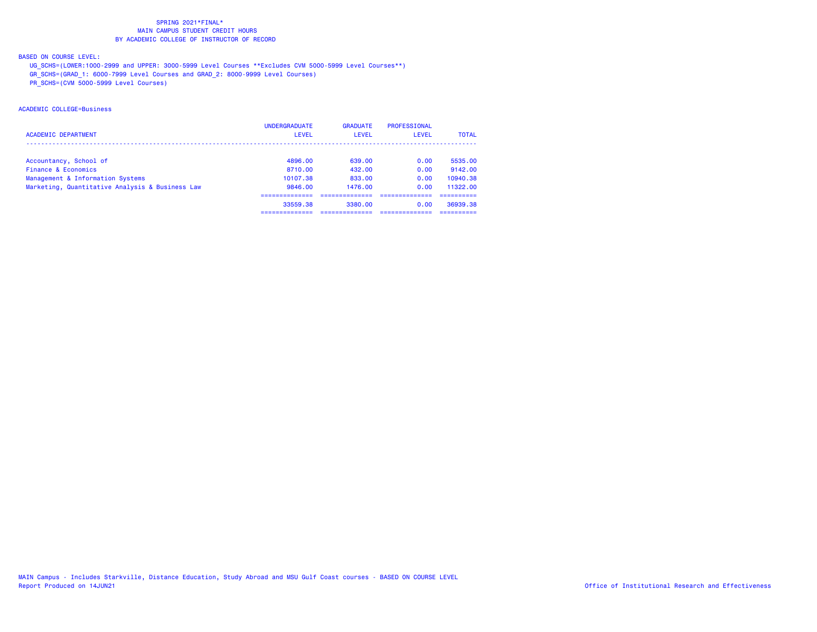## BASED ON COURSE LEVEL:

UG\_SCHS=(LOWER:1000-2999 and UPPER: 3000-5999 Level Courses \*\*Excludes CVM 5000-5999 Level Courses\*\*)

GR\_SCHS=(GRAD\_1: 6000-7999 Level Courses and GRAD\_2: 8000-9999 Level Courses)

PR\_SCHS=(CVM 5000-5999 Level Courses)

## ACADEMIC COLLEGE=Business

|                                                 | <b>UNDERGRADUATE</b> | <b>GRADUATE</b> | PROFESSIONAL |              |
|-------------------------------------------------|----------------------|-----------------|--------------|--------------|
| <b>ACADEMIC DEPARTMENT</b>                      | <b>LEVEL</b>         | <b>LEVEL</b>    | <b>LEVEL</b> | <b>TOTAL</b> |
|                                                 |                      |                 |              |              |
| Accountancy, School of                          | 4896.00              | 639.00          | 0.00         | 5535.00      |
| Finance & Economics                             | 8710.00              | 432.00          | 0.00         | 9142.00      |
| Management & Information Systems                | 10107.38             | 833.00          | 0.00         | 10940.38     |
| Marketing, Quantitative Analysis & Business Law | 9846,00              | 1476.00         | 0.00         | 11322.00     |
|                                                 |                      |                 |              |              |
|                                                 | 33559.38             | 3380.00         | 0.00         | 36939.38     |
|                                                 |                      |                 |              |              |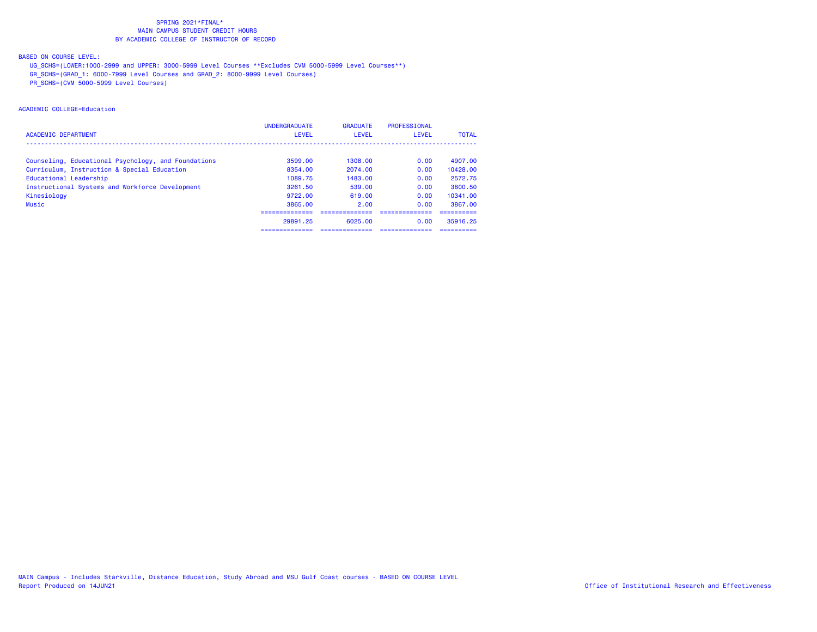## BASED ON COURSE LEVEL:

UG\_SCHS=(LOWER:1000-2999 and UPPER: 3000-5999 Level Courses \*\*Excludes CVM 5000-5999 Level Courses\*\*)

GR\_SCHS=(GRAD\_1: 6000-7999 Level Courses and GRAD\_2: 8000-9999 Level Courses)

PR\_SCHS=(CVM 5000-5999 Level Courses)

## ACADEMIC COLLEGE=Education

|                                                     | <b>UNDERGRADUATE</b> | <b>GRADUATE</b> | <b>PROFESSIONAL</b> |              |
|-----------------------------------------------------|----------------------|-----------------|---------------------|--------------|
| <b>ACADEMIC DEPARTMENT</b>                          | <b>LEVEL</b>         | LEVEL           | LEVEL               | <b>TOTAL</b> |
|                                                     |                      |                 |                     |              |
| Counseling, Educational Psychology, and Foundations | 3599.00              | 1308.00         | 0.00                | 4907.00      |
| Curriculum, Instruction & Special Education         | 8354.00              | 2074.00         | 0.00                | 10428.00     |
| Educational Leadership                              | 1089.75              | 1483.00         | 0.00                | 2572.75      |
| Instructional Systems and Workforce Development     | 3261.50              | 539.00          | 0.00                | 3800.50      |
| Kinesiology                                         | 9722.00              | 619.00          | 0.00                | 10341.00     |
| Music                                               | 3865.00              | 2.00            | 0.00                | 3867.00      |
|                                                     |                      |                 |                     |              |
|                                                     | 29891.25             | 6025.00         | 0.00                | 35916.25     |
|                                                     | ---------------      |                 |                     | ---------    |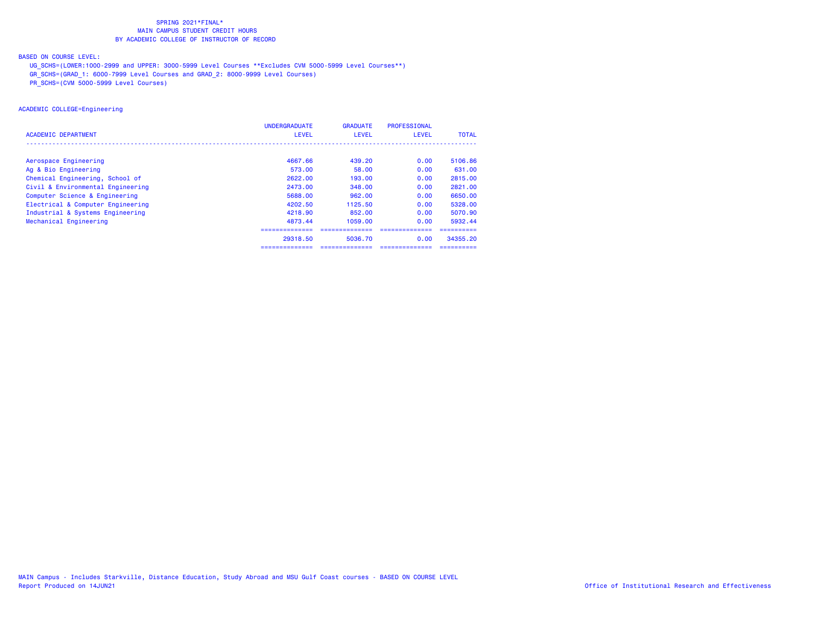## BASED ON COURSE LEVEL:

UG\_SCHS=(LOWER:1000-2999 and UPPER: 3000-5999 Level Courses \*\*Excludes CVM 5000-5999 Level Courses\*\*)

GR\_SCHS=(GRAD\_1: 6000-7999 Level Courses and GRAD\_2: 8000-9999 Level Courses)

PR\_SCHS=(CVM 5000-5999 Level Courses)

## ACADEMIC COLLEGE=Engineering

|                                   | <b>UNDERGRADUATE</b> | <b>GRADUATE</b> | PROFESSIONAL    |              |
|-----------------------------------|----------------------|-----------------|-----------------|--------------|
| ACADEMIC DEPARTMENT               | <b>LEVEL</b>         | LEVEL           | <b>LEVEL</b>    | <b>TOTAL</b> |
|                                   |                      |                 |                 |              |
| Aerospace Engineering             | 4667.66              | 439.20          | 0.00            | 5106.86      |
| Ag & Bio Engineering              | 573.00               | 58.00           | 0.00            | 631,00       |
| Chemical Engineering, School of   | 2622.00              | 193.00          | 0.00            | 2815.00      |
| Civil & Environmental Engineering | 2473.00              | 348.00          | 0.00            | 2821.00      |
| Computer Science & Engineering    | 5688.00              | 962.00          | 0.00            | 6650.00      |
| Electrical & Computer Engineering | 4202.50              | 1125.50         | 0.00            | 5328.00      |
| Industrial & Systems Engineering  | 4218.90              | 852,00          | 0.00            | 5070.90      |
| Mechanical Engineering            | 4873.44              | 1059.00         | 0.00            | 5932.44      |
|                                   |                      |                 |                 |              |
|                                   | 29318.50             | 5036.70         | 0.00            | 34355.20     |
|                                   | ==============       | ==============  | --------------- |              |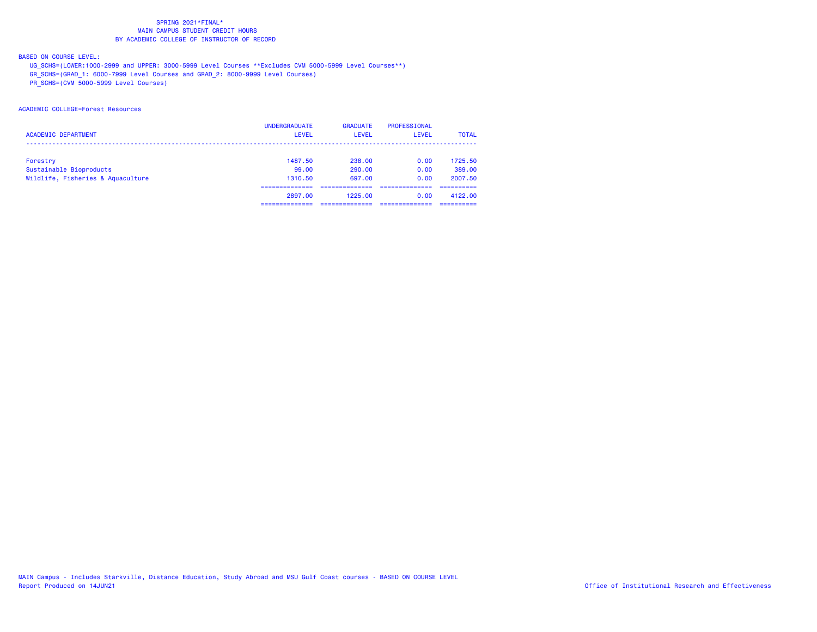## BASED ON COURSE LEVEL:

UG\_SCHS=(LOWER:1000-2999 and UPPER: 3000-5999 Level Courses \*\*Excludes CVM 5000-5999 Level Courses\*\*)

GR\_SCHS=(GRAD\_1: 6000-7999 Level Courses and GRAD\_2: 8000-9999 Level Courses)

PR\_SCHS=(CVM 5000-5999 Level Courses)

## ACADEMIC COLLEGE=Forest Resources

|                                   | <b>UNDERGRADUATE</b> | <b>GRADUATE</b> | PROFESSIONAL |              |
|-----------------------------------|----------------------|-----------------|--------------|--------------|
| <b>ACADEMIC DEPARTMENT</b>        | <b>LEVEL</b>         | <b>LEVEL</b>    | LEVEL        | <b>TOTAL</b> |
|                                   |                      |                 |              |              |
| Forestry                          | 1487.50              | 238.00          | 0.00         | 1725.50      |
| Sustainable Bioproducts           | 99.00                | 290.00          | 0.00         | 389.00       |
| Wildlife, Fisheries & Aquaculture | 1310.50              | 697.00          | 0.00         | 2007.50      |
|                                   |                      |                 |              |              |
|                                   | 2897.00              | 1225.00         | 0.00         | 4122.00      |
|                                   |                      |                 |              |              |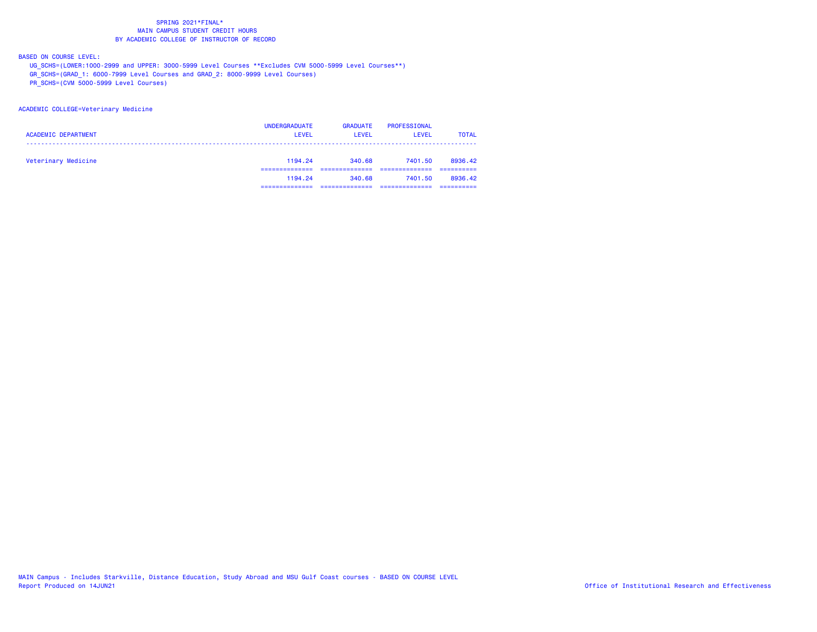BASED ON COURSE LEVEL:

UG\_SCHS=(LOWER:1000-2999 and UPPER: 3000-5999 Level Courses \*\*Excludes CVM 5000-5999 Level Courses\*\*)

GR\_SCHS=(GRAD\_1: 6000-7999 Level Courses and GRAD\_2: 8000-9999 Level Courses)

PR\_SCHS=(CVM 5000-5999 Level Courses)

#### ACADEMIC COLLEGE=Veterinary Medicine

| <b>ACADEMIC DEPARTMENT</b> | <b>UNDERGRADUATE</b><br><b>LEVEL</b> | <b>GRADUATE</b><br>LEVEL | PROFESSIONAL<br><b>LEVEL</b> | <b>TOTAL</b> |
|----------------------------|--------------------------------------|--------------------------|------------------------------|--------------|
| Veterinary Medicine        | 1194.24                              | 340.68                   | 7401.50                      | 8936.42      |
|                            | 1194.24                              | 340.68                   | 7401.50                      | 8936.42      |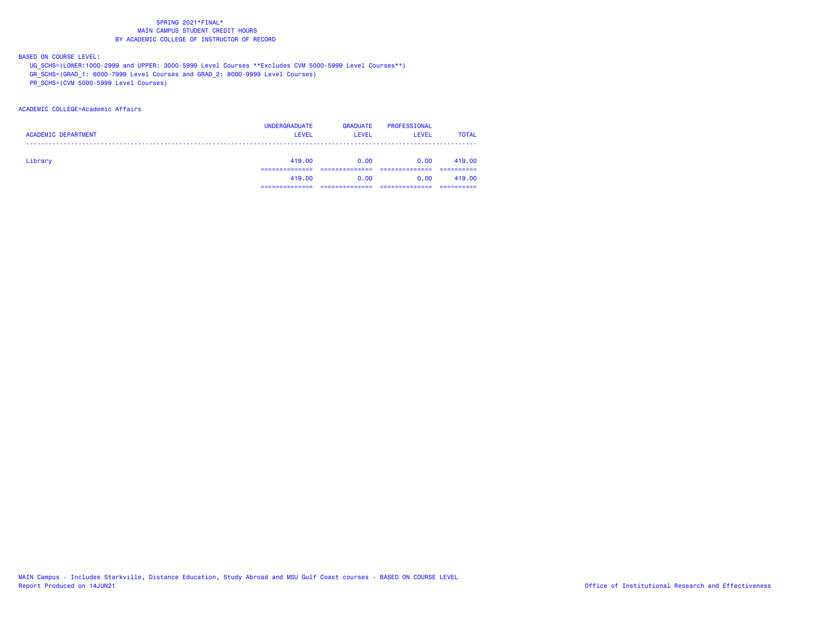BASED ON COURSE LEVEL:

UG\_SCHS=(LOWER:1000-2999 and UPPER: 3000-5999 Level Courses \*\*Excludes CVM 5000-5999 Level Courses\*\*)

GR\_SCHS=(GRAD\_1: 6000-7999 Level Courses and GRAD\_2: 8000-9999 Level Courses)

PR\_SCHS=(CVM 5000-5999 Level Courses)

### ACADEMIC COLLEGE=Academic Affairs

| <b>ACADEMIC DEPARTMENT</b> | <b>UNDERGRADUATE</b><br><b>LEVEL</b> | <b>GRADUATE</b><br><b>LEVEL</b> | PROFESSIONAL<br><b>LEVEL</b> | <b>TOTAL</b> |
|----------------------------|--------------------------------------|---------------------------------|------------------------------|--------------|
| Library                    | 419.00                               | 0.00                            | 0.00                         | 419.00       |
|                            | 419,00                               | 0.00                            | 0.00                         | 419,00       |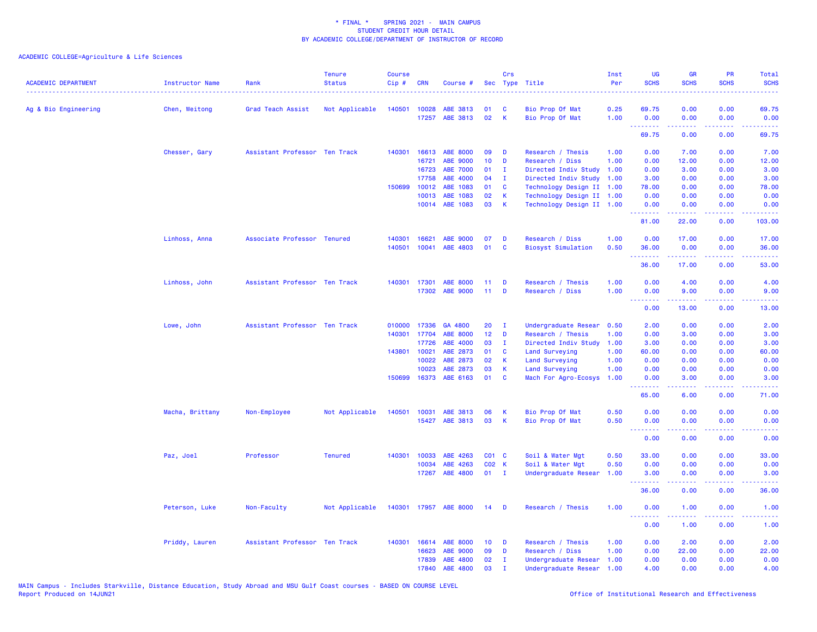| <b>ACADEMIC DEPARTMENT</b> | <b>Instructor Name</b> | Rank                          | <b>Tenure</b><br><b>Status</b> | <b>Course</b><br>$Cip$ # | <b>CRN</b>   | Course #              |                   | Crs            | Sec Type Title            | Inst<br>Per | UG<br><b>SCHS</b>               | <b>GR</b><br><b>SCHS</b>                                                                                                                                      | <b>PR</b><br><b>SCHS</b>     | Total<br><b>SCHS</b>                                                                                                              |
|----------------------------|------------------------|-------------------------------|--------------------------------|--------------------------|--------------|-----------------------|-------------------|----------------|---------------------------|-------------|---------------------------------|---------------------------------------------------------------------------------------------------------------------------------------------------------------|------------------------------|-----------------------------------------------------------------------------------------------------------------------------------|
| Ag & Bio Engineering       | Chen, Weitong          | Grad Teach Assist             | Not Applicable                 |                          | 140501 10028 | ABE 3813              | 01                | C              | Bio Prop Of Mat           | 0.25        | 69.75                           | 0.00                                                                                                                                                          | 0.00                         | 69.75                                                                                                                             |
|                            |                        |                               |                                |                          | 17257        | ABE 3813              | 02                | K              | Bio Prop Of Mat           | 1.00        | 0.00<br>.                       | 0.00                                                                                                                                                          | 0.00<br>2222                 | 0.00                                                                                                                              |
|                            |                        |                               |                                |                          |              |                       |                   |                |                           |             | 69.75                           | 0.00                                                                                                                                                          | 0.00                         | 69.75                                                                                                                             |
|                            | Chesser, Gary          | Assistant Professor Ten Track |                                | 140301                   | 16613        | <b>ABE 8000</b>       | 09                | D              | Research / Thesis         | 1.00        | 0.00                            | 7.00                                                                                                                                                          | 0.00                         | 7.00                                                                                                                              |
|                            |                        |                               |                                |                          | 16721        | ABE 9000              | 10                | D              | Research / Diss           | 1.00        | 0.00                            | 12.00                                                                                                                                                         | 0.00                         | 12.00                                                                                                                             |
|                            |                        |                               |                                |                          | 16723        | <b>ABE 7000</b>       | 01                | $\mathbf{I}$   | Directed Indiv Study      | 1.00        | 0.00                            | 3.00                                                                                                                                                          | 0.00                         | 3.00                                                                                                                              |
|                            |                        |                               |                                |                          | 17758        | ABE 4000              | 04                | <b>I</b>       | Directed Indiv Study      | 1.00        | 3.00                            | 0.00                                                                                                                                                          | 0.00                         | 3.00                                                                                                                              |
|                            |                        |                               |                                | 150699                   | 10012        | ABE 1083              | 01                | C              | Technology Design II 1.00 |             | 78.00                           | 0.00                                                                                                                                                          | 0.00                         | 78.00                                                                                                                             |
|                            |                        |                               |                                |                          | 10013        | ABE 1083              | 02                | К              | Technology Design II 1.00 |             | 0.00                            | 0.00                                                                                                                                                          | 0.00                         | 0.00                                                                                                                              |
|                            |                        |                               |                                |                          |              | 10014 ABE 1083        | 03                | K              | Technology Design II 1.00 |             | 0.00<br>.                       | 0.00<br>الداعات عامات                                                                                                                                         | 0.00<br>.                    | 0.00<br>.                                                                                                                         |
|                            |                        |                               |                                |                          |              |                       |                   |                |                           |             | 81.00                           | 22.00                                                                                                                                                         | 0.00                         | 103.00                                                                                                                            |
|                            | Linhoss, Anna          | Associate Professor Tenured   |                                | 140301                   | 16621        | ABE 9000              | 07                | D              | Research / Diss           | 1.00        | 0.00                            | 17.00                                                                                                                                                         | 0.00                         | 17.00                                                                                                                             |
|                            |                        |                               |                                | 140501                   | 10041        | ABE 4803              | 01                | C              | <b>Biosyst Simulation</b> | 0.50        | 36.00<br>.                      | 0.00<br>بالأباليات                                                                                                                                            | 0.00<br>.                    | 36.00<br>المستما                                                                                                                  |
|                            |                        |                               |                                |                          |              |                       |                   |                |                           |             | 36.00                           | 17.00                                                                                                                                                         | 0.00                         | 53.00                                                                                                                             |
|                            | Linhoss, John          | Assistant Professor Ten Track |                                |                          | 140301 17301 | <b>ABE 8000</b>       | 11                | D              | Research / Thesis         | 1.00        | 0.00                            | 4.00                                                                                                                                                          | 0.00                         | 4.00                                                                                                                              |
|                            |                        |                               |                                |                          | 17302        | <b>ABE 9000</b>       | 11                | D              | Research / Diss           | 1.00        | 0.00                            | 9.00                                                                                                                                                          | 0.00                         | 9.00                                                                                                                              |
|                            |                        |                               |                                |                          |              |                       |                   |                |                           |             | <u> - - - - - - - -</u><br>0.00 | $\frac{1}{2} \left( \frac{1}{2} \right) \left( \frac{1}{2} \right) \left( \frac{1}{2} \right) \left( \frac{1}{2} \right) \left( \frac{1}{2} \right)$<br>13.00 | .<br>0.00                    | 13.00                                                                                                                             |
|                            | Lowe, John             | Assistant Professor Ten Track |                                | 010000                   | 17336        | GA 4800               | 20                | - I            | Undergraduate Resear      | 0.50        | 2.00                            | 0.00                                                                                                                                                          | 0.00                         | 2.00                                                                                                                              |
|                            |                        |                               |                                |                          | 140301 17704 | <b>ABE 8000</b>       | 12 <sub>2</sub>   | D              | Research / Thesis         | 1.00        | 0.00                            | 3.00                                                                                                                                                          | 0.00                         | 3.00                                                                                                                              |
|                            |                        |                               |                                |                          | 17726        | ABE 4000              | 03                | $\mathbf{I}$   | Directed Indiv Study      | 1.00        | 3.00                            | 0.00                                                                                                                                                          | 0.00                         | 3.00                                                                                                                              |
|                            |                        |                               |                                |                          | 143801 10021 | ABE 2873              | 01                | C              | Land Surveying            | 1.00        | 60.00                           | 0.00                                                                                                                                                          | 0.00                         | 60.00                                                                                                                             |
|                            |                        |                               |                                |                          | 10022        | ABE 2873              | 02                | К              | Land Surveying            | 1.00        | 0.00                            | 0.00                                                                                                                                                          | 0.00                         | 0.00                                                                                                                              |
|                            |                        |                               |                                |                          | 10023        | ABE 2873              | 03                | $\mathbf k$    | <b>Land Surveying</b>     | 1.00        | 0.00                            | 0.00                                                                                                                                                          | 0.00                         | 0.00                                                                                                                              |
|                            |                        |                               |                                | 150699                   | 16373        | ABE 6163              | 01                | C              | Mach For Agro-Ecosys      | 1.00        | 0.00<br>.                       | 3.00<br>.                                                                                                                                                     | 0.00<br>$\sim$ $\sim$ $\sim$ | 3.00<br>$\frac{1}{2} \left( \frac{1}{2} \right) \left( \frac{1}{2} \right) \left( \frac{1}{2} \right)$                            |
|                            |                        |                               |                                |                          |              |                       |                   |                |                           |             | 65.00                           | 6.00                                                                                                                                                          | 0.00                         | 71.00                                                                                                                             |
|                            | Macha, Brittany        | Non-Employee                  | Not Applicable                 |                          | 140501 10031 | ABE 3813              | 06                | K              | Bio Prop Of Mat           | 0.50        | 0.00                            | 0.00                                                                                                                                                          | 0.00                         | 0.00                                                                                                                              |
|                            |                        |                               |                                |                          |              | 15427 ABE 3813        | 03                | K              | Bio Prop Of Mat           | 0.50        | 0.00                            | 0.00                                                                                                                                                          | 0.00                         | 0.00                                                                                                                              |
|                            |                        |                               |                                |                          |              |                       |                   |                |                           |             | <u> - - - - - - - -</u><br>0.00 | .<br>0.00                                                                                                                                                     | $  -$<br>0.00                | $\frac{1}{2} \left( \frac{1}{2} \right) \left( \frac{1}{2} \right) \left( \frac{1}{2} \right) \left( \frac{1}{2} \right)$<br>0.00 |
|                            | Paz, Joel              | Professor                     | <b>Tenured</b>                 | 140301                   | 10033        | ABE 4263              | CO <sub>1</sub> C |                | Soil & Water Mgt          | 0.50        | 33.00                           | 0.00                                                                                                                                                          | 0.00                         | 33.00                                                                                                                             |
|                            |                        |                               |                                |                          | 10034        | ABE 4263              | C02 K             |                | Soil & Water Mgt          | 0.50        | 0.00                            | 0.00                                                                                                                                                          | 0.00                         | 0.00                                                                                                                              |
|                            |                        |                               |                                |                          | 17267        | ABE 4800              | 01                | $\blacksquare$ | Undergraduate Resear      | 1.00        | 3.00                            | 0.00                                                                                                                                                          | 0.00                         | 3.00                                                                                                                              |
|                            |                        |                               |                                |                          |              |                       |                   |                |                           |             | .<br>36.00                      | 0.00                                                                                                                                                          | 0.00                         | 36.00                                                                                                                             |
|                            | Peterson, Luke         | Non-Faculty                   | Not Applicable                 |                          |              | 140301 17957 ABE 8000 | 14                | D              | Research / Thesis         | 1.00        | 0.00<br><u>.</u>                | 1.00                                                                                                                                                          | 0.00                         | 1.00                                                                                                                              |
|                            |                        |                               |                                |                          |              |                       |                   |                |                           |             | 0.00                            | 1.00                                                                                                                                                          | 0.00                         | 1.00                                                                                                                              |
|                            | Priddy, Lauren         | Assistant Professor Ten Track |                                |                          | 140301 16614 | <b>ABE 8000</b>       | 10 <sup>°</sup>   | D              | Research / Thesis         | 1.00        | 0.00                            | 2.00                                                                                                                                                          | 0.00                         | 2.00                                                                                                                              |
|                            |                        |                               |                                |                          | 16623        | ABE 9000              | 09                | D              | Research / Diss           | 1.00        | 0.00                            | 22.00                                                                                                                                                         | 0.00                         | 22.00                                                                                                                             |
|                            |                        |                               |                                |                          | 17839        | ABE 4800              | 02                | $\mathbf{I}$   | Undergraduate Resear      | 1.00        | 0.00                            | 0.00                                                                                                                                                          | 0.00                         | 0.00                                                                                                                              |
|                            |                        |                               |                                |                          | 17840        | ABE 4800              | 03                | п              | Undergraduate Resear      | 1.00        | 4.00                            | 0.00                                                                                                                                                          | 0.00                         | 4.00                                                                                                                              |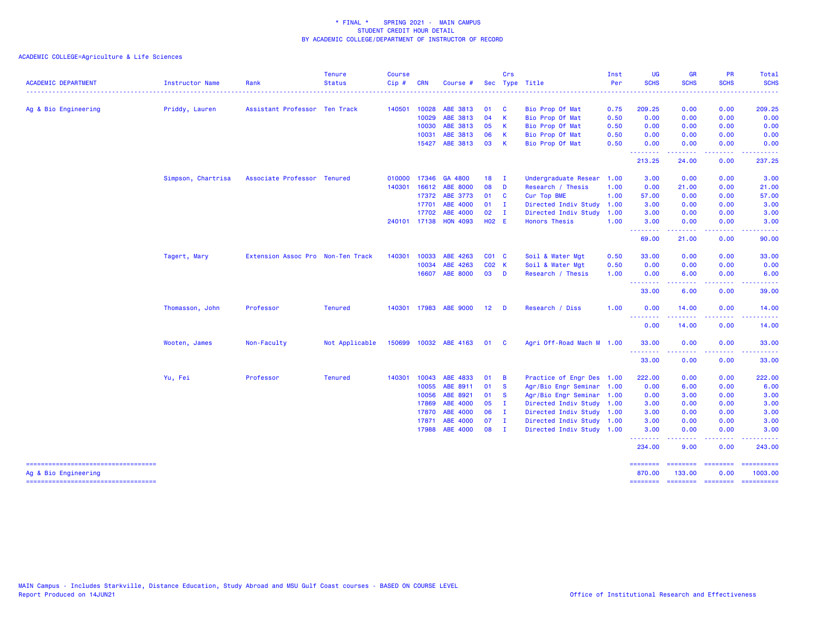| <b>ACADEMIC DEPARTMENT</b>                                  | Instructor Name    | Rank                              | <b>Tenure</b><br><b>Status</b> | <b>Course</b><br>Cip# | <b>CRN</b>            | Course #              |                 | Crs           | Sec Type Title                     | Inst<br>Per  | <b>UG</b><br><b>SCHS</b> | <b>GR</b><br><b>SCHS</b>                                                                                                                                     | <b>PR</b><br><b>SCHS</b>            | Total<br><b>SCHS</b>                                                                                                                                                                                                                                                                                                                                                                                                                                                                              |
|-------------------------------------------------------------|--------------------|-----------------------------------|--------------------------------|-----------------------|-----------------------|-----------------------|-----------------|---------------|------------------------------------|--------------|--------------------------|--------------------------------------------------------------------------------------------------------------------------------------------------------------|-------------------------------------|---------------------------------------------------------------------------------------------------------------------------------------------------------------------------------------------------------------------------------------------------------------------------------------------------------------------------------------------------------------------------------------------------------------------------------------------------------------------------------------------------|
|                                                             |                    |                                   |                                |                       |                       |                       |                 |               |                                    |              |                          |                                                                                                                                                              |                                     | $\frac{1}{2} \left( \frac{1}{2} \right) \left( \frac{1}{2} \right) \left( \frac{1}{2} \right) \left( \frac{1}{2} \right)$                                                                                                                                                                                                                                                                                                                                                                         |
| Ag & Bio Engineering                                        | Priddy, Lauren     | Assistant Professor Ten Track     |                                |                       | 140501 10028<br>10029 | ABE 3813<br>ABE 3813  | 01<br>04        | <b>C</b><br>K | Bio Prop Of Mat<br>Bio Prop Of Mat | 0.75<br>0.50 | 209.25<br>0.00           | 0.00<br>0.00                                                                                                                                                 | 0.00<br>0.00                        | 209.25<br>0.00                                                                                                                                                                                                                                                                                                                                                                                                                                                                                    |
|                                                             |                    |                                   |                                |                       | 10030                 | ABE 3813              | 05              | К             | Bio Prop Of Mat                    | 0.50         | 0.00                     | 0.00                                                                                                                                                         | 0.00                                | 0.00                                                                                                                                                                                                                                                                                                                                                                                                                                                                                              |
|                                                             |                    |                                   |                                |                       | 10031                 | ABE 3813              | 06              | К             | Bio Prop Of Mat                    | 0.50         | 0.00                     | 0.00                                                                                                                                                         | 0.00                                | 0.00                                                                                                                                                                                                                                                                                                                                                                                                                                                                                              |
|                                                             |                    |                                   |                                |                       | 15427                 | ABE 3813              | 03              | K             | Bio Prop Of Mat                    | 0.50         | 0.00<br>.                | 0.00                                                                                                                                                         | 0.00                                | 0.00                                                                                                                                                                                                                                                                                                                                                                                                                                                                                              |
|                                                             |                    |                                   |                                |                       |                       |                       |                 |               |                                    |              | 213.25                   | 24.00                                                                                                                                                        | 0.00                                | 237.25                                                                                                                                                                                                                                                                                                                                                                                                                                                                                            |
|                                                             | Simpson, Chartrisa | Associate Professor Tenured       |                                |                       | 010000 17346          | GA 4800               | 18              | $\mathbf I$   | Undergraduate Resear               | 1.00         | 3.00                     | 0.00                                                                                                                                                         | 0.00                                | 3.00                                                                                                                                                                                                                                                                                                                                                                                                                                                                                              |
|                                                             |                    |                                   |                                | 140301                | 16612                 | <b>ABE 8000</b>       | 08              | D             | Research / Thesis                  | 1.00         | 0.00                     | 21.00                                                                                                                                                        | 0.00                                | 21.00                                                                                                                                                                                                                                                                                                                                                                                                                                                                                             |
|                                                             |                    |                                   |                                |                       | 17372                 | ABE 3773              | 01              | <b>C</b>      | Cur Top BME                        | 1.00         | 57.00                    | 0.00                                                                                                                                                         | 0.00                                | 57.00                                                                                                                                                                                                                                                                                                                                                                                                                                                                                             |
|                                                             |                    |                                   |                                |                       | 17701                 | ABE 4000              | 01              | $\mathbf{I}$  | Directed Indiv Study               | 1.00         | 3.00                     | 0.00                                                                                                                                                         | 0.00                                | 3.00                                                                                                                                                                                                                                                                                                                                                                                                                                                                                              |
|                                                             |                    |                                   |                                |                       | 17702                 | ABE 4000              | 02              | $\mathbf I$   | Directed Indiv Study               | 1.00         | 3.00                     | 0.00                                                                                                                                                         | 0.00                                | 3.00                                                                                                                                                                                                                                                                                                                                                                                                                                                                                              |
|                                                             |                    |                                   |                                |                       | 240101 17138          | <b>HON 4093</b>       | <b>HO2 E</b>    |               | <b>Honors Thesis</b>               | 1.00         | 3.00<br>.                | 0.00                                                                                                                                                         | 0.00                                | 3.00                                                                                                                                                                                                                                                                                                                                                                                                                                                                                              |
|                                                             |                    |                                   |                                |                       |                       |                       |                 |               |                                    |              | 69.00                    | 21.00                                                                                                                                                        | 0.00                                | 90.00                                                                                                                                                                                                                                                                                                                                                                                                                                                                                             |
|                                                             | Tagert, Mary       | Extension Assoc Pro Non-Ten Track |                                | 140301                | 10033                 | ABE 4263              | C01 C           |               | Soil & Water Mgt                   | 0.50         | 33.00                    | 0.00                                                                                                                                                         | 0.00                                | 33.00                                                                                                                                                                                                                                                                                                                                                                                                                                                                                             |
|                                                             |                    |                                   |                                |                       | 10034                 | ABE 4263              | C02 K           |               | Soil & Water Mgt                   | 0.50         | 0.00                     | 0.00                                                                                                                                                         | 0.00                                | 0.00                                                                                                                                                                                                                                                                                                                                                                                                                                                                                              |
|                                                             |                    |                                   |                                |                       | 16607                 | ABE 8000              | 03              | <b>D</b>      | Research / Thesis                  | 1.00         | 0.00<br>.                | 6.00<br>$\frac{1}{2} \left( \frac{1}{2} \right) \left( \frac{1}{2} \right) \left( \frac{1}{2} \right) \left( \frac{1}{2} \right) \left( \frac{1}{2} \right)$ | 0.00<br>$\sim$ $\sim$ $\sim$ $\sim$ | 6.00<br>-----                                                                                                                                                                                                                                                                                                                                                                                                                                                                                     |
|                                                             |                    |                                   |                                |                       |                       |                       |                 |               |                                    |              | 33.00                    | 6.00                                                                                                                                                         | 0.00                                | 39.00                                                                                                                                                                                                                                                                                                                                                                                                                                                                                             |
|                                                             | Thomasson, John    | Professor                         | <b>Tenured</b>                 |                       |                       | 140301 17983 ABE 9000 | 12 <sub>2</sub> | - D           | Research / Diss                    | 1.00         | 0.00<br>.                | 14.00<br>وجودوه                                                                                                                                              | 0.00<br>$\sim$ $\sim$ $\sim$ $\sim$ | 14.00<br>.                                                                                                                                                                                                                                                                                                                                                                                                                                                                                        |
|                                                             |                    |                                   |                                |                       |                       |                       |                 |               |                                    |              | 0.00                     | 14.00                                                                                                                                                        | 0.00                                | 14.00                                                                                                                                                                                                                                                                                                                                                                                                                                                                                             |
|                                                             | Wooten, James      | Non-Faculty                       | Not Applicable                 |                       |                       | 150699 10032 ABE 4163 | 01              | <b>C</b>      | Agri Off-Road Mach M 1.00          |              | 33.00<br><u>.</u>        | 0.00                                                                                                                                                         | 0.00                                | 33.00                                                                                                                                                                                                                                                                                                                                                                                                                                                                                             |
|                                                             |                    |                                   |                                |                       |                       |                       |                 |               |                                    |              | 33.00                    | 0.00                                                                                                                                                         | 0.00                                | 33.00                                                                                                                                                                                                                                                                                                                                                                                                                                                                                             |
|                                                             | Yu, Fei            | Professor                         | <b>Tenured</b>                 | 140301                | 10043                 | ABE 4833              | 01              | B             | Practice of Engr Des 1.00          |              | 222.00                   | 0.00                                                                                                                                                         | 0.00                                | 222.00                                                                                                                                                                                                                                                                                                                                                                                                                                                                                            |
|                                                             |                    |                                   |                                |                       | 10055                 | ABE 8911              | 01              | <b>S</b>      | Agr/Bio Engr Seminar 1.00          |              | 0.00                     | 6.00                                                                                                                                                         | 0.00                                | 6.00                                                                                                                                                                                                                                                                                                                                                                                                                                                                                              |
|                                                             |                    |                                   |                                |                       | 10056                 | ABE 8921              | 01              | <b>S</b>      | Agr/Bio Engr Seminar 1.00          |              | 0.00                     | 3.00                                                                                                                                                         | 0.00                                | 3.00                                                                                                                                                                                                                                                                                                                                                                                                                                                                                              |
|                                                             |                    |                                   |                                |                       | 17869                 | ABE 4000              | 05              | - I           | Directed Indiv Study               | 1.00         | 3.00                     | 0.00                                                                                                                                                         | 0.00                                | 3.00                                                                                                                                                                                                                                                                                                                                                                                                                                                                                              |
|                                                             |                    |                                   |                                |                       | 17870                 | ABE 4000              | 06              | $\mathbf{I}$  | Directed Indiv Study 1.00          |              | 3.00                     | 0.00                                                                                                                                                         | 0.00                                | 3.00                                                                                                                                                                                                                                                                                                                                                                                                                                                                                              |
|                                                             |                    |                                   |                                |                       | 17871                 | ABE 4000              | 07              | $\mathbf{I}$  | Directed Indiv Study 1.00          |              | 3.00                     | 0.00                                                                                                                                                         | 0.00                                | 3.00                                                                                                                                                                                                                                                                                                                                                                                                                                                                                              |
|                                                             |                    |                                   |                                |                       | 17988                 | ABE 4000              | 08              | $\mathbf{I}$  | Directed Indiv Study 1.00          |              | 3.00<br>.                | 0.00<br>-----                                                                                                                                                | 0.00<br>د د د د                     | 3.00                                                                                                                                                                                                                                                                                                                                                                                                                                                                                              |
|                                                             |                    |                                   |                                |                       |                       |                       |                 |               |                                    |              | 234.00                   | 9.00                                                                                                                                                         | 0.00                                | 243.00                                                                                                                                                                                                                                                                                                                                                                                                                                                                                            |
| -----------------------------------<br>Ag & Bio Engineering |                    |                                   |                                |                       |                       |                       |                 |               |                                    |              | ========<br>870.00       | ========<br>133.00                                                                                                                                           | <b>CONSISTS</b><br>0.00             | $\begin{array}{cccccccccc} \multicolumn{3}{c}{} & \multicolumn{3}{c}{} & \multicolumn{3}{c}{} & \multicolumn{3}{c}{} & \multicolumn{3}{c}{} & \multicolumn{3}{c}{} & \multicolumn{3}{c}{} & \multicolumn{3}{c}{} & \multicolumn{3}{c}{} & \multicolumn{3}{c}{} & \multicolumn{3}{c}{} & \multicolumn{3}{c}{} & \multicolumn{3}{c}{} & \multicolumn{3}{c}{} & \multicolumn{3}{c}{} & \multicolumn{3}{c}{} & \multicolumn{3}{c}{} & \multicolumn{3}{c}{} & \multicolumn{3}{c}{} & \mult$<br>1003.00 |
| =====================================                       |                    |                                   |                                |                       |                       |                       |                 |               |                                    |              | ========                 | ======== =======                                                                                                                                             |                                     | ==========                                                                                                                                                                                                                                                                                                                                                                                                                                                                                        |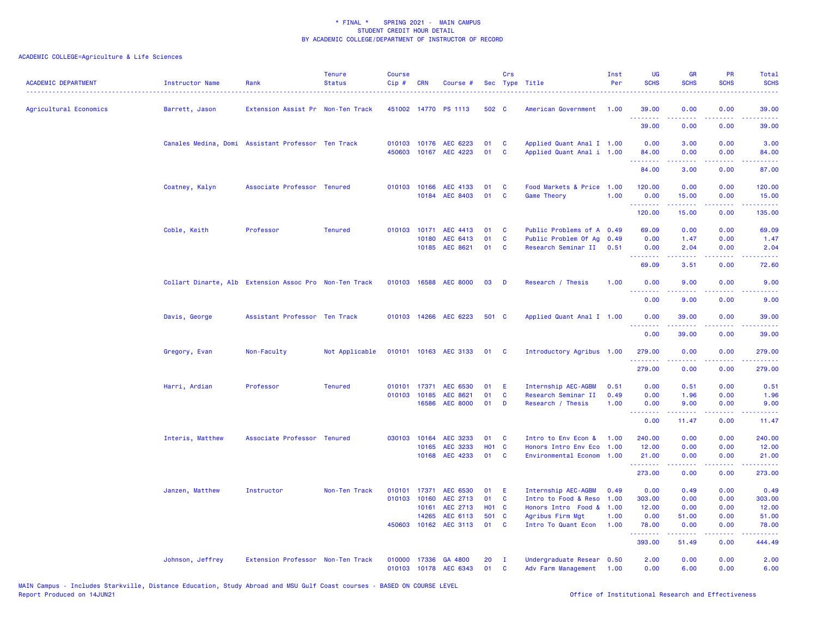| <b>ACADEMIC DEPARTMENT</b> | Instructor Name                                        | Rank                              | <b>Tenure</b><br><b>Status</b> | <b>Course</b><br>Cip# | CRN                   | Course #                                |                    | Crs                          | Sec Type Title                                         | Inst<br>Per  | UG<br><b>SCHS</b>                                                                                                                                                                                                                                                                                                                                                                                                                                                                              | <b>GR</b><br><b>SCHS</b>                                                                                                          | PR<br><b>SCHS</b>                                                                                      | Total<br><b>SCHS</b>                                                                                                                                          |
|----------------------------|--------------------------------------------------------|-----------------------------------|--------------------------------|-----------------------|-----------------------|-----------------------------------------|--------------------|------------------------------|--------------------------------------------------------|--------------|------------------------------------------------------------------------------------------------------------------------------------------------------------------------------------------------------------------------------------------------------------------------------------------------------------------------------------------------------------------------------------------------------------------------------------------------------------------------------------------------|-----------------------------------------------------------------------------------------------------------------------------------|--------------------------------------------------------------------------------------------------------|---------------------------------------------------------------------------------------------------------------------------------------------------------------|
| Agricultural Economics     | Barrett, Jason                                         | Extension Assist Pr Non-Ten Track |                                |                       |                       | 451002 14770 PS 1113                    | 502 C              |                              | American Government                                    | 1.00         | 39.00<br>.                                                                                                                                                                                                                                                                                                                                                                                                                                                                                     | 0.00<br>د د د د .                                                                                                                 | 0.00                                                                                                   | 39.00<br>وعاعاها                                                                                                                                              |
|                            |                                                        |                                   |                                |                       |                       |                                         |                    |                              |                                                        |              | 39.00                                                                                                                                                                                                                                                                                                                                                                                                                                                                                          | 0.00                                                                                                                              | 0.00                                                                                                   | 39.00                                                                                                                                                         |
|                            | Canales Medina, Domi Assistant Professor Ten Track     |                                   |                                | 450603                |                       | 010103 10176 AEC 6223<br>10167 AEC 4223 | 01<br>01           | C<br>$\mathbf{C}$            | Applied Quant Anal I 1.00<br>Applied Quant Anal i 1.00 |              | 0.00<br>84.00                                                                                                                                                                                                                                                                                                                                                                                                                                                                                  | 3.00<br>0.00                                                                                                                      | 0.00<br>0.00                                                                                           | 3.00<br>84.00                                                                                                                                                 |
|                            |                                                        |                                   |                                |                       |                       |                                         |                    |                              |                                                        |              | <u>.</u><br>84.00                                                                                                                                                                                                                                                                                                                                                                                                                                                                              | .<br>3.00                                                                                                                         | .<br>0.00                                                                                              | . 2222.<br>87.00                                                                                                                                              |
|                            | Coatney, Kalyn                                         | Associate Professor Tenured       |                                |                       |                       | 010103 10166 AEC 4133                   | 01                 | <b>C</b>                     | Food Markets & Price 1.00                              |              | 120.00                                                                                                                                                                                                                                                                                                                                                                                                                                                                                         | 0.00                                                                                                                              | 0.00                                                                                                   | 120.00                                                                                                                                                        |
|                            |                                                        |                                   |                                |                       |                       | 10184 AEC 8403                          | 01                 | <b>C</b>                     | <b>Game Theory</b>                                     | 1.00         | 0.00<br>.                                                                                                                                                                                                                                                                                                                                                                                                                                                                                      | 15.00<br>د د د د د                                                                                                                | 0.00<br>.                                                                                              | 15.00<br>$\begin{array}{cccccccccc} \bullet & \bullet & \bullet & \bullet & \bullet & \bullet & \bullet & \bullet \end{array}$                                |
|                            |                                                        |                                   |                                |                       |                       |                                         |                    |                              |                                                        |              | 120.00                                                                                                                                                                                                                                                                                                                                                                                                                                                                                         | 15.00                                                                                                                             | 0.00                                                                                                   | 135.00                                                                                                                                                        |
|                            | Coble, Keith                                           | Professor                         | <b>Tenured</b>                 |                       | 010103 10171          | AEC 4413                                | 01                 | C                            | Public Problems of A 0.49                              |              | 69.09                                                                                                                                                                                                                                                                                                                                                                                                                                                                                          | 0.00                                                                                                                              | 0.00                                                                                                   | 69.09                                                                                                                                                         |
|                            |                                                        |                                   |                                |                       | 10180                 | AEC 6413<br>10185 AEC 8621              | 01<br>01           | $\mathbf{C}$<br>$\mathbf{C}$ | Public Problem Of Aq 0.49<br>Research Seminar II       | 0.51         | 0.00<br>0.00                                                                                                                                                                                                                                                                                                                                                                                                                                                                                   | 1.47<br>2.04                                                                                                                      | 0.00<br>0.00                                                                                           | 1.47<br>2.04                                                                                                                                                  |
|                            |                                                        |                                   |                                |                       |                       |                                         |                    |                              |                                                        |              | <u>.</u><br>69.09                                                                                                                                                                                                                                                                                                                                                                                                                                                                              | $\frac{1}{2} \left( \frac{1}{2} \right) \left( \frac{1}{2} \right) \left( \frac{1}{2} \right) \left( \frac{1}{2} \right)$<br>3.51 | .<br>0.00                                                                                              | بالأبالات<br>72.60                                                                                                                                            |
|                            | Collart Dinarte, Alb Extension Assoc Pro Non-Ten Track |                                   |                                |                       |                       | 010103 16588 AEC 8000                   | 03                 | D                            | Research / Thesis                                      | 1.00         | 0.00                                                                                                                                                                                                                                                                                                                                                                                                                                                                                           | 9.00                                                                                                                              | 0.00                                                                                                   | 9.00                                                                                                                                                          |
|                            |                                                        |                                   |                                |                       |                       |                                         |                    |                              |                                                        |              | <u>.</u><br>0.00                                                                                                                                                                                                                                                                                                                                                                                                                                                                               | .<br>9.00                                                                                                                         | $\frac{1}{2} \left( \frac{1}{2} \right) \left( \frac{1}{2} \right) \left( \frac{1}{2} \right)$<br>0.00 | $- - - -$<br>9.00                                                                                                                                             |
|                            | Davis, George                                          | Assistant Professor Ten Track     |                                |                       |                       | 010103 14266 AEC 6223                   | 501 C              |                              | Applied Quant Anal I 1.00                              |              | 0.00                                                                                                                                                                                                                                                                                                                                                                                                                                                                                           | 39.00                                                                                                                             | 0.00                                                                                                   | 39.00                                                                                                                                                         |
|                            |                                                        |                                   |                                |                       |                       |                                         |                    |                              |                                                        |              | <u>.</u><br>0.00                                                                                                                                                                                                                                                                                                                                                                                                                                                                               | 39.00                                                                                                                             | بالمحامي<br>0.00                                                                                       | وعاعاها<br>39.00                                                                                                                                              |
|                            | Gregory, Evan                                          | Non-Faculty                       | Not Applicable                 |                       |                       | 010101 10163 AEC 3133                   | 01                 | - C                          | Introductory Agribus 1.00                              |              | 279.00                                                                                                                                                                                                                                                                                                                                                                                                                                                                                         | 0.00                                                                                                                              | 0.00                                                                                                   | 279.00                                                                                                                                                        |
|                            |                                                        |                                   |                                |                       |                       |                                         |                    |                              |                                                        |              | <u>.</u><br>279.00                                                                                                                                                                                                                                                                                                                                                                                                                                                                             | 0.00                                                                                                                              | 0.00                                                                                                   | <u>.</u><br>279.00                                                                                                                                            |
|                            | Harri, Ardian                                          | Professor                         | <b>Tenured</b>                 |                       | 010101 17371          | AEC 6530                                | 01                 | -E                           | Internship AEC-AGBM                                    | 0.51         | 0.00                                                                                                                                                                                                                                                                                                                                                                                                                                                                                           | 0.51                                                                                                                              | 0.00                                                                                                   | 0.51                                                                                                                                                          |
|                            |                                                        |                                   |                                |                       | 010103 10185<br>16586 | AEC 8621<br><b>AEC 8000</b>             | 01<br>01           | $\mathbf{C}$<br>D            | Research Seminar II<br>Research / Thesis               | 0.49<br>1.00 | 0.00<br>0.00                                                                                                                                                                                                                                                                                                                                                                                                                                                                                   | 1.96<br>9.00                                                                                                                      | 0.00<br>0.00                                                                                           | 1.96<br>9.00                                                                                                                                                  |
|                            |                                                        |                                   |                                |                       |                       |                                         |                    |                              |                                                        |              | $\begin{array}{cccccccccccccc} \multicolumn{2}{c}{} & \multicolumn{2}{c}{} & \multicolumn{2}{c}{} & \multicolumn{2}{c}{} & \multicolumn{2}{c}{} & \multicolumn{2}{c}{} & \multicolumn{2}{c}{} & \multicolumn{2}{c}{} & \multicolumn{2}{c}{} & \multicolumn{2}{c}{} & \multicolumn{2}{c}{} & \multicolumn{2}{c}{} & \multicolumn{2}{c}{} & \multicolumn{2}{c}{} & \multicolumn{2}{c}{} & \multicolumn{2}{c}{} & \multicolumn{2}{c}{} & \multicolumn{2}{c}{} & \multicolumn{2}{c}{} & \$<br>0.00 | .<br>11.47                                                                                                                        | .<br>0.00                                                                                              | .<br>11.47                                                                                                                                                    |
|                            | Interis, Matthew                                       | Associate Professor Tenured       |                                | 030103                | 10164                 | AEC 3233                                | 01                 | C                            | Intro to Env Econ &                                    | 1.00         | 240.00                                                                                                                                                                                                                                                                                                                                                                                                                                                                                         | 0.00                                                                                                                              | 0.00                                                                                                   | 240.00                                                                                                                                                        |
|                            |                                                        |                                   |                                |                       | 10165                 | AEC 3233<br>10168 AEC 4233              | H01 C<br>01        | $\mathbf{C}$                 | Honors Intro Env Eco<br>Environmental Econom 1.00      | 1.00         | 12.00<br>21.00                                                                                                                                                                                                                                                                                                                                                                                                                                                                                 | 0.00<br>0.00                                                                                                                      | 0.00<br>0.00                                                                                           | 12.00<br>21,00                                                                                                                                                |
|                            |                                                        |                                   |                                |                       |                       |                                         |                    |                              |                                                        |              | 273.00                                                                                                                                                                                                                                                                                                                                                                                                                                                                                         | د د د د د<br>0.00                                                                                                                 | .<br>0.00                                                                                              | .<br>273.00                                                                                                                                                   |
|                            |                                                        |                                   |                                |                       |                       |                                         |                    |                              |                                                        |              |                                                                                                                                                                                                                                                                                                                                                                                                                                                                                                |                                                                                                                                   |                                                                                                        |                                                                                                                                                               |
|                            | Janzen, Matthew                                        | Instructor                        | Non-Ten Track                  | 010101                | 17371                 | AEC 6530                                | 01                 | -E                           | Internship AEC-AGBM                                    | 0.49         | 0.00                                                                                                                                                                                                                                                                                                                                                                                                                                                                                           | 0.49                                                                                                                              | 0.00                                                                                                   | 0.49                                                                                                                                                          |
|                            |                                                        |                                   |                                | 010103                | 10160<br>10161        | AEC 2713<br>AEC 2713                    | 01<br><b>HO1 C</b> | C                            | Intro to Food & Reso<br>Honors Intro Food &            | 1.00<br>1.00 | 303.00<br>12.00                                                                                                                                                                                                                                                                                                                                                                                                                                                                                | 0.00<br>0.00                                                                                                                      | 0.00<br>0.00                                                                                           | 303.00<br>12.00                                                                                                                                               |
|                            |                                                        |                                   |                                |                       | 14265                 | AEC 6113                                | 501 C              |                              | Agribus Firm Mgt                                       | 1.00         | 0.00                                                                                                                                                                                                                                                                                                                                                                                                                                                                                           | 51.00                                                                                                                             | 0.00                                                                                                   | 51.00                                                                                                                                                         |
|                            |                                                        |                                   |                                | 450603                | 10162                 | AEC 3113                                | 01                 | <b>C</b>                     | Intro To Quant Econ                                    | 1.00         | 78.00<br><u>.</u>                                                                                                                                                                                                                                                                                                                                                                                                                                                                              | 0.00<br>المتمامين                                                                                                                 | 0.00<br>.                                                                                              | 78.00<br>$\frac{1}{2} \left( \frac{1}{2} \right) \left( \frac{1}{2} \right) \left( \frac{1}{2} \right) \left( \frac{1}{2} \right) \left( \frac{1}{2} \right)$ |
|                            |                                                        |                                   |                                |                       |                       |                                         |                    |                              |                                                        |              | 393.00                                                                                                                                                                                                                                                                                                                                                                                                                                                                                         | 51.49                                                                                                                             | 0.00                                                                                                   | 444.49                                                                                                                                                        |
|                            | Johnson, Jeffrey                                       | Extension Professor Non-Ten Track |                                | 010000<br>010103      |                       | 17336 GA 4800<br>10178 AEC 6343         | 20<br>01           | $\mathbf{I}$<br><b>C</b>     | Undergraduate Resear 0.50<br>Adv Farm Management       | 1.00         | 2.00<br>0.00                                                                                                                                                                                                                                                                                                                                                                                                                                                                                   | 0.00<br>6.00                                                                                                                      | 0.00<br>0.00                                                                                           | 2.00<br>6.00                                                                                                                                                  |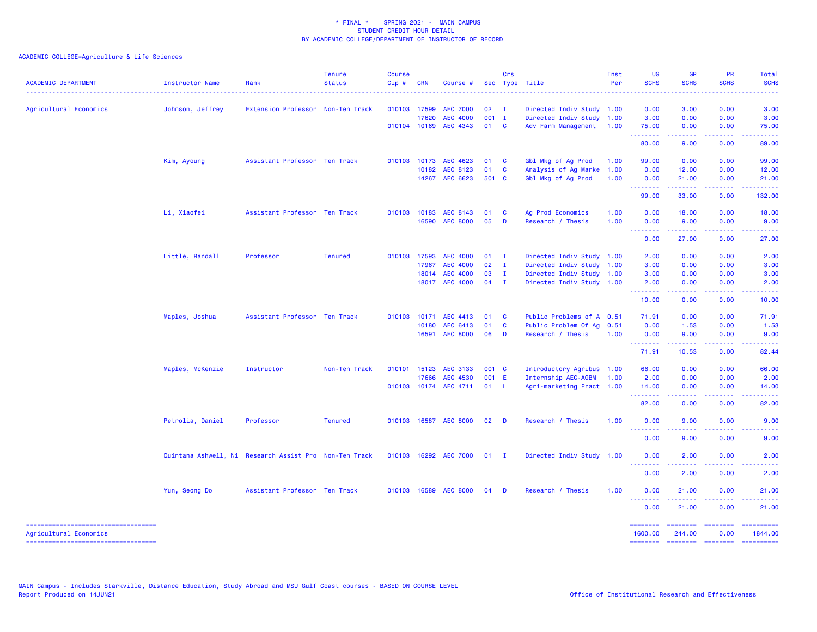| <b>ACADEMIC DEPARTMENT</b>                                   | Instructor Name  | Rank                                                   | <b>Tenure</b><br><b>Status</b> | <b>Course</b><br>Cip# | <b>CRN</b>   | Course #                   |             | Crs            | Sec Type Title            | Inst<br>Per  | <b>UG</b><br><b>SCHS</b>                                                                                    | <b>GR</b><br><b>SCHS</b>                                                                                                                                      | <b>PR</b><br><b>SCHS</b>                                                                                                          | Total<br><b>SCHS</b>                                                                                                               |
|--------------------------------------------------------------|------------------|--------------------------------------------------------|--------------------------------|-----------------------|--------------|----------------------------|-------------|----------------|---------------------------|--------------|-------------------------------------------------------------------------------------------------------------|---------------------------------------------------------------------------------------------------------------------------------------------------------------|-----------------------------------------------------------------------------------------------------------------------------------|------------------------------------------------------------------------------------------------------------------------------------|
| Agricultural Economics                                       | Johnson, Jeffrey | Extension Professor Non-Ten Track                      |                                | 010103 17599          |              | <b>AEC 7000</b>            | 02          | <b>I</b>       | Directed Indiv Study      | 1.00         | 0.00                                                                                                        | 3.00                                                                                                                                                          | 0.00                                                                                                                              | 3.00                                                                                                                               |
|                                                              |                  |                                                        |                                |                       | 17620        | <b>AEC 4000</b>            | 001 I       |                | Directed Indiv Study 1.00 |              | 3.00                                                                                                        | 0.00                                                                                                                                                          | 0.00                                                                                                                              | 3.00                                                                                                                               |
|                                                              |                  |                                                        |                                |                       | 010104 10169 | AEC 4343                   | 01          | <b>C</b>       | Adv Farm Management       | 1.00         | 75.00<br>.                                                                                                  | 0.00<br>$\frac{1}{2} \left( \frac{1}{2} \right) \left( \frac{1}{2} \right) \left( \frac{1}{2} \right) \left( \frac{1}{2} \right) \left( \frac{1}{2} \right)$  | 0.00<br>.                                                                                                                         | 75.00<br>.                                                                                                                         |
|                                                              |                  |                                                        |                                |                       |              |                            |             |                |                           |              | 80.00                                                                                                       | 9.00                                                                                                                                                          | 0.00                                                                                                                              | 89.00                                                                                                                              |
|                                                              | Kim, Ayoung      | Assistant Professor Ten Track                          |                                |                       | 010103 10173 | AEC 4623                   | 01          | C              | Gbl Mkg of Ag Prod        | 1.00         | 99.00                                                                                                       | 0.00                                                                                                                                                          | 0.00                                                                                                                              | 99.00                                                                                                                              |
|                                                              |                  |                                                        |                                |                       | 10182        | AEC 8123<br>14267 AEC 6623 | 01<br>501 C | C              | Analysis of Ag Marke      | 1.00<br>1.00 | 0.00                                                                                                        | 12.00                                                                                                                                                         | 0.00                                                                                                                              | 12.00                                                                                                                              |
|                                                              |                  |                                                        |                                |                       |              |                            |             |                | Gbl Mkg of Ag Prod        |              | 0.00<br>.                                                                                                   | 21.00<br>.                                                                                                                                                    | 0.00<br>$\frac{1}{2} \left( \frac{1}{2} \right) \left( \frac{1}{2} \right) \left( \frac{1}{2} \right) \left( \frac{1}{2} \right)$ | 21.00<br>.                                                                                                                         |
|                                                              |                  |                                                        |                                |                       |              |                            |             |                |                           |              | 99.00                                                                                                       | 33.00                                                                                                                                                         | 0.00                                                                                                                              | 132.00                                                                                                                             |
|                                                              | Li, Xiaofei      | Assistant Professor Ten Track                          |                                | 010103                | 10183        | AEC 8143                   | 01          | C              | Ag Prod Economics         | 1.00         | 0.00                                                                                                        | 18.00                                                                                                                                                         | 0.00                                                                                                                              | 18.00                                                                                                                              |
|                                                              |                  |                                                        |                                |                       | 16590        | <b>AEC 8000</b>            | 05          | D              | Research / Thesis         | 1.00         | 0.00                                                                                                        | 9.00                                                                                                                                                          | 0.00                                                                                                                              | 9.00                                                                                                                               |
|                                                              |                  |                                                        |                                |                       |              |                            |             |                |                           |              | <u> - - - - - - - -</u><br>0.00                                                                             | 27.00                                                                                                                                                         | 0.00                                                                                                                              | 27.00                                                                                                                              |
|                                                              | Little, Randall  | Professor                                              | <b>Tenured</b>                 |                       | 010103 17593 | <b>AEC 4000</b>            | 01          | $\mathbf{I}$   | Directed Indiv Study 1.00 |              | 2.00                                                                                                        | 0.00                                                                                                                                                          | 0.00                                                                                                                              | 2.00                                                                                                                               |
|                                                              |                  |                                                        |                                |                       | 17967        | <b>AEC 4000</b>            | 02          | $\mathbf{I}$   | Directed Indiv Study 1.00 |              | 3.00                                                                                                        | 0.00                                                                                                                                                          | 0.00                                                                                                                              | 3.00                                                                                                                               |
|                                                              |                  |                                                        |                                |                       | 18014        | <b>AEC 4000</b>            | 03          | $\mathbf{I}$   | Directed Indiv Study 1.00 |              | 3.00                                                                                                        | 0.00                                                                                                                                                          | 0.00                                                                                                                              | 3.00                                                                                                                               |
|                                                              |                  |                                                        |                                |                       |              | 18017 AEC 4000             | 04          | $\mathbf{I}$   | Directed Indiv Study 1.00 |              | 2.00                                                                                                        | 0.00                                                                                                                                                          | 0.00                                                                                                                              | 2.00                                                                                                                               |
|                                                              |                  |                                                        |                                |                       |              |                            |             |                |                           |              | .<br>10.00                                                                                                  | $\frac{1}{2} \left( \frac{1}{2} \right) \left( \frac{1}{2} \right) \left( \frac{1}{2} \right) \left( \frac{1}{2} \right) \left( \frac{1}{2} \right)$<br>0.00  | .<br>0.00                                                                                                                         | المالما لمالية ال<br>10.00                                                                                                         |
|                                                              | Maples, Joshua   | Assistant Professor Ten Track                          |                                | 010103                | 10171        | AEC 4413                   | 01          | C              | Public Problems of A      | 0.51         | 71.91                                                                                                       | 0.00                                                                                                                                                          | 0.00                                                                                                                              | 71.91                                                                                                                              |
|                                                              |                  |                                                        |                                |                       | 10180        | AEC 6413                   | 01          | C              | Public Problem Of Ag      | 0.51         | 0.00                                                                                                        | 1.53                                                                                                                                                          | 0.00                                                                                                                              | 1.53                                                                                                                               |
|                                                              |                  |                                                        |                                |                       | 16591        | <b>AEC 8000</b>            | 06          | D              | Research / Thesis         | 1.00         | 0.00                                                                                                        | 9.00                                                                                                                                                          | 0.00<br>$\sim$ $\sim$ $\sim$ $\sim$                                                                                               | 9.00                                                                                                                               |
|                                                              |                  |                                                        |                                |                       |              |                            |             |                |                           |              | .<br>71.91                                                                                                  | $\frac{1}{2} \left( \frac{1}{2} \right) \left( \frac{1}{2} \right) \left( \frac{1}{2} \right) \left( \frac{1}{2} \right) \left( \frac{1}{2} \right)$<br>10.53 | 0.00                                                                                                                              | $\frac{1}{2} \left( \frac{1}{2} \right) \left( \frac{1}{2} \right) \left( \frac{1}{2} \right) \left( \frac{1}{2} \right)$<br>82.44 |
|                                                              | Maples, McKenzie | Instructor                                             | Non-Ten Track                  | 010101                | 15123        | AEC 3133                   | 001 C       |                | Introductory Agribus      | 1.00         | 66.00                                                                                                       | 0.00                                                                                                                                                          | 0.00                                                                                                                              | 66.00                                                                                                                              |
|                                                              |                  |                                                        |                                |                       | 17666        | AEC 4530                   | 001 E       |                | Internship AEC-AGBM       | 1.00         | 2.00                                                                                                        | 0.00                                                                                                                                                          | 0.00                                                                                                                              | 2.00                                                                                                                               |
|                                                              |                  |                                                        |                                | 010103                | 10174        | AEC 4711                   | 01          | -L             | Agri-marketing Pract 1.00 |              | 14.00                                                                                                       | 0.00                                                                                                                                                          | 0.00                                                                                                                              | 14.00                                                                                                                              |
|                                                              |                  |                                                        |                                |                       |              |                            |             |                |                           |              | .<br>82.00                                                                                                  | .<br>0.00                                                                                                                                                     | $\frac{1}{2} \left( \frac{1}{2} \right) \left( \frac{1}{2} \right) \left( \frac{1}{2} \right) \left( \frac{1}{2} \right)$<br>0.00 | $\frac{1}{2} \left( \frac{1}{2} \right) \left( \frac{1}{2} \right) \left( \frac{1}{2} \right) \left( \frac{1}{2} \right)$<br>82.00 |
|                                                              | Petrolia, Daniel | Professor                                              | <b>Tenured</b>                 |                       |              | 010103 16587 AEC 8000      | 02          | D              | Research / Thesis         | 1.00         | 0.00                                                                                                        | 9.00                                                                                                                                                          | 0.00                                                                                                                              | 9.00                                                                                                                               |
|                                                              |                  |                                                        |                                |                       |              |                            |             |                |                           |              | 0.00                                                                                                        | 9.00                                                                                                                                                          | 0.00                                                                                                                              | 9.00                                                                                                                               |
|                                                              |                  | Quintana Ashwell, Ni Research Assist Pro Non-Ten Track |                                |                       |              | 010103 16292 AEC 7000      | 01          | $\blacksquare$ | Directed Indiv Study 1.00 |              | 0.00                                                                                                        | 2.00                                                                                                                                                          | 0.00                                                                                                                              | 2.00                                                                                                                               |
|                                                              |                  |                                                        |                                |                       |              |                            |             |                |                           |              | $\frac{1}{2} \left( \frac{1}{2} \right) \left( \frac{1}{2} \right) \left( \frac{1}{2} \right)$<br>.<br>0.00 | $- - - - -$<br>2.00                                                                                                                                           | $\frac{1}{2} \left( \frac{1}{2} \right) \left( \frac{1}{2} \right) \left( \frac{1}{2} \right) \left( \frac{1}{2} \right)$<br>0.00 | 2.00                                                                                                                               |
|                                                              | Yun, Seong Do    | Assistant Professor Ten Track                          |                                |                       | 010103 16589 | <b>AEC 8000</b>            | 04          | D              | Research / Thesis         | 1.00         | 0.00                                                                                                        | 21.00                                                                                                                                                         | 0.00                                                                                                                              | 21.00                                                                                                                              |
|                                                              |                  |                                                        |                                |                       |              |                            |             |                |                           |              | .                                                                                                           |                                                                                                                                                               |                                                                                                                                   |                                                                                                                                    |
|                                                              |                  |                                                        |                                |                       |              |                            |             |                |                           |              | 0.00                                                                                                        | 21.00                                                                                                                                                         | 0.00                                                                                                                              | 21.00                                                                                                                              |
| ----------------------------------<br>Agricultural Economics |                  |                                                        |                                |                       |              |                            |             |                |                           |              | ========<br>1600.00                                                                                         | <b>EDEDEDED</b><br>244.00                                                                                                                                     | ========<br>0.00                                                                                                                  | economics<br>1844.00                                                                                                               |
| ======================================                       |                  |                                                        |                                |                       |              |                            |             |                |                           |              | ========                                                                                                    | ========                                                                                                                                                      | ========                                                                                                                          | ==========                                                                                                                         |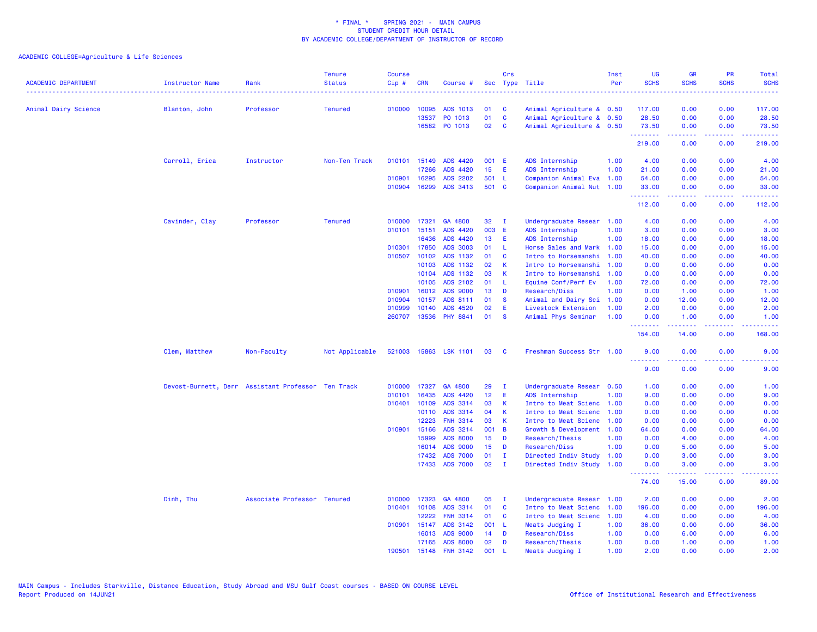| <b>ACADEMIC DEPARTMENT</b> | <b>Instructor Name</b>                             | Rank                        | <b>Tenure</b><br><b>Status</b> | Course<br>Cip#   | <b>CRN</b>     | Course #              |                 | Crs           | Sec Type Title                             | Inst<br>Per | UG<br><b>SCHS</b>                                         | <b>GR</b><br><b>SCHS</b> | PR<br><b>SCHS</b><br>المالمانية الم | Total<br><b>SCHS</b><br>.  |
|----------------------------|----------------------------------------------------|-----------------------------|--------------------------------|------------------|----------------|-----------------------|-----------------|---------------|--------------------------------------------|-------------|-----------------------------------------------------------|--------------------------|-------------------------------------|----------------------------|
| Animal Dairy Science       | Blanton, John                                      | Professor                   | <b>Tenured</b>                 | 010000           | 10095          | ADS 1013              | 01              | C             | Animal Agriculture & 0.50                  |             | 117.00                                                    | 0.00                     | 0.00                                | 117.00                     |
|                            |                                                    |                             |                                |                  | 13537          | PO 1013               | 01              | $\mathbf{C}$  | Animal Agriculture & 0.50                  |             | 28.50                                                     | 0.00                     | 0.00                                | 28.50                      |
|                            |                                                    |                             |                                |                  |                | 16582 PO 1013         | 02              | <b>C</b>      | Animal Agriculture & 0.50                  |             | 73.50                                                     | 0.00                     | 0.00                                | 73.50                      |
|                            |                                                    |                             |                                |                  |                |                       |                 |               |                                            |             | .<br>219.00                                               | . <b>.</b><br>0.00       | .<br>0.00                           | والموالي الموالي<br>219.00 |
|                            | Carroll, Erica                                     | Instructor                  | Non-Ten Track                  |                  | 010101 15149   | <b>ADS 4420</b>       | 001 E           |               | ADS Internship                             | 1.00        | 4.00                                                      | 0.00                     | 0.00                                | 4.00                       |
|                            |                                                    |                             |                                |                  | 17266          | ADS 4420              | 15 <sub>1</sub> | Æ             | ADS Internship                             | 1.00        | 21.00                                                     | 0.00                     | 0.00                                | 21.00                      |
|                            |                                                    |                             |                                | 010901           | 16295          | <b>ADS 2202</b>       | 501             | - L           | Companion Animal Eva                       | 1.00        | 54.00                                                     | 0.00                     | 0.00                                | 54.00                      |
|                            |                                                    |                             |                                |                  | 010904 16299   | ADS 3413              | 501 C           |               | Companion Animal Nut 1.00                  |             | 33.00<br><b><i><u><u><b>Little Little</b></u></u></i></b> | 0.00<br>22222            | 0.00<br>.                           | 33.00<br>.                 |
|                            |                                                    |                             |                                |                  |                |                       |                 |               |                                            |             | 112.00                                                    | 0.00                     | 0.00                                | 112.00                     |
|                            | Cavinder, Clay                                     | Professor                   | <b>Tenured</b>                 |                  | 010000 17321   | GA 4800               | 32              | $\mathbf{I}$  | Undergraduate Resear 1.00                  |             | 4.00                                                      | 0.00                     | 0.00                                | 4.00                       |
|                            |                                                    |                             |                                | 010101           | 15151          | ADS 4420              | 003             | - E           | ADS Internship                             | 1.00        | 3.00                                                      | 0.00                     | 0.00                                | 3.00                       |
|                            |                                                    |                             |                                |                  | 16436          | ADS 4420              | 13              | E             | ADS Internship                             | 1.00        | 18.00                                                     | 0.00                     | 0.00                                | 18.00                      |
|                            |                                                    |                             |                                | 010301           | 17850          | <b>ADS 3003</b>       | 01              | -L.           | Horse Sales and Mark 1.00                  |             | 15.00                                                     | 0.00                     | 0.00                                | 15.00                      |
|                            |                                                    |                             |                                | 010507           | 10102          | ADS 1132              | 01              | C             | Intro to Horsemanshi                       | 1.00        | 40.00                                                     | 0.00                     | 0.00                                | 40.00                      |
|                            |                                                    |                             |                                |                  | 10103          | ADS 1132              | 02              | К             | Intro to Horsemanshi                       | 1.00        | 0.00                                                      | 0.00                     | 0.00                                | 0.00                       |
|                            |                                                    |                             |                                |                  | 10104          | ADS 1132              | 03              | K             | Intro to Horsemanshi                       | 1.00        | 0.00                                                      | 0.00                     | 0.00                                | 0.00                       |
|                            |                                                    |                             |                                |                  | 10105          | ADS 2102              | 01              | -L            | Equine Conf/Perf Ev                        | 1.00        | 72.00                                                     | 0.00                     | 0.00                                | 72.00                      |
|                            |                                                    |                             |                                | 010901<br>010904 | 16012<br>10157 | ADS 9000<br>ADS 8111  | 13<br>01        | D<br><b>S</b> | Research/Diss<br>Animal and Dairy Sci 1.00 | 1.00        | 0.00<br>0.00                                              | 1.00<br>12.00            | 0.00<br>0.00                        | 1.00<br>12.00              |
|                            |                                                    |                             |                                | 010999           | 10140          | ADS 4520              | 02              | Ε             | Livestock Extension                        | 1.00        | 2.00                                                      | 0.00                     | 0.00                                | 2.00                       |
|                            |                                                    |                             |                                |                  |                | 260707 13536 PHY 8841 | 01              | <b>S</b>      | Animal Phys Seminar                        | 1.00        | 0.00                                                      | 1.00                     | 0.00                                | 1.00                       |
|                            |                                                    |                             |                                |                  |                |                       |                 |               |                                            |             | .<br>154.00                                               | 22222<br>14.00           | $\sim$ $\sim$ $\sim$ $\sim$<br>0.00 | . <b>.</b> .<br>168.00     |
|                            | Clem, Matthew                                      | Non-Faculty                 | Not Applicable                 |                  |                | 521003 15863 LSK 1101 | 03              | <b>C</b>      | Freshman Success Str 1.00                  |             | 9.00                                                      | 0.00                     | 0.00                                | 9.00                       |
|                            |                                                    |                             |                                |                  |                |                       |                 |               |                                            |             | <u> - - - - - - - -</u><br>9.00                           | .<br>0.00                | .<br>0.00                           | 9.00                       |
|                            | Devost-Burnett, Derr Assistant Professor Ten Track |                             |                                | 010000           | 17327          | GA 4800               | 29              | $\mathbf{I}$  | Undergraduate Resear                       | 0.50        | 1.00                                                      | 0.00                     | 0.00                                | 1.00                       |
|                            |                                                    |                             |                                | 010101           | 16435          | ADS 4420              | 12              | Ε             | ADS Internship                             | 1.00        | 9.00                                                      | 0.00                     | 0.00                                | 9.00                       |
|                            |                                                    |                             |                                |                  | 010401 10109   | ADS 3314              | 03              | К             | Intro to Meat Scienc 1.00                  |             | 0.00                                                      | 0.00                     | 0.00                                | 0.00                       |
|                            |                                                    |                             |                                |                  | 10110          | ADS 3314              | 04              | К             | Intro to Meat Scienc                       | 1.00        | 0.00                                                      | 0.00                     | 0.00                                | 0.00                       |
|                            |                                                    |                             |                                |                  | 12223          | <b>FNH 3314</b>       | 03              | K             | Intro to Meat Scienc                       | 1.00        | 0.00                                                      | 0.00                     | 0.00                                | 0.00                       |
|                            |                                                    |                             |                                |                  | 010901 15166   | ADS 3214              | 001 B           |               | Growth & Development                       | 1.00        | 64.00                                                     | 0.00                     | 0.00                                | 64.00                      |
|                            |                                                    |                             |                                |                  | 15999          | <b>ADS 8000</b>       | 15              | D             | Research/Thesis                            | 1.00        | 0.00                                                      | 4.00                     | 0.00                                | 4.00                       |
|                            |                                                    |                             |                                |                  | 16014          | <b>ADS 9000</b>       | 15              | D             | Research/Diss                              | 1.00        | 0.00                                                      | 5.00                     | 0.00                                | 5.00                       |
|                            |                                                    |                             |                                |                  | 17432          | <b>ADS 7000</b>       | 01              | - 1           | Directed Indiv Study 1.00                  |             | 0.00                                                      | 3.00                     | 0.00                                | 3.00                       |
|                            |                                                    |                             |                                |                  | 17433          | <b>ADS 7000</b>       | 02              | $\mathbf{I}$  | Directed Indiv Study 1.00                  |             | 0.00<br>.                                                 | 3.00<br>-----            | 0.00<br>والمحامر                    | 3.00                       |
|                            |                                                    |                             |                                |                  |                |                       |                 |               |                                            |             | 74.00                                                     | 15.00                    | 0.00                                | 89.00                      |
|                            | Dinh, Thu                                          | Associate Professor Tenured |                                | 010000           | 17323          | GA 4800               | 05              | $\mathbf{I}$  | Undergraduate Resear 1.00                  |             | 2.00                                                      | 0.00                     | 0.00                                | 2.00                       |
|                            |                                                    |                             |                                |                  | 010401 10108   | ADS 3314              | 01              | C             | Intro to Meat Scienc                       | 1.00        | 196.00                                                    | 0.00                     | 0.00                                | 196.00                     |
|                            |                                                    |                             |                                |                  | 12222          | <b>FNH 3314</b>       | 01              | C             | Intro to Meat Scienc                       | 1.00        | 4.00                                                      | 0.00                     | 0.00                                | 4.00                       |
|                            |                                                    |                             |                                | 010901           | 15147          | ADS 3142              | 001 L           |               | Meats Judging I                            | 1.00        | 36.00                                                     | 0.00                     | 0.00                                | 36.00                      |
|                            |                                                    |                             |                                |                  | 16013          | ADS 9000              | 14              | D             | Research/Diss                              | 1.00        | 0.00                                                      | 6.00                     | 0.00                                | 6.00                       |
|                            |                                                    |                             |                                |                  | 17165          | <b>ADS 8000</b>       | 02              | D             | Research/Thesis                            | 1.00        | 0.00                                                      | 1.00                     | 0.00                                | 1.00                       |
|                            |                                                    |                             |                                | 190501           | 15148          | <b>FNH 3142</b>       | 001             | - L           | Meats Judging I                            | 1.00        | 2.00                                                      | 0.00                     | 0.00                                | 2.00                       |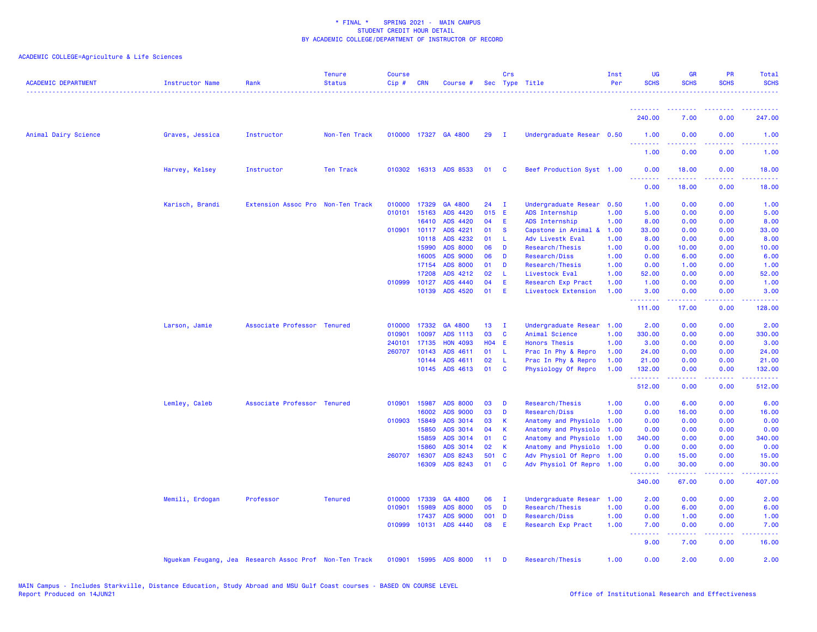| <b>ACADEMIC DEPARTMENT</b> | Instructor Name | Rank                                                   | <b>Tenure</b><br><b>Status</b> | <b>Course</b><br>Cip# | <b>CRN</b>   | Course #              |            | Crs          | Sec Type Title            | Inst<br>Per | UG<br><b>SCHS</b>               | <b>GR</b><br><b>SCHS</b> | PR<br><b>SCHS</b>            | Total<br><b>SCHS</b>                 |
|----------------------------|-----------------|--------------------------------------------------------|--------------------------------|-----------------------|--------------|-----------------------|------------|--------------|---------------------------|-------------|---------------------------------|--------------------------|------------------------------|--------------------------------------|
|                            |                 |                                                        |                                |                       |              |                       |            |              |                           |             |                                 |                          |                              |                                      |
|                            |                 |                                                        |                                |                       |              |                       |            |              |                           |             | 240.00                          | 7.00                     | 0.00                         | 247.00                               |
| Animal Dairy Science       | Graves, Jessica | Instructor                                             | Non-Ten Track                  |                       |              | 010000 17327 GA 4800  | 29         | $\mathbf{I}$ | Undergraduate Resear 0.50 |             | 1.00                            | 0.00                     | 0.00                         | 1.00                                 |
|                            |                 |                                                        |                                |                       |              |                       |            |              |                           |             | 1.00                            | 0.00                     | 0.00                         | 1.00                                 |
|                            | Harvey, Kelsey  | Instructor                                             | <b>Ten Track</b>               |                       |              | 010302 16313 ADS 8533 | 01         | C            | Beef Production Syst 1.00 |             | 0.00                            | 18.00                    | 0.00<br>$\sim$ $\sim$ $\sim$ | 18.00                                |
|                            |                 |                                                        |                                |                       |              |                       |            |              |                           |             | 0.00                            | 18.00                    | 0.00                         | 18.00                                |
|                            | Karisch, Brandi | Extension Assoc Pro Non-Ten Track                      |                                | 010000                | 17329        | GA 4800               | 24         | $\mathbf{I}$ | Undergraduate Resear      | 0.50        | 1.00                            | 0.00                     | 0.00                         | 1.00                                 |
|                            |                 |                                                        |                                | 010101                | 15163        | ADS 4420              | 015 E      |              | ADS Internship            | 1.00        | 5.00                            | 0.00                     | 0.00                         | 5.00                                 |
|                            |                 |                                                        |                                |                       | 16410        | ADS 4420              | 04         | Ε            | ADS Internship            | 1.00        | 8.00                            | 0.00                     | 0.00                         | 8.00                                 |
|                            |                 |                                                        |                                |                       | 010901 10117 | ADS 4221              | 01         | <b>S</b>     | Capstone in Animal &      | 1.00        | 33.00                           | 0.00                     | 0.00                         | 33.00                                |
|                            |                 |                                                        |                                |                       | 10118        | ADS 4232              | 01         | -L           | Adv Livestk Eval          | 1.00        | 8.00                            | 0.00                     | 0.00                         | 8.00                                 |
|                            |                 |                                                        |                                |                       | 15990        | <b>ADS 8000</b>       | 06         | D            | Research/Thesis           | 1.00        | 0.00                            | 10.00                    | 0.00                         | 10.00                                |
|                            |                 |                                                        |                                |                       | 16005        | <b>ADS 9000</b>       | 06         | D            | Research/Diss             | 1.00        | 0.00                            | 6.00                     | 0.00                         | 6.00                                 |
|                            |                 |                                                        |                                |                       | 17154        | <b>ADS 8000</b>       | 01         | D            | Research/Thesis           | 1.00        | 0.00                            | 1.00                     | 0.00                         | 1.00                                 |
|                            |                 |                                                        |                                |                       | 17208        | ADS 4212              | 02         | L            | Livestock Eval            | 1.00        | 52.00                           | 0.00                     | 0.00                         | 52.00                                |
|                            |                 |                                                        |                                | 010999                | 10127        | ADS 4440              | 04         | Ε            | Research Exp Pract        | 1.00        | 1.00                            | 0.00                     | 0.00                         | 1.00                                 |
|                            |                 |                                                        |                                |                       |              | 10139 ADS 4520        | 01         | Ε            | Livestock Extension       | 1.00        | 3.00<br><u>.</u>                | 0.00<br>22222            | 0.00<br>.                    | 3.00<br>.                            |
|                            |                 |                                                        |                                |                       |              |                       |            |              |                           |             | 111.00                          | 17.00                    | 0.00                         | 128.00                               |
|                            | Larson, Jamie   | Associate Professor Tenured                            |                                | 010000                | 17332        | GA 4800               | 13         | $\mathbf{I}$ | Undergraduate Resear      | 1.00        | 2.00                            | 0.00                     | 0.00                         | 2.00                                 |
|                            |                 |                                                        |                                | 010901                | 10097        | ADS 1113              | 03         | C            | Animal Science            | 1.00        | 330.00                          | 0.00                     | 0.00                         | 330.00                               |
|                            |                 |                                                        |                                | 240101                | 17135        | <b>HON 4093</b>       | <b>HO4</b> | E            | <b>Honors Thesis</b>      | 1.00        | 3.00                            | 0.00                     | 0.00                         | 3.00                                 |
|                            |                 |                                                        |                                | 260707                | 10143        | ADS 4611              | 01         | <b>L</b>     | Prac In Phy & Repro       | 1.00        | 24.00                           | 0.00                     | 0.00                         | 24.00                                |
|                            |                 |                                                        |                                |                       | 10144        | ADS 4611              | 02         | -L           | Prac In Phy & Repro       | 1.00        | 21.00                           | 0.00                     | 0.00                         | 21.00                                |
|                            |                 |                                                        |                                |                       |              | 10145 ADS 4613        | 01         | C            | Physiology Of Repro       | 1.00        | 132.00<br>.                     | 0.00<br>. <b>.</b>       | 0.00<br>.                    | 132.00<br>لأعاط عاطات                |
|                            |                 |                                                        |                                |                       |              |                       |            |              |                           |             | 512.00                          | 0.00                     | 0.00                         | 512.00                               |
|                            | Lemley, Caleb   | Associate Professor Tenured                            |                                | 010901                | 15987        | <b>ADS 8000</b>       | 03         | D            | Research/Thesis           | 1.00        | 0.00                            | 6.00                     | 0.00                         | 6.00                                 |
|                            |                 |                                                        |                                |                       | 16002        | <b>ADS 9000</b>       | 03         | D            | Research/Diss             | 1.00        | 0.00                            | 16.00                    | 0.00                         | 16.00                                |
|                            |                 |                                                        |                                | 010903 15849          |              | ADS 3014              | 03         | К            | Anatomy and Physiolo      | 1.00        | 0.00                            | 0.00                     | 0.00                         | 0.00                                 |
|                            |                 |                                                        |                                |                       | 15850        | ADS 3014              | 04         | $\mathsf{K}$ | Anatomy and Physiolo      | 1.00        | 0.00                            | 0.00                     | 0.00                         | 0.00                                 |
|                            |                 |                                                        |                                |                       | 15859        | ADS 3014              | 01         | C            | Anatomy and Physiolo      | 1.00        | 340.00                          | 0.00                     | 0.00                         | 340.00                               |
|                            |                 |                                                        |                                |                       | 15860        | ADS 3014              | 02         | К            | Anatomy and Physiolo      | 1.00        | 0.00                            | 0.00                     | 0.00                         | 0.00                                 |
|                            |                 |                                                        |                                | 260707                | 16307        | ADS 8243              | 501        | <b>C</b>     | Adv Physiol Of Repro      | 1.00        | 0.00                            | 15.00                    | 0.00                         | 15.00                                |
|                            |                 |                                                        |                                |                       | 16309        | ADS 8243              | 01         | <b>C</b>     | Adv Physiol Of Repro 1.00 |             | 0.00<br><u> - - - - - - - -</u> | 30.00<br>.               | 0.00<br>.                    | 30.00<br>.                           |
|                            |                 |                                                        |                                |                       |              |                       |            |              |                           |             | 340.00                          | 67.00                    | 0.00                         | 407.00                               |
|                            | Memili, Erdogan | Professor                                              | <b>Tenured</b>                 | 010000                | 17339        | GA 4800               | 06         | $\mathbf{I}$ | Undergraduate Resear      | 1.00        | 2.00                            | 0.00                     | 0.00                         | 2.00                                 |
|                            |                 |                                                        |                                | 010901                | 15989        | <b>ADS 8000</b>       | 05         | D            | Research/Thesis           | 1.00        | 0.00                            | 6.00                     | 0.00                         | 6.00                                 |
|                            |                 |                                                        |                                |                       | 17437        | <b>ADS 9000</b>       | 001        | D            | Research/Diss             | 1.00        | 0.00                            | 1.00                     | 0.00                         | 1.00                                 |
|                            |                 |                                                        |                                | 010999 10131          |              | ADS 4440              | 08         | Ε            | Research Exp Pract        | 1.00        | 7.00                            | 0.00                     | 0.00                         | 7.00                                 |
|                            |                 |                                                        |                                |                       |              |                       |            |              |                           |             | <b></b><br>9.00                 | بالأباب<br>7.00          | بالأباء<br>0.00              | $\sim$ $\sim$ $\sim$ $\sim$<br>16.00 |
|                            |                 | Nguekam Feugang, Jea Research Assoc Prof Non-Ten Track |                                | 010901                |              | 15995 ADS 8000        | 11         | D            | Research/Thesis           | 1.00        | 0.00                            | 2.00                     | 0.00                         | 2.00                                 |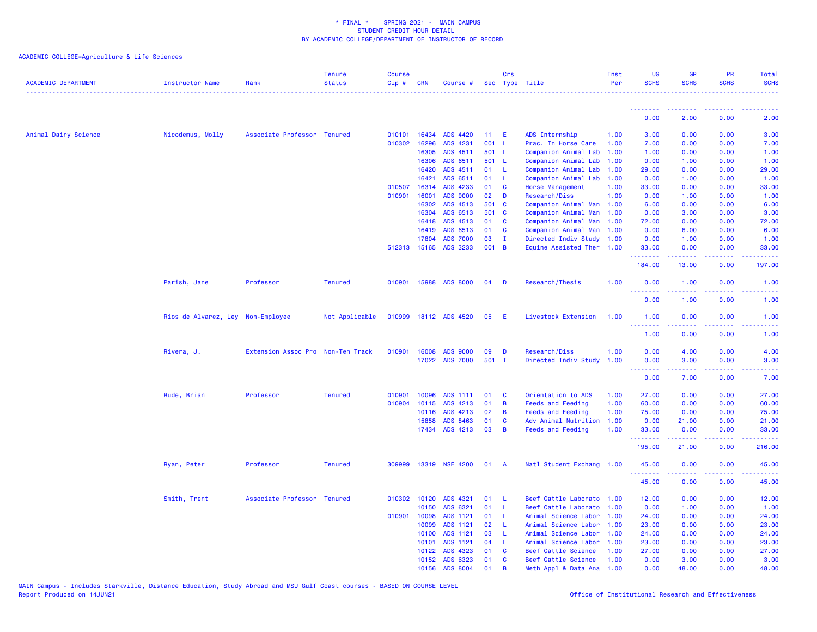| <b>ACADEMIC DEPARTMENT</b> | Instructor Name                   | Rank                              | <b>Tenure</b><br><b>Status</b> | <b>Course</b><br>$Cip \#$ | CRN          | Course #        |       | Crs         | Sec Type Title            | Inst<br>Per | UG<br><b>SCHS</b> | <b>GR</b><br><b>SCHS</b>                                                                                                                                     | <b>PR</b><br><b>SCHS</b> | Total<br><b>SCHS</b>                                                                                                              |
|----------------------------|-----------------------------------|-----------------------------------|--------------------------------|---------------------------|--------------|-----------------|-------|-------------|---------------------------|-------------|-------------------|--------------------------------------------------------------------------------------------------------------------------------------------------------------|--------------------------|-----------------------------------------------------------------------------------------------------------------------------------|
|                            |                                   |                                   |                                |                           |              |                 |       |             |                           |             | .                 |                                                                                                                                                              |                          |                                                                                                                                   |
|                            |                                   |                                   |                                |                           |              |                 |       |             |                           |             | 0.00              | 2.00                                                                                                                                                         | 0.00                     | 2.00                                                                                                                              |
| Animal Dairy Science       | Nicodemus, Molly                  | Associate Professor Tenured       |                                |                           | 010101 16434 | ADS 4420        | 11    | Æ           | ADS Internship            | 1.00        | 3.00              | 0.00                                                                                                                                                         | 0.00                     | 3.00                                                                                                                              |
|                            |                                   |                                   |                                |                           | 010302 16296 | ADS 4231        | CO1   | -L          | Prac. In Horse Care       | 1.00        | 7.00              | 0.00                                                                                                                                                         | 0.00                     | 7.00                                                                                                                              |
|                            |                                   |                                   |                                |                           | 16305        | ADS 4511        | 501 L |             | Companion Animal Lab      | 1.00        | 1.00              | 0.00                                                                                                                                                         | 0.00                     | 1.00                                                                                                                              |
|                            |                                   |                                   |                                |                           | 16306        | ADS 6511        | 501 L |             | Companion Animal Lab      | 1.00        | 0.00              | 1.00                                                                                                                                                         | 0.00                     | 1.00                                                                                                                              |
|                            |                                   |                                   |                                |                           | 16420        | ADS 4511        | 01    | L           | Companion Animal Lab      | 1.00        | 29.00             | 0.00                                                                                                                                                         | 0.00                     | 29.00                                                                                                                             |
|                            |                                   |                                   |                                |                           | 16421        | ADS 6511        | 01    | L           | Companion Animal Lab      | 1.00        | 0.00              | 1.00                                                                                                                                                         | 0.00                     | 1.00                                                                                                                              |
|                            |                                   |                                   |                                | 010507                    | 16314        | ADS 4233        | 01    | C           | Horse Management          | 1.00        | 33.00             | 0.00                                                                                                                                                         | 0.00                     | 33.00                                                                                                                             |
|                            |                                   |                                   |                                | 010901                    | 16001        | <b>ADS 9000</b> | 02    | D           | Research/Diss             | 1.00        | 0.00              | 1.00                                                                                                                                                         | 0.00                     | 1.00                                                                                                                              |
|                            |                                   |                                   |                                |                           | 16302        | ADS 4513        | 501 C |             | Companion Animal Man 1.00 |             | 6.00              | 0.00                                                                                                                                                         | 0.00                     | 6.00                                                                                                                              |
|                            |                                   |                                   |                                |                           | 16304        | ADS 6513        | 501 C |             | Companion Animal Man      | 1.00        | 0.00              | 3.00                                                                                                                                                         | 0.00                     | 3.00                                                                                                                              |
|                            |                                   |                                   |                                |                           | 16418        | ADS 4513        | 01    | C           | Companion Animal Man 1.00 |             | 72.00             | 0.00                                                                                                                                                         | 0.00                     | 72.00                                                                                                                             |
|                            |                                   |                                   |                                |                           | 16419        | ADS 6513        | 01    | C           | Companion Animal Man      | 1.00        | 0.00              | 6.00                                                                                                                                                         | 0.00                     | 6.00                                                                                                                              |
|                            |                                   |                                   |                                |                           | 17804        | <b>ADS 7000</b> | 03    | $\mathbf I$ | Directed Indiv Study 1.00 |             | 0.00              | 1.00                                                                                                                                                         | 0.00                     | 1.00                                                                                                                              |
|                            |                                   |                                   |                                |                           | 512313 15165 | ADS 3233        | 001 B |             | Equine Assisted Ther 1.00 |             | 33.00<br>.        | 0.00<br>.                                                                                                                                                    | 0.00<br>$\frac{1}{2}$    | 33.00<br>.                                                                                                                        |
|                            |                                   |                                   |                                |                           |              |                 |       |             |                           |             | 184.00            | 13.00                                                                                                                                                        | 0.00                     | 197.00                                                                                                                            |
|                            | Parish, Jane                      | Professor                         | <b>Tenured</b>                 |                           | 010901 15988 | <b>ADS 8000</b> | 04    | D           | Research/Thesis           | 1.00        | 0.00              | 1.00                                                                                                                                                         | 0.00                     | 1.00                                                                                                                              |
|                            |                                   |                                   |                                |                           |              |                 |       |             |                           |             | 0.00              | 1.00                                                                                                                                                         | 0.00                     | 1.00                                                                                                                              |
|                            | Rios de Alvarez, Ley Non-Employee |                                   | Not Applicable                 | 010999                    |              | 18112 ADS 4520  | 05    | E           | Livestock Extension       | 1.00        | 1.00              | 0.00                                                                                                                                                         | 0.00                     | 1.00                                                                                                                              |
|                            |                                   |                                   |                                |                           |              |                 |       |             |                           |             | .<br>1.00         | 0.00                                                                                                                                                         | 0.00                     | 1.00                                                                                                                              |
|                            | Rivera, J.                        | Extension Assoc Pro Non-Ten Track |                                | 010901                    | 16008        | <b>ADS 9000</b> | 09    | D           | Research/Diss             | 1.00        | 0.00              | 4.00                                                                                                                                                         | 0.00                     | 4.00                                                                                                                              |
|                            |                                   |                                   |                                |                           | 17022        | <b>ADS 7000</b> | 501 I |             | Directed Indiv Study      | 1.00        | 0.00<br>.         | 3.00<br>$\frac{1}{2} \left( \frac{1}{2} \right) \left( \frac{1}{2} \right) \left( \frac{1}{2} \right) \left( \frac{1}{2} \right) \left( \frac{1}{2} \right)$ | 0.00<br>.                | 3.00<br>$\frac{1}{2} \left( \frac{1}{2} \right) \left( \frac{1}{2} \right) \left( \frac{1}{2} \right) \left( \frac{1}{2} \right)$ |
|                            |                                   |                                   |                                |                           |              |                 |       |             |                           |             | 0.00              | 7.00                                                                                                                                                         | 0.00                     | 7.00                                                                                                                              |
|                            | Rude, Brian                       | Professor                         | <b>Tenured</b>                 | 010901                    | 10096        | ADS 1111        | 01    | C           | Orientation to ADS        | 1.00        | 27.00             | 0.00                                                                                                                                                         | 0.00                     | 27.00                                                                                                                             |
|                            |                                   |                                   |                                | 010904                    | 10115        | ADS 4213        | 01    | B           | <b>Feeds and Feeding</b>  | 1.00        | 60.00             | 0.00                                                                                                                                                         | 0.00                     | 60.00                                                                                                                             |
|                            |                                   |                                   |                                |                           | 10116        | ADS 4213        | 02    | B           | <b>Feeds and Feeding</b>  | 1.00        | 75.00             | 0.00                                                                                                                                                         | 0.00                     | 75.00                                                                                                                             |
|                            |                                   |                                   |                                |                           | 15858        | ADS 8463        | 01    | C           | Adv Animal Nutrition      | 1.00        | 0.00              | 21.00                                                                                                                                                        | 0.00                     | 21.00                                                                                                                             |
|                            |                                   |                                   |                                |                           | 17434        | ADS 4213        | 03    | B           | <b>Feeds and Feeding</b>  | 1.00        | 33.00<br>.        | 0.00                                                                                                                                                         | 0.00                     | 33.00                                                                                                                             |
|                            |                                   |                                   |                                |                           |              |                 |       |             |                           |             | 195.00            | 21.00                                                                                                                                                        | 0.00                     | 216.00                                                                                                                            |
|                            | Ryan, Peter                       | Professor                         | <b>Tenured</b>                 | 309999                    |              | 13319 NSE 4200  | 01    | <b>A</b>    | Natl Student Exchang 1.00 |             | 45.00             | 0.00                                                                                                                                                         | 0.00                     | 45.00                                                                                                                             |
|                            |                                   |                                   |                                |                           |              |                 |       |             |                           |             | 45.00             | 0.00                                                                                                                                                         | 0.00                     | 45.00                                                                                                                             |
|                            | Smith, Trent                      | Associate Professor               | <b>Tenured</b>                 |                           | 010302 10120 | ADS 4321        | 01    | L           | Beef Cattle Laborato      | 1.00        | 12.00             | 0.00                                                                                                                                                         | 0.00                     | 12.00                                                                                                                             |
|                            |                                   |                                   |                                |                           | 10150        | ADS 6321        | 01    | L           | Beef Cattle Laborato      | 1.00        | 0.00              | 1.00                                                                                                                                                         | 0.00                     | 1.00                                                                                                                              |
|                            |                                   |                                   |                                |                           | 010901 10098 | ADS 1121        | 01    | L           | Animal Science Labor      | 1.00        | 24.00             | 0.00                                                                                                                                                         | 0.00                     | 24.00                                                                                                                             |
|                            |                                   |                                   |                                |                           | 10099        | ADS 1121        | 02    | -L.         | Animal Science Labor      | 1.00        | 23.00             | 0.00                                                                                                                                                         | 0.00                     | 23.00                                                                                                                             |
|                            |                                   |                                   |                                |                           | 10100        | ADS 1121        | 03    | L           | Animal Science Labor      | 1.00        | 24.00             | 0.00                                                                                                                                                         | 0.00                     | 24.00                                                                                                                             |
|                            |                                   |                                   |                                |                           | 10101        | ADS 1121        | 04    | -L          | Animal Science Labor      | 1.00        | 23.00             | 0.00                                                                                                                                                         | 0.00                     | 23.00                                                                                                                             |
|                            |                                   |                                   |                                |                           | 10122        | ADS 4323        | 01    | C           | Beef Cattle Science       | 1.00        | 27.00             | 0.00                                                                                                                                                         | 0.00                     | 27.00                                                                                                                             |
|                            |                                   |                                   |                                |                           | 10152        | ADS 6323        | 01    | C           | Beef Cattle Science       | 1.00        | 0.00              | 3.00                                                                                                                                                         | 0.00                     | 3.00                                                                                                                              |
|                            |                                   |                                   |                                |                           | 10156        | ADS 8004        | 01    | B           | Meth Appl & Data Ana      | 1.00        | 0.00              | 48.00                                                                                                                                                        | 0.00                     | 48.00                                                                                                                             |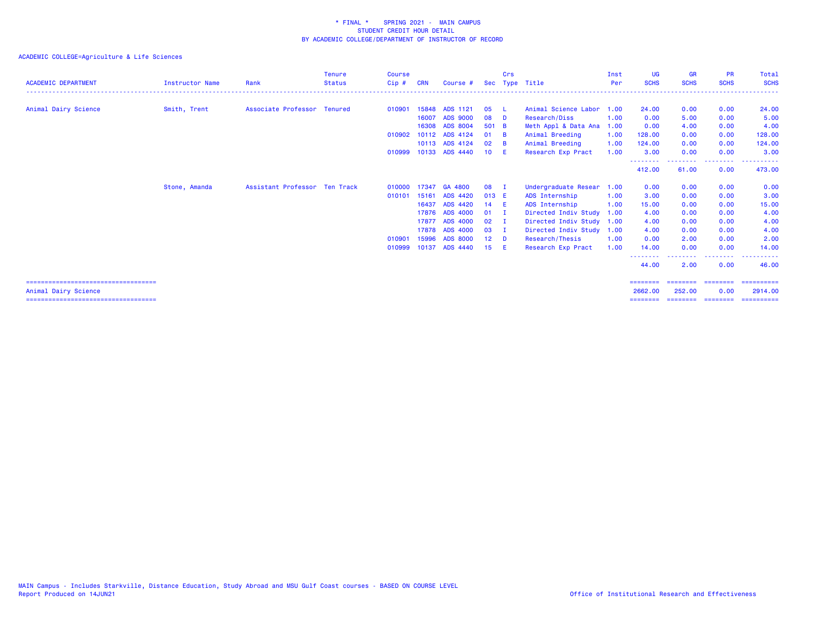| <b>ACADEMIC DEPARTMENT</b>                                     | <b>Instructor Name</b> | Rank                          | <b>Tenure</b><br><b>Status</b> | Course<br>Cip# | <b>CRN</b> | Course #        | Sec             | Crs            | Type Title                | Inst<br>Per | <b>UG</b><br><b>SCHS</b>        | <b>GR</b><br><b>SCHS</b> | <b>PR</b><br><b>SCHS</b> | Total<br><b>SCHS</b>  |
|----------------------------------------------------------------|------------------------|-------------------------------|--------------------------------|----------------|------------|-----------------|-----------------|----------------|---------------------------|-------------|---------------------------------|--------------------------|--------------------------|-----------------------|
|                                                                |                        |                               |                                |                |            |                 |                 |                |                           |             |                                 |                          |                          |                       |
| Animal Dairy Science                                           | Smith, Trent           | Associate Professor Tenured   |                                | 010901         | 15848      | ADS 1121        | 05              | - 1.           | Animal Science Labor      | 1.00        | 24.00                           | 0.00                     | 0.00                     | 24.00                 |
|                                                                |                        |                               |                                |                | 16007      | <b>ADS 9000</b> | 08              | - D            | Research/Diss             | 1.00        | 0.00                            | 5.00                     | 0.00                     | 5.00                  |
|                                                                |                        |                               |                                |                | 16308      | ADS 8004        | 501 B           |                | Meth Appl & Data Ana      | 1.00        | 0.00                            | 4.00                     | 0.00                     | 4.00                  |
|                                                                |                        |                               |                                | 010902         | 10112      | ADS 4124        | 01              | - B            | Animal Breeding           | 1.00        | 128.00                          | 0.00                     | 0.00                     | 128.00                |
|                                                                |                        |                               |                                |                |            | 10113 ADS 4124  | 02              | - B            | Animal Breeding           | 1.00        | 124,00                          | 0.00                     | 0.00                     | 124.00                |
|                                                                |                        |                               |                                | 010999         |            | 10133 ADS 4440  | 10 <sup>°</sup> | - E            | Research Exp Pract        | 1.00        | 3.00                            | 0.00                     | 0.00                     | 3.00                  |
|                                                                |                        |                               |                                |                |            |                 |                 |                |                           |             | 412.00                          | 61.00                    | .<br>0.00                | 473.00                |
|                                                                | Stone, Amanda          | Assistant Professor Ten Track |                                | 010000         |            | 17347 GA 4800   | 08              | - 1            | Undergraduate Resear      | 1.00        | 0.00                            | 0.00                     | 0.00                     | 0.00                  |
|                                                                |                        |                               |                                | 010101         | 15161      | ADS 4420        | 013 E           |                | ADS Internship            | 1.00        | 3.00                            | 0.00                     | 0.00                     | 3.00                  |
|                                                                |                        |                               |                                |                | 16437      | ADS 4420        | 14              | - E            | ADS Internship            | 1.00        | 15.00                           | 0.00                     | 0.00                     | 15.00                 |
|                                                                |                        |                               |                                |                | 17876      | <b>ADS 4000</b> | 01              | - 1            | Directed Indiv Study      | 1.00        | 4.00                            | 0.00                     | 0.00                     | 4.00                  |
|                                                                |                        |                               |                                |                | 17877      | <b>ADS 4000</b> | 02              | $\blacksquare$ | Directed Indiv Study 1.00 |             | 4.00                            | 0.00                     | 0.00                     | 4.00                  |
|                                                                |                        |                               |                                |                | 17878      | ADS 4000        | 03              | $\mathbf{I}$   | Directed Indiv Study      | 1.00        | 4.00                            | 0.00                     | 0.00                     | 4.00                  |
|                                                                |                        |                               |                                | 010901         | 15996      | <b>ADS 8000</b> | 12 <sub>1</sub> | <b>D</b>       | Research/Thesis           | 1.00        | 0.00                            | 2.00                     | 0.00                     | 2.00                  |
|                                                                |                        |                               |                                | 010999         | 10137      | <b>ADS 4440</b> | 15              | - E            | Research Exp Pract        | 1.00        | 14.00                           | 0.00                     | 0.00                     | 14.00                 |
|                                                                |                        |                               |                                |                |            |                 |                 |                |                           |             | <u>- - - - - - - -</u><br>44.00 | 2.00                     | . <b>.</b><br>0.00       | 46.00                 |
| =====================================                          |                        |                               |                                |                |            |                 |                 |                |                           |             | ========                        | ========                 | ========                 | ==========            |
| Animal Dairy Science<br>====================================== |                        |                               |                                |                |            |                 |                 |                |                           |             | 2662.00                         | 252,00                   | 0.00                     | 2914.00<br>========== |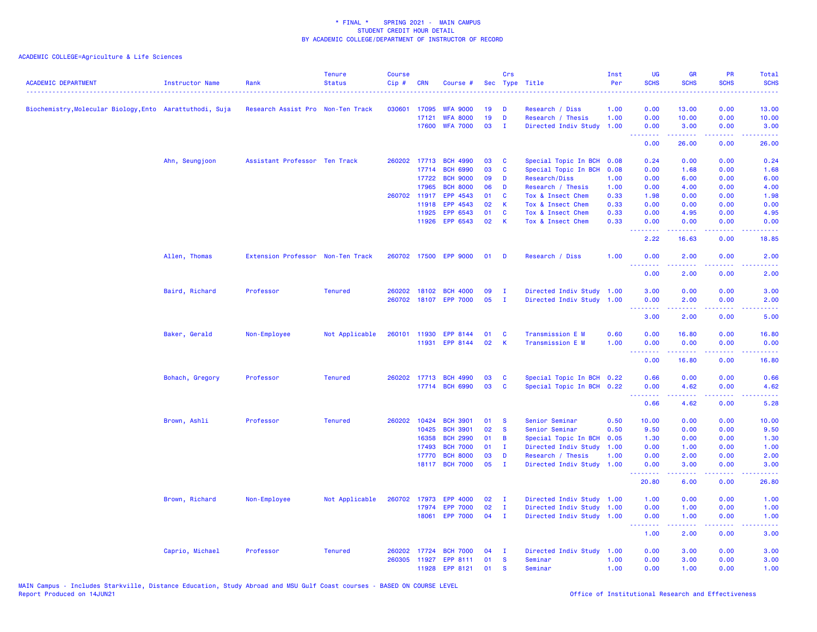| <b>ACADEMIC DEPARTMENT</b>                               | Instructor Name | Rank                              | <b>Tenure</b><br><b>Status</b> | <b>Course</b><br>Cip# | <b>CRN</b>            | Course #                           |          | Crs           | Sec Type Title                         | Inst<br>Per  | <b>UG</b><br><b>SCHS</b>                                                                               | <b>GR</b><br><b>SCHS</b>                                                                                                                                      | <b>PR</b><br><b>SCHS</b> | <b>Total</b><br><b>SCHS</b><br>.                                                                                                   |
|----------------------------------------------------------|-----------------|-----------------------------------|--------------------------------|-----------------------|-----------------------|------------------------------------|----------|---------------|----------------------------------------|--------------|--------------------------------------------------------------------------------------------------------|---------------------------------------------------------------------------------------------------------------------------------------------------------------|--------------------------|------------------------------------------------------------------------------------------------------------------------------------|
| Biochemistry, Molecular Biology, Ento Aarattuthodi, Suja |                 | Research Assist Pro Non-Ten Track |                                |                       | 030601 17095          | <b>WFA 9000</b>                    | 19       | D             | Research / Diss                        | 1.00         | 0.00                                                                                                   | 13.00                                                                                                                                                         | 0.00                     | 13.00                                                                                                                              |
|                                                          |                 |                                   |                                |                       | 17121                 | <b>WFA 8000</b>                    | 19       | D             | Research / Thesis                      | 1.00         | 0.00                                                                                                   | 10.00                                                                                                                                                         | 0.00                     | 10.00                                                                                                                              |
|                                                          |                 |                                   |                                |                       | 17600                 | <b>WFA 7000</b>                    | 03       | $\mathbf{I}$  | Directed Indiv Study                   | 1.00         | 0.00<br><b><i><u><u><b>Little Little</b></u></u></i></b>                                               | 3.00<br>.                                                                                                                                                     | 0.00<br>د د د د .        | 3.00<br>الدعاعات                                                                                                                   |
|                                                          |                 |                                   |                                |                       |                       |                                    |          |               |                                        |              | 0.00                                                                                                   | 26.00                                                                                                                                                         | 0.00                     | 26.00                                                                                                                              |
|                                                          | Ahn, Seungjoon  | Assistant Professor Ten Track     |                                |                       | 260202 17713          | <b>BCH 4990</b>                    | 03       | C             | Special Topic In BCH                   | 0.08         | 0.24                                                                                                   | 0.00                                                                                                                                                          | 0.00                     | 0.24                                                                                                                               |
|                                                          |                 |                                   |                                |                       | 17714                 | <b>BCH 6990</b>                    | 03       | C             | Special Topic In BCH                   | 0.08         | 0.00                                                                                                   | 1.68                                                                                                                                                          | 0.00                     | 1.68                                                                                                                               |
|                                                          |                 |                                   |                                |                       | 17722<br>17965        | <b>BCH 9000</b><br><b>BCH 8000</b> | 09<br>06 | D<br>D        | Research/Diss                          | 1.00<br>1.00 | 0.00<br>0.00                                                                                           | 6.00<br>4.00                                                                                                                                                  | 0.00<br>0.00             | 6.00<br>4.00                                                                                                                       |
|                                                          |                 |                                   |                                |                       | 260702 11917          | EPP 4543                           | 01       | C             | Research / Thesis<br>Tox & Insect Chem | 0.33         | 1.98                                                                                                   | 0.00                                                                                                                                                          | 0.00                     | 1.98                                                                                                                               |
|                                                          |                 |                                   |                                |                       | 11918                 | EPP 4543                           | 02       | K             | Tox & Insect Chem                      | 0.33         | 0.00                                                                                                   | 0.00                                                                                                                                                          | 0.00                     | 0.00                                                                                                                               |
|                                                          |                 |                                   |                                |                       | 11925                 | EPP 6543                           | 01       | C             | Tox & Insect Chem                      | 0.33         | 0.00                                                                                                   | 4.95                                                                                                                                                          | 0.00                     | 4.95                                                                                                                               |
|                                                          |                 |                                   |                                |                       | 11926                 | EPP 6543                           | 02       | K             | Tox & Insect Chem                      | 0.33         | 0.00                                                                                                   | 0.00                                                                                                                                                          | 0.00                     | 0.00                                                                                                                               |
|                                                          |                 |                                   |                                |                       |                       |                                    |          |               |                                        |              | .<br>2.22                                                                                              | $\frac{1}{2} \left( \frac{1}{2} \right) \left( \frac{1}{2} \right) \left( \frac{1}{2} \right) \left( \frac{1}{2} \right) \left( \frac{1}{2} \right)$<br>16.63 | .<br>0.00                | $\frac{1}{2} \left( \frac{1}{2} \right) \left( \frac{1}{2} \right) \left( \frac{1}{2} \right) \left( \frac{1}{2} \right)$<br>18.85 |
|                                                          | Allen, Thomas   | Extension Professor Non-Ten Track |                                |                       | 260702 17500          | <b>EPP 9000</b>                    | 01       | D             | Research / Diss                        | 1.00         | 0.00                                                                                                   | 2.00                                                                                                                                                          | 0.00                     | 2.00                                                                                                                               |
|                                                          |                 |                                   |                                |                       |                       |                                    |          |               |                                        |              | 0.00                                                                                                   | 2.00                                                                                                                                                          | 0.00                     | 2.00                                                                                                                               |
|                                                          | Baird, Richard  | Professor                         | <b>Tenured</b>                 |                       | 260202 18102          | <b>BCH 4000</b>                    | 09       | $\mathbf{I}$  | Directed Indiv Study 1.00              |              | 3.00                                                                                                   | 0.00                                                                                                                                                          | 0.00                     | 3.00                                                                                                                               |
|                                                          |                 |                                   |                                |                       | 260702 18107          | <b>EPP 7000</b>                    | 05       | $\mathbf{I}$  | Directed Indiv Study 1.00              |              | 0.00                                                                                                   | 2.00                                                                                                                                                          | 0.00                     | 2.00                                                                                                                               |
|                                                          |                 |                                   |                                |                       |                       |                                    |          |               |                                        |              | $\frac{1}{2} \left( \frac{1}{2} \right) \left( \frac{1}{2} \right) \left( \frac{1}{2} \right)$<br>3.00 | 2.00                                                                                                                                                          | 0.00                     | 5.00                                                                                                                               |
|                                                          |                 |                                   |                                |                       |                       |                                    |          |               |                                        |              |                                                                                                        |                                                                                                                                                               |                          |                                                                                                                                    |
|                                                          | Baker, Gerald   | Non-Employee                      | Not Applicable                 |                       | 260101 11930<br>11931 | <b>EPP 8144</b><br>EPP 8144        | 01<br>02 | <b>C</b><br>K | Transmission E M<br>Transmission E M   | 0.60<br>1.00 | 0.00<br>0.00                                                                                           | 16.80<br>0.00                                                                                                                                                 | 0.00<br>0.00             | 16.80<br>0.00                                                                                                                      |
|                                                          |                 |                                   |                                |                       |                       |                                    |          |               |                                        |              | <u>.</u>                                                                                               | .                                                                                                                                                             | .                        | .                                                                                                                                  |
|                                                          |                 |                                   |                                |                       |                       |                                    |          |               |                                        |              | 0.00                                                                                                   | 16.80                                                                                                                                                         | 0.00                     | 16.80                                                                                                                              |
|                                                          | Bohach, Gregory | Professor                         | <b>Tenured</b>                 |                       | 260202 17713          | <b>BCH 4990</b>                    | 03       | C             | Special Topic In BCH 0.22              |              | 0.66                                                                                                   | 0.00                                                                                                                                                          | 0.00                     | 0.66                                                                                                                               |
|                                                          |                 |                                   |                                |                       |                       | 17714 BCH 6990                     | 03       | C             | Special Topic In BCH 0.22              |              | 0.00                                                                                                   | 4.62                                                                                                                                                          | 0.00                     | 4.62                                                                                                                               |
|                                                          |                 |                                   |                                |                       |                       |                                    |          |               |                                        |              | <u>.</u><br>0.66                                                                                       | $\frac{1}{2} \left( \frac{1}{2} \right) \left( \frac{1}{2} \right) \left( \frac{1}{2} \right) \left( \frac{1}{2} \right) \left( \frac{1}{2} \right)$<br>4.62  | .<br>0.00                | $\frac{1}{2} \left( \frac{1}{2} \right) \left( \frac{1}{2} \right) \left( \frac{1}{2} \right) \left( \frac{1}{2} \right)$<br>5.28  |
|                                                          | Brown, Ashli    | Professor                         | <b>Tenured</b>                 |                       | 260202 10424          | <b>BCH 3901</b>                    | 01       | <b>S</b>      | Senior Seminar                         | 0.50         | 10.00                                                                                                  | 0.00                                                                                                                                                          | 0.00                     | 10.00                                                                                                                              |
|                                                          |                 |                                   |                                |                       | 10425                 | <b>BCH 3901</b>                    | 02       | <b>S</b>      | Senior Seminar                         | 0.50         | 9.50                                                                                                   | 0.00                                                                                                                                                          | 0.00                     | 9.50                                                                                                                               |
|                                                          |                 |                                   |                                |                       | 16358                 | <b>BCH 2990</b>                    | 01       | B             | Special Topic In BCH                   | 0.05         | 1.30                                                                                                   | 0.00                                                                                                                                                          | 0.00                     | 1.30                                                                                                                               |
|                                                          |                 |                                   |                                |                       | 17493                 | <b>BCH 7000</b>                    | 01       | T             | Directed Indiv Study                   | 1.00         | 0.00                                                                                                   | 1.00                                                                                                                                                          | 0.00                     | 1.00                                                                                                                               |
|                                                          |                 |                                   |                                |                       | 17770                 | <b>BCH 8000</b>                    | 03       | D             | Research / Thesis                      | 1.00         | 0.00                                                                                                   | 2.00                                                                                                                                                          | 0.00                     | 2.00                                                                                                                               |
|                                                          |                 |                                   |                                |                       | 18117                 | <b>BCH 7000</b>                    | 05       | $\mathbf{I}$  | Directed Indiv Study 1.00              |              | 0.00<br>.                                                                                              | 3.00<br>$\frac{1}{2} \left( \frac{1}{2} \right) \left( \frac{1}{2} \right) \left( \frac{1}{2} \right) \left( \frac{1}{2} \right) \left( \frac{1}{2} \right)$  | 0.00<br>.                | 3.00<br>.                                                                                                                          |
|                                                          |                 |                                   |                                |                       |                       |                                    |          |               |                                        |              | 20.80                                                                                                  | 6.00                                                                                                                                                          | 0.00                     | 26.80                                                                                                                              |
|                                                          | Brown, Richard  | Non-Employee                      | Not Applicable                 | 260702                | 17973                 | <b>EPP 4000</b>                    | 02       | $\mathbf{I}$  | Directed Indiv Study                   | 1.00         | 1.00                                                                                                   | 0.00                                                                                                                                                          | 0.00                     | 1.00                                                                                                                               |
|                                                          |                 |                                   |                                |                       | 17974                 | <b>EPP 7000</b>                    | 02       | $\mathbf{I}$  | Directed Indiv Study                   | 1.00         | 0.00                                                                                                   | 1.00                                                                                                                                                          | 0.00                     | 1.00                                                                                                                               |
|                                                          |                 |                                   |                                |                       |                       | 18061 EPP 7000                     | 04       | - I           | Directed Indiv Study 1.00              |              | 0.00<br>.                                                                                              | 1.00<br>.                                                                                                                                                     | 0.00<br>.                | 1.00<br>----                                                                                                                       |
|                                                          |                 |                                   |                                |                       |                       |                                    |          |               |                                        |              | 1.00                                                                                                   | 2.00                                                                                                                                                          | 0.00                     | 3.00                                                                                                                               |
|                                                          | Caprio, Michael | Professor                         | <b>Tenured</b>                 |                       | 260202 17724          | <b>BCH 7000</b>                    | 04       | $\mathbf I$   | Directed Indiv Study                   | 1.00         | 0.00                                                                                                   | 3.00                                                                                                                                                          | 0.00                     | 3.00                                                                                                                               |
|                                                          |                 |                                   |                                | 260305                | 11927                 | EPP 8111                           | 01       | <b>S</b>      | Seminar                                | 1.00         | 0.00                                                                                                   | 3.00                                                                                                                                                          | 0.00                     | 3.00                                                                                                                               |
|                                                          |                 |                                   |                                |                       | 11928                 | EPP 8121                           | 01       | <b>S</b>      | Seminar                                | 1.00         | 0.00                                                                                                   | 1.00                                                                                                                                                          | 0.00                     | 1.00                                                                                                                               |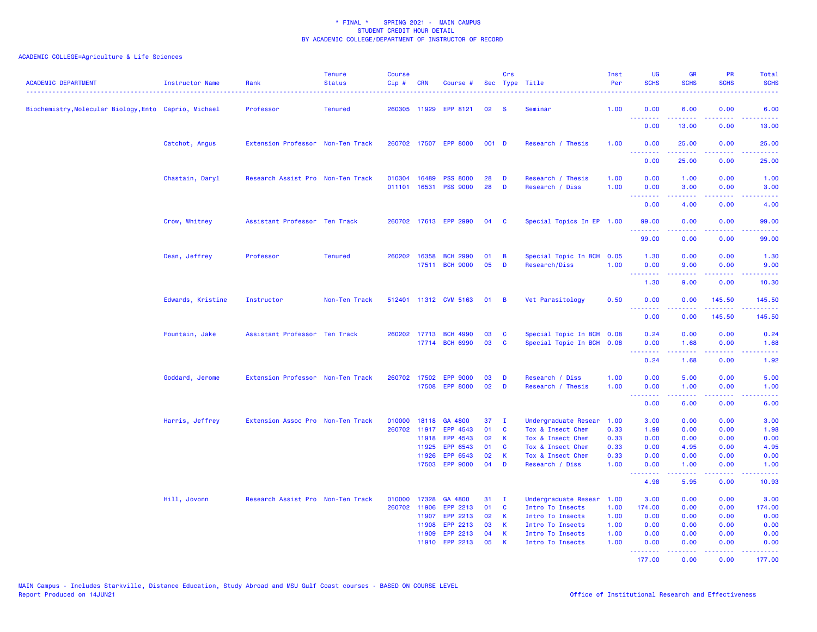| <b>ACADEMIC DEPARTMENT</b>                            | <b>Instructor Name</b> | Rank                              | <b>Tenure</b><br><b>Status</b> | <b>Course</b><br>Cip# | <b>CRN</b>              | Course #                                 |                | Crs                           | Sec Type Title                                                 | Inst<br>Per          | <b>UG</b><br><b>SCHS</b>            | <b>GR</b><br><b>SCHS</b> | <b>PR</b><br><b>SCHS</b>                                                                                                            | Total<br><b>SCHS</b>                                                                                                                      |
|-------------------------------------------------------|------------------------|-----------------------------------|--------------------------------|-----------------------|-------------------------|------------------------------------------|----------------|-------------------------------|----------------------------------------------------------------|----------------------|-------------------------------------|--------------------------|-------------------------------------------------------------------------------------------------------------------------------------|-------------------------------------------------------------------------------------------------------------------------------------------|
| Biochemistry, Molecular Biology, Ento Caprio, Michael |                        | Professor                         | <b>Tenured</b>                 |                       |                         | 260305 11929 EPP 8121                    | 02             | <b>S</b>                      | Seminar                                                        | 1.00                 | 0.00                                | 6.00                     | 0.00                                                                                                                                | 6.00                                                                                                                                      |
|                                                       |                        |                                   |                                |                       |                         |                                          |                |                               |                                                                |                      | <u>.</u><br>0.00                    | 13.00                    | والأمام<br>0.00                                                                                                                     | $\omega$ is $\omega$ in<br>13.00                                                                                                          |
|                                                       | Catchot, Angus         | Extension Professor Non-Ten Track |                                |                       |                         | 260702 17507 EPP 8000                    | 001 D          |                               | Research / Thesis                                              | 1.00                 | 0.00                                | 25.00                    | 0.00                                                                                                                                | 25.00                                                                                                                                     |
|                                                       |                        |                                   |                                |                       |                         |                                          |                |                               |                                                                |                      | .<br>0.00                           | بالمستمال<br>25.00       | $\sim$ $\sim$ $\sim$ $\sim$<br>0.00                                                                                                 | وعاويات<br>25.00                                                                                                                          |
|                                                       | Chastain, Daryl        | Research Assist Pro Non-Ten Track |                                | 010304<br>011101      | 16489<br>16531          | <b>PSS 8000</b><br><b>PSS 9000</b>       | 28<br>28       | D<br>D                        | Research / Thesis<br>Research / Diss                           | 1.00<br>1.00         | 0.00<br>0.00                        | 1.00<br>3.00             | 0.00<br>0.00                                                                                                                        | 1.00<br>3.00                                                                                                                              |
|                                                       |                        |                                   |                                |                       |                         |                                          |                |                               |                                                                |                      | <b>.</b> .<br>0.00                  | المتمالين<br>4.00        | .<br>0.00                                                                                                                           | -----<br>4.00                                                                                                                             |
|                                                       | Crow, Whitney          | Assistant Professor Ten Track     |                                |                       |                         | 260702 17613 EPP 2990                    | 04             | <b>C</b>                      | Special Topics In EP 1.00                                      |                      | 99.00<br><u> - - - - - - - -</u>    | 0.00<br>.                | 0.00<br>$\sim$ $\sim$ $\sim$ $\sim$                                                                                                 | 99.00<br>.                                                                                                                                |
|                                                       |                        |                                   |                                |                       |                         |                                          |                |                               |                                                                |                      | 99.00                               | 0.00                     | 0.00                                                                                                                                | 99.00                                                                                                                                     |
|                                                       | Dean, Jeffrey          | Professor                         | <b>Tenured</b>                 | 260202                | 16358<br>17511          | <b>BCH 2990</b><br><b>BCH 9000</b>       | 01<br>05       | B<br>D                        | Special Topic In BCH<br>Research/Diss                          | 0.05<br>1.00         | 1.30<br>0.00                        | 0.00<br>9.00             | 0.00<br>0.00<br>$\frac{1}{2} \left( \frac{1}{2} \right) \left( \frac{1}{2} \right) \left( \frac{1}{2} \right)$                      | 1.30<br>9.00<br>$\frac{1}{2} \left( \frac{1}{2} \right) \left( \frac{1}{2} \right) \left( \frac{1}{2} \right) \left( \frac{1}{2} \right)$ |
|                                                       |                        |                                   |                                |                       |                         |                                          |                |                               |                                                                |                      | .<br>1.30                           | 9.00                     | 0.00                                                                                                                                | 10.30                                                                                                                                     |
|                                                       | Edwards, Kristine      | Instructor                        | Non-Ten Track                  |                       |                         | 512401 11312 CVM 5163                    | 01             | B                             | Vet Parasitology                                               | 0.50                 | 0.00<br>.                           | 0.00                     | 145.50<br>$\frac{1}{2} \left( \frac{1}{2} \right) \left( \frac{1}{2} \right) \left( \frac{1}{2} \right) \left( \frac{1}{2} \right)$ | 145.50<br>.                                                                                                                               |
|                                                       |                        |                                   |                                |                       |                         |                                          |                |                               |                                                                |                      | 0.00                                | 0.00                     | 145.50                                                                                                                              | 145.50                                                                                                                                    |
|                                                       | Fountain, Jake         | Assistant Professor Ten Track     |                                |                       | 17714                   | 260202 17713 BCH 4990<br><b>BCH 6990</b> | 03<br>03       | <b>C</b><br><b>C</b>          | Special Topic In BCH 0.08<br>Special Topic In BCH              | 0.08                 | 0.24<br>0.00                        | 0.00<br>1.68             | 0.00<br>0.00                                                                                                                        | 0.24<br>1.68                                                                                                                              |
|                                                       |                        |                                   |                                |                       |                         |                                          |                |                               |                                                                |                      | $\sim$ $\sim$ $\sim$ $\sim$<br>0.24 | 1.68                     | 0.00                                                                                                                                | 1.92                                                                                                                                      |
|                                                       | Goddard, Jerome        | Extension Professor Non-Ten Track |                                |                       |                         | 260702 17502 EPP 9000<br>17508 EPP 8000  | 03<br>02       | D<br>D                        | Research / Diss<br>Research / Thesis                           | 1.00<br>1.00         | 0.00<br>0.00<br>.                   | 5.00<br>1.00<br>.        | 0.00<br>0.00<br>والمحامر                                                                                                            | 5.00<br>1.00                                                                                                                              |
|                                                       |                        |                                   |                                |                       |                         |                                          |                |                               |                                                                |                      | 0.00                                | 6.00                     | 0.00                                                                                                                                | 6.00                                                                                                                                      |
|                                                       | Harris, Jeffrey        | Extension Assoc Pro Non-Ten Track |                                | 010000<br>260702      | 18118<br>11917<br>11918 | GA 4800<br>EPP 4543<br>EPP 4543          | 37<br>01<br>02 | $\mathbf{I}$<br>C<br><b>K</b> | Undergraduate Resear<br>Tox & Insect Chem<br>Tox & Insect Chem | 1.00<br>0.33<br>0.33 | 3.00<br>1.98<br>0.00                | 0.00<br>0.00<br>0.00     | 0.00<br>0.00<br>0.00                                                                                                                | 3.00<br>1.98<br>0.00                                                                                                                      |
|                                                       |                        |                                   |                                |                       | 11925<br>11926          | EPP 6543<br>EPP 6543                     | 01<br>02       | <b>C</b><br>К                 | Tox & Insect Chem<br>Tox & Insect Chem                         | 0.33<br>0.33         | 0.00<br>0.00                        | 4.95<br>0.00             | 0.00<br>0.00                                                                                                                        | 4.95<br>0.00                                                                                                                              |
|                                                       |                        |                                   |                                |                       |                         | 17503 EPP 9000                           | 04             | D                             | Research / Diss                                                | 1.00                 | 0.00<br><u>.</u>                    | 1.00                     | 0.00<br>$- - - -$                                                                                                                   | 1.00<br>$\frac{1}{2} \left( \frac{1}{2} \right) \left( \frac{1}{2} \right) \left( \frac{1}{2} \right) \left( \frac{1}{2} \right)$         |
|                                                       |                        |                                   |                                |                       |                         |                                          |                |                               |                                                                |                      | 4.98                                | 5.95                     | 0.00                                                                                                                                | 10.93                                                                                                                                     |
|                                                       | Hill, Jovonn           | Research Assist Pro Non-Ten Track |                                | 010000<br>260702      | 11906                   | 17328 GA 4800<br>EPP 2213                | 31<br>01       | $\mathbf{I}$<br>$\mathbf{C}$  | Undergraduate Resear 1.00                                      |                      | 3.00                                | 0.00                     | 0.00                                                                                                                                | 3.00                                                                                                                                      |
|                                                       |                        |                                   |                                |                       | 11907                   | EPP 2213                                 | 02             | K                             | Intro To Insects<br>Intro To Insects                           | 1.00<br>1.00         | 174.00<br>0.00                      | 0.00<br>0.00             | 0.00<br>0.00                                                                                                                        | 174.00<br>0.00                                                                                                                            |
|                                                       |                        |                                   |                                |                       | 11908                   | EPP 2213                                 | 03             | K                             | Intro To Insects                                               | 1.00                 | 0.00                                | 0.00                     | 0.00                                                                                                                                | 0.00                                                                                                                                      |
|                                                       |                        |                                   |                                |                       | 11909                   | EPP 2213                                 | 04             | K                             | Intro To Insects                                               | 1.00                 | 0.00                                | 0.00                     | 0.00                                                                                                                                | 0.00                                                                                                                                      |
|                                                       |                        |                                   |                                |                       |                         | 11910 EPP 2213                           | 05             | -K                            | Intro To Insects                                               | 1.00                 | 0.00<br><u>.</u>                    | 0.00<br>.                | 0.00<br><u>.</u>                                                                                                                    | 0.00<br><u>.</u>                                                                                                                          |
|                                                       |                        |                                   |                                |                       |                         |                                          |                |                               |                                                                |                      | 177.00                              | 0.00                     | 0.00                                                                                                                                | 177.00                                                                                                                                    |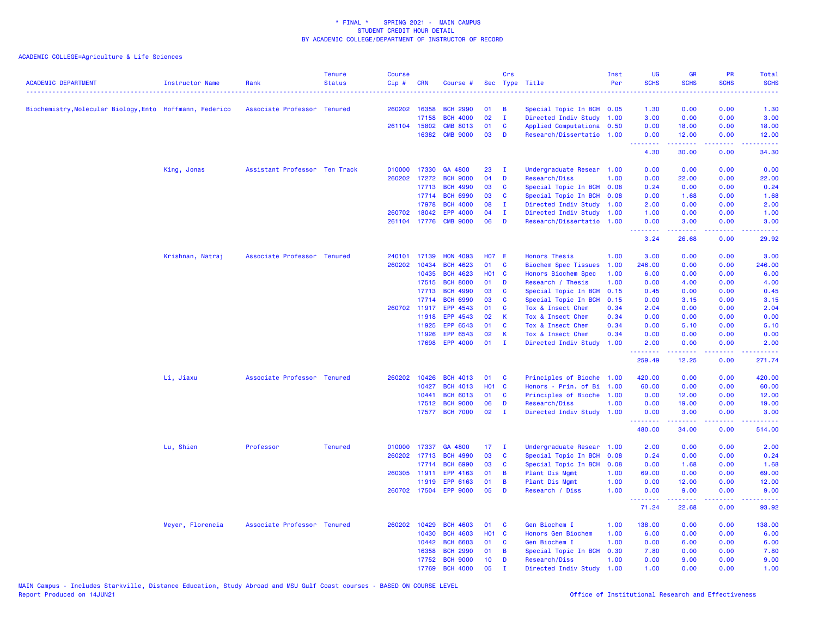| <b>ACADEMIC DEPARTMENT</b>                               | <b>Instructor Name</b> | Rank                          | <b>Tenure</b><br><b>Status</b> | <b>Course</b><br>Cip# | <b>CRN</b> | Course #              |              | Crs            | Sec Type Title              | Inst<br>Per | <b>UG</b><br><b>SCHS</b><br>. | <b>GR</b><br><b>SCHS</b> | PR<br><b>SCHS</b>              | <b>Total</b><br><b>SCHS</b><br>2222. |
|----------------------------------------------------------|------------------------|-------------------------------|--------------------------------|-----------------------|------------|-----------------------|--------------|----------------|-----------------------------|-------------|-------------------------------|--------------------------|--------------------------------|--------------------------------------|
| Biochemistry, Molecular Biology, Ento Hoffmann, Federico |                        | Associate Professor Tenured   |                                | 260202 16358          |            | <b>BCH 2990</b>       | 01           | B              | Special Topic In BCH 0.05   |             | 1.30                          | 0.00                     | 0.00                           | 1.30                                 |
|                                                          |                        |                               |                                |                       | 17158      | <b>BCH 4000</b>       | 02           | $\mathbf{I}$   | Directed Indiv Study        | 1.00        | 3.00                          | 0.00                     | 0.00                           | 3.00                                 |
|                                                          |                        |                               |                                | 261104 15802          |            | <b>CMB 8013</b>       | 01           | C              | Applied Computationa 0.50   |             | 0.00                          | 18.00                    | 0.00                           | 18.00                                |
|                                                          |                        |                               |                                |                       | 16382      | <b>CMB 9000</b>       | 03           | D              | Research/Dissertatio 1.00   |             | 0.00<br>.                     | 12.00                    | 0.00<br>$\omega$ is a $\omega$ | 12.00                                |
|                                                          |                        |                               |                                |                       |            |                       |              |                |                             |             | 4.30                          | 30.00                    | 0.00                           | 34.30                                |
|                                                          | King, Jonas            | Assistant Professor Ten Track |                                | 010000 17330          |            | GA 4800               | 23           | - I            | Undergraduate Resear 1.00   |             | 0.00                          | 0.00                     | 0.00                           | 0.00                                 |
|                                                          |                        |                               |                                | 260202 17272          |            | <b>BCH 9000</b>       | 04           | D              | Research/Diss               | 1.00        | 0.00                          | 22.00                    | 0.00                           | 22.00                                |
|                                                          |                        |                               |                                |                       | 17713      | <b>BCH 4990</b>       | 03           | <b>C</b>       | Special Topic In BCH        | 0.08        | 0.24                          | 0.00                     | 0.00                           | 0.24                                 |
|                                                          |                        |                               |                                |                       | 17714      | <b>BCH 6990</b>       | 03           | C              | Special Topic In BCH        | 0.08        | 0.00                          | 1.68                     | 0.00                           | 1.68                                 |
|                                                          |                        |                               |                                |                       | 17978      | <b>BCH 4000</b>       | 80           | $\mathbf{I}$   | Directed Indiv Study 1.00   |             | 2.00                          | 0.00                     | 0.00                           | 2.00                                 |
|                                                          |                        |                               |                                | 260702 18042          |            | EPP 4000              | 04           | п.             | Directed Indiv Study 1.00   |             | 1.00                          | 0.00                     | 0.00                           | 1.00                                 |
|                                                          |                        |                               |                                | 261104 17776          |            | <b>CMB 9000</b>       | 06           | D              | Research/Dissertatio 1.00   |             | 0.00<br>.                     | 3.00<br>.                | 0.00<br>.                      | 3.00<br>.                            |
|                                                          |                        |                               |                                |                       |            |                       |              |                |                             |             | 3.24                          | 26.68                    | 0.00                           | 29.92                                |
|                                                          | Krishnan, Natraj       | Associate Professor Tenured   |                                | 240101                | 17139      | <b>HON 4093</b>       | <b>HO7 E</b> |                | <b>Honors Thesis</b>        | 1.00        | 3.00                          | 0.00                     | 0.00                           | 3.00                                 |
|                                                          |                        |                               |                                | 260202                | 10434      | <b>BCH 4623</b>       | 01           | $\mathbf c$    | <b>Biochem Spec Tissues</b> | 1.00        | 246.00                        | 0.00                     | 0.00                           | 246.00                               |
|                                                          |                        |                               |                                |                       | 10435      | <b>BCH 4623</b>       | <b>HO1 C</b> |                | Honors Biochem Spec         | 1.00        | 6.00                          | 0.00                     | 0.00                           | 6.00                                 |
|                                                          |                        |                               |                                |                       | 17515      | <b>BCH 8000</b>       | 01           | D              | Research / Thesis           | 1.00        | 0.00                          | 4.00                     | 0.00                           | 4.00                                 |
|                                                          |                        |                               |                                |                       | 17713      | <b>BCH 4990</b>       | 03           | C              | Special Topic In BCH        | 0.15        | 0.45                          | 0.00                     | 0.00                           | 0.45                                 |
|                                                          |                        |                               |                                |                       | 17714      | <b>BCH 6990</b>       | 03           | <b>C</b>       | Special Topic In BCH        | 0.15        | 0.00                          | 3.15                     | 0.00                           | 3.15                                 |
|                                                          |                        |                               |                                | 260702 11917          |            | EPP 4543              | 01           | <b>C</b>       | Tox & Insect Chem           | 0.34        | 2.04                          | 0.00                     | 0.00                           | 2.04                                 |
|                                                          |                        |                               |                                |                       | 11918      | EPP 4543              | 02           | к              | Tox & Insect Chem           | 0.34        | 0.00                          | 0.00                     | 0.00                           | 0.00                                 |
|                                                          |                        |                               |                                |                       | 11925      | EPP 6543              | 01           | C              | Tox & Insect Chem           | 0.34        | 0.00                          | 5.10                     | 0.00                           | 5.10                                 |
|                                                          |                        |                               |                                |                       | 11926      | EPP 6543              | 02           | $\mathsf K$    | Tox & Insect Chem           | 0.34        | 0.00                          | 0.00                     | 0.00                           | 0.00                                 |
|                                                          |                        |                               |                                |                       | 17698      | <b>EPP 4000</b>       | 01           | $\mathbf{I}$   | Directed Indiv Study        | 1.00        | 2.00<br>.                     | 0.00<br>22222            | 0.00<br>بالأباب                | 2.00<br>.                            |
|                                                          |                        |                               |                                |                       |            |                       |              |                |                             |             | 259.49                        | 12.25                    | 0.00                           | 271.74                               |
|                                                          | Li, Jiaxu              | Associate Professor Tenured   |                                | 260202                | 10426      | <b>BCH 4013</b>       | 01           | <b>C</b>       | Principles of Bioche 1.00   |             | 420.00                        | 0.00                     | 0.00                           | 420.00                               |
|                                                          |                        |                               |                                |                       | 10427      | <b>BCH 4013</b>       | <b>HO1 C</b> |                | Honors - Prin. of Bi 1.00   |             | 60.00                         | 0.00                     | 0.00                           | 60.00                                |
|                                                          |                        |                               |                                |                       | 10441      | <b>BCH 6013</b>       | 01           | C              | Principles of Bioche 1.00   |             | 0.00                          | 12.00                    | 0.00                           | 12.00                                |
|                                                          |                        |                               |                                |                       | 17512      | <b>BCH 9000</b>       | 06           | D              | Research/Diss               | 1.00        | 0.00                          | 19.00                    | 0.00                           | 19.00                                |
|                                                          |                        |                               |                                |                       |            | 17577 BCH 7000        | 02           | $\mathbf{I}$   | Directed Indiv Study 1.00   |             | 0.00<br>.                     | 3.00<br>.                | 0.00<br>.                      | 3.00<br>.                            |
|                                                          |                        |                               |                                |                       |            |                       |              |                |                             |             | 480.00                        | 34.00                    | 0.00                           | 514.00                               |
|                                                          | Lu, Shien              | Professor                     | <b>Tenured</b>                 | 010000                | 17337      | GA 4800               | 17           | T              | Undergraduate Resear 1.00   |             | 2.00                          | 0.00                     | 0.00                           | 2.00                                 |
|                                                          |                        |                               |                                | 260202 17713          |            | <b>BCH 4990</b>       | 03           | C              | Special Topic In BCH        | 0.08        | 0.24                          | 0.00                     | 0.00                           | 0.24                                 |
|                                                          |                        |                               |                                |                       | 17714      | <b>BCH 6990</b>       | 03           | C              | Special Topic In BCH        | 0.08        | 0.00                          | 1.68                     | 0.00                           | 1.68                                 |
|                                                          |                        |                               |                                | 260305                | 11911      | EPP 4163              | 01           | B              | Plant Dis Mgmt              | 1.00        | 69.00                         | 0.00                     | 0.00                           | 69.00                                |
|                                                          |                        |                               |                                |                       | 11919      | EPP 6163              | 01           | $\overline{B}$ | Plant Dis Mgmt              | 1.00        | 0.00                          | 12.00                    | 0.00                           | 12.00                                |
|                                                          |                        |                               |                                |                       |            | 260702 17504 EPP 9000 | 05           | D              | Research / Diss             | 1.00        | 0.00                          | 9.00                     | 0.00                           | 9.00                                 |
|                                                          |                        |                               |                                |                       |            |                       |              |                |                             |             | .<br>71.24                    | .<br>22.68               | .<br>0.00                      | .<br>93.92                           |
|                                                          | Meyer, Florencia       | Associate Professor Tenured   |                                | 260202                | 10429      | <b>BCH 4603</b>       | 01           | C              | Gen Biochem I               | 1.00        | 138.00                        | 0.00                     | 0.00                           | 138.00                               |
|                                                          |                        |                               |                                |                       | 10430      | <b>BCH 4603</b>       | <b>HO1 C</b> |                | Honors Gen Biochem          | 1.00        | 6.00                          | 0.00                     | 0.00                           | 6.00                                 |
|                                                          |                        |                               |                                |                       | 10442      | <b>BCH 6603</b>       | 01           | <b>C</b>       | Gen Biochem I               | 1.00        | 0.00                          | 6.00                     | 0.00                           | 6.00                                 |
|                                                          |                        |                               |                                |                       | 16358      | <b>BCH 2990</b>       | 01           | B              | Special Topic In BCH        | 0.30        | 7.80                          | 0.00                     | 0.00                           | 7.80                                 |
|                                                          |                        |                               |                                |                       | 17752      | <b>BCH 9000</b>       | 10           | D              | Research/Diss               | 1.00        | 0.00                          | 9.00                     | 0.00                           | 9.00                                 |
|                                                          |                        |                               |                                |                       | 17769      | <b>BCH 4000</b>       | 05           |                | Directed Indiv Study        | 1.00        | 1.00                          | 0.00                     | 0.00                           | 1.00                                 |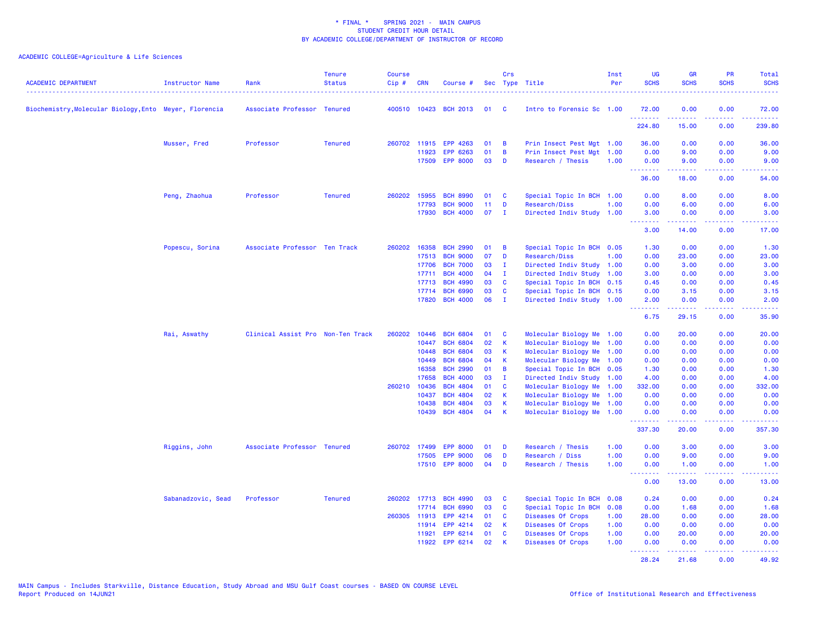| <b>ACADEMIC DEPARTMENT</b>                             | Instructor Name    | Rank                              | <b>Tenure</b><br><b>Status</b> | <b>Course</b><br>Cip# | <b>CRN</b>            | Course #                           |          | Crs                          | Sec Type Title                                         | Inst<br>Per  | <b>UG</b><br><b>SCHS</b>                                                                                                                                                                                                                                                                                                                                                                                                                                                                       | <b>GR</b><br><b>SCHS</b>                                                                                                                                      | <b>PR</b><br><b>SCHS</b> | Total<br><b>SCHS</b>       |
|--------------------------------------------------------|--------------------|-----------------------------------|--------------------------------|-----------------------|-----------------------|------------------------------------|----------|------------------------------|--------------------------------------------------------|--------------|------------------------------------------------------------------------------------------------------------------------------------------------------------------------------------------------------------------------------------------------------------------------------------------------------------------------------------------------------------------------------------------------------------------------------------------------------------------------------------------------|---------------------------------------------------------------------------------------------------------------------------------------------------------------|--------------------------|----------------------------|
| Biochemistry, Molecular Biology, Ento Meyer, Florencia |                    | Associate Professor Tenured       |                                |                       |                       | 400510 10423 BCH 2013              | 01       | <b>C</b>                     | Intro to Forensic Sc 1.00                              |              | 72.00                                                                                                                                                                                                                                                                                                                                                                                                                                                                                          | 0.00                                                                                                                                                          | 0.00                     | 72.00                      |
|                                                        |                    |                                   |                                |                       |                       |                                    |          |                              |                                                        |              | .<br>224.80                                                                                                                                                                                                                                                                                                                                                                                                                                                                                    | $\frac{1}{2} \left( \frac{1}{2} \right) \left( \frac{1}{2} \right) \left( \frac{1}{2} \right) \left( \frac{1}{2} \right) \left( \frac{1}{2} \right)$<br>15.00 | بالمحام<br>0.00          | والمتحدث للمنابذ<br>239.80 |
|                                                        | Musser, Fred       | Professor                         | <b>Tenured</b>                 |                       |                       | 260702 11915 EPP 4263              | 01       | B                            | Prin Insect Pest Mgt 1.00                              |              | 36.00                                                                                                                                                                                                                                                                                                                                                                                                                                                                                          | 0.00                                                                                                                                                          | 0.00                     | 36.00                      |
|                                                        |                    |                                   |                                |                       | 11923                 | EPP 6263                           | 01       | B                            | Prin Insect Pest Mgt 1.00                              |              | 0.00                                                                                                                                                                                                                                                                                                                                                                                                                                                                                           | 9.00                                                                                                                                                          | 0.00                     | 9.00                       |
|                                                        |                    |                                   |                                |                       | 17509                 | <b>EPP 8000</b>                    | 03       | D                            | Research / Thesis                                      | 1.00         | 0.00<br><b></b>                                                                                                                                                                                                                                                                                                                                                                                                                                                                                | 9.00<br>المستملة                                                                                                                                              | 0.00<br>بالأباء          | 9.00<br>المستما            |
|                                                        |                    |                                   |                                |                       |                       |                                    |          |                              |                                                        |              | 36.00                                                                                                                                                                                                                                                                                                                                                                                                                                                                                          | 18.00                                                                                                                                                         | 0.00                     | 54.00                      |
|                                                        | Peng, Zhaohua      | Professor                         | <b>Tenured</b>                 |                       | 260202 15955          | <b>BCH 8990</b>                    | 01       | C                            | Special Topic In BCH 1.00                              |              | 0.00                                                                                                                                                                                                                                                                                                                                                                                                                                                                                           | 8.00                                                                                                                                                          | 0.00                     | 8.00                       |
|                                                        |                    |                                   |                                |                       | 17793                 | <b>BCH 9000</b>                    | 11       | D                            | Research/Diss                                          | 1.00         | 0.00                                                                                                                                                                                                                                                                                                                                                                                                                                                                                           | 6.00                                                                                                                                                          | 0.00                     | 6.00                       |
|                                                        |                    |                                   |                                |                       |                       | 17930 BCH 4000                     | 07       | $\mathbf{I}$                 | Directed Indiv Study 1.00                              |              | 3.00<br><b>.</b>                                                                                                                                                                                                                                                                                                                                                                                                                                                                               | 0.00<br>$\frac{1}{2} \left( \frac{1}{2} \right) \left( \frac{1}{2} \right) \left( \frac{1}{2} \right) \left( \frac{1}{2} \right) \left( \frac{1}{2} \right)$  | 0.00<br>.                | 3.00<br>.                  |
|                                                        |                    |                                   |                                |                       |                       |                                    |          |                              |                                                        |              | 3.00                                                                                                                                                                                                                                                                                                                                                                                                                                                                                           | 14.00                                                                                                                                                         | 0.00                     | 17.00                      |
|                                                        | Popescu, Sorina    | Associate Professor Ten Track     |                                |                       | 260202 16358          | <b>BCH 2990</b>                    | 01       | B                            | Special Topic In BCH 0.05                              |              | 1.30                                                                                                                                                                                                                                                                                                                                                                                                                                                                                           | 0.00                                                                                                                                                          | 0.00                     | 1.30                       |
|                                                        |                    |                                   |                                |                       |                       | 17513 BCH 9000                     | 07       | D                            | Research/Diss                                          | 1.00         | 0.00                                                                                                                                                                                                                                                                                                                                                                                                                                                                                           | 23.00                                                                                                                                                         | 0.00                     | 23.00                      |
|                                                        |                    |                                   |                                |                       | 17706<br>17711        | <b>BCH 7000</b><br><b>BCH 4000</b> | 03<br>04 | $\mathbf{I}$<br>$\mathbf{I}$ | Directed Indiv Study<br>Directed Indiv Study 1.00      | 1.00         | 0.00<br>3.00                                                                                                                                                                                                                                                                                                                                                                                                                                                                                   | 3.00<br>0.00                                                                                                                                                  | 0.00<br>0.00             | 3.00<br>3.00               |
|                                                        |                    |                                   |                                |                       | 17713                 | <b>BCH 4990</b>                    | 03       | <b>C</b>                     | Special Topic In BCH 0.15                              |              | 0.45                                                                                                                                                                                                                                                                                                                                                                                                                                                                                           | 0.00                                                                                                                                                          | 0.00                     | 0.45                       |
|                                                        |                    |                                   |                                |                       | 17714                 | <b>BCH 6990</b>                    | 03       | C                            | Special Topic In BCH 0.15                              |              | 0.00                                                                                                                                                                                                                                                                                                                                                                                                                                                                                           | 3.15                                                                                                                                                          | 0.00                     | 3.15                       |
|                                                        |                    |                                   |                                |                       |                       | 17820 BCH 4000                     | 06       | $\mathbf{I}$                 | Directed Indiv Study 1.00                              |              | 2.00                                                                                                                                                                                                                                                                                                                                                                                                                                                                                           | 0.00                                                                                                                                                          | 0.00                     | 2.00                       |
|                                                        |                    |                                   |                                |                       |                       |                                    |          |                              |                                                        |              | .<br>6.75                                                                                                                                                                                                                                                                                                                                                                                                                                                                                      | .<br>29.15                                                                                                                                                    | .<br>0.00                | .<br>35.90                 |
|                                                        | Rai, Aswathy       | Clinical Assist Pro Non-Ten Track |                                | 260202                | 10446                 | <b>BCH 6804</b>                    | 01       | C                            | Molecular Biology Me 1.00                              |              | 0.00                                                                                                                                                                                                                                                                                                                                                                                                                                                                                           | 20.00                                                                                                                                                         | 0.00                     | 20.00                      |
|                                                        |                    |                                   |                                |                       | 10447                 | <b>BCH 6804</b>                    | 02       | K                            | Molecular Biology Me 1.00                              |              | 0.00                                                                                                                                                                                                                                                                                                                                                                                                                                                                                           | 0.00                                                                                                                                                          | 0.00                     | 0.00                       |
|                                                        |                    |                                   |                                |                       | 10448                 | <b>BCH 6804</b>                    | 03       | К                            | Molecular Biology Me 1.00                              |              | 0.00                                                                                                                                                                                                                                                                                                                                                                                                                                                                                           | 0.00                                                                                                                                                          | 0.00                     | 0.00                       |
|                                                        |                    |                                   |                                |                       | 10449                 | <b>BCH 6804</b>                    | 04       | К                            | Molecular Biology Me                                   | 1.00         | 0.00                                                                                                                                                                                                                                                                                                                                                                                                                                                                                           | 0.00                                                                                                                                                          | 0.00                     | 0.00                       |
|                                                        |                    |                                   |                                |                       | 16358                 | <b>BCH 2990</b>                    | 01       | B                            | Special Topic In BCH 0.05                              |              | 1.30                                                                                                                                                                                                                                                                                                                                                                                                                                                                                           | 0.00                                                                                                                                                          | 0.00                     | 1.30                       |
|                                                        |                    |                                   |                                |                       | 17658<br>260210 10436 | <b>BCH 4000</b><br><b>BCH 4804</b> | 03<br>01 | $\mathbf{I}$                 | Directed Indiv Study 1.00                              |              | 4.00<br>332.00                                                                                                                                                                                                                                                                                                                                                                                                                                                                                 | 0.00                                                                                                                                                          | 0.00<br>0.00             | 4.00                       |
|                                                        |                    |                                   |                                |                       | 10437                 | <b>BCH 4804</b>                    | 02       | C<br>К                       | Molecular Biology Me 1.00<br>Molecular Biology Me 1.00 |              | 0.00                                                                                                                                                                                                                                                                                                                                                                                                                                                                                           | 0.00<br>0.00                                                                                                                                                  | 0.00                     | 332.00<br>0.00             |
|                                                        |                    |                                   |                                |                       | 10438                 | <b>BCH 4804</b>                    | 03       | K                            | Molecular Biology Me 1.00                              |              | 0.00                                                                                                                                                                                                                                                                                                                                                                                                                                                                                           | 0.00                                                                                                                                                          | 0.00                     | 0.00                       |
|                                                        |                    |                                   |                                |                       | 10439                 | <b>BCH 4804</b>                    | 04       | К                            | Molecular Biology Me 1.00                              |              | 0.00                                                                                                                                                                                                                                                                                                                                                                                                                                                                                           | 0.00                                                                                                                                                          | 0.00                     | 0.00                       |
|                                                        |                    |                                   |                                |                       |                       |                                    |          |                              |                                                        |              | <b><i><u>Production</u></i></b><br>337.30                                                                                                                                                                                                                                                                                                                                                                                                                                                      | $\frac{1}{2} \left( \frac{1}{2} \right) \left( \frac{1}{2} \right) \left( \frac{1}{2} \right) \left( \frac{1}{2} \right) \left( \frac{1}{2} \right)$<br>20.00 | .<br>0.00                | 22222.<br>357.30           |
|                                                        | Riggins, John      | Associate Professor Tenured       |                                |                       |                       | 260702 17499 EPP 8000              | 01       | D                            | Research / Thesis                                      | 1.00         | 0.00                                                                                                                                                                                                                                                                                                                                                                                                                                                                                           | 3.00                                                                                                                                                          | 0.00                     | 3.00                       |
|                                                        |                    |                                   |                                |                       | 17505                 | <b>EPP 9000</b>                    | 06       | D                            | Research / Diss                                        | 1.00         | 0.00                                                                                                                                                                                                                                                                                                                                                                                                                                                                                           | 9.00                                                                                                                                                          | 0.00                     | 9.00                       |
|                                                        |                    |                                   |                                |                       |                       | 17510 EPP 8000                     | 04       | D                            | Research / Thesis                                      | 1.00         | 0.00<br>$\begin{array}{cccccccccccccc} \multicolumn{2}{c}{} & \multicolumn{2}{c}{} & \multicolumn{2}{c}{} & \multicolumn{2}{c}{} & \multicolumn{2}{c}{} & \multicolumn{2}{c}{} & \multicolumn{2}{c}{} & \multicolumn{2}{c}{} & \multicolumn{2}{c}{} & \multicolumn{2}{c}{} & \multicolumn{2}{c}{} & \multicolumn{2}{c}{} & \multicolumn{2}{c}{} & \multicolumn{2}{c}{} & \multicolumn{2}{c}{} & \multicolumn{2}{c}{} & \multicolumn{2}{c}{} & \multicolumn{2}{c}{} & \multicolumn{2}{c}{} & \$ | 1.00<br>.                                                                                                                                                     | 0.00<br>.                | 1.00<br>.                  |
|                                                        |                    |                                   |                                |                       |                       |                                    |          |                              |                                                        |              | 0.00                                                                                                                                                                                                                                                                                                                                                                                                                                                                                           | 13.00                                                                                                                                                         | 0.00                     | 13.00                      |
|                                                        | Sabanadzovic, Sead | Professor                         | <b>Tenured</b>                 |                       |                       | 260202 17713 BCH 4990              | 03       | C                            | Special Topic In BCH 0.08                              |              | 0.24                                                                                                                                                                                                                                                                                                                                                                                                                                                                                           | 0.00                                                                                                                                                          | 0.00                     | 0.24                       |
|                                                        |                    |                                   |                                |                       | 17714                 | <b>BCH 6990</b>                    | 03       | C                            | Special Topic In BCH                                   | 0.08         | 0.00                                                                                                                                                                                                                                                                                                                                                                                                                                                                                           | 1.68                                                                                                                                                          | 0.00                     | 1.68                       |
|                                                        |                    |                                   |                                | 260305                | 11913                 | EPP 4214                           | 01       | C                            | Diseases Of Crops                                      | 1.00         | 28.00                                                                                                                                                                                                                                                                                                                                                                                                                                                                                          | 0.00                                                                                                                                                          | 0.00                     | 28.00                      |
|                                                        |                    |                                   |                                |                       |                       | 11914 EPP 4214                     | 02<br>01 | К<br>C                       | Diseases Of Crops                                      | 1.00         | 0.00                                                                                                                                                                                                                                                                                                                                                                                                                                                                                           | 0.00                                                                                                                                                          | 0.00                     | 0.00                       |
|                                                        |                    |                                   |                                |                       | 11921                 | EPP 6214<br>11922 EPP 6214         | 02       | -K                           | Diseases Of Crops<br>Diseases Of Crops                 | 1.00<br>1.00 | 0.00<br>0.00                                                                                                                                                                                                                                                                                                                                                                                                                                                                                   | 20.00<br>0.00                                                                                                                                                 | 0.00<br>0.00             | 20.00<br>0.00              |
|                                                        |                    |                                   |                                |                       |                       |                                    |          |                              |                                                        |              | <b><i><u><u><b>A</b></u></u> A A A A A A A</i></b><br>28.24                                                                                                                                                                                                                                                                                                                                                                                                                                    | <u>.</u><br>21.68                                                                                                                                             | .<br>0.00                | . <u>.</u> .<br>49.92      |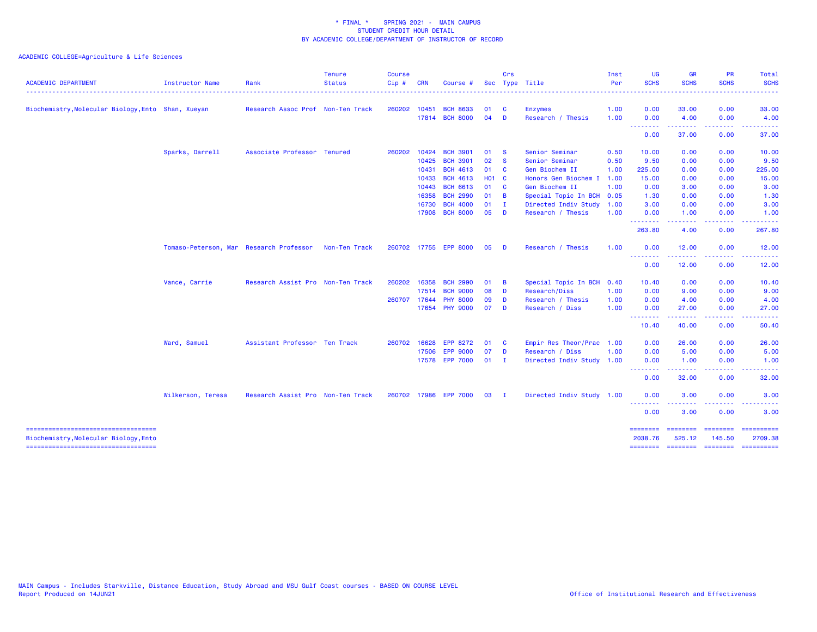| Biochemistry, Molecular Biology, Ento Shan, Xueyan<br>Research Assoc Prof Non-Ten Track<br>260202 10451<br><b>BCH 8633</b><br>01<br>0.00<br>33.00<br>0.00<br><b>C</b><br><b>Enzymes</b><br>1.00<br>04<br>17814 BCH 8000<br>0.00<br>4.00<br>$\mathbf{D}$<br>Research / Thesis<br>1.00<br>0.00<br>--------<br>0.00<br>37.00<br>0.00<br>Sparks, Darrell<br>Associate Professor Tenured<br>260202<br>10424<br><b>BCH 3901</b><br>01<br>Senior Seminar<br>0.50<br>10.00<br>0.00<br>0.00<br><b>S</b><br>10425<br><b>BCH 3901</b><br>02<br>Senior Seminar<br>9.50<br>0.00<br>$\mathbf{s}$<br>0.50<br>0.00<br><b>BCH 4613</b><br>10431<br>01 C<br>Gen Biochem II<br>225.00<br>0.00<br>0.00<br>1.00<br><b>BCH 4613</b><br>10433<br><b>HO1 C</b><br>Honors Gen Biochem I<br>15.00<br>0.00<br>1.00<br>0.00<br>10443<br><b>BCH 6613</b><br>01<br>Gen Biochem II<br>0.00<br>3.00<br>$\mathbf{C}$<br>1.00<br>0.00<br><b>BCH 2990</b><br>16358<br>01 B<br>1.30<br>Special Topic In BCH<br>0.00<br>0.00<br>0.05<br><b>BCH 4000</b><br>16730<br>01<br>Directed Indiv Study 1.00<br>3.00<br>0.00<br>0.00<br>$\blacksquare$<br>17908<br><b>BCH 8000</b><br>05<br>Research / Thesis<br>1.00<br>0.00<br>1.00<br>0.00<br>$\blacksquare$<br>--------<br>$\frac{1}{2} \left( \frac{1}{2} \right) \left( \frac{1}{2} \right) \left( \frac{1}{2} \right) \left( \frac{1}{2} \right) \left( \frac{1}{2} \right)$<br>. <b>.</b><br>263.80<br>4.00<br>0.00<br>Tomaso-Peterson, Mar Research Professor<br>Non-Ten Track<br>260702 17755 EPP 8000<br>05<br>Research / Thesis<br>1.00<br>0.00<br>12.00<br>0.00<br><b>D</b><br>.<br>.<br>.<br>0.00<br>12.00<br>0.00<br>Vance, Carrie<br>Research Assist Pro Non-Ten Track<br>260202<br>16358<br><b>BCH 2990</b><br>01<br>Special Topic In BCH 0.40<br>10.40<br>0.00<br>0.00<br><b>B</b><br>08<br>17514<br><b>BCH 9000</b><br><b>D</b><br>Research/Diss<br>0.00<br>9.00<br>0.00<br>1.00<br>260707<br><b>PHY 8000</b><br>09<br>0.00<br>4.00<br>0.00<br>17644<br><b>D</b><br>Research / Thesis<br>1.00<br>17654 PHY 9000<br>07<br>0.00<br>27.00<br><b>D</b><br>Research / Diss<br>1.00<br>0.00<br>.<br>.<br>.<br>10.40<br>40.00<br>0.00<br>Ward, Samuel<br>Assistant Professor Ten Track<br>260702 16628<br><b>EPP 8272</b><br>01<br>$\mathbf{C}$<br>Empir Res Theor/Prac 1.00<br>0.00<br>26.00<br>0.00<br><b>EPP 9000</b><br>07<br><b>D</b><br>Research / Diss<br>1.00<br>0.00<br>5.00<br>0.00<br>17506<br>17578 EPP 7000<br>$01$ I<br>Directed Indiv Study 1.00<br>0.00<br>1.00<br>0.00<br><u> - - - - - - - -</u><br>.<br>. <u>.</u> | Total<br><b>SCHS</b>                                                                                                                                                                                                                                                                                                                                                                                                                                                                   |
|-----------------------------------------------------------------------------------------------------------------------------------------------------------------------------------------------------------------------------------------------------------------------------------------------------------------------------------------------------------------------------------------------------------------------------------------------------------------------------------------------------------------------------------------------------------------------------------------------------------------------------------------------------------------------------------------------------------------------------------------------------------------------------------------------------------------------------------------------------------------------------------------------------------------------------------------------------------------------------------------------------------------------------------------------------------------------------------------------------------------------------------------------------------------------------------------------------------------------------------------------------------------------------------------------------------------------------------------------------------------------------------------------------------------------------------------------------------------------------------------------------------------------------------------------------------------------------------------------------------------------------------------------------------------------------------------------------------------------------------------------------------------------------------------------------------------------------------------------------------------------------------------------------------------------------------------------------------------------------------------------------------------------------------------------------------------------------------------------------------------------------------------------------------------------------------------------------------------------------------------------------------------------------------------------------------------------------------------------------------------------------------------------------------------------------------------------------------------------------------------------------------------------------------------------------|----------------------------------------------------------------------------------------------------------------------------------------------------------------------------------------------------------------------------------------------------------------------------------------------------------------------------------------------------------------------------------------------------------------------------------------------------------------------------------------|
|                                                                                                                                                                                                                                                                                                                                                                                                                                                                                                                                                                                                                                                                                                                                                                                                                                                                                                                                                                                                                                                                                                                                                                                                                                                                                                                                                                                                                                                                                                                                                                                                                                                                                                                                                                                                                                                                                                                                                                                                                                                                                                                                                                                                                                                                                                                                                                                                                                                                                                                                                     | 33.00                                                                                                                                                                                                                                                                                                                                                                                                                                                                                  |
|                                                                                                                                                                                                                                                                                                                                                                                                                                                                                                                                                                                                                                                                                                                                                                                                                                                                                                                                                                                                                                                                                                                                                                                                                                                                                                                                                                                                                                                                                                                                                                                                                                                                                                                                                                                                                                                                                                                                                                                                                                                                                                                                                                                                                                                                                                                                                                                                                                                                                                                                                     | 4.00                                                                                                                                                                                                                                                                                                                                                                                                                                                                                   |
|                                                                                                                                                                                                                                                                                                                                                                                                                                                                                                                                                                                                                                                                                                                                                                                                                                                                                                                                                                                                                                                                                                                                                                                                                                                                                                                                                                                                                                                                                                                                                                                                                                                                                                                                                                                                                                                                                                                                                                                                                                                                                                                                                                                                                                                                                                                                                                                                                                                                                                                                                     | 37.00                                                                                                                                                                                                                                                                                                                                                                                                                                                                                  |
|                                                                                                                                                                                                                                                                                                                                                                                                                                                                                                                                                                                                                                                                                                                                                                                                                                                                                                                                                                                                                                                                                                                                                                                                                                                                                                                                                                                                                                                                                                                                                                                                                                                                                                                                                                                                                                                                                                                                                                                                                                                                                                                                                                                                                                                                                                                                                                                                                                                                                                                                                     | 10.00                                                                                                                                                                                                                                                                                                                                                                                                                                                                                  |
|                                                                                                                                                                                                                                                                                                                                                                                                                                                                                                                                                                                                                                                                                                                                                                                                                                                                                                                                                                                                                                                                                                                                                                                                                                                                                                                                                                                                                                                                                                                                                                                                                                                                                                                                                                                                                                                                                                                                                                                                                                                                                                                                                                                                                                                                                                                                                                                                                                                                                                                                                     | 9.50                                                                                                                                                                                                                                                                                                                                                                                                                                                                                   |
|                                                                                                                                                                                                                                                                                                                                                                                                                                                                                                                                                                                                                                                                                                                                                                                                                                                                                                                                                                                                                                                                                                                                                                                                                                                                                                                                                                                                                                                                                                                                                                                                                                                                                                                                                                                                                                                                                                                                                                                                                                                                                                                                                                                                                                                                                                                                                                                                                                                                                                                                                     | 225.00                                                                                                                                                                                                                                                                                                                                                                                                                                                                                 |
|                                                                                                                                                                                                                                                                                                                                                                                                                                                                                                                                                                                                                                                                                                                                                                                                                                                                                                                                                                                                                                                                                                                                                                                                                                                                                                                                                                                                                                                                                                                                                                                                                                                                                                                                                                                                                                                                                                                                                                                                                                                                                                                                                                                                                                                                                                                                                                                                                                                                                                                                                     | 15.00                                                                                                                                                                                                                                                                                                                                                                                                                                                                                  |
|                                                                                                                                                                                                                                                                                                                                                                                                                                                                                                                                                                                                                                                                                                                                                                                                                                                                                                                                                                                                                                                                                                                                                                                                                                                                                                                                                                                                                                                                                                                                                                                                                                                                                                                                                                                                                                                                                                                                                                                                                                                                                                                                                                                                                                                                                                                                                                                                                                                                                                                                                     | 3.00                                                                                                                                                                                                                                                                                                                                                                                                                                                                                   |
|                                                                                                                                                                                                                                                                                                                                                                                                                                                                                                                                                                                                                                                                                                                                                                                                                                                                                                                                                                                                                                                                                                                                                                                                                                                                                                                                                                                                                                                                                                                                                                                                                                                                                                                                                                                                                                                                                                                                                                                                                                                                                                                                                                                                                                                                                                                                                                                                                                                                                                                                                     | 1.30                                                                                                                                                                                                                                                                                                                                                                                                                                                                                   |
|                                                                                                                                                                                                                                                                                                                                                                                                                                                                                                                                                                                                                                                                                                                                                                                                                                                                                                                                                                                                                                                                                                                                                                                                                                                                                                                                                                                                                                                                                                                                                                                                                                                                                                                                                                                                                                                                                                                                                                                                                                                                                                                                                                                                                                                                                                                                                                                                                                                                                                                                                     | 3.00                                                                                                                                                                                                                                                                                                                                                                                                                                                                                   |
|                                                                                                                                                                                                                                                                                                                                                                                                                                                                                                                                                                                                                                                                                                                                                                                                                                                                                                                                                                                                                                                                                                                                                                                                                                                                                                                                                                                                                                                                                                                                                                                                                                                                                                                                                                                                                                                                                                                                                                                                                                                                                                                                                                                                                                                                                                                                                                                                                                                                                                                                                     | 1.00                                                                                                                                                                                                                                                                                                                                                                                                                                                                                   |
|                                                                                                                                                                                                                                                                                                                                                                                                                                                                                                                                                                                                                                                                                                                                                                                                                                                                                                                                                                                                                                                                                                                                                                                                                                                                                                                                                                                                                                                                                                                                                                                                                                                                                                                                                                                                                                                                                                                                                                                                                                                                                                                                                                                                                                                                                                                                                                                                                                                                                                                                                     | 267.80                                                                                                                                                                                                                                                                                                                                                                                                                                                                                 |
|                                                                                                                                                                                                                                                                                                                                                                                                                                                                                                                                                                                                                                                                                                                                                                                                                                                                                                                                                                                                                                                                                                                                                                                                                                                                                                                                                                                                                                                                                                                                                                                                                                                                                                                                                                                                                                                                                                                                                                                                                                                                                                                                                                                                                                                                                                                                                                                                                                                                                                                                                     | 12.00                                                                                                                                                                                                                                                                                                                                                                                                                                                                                  |
|                                                                                                                                                                                                                                                                                                                                                                                                                                                                                                                                                                                                                                                                                                                                                                                                                                                                                                                                                                                                                                                                                                                                                                                                                                                                                                                                                                                                                                                                                                                                                                                                                                                                                                                                                                                                                                                                                                                                                                                                                                                                                                                                                                                                                                                                                                                                                                                                                                                                                                                                                     | 12.00                                                                                                                                                                                                                                                                                                                                                                                                                                                                                  |
|                                                                                                                                                                                                                                                                                                                                                                                                                                                                                                                                                                                                                                                                                                                                                                                                                                                                                                                                                                                                                                                                                                                                                                                                                                                                                                                                                                                                                                                                                                                                                                                                                                                                                                                                                                                                                                                                                                                                                                                                                                                                                                                                                                                                                                                                                                                                                                                                                                                                                                                                                     | 10.40                                                                                                                                                                                                                                                                                                                                                                                                                                                                                  |
|                                                                                                                                                                                                                                                                                                                                                                                                                                                                                                                                                                                                                                                                                                                                                                                                                                                                                                                                                                                                                                                                                                                                                                                                                                                                                                                                                                                                                                                                                                                                                                                                                                                                                                                                                                                                                                                                                                                                                                                                                                                                                                                                                                                                                                                                                                                                                                                                                                                                                                                                                     | 9.00                                                                                                                                                                                                                                                                                                                                                                                                                                                                                   |
|                                                                                                                                                                                                                                                                                                                                                                                                                                                                                                                                                                                                                                                                                                                                                                                                                                                                                                                                                                                                                                                                                                                                                                                                                                                                                                                                                                                                                                                                                                                                                                                                                                                                                                                                                                                                                                                                                                                                                                                                                                                                                                                                                                                                                                                                                                                                                                                                                                                                                                                                                     | 4.00                                                                                                                                                                                                                                                                                                                                                                                                                                                                                   |
|                                                                                                                                                                                                                                                                                                                                                                                                                                                                                                                                                                                                                                                                                                                                                                                                                                                                                                                                                                                                                                                                                                                                                                                                                                                                                                                                                                                                                                                                                                                                                                                                                                                                                                                                                                                                                                                                                                                                                                                                                                                                                                                                                                                                                                                                                                                                                                                                                                                                                                                                                     | 27.00                                                                                                                                                                                                                                                                                                                                                                                                                                                                                  |
|                                                                                                                                                                                                                                                                                                                                                                                                                                                                                                                                                                                                                                                                                                                                                                                                                                                                                                                                                                                                                                                                                                                                                                                                                                                                                                                                                                                                                                                                                                                                                                                                                                                                                                                                                                                                                                                                                                                                                                                                                                                                                                                                                                                                                                                                                                                                                                                                                                                                                                                                                     | 50.40                                                                                                                                                                                                                                                                                                                                                                                                                                                                                  |
|                                                                                                                                                                                                                                                                                                                                                                                                                                                                                                                                                                                                                                                                                                                                                                                                                                                                                                                                                                                                                                                                                                                                                                                                                                                                                                                                                                                                                                                                                                                                                                                                                                                                                                                                                                                                                                                                                                                                                                                                                                                                                                                                                                                                                                                                                                                                                                                                                                                                                                                                                     | 26.00                                                                                                                                                                                                                                                                                                                                                                                                                                                                                  |
|                                                                                                                                                                                                                                                                                                                                                                                                                                                                                                                                                                                                                                                                                                                                                                                                                                                                                                                                                                                                                                                                                                                                                                                                                                                                                                                                                                                                                                                                                                                                                                                                                                                                                                                                                                                                                                                                                                                                                                                                                                                                                                                                                                                                                                                                                                                                                                                                                                                                                                                                                     | 5.00                                                                                                                                                                                                                                                                                                                                                                                                                                                                                   |
|                                                                                                                                                                                                                                                                                                                                                                                                                                                                                                                                                                                                                                                                                                                                                                                                                                                                                                                                                                                                                                                                                                                                                                                                                                                                                                                                                                                                                                                                                                                                                                                                                                                                                                                                                                                                                                                                                                                                                                                                                                                                                                                                                                                                                                                                                                                                                                                                                                                                                                                                                     | 1.00                                                                                                                                                                                                                                                                                                                                                                                                                                                                                   |
| 0.00<br>32.00<br>0.00                                                                                                                                                                                                                                                                                                                                                                                                                                                                                                                                                                                                                                                                                                                                                                                                                                                                                                                                                                                                                                                                                                                                                                                                                                                                                                                                                                                                                                                                                                                                                                                                                                                                                                                                                                                                                                                                                                                                                                                                                                                                                                                                                                                                                                                                                                                                                                                                                                                                                                                               | 32.00                                                                                                                                                                                                                                                                                                                                                                                                                                                                                  |
| Wilkerson, Teresa<br>260702 17986 EPP 7000<br>Directed Indiv Study 1.00<br>0.00<br>3.00<br>0.00<br>Research Assist Pro Non-Ten Track<br>03<br>$\mathbf{I}$                                                                                                                                                                                                                                                                                                                                                                                                                                                                                                                                                                                                                                                                                                                                                                                                                                                                                                                                                                                                                                                                                                                                                                                                                                                                                                                                                                                                                                                                                                                                                                                                                                                                                                                                                                                                                                                                                                                                                                                                                                                                                                                                                                                                                                                                                                                                                                                          | 3.00                                                                                                                                                                                                                                                                                                                                                                                                                                                                                   |
| <u> - - - - - - - -</u><br>0.00<br>3.00<br>0.00                                                                                                                                                                                                                                                                                                                                                                                                                                                                                                                                                                                                                                                                                                                                                                                                                                                                                                                                                                                                                                                                                                                                                                                                                                                                                                                                                                                                                                                                                                                                                                                                                                                                                                                                                                                                                                                                                                                                                                                                                                                                                                                                                                                                                                                                                                                                                                                                                                                                                                     | 3.00                                                                                                                                                                                                                                                                                                                                                                                                                                                                                   |
| ---------<br>--------                                                                                                                                                                                                                                                                                                                                                                                                                                                                                                                                                                                                                                                                                                                                                                                                                                                                                                                                                                                                                                                                                                                                                                                                                                                                                                                                                                                                                                                                                                                                                                                                                                                                                                                                                                                                                                                                                                                                                                                                                                                                                                                                                                                                                                                                                                                                                                                                                                                                                                                               | $\begin{array}{cccccccccc} \multicolumn{2}{c}{} & \multicolumn{2}{c}{} & \multicolumn{2}{c}{} & \multicolumn{2}{c}{} & \multicolumn{2}{c}{} & \multicolumn{2}{c}{} & \multicolumn{2}{c}{} & \multicolumn{2}{c}{} & \multicolumn{2}{c}{} & \multicolumn{2}{c}{} & \multicolumn{2}{c}{} & \multicolumn{2}{c}{} & \multicolumn{2}{c}{} & \multicolumn{2}{c}{} & \multicolumn{2}{c}{} & \multicolumn{2}{c}{} & \multicolumn{2}{c}{} & \multicolumn{2}{c}{} & \multicolumn{2}{c}{} & \mult$ |
| Biochemistry, Molecular Biology, Ento<br>2038.76<br>525.12<br>145.50<br>-----------------------------------<br>-------- ------- -------- ---------                                                                                                                                                                                                                                                                                                                                                                                                                                                                                                                                                                                                                                                                                                                                                                                                                                                                                                                                                                                                                                                                                                                                                                                                                                                                                                                                                                                                                                                                                                                                                                                                                                                                                                                                                                                                                                                                                                                                                                                                                                                                                                                                                                                                                                                                                                                                                                                                  | 2709.38                                                                                                                                                                                                                                                                                                                                                                                                                                                                                |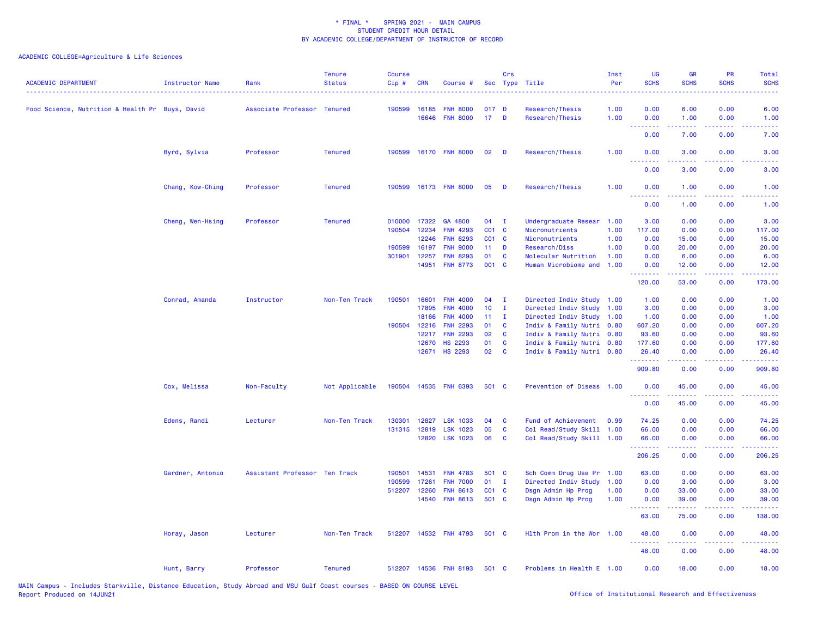| <b>ACADEMIC DEPARTMENT</b>                      | Instructor Name  | Rank                          | <b>Tenure</b><br><b>Status</b> | <b>Course</b><br>Cip# | <b>CRN</b> | Course #              |                 | Crs          | Sec Type Title            | Inst<br>Per<br>. | <b>UG</b><br><b>SCHS</b>  | <b>GR</b><br><b>SCHS</b>                                                                                                                                     | PR<br><b>SCHS</b>                                                                                      | Total<br><b>SCHS</b><br>.                                                                                                         |
|-------------------------------------------------|------------------|-------------------------------|--------------------------------|-----------------------|------------|-----------------------|-----------------|--------------|---------------------------|------------------|---------------------------|--------------------------------------------------------------------------------------------------------------------------------------------------------------|--------------------------------------------------------------------------------------------------------|-----------------------------------------------------------------------------------------------------------------------------------|
| Food Science, Nutrition & Health Pr Buys, David |                  | Associate Professor Tenured   |                                | 190599                | 16185      | <b>FNH 8000</b>       | 017 D           |              | Research/Thesis           | 1.00             | 0.00                      | 6.00                                                                                                                                                         | 0.00                                                                                                   | 6.00                                                                                                                              |
|                                                 |                  |                               |                                |                       | 16646      | <b>FNH 8000</b>       | 17 <sup>2</sup> | $\mathbf{D}$ | Research/Thesis           | 1.00             | 0.00<br>.                 | 1.00                                                                                                                                                         | 0.00<br>$\frac{1}{2} \left( \frac{1}{2} \right) \left( \frac{1}{2} \right) \left( \frac{1}{2} \right)$ | 1.00                                                                                                                              |
|                                                 |                  |                               |                                |                       |            |                       |                 |              |                           |                  | 0.00                      | 7.00                                                                                                                                                         | 0.00                                                                                                   | 7.00                                                                                                                              |
|                                                 | Byrd, Sylvia     | Professor                     | <b>Tenured</b>                 |                       |            | 190599 16170 FNH 8000 | 02              | <b>D</b>     | Research/Thesis           | 1.00             | 0.00<br><u>.</u>          | 3.00<br>$\frac{1}{2} \left( \frac{1}{2} \right) \left( \frac{1}{2} \right) \left( \frac{1}{2} \right) \left( \frac{1}{2} \right) \left( \frac{1}{2} \right)$ | 0.00<br>.                                                                                              | 3.00<br>.                                                                                                                         |
|                                                 |                  |                               |                                |                       |            |                       |                 |              |                           |                  | 0.00                      | 3.00                                                                                                                                                         | 0.00                                                                                                   | 3.00                                                                                                                              |
|                                                 | Chang, Kow-Ching | Professor                     | <b>Tenured</b>                 | 190599                |            | 16173 FNH 8000        | 05              | D            | Research/Thesis           | 1.00             | 0.00<br><u>.</u>          | 1.00<br>22222                                                                                                                                                | 0.00<br>د د د د                                                                                        | 1.00<br>$\frac{1}{2} \left( \frac{1}{2} \right) \left( \frac{1}{2} \right) \left( \frac{1}{2} \right) \left( \frac{1}{2} \right)$ |
|                                                 |                  |                               |                                |                       |            |                       |                 |              |                           |                  | 0.00                      | 1.00                                                                                                                                                         | 0.00                                                                                                   | 1.00                                                                                                                              |
|                                                 | Cheng, Wen-Hsing | Professor                     | <b>Tenured</b>                 | 010000                | 17322      | GA 4800               | 04              | $\mathbf{I}$ | Undergraduate Resear      | 1.00             | 3.00                      | 0.00                                                                                                                                                         | 0.00                                                                                                   | 3.00                                                                                                                              |
|                                                 |                  |                               |                                | 190504                | 12234      | <b>FNH 4293</b>       | $CO1$ C         |              | Micronutrients            | 1.00             | 117.00                    | 0.00                                                                                                                                                         | 0.00                                                                                                   | 117.00                                                                                                                            |
|                                                 |                  |                               |                                |                       | 12246      | <b>FNH 6293</b>       | $CO1$ C         |              | Micronutrients            | 1.00             | 0.00                      | 15.00                                                                                                                                                        | 0.00                                                                                                   | 15.00                                                                                                                             |
|                                                 |                  |                               |                                | 190599                | 16197      | <b>FNH 9000</b>       | 11              | D            | Research/Diss             | 1.00             | 0.00                      | 20.00                                                                                                                                                        | 0.00                                                                                                   | 20.00                                                                                                                             |
|                                                 |                  |                               |                                | 301901                | 12257      | <b>FNH 8293</b>       | 01              | C            | Molecular Nutrition       | 1.00             | 0.00                      | 6.00                                                                                                                                                         | 0.00                                                                                                   | 6.00                                                                                                                              |
|                                                 |                  |                               |                                |                       | 14951      | <b>FNH 8773</b>       | 001 C           |              | Human Microbiome and      | 1.00             | 0.00<br>---------         | 12.00<br>.                                                                                                                                                   | 0.00<br>22222                                                                                          | 12.00<br><u>.</u>                                                                                                                 |
|                                                 |                  |                               |                                |                       |            |                       |                 |              |                           |                  | 120.00                    | 53.00                                                                                                                                                        | 0.00                                                                                                   | 173.00                                                                                                                            |
|                                                 | Conrad, Amanda   | Instructor                    | Non-Ten Track                  | 190501                | 16601      | <b>FNH 4000</b>       | 04              | $\mathbf I$  | Directed Indiv Study      | 1.00             | 1.00                      | 0.00                                                                                                                                                         | 0.00                                                                                                   | 1.00                                                                                                                              |
|                                                 |                  |                               |                                |                       | 17895      | <b>FNH 4000</b>       | 10 <sub>1</sub> | $\mathbf{I}$ | Directed Indiv Study      | 1.00             | 3.00                      | 0.00                                                                                                                                                         | 0.00                                                                                                   | 3.00                                                                                                                              |
|                                                 |                  |                               |                                |                       | 18166      | <b>FNH 4000</b>       | 11              | $\mathbf{I}$ | Directed Indiv Study      | 1.00             | 1.00                      | 0.00                                                                                                                                                         | 0.00                                                                                                   | 1.00                                                                                                                              |
|                                                 |                  |                               |                                | 190504                | 12216      | <b>FNH 2293</b>       | 01              | C            | Indiv & Family Nutri 0.80 |                  | 607.20                    | 0.00                                                                                                                                                         | 0.00                                                                                                   | 607.20                                                                                                                            |
|                                                 |                  |                               |                                |                       | 12217      | <b>FNH 2293</b>       | 02              | <b>C</b>     | Indiv & Family Nutri 0.80 |                  | 93.60                     | 0.00                                                                                                                                                         | 0.00                                                                                                   | 93.60                                                                                                                             |
|                                                 |                  |                               |                                |                       | 12670      | <b>HS 2293</b>        | 01              | C            | Indiv & Family Nutri 0.80 |                  | 177.60                    | 0.00                                                                                                                                                         | 0.00                                                                                                   | 177.60                                                                                                                            |
|                                                 |                  |                               |                                |                       | 12671      | <b>HS 2293</b>        | 02              | C            | Indiv & Family Nutri 0.80 |                  | 26.40<br>المتمام والمتمار | 0.00<br>.                                                                                                                                                    | 0.00<br>د د د د                                                                                        | 26.40<br>.                                                                                                                        |
|                                                 |                  |                               |                                |                       |            |                       |                 |              |                           |                  | 909.80                    | 0.00                                                                                                                                                         | 0.00                                                                                                   | 909.80                                                                                                                            |
|                                                 | Cox, Melissa     | Non-Faculty                   | Not Applicable                 | 190504                |            | 14535 FNH 6393        | 501 C           |              | Prevention of Diseas 1.00 |                  | 0.00<br>--------          | 45.00                                                                                                                                                        | 0.00<br>.                                                                                              | 45.00<br>.                                                                                                                        |
|                                                 |                  |                               |                                |                       |            |                       |                 |              |                           |                  | 0.00                      | 45.00                                                                                                                                                        | 0.00                                                                                                   | 45.00                                                                                                                             |
|                                                 | Edens, Randi     | Lecturer                      | Non-Ten Track                  | 130301                | 12827      | <b>LSK 1033</b>       | 04              | C            | Fund of Achievement       | 0.99             | 74.25                     | 0.00                                                                                                                                                         | 0.00                                                                                                   | 74.25                                                                                                                             |
|                                                 |                  |                               |                                | 131315 12819          |            | <b>LSK 1023</b>       | 05              | $\mathbf{C}$ | Col Read/Study Skill 1.00 |                  | 66.00                     | 0.00                                                                                                                                                         | 0.00                                                                                                   | 66.00                                                                                                                             |
|                                                 |                  |                               |                                |                       | 12820      | <b>LSK 1023</b>       | 06              | C            | Col Read/Study Skill 1.00 |                  | 66.00<br>.                | 0.00<br>.                                                                                                                                                    | 0.00<br>.                                                                                              | 66.00<br>.                                                                                                                        |
|                                                 |                  |                               |                                |                       |            |                       |                 |              |                           |                  | 206.25                    | 0.00                                                                                                                                                         | 0.00                                                                                                   | 206.25                                                                                                                            |
|                                                 | Gardner, Antonio | Assistant Professor Ten Track |                                | 190501                | 14531      | <b>FNH 4783</b>       | 501 C           |              | Sch Comm Drug Use Pr 1.00 |                  | 63.00                     | 0.00                                                                                                                                                         | 0.00                                                                                                   | 63.00                                                                                                                             |
|                                                 |                  |                               |                                | 190599                | 17261      | <b>FNH 7000</b>       | 01              | $\mathbf{I}$ | Directed Indiv Study      | 1.00             | 0.00                      | 3.00                                                                                                                                                         | 0.00                                                                                                   | 3.00                                                                                                                              |
|                                                 |                  |                               |                                | 512207                | 12260      | <b>FNH 8613</b>       | $CO1$ $C$       |              | Dsgn Admin Hp Prog        | 1.00             | 0.00                      | 33.00                                                                                                                                                        | 0.00                                                                                                   | 33.00                                                                                                                             |
|                                                 |                  |                               |                                |                       |            | 14540 FNH 8613        | 501 C           |              | Dsgn Admin Hp Prog        | 1.00             | 0.00<br><b></b>           | 39.00<br>.                                                                                                                                                   | 0.00<br>.                                                                                              | 39.00<br>.                                                                                                                        |
|                                                 |                  |                               |                                |                       |            |                       |                 |              |                           |                  | 63.00                     | 75.00                                                                                                                                                        | 0.00                                                                                                   | 138.00                                                                                                                            |
|                                                 | Horay, Jason     | Lecturer                      | Non-Ten Track                  | 512207                |            | 14532 FNH 4793        | 501 C           |              | Hlth Prom in the Wor 1.00 |                  | 48.00<br><u>.</u>         | 0.00<br>.                                                                                                                                                    | 0.00<br>د د د د                                                                                        | 48.00<br>وعاديات                                                                                                                  |
|                                                 |                  |                               |                                |                       |            |                       |                 |              |                           |                  | 48.00                     | 0.00                                                                                                                                                         | 0.00                                                                                                   | 48.00                                                                                                                             |
|                                                 | Hunt, Barry      | Professor                     | <b>Tenured</b>                 |                       |            | 512207 14536 FNH 8193 | 501 C           |              | Problems in Health E 1.00 |                  | 0.00                      | 18.00                                                                                                                                                        | 0.00                                                                                                   | 18.00                                                                                                                             |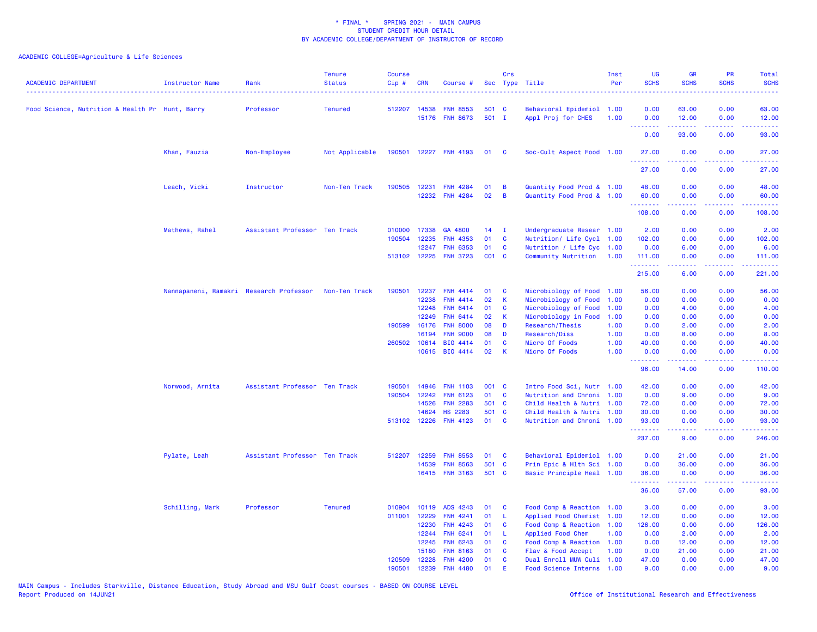| <b>ACADEMIC DEPARTMENT</b>                      | Instructor Name                         | Rank                          | <b>Tenure</b><br><b>Status</b> | <b>Course</b><br>Cip# | CRN          | Course #              |       | Crs            | Sec Type Title            | Inst<br>Per | <b>UG</b><br><b>SCHS</b>                                                                                                                                                                                                                                                                                                                                                                                                                                                                        | <b>GR</b><br><b>SCHS</b> | <b>PR</b><br><b>SCHS</b> | Total<br><b>SCHS</b><br>$\frac{1}{2} \left( \frac{1}{2} \right) \left( \frac{1}{2} \right) \left( \frac{1}{2} \right) \left( \frac{1}{2} \right)$              |
|-------------------------------------------------|-----------------------------------------|-------------------------------|--------------------------------|-----------------------|--------------|-----------------------|-------|----------------|---------------------------|-------------|-------------------------------------------------------------------------------------------------------------------------------------------------------------------------------------------------------------------------------------------------------------------------------------------------------------------------------------------------------------------------------------------------------------------------------------------------------------------------------------------------|--------------------------|--------------------------|----------------------------------------------------------------------------------------------------------------------------------------------------------------|
| Food Science, Nutrition & Health Pr Hunt, Barry |                                         | Professor                     | <b>Tenured</b>                 | 512207                | 14538        | <b>FNH 8553</b>       | 501 C |                | Behavioral Epidemiol 1.00 |             | 0.00                                                                                                                                                                                                                                                                                                                                                                                                                                                                                            | 63.00                    | 0.00                     | 63.00                                                                                                                                                          |
|                                                 |                                         |                               |                                |                       |              | 15176 FNH 8673        | 501 I |                | Appl Proj for CHES        | 1.00        | 0.00<br>$\sim$ $\sim$ $\sim$ $\sim$                                                                                                                                                                                                                                                                                                                                                                                                                                                             | 12.00<br>د د د د د       | 0.00<br>وعاويا           | 12.00                                                                                                                                                          |
|                                                 |                                         |                               |                                |                       |              |                       |       |                |                           |             | 0.00                                                                                                                                                                                                                                                                                                                                                                                                                                                                                            | 93.00                    | 0.00                     | 93.00                                                                                                                                                          |
|                                                 | Khan, Fauzia                            | Non-Employee                  | Not Applicable                 |                       |              | 190501 12227 FNH 4193 | 01 C  |                | Soc-Cult Aspect Food 1.00 |             | 27.00<br><u>.</u>                                                                                                                                                                                                                                                                                                                                                                                                                                                                               | 0.00<br>22222            | 0.00<br>.                | 27.00<br>.                                                                                                                                                     |
|                                                 |                                         |                               |                                |                       |              |                       |       |                |                           |             | 27.00                                                                                                                                                                                                                                                                                                                                                                                                                                                                                           | 0.00                     | 0.00                     | 27.00                                                                                                                                                          |
|                                                 | Leach, Vicki                            | Instructor                    | Non-Ten Track                  | 190505                |              | 12231 FNH 4284        | 01    | B              | Quantity Food Prod & 1.00 |             | 48.00                                                                                                                                                                                                                                                                                                                                                                                                                                                                                           | 0.00                     | 0.00                     | 48.00                                                                                                                                                          |
|                                                 |                                         |                               |                                |                       |              | 12232 FNH 4284        | 02    | $\overline{B}$ | Quantity Food Prod & 1.00 |             | 60.00<br><u>.</u>                                                                                                                                                                                                                                                                                                                                                                                                                                                                               | 0.00<br><u>.</u>         | 0.00<br>.                | 60.00<br><u>.</u>                                                                                                                                              |
|                                                 |                                         |                               |                                |                       |              |                       |       |                |                           |             | 108.00                                                                                                                                                                                                                                                                                                                                                                                                                                                                                          | 0.00                     | 0.00                     | 108.00                                                                                                                                                         |
|                                                 | Mathews, Rahel                          | Assistant Professor Ten Track |                                | 010000                | 17338        | GA 4800               | 14    | - I            | Undergraduate Resear 1.00 |             | 2.00                                                                                                                                                                                                                                                                                                                                                                                                                                                                                            | 0.00                     | 0.00                     | 2.00                                                                                                                                                           |
|                                                 |                                         |                               |                                |                       | 190504 12235 | <b>FNH 4353</b>       | 01    | <b>C</b>       | Nutrition/ Life Cycl 1.00 |             | 102.00                                                                                                                                                                                                                                                                                                                                                                                                                                                                                          | 0.00                     | 0.00                     | 102.00                                                                                                                                                         |
|                                                 |                                         |                               |                                |                       | 12247        | <b>FNH 6353</b>       | 01    | $\mathbf{C}$   | Nutrition / Life Cyc 1.00 |             | 0.00                                                                                                                                                                                                                                                                                                                                                                                                                                                                                            | 6.00                     | 0.00                     | 6.00                                                                                                                                                           |
|                                                 |                                         |                               |                                |                       | 513102 12225 | <b>FNH 3723</b>       | CO1 C |                | Community Nutrition 1.00  |             | 111.00<br><u>.</u>                                                                                                                                                                                                                                                                                                                                                                                                                                                                              | 0.00<br>.                | 0.00<br>بالمحامي         | 111.00<br>$\frac{1}{2} \left( \frac{1}{2} \right) \left( \frac{1}{2} \right) \left( \frac{1}{2} \right) \left( \frac{1}{2} \right) \left( \frac{1}{2} \right)$ |
|                                                 |                                         |                               |                                |                       |              |                       |       |                |                           |             | 215.00                                                                                                                                                                                                                                                                                                                                                                                                                                                                                          | 6.00                     | 0.00                     | 221.00                                                                                                                                                         |
|                                                 | Nannapaneni, Ramakri Research Professor |                               | Non-Ten Track                  | 190501                | 12237        | <b>FNH 4414</b>       | 01    | <b>C</b>       | Microbiology of Food 1.00 |             | 56.00                                                                                                                                                                                                                                                                                                                                                                                                                                                                                           | 0.00                     | 0.00                     | 56.00                                                                                                                                                          |
|                                                 |                                         |                               |                                |                       | 12238        | <b>FNH 4414</b>       | 02    | K              | Microbiology of Food      | 1.00        | 0.00                                                                                                                                                                                                                                                                                                                                                                                                                                                                                            | 0.00                     | 0.00                     | 0.00                                                                                                                                                           |
|                                                 |                                         |                               |                                |                       | 12248        | <b>FNH 6414</b>       | 01    | C              | Microbiology of Food      | 1.00        | 0.00                                                                                                                                                                                                                                                                                                                                                                                                                                                                                            | 4.00                     | 0.00                     | 4.00                                                                                                                                                           |
|                                                 |                                         |                               |                                |                       | 12249        | FNH 6414              | 02    | $\mathsf K$    | Microbiology in Food      | 1.00        | 0.00                                                                                                                                                                                                                                                                                                                                                                                                                                                                                            | 0.00                     | 0.00                     | 0.00                                                                                                                                                           |
|                                                 |                                         |                               |                                | 190599                | 16176        | <b>FNH 8000</b>       | 08    | D              | Research/Thesis           | 1.00        | 0.00                                                                                                                                                                                                                                                                                                                                                                                                                                                                                            | 2.00                     | 0.00                     | 2.00                                                                                                                                                           |
|                                                 |                                         |                               |                                |                       | 16194        | <b>FNH 9000</b>       | 08    | D              | Research/Diss             | 1.00        | 0.00                                                                                                                                                                                                                                                                                                                                                                                                                                                                                            | 8.00                     | 0.00                     | 8.00                                                                                                                                                           |
|                                                 |                                         |                               |                                |                       | 260502 10614 | <b>BIO 4414</b>       | 01    | C              | Micro Of Foods            | 1.00        | 40.00                                                                                                                                                                                                                                                                                                                                                                                                                                                                                           | 0.00                     | 0.00                     | 40.00                                                                                                                                                          |
|                                                 |                                         |                               |                                |                       |              | 10615 BIO 4414        | 02    | К              | Micro Of Foods            | 1.00        | 0.00<br>.                                                                                                                                                                                                                                                                                                                                                                                                                                                                                       | 0.00<br>.                | 0.00<br>د د د د          | 0.00<br>.                                                                                                                                                      |
|                                                 |                                         |                               |                                |                       |              |                       |       |                |                           |             | 96.00                                                                                                                                                                                                                                                                                                                                                                                                                                                                                           | 14.00                    | 0.00                     | 110.00                                                                                                                                                         |
|                                                 | Norwood, Arnita                         | Assistant Professor Ten Track |                                | 190501                | 14946        | <b>FNH 1103</b>       | 001 C |                | Intro Food Sci, Nutr 1.00 |             | 42.00                                                                                                                                                                                                                                                                                                                                                                                                                                                                                           | 0.00                     | 0.00                     | 42.00                                                                                                                                                          |
|                                                 |                                         |                               |                                | 190504                | 12242        | <b>FNH 6123</b>       | 01    | <b>C</b>       | Nutrition and Chroni 1.00 |             | 0.00                                                                                                                                                                                                                                                                                                                                                                                                                                                                                            | 9.00                     | 0.00                     | 9.00                                                                                                                                                           |
|                                                 |                                         |                               |                                |                       | 14526        | <b>FNH 2283</b>       | 501 C |                | Child Health & Nutri 1.00 |             | 72.00                                                                                                                                                                                                                                                                                                                                                                                                                                                                                           | 0.00                     | 0.00                     | 72.00                                                                                                                                                          |
|                                                 |                                         |                               |                                |                       | 14624        | <b>HS 2283</b>        | 501 C |                | Child Health & Nutri 1.00 |             | 30.00                                                                                                                                                                                                                                                                                                                                                                                                                                                                                           | 0.00                     | 0.00                     | 30.00                                                                                                                                                          |
|                                                 |                                         |                               |                                |                       |              | 513102 12226 FNH 4123 | 01 C  |                | Nutrition and Chroni 1.00 |             | 93.00<br>.                                                                                                                                                                                                                                                                                                                                                                                                                                                                                      | 0.00<br>د د د د د        | 0.00<br>.                | 93.00<br>.                                                                                                                                                     |
|                                                 |                                         |                               |                                |                       |              |                       |       |                |                           |             | 237.00                                                                                                                                                                                                                                                                                                                                                                                                                                                                                          | 9.00                     | 0.00                     | 246.00                                                                                                                                                         |
|                                                 | Pylate, Leah                            | Assistant Professor Ten Track |                                | 512207                | 12259        | <b>FNH 8553</b>       | 01    | <b>C</b>       | Behavioral Epidemiol 1.00 |             | 0.00                                                                                                                                                                                                                                                                                                                                                                                                                                                                                            | 21.00                    | 0.00                     | 21.00                                                                                                                                                          |
|                                                 |                                         |                               |                                |                       | 14539        | <b>FNH 8563</b>       | 501 C |                | Prin Epic & Hlth Sci 1.00 |             | 0.00                                                                                                                                                                                                                                                                                                                                                                                                                                                                                            | 36.00                    | 0.00                     | 36.00                                                                                                                                                          |
|                                                 |                                         |                               |                                |                       |              | 16415 FNH 3163        | 501 C |                | Basic Principle Heal 1.00 |             | 36.00                                                                                                                                                                                                                                                                                                                                                                                                                                                                                           | 0.00                     | 0.00                     | 36.00                                                                                                                                                          |
|                                                 |                                         |                               |                                |                       |              |                       |       |                |                           |             | $\begin{array}{cccccccccccccc} \multicolumn{2}{c}{} & \multicolumn{2}{c}{} & \multicolumn{2}{c}{} & \multicolumn{2}{c}{} & \multicolumn{2}{c}{} & \multicolumn{2}{c}{} & \multicolumn{2}{c}{} & \multicolumn{2}{c}{} & \multicolumn{2}{c}{} & \multicolumn{2}{c}{} & \multicolumn{2}{c}{} & \multicolumn{2}{c}{} & \multicolumn{2}{c}{} & \multicolumn{2}{c}{} & \multicolumn{2}{c}{} & \multicolumn{2}{c}{} & \multicolumn{2}{c}{} & \multicolumn{2}{c}{} & \multicolumn{2}{c}{} & \$<br>36.00 | الدامات مال<br>57.00     | د د د د<br>0.00          | .<br>93.00                                                                                                                                                     |
|                                                 | Schilling, Mark                         | Professor                     | <b>Tenured</b>                 |                       |              | 010904 10119 ADS 4243 | 01    | <b>C</b>       | Food Comp & Reaction 1.00 |             | 3.00                                                                                                                                                                                                                                                                                                                                                                                                                                                                                            | 0.00                     | 0.00                     | 3.00                                                                                                                                                           |
|                                                 |                                         |                               |                                | 011001                | 12229        | <b>FNH 4241</b>       | 01    | -L             | Applied Food Chemist 1.00 |             | 12.00                                                                                                                                                                                                                                                                                                                                                                                                                                                                                           | 0.00                     | 0.00                     | 12.00                                                                                                                                                          |
|                                                 |                                         |                               |                                |                       | 12230        | <b>FNH 4243</b>       | 01    | <b>C</b>       | Food Comp & Reaction 1.00 |             | 126.00                                                                                                                                                                                                                                                                                                                                                                                                                                                                                          | 0.00                     | 0.00                     | 126.00                                                                                                                                                         |
|                                                 |                                         |                               |                                |                       | 12244        | <b>FNH 6241</b>       | 01    | -L             | Applied Food Chem         | 1.00        | 0.00                                                                                                                                                                                                                                                                                                                                                                                                                                                                                            | 2.00                     | 0.00                     | 2.00                                                                                                                                                           |
|                                                 |                                         |                               |                                |                       | 12245        | <b>FNH 6243</b>       | 01    | C              | Food Comp & Reaction 1.00 |             | 0.00                                                                                                                                                                                                                                                                                                                                                                                                                                                                                            | 12.00                    | 0.00                     | 12.00                                                                                                                                                          |
|                                                 |                                         |                               |                                |                       | 15180        | <b>FNH 8163</b>       | 01    | <b>C</b>       | Flav & Food Accept        | 1.00        | 0.00                                                                                                                                                                                                                                                                                                                                                                                                                                                                                            | 21.00                    | 0.00                     | 21.00                                                                                                                                                          |
|                                                 |                                         |                               |                                | 120509                | 12228        | <b>FNH 4200</b>       | 01    | C              | Dual Enroll MUW Culi 1.00 |             | 47.00                                                                                                                                                                                                                                                                                                                                                                                                                                                                                           | 0.00                     | 0.00                     | 47.00                                                                                                                                                          |
|                                                 |                                         |                               |                                | 190501                | 12239        | <b>FNH 4480</b>       | 01    | F              | Food Science Interns 1.00 |             | 9.00                                                                                                                                                                                                                                                                                                                                                                                                                                                                                            | 0.00                     | 0.00                     | 9.00                                                                                                                                                           |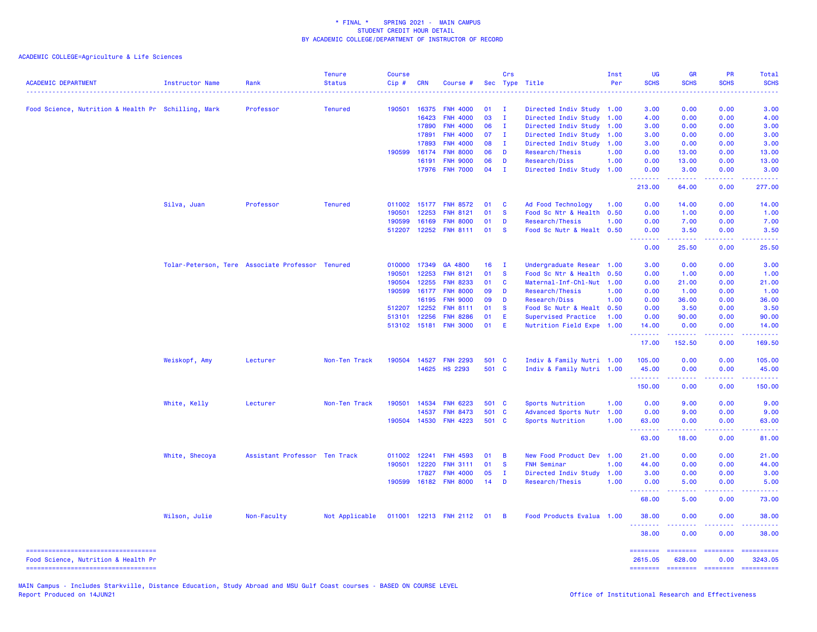ACADEMIC COLLEGE=Agriculture & Life Sciences

| <b>ACADEMIC DEPARTMENT</b>                                                | <b>Instructor Name</b> | Rank                                             | <b>Tenure</b><br><b>Status</b> | <b>Course</b><br>Cip# | <b>CRN</b>   | Course #              |       | Crs            | Sec Type Title                                    | Inst<br>Per | <b>UG</b><br><b>SCHS</b> | <b>GR</b><br><b>SCHS</b> | PR<br><b>SCHS</b>                   | Total<br><b>SCHS</b>                                                                                                 |
|---------------------------------------------------------------------------|------------------------|--------------------------------------------------|--------------------------------|-----------------------|--------------|-----------------------|-------|----------------|---------------------------------------------------|-------------|--------------------------|--------------------------|-------------------------------------|----------------------------------------------------------------------------------------------------------------------|
|                                                                           |                        | Professor                                        | <b>Tenured</b>                 | 190501                | 16375        | <b>FNH 4000</b>       | 01    | $\mathbf{I}$   |                                                   |             | 3.00                     | 0.00                     | 0.00                                | 3.00                                                                                                                 |
| Food Science, Nutrition & Health Pr Schilling, Mark                       |                        |                                                  |                                |                       | 16423        | <b>FNH 4000</b>       | 03    | $\mathbf{I}$   | Directed Indiv Study 1.00<br>Directed Indiv Study | 1.00        | 4.00                     | 0.00                     | 0.00                                | 4.00                                                                                                                 |
|                                                                           |                        |                                                  |                                |                       | 17890        | <b>FNH 4000</b>       | 06    | $\mathbf{I}$   | Directed Indiv Study                              | 1.00        | 3.00                     | 0.00                     | 0.00                                | 3.00                                                                                                                 |
|                                                                           |                        |                                                  |                                |                       | 17891        | <b>FNH 4000</b>       | 07    | $\mathbf{I}$   | Directed Indiv Study                              | 1.00        | 3.00                     | 0.00                     | 0.00                                | 3.00                                                                                                                 |
|                                                                           |                        |                                                  |                                |                       | 17893        | <b>FNH 4000</b>       | 08    | - 1            | Directed Indiv Study                              | 1.00        | 3.00                     | 0.00                     | 0.00                                | 3.00                                                                                                                 |
|                                                                           |                        |                                                  |                                | 190599                | 16174        | <b>FNH 8000</b>       | 06    | D              | Research/Thesis                                   | 1.00        | 0.00                     | 13.00                    | 0.00                                | 13.00                                                                                                                |
|                                                                           |                        |                                                  |                                |                       | 16191        | <b>FNH 9000</b>       | 06    | D              | Research/Diss                                     | 1.00        | 0.00                     | 13.00                    | 0.00                                | 13.00                                                                                                                |
|                                                                           |                        |                                                  |                                |                       |              | 17976 FNH 7000        | 04    | $\mathbf{I}$   | Directed Indiv Study                              | 1.00        | 0.00<br>.                | 3.00<br>$- - - - -$      | 0.00<br>.                           | 3.00<br>2.2222                                                                                                       |
|                                                                           |                        |                                                  |                                |                       |              |                       |       |                |                                                   |             | 213.00                   | 64.00                    | 0.00                                | 277.00                                                                                                               |
|                                                                           | Silva, Juan            | Professor                                        | <b>Tenured</b>                 |                       |              | 011002 15177 FNH 8572 | 01    | C              | Ad Food Technology                                | 1.00        | 0.00                     | 14.00                    | 0.00                                | 14.00                                                                                                                |
|                                                                           |                        |                                                  |                                | 190501                | 12253        | <b>FNH 8121</b>       | 01    | <b>S</b>       | Food Sc Ntr & Health                              | 0.50        | 0.00                     | 1.00                     | 0.00                                | 1.00                                                                                                                 |
|                                                                           |                        |                                                  |                                | 190599                | 16169        | <b>FNH 8000</b>       | 01    | D              | Research/Thesis                                   | 1.00        | 0.00                     | 7.00                     | 0.00                                | 7.00                                                                                                                 |
|                                                                           |                        |                                                  |                                | 512207                | 12252        | <b>FNH 8111</b>       | 01    | <b>S</b>       | Food Sc Nutr & Healt 0.50                         |             | 0.00<br>.                | 3.50                     | 0.00                                | 3.50                                                                                                                 |
|                                                                           |                        |                                                  |                                |                       |              |                       |       |                |                                                   |             | 0.00                     | 25.50                    | 0.00                                | 25.50                                                                                                                |
|                                                                           |                        | Tolar-Peterson, Tere Associate Professor Tenured |                                |                       | 010000 17349 | GA 4800               | 16    | $\mathbf{I}$   | Undergraduate Resear 1.00                         |             | 3.00                     | 0.00                     | 0.00                                | 3.00                                                                                                                 |
|                                                                           |                        |                                                  |                                | 190501                | 12253        | <b>FNH 8121</b>       | 01    | $\mathbf{s}$   | Food Sc Ntr & Health                              | 0.50        | 0.00                     | 1.00                     | 0.00                                | 1.00                                                                                                                 |
|                                                                           |                        |                                                  |                                | 190504                | 12255        | <b>FNH 8233</b>       | 01    | C              | Maternal-Inf-Chl-Nut                              | 1.00        | 0.00                     | 21.00                    | 0.00                                | 21.00                                                                                                                |
|                                                                           |                        |                                                  |                                | 190599                | 16177        | <b>FNH 8000</b>       | 09    | D              | Research/Thesis                                   | 1.00        | 0.00                     | 1.00                     | 0.00                                | 1.00                                                                                                                 |
|                                                                           |                        |                                                  |                                |                       | 16195        | <b>FNH 9000</b>       | 09    | D              | Research/Diss                                     | 1.00        | 0.00                     | 36.00                    | 0.00                                | 36.00                                                                                                                |
|                                                                           |                        |                                                  |                                |                       | 512207 12252 | <b>FNH 8111</b>       | 01    | <b>S</b>       | Food Sc Nutr & Healt 0.50                         |             | 0.00                     | 3.50                     | 0.00                                | 3.50                                                                                                                 |
|                                                                           |                        |                                                  |                                |                       | 513101 12256 | <b>FNH 8286</b>       | 01    | Ε              | Supervised Practice                               | 1.00        | 0.00                     | 90.00                    | 0.00                                | 90.00                                                                                                                |
|                                                                           |                        |                                                  |                                |                       |              | 513102 15181 FNH 3000 | 01    | Ε              | Nutrition Field Expe 1.00                         |             | 14.00<br>.               | 0.00<br>.                | 0.00<br>$\sim$ $\sim$ $\sim$ $\sim$ | 14.00<br>.                                                                                                           |
|                                                                           |                        |                                                  |                                |                       |              |                       |       |                |                                                   |             | 17.00                    | 152.50                   | 0.00                                | 169.50                                                                                                               |
|                                                                           | Weiskopf, Amy          | Lecturer                                         | Non-Ten Track                  |                       |              | 190504 14527 FNH 2293 | 501 C |                | Indiv & Family Nutri 1.00                         |             | 105.00                   | 0.00                     | 0.00                                | 105.00                                                                                                               |
|                                                                           |                        |                                                  |                                |                       |              | 14625 HS 2293         | 501 C |                | Indiv & Family Nutri 1.00                         |             | 45.00<br><u>.</u>        | 0.00<br>22222            | 0.00<br>.                           | 45.00<br>$\begin{array}{cccccccccc} \bullet & \bullet & \bullet & \bullet & \bullet & \bullet & \bullet \end{array}$ |
|                                                                           |                        |                                                  |                                |                       |              |                       |       |                |                                                   |             | 150.00                   | 0.00                     | 0.00                                | 150.00                                                                                                               |
|                                                                           | White, Kelly           | Lecturer                                         | Non-Ten Track                  | 190501                | 14534        | <b>FNH 6223</b>       | 501 C |                | Sports Nutrition                                  | 1.00        | 0.00                     | 9.00                     | 0.00                                | 9.00                                                                                                                 |
|                                                                           |                        |                                                  |                                |                       | 14537        | <b>FNH 8473</b>       | 501   | $\mathbf{C}$   | Advanced Sports Nutr                              | 1.00        | 0.00                     | 9.00                     | 0.00                                | 9.00                                                                                                                 |
|                                                                           |                        |                                                  |                                |                       |              | 190504 14530 FNH 4223 | 501 C |                | Sports Nutrition                                  | 1.00        | 63.00<br><u>.</u>        | 0.00<br>2.2.2.2.2        | 0.00<br>.                           | 63.00<br>.                                                                                                           |
|                                                                           |                        |                                                  |                                |                       |              |                       |       |                |                                                   |             | 63.00                    | 18.00                    | 0.00                                | 81.00                                                                                                                |
|                                                                           | White, Shecoya         | Assistant Professor Ten Track                    |                                | 011002                | 12241        | <b>FNH 4593</b>       | 01    | B              | New Food Product Dev                              | 1.00        | 21.00                    | 0.00                     | 0.00                                | 21.00                                                                                                                |
|                                                                           |                        |                                                  |                                | 190501                | 12220        | <b>FNH 3111</b>       | 01    | <b>S</b>       | <b>FNH Seminar</b>                                | 1.00        | 44.00                    | 0.00                     | 0.00                                | 44.00                                                                                                                |
|                                                                           |                        |                                                  |                                |                       | 17827        | <b>FNH 4000</b>       | 05    | $\mathbf I$    | Directed Indiv Study                              | 1.00        | 3.00                     | 0.00                     | 0.00                                | 3.00                                                                                                                 |
|                                                                           |                        |                                                  |                                |                       |              | 190599 16182 FNH 8000 | 14    | D              | Research/Thesis                                   | 1.00        | 0.00<br><u>.</u>         | 5.00<br>بالأباب          | 0.00<br>بالأباب                     | 5.00<br>المتمامين                                                                                                    |
|                                                                           |                        |                                                  |                                |                       |              |                       |       |                |                                                   |             | 68.00                    | 5.00                     | 0.00                                | 73.00                                                                                                                |
|                                                                           | Wilson, Julie          | Non-Faculty                                      | Not Applicable                 |                       |              | 011001 12213 FNH 2112 | 01    | $\overline{B}$ | Food Products Evalua 1.00                         |             | 38.00                    | 0.00                     | 0.00                                | 38.00                                                                                                                |
|                                                                           |                        |                                                  |                                |                       |              |                       |       |                |                                                   |             | .<br>38.00               | 0.00                     | $\sim$ $\sim$ $\sim$ $\sim$<br>0.00 | .<br>38.00                                                                                                           |
| ----------------------------------<br>Food Science, Nutrition & Health Pr |                        |                                                  |                                |                       |              |                       |       |                |                                                   |             | 2615.05                  | 628.00                   | 0.00                                | =======<br>3243.05                                                                                                   |
| -----------------------------------                                       |                        |                                                  |                                |                       |              |                       |       |                |                                                   |             | ========                 | $= 1.122222222$          | <b>CONSIGNS</b>                     | ==========                                                                                                           |

MAIN Campus - Includes Starkville, Distance Education, Study Abroad and MSU Gulf Coast courses - BASED ON COURSE LEVEL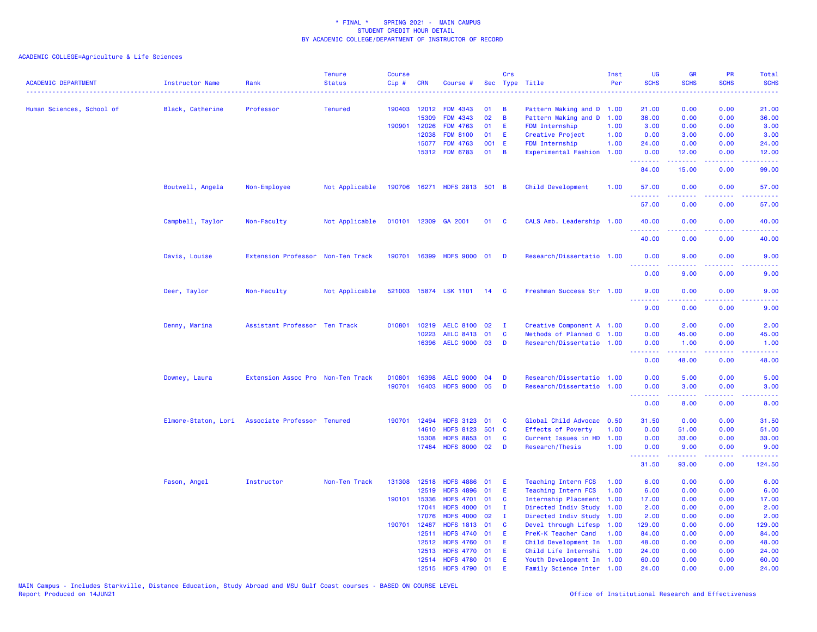| <b>ACADEMIC DEPARTMENT</b> | Instructor Name  | Rank                                            | <b>Tenure</b><br><b>Status</b> | <b>Course</b><br>Cip# | <b>CRN</b>     | Course #                             |          | Crs                          | Sec Type Title                               | Inst<br>Per  | <b>UG</b><br><b>SCHS</b> | <b>GR</b><br><b>SCHS</b>                                                                                                                                     | <b>PR</b><br><b>SCHS</b>            | Total<br><b>SCHS</b>                                                                                                               |
|----------------------------|------------------|-------------------------------------------------|--------------------------------|-----------------------|----------------|--------------------------------------|----------|------------------------------|----------------------------------------------|--------------|--------------------------|--------------------------------------------------------------------------------------------------------------------------------------------------------------|-------------------------------------|------------------------------------------------------------------------------------------------------------------------------------|
| Human Sciences, School of  |                  | Professor                                       | <b>Tenured</b>                 |                       | 190403 12012   | <b>FDM 4343</b>                      | 01       | B                            | Pattern Making and D 1.00                    |              | 21.00                    | 0.00                                                                                                                                                         | 0.00                                | $\frac{1}{2} \left( \frac{1}{2} \right) \left( \frac{1}{2} \right) \left( \frac{1}{2} \right) \left( \frac{1}{2} \right)$<br>21.00 |
|                            | Black, Catherine |                                                 |                                |                       | 15309          | <b>FDM 4343</b>                      | 02       | B                            | Pattern Making and D 1.00                    |              | 36.00                    | 0.00                                                                                                                                                         | 0.00                                | 36.00                                                                                                                              |
|                            |                  |                                                 |                                |                       | 190901 12026   | <b>FDM 4763</b>                      | 01       | E                            | <b>FDM Internship</b>                        | 1.00         | 3.00                     | 0.00                                                                                                                                                         | 0.00                                | 3.00                                                                                                                               |
|                            |                  |                                                 |                                |                       | 12038          | <b>FDM 8100</b>                      | 01       | E.                           | Creative Project                             | 1.00         | 0.00                     | 3.00                                                                                                                                                         | 0.00                                | 3.00                                                                                                                               |
|                            |                  |                                                 |                                |                       | 15077          | <b>FDM 4763</b>                      | 001 E    |                              | FDM Internship                               | 1.00         | 24.00                    | 0.00                                                                                                                                                         | 0.00                                | 24.00                                                                                                                              |
|                            |                  |                                                 |                                |                       |                | 15312 FDM 6783                       | 01       | B                            | Experimental Fashion 1.00                    |              | 0.00                     | 12.00                                                                                                                                                        | 0.00                                | 12.00                                                                                                                              |
|                            |                  |                                                 |                                |                       |                |                                      |          |                              |                                              |              | .<br>84.00               | .<br>15.00                                                                                                                                                   | .<br>0.00                           | .<br>99.00                                                                                                                         |
|                            | Boutwell, Angela | Non-Employee                                    | Not Applicable                 |                       |                | 190706 16271 HDFS 2813 501 B         |          |                              | Child Development                            | 1.00         | 57.00<br>.               | 0.00<br>-----                                                                                                                                                | 0.00<br>$\omega$ is a $\omega$      | 57.00<br>دعاعا عامات                                                                                                               |
|                            |                  |                                                 |                                |                       |                |                                      |          |                              |                                              |              | 57.00                    | 0.00                                                                                                                                                         | 0.00                                | 57.00                                                                                                                              |
|                            | Campbell, Taylor | Non-Faculty                                     | Not Applicable                 |                       |                | 010101 12309 GA 2001                 | 01       | $\mathbf{C}$                 | CALS Amb. Leadership 1.00                    |              | 40.00<br>.               | 0.00                                                                                                                                                         | 0.00<br>$  -$                       | 40.00                                                                                                                              |
|                            |                  |                                                 |                                |                       |                |                                      |          |                              |                                              |              | 40.00                    | 0.00                                                                                                                                                         | 0.00                                | 40.00                                                                                                                              |
|                            | Davis, Louise    | Extension Professor Non-Ten Track               |                                |                       | 190701 16399   | HDFS 9000 01                         |          | <b>D</b>                     | Research/Dissertatio 1.00                    |              | 0.00<br>.                | 9.00                                                                                                                                                         | 0.00                                | 9.00                                                                                                                               |
|                            |                  |                                                 |                                |                       |                |                                      |          |                              |                                              |              | 0.00                     | 9.00                                                                                                                                                         | 0.00                                | 9.00                                                                                                                               |
|                            | Deer, Taylor     | Non-Faculty                                     | Not Applicable                 |                       |                | 521003 15874 LSK 1101                | 14       | <b>C</b>                     | Freshman Success Str 1.00                    |              | 9.00                     | 0.00                                                                                                                                                         | 0.00                                | 9.00                                                                                                                               |
|                            |                  |                                                 |                                |                       |                |                                      |          |                              |                                              |              | 9.00                     | 0.00                                                                                                                                                         | 0.00                                | 9.00                                                                                                                               |
|                            | Denny, Marina    | Assistant Professor Ten Track                   |                                |                       | 010801 10219   | <b>AELC 8100</b>                     | 02       | - 1                          | Creative Component A 1.00                    |              | 0.00                     | 2.00                                                                                                                                                         | 0.00                                | 2.00                                                                                                                               |
|                            |                  |                                                 |                                |                       | 10223          | AELC 8413 01                         |          | C                            | Methods of Planned C 1.00                    |              | 0.00                     | 45.00                                                                                                                                                        | 0.00                                | 45.00                                                                                                                              |
|                            |                  |                                                 |                                |                       | 16396          | AELC 9000 03                         |          | D                            | Research/Dissertatio 1.00                    |              | 0.00<br>.                | 1.00<br>د د د د د                                                                                                                                            | 0.00<br>.                           | 1.00<br>المتمامين                                                                                                                  |
|                            |                  |                                                 |                                |                       |                |                                      |          |                              |                                              |              | 0.00                     | 48.00                                                                                                                                                        | 0.00                                | 48.00                                                                                                                              |
|                            | Downey, Laura    | Extension Assoc Pro Non-Ten Track               |                                | 010801                | 16398          | <b>AELC 9000</b>                     | 04       | D                            | Research/Dissertatio 1.00                    |              | 0.00                     | 5.00                                                                                                                                                         | 0.00                                | 5.00                                                                                                                               |
|                            |                  |                                                 |                                | 190701                | 16403          | HDFS 9000 05                         |          | D                            | Research/Dissertatio 1.00                    |              | 0.00<br>.                | 3.00<br>$\frac{1}{2} \left( \frac{1}{2} \right) \left( \frac{1}{2} \right) \left( \frac{1}{2} \right) \left( \frac{1}{2} \right) \left( \frac{1}{2} \right)$ | 0.00<br>$\sim$ $\sim$ $\sim$ $\sim$ | 3.00<br>$\frac{1}{2} \left( \frac{1}{2} \right) \left( \frac{1}{2} \right) \left( \frac{1}{2} \right) \left( \frac{1}{2} \right)$  |
|                            |                  |                                                 |                                |                       |                |                                      |          |                              |                                              |              | 0.00                     | 8.00                                                                                                                                                         | 0.00                                | 8.00                                                                                                                               |
|                            |                  | Elmore-Staton, Lori Associate Professor Tenured |                                |                       | 190701 12494   | HDFS 3123 01                         |          | C                            | Global Child Advocac                         | 0.50         | 31.50                    | 0.00                                                                                                                                                         | 0.00                                | 31.50                                                                                                                              |
|                            |                  |                                                 |                                |                       | 14610          | <b>HDFS 8123</b>                     | 501 C    |                              | <b>Effects of Poverty</b>                    | 1.00         | 0.00                     | 51.00                                                                                                                                                        | 0.00                                | 51.00                                                                                                                              |
|                            |                  |                                                 |                                |                       | 15308          | <b>HDFS 8853</b>                     | 01       | <b>C</b>                     | Current Issues in HD                         | 1.00         | 0.00                     | 33.00                                                                                                                                                        | 0.00                                | 33.00                                                                                                                              |
|                            |                  |                                                 |                                |                       | 17484          | <b>HDFS 8000</b>                     | 02       | D                            | Research/Thesis                              | 1.00         | 0.00<br><b></b>          | 9.00<br>.                                                                                                                                                    | 0.00<br>$\sim$ $\sim$ $\sim$ $\sim$ | 9.00<br>.                                                                                                                          |
|                            |                  |                                                 |                                |                       |                |                                      |          |                              |                                              |              | 31.50                    | 93.00                                                                                                                                                        | 0.00                                | 124.50                                                                                                                             |
|                            | Fason, Angel     | Instructor                                      | Non-Ten Track                  |                       | 131308 12518   | <b>HDFS 4886</b>                     | 01       | E                            | Teaching Intern FCS                          | 1.00         | 6.00                     | 0.00                                                                                                                                                         | 0.00                                | 6.00                                                                                                                               |
|                            |                  |                                                 |                                |                       | 12519          | <b>HDFS 4896</b>                     | 01       | E                            | Teaching Intern FCS                          | 1.00         | 6.00                     | 0.00                                                                                                                                                         | 0.00                                | 6.00                                                                                                                               |
|                            |                  |                                                 |                                |                       | 190101 15336   | <b>HDFS 4701</b><br><b>HDFS 4000</b> | 01<br>01 | <b>C</b>                     | Internship Placement                         | 1.00         | 17.00                    | 0.00                                                                                                                                                         | 0.00<br>0.00                        | 17.00                                                                                                                              |
|                            |                  |                                                 |                                |                       | 17041<br>17076 | <b>HDFS 4000</b>                     | 02       | $\mathbf{I}$<br>$\mathbf{I}$ | Directed Indiv Study                         | 1.00         | 2.00<br>2.00             | 0.00<br>0.00                                                                                                                                                 | 0.00                                | 2.00<br>2.00                                                                                                                       |
|                            |                  |                                                 |                                | 190701                | 12487          | <b>HDFS 1813</b>                     | 01       | C                            | Directed Indiv Study<br>Devel through Lifesp | 1.00<br>1.00 | 129.00                   | 0.00                                                                                                                                                         | 0.00                                | 129.00                                                                                                                             |
|                            |                  |                                                 |                                |                       | 12511          | <b>HDFS 4740</b>                     | 01       | Ε                            | PreK-K Teacher Cand                          | 1.00         | 84.00                    | 0.00                                                                                                                                                         | 0.00                                | 84.00                                                                                                                              |
|                            |                  |                                                 |                                |                       | 12512          | HDFS 4760 01                         |          | Ε                            | Child Development In 1.00                    |              | 48.00                    | 0.00                                                                                                                                                         | 0.00                                | 48.00                                                                                                                              |
|                            |                  |                                                 |                                |                       | 12513          | <b>HDFS 4770</b>                     | 01       | E                            | Child Life Internshi 1.00                    |              | 24.00                    | 0.00                                                                                                                                                         | 0.00                                | 24.00                                                                                                                              |
|                            |                  |                                                 |                                |                       |                | 12514 HDFS 4780 01                   |          | Ε                            | Youth Development In 1.00                    |              | 60.00                    | 0.00                                                                                                                                                         | 0.00                                | 60.00                                                                                                                              |
|                            |                  |                                                 |                                |                       |                | 12515 HDFS 4790 01                   |          | F                            | Family Science Inter 1.00                    |              | 24.00                    | 0.00                                                                                                                                                         | 0.00                                | 24.00                                                                                                                              |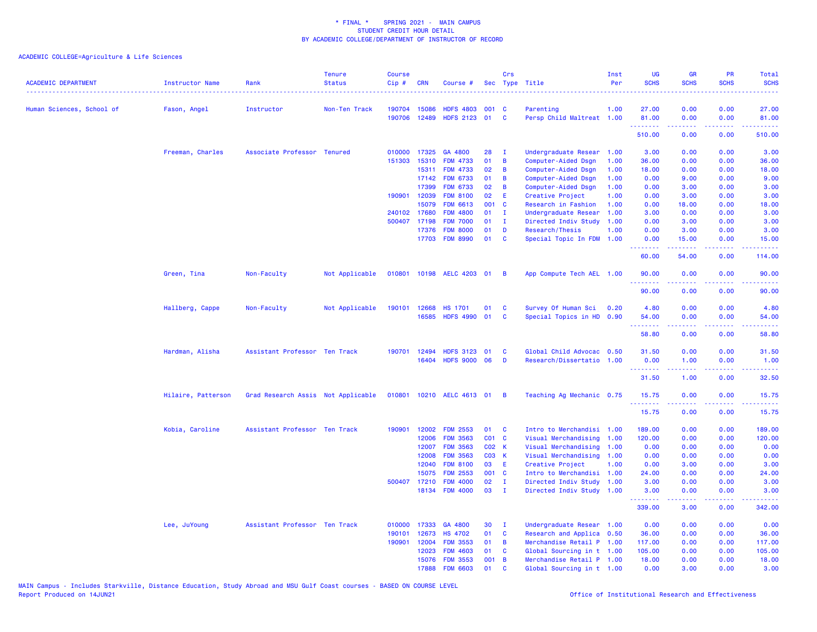| <b>ACADEMIC DEPARTMENT</b> | Instructor Name    | Rank<br>---------------------      | <b>Tenure</b><br><b>Status</b> | Course<br>Cip# | <b>CRN</b>   | Course #            |                   | Crs            | Sec Type Title            | Inst<br>Per | <b>UG</b><br><b>SCHS</b>                        | <b>GR</b><br><b>SCHS</b> | PR<br><b>SCHS</b> | Total<br><b>SCHS</b><br>والمستناط |
|----------------------------|--------------------|------------------------------------|--------------------------------|----------------|--------------|---------------------|-------------------|----------------|---------------------------|-------------|-------------------------------------------------|--------------------------|-------------------|-----------------------------------|
| Human Sciences, School of  | Fason, Angel       | Instructor                         | Non-Ten Track                  |                | 190704 15086 | <b>HDFS 4803</b>    | 001 C             |                | Parenting                 | 1.00        | 27.00                                           | 0.00                     | 0.00              | 27.00                             |
|                            |                    |                                    |                                | 190706         | 12489        | <b>HDFS 2123</b>    | 01                | <b>C</b>       | Persp Child Maltreat 1.00 |             | 81.00                                           | 0.00                     | 0.00              | 81.00                             |
|                            |                    |                                    |                                |                |              |                     |                   |                |                           |             | 510.00                                          | .<br>0.00                | والمحامر<br>0.00  | .<br>510.00                       |
|                            | Freeman, Charles   | Associate Professor Tenured        |                                | 010000         | 17325        | GA 4800             | 28                | $\mathbf{I}$   | Undergraduate Resear      | 1.00        | 3.00                                            | 0.00                     | 0.00              | 3.00                              |
|                            |                    |                                    |                                | 151303         | 15310        | <b>FDM 4733</b>     | 01                | B              | Computer-Aided Dsgn       | 1.00        | 36.00                                           | 0.00                     | 0.00              | 36.00                             |
|                            |                    |                                    |                                |                | 15311        | <b>FDM 4733</b>     | 02                | B              | Computer-Aided Dsgn       | 1.00        | 18.00                                           | 0.00                     | 0.00              | 18.00                             |
|                            |                    |                                    |                                |                | 17142        | <b>FDM 6733</b>     | 01                | B              | Computer-Aided Dsgn       | 1.00        | 0.00                                            | 9.00                     | 0.00              | 9.00                              |
|                            |                    |                                    |                                |                | 17399        | <b>FDM 6733</b>     | 02                | B              | Computer-Aided Dsgn       | 1.00        | 0.00                                            | 3.00                     | 0.00              | 3.00                              |
|                            |                    |                                    |                                | 190901         | 12039        | <b>FDM 8100</b>     | 02                | E              | Creative Project          | 1.00        | 0.00                                            | 3.00                     | 0.00              | 3.00                              |
|                            |                    |                                    |                                |                | 15079        | <b>FDM 6613</b>     | 001               | <b>C</b>       | Research in Fashion       | 1.00        | 0.00                                            | 18.00                    | 0.00              | 18.00                             |
|                            |                    |                                    |                                |                | 240102 17680 | <b>FDM 4800</b>     | 01                | $\mathbf{I}$   | Undergraduate Resear      | 1.00        | 3.00                                            | 0.00                     | 0.00              | 3.00                              |
|                            |                    |                                    |                                | 500407         | 17198        | <b>FDM 7000</b>     | 01                | $\mathbf{I}$   | Directed Indiv Study      | 1.00        | 0.00                                            | 3.00                     | 0.00              | 3.00                              |
|                            |                    |                                    |                                |                | 17376        | <b>FDM 8000</b>     | 01                | D              | Research/Thesis           | 1.00        | 0.00                                            | 3.00                     | 0.00              | 3.00                              |
|                            |                    |                                    |                                |                |              | 17703 FDM 8990      | 01                | C              | Special Topic In FDM 1.00 |             | 0.00<br>د د د د د                               | 15.00<br>-----           | 0.00<br>والماعات  | 15.00                             |
|                            |                    |                                    |                                |                |              |                     |                   |                |                           |             | 60.00                                           | 54.00                    | 0.00              | 114.00                            |
|                            | Green, Tina        | Non-Faculty                        | Not Applicable                 | 010801         |              | 10198 AELC 4203 01  |                   | B              | App Compute Tech AEL 1.00 |             | 90.00<br><u>.</u>                               | 0.00<br>.                | 0.00<br>.         | 90.00<br>.                        |
|                            |                    |                                    |                                |                |              |                     |                   |                |                           |             | 90.00                                           | 0.00                     | 0.00              | 90.00                             |
|                            | Hallberg, Cappe    | Non-Faculty                        | Not Applicable                 | 190101         | 12668        | <b>HS 1701</b>      | 01                | C              | Survey Of Human Sci       | 0.20        | 4.80                                            | 0.00                     | 0.00              | 4.80                              |
|                            |                    |                                    |                                |                |              | 16585 HDFS 4990     | 01                | C              | Special Topics in HD 0.90 |             | 54.00                                           | 0.00                     | 0.00              | 54.00                             |
|                            |                    |                                    |                                |                |              |                     |                   |                |                           |             | <u> - - - - - - - -</u>                         |                          | .                 | .                                 |
|                            |                    |                                    |                                |                |              |                     |                   |                |                           |             | 58.80                                           | 0.00                     | 0.00              | 58.80                             |
|                            | Hardman, Alisha    | Assistant Professor Ten Track      |                                | 190701         | 12494        | <b>HDFS 3123</b>    | 01                | C              | Global Child Advocac 0.50 |             | 31.50                                           | 0.00                     | 0.00              | 31.50                             |
|                            |                    |                                    |                                |                | 16404        | <b>HDFS 9000 06</b> |                   | D              | Research/Dissertatio      | 1.00        | 0.00<br>. <b>.</b>                              | 1.00<br>.                | 0.00<br>والماعات  | 1.00<br>المتمامين                 |
|                            |                    |                                    |                                |                |              |                     |                   |                |                           |             | 31.50                                           | 1.00                     | 0.00              | 32.50                             |
|                            | Hilaire, Patterson | Grad Research Assis Not Applicable |                                | 010801         |              | 10210 AELC 4613 01  |                   | $\overline{B}$ | Teaching Ag Mechanic 0.75 |             | 15.75                                           | 0.00                     | 0.00              | 15.75                             |
|                            |                    |                                    |                                |                |              |                     |                   |                |                           |             | <b><i><u><u> - - - - -</u></u></i></b><br>15.75 | .<br>0.00                | بالمحام<br>0.00   | المتمامين<br>15.75                |
|                            | Kobia, Caroline    | Assistant Professor Ten Track      |                                | 190901         | 12002        | <b>FDM 2553</b>     | 01                | C              | Intro to Merchandisi      | 1.00        | 189.00                                          | 0.00                     | 0.00              | 189.00                            |
|                            |                    |                                    |                                |                | 12006        | <b>FDM 3563</b>     | CO1 C             |                | Visual Merchandising      | 1.00        | 120.00                                          | 0.00                     | 0.00              | 120.00                            |
|                            |                    |                                    |                                |                | 12007        | <b>FDM 3563</b>     | CO <sub>2</sub> K |                | Visual Merchandising      | 1.00        | 0.00                                            | 0.00                     | 0.00              | 0.00                              |
|                            |                    |                                    |                                |                | 12008        | <b>FDM 3563</b>     | C03 K             |                | Visual Merchandising      | 1.00        | 0.00                                            | 0.00                     | 0.00              | 0.00                              |
|                            |                    |                                    |                                |                | 12040        | <b>FDM 8100</b>     | 03                | E              | Creative Project          | 1.00        | 0.00                                            | 3.00                     | 0.00              | 3.00                              |
|                            |                    |                                    |                                |                | 15075        | <b>FDM 2553</b>     | 001 C             |                | Intro to Merchandisi      | 1.00        | 24.00                                           | 0.00                     | 0.00              | 24.00                             |
|                            |                    |                                    |                                |                | 500407 17210 | <b>FDM 4000</b>     | 02                | - I            | Directed Indiv Study 1.00 |             | 3.00                                            | 0.00                     | 0.00              | 3.00                              |
|                            |                    |                                    |                                |                |              | 18134 FDM 4000      | 03                | $\mathbf{I}$   | Directed Indiv Study 1.00 |             | 3.00<br>.                                       | 0.00<br>22222            | 0.00<br>.         | 3.00<br>2.2222                    |
|                            |                    |                                    |                                |                |              |                     |                   |                |                           |             | 339.00                                          | 3.00                     | 0.00              | 342.00                            |
|                            | Lee, JuYoung       | Assistant Professor Ten Track      |                                | 010000         | 17333        | GA 4800             | 30                | $\mathbf{I}$   | Undergraduate Resear 1.00 |             | 0.00                                            | 0.00                     | 0.00              | 0.00                              |
|                            |                    |                                    |                                | 190101         | 12673        | <b>HS 4702</b>      | 01                | C              | Research and Applica 0.50 |             | 36.00                                           | 0.00                     | 0.00              | 36.00                             |
|                            |                    |                                    |                                | 190901         | 12004        | <b>FDM 3553</b>     | 01                | B              | Merchandise Retail P 1.00 |             | 117.00                                          | 0.00                     | 0.00              | 117.00                            |
|                            |                    |                                    |                                |                | 12023        | <b>FDM 4603</b>     | 01                | C              | Global Sourcing in t 1.00 |             | 105.00                                          | 0.00                     | 0.00              | 105.00                            |
|                            |                    |                                    |                                |                | 15076        | <b>FDM 3553</b>     | 001               | B              | Merchandise Retail P 1.00 |             | 18.00                                           | 0.00                     | 0.00              | 18.00                             |
|                            |                    |                                    |                                |                | 17888        | <b>FDM 6603</b>     | 01                | $\mathbf{c}$   | Global Sourcing in t 1.00 |             | 0.00                                            | 3.00                     | 0.00              | 3.00                              |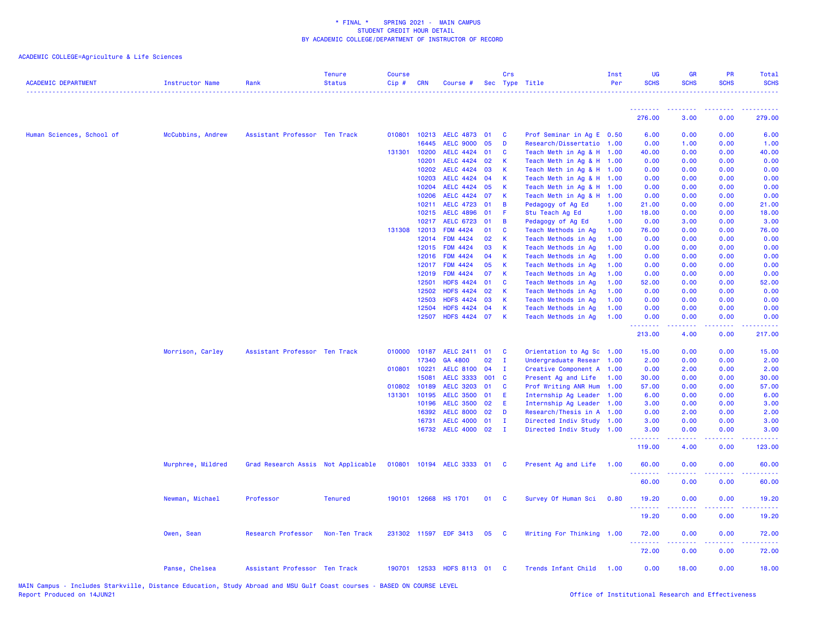| <b>ACADEMIC DEPARTMENT</b> | <b>Instructor Name</b> | Rank                               | <b>Tenure</b><br><b>Status</b> | <b>Course</b><br>Cip# | <b>CRN</b>     | Course #                           |          | Crs          | Sec Type Title                             | Inst<br>Per  | UG<br><b>SCHS</b>  | <b>GR</b><br><b>SCHS</b>                                                                                                                                     | PR<br><b>SCHS</b>                   | Total<br><b>SCHS</b> |
|----------------------------|------------------------|------------------------------------|--------------------------------|-----------------------|----------------|------------------------------------|----------|--------------|--------------------------------------------|--------------|--------------------|--------------------------------------------------------------------------------------------------------------------------------------------------------------|-------------------------------------|----------------------|
|                            |                        |                                    |                                |                       |                |                                    |          |              |                                            |              | <u>.</u><br>276.00 | 3.00                                                                                                                                                         | $\sim$ $\sim$ $\sim$ $\sim$<br>0.00 | 279.00               |
|                            |                        |                                    |                                |                       |                |                                    |          |              |                                            |              |                    |                                                                                                                                                              |                                     |                      |
| Human Sciences, School of  | McCubbins, Andrew      | Assistant Professor Ten Track      |                                |                       | 010801 10213   | AELC 4873 01                       |          | <b>C</b>     | Prof Seminar in Ag E 0.50                  |              | 6.00               | 0.00                                                                                                                                                         | 0.00                                | 6.00                 |
|                            |                        |                                    |                                |                       | 16445          | <b>AELC 9000</b>                   | 05       | D            | Research/Dissertatio 1.00                  |              | 0.00               | 1.00                                                                                                                                                         | 0.00                                | 1.00                 |
|                            |                        |                                    |                                |                       | 131301 10200   | AELC 4424 01                       |          | C            | Teach Meth in Ag & H 1.00                  |              | 40.00              | 0.00                                                                                                                                                         | 0.00                                | 40.00                |
|                            |                        |                                    |                                |                       | 10201          | <b>AELC 4424</b>                   | 02       | K            | Teach Meth in Ag & H 1.00                  |              | 0.00               | 0.00                                                                                                                                                         | 0.00                                | 0.00                 |
|                            |                        |                                    |                                |                       | 10202          | <b>AELC 4424</b>                   | 03       | K            | Teach Meth in Ag & H 1.00                  |              | 0.00               | 0.00                                                                                                                                                         | 0.00                                | 0.00                 |
|                            |                        |                                    |                                |                       | 10203          | <b>AELC 4424</b>                   | 04       | К            | Teach Meth in Ag & H 1.00                  |              | 0.00               | 0.00                                                                                                                                                         | 0.00                                | 0.00                 |
|                            |                        |                                    |                                |                       | 10204          | <b>AELC 4424</b>                   | 05       | K            | Teach Meth in Ag & H 1.00                  |              | 0.00               | 0.00                                                                                                                                                         | 0.00                                | 0.00                 |
|                            |                        |                                    |                                |                       | 10206          | <b>AELC 4424</b>                   | 07       | К            | Teach Meth in Ag & H 1.00                  |              | 0.00               | 0.00                                                                                                                                                         | 0.00                                | 0.00                 |
|                            |                        |                                    |                                |                       | 10211          | <b>AELC 4723</b>                   | 01       | B            | Pedagogy of Ag Ed                          | 1.00         | 21.00              | 0.00                                                                                                                                                         | 0.00                                | 21.00                |
|                            |                        |                                    |                                |                       | 10215          | <b>AELC 4896</b>                   | 01       | F            | Stu Teach Ag Ed                            | 1.00         | 18.00              | 0.00                                                                                                                                                         | 0.00                                | 18.00                |
|                            |                        |                                    |                                |                       | 10217          | <b>AELC 6723</b>                   | 01       | B            | Pedagogy of Ag Ed                          | 1.00         | 0.00               | 3.00                                                                                                                                                         | 0.00                                | 3.00                 |
|                            |                        |                                    |                                | 131308                | 12013          | <b>FDM 4424</b>                    | 01       | C            | Teach Methods in Ag                        | 1.00         | 76.00              | 0.00                                                                                                                                                         | 0.00                                | 76.00                |
|                            |                        |                                    |                                |                       | 12014          | FDM 4424                           | 02       | К            | Teach Methods in Ag                        | 1.00         | 0.00               | 0.00                                                                                                                                                         | 0.00                                | 0.00                 |
|                            |                        |                                    |                                |                       | 12015          | <b>FDM 4424</b>                    | 03       | K            | Teach Methods in Ag                        | 1.00         | 0.00               | 0.00                                                                                                                                                         | 0.00                                | 0.00                 |
|                            |                        |                                    |                                |                       | 12016          | <b>FDM 4424</b>                    | 04<br>05 | K<br>K       | Teach Methods in Ag                        | 1.00         | 0.00               | 0.00                                                                                                                                                         | 0.00                                | 0.00                 |
|                            |                        |                                    |                                |                       | 12017<br>12019 | <b>FDM 4424</b><br><b>FDM 4424</b> | 07       | K            | Teach Methods in Ag                        | 1.00<br>1.00 | 0.00<br>0.00       | 0.00<br>0.00                                                                                                                                                 | 0.00<br>0.00                        | 0.00<br>0.00         |
|                            |                        |                                    |                                |                       | 12501          | <b>HDFS 4424</b>                   | 01       | C            | Teach Methods in Ag<br>Teach Methods in Ag | 1.00         | 52.00              | 0.00                                                                                                                                                         | 0.00                                | 52.00                |
|                            |                        |                                    |                                |                       | 12502          | <b>HDFS 4424</b>                   | 02       | К            | Teach Methods in Aq                        | 1.00         | 0.00               | 0.00                                                                                                                                                         | 0.00                                | 0.00                 |
|                            |                        |                                    |                                |                       | 12503          | <b>HDFS 4424</b>                   | 03       | К            | Teach Methods in Ag                        | 1.00         | 0.00               | 0.00                                                                                                                                                         | 0.00                                | 0.00                 |
|                            |                        |                                    |                                |                       | 12504          | <b>HDFS 4424</b>                   | 04       | K            | Teach Methods in Ag                        | 1.00         | 0.00               | 0.00                                                                                                                                                         | 0.00                                | 0.00                 |
|                            |                        |                                    |                                |                       | 12507          | <b>HDFS 4424</b>                   | 07       | K            | Teach Methods in Ag                        | 1.00         | 0.00               | 0.00                                                                                                                                                         | 0.00                                | 0.00                 |
|                            |                        |                                    |                                |                       |                |                                    |          |              |                                            |              | .<br>213.00        | 2.2.2.2.2<br>4.00                                                                                                                                            | .<br>0.00                           | . <b>.</b><br>217.00 |
|                            | Morrison, Carley       | Assistant Professor Ten Track      |                                | 010000                | 10187          | AELC 2411 01                       |          | <b>C</b>     | Orientation to Ag Sc 1.00                  |              | 15.00              | 0.00                                                                                                                                                         | 0.00                                | 15.00                |
|                            |                        |                                    |                                |                       | 17340          | GA 4800                            | 02       | $\mathbf{I}$ | Undergraduate Resear 1.00                  |              | 2.00               | 0.00                                                                                                                                                         | 0.00                                | 2.00                 |
|                            |                        |                                    |                                |                       | 010801 10221   | AELC 8100 04                       |          | $\mathbf{I}$ | Creative Component A 1.00                  |              | 0.00               | 2.00                                                                                                                                                         | 0.00                                | 2.00                 |
|                            |                        |                                    |                                |                       | 15081          | <b>AELC 3333</b>                   | 001 C    |              | Present Ag and Life                        | 1.00         | 30.00              | 0.00                                                                                                                                                         | 0.00                                | 30.00                |
|                            |                        |                                    |                                |                       | 010802 10189   | <b>AELC 3203</b>                   | 01       | C            | Prof Writing ANR Hum                       | 1.00         | 57.00              | 0.00                                                                                                                                                         | 0.00                                | 57.00                |
|                            |                        |                                    |                                | 131301                | 10195          | <b>AELC 3500</b>                   | 01       | E            | Internship Ag Leader                       | 1.00         | 6.00               | 0.00                                                                                                                                                         | 0.00                                | 6.00                 |
|                            |                        |                                    |                                |                       | 10196          | <b>AELC 3500</b>                   | 02       | E            | Internship Ag Leader                       | 1.00         | 3.00               | 0.00                                                                                                                                                         | 0.00                                | 3.00                 |
|                            |                        |                                    |                                |                       | 16392          | <b>AELC 8000</b>                   | 02       | D            | Research/Thesis in A 1.00                  |              | 0.00               | 2.00                                                                                                                                                         | 0.00                                | 2.00                 |
|                            |                        |                                    |                                |                       | 16731          | <b>AELC 4000</b>                   | 01       | $\mathbf{I}$ | Directed Indiv Study 1.00                  |              | 3.00               | 0.00                                                                                                                                                         | 0.00                                | 3.00                 |
|                            |                        |                                    |                                |                       |                | 16732 AELC 4000 02                 |          | $\mathbf{I}$ | Directed Indiv Study 1.00                  |              | 3.00<br>. <u>.</u> | 0.00<br>$\frac{1}{2} \left( \frac{1}{2} \right) \left( \frac{1}{2} \right) \left( \frac{1}{2} \right) \left( \frac{1}{2} \right) \left( \frac{1}{2} \right)$ | 0.00<br>.                           | 3.00<br>.            |
|                            |                        |                                    |                                |                       |                |                                    |          |              |                                            |              | 119.00             | 4.00                                                                                                                                                         | 0.00                                | 123.00               |
|                            | Murphree, Mildred      | Grad Research Assis Not Applicable |                                |                       |                | 010801 10194 AELC 3333 01 C        |          |              | Present Ag and Life                        | 1.00         | 60.00<br>.         | 0.00<br>$\frac{1}{2} \left( \frac{1}{2} \right) \left( \frac{1}{2} \right) \left( \frac{1}{2} \right) \left( \frac{1}{2} \right) \left( \frac{1}{2} \right)$ | 0.00<br>.                           | 60.00<br>.           |
|                            |                        |                                    |                                |                       |                |                                    |          |              |                                            |              | 60.00              | 0.00                                                                                                                                                         | 0.00                                | 60.00                |
|                            | Newman, Michael        | Professor                          | <b>Tenured</b>                 |                       | 190101 12668   | <b>HS 1701</b>                     | 01       | <b>C</b>     | Survey Of Human Sci                        | 0.80         | 19.20<br>.         | 0.00<br>.                                                                                                                                                    | 0.00<br>$\sim$ $\sim$ $\sim$ $\sim$ | 19.20<br>وعاعاها     |
|                            |                        |                                    |                                |                       |                |                                    |          |              |                                            |              | 19.20              | 0.00                                                                                                                                                         | 0.00                                | 19.20                |
|                            | Owen, Sean             | Research Professor                 | Non-Ten Track                  |                       |                | 231302 11597 EDF 3413 05           |          | - C          | Writing For Thinking 1.00                  |              | 72.00<br>.         | 0.00<br>$\frac{1}{2} \left( \frac{1}{2} \right) \left( \frac{1}{2} \right) \left( \frac{1}{2} \right) \left( \frac{1}{2} \right) \left( \frac{1}{2} \right)$ | 0.00<br>.                           | 72.00<br>.           |
|                            |                        |                                    |                                |                       |                |                                    |          |              |                                            |              | 72.00              | 0.00                                                                                                                                                         | 0.00                                | 72.00                |
|                            | Panse, Chelsea         | Assistant Professor Ten Track      |                                |                       |                | 190701 12533 HDFS 8113 01          |          | <b>C</b>     | Trends Infant Child                        | 1.00         | 0.00               | 18.00                                                                                                                                                        | 0.00                                | 18.00                |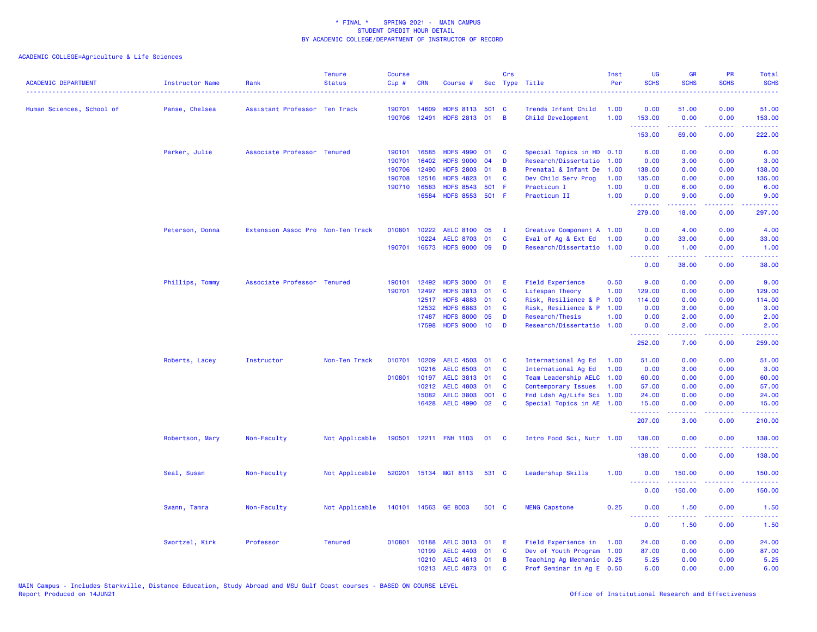| <b>ACADEMIC DEPARTMENT</b><br>------------------------------------- | Instructor Name | Rank                              | <b>Tenure</b><br><b>Status</b> | <b>Course</b><br>Cip# | <b>CRN</b>   | Course #              |       | Crs          | Sec Type Title            | Inst<br>Per | <b>UG</b><br><b>SCHS</b> | <b>GR</b><br><b>SCHS</b> | <b>PR</b><br><b>SCHS</b>                                                                                                          | Total<br><b>SCHS</b>                                                                                                              |
|---------------------------------------------------------------------|-----------------|-----------------------------------|--------------------------------|-----------------------|--------------|-----------------------|-------|--------------|---------------------------|-------------|--------------------------|--------------------------|-----------------------------------------------------------------------------------------------------------------------------------|-----------------------------------------------------------------------------------------------------------------------------------|
| Human Sciences, School of                                           | Panse, Chelsea  | Assistant Professor Ten Track     |                                | 190701                | 14609        | HDFS 8113 501 C       |       |              | Trends Infant Child       | 1.00        | 0.00                     | 51.00                    | 0.00                                                                                                                              | 51.00                                                                                                                             |
|                                                                     |                 |                                   |                                | 190706                | 12491        | HDFS 2813 01          |       | B            | Child Development         | 1.00        | 153.00                   | 0.00                     | 0.00                                                                                                                              | 153.00                                                                                                                            |
|                                                                     |                 |                                   |                                |                       |              |                       |       |              |                           |             | .<br>153.00              | .<br>69.00               | د د د د<br>0.00                                                                                                                   | المتمام ماما<br>222.00                                                                                                            |
|                                                                     | Parker, Julie   | Associate Professor Tenured       |                                | 190101                | 16585        | HDFS 4990 01          |       | C            | Special Topics in HD 0.10 |             | 6.00                     | 0.00                     | 0.00                                                                                                                              | 6.00                                                                                                                              |
|                                                                     |                 |                                   |                                | 190701                | 16402        | <b>HDFS 9000</b>      | 04    | D            | Research/Dissertatio      | 1.00        | 0.00                     | 3.00                     | 0.00                                                                                                                              | 3.00                                                                                                                              |
|                                                                     |                 |                                   |                                | 190706                | 12490        | <b>HDFS 2803</b>      | 01    | B            | Prenatal & Infant De      | 1.00        | 138.00                   | 0.00                     | 0.00                                                                                                                              | 138.00                                                                                                                            |
|                                                                     |                 |                                   |                                | 190708                | 12516        | <b>HDFS 4823</b>      | 01    | C            | Dev Child Serv Prog       | 1.00        | 135.00                   | 0.00                     | 0.00                                                                                                                              | 135.00                                                                                                                            |
|                                                                     |                 |                                   |                                | 190710                | 16583        | <b>HDFS 8543</b>      | 501   | F            | Practicum I               | 1.00        | 0.00                     | 6.00                     | 0.00                                                                                                                              | 6.00                                                                                                                              |
|                                                                     |                 |                                   |                                |                       | 16584        | HDFS 8553 501 F       |       |              | Practicum II              | 1.00        | 0.00                     | 9.00                     | 0.00                                                                                                                              | 9.00                                                                                                                              |
|                                                                     |                 |                                   |                                |                       |              |                       |       |              |                           |             | .<br>279.00              | $- - - - -$<br>18.00     | .<br>0.00                                                                                                                         | 297.00                                                                                                                            |
|                                                                     | Peterson, Donna | Extension Assoc Pro Non-Ten Track |                                | 010801                | 10222        | <b>AELC 8100</b>      | 05    | $\mathbf{I}$ | Creative Component A 1.00 |             | 0.00                     | 4.00                     | 0.00                                                                                                                              | 4.00                                                                                                                              |
|                                                                     |                 |                                   |                                |                       | 10224        | <b>AELC 8703</b>      | 01    | C            | Eval of Ag & Ext Ed       | 1.00        | 0.00                     | 33.00                    | 0.00                                                                                                                              | 33.00                                                                                                                             |
|                                                                     |                 |                                   |                                |                       | 190701 16573 | <b>HDFS 9000</b>      | 09    | D            | Research/Dissertatio 1.00 |             | 0.00                     | 1.00                     | 0.00                                                                                                                              | 1.00                                                                                                                              |
|                                                                     |                 |                                   |                                |                       |              |                       |       |              |                           |             | <b>.</b> .<br>0.00       | المتمالين<br>38.00       | .<br>0.00                                                                                                                         | المتمامين<br>38.00                                                                                                                |
|                                                                     |                 |                                   |                                |                       |              |                       |       |              |                           |             |                          |                          |                                                                                                                                   |                                                                                                                                   |
|                                                                     | Phillips, Tommy | Associate Professor Tenured       |                                | 190101                | 12492        | <b>HDFS 3000</b>      | 01    | Ε            | <b>Field Experience</b>   | 0.50        | 9.00                     | 0.00                     | 0.00                                                                                                                              | 9.00                                                                                                                              |
|                                                                     |                 |                                   |                                | 190701                | 12497        | <b>HDFS 3813</b>      | 01    | C            | Lifespan Theory           | 1.00        | 129.00                   | 0.00                     | 0.00                                                                                                                              | 129.00                                                                                                                            |
|                                                                     |                 |                                   |                                |                       | 12517        | <b>HDFS 4883</b>      | 01    | C            | Risk, Resilience & P 1.00 |             | 114.00                   | 0.00                     | 0.00                                                                                                                              | 114.00                                                                                                                            |
|                                                                     |                 |                                   |                                |                       | 12532        | <b>HDFS 6883</b>      | 01    | C            | Risk, Resilience & P 1.00 |             | 0.00                     | 3.00                     | 0.00                                                                                                                              | 3.00                                                                                                                              |
|                                                                     |                 |                                   |                                |                       | 17487        | <b>HDFS 8000</b>      | 05    | D            | Research/Thesis           | 1.00        | 0.00                     | 2.00                     | 0.00                                                                                                                              | 2.00                                                                                                                              |
|                                                                     |                 |                                   |                                |                       | 17598        | <b>HDFS 9000</b>      | 10    | D            | Research/Dissertatio 1.00 |             | 0.00<br>.                | 2.00<br>.                | 0.00<br>$\frac{1}{2} \left( \frac{1}{2} \right) \left( \frac{1}{2} \right) \left( \frac{1}{2} \right) \left( \frac{1}{2} \right)$ | 2.00<br>.                                                                                                                         |
|                                                                     |                 |                                   |                                |                       |              |                       |       |              |                           |             | 252.00                   | 7.00                     | 0.00                                                                                                                              | 259.00                                                                                                                            |
|                                                                     | Roberts, Lacey  | Instructor                        | Non-Ten Track                  | 010701                | 10209        | <b>AELC 4503</b>      | 01    | C            | International Ag Ed       | 1.00        | 51.00                    | 0.00                     | 0.00                                                                                                                              | 51.00                                                                                                                             |
|                                                                     |                 |                                   |                                |                       | 10216        | <b>AELC 6503</b>      | 01    | C            | International Ag Ed       | 1.00        | 0.00                     | 3.00                     | 0.00                                                                                                                              | 3.00                                                                                                                              |
|                                                                     |                 |                                   |                                | 010801                | 10197        | <b>AELC 3813</b>      | 01    | C            | Team Leadership AELC      | 1.00        | 60.00                    | 0.00                     | 0.00                                                                                                                              | 60.00                                                                                                                             |
|                                                                     |                 |                                   |                                |                       | 10212        | <b>AELC 4803</b>      | 01    | C            | Contemporary Issues       | 1.00        | 57.00                    | 0.00                     | 0.00                                                                                                                              | 57.00                                                                                                                             |
|                                                                     |                 |                                   |                                |                       | 15082        | <b>AELC 3803</b>      | 001 C |              | Fnd Ldsh Ag/Life Sci 1.00 |             | 24.00                    | 0.00                     | 0.00                                                                                                                              | 24.00                                                                                                                             |
|                                                                     |                 |                                   |                                |                       | 16428        | <b>AELC 4990</b>      | 02    | $\mathbf{C}$ | Special Topics in AE 1.00 |             | 15.00<br>2.2.2.2.2.2.2   | 0.00<br>.                | 0.00<br>$\frac{1}{2} \left( \frac{1}{2} \right) \left( \frac{1}{2} \right) \left( \frac{1}{2} \right)$                            | 15.00<br>.                                                                                                                        |
|                                                                     |                 |                                   |                                |                       |              |                       |       |              |                           |             | 207.00                   | 3.00                     | 0.00                                                                                                                              | 210.00                                                                                                                            |
|                                                                     | Robertson, Mary | Non-Faculty                       | Not Applicable                 |                       |              | 190501 12211 FNH 1103 | 01    | <b>C</b>     | Intro Food Sci, Nutr 1.00 |             | 138.00<br><u>.</u>       | 0.00                     | 0.00                                                                                                                              | 138.00                                                                                                                            |
|                                                                     |                 |                                   |                                |                       |              |                       |       |              |                           |             | 138.00                   | 0.00                     | 0.00                                                                                                                              | 138.00                                                                                                                            |
|                                                                     | Seal, Susan     | Non-Faculty                       | Not Applicable                 | 520201                |              | 15134 MGT 8113        | 531 C |              | Leadership Skills         | 1.00        | 0.00                     | 150.00                   | 0.00                                                                                                                              | 150.00                                                                                                                            |
|                                                                     |                 |                                   |                                |                       |              |                       |       |              |                           |             | .<br>0.00                | 150.00                   | 0.00                                                                                                                              | 150.00                                                                                                                            |
|                                                                     | Swann, Tamra    | Non-Faculty                       | Not Applicable                 |                       |              | 140101 14563 GE 8003  | 501 C |              | <b>MENG Capstone</b>      | 0.25        | 0.00                     | 1.50                     | 0.00                                                                                                                              | 1.50                                                                                                                              |
|                                                                     |                 |                                   |                                |                       |              |                       |       |              |                           |             | .<br>0.00                | .<br>1.50                | $\frac{1}{2} \left( \frac{1}{2} \right) \left( \frac{1}{2} \right) \left( \frac{1}{2} \right) \left( \frac{1}{2} \right)$<br>0.00 | $\frac{1}{2} \left( \frac{1}{2} \right) \left( \frac{1}{2} \right) \left( \frac{1}{2} \right) \left( \frac{1}{2} \right)$<br>1.50 |
|                                                                     | Swortzel, Kirk  | Professor                         | <b>Tenured</b>                 | 010801                | 10188        | <b>AELC 3013</b>      | 01    | Ε            | Field Experience in       | 1.00        | 24.00                    | 0.00                     | 0.00                                                                                                                              | 24.00                                                                                                                             |
|                                                                     |                 |                                   |                                |                       | 10199        | <b>AELC 4403</b>      | 01    | C            | Dev of Youth Program 1.00 |             | 87.00                    | 0.00                     | 0.00                                                                                                                              | 87.00                                                                                                                             |
|                                                                     |                 |                                   |                                |                       |              | 10210 AELC 4613 01    |       | B            | Teaching Ag Mechanic 0.25 |             | 5.25                     | 0.00                     | 0.00                                                                                                                              | 5.25                                                                                                                              |
|                                                                     |                 |                                   |                                |                       |              | 10213 AELC 4873 01    |       | $\mathbf{c}$ | Prof Seminar in Ag E 0.50 |             | 6.00                     | 0.00                     | 0.00                                                                                                                              | 6.00                                                                                                                              |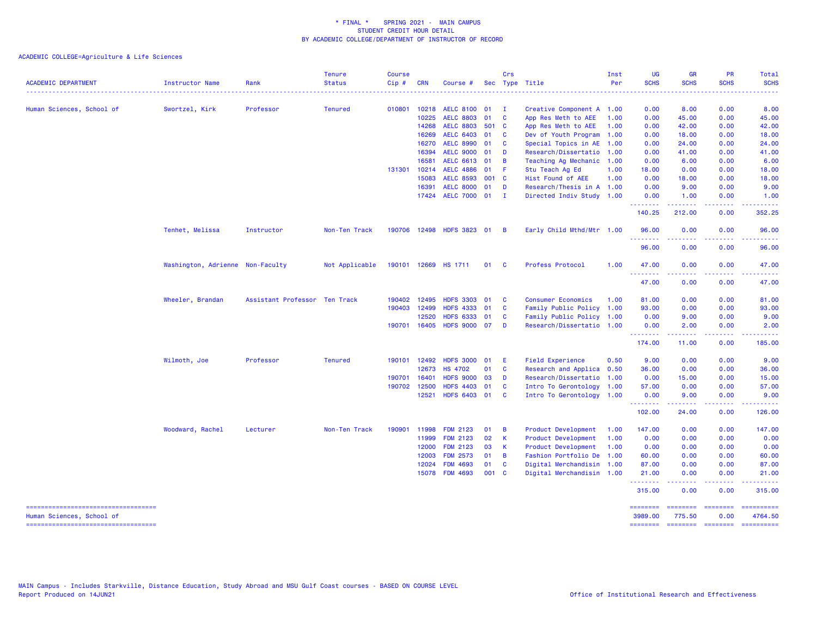ACADEMIC COLLEGE=Agriculture & Life Sciences

| <b>ACADEMIC DEPARTMENT</b>                                          | <b>Instructor Name</b>           | Rank                          | <b>Tenure</b><br><b>Status</b> | <b>Course</b><br>Cip# | <b>CRN</b>   | Course #                  |       | Crs            | Sec Type Title            | Inst<br>Per | UG<br><b>SCHS</b><br>.     | GR<br><b>SCHS</b>  | PR<br><b>SCHS</b>            | Total<br><b>SCHS</b><br><u>.</u> |
|---------------------------------------------------------------------|----------------------------------|-------------------------------|--------------------------------|-----------------------|--------------|---------------------------|-------|----------------|---------------------------|-------------|----------------------------|--------------------|------------------------------|----------------------------------|
| Human Sciences, School of                                           | Swortzel, Kirk                   | Professor                     | <b>Tenured</b>                 | 010801                | 10218        | <b>AELC 8100</b>          | 01    | $\mathbf{I}$   | Creative Component A 1.00 |             | 0.00                       | 8.00               | 0.00                         | 8.00                             |
|                                                                     |                                  |                               |                                |                       | 10225        | <b>AELC 8803</b>          | 01    | C              | App Res Meth to AEE       | 1.00        | 0.00                       | 45.00              | 0.00                         | 45.00                            |
|                                                                     |                                  |                               |                                |                       | 14268        | <b>AELC 8803</b>          | 501 C |                | App Res Meth to AEE       | 1.00        | 0.00                       | 42.00              | 0.00                         | 42.00                            |
|                                                                     |                                  |                               |                                |                       | 16269        | <b>AELC 6403</b>          | 01    | C              | Dev of Youth Program      | 1.00        | 0.00                       | 18.00              | 0.00                         | 18.00                            |
|                                                                     |                                  |                               |                                |                       | 16270        | <b>AELC 8990</b>          | 01    | <b>C</b>       | Special Topics in AE      | 1.00        | 0.00                       | 24.00              | 0.00                         | 24.00                            |
|                                                                     |                                  |                               |                                |                       | 16394        | <b>AELC 9000</b>          | 01    | D              | Research/Dissertatio      | 1.00        | 0.00                       | 41.00              | 0.00                         | 41.00                            |
|                                                                     |                                  |                               |                                |                       | 16581        | AELC 6613 01              |       | B              | Teaching Ag Mechanic 1.00 |             | 0.00                       | 6.00               | 0.00                         | 6.00                             |
|                                                                     |                                  |                               |                                | 131301                | 10214        | <b>AELC 4886</b>          | 01    | -F             | Stu Teach Ag Ed           | 1.00        | 18.00                      | 0.00               | 0.00                         | 18.00                            |
|                                                                     |                                  |                               |                                |                       | 15083        | <b>AELC 8593</b>          | 001 C |                | Hist Found of AEE         | 1.00        | 0.00                       | 18.00              | 0.00                         | 18.00                            |
|                                                                     |                                  |                               |                                |                       | 16391        | <b>AELC 8000</b>          | 01    | D              | Research/Thesis in A 1.00 |             | 0.00                       | 9.00               | 0.00                         | 9.00                             |
|                                                                     |                                  |                               |                                |                       |              | 17424 AELC 7000 01        |       | - I            | Directed Indiv Study 1.00 |             | 0.00                       | 1.00               | 0.00<br>$\sim$ $\sim$ $\sim$ | 1.00                             |
|                                                                     |                                  |                               |                                |                       |              |                           |       |                |                           |             | 140.25                     | 212.00             | 0.00                         | 352.25                           |
|                                                                     | Tenhet, Melissa                  | Instructor                    | Non-Ten Track                  |                       |              | 190706 12498 HDFS 3823 01 |       | $\overline{B}$ | Early Child Mthd/Mtr 1.00 |             | 96.00                      | 0.00               | 0.00                         | 96.00                            |
|                                                                     |                                  |                               |                                |                       |              |                           |       |                |                           |             | 96.00                      | 0.00               | 0.00                         | 96.00                            |
|                                                                     | Washington, Adrienne Non-Faculty |                               | Not Applicable                 |                       |              | 190101 12669 HS 1711      | 01    | <b>C</b>       | Profess Protocol          | 1.00        | 47.00                      | 0.00               | 0.00                         | 47.00                            |
|                                                                     |                                  |                               |                                |                       |              |                           |       |                |                           |             | 47.00                      | 0.00               | 0.00                         | 47.00                            |
|                                                                     | Wheeler, Brandan                 | Assistant Professor Ten Track |                                | 190402                | 12495        | <b>HDFS 3303</b>          | 01    | - C            | <b>Consumer Economics</b> | 1.00        | 81.00                      | 0.00               | 0.00                         | 81.00                            |
|                                                                     |                                  |                               |                                | 190403                | 12499        | <b>HDFS 4333</b>          | 01    | <b>C</b>       | Family Public Policy 1.00 |             | 93.00                      | 0.00               | 0.00                         | 93.00                            |
|                                                                     |                                  |                               |                                |                       | 12520        | <b>HDFS 6333</b>          | 01    | C              | Family Public Policy 1.00 |             | 0.00                       | 9.00               | 0.00                         | 9.00                             |
|                                                                     |                                  |                               |                                |                       | 190701 16405 | HDFS 9000 07              |       | D              | Research/Dissertatio 1.00 |             | 0.00<br>--------           | 2.00<br>.          | 0.00<br>.                    | 2.00<br>.                        |
|                                                                     |                                  |                               |                                |                       |              |                           |       |                |                           |             | 174.00                     | 11.00              | 0.00                         | 185.00                           |
|                                                                     | Wilmoth, Joe                     | Professor                     | <b>Tenured</b>                 |                       | 190101 12492 | HDFS 3000 01              |       | E              | <b>Field Experience</b>   | 0.50        | 9.00                       | 0.00               | 0.00                         | 9.00                             |
|                                                                     |                                  |                               |                                |                       | 12673        | <b>HS 4702</b>            | 01    | <b>C</b>       | Research and Applica      | 0.50        | 36.00                      | 0.00               | 0.00                         | 36.00                            |
|                                                                     |                                  |                               |                                | 190701                | 16401        | <b>HDFS 9000</b>          | 03    | D              | Research/Dissertatio      | 1.00        | 0.00                       | 15.00              | 0.00                         | 15.00                            |
|                                                                     |                                  |                               |                                |                       | 190702 12500 | <b>HDFS 4403</b>          | 01    | <b>C</b>       | Intro To Gerontology      | 1.00        | 57.00                      | 0.00               | 0.00                         | 57.00                            |
|                                                                     |                                  |                               |                                |                       | 12521        | HDFS 6403 01              |       | <b>C</b>       | Intro To Gerontology 1.00 |             | 0.00<br>.                  | 9.00<br>22222      | 0.00<br>وعاويا               | 9.00                             |
|                                                                     |                                  |                               |                                |                       |              |                           |       |                |                           |             | 102.00                     | 24.00              | 0.00                         | 126.00                           |
|                                                                     | Woodward, Rachel                 | Lecturer                      | Non-Ten Track                  | 190901                | 11998        | <b>FDM 2123</b>           | 01    | B              | Product Development       | 1.00        | 147.00                     | 0.00               | 0.00                         | 147.00                           |
|                                                                     |                                  |                               |                                |                       | 11999        | <b>FDM 2123</b>           | 02    | K              | Product Development       | 1.00        | 0.00                       | 0.00               | 0.00                         | 0.00                             |
|                                                                     |                                  |                               |                                |                       | 12000        | <b>FDM 2123</b>           | 03    | K              | Product Development       | 1.00        | 0.00                       | 0.00               | 0.00                         | 0.00                             |
|                                                                     |                                  |                               |                                |                       | 12003        | <b>FDM 2573</b>           | 01    | $\overline{B}$ | Fashion Portfolio De      | 1.00        | 60.00                      | 0.00               | 0.00                         | 60.00                            |
|                                                                     |                                  |                               |                                |                       | 12024        | <b>FDM 4693</b>           | 01    | $\mathbf{C}$   | Digital Merchandisin 1.00 |             | 87.00                      | 0.00               | 0.00                         | 87.00                            |
|                                                                     |                                  |                               |                                |                       |              | 15078 FDM 4693            | 001 C |                | Digital Merchandisin 1.00 |             | 21.00<br>.                 | 0.00<br>-----      | 0.00<br>.                    | 21.00                            |
|                                                                     |                                  |                               |                                |                       |              |                           |       |                |                           |             | 315.00                     | 0.00               | 0.00                         | 315.00                           |
| ======================================<br>Human Sciences, School of |                                  |                               |                                |                       |              |                           |       |                |                           |             | <b>SESSESSE</b><br>3989.00 | ========<br>775.50 | ========<br>0.00             | ==========<br>4764.50            |

=================================== ======== ======== ======== ==========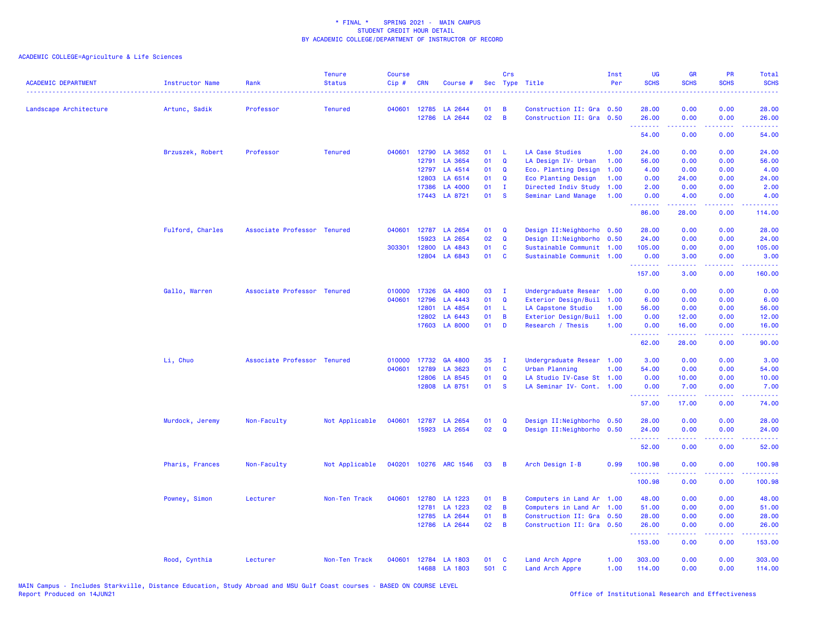| <b>ACADEMIC DEPARTMENT</b> | <b>Instructor Name</b> | Rank                        | <b>Tenure</b><br><b>Status</b> | <b>Course</b><br>Cip# | <b>CRN</b> | Course #              |                 | Crs            | Sec Type Title<br>.        | Inst<br>Per | <b>UG</b><br><b>SCHS</b> | <b>GR</b><br><b>SCHS</b>                                                                                                                                     | PR<br><b>SCHS</b>                                                                                      | Total<br><b>SCHS</b><br>$\frac{1}{2} \left( \frac{1}{2} \right) \left( \frac{1}{2} \right) \left( \frac{1}{2} \right) \left( \frac{1}{2} \right)$ |
|----------------------------|------------------------|-----------------------------|--------------------------------|-----------------------|------------|-----------------------|-----------------|----------------|----------------------------|-------------|--------------------------|--------------------------------------------------------------------------------------------------------------------------------------------------------------|--------------------------------------------------------------------------------------------------------|---------------------------------------------------------------------------------------------------------------------------------------------------|
| Landscape Architecture     | Artunc, Sadik          | Professor                   | <b>Tenured</b>                 | 040601                | 12785      | LA 2644               | 01              | B              | Construction II: Gra 0.50  |             | 28.00                    | 0.00                                                                                                                                                         | 0.00                                                                                                   | 28.00                                                                                                                                             |
|                            |                        |                             |                                |                       | 12786      | LA 2644               | 02              | B              | Construction II: Gra 0.50  |             | 26.00<br>.               | 0.00<br>$\frac{1}{2} \left( \frac{1}{2} \right) \left( \frac{1}{2} \right) \left( \frac{1}{2} \right) \left( \frac{1}{2} \right) \left( \frac{1}{2} \right)$ | 0.00<br>.                                                                                              | 26.00<br>.                                                                                                                                        |
|                            |                        |                             |                                |                       |            |                       |                 |                |                            |             | 54.00                    | 0.00                                                                                                                                                         | 0.00                                                                                                   | 54.00                                                                                                                                             |
|                            | Brzuszek, Robert       | Professor                   | <b>Tenured</b>                 | 040601                | 12790      | LA 3652               | 01              | - L            | <b>LA Case Studies</b>     | 1.00        | 24.00                    | 0.00                                                                                                                                                         | 0.00                                                                                                   | 24.00                                                                                                                                             |
|                            |                        |                             |                                |                       | 12791      | LA 3654               | 01              | $\mathbf Q$    | LA Design IV- Urban        | 1.00        | 56.00                    | 0.00                                                                                                                                                         | 0.00                                                                                                   | 56.00                                                                                                                                             |
|                            |                        |                             |                                |                       | 12797      | LA 4514               | 01              | Q              | Eco. Planting Design       | 1.00        | 4.00                     | 0.00                                                                                                                                                         | 0.00                                                                                                   | 4.00                                                                                                                                              |
|                            |                        |                             |                                |                       | 12803      | LA 6514               | 01              | Q              | Eco Planting Design        | 1.00        | 0.00                     | 24.00                                                                                                                                                        | 0.00                                                                                                   | 24.00                                                                                                                                             |
|                            |                        |                             |                                |                       | 17386      | LA 4000               | 01              | $\mathbf{I}$   | Directed Indiv Study       | 1.00        | 2.00                     | 0.00                                                                                                                                                         | 0.00                                                                                                   | 2.00                                                                                                                                              |
|                            |                        |                             |                                |                       |            | 17443 LA 8721         | 01              | <b>S</b>       | Seminar Land Manage        | 1.00        | 0.00<br><b>.</b> .       | 4.00<br>المستملة                                                                                                                                             | 0.00<br>.                                                                                              | 4.00<br>.                                                                                                                                         |
|                            |                        |                             |                                |                       |            |                       |                 |                |                            |             | 86.00                    | 28.00                                                                                                                                                        | 0.00                                                                                                   | 114.00                                                                                                                                            |
|                            | Fulford, Charles       | Associate Professor Tenured |                                | 040601                | 12787      | LA 2654               | 01              | Q              | Design II: Neighborho 0.50 |             | 28.00                    | 0.00                                                                                                                                                         | 0.00                                                                                                   | 28.00                                                                                                                                             |
|                            |                        |                             |                                |                       | 15923      | LA 2654               | 02              | $\mathbf Q$    | Design II:Neighborho 0.50  |             | 24.00                    | 0.00                                                                                                                                                         | 0.00                                                                                                   | 24.00                                                                                                                                             |
|                            |                        |                             |                                | 303301                | 12800      | LA 4843               | 01              | C              | Sustainable Communit 1.00  |             | 105.00                   | 0.00                                                                                                                                                         | 0.00                                                                                                   | 105.00                                                                                                                                            |
|                            |                        |                             |                                |                       | 12804      | LA 6843               | 01              | $\mathbf{C}$   | Sustainable Communit 1.00  |             | 0.00<br>.                | 3.00<br>.                                                                                                                                                    | 0.00<br>الأعامات                                                                                       | 3.00<br>.                                                                                                                                         |
|                            |                        |                             |                                |                       |            |                       |                 |                |                            |             | 157.00                   | 3.00                                                                                                                                                         | 0.00                                                                                                   | 160.00                                                                                                                                            |
|                            | Gallo, Warren          | Associate Professor Tenured |                                | 010000                | 17326      | GA 4800               | 03              | $\mathbf{I}$   | Undergraduate Resear       | 1.00        | 0.00                     | 0.00                                                                                                                                                         | 0.00                                                                                                   | 0.00                                                                                                                                              |
|                            |                        |                             |                                | 040601                | 12796      | LA 4443               | 01              | $\mathbf Q$    | Exterior Design/Buil       | 1.00        | 6.00                     | 0.00                                                                                                                                                         | 0.00                                                                                                   | 6.00                                                                                                                                              |
|                            |                        |                             |                                |                       | 12801      | LA 4854               | 01              | - L            | LA Capstone Studio         | 1.00        | 56.00                    | 0.00                                                                                                                                                         | 0.00                                                                                                   | 56.00                                                                                                                                             |
|                            |                        |                             |                                |                       | 12802      | LA 6443               | 01              | B              | Exterior Design/Buil       | 1.00        | 0.00                     | 12.00                                                                                                                                                        | 0.00                                                                                                   | 12.00                                                                                                                                             |
|                            |                        |                             |                                |                       | 17603      | <b>LA 8000</b>        | 01              | D              | Research / Thesis          | 1.00        | 0.00                     | 16.00                                                                                                                                                        | 0.00                                                                                                   | 16.00                                                                                                                                             |
|                            |                        |                             |                                |                       |            |                       |                 |                |                            |             | .<br>62.00               | 28.00                                                                                                                                                        | 0.00                                                                                                   | 90.00                                                                                                                                             |
|                            | Li, Chuo               | Associate Professor Tenured |                                | 010000                | 17732      | GA 4800               | 35              | - I            | Undergraduate Resear 1.00  |             | 3.00                     | 0.00                                                                                                                                                         | 0.00                                                                                                   | 3.00                                                                                                                                              |
|                            |                        |                             |                                | 040601                | 12789      | LA 3623               | 01              | C              | Urban Planning             | 1.00        | 54.00                    | 0.00                                                                                                                                                         | 0.00                                                                                                   | 54.00                                                                                                                                             |
|                            |                        |                             |                                |                       | 12806      | LA 8545               | 01              | $\mathbf Q$    | LA Studio IV-Case St 1.00  |             | 0.00                     | 10.00                                                                                                                                                        | 0.00                                                                                                   | 10.00                                                                                                                                             |
|                            |                        |                             |                                |                       | 12808      | LA 8751               | 01              | <b>S</b>       | LA Seminar IV- Cont. 1.00  |             | 0.00                     | 7.00                                                                                                                                                         | 0.00                                                                                                   | 7.00                                                                                                                                              |
|                            |                        |                             |                                |                       |            |                       |                 |                |                            |             | .<br>57.00               | $\frac{1}{2} \left( \frac{1}{2} \right) \left( \frac{1}{2} \right) \left( \frac{1}{2} \right) \left( \frac{1}{2} \right)$<br>17.00                           | د د د د<br>0.00                                                                                        | ن د د د<br>74.00                                                                                                                                  |
|                            | Murdock, Jeremy        | Non-Faculty                 | Not Applicable                 | 040601                |            | 12787 LA 2654         | 01              | Q              | Design II: Neighborho 0.50 |             | 28.00                    | 0.00                                                                                                                                                         | 0.00                                                                                                   | 28.00                                                                                                                                             |
|                            |                        |                             |                                |                       |            | 15923 LA 2654         | 02 <sub>o</sub> | $\mathbf Q$    | Design II: Neighborho 0.50 |             | 24.00                    | 0.00                                                                                                                                                         | 0.00                                                                                                   | 24.00                                                                                                                                             |
|                            |                        |                             |                                |                       |            |                       |                 |                |                            |             | .<br>52.00               | .<br>0.00                                                                                                                                                    | $\frac{1}{2} \left( \frac{1}{2} \right) \left( \frac{1}{2} \right) \left( \frac{1}{2} \right)$<br>0.00 | .<br>52.00                                                                                                                                        |
|                            | Pharis, Frances        | Non-Faculty                 | Not Applicable                 |                       |            | 040201 10276 ARC 1546 | 03              | $\overline{B}$ | Arch Design I-B            | 0.99        | 100.98                   | 0.00                                                                                                                                                         | 0.00                                                                                                   | 100.98                                                                                                                                            |
|                            |                        |                             |                                |                       |            |                       |                 |                |                            |             | 100.98                   | 0.00                                                                                                                                                         | 0.00                                                                                                   | 100.98                                                                                                                                            |
|                            | Powney, Simon          | Lecturer                    | Non-Ten Track                  | 040601                |            | 12780 LA 1223         | 01              | B              | Computers in Land Ar 1.00  |             | 48.00                    | 0.00                                                                                                                                                         | 0.00                                                                                                   | 48.00                                                                                                                                             |
|                            |                        |                             |                                |                       | 12781      | LA 1223               | 02              | B              | Computers in Land Ar 1.00  |             | 51.00                    | 0.00                                                                                                                                                         | 0.00                                                                                                   | 51.00                                                                                                                                             |
|                            |                        |                             |                                |                       | 12785      | LA 2644               | 01              | B              | Construction II: Gra 0.50  |             | 28.00                    | 0.00                                                                                                                                                         | 0.00                                                                                                   | 28.00                                                                                                                                             |
|                            |                        |                             |                                |                       |            | 12786 LA 2644         | 02              | B              | Construction II: Gra 0.50  |             | 26.00                    | 0.00                                                                                                                                                         | 0.00                                                                                                   | 26.00                                                                                                                                             |
|                            |                        |                             |                                |                       |            |                       |                 |                |                            |             | .<br>153.00              | 0.00                                                                                                                                                         | وبالأباد<br>0.00                                                                                       | 153.00                                                                                                                                            |
|                            | Rood, Cynthia          | Lecturer                    | Non-Ten Track                  | 040601                |            | 12784 LA 1803         | 01              | <b>C</b>       | Land Arch Appre            | 1.00        | 303.00                   | 0.00                                                                                                                                                         | 0.00                                                                                                   | 303.00                                                                                                                                            |
|                            |                        |                             |                                |                       | 14688      | LA 1803               | 501             | $\mathbf{C}$   | Land Arch Appre            | 1.00        | 114.00                   | 0.00                                                                                                                                                         | 0.00                                                                                                   | 114.00                                                                                                                                            |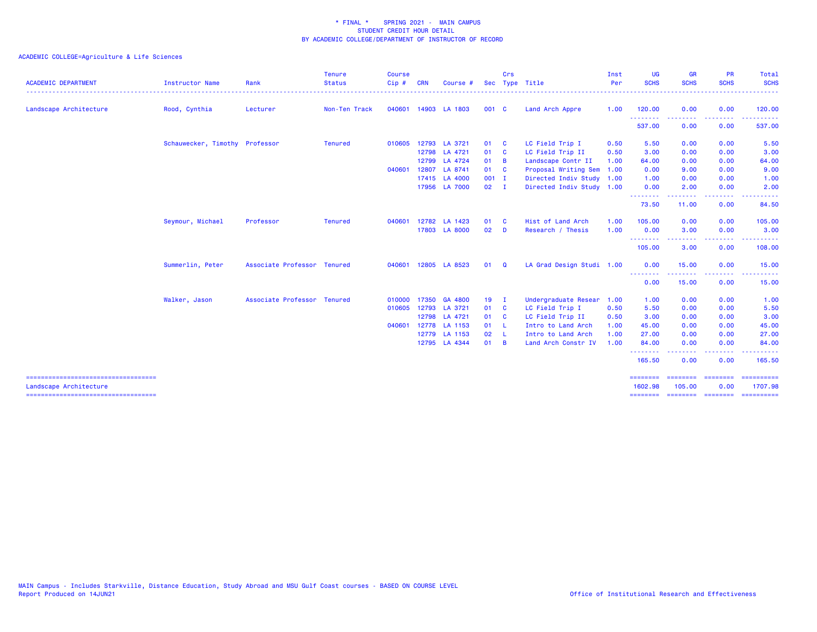| <b>ACADEMIC DEPARTMENT</b>                                      | <b>Instructor Name</b>         | Rank                        | <b>Tenure</b><br><b>Status</b> | <b>Course</b><br>Cip# | CRN   | Course #             |               | Crs            | Sec Type Title            | Inst<br>Per | <b>UG</b><br><b>SCHS</b> | <b>GR</b><br><b>SCHS</b>                                                                                                                                      | <b>PR</b><br><b>SCHS</b> | Total<br><b>SCHS</b><br>. <b>.</b> |
|-----------------------------------------------------------------|--------------------------------|-----------------------------|--------------------------------|-----------------------|-------|----------------------|---------------|----------------|---------------------------|-------------|--------------------------|---------------------------------------------------------------------------------------------------------------------------------------------------------------|--------------------------|------------------------------------|
| Landscape Architecture                                          | Rood, Cynthia                  | Lecturer                    | Non-Ten Track                  |                       |       | 040601 14903 LA 1803 | 001 C         |                | Land Arch Appre           | 1.00        | 120.00                   | 0.00                                                                                                                                                          | 0.00                     | 120.00                             |
|                                                                 |                                |                             |                                |                       |       |                      |               |                |                           |             | .<br>537.00              | 0.00                                                                                                                                                          | 0.00                     | 537.00                             |
|                                                                 | Schauwecker, Timothy Professor |                             | <b>Tenured</b>                 |                       |       | 010605 12793 LA 3721 | 01            | - C            | LC Field Trip I           | 0.50        | 5.50                     | 0.00                                                                                                                                                          | 0.00                     | 5.50                               |
|                                                                 |                                |                             |                                |                       |       | 12798 LA 4721        | 01            | $\mathbf{C}$   | LC Field Trip II          | 0.50        | 3.00                     | 0.00                                                                                                                                                          | 0.00                     | 3.00                               |
|                                                                 |                                |                             |                                |                       |       | 12799 LA 4724        | 01            | $\overline{B}$ | Landscape Contr II        | 1.00        | 64.00                    | 0.00                                                                                                                                                          | 0.00                     | 64.00                              |
|                                                                 |                                |                             |                                | 040601                | 12807 | LA 8741              | 01 C          |                | Proposal Writing Sem      | 1.00        | 0.00                     | 9.00                                                                                                                                                          | 0.00                     | 9.00                               |
|                                                                 |                                |                             |                                |                       |       | 17415 LA 4000        | $001$ I       |                | Directed Indiv Study 1.00 |             | 1.00                     | 0.00                                                                                                                                                          | 0.00                     | 1.00                               |
|                                                                 |                                |                             |                                |                       |       | 17956 LA 7000        | $02 \qquad I$ |                | Directed Indiv Study 1.00 |             | 0.00                     | 2.00                                                                                                                                                          | 0.00                     | 2.00                               |
|                                                                 |                                |                             |                                |                       |       |                      |               |                |                           |             | --------<br>73.50        | $\frac{1}{2} \left( \frac{1}{2} \right) \left( \frac{1}{2} \right) \left( \frac{1}{2} \right) \left( \frac{1}{2} \right) \left( \frac{1}{2} \right)$<br>11.00 | . <b>.</b> .<br>0.00     | 84.50                              |
|                                                                 | Seymour, Michael               | Professor                   | <b>Tenured</b>                 | 040601                |       | 12782 LA 1423        | 01            | <b>C</b>       | Hist of Land Arch         | 1.00        | 105.00                   | 0.00                                                                                                                                                          | 0.00                     | 105.00                             |
|                                                                 |                                |                             |                                |                       |       | 17803 LA 8000        | 02            | D              | Research / Thesis         | 1.00        | 0.00<br>.                | 3.00<br><u>.</u>                                                                                                                                              | 0.00<br>.                | 3.00                               |
|                                                                 |                                |                             |                                |                       |       |                      |               |                |                           |             | 105.00                   | 3.00                                                                                                                                                          | 0.00                     | 108.00                             |
|                                                                 | Summerlin, Peter               | Associate Professor Tenured |                                | 040601                |       | 12805 LA 8523        | 01            | Q              | LA Grad Design Studi 1.00 |             | 0.00                     | 15.00<br>.                                                                                                                                                    | 0.00<br>.                | 15.00                              |
|                                                                 |                                |                             |                                |                       |       |                      |               |                |                           |             | --------<br>0.00         | 15.00                                                                                                                                                         | 0.00                     | 15.00                              |
|                                                                 | Walker, Jason                  | Associate Professor Tenured |                                | 010000                |       | 17350 GA 4800        | $19$ I        |                | Undergraduate Resear      | 1.00        | 1.00                     | 0.00                                                                                                                                                          | 0.00                     | 1.00                               |
|                                                                 |                                |                             |                                |                       |       | 010605 12793 LA 3721 | 01            | - C            | LC Field Trip I           | 0.50        | 5.50                     | 0.00                                                                                                                                                          | 0.00                     | 5.50                               |
|                                                                 |                                |                             |                                |                       |       | 12798 LA 4721        | 01 C          |                | LC Field Trip II          | 0.50        | 3.00                     | 0.00                                                                                                                                                          | 0.00                     | 3.00                               |
|                                                                 |                                |                             |                                | 040601                |       | 12778 LA 1153        | 01 L          |                | Intro to Land Arch        | 1.00        | 45.00                    | 0.00                                                                                                                                                          | 0.00                     | 45.00                              |
|                                                                 |                                |                             |                                |                       |       | 12779 LA 1153        | 02            | - L            | Intro to Land Arch        | 1.00        | 27.00                    | 0.00                                                                                                                                                          | 0.00                     | 27.00                              |
|                                                                 |                                |                             |                                |                       |       | 12795 LA 4344        | 01            | $\overline{B}$ | Land Arch Constr IV       | 1.00        | 84.00<br>- - - - - - - - | 0.00                                                                                                                                                          | 0.00                     | 84.00                              |
|                                                                 |                                |                             |                                |                       |       |                      |               |                |                           |             | 165.50                   | .<br>0.00                                                                                                                                                     | . <b>.</b> .<br>0.00     | 165.50                             |
| =====================================<br>Landscape Architecture |                                |                             |                                |                       |       |                      |               |                |                           |             | ========<br>1602.98      | 105.00                                                                                                                                                        | <b>Concocco</b><br>0.00  | 1707.98                            |
| ======================================                          |                                |                             |                                |                       |       |                      |               |                |                           |             | ========                 |                                                                                                                                                               |                          | ========= ========= ==========     |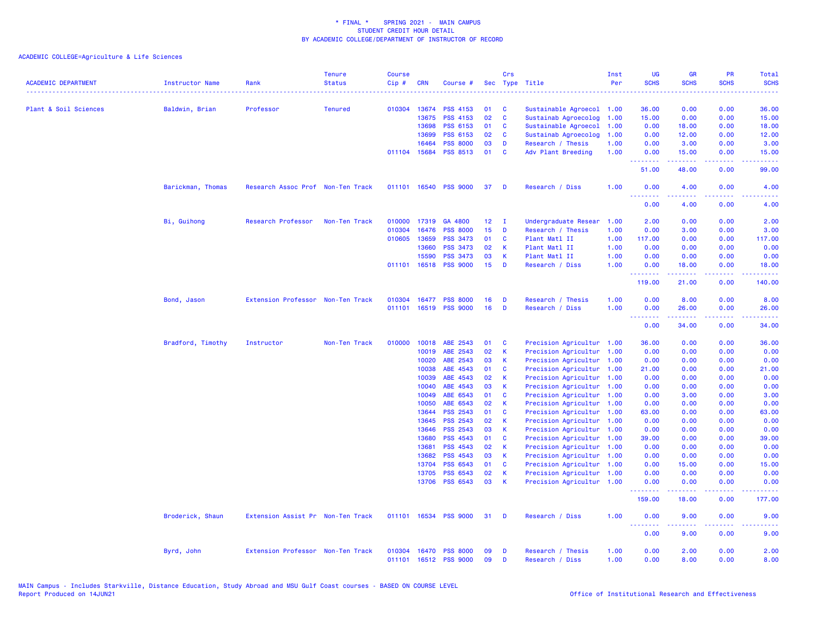| <b>ACADEMIC DEPARTMENT</b> | Instructor Name   | Rank                              | <b>Tenure</b><br><b>Status</b> | <b>Course</b><br>Cip# | <b>CRN</b>   | Course #                                 |                 | Crs          | Sec Type Title                       | Inst<br>Per  | <b>UG</b><br><b>SCHS</b> | <b>GR</b><br><b>SCHS</b>                                                                                                                                     | <b>PR</b><br><b>SCHS</b> | Total<br><b>SCHS</b> |
|----------------------------|-------------------|-----------------------------------|--------------------------------|-----------------------|--------------|------------------------------------------|-----------------|--------------|--------------------------------------|--------------|--------------------------|--------------------------------------------------------------------------------------------------------------------------------------------------------------|--------------------------|----------------------|
|                            |                   |                                   |                                |                       |              |                                          |                 |              |                                      |              |                          |                                                                                                                                                              |                          |                      |
| Plant & Soil Sciences      | Baldwin, Brian    | Professor                         | <b>Tenured</b>                 |                       | 010304 13674 | <b>PSS 4153</b>                          | 01              | C            | Sustainable Agroecol 1.00            |              | 36.00                    | 0.00                                                                                                                                                         | 0.00                     | 36.00                |
|                            |                   |                                   |                                |                       | 13675        | <b>PSS 4153</b>                          | 02              | $\mathbf{C}$ | Sustainab Agroecolog                 | 1.00         | 15.00                    | 0.00                                                                                                                                                         | 0.00                     | 15.00                |
|                            |                   |                                   |                                |                       | 13698        | <b>PSS 6153</b>                          | 01              | C            | Sustainable Agroecol                 | 1.00         | 0.00                     | 18.00                                                                                                                                                        | 0.00                     | 18.00                |
|                            |                   |                                   |                                |                       | 13699        | <b>PSS 6153</b>                          | 02              | $\mathbf{C}$ | Sustainab Agroecolog                 | 1.00         | 0.00                     | 12.00                                                                                                                                                        | 0.00                     | 12.00                |
|                            |                   |                                   |                                |                       | 16464        | <b>PSS 8000</b>                          | 03              | D            | Research / Thesis                    | 1.00         | 0.00                     | 3.00                                                                                                                                                         | 0.00                     | 3.00                 |
|                            |                   |                                   |                                |                       | 011104 15684 | <b>PSS 8513</b>                          | 01              | $\mathbf{C}$ | Adv Plant Breeding                   | 1.00         | 0.00                     | 15.00                                                                                                                                                        | 0.00                     | 15.00                |
|                            |                   |                                   |                                |                       |              |                                          |                 |              |                                      |              | .<br>51.00               | .<br>48.00                                                                                                                                                   | .<br>0.00                | .<br>99.00           |
|                            | Barickman, Thomas | Research Assoc Prof Non-Ten Track |                                |                       | 011101 16540 | <b>PSS 9000</b>                          | 37              | D            | Research / Diss                      | 1.00         | 0.00<br>- - -            | 4.00                                                                                                                                                         | 0.00                     | 4.00                 |
|                            |                   |                                   |                                |                       |              |                                          |                 |              |                                      |              | 0.00                     | 4.00                                                                                                                                                         | 0.00                     | 4.00                 |
|                            | Bi, Guihong       | Research Professor                | Non-Ten Track                  | 010000                | 17319        | GA 4800                                  | 12 <sub>1</sub> | $\mathbf I$  | Undergraduate Resear                 | 1.00         | 2.00                     | 0.00                                                                                                                                                         | 0.00                     | 2.00                 |
|                            |                   |                                   |                                | 010304                | 16476        | <b>PSS 8000</b>                          | 15              | D            | Research / Thesis                    | 1.00         | 0.00                     | 3.00                                                                                                                                                         | 0.00                     | 3.00                 |
|                            |                   |                                   |                                | 010605                | 13659        | <b>PSS 3473</b>                          | 01              | <b>C</b>     | Plant Matl II                        | 1.00         | 117.00                   | 0.00                                                                                                                                                         | 0.00                     | 117.00               |
|                            |                   |                                   |                                |                       | 13660        | <b>PSS 3473</b>                          | 02              | K            | Plant Matl II                        | 1.00         | 0.00                     | 0.00                                                                                                                                                         | 0.00                     | 0.00                 |
|                            |                   |                                   |                                |                       | 15590        | <b>PSS 3473</b>                          | 03              | K            | Plant Matl II                        | 1.00         | 0.00                     | 0.00                                                                                                                                                         | 0.00                     | 0.00                 |
|                            |                   |                                   |                                |                       | 011101 16518 | <b>PSS 9000</b>                          | 15              | D            | Research / Diss                      | 1.00         | 0.00                     | 18.00                                                                                                                                                        | 0.00                     | 18.00                |
|                            |                   |                                   |                                |                       |              |                                          |                 |              |                                      |              | <u>.</u><br>119.00       | المستملة<br>21.00                                                                                                                                            | .<br>0.00                | .<br>140.00          |
|                            | Bond, Jason       | Extension Professor Non-Ten Track |                                | 010304                | 16477        | <b>PSS 8000</b>                          | 16              | D            | Research / Thesis                    | 1.00         | 0.00                     | 8.00                                                                                                                                                         | 0.00                     | 8.00                 |
|                            |                   |                                   |                                |                       |              | 011101 16519 PSS 9000                    | 16              | D            | Research / Diss                      | 1.00         | 0.00<br><u>.</u>         | 26.00                                                                                                                                                        | 0.00                     | 26.00                |
|                            |                   |                                   |                                |                       |              |                                          |                 |              |                                      |              | 0.00                     | 34.00                                                                                                                                                        | 0.00                     | 34.00                |
|                            | Bradford, Timothy | Instructor                        | Non-Ten Track                  | 010000                | 10018        | ABE 2543                                 | 01              | <b>C</b>     | Precision Agricultur 1.00            |              | 36.00                    | 0.00                                                                                                                                                         | 0.00                     | 36.00                |
|                            |                   |                                   |                                |                       | 10019        | ABE 2543                                 | 02              | $\mathsf K$  | Precision Agricultur 1.00            |              | 0.00                     | 0.00                                                                                                                                                         | 0.00                     | 0.00                 |
|                            |                   |                                   |                                |                       | 10020        | ABE 2543                                 | 03              | K            | Precision Agricultur 1.00            |              | 0.00                     | 0.00                                                                                                                                                         | 0.00                     | 0.00                 |
|                            |                   |                                   |                                |                       | 10038        | ABE 4543                                 | 01              | C            | Precision Agricultur 1.00            |              | 21.00                    | 0.00                                                                                                                                                         | 0.00                     | 21.00                |
|                            |                   |                                   |                                |                       | 10039        | ABE 4543                                 | 02              | $\mathsf{K}$ | Precision Agricultur 1.00            |              | 0.00                     | 0.00                                                                                                                                                         | 0.00                     | 0.00                 |
|                            |                   |                                   |                                |                       | 10040        | ABE 4543                                 | 03              | K            | Precision Agricultur 1.00            |              | 0.00                     | 0.00                                                                                                                                                         | 0.00                     | 0.00                 |
|                            |                   |                                   |                                |                       | 10049        | ABE 6543                                 | 01              | C            | Precision Agricultur 1.00            |              | 0.00                     | 3.00                                                                                                                                                         | 0.00                     | 3.00                 |
|                            |                   |                                   |                                |                       | 10050        | ABE 6543                                 | 02              | $\mathsf{K}$ | Precision Agricultur 1.00            |              | 0.00                     | 0.00                                                                                                                                                         | 0.00                     | 0.00                 |
|                            |                   |                                   |                                |                       | 13644        | PSS 2543                                 | 01              | $\mathbf{C}$ | Precision Agricultur 1.00            |              | 63.00                    | 0.00                                                                                                                                                         | 0.00                     | 63.00                |
|                            |                   |                                   |                                |                       | 13645        | <b>PSS 2543</b>                          | 02              | K            | Precision Agricultur 1.00            |              | 0.00                     | 0.00                                                                                                                                                         | 0.00                     | 0.00                 |
|                            |                   |                                   |                                |                       | 13646        | PSS 2543                                 | 03              | $\mathsf{K}$ | Precision Agricultur 1.00            |              | 0.00                     | 0.00                                                                                                                                                         | 0.00                     | 0.00                 |
|                            |                   |                                   |                                |                       | 13680        | <b>PSS 4543</b>                          | 01              | $\mathbf{C}$ | Precision Agricultur 1.00            |              | 39.00                    | 0.00                                                                                                                                                         | 0.00                     | 39.00                |
|                            |                   |                                   |                                |                       | 13681        | PSS 4543                                 | 02              | K            | Precision Agricultur 1.00            |              | 0.00                     | 0.00                                                                                                                                                         | 0.00                     | 0.00                 |
|                            |                   |                                   |                                |                       | 13682        | PSS 4543                                 | 03              | $\mathbf{K}$ | Precision Agricultur 1.00            |              | 0.00                     | 0.00                                                                                                                                                         | 0.00                     | 0.00                 |
|                            |                   |                                   |                                |                       | 13704        | <b>PSS 6543</b>                          | 01              | $\mathbf{C}$ | Precision Agricultur 1.00            |              | 0.00                     | 15.00                                                                                                                                                        | 0.00                     | 15.00                |
|                            |                   |                                   |                                |                       | 13705        | <b>PSS 6543</b>                          | 02              | <b>K</b>     | Precision Agricultur 1.00            |              | 0.00                     | 0.00                                                                                                                                                         | 0.00                     | 0.00                 |
|                            |                   |                                   |                                |                       | 13706        | <b>PSS 6543</b>                          | 03              | K            | Precision Agricultur 1.00            |              | 0.00                     | 0.00                                                                                                                                                         | 0.00                     | 0.00                 |
|                            |                   |                                   |                                |                       |              |                                          |                 |              |                                      |              | <u>.</u><br>159.00       | 18.00                                                                                                                                                        | 0.00                     | 177.00               |
|                            | Broderick, Shaun  | Extension Assist Pr Non-Ten Track |                                |                       |              | 011101 16534 PSS 9000                    | 31              | - D          | Research / Diss                      | 1.00         | 0.00                     | 9.00                                                                                                                                                         | 0.00                     | 9.00                 |
|                            |                   |                                   |                                |                       |              |                                          |                 |              |                                      |              | .<br>0.00                | $\frac{1}{2} \left( \frac{1}{2} \right) \left( \frac{1}{2} \right) \left( \frac{1}{2} \right) \left( \frac{1}{2} \right) \left( \frac{1}{2} \right)$<br>9.00 | .<br>0.00                | 9.00                 |
|                            | Byrd, John        | Extension Professor Non-Ten Track |                                | 010304                | 16470        | <b>PSS 8000</b><br>011101 16512 PSS 9000 | 09<br>09        | D<br>D       | Research / Thesis<br>Research / Diss | 1.00<br>1.00 | 0.00<br>0.00             | 2.00<br>8.00                                                                                                                                                 | 0.00<br>0.00             | 2.00<br>8.00         |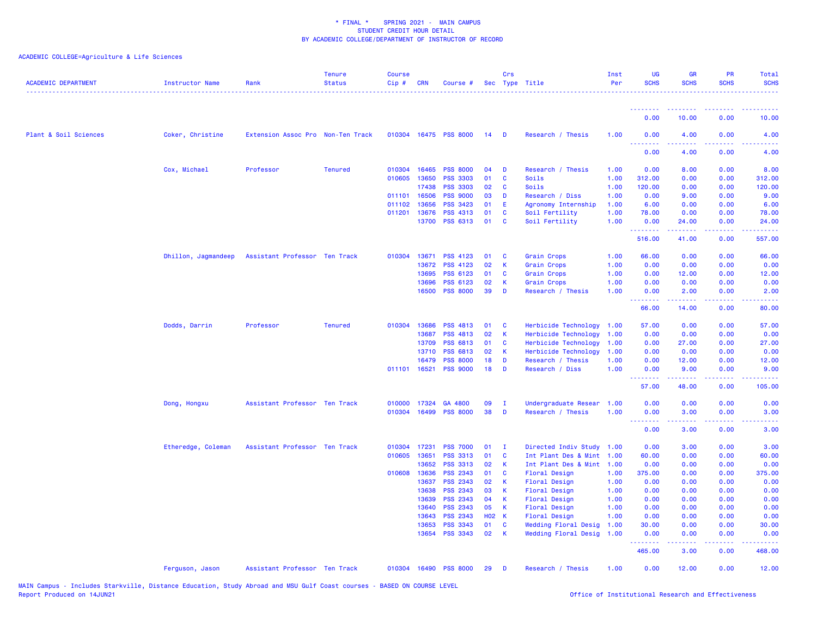| <b>ACADEMIC DEPARTMENT</b> | Instructor Name     | Rank                              | <b>Tenure</b><br><b>Status</b> | <b>Course</b><br>$Cip \#$ | <b>CRN</b>            | Course #                           |                    | Crs                     | Sec Type Title                        | Inst<br>Per  | <b>UG</b><br><b>SCHS</b> | <b>GR</b><br><b>SCHS</b> | <b>PR</b><br><b>SCHS</b> | <b>Total</b><br><b>SCHS</b> |
|----------------------------|---------------------|-----------------------------------|--------------------------------|---------------------------|-----------------------|------------------------------------|--------------------|-------------------------|---------------------------------------|--------------|--------------------------|--------------------------|--------------------------|-----------------------------|
|                            |                     |                                   |                                |                           |                       |                                    |                    |                         |                                       |              | <u> - - - - - - - -</u>  |                          |                          |                             |
|                            |                     |                                   |                                |                           |                       |                                    |                    |                         |                                       |              | 0.00                     | 10.00                    | 0.00                     | 10.00                       |
| Plant & Soil Sciences      | Coker, Christine    | Extension Assoc Pro Non-Ten Track |                                |                           |                       | 010304 16475 PSS 8000              | 14                 | $\blacksquare$          | Research / Thesis                     | 1.00         | 0.00<br><u>.</u>         | 4.00                     | 0.00                     | 4.00                        |
|                            |                     |                                   |                                |                           |                       |                                    |                    |                         |                                       |              | 0.00                     | 4.00                     | 0.00                     | 4.00                        |
|                            | Cox, Michael        | Professor                         | <b>Tenured</b>                 |                           | 010304 16465          | <b>PSS 8000</b>                    | 04                 | D                       | Research / Thesis                     | 1.00         | 0.00                     | 8.00                     | 0.00                     | 8.00                        |
|                            |                     |                                   |                                |                           | 010605 13650          | <b>PSS 3303</b>                    | 01                 | $\mathbf{C}$            | Soils                                 | 1.00         | 312.00                   | 0.00                     | 0.00                     | 312.00                      |
|                            |                     |                                   |                                |                           | 17438                 | <b>PSS 3303</b>                    | 02                 | C                       | Soils                                 | 1.00         | 120.00                   | 0.00                     | 0.00                     | 120.00                      |
|                            |                     |                                   |                                |                           | 011101 16506          | <b>PSS 9000</b>                    | 03                 | D                       | Research / Diss                       | 1.00         | 0.00                     | 9.00                     | 0.00                     | 9.00                        |
|                            |                     |                                   |                                | 011102                    | 13656                 | PSS 3423                           | 01<br>01           | Ε<br>$\mathbf{C}$       | Agronomy Internship                   | 1.00         | 6.00                     | 0.00<br>0.00             | 0.00                     | 6.00<br>78.00               |
|                            |                     |                                   |                                |                           | 011201 13676<br>13700 | <b>PSS 4313</b><br>PSS 6313        | 01                 | <b>C</b>                | Soil Fertility<br>Soil Fertility      | 1.00<br>1.00 | 78.00<br>0.00            | 24.00                    | 0.00<br>0.00             | 24.00                       |
|                            |                     |                                   |                                |                           |                       |                                    |                    |                         |                                       |              | .                        | $- - - - -$              | . <u>.</u>               |                             |
|                            |                     |                                   |                                |                           |                       |                                    |                    |                         |                                       |              | 516.00                   | 41.00                    | 0.00                     | 557.00                      |
|                            | Dhillon, Jagmandeep | Assistant Professor Ten Track     |                                |                           | 010304 13671          | <b>PSS 4123</b>                    | 01                 | <b>C</b>                | Grain Crops                           | 1.00         | 66.00                    | 0.00                     | 0.00                     | 66.00                       |
|                            |                     |                                   |                                |                           | 13672                 | <b>PSS 4123</b>                    | 02                 | K                       | <b>Grain Crops</b>                    | 1.00         | 0.00                     | 0.00                     | 0.00                     | 0.00                        |
|                            |                     |                                   |                                |                           | 13695                 | <b>PSS 6123</b>                    | 01                 | <b>C</b>                | Grain Crops                           | 1.00         | 0.00                     | 12.00                    | 0.00                     | 12.00                       |
|                            |                     |                                   |                                |                           | 13696                 | <b>PSS 6123</b>                    | 02                 | K                       | Grain Crops                           | 1.00         | 0.00                     | 0.00                     | 0.00                     | 0.00                        |
|                            |                     |                                   |                                |                           | 16500                 | <b>PSS 8000</b>                    | 39                 | D                       | Research / Thesis                     | 1.00         | 0.00<br><b></b>          | 2.00<br>.                | 0.00<br>.                | 2.00                        |
|                            |                     |                                   |                                |                           |                       |                                    |                    |                         |                                       |              | 66.00                    | 14.00                    | 0.00                     | 80.00                       |
|                            | Dodds, Darrin       | Professor                         | <b>Tenured</b>                 |                           | 010304 13686          | <b>PSS 4813</b>                    | 01                 | <b>C</b>                | Herbicide Technology 1.00             |              | 57.00                    | 0.00                     | 0.00                     | 57.00                       |
|                            |                     |                                   |                                |                           | 13687                 | <b>PSS 4813</b>                    | 02                 | K                       | Herbicide Technology                  | 1.00         | 0.00                     | 0.00                     | 0.00                     | 0.00                        |
|                            |                     |                                   |                                |                           | 13709                 | <b>PSS 6813</b>                    | 01                 | <b>C</b>                | Herbicide Technology                  | 1.00         | 0.00                     | 27.00                    | 0.00                     | 27.00                       |
|                            |                     |                                   |                                |                           | 13710<br>16479        | <b>PSS 6813</b><br><b>PSS 8000</b> | 02                 | $\mathsf{K}$<br>D       | Herbicide Technology                  | 1.00         | 0.00                     | 0.00                     | 0.00                     | 0.00                        |
|                            |                     |                                   |                                |                           | 011101 16521          | <b>PSS 9000</b>                    | 18<br>18           | D                       | Research / Thesis<br>Research / Diss  | 1.00<br>1.00 | 0.00<br>0.00             | 12.00<br>9.00            | 0.00<br>0.00             | 12.00<br>9.00               |
|                            |                     |                                   |                                |                           |                       |                                    |                    |                         |                                       |              | <u>.</u><br>57.00        | <b></b><br>48.00         | 22222<br>0.00            | 105.00                      |
|                            |                     |                                   |                                |                           |                       |                                    |                    |                         |                                       |              |                          |                          |                          |                             |
|                            | Dong, Hongxu        | Assistant Professor Ten Track     |                                |                           | 010000 17324          | GA 4800                            | 09                 | $\mathbf{I}$            | Undergraduate Resear 1.00             |              | 0.00                     | 0.00                     | 0.00                     | 0.00                        |
|                            |                     |                                   |                                |                           | 010304 16499          | <b>PSS 8000</b>                    | 38                 | D                       | Research / Thesis                     | 1.00         | 0.00<br>د د د د          | 3.00<br>$   -$           | 0.00                     | 3.00                        |
|                            |                     |                                   |                                |                           |                       |                                    |                    |                         |                                       |              | 0.00                     | 3.00                     | 0.00                     | 3.00                        |
|                            | Etheredge, Coleman  | Assistant Professor Ten Track     |                                |                           | 010304 17231          | <b>PSS 7000</b>                    | 01                 | $\mathbf{I}$            | Directed Indiv Study 1.00             |              | 0.00                     | 3.00                     | 0.00                     | 3.00                        |
|                            |                     |                                   |                                | 010605                    | 13651                 | <b>PSS 3313</b>                    | 01                 | C                       | Int Plant Des & Mint 1.00             |              | 60.00                    | 0.00                     | 0.00                     | 60.00                       |
|                            |                     |                                   |                                |                           | 13652                 | <b>PSS 3313</b>                    | 02                 | K                       | Int Plant Des & Mint 1.00             |              | 0.00                     | 0.00                     | 0.00                     | 0.00                        |
|                            |                     |                                   |                                |                           | 010608 13636          | <b>PSS 2343</b>                    | 01                 | <b>C</b>                | Floral Design                         | 1.00         | 375.00                   | 0.00                     | 0.00                     | 375.00                      |
|                            |                     |                                   |                                |                           | 13637                 | <b>PSS 2343</b>                    | 02                 | К                       | Floral Design                         | 1.00         | 0.00                     | 0.00                     | 0.00                     | 0.00                        |
|                            |                     |                                   |                                |                           | 13638                 | <b>PSS 2343</b>                    | 03                 | К                       | Floral Design                         | 1.00         | 0.00                     | 0.00                     | 0.00                     | 0.00                        |
|                            |                     |                                   |                                |                           | 13639                 | <b>PSS 2343</b>                    | 04                 | $\overline{\mathbf{K}}$ | Floral Design                         | 1.00         | 0.00                     | 0.00                     | 0.00                     | 0.00                        |
|                            |                     |                                   |                                |                           | 13640<br>13643        | <b>PSS 2343</b><br><b>PSS 2343</b> | 05<br><b>HO2 K</b> | K                       | Floral Design                         | 1.00<br>1.00 | 0.00<br>0.00             | 0.00<br>0.00             | 0.00<br>0.00             | 0.00<br>0.00                |
|                            |                     |                                   |                                |                           | 13653                 | <b>PSS 3343</b>                    | 01                 | $\mathbf{C}$            | Floral Design<br>Wedding Floral Desig | 1.00         | 30.00                    | 0.00                     | 0.00                     | 30.00                       |
|                            |                     |                                   |                                |                           | 13654                 | <b>PSS 3343</b>                    | 02                 | $\mathsf{K}$            | Wedding Floral Desig                  | 1.00         | 0.00                     | 0.00                     | 0.00                     | 0.00                        |
|                            |                     |                                   |                                |                           |                       |                                    |                    |                         |                                       |              | .<br>465.00              | -----<br>3.00            | المالمان المالي<br>0.00  | .                           |
|                            |                     |                                   |                                |                           |                       |                                    |                    |                         |                                       |              |                          |                          |                          | 468.00                      |
|                            | Ferguson, Jason     | Assistant Professor Ten Track     |                                |                           |                       | 010304 16490 PSS 8000              | 29                 | D                       | Research / Thesis                     | 1.00         | 0.00                     | 12.00                    | 0.00                     | 12.00                       |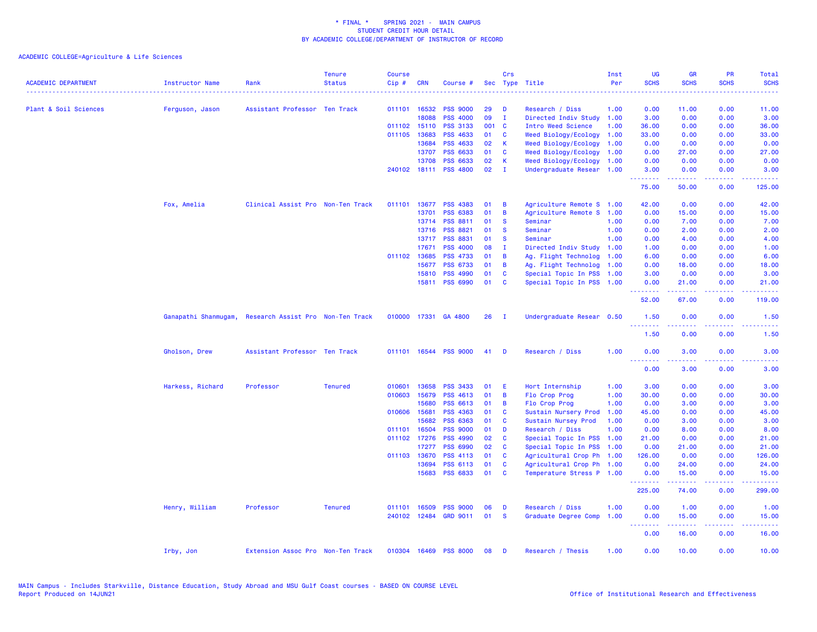| <b>ACADEMIC DEPARTMENT</b> | Instructor Name      | Rank                              | <b>Tenure</b><br><b>Status</b> | <b>Course</b><br>Cip# | <b>CRN</b>   | Course #              |       | Crs          | Sec Type Title            | Inst<br>Per | UG<br><b>SCHS</b>                                  | <b>GR</b><br><b>SCHS</b> | PR<br><b>SCHS</b>                                                                                                                 | Total<br><b>SCHS</b>                                                                                    |
|----------------------------|----------------------|-----------------------------------|--------------------------------|-----------------------|--------------|-----------------------|-------|--------------|---------------------------|-------------|----------------------------------------------------|--------------------------|-----------------------------------------------------------------------------------------------------------------------------------|---------------------------------------------------------------------------------------------------------|
| Plant & Soil Sciences      | Ferguson, Jason      | Assistant Professor Ten Track     |                                |                       | 011101 16532 | <b>PSS 9000</b>       | 29    | D            | Research / Diss           | 1.00        | 0.00                                               | 11.00                    | 0.00                                                                                                                              | 11.00                                                                                                   |
|                            |                      |                                   |                                |                       | 18088        | <b>PSS 4000</b>       | 09    | $\mathbf{I}$ | Directed Indiv Study      | 1.00        | 3.00                                               | 0.00                     | 0.00                                                                                                                              | 3.00                                                                                                    |
|                            |                      |                                   |                                | 011102 15110          |              | <b>PSS 3133</b>       | 001 C |              | Intro Weed Science        | 1.00        | 36.00                                              | 0.00                     | 0.00                                                                                                                              | 36.00                                                                                                   |
|                            |                      |                                   |                                |                       | 011105 13683 | <b>PSS 4633</b>       | 01    | C            | Weed Biology/Ecology      | 1.00        | 33.00                                              | 0.00                     | 0.00                                                                                                                              | 33.00                                                                                                   |
|                            |                      |                                   |                                |                       | 13684        | <b>PSS 4633</b>       | 02    | К            | Weed Biology/Ecology      | 1.00        | 0.00                                               | 0.00                     | 0.00                                                                                                                              | 0.00                                                                                                    |
|                            |                      |                                   |                                |                       | 13707        | <b>PSS 6633</b>       | 01    | C            | Weed Biology/Ecology      | 1.00        | 0.00                                               | 27.00                    | 0.00                                                                                                                              | 27.00                                                                                                   |
|                            |                      |                                   |                                |                       | 13708        | <b>PSS 6633</b>       | 02    | K            | Weed Biology/Ecology 1.00 |             | 0.00                                               | 0.00                     | 0.00                                                                                                                              | 0.00                                                                                                    |
|                            |                      |                                   |                                |                       |              | 240102 18111 PSS 4800 | 02    | $\mathbf{I}$ | Undergraduate Resear 1.00 |             | 3.00                                               | 0.00<br>22222            | 0.00<br>بالأباد                                                                                                                   | 3.00<br>.                                                                                               |
|                            |                      |                                   |                                |                       |              |                       |       |              |                           |             | 75.00                                              | 50.00                    | 0.00                                                                                                                              | 125.00                                                                                                  |
|                            | Fox, Amelia          | Clinical Assist Pro Non-Ten Track |                                | 011101                | 13677        | <b>PSS 4383</b>       | 01    | B            | Agriculture Remote S      | 1.00        | 42.00                                              | 0.00                     | 0.00                                                                                                                              | 42.00                                                                                                   |
|                            |                      |                                   |                                |                       | 13701        | <b>PSS 6383</b>       | 01    | B            | Agriculture Remote S      | 1.00        | 0.00                                               | 15.00                    | 0.00                                                                                                                              | 15.00                                                                                                   |
|                            |                      |                                   |                                |                       | 13714        | <b>PSS 8811</b>       | 01    | <b>S</b>     | Seminar                   | 1.00        | 0.00                                               | 7.00                     | 0.00                                                                                                                              | 7.00                                                                                                    |
|                            |                      |                                   |                                |                       | 13716        | <b>PSS 8821</b>       | 01    | <b>S</b>     | Seminar                   | 1.00        | 0.00                                               | 2.00                     | 0.00                                                                                                                              | 2.00                                                                                                    |
|                            |                      |                                   |                                |                       | 13717        | <b>PSS 8831</b>       | 01    | <b>S</b>     | Seminar                   | 1.00        | 0.00                                               | 4.00                     | 0.00                                                                                                                              | 4.00                                                                                                    |
|                            |                      |                                   |                                |                       | 17671        | <b>PSS 4000</b>       | 08    | $\mathbf{I}$ | Directed Indiv Study 1.00 |             | 1.00                                               | 0.00                     | 0.00                                                                                                                              | 1.00                                                                                                    |
|                            |                      |                                   |                                | 011102 13685          |              | <b>PSS 4733</b>       | 01    | B            | Ag. Flight Technolog 1.00 |             | 6.00                                               | 0.00                     | 0.00                                                                                                                              | 6.00                                                                                                    |
|                            |                      |                                   |                                |                       | 15677        | <b>PSS 6733</b>       | 01    | B            | Ag. Flight Technolog 1.00 |             | 0.00                                               | 18.00                    | 0.00                                                                                                                              | 18.00                                                                                                   |
|                            |                      |                                   |                                |                       | 15810        | <b>PSS 4990</b>       | 01    | C            | Special Topic In PSS      | 1.00        | 3.00                                               | 0.00                     | 0.00                                                                                                                              | 3.00                                                                                                    |
|                            |                      |                                   |                                |                       | 15811        | <b>PSS 6990</b>       | 01    | C            | Special Topic In PSS 1.00 |             | 0.00<br>.                                          | 21.00                    | 0.00<br>$\omega$ is a $\omega$                                                                                                    | 21.00<br>$\frac{1}{2} \left( \frac{1}{2} \right) \left( \frac{1}{2} \right) \left( \frac{1}{2} \right)$ |
|                            |                      |                                   |                                |                       |              |                       |       |              |                           |             | 52.00                                              | 67.00                    | 0.00                                                                                                                              | 119.00                                                                                                  |
|                            | Ganapathi Shanmugam, | Research Assist Pro Non-Ten Track |                                |                       |              | 010000 17331 GA 4800  | 26    | - I          | Undergraduate Resear 0.50 |             | 1.50<br><u>.</u>                                   | 0.00                     | 0.00                                                                                                                              | 1.50                                                                                                    |
|                            |                      |                                   |                                |                       |              |                       |       |              |                           |             | 1.50                                               | 0.00                     | 0.00                                                                                                                              | 1.50                                                                                                    |
|                            | Gholson, Drew        | Assistant Professor Ten Track     |                                |                       |              | 011101 16544 PSS 9000 | 41    | - D          | Research / Diss           | 1.00        | 0.00<br>. <b>.</b> .                               | 3.00<br>.                | 0.00<br>$\frac{1}{2} \left( \frac{1}{2} \right) \left( \frac{1}{2} \right) \left( \frac{1}{2} \right) \left( \frac{1}{2} \right)$ | 3.00<br>----                                                                                            |
|                            |                      |                                   |                                |                       |              |                       |       |              |                           |             | 0.00                                               | 3.00                     | 0.00                                                                                                                              | 3.00                                                                                                    |
|                            | Harkess, Richard     | Professor                         | <b>Tenured</b>                 | 010601                | 13658        | <b>PSS 3433</b>       | 01    | Ε            | Hort Internship           | 1.00        | 3.00                                               | 0.00                     | 0.00                                                                                                                              | 3.00                                                                                                    |
|                            |                      |                                   |                                | 010603                | 15679        | <b>PSS 4613</b>       | 01    | B            | Flo Crop Prog             | 1.00        | 30.00                                              | 0.00                     | 0.00                                                                                                                              | 30.00                                                                                                   |
|                            |                      |                                   |                                |                       | 15680        | PSS 6613              | 01    | B            | Flo Crop Prog             | 1.00        | 0.00                                               | 3.00                     | 0.00                                                                                                                              | 3.00                                                                                                    |
|                            |                      |                                   |                                | 010606 15681          |              | <b>PSS 4363</b>       | 01    | C            | Sustain Nursery Prod      | 1.00        | 45.00                                              | 0.00                     | 0.00                                                                                                                              | 45.00                                                                                                   |
|                            |                      |                                   |                                |                       | 15682        | <b>PSS 6363</b>       | 01    | C            | Sustain Nursey Prod       | 1.00        | 0.00                                               | 3.00                     | 0.00                                                                                                                              | 3.00                                                                                                    |
|                            |                      |                                   |                                |                       | 011101 16504 | <b>PSS 9000</b>       | 01    | D            | Research / Diss           | 1.00        | 0.00                                               | 8.00                     | 0.00                                                                                                                              | 8.00                                                                                                    |
|                            |                      |                                   |                                |                       | 011102 17276 | <b>PSS 4990</b>       | 02    | C            | Special Topic In PSS      | 1.00        | 21.00                                              | 0.00                     | 0.00                                                                                                                              | 21.00                                                                                                   |
|                            |                      |                                   |                                |                       | 17277        | <b>PSS 6990</b>       | 02    | C            | Special Topic In PSS      | 1.00        | 0.00                                               | 21.00                    | 0.00                                                                                                                              | 21.00                                                                                                   |
|                            |                      |                                   |                                |                       | 011103 13670 | <b>PSS 4113</b>       | 01    | C            | Agricultural Crop Ph 1.00 |             | 126.00                                             | 0.00                     | 0.00                                                                                                                              | 126.00                                                                                                  |
|                            |                      |                                   |                                |                       | 13694        | PSS 6113              | 01    | $\mathbf{C}$ | Agricultural Crop Ph 1.00 |             | 0.00                                               | 24.00                    | 0.00                                                                                                                              | 24.00                                                                                                   |
|                            |                      |                                   |                                |                       | 15683        | <b>PSS 6833</b>       | 01    | C            | Temperature Stress P 1.00 |             | 0.00<br>.                                          | 15.00                    | 0.00<br>.                                                                                                                         | 15.00<br>.                                                                                              |
|                            |                      |                                   |                                |                       |              |                       |       |              |                           |             | 225.00                                             | 74.00                    | 0.00                                                                                                                              | 299.00                                                                                                  |
|                            | Henry, William       | Professor                         | <b>Tenured</b>                 |                       | 011101 16509 | <b>PSS 9000</b>       | 06    | D            | Research / Diss           | 1.00        | 0.00                                               | 1.00                     | 0.00                                                                                                                              | 1.00                                                                                                    |
|                            |                      |                                   |                                |                       |              | 240102 12484 GRD 9011 | 01    | <b>S</b>     | Graduate Degree Comp      | 1.00        | 0.00                                               | 15.00                    | 0.00                                                                                                                              | 15.00                                                                                                   |
|                            |                      |                                   |                                |                       |              |                       |       |              |                           |             | <b><i><u><u> - - - - - - -</u></u></i></b><br>0.00 | .<br>16.00               | الأبالات<br>0.00                                                                                                                  | وعاعاها<br>16.00                                                                                        |
|                            | Irby, Jon            | Extension Assoc Pro Non-Ten Track |                                |                       |              | 010304 16469 PSS 8000 | 08    | D            | Research / Thesis         | 1.00        | 0.00                                               | 10.00                    | 0.00                                                                                                                              | 10.00                                                                                                   |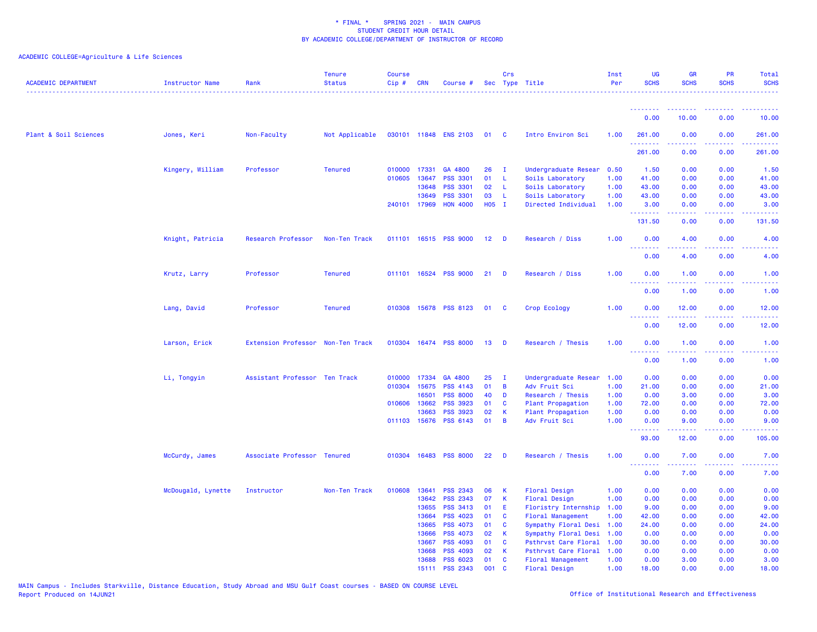| <b>ACADEMIC DEPARTMENT</b> | Instructor Name    | Rank                              | <b>Tenure</b><br><b>Status</b> | <b>Course</b><br>Cip# | <b>CRN</b>   | Course #              |                 | Crs            | Sec Type Title            | Inst<br>Per | <b>UG</b><br><b>SCHS</b>                 | <b>GR</b><br><b>SCHS</b>                                                                                                                                     | <b>PR</b><br><b>SCHS</b> | Total<br><b>SCHS</b>              |
|----------------------------|--------------------|-----------------------------------|--------------------------------|-----------------------|--------------|-----------------------|-----------------|----------------|---------------------------|-------------|------------------------------------------|--------------------------------------------------------------------------------------------------------------------------------------------------------------|--------------------------|-----------------------------------|
|                            |                    |                                   |                                |                       |              |                       |                 |                |                           |             | <u> - - - - - - - -</u>                  |                                                                                                                                                              |                          |                                   |
|                            |                    |                                   |                                |                       |              |                       |                 |                |                           |             | 0.00                                     | 10.00                                                                                                                                                        | 0.00                     | 10.00                             |
| Plant & Soil Sciences      | Jones, Keri        | Non-Faculty                       | Not Applicable                 |                       |              | 030101 11848 ENS 2103 | 01              | $\mathbf{C}$   | Intro Environ Sci         | 1.00        | 261.00<br><u>.</u>                       | 0.00                                                                                                                                                         | 0.00                     | 261.00<br>$\omega$ is $\omega$ in |
|                            |                    |                                   |                                |                       |              |                       |                 |                |                           |             | 261.00                                   | 0.00                                                                                                                                                         | 0.00                     | 261.00                            |
|                            | Kingery, William   | Professor                         | <b>Tenured</b>                 |                       | 010000 17331 | GA 4800               | 26              | $\mathbf{I}$   | Undergraduate Resear      | 0.50        | 1.50                                     | 0.00                                                                                                                                                         | 0.00                     | 1.50                              |
|                            |                    |                                   |                                | 010605                | 13647        | <b>PSS 3301</b>       | 01              | - L            | Soils Laboratory          | 1.00        | 41.00                                    | 0.00                                                                                                                                                         | 0.00                     | 41.00                             |
|                            |                    |                                   |                                |                       | 13648        | <b>PSS 3301</b>       | 02              | - L            | Soils Laboratory          | 1.00        | 43.00                                    | 0.00                                                                                                                                                         | 0.00                     | 43.00                             |
|                            |                    |                                   |                                |                       | 13649        | <b>PSS 3301</b>       | 03              | - L            | Soils Laboratory          | 1.00        | 43.00                                    | 0.00                                                                                                                                                         | 0.00                     | 43.00                             |
|                            |                    |                                   |                                |                       | 240101 17969 | <b>HON 4000</b>       | H05 I           |                | Directed Individual       | 1.00        | 3.00<br>.                                | 0.00                                                                                                                                                         | 0.00<br>بالمحام          | 3.00                              |
|                            |                    |                                   |                                |                       |              |                       |                 |                |                           |             | 131.50                                   | 0.00                                                                                                                                                         | 0.00                     | 131.50                            |
|                            | Knight, Patricia   | Research Professor                | Non-Ten Track                  |                       |              | 011101 16515 PSS 9000 | 12 <sub>1</sub> | $\blacksquare$ | Research / Diss           | 1.00        | 0.00<br>.                                | 4.00<br>.                                                                                                                                                    | 0.00<br>$  -$            | 4.00<br><u>.</u>                  |
|                            |                    |                                   |                                |                       |              |                       |                 |                |                           |             | 0.00                                     | 4.00                                                                                                                                                         | 0.00                     | 4.00                              |
|                            | Krutz, Larry       | Professor                         | <b>Tenured</b>                 | 011101                |              | 16524 PSS 9000        | 21              | <b>D</b>       | Research / Diss           | 1.00        | 0.00<br>ولالات                           | 1.00<br>.                                                                                                                                                    | 0.00                     | 1.00                              |
|                            |                    |                                   |                                |                       |              |                       |                 |                |                           |             | 0.00                                     | 1.00                                                                                                                                                         | 0.00                     | 1.00                              |
|                            | Lang, David        | Professor                         | <b>Tenured</b>                 | 010308                |              | 15678 PSS 8123        | 01              | <b>C</b>       | Crop Ecology              | 1.00        | 0.00<br>وعاعات                           | 12.00                                                                                                                                                        | 0.00                     | 12.00                             |
|                            |                    |                                   |                                |                       |              |                       |                 |                |                           |             | 0.00                                     | 12.00                                                                                                                                                        | 0.00                     | 12.00                             |
|                            | Larson, Erick      | Extension Professor Non-Ten Track |                                |                       |              | 010304 16474 PSS 8000 | 13              | $\blacksquare$ | Research / Thesis         | 1.00        | 0.00<br>$\sim$ $\sim$ $\sim$<br><u>.</u> | 1.00<br>$\frac{1}{2} \left( \frac{1}{2} \right) \left( \frac{1}{2} \right) \left( \frac{1}{2} \right) \left( \frac{1}{2} \right) \left( \frac{1}{2} \right)$ | 0.00<br>.                | 1.00                              |
|                            |                    |                                   |                                |                       |              |                       |                 |                |                           |             | 0.00                                     | 1.00                                                                                                                                                         | 0.00                     | 1.00                              |
|                            | Li, Tongyin        | Assistant Professor Ten Track     |                                | 010000                | 17334        | GA 4800               | 25              | $\mathbf{I}$   | Undergraduate Resear      | 1.00        | 0.00                                     | 0.00                                                                                                                                                         | 0.00                     | 0.00                              |
|                            |                    |                                   |                                |                       | 010304 15675 | <b>PSS 4143</b>       | 01              | $\overline{B}$ | Adv Fruit Sci             | 1.00        | 21.00                                    | 0.00                                                                                                                                                         | 0.00                     | 21.00                             |
|                            |                    |                                   |                                |                       | 16501        | <b>PSS 8000</b>       | 40              | <b>D</b>       | Research / Thesis         | 1.00        | 0.00                                     | 3.00                                                                                                                                                         | 0.00                     | 3.00                              |
|                            |                    |                                   |                                | 010606                | 13662        | <b>PSS 3923</b>       | 01              | <b>C</b>       | Plant Propagation         | 1.00        | 72.00                                    | 0.00                                                                                                                                                         | 0.00                     | 72.00                             |
|                            |                    |                                   |                                |                       | 13663        | <b>PSS 3923</b>       | 02              | $\mathbf{K}$   | Plant Propagation         | 1.00        | 0.00                                     | 0.00                                                                                                                                                         | 0.00                     | 0.00                              |
|                            |                    |                                   |                                |                       | 011103 15676 | <b>PSS 6143</b>       | 01              | $\overline{B}$ | Adv Fruit Sci             | 1.00        | 0.00<br><u>.</u>                         | 9.00<br>$\frac{1}{2} \left( \frac{1}{2} \right) \left( \frac{1}{2} \right) \left( \frac{1}{2} \right) \left( \frac{1}{2} \right) \left( \frac{1}{2} \right)$ | 0.00<br>.                | 9.00<br>.                         |
|                            |                    |                                   |                                |                       |              |                       |                 |                |                           |             | 93.00                                    | 12.00                                                                                                                                                        | 0.00                     | 105.00                            |
|                            | McCurdy, James     | Associate Professor Tenured       |                                | 010304                |              | 16483 PSS 8000        | 22              | <b>D</b>       | Research / Thesis         | 1.00        | 0.00<br>د د د د .                        | 7.00<br>.                                                                                                                                                    | 0.00                     | 7.00                              |
|                            |                    |                                   |                                |                       |              |                       |                 |                |                           |             | 0.00                                     | 7.00                                                                                                                                                         | 0.00                     | 7.00                              |
|                            | McDougald, Lynette | Instructor                        | Non-Ten Track                  | 010608                | 13641        | <b>PSS 2343</b>       | 06              | K              | Floral Design             | 1.00        | 0.00                                     | 0.00                                                                                                                                                         | 0.00                     | 0.00                              |
|                            |                    |                                   |                                |                       | 13642        | PSS 2343              | 07              | K              | Floral Design             | 1.00        | 0.00                                     | 0.00                                                                                                                                                         | 0.00                     | 0.00                              |
|                            |                    |                                   |                                |                       | 13655        | PSS 3413              | 01              | E.             | Floristry Internship      | 1.00        | 9.00                                     | 0.00                                                                                                                                                         | 0.00                     | 9.00                              |
|                            |                    |                                   |                                |                       | 13664        | <b>PSS 4023</b>       | 01              | $\mathbf{C}$   | <b>Floral Management</b>  | 1.00        | 42.00                                    | 0.00                                                                                                                                                         | 0.00                     | 42.00                             |
|                            |                    |                                   |                                |                       | 13665        | <b>PSS 4073</b>       | 01              | $\mathbf{C}$   | Sympathy Floral Desi 1.00 |             | 24.00                                    | 0.00                                                                                                                                                         | 0.00                     | 24.00                             |
|                            |                    |                                   |                                |                       | 13666        | <b>PSS 4073</b>       | 02              | K              | Sympathy Floral Desi 1.00 |             | 0.00                                     | 0.00                                                                                                                                                         | 0.00                     | 0.00                              |
|                            |                    |                                   |                                |                       | 13667        | <b>PSS 4093</b>       | 01              | $\mathbf{C}$   | Psthrvst Care Floral 1.00 |             | 30.00                                    | 0.00                                                                                                                                                         | 0.00                     | 30.00                             |
|                            |                    |                                   |                                |                       | 13668        | <b>PSS 4093</b>       | 02              | K              | Psthrvst Care Floral      | 1.00        | 0.00                                     | 0.00                                                                                                                                                         | 0.00                     | 0.00                              |
|                            |                    |                                   |                                |                       | 13688        | <b>PSS 6023</b>       | 01              | <b>C</b>       | <b>Floral Management</b>  | 1.00        | 0.00                                     | 3.00                                                                                                                                                         | 0.00                     | 3.00                              |
|                            |                    |                                   |                                |                       | 15111        | <b>PSS 2343</b>       | 001             | C              | <b>Floral Design</b>      | 1.00        | 18.00                                    | 0.00                                                                                                                                                         | 0.00                     | 18.00                             |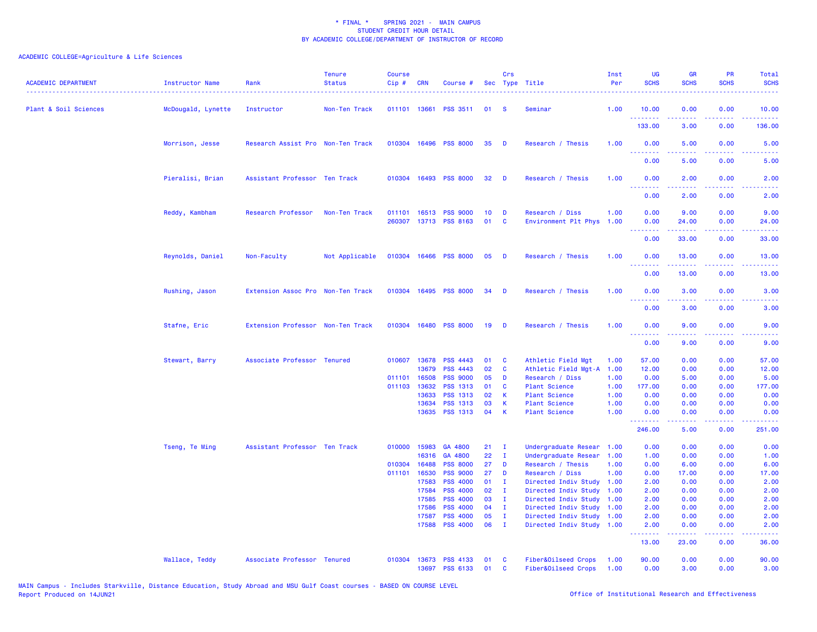| <b>ACADEMIC DEPARTMENT</b> | Instructor Name    | Rank                              | <b>Tenure</b><br><b>Status</b> | <b>Course</b><br>Cip# | <b>CRN</b>            | Course #                           |                 | Crs               | Sec Type Title                             | Inst<br>Per  | <b>UG</b><br><b>SCHS</b>        | <b>GR</b><br><b>SCHS</b> | <b>PR</b><br><b>SCHS</b>                                                                               | Total<br><b>SCHS</b>                                                                                                              |
|----------------------------|--------------------|-----------------------------------|--------------------------------|-----------------------|-----------------------|------------------------------------|-----------------|-------------------|--------------------------------------------|--------------|---------------------------------|--------------------------|--------------------------------------------------------------------------------------------------------|-----------------------------------------------------------------------------------------------------------------------------------|
| Plant & Soil Sciences      | McDougald, Lynette | Instructor                        | Non-Ten Track                  |                       |                       | 011101 13661 PSS 3511              | 01              | <b>S</b>          | Seminar                                    | 1.00         | 10.00                           | 0.00                     | 0.00                                                                                                   | 10.00                                                                                                                             |
|                            |                    |                                   |                                |                       |                       |                                    |                 |                   |                                            |              | .<br>133.00                     | 22222<br>3.00            | $\frac{1}{2} \left( \frac{1}{2} \right) \left( \frac{1}{2} \right) \left( \frac{1}{2} \right)$<br>0.00 | 136.00                                                                                                                            |
|                            | Morrison, Jesse    | Research Assist Pro Non-Ten Track |                                |                       |                       | 010304 16496 PSS 8000              | 35              | D                 | Research / Thesis                          | 1.00         | 0.00                            | 5.00                     | 0.00                                                                                                   | 5.00                                                                                                                              |
|                            |                    |                                   |                                |                       |                       |                                    |                 |                   |                                            |              | 0.00                            | 5.00                     | 0.00                                                                                                   | 5.00                                                                                                                              |
|                            | Pieralisi, Brian   | Assistant Professor Ten Track     |                                |                       |                       | 010304 16493 PSS 8000              | 32              | D                 | Research / Thesis                          | 1.00         | 0.00<br><u>.</u>                | 2.00<br>الدامات مال      | 0.00<br>.                                                                                              | 2.00<br>$\frac{1}{2} \left( \frac{1}{2} \right) \left( \frac{1}{2} \right) \left( \frac{1}{2} \right) \left( \frac{1}{2} \right)$ |
|                            |                    |                                   |                                |                       |                       |                                    |                 |                   |                                            |              | 0.00                            | 2.00                     | 0.00                                                                                                   | 2.00                                                                                                                              |
|                            | Reddy, Kambham     | Research Professor                | Non-Ten Track                  | 011101                |                       | 16513 PSS 9000                     | 10 <sub>1</sub> | D                 | Research / Diss                            | 1.00         | 0.00                            | 9.00                     | 0.00                                                                                                   | 9.00                                                                                                                              |
|                            |                    |                                   |                                | 260307                |                       | 13713 PSS 8163                     | 01              | C                 | Environment Plt Phys                       | 1.00         | 0.00<br><u> - - - - - - - -</u> | 24.00                    | 0.00                                                                                                   | 24.00                                                                                                                             |
|                            |                    |                                   |                                |                       |                       |                                    |                 |                   |                                            |              | 0.00                            | 33.00                    | 0.00                                                                                                   | 33.00                                                                                                                             |
|                            | Reynolds, Daniel   | Non-Faculty                       | Not Applicable                 |                       |                       | 010304 16466 PSS 8000              | 05              | D                 | Research / Thesis                          | 1.00         | 0.00<br><u>.</u>                | 13.00                    | 0.00                                                                                                   | 13.00                                                                                                                             |
|                            |                    |                                   |                                |                       |                       |                                    |                 |                   |                                            |              | 0.00                            | 13.00                    | 0.00                                                                                                   | 13.00                                                                                                                             |
|                            | Rushing, Jason     | Extension Assoc Pro Non-Ten Track |                                |                       |                       | 010304 16495 PSS 8000              | 34              | D                 | Research / Thesis                          | 1.00         | 0.00<br>.                       | 3.00                     | 0.00                                                                                                   | 3.00                                                                                                                              |
|                            |                    |                                   |                                |                       |                       |                                    |                 |                   |                                            |              | 0.00                            | 3.00                     | 0.00                                                                                                   | 3.00                                                                                                                              |
|                            | Stafne, Eric       | Extension Professor Non-Ten Track |                                |                       |                       | 010304 16480 PSS 8000              | 19              | D                 | Research / Thesis                          | 1.00         | 0.00<br><u>.</u>                | 9.00<br>.                | 0.00<br>$\frac{1}{2} \left( \frac{1}{2} \right) \left( \frac{1}{2} \right) \left( \frac{1}{2} \right)$ | 9.00                                                                                                                              |
|                            |                    |                                   |                                |                       |                       |                                    |                 |                   |                                            |              | 0.00                            | 9.00                     | 0.00                                                                                                   | 9.00                                                                                                                              |
|                            | Stewart, Barry     | Associate Professor Tenured       |                                |                       | 010607 13678<br>13679 | <b>PSS 4443</b><br><b>PSS 4443</b> | 01<br>02        | C<br>C            | Athletic Field Mgt<br>Athletic Field Mgt-A | 1.00<br>1.00 | 57.00<br>12.00                  | 0.00<br>0.00             | 0.00<br>0.00                                                                                           | 57.00<br>12.00                                                                                                                    |
|                            |                    |                                   |                                | 011101                | 16508                 | <b>PSS 9000</b>                    | 05              | D                 | Research / Diss                            | 1.00         | 0.00                            | 5.00                     | 0.00                                                                                                   | 5.00                                                                                                                              |
|                            |                    |                                   |                                |                       | 011103 13632          | PSS 1313                           | 01              | $\mathbf c$       |                                            | 1.00         | 177.00                          | 0.00                     | 0.00                                                                                                   | 177.00                                                                                                                            |
|                            |                    |                                   |                                |                       |                       |                                    |                 | $\mathsf{K}$      | Plant Science                              |              |                                 |                          |                                                                                                        |                                                                                                                                   |
|                            |                    |                                   |                                |                       | 13633                 | PSS 1313                           | 02              |                   | Plant Science                              | 1.00         | 0.00                            | 0.00                     | 0.00                                                                                                   | 0.00                                                                                                                              |
|                            |                    |                                   |                                |                       | 13634<br>13635        | <b>PSS 1313</b><br><b>PSS 1313</b> | 03<br>04        | K<br>$\mathsf{K}$ | <b>Plant Science</b><br>Plant Science      | 1.00<br>1.00 | 0.00<br>0.00                    | 0.00<br>0.00             | 0.00<br>0.00                                                                                           | 0.00<br>0.00                                                                                                                      |
|                            |                    |                                   |                                |                       |                       |                                    |                 |                   |                                            |              | .<br>246.00                     | .<br>5.00                | الأعامات<br>0.00                                                                                       | 251.00                                                                                                                            |
|                            | Tseng, Te Ming     | Assistant Professor Ten Track     |                                |                       | 010000 15983          | GA 4800                            | 21              | $\mathbf{I}$      | Undergraduate Resear                       | 1.00         | 0.00                            | 0.00                     | 0.00                                                                                                   | 0.00                                                                                                                              |
|                            |                    |                                   |                                |                       | 16316                 | GA 4800                            | 22              | $\mathbf{I}$      | Undergraduate Resear                       | 1.00         | 1.00                            | 0.00                     | 0.00                                                                                                   | 1.00                                                                                                                              |
|                            |                    |                                   |                                | 010304                | 16488                 | <b>PSS 8000</b>                    | 27              | D                 | Research / Thesis                          | 1.00         | 0.00                            | 6.00                     | 0.00                                                                                                   | 6.00                                                                                                                              |
|                            |                    |                                   |                                | 011101                | 16530                 | <b>PSS 9000</b>                    | 27              | D                 | Research / Diss                            | 1.00         | 0.00                            | 17.00                    | 0.00                                                                                                   | 17.00                                                                                                                             |
|                            |                    |                                   |                                |                       | 17583                 | <b>PSS 4000</b>                    | 01              | $\mathbf{I}$      | Directed Indiv Study                       | 1.00         | 2.00                            | 0.00                     | 0.00                                                                                                   | 2.00                                                                                                                              |
|                            |                    |                                   |                                |                       | 17584                 | <b>PSS 4000</b>                    | 02              | $\mathbf{I}$      | Directed Indiv Study                       | 1.00         | 2.00                            | 0.00                     | 0.00                                                                                                   | 2.00                                                                                                                              |
|                            |                    |                                   |                                |                       | 17585                 | <b>PSS 4000</b>                    | 03              | $\mathbf{I}$      | Directed Indiv Study                       | 1.00         | 2.00                            | 0.00                     | 0.00                                                                                                   | 2.00                                                                                                                              |
|                            |                    |                                   |                                |                       | 17586                 | <b>PSS 4000</b>                    | 04              | $\mathbf{I}$      | Directed Indiv Study 1.00                  |              | 2.00                            | 0.00                     | 0.00                                                                                                   | 2.00                                                                                                                              |
|                            |                    |                                   |                                |                       | 17587                 | <b>PSS 4000</b>                    | 05              | $\mathbf I$       | Directed Indiv Study 1.00                  |              | 2.00                            | 0.00                     | 0.00                                                                                                   | 2.00                                                                                                                              |
|                            |                    |                                   |                                |                       | 17588                 | <b>PSS 4000</b>                    | 06              | $\mathbf{I}$      | Directed Indiv Study 1.00                  |              | 2.00<br>.                       | 0.00<br>2.2.2.2.2        | 0.00<br>الداعات عاد                                                                                    | 2.00<br>.                                                                                                                         |
|                            |                    |                                   |                                |                       |                       |                                    |                 |                   |                                            |              | 13.00                           | 23.00                    | 0.00                                                                                                   | 36.00                                                                                                                             |
|                            | Wallace, Teddy     | Associate Professor Tenured       |                                |                       |                       | 010304 13673 PSS 4133              | 01              | <b>C</b>          | Fiber&Oilseed Crops                        | 1.00         | 90.00                           | 0.00                     | 0.00                                                                                                   | 90.00                                                                                                                             |
|                            |                    |                                   |                                |                       |                       | 13697 PSS 6133                     | 01              | $\mathbf{c}$      | Fiber&Oilseed Crops                        | 1.00         | 0.00                            | 3.00                     | 0.00                                                                                                   | 3.00                                                                                                                              |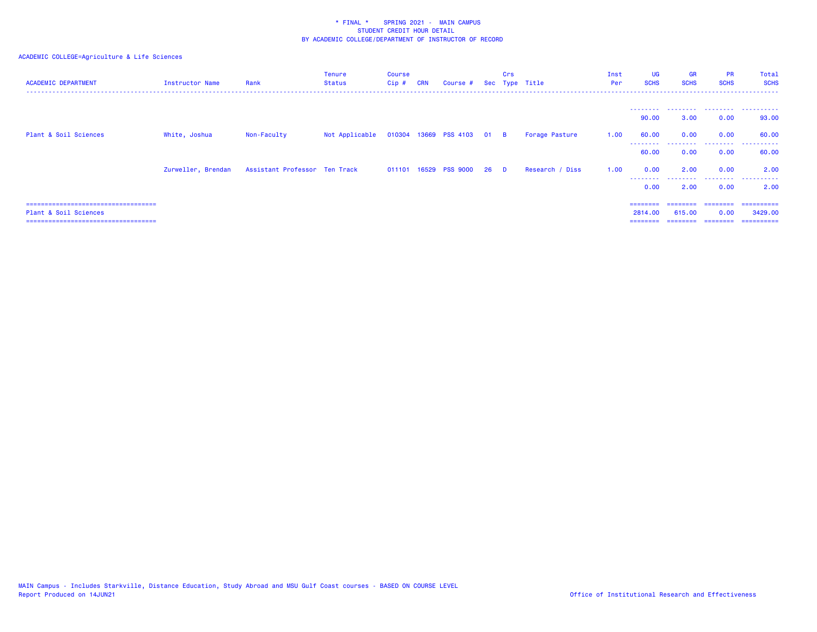| <b>ACADEMIC DEPARTMENT</b>                                     | Instructor Name    | Rank                          | <b>Tenure</b><br><b>Status</b>            | <b>Course</b><br>$Cip$ # | <b>CRN</b> | Course # Sec Type Title |      | Crs      |                 | Inst<br>Per | <b>UG</b><br><b>SCHS</b> | <b>GR</b><br><b>SCHS</b> | <b>PR</b><br><b>SCHS</b> | Total<br><b>SCHS</b>   |
|----------------------------------------------------------------|--------------------|-------------------------------|-------------------------------------------|--------------------------|------------|-------------------------|------|----------|-----------------|-------------|--------------------------|--------------------------|--------------------------|------------------------|
|                                                                |                    |                               |                                           |                          |            |                         |      |          |                 |             | ---------<br>90.00       | 3.00                     | 0.00                     | <br>93.00              |
| Plant & Soil Sciences                                          | White, Joshua      | Non-Faculty                   | Not Applicable 010304 13669 PSS 4103 01 B |                          |            |                         |      |          | Forage Pasture  | 1.00        | 60.00                    | 0.00                     | 0.00                     | 60.00                  |
|                                                                |                    |                               |                                           |                          |            |                         |      |          |                 |             | 60.00                    | 0.00                     | .<br>0.00                | . <u>.</u> .<br>60.00  |
|                                                                | Zurweller, Brendan | Assistant Professor Ten Track |                                           |                          |            | 011101 16529 PSS 9000   | - 26 | <b>D</b> | Research / Diss | 1.00        | 0.00<br>---------        | 2.00<br>.                | 0.00<br>.                | 2.00<br>.              |
|                                                                |                    |                               |                                           |                          |            |                         |      |          |                 |             | 0.00                     | 2.00                     | 0.00                     | 2.00                   |
| ====================================                           |                    |                               |                                           |                          |            |                         |      |          |                 |             |                          |                          |                          | =========              |
| Plant & Soil Sciences<br>===================================== |                    |                               |                                           |                          |            |                         |      |          |                 |             | 2814,00<br>========      | 615,00<br>========       | 0.00<br>========         | 3429,00<br>----------- |
|                                                                |                    |                               |                                           |                          |            |                         |      |          |                 |             |                          |                          |                          |                        |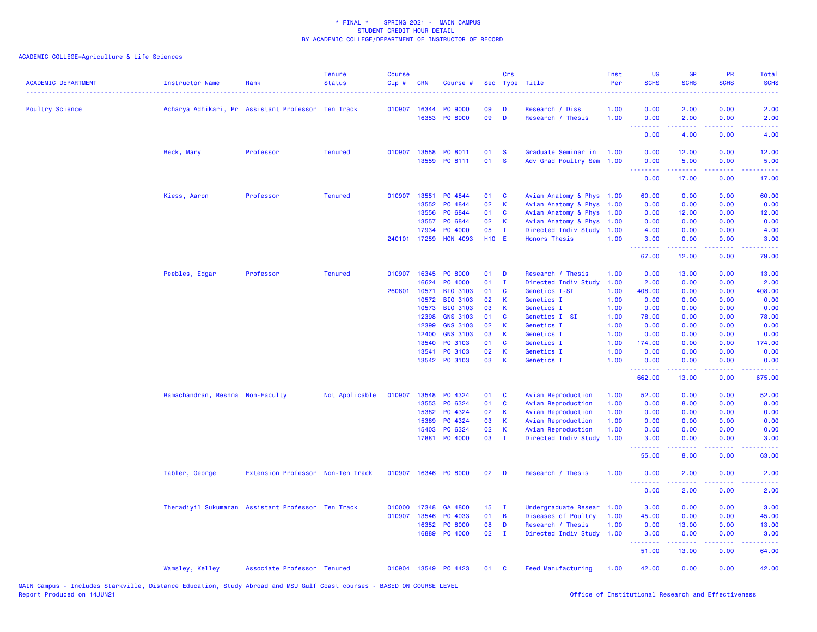| <b>ACADEMIC DEPARTMENT</b> | <b>Instructor Name</b><br><u>.</u>                 | Rank                              | <b>Tenure</b><br><b>Status</b> | <b>Course</b><br>Cip# | <b>CRN</b>   | Course #             |                 | Crs          | Sec Type Title            | Inst<br>Per | UG<br><b>SCHS</b>                                                                                                                                                                                                                                                                                                                                                                                                                                                                              | <b>GR</b><br><b>SCHS</b> | <b>PR</b><br><b>SCHS</b>                                                                               | Total<br><b>SCHS</b>                                                                                                              |
|----------------------------|----------------------------------------------------|-----------------------------------|--------------------------------|-----------------------|--------------|----------------------|-----------------|--------------|---------------------------|-------------|------------------------------------------------------------------------------------------------------------------------------------------------------------------------------------------------------------------------------------------------------------------------------------------------------------------------------------------------------------------------------------------------------------------------------------------------------------------------------------------------|--------------------------|--------------------------------------------------------------------------------------------------------|-----------------------------------------------------------------------------------------------------------------------------------|
| <b>Poultry Science</b>     | Acharya Adhikari, Pr Assistant Professor Ten Track |                                   |                                | 010907                | 16344        | PO 9000              | 09              | D            | Research / Diss           | 1.00        | 0.00                                                                                                                                                                                                                                                                                                                                                                                                                                                                                           | 2.00                     | 0.00                                                                                                   | 2.00                                                                                                                              |
|                            |                                                    |                                   |                                |                       | 16353        | <b>PO 8000</b>       | 09              | D            | Research / Thesis         | 1.00        | 0.00                                                                                                                                                                                                                                                                                                                                                                                                                                                                                           | 2.00                     | 0.00<br>$\omega \equiv \omega$ .                                                                       | 2.00                                                                                                                              |
|                            |                                                    |                                   |                                |                       |              |                      |                 |              |                           |             | 0.00                                                                                                                                                                                                                                                                                                                                                                                                                                                                                           | 4.00                     | 0.00                                                                                                   | 4.00                                                                                                                              |
|                            | Beck, Mary                                         | Professor                         | <b>Tenured</b>                 | 010907                | 13558        | PO 8011              | 01              | <b>S</b>     | Graduate Seminar in       | 1.00        | 0.00                                                                                                                                                                                                                                                                                                                                                                                                                                                                                           | 12.00                    | 0.00                                                                                                   | 12.00                                                                                                                             |
|                            |                                                    |                                   |                                |                       | 13559        | PO 8111              | 01              | <b>S</b>     | Adv Grad Poultry Sem      | 1.00        | 0.00                                                                                                                                                                                                                                                                                                                                                                                                                                                                                           | 5.00                     | 0.00                                                                                                   | 5.00                                                                                                                              |
|                            |                                                    |                                   |                                |                       |              |                      |                 |              |                           |             | .<br>0.00                                                                                                                                                                                                                                                                                                                                                                                                                                                                                      | المتمام مناسب<br>17.00   | .<br>0.00                                                                                              | .<br>17.00                                                                                                                        |
|                            | Kiess, Aaron                                       | Professor                         | <b>Tenured</b>                 | 010907                | 13551        | PO 4844              | 01              | C            | Avian Anatomy & Phys 1.00 |             | 60.00                                                                                                                                                                                                                                                                                                                                                                                                                                                                                          | 0.00                     | 0.00                                                                                                   | 60.00                                                                                                                             |
|                            |                                                    |                                   |                                |                       | 13552        | PO 4844              | 02              | К            | Avian Anatomy & Phys      | 1.00        | 0.00                                                                                                                                                                                                                                                                                                                                                                                                                                                                                           | 0.00                     | 0.00                                                                                                   | 0.00                                                                                                                              |
|                            |                                                    |                                   |                                |                       | 13556        | PO 6844              | 01              | C            | Avian Anatomy & Phys      | 1.00        | 0.00                                                                                                                                                                                                                                                                                                                                                                                                                                                                                           | 12.00                    | 0.00                                                                                                   | 12.00                                                                                                                             |
|                            |                                                    |                                   |                                |                       | 13557        | PO 6844              | 02              | K            | Avian Anatomy & Phys      | 1.00        | 0.00                                                                                                                                                                                                                                                                                                                                                                                                                                                                                           | 0.00                     | 0.00                                                                                                   | 0.00                                                                                                                              |
|                            |                                                    |                                   |                                |                       | 17934        | PO 4000              | 05              | $\mathbf{I}$ | Directed Indiv Study      | 1.00        | 4.00                                                                                                                                                                                                                                                                                                                                                                                                                                                                                           | 0.00                     | 0.00                                                                                                   | 4.00                                                                                                                              |
|                            |                                                    |                                   |                                |                       | 240101 17259 | <b>HON 4093</b>      | <b>H10 E</b>    |              | <b>Honors Thesis</b>      | 1.00        | 3.00                                                                                                                                                                                                                                                                                                                                                                                                                                                                                           | 0.00                     | 0.00                                                                                                   | 3.00                                                                                                                              |
|                            |                                                    |                                   |                                |                       |              |                      |                 |              |                           |             | .<br>67.00                                                                                                                                                                                                                                                                                                                                                                                                                                                                                     | .<br>12.00               | .<br>0.00                                                                                              | .<br>79.00                                                                                                                        |
|                            | Peebles, Edgar                                     | Professor                         | <b>Tenured</b>                 | 010907                | 16345        | PO 8000              | 01              | D            | Research / Thesis         | 1.00        | 0.00                                                                                                                                                                                                                                                                                                                                                                                                                                                                                           | 13.00                    | 0.00                                                                                                   | 13.00                                                                                                                             |
|                            |                                                    |                                   |                                |                       | 16624        | PO 4000              | 01              | $\mathbf{I}$ | Directed Indiv Study      | 1.00        | 2.00                                                                                                                                                                                                                                                                                                                                                                                                                                                                                           | 0.00                     | 0.00                                                                                                   | 2.00                                                                                                                              |
|                            |                                                    |                                   |                                | 260801                | 10571        | <b>BIO 3103</b>      | 01              | C            | Genetics I-SI             | 1.00        | 408.00                                                                                                                                                                                                                                                                                                                                                                                                                                                                                         | 0.00                     | 0.00                                                                                                   | 408.00                                                                                                                            |
|                            |                                                    |                                   |                                |                       | 10572        | <b>BIO 3103</b>      | 02              | К            | Genetics I                | 1.00        | 0.00                                                                                                                                                                                                                                                                                                                                                                                                                                                                                           | 0.00                     | 0.00                                                                                                   | 0.00                                                                                                                              |
|                            |                                                    |                                   |                                |                       | 10573        | <b>BIO 3103</b>      | 03              | К            | Genetics I                | 1.00        | 0.00                                                                                                                                                                                                                                                                                                                                                                                                                                                                                           | 0.00                     | 0.00                                                                                                   | 0.00                                                                                                                              |
|                            |                                                    |                                   |                                |                       | 12398        | <b>GNS 3103</b>      | 01              | <b>C</b>     | Genetics I SI             | 1.00        | 78.00                                                                                                                                                                                                                                                                                                                                                                                                                                                                                          | 0.00                     | 0.00                                                                                                   | 78.00                                                                                                                             |
|                            |                                                    |                                   |                                |                       | 12399        | <b>GNS 3103</b>      | 02              | К            | Genetics I                | 1.00        | 0.00                                                                                                                                                                                                                                                                                                                                                                                                                                                                                           | 0.00                     | 0.00                                                                                                   | 0.00                                                                                                                              |
|                            |                                                    |                                   |                                |                       | 12400        | <b>GNS 3103</b>      | 03              | K            | Genetics I                | 1.00        | 0.00                                                                                                                                                                                                                                                                                                                                                                                                                                                                                           | 0.00                     | 0.00                                                                                                   | 0.00                                                                                                                              |
|                            |                                                    |                                   |                                |                       | 13540        | PO 3103              | 01              | C            | Genetics I                | 1.00        | 174.00                                                                                                                                                                                                                                                                                                                                                                                                                                                                                         | 0.00                     | 0.00                                                                                                   | 174.00                                                                                                                            |
|                            |                                                    |                                   |                                |                       | 13541        | PO 3103              | 02              | $\mathsf K$  | Genetics I                | 1.00        | 0.00                                                                                                                                                                                                                                                                                                                                                                                                                                                                                           | 0.00                     | 0.00                                                                                                   | 0.00                                                                                                                              |
|                            |                                                    |                                   |                                |                       |              | 13542 PO 3103        | 03              | К            | Genetics I                | 1.00        | 0.00                                                                                                                                                                                                                                                                                                                                                                                                                                                                                           | 0.00                     | 0.00                                                                                                   | 0.00                                                                                                                              |
|                            |                                                    |                                   |                                |                       |              |                      |                 |              |                           |             | .                                                                                                                                                                                                                                                                                                                                                                                                                                                                                              | <u>.</u>                 | .                                                                                                      | <b></b>                                                                                                                           |
|                            |                                                    |                                   |                                |                       |              |                      |                 |              |                           |             | 662.00                                                                                                                                                                                                                                                                                                                                                                                                                                                                                         | 13.00                    | 0.00                                                                                                   | 675.00                                                                                                                            |
|                            | Ramachandran, Reshma Non-Faculty                   |                                   | Not Applicable                 | 010907                | 13548        | PO 4324              | 01              | C            | Avian Reproduction        | 1.00        | 52.00                                                                                                                                                                                                                                                                                                                                                                                                                                                                                          | 0.00                     | 0.00                                                                                                   | 52.00                                                                                                                             |
|                            |                                                    |                                   |                                |                       | 13553        | PO 6324              | 01              | C            | Avian Reproduction        | 1.00        | 0.00                                                                                                                                                                                                                                                                                                                                                                                                                                                                                           | 8.00                     | 0.00                                                                                                   | 8.00                                                                                                                              |
|                            |                                                    |                                   |                                |                       | 15382        | PO 4324              | 02              | K            | Avian Reproduction        | 1.00        | 0.00                                                                                                                                                                                                                                                                                                                                                                                                                                                                                           | 0.00                     | 0.00                                                                                                   | 0.00                                                                                                                              |
|                            |                                                    |                                   |                                |                       | 15389        | PO 4324              | 03              | К            | Avian Reproduction        | 1.00        | 0.00                                                                                                                                                                                                                                                                                                                                                                                                                                                                                           | 0.00                     | 0.00                                                                                                   | 0.00                                                                                                                              |
|                            |                                                    |                                   |                                |                       | 15403        | PO 6324              | 02              | K            | Avian Reproduction        | 1.00        | 0.00                                                                                                                                                                                                                                                                                                                                                                                                                                                                                           | 0.00                     | 0.00                                                                                                   | 0.00                                                                                                                              |
|                            |                                                    |                                   |                                |                       | 17881        | PO 4000              | 03              | $\mathbf{I}$ | Directed Indiv Study      | 1.00        | 3.00<br>$\begin{array}{cccccccccccccc} \multicolumn{2}{c}{} & \multicolumn{2}{c}{} & \multicolumn{2}{c}{} & \multicolumn{2}{c}{} & \multicolumn{2}{c}{} & \multicolumn{2}{c}{} & \multicolumn{2}{c}{} & \multicolumn{2}{c}{} & \multicolumn{2}{c}{} & \multicolumn{2}{c}{} & \multicolumn{2}{c}{} & \multicolumn{2}{c}{} & \multicolumn{2}{c}{} & \multicolumn{2}{c}{} & \multicolumn{2}{c}{} & \multicolumn{2}{c}{} & \multicolumn{2}{c}{} & \multicolumn{2}{c}{} & \multicolumn{2}{c}{} & \$ | 0.00                     | 0.00<br>$\omega \equiv \omega$ .                                                                       | 3.00                                                                                                                              |
|                            |                                                    |                                   |                                |                       |              |                      |                 |              |                           |             | 55.00                                                                                                                                                                                                                                                                                                                                                                                                                                                                                          | 8.00                     | 0.00                                                                                                   | 63.00                                                                                                                             |
|                            | Tabler, George                                     | Extension Professor Non-Ten Track |                                |                       |              | 010907 16346 PO 8000 | 02              | - D          | Research / Thesis         | 1.00        | 0.00                                                                                                                                                                                                                                                                                                                                                                                                                                                                                           | 2.00                     | 0.00                                                                                                   | 2.00                                                                                                                              |
|                            |                                                    |                                   |                                |                       |              |                      |                 |              |                           |             | .<br>0.00                                                                                                                                                                                                                                                                                                                                                                                                                                                                                      | -----<br>2.00            | .<br>0.00                                                                                              | $\frac{1}{2} \left( \frac{1}{2} \right) \left( \frac{1}{2} \right) \left( \frac{1}{2} \right) \left( \frac{1}{2} \right)$<br>2.00 |
|                            | Theradiyil Sukumaran Assistant Professor Ten Track |                                   |                                | 010000                | 17348        | GA 4800              | 15 <sub>1</sub> | $\mathbf I$  | Undergraduate Resear      | 1.00        | 3.00                                                                                                                                                                                                                                                                                                                                                                                                                                                                                           | 0.00                     | 0.00                                                                                                   | 3.00                                                                                                                              |
|                            |                                                    |                                   |                                | 010907                | 13546        | PO 4033              | 01              | B            | Diseases of Poultry       | 1.00        | 45.00                                                                                                                                                                                                                                                                                                                                                                                                                                                                                          | 0.00                     | 0.00                                                                                                   | 45.00                                                                                                                             |
|                            |                                                    |                                   |                                |                       | 16352        | PO 8000              | 08              | D            | Research / Thesis         | 1.00        | 0.00                                                                                                                                                                                                                                                                                                                                                                                                                                                                                           | 13.00                    | 0.00                                                                                                   | 13.00                                                                                                                             |
|                            |                                                    |                                   |                                |                       | 16889        | PO 4000              | 02              | T            | Directed Indiv Study      | 1.00        | 3.00<br>.                                                                                                                                                                                                                                                                                                                                                                                                                                                                                      | 0.00                     | 0.00<br>$\frac{1}{2} \left( \frac{1}{2} \right) \left( \frac{1}{2} \right) \left( \frac{1}{2} \right)$ | 3.00                                                                                                                              |
|                            |                                                    |                                   |                                |                       |              |                      |                 |              |                           |             | 51.00                                                                                                                                                                                                                                                                                                                                                                                                                                                                                          | 13.00                    | 0.00                                                                                                   | 64.00                                                                                                                             |
|                            | Wamsley, Kelley                                    | Associate Professor Tenured       |                                |                       |              | 010904 13549 P0 4423 | 01              | $\mathbf{C}$ | <b>Feed Manufacturing</b> | 1.00        | 42.00                                                                                                                                                                                                                                                                                                                                                                                                                                                                                          | 0.00                     | 0.00                                                                                                   | 42.00                                                                                                                             |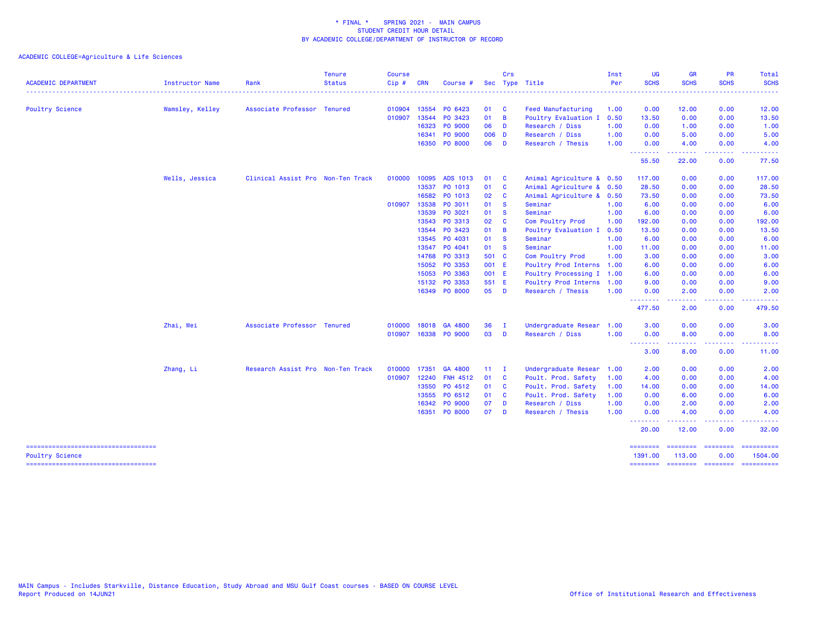| <b>ACADEMIC DEPARTMENT</b>                                    | Instructor Name | Rank                              | <b>Tenure</b><br><b>Status</b> | <b>Course</b><br>Cip# | <b>CRN</b> | Course #             |              | Crs<br>Sec Type Title |                           | Inst<br>Per | <b>UG</b><br><b>SCHS</b> | <b>GR</b><br><b>SCHS</b>                                                                                                                                     | <b>PR</b><br><b>SCHS</b> | Total<br><b>SCHS</b>  |
|---------------------------------------------------------------|-----------------|-----------------------------------|--------------------------------|-----------------------|------------|----------------------|--------------|-----------------------|---------------------------|-------------|--------------------------|--------------------------------------------------------------------------------------------------------------------------------------------------------------|--------------------------|-----------------------|
|                                                               |                 |                                   |                                |                       |            |                      |              |                       |                           |             |                          |                                                                                                                                                              |                          |                       |
| Poultry Science                                               | Wamsley, Kelley | Associate Professor Tenured       |                                | 010904 13554          |            | PO 6423              | 01           | <b>C</b>              | <b>Feed Manufacturing</b> | 1.00        | 0.00                     | 12.00                                                                                                                                                        | 0.00                     | 12.00                 |
|                                                               |                 |                                   |                                | 010907                | 13544      | PO 3423              | 01           | $\overline{B}$        | Poultry Evaluation I      | 0.50        | 13.50                    | 0.00                                                                                                                                                         | 0.00                     | 13.50                 |
|                                                               |                 |                                   |                                |                       | 16323      | PO 9000              | 06           | D                     | Research / Diss           | 1.00        | 0.00                     | 1.00                                                                                                                                                         | 0.00                     | 1.00                  |
|                                                               |                 |                                   |                                |                       | 16341      | PO 9000<br>PO 8000   | 006 D<br>06  | D                     | Research / Diss           | 1.00        | 0.00<br>0.00             | 5.00                                                                                                                                                         | 0.00                     | 5.00                  |
|                                                               |                 |                                   |                                |                       | 16350      |                      |              |                       | Research / Thesis         | 1.00        | <u>.</u>                 | 4.00                                                                                                                                                         | 0.00<br>----             | 4.00                  |
|                                                               |                 |                                   |                                |                       |            |                      |              |                       |                           |             | 55.50                    | 22.00                                                                                                                                                        | 0.00                     | 77.50                 |
|                                                               | Wells, Jessica  | Clinical Assist Pro Non-Ten Track |                                | 010000                | 10095      | ADS 1013             | 01           | <b>C</b>              | Animal Agriculture & 0.50 |             | 117.00                   | 0.00                                                                                                                                                         | 0.00                     | 117.00                |
|                                                               |                 |                                   |                                |                       | 13537      | PO 1013              | 01           | C                     | Animal Agriculture & 0.50 |             | 28.50                    | 0.00                                                                                                                                                         | 0.00                     | 28.50                 |
|                                                               |                 |                                   |                                |                       | 16582      | PO 1013              | 02           | C                     | Animal Agriculture &      | 0.50        | 73.50                    | 0.00                                                                                                                                                         | 0.00                     | 73.50                 |
|                                                               |                 |                                   |                                | 010907 13538          |            | PO 3011              | 01           | <b>S</b>              | Seminar                   | 1.00        | 6.00                     | 0.00                                                                                                                                                         | 0.00                     | 6.00                  |
|                                                               |                 |                                   |                                |                       | 13539      | PO 3021              | 01           | <b>S</b>              | Seminar                   | 1.00        | 6.00                     | 0.00                                                                                                                                                         | 0.00                     | 6.00                  |
|                                                               |                 |                                   |                                |                       | 13543      | PO 3313              | 02           | C                     | Com Poultry Prod          | 1.00        | 192.00                   | 0.00                                                                                                                                                         | 0.00                     | 192.00                |
|                                                               |                 |                                   |                                |                       | 13544      | PO 3423              | 01           | B                     | Poultry Evaluation I      | 0.50        | 13.50                    | 0.00                                                                                                                                                         | 0.00                     | 13.50                 |
|                                                               |                 |                                   |                                |                       | 13545      | PO 4031              | 01           | $\mathbf{s}$          | Seminar                   | 1.00        | 6.00                     | 0.00                                                                                                                                                         | 0.00                     | 6.00                  |
|                                                               |                 |                                   |                                |                       |            | 13547 PO 4041        | 01           | <b>S</b>              | Seminar                   | 1.00        | 11.00                    | 0.00                                                                                                                                                         | 0.00                     | 11.00                 |
|                                                               |                 |                                   |                                |                       | 14768      | PO 3313              | 501 C        |                       | Com Poultry Prod          | 1.00        | 3.00                     | 0.00                                                                                                                                                         | 0.00                     | 3.00                  |
|                                                               |                 |                                   |                                |                       | 15052      | PO 3353              | 001 E        |                       | Poultry Prod Interns      | 1.00        | 6.00                     | 0.00                                                                                                                                                         | 0.00                     | 6.00                  |
|                                                               |                 |                                   |                                |                       | 15053      | PO 3363              | 001 E        |                       | Poultry Processing I      | 1.00        | 6.00                     | 0.00                                                                                                                                                         | 0.00                     | 6.00                  |
|                                                               |                 |                                   |                                |                       | 15132      | PO 3353              | 551 E        |                       | Poultry Prod Interns      | 1.00        | 9.00                     | 0.00                                                                                                                                                         | 0.00                     | 9.00                  |
|                                                               |                 |                                   |                                |                       |            | 16349 PO 8000        | 05 D         |                       | Research / Thesis         | 1.00        | 0.00<br>. <b>.</b>       | 2.00<br>-----                                                                                                                                                | 0.00<br>والمحامل         | 2.00<br>.             |
|                                                               |                 |                                   |                                |                       |            |                      |              |                       |                           |             | 477.50                   | 2.00                                                                                                                                                         | 0.00                     | 479.50                |
|                                                               | Zhai, Wei       | Associate Professor Tenured       |                                | 010000                | 18018      | GA 4800              | 36           | $\mathbf{I}$          | Undergraduate Resear      | 1.00        | 3.00                     | 0.00                                                                                                                                                         | 0.00                     | 3.00                  |
|                                                               |                 |                                   |                                |                       |            | 010907 16338 PO 9000 | 03           | D                     | Research / Diss           | 1.00        | 0.00<br><u>.</u>         | 8.00<br>$\frac{1}{2} \left( \frac{1}{2} \right) \left( \frac{1}{2} \right) \left( \frac{1}{2} \right) \left( \frac{1}{2} \right) \left( \frac{1}{2} \right)$ | 0.00<br>$  -$            | 8.00<br>.             |
|                                                               |                 |                                   |                                |                       |            |                      |              |                       |                           |             | 3.00                     | 8.00                                                                                                                                                         | 0.00                     | 11.00                 |
|                                                               | Zhang, Li       | Research Assist Pro Non-Ten Track |                                | 010000                | 17351      | GA 4800              | $11 \quad I$ |                       | Undergraduate Resear      | 1.00        | 2.00                     | 0.00                                                                                                                                                         | 0.00                     | 2.00                  |
|                                                               |                 |                                   |                                | 010907 12240          |            | <b>FNH 4512</b>      | 01           | <b>C</b>              | Poult. Prod. Safety       | 1.00        | 4.00                     | 0.00                                                                                                                                                         | 0.00                     | 4.00                  |
|                                                               |                 |                                   |                                |                       | 13550      | PO 4512              | 01           | $\mathbf{C}$          | Poult. Prod. Safety       | 1.00        | 14.00                    | 0.00                                                                                                                                                         | 0.00                     | 14.00                 |
|                                                               |                 |                                   |                                |                       | 13555      | PO 6512              | 01           | - C                   | Poult. Prod. Safety       | 1.00        | 0.00                     | 6.00                                                                                                                                                         | 0.00                     | 6.00                  |
|                                                               |                 |                                   |                                |                       | 16342      | PO 9000              | 07           | D                     | Research / Diss           | 1.00        | 0.00                     | 2.00                                                                                                                                                         | 0.00                     | 2.00                  |
|                                                               |                 |                                   |                                |                       | 16351      | PO 8000              | 07           | D                     | Research / Thesis         | 1.00        | 0.00<br>.<br>والمراجات   | 4.00                                                                                                                                                         | 0.00                     | 4.00                  |
|                                                               |                 |                                   |                                |                       |            |                      |              |                       |                           |             | 20.00                    | 12.00                                                                                                                                                        | 0.00                     | 32.00                 |
| -----------------------------------<br><b>Poultry Science</b> |                 |                                   |                                |                       |            |                      |              |                       |                           |             | 1391.00                  | 113.00                                                                                                                                                       | 0.00                     | ==========<br>1504.00 |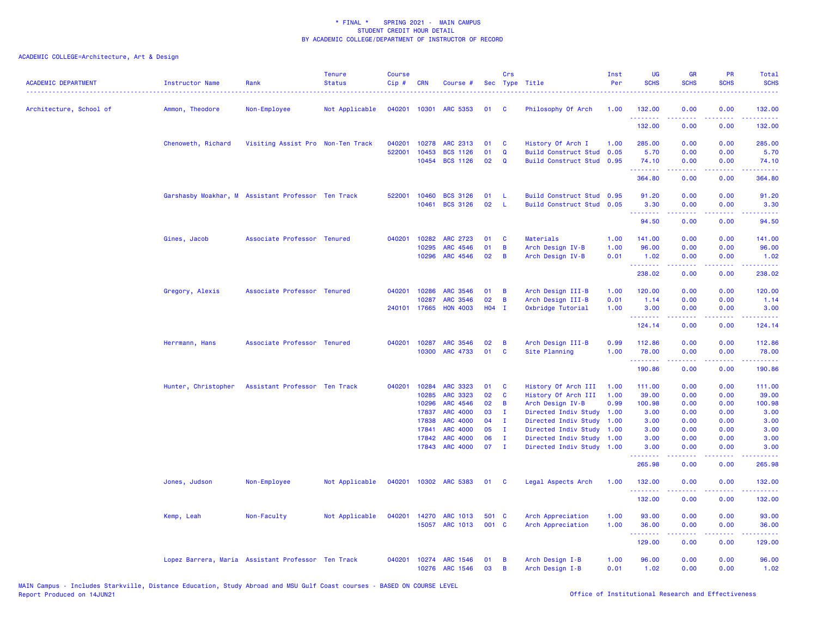| <b>ACADEMIC DEPARTMENT</b> | Instructor Name                                    | Rank                              | <b>Tenure</b><br><b>Status</b> | <b>Course</b><br>Cip# | <b>CRN</b>     | Course #                           |          | Crs          | Sec Type Title                               | Inst<br>Per  | <b>UG</b><br><b>SCHS</b>                                   | <b>GR</b><br><b>SCHS</b> | PR<br><b>SCHS</b>                   | Total<br><b>SCHS</b>                                                                                                           |
|----------------------------|----------------------------------------------------|-----------------------------------|--------------------------------|-----------------------|----------------|------------------------------------|----------|--------------|----------------------------------------------|--------------|------------------------------------------------------------|--------------------------|-------------------------------------|--------------------------------------------------------------------------------------------------------------------------------|
| Architecture, School of    | Ammon, Theodore                                    | Non-Employee                      | Not Applicable                 | 040201                | 10301          | ARC 5353                           | 01       | C            | Philosophy Of Arch                           | 1.00         | 132.00                                                     | 0.00                     | 0.00                                | 132.00                                                                                                                         |
|                            |                                                    |                                   |                                |                       |                |                                    |          |              |                                              |              | .<br>132.00                                                | 0.00                     | $\sim$ $\sim$ $\sim$ $\sim$<br>0.00 | .<br>132.00                                                                                                                    |
|                            | Chenoweth, Richard                                 | Visiting Assist Pro Non-Ten Track |                                | 040201                | 10278          | ARC 2313                           | 01       | <b>C</b>     | History Of Arch I                            | 1.00         | 285.00                                                     | 0.00                     | 0.00                                | 285.00                                                                                                                         |
|                            |                                                    |                                   |                                | 522001                | 10453          | <b>BCS 1126</b>                    | 01       | $\mathbf Q$  | <b>Build Construct Stud</b>                  | 0.05         | 5.70                                                       | 0.00                     | 0.00                                | 5.70                                                                                                                           |
|                            |                                                    |                                   |                                |                       | 10454          | <b>BCS 1126</b>                    | 02       | $\mathbf Q$  | <b>Build Construct Stud</b>                  | 0.95         | 74.10<br>.                                                 | 0.00<br>22222            | 0.00<br>.                           | 74.10<br>$\begin{array}{cccccccccc} \bullet & \bullet & \bullet & \bullet & \bullet & \bullet & \bullet & \bullet \end{array}$ |
|                            |                                                    |                                   |                                |                       |                |                                    |          |              |                                              |              | 364.80                                                     | 0.00                     | 0.00                                | 364.80                                                                                                                         |
|                            | Garshasby Moakhar, M Assistant Professor Ten Track |                                   |                                | 522001                | 10460          | <b>BCS 3126</b>                    | 01       | L            | Build Construct Stud 0.95                    |              | 91.20                                                      | 0.00                     | 0.00                                | 91.20                                                                                                                          |
|                            |                                                    |                                   |                                |                       | 10461          | <b>BCS 3126</b>                    | 02       | -L.          | Build Construct Stud 0.05                    |              | 3.30<br><b><i><u><u><b>Little Little</b></u></u></i></b>   | 0.00<br>د د د د          | 0.00<br>د د د د                     | 3.30<br>.                                                                                                                      |
|                            |                                                    |                                   |                                |                       |                |                                    |          |              |                                              |              | 94.50                                                      | 0.00                     | 0.00                                | 94.50                                                                                                                          |
|                            | Gines, Jacob                                       | Associate Professor Tenured       |                                | 040201                | 10282          | ARC 2723                           | 01       | C            | Materials                                    | 1.00         | 141.00                                                     | 0.00                     | 0.00                                | 141.00                                                                                                                         |
|                            |                                                    |                                   |                                |                       | 10295          | <b>ARC 4546</b>                    | 01       | $\mathbf B$  | Arch Design IV-B                             | 1.00         | 96.00                                                      | 0.00                     | 0.00                                | 96.00                                                                                                                          |
|                            |                                                    |                                   |                                |                       | 10296          | ARC 4546                           | 02       | B            | Arch Design IV-B                             | 0.01         | 1.02<br><u>.</u>                                           | 0.00                     | 0.00<br>$\sim$ $\sim$ $\sim$ $\sim$ | 1.02<br>.                                                                                                                      |
|                            |                                                    |                                   |                                |                       |                |                                    |          |              |                                              |              | 238.02                                                     | 0.00                     | 0.00                                | 238.02                                                                                                                         |
|                            | Gregory, Alexis                                    | Associate Professor Tenured       |                                | 040201                | 10286          | <b>ARC 3546</b>                    | 01       | B            | Arch Design III-B                            | 1.00         | 120.00                                                     | 0.00                     | 0.00                                | 120.00                                                                                                                         |
|                            |                                                    |                                   |                                |                       | 10287          | <b>ARC 3546</b>                    | 02       | $\, {\bf B}$ | Arch Design III-B                            | 0.01         | 1.14                                                       | 0.00                     | 0.00                                | 1.14                                                                                                                           |
|                            |                                                    |                                   |                                |                       | 240101 17665   | <b>HON 4003</b>                    | $H04$ I  |              | Oxbridge Tutorial                            | 1.00         | 3.00<br><b><i><u><u><b>a</b></u></u> a a a a a a a</i></b> | 0.00<br>.                | 0.00<br>.                           | 3.00<br>.                                                                                                                      |
|                            |                                                    |                                   |                                |                       |                |                                    |          |              |                                              |              | 124.14                                                     | 0.00                     | 0.00                                | 124.14                                                                                                                         |
|                            | Herrmann, Hans                                     | Associate Professor Tenured       |                                | 040201                | 10287          | <b>ARC 3546</b>                    | 02       | B            | Arch Design III-B                            | 0.99         | 112.86                                                     | 0.00                     | 0.00                                | 112.86                                                                                                                         |
|                            |                                                    |                                   |                                |                       | 10300          | <b>ARC 4733</b>                    | 01       | C            | Site Planning                                | 1.00         | 78.00<br>.                                                 | 0.00                     | 0.00                                | 78.00                                                                                                                          |
|                            |                                                    |                                   |                                |                       |                |                                    |          |              |                                              |              | 190.86                                                     | 0.00                     | 0.00                                | 190.86                                                                                                                         |
|                            | Hunter, Christopher                                | Assistant Professor Ten Track     |                                | 040201                | 10284          | <b>ARC 3323</b>                    | 01       | C            | History Of Arch III                          | 1.00         | 111.00                                                     | 0.00                     | 0.00                                | 111.00                                                                                                                         |
|                            |                                                    |                                   |                                |                       | 10285          | <b>ARC 3323</b>                    | 02       | C            | History Of Arch III                          | 1.00         | 39.00                                                      | 0.00                     | 0.00                                | 39.00                                                                                                                          |
|                            |                                                    |                                   |                                |                       | 10296          | ARC 4546                           | 02       | B            | Arch Design IV-B                             | 0.99         | 100.98                                                     | 0.00                     | 0.00                                | 100.98                                                                                                                         |
|                            |                                                    |                                   |                                |                       | 17837          | <b>ARC 4000</b><br><b>ARC 4000</b> | 03<br>04 | Ι.           | Directed Indiv Study                         | 1.00         | 3.00<br>3.00                                               | 0.00                     | 0.00                                | 3.00                                                                                                                           |
|                            |                                                    |                                   |                                |                       | 17838<br>17841 | <b>ARC 4000</b>                    | 05       | Ι.<br>Ι.     | Directed Indiv Study<br>Directed Indiv Study | 1.00<br>1.00 | 3.00                                                       | 0.00<br>0.00             | 0.00<br>0.00                        | 3.00<br>3.00                                                                                                                   |
|                            |                                                    |                                   |                                |                       | 17842          | <b>ARC 4000</b>                    | 06       | $\mathbf{I}$ | Directed Indiv Study                         | 1.00         | 3.00                                                       | 0.00                     | 0.00                                | 3.00                                                                                                                           |
|                            |                                                    |                                   |                                |                       | 17843          | <b>ARC 4000</b>                    | 07       | п.           | Directed Indiv Study                         | 1.00         | 3.00                                                       | 0.00                     | 0.00                                | 3.00                                                                                                                           |
|                            |                                                    |                                   |                                |                       |                |                                    |          |              |                                              |              | <u>.</u><br>265.98                                         | 0.00                     | ولالات<br>0.00                      | .<br>265.98                                                                                                                    |
|                            | Jones, Judson                                      | Non-Employee                      | Not Applicable                 | 040201                |                | 10302 ARC 5383                     | 01       | <b>C</b>     | Legal Aspects Arch                           | 1.00         | 132.00                                                     | 0.00                     | 0.00                                | 132.00                                                                                                                         |
|                            |                                                    |                                   |                                |                       |                |                                    |          |              |                                              |              | .<br>132.00                                                | 0.00                     | $  -$<br>0.00                       | <u>.</u><br>132.00                                                                                                             |
|                            | Kemp, Leah                                         | Non-Faculty                       | Not Applicable                 | 040201                | 14270          | <b>ARC 1013</b>                    | 501 C    |              | Arch Appreciation                            | 1.00         | 93.00                                                      | 0.00                     | 0.00                                | 93.00                                                                                                                          |
|                            |                                                    |                                   |                                |                       |                | 15057 ARC 1013                     | 001 C    |              | Arch Appreciation                            | 1.00         | 36.00                                                      | 0.00<br>.                | 0.00<br>.                           | 36.00<br>.                                                                                                                     |
|                            |                                                    |                                   |                                |                       |                |                                    |          |              |                                              |              | <u>.</u><br>129.00                                         | 0.00                     | 0.00                                | 129.00                                                                                                                         |
|                            | Lopez Barrera, Maria Assistant Professor Ten Track |                                   |                                | 040201                |                | 10274 ARC 1546                     | 01       | B            | Arch Design I-B                              | 1.00         | 96.00                                                      | 0.00                     | 0.00                                | 96.00                                                                                                                          |
|                            |                                                    |                                   |                                |                       | 10276          | ARC 1546                           | 03       | B            | Arch Design I-B                              | 0.01         | 1.02                                                       | 0.00                     | 0.00                                | 1.02                                                                                                                           |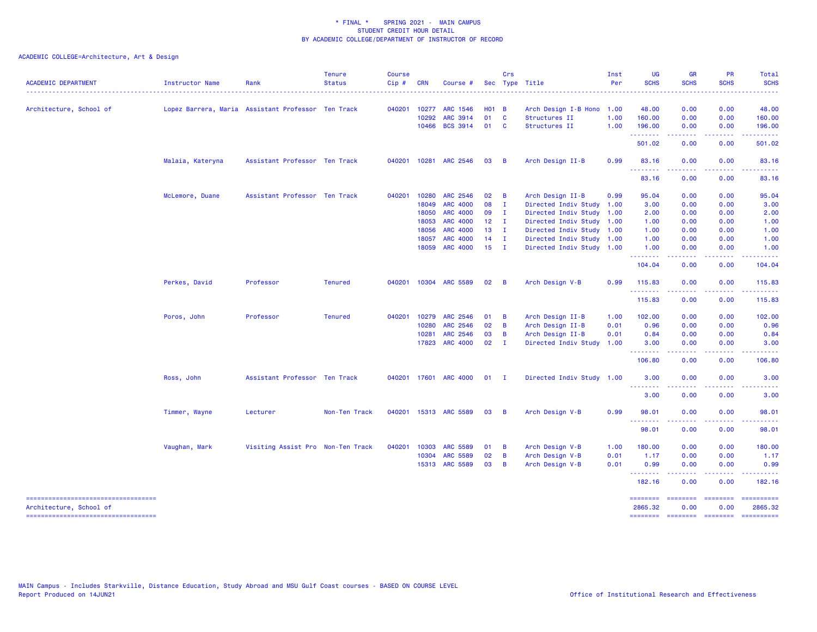| <b>ACADEMIC DEPARTMENT</b>                                        | Instructor Name                                    | Rank                              | <b>Tenure</b><br><b>Status</b> | <b>Course</b><br>Cip# | <b>CRN</b>   | Course #              |              | Crs            | Sec Type Title            | Inst<br>Per | UG<br><b>SCHS</b>                                  | <b>GR</b><br><b>SCHS</b> | PR<br><b>SCHS</b> | Total<br><b>SCHS</b>  |
|-------------------------------------------------------------------|----------------------------------------------------|-----------------------------------|--------------------------------|-----------------------|--------------|-----------------------|--------------|----------------|---------------------------|-------------|----------------------------------------------------|--------------------------|-------------------|-----------------------|
| Architecture, School of                                           | Lopez Barrera, Maria Assistant Professor Ten Track |                                   |                                |                       | 040201 10277 | ARC 1546              | $H01$ B      |                | Arch Design I-B Hono      | 1.00        | 48.00                                              | 0.00                     | 0.00              | 48.00                 |
|                                                                   |                                                    |                                   |                                |                       | 10292        | <b>ARC 3914</b>       | 01           | <b>C</b>       | Structures II             | 1.00        | 160.00                                             | 0.00                     | 0.00              | 160.00                |
|                                                                   |                                                    |                                   |                                |                       | 10466        | <b>BCS 3914</b>       | 01           | <b>C</b>       | Structures II             | 1.00        | 196.00                                             | 0.00                     | 0.00              | 196.00                |
|                                                                   |                                                    |                                   |                                |                       |              |                       |              |                |                           |             | .<br>501.02                                        | <u>.</u><br>0.00         | 0.00              | .<br>501.02           |
|                                                                   | Malaia, Kateryna                                   | Assistant Professor Ten Track     |                                |                       |              | 040201 10281 ARC 2546 | 03           | $\overline{B}$ | Arch Design II-B          | 0.99        | 83.16<br>.                                         | 0.00<br>.                | 0.00<br>.         | 83.16<br>.            |
|                                                                   |                                                    |                                   |                                |                       |              |                       |              |                |                           |             | 83.16                                              | 0.00                     | 0.00              | 83.16                 |
|                                                                   | McLemore, Duane                                    | Assistant Professor Ten Track     |                                |                       | 040201 10280 | <b>ARC 2546</b>       | 02           | $\overline{B}$ | Arch Design II-B          | 0.99        | 95.04                                              | 0.00                     | 0.00              | 95.04                 |
|                                                                   |                                                    |                                   |                                |                       | 18049        | <b>ARC 4000</b>       | 08           | $\mathbf{I}$   | Directed Indiv Study 1.00 |             | 3.00                                               | 0.00                     | 0.00              | 3.00                  |
|                                                                   |                                                    |                                   |                                |                       | 18050        | <b>ARC 4000</b>       | 09           | $\mathbf{I}$   | Directed Indiv Study 1.00 |             | 2.00                                               | 0.00                     | 0.00              | 2.00                  |
|                                                                   |                                                    |                                   |                                |                       | 18053        | <b>ARC 4000</b>       | $12 \quad I$ |                | Directed Indiv Study 1.00 |             | 1.00                                               | 0.00                     | 0.00              | 1.00                  |
|                                                                   |                                                    |                                   |                                |                       | 18056        | <b>ARC 4000</b>       | $13$ I       |                | Directed Indiv Study 1.00 |             | 1.00                                               | 0.00                     | 0.00              | 1.00                  |
|                                                                   |                                                    |                                   |                                |                       | 18057        | <b>ARC 4000</b>       | $14$ I       |                | Directed Indiv Study 1.00 |             | 1.00                                               | 0.00                     | 0.00              | 1.00                  |
|                                                                   |                                                    |                                   |                                |                       | 18059        | <b>ARC 4000</b>       | $15$ I       |                | Directed Indiv Study 1.00 |             | 1.00<br>.                                          | 0.00                     | 0.00              | 1.00                  |
|                                                                   |                                                    |                                   |                                |                       |              |                       |              |                |                           |             | 104.04                                             | 0.00                     | 0.00              | 104.04                |
|                                                                   | Perkes, David                                      | Professor                         | <b>Tenured</b>                 | 040201                |              | 10304 ARC 5589        | 02           | $\overline{B}$ | Arch Design V-B           | 0.99        | 115.83                                             | 0.00                     | 0.00              | 115.83                |
|                                                                   |                                                    |                                   |                                |                       |              |                       |              |                |                           |             | .<br>115.83                                        | المالما مالما<br>0.00    | .<br>0.00         | .<br>115.83           |
|                                                                   | Poros, John                                        | Professor                         | <b>Tenured</b>                 |                       | 040201 10279 | <b>ARC 2546</b>       | 01           | B              | Arch Design II-B          | 1.00        | 102.00                                             | 0.00                     | 0.00              | 102.00                |
|                                                                   |                                                    |                                   |                                |                       | 10280        | <b>ARC 2546</b>       | 02           | B              | Arch Design II-B          | 0.01        | 0.96                                               | 0.00                     | 0.00              | 0.96                  |
|                                                                   |                                                    |                                   |                                |                       | 10281        | ARC 2546              | 03           | B              | Arch Design II-B          | 0.01        | 0.84                                               | 0.00                     | 0.00              | 0.84                  |
|                                                                   |                                                    |                                   |                                |                       | 17823        | <b>ARC 4000</b>       | 02           | $\blacksquare$ | Directed Indiv Study 1.00 |             | 3.00                                               | 0.00                     | 0.00              | 3.00                  |
|                                                                   |                                                    |                                   |                                |                       |              |                       |              |                |                           |             | .<br>106.80                                        | المتمالين<br>0.00        | .<br>0.00         | 106.80                |
|                                                                   | Ross, John                                         | Assistant Professor Ten Track     |                                |                       |              | 040201 17601 ARC 4000 | $01$ I       |                | Directed Indiv Study 1.00 |             | 3.00                                               | 0.00                     | 0.00              | 3.00                  |
|                                                                   |                                                    |                                   |                                |                       |              |                       |              |                |                           |             | <u>.</u><br>3.00                                   | 0.00                     | 0.00              | 3.00                  |
|                                                                   | Timmer, Wayne                                      | Lecturer                          | Non-Ten Track                  | 040201                |              | 15313 ARC 5589        | 03           | $\overline{B}$ | Arch Design V-B           | 0.99        | 98.01                                              | 0.00                     | 0.00              | 98.01                 |
|                                                                   |                                                    |                                   |                                |                       |              |                       |              |                |                           |             | .<br>98.01                                         | 0.00                     | 0.00              | 98.01                 |
|                                                                   | Vaughan, Mark                                      | Visiting Assist Pro Non-Ten Track |                                | 040201                | 10303        | <b>ARC 5589</b>       | 01           | $\overline{B}$ | Arch Design V-B           | 1.00        | 180.00                                             | 0.00                     | 0.00              | 180.00                |
|                                                                   |                                                    |                                   |                                |                       | 10304        | <b>ARC 5589</b>       | 02           | B              | Arch Design V-B           | 0.01        | 1.17                                               | 0.00                     | 0.00              | 1.17                  |
|                                                                   |                                                    |                                   |                                |                       |              | 15313 ARC 5589        | 03           | B              | Arch Design V-B           | 0.01        | 0.99<br><b><i><u><u> - - - - - - -</u></u></i></b> | 0.00<br>.                | 0.00<br>.         | 0.99<br><u>.</u>      |
|                                                                   |                                                    |                                   |                                |                       |              |                       |              |                |                           |             | 182.16                                             | 0.00                     | 0.00              | 182.16                |
| ======================================<br>Architecture, School of |                                                    |                                   |                                |                       |              |                       |              |                |                           |             | $=$ = = = = = = =<br>2865.32                       | ========<br>0.00         | ========<br>0.00  | ==========<br>2865.32 |
| ====================================                              |                                                    |                                   |                                |                       |              |                       |              |                |                           |             | ========                                           | --------- -------        |                   | ==========            |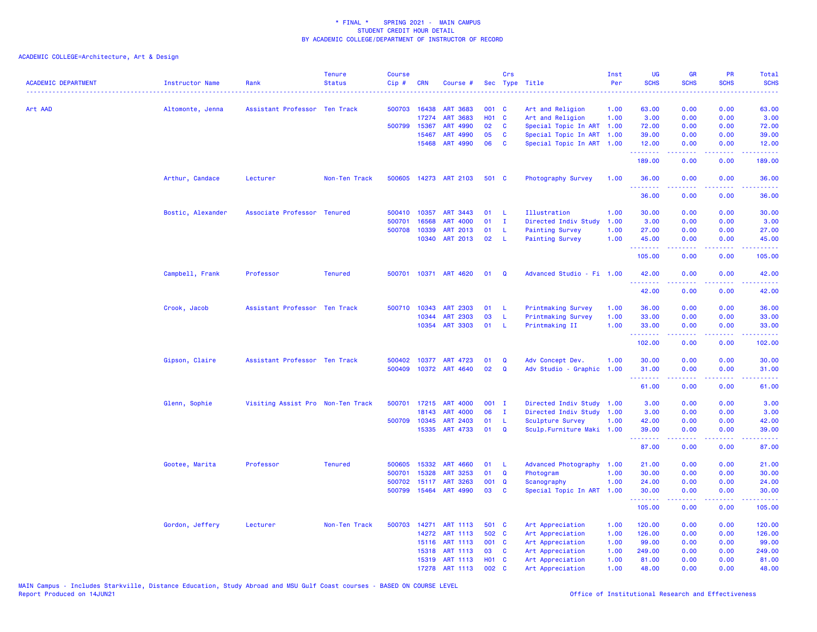| <b>ACADEMIC DEPARTMENT</b> | <b>Instructor Name</b> | Rank                              | <b>Tenure</b><br><b>Status</b> | <b>Course</b><br>Cip# | <b>CRN</b>   | Course #              |              | Crs          | Sec Type Title            | Inst<br>Per | UG<br><b>SCHS</b> | <b>GR</b><br><b>SCHS</b> | PR<br><b>SCHS</b>                                                                                                                 | Total<br><b>SCHS</b><br>وعاعات |
|----------------------------|------------------------|-----------------------------------|--------------------------------|-----------------------|--------------|-----------------------|--------------|--------------|---------------------------|-------------|-------------------|--------------------------|-----------------------------------------------------------------------------------------------------------------------------------|--------------------------------|
| Art AAD                    | Altomonte, Jenna       | Assistant Professor Ten Track     |                                | 500703                | 16438        | <b>ART 3683</b>       | 001 C        |              | Art and Religion          | 1.00        | 63.00             | 0.00                     | 0.00                                                                                                                              | 63.00                          |
|                            |                        |                                   |                                |                       | 17274        | <b>ART 3683</b>       | <b>HO1 C</b> |              | Art and Religion          | 1.00        | 3.00              | 0.00                     | 0.00                                                                                                                              | 3.00                           |
|                            |                        |                                   |                                |                       | 500799 15367 | ART 4990              | 02           | C            | Special Topic In ART      | 1.00        | 72.00             | 0.00                     | 0.00                                                                                                                              | 72.00                          |
|                            |                        |                                   |                                |                       | 15467        | ART 4990              | 05           | C            | Special Topic In ART      | 1.00        | 39.00             | 0.00                     | 0.00                                                                                                                              | 39.00                          |
|                            |                        |                                   |                                |                       | 15468        | ART 4990              | 06           | C            | Special Topic In ART 1.00 |             | 12.00<br>.        | 0.00<br>.                | 0.00<br>بالمحام                                                                                                                   | 12.00<br>.                     |
|                            |                        |                                   |                                |                       |              |                       |              |              |                           |             | 189.00            | 0.00                     | 0.00                                                                                                                              | 189.00                         |
|                            | Arthur, Candace        | Lecturer                          | Non-Ten Track                  |                       |              | 500605 14273 ART 2103 | 501 C        |              | Photography Survey        | 1.00        | 36.00<br>.        | 0.00<br>د د د د          | 0.00<br>$\frac{1}{2} \left( \frac{1}{2} \right) \left( \frac{1}{2} \right) \left( \frac{1}{2} \right) \left( \frac{1}{2} \right)$ | 36.00<br>وعاعاتها              |
|                            |                        |                                   |                                |                       |              |                       |              |              |                           |             | 36.00             | 0.00                     | 0.00                                                                                                                              | 36.00                          |
|                            | Bostic, Alexander      | Associate Professor Tenured       |                                |                       | 500410 10357 | ART 3443              | 01           | -L.          | Illustration              | 1.00        | 30.00             | 0.00                     | 0.00                                                                                                                              | 30.00                          |
|                            |                        |                                   |                                | 500701                | 16568        | <b>ART 4000</b>       | 01           | $\mathbf{I}$ | Directed Indiv Study      | 1.00        | 3.00              | 0.00                     | 0.00                                                                                                                              | 3.00                           |
|                            |                        |                                   |                                | 500708                | 10339        | ART 2013              | 01           | -L           | <b>Painting Survey</b>    | 1.00        | 27.00             | 0.00                     | 0.00                                                                                                                              | 27.00                          |
|                            |                        |                                   |                                |                       | 10340        | ART 2013              | 02           | -L.          | <b>Painting Survey</b>    | 1.00        | 45.00<br>.        | 0.00<br>.                | 0.00<br>.                                                                                                                         | 45.00<br>22222)                |
|                            |                        |                                   |                                |                       |              |                       |              |              |                           |             | 105.00            | 0.00                     | 0.00                                                                                                                              | 105.00                         |
|                            | Campbell, Frank        | Professor                         | <b>Tenured</b>                 | 500701                |              | 10371 ART 4620        | 01           | Q            | Advanced Studio - Fi 1.00 |             | 42.00             | 0.00                     | 0.00                                                                                                                              | 42.00                          |
|                            |                        |                                   |                                |                       |              |                       |              |              |                           |             | 42.00             | 0.00                     | 0.00                                                                                                                              | 42.00                          |
|                            | Crook, Jacob           | Assistant Professor Ten Track     |                                |                       | 500710 10343 | <b>ART 2303</b>       | 01           | -L.          | Printmaking Survey        | 1.00        | 36.00             | 0.00                     | 0.00                                                                                                                              | 36.00                          |
|                            |                        |                                   |                                |                       | 10344        | <b>ART 2303</b>       | 03           | L            | Printmaking Survey        | 1.00        | 33.00             | 0.00                     | 0.00                                                                                                                              | 33.00                          |
|                            |                        |                                   |                                |                       | 10354        | <b>ART 3303</b>       | 01           | -L           | Printmaking II            | 1.00        | 33.00<br>.        | 0.00                     | 0.00                                                                                                                              | 33.00                          |
|                            |                        |                                   |                                |                       |              |                       |              |              |                           |             | 102.00            | 0.00                     | 0.00                                                                                                                              | 102.00                         |
|                            | Gipson, Claire         | Assistant Professor Ten Track     |                                |                       |              | 500402 10377 ART 4723 | 01           | $\mathbf Q$  | Adv Concept Dev.          | 1.00        | 30,00             | 0.00                     | 0.00                                                                                                                              | 30.00                          |
|                            |                        |                                   |                                |                       |              | 500409 10372 ART 4640 | 02           | $\mathbf Q$  | Adv Studio - Graphic      | 1.00        | 31.00<br><b></b>  | 0.00<br>.                | 0.00<br>.                                                                                                                         | 31.00<br>.                     |
|                            |                        |                                   |                                |                       |              |                       |              |              |                           |             | 61.00             | 0.00                     | 0.00                                                                                                                              | 61.00                          |
|                            | Glenn, Sophie          | Visiting Assist Pro Non-Ten Track |                                |                       |              | 500701 17215 ART 4000 | 001 I        |              | Directed Indiv Study 1.00 |             | 3.00              | 0.00                     | 0.00                                                                                                                              | 3.00                           |
|                            |                        |                                   |                                |                       | 18143        | <b>ART 4000</b>       | 06           | $\mathbf{I}$ | Directed Indiv Study      | 1.00        | 3.00              | 0.00                     | 0.00                                                                                                                              | 3.00                           |
|                            |                        |                                   |                                | 500709                | 10345        | <b>ART 2403</b>       | 01           | L            | Sculpture Survey          | 1.00        | 42.00             | 0.00                     | 0.00                                                                                                                              | 42.00                          |
|                            |                        |                                   |                                |                       | 15335        | ART 4733              | 01           | $\Omega$     | Sculp.Furniture Maki 1.00 |             | 39.00<br>.        | 0.00<br>.                | 0.00<br>د د د د                                                                                                                   | 39.00<br>.                     |
|                            |                        |                                   |                                |                       |              |                       |              |              |                           |             | 87.00             | 0.00                     | 0.00                                                                                                                              | 87.00                          |
|                            | Gootee, Marita         | Professor                         | <b>Tenured</b>                 | 500605                | 15332        | <b>ART 4660</b>       | 01           | -L           | Advanced Photography      | 1.00        | 21.00             | 0.00                     | 0.00                                                                                                                              | 21.00                          |
|                            |                        |                                   |                                | 500701                | 15328        | ART 3253              | 01           | $\mathbf Q$  | Photogram                 | 1.00        | 30.00             | 0.00                     | 0.00                                                                                                                              | 30.00                          |
|                            |                        |                                   |                                | 500702                | 15117        | <b>ART 3263</b>       | 001          | $\mathbf{Q}$ | Scanography               | 1.00        | 24.00             | 0.00                     | 0.00                                                                                                                              | 24.00                          |
|                            |                        |                                   |                                |                       |              | 500799 15464 ART 4990 | 03           | C            | Special Topic In ART      | 1.00        | 30.00<br>.        | 0.00<br>.                | 0.00<br>والمحامر                                                                                                                  | 30.00                          |
|                            |                        |                                   |                                |                       |              |                       |              |              |                           |             | 105.00            | 0.00                     | 0.00                                                                                                                              | 105.00                         |
|                            | Gordon, Jeffery        | Lecturer                          | Non-Ten Track                  | 500703                |              | 14271 ART 1113        | 501 C        |              | Art Appreciation          | 1.00        | 120.00            | 0.00                     | 0.00                                                                                                                              | 120.00                         |
|                            |                        |                                   |                                |                       | 14272        | <b>ART 1113</b>       | 502          | C            | Art Appreciation          | 1.00        | 126.00            | 0.00                     | 0.00                                                                                                                              | 126.00                         |
|                            |                        |                                   |                                |                       | 15116        | ART 1113              | 001          | $\mathbf{C}$ | Art Appreciation          | 1.00        | 99.00             | 0.00                     | 0.00                                                                                                                              | 99.00                          |
|                            |                        |                                   |                                |                       | 15318        | ART 1113              | 03           | C            | Art Appreciation          | 1.00        | 249.00            | 0.00                     | 0.00                                                                                                                              | 249.00                         |
|                            |                        |                                   |                                |                       | 15319        | ART 1113              | <b>HO1 C</b> |              | Art Appreciation          | 1.00        | 81.00             | 0.00                     | 0.00                                                                                                                              | 81.00                          |
|                            |                        |                                   |                                |                       |              | 17278 ART 1113        | 002 C        |              | Art Appreciation          | 1.00        | 48.00             | 0.00                     | 0.00                                                                                                                              | 48.00                          |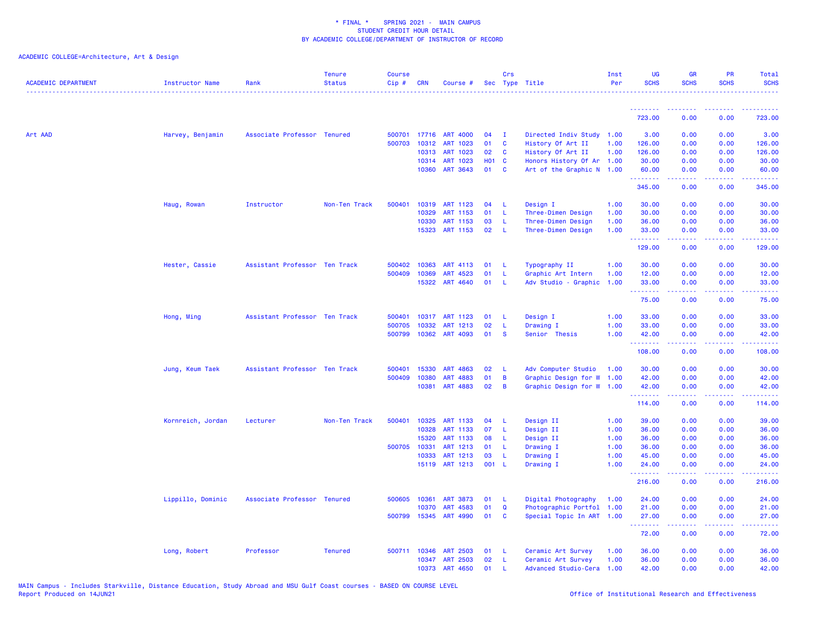| <b>ACADEMIC DEPARTMENT</b> | Instructor Name   | Rank                          | <b>Tenure</b><br><b>Status</b> | <b>Course</b><br>$Cip \#$ | CRN          | Course #             |              | Crs          | Sec Type Title            | Inst<br>Per  | <b>UG</b><br><b>SCHS</b> | <b>GR</b><br><b>SCHS</b>        | <b>PR</b><br><b>SCHS</b>                                                                               | Total<br><b>SCHS</b> |
|----------------------------|-------------------|-------------------------------|--------------------------------|---------------------------|--------------|----------------------|--------------|--------------|---------------------------|--------------|--------------------------|---------------------------------|--------------------------------------------------------------------------------------------------------|----------------------|
|                            |                   |                               |                                |                           |              |                      |              |              |                           |              |                          |                                 |                                                                                                        |                      |
|                            |                   |                               |                                |                           |              |                      |              |              |                           |              | .<br>723.00              | <u> - - - - - - - -</u><br>0.00 | 0.00                                                                                                   | 723.00               |
| Art AAD                    | Harvey, Benjamin  | Associate Professor Tenured   |                                |                           | 500701 17716 | <b>ART 4000</b>      | 04           | $\mathbf I$  | Directed Indiv Study 1.00 |              | 3.00                     | 0.00                            | 0.00                                                                                                   | 3.00                 |
|                            |                   |                               |                                | 500703                    | 10312        | ART 1023             | 01           | C            | History Of Art II         | 1.00         | 126.00                   | 0.00                            | 0.00                                                                                                   | 126.00               |
|                            |                   |                               |                                |                           | 10313        | ART 1023             | 02           | C            | History Of Art II         | 1.00         | 126.00                   | 0.00                            | 0.00                                                                                                   | 126.00               |
|                            |                   |                               |                                |                           | 10314        | ART 1023             | <b>HO1 C</b> |              | Honors History Of Ar 1.00 |              | 30.00                    | 0.00                            | 0.00                                                                                                   | 30.00                |
|                            |                   |                               |                                |                           | 10360        | ART 3643             | 01           | <b>C</b>     | Art of the Graphic N 1.00 |              | 60.00<br>.               | 0.00<br>.                       | 0.00<br>$\sim$ $\sim$ $\sim$                                                                           | 60.00                |
|                            |                   |                               |                                |                           |              |                      |              |              |                           |              | 345.00                   | 0.00                            | 0.00                                                                                                   | 345.00               |
|                            | Haug, Rowan       | Instructor                    | Non-Ten Track                  | 500401                    |              | 10319 ART 1123       | 04           | L            | Design I                  | 1.00         | 30.00                    | 0.00                            | 0.00                                                                                                   | 30.00                |
|                            |                   |                               |                                |                           | 10329        | ART 1153             | 01           | L            | Three-Dimen Design        | 1.00         | 30.00                    | 0.00                            | 0.00                                                                                                   | 30.00                |
|                            |                   |                               |                                |                           | 10330        | ART 1153             | 03           | L            | Three-Dimen Design        | 1.00         | 36.00                    | 0.00                            | 0.00                                                                                                   | 36.00                |
|                            |                   |                               |                                |                           | 15323        | ART 1153             | 02           | -L           | Three-Dimen Design        | 1.00         | 33.00<br>.               | 0.00                            | 0.00                                                                                                   | 33.00                |
|                            |                   |                               |                                |                           |              |                      |              |              |                           |              | 129.00                   | 0.00                            | 0.00                                                                                                   | 129.00               |
|                            | Hester, Cassie    | Assistant Professor Ten Track |                                |                           | 500402 10363 | ART 4113             | 01           | -L           | Typography II             | 1.00         | 30.00                    | 0.00                            | 0.00                                                                                                   | 30.00                |
|                            |                   |                               |                                | 500409                    | 10369        | ART 4523             | 01           | L            | Graphic Art Intern        | 1.00         | 12.00                    | 0.00                            | 0.00                                                                                                   | 12.00                |
|                            |                   |                               |                                |                           | 15322        | ART 4640             | 01           | $\mathbf{L}$ | Adv Studio - Graphic      | 1.00         | 33.00                    | 0.00                            | 0.00                                                                                                   | 33.00                |
|                            |                   |                               |                                |                           |              |                      |              |              |                           |              | .<br>75.00               | .<br>0.00                       | 0.00                                                                                                   | د د د د د<br>75.00   |
|                            | Hong, Ming        | Assistant Professor Ten Track |                                | 500401                    |              | 10317 ART 1123       | 01           | -L           | Design I                  | 1.00         | 33.00                    | 0.00                            | 0.00                                                                                                   | 33.00                |
|                            |                   |                               |                                | 500705                    | 10332        | ART 1213             | 02           | L            | Drawing I                 | 1.00         | 33.00                    | 0.00                            | 0.00                                                                                                   | 33.00                |
|                            |                   |                               |                                | 500799                    | 10362        | ART 4093             | 01           | <b>S</b>     | Senior Thesis             | 1.00         | 42.00                    | 0.00                            | 0.00                                                                                                   | 42.00                |
|                            |                   |                               |                                |                           |              |                      |              |              |                           |              | .<br>108.00              | .<br>0.00                       | $\frac{1}{2} \left( \frac{1}{2} \right) \left( \frac{1}{2} \right) \left( \frac{1}{2} \right)$<br>0.00 | .<br>108.00          |
|                            | Jung, Keum Taek   | Assistant Professor Ten Track |                                | 500401                    | 15330        | ART 4863             | 02           | L            | Adv Computer Studio       | 1.00         | 30.00                    | 0.00                            | 0.00                                                                                                   | 30.00                |
|                            |                   |                               |                                | 500409                    | 10380        | <b>ART 4883</b>      | 01           | B            | Graphic Design for W 1.00 |              | 42.00                    | 0.00                            | 0.00                                                                                                   | 42.00                |
|                            |                   |                               |                                |                           | 10381        | ART 4883             | 02           | B            | Graphic Design for W 1.00 |              | 42.00                    | 0.00                            | 0.00                                                                                                   | 42.00                |
|                            |                   |                               |                                |                           |              |                      |              |              |                           |              | .<br>114.00              | 2.2.2.2.2<br>0.00               | .<br>0.00                                                                                              | .<br>114.00          |
|                            |                   |                               |                                | 500401                    | 10325        |                      | 04           |              |                           |              |                          |                                 |                                                                                                        |                      |
|                            | Kornreich, Jordan | Lecturer                      | Non-Ten Track                  |                           | 10328        | ART 1133<br>ART 1133 | 07           | L<br>L       | Design II<br>Design II    | 1.00<br>1.00 | 39.00<br>36.00           | 0.00<br>0.00                    | 0.00<br>0.00                                                                                           | 39.00<br>36.00       |
|                            |                   |                               |                                |                           | 15320        | ART 1133             | 08           | L            | Design II                 | 1.00         | 36.00                    | 0.00                            | 0.00                                                                                                   | 36.00                |
|                            |                   |                               |                                |                           | 500705 10331 | ART 1213             | 01           | L            | Drawing I                 | 1.00         | 36.00                    | 0.00                            | 0.00                                                                                                   | 36.00                |
|                            |                   |                               |                                |                           | 10333        | ART 1213             | 03           | L            | Drawing I                 | 1.00         | 45.00                    | 0.00                            | 0.00                                                                                                   | 45.00                |
|                            |                   |                               |                                |                           |              | 15119 ART 1213       | 001 L        |              | Drawing I                 | 1.00         | 24.00                    | 0.00                            | 0.00                                                                                                   | 24.00                |
|                            |                   |                               |                                |                           |              |                      |              |              |                           |              | .<br>216.00              | بالأباب<br>0.00                 | 0.00                                                                                                   | .<br>216.00          |
|                            | Lippillo, Dominic | Associate Professor Tenured   |                                | 500605                    | 10361        | <b>ART 3873</b>      | 01           | L            | Digital Photography       | 1.00         | 24.00                    | 0.00                            | 0.00                                                                                                   | 24.00                |
|                            |                   |                               |                                |                           | 10370        | ART 4583             | 01           | $\Omega$     | Photographic Portfol      | 1.00         | 21.00                    | 0.00                            | 0.00                                                                                                   | 21.00                |
|                            |                   |                               |                                |                           | 500799 15345 | ART 4990             | 01           | C            | Special Topic In ART 1.00 |              | 27.00                    | 0.00                            | 0.00                                                                                                   | 27.00                |
|                            |                   |                               |                                |                           |              |                      |              |              |                           |              | .<br>72.00               | 0.00                            | والمحامر<br>0.00                                                                                       | 72.00                |
|                            | Long, Robert      | Professor                     | <b>Tenured</b>                 |                           | 500711 10346 | <b>ART 2503</b>      | 01           | -1.          | Ceramic Art Survey        | 1.00         | 36.00                    | 0.00                            | 0.00                                                                                                   | 36.00                |
|                            |                   |                               |                                |                           |              | 10347 ART 2503       | 02           | L            | Ceramic Art Survey        | 1.00         | 36.00                    | 0.00                            | 0.00                                                                                                   | 36.00                |
|                            |                   |                               |                                |                           | 10373        | ART 4650             | 01           |              | Advanced Studio-Cera 1.00 |              | 42.00                    | 0.00                            | 0.00                                                                                                   | 42.00                |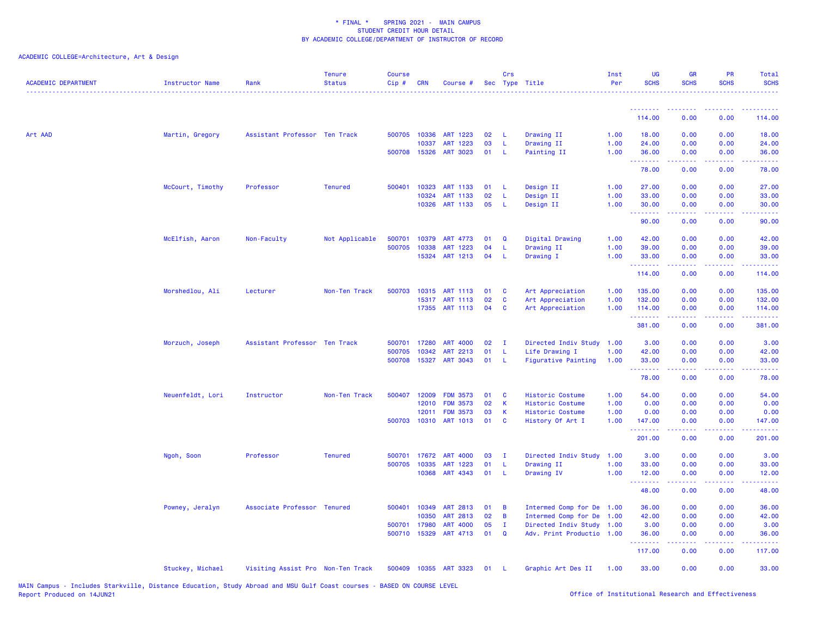| <b>ACADEMIC DEPARTMENT</b> | Instructor Name  | Rank                              | <b>Tenure</b><br><b>Status</b> | <b>Course</b><br>Cip# | <b>CRN</b>   | Course #           |    | Crs<br>Sec Type Title |                            | Inst<br>Per | <b>UG</b><br><b>SCHS</b> | <b>GR</b><br><b>SCHS</b> | <b>PR</b><br><b>SCHS</b>                                                                               | <b>Total</b><br><b>SCHS</b>                 |
|----------------------------|------------------|-----------------------------------|--------------------------------|-----------------------|--------------|--------------------|----|-----------------------|----------------------------|-------------|--------------------------|--------------------------|--------------------------------------------------------------------------------------------------------|---------------------------------------------|
|                            |                  |                                   |                                |                       |              |                    |    |                       |                            |             |                          |                          |                                                                                                        |                                             |
|                            |                  |                                   |                                |                       |              |                    |    |                       |                            |             | 114.00                   | 0.00                     | 0.00                                                                                                   | 114.00                                      |
| Art AAD                    | Martin, Gregory  | Assistant Professor Ten Track     |                                |                       | 500705 10336 | ART 1223           | 02 | -L                    | Drawing II                 | 1.00        | 18.00                    | 0.00                     | 0.00                                                                                                   | 18.00                                       |
|                            |                  |                                   |                                |                       | 10337        | ART 1223           | 03 | L                     | Drawing II                 | 1.00        | 24.00                    | 0.00                     | 0.00                                                                                                   | 24.00                                       |
|                            |                  |                                   |                                |                       | 500708 15326 | ART 3023           | 01 | L                     | Painting II                | 1.00        | 36.00<br>.               | 0.00<br>22222            | 0.00<br>. <b>.</b>                                                                                     | 36.00<br>والوالوات                          |
|                            |                  |                                   |                                |                       |              |                    |    |                       |                            |             | 78.00                    | 0.00                     | 0.00                                                                                                   | 78.00                                       |
|                            | McCourt, Timothy | Professor                         | <b>Tenured</b>                 | 500401                | 10323        | <b>ART 1133</b>    | 01 | -L                    | Design II                  | 1.00        | 27.00                    | 0.00                     | 0.00                                                                                                   | 27.00                                       |
|                            |                  |                                   |                                |                       | 10324        | <b>ART 1133</b>    | 02 | L                     | Design II                  | 1.00        | 33.00                    | 0.00                     | 0.00                                                                                                   | 33.00                                       |
|                            |                  |                                   |                                |                       | 10326        | ART 1133           | 05 | -L                    | Design II                  | 1.00        | 30.00<br>.               | 0.00                     | 0.00                                                                                                   | 30.00                                       |
|                            |                  |                                   |                                |                       |              |                    |    |                       |                            |             | 90.00                    | 0.00                     | 0.00                                                                                                   | 90.00                                       |
|                            | McElfish, Aaron  | Non-Faculty                       | Not Applicable                 | 500701                | 10379        | ART 4773           | 01 | $\mathbf Q$           | Digital Drawing            | 1.00        | 42.00                    | 0.00                     | 0.00                                                                                                   | 42.00                                       |
|                            |                  |                                   |                                | 500705                | 10338        | <b>ART</b><br>1223 | 04 | L                     | Drawing II                 | 1.00        | 39.00                    | 0.00                     | 0.00                                                                                                   | 39.00                                       |
|                            |                  |                                   |                                |                       | 15324        | ART 1213           | 04 | -L                    | Drawing I                  | 1.00        | 33.00<br>.               | 0.00<br>.                | 0.00<br>$\frac{1}{2} \left( \frac{1}{2} \right) \left( \frac{1}{2} \right) \left( \frac{1}{2} \right)$ | 33.00<br>$\sim$ $\sim$ $\sim$ $\sim$ $\sim$ |
|                            |                  |                                   |                                |                       |              |                    |    |                       |                            |             | 114.00                   | 0.00                     | 0.00                                                                                                   | 114.00                                      |
|                            | Morshedlou, Ali  | Lecturer                          | Non-Ten Track                  | 500703                | 10315        | ART 1113           | 01 | C                     | Art Appreciation           | 1.00        | 135.00                   | 0.00                     | 0.00                                                                                                   | 135.00                                      |
|                            |                  |                                   |                                |                       | 15317        | ART 1113           | 02 | $\mathbf c$           | Art Appreciation           | 1.00        | 132.00                   | 0.00                     | 0.00                                                                                                   | 132.00                                      |
|                            |                  |                                   |                                |                       |              | 17355 ART 1113     | 04 | C                     | Art Appreciation           | 1.00        | 114.00<br>.              | 0.00                     | 0.00                                                                                                   | 114.00                                      |
|                            |                  |                                   |                                |                       |              |                    |    |                       |                            |             | 381.00                   | 0.00                     | 0.00                                                                                                   | 381.00                                      |
|                            | Morzuch, Joseph  | Assistant Professor Ten Track     |                                | 500701                | 17280        | <b>ART 4000</b>    | 02 | - 1                   | Directed Indiv Study       | 1.00        | 3.00                     | 0.00                     | 0.00                                                                                                   | 3.00                                        |
|                            |                  |                                   |                                | 500705                | 10342        | ART 2213           | 01 | L                     | Life Drawing I             | 1.00        | 42.00                    | 0.00                     | 0.00                                                                                                   | 42.00                                       |
|                            |                  |                                   |                                | 500708                | 15327        | <b>ART 3043</b>    | 01 | <b>L</b>              | <b>Figurative Painting</b> | 1.00        | 33.00<br>.               | 0.00<br>.                | 0.00                                                                                                   | 33.00<br>.                                  |
|                            |                  |                                   |                                |                       |              |                    |    |                       |                            |             | 78.00                    | 0.00                     | 0.00                                                                                                   | 78.00                                       |
|                            | Neuenfeldt, Lori | Instructor                        | Non-Ten Track                  | 500407                | 12009        | <b>FDM 3573</b>    | 01 | C                     | Historic Costume           | 1.00        | 54.00                    | 0.00                     | 0.00                                                                                                   | 54.00                                       |
|                            |                  |                                   |                                |                       | 12010        | <b>FDM 3573</b>    | 02 | К                     | Historic Costume           | 1.00        | 0.00                     | 0.00                     | 0.00                                                                                                   | 0.00                                        |
|                            |                  |                                   |                                |                       | 12011        | <b>FDM 3573</b>    | 03 | К                     | Historic Costume           | 1.00        | 0.00                     | 0.00                     | 0.00                                                                                                   | 0.00                                        |
|                            |                  |                                   |                                | 500703                | 10310        | ART 1013           | 01 | C                     | History Of Art I           | 1.00        | 147.00<br>.              | 0.00                     | 0.00                                                                                                   | 147.00<br>.                                 |
|                            |                  |                                   |                                |                       |              |                    |    |                       |                            |             | 201.00                   | 0.00                     | 0.00                                                                                                   | 201.00                                      |
|                            | Ngoh, Soon       | Professor                         | <b>Tenured</b>                 | 500701                | 17672        | <b>ART 4000</b>    | 03 | $\mathbf{I}$          | Directed Indiv Study       | 1.00        | 3.00                     | 0.00                     | 0.00                                                                                                   | 3.00                                        |
|                            |                  |                                   |                                | 500705                | 10335        | ART 1223           | 01 | -L                    | Drawing II                 | 1.00        | 33.00                    | 0.00                     | 0.00                                                                                                   | 33.00                                       |
|                            |                  |                                   |                                |                       | 10368        | ART 4343           | 01 | <b>L</b>              | Drawing IV                 | 1.00        | 12.00<br>.               | 0.00<br>-----            | 0.00<br>.                                                                                              | 12.00<br>.                                  |
|                            |                  |                                   |                                |                       |              |                    |    |                       |                            |             | 48.00                    | 0.00                     | 0.00                                                                                                   | 48.00                                       |
|                            | Powney, Jeralyn  | Associate Professor Tenured       |                                | 500401                | 10349        | ART 2813           | 01 | B                     | Intermed Comp for De 1.00  |             | 36.00                    | 0.00                     | 0.00                                                                                                   | 36.00                                       |
|                            |                  |                                   |                                |                       | 10350        | <b>ART 2813</b>    | 02 | B                     | Intermed Comp for De 1.00  |             | 42.00                    | 0.00                     | 0.00                                                                                                   | 42.00                                       |
|                            |                  |                                   |                                | 500701                | 17980        | <b>ART 4000</b>    | 05 | $\mathbf{I}$          | Directed Indiv Study 1.00  |             | 3.00                     | 0.00                     | 0.00                                                                                                   | 3.00                                        |
|                            |                  |                                   |                                | 500710                | 15329        | ART 4713           | 01 | $\Omega$              | Adv. Print Productio 1.00  |             | 36.00<br>.               | 0.00                     | 0.00                                                                                                   | 36.00<br>$\sim$ $\sim$ $\sim$ $\sim$ $\sim$ |
|                            |                  |                                   |                                |                       |              |                    |    |                       |                            |             | 117.00                   | 0.00                     | 0.00                                                                                                   | 117.00                                      |
|                            | Stuckey, Michael | Visiting Assist Pro Non-Ten Track |                                | 500409                |              | 10355 ART 3323     | 01 | -L                    | Graphic Art Des II         | 1.00        | 33.00                    | 0.00                     | 0.00                                                                                                   | 33.00                                       |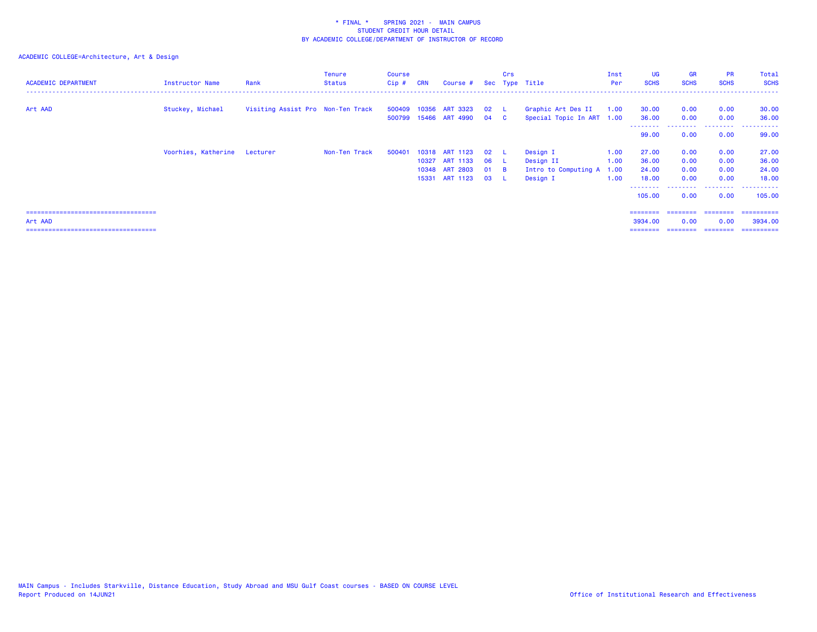| <b>ACADEMIC DEPARTMENT</b>             | Instructor Name              | Rank                              | <b>Tenure</b><br><b>Status</b> | Course<br>Cip# | <b>CRN</b> | Course #                                |                    | Crs<br>Sec Type Title |                                                 | Inst<br><b>Per</b> | <b>UG</b><br><b>SCHS</b>          | <b>GR</b><br><b>SCHS</b> | <b>PR</b><br><b>SCHS</b> | Total<br><b>SCHS</b>     |
|----------------------------------------|------------------------------|-----------------------------------|--------------------------------|----------------|------------|-----------------------------------------|--------------------|-----------------------|-------------------------------------------------|--------------------|-----------------------------------|--------------------------|--------------------------|--------------------------|
| Art AAD                                | Stuckey, Michael             | Visiting Assist Pro Non-Ten Track |                                | 500799         |            | 500409 10356 ART 3323<br>15466 ART 4990 | $02 \quad L$<br>04 | $\mathbf{C}$          | Graphic Art Des II<br>Special Topic In ART 1.00 | 1.00               | 30.00<br>36.00<br>- - - - - - - - | 0.00<br>0.00             | 0.00<br>0.00<br>-------- | 30.00<br>36.00           |
|                                        |                              |                                   |                                |                |            |                                         |                    |                       |                                                 |                    | 99.00                             | 0.00                     | 0.00                     | 99.00                    |
|                                        | Voorhies, Katherine Lecturer |                                   | Non-Ten Track                  | 500401         |            | 10318 ART 1123                          | 02                 |                       | Design I                                        | 1.00               | 27.00                             | 0.00                     | 0.00                     | 27.00                    |
|                                        |                              |                                   |                                |                |            | 10327 ART 1133                          | 06                 | - L                   | Design II                                       | 1.00               | 36.00                             | 0.00                     | 0.00                     | 36.00                    |
|                                        |                              |                                   |                                |                |            | 10348 ART 2803                          | 01                 | <b>B</b>              | Intro to Computing A                            | 1.00               | 24.00                             | 0.00                     | 0.00                     | 24.00                    |
|                                        |                              |                                   |                                |                |            | 15331 ART 1123                          | 03                 |                       | Design I                                        | 1.00               | 18.00<br>--------                 | 0.00                     | 0.00<br>.                | 18.00<br>-------         |
|                                        |                              |                                   |                                |                |            |                                         |                    |                       |                                                 |                    | 105.00                            | 0.00                     | 0.00                     | 105,00                   |
| ====================================== |                              |                                   |                                |                |            |                                         |                    |                       |                                                 |                    | ---------                         | ========                 |                          | ________________________ |
| Art AAD                                |                              |                                   |                                |                |            |                                         |                    |                       |                                                 |                    | 3934.00                           | 0.00                     | 0.00                     | 3934.00                  |
| ====================================   |                              |                                   |                                |                |            |                                         |                    |                       |                                                 |                    |                                   |                          |                          | ==========               |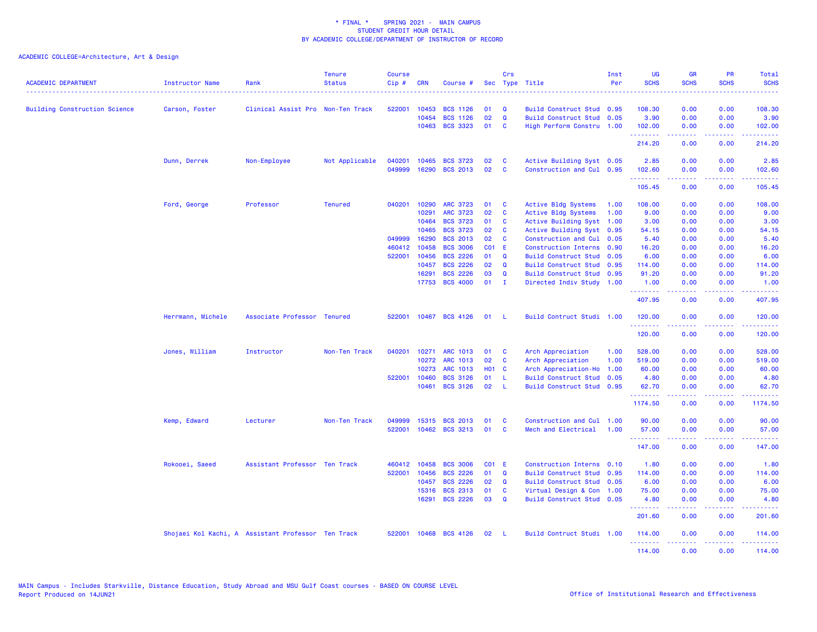| <b>ACADEMIC DEPARTMENT</b>           | <b>Instructor Name</b> | Rank                                               | <b>Tenure</b><br><b>Status</b> | Course<br>Cip# | <b>CRN</b> | Course #        |                 | Crs          | Sec Type Title              | Inst<br>Per | UG<br><b>SCHS</b>       | <b>GR</b><br><b>SCHS</b> | PR<br><b>SCHS</b><br>$\frac{1}{2} \left( \frac{1}{2} \right) \left( \frac{1}{2} \right) \left( \frac{1}{2} \right) \left( \frac{1}{2} \right)$               | Total<br><b>SCHS</b><br><u>.</u>                                                                                                    |
|--------------------------------------|------------------------|----------------------------------------------------|--------------------------------|----------------|------------|-----------------|-----------------|--------------|-----------------------------|-------------|-------------------------|--------------------------|--------------------------------------------------------------------------------------------------------------------------------------------------------------|-------------------------------------------------------------------------------------------------------------------------------------|
| <b>Building Construction Science</b> | Carson, Foster         | Clinical Assist Pro Non-Ten Track                  |                                | 522001         | 10453      | <b>BCS 1126</b> | 01              | Q            | Build Construct Stud 0.95   |             | 108,30                  | 0.00                     | 0.00                                                                                                                                                         | 108.30                                                                                                                              |
|                                      |                        |                                                    |                                |                | 10454      | <b>BCS 1126</b> | 02              | $\mathbf Q$  | Build Construct Stud 0.05   |             | 3.90                    | 0.00                     | 0.00                                                                                                                                                         | 3.90                                                                                                                                |
|                                      |                        |                                                    |                                |                | 10463      | <b>BCS 3323</b> | 01              | C            | High Perform Constru 1.00   |             | 102.00                  | 0.00                     | 0.00                                                                                                                                                         | 102.00                                                                                                                              |
|                                      |                        |                                                    |                                |                |            |                 |                 |              |                             |             | 2.2.2.2.2.2.2<br>214.20 | .<br>0.00                | .<br>0.00                                                                                                                                                    | $\frac{1}{2} \left( \frac{1}{2} \right) \left( \frac{1}{2} \right) \left( \frac{1}{2} \right) \left( \frac{1}{2} \right)$<br>214.20 |
|                                      | Dunn, Derrek           | Non-Employee                                       | Not Applicable                 | 040201         | 10465      | <b>BCS 3723</b> | 02              | C            | Active Building Syst 0.05   |             | 2.85                    | 0.00                     | 0.00                                                                                                                                                         | 2.85                                                                                                                                |
|                                      |                        |                                                    |                                | 049999         |            | 16290 BCS 2013  | 02              | $\mathbf{c}$ | Construction and Cul 0.95   |             | 102.60<br>.             | 0.00<br>.                | 0.00<br>.                                                                                                                                                    | 102.60<br>2.2222                                                                                                                    |
|                                      |                        |                                                    |                                |                |            |                 |                 |              |                             |             | 105.45                  | 0.00                     | 0.00                                                                                                                                                         | 105.45                                                                                                                              |
|                                      | Ford, George           | Professor                                          | <b>Tenured</b>                 | 040201         | 10290      | <b>ARC 3723</b> | 01              | C            | Active Bldg Systems         | 1.00        | 108.00                  | 0.00                     | 0.00                                                                                                                                                         | 108.00                                                                                                                              |
|                                      |                        |                                                    |                                |                | 10291      | ARC 3723        | 02              | C            | Active Bldg Systems         | 1.00        | 9.00                    | 0.00                     | 0.00                                                                                                                                                         | 9.00                                                                                                                                |
|                                      |                        |                                                    |                                |                | 10464      | <b>BCS 3723</b> | 01              | C            | Active Building Syst        | 1.00        | 3.00                    | 0.00                     | 0.00                                                                                                                                                         | 3.00                                                                                                                                |
|                                      |                        |                                                    |                                |                | 10465      | <b>BCS 3723</b> | 02              | C            | Active Building Syst 0.95   |             | 54.15                   | 0.00                     | 0.00                                                                                                                                                         | 54.15                                                                                                                               |
|                                      |                        |                                                    |                                | 049999         | 16290      | <b>BCS 2013</b> | 02              | C            | Construction and Cul        | 0.05        | 5.40                    | 0.00                     | 0.00                                                                                                                                                         | 5.40                                                                                                                                |
|                                      |                        |                                                    |                                | 460412         | 10458      | <b>BCS 3006</b> | CO <sub>1</sub> | -E           | <b>Construction Interns</b> | 0.90        | 16.20                   | 0.00                     | 0.00                                                                                                                                                         | 16.20                                                                                                                               |
|                                      |                        |                                                    |                                | 522001         | 10456      | <b>BCS 2226</b> | 01              | Q            | <b>Build Construct Stud</b> | 0.05        | 6.00                    | 0.00                     | 0.00                                                                                                                                                         | 6.00                                                                                                                                |
|                                      |                        |                                                    |                                |                | 10457      | <b>BCS 2226</b> | 02              | $\Omega$     | Build Construct Stud 0.95   |             | 114.00                  | 0.00                     | 0.00                                                                                                                                                         | 114.00                                                                                                                              |
|                                      |                        |                                                    |                                |                | 16291      | <b>BCS 2226</b> | 03              | Q            | Build Construct Stud 0.95   |             | 91.20                   | 0.00                     | 0.00                                                                                                                                                         | 91.20                                                                                                                               |
|                                      |                        |                                                    |                                |                | 17753      | <b>BCS 4000</b> | 01              | $\mathbf{I}$ | Directed Indiv Study 1.00   |             | 1.00                    | 0.00                     | 0.00                                                                                                                                                         | 1.00                                                                                                                                |
|                                      |                        |                                                    |                                |                |            |                 |                 |              |                             |             | .<br>407.95             | 22222<br>0.00            | .<br>0.00                                                                                                                                                    | 22222)<br>407.95                                                                                                                    |
|                                      | Herrmann, Michele      | Associate Professor Tenured                        |                                | 522001         |            | 10467 BCS 4126  | 01              | - L          | Build Contruct Studi 1.00   |             | 120.00<br><u>.</u>      | 0.00                     | 0.00                                                                                                                                                         | 120.00<br>$- - - - -$                                                                                                               |
|                                      |                        |                                                    |                                |                |            |                 |                 |              |                             |             | 120.00                  | 0.00                     | 0.00                                                                                                                                                         | 120.00                                                                                                                              |
|                                      | Jones, William         | Instructor                                         | Non-Ten Track                  | 040201         | 10271      | <b>ARC 1013</b> | 01              | C            | Arch Appreciation           | 1.00        | 528.00                  | 0.00                     | 0.00                                                                                                                                                         | 528.00                                                                                                                              |
|                                      |                        |                                                    |                                |                | 10272      | <b>ARC 1013</b> | 02              | C            | Arch Appreciation           | 1.00        | 519.00                  | 0.00                     | 0.00                                                                                                                                                         | 519.00                                                                                                                              |
|                                      |                        |                                                    |                                |                | 10273      | <b>ARC 1013</b> | <b>HO1 C</b>    |              | Arch Appreciation-Ho        | 1.00        | 60.00                   | 0.00                     | 0.00                                                                                                                                                         | 60.00                                                                                                                               |
|                                      |                        |                                                    |                                | 522001         | 10460      | <b>BCS 3126</b> | 01              | L            | <b>Build Construct Stud</b> | 0.05        | 4.80                    | 0.00                     | 0.00                                                                                                                                                         | 4.80                                                                                                                                |
|                                      |                        |                                                    |                                |                | 10461      | <b>BCS 3126</b> | 02              | <b>L</b>     | <b>Build Construct Stud</b> | 0.95        | 62.70                   | 0.00                     | 0.00                                                                                                                                                         | 62.70                                                                                                                               |
|                                      |                        |                                                    |                                |                |            |                 |                 |              |                             |             | .<br>1174.50            | 22222<br>0.00            | . <b>.</b><br>0.00                                                                                                                                           | <u>.</u><br>1174.50                                                                                                                 |
|                                      | Kemp, Edward           | Lecturer                                           | Non-Ten Track                  | 049999         | 15315      | <b>BCS 2013</b> | 01              | C            | Construction and Cul        | 1.00        | 90.00                   | 0.00                     | 0.00                                                                                                                                                         | 90.00                                                                                                                               |
|                                      |                        |                                                    |                                | 522001         |            | 10462 BCS 3213  | 01              | C            | Mech and Electrical         | 1.00        | 57.00                   | 0.00                     | 0.00                                                                                                                                                         | 57.00                                                                                                                               |
|                                      |                        |                                                    |                                |                |            |                 |                 |              |                             |             | <u>.</u><br>147.00      | .<br>0.00                | $\sim$ $\sim$ $\sim$ $\sim$<br>0.00                                                                                                                          | المستمل<br>147.00                                                                                                                   |
|                                      | Rokooei, Saeed         | Assistant Professor Ten Track                      |                                | 460412         | 10458      | <b>BCS 3006</b> | CO1             | - E          | Construction Interns 0.10   |             | 1.80                    | 0.00                     | 0.00                                                                                                                                                         | 1.80                                                                                                                                |
|                                      |                        |                                                    |                                | 522001         | 10456      | <b>BCS 2226</b> | 01              | Q            | Build Construct Stud 0.95   |             | 114.00                  | 0.00                     | 0.00                                                                                                                                                         | 114.00                                                                                                                              |
|                                      |                        |                                                    |                                |                | 10457      | <b>BCS 2226</b> | 02              | Q            | Build Construct Stud 0.05   |             | 6.00                    | 0.00                     | 0.00                                                                                                                                                         | 6.00                                                                                                                                |
|                                      |                        |                                                    |                                |                | 15316      | <b>BCS 2313</b> | 01              | C            | Virtual Design & Con        | 1.00        | 75.00                   | 0.00                     | 0.00                                                                                                                                                         | 75.00                                                                                                                               |
|                                      |                        |                                                    |                                |                | 16291      | <b>BCS 2226</b> | 03              | Q            | Build Construct Stud 0.05   |             | 4.80                    | 0.00                     | 0.00                                                                                                                                                         | 4.80                                                                                                                                |
|                                      |                        |                                                    |                                |                |            |                 |                 |              |                             |             | .<br>201.60             | -----<br>0.00            | .<br>0.00                                                                                                                                                    | والموالي الموالي<br>201.60                                                                                                          |
|                                      |                        | Shojaei Kol Kachi, A Assistant Professor Ten Track |                                | 522001         |            | 10468 BCS 4126  | 02              | -L.          | Build Contruct Studi 1.00   |             | 114.00                  | 0.00                     | 0.00                                                                                                                                                         | 114.00                                                                                                                              |
|                                      |                        |                                                    |                                |                |            |                 |                 |              |                             |             | .<br>114.00             | المتمام المتمار<br>0.00  | $\frac{1}{2} \left( \frac{1}{2} \right) \left( \frac{1}{2} \right) \left( \frac{1}{2} \right) \left( \frac{1}{2} \right) \left( \frac{1}{2} \right)$<br>0.00 | 114.00                                                                                                                              |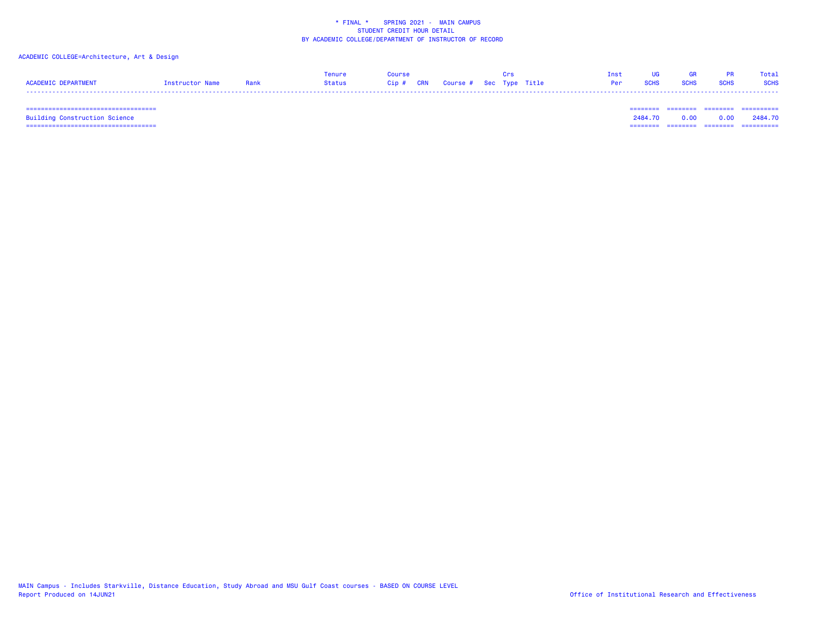# ACADEMIC COLLEGE=Architecture, Art & Design

|                     |                 |      | <b>Tenure</b> |      |                             |  | Inst |  | Total       |
|---------------------|-----------------|------|---------------|------|-----------------------------|--|------|--|-------------|
| ACADEMIC DEPARTMENT | Instructor Name | Donl | Status        | Cip# | CRN Course # Sec Type Title |  |      |  | <b>SCHS</b> |
| ----                |                 |      |               |      |                             |  |      |  |             |

 =================================== ======== ======== ======== ==========Building Construction Science 2484.70 0.00 0.00 2484.70 =================================== ======== ======== ======== ==========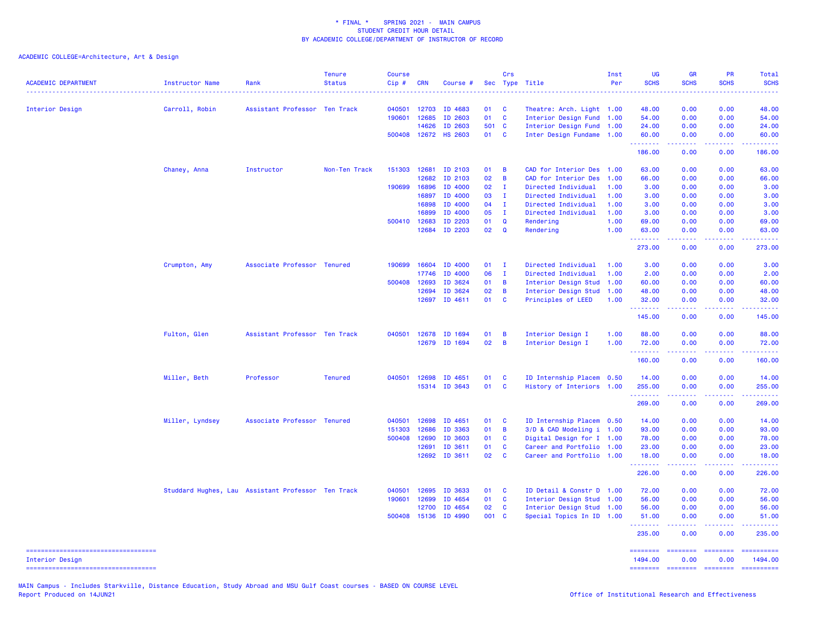ACADEMIC COLLEGE=Architecture, Art & Design

| <b>ACADEMIC DEPARTMENT</b>                             | Instructor Name | Rank                                               | <b>Tenure</b><br><b>Status</b> | <b>Course</b><br>Cip# | <b>CRN</b>   | Course #             |                 | Crs            | Sec Type Title            | Inst<br>Per | <b>UG</b><br><b>SCHS</b> | <b>GR</b><br><b>SCHS</b>                                                                                                                                     | <b>PR</b><br><b>SCHS</b> | Total<br><b>SCHS</b><br>$\frac{1}{2} \left( \frac{1}{2} \right) \left( \frac{1}{2} \right) \left( \frac{1}{2} \right) \left( \frac{1}{2} \right)$ |
|--------------------------------------------------------|-----------------|----------------------------------------------------|--------------------------------|-----------------------|--------------|----------------------|-----------------|----------------|---------------------------|-------------|--------------------------|--------------------------------------------------------------------------------------------------------------------------------------------------------------|--------------------------|---------------------------------------------------------------------------------------------------------------------------------------------------|
| Interior Design                                        | Carroll, Robin  | Assistant Professor Ten Track                      |                                | 040501                | 12703        | ID 4683              | 01              | <b>C</b>       | Theatre: Arch. Light 1.00 |             | 48.00                    | 0.00                                                                                                                                                         | 0.00                     | 48.00                                                                                                                                             |
|                                                        |                 |                                                    |                                | 190601                | 12685        | ID 2603              | 01              | $\mathbf{C}$   | Interior Design Fund      | 1.00        | 54.00                    | 0.00                                                                                                                                                         | 0.00                     | 54.00                                                                                                                                             |
|                                                        |                 |                                                    |                                |                       | 14626        | ID 2603              | 501 C           |                | Interior Design Fund 1.00 |             | 24.00                    | 0.00                                                                                                                                                         | 0.00                     | 24.00                                                                                                                                             |
|                                                        |                 |                                                    |                                |                       |              | 500408 12672 HS 2603 | 01 C            |                | Inter Design Fundame 1.00 |             | 60.00<br>.               | 0.00<br>22222                                                                                                                                                | 0.00<br>.                | 60.00<br>22222)                                                                                                                                   |
|                                                        |                 |                                                    |                                |                       |              |                      |                 |                |                           |             | 186.00                   | 0.00                                                                                                                                                         | 0.00                     | 186.00                                                                                                                                            |
|                                                        | Chaney, Anna    | Instructor                                         | Non-Ten Track                  |                       | 151303 12681 | ID 2103              | 01              | B              | CAD for Interior Des      | 1.00        | 63.00                    | 0.00                                                                                                                                                         | 0.00                     | 63.00                                                                                                                                             |
|                                                        |                 |                                                    |                                |                       | 12682        | ID 2103              | 02              | B              | CAD for Interior Des      | 1.00        | 66.00                    | 0.00                                                                                                                                                         | 0.00                     | 66.00                                                                                                                                             |
|                                                        |                 |                                                    |                                | 190699                | 16896        | ID 4000              | 02              | $\mathbf{I}$   | Directed Individual       | 1.00        | 3.00                     | 0.00                                                                                                                                                         | 0.00                     | 3.00                                                                                                                                              |
|                                                        |                 |                                                    |                                |                       | 16897        | ID 4000              | 03              | $\mathbf{I}$   | Directed Individual       | 1.00        | 3.00                     | 0.00                                                                                                                                                         | 0.00                     | 3.00                                                                                                                                              |
|                                                        |                 |                                                    |                                |                       | 16898        | ID 4000              | 04              | $\mathbf{I}$   | Directed Individual       | 1.00        | 3.00                     | 0.00                                                                                                                                                         | 0.00                     | 3.00                                                                                                                                              |
|                                                        |                 |                                                    |                                |                       | 16899        | ID 4000              | 05              | $\mathbf{I}$   | Directed Individual       | 1.00        | 3.00                     | 0.00                                                                                                                                                         | 0.00                     | 3.00                                                                                                                                              |
|                                                        |                 |                                                    |                                |                       | 500410 12683 | ID 2203              | 01              | Q              | Rendering                 | 1.00        | 69.00                    | 0.00                                                                                                                                                         | 0.00                     | 69.00                                                                                                                                             |
|                                                        |                 |                                                    |                                |                       | 12684        | ID 2203              | 02              | Q              | Rendering                 | 1.00        | 63.00<br>.               | 0.00<br>.                                                                                                                                                    | 0.00<br>د د د د          | 63.00<br>.                                                                                                                                        |
|                                                        |                 |                                                    |                                |                       |              |                      |                 |                |                           |             | 273.00                   | 0.00                                                                                                                                                         | 0.00                     | 273.00                                                                                                                                            |
|                                                        | Crumpton, Amy   | Associate Professor Tenured                        |                                |                       | 190699 16604 | ID 4000              | 01              | $\mathbf{I}$   | Directed Individual       | 1.00        | 3.00                     | 0.00                                                                                                                                                         | 0.00                     | 3.00                                                                                                                                              |
|                                                        |                 |                                                    |                                |                       | 17746        | ID 4000              | 06              | $\mathbf{I}$   | Directed Individual       | 1.00        | 2.00                     | 0.00                                                                                                                                                         | 0.00                     | 2.00                                                                                                                                              |
|                                                        |                 |                                                    |                                | 500408                | 12693        | ID 3624              | 01              | B              | Interior Design Stud      | 1.00        | 60.00                    | 0.00                                                                                                                                                         | 0.00                     | 60.00                                                                                                                                             |
|                                                        |                 |                                                    |                                |                       | 12694        | ID 3624              | 02              | B              | Interior Design Stud      | 1.00        | 48.00                    | 0.00                                                                                                                                                         | 0.00                     | 48.00                                                                                                                                             |
|                                                        |                 |                                                    |                                |                       |              | 12697 ID 4611        | 01              | <b>C</b>       |                           | 1.00        |                          |                                                                                                                                                              |                          |                                                                                                                                                   |
|                                                        |                 |                                                    |                                |                       |              |                      |                 |                | Principles of LEED        |             | 32.00<br><u>.</u>        | 0.00<br>22222                                                                                                                                                | 0.00<br>22222            | 32.00<br><u>.</u>                                                                                                                                 |
|                                                        |                 |                                                    |                                |                       |              |                      |                 |                |                           |             | 145.00                   | 0.00                                                                                                                                                         | 0.00                     | 145.00                                                                                                                                            |
|                                                        | Fulton, Glen    | Assistant Professor Ten Track                      |                                | 040501                |              | 12678 ID 1694        | 01              | B              | Interior Design I         | 1.00        | 88.00                    | 0.00                                                                                                                                                         | 0.00                     | 88.00                                                                                                                                             |
|                                                        |                 |                                                    |                                |                       |              | 12679 ID 1694        | 02 <sub>2</sub> | $\overline{B}$ | Interior Design I         | 1.00        | 72.00<br>.               | 0.00<br>$\frac{1}{2} \left( \frac{1}{2} \right) \left( \frac{1}{2} \right) \left( \frac{1}{2} \right) \left( \frac{1}{2} \right) \left( \frac{1}{2} \right)$ | 0.00<br>22222            | 72.00<br>$\mathbf{1} \cdot \mathbf{1} \cdot \mathbf{1} \cdot \mathbf{1} \cdot \mathbf{1} \cdot \mathbf{1}$                                        |
|                                                        |                 |                                                    |                                |                       |              |                      |                 |                |                           |             | 160.00                   | 0.00                                                                                                                                                         | 0.00                     | 160.00                                                                                                                                            |
|                                                        | Miller, Beth    | Professor                                          | <b>Tenured</b>                 | 040501                | 12698        | ID 4651              | 01              | C              | ID Internship Placem 0.50 |             | 14.00                    | 0.00                                                                                                                                                         | 0.00                     | 14.00                                                                                                                                             |
|                                                        |                 |                                                    |                                |                       |              | 15314 ID 3643        | 01              | <b>C</b>       | History of Interiors 1.00 |             | 255.00                   | 0.00                                                                                                                                                         | 0.00                     | 255.00                                                                                                                                            |
|                                                        |                 |                                                    |                                |                       |              |                      |                 |                |                           |             | .                        | .                                                                                                                                                            | .                        | 22222.                                                                                                                                            |
|                                                        |                 |                                                    |                                |                       |              |                      |                 |                |                           |             | 269.00                   | 0.00                                                                                                                                                         | 0.00                     | 269.00                                                                                                                                            |
|                                                        | Miller, Lyndsey | Associate Professor Tenured                        |                                | 040501                | 12698        | ID 4651              | 01              | C              | ID Internship Placem 0.50 |             | 14.00                    | 0.00                                                                                                                                                         | 0.00                     | 14.00                                                                                                                                             |
|                                                        |                 |                                                    |                                | 151303                | 12686        | ID 3363              | 01              | В              | 3/D & CAD Modeling i 1.00 |             | 93.00                    | 0.00                                                                                                                                                         | 0.00                     | 93.00                                                                                                                                             |
|                                                        |                 |                                                    |                                | 500408                | 12690        | ID 3603              | 01              | C              | Digital Design for I 1.00 |             | 78.00                    | 0.00                                                                                                                                                         | 0.00                     | 78.00                                                                                                                                             |
|                                                        |                 |                                                    |                                |                       | 12691        | ID 3611              | 01              | C              | Career and Portfolio 1.00 |             | 23.00                    | 0.00                                                                                                                                                         | 0.00                     | 23.00                                                                                                                                             |
|                                                        |                 |                                                    |                                |                       | 12692        | ID 3611              | 02              | C              | Career and Portfolio 1.00 |             | 18.00<br>.               | 0.00<br>22222                                                                                                                                                | 0.00<br>.                | 18.00<br>2.2.2.2.2.4                                                                                                                              |
|                                                        |                 |                                                    |                                |                       |              |                      |                 |                |                           |             | 226.00                   | 0.00                                                                                                                                                         | 0.00                     | 226.00                                                                                                                                            |
|                                                        |                 | Studdard Hughes, Lau Assistant Professor Ten Track |                                | 040501                | 12695        | ID 3633              | 01              | C              | ID Detail & Constr D 1.00 |             | 72.00                    | 0.00                                                                                                                                                         | 0.00                     | 72.00                                                                                                                                             |
|                                                        |                 |                                                    |                                | 190601                | 12699        | ID 4654              | 01              | C              | Interior Design Stud 1.00 |             | 56.00                    | 0.00                                                                                                                                                         | 0.00                     | 56.00                                                                                                                                             |
|                                                        |                 |                                                    |                                |                       | 12700        | ID 4654              | 02              | <b>C</b>       | Interior Design Stud 1.00 |             | 56.00                    | 0.00                                                                                                                                                         | 0.00                     | 56.00                                                                                                                                             |
|                                                        |                 |                                                    |                                |                       | 500408 15136 | ID 4990              | 001 C           |                | Special Topics In ID 1.00 |             | 51.00                    | 0.00<br>22222                                                                                                                                                | 0.00<br>.                | 51.00<br>.                                                                                                                                        |
|                                                        |                 |                                                    |                                |                       |              |                      |                 |                |                           |             | .<br>235.00              | 0.00                                                                                                                                                         | 0.00                     | 235.00                                                                                                                                            |
| ====================================                   |                 |                                                    |                                |                       |              |                      |                 |                |                           |             |                          |                                                                                                                                                              |                          | ========                                                                                                                                          |
| Interior Design<br>----------------------------------- |                 |                                                    |                                |                       |              |                      |                 |                |                           |             | 1494.00                  | 0.00<br>======== ========                                                                                                                                    | 0.00<br>$=$ ========     | 1494.00<br>==========                                                                                                                             |
|                                                        |                 |                                                    |                                |                       |              |                      |                 |                |                           |             |                          |                                                                                                                                                              |                          |                                                                                                                                                   |

MAIN Campus - Includes Starkville, Distance Education, Study Abroad and MSU Gulf Coast courses - BASED ON COURSE LEVEL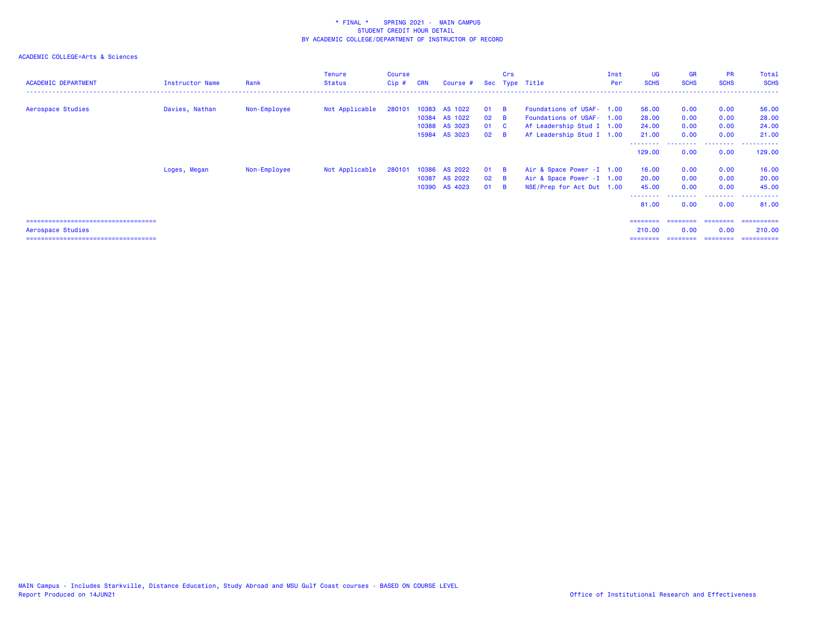| <b>ACADEMIC DEPARTMENT</b>             | <b>Instructor Name</b> | Rank         | Tenure<br><b>Status</b> | Course<br>$Cip$ # | <b>CRN</b> | Course #      |              | Crs      | Sec Type Title             | Inst<br>Per | <b>UG</b><br><b>SCHS</b> | <b>GR</b><br><b>SCHS</b> | <b>PR</b><br><b>SCHS</b> | Total<br><b>SCHS</b> |
|----------------------------------------|------------------------|--------------|-------------------------|-------------------|------------|---------------|--------------|----------|----------------------------|-------------|--------------------------|--------------------------|--------------------------|----------------------|
| Aerospace Studies                      | Davies, Nathan         | Non-Employee | Not Applicable          | 280101            | 10383      | AS 1022       | 01           | - B      | Foundations of USAF- 1.00  |             | 56.00                    | 0.00                     | 0.00                     | 56.00                |
|                                        |                        |              |                         |                   | 10384      | AS 1022       | $02 \quad B$ |          | Foundations of USAF- 1.00  |             | 28.00                    | 0.00                     | 0.00                     | 28.00                |
|                                        |                        |              |                         |                   | 10388      | AS 3023       | 01 C         |          | Af Leadership Stud I 1.00  |             | 24.00                    | 0.00                     | 0.00                     | 24.00                |
|                                        |                        |              |                         |                   |            | 15984 AS 3023 | $02 \quad B$ |          | Af Leadership Stud I 1.00  |             | 21.00                    | 0.00                     | 0.00                     | 21.00                |
|                                        |                        |              |                         |                   |            |               |              |          |                            |             | .<br>129.00              | 0.00                     | .<br>0.00                | ----------<br>129.00 |
|                                        | Loges, Megan           | Non-Employee | Not Applicable          | 280101            | 10386      | AS 2022       | 01 B         |          | Air & Space Power - I 1.00 |             | 16.00                    | 0.00                     | 0.00                     | 16.00                |
|                                        |                        |              |                         |                   | 10387      | AS 2022       | $02 \quad B$ |          | Air & Space Power - I 1.00 |             | 20.00                    | 0.00                     | 0.00                     | 20.00                |
|                                        |                        |              |                         |                   |            | 10390 AS 4023 | 01           | <b>B</b> | NSE/Prep for Act Dut 1.00  |             | 45.00                    | 0.00                     | 0.00                     | 45.00                |
|                                        |                        |              |                         |                   |            |               |              |          |                            |             | --------<br>81.00        | 0.00                     | .<br>0.00                | .<br>81.00           |
| =====================================  |                        |              |                         |                   |            |               |              |          |                            |             |                          | ========= ========       | ========                 | ==========           |
| Aerospace Studies                      |                        |              |                         |                   |            |               |              |          |                            |             | 210.00                   | 0.00                     | 0.00                     | 210.00               |
| ====================================== |                        |              |                         |                   |            |               |              |          |                            |             |                          | =================        | ========                 | ==========           |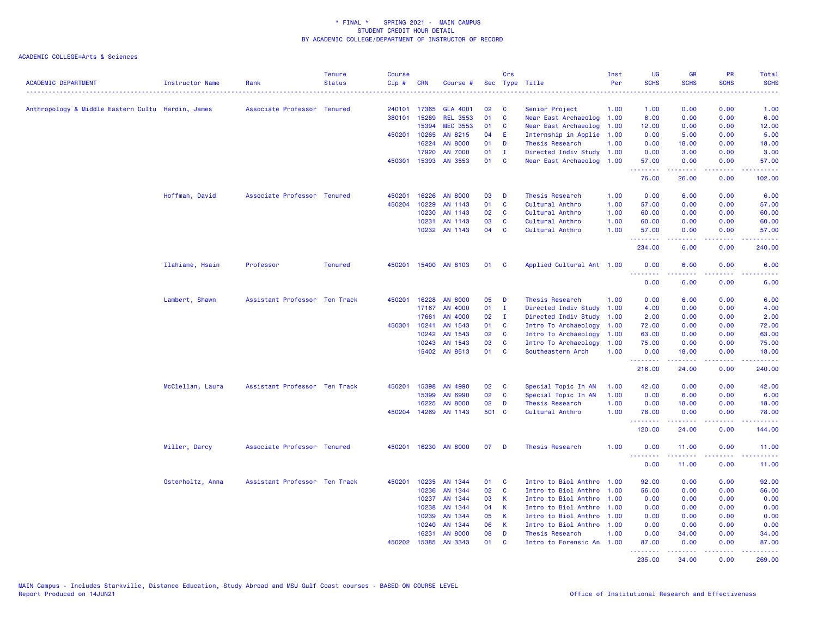| <b>ACADEMIC DEPARTMENT</b>                        | Instructor Name  | Rank                          | <b>Tenure</b><br><b>Status</b> | <b>Course</b><br>$Cip \#$ | <b>CRN</b> | Course #        |       | Crs          | Sec Type Title            | Inst<br>Per | <b>UG</b><br><b>SCHS</b>        | <b>GR</b><br><b>SCHS</b> | <b>PR</b><br><b>SCHS</b> | Total<br><b>SCHS</b> |
|---------------------------------------------------|------------------|-------------------------------|--------------------------------|---------------------------|------------|-----------------|-------|--------------|---------------------------|-------------|---------------------------------|--------------------------|--------------------------|----------------------|
| Anthropology & Middle Eastern Cultu Hardin, James |                  | Associate Professor Tenured   |                                | 240101                    | 17365      | <b>GLA 4001</b> | 02    | - C          | Senior Project            | 1.00        | 1.00                            | 0.00                     | 0.00                     | 1.00                 |
|                                                   |                  |                               |                                | 380101                    | 15289      | <b>REL 3553</b> | 01    | $\mathbf{C}$ | Near East Archaeolog 1.00 |             | 6.00                            | 0.00                     | 0.00                     | 6.00                 |
|                                                   |                  |                               |                                |                           | 15394      | <b>MEC 3553</b> | 01    | <b>C</b>     | Near East Archaeolog      | 1.00        | 12.00                           | 0.00                     | 0.00                     | 12.00                |
|                                                   |                  |                               |                                | 450201                    | 10265      | AN 8215         | 04    | -E           | Internship in Applie 1.00 |             | 0.00                            | 5.00                     | 0.00                     | 5.00                 |
|                                                   |                  |                               |                                |                           | 16224      | <b>AN 8000</b>  | 01    | D            | Thesis Research           | 1.00        | 0.00                            | 18.00                    | 0.00                     | 18.00                |
|                                                   |                  |                               |                                |                           | 17920      | <b>AN 7000</b>  | 01    | $\mathbf{I}$ | Directed Indiv Study 1.00 |             | 0.00                            | 3.00                     | 0.00                     | 3.00                 |
|                                                   |                  |                               |                                | 450301                    | 15393      | AN 3553         | 01    | <b>C</b>     | Near East Archaeolog      | 1.00        | 57.00<br>.                      | 0.00                     | 0.00<br>.                | 57.00<br>------      |
|                                                   |                  |                               |                                |                           |            |                 |       |              |                           |             | 76.00                           | 26.00                    | 0.00                     | 102.00               |
|                                                   | Hoffman, David   | Associate Professor Tenured   |                                | 450201                    | 16226      | <b>AN 8000</b>  | 03    | D            | Thesis Research           | 1.00        | 0.00                            | 6.00                     | 0.00                     | 6.00                 |
|                                                   |                  |                               |                                | 450204                    | 10229      | AN 1143         | 01    | <b>C</b>     | Cultural Anthro           | 1.00        | 57.00                           | 0.00                     | 0.00                     | 57.00                |
|                                                   |                  |                               |                                |                           | 10230      | AN 1143         | 02    | <b>C</b>     | Cultural Anthro           | 1.00        | 60.00                           | 0.00                     | 0.00                     | 60.00                |
|                                                   |                  |                               |                                |                           | 10231      | AN 1143         | 03    | <b>C</b>     | Cultural Anthro           | 1.00        | 60.00                           | 0.00                     | 0.00                     | 60.00                |
|                                                   |                  |                               |                                |                           |            | 10232 AN 1143   | 04    | $\mathbf{C}$ | Cultural Anthro           | 1.00        | 57.00<br>.                      | 0.00<br>.                | 0.00<br>.                | 57.00<br>.           |
|                                                   |                  |                               |                                |                           |            |                 |       |              |                           |             | 234.00                          | 6.00                     | 0.00                     | 240.00               |
|                                                   | Ilahiane, Hsain  | Professor                     | <b>Tenured</b>                 | 450201                    |            | 15400 AN 8103   | 01    | $\mathbf{C}$ | Applied Cultural Ant 1.00 |             | 0.00<br>.                       | 6.00                     | 0.00                     | 6.00<br>2222.        |
|                                                   |                  |                               |                                |                           |            |                 |       |              |                           |             | 0.00                            | 6.00                     | 0.00                     | 6.00                 |
|                                                   | Lambert, Shawn   | Assistant Professor Ten Track |                                | 450201                    | 16228      | <b>AN 8000</b>  | 05    | D            | <b>Thesis Research</b>    | 1.00        | 0.00                            | 6.00                     | 0.00                     | 6.00                 |
|                                                   |                  |                               |                                |                           | 17167      | AN 4000         | 01    | - I          | Directed Indiv Study      | 1.00        | 4.00                            | 0.00                     | 0.00                     | 4.00                 |
|                                                   |                  |                               |                                |                           | 17661      | AN 4000         | 02    | $\mathbf{I}$ | Directed Indiv Study      | 1.00        | 2.00                            | 0.00                     | 0.00                     | 2.00                 |
|                                                   |                  |                               |                                | 450301                    | 10241      | AN 1543         | 01    | <b>C</b>     | Intro To Archaeology      | 1.00        | 72.00                           | 0.00                     | 0.00                     | 72.00                |
|                                                   |                  |                               |                                |                           | 10242      | AN 1543         | 02    | <b>C</b>     | Intro To Archaeology      | 1.00        | 63,00                           | 0.00                     | 0.00                     | 63.00                |
|                                                   |                  |                               |                                |                           | 10243      | AN 1543         | 03    | $\mathbf{C}$ | Intro To Archaeology      | 1.00        | 75.00                           | 0.00                     | 0.00                     | 75.00                |
|                                                   |                  |                               |                                |                           |            | 15402 AN 8513   | 01    | $\mathbf{C}$ | Southeastern Arch         | 1.00        | 0.00<br>.                       | 18.00<br>.               | 0.00<br>.                | 18.00<br>.           |
|                                                   |                  |                               |                                |                           |            |                 |       |              |                           |             | 216.00                          | 24.00                    | 0.00                     | 240.00               |
|                                                   | McClellan, Laura | Assistant Professor Ten Track |                                | 450201                    | 15398      | AN 4990         | 02    | <b>C</b>     | Special Topic In AN       | 1.00        | 42.00                           | 0.00                     | 0.00                     | 42.00                |
|                                                   |                  |                               |                                |                           | 15399      | AN 6990         | 02    | $\mathbf{C}$ | Special Topic In AN       | 1.00        | 0.00                            | 6.00                     | 0.00                     | 6.00                 |
|                                                   |                  |                               |                                |                           | 16225      | <b>AN 8000</b>  | 02    | D            | Thesis Research           | 1.00        | 0.00                            | 18.00                    | 0.00                     | 18.00                |
|                                                   |                  |                               |                                | 450204                    | 14269      | AN 1143         | 501 C |              | Cultural Anthro           | 1.00        | 78.00<br><u>.</u>               | 0.00<br><u>.</u>         | 0.00<br>.                | 78.00<br>.           |
|                                                   |                  |                               |                                |                           |            |                 |       |              |                           |             | 120.00                          | 24.00                    | 0.00                     | 144.00               |
|                                                   | Miller, Darcy    | Associate Professor Tenured   |                                | 450201                    |            | 16230 AN 8000   | 07    | D            | <b>Thesis Research</b>    | 1.00        | 0.00<br><u> - - - - - - - -</u> | 11.00<br>.               | 0.00<br>.                | 11.00<br><u>.</u>    |
|                                                   |                  |                               |                                |                           |            |                 |       |              |                           |             | 0.00                            | 11.00                    | 0.00                     | 11.00                |
|                                                   | Osterholtz, Anna | Assistant Professor Ten Track |                                | 450201                    | 10235      | AN 1344         | 01    | <b>C</b>     | Intro to Biol Anthro 1.00 |             | 92.00                           | 0.00                     | 0.00                     | 92.00                |
|                                                   |                  |                               |                                |                           | 10236      | AN 1344         | 02    | <b>C</b>     | Intro to Biol Anthro      | 1.00        | 56.00                           | 0.00                     | 0.00                     | 56.00                |
|                                                   |                  |                               |                                |                           | 10237      | AN 1344         | 03    | $\mathbf{K}$ | Intro to Biol Anthro 1.00 |             | 0.00                            | 0.00                     | 0.00                     | 0.00                 |
|                                                   |                  |                               |                                |                           | 10238      | AN 1344         | 04    | <b>K</b>     | Intro to Biol Anthro 1.00 |             | 0.00                            | 0.00                     | 0.00                     | 0.00                 |
|                                                   |                  |                               |                                |                           | 10239      | AN 1344         | 05    | $\mathsf{K}$ | Intro to Biol Anthro 1.00 |             | 0.00                            | 0.00                     | 0.00                     | 0.00                 |
|                                                   |                  |                               |                                |                           | 10240      | AN 1344         | 06    | $\mathbf{K}$ | Intro to Biol Anthro 1.00 |             | 0.00                            | 0.00                     | 0.00                     | 0.00                 |
|                                                   |                  |                               |                                |                           | 16231      | <b>AN 8000</b>  | 08    | D            | Thesis Research           | 1.00        | 0.00                            | 34.00                    | 0.00                     | 34.00                |
|                                                   |                  |                               |                                | 450202                    | 15385      | AN 3343         | 01    | <b>C</b>     | Intro to Forensic An 1.00 |             | 87.00<br><u>.</u> .             | 0.00<br><u>.</u>         | 0.00<br>.                | 87.00<br><u>.</u>    |
|                                                   |                  |                               |                                |                           |            |                 |       |              |                           |             | 235.00                          | 34.00                    | 0.00                     | 269.00               |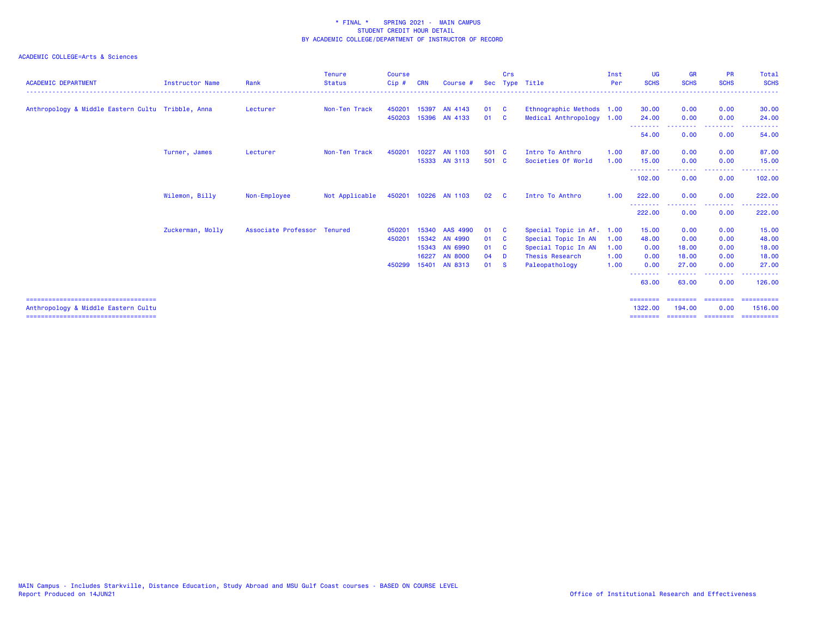| <b>ACADEMIC DEPARTMENT</b>                        | <b>Instructor Name</b> | Rank                        | <b>Tenure</b><br><b>Status</b> | <b>Course</b><br>Cip# | <b>CRN</b> | Course #             | <b>Sec</b> | Crs      | Type Title                | Inst<br>Per | <b>UG</b><br><b>SCHS</b>   | <b>GR</b><br><b>SCHS</b> | <b>PR</b><br><b>SCHS</b>                                                                                                                                                                                                                                                                                                                                                                                                                                                               | Total<br><b>SCHS</b> |
|---------------------------------------------------|------------------------|-----------------------------|--------------------------------|-----------------------|------------|----------------------|------------|----------|---------------------------|-------------|----------------------------|--------------------------|----------------------------------------------------------------------------------------------------------------------------------------------------------------------------------------------------------------------------------------------------------------------------------------------------------------------------------------------------------------------------------------------------------------------------------------------------------------------------------------|----------------------|
| Anthropology & Middle Eastern Cultu Tribble, Anna |                        | Lecturer                    | Non-Ten Track                  | 450201                | 15397      | AN 4143              | 01         | - C      | Ethnographic Methods 1.00 |             | 30.00                      | 0.00                     | 0.00                                                                                                                                                                                                                                                                                                                                                                                                                                                                                   | 30.00                |
|                                                   |                        |                             |                                | 450203                |            | 15396 AN 4133        | 01         | <b>C</b> | Medical Anthropology 1.00 |             | 24.00                      | 0.00                     | 0.00                                                                                                                                                                                                                                                                                                                                                                                                                                                                                   | 24.00                |
|                                                   |                        |                             |                                |                       |            |                      |            |          |                           |             | - - - - - - - - -<br>54.00 | - - - - - - - -<br>0.00  | .<br>0.00                                                                                                                                                                                                                                                                                                                                                                                                                                                                              | 54.00                |
|                                                   | Turner, James          | Lecturer                    | Non-Ten Track                  | 450201                | 10227      | AN 1103              | 501 C      |          | Intro To Anthro           | 1.00        | 87.00                      | 0.00                     | 0.00                                                                                                                                                                                                                                                                                                                                                                                                                                                                                   | 87.00                |
|                                                   |                        |                             |                                |                       |            | 15333 AN 3113        | 501 C      |          | Societies Of World        | 1.00        | 15.00                      | 0.00                     | 0.00                                                                                                                                                                                                                                                                                                                                                                                                                                                                                   | 15.00                |
|                                                   |                        |                             |                                |                       |            |                      |            |          |                           |             | --------<br>102.00         | 0.00                     | $\frac{1}{2} \left( \frac{1}{2} \right) \left( \frac{1}{2} \right) \left( \frac{1}{2} \right)$<br>0.00                                                                                                                                                                                                                                                                                                                                                                                 | 102.00               |
|                                                   | Wilemon, Billy         | Non-Employee                | Not Applicable                 |                       |            | 450201 10226 AN 1103 | 02         | <b>C</b> | Intro To Anthro           | 1.00        | 222,00                     | 0.00                     | 0.00                                                                                                                                                                                                                                                                                                                                                                                                                                                                                   | 222.00               |
|                                                   |                        |                             |                                |                       |            |                      |            |          |                           |             | .<br>222.00                | 0.00                     | المتعاطين<br>0.00                                                                                                                                                                                                                                                                                                                                                                                                                                                                      | 222.00               |
|                                                   | Zuckerman, Molly       | Associate Professor Tenured |                                | 050201                |            | 15340 AAS 4990       | 01         | <b>C</b> | Special Topic in Af.      | 1.00        | 15.00                      | 0.00                     | 0.00                                                                                                                                                                                                                                                                                                                                                                                                                                                                                   | 15.00                |
|                                                   |                        |                             |                                | 450201                | 15342      | AN 4990              | 01         | <b>C</b> | Special Topic In AN       | 1.00        | 48.00                      | 0.00                     | 0.00                                                                                                                                                                                                                                                                                                                                                                                                                                                                                   | 48.00                |
|                                                   |                        |                             |                                |                       |            | 15343 AN 6990        | 01         | <b>C</b> | Special Topic In AN       | 1.00        | 0.00                       | 18.00                    | 0.00                                                                                                                                                                                                                                                                                                                                                                                                                                                                                   | 18.00                |
|                                                   |                        |                             |                                |                       | 16227      | <b>AN 8000</b>       | 04         | <b>D</b> | Thesis Research           | 1.00        | 0.00                       | 18.00                    | 0.00                                                                                                                                                                                                                                                                                                                                                                                                                                                                                   | 18.00                |
|                                                   |                        |                             |                                | 450299                | 15401      | AN 8313              | 01         | - S      | Paleopathology            | 1.00        | 0.00                       | 27,00                    | 0.00                                                                                                                                                                                                                                                                                                                                                                                                                                                                                   | 27.00                |
|                                                   |                        |                             |                                |                       |            |                      |            |          |                           |             | --------<br>63.00          | . <u>.</u><br>63.00      | .<br>0.00                                                                                                                                                                                                                                                                                                                                                                                                                                                                              | .<br>126,00          |
| =====================================             |                        |                             |                                |                       |            |                      |            |          |                           |             | $=$ = = = = = = =          | ========                 | $\begin{array}{cccccccccc} \multicolumn{2}{c}{} & \multicolumn{2}{c}{} & \multicolumn{2}{c}{} & \multicolumn{2}{c}{} & \multicolumn{2}{c}{} & \multicolumn{2}{c}{} & \multicolumn{2}{c}{} & \multicolumn{2}{c}{} & \multicolumn{2}{c}{} & \multicolumn{2}{c}{} & \multicolumn{2}{c}{} & \multicolumn{2}{c}{} & \multicolumn{2}{c}{} & \multicolumn{2}{c}{} & \multicolumn{2}{c}{} & \multicolumn{2}{c}{} & \multicolumn{2}{c}{} & \multicolumn{2}{c}{} & \multicolumn{2}{c}{} & \mult$ | ==========           |
| Anthropology & Middle Eastern Cultu               |                        |                             |                                |                       |            |                      |            |          |                           |             | 1322.00                    | 194,00                   | 0.00                                                                                                                                                                                                                                                                                                                                                                                                                                                                                   | 1516.00              |
| =====================================             |                        |                             |                                |                       |            |                      |            |          |                           |             | ========                   | --------                 | ========                                                                                                                                                                                                                                                                                                                                                                                                                                                                               | ==========           |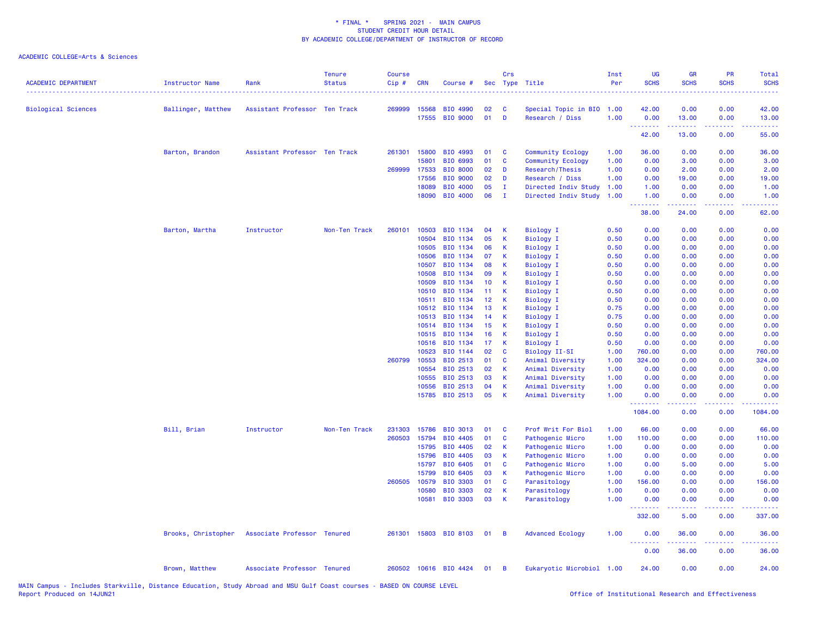### ACADEMIC COLLEGE=Arts & Sciences

| <b>ACADEMIC DEPARTMENT</b> | <b>Instructor Name</b> | Rank                          | <b>Tenure</b><br><b>Status</b> | <b>Course</b><br>Cip# | <b>CRN</b>     | Course #              |          | Crs          | Sec Type Title                       | Inst<br>Per  | UG<br><b>SCHS</b> | <b>GR</b><br><b>SCHS</b> | PR<br><b>SCHS</b> | <b>Total</b><br><b>SCHS</b>                                                                                                       |
|----------------------------|------------------------|-------------------------------|--------------------------------|-----------------------|----------------|-----------------------|----------|--------------|--------------------------------------|--------------|-------------------|--------------------------|-------------------|-----------------------------------------------------------------------------------------------------------------------------------|
| <b>Biological Sciences</b> | Ballinger, Matthew     | Assistant Professor Ten Track |                                |                       | 269999 15568   | BIO 4990              | 02       | C            | Special Topic in BIO                 | 1.00         | 42.00             | 0.00                     | 0.00              | 42.00                                                                                                                             |
|                            |                        |                               |                                |                       | 17555          | <b>BIO 9000</b>       | 01       | D            | Research / Diss                      | 1.00         | 0.00<br>.         | 13.00<br>.               | 0.00<br>.         | 13.00<br>.                                                                                                                        |
|                            |                        |                               |                                |                       |                |                       |          |              |                                      |              | 42.00             | 13.00                    | 0.00              | 55.00                                                                                                                             |
|                            | Barton, Brandon        | Assistant Professor Ten Track |                                | 261301                | 15800          | BIO 4993              | 01       | C            | Community Ecology                    | 1.00         | 36.00             | 0.00                     | 0.00              | 36.00                                                                                                                             |
|                            |                        |                               |                                |                       | 15801          | BIO 6993              | 01       | $\mathbf{C}$ | Community Ecology                    | 1.00         | 0.00              | 3.00                     | 0.00              | 3.00                                                                                                                              |
|                            |                        |                               |                                | 269999                | 17533          | <b>BIO 8000</b>       | 02       | D            | Research/Thesis                      | 1.00         | 0.00              | 2.00                     | 0.00              | 2.00                                                                                                                              |
|                            |                        |                               |                                |                       | 17556          | <b>BIO 9000</b>       | 02       | D            | Research / Diss                      | 1.00         | 0.00              | 19.00                    | 0.00              | 19.00                                                                                                                             |
|                            |                        |                               |                                |                       | 18089          | BIO 4000              | 05       | $\mathbf I$  | Directed Indiv Study                 | 1.00         | 1.00              | 0.00                     | 0.00              | 1.00                                                                                                                              |
|                            |                        |                               |                                |                       | 18090          | <b>BIO 4000</b>       | 06       | $\mathbf I$  | Directed Indiv Study                 | 1.00         | 1.00<br>.         | 0.00<br>22222            | 0.00<br>بالمحام   | 1.00<br>$\frac{1}{2} \left( \frac{1}{2} \right) \left( \frac{1}{2} \right) \left( \frac{1}{2} \right) \left( \frac{1}{2} \right)$ |
|                            |                        |                               |                                |                       |                |                       |          |              |                                      |              | 38.00             | 24.00                    | 0.00              | 62.00                                                                                                                             |
|                            | Barton, Martha         | Instructor                    | Non-Ten Track                  | 260101                | 10503          | BIO 1134              | 04       | к            | Biology I                            | 0.50         | 0.00              | 0.00                     | 0.00              | 0.00                                                                                                                              |
|                            |                        |                               |                                |                       | 10504          | BIO 1134              | 05       | К            | Biology I                            | 0.50         | 0.00              | 0.00                     | 0.00              | 0.00                                                                                                                              |
|                            |                        |                               |                                |                       | 10505          | BIO 1134              | 06       | К            | <b>Biology I</b>                     | 0.50         | 0.00              | 0.00                     | 0.00              | 0.00                                                                                                                              |
|                            |                        |                               |                                |                       | 10506          | BIO 1134              | 07       | К            | Biology I                            | 0.50         | 0.00              | 0.00                     | 0.00              | 0.00                                                                                                                              |
|                            |                        |                               |                                |                       | 10507          | BIO 1134              | 08       | К            | <b>Biology I</b>                     | 0.50         | 0.00              | 0.00                     | 0.00              | 0.00                                                                                                                              |
|                            |                        |                               |                                |                       | 10508          | BIO 1134              | 09       | К            | Biology I                            | 0.50         | 0.00              | 0.00                     | 0.00              | 0.00                                                                                                                              |
|                            |                        |                               |                                |                       | 10509          | BIO 1134              | 10       | K            | <b>Biology I</b>                     | 0.50         | 0.00              | 0.00                     | 0.00              | 0.00                                                                                                                              |
|                            |                        |                               |                                |                       | 10510          | BIO 1134              | 11       | к            | <b>Biology I</b>                     | 0.50         | 0.00              | 0.00                     | 0.00              | 0.00                                                                                                                              |
|                            |                        |                               |                                |                       | 10511          | BIO 1134              | 12       | К            | <b>Biology I</b>                     | 0.50         | 0.00              | 0.00                     | 0.00              | 0.00                                                                                                                              |
|                            |                        |                               |                                |                       | 10512<br>10513 | BIO 1134              | 13<br>14 | К            | <b>Biology I</b>                     | 0.75         | 0.00              | 0.00<br>0.00             | 0.00<br>0.00      | 0.00                                                                                                                              |
|                            |                        |                               |                                |                       | 10514          | BIO 1134<br>BIO 1134  | 15       | K<br>К       | <b>Biology I</b><br><b>Biology I</b> | 0.75<br>0.50 | 0.00<br>0.00      | 0.00                     | 0.00              | 0.00<br>0.00                                                                                                                      |
|                            |                        |                               |                                |                       | 10515          | BIO 1134              | 16       | К            | <b>Biology I</b>                     | 0.50         | 0.00              | 0.00                     | 0.00              | 0.00                                                                                                                              |
|                            |                        |                               |                                |                       | 10516          | BIO 1134              | 17       | К            | <b>Biology I</b>                     | 0.50         | 0.00              | 0.00                     | 0.00              | 0.00                                                                                                                              |
|                            |                        |                               |                                |                       | 10523          | BIO 1144              | 02       | C            | Biology II-SI                        | 1.00         | 760.00            | 0.00                     | 0.00              | 760.00                                                                                                                            |
|                            |                        |                               |                                | 260799                | 10553          | BIO 2513              | 01       | C            | Animal Diversity                     | 1.00         | 324.00            | 0.00                     | 0.00              | 324.00                                                                                                                            |
|                            |                        |                               |                                |                       | 10554          | BIO 2513              | 02       | К            | Animal Diversity                     | 1.00         | 0.00              | 0.00                     | 0.00              | 0.00                                                                                                                              |
|                            |                        |                               |                                |                       | 10555          | BIO 2513              | 03       | К            | Animal Diversity                     | 1.00         | 0.00              | 0.00                     | 0.00              | 0.00                                                                                                                              |
|                            |                        |                               |                                |                       | 10556          | BIO 2513              | 04       | К            | Animal Diversity                     | 1.00         | 0.00              | 0.00                     | 0.00              | 0.00                                                                                                                              |
|                            |                        |                               |                                |                       |                | 15785 BIO 2513        | 05       | K            | Animal Diversity                     | 1.00         | 0.00              | 0.00                     | 0.00              | 0.00                                                                                                                              |
|                            |                        |                               |                                |                       |                |                       |          |              |                                      |              | .<br>1084.00      | د د د د<br>0.00          | 0.00              | 1084.00                                                                                                                           |
|                            | Bill, Brian            | Instructor                    | Non-Ten Track                  | 231303                | 15786          | <b>BIO 3013</b>       | 01       | C            | Prof Writ For Biol                   | 1.00         | 66.00             | 0.00                     | 0.00              | 66.00                                                                                                                             |
|                            |                        |                               |                                | 260503                | 15794          | BIO 4405              | 01       | C            | Pathogenic Micro                     | 1.00         | 110.00            | 0.00                     | 0.00              | 110.00                                                                                                                            |
|                            |                        |                               |                                |                       | 15795          | BIO 4405              | 02       | К            | Pathogenic Micro                     | 1.00         | 0.00              | 0.00                     | 0.00              | 0.00                                                                                                                              |
|                            |                        |                               |                                |                       | 15796          | BIO 4405              | 03       | К            | Pathogenic Micro                     | 1.00         | 0.00              | 0.00                     | 0.00              | 0.00                                                                                                                              |
|                            |                        |                               |                                |                       | 15797          | BIO 6405              | 01       | C            | Pathogenic Micro                     | 1.00         | 0.00              | 5.00                     | 0.00              | 5.00                                                                                                                              |
|                            |                        |                               |                                |                       | 15799          | <b>BIO 6405</b>       | 03       | К            | Pathogenic Micro                     | 1.00         | 0.00              | 0.00                     | 0.00              | 0.00                                                                                                                              |
|                            |                        |                               |                                | 260505                | 10579          | <b>BIO 3303</b>       | 01       | C            | Parasitology                         | 1.00         | 156.00            | 0.00                     | 0.00              | 156.00                                                                                                                            |
|                            |                        |                               |                                |                       | 10580          | <b>BIO 3303</b>       | 02       | $\mathsf{K}$ | Parasitology                         | 1.00         | 0.00              | 0.00                     | 0.00              | 0.00                                                                                                                              |
|                            |                        |                               |                                |                       | 10581          | BIO 3303              | 03       | К            | Parasitology                         | 1.00         | 0.00<br>.         | 0.00<br>.                | 0.00<br>.         | 0.00<br>.                                                                                                                         |
|                            |                        |                               |                                |                       |                |                       |          |              |                                      |              | 332.00            | 5.00                     | 0.00              | 337.00                                                                                                                            |
|                            | Brooks, Christopher    | Associate Professor Tenured   |                                | 261301                |                | 15803 BIO 8103        | 01       | B            | <b>Advanced Ecology</b>              | 1.00         | 0.00<br><u>.</u>  | 36.00<br>د د د د د       | 0.00<br>.         | 36.00<br>المتمامين                                                                                                                |
|                            |                        |                               |                                |                       |                |                       |          |              |                                      |              | 0.00              | 36.00                    | 0.00              | 36.00                                                                                                                             |
|                            | Brown, Matthew         | Associate Professor Tenured   |                                |                       |                | 260502 10616 BIO 4424 | 01       | B            | Eukaryotic Microbiol 1.00            |              | 24.00             | 0.00                     | 0.00              | 24.00                                                                                                                             |

MAIN Campus - Includes Starkville, Distance Education, Study Abroad and MSU Gulf Coast courses - BASED ON COURSE LEVEL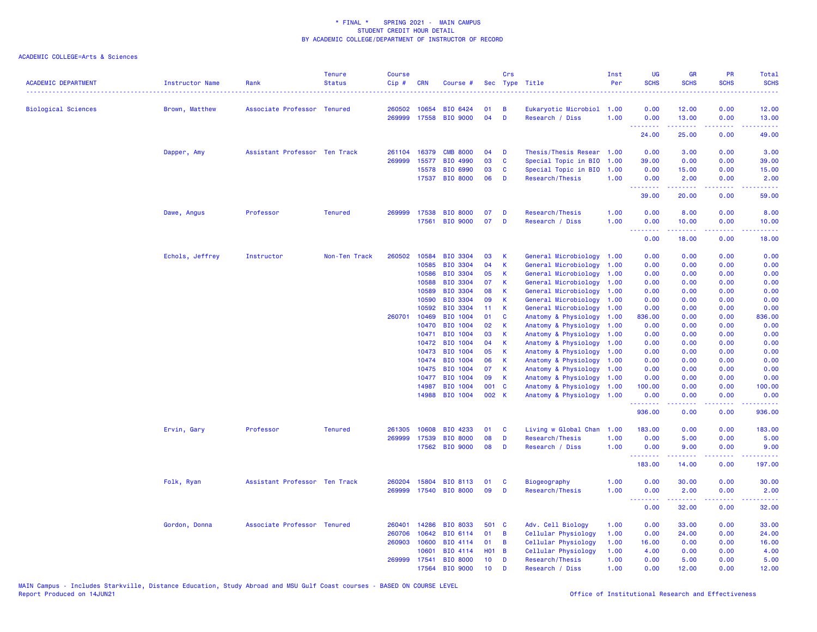| <b>ACADEMIC DEPARTMENT</b> | Instructor Name | Rank                          | <b>Tenure</b><br><b>Status</b> | Course<br>Cip# | <b>CRN</b>   | Course #                          |                 | Crs      | Sec Type Title                               | Inst<br>Per  | UG<br><b>SCHS</b> | <b>GR</b><br><b>SCHS</b> | PR<br><b>SCHS</b> | Total<br><b>SCHS</b><br>$\omega$ is $\omega$ in .                                                                                                              |
|----------------------------|-----------------|-------------------------------|--------------------------------|----------------|--------------|-----------------------------------|-----------------|----------|----------------------------------------------|--------------|-------------------|--------------------------|-------------------|----------------------------------------------------------------------------------------------------------------------------------------------------------------|
| <b>Biological Sciences</b> | Brown, Matthew  | Associate Professor Tenured   |                                |                | 260502 10654 | BIO 6424                          | 01              | <b>B</b> | Eukaryotic Microbiol 1.00                    |              | 0.00              | 12.00                    | 0.00              | 12.00                                                                                                                                                          |
|                            |                 |                               |                                |                |              | 269999 17558 BIO 9000             | 04              | D        | Research / Diss                              | 1.00         | 0.00<br><u>.</u>  | 13.00<br>المستمالات      | 0.00<br>.         | 13.00<br>.                                                                                                                                                     |
|                            |                 |                               |                                |                |              |                                   |                 |          |                                              |              | 24.00             | 25.00                    | 0.00              | 49.00                                                                                                                                                          |
|                            | Dapper, Amy     | Assistant Professor Ten Track |                                | 261104         | 16379        | <b>CMB 8000</b>                   | 04              | D        | Thesis/Thesis Resear 1.00                    |              | 0.00              | 3.00                     | 0.00              | 3.00                                                                                                                                                           |
|                            |                 |                               |                                | 269999         | 15577        | BIO 4990                          | 03              | C        | Special Topic in BIO                         | 1.00         | 39.00             | 0.00                     | 0.00              | 39.00                                                                                                                                                          |
|                            |                 |                               |                                |                | 15578        | BIO 6990                          | 03              | C        | Special Topic in BIO                         | 1.00         | 0.00              | 15.00                    | 0.00              | 15.00                                                                                                                                                          |
|                            |                 |                               |                                |                |              | 17537 BIO 8000                    | 06              | D        | Research/Thesis                              | 1.00         | 0.00<br><b></b>   | 2.00                     | 0.00<br>2222      | 2.00                                                                                                                                                           |
|                            |                 |                               |                                |                |              |                                   |                 |          |                                              |              | 39.00             | 20.00                    | 0.00              | 59.00                                                                                                                                                          |
|                            | Dawe, Angus     | Professor                     | <b>Tenured</b>                 |                | 269999 17538 | <b>BIO 8000</b>                   | 07              | D        | Research/Thesis                              | 1.00         | 0.00              | 8.00                     | 0.00              | 8.00                                                                                                                                                           |
|                            |                 |                               |                                |                | 17561        | <b>BIO 9000</b>                   | 07              | D        | Research / Diss                              | 1.00         | 0.00<br>.         | 10.00<br>2.2.2.2.2       | 0.00<br>.         | 10.00<br>.                                                                                                                                                     |
|                            |                 |                               |                                |                |              |                                   |                 |          |                                              |              | 0.00              | 18.00                    | 0.00              | 18.00                                                                                                                                                          |
|                            | Echols, Jeffrey | Instructor                    | Non-Ten Track                  | 260502         | 10584        | BIO 3304                          | 03              | К        | General Microbiology                         | 1.00         | 0.00              | 0.00                     | 0.00              | 0.00                                                                                                                                                           |
|                            |                 |                               |                                |                | 10585        | <b>BIO 3304</b>                   | 04              | K        | General Microbiology                         | 1.00         | 0.00              | 0.00                     | 0.00              | 0.00                                                                                                                                                           |
|                            |                 |                               |                                |                | 10586        | <b>BIO 3304</b>                   | 05              | K        | General Microbiology                         | 1.00         | 0.00              | 0.00                     | 0.00              | 0.00                                                                                                                                                           |
|                            |                 |                               |                                |                | 10588        | <b>BIO 3304</b>                   | 07              | К        | General Microbiology                         | 1.00         | 0.00              | 0.00                     | 0.00              | 0.00                                                                                                                                                           |
|                            |                 |                               |                                |                | 10589        | <b>BIO 3304</b>                   | 08              | К        | General Microbiology                         | 1.00         | 0.00              | 0.00                     | 0.00              | 0.00                                                                                                                                                           |
|                            |                 |                               |                                |                | 10590        | BIO 3304                          | 09              | К        | General Microbiology                         | 1.00         | 0.00              | 0.00                     | 0.00              | 0.00                                                                                                                                                           |
|                            |                 |                               |                                |                | 10592        | <b>BIO 3304</b>                   | 11              | K        | General Microbiology                         | 1.00         | 0.00              | 0.00                     | 0.00              | 0.00                                                                                                                                                           |
|                            |                 |                               |                                | 260701         | 10469        | BIO 1004                          | 01              | C        | Anatomy & Physiology                         | 1.00         | 836.00            | 0.00                     | 0.00              | 836.00                                                                                                                                                         |
|                            |                 |                               |                                |                | 10470        | BIO 1004                          | 02              | K        | Anatomy & Physiology                         | 1.00         | 0.00              | 0.00                     | 0.00              | 0.00                                                                                                                                                           |
|                            |                 |                               |                                |                | 10471        | BIO 1004                          | 03              | К        | Anatomy & Physiology                         | 1.00         | 0.00              | 0.00                     | 0.00              | 0.00                                                                                                                                                           |
|                            |                 |                               |                                |                | 10472        | BIO 1004                          | 04              | К<br>К   | Anatomy & Physiology                         | 1.00         | 0.00              | 0.00                     | 0.00              | 0.00                                                                                                                                                           |
|                            |                 |                               |                                |                | 10473        | <b>BIO 1004</b><br>10474 BIO 1004 | 05<br>06        | К        | Anatomy & Physiology                         | 1.00         | 0.00<br>0.00      | 0.00                     | 0.00              | 0.00                                                                                                                                                           |
|                            |                 |                               |                                |                | 10475        | <b>BIO 1004</b>                   | 07              | K        | Anatomy & Physiology<br>Anatomy & Physiology | 1.00<br>1.00 | 0.00              | 0.00<br>0.00             | 0.00<br>0.00      | 0.00<br>0.00                                                                                                                                                   |
|                            |                 |                               |                                |                | 10477        | <b>BIO 1004</b>                   | 09              | К        | Anatomy & Physiology                         | 1.00         | 0.00              | 0.00                     | 0.00              | 0.00                                                                                                                                                           |
|                            |                 |                               |                                |                | 14987        | BIO 1004                          | 001             | C        | Anatomy & Physiology                         | 1.00         | 100.00            | 0.00                     | 0.00              | 100.00                                                                                                                                                         |
|                            |                 |                               |                                |                | 14988        | <b>BIO 1004</b>                   | 002 K           |          | Anatomy & Physiology 1.00                    |              | 0.00              | 0.00                     | 0.00              | 0.00                                                                                                                                                           |
|                            |                 |                               |                                |                |              |                                   |                 |          |                                              |              | .<br>936.00       | 22222<br>0.00            | د د د د .<br>0.00 | $\frac{1}{2} \left( \frac{1}{2} \right) \left( \frac{1}{2} \right) \left( \frac{1}{2} \right) \left( \frac{1}{2} \right) \left( \frac{1}{2} \right)$<br>936.00 |
|                            | Ervin, Gary     | Professor                     | <b>Tenured</b>                 | 261305         | 10608        | BIO 4233                          | 01              | C        | Living w Global Chan                         | 1.00         | 183.00            | 0.00                     | 0.00              | 183.00                                                                                                                                                         |
|                            |                 |                               |                                | 269999         | 17539        | <b>BIO 8000</b>                   | 08              | D        | Research/Thesis                              | 1.00         | 0.00              | 5.00                     | 0.00              | 5.00                                                                                                                                                           |
|                            |                 |                               |                                |                |              | 17562 BIO 9000                    | 08              | D        | Research / Diss                              | 1.00         | 0.00              | 9.00                     | 0.00              | 9.00                                                                                                                                                           |
|                            |                 |                               |                                |                |              |                                   |                 |          |                                              |              | 183.00            | 14.00                    | 0.00              | 197.00                                                                                                                                                         |
|                            | Folk, Ryan      | Assistant Professor Ten Track |                                | 260204         | 15804        | <b>BIO 8113</b>                   | 01              | C        | <b>Biogeography</b>                          | 1.00         | 0.00              | 30.00                    | 0.00              | 30.00                                                                                                                                                          |
|                            |                 |                               |                                |                |              | 269999 17540 BIO 8000             | 09              | D        | Research/Thesis                              | 1.00         | 0.00              | 2.00                     | 0.00              | 2.00                                                                                                                                                           |
|                            |                 |                               |                                |                |              |                                   |                 |          |                                              |              | .<br>0.00         | .<br>32.00               | .<br>0.00         | .<br>32.00                                                                                                                                                     |
|                            | Gordon, Donna   | Associate Professor Tenured   |                                | 260401         | 14286        | <b>BIO 8033</b>                   | 501 C           |          | Adv. Cell Biology                            | 1.00         | 0.00              | 33.00                    | 0.00              | 33.00                                                                                                                                                          |
|                            |                 |                               |                                | 260706         | 10642        | BIO 6114                          | 01              | B        | Cellular Physiology                          | 1.00         | 0.00              | 24.00                    | 0.00              | 24.00                                                                                                                                                          |
|                            |                 |                               |                                | 260903         | 10600        | BIO 4114                          | 01              | B        | Cellular Physiology                          | 1.00         | 16.00             | 0.00                     | 0.00              | 16.00                                                                                                                                                          |
|                            |                 |                               |                                |                | 10601        | BIO 4114                          | <b>HO1</b>      | B        | Cellular Physiology                          | 1.00         | 4.00              | 0.00                     | 0.00              | 4.00                                                                                                                                                           |
|                            |                 |                               |                                | 269999         | 17541        | <b>BIO 8000</b>                   | 10 <sup>°</sup> | D        | Research/Thesis                              | 1.00         | 0.00              | 5.00                     | 0.00              | 5.00                                                                                                                                                           |
|                            |                 |                               |                                |                | 17564        | <b>BIO 9000</b>                   | 10 <sup>°</sup> | D        | Research / Diss                              | 1.00         | 0.00              | 12.00                    | 0.00              | 12.00                                                                                                                                                          |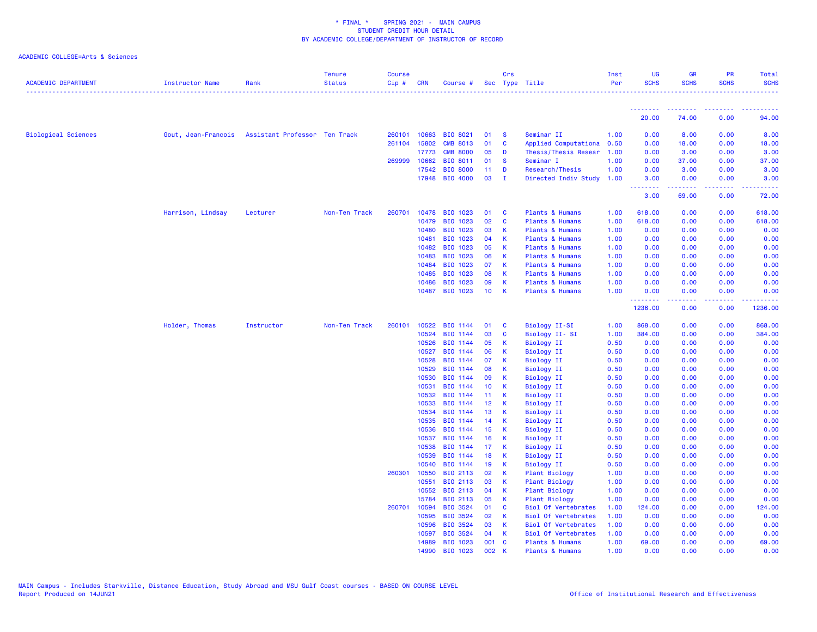| <b>ACADEMIC DEPARTMENT</b> | Instructor Name     | Rank                          | <b>Tenure</b><br><b>Status</b> | <b>Course</b><br>Cip# | CRN            | Course #                    |                 | Crs                  | Sec Type Title                     | Inst<br>Per  | UG<br><b>SCHS</b> | <b>GR</b><br><b>SCHS</b> | PR<br><b>SCHS</b> | <b>Total</b><br><b>SCHS</b><br>. <b>.</b> . |
|----------------------------|---------------------|-------------------------------|--------------------------------|-----------------------|----------------|-----------------------------|-----------------|----------------------|------------------------------------|--------------|-------------------|--------------------------|-------------------|---------------------------------------------|
|                            |                     |                               |                                |                       |                |                             |                 |                      |                                    |              |                   |                          |                   |                                             |
|                            |                     |                               |                                |                       |                |                             |                 |                      |                                    |              | 20.00             | 74.00                    | 0.00              | 94.00                                       |
| <b>Biological Sciences</b> | Gout, Jean-Francois | Assistant Professor Ten Track |                                | 260101                | 10663          | BIO 8021                    | 01              | - S                  | Seminar II                         | 1.00         | 0.00              | 8.00                     | 0.00              | 8.00                                        |
|                            |                     |                               |                                | 261104                | 15802          | <b>CMB 8013</b>             | 01              | $\mathbf{C}$         | Applied Computationa               | 0.50         | 0.00              | 18.00                    | 0.00              | 18.00                                       |
|                            |                     |                               |                                |                       | 17773          | <b>CMB 8000</b>             | 05              | D                    | Thesis/Thesis Resear               | 1.00         | 0.00              | 3.00                     | 0.00              | 3.00                                        |
|                            |                     |                               |                                | 269999                | 10662          | BIO 8011                    | 01              | <b>S</b>             | Seminar I                          | 1.00         | 0.00              | 37.00                    | 0.00              | 37.00                                       |
|                            |                     |                               |                                |                       | 17542          | <b>BIO 8000</b>             | 11<br>03        | $\mathbf D$          | Research/Thesis                    | 1.00         | 0.00              | 3.00                     | 0.00              | 3.00                                        |
|                            |                     |                               |                                |                       | 17948          | BIO 4000                    |                 | - I                  | Directed Indiv Study               | 1.00         | 3.00<br><u>.</u>  | 0.00                     | 0.00<br>بالمحامر  | 3.00                                        |
|                            |                     |                               |                                |                       |                |                             |                 |                      |                                    |              | 3.00              | 69.00                    | 0.00              | 72.00                                       |
|                            | Harrison, Lindsay   | Lecturer                      | Non-Ten Track                  | 260701                | 10478          | BIO 1023                    | 01              | $\mathbf{C}$         | Plants & Humans                    | 1.00         | 618.00            | 0.00                     | 0.00              | 618.00                                      |
|                            |                     |                               |                                |                       | 10479          | BIO 1023                    | 02              | $\mathbf{C}$         | Plants & Humans                    | 1.00         | 618.00            | 0.00                     | 0.00              | 618.00                                      |
|                            |                     |                               |                                |                       | 10480          | BIO 1023                    | 03              | К                    | Plants & Humans                    | 1.00         | 0.00              | 0.00                     | 0.00              | 0.00                                        |
|                            |                     |                               |                                |                       | 10481          | BIO 1023                    | 04              | К                    | Plants & Humans                    | 1.00         | 0.00              | 0.00                     | 0.00              | 0.00                                        |
|                            |                     |                               |                                |                       | 10482          | BIO 1023                    | 05              | К                    | Plants & Humans                    | 1.00         | 0.00              | 0.00                     | 0.00              | 0.00                                        |
|                            |                     |                               |                                |                       | 10483          | BIO 1023                    | 06              | K                    | Plants & Humans                    | 1.00         | 0.00              | 0.00                     | 0.00              | 0.00                                        |
|                            |                     |                               |                                |                       | 10484          | BIO 1023                    | 07              | K                    | Plants & Humans                    | 1.00         | 0.00              | 0.00                     | 0.00              | 0.00                                        |
|                            |                     |                               |                                |                       | 10485<br>10486 | BIO 1023<br>BIO 1023        | 08<br>09        | K<br>К               | Plants & Humans<br>Plants & Humans | 1.00<br>1.00 | 0.00<br>0.00      | 0.00<br>0.00             | 0.00<br>0.00      | 0.00<br>0.00                                |
|                            |                     |                               |                                |                       | 10487          | BIO 1023                    | 10 <sub>1</sub> | $\mathsf{K}$         | Plants & Humans                    | 1.00         | 0.00              | 0.00                     | 0.00              | 0.00                                        |
|                            |                     |                               |                                |                       |                |                             |                 |                      |                                    |              | .<br>1236.00      | .<br>0.00                | وعاويا<br>0.00    | 1236.00                                     |
|                            |                     |                               |                                |                       |                |                             |                 |                      |                                    |              |                   |                          |                   |                                             |
|                            | Holder, Thomas      | Instructor                    | Non-Ten Track                  | 260101                | 10522<br>10524 | <b>BIO 1144</b><br>BIO 1144 | 01<br>03        | <b>C</b><br><b>C</b> | Biology II-SI<br>Biology II- SI    | 1.00<br>1.00 | 868.00<br>384.00  | 0.00<br>0.00             | 0.00<br>0.00      | 868.00<br>384.00                            |
|                            |                     |                               |                                |                       | 10526          | BIO 1144                    | 05              | К                    | <b>Biology II</b>                  | 0.50         | 0.00              | 0.00                     | 0.00              | 0.00                                        |
|                            |                     |                               |                                |                       | 10527          | BIO 1144                    | 06              | K                    | <b>Biology II</b>                  | 0.50         | 0.00              | 0.00                     | 0.00              | 0.00                                        |
|                            |                     |                               |                                |                       | 10528          | BIO 1144                    | 07              | К                    | <b>Biology II</b>                  | 0.50         | 0.00              | 0.00                     | 0.00              | 0.00                                        |
|                            |                     |                               |                                |                       | 10529          | BIO 1144                    | 08              | K                    | <b>Biology II</b>                  | 0.50         | 0.00              | 0.00                     | 0.00              | 0.00                                        |
|                            |                     |                               |                                |                       | 10530          | BIO 1144                    | 09              | $\mathsf K$          | <b>Biology II</b>                  | 0.50         | 0.00              | 0.00                     | 0.00              | 0.00                                        |
|                            |                     |                               |                                |                       | 10531          | BIO 1144                    | 10              | К                    | <b>Biology II</b>                  | 0.50         | 0.00              | 0.00                     | 0.00              | 0.00                                        |
|                            |                     |                               |                                |                       | 10532          | BIO 1144                    | 11 <sub>1</sub> | K                    | <b>Biology II</b>                  | 0.50         | 0.00              | 0.00                     | 0.00              | 0.00                                        |
|                            |                     |                               |                                |                       | 10533          | BIO 1144                    | 12              | $\mathsf{K}$         | <b>Biology II</b>                  | 0.50         | 0.00              | 0.00                     | 0.00              | 0.00                                        |
|                            |                     |                               |                                |                       | 10534          | BIO 1144                    | 13              | К                    | <b>Biology II</b>                  | 0.50         | 0.00              | 0.00                     | 0.00              | 0.00                                        |
|                            |                     |                               |                                |                       | 10535          | BIO 1144                    | 14              | $\mathsf K$          | <b>Biology II</b>                  | 0.50         | 0.00              | 0.00                     | 0.00              | 0.00                                        |
|                            |                     |                               |                                |                       | 10536          | BIO 1144                    | 15              | -K                   | <b>Biology II</b>                  | 0.50         | 0.00              | 0.00                     | 0.00              | 0.00                                        |
|                            |                     |                               |                                |                       | 10537          | BIO 1144                    | 16              | К                    | <b>Biology II</b>                  | 0.50         | 0.00              | 0.00                     | 0.00              | 0.00                                        |
|                            |                     |                               |                                |                       | 10538<br>10539 | BIO 1144<br>BIO 1144        | 17<br>18        | K<br>К               | Biology II                         | 0.50         | 0.00<br>0.00      | 0.00<br>0.00             | 0.00<br>0.00      | 0.00                                        |
|                            |                     |                               |                                |                       | 10540          | BIO 1144                    | 19              | К                    | Biology II<br><b>Biology II</b>    | 0.50<br>0.50 | 0.00              | 0.00                     | 0.00              | 0.00<br>0.00                                |
|                            |                     |                               |                                | 260301                | 10550          | BIO 2113                    | 02              | K                    | <b>Plant Biology</b>               | 1.00         | 0.00              | 0.00                     | 0.00              | 0.00                                        |
|                            |                     |                               |                                |                       | 10551          | BIO 2113                    | 03              | K                    | Plant Biology                      | 1.00         | 0.00              | 0.00                     | 0.00              | 0.00                                        |
|                            |                     |                               |                                |                       | 10552          | BIO 2113                    | 04              | K                    | Plant Biology                      | 1.00         | 0.00              | 0.00                     | 0.00              | 0.00                                        |
|                            |                     |                               |                                |                       | 15784          | BIO 2113                    | 05              | K                    | <b>Plant Biology</b>               | 1.00         | 0.00              | 0.00                     | 0.00              | 0.00                                        |
|                            |                     |                               |                                | 260701                | 10594          | BIO 3524                    | 01              | <b>C</b>             | <b>Biol Of Vertebrates</b>         | 1.00         | 124.00            | 0.00                     | 0.00              | 124.00                                      |
|                            |                     |                               |                                |                       | 10595          | BIO 3524                    | 02              | K                    | <b>Biol Of Vertebrates</b>         | 1.00         | 0.00              | 0.00                     | 0.00              | 0.00                                        |
|                            |                     |                               |                                |                       | 10596          | BIO 3524                    | 03              | K                    | <b>Biol Of Vertebrates</b>         | 1.00         | 0.00              | 0.00                     | 0.00              | 0.00                                        |
|                            |                     |                               |                                |                       | 10597          | <b>BIO 3524</b>             | 04              | к                    | <b>Biol Of Vertebrates</b>         | 1.00         | 0.00              | 0.00                     | 0.00              | 0.00                                        |
|                            |                     |                               |                                |                       | 14989          | BIO 1023                    | 001 C           |                      | Plants & Humans                    | 1.00         | 69.00             | 0.00                     | 0.00              | 69.00                                       |
|                            |                     |                               |                                |                       | 14990          | BIO 1023                    | 002             | к                    | Plants & Humans                    | 1.00         | 0.00              | 0.00                     | 0.00              | 0.00                                        |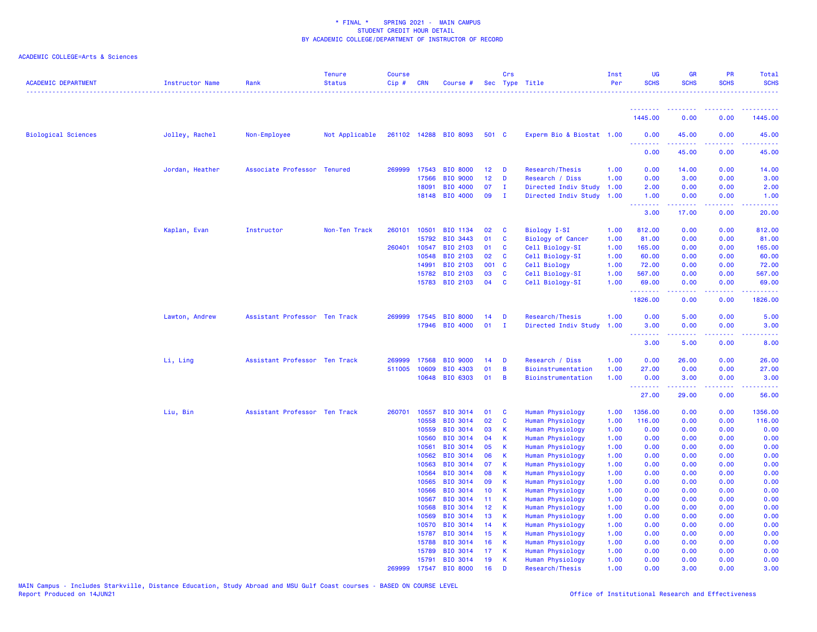| <b>ACADEMIC DEPARTMENT</b> | Instructor Name | Rank                          | <b>Tenure</b><br><b>Status</b> | <b>Course</b><br>Cip# | <b>CRN</b>     | Course #                    |                       | Crs                          | Sec Type Title                       | Inst<br>Per  | <b>UG</b><br><b>SCHS</b> | <b>GR</b><br><b>SCHS</b> | PR<br><b>SCHS</b>                                                                                                         | Total<br><b>SCHS</b><br>. |
|----------------------------|-----------------|-------------------------------|--------------------------------|-----------------------|----------------|-----------------------------|-----------------------|------------------------------|--------------------------------------|--------------|--------------------------|--------------------------|---------------------------------------------------------------------------------------------------------------------------|---------------------------|
|                            |                 |                               |                                |                       |                |                             |                       |                              |                                      |              |                          |                          |                                                                                                                           |                           |
|                            |                 |                               |                                |                       |                |                             |                       |                              |                                      |              | 1445.00                  | 0.00                     | 0.00                                                                                                                      | 1445.00                   |
| <b>Biological Sciences</b> | Jolley, Rachel  | Non-Employee                  | Not Applicable                 |                       |                | 261102 14288 BIO 8093       | 501 C                 |                              | Experm Bio & Biostat 1.00            |              | 0.00<br><u>.</u>         | 45.00                    | 0.00                                                                                                                      | 45.00                     |
|                            |                 |                               |                                |                       |                |                             |                       |                              |                                      |              | 0.00                     | 45.00                    | 0.00                                                                                                                      | 45.00                     |
|                            | Jordan, Heather | Associate Professor Tenured   |                                |                       | 269999 17543   | <b>BIO 8000</b>             | 12                    | D                            | Research/Thesis                      | 1.00         | 0.00                     | 14.00                    | 0.00                                                                                                                      | 14.00                     |
|                            |                 |                               |                                |                       | 17566          | <b>BIO 9000</b>             | 12 <sub>2</sub>       | D                            | Research / Diss                      | 1.00         | 0.00                     | 3.00                     | 0.00                                                                                                                      | 3.00                      |
|                            |                 |                               |                                |                       | 18091          | <b>BIO 4000</b>             | 07                    | $\mathbf{I}$                 | Directed Indiv Study                 | 1.00         | 2.00                     | 0.00                     | 0.00                                                                                                                      | 2.00                      |
|                            |                 |                               |                                |                       | 18148          | BIO 4000                    | 09                    | $\mathbf{I}$                 | Directed Indiv Study 1.00            |              | 1.00<br>.                | 0.00<br>.                | 0.00                                                                                                                      | 1.00<br>.                 |
|                            |                 |                               |                                |                       |                |                             |                       |                              |                                      |              | 3.00                     | 17.00                    | 0.00                                                                                                                      | 20.00                     |
|                            | Kaplan, Evan    | Instructor                    | Non-Ten Track                  | 260101                | 10501          | BIO 1134                    | 02                    | $\mathbf{C}$                 | Biology I-SI                         | 1.00         | 812.00                   | 0.00                     | 0.00                                                                                                                      | 812.00                    |
|                            |                 |                               |                                |                       | 15792          | <b>BIO 3443</b>             | 01                    | $\mathbf{C}$                 | <b>Biology of Cancer</b>             | 1.00         | 81.00                    | 0.00                     | 0.00                                                                                                                      | 81.00                     |
|                            |                 |                               |                                | 260401                | 10547          | <b>BIO 2103</b>             | 01                    | <b>C</b>                     | Cell Biology-SI                      | 1.00         | 165.00                   | 0.00                     | 0.00                                                                                                                      | 165.00                    |
|                            |                 |                               |                                |                       | 10548          | <b>BIO 2103</b>             | 02                    | C                            | Cell Biology-SI                      | 1.00         | 60.00                    | 0.00                     | 0.00                                                                                                                      | 60.00                     |
|                            |                 |                               |                                |                       | 14991          | BIO 2103                    | 001 C                 |                              | Cell Biology                         | 1.00         | 72.00                    | 0.00                     | 0.00                                                                                                                      | 72.00                     |
|                            |                 |                               |                                |                       | 15782<br>15783 | BIO 2103<br>BIO 2103        | 03<br>04              | $\mathbf{C}$<br>$\mathbf{C}$ | Cell Biology-SI<br>Cell Biology-SI   | 1.00<br>1.00 | 567.00<br>69.00          | 0.00<br>0.00             | 0.00<br>0.00                                                                                                              | 567.00<br>69.00           |
|                            |                 |                               |                                |                       |                |                             |                       |                              |                                      |              | .                        | .                        | $\frac{1}{2} \left( \frac{1}{2} \right) \left( \frac{1}{2} \right) \left( \frac{1}{2} \right) \left( \frac{1}{2} \right)$ | 222222                    |
|                            |                 |                               |                                |                       |                |                             |                       |                              |                                      |              | 1826.00                  | 0.00                     | 0.00                                                                                                                      | 1826.00                   |
|                            | Lawton, Andrew  | Assistant Professor Ten Track |                                | 269999                | 17545          | <b>BIO 8000</b>             | 14                    | D                            | Research/Thesis                      | 1.00         | 0.00                     | 5.00                     | 0.00                                                                                                                      | 5.00                      |
|                            |                 |                               |                                |                       | 17946          | <b>BIO 4000</b>             | $01$ I                |                              | Directed Indiv Study                 | 1.00         | 3.00<br>$\frac{1}{2}$    | 0.00                     | 0.00<br>. <b>. .</b>                                                                                                      | 3.00                      |
|                            |                 |                               |                                |                       |                |                             |                       |                              |                                      |              | 3.00                     | 5.00                     | 0.00                                                                                                                      | 8.00                      |
|                            | Li, Ling        | Assistant Professor Ten Track |                                | 269999                | 17568          | <b>BIO 9000</b>             | 14                    | D                            | Research / Diss                      | 1.00         | 0.00                     | 26.00                    | 0.00                                                                                                                      | 26.00                     |
|                            |                 |                               |                                | 511005                | 10609          | BIO 4303                    | 01                    | B                            | Bioinstrumentation                   | 1.00         | 27.00                    | 0.00                     | 0.00                                                                                                                      | 27.00                     |
|                            |                 |                               |                                |                       | 10648          | <b>BIO 6303</b>             | 01                    | B                            | Bioinstrumentation                   | 1.00         | 0.00<br><u>.</u>         | 3.00                     | 0.00                                                                                                                      | 3.00<br>د د د د د         |
|                            |                 |                               |                                |                       |                |                             |                       |                              |                                      |              | 27.00                    | 29.00                    | 0.00                                                                                                                      | 56.00                     |
|                            | Liu, Bin        | Assistant Professor Ten Track |                                |                       | 260701 10557   | <b>BIO 3014</b>             | 01                    | <b>C</b>                     | Human Physiology                     | 1.00         | 1356.00                  | 0.00                     | 0.00                                                                                                                      | 1356.00                   |
|                            |                 |                               |                                |                       | 10558          | <b>BIO 3014</b>             | 02                    | $\mathbf{C}$                 | Human Physiology                     | 1.00         | 116.00                   | 0.00                     | 0.00                                                                                                                      | 116.00                    |
|                            |                 |                               |                                |                       | 10559          | BIO 3014                    | 03                    | К                            | Human Physiology                     | 1.00         | 0.00                     | 0.00                     | 0.00                                                                                                                      | 0.00                      |
|                            |                 |                               |                                |                       | 10560          | <b>BIO 3014</b>             | 04                    | К                            | Human Physiology                     | 1.00         | 0.00                     | 0.00                     | 0.00                                                                                                                      | 0.00                      |
|                            |                 |                               |                                |                       | 10561          | <b>BIO 3014</b>             | 05                    | <b>K</b>                     | Human Physiology                     | 1.00         | 0.00                     | 0.00                     | 0.00                                                                                                                      | 0.00                      |
|                            |                 |                               |                                |                       | 10562          | <b>BIO 3014</b>             | 06                    | <b>K</b>                     | Human Physiology                     | 1.00         | 0.00                     | 0.00                     | 0.00                                                                                                                      | 0.00                      |
|                            |                 |                               |                                |                       | 10563          | BIO 3014                    | 07                    | К                            | Human Physiology                     | 1.00         | 0.00                     | 0.00                     | 0.00                                                                                                                      | 0.00                      |
|                            |                 |                               |                                |                       | 10564          | BIO 3014                    | 08                    | К                            | Human Physiology                     | 1.00         | 0.00                     | 0.00                     | 0.00                                                                                                                      | 0.00                      |
|                            |                 |                               |                                |                       | 10565          | BIO 3014                    | 09                    | K                            | Human Physiology                     | 1.00         | 0.00                     | 0.00                     | 0.00                                                                                                                      | 0.00                      |
|                            |                 |                               |                                |                       | 10566          | <b>BIO 3014</b>             | 10 <sub>1</sub>       | К<br>K                       | Human Physiology                     | 1.00         | 0.00                     | 0.00                     | 0.00                                                                                                                      | 0.00                      |
|                            |                 |                               |                                |                       | 10567<br>10568 | BIO 3014<br><b>BIO 3014</b> | 11<br>12 <sup>2</sup> | <b>K</b>                     | Human Physiology<br>Human Physiology | 1.00<br>1.00 | 0.00<br>0.00             | 0.00<br>0.00             | 0.00<br>0.00                                                                                                              | 0.00<br>0.00              |
|                            |                 |                               |                                |                       | 10569          | <b>BIO 3014</b>             | 13                    | <b>K</b>                     | Human Physiology                     | 1.00         | 0.00                     | 0.00                     | 0.00                                                                                                                      | 0.00                      |
|                            |                 |                               |                                |                       | 10570          | <b>BIO 3014</b>             | 14                    | K                            | Human Physiology                     | 1.00         | 0.00                     | 0.00                     | 0.00                                                                                                                      | 0.00                      |
|                            |                 |                               |                                |                       | 15787          | BIO 3014                    | 15                    | К                            | Human Physiology                     | 1.00         | 0.00                     | 0.00                     | 0.00                                                                                                                      | 0.00                      |
|                            |                 |                               |                                |                       | 15788          | BIO 3014                    | 16                    | K                            | Human Physiology                     | 1.00         | 0.00                     | 0.00                     | 0.00                                                                                                                      | 0.00                      |
|                            |                 |                               |                                |                       | 15789          | <b>BIO 3014</b>             | 17                    | K                            | Human Physiology                     | 1.00         | 0.00                     | 0.00                     | 0.00                                                                                                                      | 0.00                      |
|                            |                 |                               |                                |                       | 15791          | <b>BIO 3014</b>             | 19                    | K                            | Human Physiology                     | 1.00         | 0.00                     | 0.00                     | 0.00                                                                                                                      | 0.00                      |
|                            |                 |                               |                                | 269999                | 17547          | <b>BIO 8000</b>             | 16                    | D                            | Research/Thesis                      | 1.00         | 0.00                     | 3.00                     | 0.00                                                                                                                      | 3.00                      |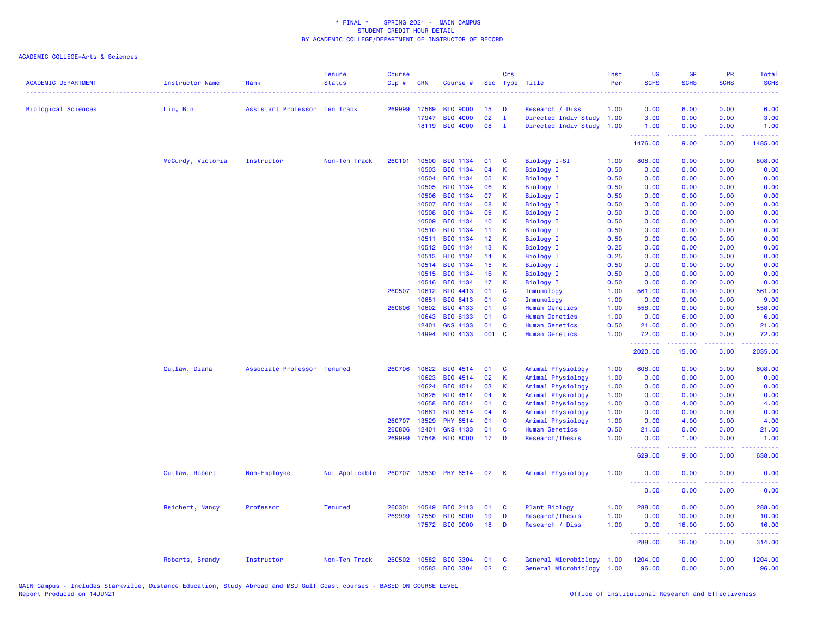| <b>ACADEMIC DEPARTMENT</b> | Instructor Name   | Rank                          | <b>Tenure</b><br><b>Status</b> | <b>Course</b><br>Cip# | <b>CRN</b>     | Course #                          | Sec             | Crs               | Type Title                                        | Inst<br>Per  | <b>UG</b><br><b>SCHS</b>                           | <b>GR</b><br><b>SCHS</b> | PR<br><b>SCHS</b> | <b>Total</b><br><b>SCHS</b>                                                                                                                                   |
|----------------------------|-------------------|-------------------------------|--------------------------------|-----------------------|----------------|-----------------------------------|-----------------|-------------------|---------------------------------------------------|--------------|----------------------------------------------------|--------------------------|-------------------|---------------------------------------------------------------------------------------------------------------------------------------------------------------|
| <b>Biological Sciences</b> | Liu, Bin          | Assistant Professor Ten Track |                                | 269999                | 17569          | <b>BIO 9000</b>                   | 15              | D                 | Research / Diss                                   | 1.00         | 0.00                                               | 6.00                     | 0.00              | 6.00                                                                                                                                                          |
|                            |                   |                               |                                |                       | 17947          | BIO 4000                          | 02              | $\mathbf{I}$      | Directed Indiv Study                              | 1.00         | 3.00                                               | 0.00                     | 0.00              | 3.00                                                                                                                                                          |
|                            |                   |                               |                                |                       |                | 18119 BIO 4000                    | 08              | $\mathbf{I}$      | Directed Indiv Study 1.00                         |              | 1.00<br><b><i><u><u> - - - - - - -</u></u></i></b> | 0.00<br>-----            | 0.00<br>.         | 1.00<br>.                                                                                                                                                     |
|                            |                   |                               |                                |                       |                |                                   |                 |                   |                                                   |              | 1476.00                                            | 9.00                     | 0.00              | 1485.00                                                                                                                                                       |
|                            | McCurdy, Victoria | Instructor                    | Non-Ten Track                  | 260101                | 10500          | BIO 1134                          | 01              | C                 | <b>Biology I-SI</b>                               | 1.00         | 808.00                                             | 0.00                     | 0.00              | 808.00                                                                                                                                                        |
|                            |                   |                               |                                |                       | 10503          | BIO 1134                          | 04              | К                 | <b>Biology I</b>                                  | 0.50         | 0.00                                               | 0.00                     | 0.00              | 0.00                                                                                                                                                          |
|                            |                   |                               |                                |                       | 10504          | BIO 1134                          | 05              | К<br>К            | Biology I                                         | 0.50         | 0.00                                               | 0.00                     | 0.00              | 0.00                                                                                                                                                          |
|                            |                   |                               |                                |                       | 10505<br>10506 | BIO 1134<br>BIO 1134              | 06<br>07        | K                 | <b>Biology I</b>                                  | 0.50<br>0.50 | 0.00<br>0.00                                       | 0.00<br>0.00             | 0.00<br>0.00      | 0.00<br>0.00                                                                                                                                                  |
|                            |                   |                               |                                |                       | 10507          | BIO 1134                          | 08              | К                 | <b>Biology I</b>                                  |              |                                                    | 0.00                     | 0.00              |                                                                                                                                                               |
|                            |                   |                               |                                |                       | 10508          | BIO 1134                          | 09              | К                 | <b>Biology I</b><br><b>Biology I</b>              | 0.50<br>0.50 | 0.00<br>0.00                                       | 0.00                     | 0.00              | 0.00<br>0.00                                                                                                                                                  |
|                            |                   |                               |                                |                       | 10509          | BIO 1134                          | 10 <sup>°</sup> | К                 | Biology I                                         | 0.50         | 0.00                                               | 0.00                     | 0.00              | 0.00                                                                                                                                                          |
|                            |                   |                               |                                |                       | 10510          | BIO 1134                          | 11              | К                 | <b>Biology I</b>                                  | 0.50         | 0.00                                               | 0.00                     | 0.00              | 0.00                                                                                                                                                          |
|                            |                   |                               |                                |                       | 10511          | BIO 1134                          | 12              | К                 | <b>Biology I</b>                                  | 0.50         | 0.00                                               | 0.00                     | 0.00              | 0.00                                                                                                                                                          |
|                            |                   |                               |                                |                       | 10512          | BIO 1134                          | 13              | К                 | <b>Biology I</b>                                  | 0.25         | 0.00                                               | 0.00                     | 0.00              | 0.00                                                                                                                                                          |
|                            |                   |                               |                                |                       | 10513          | BIO 1134                          | 14              | K                 | <b>Biology I</b>                                  | 0.25         | 0.00                                               | 0.00                     | 0.00              | 0.00                                                                                                                                                          |
|                            |                   |                               |                                |                       | 10514          | BIO 1134                          | 15              | К                 | <b>Biology I</b>                                  | 0.50         | 0.00                                               | 0.00                     | 0.00              | 0.00                                                                                                                                                          |
|                            |                   |                               |                                |                       | 10515          | BIO 1134                          | 16              | К                 | <b>Biology I</b>                                  | 0.50         | 0.00                                               | 0.00                     | 0.00              | 0.00                                                                                                                                                          |
|                            |                   |                               |                                |                       | 10516          | BIO 1134                          | 17              | К                 | <b>Biology I</b>                                  | 0.50         | 0.00                                               | 0.00                     | 0.00              | 0.00                                                                                                                                                          |
|                            |                   |                               |                                | 260507                | 10612          | BIO 4413                          | 01              | C                 | Immunology                                        | 1.00         | 561.00                                             | 0.00                     | 0.00              | 561.00                                                                                                                                                        |
|                            |                   |                               |                                |                       | 10651          | BIO 6413                          | 01              | C                 | Immunology                                        | 1.00         | 0.00                                               | 9.00                     | 0.00              | 9.00                                                                                                                                                          |
|                            |                   |                               |                                | 260806                | 10602          | BIO 4133                          | 01              | $\mathbf c$       | Human Genetics                                    | 1.00         | 558.00                                             | 0.00                     | 0.00              | 558.00                                                                                                                                                        |
|                            |                   |                               |                                |                       | 10643          | BIO 6133                          | 01              | $\mathbf{C}$      | <b>Human Genetics</b>                             | 1.00         | 0.00                                               | 6.00                     | 0.00              | 6.00                                                                                                                                                          |
|                            |                   |                               |                                |                       | 12401          | <b>GNS 4133</b>                   | 01              | C                 | <b>Human Genetics</b>                             | 0.50         | 21.00                                              | 0.00                     | 0.00              | 21.00                                                                                                                                                         |
|                            |                   |                               |                                |                       |                | 14994 BIO 4133                    | 001 C           |                   | <b>Human Genetics</b>                             | 1.00         | 72.00                                              | 0.00                     | 0.00              | 72.00                                                                                                                                                         |
|                            |                   |                               |                                |                       |                |                                   |                 |                   |                                                   |              | .<br>2020.00                                       | .<br>15.00               | .<br>0.00         | .<br>2035.00                                                                                                                                                  |
|                            | Outlaw, Diana     | Associate Professor Tenured   |                                | 260706                | 10622          | BIO 4514                          | 01              | C                 | Animal Physiology                                 | 1.00         | 608.00                                             | 0.00                     | 0.00              | 608.00                                                                                                                                                        |
|                            |                   |                               |                                |                       | 10623          | BIO 4514                          | 02              | $\mathsf K$       | Animal Physiology                                 | 1.00         | 0.00                                               | 0.00                     | 0.00              | 0.00                                                                                                                                                          |
|                            |                   |                               |                                |                       | 10624          | BIO 4514                          | 03              | К                 | Animal Physiology                                 | 1.00         | 0.00                                               | 0.00                     | 0.00              | 0.00                                                                                                                                                          |
|                            |                   |                               |                                |                       | 10625          | BIO 4514                          | 04              | К                 | Animal Physiology                                 | 1.00         | 0.00                                               | 0.00                     | 0.00              | 0.00                                                                                                                                                          |
|                            |                   |                               |                                |                       | 10658          | BIO 6514                          | 01              | C                 | Animal Physiology                                 | 1.00         | 0.00                                               | 4.00                     | 0.00              | 4.00                                                                                                                                                          |
|                            |                   |                               |                                |                       | 10661          | BIO 6514                          | 04              | K                 | Animal Physiology                                 | 1.00         | 0.00                                               | 0.00                     | 0.00              | 0.00                                                                                                                                                          |
|                            |                   |                               |                                | 260707                | 13529          | PHY 6514                          | 01              | C                 | Animal Physiology                                 | 1.00         | 0.00                                               | 4.00                     | 0.00              | 4.00                                                                                                                                                          |
|                            |                   |                               |                                | 260806                | 12401          | <b>GNS 4133</b>                   | 01              | C                 | Human Genetics                                    | 0.50         | 21.00                                              | 0.00                     | 0.00              | 21.00                                                                                                                                                         |
|                            |                   |                               |                                | 269999                | 17548          | <b>BIO 8000</b>                   | 17              | D                 | Research/Thesis                                   | 1.00         | 0.00<br>.                                          | 1.00<br>22222            | 0.00<br>د د د د . | 1.00<br>.                                                                                                                                                     |
|                            |                   |                               |                                |                       |                |                                   |                 |                   |                                                   |              | 629.00                                             | 9.00                     | 0.00              | 638.00                                                                                                                                                        |
|                            | Outlaw, Robert    | Non-Employee                  | Not Applicable                 | 260707                |                | 13530 PHY 6514                    | 02              | К                 | Animal Physiology                                 | 1.00         | 0.00<br>.                                          | 0.00                     | 0.00<br>.         | 0.00                                                                                                                                                          |
|                            |                   |                               |                                |                       |                |                                   |                 |                   |                                                   |              | 0.00                                               | 0.00                     | 0.00              | 0.00                                                                                                                                                          |
|                            | Reichert, Nancy   | Professor                     | <b>Tenured</b>                 | 260301                | 10549          | BIO 2113                          | 01              | C                 | <b>Plant Biology</b>                              | 1.00         | 288.00                                             | 0.00                     | 0.00              | 288.00                                                                                                                                                        |
|                            |                   |                               |                                | 269999                | 17550          | <b>BIO 8000</b>                   | 19              | D                 | Research/Thesis                                   | 1.00         | 0.00                                               | 10.00                    | 0.00              | 10.00                                                                                                                                                         |
|                            |                   |                               |                                |                       |                | 17572 BIO 9000                    | 18              | D                 | Research / Diss                                   | 1.00         | 0.00<br><u>.</u>                                   | 16.00<br>.               | 0.00<br>.         | 16.00<br>$\frac{1}{2} \left( \frac{1}{2} \right) \left( \frac{1}{2} \right) \left( \frac{1}{2} \right) \left( \frac{1}{2} \right) \left( \frac{1}{2} \right)$ |
|                            |                   |                               |                                |                       |                |                                   |                 |                   |                                                   |              | 288.00                                             | 26.00                    | 0.00              | 314.00                                                                                                                                                        |
|                            | Roberts, Brandy   | Instructor                    | Non-Ten Track                  | 260502                | 10582          | <b>BIO 3304</b><br>10583 BIO 3304 | 01<br>02        | C<br>$\mathbf{C}$ | General Microbiology<br>General Microbiology 1.00 | 1.00         | 1204.00<br>96.00                                   | 0.00<br>0.00             | 0.00<br>0.00      | 1204.00<br>96.00                                                                                                                                              |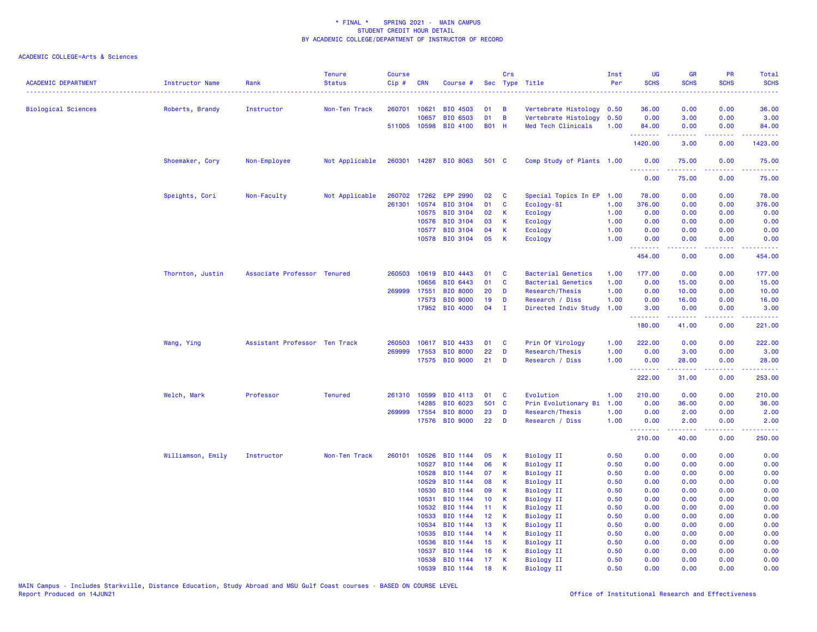| <b>ACADEMIC DEPARTMENT</b> | <b>Instructor Name</b> | Rank                          | <b>Tenure</b><br><b>Status</b> | <b>Course</b><br>Cip# | <b>CRN</b>     | Course #              | Sec             | Crs          | Type Title                             | Inst<br>Per  | <b>UG</b><br><b>SCHS</b> | <b>GR</b><br><b>SCHS</b>                                                                                                                                     | PR<br><b>SCHS</b>                   | <b>Total</b><br><b>SCHS</b>                                                                               |
|----------------------------|------------------------|-------------------------------|--------------------------------|-----------------------|----------------|-----------------------|-----------------|--------------|----------------------------------------|--------------|--------------------------|--------------------------------------------------------------------------------------------------------------------------------------------------------------|-------------------------------------|-----------------------------------------------------------------------------------------------------------|
| <b>Biological Sciences</b> | Roberts, Brandy        | Instructor                    | Non-Ten Track                  |                       | 260701 10621   | BIO 4503              | 01              | B            | Vertebrate Histology                   | 0.50         | 36.00                    | 0.00                                                                                                                                                         | 0.00                                | 36.00                                                                                                     |
|                            |                        |                               |                                |                       | 10657          | BIO 6503              | 01              | B            | Vertebrate Histology                   | 0.50         | 0.00                     | 3.00                                                                                                                                                         | 0.00                                | 3.00                                                                                                      |
|                            |                        |                               |                                |                       | 511005 10598   | <b>BIO 4100</b>       | <b>B01 H</b>    |              | Med Tech Clinicals                     | 1.00         | 84.00                    | 0.00                                                                                                                                                         | 0.00                                | 84.00                                                                                                     |
|                            |                        |                               |                                |                       |                |                       |                 |              |                                        |              | .<br>1420.00             | $\frac{1}{2} \left( \frac{1}{2} \right) \left( \frac{1}{2} \right) \left( \frac{1}{2} \right) \left( \frac{1}{2} \right) \left( \frac{1}{2} \right)$<br>3.00 | د د د د<br>0.00                     | .<br>1423.00                                                                                              |
|                            | Shoemaker, Cory        | Non-Employee                  | Not Applicable                 |                       |                | 260301 14287 BIO 8063 | 501 C           |              | Comp Study of Plants 1.00              |              | 0.00<br>.                | 75.00<br>.                                                                                                                                                   | 0.00<br>.                           | 75.00<br>.                                                                                                |
|                            |                        |                               |                                |                       |                |                       |                 |              |                                        |              | 0.00                     | 75.00                                                                                                                                                        | 0.00                                | 75.00                                                                                                     |
|                            | Speights, Cori         | Non-Faculty                   | Not Applicable                 | 260702                | 17262          | <b>EPP 2990</b>       | 02              | C            | Special Topics In EP                   | 1.00         | 78.00                    | 0.00                                                                                                                                                         | 0.00                                | 78.00                                                                                                     |
|                            |                        |                               |                                | 261301                | 10574          | <b>BIO 3104</b>       | 01              | C            | Ecology-SI                             | 1.00         | 376.00                   | 0.00                                                                                                                                                         | 0.00                                | 376.00                                                                                                    |
|                            |                        |                               |                                |                       | 10575          | BIO 3104              | 02              | K            | Ecology                                | 1.00         | 0.00                     | 0.00                                                                                                                                                         | 0.00                                | 0.00                                                                                                      |
|                            |                        |                               |                                |                       | 10576          | <b>BIO 3104</b>       | 03              | K            | Ecology                                | 1.00         | 0.00                     | 0.00                                                                                                                                                         | 0.00                                | 0.00                                                                                                      |
|                            |                        |                               |                                |                       | 10577          | <b>BIO 3104</b>       | 04              | K            | Ecology                                | 1.00         | 0.00                     | 0.00                                                                                                                                                         | 0.00                                | 0.00                                                                                                      |
|                            |                        |                               |                                |                       | 10578          | BIO 3104              | 05              | K            | Ecology                                | 1.00         | 0.00<br>.                | 0.00                                                                                                                                                         | 0.00<br>$\sim$ $\sim$ $\sim$ $\sim$ | 0.00                                                                                                      |
|                            |                        |                               |                                |                       |                |                       |                 |              |                                        |              | 454.00                   | 0.00                                                                                                                                                         | 0.00                                | 454.00                                                                                                    |
|                            | Thornton, Justin       | Associate Professor Tenured   |                                | 260503                | 10619          | BIO 4443              | 01              | C            | <b>Bacterial Genetics</b>              | 1.00         | 177.00                   | 0.00                                                                                                                                                         | 0.00                                | 177.00                                                                                                    |
|                            |                        |                               |                                |                       | 10656          | BIO 6443              | 01              | C            | <b>Bacterial Genetics</b>              | 1.00         | 0.00                     | 15.00                                                                                                                                                        | 0.00                                | 15.00                                                                                                     |
|                            |                        |                               |                                | 269999                | 17551          | <b>BIO 8000</b>       | 20              | D            | Research/Thesis                        | 1.00         | 0.00                     | 10.00                                                                                                                                                        | 0.00                                | 10.00                                                                                                     |
|                            |                        |                               |                                |                       | 17573          | <b>BIO 9000</b>       | 19              | D            | Research / Diss                        | 1.00         | 0.00                     | 16.00                                                                                                                                                        | 0.00                                | 16.00                                                                                                     |
|                            |                        |                               |                                |                       | 17952          | <b>BIO 4000</b>       | 04              | $\mathbf{I}$ | Directed Indiv Study                   | 1.00         | 3.00<br>.                | 0.00<br>المستملة                                                                                                                                             | 0.00<br>.                           | 3.00<br>$\mathbf{1} \cdot \mathbf{1} \cdot \mathbf{1} \cdot \mathbf{1} \cdot \mathbf{1} \cdot \mathbf{1}$ |
|                            |                        |                               |                                |                       |                |                       |                 |              |                                        |              | 180.00                   | 41.00                                                                                                                                                        | 0.00                                | 221.00                                                                                                    |
|                            | Wang, Ying             | Assistant Professor Ten Track |                                | 260503                | 10617          | BIO 4433              | 01              | C            | Prin Of Virology                       | 1.00         | 222.00                   | 0.00                                                                                                                                                         | 0.00                                | 222.00                                                                                                    |
|                            |                        |                               |                                | 269999                | 17553          | <b>BIO 8000</b>       | 22              | D            | Research/Thesis                        | 1.00         | 0.00                     | 3.00                                                                                                                                                         | 0.00                                | 3.00                                                                                                      |
|                            |                        |                               |                                |                       |                | 17575 BIO 9000        | 21              | D            | Research / Diss                        | 1.00         | 0.00<br>.                | 28.00<br>د د د د د                                                                                                                                           | 0.00<br>.                           | 28.00                                                                                                     |
|                            |                        |                               |                                |                       |                |                       |                 |              |                                        |              | 222.00                   | 31.00                                                                                                                                                        | 0.00                                | 253.00                                                                                                    |
|                            | Welch, Mark            | Professor                     | <b>Tenured</b>                 | 261310                | 10599          | <b>BIO 4113</b>       | 01              | C            | Evolution                              | 1.00         | 210.00                   | 0.00                                                                                                                                                         | 0.00                                | 210.00                                                                                                    |
|                            |                        |                               |                                |                       | 14285          | BIO 6023              | 501 C           |              | Prin Evolutionary Bi                   | 1.00         | 0.00                     | 36.00                                                                                                                                                        | 0.00                                | 36.00                                                                                                     |
|                            |                        |                               |                                |                       | 269999 17554   | <b>BIO 8000</b>       | 23              | D            | Research/Thesis                        | 1.00         | 0.00                     | 2.00                                                                                                                                                         | 0.00                                | 2.00                                                                                                      |
|                            |                        |                               |                                |                       | 17576          | <b>BIO 9000</b>       | 22              | D            | Research / Diss                        | 1.00         | 0.00<br><u>.</u>         | 2.00<br>.                                                                                                                                                    | 0.00<br>-----                       | 2.00<br><u>.</u>                                                                                          |
|                            |                        |                               |                                |                       |                |                       |                 |              |                                        |              | 210.00                   | 40.00                                                                                                                                                        | 0.00                                | 250.00                                                                                                    |
|                            | Williamson, Emily      | Instructor                    | Non-Ten Track                  | 260101                | 10526          | BIO 1144              | 05              | К            | <b>Biology II</b>                      | 0.50         | 0.00                     | 0.00                                                                                                                                                         | 0.00                                | 0.00                                                                                                      |
|                            |                        |                               |                                |                       | 10527          | BIO 1144              | 06              | К            | <b>Biology II</b>                      | 0.50         | 0.00                     | 0.00                                                                                                                                                         | 0.00                                | 0.00                                                                                                      |
|                            |                        |                               |                                |                       | 10528          | BIO 1144              | 07              | K            | <b>Biology II</b>                      | 0.50         | 0.00                     | 0.00                                                                                                                                                         | 0.00                                | 0.00                                                                                                      |
|                            |                        |                               |                                |                       | 10529          | BIO 1144              | 08              | K            | <b>Biology II</b>                      | 0.50         | 0.00                     | 0.00                                                                                                                                                         | 0.00                                | 0.00                                                                                                      |
|                            |                        |                               |                                |                       | 10530          | BIO 1144              | 09              | K            | <b>Biology II</b>                      | 0.50         | 0.00                     | 0.00                                                                                                                                                         | 0.00                                | 0.00                                                                                                      |
|                            |                        |                               |                                |                       | 10531          | BIO 1144              | 10              | K            | <b>Biology II</b>                      | 0.50         | 0.00                     | 0.00                                                                                                                                                         | 0.00                                | 0.00                                                                                                      |
|                            |                        |                               |                                |                       | 10532          | BIO 1144              | 11 <sub>1</sub> | К            | <b>Biology II</b>                      | 0.50         | 0.00                     | 0.00                                                                                                                                                         | 0.00                                | 0.00                                                                                                      |
|                            |                        |                               |                                |                       | 10533          | BIO 1144              | 12              | K            | <b>Biology II</b>                      | 0.50         | 0.00                     | 0.00                                                                                                                                                         | 0.00                                | 0.00                                                                                                      |
|                            |                        |                               |                                |                       | 10534          | BIO 1144              | 13              | К            | <b>Biology II</b>                      | 0.50         | 0.00                     | 0.00                                                                                                                                                         | 0.00                                | 0.00                                                                                                      |
|                            |                        |                               |                                |                       | 10535          | BIO 1144              | 14              | К            | <b>Biology II</b>                      | 0.50         | 0.00                     | 0.00                                                                                                                                                         | 0.00                                | 0.00                                                                                                      |
|                            |                        |                               |                                |                       | 10536          | BIO 1144              | 15              | К<br>К       | <b>Biology II</b>                      | 0.50         | 0.00                     | 0.00                                                                                                                                                         | 0.00<br>0.00                        | 0.00                                                                                                      |
|                            |                        |                               |                                |                       | 10537<br>10538 | BIO 1144<br>BIO 1144  | 16<br>17        | $\mathsf{K}$ | <b>Biology II</b><br><b>Biology II</b> | 0.50<br>0.50 | 0.00<br>0.00             | 0.00<br>0.00                                                                                                                                                 | 0.00                                | 0.00<br>0.00                                                                                              |
|                            |                        |                               |                                |                       | 10539          | BIO 1144              | 18              |              | <b>Biology II</b>                      | 0.50         | 0.00                     | 0.00                                                                                                                                                         | 0.00                                | 0.00                                                                                                      |
|                            |                        |                               |                                |                       |                |                       |                 |              |                                        |              |                          |                                                                                                                                                              |                                     |                                                                                                           |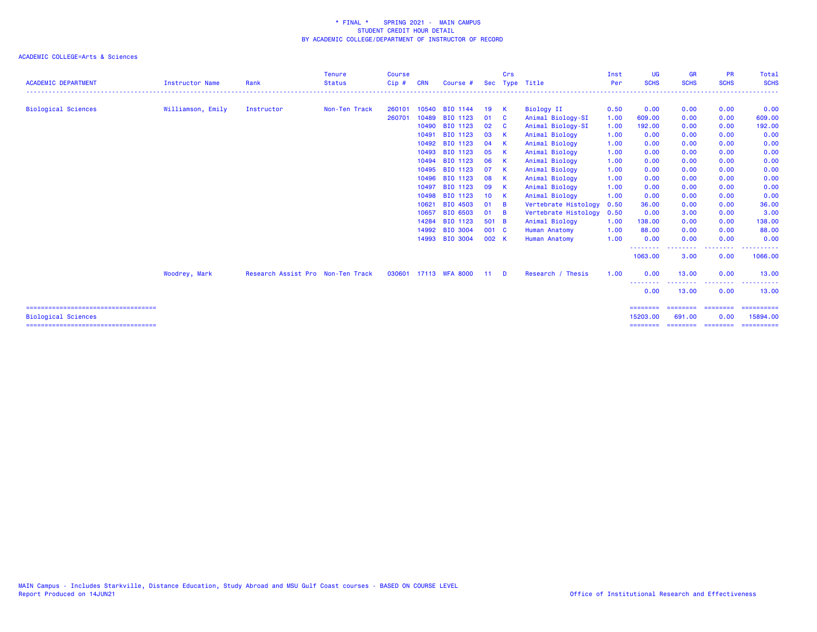| <b>ACADEMIC DEPARTMENT</b>                                           | <b>Instructor Name</b> | Rank                              | <b>Tenure</b><br><b>Status</b> | <b>Course</b><br>Cip# | <b>CRN</b> | Course #              | <b>Sec</b>      | <b>Crs</b> | Type Title           | Inst<br>Per | <b>UG</b><br><b>SCHS</b> | <b>GR</b><br><b>SCHS</b>     | <b>PR</b><br><b>SCHS</b> | Total<br><b>SCHS</b>       |
|----------------------------------------------------------------------|------------------------|-----------------------------------|--------------------------------|-----------------------|------------|-----------------------|-----------------|------------|----------------------|-------------|--------------------------|------------------------------|--------------------------|----------------------------|
|                                                                      |                        |                                   |                                |                       |            |                       |                 |            |                      |             |                          |                              |                          |                            |
| <b>Biological Sciences</b>                                           | Williamson, Emily      | Instructor                        | Non-Ten Track                  | 260101                |            | 10540 BIO 1144        | 19              | K          | Biology II           | 0.50        | 0.00                     | 0.00                         | 0.00                     | 0.00                       |
|                                                                      |                        |                                   |                                | 260701                | 10489      | BIO 1123              | 01              | - C        | Animal Biology-SI    | 1.00        | 609,00                   | 0.00                         | 0.00                     | 609.00                     |
|                                                                      |                        |                                   |                                |                       |            | 10490 BIO 1123        | 02              | - C        | Animal Biology-SI    | 1.00        | 192.00                   | 0.00                         | 0.00                     | 192.00                     |
|                                                                      |                        |                                   |                                |                       | 10491      | BIO 1123              | 03              | K          | Animal Biology       | 1.00        | 0.00                     | 0.00                         | 0.00                     | 0.00                       |
|                                                                      |                        |                                   |                                |                       | 10492      | BIO 1123              | 04              | <b>K</b>   | Animal Biology       | 1.00        | 0.00                     | 0.00                         | 0.00                     | 0.00                       |
|                                                                      |                        |                                   |                                |                       | 10493      | BIO 1123              | 05              | - K        | Animal Biology       | 1.00        | 0.00                     | 0.00                         | 0.00                     | 0.00                       |
|                                                                      |                        |                                   |                                |                       | 10494      | BIO 1123              | 06              | <b>K</b>   | Animal Biology       | 1.00        | 0.00                     | 0.00                         | 0.00                     | 0.00                       |
|                                                                      |                        |                                   |                                |                       | 10495      | BIO 1123              | 07              | K          | Animal Biology       | 1.00        | 0.00                     | 0.00                         | 0.00                     | 0.00                       |
|                                                                      |                        |                                   |                                |                       | 10496      | BIO 1123              | 08              | - K        | Animal Biology       | 1.00        | 0.00                     | 0.00                         | 0.00                     | 0.00                       |
|                                                                      |                        |                                   |                                |                       | 10497      | BIO 1123              | 09              | K          | Animal Biology       | 1.00        | 0.00                     | 0.00                         | 0.00                     | 0.00                       |
|                                                                      |                        |                                   |                                |                       |            | 10498 BIO 1123        | 10 <sup>1</sup> | - K        | Animal Biology       | 1.00        | 0.00                     | 0.00                         | 0.00                     | 0.00                       |
|                                                                      |                        |                                   |                                |                       | 10621      | BIO 4503              | 01              | <b>B</b>   | Vertebrate Histology | 0.50        | 36.00                    | 0.00                         | 0.00                     | 36.00                      |
|                                                                      |                        |                                   |                                |                       | 10657      | BIO 6503              | 01              | <b>B</b>   | Vertebrate Histology | 0.50        | 0.00                     | 3.00                         | 0.00                     | 3.00                       |
|                                                                      |                        |                                   |                                |                       | 14284      | BIO 1123              | 501 B           |            | Animal Biology       | 1.00        | 138.00                   | 0.00                         | 0.00                     | 138.00                     |
|                                                                      |                        |                                   |                                |                       | 14992      | <b>BIO 3004</b>       | 001 C           |            | <b>Human Anatomy</b> | 1.00        | 88.00                    | 0.00                         | 0.00                     | 88.00                      |
|                                                                      |                        |                                   |                                |                       |            | 14993 BIO 3004        | 002 K           |            | <b>Human Anatomy</b> | 1.00        | 0.00                     | 0.00                         | 0.00                     | 0.00                       |
|                                                                      |                        |                                   |                                |                       |            |                       |                 |            |                      |             | --------<br>1063.00      | <u>.</u><br>3.00             | --------<br>0.00         | .<br>1066.00               |
|                                                                      | Woodrey, Mark          | Research Assist Pro Non-Ten Track |                                |                       |            | 030601 17113 WFA 8000 | $-11$           | <b>D</b>   | Research / Thesis    | 1.00        | 0.00                     | 13,00                        | 0.00                     | 13.00                      |
|                                                                      |                        |                                   |                                |                       |            |                       |                 |            |                      |             | --------<br>0.00         | .<br>13.00                   | .<br>0.00                | . <u>.</u> .<br>.<br>13.00 |
| =====================================                                |                        |                                   |                                |                       |            |                       |                 |            |                      |             | ========                 |                              | =======                  | ==========                 |
| <b>Biological Sciences</b><br>====================================== |                        |                                   |                                |                       |            |                       |                 |            |                      |             | 15203.00<br>========     | 691,00<br>========= ======== | 0.00                     | 15894.00<br>==========     |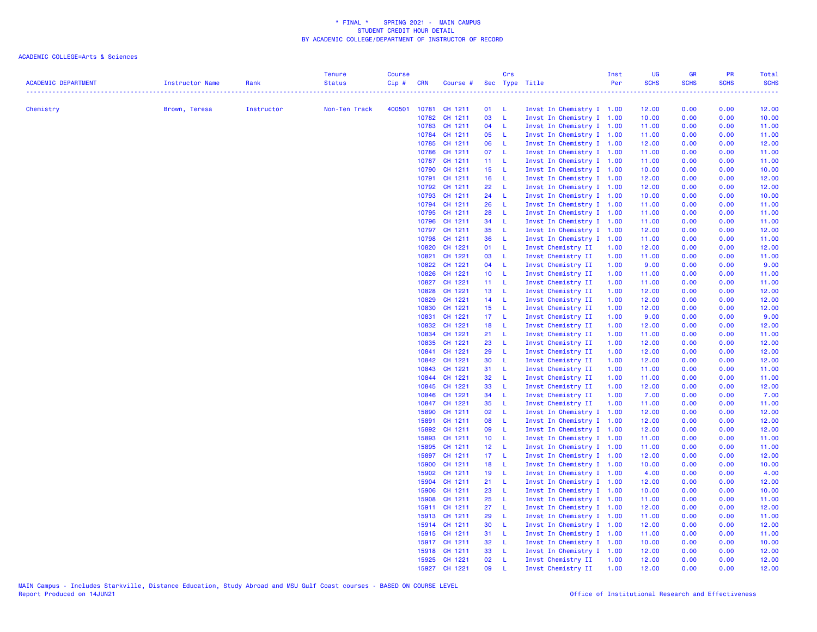| <b>ACADEMIC DEPARTMENT</b> | Instructor Name | Rank       | <b>Tenure</b><br><b>Status</b> | <b>Course</b><br>$Cip \#$ | <b>CRN</b>     | Course # Sec Type Title |                 | Crs          |                                          | Inst<br>Per  | UG<br><b>SCHS</b> | <b>GR</b><br><b>SCHS</b> | PR<br><b>SCHS</b> | Total<br><b>SCHS</b> |
|----------------------------|-----------------|------------|--------------------------------|---------------------------|----------------|-------------------------|-----------------|--------------|------------------------------------------|--------------|-------------------|--------------------------|-------------------|----------------------|
|                            |                 |            |                                |                           |                |                         |                 |              |                                          |              | .                 |                          |                   |                      |
| Chemistry                  | Brown, Teresa   | Instructor | Non-Ten Track                  |                           |                | 400501 10781 CH 1211    | 01              | - L          | Invst In Chemistry I 1.00                |              | 12.00             | 0.00                     | 0.00              | 12.00                |
|                            |                 |            |                                |                           | 10782          | CH 1211                 | 03              | - L          | Invst In Chemistry I 1.00                |              | 10.00             | 0.00                     | 0.00              | 10.00                |
|                            |                 |            |                                |                           |                | 10783 CH 1211           | 04 L            |              | Invst In Chemistry I 1.00                |              | 11.00             | 0.00                     | 0.00              | 11.00                |
|                            |                 |            |                                |                           |                | 10784 CH 1211           | 05              | $-L$         | Invst In Chemistry I 1.00                |              | 11.00             | 0.00                     | 0.00              | 11.00                |
|                            |                 |            |                                |                           |                | 10785 CH 1211           | 06              | - L          | Invst In Chemistry I 1.00                |              | 12.00             | 0.00                     | 0.00              | 12.00                |
|                            |                 |            |                                |                           |                | 10786 CH 1211           | 07              | - L          | Invst In Chemistry I 1.00                |              | 11.00             | 0.00                     | 0.00              | 11.00                |
|                            |                 |            |                                |                           |                | 10787 CH 1211           | 11 <sub>1</sub> | - L          | Invst In Chemistry I 1.00                |              | 11.00             | 0.00                     | 0.00              | 11.00                |
|                            |                 |            |                                |                           |                | 10790 CH 1211           | 15 <sub>1</sub> | - L          | Invst In Chemistry I 1.00                |              | 10.00             | 0.00                     | 0.00              | 10.00                |
|                            |                 |            |                                |                           | 10791          | CH 1211                 | 16              | - L          | Invst In Chemistry I 1.00                |              | 12.00             | 0.00                     | 0.00              | 12.00                |
|                            |                 |            |                                |                           |                | 10792 CH 1211           | 22              | $\mathsf{L}$ | Invst In Chemistry I 1.00                |              | 12.00             | 0.00                     | 0.00              | 12.00                |
|                            |                 |            |                                |                           |                | 10793 CH 1211           | 24              | $\mathsf{L}$ | Invst In Chemistry I 1.00                |              | 10.00             | 0.00                     | 0.00              | 10.00                |
|                            |                 |            |                                |                           |                | 10794 CH 1211           | 26              | - L          | Invst In Chemistry I 1.00                |              | 11.00             | 0.00                     | 0.00              | 11.00                |
|                            |                 |            |                                |                           |                | 10795 CH 1211           | 28              | - L          | Invst In Chemistry I 1.00                |              | 11.00             | 0.00                     | 0.00              | 11.00                |
|                            |                 |            |                                |                           | 10796          | CH 1211                 | 34              | $\mathsf{L}$ | Invst In Chemistry I 1.00                |              | 11.00             | 0.00                     | 0.00              | 11.00                |
|                            |                 |            |                                |                           |                | 10797 CH 1211           | 35              | - L          | Invst In Chemistry I 1.00                |              | 12.00             | 0.00                     | 0.00              | 12.00                |
|                            |                 |            |                                |                           | 10798          | CH 1211                 | 36              | $\mathsf{L}$ | Invst In Chemistry I 1.00                |              | 11.00             | 0.00                     | 0.00              | 11.00                |
|                            |                 |            |                                |                           | 10820<br>10821 | CH 1221<br>CH 1221      | 01<br>03        | $-L$<br>- L  | Invst Chemistry II<br>Invst Chemistry II | 1.00<br>1.00 | 12.00<br>11.00    | 0.00<br>0.00             | 0.00<br>0.00      | 12.00<br>11.00       |
|                            |                 |            |                                |                           | 10822          | CH 1221                 | 04              | - L          | Invst Chemistry II                       | 1.00         | 9.00              | 0.00                     | 0.00              | 9.00                 |
|                            |                 |            |                                |                           | 10826          | CH 1221                 | 10 L            |              | Invst Chemistry II                       | 1.00         | 11.00             | 0.00                     | 0.00              | 11.00                |
|                            |                 |            |                                |                           | 10827          | CH 1221                 | $11 - L$        |              | Invst Chemistry II                       | 1.00         | 11.00             | 0.00                     | 0.00              | 11.00                |
|                            |                 |            |                                |                           | 10828          | CH 1221                 | 13 <sup>°</sup> | - L          | Invst Chemistry II                       | 1.00         | 12.00             | 0.00                     | 0.00              | 12.00                |
|                            |                 |            |                                |                           | 10829          | CH 1221                 | 14              | - L          | Invst Chemistry II                       | 1.00         | 12.00             | 0.00                     | 0.00              | 12.00                |
|                            |                 |            |                                |                           | 10830          | CH 1221                 | 15 <sub>1</sub> | - L          | Invst Chemistry II                       | 1.00         | 12.00             | 0.00                     | 0.00              | 12.00                |
|                            |                 |            |                                |                           | 10831          | CH 1221                 | 17 <sup>2</sup> | - L          | Invst Chemistry II                       | 1.00         | 9.00              | 0.00                     | 0.00              | 9.00                 |
|                            |                 |            |                                |                           | 10832          | CH 1221                 | 18              | - L          | Invst Chemistry II                       | 1.00         | 12.00             | 0.00                     | 0.00              | 12.00                |
|                            |                 |            |                                |                           | 10834          | CH 1221                 | 21              | - L          | Invst Chemistry II                       | 1.00         | 11.00             | 0.00                     | 0.00              | 11.00                |
|                            |                 |            |                                |                           | 10835          | CH 1221                 | 23              | - L          | Invst Chemistry II                       | 1.00         | 12.00             | 0.00                     | 0.00              | 12.00                |
|                            |                 |            |                                |                           | 10841          | CH 1221                 | 29              | -L.          | Invst Chemistry II                       | 1.00         | 12.00             | 0.00                     | 0.00              | 12.00                |
|                            |                 |            |                                |                           | 10842          | CH 1221                 | 30              | - L          | Invst Chemistry II                       | 1.00         | 12.00             | 0.00                     | 0.00              | 12.00                |
|                            |                 |            |                                |                           | 10843          | CH 1221                 | 31              | - L          | Invst Chemistry II                       | 1.00         | 11.00             | 0.00                     | 0.00              | 11.00                |
|                            |                 |            |                                |                           |                | 10844 CH 1221           | 32              | - L          | Invst Chemistry II                       | 1.00         | 11.00             | 0.00                     | 0.00              | 11.00                |
|                            |                 |            |                                |                           | 10845          | CH 1221                 | 33              | -L           | Invst Chemistry II                       | 1.00         | 12.00             | 0.00                     | 0.00              | 12.00                |
|                            |                 |            |                                |                           | 10846          | CH 1221                 | 34              | L            | Invst Chemistry II                       | 1.00         | 7.00              | 0.00                     | 0.00              | 7.00                 |
|                            |                 |            |                                |                           | 10847          | CH 1221                 | 35              | - L          | Invst Chemistry II                       | 1.00         | 11.00             | 0.00                     | 0.00              | 11.00                |
|                            |                 |            |                                |                           | 15890          | CH 1211                 | 02              | -L           | Invst In Chemistry I 1.00                |              | 12.00             | 0.00                     | 0.00              | 12.00                |
|                            |                 |            |                                |                           | 15891          | CH 1211                 | 08              | - L          | Invst In Chemistry I 1.00                |              | 12.00             | 0.00                     | 0.00              | 12.00                |
|                            |                 |            |                                |                           | 15892          | CH 1211                 | 09              | $\mathsf{L}$ | Invst In Chemistry I 1.00                |              | 12.00             | 0.00                     | 0.00              | 12.00                |
|                            |                 |            |                                |                           | 15893          | CH 1211                 | 10 <sub>1</sub> | $\mathsf{L}$ | Invst In Chemistry I 1.00                |              | 11.00             | 0.00                     | 0.00              | 11.00                |
|                            |                 |            |                                |                           | 15895          | CH 1211                 | 12 <sub>2</sub> | - L          | Invst In Chemistry I 1.00                |              | 11.00             | 0.00                     | 0.00              | 11.00                |
|                            |                 |            |                                |                           | 15897          | CH 1211                 | 17 <sub>1</sub> | - L          | Invst In Chemistry I 1.00                |              | 12.00             | 0.00                     | 0.00              | 12.00                |
|                            |                 |            |                                |                           | 15900          | CH 1211                 | 18              | - L          | Invst In Chemistry I 1.00                |              | 10.00             | 0.00                     | 0.00              | 10.00                |
|                            |                 |            |                                |                           | 15902          | CH 1211                 | 19              | - L          | Invst In Chemistry I 1.00                |              | 4.00              | 0.00                     | 0.00              | 4.00                 |
|                            |                 |            |                                |                           | 15904          | CH 1211                 | 21              | $\mathbf{L}$ | Invst In Chemistry I 1.00                |              | 12.00             | 0.00                     | 0.00              | 12.00                |
|                            |                 |            |                                |                           | 15906          | CH 1211                 | 23              | $\mathsf{L}$ | Invst In Chemistry I 1.00                |              | 10.00             | 0.00                     | 0.00              | 10.00                |
|                            |                 |            |                                |                           | 15908          | CH 1211                 | 25              | $-L$         | Invst In Chemistry I 1.00                |              | 11.00             | 0.00                     | 0.00              | 11.00                |
|                            |                 |            |                                |                           |                | 15911 CH 1211           | 27              | L            | Invst In Chemistry I 1.00                |              | 12.00             | 0.00                     | 0.00              | 12.00                |
|                            |                 |            |                                |                           |                | 15913 CH 1211           | 29              | <b>L</b>     | Invst In Chemistry I 1.00                |              | 11.00             | 0.00                     | 0.00              | 11.00                |
|                            |                 |            |                                |                           |                | 15914 CH 1211           | 30              | - L          | Invst In Chemistry I 1.00                |              | 12.00             | 0.00                     | 0.00              | 12.00                |
|                            |                 |            |                                |                           |                | 15915 CH 1211           | 31              | $\mathsf{L}$ | Invst In Chemistry I 1.00                |              | 11.00             | 0.00                     | 0.00              | 11.00                |
|                            |                 |            |                                |                           |                | 15917 CH 1211           | 32              | - L          | Invst In Chemistry I 1.00                |              | 10.00             | 0.00                     | 0.00              | 10.00                |
|                            |                 |            |                                |                           |                | 15918 CH 1211           | 33              | - L          | Invst In Chemistry I 1.00                |              | 12.00             | 0.00                     | 0.00              | 12.00                |
|                            |                 |            |                                |                           |                | 15925 CH 1221           | 02              | <b>L</b>     | Invst Chemistry II                       | 1.00         | 12.00             | 0.00                     | 0.00              | 12.00                |
|                            |                 |            |                                |                           |                | 15927 CH 1221           | 09              | $\mathsf{L}$ | Invst Chemistry II                       | 1.00         | 12.00             | 0.00                     | 0.00              | 12.00                |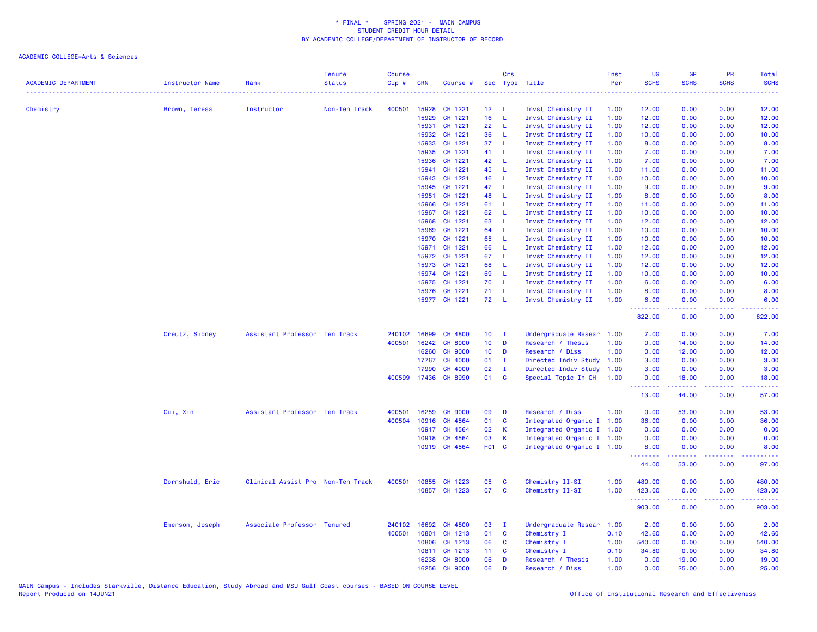| <b>ACADEMIC DEPARTMENT</b> | <b>Instructor Name</b> | Rank                              | <b>Tenure</b><br><b>Status</b> | <b>Course</b><br>Cip# | <b>CRN</b>     | Course #           |                       | Crs          | Sec Type Title                           | Inst<br>Per  | <b>UG</b><br><b>SCHS</b>                                 | <b>GR</b><br><b>SCHS</b> | <b>PR</b><br><b>SCHS</b>            | Total<br><b>SCHS</b>                                                                                                               |
|----------------------------|------------------------|-----------------------------------|--------------------------------|-----------------------|----------------|--------------------|-----------------------|--------------|------------------------------------------|--------------|----------------------------------------------------------|--------------------------|-------------------------------------|------------------------------------------------------------------------------------------------------------------------------------|
|                            |                        |                                   |                                |                       |                |                    |                       |              |                                          |              |                                                          |                          |                                     | $\frac{1}{2} \left( \frac{1}{2} \right) \left( \frac{1}{2} \right) \left( \frac{1}{2} \right) \left( \frac{1}{2} \right)$          |
| Chemistry                  | Brown, Teresa          | Instructor                        | Non-Ten Track                  | 400501                | 15928          | CH 1221            | 12 <sub>1</sub>       | - L          | Invst Chemistry II                       | 1.00         | 12.00                                                    | 0.00                     | 0.00                                | 12.00                                                                                                                              |
|                            |                        |                                   |                                |                       | 15929          | CH 1221            | 16 <sup>1</sup><br>22 | L            | Invst Chemistry II                       | 1.00         | 12.00                                                    | 0.00                     | 0.00                                | 12.00                                                                                                                              |
|                            |                        |                                   |                                |                       | 15931<br>15932 | CH 1221<br>CH 1221 | 36                    | -L           | Invst Chemistry II                       | 1.00         | 12.00                                                    | 0.00                     | 0.00                                | 12.00                                                                                                                              |
|                            |                        |                                   |                                |                       | 15933          | CH 1221            | 37                    | - L<br>- L   | Invst Chemistry II                       | 1.00         | 10.00                                                    | 0.00                     | 0.00                                | 10.00                                                                                                                              |
|                            |                        |                                   |                                |                       | 15935          | CH 1221            | 41                    | - L          | Invst Chemistry II<br>Invst Chemistry II | 1.00<br>1.00 | 8.00<br>7.00                                             | 0.00<br>0.00             | 0.00<br>0.00                        | 8.00<br>7.00                                                                                                                       |
|                            |                        |                                   |                                |                       | 15936          | CH 1221            | 42                    | $\mathsf{L}$ | Invst Chemistry II                       | 1.00         | 7.00                                                     | 0.00                     | 0.00                                | 7.00                                                                                                                               |
|                            |                        |                                   |                                |                       | 15941          | CH 1221            | 45                    | -L           | Invst Chemistry II                       | 1.00         | 11.00                                                    | 0.00                     | 0.00                                | 11.00                                                                                                                              |
|                            |                        |                                   |                                |                       | 15943          | CH 1221            | 46                    | L            | Invst Chemistry II                       | 1.00         | 10.00                                                    | 0.00                     | 0.00                                | 10.00                                                                                                                              |
|                            |                        |                                   |                                |                       | 15945          | CH 1221            | 47                    | -L           | Invst Chemistry II                       | 1.00         | 9.00                                                     | 0.00                     | 0.00                                | 9.00                                                                                                                               |
|                            |                        |                                   |                                |                       | 15951          | CH 1221            | 48                    | -L           | Invst Chemistry II                       | 1.00         | 8.00                                                     | 0.00                     | 0.00                                | 8.00                                                                                                                               |
|                            |                        |                                   |                                |                       | 15966          | CH 1221            | 61                    | -L           | Invst Chemistry II                       | 1.00         | 11.00                                                    | 0.00                     | 0.00                                | 11.00                                                                                                                              |
|                            |                        |                                   |                                |                       | 15967          | CH 1221            | 62                    | - L          | Invst Chemistry II                       | 1.00         | 10.00                                                    | 0.00                     | 0.00                                | 10.00                                                                                                                              |
|                            |                        |                                   |                                |                       | 15968          | CH 1221            | 63                    | L.           | Invst Chemistry II                       | 1.00         | 12.00                                                    | 0.00                     | 0.00                                | 12.00                                                                                                                              |
|                            |                        |                                   |                                |                       | 15969          | CH 1221            | 64                    | $\mathsf{L}$ | Invst Chemistry II                       | 1.00         | 10.00                                                    | 0.00                     | 0.00                                | 10.00                                                                                                                              |
|                            |                        |                                   |                                |                       | 15970          | CH 1221            | 65                    | -L           | Invst Chemistry II                       | 1.00         | 10.00                                                    | 0.00                     | 0.00                                | 10.00                                                                                                                              |
|                            |                        |                                   |                                |                       | 15971          | CH 1221            | 66                    | L            | Invst Chemistry II                       | 1.00         | 12.00                                                    | 0.00                     | 0.00                                | 12.00                                                                                                                              |
|                            |                        |                                   |                                |                       | 15972          | CH 1221            | 67                    | -L           | Invst Chemistry II                       | 1.00         | 12.00                                                    | 0.00                     | 0.00                                | 12.00                                                                                                                              |
|                            |                        |                                   |                                |                       | 15973          | CH 1221            | 68                    | -L.          | Invst Chemistry II                       | 1.00         | 12.00                                                    | 0.00                     | 0.00                                | 12.00                                                                                                                              |
|                            |                        |                                   |                                |                       | 15974          | CH 1221            | 69                    | - Li         | Invst Chemistry II                       | 1.00         | 10.00                                                    | 0.00                     | 0.00                                | 10.00                                                                                                                              |
|                            |                        |                                   |                                |                       | 15975          | CH 1221            | 70                    | - Li         | Invst Chemistry II                       | 1.00         | 6.00                                                     | 0.00                     | 0.00                                | 6.00                                                                                                                               |
|                            |                        |                                   |                                |                       |                | 15976 CH 1221      | 71                    | - L          | Invst Chemistry II                       | 1.00         | 8.00                                                     | 0.00                     | 0.00                                | 8.00                                                                                                                               |
|                            |                        |                                   |                                |                       |                | 15977 CH 1221      | 72 L                  |              | Invst Chemistry II                       | 1.00         | 6.00<br><b><i><u><u><b>Little Little</b></u></u></i></b> | 0.00<br>.                | 0.00<br>د د د د                     | 6.00<br>.                                                                                                                          |
|                            |                        |                                   |                                |                       |                |                    |                       |              |                                          |              | 822.00                                                   | 0.00                     | 0.00                                | 822.00                                                                                                                             |
|                            | Creutz, Sidney         | Assistant Professor Ten Track     |                                |                       | 240102 16699   | CH 4800            | $10$ I                |              | Undergraduate Resear                     | 1.00         | 7.00                                                     | 0.00                     | 0.00                                | 7.00                                                                                                                               |
|                            |                        |                                   |                                | 400501                | 16242          | <b>CH 8000</b>     | 10 <sub>1</sub>       | D            | Research / Thesis                        | 1.00         | 0.00                                                     | 14.00                    | 0.00                                | 14.00                                                                                                                              |
|                            |                        |                                   |                                |                       | 16260          | <b>CH 9000</b>     | 10 <sub>1</sub>       | D            | Research / Diss                          | 1.00         | 0.00                                                     | 12.00                    | 0.00                                | 12.00                                                                                                                              |
|                            |                        |                                   |                                |                       | 17767          | CH 4000            | 01                    | $\mathbf{I}$ | Directed Indiv Study                     | 1.00         | 3.00                                                     | 0.00                     | 0.00                                | 3.00                                                                                                                               |
|                            |                        |                                   |                                |                       | 17990          | CH 4000            | 02                    | $\mathbf{I}$ | Directed Indiv Study                     | 1.00         | 3.00                                                     | 0.00                     | 0.00                                | 3.00                                                                                                                               |
|                            |                        |                                   |                                |                       | 400599 17436   | CH 8990            | 01                    | C            | Special Topic In CH                      | 1.00         | 0.00<br><b>.</b>                                         | 18.00                    | 0.00<br>$\sim$ $\sim$ $\sim$ $\sim$ | 18.00<br>$\frac{1}{2} \left( \frac{1}{2} \right) \left( \frac{1}{2} \right) \left( \frac{1}{2} \right) \left( \frac{1}{2} \right)$ |
|                            |                        |                                   |                                |                       |                |                    |                       |              |                                          |              | 13.00                                                    | 44.00                    | 0.00                                | 57.00                                                                                                                              |
|                            | Cui, Xin               | Assistant Professor Ten Track     |                                | 400501                | 16259          | <b>CH 9000</b>     | 09                    | D            | Research / Diss                          | 1.00         | 0.00                                                     | 53.00                    | 0.00                                | 53.00                                                                                                                              |
|                            |                        |                                   |                                | 400504                | 10916          | CH 4564            | 01                    | C            | Integrated Organic I 1.00                |              | 36.00                                                    | 0.00                     | 0.00                                | 36.00                                                                                                                              |
|                            |                        |                                   |                                |                       |                | 10917 CH 4564      | 02                    | K            | Integrated Organic I 1.00                |              | 0.00                                                     | 0.00                     | 0.00                                | 0.00                                                                                                                               |
|                            |                        |                                   |                                |                       | 10918          | CH 4564            | 03                    | К            | Integrated Organic I 1.00                |              | 0.00                                                     | 0.00                     | 0.00                                | 0.00                                                                                                                               |
|                            |                        |                                   |                                |                       |                | 10919 CH 4564      | H01 C                 |              | Integrated Organic I 1.00                |              | 8.00                                                     | 0.00                     | 0.00                                | 8.00                                                                                                                               |
|                            |                        |                                   |                                |                       |                |                    |                       |              |                                          |              | <b></b><br>44.00                                         | .<br>53.00               | د د د د<br>0.00                     | .<br>97.00                                                                                                                         |
|                            | Dornshuld, Eric        | Clinical Assist Pro Non-Ten Track |                                | 400501                |                | 10855 CH 1223      | 05                    | C            | Chemistry II-SI                          | 1.00         | 480.00                                                   | 0.00                     | 0.00                                | 480.00                                                                                                                             |
|                            |                        |                                   |                                |                       |                | 10857 CH 1223      | 07                    | <b>C</b>     | Chemistry II-SI                          | 1.00         | 423.00<br><u> - - - - - - - -</u>                        | 0.00<br><b>.</b>         | 0.00<br>.                           | 423.00                                                                                                                             |
|                            |                        |                                   |                                |                       |                |                    |                       |              |                                          |              | 903.00                                                   | 0.00                     | 0.00                                | 903.00                                                                                                                             |
|                            | Emerson, Joseph        | Associate Professor Tenured       |                                | 240102                | 16692          | CH 4800            | 03                    | $\mathbf{I}$ | Undergraduate Resear                     | 1.00         | 2.00                                                     | 0.00                     | 0.00                                | 2.00                                                                                                                               |
|                            |                        |                                   |                                | 400501                | 10801          | CH 1213            | 01                    | <b>C</b>     | Chemistry I                              | 0.10         | 42.60                                                    | 0.00                     | 0.00                                | 42.60                                                                                                                              |
|                            |                        |                                   |                                |                       | 10806          | CH 1213            | 06                    | C            | Chemistry I                              | 1.00         | 540.00                                                   | 0.00                     | 0.00                                | 540.00                                                                                                                             |
|                            |                        |                                   |                                |                       | 10811          | CH 1213            | 11 <sub>1</sub>       | <b>C</b>     | Chemistry I                              | 0.10         | 34.80                                                    | 0.00                     | 0.00                                | 34.80                                                                                                                              |
|                            |                        |                                   |                                |                       | 16238          | <b>CH 8000</b>     | 06                    | D            | Research / Thesis                        | 1.00         | 0.00                                                     | 19.00                    | 0.00                                | 19.00                                                                                                                              |
|                            |                        |                                   |                                |                       | 16256          | <b>CH 9000</b>     | 06                    | D            | Research / Diss                          | 1.00         | 0.00                                                     | 25.00                    | 0.00                                | 25.00                                                                                                                              |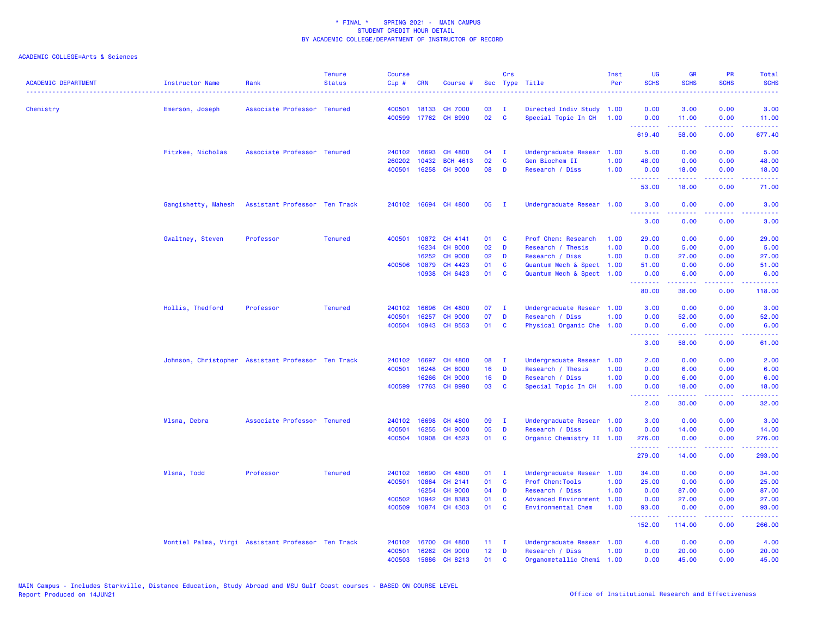| <b>ACADEMIC DEPARTMENT</b> | Instructor Name                                    | Rank                          | <b>Tenure</b><br><b>Status</b> | <b>Course</b><br>Cip# | <b>CRN</b>   | Course #                 |                 | Crs          | Sec Type Title                                  | Inst<br>Per | <b>UG</b><br><b>SCHS</b>                           | <b>GR</b><br><b>SCHS</b> | <b>PR</b><br><b>SCHS</b> | Total<br><b>SCHS</b>                                                                                                |
|----------------------------|----------------------------------------------------|-------------------------------|--------------------------------|-----------------------|--------------|--------------------------|-----------------|--------------|-------------------------------------------------|-------------|----------------------------------------------------|--------------------------|--------------------------|---------------------------------------------------------------------------------------------------------------------|
| Chemistry                  | Emerson, Joseph                                    | Associate Professor Tenured   |                                | 400501                | 18133        | <b>CH 7000</b>           | 03              | $\mathbf{I}$ | Directed Indiv Study 1.00                       |             | 0.00                                               | 3.00                     | 0.00                     | 3.00                                                                                                                |
|                            |                                                    |                               |                                | 400599                |              | 17762 CH 8990            | 02              | <b>C</b>     | Special Topic In CH                             | 1.00        | 0.00<br><b></b>                                    | 11.00<br><u>.</u>        | 0.00<br>.                | 11.00                                                                                                               |
|                            |                                                    |                               |                                |                       |              |                          |                 |              |                                                 |             | 619.40                                             | 58.00                    | 0.00                     | 677.40                                                                                                              |
|                            | Fitzkee, Nicholas                                  | Associate Professor Tenured   |                                | 240102                | 16693        | CH 4800                  | 04              | $\mathbf{I}$ | Undergraduate Resear                            | 1.00        | 5.00                                               | 0.00                     | 0.00                     | 5.00                                                                                                                |
|                            |                                                    |                               |                                | 260202                | 10432        | <b>BCH 4613</b>          | 02              | C            | Gen Biochem II                                  | 1.00        | 48.00                                              | 0.00                     | 0.00                     | 48.00                                                                                                               |
|                            |                                                    |                               |                                | 400501                | 16258        | <b>CH 9000</b>           | 08              | D            | Research / Diss                                 | 1.00        | 0.00<br>--------                                   | 18.00<br>د د د د د       | 0.00<br>.                | 18.00<br>.                                                                                                          |
|                            |                                                    |                               |                                |                       |              |                          |                 |              |                                                 |             | 53.00                                              | 18.00                    | 0.00                     | 71.00                                                                                                               |
|                            | Gangishetty, Mahesh                                | Assistant Professor Ten Track |                                | 240102                |              | 16694 CH 4800            | 05              | $\mathbf{I}$ | Undergraduate Resear 1.00                       |             | 3.00                                               | 0.00                     | 0.00                     | 3.00                                                                                                                |
|                            |                                                    |                               |                                |                       |              |                          |                 |              |                                                 |             | <b><i><u><u> - - - - - - -</u></u></i></b><br>3.00 | 22222<br>0.00            | د د د د<br>0.00          | $\omega$ is $\omega$ in .<br>3.00                                                                                   |
|                            | Gwaltney, Steven                                   | Professor                     | <b>Tenured</b>                 | 400501                | 10872        | CH 4141                  | 01              | C            | Prof Chem: Research                             | 1.00        | 29.00                                              | 0.00                     | 0.00                     | 29.00                                                                                                               |
|                            |                                                    |                               |                                |                       | 16234        | <b>CH 8000</b>           | 02              | D            | Research / Thesis                               | 1.00        | 0.00                                               | 5.00                     | 0.00                     | 5.00                                                                                                                |
|                            |                                                    |                               |                                |                       | 16252        | <b>CH 9000</b>           | 02              | D            | Research / Diss                                 | 1.00        | 0.00                                               | 27.00                    | 0.00                     | 27.00                                                                                                               |
|                            |                                                    |                               |                                | 400506                | 10879        | CH 4423                  | 01              | C            | Quantum Mech & Spect 1.00                       |             | 51.00                                              | 0.00                     | 0.00                     | 51.00                                                                                                               |
|                            |                                                    |                               |                                |                       |              | 10938 CH 6423            | 01              | C            | Quantum Mech & Spect 1.00                       |             | 0.00<br><u>.</u>                                   | 6.00<br>.                | 0.00<br>.                | 6.00<br>$\begin{array}{cccccccccc} \bullet & \bullet & \bullet & \bullet & \bullet & \bullet & \bullet \end{array}$ |
|                            |                                                    |                               |                                |                       |              |                          |                 |              |                                                 |             | 80.00                                              | 38.00                    | 0.00                     | 118.00                                                                                                              |
|                            | Hollis, Thedford                                   | Professor                     | <b>Tenured</b>                 | 240102                | 16696        | CH 4800                  | 07              | $\mathbf{I}$ | Undergraduate Resear 1.00                       |             | 3.00                                               | 0.00                     | 0.00                     | 3.00                                                                                                                |
|                            |                                                    |                               |                                | 400501                | 16257        | <b>CH 9000</b>           | 07              | D            | Research / Diss                                 | 1.00        | 0.00                                               | 52.00                    | 0.00                     | 52.00                                                                                                               |
|                            |                                                    |                               |                                | 400504                |              | 10943 CH 8553            | 01              | <b>C</b>     | Physical Organic Che 1.00                       |             | 0.00<br>.                                          | 6.00<br>2.2.2.2.2        | 0.00<br>.                | 6.00<br>.                                                                                                           |
|                            |                                                    |                               |                                |                       |              |                          |                 |              |                                                 |             | 3.00                                               | 58.00                    | 0.00                     | 61.00                                                                                                               |
|                            | Johnson, Christopher Assistant Professor Ten Track |                               |                                | 240102                | 16697        | CH 4800                  | 08              | - I          | Undergraduate Resear                            | 1.00        | 2.00                                               | 0.00                     | 0.00                     | 2.00                                                                                                                |
|                            |                                                    |                               |                                | 400501                | 16248        | <b>CH 8000</b>           | 16              | D            | Research / Thesis                               | 1.00        | 0.00                                               | 6.00                     | 0.00                     | 6.00                                                                                                                |
|                            |                                                    |                               |                                |                       | 16266        | <b>CH 9000</b>           | 16              | D            | Research / Diss                                 | 1.00        | 0.00                                               | 6.00                     | 0.00                     | 6.00                                                                                                                |
|                            |                                                    |                               |                                |                       | 400599 17763 | <b>CH 8990</b>           | 03              | C            | Special Topic In CH                             | 1.00        | 0.00<br><b><i><u><u> - - - - - - -</u></u></i></b> | 18.00<br>المتمامين       | 0.00<br>.                | 18.00<br>.                                                                                                          |
|                            |                                                    |                               |                                |                       |              |                          |                 |              |                                                 |             | 2.00                                               | 30.00                    | 0.00                     | 32.00                                                                                                               |
|                            | Mlsna, Debra                                       | Associate Professor Tenured   |                                |                       | 240102 16698 | CH 4800                  | 09              | - I          | Undergraduate Resear 1.00                       |             | 3.00                                               | 0.00                     | 0.00                     | 3.00                                                                                                                |
|                            |                                                    |                               |                                | 400501                | 16255        | <b>CH 9000</b>           | 05              | D            | Research / Diss                                 | 1.00        | 0.00                                               | 14.00                    | 0.00                     | 14.00                                                                                                               |
|                            |                                                    |                               |                                | 400504                | 10908        | CH 4523                  | 01              | C            | Organic Chemistry II 1.00                       |             | 276.00<br>.                                        | 0.00                     | 0.00                     | 276.00<br>.                                                                                                         |
|                            |                                                    |                               |                                |                       |              |                          |                 |              |                                                 |             | 279.00                                             | 14.00                    | 0.00                     | 293.00                                                                                                              |
|                            | Mlsna, Todd                                        | Professor                     | <b>Tenured</b>                 |                       | 240102 16690 | <b>CH 4800</b>           | 01              | - I          | Undergraduate Resear 1.00                       |             | 34.00                                              | 0.00                     | 0.00                     | 34.00                                                                                                               |
|                            |                                                    |                               |                                | 400501                | 10864        | CH 2141                  | 01              | C            | Prof Chem: Tools                                | 1.00        | 25.00                                              | 0.00                     | 0.00                     | 25.00                                                                                                               |
|                            |                                                    |                               |                                |                       | 16254        | <b>CH 9000</b>           | 04              | D            | Research / Diss                                 | 1.00        | 0.00                                               | 87.00                    | 0.00                     | 87.00                                                                                                               |
|                            |                                                    |                               |                                | 400502<br>400509      | 10942        | CH 8383<br>10874 CH 4303 | 01<br>01        | C<br>C       | Advanced Environment 1.00<br>Environmental Chem | 1.00        | 0.00<br>93.00                                      | 27.00<br>0.00            | 0.00<br>0.00             | 27.00<br>93.00                                                                                                      |
|                            |                                                    |                               |                                |                       |              |                          |                 |              |                                                 |             | .<br>152.00                                        | .<br>114.00              | .<br>0.00                | .<br>266.00                                                                                                         |
|                            |                                                    |                               |                                |                       |              |                          |                 |              |                                                 |             |                                                    |                          |                          |                                                                                                                     |
|                            | Montiel Palma, Virgi Assistant Professor Ten Track |                               |                                | 240102                | 16700        | <b>CH 4800</b>           | 11              | $\mathbf{I}$ | Undergraduate Resear                            | 1.00        | 4.00                                               | 0.00                     | 0.00                     | 4.00                                                                                                                |
|                            |                                                    |                               |                                | 400501<br>400503      | 16262        | <b>CH 9000</b>           | 12 <sub>2</sub> | D<br>C       | Research / Diss                                 | 1.00        | 0.00                                               | 20.00                    | 0.00                     | 20.00                                                                                                               |
|                            |                                                    |                               |                                |                       | 15886        | CH 8213                  | 01              |              | Organometallic Chemi 1.00                       |             | 0.00                                               | 45.00                    | 0.00                     | 45.00                                                                                                               |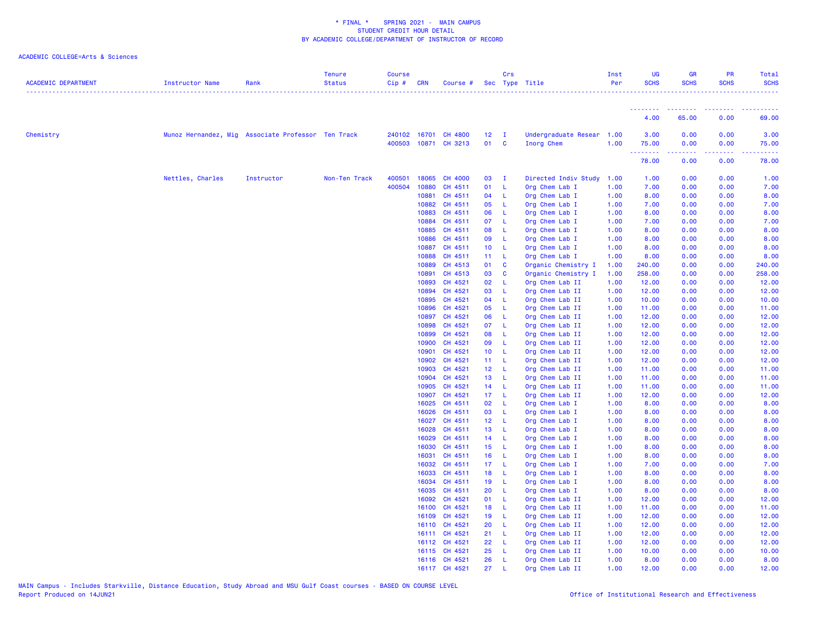| <b>ACADEMIC DEPARTMENT</b> | Instructor Name                                    | Rank       | <b>Tenure</b><br><b>Status</b> | <b>Course</b><br>$Cip \#$ | <b>CRN</b>     | Course #                                     |                                    | Crs                 | Sec Type Title                          | Inst<br>Per  | UG<br><b>SCHS</b> | <b>GR</b><br><b>SCHS</b>                                                                                                                                             | PR<br><b>SCHS</b>        | Total<br><b>SCHS</b>       |
|----------------------------|----------------------------------------------------|------------|--------------------------------|---------------------------|----------------|----------------------------------------------|------------------------------------|---------------------|-----------------------------------------|--------------|-------------------|----------------------------------------------------------------------------------------------------------------------------------------------------------------------|--------------------------|----------------------------|
|                            |                                                    |            |                                |                           |                |                                              |                                    |                     |                                         |              | ---------         | <b></b>                                                                                                                                                              |                          |                            |
|                            |                                                    |            |                                |                           |                |                                              |                                    |                     |                                         |              | 4.00              | 65.00                                                                                                                                                                | 0.00                     | 69.00                      |
| Chemistry                  | Munoz Hernandez, Mig Associate Professor Ten Track |            |                                |                           |                | 240102 16701 CH 4800<br>400503 10871 CH 3213 | 12 <sub>2</sub><br>01              | $\blacksquare$<br>C | Undergraduate Resear 1.00<br>Inorg Chem | 1.00         | 3.00<br>75.00     | 0.00<br>0.00<br>$\frac{1}{2} \left( \frac{1}{2} \right) \left( \frac{1}{2} \right) \left( \frac{1}{2} \right) \left( \frac{1}{2} \right) \left( \frac{1}{2} \right)$ | 0.00<br>0.00<br>المستمال | 3.00<br>75.00<br>والمستحدث |
|                            |                                                    |            |                                |                           |                |                                              |                                    |                     |                                         |              | .<br>78.00        | 0.00                                                                                                                                                                 | 0.00                     | 78.00                      |
|                            | Nettles, Charles                                   | Instructor | Non-Ten Track                  | 400501                    | 18065          | <b>CH 4000</b>                               | 03                                 | $\mathbf{I}$        | Directed Indiv Study                    | 1.00         | 1.00              | 0.00                                                                                                                                                                 | 0.00                     | 1.00                       |
|                            |                                                    |            |                                | 400504                    | 10880          | CH 4511                                      | 01                                 | -L                  | Org Chem Lab I                          | 1.00         | 7.00              | 0.00                                                                                                                                                                 | 0.00                     | 7.00                       |
|                            |                                                    |            |                                |                           | 10881          | CH 4511                                      | 04                                 | - L                 | Org Chem Lab I                          | 1.00         | 8.00              | 0.00                                                                                                                                                                 | 0.00                     | 8.00                       |
|                            |                                                    |            |                                |                           | 10882          | CH 4511                                      | 05                                 | -L                  | Org Chem Lab I                          | 1.00         | 7.00              | 0.00                                                                                                                                                                 | 0.00                     | 7.00                       |
|                            |                                                    |            |                                |                           | 10883          | CH 4511                                      | 06                                 | L                   | Org Chem Lab I                          | 1.00         | 8.00              | 0.00                                                                                                                                                                 | 0.00                     | 8.00                       |
|                            |                                                    |            |                                |                           | 10884          | CH 4511                                      | 07                                 | - L                 | Org Chem Lab I                          | 1.00         | 7.00              | 0.00                                                                                                                                                                 | 0.00                     | 7.00                       |
|                            |                                                    |            |                                |                           | 10885          | CH 4511                                      | 08                                 | - L                 | Org Chem Lab I                          | 1.00         | 8.00              | 0.00                                                                                                                                                                 | 0.00                     | 8.00                       |
|                            |                                                    |            |                                |                           | 10886          | CH 4511                                      | 09                                 | -L                  | Org Chem Lab I                          | 1.00         | 8.00              | 0.00                                                                                                                                                                 | 0.00                     | 8.00                       |
|                            |                                                    |            |                                |                           | 10887<br>10888 | CH 4511<br>CH 4511                           | 10 <sub>1</sub><br>11 <sub>1</sub> | - L<br>- L          | Org Chem Lab I<br>Org Chem Lab I        | 1.00<br>1.00 | 8.00<br>8.00      | 0.00<br>0.00                                                                                                                                                         | 0.00<br>0.00             | 8.00<br>8.00               |
|                            |                                                    |            |                                |                           | 10889          | CH 4513                                      | 01                                 | C                   | Organic Chemistry I                     | 1.00         | 240.00            | 0.00                                                                                                                                                                 | 0.00                     | 240.00                     |
|                            |                                                    |            |                                |                           | 10891          | CH 4513                                      | 03                                 | C                   | Organic Chemistry I                     | 1.00         | 258.00            | 0.00                                                                                                                                                                 | 0.00                     | 258.00                     |
|                            |                                                    |            |                                |                           | 10893          | CH 4521                                      | 02                                 | -L                  | Org Chem Lab II                         | 1.00         | 12.00             | 0.00                                                                                                                                                                 | 0.00                     | 12.00                      |
|                            |                                                    |            |                                |                           | 10894          | CH 4521                                      | 03                                 | -L                  | Org Chem Lab II                         | 1.00         | 12.00             | 0.00                                                                                                                                                                 | 0.00                     | 12.00                      |
|                            |                                                    |            |                                |                           | 10895          | CH 4521                                      | 04                                 | -L                  | Org Chem Lab II                         | 1.00         | 10.00             | 0.00                                                                                                                                                                 | 0.00                     | 10.00                      |
|                            |                                                    |            |                                |                           | 10896          | CH 4521                                      | 05                                 | - L                 | Org Chem Lab II                         | 1.00         | 11.00             | 0.00                                                                                                                                                                 | 0.00                     | 11.00                      |
|                            |                                                    |            |                                |                           | 10897          | CH 4521                                      | 06                                 | L                   | Org Chem Lab II                         | 1.00         | 12.00             | 0.00                                                                                                                                                                 | 0.00                     | 12.00                      |
|                            |                                                    |            |                                |                           | 10898          | CH 4521                                      | 07                                 | -L                  | Org Chem Lab II                         | 1.00         | 12.00             | 0.00                                                                                                                                                                 | 0.00                     | 12.00                      |
|                            |                                                    |            |                                |                           | 10899          | CH 4521                                      | 08                                 | -L                  | Org Chem Lab II                         | 1.00         | 12.00             | 0.00                                                                                                                                                                 | 0.00                     | 12.00                      |
|                            |                                                    |            |                                |                           | 10900          | CH 4521                                      | 09                                 | -L                  | Org Chem Lab II                         | 1.00         | 12.00             | 0.00                                                                                                                                                                 | 0.00                     | 12.00                      |
|                            |                                                    |            |                                |                           | 10901          | CH 4521                                      | 10 <sub>1</sub>                    | - L                 | Org Chem Lab II                         | 1.00         | 12.00             | 0.00                                                                                                                                                                 | 0.00                     | 12.00                      |
|                            |                                                    |            |                                |                           | 10902          | CH 4521                                      | 11 L                               |                     | Org Chem Lab II                         | 1.00         | 12.00             | 0.00                                                                                                                                                                 | 0.00                     | 12.00                      |
|                            |                                                    |            |                                |                           | 10903<br>10904 | CH 4521<br>CH 4521                           | 12 L<br>13                         | - L                 | Org Chem Lab II                         | 1.00<br>1.00 | 11.00             | 0.00                                                                                                                                                                 | 0.00<br>0.00             | 11.00                      |
|                            |                                                    |            |                                |                           | 10905          | CH 4521                                      | 14                                 | $\mathsf{L}$        | Org Chem Lab II<br>Org Chem Lab II      | 1.00         | 11.00<br>11.00    | 0.00<br>0.00                                                                                                                                                         | 0.00                     | 11.00<br>11.00             |
|                            |                                                    |            |                                |                           | 10907          | CH 4521                                      | 17 L                               |                     | Org Chem Lab II                         | 1.00         | 12.00             | 0.00                                                                                                                                                                 | 0.00                     | 12.00                      |
|                            |                                                    |            |                                |                           | 16025          | CH 4511                                      | 02                                 | - L                 | Org Chem Lab I                          | 1.00         | 8.00              | 0.00                                                                                                                                                                 | 0.00                     | 8.00                       |
|                            |                                                    |            |                                |                           | 16026          | CH 4511                                      | 03                                 | -L                  | Org Chem Lab I                          | 1.00         | 8.00              | 0.00                                                                                                                                                                 | 0.00                     | 8.00                       |
|                            |                                                    |            |                                |                           | 16027          | CH 4511                                      | 12 L                               |                     | Org Chem Lab I                          | 1.00         | 8.00              | 0.00                                                                                                                                                                 | 0.00                     | 8.00                       |
|                            |                                                    |            |                                |                           | 16028          | CH 4511                                      | 13                                 | $\mathsf{L}$        | Org Chem Lab I                          | 1.00         | 8.00              | 0.00                                                                                                                                                                 | 0.00                     | 8.00                       |
|                            |                                                    |            |                                |                           | 16029          | CH 4511                                      | 14                                 | - L                 | Org Chem Lab I                          | 1.00         | 8.00              | 0.00                                                                                                                                                                 | 0.00                     | 8.00                       |
|                            |                                                    |            |                                |                           | 16030          | CH 4511                                      | 15 <sub>1</sub>                    | - L                 | Org Chem Lab I                          | 1.00         | 8.00              | 0.00                                                                                                                                                                 | 0.00                     | 8.00                       |
|                            |                                                    |            |                                |                           | 16031          | CH 4511                                      | 16                                 | - L                 | Org Chem Lab I                          | 1.00         | 8.00              | 0.00                                                                                                                                                                 | 0.00                     | 8.00                       |
|                            |                                                    |            |                                |                           | 16032          | CH 4511                                      | 17 <sub>1</sub>                    | - L                 | Org Chem Lab I                          | 1.00         | 7.00              | 0.00                                                                                                                                                                 | 0.00                     | 7.00                       |
|                            |                                                    |            |                                |                           | 16033          | CH 4511                                      | 18                                 | - L                 | Org Chem Lab I                          | 1.00         | 8.00              | 0.00                                                                                                                                                                 | 0.00                     | 8.00                       |
|                            |                                                    |            |                                |                           | 16034          | CH 4511                                      | 19                                 | - L                 | Org Chem Lab I                          | 1.00         | 8.00              | 0.00                                                                                                                                                                 | 0.00                     | 8.00                       |
|                            |                                                    |            |                                |                           | 16035          | CH 4511                                      | 20                                 | L.                  | Org Chem Lab I                          | 1.00         | 8.00              | 0.00                                                                                                                                                                 | 0.00                     | 8.00                       |
|                            |                                                    |            |                                |                           | 16092          | CH 4521                                      | 01                                 | -L                  | Org Chem Lab II                         | 1.00         | 12.00             | 0.00                                                                                                                                                                 | 0.00                     | 12.00                      |
|                            |                                                    |            |                                |                           | 16100          | CH 4521                                      | 18                                 | - L                 | Org Chem Lab II                         | 1.00         | 11.00             | 0.00                                                                                                                                                                 | 0.00                     | 11.00                      |
|                            |                                                    |            |                                |                           | 16109          | CH 4521                                      | 19                                 | $\mathsf{L}$        | Org Chem Lab II                         | 1.00         | 12.00             | 0.00                                                                                                                                                                 | 0.00                     | 12.00                      |
|                            |                                                    |            |                                |                           |                | 16110 CH 4521                                | 20                                 | - L                 | Org Chem Lab II                         | 1.00         | 12.00             | 0.00                                                                                                                                                                 | 0.00                     | 12.00                      |
|                            |                                                    |            |                                |                           |                | 16111 CH 4521                                | 21                                 | -L                  | Org Chem Lab II                         | 1.00         | 12.00             | 0.00                                                                                                                                                                 | 0.00                     | 12.00                      |
|                            |                                                    |            |                                |                           |                | 16112 CH 4521                                | 22                                 | -L                  | Org Chem Lab II                         | 1.00         | 12.00             | 0.00                                                                                                                                                                 | 0.00                     | 12.00                      |
|                            |                                                    |            |                                |                           |                | 16115 CH 4521                                | 25                                 | -L                  | Org Chem Lab II                         | 1.00         | 10.00             | 0.00                                                                                                                                                                 | 0.00                     | 10.00                      |
|                            |                                                    |            |                                |                           |                | 16116 CH 4521                                | 26                                 | L                   | Org Chem Lab II                         | 1.00         | 8.00              | 0.00                                                                                                                                                                 | 0.00                     | 8.00                       |
|                            |                                                    |            |                                |                           |                | 16117 CH 4521                                | 27                                 |                     | Org Chem Lab II                         | 1.00         | 12.00             | 0.00                                                                                                                                                                 | 0.00                     | 12.00                      |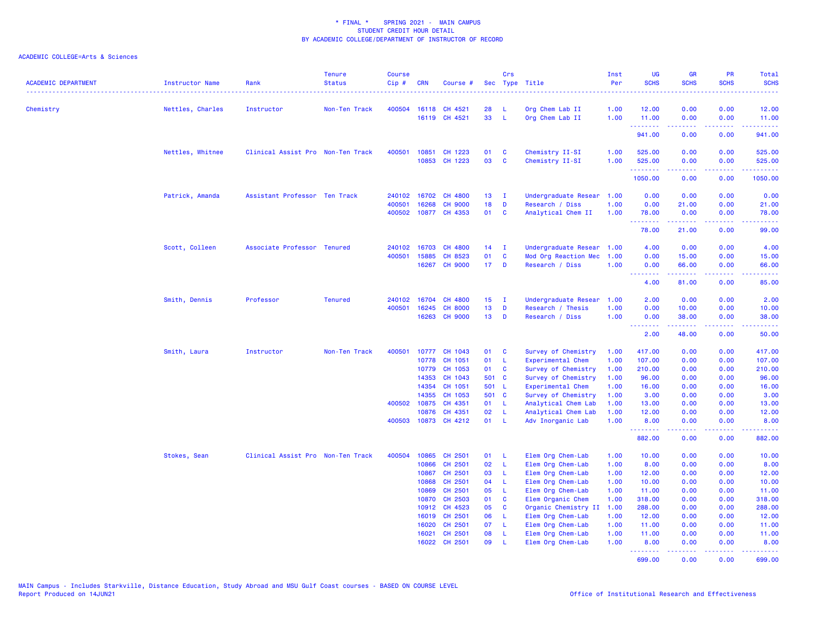| <b>ACADEMIC DEPARTMENT</b> | Instructor Name  | Rank                              | <b>Tenure</b><br><b>Status</b> | <b>Course</b><br>Cip# | <b>CRN</b>            | Course #             |                 | Crs          | Sec Type Title                             | Inst<br>Per<br>. | UG<br><b>SCHS</b>  | <b>GR</b><br><b>SCHS</b> | PR<br><b>SCHS</b>            | Total<br><b>SCHS</b>                                                                                                               |
|----------------------------|------------------|-----------------------------------|--------------------------------|-----------------------|-----------------------|----------------------|-----------------|--------------|--------------------------------------------|------------------|--------------------|--------------------------|------------------------------|------------------------------------------------------------------------------------------------------------------------------------|
| Chemistry                  | Nettles, Charles | Instructor                        | Non-Ten Track                  | 400504                |                       | 16118 CH 4521        | 28              | L            | Org Chem Lab II                            | 1.00             | 12.00              | 0.00                     | 0.00                         | 12.00                                                                                                                              |
|                            |                  |                                   |                                |                       |                       | 16119 CH 4521        | 33              | L            | Org Chem Lab II                            | 1.00             | 11.00              | 0.00                     | 0.00                         | 11.00                                                                                                                              |
|                            |                  |                                   |                                |                       |                       |                      |                 |              |                                            |                  | .<br>941.00        | 22222<br>0.00            | .<br>0.00                    | $\mathbf{1} \cdot \mathbf{1} \cdot \mathbf{1} \cdot \mathbf{1} \cdot \mathbf{1} \cdot \mathbf{1}$<br>941.00                        |
|                            | Nettles, Whitnee | Clinical Assist Pro Non-Ten Track |                                | 400501                | 10851                 | CH 1223              | 01              | C            | Chemistry II-SI                            | 1.00             | 525.00             | 0.00                     | 0.00                         | 525.00                                                                                                                             |
|                            |                  |                                   |                                |                       |                       | 10853 CH 1223        | 03              | C            | Chemistry II-SI                            | 1.00             | 525.00<br>.        | 0.00<br>.                | 0.00<br>.                    | 525.00<br>.                                                                                                                        |
|                            |                  |                                   |                                |                       |                       |                      |                 |              |                                            |                  | 1050.00            | 0.00                     | 0.00                         | 1050.00                                                                                                                            |
|                            | Patrick, Amanda  | Assistant Professor Ten Track     |                                |                       |                       | 240102 16702 CH 4800 | 13 <sup>7</sup> | - I          | Undergraduate Resear                       | 1.00             | 0.00               | 0.00                     | 0.00                         | 0.00                                                                                                                               |
|                            |                  |                                   |                                | 400501                | 16268                 | <b>CH 9000</b>       | 18              | D            | Research / Diss                            | 1.00             | 0.00               | 21.00                    | 0.00                         | 21.00                                                                                                                              |
|                            |                  |                                   |                                |                       |                       | 400502 10877 CH 4353 | 01              | <b>C</b>     | Analytical Chem II                         | 1.00             | 78.00<br><u>.</u>  | 0.00<br>بالأباب          | 0.00                         | 78.00<br>المستمين                                                                                                                  |
|                            |                  |                                   |                                |                       |                       |                      |                 |              |                                            |                  | 78.00              | 21.00                    | 0.00                         | 99.00                                                                                                                              |
|                            | Scott, Colleen   | Associate Professor Tenured       |                                |                       | 240102 16703          | CH 4800              | 14              | $\mathbf{I}$ | Undergraduate Resear 1.00                  |                  | 4.00               | 0.00                     | 0.00                         | 4.00                                                                                                                               |
|                            |                  |                                   |                                | 400501                | 15885                 | CH 8523              | 01              | $\mathbf{C}$ | Mod Org Reaction Mec                       | 1.00             | 0.00               | 15.00                    | 0.00                         | 15.00                                                                                                                              |
|                            |                  |                                   |                                |                       | 16267                 | <b>CH 9000</b>       | 17 <sub>1</sub> | D            | Research / Diss                            | 1.00             | 0.00<br><b></b>    | 66.00                    | 0.00<br>.                    | 66.00<br>.                                                                                                                         |
|                            |                  |                                   |                                |                       |                       |                      |                 |              |                                            |                  | 4.00               | 81.00                    | 0.00                         | 85.00                                                                                                                              |
|                            | Smith, Dennis    | Professor                         | <b>Tenured</b>                 |                       | 240102 16704          | CH 4800              | 15 <sub>1</sub> | $\mathbf{I}$ | Undergraduate Resear                       | 1.00             | 2.00               | 0.00                     | 0.00                         | 2.00                                                                                                                               |
|                            |                  |                                   |                                | 400501                | 16245                 | <b>CH 8000</b>       | 13              | D            | Research / Thesis                          | 1.00             | 0.00               | 10.00                    | 0.00                         | 10.00                                                                                                                              |
|                            |                  |                                   |                                |                       | 16263                 | <b>CH 9000</b>       | 13 <sup>°</sup> | D            | Research / Diss                            | 1.00             | 0.00<br>.          | 38.00<br>.               | 0.00<br>$\sim$ $\sim$ $\sim$ | 38.00<br>$\frac{1}{2} \left( \frac{1}{2} \right) \left( \frac{1}{2} \right) \left( \frac{1}{2} \right) \left( \frac{1}{2} \right)$ |
|                            |                  |                                   |                                |                       |                       |                      |                 |              |                                            |                  | 2.00               | 48.00                    | 0.00                         | 50.00                                                                                                                              |
|                            | Smith, Laura     | Instructor                        | Non-Ten Track                  | 400501                |                       | 10777 CH 1043        | 01              | C            | Survey of Chemistry                        | 1.00             | 417.00             | 0.00                     | 0.00                         | 417.00                                                                                                                             |
|                            |                  |                                   |                                |                       | 10778                 | CH 1051              | 01              | L            | Experimental Chem                          | 1.00             | 107.00             | 0.00                     | 0.00                         | 107.00                                                                                                                             |
|                            |                  |                                   |                                |                       | 10779                 | CH 1053              | 01              | <b>C</b>     | Survey of Chemistry                        | 1.00             | 210.00             | 0.00                     | 0.00                         | 210.00                                                                                                                             |
|                            |                  |                                   |                                |                       | 14353                 | CH 1043              | 501 C           |              | Survey of Chemistry                        | 1.00             | 96.00              | 0.00                     | 0.00                         | 96.00                                                                                                                              |
|                            |                  |                                   |                                |                       | 14354                 | CH 1051              | 501 L           |              | Experimental Chem                          | 1.00             | 16.00              | 0.00                     | 0.00                         | 16.00                                                                                                                              |
|                            |                  |                                   |                                |                       | 14355<br>400502 10875 | CH 1053              | 501 C           |              | Survey of Chemistry                        | 1.00             | 3.00               | 0.00                     | 0.00<br>0.00                 | 3.00                                                                                                                               |
|                            |                  |                                   |                                |                       | 10876                 | CH 4351<br>CH 4351   | 01<br>02        | - L<br>L     | Analytical Chem Lab<br>Analytical Chem Lab | 1.00<br>1.00     | 13.00<br>12.00     | 0.00<br>0.00             | 0.00                         | 13.00<br>12.00                                                                                                                     |
|                            |                  |                                   |                                |                       |                       | 400503 10873 CH 4212 | 01              | -L.          | Adv Inorganic Lab                          | 1.00             | 8.00               | 0.00                     | 0.00                         | 8.00                                                                                                                               |
|                            |                  |                                   |                                |                       |                       |                      |                 |              |                                            |                  | <u>.</u><br>882.00 | المستمال<br>0.00         | بالأباء<br>0.00              | المتمام<br>882.00                                                                                                                  |
|                            | Stokes, Sean     | Clinical Assist Pro Non-Ten Track |                                | 400504                | 10865                 | CH 2501              | 01              | -L           | Elem Org Chem-Lab                          | 1.00             | 10.00              | 0.00                     | 0.00                         | 10.00                                                                                                                              |
|                            |                  |                                   |                                |                       | 10866                 | CH 2501              | 02              | L            | Elem Org Chem-Lab                          | 1.00             | 8.00               | 0.00                     | 0.00                         | 8.00                                                                                                                               |
|                            |                  |                                   |                                |                       | 10867                 | CH 2501              | 03              | -L           | Elem Org Chem-Lab                          | 1.00             | 12.00              | 0.00                     | 0.00                         | 12.00                                                                                                                              |
|                            |                  |                                   |                                |                       | 10868                 | CH 2501              | 04              | L.           | Elem Org Chem-Lab                          | 1.00             | 10.00              | 0.00                     | 0.00                         | 10.00                                                                                                                              |
|                            |                  |                                   |                                |                       | 10869                 | CH 2501              | 05              | -L           | Elem Org Chem-Lab                          | 1.00             | 11.00              | 0.00                     | 0.00                         | 11.00                                                                                                                              |
|                            |                  |                                   |                                |                       | 10870                 | CH 2503              | 01              | C            | Elem Organic Chem                          | 1.00             | 318.00             | 0.00                     | 0.00                         | 318.00                                                                                                                             |
|                            |                  |                                   |                                |                       | 10912                 | CH 4523              | 05              | <b>C</b>     | Organic Chemistry II                       | 1.00             | 288.00             | 0.00                     | 0.00                         | 288.00                                                                                                                             |
|                            |                  |                                   |                                |                       | 16019                 | CH 2501              | 06              | - L          | Elem Org Chem-Lab                          | 1.00             | 12.00              | 0.00                     | 0.00                         | 12.00                                                                                                                              |
|                            |                  |                                   |                                |                       | 16020                 | CH 2501              | 07              | L            | Elem Org Chem-Lab                          | 1.00             | 11.00              | 0.00                     | 0.00                         | 11.00                                                                                                                              |
|                            |                  |                                   |                                |                       | 16021                 | CH 2501              | 08              | -L.          | Elem Org Chem-Lab                          | 1.00             | 11.00              | 0.00                     | 0.00                         | 11.00                                                                                                                              |
|                            |                  |                                   |                                |                       |                       | 16022 CH 2501        | 09              | -L           | Elem Org Chem-Lab                          | 1.00             | 8.00               | 0.00<br><u>.</u>         | 0.00<br>.                    | 8.00<br>.                                                                                                                          |
|                            |                  |                                   |                                |                       |                       |                      |                 |              |                                            |                  | 699.00             | 0.00                     | 0.00                         | 699.00                                                                                                                             |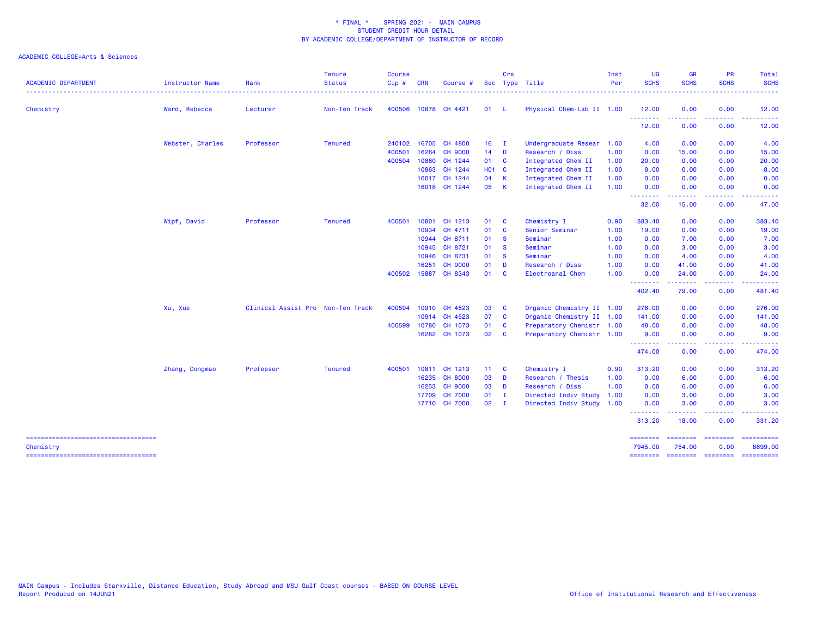| <b>ACADEMIC DEPARTMENT</b>                       | Instructor Name  | Rank                              | <b>Tenure</b><br><b>Status</b> | <b>Course</b><br>Cip# | <b>CRN</b> | Course #             |              | Crs          | Sec Type Title            | Inst<br>Per | <b>UG</b><br><b>SCHS</b> | <b>GR</b><br><b>SCHS</b>  | PR<br><b>SCHS</b>       | Total<br><b>SCHS</b>  |
|--------------------------------------------------|------------------|-----------------------------------|--------------------------------|-----------------------|------------|----------------------|--------------|--------------|---------------------------|-------------|--------------------------|---------------------------|-------------------------|-----------------------|
| Chemistry                                        | Ward, Rebecca    | Lecturer                          | Non-Ten Track                  |                       |            | 400506 10878 CH 4421 | 01 L         |              | Physical Chem-Lab II 1.00 |             | 12.00                    | 0.00                      | 0.00                    | 12.00                 |
|                                                  |                  |                                   |                                |                       |            |                      |              |              |                           |             | <u> - - - - - - - -</u>  |                           |                         |                       |
|                                                  |                  |                                   |                                |                       |            |                      |              |              |                           |             | 12.00                    | 0.00                      | 0.00                    | 12.00                 |
|                                                  | Webster, Charles | Professor                         | <b>Tenured</b>                 | 240102 16705          |            | <b>CH 4800</b>       | $16$ I       |              | Undergraduate Resear 1.00 |             | 4.00                     | 0.00                      | 0.00                    | 4.00                  |
|                                                  |                  |                                   |                                | 400501                | 16264      | <b>CH 9000</b>       | $14$ D       |              | Research / Diss           | 1.00        | 0.00                     | 15.00                     | 0.00                    | 15.00                 |
|                                                  |                  |                                   |                                | 400504 10860          |            | CH 1244              | 01 C         |              | Integrated Chem II        | 1.00        | 20.00                    | 0.00                      | 0.00                    | 20.00                 |
|                                                  |                  |                                   |                                |                       | 10863      | CH 1244              | <b>HO1 C</b> |              | Integrated Chem II        | 1.00        | 8.00                     | 0.00                      | 0.00                    | 8.00                  |
|                                                  |                  |                                   |                                |                       | 16017      | CH 1244              | 04 K         |              | Integrated Chem II        | 1.00        | 0.00                     | 0.00                      | 0.00                    | 0.00                  |
|                                                  |                  |                                   |                                |                       |            | 16018 CH 1244        | 05 K         |              | Integrated Chem II        | 1.00        | 0.00<br><b>.</b> .       | 0.00<br>.                 | 0.00<br>-----           | 0.00<br>-----         |
|                                                  |                  |                                   |                                |                       |            |                      |              |              |                           |             | 32.00                    | 15.00                     | 0.00                    | 47.00                 |
|                                                  | Wipf, David      | Professor                         | <b>Tenured</b>                 | 400501                | 10801      | CH 1213              | 01           | $\mathbf{C}$ | Chemistry I               | 0.90        | 383.40                   | 0.00                      | 0.00                    | 383.40                |
|                                                  |                  |                                   |                                |                       |            | 10934 CH 4711        | 01           | $\mathbf{C}$ | Senior Seminar            | 1.00        | 19.00                    | 0.00                      | 0.00                    | 19.00                 |
|                                                  |                  |                                   |                                |                       | 10944      | CH 8711              | 01           | $\mathbf{s}$ | Seminar                   | 1.00        | 0.00                     | 7.00                      | 0.00                    | 7.00                  |
|                                                  |                  |                                   |                                |                       | 10945      | CH 8721              | 01           | <b>S</b>     | Seminar                   | 1.00        | 0.00                     | 3.00                      | 0.00                    | 3.00                  |
|                                                  |                  |                                   |                                |                       | 10946      | CH 8731              | 01 S         |              | Seminar                   | 1.00        | 0.00                     | 4.00                      | 0.00                    | 4.00                  |
|                                                  |                  |                                   |                                |                       | 16251      | <b>CH 9000</b>       | 01           | D            | Research / Diss           | 1.00        | 0.00                     | 41.00                     | 0.00                    | 41.00                 |
|                                                  |                  |                                   |                                | 400502 15887          |            | CH 8343              | 01 C         |              | Electroanal Chem          | 1.00        | 0.00<br>.                | 24.00<br>.                | 0.00<br>.               | 24.00                 |
|                                                  |                  |                                   |                                |                       |            |                      |              |              |                           |             | 402.40                   | 79.00                     | 0.00                    | 481.40                |
|                                                  | Xu, Xue          | Clinical Assist Pro Non-Ten Track |                                |                       |            | 400504 10910 CH 4523 | 03           | $\mathbf{C}$ | Organic Chemistry II 1.00 |             | 276.00                   | 0.00                      | 0.00                    | 276.00                |
|                                                  |                  |                                   |                                |                       |            | 10914 CH 4523        | 07           | $\mathbf{C}$ | Organic Chemistry II 1.00 |             | 141.00                   | 0.00                      | 0.00                    | 141.00                |
|                                                  |                  |                                   |                                | 400599                | 10780      | CH 1073              | 01           | $\mathbf{C}$ | Preparatory Chemistr 1.00 |             | 48.00                    | 0.00                      | 0.00                    | 48.00                 |
|                                                  |                  |                                   |                                |                       |            | 16282 CH 1073        | 02           | $\mathbf{C}$ | Preparatory Chemistr 1.00 |             | 9.00                     | 0.00                      | 0.00                    | 9.00                  |
|                                                  |                  |                                   |                                |                       |            |                      |              |              |                           |             | --------<br>474.00       | .<br>0.00                 | .<br>0.00               | .<br>474.00           |
|                                                  | Zhang, Dongmao   | Professor                         | <b>Tenured</b>                 | 400501                |            | 10811 CH 1213        | 11 C         |              | Chemistry I               | 0.90        | 313.20                   | 0.00                      | 0.00                    | 313.20                |
|                                                  |                  |                                   |                                |                       | 16235      | <b>CH 8000</b>       | 03           | $\mathbf{D}$ | Research / Thesis         | 1.00        | 0.00                     | 6.00                      | 0.00                    | 6.00                  |
|                                                  |                  |                                   |                                |                       | 16253      | <b>CH 9000</b>       | 03 D         |              | Research / Diss           | 1.00        | 0.00                     | 6.00                      | 0.00                    | 6.00                  |
|                                                  |                  |                                   |                                |                       | 17709      | <b>CH 7000</b>       | $01$ I       |              | Directed Indiv Study      | 1.00        | 0.00                     | 3.00                      | 0.00                    | 3.00                  |
|                                                  |                  |                                   |                                |                       |            | 17710 CH 7000        | $02 \quad I$ |              | Directed Indiv Study 1.00 |             | 0.00                     | 3.00                      | 0.00                    | 3.00                  |
|                                                  |                  |                                   |                                |                       |            |                      |              |              |                           |             | .<br>313.20              | -----<br>18.00            | .<br>0.00               | . <u>.</u><br>331.20  |
| -----------------------------------<br>Chemistry |                  |                                   |                                |                       |            |                      |              |              |                           |             | ========<br>7945.00      | <b>ESSESSES</b><br>754.00 | <b>ESSESSES</b><br>0.00 | ==========<br>8699.00 |
| =====================================            |                  |                                   |                                |                       |            |                      |              |              |                           |             | ========                 | <b>CONSIGNS</b>           | <b>CONSIGNS</b>         |                       |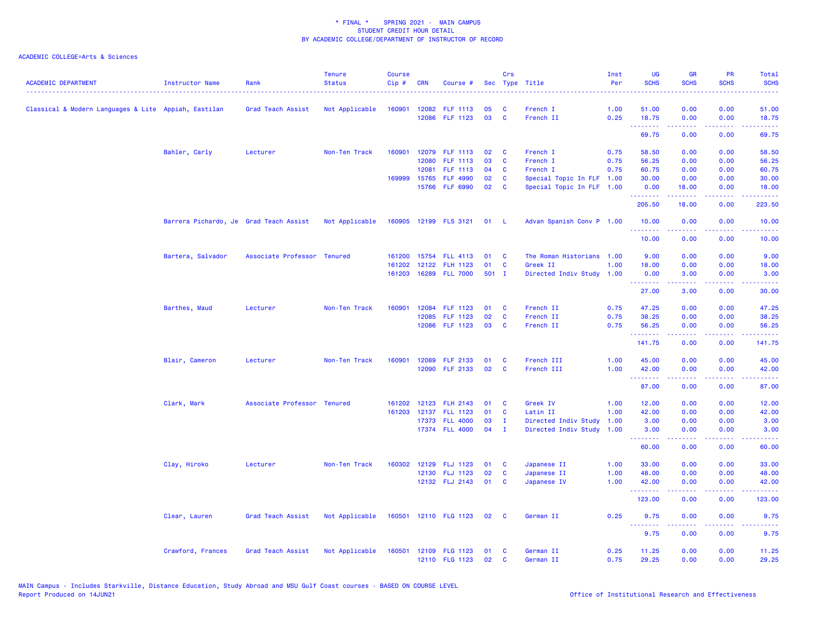| <b>ACADEMIC DEPARTMENT</b>                           | Instructor Name                        | Rank                        | <b>Tenure</b><br><b>Status</b> | <b>Course</b><br>Cip# | <b>CRN</b>   | Course #              |         | Crs          | Sec Type Title            | Inst<br>Per | <b>UG</b><br><b>SCHS</b> | <b>GR</b><br><b>SCHS</b> | <b>PR</b><br><b>SCHS</b>                                                                                                          | <b>Total</b><br><b>SCHS</b> |
|------------------------------------------------------|----------------------------------------|-----------------------------|--------------------------------|-----------------------|--------------|-----------------------|---------|--------------|---------------------------|-------------|--------------------------|--------------------------|-----------------------------------------------------------------------------------------------------------------------------------|-----------------------------|
|                                                      |                                        |                             |                                |                       |              |                       |         |              |                           |             |                          |                          |                                                                                                                                   |                             |
| Classical & Modern Languages & Lite Appiah, Eastilan |                                        | Grad Teach Assist           | Not Applicable                 | 160901                |              | 12082 FLF 1113        | 05      | <b>C</b>     | French I                  | 1.00        | 51.00                    | 0.00                     | 0.00                                                                                                                              | 51.00                       |
|                                                      |                                        |                             |                                |                       |              | 12086 FLF 1123        | 03      | C            | French II                 | 0.25        | 18.75<br>.               | 0.00<br>.                | 0.00<br>.                                                                                                                         | 18.75<br>.                  |
|                                                      |                                        |                             |                                |                       |              |                       |         |              |                           |             | 69.75                    | 0.00                     | 0.00                                                                                                                              | 69.75                       |
|                                                      | Bahler, Carly                          | Lecturer                    | Non-Ten Track                  | 160901                |              | 12079 FLF 1113        | 02      | <b>C</b>     | French I                  | 0.75        | 58.50                    | 0.00                     | 0.00                                                                                                                              | 58.50                       |
|                                                      |                                        |                             |                                |                       | 12080        | FLF 1113              | 03      | C            | French I                  | 0.75        | 56.25                    | 0.00                     | 0.00                                                                                                                              | 56.25                       |
|                                                      |                                        |                             |                                |                       | 12081        | FLF 1113              | 04      | <b>C</b>     | French I                  | 0.75        | 60.75                    | 0.00                     | 0.00                                                                                                                              | 60.75                       |
|                                                      |                                        |                             |                                |                       | 169999 15765 | <b>FLF 4990</b>       | 02      | C            | Special Topic In FLF 1.00 |             | 30.00                    | 0.00                     | 0.00                                                                                                                              | 30.00                       |
|                                                      |                                        |                             |                                |                       |              | 15766 FLF 6990        | 02      | C            | Special Topic In FLF 1.00 |             | 0.00<br>.                | 18.00<br>.               | 0.00<br>.                                                                                                                         | 18.00<br><u>.</u>           |
|                                                      |                                        |                             |                                |                       |              |                       |         |              |                           |             | 205.50                   | 18.00                    | 0.00                                                                                                                              | 223.50                      |
|                                                      | Barrera Pichardo, Je Grad Teach Assist |                             | Not Applicable                 |                       |              | 160905 12199 FLS 3121 | 01      | - L          | Advan Spanish Conv P 1.00 |             | 10.00<br>.               | 0.00<br><u>.</u>         | 0.00<br>.                                                                                                                         | 10.00<br>.                  |
|                                                      |                                        |                             |                                |                       |              |                       |         |              |                           |             | 10.00                    | 0.00                     | 0.00                                                                                                                              | 10.00                       |
|                                                      | Bartera, Salvador                      | Associate Professor Tenured |                                | 161200                |              | 15754 FLL 4113        | 01      | C            | The Roman Historians 1.00 |             | 9.00                     | 0.00                     | 0.00                                                                                                                              | 9.00                        |
|                                                      |                                        |                             |                                | 161202                |              | 12122 FLH 1123        | 01      | C            | Greek II                  | 1.00        | 18.00                    | 0.00                     | 0.00                                                                                                                              | 18.00                       |
|                                                      |                                        |                             |                                |                       |              | 161203 16289 FLL 7000 | $501$ I |              | Directed Indiv Study      | 1.00        | 0.00<br>.                | 3.00                     | 0.00                                                                                                                              | 3.00                        |
|                                                      |                                        |                             |                                |                       |              |                       |         |              |                           |             | 27.00                    | 3.00                     | 0.00                                                                                                                              | 30.00                       |
|                                                      | Barthes, Maud                          | Lecturer                    | Non-Ten Track                  | 160901                |              | 12084 FLF 1123        | 01      | C            | French II                 | 0.75        | 47.25                    | 0.00                     | 0.00                                                                                                                              | 47.25                       |
|                                                      |                                        |                             |                                |                       |              | 12085 FLF 1123        | 02      | C            | French II                 | 0.75        | 38.25                    | 0.00                     | 0.00                                                                                                                              | 38.25                       |
|                                                      |                                        |                             |                                |                       |              | 12086 FLF 1123        | 03      | C            | French II                 | 0.75        | 56.25<br><u>.</u>        | 0.00<br>.                | 0.00<br>.                                                                                                                         | 56.25<br>.                  |
|                                                      |                                        |                             |                                |                       |              |                       |         |              |                           |             | 141.75                   | 0.00                     | 0.00                                                                                                                              | 141.75                      |
|                                                      | Blair, Cameron                         | Lecturer                    | Non-Ten Track                  | 160901                |              | 12089 FLF 2133        | 01      | C            | French III                | 1.00        | 45.00                    | 0.00                     | 0.00                                                                                                                              | 45.00                       |
|                                                      |                                        |                             |                                |                       |              | 12090 FLF 2133        | 02      | C            | French III                | 1.00        | 42.00<br>.               | 0.00                     | 0.00                                                                                                                              | 42.00<br>.                  |
|                                                      |                                        |                             |                                |                       |              |                       |         |              |                           |             | 87.00                    | 0.00                     | $\frac{1}{2} \left( \frac{1}{2} \right) \left( \frac{1}{2} \right) \left( \frac{1}{2} \right) \left( \frac{1}{2} \right)$<br>0.00 | 87.00                       |
|                                                      | Clark, Mark                            | Associate Professor Tenured |                                |                       |              | 161202 12123 FLH 2143 | 01      | C            | Greek IV                  | 1.00        | 12.00                    | 0.00                     | 0.00                                                                                                                              | 12.00                       |
|                                                      |                                        |                             |                                | 161203                |              | 12137 FLL 1123        | 01      | C            | Latin II                  | 1.00        | 42.00                    | 0.00                     | 0.00                                                                                                                              | 42.00                       |
|                                                      |                                        |                             |                                |                       |              | 17373 FLL 4000        | 03      | $\mathbf{I}$ | Directed Indiv Study      | 1.00        | 3.00                     | 0.00                     | 0.00                                                                                                                              | 3.00                        |
|                                                      |                                        |                             |                                |                       |              | 17374 FLL 4000        | 04      | $\mathbf{I}$ | Directed Indiv Study 1.00 |             | 3.00<br><b></b>          | 0.00<br>.                | 0.00<br>.                                                                                                                         | 3.00<br>.                   |
|                                                      |                                        |                             |                                |                       |              |                       |         |              |                           |             | 60.00                    | 0.00                     | 0.00                                                                                                                              | 60.00                       |
|                                                      | Clay, Hiroko                           | Lecturer                    | Non-Ten Track                  | 160302                |              | 12129 FLJ 1123        | 01      | C            | Japanese II               | 1.00        | 33.00                    | 0.00                     | 0.00                                                                                                                              | 33.00                       |
|                                                      |                                        |                             |                                |                       |              | 12130 FLJ 1123        | 02      | C            | Japanese II               | 1.00        | 48.00                    | 0.00                     | 0.00                                                                                                                              | 48.00                       |
|                                                      |                                        |                             |                                |                       |              | 12132 FLJ 2143        | 01      | <b>C</b>     | Japanese IV               | 1.00        | 42.00                    | 0.00                     | 0.00                                                                                                                              | 42.00                       |
|                                                      |                                        |                             |                                |                       |              |                       |         |              |                           |             | 123.00                   | 0.00                     | 0.00                                                                                                                              | 123.00                      |
|                                                      | Clear, Lauren                          | Grad Teach Assist           | Not Applicable                 |                       |              | 160501 12110 FLG 1123 | 02      | C            | German II                 | 0.25        | 9.75                     | 0.00                     | 0.00                                                                                                                              | 9.75                        |
|                                                      |                                        |                             |                                |                       |              |                       |         |              |                           |             | .<br>9.75                | .<br>0.00                | د د د د<br>0.00                                                                                                                   | 2222<br>9.75                |
|                                                      | Crawford, Frances                      | Grad Teach Assist           | Not Applicable                 | 160501                |              | 12109 FLG 1123        | 01      | C            | German II                 | 0.25        | 11.25                    | 0.00                     | 0.00                                                                                                                              | 11.25                       |
|                                                      |                                        |                             |                                |                       |              | 12110 FLG 1123        | 02      | C            | German II                 | 0.75        | 29.25                    | 0.00                     | 0.00                                                                                                                              | 29.25                       |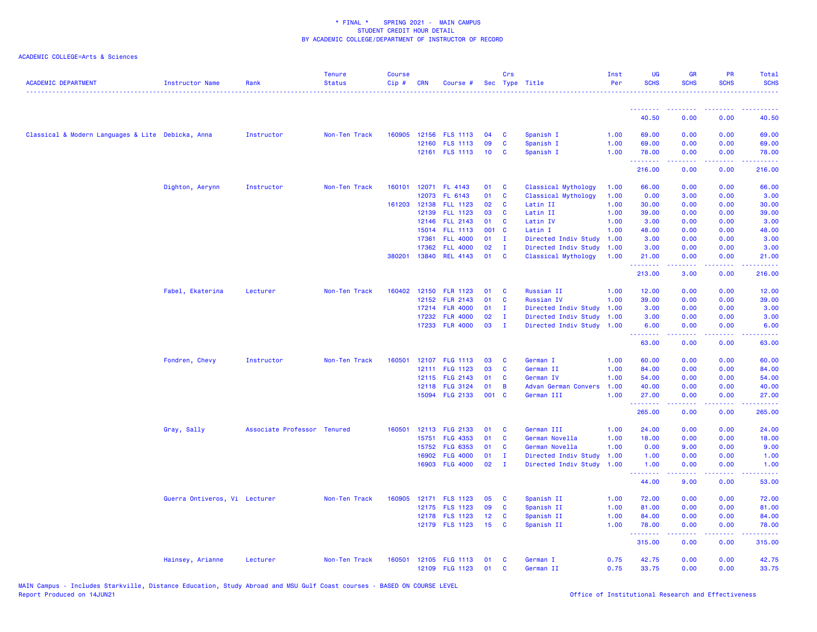|                                                   |                               |                             | Tenure        | Course |            |                 |       | Crs            |                           | Inst | <b>UG</b>         | <b>GR</b>                                                    | <b>PR</b>        | Total                                                                                                                          |
|---------------------------------------------------|-------------------------------|-----------------------------|---------------|--------|------------|-----------------|-------|----------------|---------------------------|------|-------------------|--------------------------------------------------------------|------------------|--------------------------------------------------------------------------------------------------------------------------------|
| <b>ACADEMIC DEPARTMENT</b>                        | Instructor Name               | Rank                        | <b>Status</b> | Cip#   | <b>CRN</b> | Course #        |       |                | Sec Type Title            | Per  | <b>SCHS</b>       | <b>SCHS</b>                                                  | <b>SCHS</b>      | <b>SCHS</b><br>.                                                                                                               |
|                                                   |                               |                             |               |        |            |                 |       |                |                           |      |                   |                                                              |                  |                                                                                                                                |
|                                                   |                               |                             |               |        |            |                 |       |                |                           |      | .<br>40.50        | <b><i><u><u><b>A</b></u></u> A A A A A A A A</i></b><br>0.00 | <u>.</u><br>0.00 | <u>.</u><br>40.50                                                                                                              |
|                                                   |                               |                             |               |        |            |                 |       |                |                           |      |                   |                                                              |                  |                                                                                                                                |
| Classical & Modern Languages & Lite Debicka, Anna |                               | Instructor                  | Non-Ten Track | 160905 |            | 12156 FLS 1113  | 04    | <b>C</b>       | Spanish I                 | 1.00 | 69.00             | 0.00                                                         | 0.00             | 69.00                                                                                                                          |
|                                                   |                               |                             |               |        |            | 12160 FLS 1113  | 09    | <b>C</b>       | Spanish I                 | 1.00 | 69.00             | 0.00                                                         | 0.00             | 69.00                                                                                                                          |
|                                                   |                               |                             |               |        |            | 12161 FLS 1113  | 10    | C              | Spanish I                 | 1.00 | 78.00<br><u>.</u> | 0.00<br>2.2.2.2.2                                            | 0.00<br>22222    | 78.00<br>$\begin{array}{cccccccccc} \bullet & \bullet & \bullet & \bullet & \bullet & \bullet & \bullet & \bullet \end{array}$ |
|                                                   |                               |                             |               |        |            |                 |       |                |                           |      | 216.00            | 0.00                                                         | 0.00             | 216.00                                                                                                                         |
|                                                   | Dighton, Aerynn               | Instructor                  | Non-Ten Track | 160101 |            | 12071 FL 4143   | 01    | $\mathbf{C}$   | Classical Mythology       | 1.00 | 66.00             | 0.00                                                         | 0.00             | 66.00                                                                                                                          |
|                                                   |                               |                             |               |        |            | 12073 FL 6143   | 01    | $\mathbf{C}$   | Classical Mythology       | 1.00 | 0.00              | 3.00                                                         | 0.00             | 3.00                                                                                                                           |
|                                                   |                               |                             |               | 161203 | 12138      | <b>FLL 1123</b> | 02    | <b>C</b>       | Latin II                  | 1.00 | 30.00             | 0.00                                                         | 0.00             | 30.00                                                                                                                          |
|                                                   |                               |                             |               |        | 12139      | <b>FLL 1123</b> | 03    | <b>C</b>       | Latin II                  | 1.00 | 39.00             | 0.00                                                         | 0.00             | 39.00                                                                                                                          |
|                                                   |                               |                             |               |        |            | 12146 FLL 2143  | 01    | $\mathbf{C}$   | Latin IV                  | 1.00 | 3.00              | 0.00                                                         | 0.00             | 3.00                                                                                                                           |
|                                                   |                               |                             |               |        | 15014      | <b>FLL 1113</b> | 001   | $\mathbf{C}$   | Latin I                   | 1.00 | 48.00             | 0.00                                                         | 0.00             | 48.00                                                                                                                          |
|                                                   |                               |                             |               |        | 17361      | <b>FLL 4000</b> | 01    | $\mathbf{I}$   | Directed Indiv Study      | 1.00 | 3.00              | 0.00                                                         | 0.00             | 3.00                                                                                                                           |
|                                                   |                               |                             |               |        | 17362      | <b>FLL 4000</b> | 02    | $\mathbf{I}$   | Directed Indiv Study      | 1.00 | 3.00              | 0.00                                                         | 0.00             | 3.00                                                                                                                           |
|                                                   |                               |                             |               | 380201 | 13840      | <b>REL 4143</b> | 01    | <b>C</b>       | Classical Mythology       | 1.00 | 21.00<br>.        | 0.00<br>22222                                                | 0.00<br>22222    | 21.00<br>$\begin{array}{cccccccccc} \bullet & \bullet & \bullet & \bullet & \bullet & \bullet & \bullet \end{array}$           |
|                                                   |                               |                             |               |        |            |                 |       |                |                           |      | 213.00            | 3.00                                                         | 0.00             | 216.00                                                                                                                         |
|                                                   | Fabel, Ekaterina              | Lecturer                    | Non-Ten Track | 160402 | 12150      | <b>FLR 1123</b> | 01    | <b>C</b>       | Russian II                | 1.00 | 12.00             | 0.00                                                         | 0.00             | 12.00                                                                                                                          |
|                                                   |                               |                             |               |        | 12152      | <b>FLR 2143</b> | 01    | C              | <b>Russian IV</b>         | 1.00 | 39.00             | 0.00                                                         | 0.00             | 39.00                                                                                                                          |
|                                                   |                               |                             |               |        |            | 17214 FLR 4000  | 01    | $\mathbf{I}$   | Directed Indiv Study 1.00 |      | 3.00              | 0.00                                                         | 0.00             | 3.00                                                                                                                           |
|                                                   |                               |                             |               |        | 17232      | <b>FLR 4000</b> | 02    | $\mathbf{I}$   | Directed Indiv Study 1.00 |      | 3.00              | 0.00                                                         | 0.00             | 3.00                                                                                                                           |
|                                                   |                               |                             |               |        |            | 17233 FLR 4000  | 03    | $\mathbf{I}$   | Directed Indiv Study 1.00 |      | 6.00              | 0.00                                                         | 0.00             | 6.00                                                                                                                           |
|                                                   |                               |                             |               |        |            |                 |       |                |                           |      | .<br>63.00        | .<br>0.00                                                    | .<br>0.00        | .<br>63.00                                                                                                                     |
|                                                   | Fondren, Chevy                | Instructor                  | Non-Ten Track | 160501 |            | 12107 FLG 1113  | 03    | C              | German I                  | 1.00 | 60.00             | 0.00                                                         | 0.00             | 60.00                                                                                                                          |
|                                                   |                               |                             |               |        |            | 12111 FLG 1123  | 03    | C              | German II                 | 1.00 | 84.00             | 0.00                                                         | 0.00             | 84.00                                                                                                                          |
|                                                   |                               |                             |               |        |            | 12115 FLG 2143  | 01    | $\mathbf{C}$   | German IV                 | 1.00 | 54.00             | 0.00                                                         | 0.00             | 54.00                                                                                                                          |
|                                                   |                               |                             |               |        |            | 12118 FLG 3124  | 01    | $\overline{B}$ | Advan German Convers      | 1.00 | 40.00             | 0.00                                                         | 0.00             | 40.00                                                                                                                          |
|                                                   |                               |                             |               |        |            | 15094 FLG 2133  | 001 C |                | German III                | 1.00 | 27.00             | 0.00                                                         | 0.00             | 27.00                                                                                                                          |
|                                                   |                               |                             |               |        |            |                 |       |                |                           |      | .<br>265.00       | .<br>0.00                                                    | .<br>0.00        | .<br>265.00                                                                                                                    |
|                                                   | Gray, Sally                   | Associate Professor Tenured |               | 160501 |            | 12113 FLG 2133  | 01    | <b>C</b>       | German III                | 1.00 | 24.00             | 0.00                                                         | 0.00             | 24.00                                                                                                                          |
|                                                   |                               |                             |               |        | 15751      | <b>FLG 4353</b> | 01    | C              | German Novella            | 1.00 | 18.00             | 0.00                                                         | 0.00             | 18.00                                                                                                                          |
|                                                   |                               |                             |               |        | 15752      | FLG 6353        | 01    | <b>C</b>       | German Novella            | 1.00 | 0.00              | 9.00                                                         | 0.00             | 9.00                                                                                                                           |
|                                                   |                               |                             |               |        | 16902      | <b>FLG 4000</b> | 01    | $\mathbf{I}$   | Directed Indiv Study      | 1.00 | 1.00              | 0.00                                                         | 0.00             | 1.00                                                                                                                           |
|                                                   |                               |                             |               |        |            | 16903 FLG 4000  | 02    | $\mathbf{I}$   | Directed Indiv Study      | 1.00 | 1.00              | 0.00                                                         | 0.00             | 1.00                                                                                                                           |
|                                                   |                               |                             |               |        |            |                 |       |                |                           |      | <u>.</u><br>44.00 | بالأبابات<br>9.00                                            | الأعاماء<br>0.00 | $\omega$ is a set<br>53.00                                                                                                     |
|                                                   |                               |                             | Non-Ten Track | 160905 |            | 12171 FLS 1123  | 05    | $\mathbf{C}$   |                           | 1.00 | 72.00             | 0.00                                                         | 0.00             | 72.00                                                                                                                          |
|                                                   | Guerra Ontiveros, Vi Lecturer |                             |               |        |            | 12175 FLS 1123  | 09    | <b>C</b>       | Spanish II<br>Spanish II  | 1.00 | 81.00             | 0.00                                                         | 0.00             | 81.00                                                                                                                          |
|                                                   |                               |                             |               |        |            | 12178 FLS 1123  | 12    | C              | Spanish II                | 1.00 | 84.00             | 0.00                                                         | 0.00             | 84.00                                                                                                                          |
|                                                   |                               |                             |               |        |            | 12179 FLS 1123  | 15    | C              | Spanish II                | 1.00 | 78.00             | 0.00                                                         | 0.00             | 78.00                                                                                                                          |
|                                                   |                               |                             |               |        |            |                 |       |                |                           |      | .<br>315.00       | .<br>0.00                                                    | .<br>0.00        | وبالمستمال<br>315.00                                                                                                           |
|                                                   |                               |                             |               |        |            |                 |       |                |                           |      |                   |                                                              |                  |                                                                                                                                |
|                                                   | Hainsey, Arianne              | Lecturer                    | Non-Ten Track | 160501 |            | 12105 FLG 1113  | 01    | C              | German I                  | 0.75 | 42.75             | 0.00                                                         | 0.00             | 42.75                                                                                                                          |
|                                                   |                               |                             |               |        |            | 12109 FLG 1123  | 01    | <b>C</b>       | German II                 | 0.75 | 33.75             | 0.00                                                         | 0.00             | 33.75                                                                                                                          |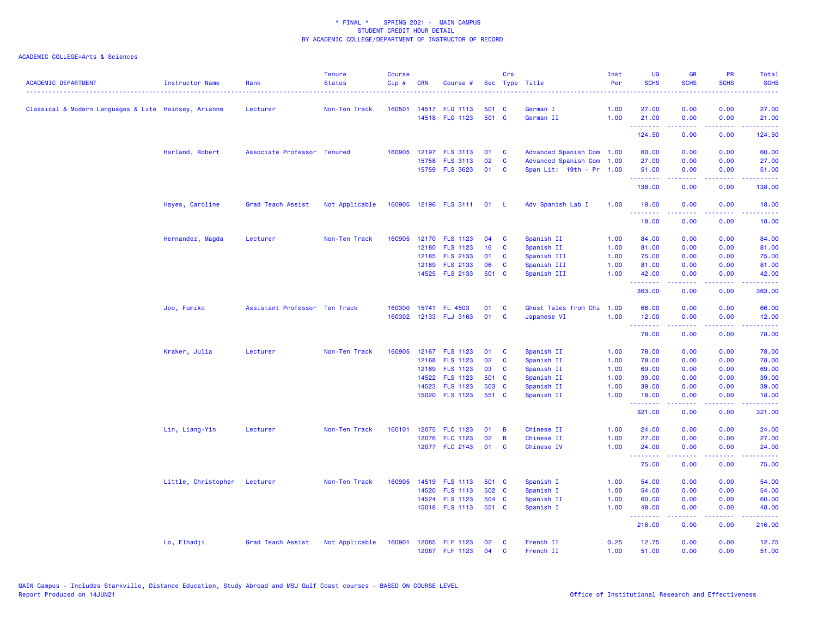| <b>ACADEMIC DEPARTMENT</b>                           | Instructor Name              | Rank                          | <b>Tenure</b><br><b>Status</b> | <b>Course</b><br>Cip# | <b>CRN</b> | Course #                   |       | Crs            | Sec Type Title            | Inst<br>Per | <b>UG</b><br><b>SCHS</b>                                                                                                                                                                                                                                                                                                                                                                                                                                                                        | <b>GR</b><br><b>SCHS</b>                                                                                                                                     | <b>PR</b><br><b>SCHS</b> | Total<br><b>SCHS</b> |
|------------------------------------------------------|------------------------------|-------------------------------|--------------------------------|-----------------------|------------|----------------------------|-------|----------------|---------------------------|-------------|-------------------------------------------------------------------------------------------------------------------------------------------------------------------------------------------------------------------------------------------------------------------------------------------------------------------------------------------------------------------------------------------------------------------------------------------------------------------------------------------------|--------------------------------------------------------------------------------------------------------------------------------------------------------------|--------------------------|----------------------|
| Classical & Modern Languages & Lite Hainsey, Arianne |                              | Lecturer                      | Non-Ten Track                  |                       |            | 160501 14517 FLG 1113      | 501 C |                | German I                  | 1.00        | 27.00                                                                                                                                                                                                                                                                                                                                                                                                                                                                                           | 0.00                                                                                                                                                         | 0.00                     | 27.00                |
|                                                      |                              |                               |                                |                       |            | 14518 FLG 1123             | 501 C |                | German II                 | 1.00        | 21.00                                                                                                                                                                                                                                                                                                                                                                                                                                                                                           | 0.00                                                                                                                                                         | 0.00                     | 21.00                |
|                                                      |                              |                               |                                |                       |            |                            |       |                |                           |             | .<br>124.50                                                                                                                                                                                                                                                                                                                                                                                                                                                                                     | $\frac{1}{2} \left( \frac{1}{2} \right) \left( \frac{1}{2} \right) \left( \frac{1}{2} \right) \left( \frac{1}{2} \right) \left( \frac{1}{2} \right)$<br>0.00 | .<br>0.00                | ------<br>124.50     |
|                                                      | Harland, Robert              | Associate Professor Tenured   |                                | 160905                | 12197      | <b>FLS 3113</b>            | 01    | <b>C</b>       | Advanced Spanish Com 1.00 |             | 60.00                                                                                                                                                                                                                                                                                                                                                                                                                                                                                           | 0.00                                                                                                                                                         | 0.00                     | 60.00                |
|                                                      |                              |                               |                                |                       | 15758      | <b>FLS 3113</b>            | 02    | C              | Advanced Spanish Com 1.00 |             | 27.00                                                                                                                                                                                                                                                                                                                                                                                                                                                                                           | 0.00                                                                                                                                                         | 0.00                     | 27.00                |
|                                                      |                              |                               |                                |                       |            | 15759 FLS 3623             | 01    | C              | Span Lit: 19th - Pr 1.00  |             | 51.00                                                                                                                                                                                                                                                                                                                                                                                                                                                                                           | 0.00                                                                                                                                                         | 0.00                     | 51.00                |
|                                                      |                              |                               |                                |                       |            |                            |       |                |                           |             | .<br>138.00                                                                                                                                                                                                                                                                                                                                                                                                                                                                                     | $\omega = \omega \omega + \omega$<br>0.00                                                                                                                    | .<br>0.00                | ------<br>138.00     |
|                                                      | Hayes, Caroline              | Grad Teach Assist             | Not Applicable                 |                       |            | 160905 12196 FLS 3111 01 L |       |                | Adv Spanish Lab I         | 1.00        | 18.00                                                                                                                                                                                                                                                                                                                                                                                                                                                                                           | 0.00                                                                                                                                                         | 0.00                     | 18.00                |
|                                                      |                              |                               |                                |                       |            |                            |       |                |                           |             | .<br>18.00                                                                                                                                                                                                                                                                                                                                                                                                                                                                                      | 0.00                                                                                                                                                         | 0.00                     | 18.00                |
|                                                      | Hernandez, Magda             | Lecturer                      | Non-Ten Track                  | 160905                |            | 12170 FLS 1123             | 04    | C              | Spanish II                | 1.00        | 84.00                                                                                                                                                                                                                                                                                                                                                                                                                                                                                           | 0.00                                                                                                                                                         | 0.00                     | 84.00                |
|                                                      |                              |                               |                                |                       | 12180      | <b>FLS 1123</b>            | 16    | C              | Spanish II                | 1.00        | 81.00                                                                                                                                                                                                                                                                                                                                                                                                                                                                                           | 0.00                                                                                                                                                         | 0.00                     | 81.00                |
|                                                      |                              |                               |                                |                       | 12185      | <b>FLS 2133</b>            | 01    | C              | Spanish III               | 1.00        | 75.00                                                                                                                                                                                                                                                                                                                                                                                                                                                                                           | 0.00                                                                                                                                                         | 0.00                     | 75.00                |
|                                                      |                              |                               |                                |                       | 12189      | <b>FLS 2133</b>            | 06    | C              | Spanish III               | 1.00        | 81.00                                                                                                                                                                                                                                                                                                                                                                                                                                                                                           | 0.00                                                                                                                                                         | 0.00                     | 81.00                |
|                                                      |                              |                               |                                |                       |            | 14525 FLS 2133             | 501 C |                | Spanish III               | 1.00        | 42.00<br>.                                                                                                                                                                                                                                                                                                                                                                                                                                                                                      | 0.00<br>المستمال                                                                                                                                             | 0.00<br>الأعاماء         | 42.00<br>.           |
|                                                      |                              |                               |                                |                       |            |                            |       |                |                           |             | 363.00                                                                                                                                                                                                                                                                                                                                                                                                                                                                                          | 0.00                                                                                                                                                         | 0.00                     | 363.00               |
|                                                      | Joo, Fumiko                  | Assistant Professor Ten Track |                                | 160300                |            | 15741 FL 4503              | 01    | C              | Ghost Tales from Chi 1.00 |             | 66.00                                                                                                                                                                                                                                                                                                                                                                                                                                                                                           | 0.00                                                                                                                                                         | 0.00                     | 66.00                |
|                                                      |                              |                               |                                | 160302                |            | 12133 FLJ 3163             | 01    | $\mathbf{C}$   | Japanese VI               | 1.00        | 12.00<br>.                                                                                                                                                                                                                                                                                                                                                                                                                                                                                      | 0.00<br>.                                                                                                                                                    | 0.00<br>$\frac{1}{2}$    | 12.00<br>.           |
|                                                      |                              |                               |                                |                       |            |                            |       |                |                           |             | 78.00                                                                                                                                                                                                                                                                                                                                                                                                                                                                                           | 0.00                                                                                                                                                         | 0.00                     | 78.00                |
|                                                      | Kraker, Julia                | Lecturer                      | Non-Ten Track                  | 160905                |            | 12167 FLS 1123             | 01    | <b>C</b>       | Spanish II                | 1.00        | 78.00                                                                                                                                                                                                                                                                                                                                                                                                                                                                                           | 0.00                                                                                                                                                         | 0.00                     | 78.00                |
|                                                      |                              |                               |                                |                       | 12168      | <b>FLS 1123</b>            | 02    | <b>C</b>       | Spanish II                | 1.00        | 78.00                                                                                                                                                                                                                                                                                                                                                                                                                                                                                           | 0.00                                                                                                                                                         | 0.00                     | 78.00                |
|                                                      |                              |                               |                                |                       | 12169      | <b>FLS 1123</b>            | 03    | C              | Spanish II                | 1.00        | 69.00                                                                                                                                                                                                                                                                                                                                                                                                                                                                                           | 0.00                                                                                                                                                         | 0.00                     | 69.00                |
|                                                      |                              |                               |                                |                       | 14522      | <b>FLS 1123</b>            | 501 C |                | Spanish II                | 1.00        | 39.00                                                                                                                                                                                                                                                                                                                                                                                                                                                                                           | 0.00                                                                                                                                                         | 0.00                     | 39.00                |
|                                                      |                              |                               |                                |                       | 14523      | <b>FLS 1123</b>            | 503 C |                | Spanish II                | 1.00        | 39.00                                                                                                                                                                                                                                                                                                                                                                                                                                                                                           | 0.00                                                                                                                                                         | 0.00                     | 39.00                |
|                                                      |                              |                               |                                |                       |            | 15020 FLS 1123             | 551 C |                | Spanish II                | 1.00        | 18.00<br>.                                                                                                                                                                                                                                                                                                                                                                                                                                                                                      | 0.00<br>22222                                                                                                                                                | 0.00<br>$\frac{1}{2}$    | 18.00<br>.           |
|                                                      |                              |                               |                                |                       |            |                            |       |                |                           |             | 321.00                                                                                                                                                                                                                                                                                                                                                                                                                                                                                          | 0.00                                                                                                                                                         | 0.00                     | 321.00               |
|                                                      | Lin, Liang-Yin               | Lecturer                      | Non-Ten Track                  |                       |            | 160101 12075 FLC 1123      | 01    | $\overline{B}$ | Chinese II                | 1.00        | 24.00                                                                                                                                                                                                                                                                                                                                                                                                                                                                                           | 0.00                                                                                                                                                         | 0.00                     | 24.00                |
|                                                      |                              |                               |                                |                       |            | 12076 FLC 1123             | 02    | B              | Chinese II                | 1.00        | 27.00                                                                                                                                                                                                                                                                                                                                                                                                                                                                                           | 0.00                                                                                                                                                         | 0.00                     | 27.00                |
|                                                      |                              |                               |                                |                       |            | 12077 FLC 2143             | 01    | <b>C</b>       | Chinese IV                | 1.00        | 24.00<br>$\begin{array}{cccccccccccccc} \multicolumn{2}{c}{} & \multicolumn{2}{c}{} & \multicolumn{2}{c}{} & \multicolumn{2}{c}{} & \multicolumn{2}{c}{} & \multicolumn{2}{c}{} & \multicolumn{2}{c}{} & \multicolumn{2}{c}{} & \multicolumn{2}{c}{} & \multicolumn{2}{c}{} & \multicolumn{2}{c}{} & \multicolumn{2}{c}{} & \multicolumn{2}{c}{} & \multicolumn{2}{c}{} & \multicolumn{2}{c}{} & \multicolumn{2}{c}{} & \multicolumn{2}{c}{} & \multicolumn{2}{c}{} & \multicolumn{2}{c}{} & \$ | 0.00<br><b><i><u><u>AAAAA</u></u></i></b>                                                                                                                    | 0.00<br>.                | 24.00<br>.           |
|                                                      |                              |                               |                                |                       |            |                            |       |                |                           |             | 75.00                                                                                                                                                                                                                                                                                                                                                                                                                                                                                           | 0.00                                                                                                                                                         | 0.00                     | 75.00                |
|                                                      | Little, Christopher Lecturer |                               | Non-Ten Track                  | 160905                |            | 14519 FLS 1113             | 501 C |                | Spanish I                 | 1.00        | 54.00                                                                                                                                                                                                                                                                                                                                                                                                                                                                                           | 0.00                                                                                                                                                         | 0.00                     | 54.00                |
|                                                      |                              |                               |                                |                       | 14520      | <b>FLS 1113</b>            | 502 C |                | Spanish I                 | 1.00        | 54.00                                                                                                                                                                                                                                                                                                                                                                                                                                                                                           | 0.00                                                                                                                                                         | 0.00                     | 54.00                |
|                                                      |                              |                               |                                |                       |            | 14524 FLS 1123             | 504 C |                | Spanish II                | 1.00        | 60.00                                                                                                                                                                                                                                                                                                                                                                                                                                                                                           | 0.00                                                                                                                                                         | 0.00                     | 60.00                |
|                                                      |                              |                               |                                |                       |            | 15018 FLS 1113             | 551 C |                | Spanish I                 | 1.00        | 48.00<br>.                                                                                                                                                                                                                                                                                                                                                                                                                                                                                      | 0.00<br>$\omega = \omega \omega + \omega$                                                                                                                    | 0.00<br>المتمالين        | 48.00<br>.           |
|                                                      |                              |                               |                                |                       |            |                            |       |                |                           |             | 216.00                                                                                                                                                                                                                                                                                                                                                                                                                                                                                          | 0.00                                                                                                                                                         | 0.00                     | 216.00               |
|                                                      | Lo, Elhadji                  | Grad Teach Assist             | Not Applicable                 | 160901                |            | 12085 FLF 1123             | 02    | <b>C</b>       | French II                 | 0.25        | 12.75                                                                                                                                                                                                                                                                                                                                                                                                                                                                                           | 0.00                                                                                                                                                         | 0.00                     | 12.75                |
|                                                      |                              |                               |                                |                       |            | 12087 FLF 1123             | 04    | <b>C</b>       | French II                 | 1.00        | 51.00                                                                                                                                                                                                                                                                                                                                                                                                                                                                                           | 0.00                                                                                                                                                         | 0.00                     | 51.00                |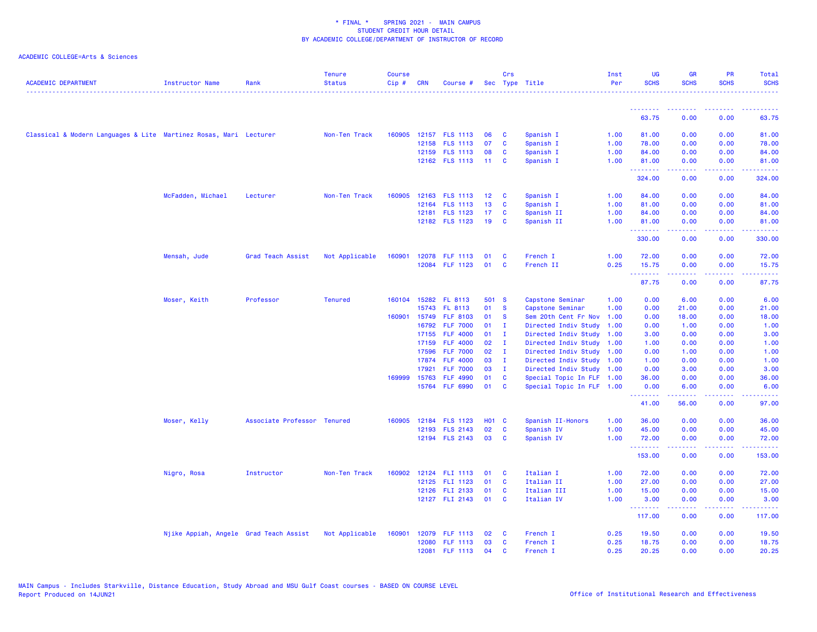| <b>ACADEMIC DEPARTMENT</b>                                        | <b>Instructor Name</b>                 | Rank                        | <b>Tenure</b><br><b>Status</b> | <b>Course</b><br>Cip# | <b>CRN</b> | Course #             |                 | Crs<br>Sec Type Title |                           | Inst<br>Per | <b>UG</b><br><b>SCHS</b>                                                                                                                                                                                                                                                                                                                                                                                                                                                                       | <b>GR</b><br><b>SCHS</b> | PR<br><b>SCHS</b>                                                                                                                 | Total<br><b>SCHS</b>                                                                                                      |
|-------------------------------------------------------------------|----------------------------------------|-----------------------------|--------------------------------|-----------------------|------------|----------------------|-----------------|-----------------------|---------------------------|-------------|------------------------------------------------------------------------------------------------------------------------------------------------------------------------------------------------------------------------------------------------------------------------------------------------------------------------------------------------------------------------------------------------------------------------------------------------------------------------------------------------|--------------------------|-----------------------------------------------------------------------------------------------------------------------------------|---------------------------------------------------------------------------------------------------------------------------|
|                                                                   |                                        |                             |                                |                       |            |                      |                 |                       |                           |             |                                                                                                                                                                                                                                                                                                                                                                                                                                                                                                |                          |                                                                                                                                   | $\frac{1}{2} \left( \frac{1}{2} \right) \left( \frac{1}{2} \right) \left( \frac{1}{2} \right) \left( \frac{1}{2} \right)$ |
|                                                                   |                                        |                             |                                |                       |            |                      |                 |                       |                           |             | <u>.</u>                                                                                                                                                                                                                                                                                                                                                                                                                                                                                       | .                        | ----                                                                                                                              |                                                                                                                           |
|                                                                   |                                        |                             |                                |                       |            |                      |                 |                       |                           |             | 63.75                                                                                                                                                                                                                                                                                                                                                                                                                                                                                          | 0.00                     | 0.00                                                                                                                              | 63.75                                                                                                                     |
| Classical & Modern Languages & Lite Martinez Rosas, Mari Lecturer |                                        |                             | Non-Ten Track                  | 160905                |            | 12157 FLS 1113       | 06              | C                     | Spanish I                 | 1.00        | 81.00                                                                                                                                                                                                                                                                                                                                                                                                                                                                                          | 0.00                     | 0.00                                                                                                                              | 81.00                                                                                                                     |
|                                                                   |                                        |                             |                                |                       |            | 12158 FLS 1113       | 07              | <b>C</b>              | Spanish I                 | 1.00        | 78.00                                                                                                                                                                                                                                                                                                                                                                                                                                                                                          | 0.00                     | 0.00                                                                                                                              | 78.00                                                                                                                     |
|                                                                   |                                        |                             |                                |                       |            | 12159 FLS 1113       | 08              | C                     | Spanish I                 | 1.00        | 84.00                                                                                                                                                                                                                                                                                                                                                                                                                                                                                          | 0.00                     | 0.00                                                                                                                              | 84.00                                                                                                                     |
|                                                                   |                                        |                             |                                |                       |            | 12162 FLS 1113       | $-11$           | C                     | Spanish I                 | 1.00        | 81.00<br><b>.</b> .                                                                                                                                                                                                                                                                                                                                                                                                                                                                            | 0.00<br>.                | 0.00<br>د د د د                                                                                                                   | 81.00<br>.                                                                                                                |
|                                                                   |                                        |                             |                                |                       |            |                      |                 |                       |                           |             | 324.00                                                                                                                                                                                                                                                                                                                                                                                                                                                                                         | 0.00                     | 0.00                                                                                                                              | 324.00                                                                                                                    |
|                                                                   | McFadden, Michael                      | Lecturer                    | Non-Ten Track                  | 160905                |            | 12163 FLS 1113       | 12 <sup>1</sup> | <b>C</b>              | Spanish I                 | 1.00        | 84.00                                                                                                                                                                                                                                                                                                                                                                                                                                                                                          | 0.00                     | 0.00                                                                                                                              | 84.00                                                                                                                     |
|                                                                   |                                        |                             |                                |                       | 12164      | <b>FLS 1113</b>      | 13              | $\mathbf{C}$          | Spanish I                 | 1.00        | 81.00                                                                                                                                                                                                                                                                                                                                                                                                                                                                                          | 0.00                     | 0.00                                                                                                                              | 81.00                                                                                                                     |
|                                                                   |                                        |                             |                                |                       |            | 12181 FLS 1123       | 17              | C                     | Spanish II                | 1.00        | 84.00                                                                                                                                                                                                                                                                                                                                                                                                                                                                                          | 0.00                     | 0.00                                                                                                                              | 84.00                                                                                                                     |
|                                                                   |                                        |                             |                                |                       |            | 12182 FLS 1123       | 19              | <b>C</b>              | Spanish II                | 1.00        | 81.00<br>.                                                                                                                                                                                                                                                                                                                                                                                                                                                                                     | 0.00<br><u>.</u>         | 0.00<br>.                                                                                                                         | 81.00<br>.                                                                                                                |
|                                                                   |                                        |                             |                                |                       |            |                      |                 |                       |                           |             | 330.00                                                                                                                                                                                                                                                                                                                                                                                                                                                                                         | 0.00                     | 0.00                                                                                                                              | 330.00                                                                                                                    |
|                                                                   | Mensah, Jude                           | Grad Teach Assist           | Not Applicable                 | 160901                |            | 12078 FLF 1113       | 01              | <b>C</b>              | French I                  | 1.00        | 72.00                                                                                                                                                                                                                                                                                                                                                                                                                                                                                          | 0.00                     | 0.00                                                                                                                              | 72.00                                                                                                                     |
|                                                                   |                                        |                             |                                |                       |            | 12084 FLF 1123       | 01              | <b>C</b>              | French II                 | 0.25        | 15.75<br><b>.</b> .                                                                                                                                                                                                                                                                                                                                                                                                                                                                            | 0.00<br>.                | 0.00<br>$\frac{1}{2} \left( \frac{1}{2} \right) \left( \frac{1}{2} \right) \left( \frac{1}{2} \right) \left( \frac{1}{2} \right)$ | 15.75<br>د د د د د                                                                                                        |
|                                                                   |                                        |                             |                                |                       |            |                      |                 |                       |                           |             | 87.75                                                                                                                                                                                                                                                                                                                                                                                                                                                                                          | 0.00                     | 0.00                                                                                                                              | 87.75                                                                                                                     |
|                                                                   | Moser, Keith                           | Professor                   | <b>Tenured</b>                 |                       |            | 160104 15282 FL 8113 | 501 S           |                       | Capstone Seminar          | 1.00        | 0.00                                                                                                                                                                                                                                                                                                                                                                                                                                                                                           | 6.00                     | 0.00                                                                                                                              | 6.00                                                                                                                      |
|                                                                   |                                        |                             |                                |                       | 15743      | FL 8113              | 01              | -S                    | Capstone Seminar          | 1.00        | 0.00                                                                                                                                                                                                                                                                                                                                                                                                                                                                                           | 21.00                    | 0.00                                                                                                                              | 21.00                                                                                                                     |
|                                                                   |                                        |                             |                                | 160901                | 15749      | <b>FLF 8103</b>      | 01              | -S                    | Sem 20th Cent Fr Nov      | 1.00        | 0.00                                                                                                                                                                                                                                                                                                                                                                                                                                                                                           | 18.00                    | 0.00                                                                                                                              | 18.00                                                                                                                     |
|                                                                   |                                        |                             |                                |                       |            | 16792 FLF 7000       | 01              | л.                    | Directed Indiv Study      | 1.00        | 0.00                                                                                                                                                                                                                                                                                                                                                                                                                                                                                           | 1.00                     | 0.00                                                                                                                              | 1.00                                                                                                                      |
|                                                                   |                                        |                             |                                |                       | 17155      | <b>FLF 4000</b>      | 01              | л.                    | Directed Indiv Study 1.00 |             | 3.00                                                                                                                                                                                                                                                                                                                                                                                                                                                                                           | 0.00                     | 0.00                                                                                                                              | 3.00                                                                                                                      |
|                                                                   |                                        |                             |                                |                       | 17159      | <b>FLF 4000</b>      | 02              | п.                    | Directed Indiv Study 1.00 |             | 1.00                                                                                                                                                                                                                                                                                                                                                                                                                                                                                           | 0.00                     | 0.00                                                                                                                              | 1.00                                                                                                                      |
|                                                                   |                                        |                             |                                |                       | 17596      | <b>FLF 7000</b>      | 02              | $\mathbf I$           | Directed Indiv Study 1.00 |             | 0.00                                                                                                                                                                                                                                                                                                                                                                                                                                                                                           | 1.00                     | 0.00                                                                                                                              | 1.00                                                                                                                      |
|                                                                   |                                        |                             |                                |                       | 17874      | <b>FLF 4000</b>      | 03              | $\mathbf{I}$          | Directed Indiv Study 1.00 |             | 1.00                                                                                                                                                                                                                                                                                                                                                                                                                                                                                           | 0.00                     | 0.00                                                                                                                              | 1.00                                                                                                                      |
|                                                                   |                                        |                             |                                |                       | 17921      | <b>FLF 7000</b>      | 03              | - I                   | Directed Indiv Study 1.00 |             | 0.00                                                                                                                                                                                                                                                                                                                                                                                                                                                                                           | 3.00                     | 0.00                                                                                                                              | 3.00                                                                                                                      |
|                                                                   |                                        |                             |                                | 169999                | 15763      | <b>FLF 4990</b>      | 01              | C                     | Special Topic In FLF 1.00 |             | 36.00                                                                                                                                                                                                                                                                                                                                                                                                                                                                                          | 0.00                     | 0.00                                                                                                                              | 36.00                                                                                                                     |
|                                                                   |                                        |                             |                                |                       |            | 15764 FLF 6990       | 01              | C                     | Special Topic In FLF 1.00 |             | 0.00<br><u>.</u>                                                                                                                                                                                                                                                                                                                                                                                                                                                                               | 6.00<br>-----            | 0.00<br>بالمحامي                                                                                                                  | 6.00<br>وعامات                                                                                                            |
|                                                                   |                                        |                             |                                |                       |            |                      |                 |                       |                           |             | 41.00                                                                                                                                                                                                                                                                                                                                                                                                                                                                                          | 56.00                    | 0.00                                                                                                                              | 97.00                                                                                                                     |
|                                                                   | Moser, Kelly                           | Associate Professor Tenured |                                | 160905                |            | 12184 FLS 1123       | <b>HO1 C</b>    |                       | Spanish II-Honors         | 1.00        | 36.00                                                                                                                                                                                                                                                                                                                                                                                                                                                                                          | 0.00                     | 0.00                                                                                                                              | 36.00                                                                                                                     |
|                                                                   |                                        |                             |                                |                       |            | 12193 FLS 2143       | 02              | C                     | Spanish IV                | 1.00        | 45.00                                                                                                                                                                                                                                                                                                                                                                                                                                                                                          | 0.00                     | 0.00                                                                                                                              | 45.00                                                                                                                     |
|                                                                   |                                        |                             |                                |                       |            | 12194 FLS 2143       | 03              | <b>C</b>              | Spanish IV                | 1.00        | 72.00<br><u>.</u>                                                                                                                                                                                                                                                                                                                                                                                                                                                                              | 0.00<br>.                | 0.00<br>د د د د                                                                                                                   | 72.00<br>.                                                                                                                |
|                                                                   |                                        |                             |                                |                       |            |                      |                 |                       |                           |             | 153.00                                                                                                                                                                                                                                                                                                                                                                                                                                                                                         | 0.00                     | 0.00                                                                                                                              | 153.00                                                                                                                    |
|                                                                   | Nigro, Rosa                            | Instructor                  | Non-Ten Track                  | 160902                |            | 12124 FLI 1113       | 01              | <b>C</b>              | Italian I                 | 1.00        | 72.00                                                                                                                                                                                                                                                                                                                                                                                                                                                                                          | 0.00                     | 0.00                                                                                                                              | 72.00                                                                                                                     |
|                                                                   |                                        |                             |                                |                       |            | 12125 FLI 1123       | 01              | $\mathbf{C}$          | Italian II                | 1.00        | 27.00                                                                                                                                                                                                                                                                                                                                                                                                                                                                                          | 0.00                     | 0.00                                                                                                                              | 27.00                                                                                                                     |
|                                                                   |                                        |                             |                                |                       |            | 12126 FLI 2133       | 01              | C                     | Italian III               | 1.00        | 15.00                                                                                                                                                                                                                                                                                                                                                                                                                                                                                          | 0.00                     | 0.00                                                                                                                              | 15.00                                                                                                                     |
|                                                                   |                                        |                             |                                |                       |            | 12127 FLI 2143       | 01              | <b>C</b>              | Italian IV                | 1.00        | 3.00<br>$\begin{array}{cccccccccccccc} \multicolumn{2}{c}{} & \multicolumn{2}{c}{} & \multicolumn{2}{c}{} & \multicolumn{2}{c}{} & \multicolumn{2}{c}{} & \multicolumn{2}{c}{} & \multicolumn{2}{c}{} & \multicolumn{2}{c}{} & \multicolumn{2}{c}{} & \multicolumn{2}{c}{} & \multicolumn{2}{c}{} & \multicolumn{2}{c}{} & \multicolumn{2}{c}{} & \multicolumn{2}{c}{} & \multicolumn{2}{c}{} & \multicolumn{2}{c}{} & \multicolumn{2}{c}{} & \multicolumn{2}{c}{} & \multicolumn{2}{c}{} & \$ | 0.00<br>.                | 0.00<br>----                                                                                                                      | 3.00<br>.                                                                                                                 |
|                                                                   |                                        |                             |                                |                       |            |                      |                 |                       |                           |             | 117.00                                                                                                                                                                                                                                                                                                                                                                                                                                                                                         | 0.00                     | 0.00                                                                                                                              | 117.00                                                                                                                    |
|                                                                   | Njike Appiah, Angele Grad Teach Assist |                             | Not Applicable                 | 160901                |            | 12079 FLF 1113       | 02              | <b>C</b>              | French I                  | 0.25        | 19.50                                                                                                                                                                                                                                                                                                                                                                                                                                                                                          | 0.00                     | 0.00                                                                                                                              | 19.50                                                                                                                     |
|                                                                   |                                        |                             |                                |                       |            | 12080 FLF 1113       | 03              | <b>C</b>              | French I                  | 0.25        | 18.75                                                                                                                                                                                                                                                                                                                                                                                                                                                                                          | 0.00                     | 0.00                                                                                                                              | 18.75                                                                                                                     |
|                                                                   |                                        |                             |                                |                       |            | 12081 FLF 1113       | 04              | <b>C</b>              | French I                  | 0.25        | 20.25                                                                                                                                                                                                                                                                                                                                                                                                                                                                                          | 0.00                     | 0.00                                                                                                                              | 20.25                                                                                                                     |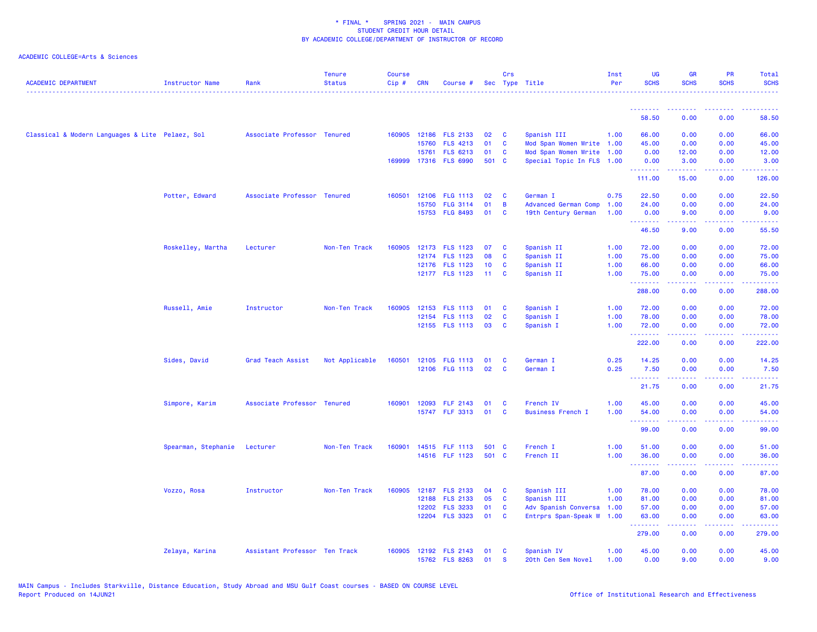| <b>ACADEMIC DEPARTMENT</b>                      | <b>Instructor Name</b> | Rank                          | <b>Tenure</b><br><b>Status</b> | <b>Course</b><br>$Cip \#$ | <b>CRN</b> | Course #                          |             | Crs          | Sec Type Title                                         | Inst<br>Per | <b>UG</b><br><b>SCHS</b>                                  | <b>GR</b><br><b>SCHS</b>                                                                                                                                     | PR<br><b>SCHS</b>                                          | Total<br><b>SCHS</b>                                                                                                              |
|-------------------------------------------------|------------------------|-------------------------------|--------------------------------|---------------------------|------------|-----------------------------------|-------------|--------------|--------------------------------------------------------|-------------|-----------------------------------------------------------|--------------------------------------------------------------------------------------------------------------------------------------------------------------|------------------------------------------------------------|-----------------------------------------------------------------------------------------------------------------------------------|
|                                                 |                        |                               |                                |                           |            |                                   |             |              |                                                        |             | <u> - - - - - - - -</u><br>58.50                          | <b><i><u><u><b>A</b></u></u></i></b><br>0.00                                                                                                                 | <b><i><u><u><b>a</b></u></u> a a a a a a a</i></b><br>0.00 | .<br>58.50                                                                                                                        |
|                                                 |                        |                               |                                |                           |            |                                   |             |              |                                                        |             |                                                           |                                                                                                                                                              |                                                            |                                                                                                                                   |
| Classical & Modern Languages & Lite Pelaez, Sol |                        | Associate Professor Tenured   |                                |                           |            | 160905 12186 FLS 2133             | 02          | <b>C</b>     | Spanish III                                            | 1.00        | 66.00                                                     | 0.00                                                                                                                                                         | 0.00                                                       | 66.00                                                                                                                             |
|                                                 |                        |                               |                                |                           | 15760      | <b>FLS 4213</b>                   | 01          | C            | Mod Span Women Write 1.00                              |             | 45.00                                                     | 0.00                                                                                                                                                         | 0.00                                                       | 45.00                                                                                                                             |
|                                                 |                        |                               |                                | 169999                    | 15761      | <b>FLS 6213</b><br>17316 FLS 6990 | 01<br>501 C | C            | Mod Span Women Write 1.00<br>Special Topic In FLS 1.00 |             | 0.00<br>0.00                                              | 12.00<br>3.00                                                                                                                                                | 0.00<br>0.00                                               | 12.00<br>3.00                                                                                                                     |
|                                                 |                        |                               |                                |                           |            |                                   |             |              |                                                        |             | <b><i><u><u><b>Little Little</b></u></u></i></b>          | $\frac{1}{2} \left( \frac{1}{2} \right) \left( \frac{1}{2} \right) \left( \frac{1}{2} \right) \left( \frac{1}{2} \right) \left( \frac{1}{2} \right)$         | .                                                          | .                                                                                                                                 |
|                                                 |                        |                               |                                |                           |            |                                   |             |              |                                                        |             | 111.00                                                    | 15.00                                                                                                                                                        | 0.00                                                       | 126.00                                                                                                                            |
|                                                 | Potter, Edward         | Associate Professor Tenured   |                                | 160501                    |            | 12106 FLG 1113                    | 02          | <b>C</b>     | German I                                               | 0.75        | 22.50                                                     | 0.00                                                                                                                                                         | 0.00                                                       | 22.50                                                                                                                             |
|                                                 |                        |                               |                                |                           |            | 15750 FLG 3114                    | 01          | B            | <b>Advanced German Comp</b>                            | 1.00        | 24.00                                                     | 0.00                                                                                                                                                         | 0.00                                                       | 24.00                                                                                                                             |
|                                                 |                        |                               |                                |                           |            | 15753 FLG 8493                    | 01          | C            | 19th Century German                                    | 1.00        | 0.00<br>.                                                 | 9.00<br>.                                                                                                                                                    | 0.00<br>المتمالين                                          | 9.00<br>$\frac{1}{2} \left( \frac{1}{2} \right) \left( \frac{1}{2} \right) \left( \frac{1}{2} \right) \left( \frac{1}{2} \right)$ |
|                                                 |                        |                               |                                |                           |            |                                   |             |              |                                                        |             | 46.50                                                     | 9.00                                                                                                                                                         | 0.00                                                       | 55.50                                                                                                                             |
|                                                 | Roskelley, Martha      | Lecturer                      | Non-Ten Track                  | 160905                    |            | 12173 FLS 1123                    | 07          | <b>C</b>     | Spanish II                                             | 1.00        | 72.00                                                     | 0.00                                                                                                                                                         | 0.00                                                       | 72.00                                                                                                                             |
|                                                 |                        |                               |                                |                           |            | 12174 FLS 1123                    | 08          | C            | Spanish II                                             | 1.00        | 75.00                                                     | 0.00                                                                                                                                                         | 0.00                                                       | 75.00                                                                                                                             |
|                                                 |                        |                               |                                |                           |            | 12176 FLS 1123                    | 10          | C            | Spanish II                                             | 1.00        | 66.00                                                     | 0.00                                                                                                                                                         | 0.00                                                       | 66.00                                                                                                                             |
|                                                 |                        |                               |                                |                           |            | 12177 FLS 1123                    | 11          | <b>C</b>     | Spanish II                                             | 1.00        | 75.00<br><u>.</u>                                         | 0.00<br>.                                                                                                                                                    | 0.00<br>.                                                  | 75.00<br>.                                                                                                                        |
|                                                 |                        |                               |                                |                           |            |                                   |             |              |                                                        |             | 288.00                                                    | 0.00                                                                                                                                                         | 0.00                                                       | 288.00                                                                                                                            |
|                                                 | Russell, Amie          | Instructor                    | Non-Ten Track                  | 160905                    |            | 12153 FLS 1113                    | 01          | C            | Spanish I                                              | 1.00        | 72.00                                                     | 0.00                                                                                                                                                         | 0.00                                                       | 72.00                                                                                                                             |
|                                                 |                        |                               |                                |                           |            | 12154 FLS 1113                    | 02          | C            | Spanish I                                              | 1.00        | 78.00                                                     | 0.00                                                                                                                                                         | 0.00                                                       | 78.00                                                                                                                             |
|                                                 |                        |                               |                                |                           |            | 12155 FLS 1113                    | 03          | C            | Spanish I                                              | 1.00        | 72.00<br><u>.</u>                                         | 0.00<br>.                                                                                                                                                    | 0.00<br>المالمات                                           | 72.00<br>.                                                                                                                        |
|                                                 |                        |                               |                                |                           |            |                                   |             |              |                                                        |             | 222.00                                                    | 0.00                                                                                                                                                         | 0.00                                                       | 222.00                                                                                                                            |
|                                                 | Sides, David           | Grad Teach Assist             | Not Applicable                 | 160501                    |            | 12105 FLG 1113                    | 01          | C            | German I                                               | 0.25        | 14.25                                                     | 0.00                                                                                                                                                         | 0.00                                                       | 14.25                                                                                                                             |
|                                                 |                        |                               |                                |                           |            | 12106 FLG 1113                    | 02          | $\mathbf{C}$ | German I                                               | 0.25        | 7.50                                                      | 0.00                                                                                                                                                         | 0.00                                                       | 7.50                                                                                                                              |
|                                                 |                        |                               |                                |                           |            |                                   |             |              |                                                        |             | <b></b><br>21.75                                          | .<br>0.00                                                                                                                                                    | $\sim$ $\sim$ $\sim$ $\sim$<br>0.00                        | المستبدين<br>21.75                                                                                                                |
|                                                 | Simpore, Karim         | Associate Professor Tenured   |                                | 160901                    |            | 12093 FLF 2143                    | 01          | <b>C</b>     | French IV                                              | 1.00        | 45.00                                                     | 0.00                                                                                                                                                         | 0.00                                                       | 45.00                                                                                                                             |
|                                                 |                        |                               |                                |                           |            | 15747 FLF 3313                    | 01          | C            | <b>Business French I</b>                               | 1.00        | 54.00<br><b><i><u><u><b>Little Little</b></u></u></i></b> | 0.00                                                                                                                                                         | 0.00<br>د د د د                                            | 54.00<br>وعاديات                                                                                                                  |
|                                                 |                        |                               |                                |                           |            |                                   |             |              |                                                        |             | 99.00                                                     | .<br>0.00                                                                                                                                                    | 0.00                                                       | 99.00                                                                                                                             |
|                                                 | Spearman, Stephanie    | Lecturer                      | Non-Ten Track                  | 160901                    |            | 14515 FLF 1113                    | 501 C       |              | French I                                               | 1.00        | 51.00                                                     | 0.00                                                                                                                                                         | 0.00                                                       | 51.00                                                                                                                             |
|                                                 |                        |                               |                                |                           |            | 14516 FLF 1123                    | 501 C       |              | French II                                              | 1.00        | 36.00                                                     | 0.00                                                                                                                                                         | 0.00                                                       | 36.00                                                                                                                             |
|                                                 |                        |                               |                                |                           |            |                                   |             |              |                                                        |             | <b><i><u><u><b>Little Little</b></u></u></i></b><br>87.00 | $\frac{1}{2} \left( \frac{1}{2} \right) \left( \frac{1}{2} \right) \left( \frac{1}{2} \right) \left( \frac{1}{2} \right) \left( \frac{1}{2} \right)$<br>0.00 | 22222<br>0.00                                              | .<br>87.00                                                                                                                        |
|                                                 | Vozzo, Rosa            | Instructor                    | Non-Ten Track                  | 160905                    |            | 12187 FLS 2133                    | 04          | <b>C</b>     | Spanish III                                            | 1.00        | 78.00                                                     | 0.00                                                                                                                                                         | 0.00                                                       | 78.00                                                                                                                             |
|                                                 |                        |                               |                                |                           |            | 12188 FLS 2133                    | 05          | C            | Spanish III                                            | 1.00        | 81.00                                                     | 0.00                                                                                                                                                         | 0.00                                                       | 81.00                                                                                                                             |
|                                                 |                        |                               |                                |                           |            | 12202 FLS 3233                    | 01          | C            | Adv Spanish Conversa                                   | 1.00        | 57.00                                                     | 0.00                                                                                                                                                         | 0.00                                                       | 57.00                                                                                                                             |
|                                                 |                        |                               |                                |                           |            | 12204 FLS 3323                    | 01          | $\mathbf{C}$ | Entrprs Span-Speak W                                   | 1.00        | 63.00<br>.                                                | 0.00<br>.                                                                                                                                                    | 0.00<br>.                                                  | 63.00<br>.                                                                                                                        |
|                                                 |                        |                               |                                |                           |            |                                   |             |              |                                                        |             | 279.00                                                    | 0.00                                                                                                                                                         | 0.00                                                       | 279.00                                                                                                                            |
|                                                 | Zelaya, Karina         | Assistant Professor Ten Track |                                | 160905                    |            | 12192 FLS 2143                    | 01          | C            | Spanish IV                                             | 1.00        | 45.00                                                     | 0.00                                                                                                                                                         | 0.00                                                       | 45.00                                                                                                                             |
|                                                 |                        |                               |                                |                           |            | 15762 FLS 8263                    | 01          | $\mathbf{s}$ | 20th Cen Sem Novel                                     | 1.00        | 0.00                                                      | 9.00                                                                                                                                                         | 0.00                                                       | 9.00                                                                                                                              |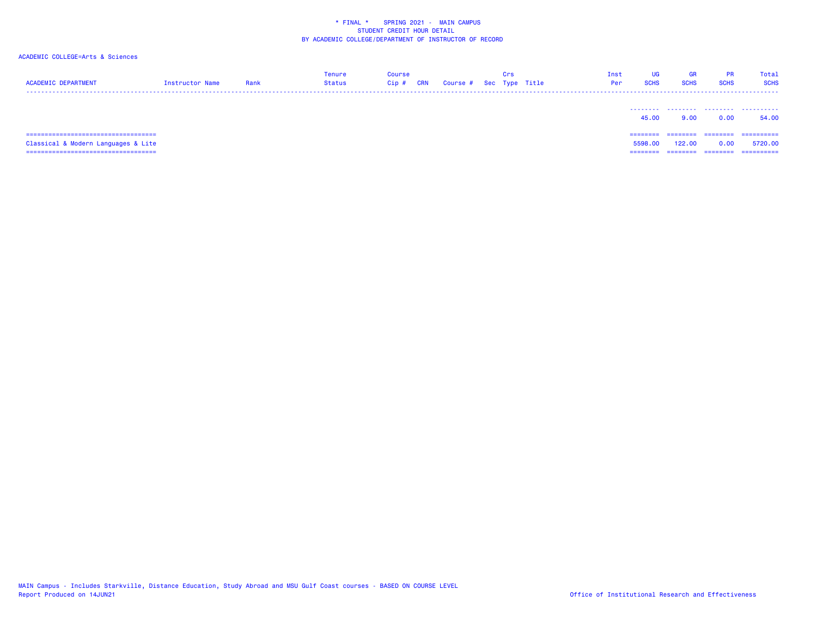| <b>ACADEMIC DEPARTMENT</b>             | Instructor Name | Rank | Tenure<br><b>Status</b> | Course<br><b>CRN</b><br>$Cip$ # | Course # | Crs | Sec Type Title | Inst<br>Per | <b>UG</b><br><b>SCHS</b> | GR<br><b>SCHS</b> | <b>PR</b><br><b>SCHS</b> | Total<br><b>SCHS</b> |
|----------------------------------------|-----------------|------|-------------------------|---------------------------------|----------|-----|----------------|-------------|--------------------------|-------------------|--------------------------|----------------------|
|                                        |                 |      |                         |                                 |          |     |                |             | 45.00                    | 9.00              | 0.00                     | .<br>54.00           |
| ====================================== |                 |      |                         |                                 |          |     |                |             | ========                 | ========          | --------                 | ==========           |
| Classical & Modern Languages & Lite    |                 |      |                         |                                 |          |     |                |             | 5598.00                  | 122.00            | 0.00                     | 5720.00              |
| -------------------------------------  |                 |      |                         |                                 |          |     |                |             | ========                 | ========          | ========                 | ==========           |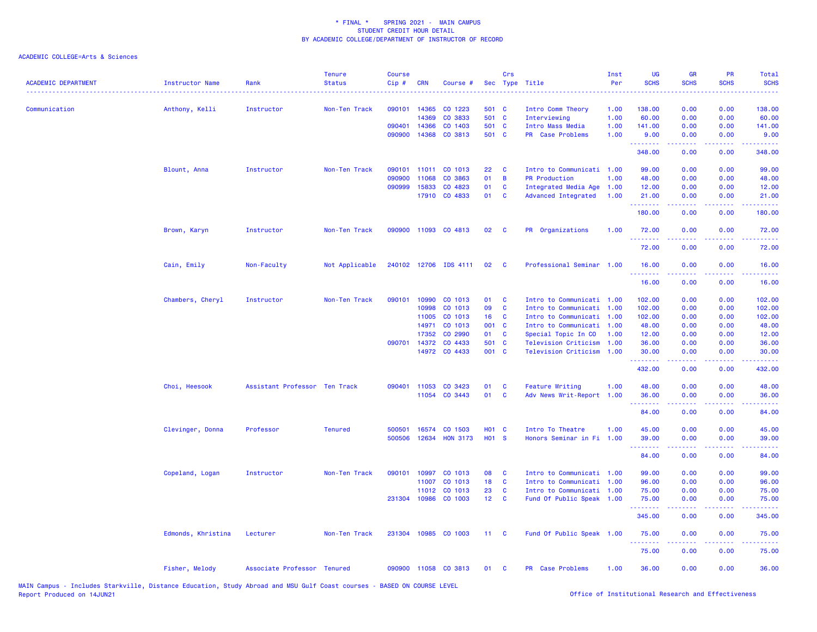| <b>ACADEMIC DEPARTMENT</b> | <b>Instructor Name</b> | Rank                          | <b>Tenure</b><br><b>Status</b> | <b>Course</b><br>Cip# | <b>CRN</b>   | Course #              |                   | Crs      | Sec Type Title              | Inst<br>Per | UG<br><b>SCHS</b> | <b>GR</b><br><b>SCHS</b> | PR<br><b>SCHS</b>                                                                                                                 | <b>Total</b><br><b>SCHS</b>                                                                                                         |
|----------------------------|------------------------|-------------------------------|--------------------------------|-----------------------|--------------|-----------------------|-------------------|----------|-----------------------------|-------------|-------------------|--------------------------|-----------------------------------------------------------------------------------------------------------------------------------|-------------------------------------------------------------------------------------------------------------------------------------|
| Communication              | Anthony, Kelli         | Instructor                    | Non-Ten Track                  | 090101                | 14365        | CO 1223               | 501 C             |          | Intro Comm Theory           | 1.00        | 138.00            | 0.00                     | 0.00                                                                                                                              | 138.00                                                                                                                              |
|                            |                        |                               |                                |                       | 14369        | CO 3833               | 501 C             |          | Interviewing                | 1.00        | 60.00             | 0.00                     | 0.00                                                                                                                              | 60.00                                                                                                                               |
|                            |                        |                               |                                | 090401                | 14366        | CO 1403               | 501 C             |          | Intro Mass Media            | 1.00        | 141.00            | 0.00                     | 0.00                                                                                                                              | 141.00                                                                                                                              |
|                            |                        |                               |                                | 090900                | 14368        | CO 3813               | 501 C             |          | PR Case Problems            | 1.00        | 9.00              | 0.00                     | 0.00                                                                                                                              | 9.00                                                                                                                                |
|                            |                        |                               |                                |                       |              |                       |                   |          |                             |             | .<br>348.00       | 22222<br>0.00            | د د د د .<br>0.00                                                                                                                 | $\frac{1}{2} \left( \frac{1}{2} \right) \left( \frac{1}{2} \right) \left( \frac{1}{2} \right) \left( \frac{1}{2} \right)$<br>348,00 |
|                            | Blount, Anna           | Instructor                    | Non-Ten Track                  | 090101                | 11011        | CO 1013               | 22                | C        | Intro to Communicati        | 1.00        | 99.00             | 0.00                     | 0.00                                                                                                                              | 99.00                                                                                                                               |
|                            |                        |                               |                                | 090900                | 11068        | CO 3863               | 01                | B        | <b>PR Production</b>        | 1.00        | 48.00             | 0.00                     | 0.00                                                                                                                              | 48.00                                                                                                                               |
|                            |                        |                               |                                | 090999                | 15833        | CO 4823               | 01                | C        | Integrated Media Age        | 1.00        | 12.00             | 0.00                     | 0.00                                                                                                                              | 12.00                                                                                                                               |
|                            |                        |                               |                                |                       |              | 17910 CO 4833         | 01                | C        | Advanced Integrated         | 1.00        | 21.00<br>.        | 0.00<br>22222            | 0.00<br>.                                                                                                                         | 21.00<br>.                                                                                                                          |
|                            |                        |                               |                                |                       |              |                       |                   |          |                             |             | 180.00            | 0.00                     | 0.00                                                                                                                              | 180.00                                                                                                                              |
|                            | Brown, Karyn           | Instructor                    | Non-Ten Track                  |                       |              | 090900 11093 CO 4813  | 02                | C        | PR Organizations            | 1.00        | 72.00<br>.        | 0.00                     | 0.00<br>$\sim$ $\sim$ $\sim$                                                                                                      | 72.00<br>المتمامين                                                                                                                  |
|                            |                        |                               |                                |                       |              |                       |                   |          |                             |             | 72.00             | 0.00                     | 0.00                                                                                                                              | 72.00                                                                                                                               |
|                            | Cain, Emily            | Non-Faculty                   | Not Applicable                 |                       |              | 240102 12706 IDS 4111 | 02                | <b>C</b> | Professional Seminar        | 1.00        | 16.00<br>.        | 0.00                     | 0.00                                                                                                                              | 16.00<br>.                                                                                                                          |
|                            |                        |                               |                                |                       |              |                       |                   |          |                             |             | 16.00             | 0.00                     | 0.00                                                                                                                              | 16.00                                                                                                                               |
|                            | Chambers, Cheryl       | Instructor                    | Non-Ten Track                  | 090101                | 10990        | CO 1013               | 01                | <b>C</b> | Intro to Communicati 1.00   |             | 102.00            | 0.00                     | 0.00                                                                                                                              | 102.00                                                                                                                              |
|                            |                        |                               |                                |                       | 10998        | CO 1013               | 09                | C        | Intro to Communicati        | 1.00        | 102.00            | 0.00                     | 0.00                                                                                                                              | 102.00                                                                                                                              |
|                            |                        |                               |                                |                       | 11005        | CO 1013               | 16                | C        | Intro to Communicati        | 1.00        | 102.00            | 0.00                     | 0.00                                                                                                                              | 102.00                                                                                                                              |
|                            |                        |                               |                                |                       | 14971        | CO 1013               | 001 C             |          | Intro to Communicati        | 1.00        | 48.00             | 0.00                     | 0.00                                                                                                                              | 48.00                                                                                                                               |
|                            |                        |                               |                                |                       | 17352        | CO 2990               | 01                | C        | Special Topic In CO         | 1.00        | 12.00             | 0.00                     | 0.00                                                                                                                              | 12.00                                                                                                                               |
|                            |                        |                               |                                | 090701                | 14372        | CO 4433               | 501 C             |          | <b>Television Criticism</b> | 1.00        | 36.00             | 0.00                     | 0.00                                                                                                                              | 36.00                                                                                                                               |
|                            |                        |                               |                                |                       |              | 14972 CO 4433         | 001 C             |          | Television Criticism 1.00   |             | 30.00<br>.        | 0.00                     | 0.00<br>$\sim$ $\sim$ $\sim$ $\sim$                                                                                               | 30.00                                                                                                                               |
|                            |                        |                               |                                |                       |              |                       |                   |          |                             |             | 432.00            | 0.00                     | 0.00                                                                                                                              | 432.00                                                                                                                              |
|                            | Choi, Heesook          | Assistant Professor Ten Track |                                |                       | 090401 11053 | CO 3423               | 01                | C        | <b>Feature Writing</b>      | 1.00        | 48.00             | 0.00                     | 0.00                                                                                                                              | 48.00                                                                                                                               |
|                            |                        |                               |                                |                       | 11054        | CO 3443               | 01                | C        | Adv News Writ-Report        | 1.00        | 36.00             | 0.00                     | 0.00                                                                                                                              | 36.00                                                                                                                               |
|                            |                        |                               |                                |                       |              |                       |                   |          |                             |             | .<br>84.00        | .<br>0.00                | $\frac{1}{2} \left( \frac{1}{2} \right) \left( \frac{1}{2} \right) \left( \frac{1}{2} \right) \left( \frac{1}{2} \right)$<br>0.00 | د د د د د<br>84.00                                                                                                                  |
|                            | Clevinger, Donna       | Professor                     | <b>Tenured</b>                 | 500501                | 16574        | CO 1503               | H01 C             |          | Intro To Theatre            | 1.00        | 45.00             | 0.00                     | 0.00                                                                                                                              | 45.00                                                                                                                               |
|                            |                        |                               |                                | 500506                | 12634        | <b>HON 3173</b>       | H <sub>01</sub> S |          | Honors Seminar in Fi        | 1.00        | 39.00             | 0.00                     | 0.00                                                                                                                              | 39.00                                                                                                                               |
|                            |                        |                               |                                |                       |              |                       |                   |          |                             |             | 84.00             | 0.00                     | 0.00                                                                                                                              | 84.00                                                                                                                               |
|                            | Copeland, Logan        | Instructor                    | Non-Ten Track                  | 090101                | 10997        | CO 1013               | 08                | C        | Intro to Communicati 1.00   |             | 99.00             | 0.00                     | 0.00                                                                                                                              | 99.00                                                                                                                               |
|                            |                        |                               |                                |                       | 11007        | CO 1013               | 18                | C        | Intro to Communicati 1.00   |             | 96.00             | 0.00                     | 0.00                                                                                                                              | 96.00                                                                                                                               |
|                            |                        |                               |                                |                       | 11012        | CO 1013               | 23                | C        | Intro to Communicati        | 1.00        | 75.00             | 0.00                     | 0.00                                                                                                                              | 75.00                                                                                                                               |
|                            |                        |                               |                                |                       | 231304 10986 | CO 1003               | 12 <sup>7</sup>   | <b>C</b> | Fund Of Public Speak 1.00   |             | 75.00<br>.        | 0.00<br><u>.</u>         | 0.00<br>. <u>.</u> .                                                                                                              | 75.00<br>.                                                                                                                          |
|                            |                        |                               |                                |                       |              |                       |                   |          |                             |             | 345.00            | 0.00                     | 0.00                                                                                                                              | 345.00                                                                                                                              |
|                            | Edmonds, Khristina     | Lecturer                      | Non-Ten Track                  | 231304 10985          |              | CO 1003               | 11 C              |          | Fund Of Public Speak 1.00   |             | 75.00<br>.        | 0.00                     | 0.00                                                                                                                              | 75.00                                                                                                                               |
|                            |                        |                               |                                |                       |              |                       |                   |          |                             |             | 75.00             | 0.00                     | 0.00                                                                                                                              | 75.00                                                                                                                               |
|                            | Fisher, Melody         | Associate Professor Tenured   |                                |                       |              | 090900 11058 CO 3813  | 01                | <b>C</b> | PR Case Problems            | 1.00        | 36.00             | 0.00                     | 0.00                                                                                                                              | 36.00                                                                                                                               |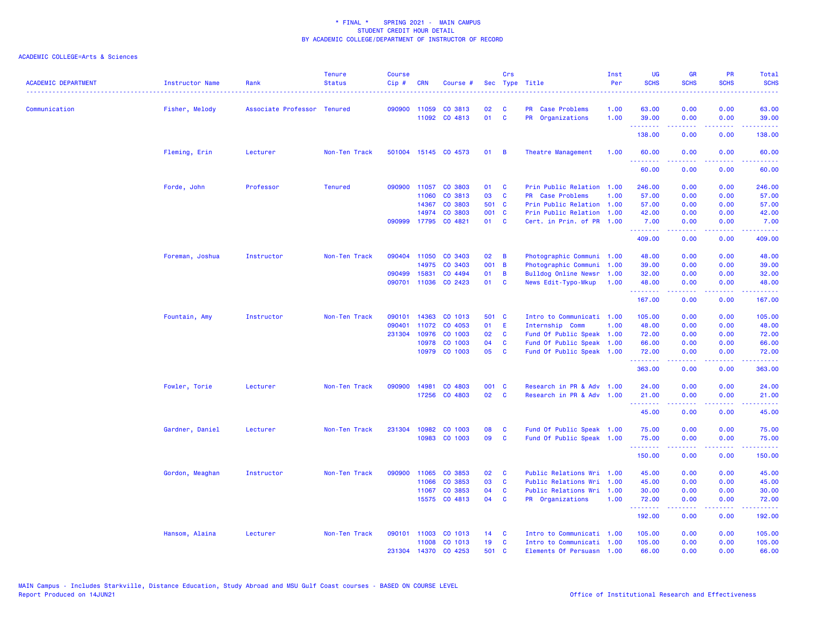| <b>ACADEMIC DEPARTMENT</b> | <b>Instructor Name</b> | Rank                        | <b>Tenure</b><br><b>Status</b> | <b>Course</b><br>Cip# | <b>CRN</b>   | Course #             |       | Crs          | Sec Type Title            | Inst<br>Per | <b>UG</b><br><b>SCHS</b>                                                                                                           | <b>GR</b><br><b>SCHS</b> | PR<br><b>SCHS</b> | Total<br><b>SCHS</b><br>$\frac{1}{2} \left( \frac{1}{2} \right) \left( \frac{1}{2} \right) \left( \frac{1}{2} \right) \left( \frac{1}{2} \right)$ |
|----------------------------|------------------------|-----------------------------|--------------------------------|-----------------------|--------------|----------------------|-------|--------------|---------------------------|-------------|------------------------------------------------------------------------------------------------------------------------------------|--------------------------|-------------------|---------------------------------------------------------------------------------------------------------------------------------------------------|
| Communication              | Fisher, Melody         | Associate Professor Tenured |                                |                       | 090900 11059 | CO 3813              | 02    | C            | PR Case Problems          | 1.00        | 63.00                                                                                                                              | 0.00                     | 0.00              | 63.00                                                                                                                                             |
|                            |                        |                             |                                |                       |              | 11092 CO 4813        | 01    | <b>C</b>     | PR Organizations          | 1.00        | 39.00<br>.                                                                                                                         | 0.00<br>.                | 0.00<br>.         | 39.00<br>.                                                                                                                                        |
|                            |                        |                             |                                |                       |              |                      |       |              |                           |             | 138.00                                                                                                                             | 0.00                     | 0.00              | 138.00                                                                                                                                            |
|                            | Fleming, Erin          | Lecturer                    | Non-Ten Track                  |                       |              | 501004 15145 CO 4573 | 01    | B            | Theatre Management        | 1.00        | 60.00                                                                                                                              | 0.00                     | 0.00              | 60.00                                                                                                                                             |
|                            |                        |                             |                                |                       |              |                      |       |              |                           |             | 60.00                                                                                                                              | 0.00                     | 0.00              | 60.00                                                                                                                                             |
|                            | Forde, John            | Professor                   | <b>Tenured</b>                 | 090900                | 11057        | CO 3803              | 01    | C            | Prin Public Relation      | 1.00        | 246.00                                                                                                                             | 0.00                     | 0.00              | 246.00                                                                                                                                            |
|                            |                        |                             |                                |                       | 11060        | CO 3813              | 03    | <b>C</b>     | PR Case Problems          | 1.00        | 57.00                                                                                                                              | 0.00                     | 0.00              | 57.00                                                                                                                                             |
|                            |                        |                             |                                |                       | 14367        | CO 3803              | 501   | - C          | Prin Public Relation      | 1.00        | 57.00                                                                                                                              | 0.00                     | 0.00              | 57.00                                                                                                                                             |
|                            |                        |                             |                                |                       | 14974        | CO 3803              | 001 C |              | Prin Public Relation      | 1.00        | 42.00                                                                                                                              | 0.00                     | 0.00              | 42.00                                                                                                                                             |
|                            |                        |                             |                                |                       |              | 090999 17795 CO 4821 | 01    | <b>C</b>     | Cert. in Prin. of PR 1.00 |             | 7.00<br>.                                                                                                                          | 0.00<br>.                | 0.00<br>.         | 7.00<br>.                                                                                                                                         |
|                            |                        |                             |                                |                       |              |                      |       |              |                           |             | 409.00                                                                                                                             | 0.00                     | 0.00              | 409.00                                                                                                                                            |
|                            | Foreman, Joshua        | Instructor                  | Non-Ten Track                  | 090404                | 11050        | CO 3403              | 02    | B            | Photographic Communi 1.00 |             | 48.00                                                                                                                              | 0.00                     | 0.00              | 48.00                                                                                                                                             |
|                            |                        |                             |                                |                       | 14975        | CO 3403              | 001 B |              | Photographic Communi      | 1.00        | 39.00                                                                                                                              | 0.00                     | 0.00              | 39.00                                                                                                                                             |
|                            |                        |                             |                                | 090499                | 15831        | CO 4494              | 01    | B            | Bulldog Online Newsr      | 1.00        | 32.00                                                                                                                              | 0.00                     | 0.00              | 32.00                                                                                                                                             |
|                            |                        |                             |                                | 090701                | 11036        | CO 2423              | 01    | C            | News Edit-Typo-Mkup       | 1.00        | 48.00<br>.                                                                                                                         | 0.00                     | 0.00<br>.         | 48.00<br>المستمل                                                                                                                                  |
|                            |                        |                             |                                |                       |              |                      |       |              |                           |             | 167.00                                                                                                                             | .<br>0.00                | 0.00              | 167.00                                                                                                                                            |
|                            | Fountain, Amy          | Instructor                  | Non-Ten Track                  | 090101                | 14363        | CO 1013              | 501 C |              | Intro to Communicati 1.00 |             | 105.00                                                                                                                             | 0.00                     | 0.00              | 105.00                                                                                                                                            |
|                            |                        |                             |                                | 090401                |              | 11072 CO 4053        | 01    | -E           | Internship Comm           | 1.00        | 48.00                                                                                                                              | 0.00                     | 0.00              | 48.00                                                                                                                                             |
|                            |                        |                             |                                | 231304                | 10976        | CO 1003              | 02    | C            | Fund Of Public Speak      | 1.00        | 72.00                                                                                                                              | 0.00                     | 0.00              | 72.00                                                                                                                                             |
|                            |                        |                             |                                |                       | 10978        | CO 1003              | 04    | C            | Fund Of Public Speak      | 1.00        | 66.00                                                                                                                              | 0.00                     | 0.00              | 66.00                                                                                                                                             |
|                            |                        |                             |                                |                       |              | 10979 CO 1003        | 05    | $\mathbf{C}$ | Fund Of Public Speak 1.00 |             | 72.00<br>$\begin{array}{cccccccccccccc} \bullet & \bullet & \bullet & \bullet & \bullet & \bullet & \bullet & \bullet \end{array}$ | 0.00<br>.                | 0.00<br>بالأباب   | 72.00<br>.                                                                                                                                        |
|                            |                        |                             |                                |                       |              |                      |       |              |                           |             | 363.00                                                                                                                             | 0.00                     | 0.00              | 363.00                                                                                                                                            |
|                            | Fowler, Torie          | Lecturer                    | Non-Ten Track                  | 090900                | 14981        | CO 4803              | 001 C |              | Research in PR & Adv 1.00 |             | 24.00                                                                                                                              | 0.00                     | 0.00              | 24.00                                                                                                                                             |
|                            |                        |                             |                                |                       |              | 17256 CO 4803        | 02    | <b>C</b>     | Research in PR & Adv 1.00 |             | 21.00<br>.                                                                                                                         | 0.00<br>.                | 0.00<br>.         | 21.00<br>.                                                                                                                                        |
|                            |                        |                             |                                |                       |              |                      |       |              |                           |             | 45.00                                                                                                                              | 0.00                     | 0.00              | 45.00                                                                                                                                             |
|                            | Gardner, Daniel        | Lecturer                    | Non-Ten Track                  |                       |              | 231304 10982 CO 1003 | 08    | C            | Fund Of Public Speak 1.00 |             | 75.00                                                                                                                              | 0.00                     | 0.00              | 75.00                                                                                                                                             |
|                            |                        |                             |                                |                       |              | 10983 CO 1003        | 09    | C            | Fund Of Public Speak 1.00 |             | 75.00<br>المستملة والمناور                                                                                                         | 0.00<br>-----            | 0.00<br>.         | 75.00<br>والموالي بالموالي                                                                                                                        |
|                            |                        |                             |                                |                       |              |                      |       |              |                           |             | 150.00                                                                                                                             | 0.00                     | 0.00              | 150.00                                                                                                                                            |
|                            | Gordon, Meaghan        | Instructor                  | Non-Ten Track                  | 090900                | 11065        | CO 3853              | 02    | C            | Public Relations Wri 1.00 |             | 45.00                                                                                                                              | 0.00                     | 0.00              | 45.00                                                                                                                                             |
|                            |                        |                             |                                |                       | 11066        | CO 3853              | 03    | C            | Public Relations Wri      | 1.00        | 45.00                                                                                                                              | 0.00                     | 0.00              | 45.00                                                                                                                                             |
|                            |                        |                             |                                |                       | 11067        | CO 3853              | 04    | C            | Public Relations Wri      | 1.00        | 30.00                                                                                                                              | 0.00                     | 0.00              | 30.00                                                                                                                                             |
|                            |                        |                             |                                |                       |              | 15575 CO 4813        | 04    | <b>C</b>     | PR Organizations          | 1.00        | 72.00<br><u>.</u>                                                                                                                  | 0.00<br>.                | 0.00<br>----      | 72.00<br>.                                                                                                                                        |
|                            |                        |                             |                                |                       |              |                      |       |              |                           |             | 192.00                                                                                                                             | 0.00                     | 0.00              | 192.00                                                                                                                                            |
|                            | Hansom, Alaina         | Lecturer                    | Non-Ten Track                  |                       |              | 090101 11003 CO 1013 | 14    | - C          | Intro to Communicati 1.00 |             | 105.00                                                                                                                             | 0.00                     | 0.00              | 105.00                                                                                                                                            |
|                            |                        |                             |                                |                       | 11008        | CO 1013              | 19    | C            | Intro to Communicati 1.00 |             | 105.00                                                                                                                             | 0.00                     | 0.00              | 105.00                                                                                                                                            |
|                            |                        |                             |                                | 231304                |              | 14370 CO 4253        | 501 C |              | Elements Of Persuasn 1.00 |             | 66.00                                                                                                                              | 0.00                     | 0.00              | 66.00                                                                                                                                             |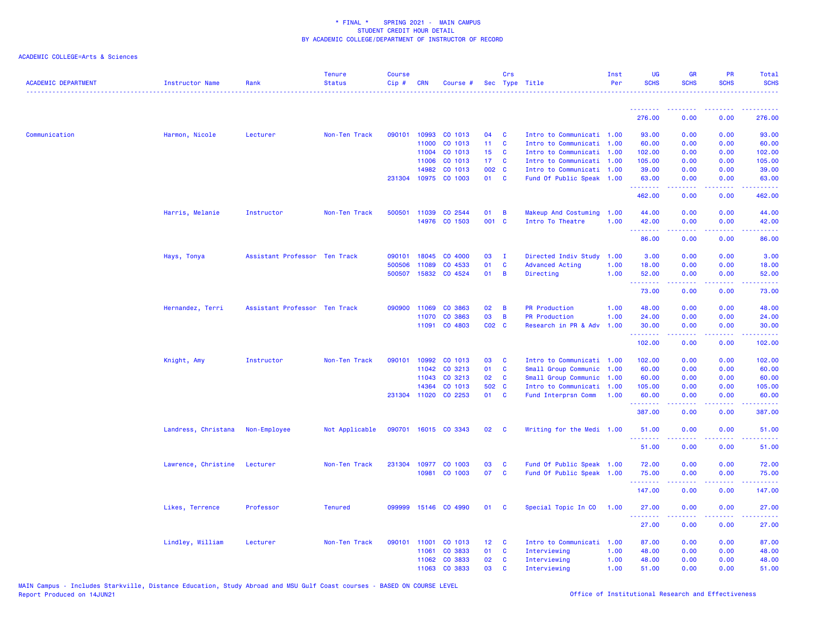| <b>ACADEMIC DEPARTMENT</b> | <b>Instructor Name</b> | Rank                          | <b>Tenure</b><br><b>Status</b> | <b>Course</b><br>Cip# | <b>CRN</b>   | Course #             |                 | Crs            | Sec Type Title            | Inst<br>Per | <b>UG</b><br><b>SCHS</b>                                                                                                                                                                                                                                                                                                                                                                                                                                                                        | <b>GR</b><br><b>SCHS</b>                                                                                                                                     | <b>PR</b><br><b>SCHS</b>                                                                                                          | Total<br><b>SCHS</b><br><u>.</u> |
|----------------------------|------------------------|-------------------------------|--------------------------------|-----------------------|--------------|----------------------|-----------------|----------------|---------------------------|-------------|-------------------------------------------------------------------------------------------------------------------------------------------------------------------------------------------------------------------------------------------------------------------------------------------------------------------------------------------------------------------------------------------------------------------------------------------------------------------------------------------------|--------------------------------------------------------------------------------------------------------------------------------------------------------------|-----------------------------------------------------------------------------------------------------------------------------------|----------------------------------|
|                            |                        |                               |                                |                       |              |                      |                 |                |                           |             | .                                                                                                                                                                                                                                                                                                                                                                                                                                                                                               | ---------                                                                                                                                                    | .                                                                                                                                 | . <u>.</u> .                     |
|                            |                        |                               |                                |                       |              |                      |                 |                |                           |             | 276.00                                                                                                                                                                                                                                                                                                                                                                                                                                                                                          | 0.00                                                                                                                                                         | 0.00                                                                                                                              | 276.00                           |
| Communication              | Harmon, Nicole         | Lecturer                      | Non-Ten Track                  | 090101                | 10993        | CO 1013              | 04              | C              | Intro to Communicati 1.00 |             | 93.00                                                                                                                                                                                                                                                                                                                                                                                                                                                                                           | 0.00                                                                                                                                                         | 0.00                                                                                                                              | 93.00                            |
|                            |                        |                               |                                |                       | 11000        | CO 1013              | 11 <sub>1</sub> | C              | Intro to Communicati      | 1.00        | 60.00                                                                                                                                                                                                                                                                                                                                                                                                                                                                                           | 0.00                                                                                                                                                         | 0.00                                                                                                                              | 60.00                            |
|                            |                        |                               |                                |                       | 11004        | CO 1013              | 15 <sub>1</sub> | $\mathbf{C}$   | Intro to Communicati 1.00 |             | 102.00                                                                                                                                                                                                                                                                                                                                                                                                                                                                                          | 0.00                                                                                                                                                         | 0.00                                                                                                                              | 102.00                           |
|                            |                        |                               |                                |                       | 11006        | CO 1013              | 17 <sup>2</sup> | $\mathbf{C}$   | Intro to Communicati 1.00 |             | 105.00                                                                                                                                                                                                                                                                                                                                                                                                                                                                                          | 0.00                                                                                                                                                         | 0.00                                                                                                                              | 105.00                           |
|                            |                        |                               |                                |                       | 14982        | CO 1013              | 002 C           |                | Intro to Communicati 1.00 |             | 39.00                                                                                                                                                                                                                                                                                                                                                                                                                                                                                           | 0.00                                                                                                                                                         | 0.00                                                                                                                              | 39.00                            |
|                            |                        |                               |                                |                       |              | 231304 10975 CO 1003 | 01 C            |                | Fund Of Public Speak 1.00 |             | 63.00<br>.                                                                                                                                                                                                                                                                                                                                                                                                                                                                                      | 0.00<br>.                                                                                                                                                    | 0.00<br>د د د د                                                                                                                   | 63.00<br>.                       |
|                            |                        |                               |                                |                       |              |                      |                 |                |                           |             | 462.00                                                                                                                                                                                                                                                                                                                                                                                                                                                                                          | 0.00                                                                                                                                                         | 0.00                                                                                                                              | 462.00                           |
|                            | Harris, Melanie        | Instructor                    | Non-Ten Track                  |                       |              | 500501 11039 CO 2544 | 01              | $\overline{B}$ | Makeup And Costuming      | 1.00        | 44.00                                                                                                                                                                                                                                                                                                                                                                                                                                                                                           | 0.00                                                                                                                                                         | 0.00                                                                                                                              | 44.00                            |
|                            |                        |                               |                                |                       |              | 14976 CO 1503        | 001 C           |                | Intro To Theatre          | 1.00        | 42.00                                                                                                                                                                                                                                                                                                                                                                                                                                                                                           | 0.00                                                                                                                                                         | 0.00                                                                                                                              | 42.00                            |
|                            |                        |                               |                                |                       |              |                      |                 |                |                           |             | .<br>86.00                                                                                                                                                                                                                                                                                                                                                                                                                                                                                      | <b>.</b><br>0.00                                                                                                                                             | .<br>0.00                                                                                                                         | .<br>86.00                       |
|                            | Hays, Tonya            | Assistant Professor Ten Track |                                | 090101                | 18045        | CO 4000              | 03              | - I            | Directed Indiv Study      | 1.00        | 3.00                                                                                                                                                                                                                                                                                                                                                                                                                                                                                            | 0.00                                                                                                                                                         | 0.00                                                                                                                              | 3.00                             |
|                            |                        |                               |                                | 500506                | 11089        | CO 4533              | 01              | C              | <b>Advanced Acting</b>    | 1.00        | 18.00                                                                                                                                                                                                                                                                                                                                                                                                                                                                                           | 0.00                                                                                                                                                         | 0.00                                                                                                                              | 18.00                            |
|                            |                        |                               |                                |                       |              | 500507 15832 CO 4524 | 01              | $\overline{B}$ | Directing                 | 1.00        | 52.00                                                                                                                                                                                                                                                                                                                                                                                                                                                                                           | 0.00                                                                                                                                                         | 0.00                                                                                                                              | 52.00                            |
|                            |                        |                               |                                |                       |              |                      |                 |                |                           |             | $\begin{array}{cccccccccccccc} \multicolumn{2}{c}{} & \multicolumn{2}{c}{} & \multicolumn{2}{c}{} & \multicolumn{2}{c}{} & \multicolumn{2}{c}{} & \multicolumn{2}{c}{} & \multicolumn{2}{c}{} & \multicolumn{2}{c}{} & \multicolumn{2}{c}{} & \multicolumn{2}{c}{} & \multicolumn{2}{c}{} & \multicolumn{2}{c}{} & \multicolumn{2}{c}{} & \multicolumn{2}{c}{} & \multicolumn{2}{c}{} & \multicolumn{2}{c}{} & \multicolumn{2}{c}{} & \multicolumn{2}{c}{} & \multicolumn{2}{c}{} & \$<br>73.00 | $\frac{1}{2} \left( \frac{1}{2} \right) \left( \frac{1}{2} \right) \left( \frac{1}{2} \right) \left( \frac{1}{2} \right) \left( \frac{1}{2} \right)$<br>0.00 | .<br>0.00                                                                                                                         | .<br>73.00                       |
|                            | Hernandez, Terri       | Assistant Professor Ten Track |                                | 090900                | 11069        | CO 3863              | 02              | B              | <b>PR Production</b>      | 1.00        | 48.00                                                                                                                                                                                                                                                                                                                                                                                                                                                                                           | 0.00                                                                                                                                                         | 0.00                                                                                                                              | 48.00                            |
|                            |                        |                               |                                |                       | 11070        | CO 3863              | 03              | B              | <b>PR Production</b>      | 1.00        | 24,00                                                                                                                                                                                                                                                                                                                                                                                                                                                                                           | 0.00                                                                                                                                                         | 0.00                                                                                                                              | 24.00                            |
|                            |                        |                               |                                |                       | 11091        | CO 4803              | $CO2$ $C$       |                | Research in PR & Adv      | 1.00        | 30.00                                                                                                                                                                                                                                                                                                                                                                                                                                                                                           | 0.00                                                                                                                                                         | 0.00                                                                                                                              | 30.00                            |
|                            |                        |                               |                                |                       |              |                      |                 |                |                           |             | .<br>102.00                                                                                                                                                                                                                                                                                                                                                                                                                                                                                     | . <b>.</b><br>0.00                                                                                                                                           | د د د د<br>0.00                                                                                                                   | .<br>102.00                      |
|                            | Knight, Amy            | Instructor                    | Non-Ten Track                  | 090101                | 10992        | CO 1013              | 03              | C              | Intro to Communicati 1.00 |             | 102.00                                                                                                                                                                                                                                                                                                                                                                                                                                                                                          | 0.00                                                                                                                                                         | 0.00                                                                                                                              | 102.00                           |
|                            |                        |                               |                                |                       | 11042        | CO 3213              | 01              | C              | Small Group Communic 1.00 |             | 60.00                                                                                                                                                                                                                                                                                                                                                                                                                                                                                           | 0.00                                                                                                                                                         | 0.00                                                                                                                              | 60.00                            |
|                            |                        |                               |                                |                       | 11043        | CO 3213              | 02              | <b>C</b>       | Small Group Communic      | 1.00        | 60.00                                                                                                                                                                                                                                                                                                                                                                                                                                                                                           | 0.00                                                                                                                                                         | 0.00                                                                                                                              | 60.00                            |
|                            |                        |                               |                                |                       | 14364        | CO 1013              | 502 C           |                | Intro to Communicati 1.00 |             | 105.00                                                                                                                                                                                                                                                                                                                                                                                                                                                                                          | 0.00                                                                                                                                                         | 0.00                                                                                                                              | 105.00                           |
|                            |                        |                               |                                |                       |              | 231304 11020 CO 2253 | 01 C            |                | Fund Interprsn Comm       | 1.00        | 60.00                                                                                                                                                                                                                                                                                                                                                                                                                                                                                           | 0.00                                                                                                                                                         | 0.00                                                                                                                              | 60.00                            |
|                            |                        |                               |                                |                       |              |                      |                 |                |                           |             | .<br>387.00                                                                                                                                                                                                                                                                                                                                                                                                                                                                                     | $- - - - -$<br>0.00                                                                                                                                          | .<br>0.00                                                                                                                         | .<br>387.00                      |
|                            | Landress, Christana    | Non-Employee                  | Not Applicable                 |                       |              | 090701 16015 CO 3343 | 02 <sub>o</sub> | C              | Writing for the Medi 1.00 |             | 51.00                                                                                                                                                                                                                                                                                                                                                                                                                                                                                           | 0.00                                                                                                                                                         | 0.00                                                                                                                              | 51.00                            |
|                            |                        |                               |                                |                       |              |                      |                 |                |                           |             | .<br>51.00                                                                                                                                                                                                                                                                                                                                                                                                                                                                                      | .<br>0.00                                                                                                                                                    | $\frac{1}{2} \left( \frac{1}{2} \right) \left( \frac{1}{2} \right) \left( \frac{1}{2} \right) \left( \frac{1}{2} \right)$<br>0.00 | .<br>51.00                       |
|                            | Lawrence, Christine    | Lecturer                      | Non-Ten Track                  | 231304                | 10977        | CO 1003              | 03              | C              | Fund Of Public Speak 1.00 |             | 72.00                                                                                                                                                                                                                                                                                                                                                                                                                                                                                           | 0.00                                                                                                                                                         | 0.00                                                                                                                              | 72.00                            |
|                            |                        |                               |                                |                       |              | 10981 CO 1003        | 07              | $\mathbf{C}$   | Fund Of Public Speak 1.00 |             | 75.00                                                                                                                                                                                                                                                                                                                                                                                                                                                                                           | 0.00                                                                                                                                                         | 0.00                                                                                                                              | 75.00                            |
|                            |                        |                               |                                |                       |              |                      |                 |                |                           |             | .<br>147.00                                                                                                                                                                                                                                                                                                                                                                                                                                                                                     | .<br>0.00                                                                                                                                                    | 0.00                                                                                                                              | .<br>147.00                      |
|                            | Likes, Terrence        | Professor                     | <b>Tenured</b>                 |                       |              | 099999 15146 CO 4990 | 01              | C              | Special Topic In CO       | 1.00        | 27.00                                                                                                                                                                                                                                                                                                                                                                                                                                                                                           | 0.00                                                                                                                                                         | 0.00                                                                                                                              | 27.00                            |
|                            |                        |                               |                                |                       |              |                      |                 |                |                           |             | .                                                                                                                                                                                                                                                                                                                                                                                                                                                                                               | <u>.</u>                                                                                                                                                     | .                                                                                                                                 | .                                |
|                            |                        |                               |                                |                       |              |                      |                 |                |                           |             | 27.00                                                                                                                                                                                                                                                                                                                                                                                                                                                                                           | 0.00                                                                                                                                                         | 0.00                                                                                                                              | 27.00                            |
|                            | Lindley, William       | Lecturer                      | Non-Ten Track                  |                       | 090101 11001 | CO 1013              | 12 <sub>1</sub> | C              | Intro to Communicati 1.00 |             | 87.00                                                                                                                                                                                                                                                                                                                                                                                                                                                                                           | 0.00                                                                                                                                                         | 0.00                                                                                                                              | 87.00                            |
|                            |                        |                               |                                |                       | 11061        | CO 3833              | 01              | C              | Interviewing              | 1.00        | 48.00                                                                                                                                                                                                                                                                                                                                                                                                                                                                                           | 0.00                                                                                                                                                         | 0.00                                                                                                                              | 48.00                            |
|                            |                        |                               |                                |                       |              | 11062 CO 3833        | 02              | $\mathbf{C}$   | Interviewing              | 1.00        | 48.00                                                                                                                                                                                                                                                                                                                                                                                                                                                                                           | 0.00                                                                                                                                                         | 0.00                                                                                                                              | 48.00                            |
|                            |                        |                               |                                |                       |              | 11063 CO 3833        | 03              | <b>C</b>       | Interviewing              | 1.00        | 51.00                                                                                                                                                                                                                                                                                                                                                                                                                                                                                           | 0.00                                                                                                                                                         | 0.00                                                                                                                              | 51.00                            |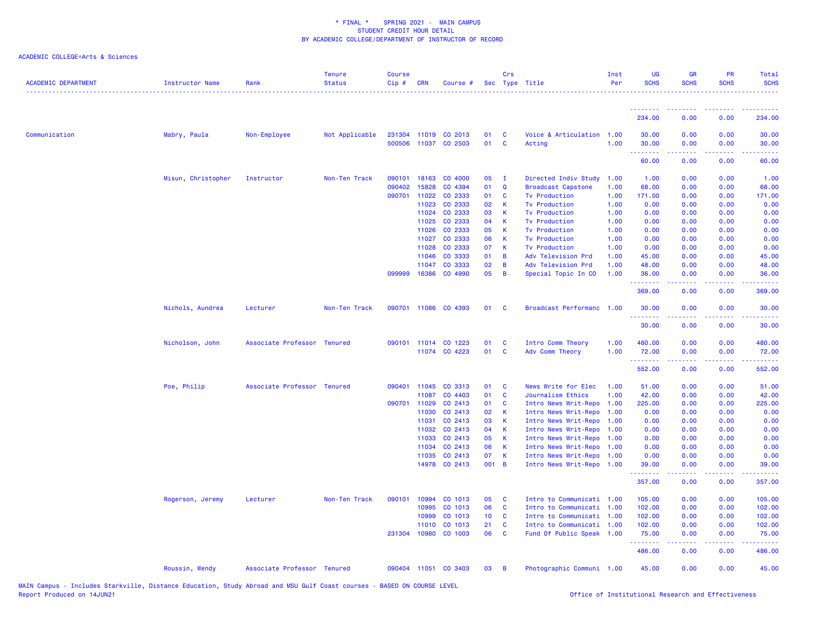| <b>ACADEMIC DEPARTMENT</b> | <b>Instructor Name</b> | Rank                        | <b>Tenure</b><br><b>Status</b> | <b>Course</b><br>Cip# | <b>CRN</b>     | Course #                        |                 | Crs               | Sec Type Title                                    | Inst<br>Per  | UG<br><b>SCHS</b>   | <b>GR</b><br><b>SCHS</b> | <b>PR</b><br><b>SCHS</b> | Total<br><b>SCHS</b> |
|----------------------------|------------------------|-----------------------------|--------------------------------|-----------------------|----------------|---------------------------------|-----------------|-------------------|---------------------------------------------------|--------------|---------------------|--------------------------|--------------------------|----------------------|
|                            |                        |                             |                                |                       |                |                                 |                 |                   |                                                   |              | .                   |                          |                          |                      |
|                            |                        |                             |                                |                       |                |                                 |                 |                   |                                                   |              | 234.00              | 0.00                     | 0.00                     | 234.00               |
| Communication              | Mabry, Paula           | Non-Employee                | Not Applicable                 |                       | 500506 11037   | 231304 11019 CO 2013<br>CO 2503 | 01<br>01        | C<br>$\mathbf{C}$ | Voice & Articulation 1.00<br>Acting               | 1.00         | 30.00<br>30.00<br>. | 0.00<br>0.00             | 0.00<br>0.00             | 30.00<br>30.00<br>.  |
|                            |                        |                             |                                |                       |                |                                 |                 |                   |                                                   |              | 60.00               | 0.00                     | 0.00                     | 60.00                |
|                            | Misun, Christopher     | Instructor                  | Non-Ten Track                  | 090101                | 18163          | CO 4000                         | 05              | $\mathbf I$       | Directed Indiv Study                              | 1.00         | 1.00                | 0.00                     | 0.00                     | 1.00                 |
|                            |                        |                             |                                | 090402                | 15828          | CO 4394                         | 01              | $\Omega$          | <b>Broadcast Capstone</b>                         | 1.00         | 68.00               | 0.00                     | 0.00                     | 68.00                |
|                            |                        |                             |                                | 090701                | 11022          | CO 2333                         | 01              | C                 | <b>Tv Production</b>                              | 1.00         | 171.00              | 0.00                     | 0.00                     | 171.00               |
|                            |                        |                             |                                |                       | 11023          | CO 2333                         | 02              | К                 | <b>Tv Production</b>                              | 1.00         | 0.00                | 0.00                     | 0.00                     | 0.00                 |
|                            |                        |                             |                                |                       | 11024<br>11025 | CO 2333<br>CO 2333              | 03<br>04        | К<br>К            | <b>Tv Production</b>                              | 1.00         | 0.00                | 0.00                     | 0.00<br>0.00             | 0.00                 |
|                            |                        |                             |                                |                       | 11026          | CO 2333                         | 05              | К                 | <b>Tv Production</b><br><b>Tv Production</b>      | 1.00<br>1.00 | 0.00<br>0.00        | 0.00<br>0.00             | 0.00                     | 0.00<br>0.00         |
|                            |                        |                             |                                |                       | 11027          | CO 2333                         | 06              | К                 | <b>Tv Production</b>                              | 1.00         | 0.00                | 0.00                     | 0.00                     | 0.00                 |
|                            |                        |                             |                                |                       | 11028          | CO 2333                         | 07              | K                 | <b>Tv Production</b>                              | 1.00         | 0.00                | 0.00                     | 0.00                     | 0.00                 |
|                            |                        |                             |                                |                       | 11046          | CO 3333                         | 01              | B                 | Adv Television Prd                                | 1.00         | 45.00               | 0.00                     | 0.00                     | 45.00                |
|                            |                        |                             |                                |                       | 11047          | CO 3333                         | 02              | B                 | Adv Television Prd                                | 1.00         | 48.00               | 0.00                     | 0.00                     | 48.00                |
|                            |                        |                             |                                | 099999                | 16386          | CO 4990                         | 05              | B                 | Special Topic In CO                               | 1.00         | 36.00<br><u>.</u>   | 0.00                     | 0.00                     | 36.00                |
|                            |                        |                             |                                |                       |                |                                 |                 |                   |                                                   |              | 369.00              | 0.00                     | 0.00                     | 369,00               |
|                            | Nichols, Aundrea       | Lecturer                    | Non-Ten Track                  |                       |                | 090701 11086 CO 4393            | 01              | C                 | Broadcast Performanc 1.00                         |              | 30.00<br>.          | 0.00                     | 0.00                     | 30.00<br>.           |
|                            |                        |                             |                                |                       |                |                                 |                 |                   |                                                   |              | 30.00               | 0.00                     | 0.00                     | 30.00                |
|                            | Nicholson, John        | Associate Professor Tenured |                                |                       | 090101 11014   | CO 1223                         | 01              | C                 | Intro Comm Theory                                 | 1.00         | 480.00              | 0.00                     | 0.00                     | 480.00               |
|                            |                        |                             |                                |                       |                | 11074 CO 4223                   | 01              | C                 | Adv Comm Theory                                   | 1.00         | 72.00<br>.          | 0.00                     | 0.00<br>.                | 72.00<br>.           |
|                            |                        |                             |                                |                       |                |                                 |                 |                   |                                                   |              | 552.00              | 0.00                     | 0.00                     | 552.00               |
|                            | Poe, Philip            | Associate Professor Tenured |                                |                       | 090401 11045   | CO 3313                         | 01              | <b>C</b>          | News Write for Elec                               | 1.00         | 51.00               | 0.00                     | 0.00                     | 51.00                |
|                            |                        |                             |                                |                       | 11087          | CO 4403                         | 01              | C                 | Journalism Ethics                                 | 1.00         | 42.00               | 0.00                     | 0.00                     | 42.00                |
|                            |                        |                             |                                | 090701 11029          |                | CO 2413                         | 01              | C                 | Intro News Writ-Repo                              | 1.00         | 225.00              | 0.00                     | 0.00                     | 225.00               |
|                            |                        |                             |                                |                       | 11030          | CO 2413                         | 02              | K                 | Intro News Writ-Repo                              | 1.00         | 0.00                | 0.00                     | 0.00                     | 0.00                 |
|                            |                        |                             |                                |                       | 11031          | CO 2413                         | 03              | K                 | Intro News Writ-Repo                              | 1.00         | 0.00                | 0.00                     | 0.00                     | 0.00                 |
|                            |                        |                             |                                |                       | 11032          | CO 2413                         | 04              | К                 | Intro News Writ-Repo                              | 1.00         | 0.00                | 0.00                     | 0.00                     | 0.00                 |
|                            |                        |                             |                                |                       | 11033<br>11034 | CO 2413<br>CO 2413              | 05<br>06        | К<br>K            | Intro News Writ-Repo<br>Intro News Writ-Repo 1.00 | 1.00         | 0.00<br>0.00        | 0.00<br>0.00             | 0.00<br>0.00             | 0.00<br>0.00         |
|                            |                        |                             |                                |                       | 11035          | CO 2413                         | 07              | К                 | Intro News Writ-Repo 1.00                         |              | 0.00                | 0.00                     | 0.00                     | 0.00                 |
|                            |                        |                             |                                |                       |                | 14978 CO 2413                   | 001 B           |                   | Intro News Writ-Repo 1.00                         |              | 39.00               | 0.00                     | 0.00                     | 39.00                |
|                            |                        |                             |                                |                       |                |                                 |                 |                   |                                                   |              | .<br>357.00         | 0.00                     | 0.00                     | 357.00               |
|                            | Rogerson, Jeremy       | Lecturer                    | Non-Ten Track                  | 090101                | 10994          | CO 1013                         | 05              | C                 | Intro to Communicati 1.00                         |              | 105.00              | 0.00                     | 0.00                     | 105.00               |
|                            |                        |                             |                                |                       | 10995          | CO 1013                         | 06              | C                 | Intro to Communicati 1.00                         |              | 102.00              | 0.00                     | 0.00                     | 102.00               |
|                            |                        |                             |                                |                       | 10999          | CO 1013                         | 10 <sub>1</sub> | C                 | Intro to Communicati 1.00                         |              | 102.00              | 0.00                     | 0.00                     | 102.00               |
|                            |                        |                             |                                |                       | 11010          | CO 1013                         | 21              | <b>C</b>          | Intro to Communicati 1.00                         |              | 102.00              | 0.00                     | 0.00                     | 102.00               |
|                            |                        |                             |                                |                       | 231304 10980   | CO 1003                         | 06              | C                 | Fund Of Public Speak 1.00                         |              | 75.00<br>.          | 0.00                     | 0.00                     | 75.00<br>.           |
|                            |                        |                             |                                |                       |                |                                 |                 |                   |                                                   |              | 486.00              | 0.00                     | 0.00                     | 486.00               |
|                            | Roussin, Wendy         | Associate Professor Tenured |                                |                       |                | 090404 11051 CO 3403            | 03              | B                 | Photographic Communi 1.00                         |              | 45.00               | 0.00                     | 0.00                     | 45.00                |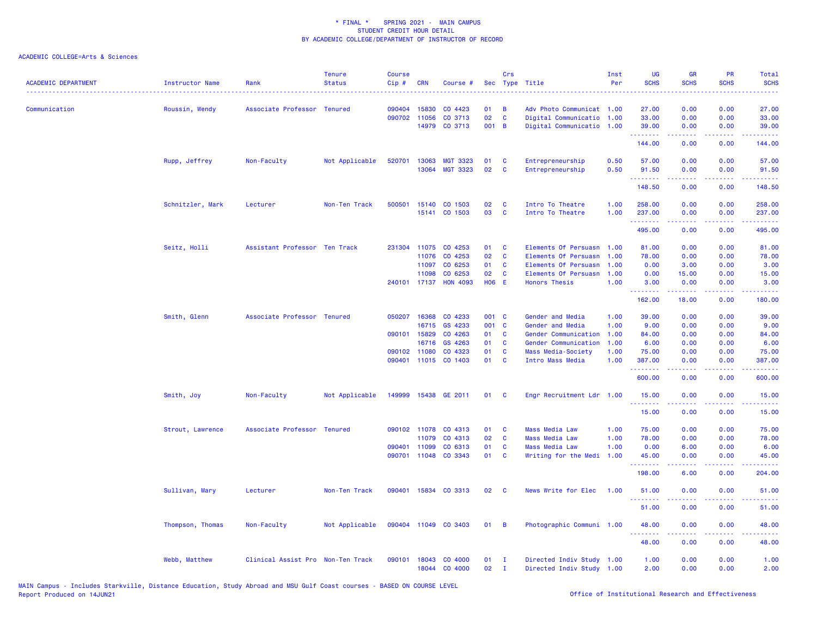| <b>ACADEMIC DEPARTMENT</b> | Instructor Name  | Rank                              | <b>Tenure</b><br><b>Status</b> | <b>Course</b><br>Cip# | <b>CRN</b>   | Course #             |              | Crs          | Sec Type Title            | Inst<br>Per | UG<br><b>SCHS</b>   | <b>GR</b><br><b>SCHS</b> | PR<br><b>SCHS</b>                                                                                                                 | Total<br><b>SCHS</b><br>$\frac{1}{2} \left( \frac{1}{2} \right) \left( \frac{1}{2} \right) \left( \frac{1}{2} \right) \left( \frac{1}{2} \right)$ |
|----------------------------|------------------|-----------------------------------|--------------------------------|-----------------------|--------------|----------------------|--------------|--------------|---------------------------|-------------|---------------------|--------------------------|-----------------------------------------------------------------------------------------------------------------------------------|---------------------------------------------------------------------------------------------------------------------------------------------------|
| Communication              | Roussin, Wendy   | Associate Professor Tenured       |                                | 090404                | 15830        | CO 4423              | 01           | B            | Adv Photo Communicat 1.00 |             | 27.00               | 0.00                     | 0.00                                                                                                                              | 27.00                                                                                                                                             |
|                            |                  |                                   |                                | 090702                | 11056        | CO 3713              | 02           | C            | Digital Communicatio      | 1.00        | 33.00               | 0.00                     | 0.00                                                                                                                              | 33.00                                                                                                                                             |
|                            |                  |                                   |                                |                       |              | 14979 CO 3713        | 001 B        |              | Digital Communicatio      | 1.00        | 39.00<br><b>.</b> . | 0.00<br>.                | 0.00<br>بالأباد                                                                                                                   | 39.00<br>.                                                                                                                                        |
|                            |                  |                                   |                                |                       |              |                      |              |              |                           |             | 144.00              | 0.00                     | 0.00                                                                                                                              | 144.00                                                                                                                                            |
|                            | Rupp, Jeffrey    | Non-Faculty                       | Not Applicable                 | 520701                | 13063        | <b>MGT 3323</b>      | 01           | $\mathbf{C}$ | Entrepreneurship          | 0.50        | 57.00               | 0.00                     | 0.00                                                                                                                              | 57.00                                                                                                                                             |
|                            |                  |                                   |                                |                       | 13064        | <b>MGT 3323</b>      | 02           | <b>C</b>     | Entrepreneurship          | 0.50        | 91.50<br>.          | 0.00<br>.                | 0.00<br>.                                                                                                                         | 91.50<br>.                                                                                                                                        |
|                            |                  |                                   |                                |                       |              |                      |              |              |                           |             | 148.50              | 0.00                     | 0.00                                                                                                                              | 148.50                                                                                                                                            |
|                            | Schnitzler, Mark | Lecturer                          | Non-Ten Track                  | 500501                | 15140        | CO 1503              | 02           | C            | Intro To Theatre          | 1.00        | 258.00              | 0.00                     | 0.00                                                                                                                              | 258.00                                                                                                                                            |
|                            |                  |                                   |                                |                       |              | 15141 CO 1503        | 03           | $\mathbf{C}$ | Intro To Theatre          | 1.00        | 237.00              | 0.00                     | 0.00                                                                                                                              | 237.00                                                                                                                                            |
|                            |                  |                                   |                                |                       |              |                      |              |              |                           |             | 495.00              | 0.00                     | 0.00                                                                                                                              | 495.00                                                                                                                                            |
|                            | Seitz, Holli     | Assistant Professor Ten Track     |                                |                       | 231304 11075 | CO 4253              | 01           | $\mathbf{C}$ | Elements Of Persuasn 1.00 |             | 81.00               | 0.00                     | 0.00                                                                                                                              | 81.00                                                                                                                                             |
|                            |                  |                                   |                                |                       | 11076        | CO 4253              | 02           | $\mathbf{C}$ | Elements Of Persuasn      | 1.00        | 78.00               | 0.00                     | 0.00                                                                                                                              | 78.00                                                                                                                                             |
|                            |                  |                                   |                                |                       | 11097        | CO 6253              | 01           | <b>C</b>     | Elements Of Persuasn      | 1.00        | 0.00                | 3.00                     | 0.00                                                                                                                              | 3.00                                                                                                                                              |
|                            |                  |                                   |                                |                       | 11098        | CO 6253              | 02           | $\mathbf{C}$ | Elements Of Persuasn      | 1.00        | 0.00                | 15.00                    | 0.00                                                                                                                              | 15.00                                                                                                                                             |
|                            |                  |                                   |                                |                       | 240101 17137 | <b>HON 4093</b>      | <b>HO6 E</b> |              | <b>Honors Thesis</b>      | 1.00        | 3.00<br><b>.</b> .  | 0.00<br>بالمستبط         | 0.00<br>بالأباب                                                                                                                   | 3.00<br>المستما                                                                                                                                   |
|                            |                  |                                   |                                |                       |              |                      |              |              |                           |             | 162.00              | 18.00                    | 0.00                                                                                                                              | 180.00                                                                                                                                            |
|                            | Smith, Glenn     | Associate Professor Tenured       |                                | 050207                | 16368        | CO 4233              | 001 C        |              | Gender and Media          | 1.00        | 39.00               | 0.00                     | 0.00                                                                                                                              | 39.00                                                                                                                                             |
|                            |                  |                                   |                                |                       | 16715        | GS 4233              | 001 C        |              | Gender and Media          | 1.00        | 9.00                | 0.00                     | 0.00                                                                                                                              | 9.00                                                                                                                                              |
|                            |                  |                                   |                                |                       | 090101 15829 | CO 4263              | 01           | C            | Gender Communication      | 1.00        | 84.00               | 0.00                     | 0.00                                                                                                                              | 84.00                                                                                                                                             |
|                            |                  |                                   |                                |                       | 16716        | GS 4263              | 01           | $\mathbf{C}$ | Gender Communication      | 1.00        | 6.00                | 0.00                     | 0.00                                                                                                                              | 6.00                                                                                                                                              |
|                            |                  |                                   |                                | 090102                | 11080        | CO 4323              | 01           | <b>C</b>     | Mass Media-Society        | 1.00        | 75.00               | 0.00                     | 0.00                                                                                                                              | 75.00                                                                                                                                             |
|                            |                  |                                   |                                |                       |              | 090401 11015 CO 1403 | 01           | <b>C</b>     | Intro Mass Media          | 1.00        | 387.00<br><b></b>   | 0.00                     | 0.00                                                                                                                              | 387.00<br>.                                                                                                                                       |
|                            |                  |                                   |                                |                       |              |                      |              |              |                           |             | 600.00              | 0.00                     | 0.00                                                                                                                              | 600.00                                                                                                                                            |
|                            | Smith, Joy       | Non-Faculty                       | Not Applicable                 |                       |              | 149999 15438 GE 2011 | 01           | $\mathbf{C}$ | Engr Recruitment Ldr 1.00 |             | 15.00<br><u>.</u>   | 0.00                     | 0.00                                                                                                                              | 15.00                                                                                                                                             |
|                            |                  |                                   |                                |                       |              |                      |              |              |                           |             | 15.00               | .<br>0.00                | $\frac{1}{2} \left( \frac{1}{2} \right) \left( \frac{1}{2} \right) \left( \frac{1}{2} \right) \left( \frac{1}{2} \right)$<br>0.00 | .<br>15.00                                                                                                                                        |
|                            | Strout, Lawrence | Associate Professor Tenured       |                                |                       | 090102 11078 | CO 4313              | 01           | C            | <b>Mass Media Law</b>     | 1.00        | 75.00               | 0.00                     | 0.00                                                                                                                              | 75.00                                                                                                                                             |
|                            |                  |                                   |                                |                       | 11079        | CO 4313              | 02           | C            | <b>Mass Media Law</b>     | 1.00        | 78.00               | 0.00                     | 0.00                                                                                                                              | 78.00                                                                                                                                             |
|                            |                  |                                   |                                | 090401                | 11099        | CO 6313              | 01           | <b>C</b>     | <b>Mass Media Law</b>     | 1.00        | 0.00                | 6.00                     | 0.00                                                                                                                              | 6.00                                                                                                                                              |
|                            |                  |                                   |                                |                       |              | 090701 11048 CO 3343 | 01           | $\mathbf{C}$ | Writing for the Medi      | 1.00        | 45.00<br>.          | 0.00<br>.                | 0.00<br>د د د د                                                                                                                   | 45.00<br>.                                                                                                                                        |
|                            |                  |                                   |                                |                       |              |                      |              |              |                           |             | 198.00              | 6.00                     | 0.00                                                                                                                              | 204.00                                                                                                                                            |
|                            | Sullivan, Mary   | Lecturer                          | Non-Ten Track                  |                       |              | 090401 15834 CO 3313 | 02           | <b>C</b>     | News Write for Elec       | 1.00        | 51.00               | 0.00                     | 0.00                                                                                                                              | 51.00                                                                                                                                             |
|                            |                  |                                   |                                |                       |              |                      |              |              |                           |             | 51.00               | 0.00                     | 0.00                                                                                                                              | 51.00                                                                                                                                             |
|                            | Thompson, Thomas | Non-Faculty                       | Not Applicable                 |                       |              | 090404 11049 CO 3403 | $01 \quad B$ |              | Photographic Communi 1.00 |             | 48.00               | 0.00                     | 0.00                                                                                                                              | 48.00                                                                                                                                             |
|                            |                  |                                   |                                |                       |              |                      |              |              |                           |             | .<br>48.00          | .<br>0.00                | د د د د<br>0.00                                                                                                                   | .<br>48.00                                                                                                                                        |
|                            | Webb, Matthew    | Clinical Assist Pro Non-Ten Track |                                | 090101                | 18043        | CO 4000              | 01           | $\mathbf I$  | Directed Indiv Study 1.00 |             | 1.00                | 0.00                     | 0.00                                                                                                                              | 1.00                                                                                                                                              |
|                            |                  |                                   |                                |                       |              | 18044 CO 4000        | 02           | $\mathbf{I}$ | Directed Indiv Study 1.00 |             | 2.00                | 0.00                     | 0.00                                                                                                                              | 2.00                                                                                                                                              |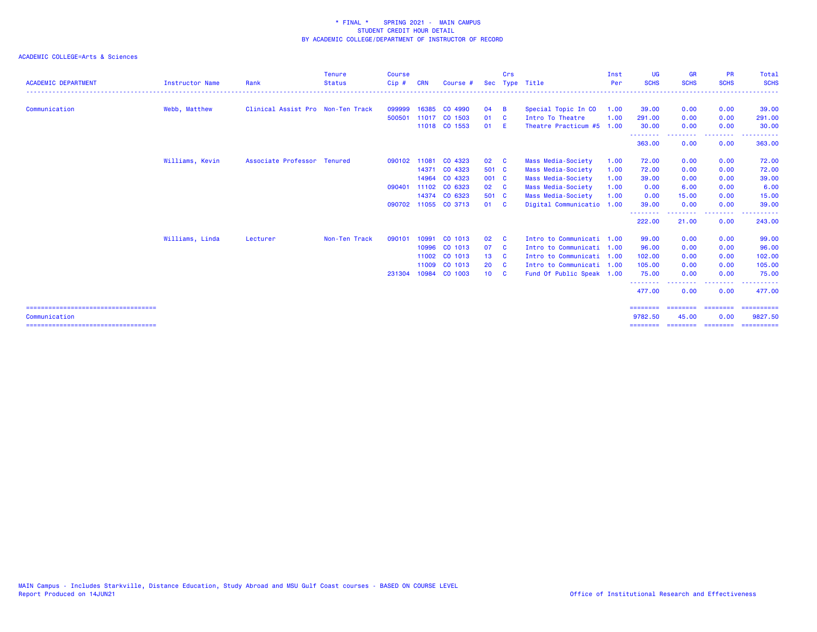| <b>ACADEMIC DEPARTMENT</b>             | <b>Instructor Name</b> | Rank                              | <b>Tenure</b><br><b>Status</b> | <b>Course</b><br>Cip# | <b>CRN</b> | Course #             |                 | Crs      | Sec Type Title            | Inst<br>Per | <b>UG</b><br><b>SCHS</b> | <b>GR</b><br><b>SCHS</b> | <b>PR</b><br><b>SCHS</b> | Total<br><b>SCHS</b> |
|----------------------------------------|------------------------|-----------------------------------|--------------------------------|-----------------------|------------|----------------------|-----------------|----------|---------------------------|-------------|--------------------------|--------------------------|--------------------------|----------------------|
|                                        |                        |                                   |                                |                       |            |                      |                 |          |                           |             |                          |                          |                          |                      |
| Communication                          | Webb, Matthew          | Clinical Assist Pro Non-Ten Track |                                | 099999                |            | 16385 CO 4990        | 04              | <b>B</b> | Special Topic In CO       | 1.00        | 39.00                    | 0.00                     | 0.00                     | 39.00                |
|                                        |                        |                                   |                                | 500501                |            | 11017 CO 1503        | 01              | <b>C</b> | Intro To Theatre          | 1.00        | 291,00                   | 0.00                     | 0.00                     | 291.00               |
|                                        |                        |                                   |                                |                       |            | 11018 CO 1553        | 01              | - E      | Theatre Practicum #5 1.00 |             | 30.00<br>.               | 0.00                     | 0.00<br>$- - - -$        | 30.00                |
|                                        |                        |                                   |                                |                       |            |                      |                 |          |                           |             | 363.00                   | 0.00                     | 0.00                     | 363.00               |
|                                        | Williams, Kevin        | Associate Professor Tenured       |                                | 090102 11081          |            | CO 4323              | 02 C            |          | Mass Media-Society        | 1.00        | 72.00                    | 0.00                     | 0.00                     | 72.00                |
|                                        |                        |                                   |                                |                       | 14371      | CO 4323              | 501 C           |          | Mass Media-Society        | 1.00        | 72.00                    | 0.00                     | 0.00                     | 72.00                |
|                                        |                        |                                   |                                |                       | 14964      | CO 4323              | 001 C           |          | Mass Media-Society        | 1.00        | 39.00                    | 0.00                     | 0.00                     | 39.00                |
|                                        |                        |                                   |                                | 090401                | 11102      | CO 6323              | 02 C            |          | Mass Media-Society        | 1.00        | 0.00                     | 6.00                     | 0.00                     | 6.00                 |
|                                        |                        |                                   |                                |                       |            | 14374 CO 6323        | 501 C           |          | Mass Media-Society        | 1.00        | 0.00                     | 15.00                    | 0.00                     | 15.00                |
|                                        |                        |                                   |                                |                       |            | 090702 11055 CO 3713 | 01 C            |          | Digital Communicatio 1.00 |             | 39.00                    | 0.00                     | 0.00                     | 39,00                |
|                                        |                        |                                   |                                |                       |            |                      |                 |          |                           |             | --------<br>222.00       | <u>.</u><br>21.00        | --------<br>0.00         | ------<br>243.00     |
|                                        | Williams, Linda        | Lecturer                          | Non-Ten Track                  | 090101                | 10991      | CO 1013              | 02              | <b>C</b> | Intro to Communicati 1.00 |             | 99.00                    | 0.00                     | 0.00                     | 99.00                |
|                                        |                        |                                   |                                |                       | 10996      | CO 1013              | 07              | <b>C</b> | Intro to Communicati 1.00 |             | 96.00                    | 0.00                     | 0.00                     | 96.00                |
|                                        |                        |                                   |                                |                       | 11002      | CO 1013              | 13              | - C      | Intro to Communicati 1.00 |             | 102.00                   | 0.00                     | 0.00                     | 102.00               |
|                                        |                        |                                   |                                |                       | 11009      | CO 1013              | 20              | <b>C</b> | Intro to Communicati 1.00 |             | 105.00                   | 0.00                     | 0.00                     | 105.00               |
|                                        |                        |                                   |                                | 231304                |            | 10984 CO 1003        | 10 <sup>1</sup> | <b>C</b> | Fund Of Public Speak 1.00 |             | 75.00                    | 0.00                     | 0.00                     | 75.00                |
|                                        |                        |                                   |                                |                       |            |                      |                 |          |                           |             | --------<br>477.00       | 0.00                     | ----<br>0.00             | 477.00               |
| =====================================  |                        |                                   |                                |                       |            |                      |                 |          |                           |             | ========                 | ========                 | ========                 | ==========           |
| Communication                          |                        |                                   |                                |                       |            |                      |                 |          |                           |             | 9782.50                  | 45.00                    | 0.00                     | 9827.50              |
| -------------------------------------- |                        |                                   |                                |                       |            |                      |                 |          |                           |             | ========                 | ========                 | ========                 | ==========           |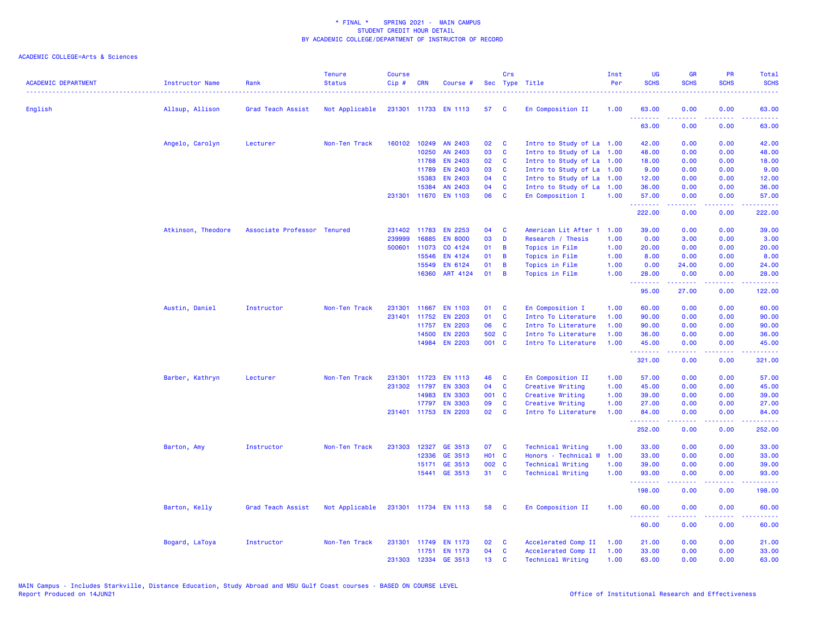| <b>ACADEMIC DEPARTMENT</b> | Instructor Name    | Rank                        | <b>Tenure</b><br><b>Status</b><br>. <u>.</u> | <b>Course</b><br>$Cip \#$ | <b>CRN</b>   | Course #             |       | Crs                     | Sec Type Title            | Inst<br>Per | UG<br><b>SCHS</b> | <b>GR</b><br><b>SCHS</b>                  | <b>PR</b><br><b>SCHS</b> | Total<br><b>SCHS</b><br>$\frac{1}{2} \left( \frac{1}{2} \right) \left( \frac{1}{2} \right) \left( \frac{1}{2} \right) \left( \frac{1}{2} \right)$ |
|----------------------------|--------------------|-----------------------------|----------------------------------------------|---------------------------|--------------|----------------------|-------|-------------------------|---------------------------|-------------|-------------------|-------------------------------------------|--------------------------|---------------------------------------------------------------------------------------------------------------------------------------------------|
| English                    | Allsup, Allison    | Grad Teach Assist           | Not Applicable                               |                           |              | 231301 11733 EN 1113 | 57    | <b>C</b>                | En Composition II         | 1.00        | 63.00             | 0.00                                      | 0.00                     | 63.00                                                                                                                                             |
|                            |                    |                             |                                              |                           |              |                      |       |                         |                           |             | .<br>63.00        | 22222<br>0.00                             | 0.00                     | المتمامين<br>63.00                                                                                                                                |
|                            | Angelo, Carolyn    | Lecturer                    | Non-Ten Track                                |                           | 160102 10249 | AN 2403              | 02    | C                       | Intro to Study of La 1.00 |             | 42.00             | 0.00                                      | 0.00                     | 42.00                                                                                                                                             |
|                            |                    |                             |                                              |                           | 10250        | AN 2403              | 03    | C                       | Intro to Study of La      | 1.00        | 48.00             | 0.00                                      | 0.00                     | 48.00                                                                                                                                             |
|                            |                    |                             |                                              |                           | 11788        | <b>EN 2403</b>       | 02    | C                       | Intro to Study of La      | 1.00        | 18.00             | 0.00                                      | 0.00                     | 18.00                                                                                                                                             |
|                            |                    |                             |                                              |                           | 11789        | EN 2403              | 03    | C                       | Intro to Study of La      | 1.00        | 9.00              | 0.00                                      | 0.00                     | 9.00                                                                                                                                              |
|                            |                    |                             |                                              |                           | 15383        | <b>EN 2403</b>       | 04    | C                       | Intro to Study of La      | 1.00        | 12.00             | 0.00                                      | 0.00                     | 12.00                                                                                                                                             |
|                            |                    |                             |                                              |                           | 15384        | AN 2403              | 04    | <b>C</b>                | Intro to Study of La      | 1.00        | 36.00             | 0.00                                      | 0.00                     | 36.00                                                                                                                                             |
|                            |                    |                             |                                              |                           |              | 231301 11670 EN 1103 | 06    | C                       | En Composition I          | 1.00        | 57.00<br>.        | 0.00<br><b><i><u><u>AAAAA</u></u></i></b> | 0.00<br>.                | 57.00<br>.                                                                                                                                        |
|                            |                    |                             |                                              |                           |              |                      |       |                         |                           |             | 222.00            | 0.00                                      | 0.00                     | 222.00                                                                                                                                            |
|                            | Atkinson, Theodore | Associate Professor Tenured |                                              |                           | 231402 11783 | <b>EN 2253</b>       | 04    | <b>C</b>                | American Lit After 1      | 1.00        | 39.00             | 0.00                                      | 0.00                     | 39.00                                                                                                                                             |
|                            |                    |                             |                                              | 239999                    | 16885        | <b>EN 8000</b>       | 03    | D                       | Research / Thesis         | 1.00        | 0.00              | 3.00                                      | 0.00                     | 3.00                                                                                                                                              |
|                            |                    |                             |                                              | 500601                    | 11073        | CO 4124              | 01    | B                       | Topics in Film            | 1.00        | 20.00             | 0.00                                      | 0.00                     | 20.00                                                                                                                                             |
|                            |                    |                             |                                              |                           | 15546        | EN 4124              | 01    | B                       | Topics in Film            | 1.00        | 8.00              | 0.00                                      | 0.00                     | 8.00                                                                                                                                              |
|                            |                    |                             |                                              |                           | 15549        | EN 6124              | 01    | B                       | Topics in Film            | 1.00        | 0.00              | 24.00                                     | 0.00                     | 24.00                                                                                                                                             |
|                            |                    |                             |                                              |                           | 16360        | ART 4124             | 01    | B                       | Topics in Film            | 1.00        | 28.00<br>.        | 0.00<br>.                                 | 0.00<br>.                | 28.00<br><u>.</u>                                                                                                                                 |
|                            |                    |                             |                                              |                           |              |                      |       |                         |                           |             | 95.00             | 27.00                                     | 0.00                     | 122.00                                                                                                                                            |
|                            | Austin, Daniel     | Instructor                  | Non-Ten Track                                | 231301                    | 11667        | <b>EN 1103</b>       | 01    | C                       | En Composition I          | 1.00        | 60.00             | 0.00                                      | 0.00                     | 60.00                                                                                                                                             |
|                            |                    |                             |                                              |                           | 231401 11752 | <b>EN 2203</b>       | 01    | C                       | Intro To Literature       | 1.00        | 90.00             | 0.00                                      | 0.00                     | 90.00                                                                                                                                             |
|                            |                    |                             |                                              |                           | 11757        | <b>EN 2203</b>       | 06    | C                       | Intro To Literature       | 1.00        | 90.00             | 0.00                                      | 0.00                     | 90.00                                                                                                                                             |
|                            |                    |                             |                                              |                           | 14500        | <b>EN 2203</b>       | 502 C |                         | Intro To Literature       | 1.00        | 36.00             | 0.00                                      | 0.00                     | 36.00                                                                                                                                             |
|                            |                    |                             |                                              |                           | 14984        | <b>EN 2203</b>       | 001 C |                         | Intro To Literature       | 1.00        | 45.00<br>.        | 0.00<br>-----                             | 0.00<br>.                | 45.00<br>.                                                                                                                                        |
|                            |                    |                             |                                              |                           |              |                      |       |                         |                           |             | 321.00            | 0.00                                      | 0.00                     | 321.00                                                                                                                                            |
|                            | Barber, Kathryn    | Lecturer                    | Non-Ten Track                                | 231301                    | 11723        | <b>EN 1113</b>       | 46    | C                       | En Composition II         | 1.00        | 57.00             | 0.00                                      | 0.00                     | 57.00                                                                                                                                             |
|                            |                    |                             |                                              |                           | 231302 11797 | <b>EN 3303</b>       | 04    | C                       | Creative Writing          | 1.00        | 45.00             | 0.00                                      | 0.00                     | 45.00                                                                                                                                             |
|                            |                    |                             |                                              |                           | 14983        | <b>EN 3303</b>       | 001 C |                         | Creative Writing          | 1.00        | 39,00             | 0.00                                      | 0.00                     | 39.00                                                                                                                                             |
|                            |                    |                             |                                              |                           | 17797        | <b>EN 3303</b>       | 09    | C                       | Creative Writing          | 1.00        | 27.00             | 0.00                                      | 0.00                     | 27.00                                                                                                                                             |
|                            |                    |                             |                                              |                           |              | 231401 11753 EN 2203 | 02    | $\overline{\mathbf{c}}$ | Intro To Literature       | 1.00        | 84.00<br>.        | 0.00                                      | 0.00                     | 84.00                                                                                                                                             |
|                            |                    |                             |                                              |                           |              |                      |       |                         |                           |             | 252.00            | 0.00                                      | 0.00                     | 252.00                                                                                                                                            |
|                            | Barton, Amy        | Instructor                  | Non-Ten Track                                |                           | 231303 12327 | GE 3513              | 07    | <b>C</b>                | <b>Technical Writing</b>  | 1.00        | 33.00             | 0.00                                      | 0.00                     | 33.00                                                                                                                                             |
|                            |                    |                             |                                              |                           | 12336        | GE 3513              | H01 C |                         | Honors - Technical W      | 1.00        | 33.00             | 0.00                                      | 0.00                     | 33.00                                                                                                                                             |
|                            |                    |                             |                                              |                           | 15171        | GE 3513              | 002 C |                         | <b>Technical Writing</b>  | 1.00        | 39.00             | 0.00                                      | 0.00                     | 39.00                                                                                                                                             |
|                            |                    |                             |                                              |                           |              | 15441 GE 3513        | 31 C  |                         | <b>Technical Writing</b>  | 1.00        | 93.00             | 0.00                                      | 0.00                     | 93.00                                                                                                                                             |
|                            |                    |                             |                                              |                           |              |                      |       |                         |                           |             | .<br>198.00       | <b><i><u><u>AAAAA</u></u></i></b><br>0.00 | .<br>0.00                | .<br>198.00                                                                                                                                       |
|                            | Barton, Kelly      | Grad Teach Assist           | Not Applicable                               |                           |              | 231301 11734 EN 1113 | 58    | $\mathbf{C}$            | En Composition II         | 1.00        | 60.00             | 0.00                                      | 0.00                     | 60.00                                                                                                                                             |
|                            |                    |                             |                                              |                           |              |                      |       |                         |                           |             | --------<br>60.00 | . <u>.</u> .<br>0.00                      | -----<br>0.00            | .<br>60.00                                                                                                                                        |
|                            | Bogard, LaToya     | Instructor                  | Non-Ten Track                                |                           |              | 231301 11749 EN 1173 | 02    | <b>C</b>                | Accelerated Comp II       | 1.00        | 21.00             | 0.00                                      | 0.00                     | 21.00                                                                                                                                             |
|                            |                    |                             |                                              |                           |              | 11751 EN 1173        | 04    | C                       | Accelerated Comp II       | 1.00        | 33.00             | 0.00                                      | 0.00                     | 33.00                                                                                                                                             |
|                            |                    |                             |                                              |                           |              | 231303 12334 GE 3513 | 13    | C                       | <b>Technical Writing</b>  | 1.00        | 63.00             | 0.00                                      | 0.00                     | 63.00                                                                                                                                             |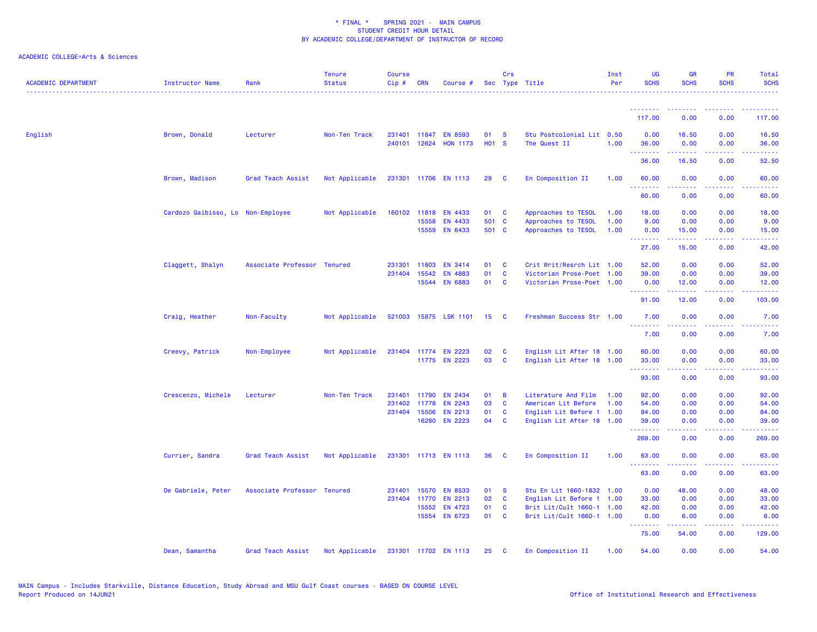| <b>ACADEMIC DEPARTMENT</b> | <b>Instructor Name</b>            | Rank                        | <b>Tenure</b><br><b>Status</b> | <b>Course</b><br>Cip# | <b>CRN</b>   | Course #              |                         | Crs          | Sec Type Title            | Inst<br>Per | <b>UG</b><br><b>SCHS</b> | <b>GR</b><br><b>SCHS</b>                                                                                                                                     | <b>PR</b><br><b>SCHS</b>            | Total<br><b>SCHS</b>                 |
|----------------------------|-----------------------------------|-----------------------------|--------------------------------|-----------------------|--------------|-----------------------|-------------------------|--------------|---------------------------|-------------|--------------------------|--------------------------------------------------------------------------------------------------------------------------------------------------------------|-------------------------------------|--------------------------------------|
|                            |                                   |                             |                                |                       |              |                       |                         |              |                           |             | <u>.</u>                 |                                                                                                                                                              |                                     |                                      |
|                            |                                   |                             |                                |                       |              |                       |                         |              |                           |             | 117.00                   | 0.00                                                                                                                                                         | 0.00                                | 117.00                               |
| English                    | Brown, Donald                     | Lecturer                    | Non-Ten Track                  |                       | 231401 11847 | <b>EN 8593</b>        | 01<br>H <sub>01</sub> S | <b>S</b>     | Stu Postcolonial Lit 0.50 |             | 0.00                     | 16.50                                                                                                                                                        | 0.00                                | 16.50                                |
|                            |                                   |                             |                                | 240101                | 12624        | <b>HON 1173</b>       |                         |              | The Quest II              | 1.00        | 36.00<br>.               | 0.00<br>بالمستمال                                                                                                                                            | 0.00<br>$\sim$ $\sim$ $\sim$ $\sim$ | 36.00<br>$\sim$ $\sim$ $\sim$ $\sim$ |
|                            |                                   |                             |                                |                       |              |                       |                         |              |                           |             | 36.00                    | 16.50                                                                                                                                                        | 0.00                                | 52.50                                |
|                            | Brown, Madison                    | Grad Teach Assist           | Not Applicable                 |                       |              | 231301 11706 EN 1113  | 29                      | $\mathbf{C}$ | En Composition II         | 1.00        | 60.00<br>.               | 0.00                                                                                                                                                         | 0.00                                | 60.00                                |
|                            |                                   |                             |                                |                       |              |                       |                         |              |                           |             | 60.00                    | 0.00                                                                                                                                                         | 0.00                                | 60.00                                |
|                            | Cardozo Gaibisso, Lo Non-Employee |                             | Not Applicable                 |                       | 160102 11818 | EN 4433               | 01                      | C            | Approaches to TESOL       | 1.00        | 18.00                    | 0.00                                                                                                                                                         | 0.00                                | 18.00                                |
|                            |                                   |                             |                                |                       | 15558        | EN 4433               | 501 C                   |              | Approaches to TESOL       | 1.00        | 9.00                     | 0.00                                                                                                                                                         | 0.00                                | 9.00                                 |
|                            |                                   |                             |                                |                       | 15559        | EN 6433               | 501 C                   |              | Approaches to TESOL       | 1.00        | 0.00<br>.                | 15.00                                                                                                                                                        | 0.00                                | 15.00                                |
|                            |                                   |                             |                                |                       |              |                       |                         |              |                           |             | 27.00                    | 15.00                                                                                                                                                        | 0.00                                | 42.00                                |
|                            | Claggett, Shalyn                  | Associate Professor Tenured |                                | 231301                | 11803        | <b>EN 3414</b>        | 01                      | <b>C</b>     | Crit Writ/Resrch Lit 1.00 |             | 52.00                    | 0.00                                                                                                                                                         | 0.00                                | 52.00                                |
|                            |                                   |                             |                                |                       | 231404 15542 | <b>EN 4883</b>        | 01                      | C            | Victorian Prose-Poet 1.00 |             | 39.00                    | 0.00                                                                                                                                                         | 0.00                                | 39.00                                |
|                            |                                   |                             |                                |                       |              | 15544 EN 6883         | 01                      | <b>C</b>     | Victorian Prose-Poet 1.00 |             | 0.00<br>.                | 12.00<br>والمستوات                                                                                                                                           | 0.00<br>$\sim$ $\sim$ $\sim$ $\sim$ | 12.00<br>المتمامين                   |
|                            |                                   |                             |                                |                       |              |                       |                         |              |                           |             | 91.00                    | 12.00                                                                                                                                                        | 0.00                                | 103.00                               |
|                            | Craig, Heather                    | Non-Faculty                 | Not Applicable                 |                       |              | 521003 15875 LSK 1101 | 15                      | - C          | Freshman Success Str 1.00 |             | 7.00                     | 0.00                                                                                                                                                         | 0.00                                | 7.00                                 |
|                            |                                   |                             |                                |                       |              |                       |                         |              |                           |             | <u>.</u><br>7.00         | 0.00                                                                                                                                                         | 0.00                                | ----<br>7.00                         |
|                            | Creevy, Patrick                   | Non-Employee                | Not Applicable                 |                       |              | 231404 11774 EN 2223  | 02                      | <b>C</b>     | English Lit After 18 1.00 |             | 60.00                    | 0.00                                                                                                                                                         | 0.00                                | 60.00                                |
|                            |                                   |                             |                                |                       |              | 11775 EN 2223         | 03                      | <b>C</b>     | English Lit After 18 1.00 |             | 33.00                    | 0.00                                                                                                                                                         | 0.00                                | 33.00                                |
|                            |                                   |                             |                                |                       |              |                       |                         |              |                           |             | .<br>93.00               | $\frac{1}{2} \left( \frac{1}{2} \right) \left( \frac{1}{2} \right) \left( \frac{1}{2} \right) \left( \frac{1}{2} \right) \left( \frac{1}{2} \right)$<br>0.00 | .<br>0.00                           | .<br>93.00                           |
|                            | Crescenzo, Michele                | Lecturer                    | Non-Ten Track                  |                       | 231401 11790 | <b>EN 2434</b>        | 01                      | B            | Literature And Film       | 1.00        | 92.00                    | 0.00                                                                                                                                                         | 0.00                                | 92.00                                |
|                            |                                   |                             |                                |                       | 231402 11778 | <b>EN 2243</b>        | 03                      | C            | American Lit Before       | 1.00        | 54.00                    | 0.00                                                                                                                                                         | 0.00                                | 54.00                                |
|                            |                                   |                             |                                |                       | 231404 15506 | <b>EN 2213</b>        | 01                      | C            | English Lit Before 1 1.00 |             | 84.00                    | 0.00                                                                                                                                                         | 0.00                                | 84.00                                |
|                            |                                   |                             |                                |                       | 16280        | <b>EN 2223</b>        | 04                      | C            | English Lit After 18 1.00 |             | 39.00<br>.               | 0.00<br>.                                                                                                                                                    | 0.00                                | 39.00<br>.                           |
|                            |                                   |                             |                                |                       |              |                       |                         |              |                           |             | 269.00                   | 0.00                                                                                                                                                         | 0.00                                | 269.00                               |
|                            | Currier, Sandra                   | Grad Teach Assist           | Not Applicable                 |                       |              | 231301 11713 EN 1113  | 36                      | C            | En Composition II         | 1.00        | 63.00                    | 0.00                                                                                                                                                         | 0.00                                | 63.00                                |
|                            |                                   |                             |                                |                       |              |                       |                         |              |                           |             | 63.00                    | 0.00                                                                                                                                                         | 0.00                                | 63.00                                |
|                            | De Gabriele, Peter                | Associate Professor Tenured |                                | 231401                | 15570        | <b>EN 8533</b>        | 01                      | - S          | Stu En Lit 1660-1832 1.00 |             | 0.00                     | 48.00                                                                                                                                                        | 0.00                                | 48.00                                |
|                            |                                   |                             |                                |                       | 231404 11770 | EN 2213               | 02                      | <b>C</b>     | English Lit Before 1 1.00 |             | 33.00                    | 0.00                                                                                                                                                         | 0.00                                | 33.00                                |
|                            |                                   |                             |                                |                       | 15552        | <b>EN 4723</b>        | 01                      | C            | Brit Lit/Cult 1660-1 1.00 |             | 42.00                    | 0.00                                                                                                                                                         | 0.00                                | 42.00                                |
|                            |                                   |                             |                                |                       |              | 15554 EN 6723         | 01                      | $\mathbf{C}$ | Brit Lit/Cult 1660-1 1.00 |             | 0.00<br>.                | 6.00<br>المتمامين                                                                                                                                            | 0.00<br>.                           | 6.00<br>22222                        |
|                            |                                   |                             |                                |                       |              |                       |                         |              |                           |             | 75.00                    | 54.00                                                                                                                                                        | 0.00                                | 129.00                               |
|                            | Dean, Samantha                    | Grad Teach Assist           | Not Applicable                 |                       |              | 231301 11702 EN 1113  | 25                      | <b>C</b>     | En Composition II         | 1.00        | 54.00                    | 0.00                                                                                                                                                         | 0.00                                | 54.00                                |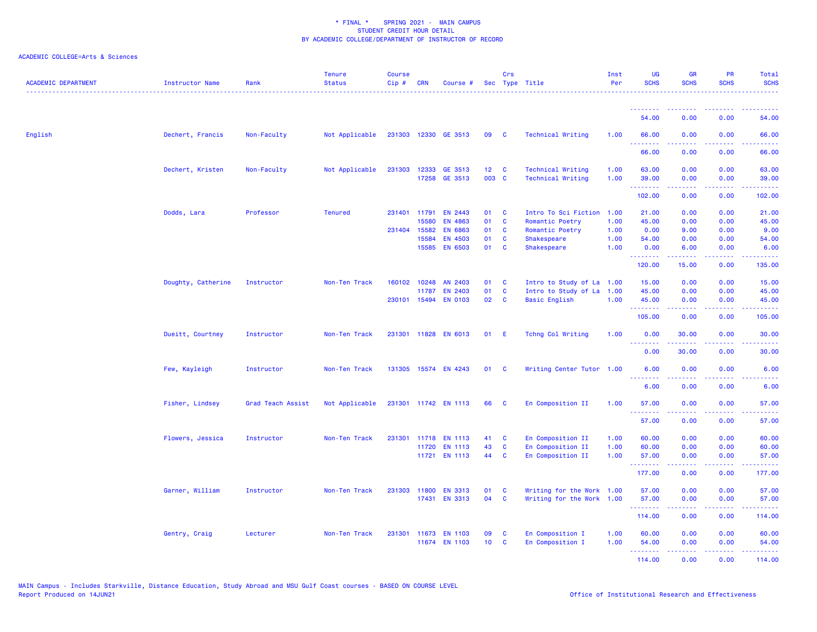| <b>ACADEMIC DEPARTMENT</b> | Instructor Name    | Rank              | <b>Tenure</b><br><b>Status</b> | <b>Course</b><br>$Cip \#$ | CRN          | Course #                 |                 | Crs               | Sec Type Title             | Inst<br>Per  | <b>UG</b><br><b>SCHS</b>         | <b>GR</b><br><b>SCHS</b>                                                                                                                                      | <b>PR</b><br><b>SCHS</b> | Total<br><b>SCHS</b>                                                                                                               |
|----------------------------|--------------------|-------------------|--------------------------------|---------------------------|--------------|--------------------------|-----------------|-------------------|----------------------------|--------------|----------------------------------|---------------------------------------------------------------------------------------------------------------------------------------------------------------|--------------------------|------------------------------------------------------------------------------------------------------------------------------------|
|                            |                    |                   |                                |                           |              |                          |                 |                   |                            |              | <u>.</u>                         |                                                                                                                                                               |                          |                                                                                                                                    |
|                            |                    |                   |                                |                           |              |                          |                 |                   |                            |              | 54.00                            | 0.00                                                                                                                                                          | 0.00                     | 54.00                                                                                                                              |
| English                    | Dechert, Francis   | Non-Faculty       | Not Applicable                 |                           |              | 231303 12330 GE 3513     | 09              | $\mathbf{C}$      | <b>Technical Writing</b>   | 1.00         | 66.00<br><u> - - - - - - - -</u> | 0.00<br>.                                                                                                                                                     | 0.00<br>$  -$            | 66.00<br>$\frac{1}{2} \left( \frac{1}{2} \right) \left( \frac{1}{2} \right) \left( \frac{1}{2} \right) \left( \frac{1}{2} \right)$ |
|                            |                    |                   |                                |                           |              |                          |                 |                   |                            |              | 66.00                            | 0.00                                                                                                                                                          | 0.00                     | 66.00                                                                                                                              |
|                            | Dechert, Kristen   | Non-Faculty       | Not Applicable                 |                           |              | 231303 12333 GE 3513     | 12 <sub>2</sub> | $\mathbf{C}$      | <b>Technical Writing</b>   | 1.00         | 63.00                            | 0.00                                                                                                                                                          | 0.00                     | 63.00                                                                                                                              |
|                            |                    |                   |                                |                           |              | 17258 GE 3513            | 003 C           |                   | <b>Technical Writing</b>   | 1.00         | 39.00<br>.                       | 0.00<br>.                                                                                                                                                     | 0.00<br>$  -$            | 39.00<br>$\sim$ $\sim$ $\sim$ $\sim$ $\sim$                                                                                        |
|                            |                    |                   |                                |                           |              |                          |                 |                   |                            |              | 102.00                           | 0.00                                                                                                                                                          | 0.00                     | 102.00                                                                                                                             |
|                            | Dodds, Lara        | Professor         | <b>Tenured</b>                 |                           | 231401 11791 | <b>EN 2443</b>           | 01              | $\mathbf{C}$      | Intro To Sci Fiction       | 1.00         | 21.00                            | 0.00                                                                                                                                                          | 0.00                     | 21.00                                                                                                                              |
|                            |                    |                   |                                |                           | 15580        | <b>EN 4863</b>           | 01              | C                 | Romantic Poetry            | 1.00         | 45.00                            | 0.00                                                                                                                                                          | 0.00                     | 45.00                                                                                                                              |
|                            |                    |                   |                                |                           | 231404 15582 | <b>EN 6863</b>           | 01              | C                 | Romantic Poetry            | 1.00         | 0.00                             | 9.00                                                                                                                                                          | 0.00                     | 9.00                                                                                                                               |
|                            |                    |                   |                                |                           | 15584        | EN 4503<br>15585 EN 6503 | 01<br>01        | C<br>$\mathbf{C}$ | Shakespeare<br>Shakespeare | 1.00<br>1.00 | 54.00<br>0.00                    | 0.00<br>6.00                                                                                                                                                  | 0.00<br>0.00             | 54.00<br>6.00                                                                                                                      |
|                            |                    |                   |                                |                           |              |                          |                 |                   |                            |              | .<br>120.00                      | $\frac{1}{2} \left( \frac{1}{2} \right) \left( \frac{1}{2} \right) \left( \frac{1}{2} \right) \left( \frac{1}{2} \right) \left( \frac{1}{2} \right)$<br>15.00 | .<br>0.00                | والموالي الموالي<br>135.00                                                                                                         |
|                            | Doughty, Catherine | Instructor        | Non-Ten Track                  |                           | 160102 10248 | AN 2403                  | 01              | $\mathbf{C}$      | Intro to Study of La       | 1.00         | 15.00                            | 0.00                                                                                                                                                          | 0.00                     | 15.00                                                                                                                              |
|                            |                    |                   |                                |                           | 11787        | EN 2403                  | 01              | $\mathbf{C}$      | Intro to Study of La 1.00  |              | 45.00                            | 0.00                                                                                                                                                          | 0.00                     | 45.00                                                                                                                              |
|                            |                    |                   |                                |                           |              | 230101 15494 EN 0103     | 02              | $\mathbf{C}$      | <b>Basic English</b>       | 1.00         | 45.00                            | 0.00                                                                                                                                                          | 0.00                     | 45.00                                                                                                                              |
|                            |                    |                   |                                |                           |              |                          |                 |                   |                            |              | .<br>105.00                      | 0.00                                                                                                                                                          | 0.00                     | 105.00                                                                                                                             |
|                            | Dueitt, Courtney   | Instructor        | Non-Ten Track                  |                           |              | 231301 11828 EN 6013     | 01              | - E               | Tchng Col Writing          | 1.00         | 0.00<br>.                        | 30.00<br>.                                                                                                                                                    | 0.00                     | 30.00                                                                                                                              |
|                            |                    |                   |                                |                           |              |                          |                 |                   |                            |              | 0.00                             | 30.00                                                                                                                                                         | 0.00                     | 30.00                                                                                                                              |
|                            | Few, Kayleigh      | Instructor        | Non-Ten Track                  |                           |              | 131305 15574 EN 4243     | 01 C            |                   | Writing Center Tutor 1.00  |              | 6.00                             | 0.00                                                                                                                                                          | 0.00                     | 6.00                                                                                                                               |
|                            |                    |                   |                                |                           |              |                          |                 |                   |                            |              | $\sim$ $\sim$ $\sim$<br>6.00     | .<br>0.00                                                                                                                                                     | .<br>0.00                | 222 L<br>6.00                                                                                                                      |
|                            | Fisher, Lindsey    | Grad Teach Assist | Not Applicable                 |                           |              | 231301 11742 EN 1113     | 66              | <b>C</b>          | En Composition II          | 1.00         | 57.00                            | 0.00                                                                                                                                                          | 0.00                     | 57.00                                                                                                                              |
|                            |                    |                   |                                |                           |              |                          |                 |                   |                            |              | .<br>57.00                       | $- - - - -$<br>0.00                                                                                                                                           | الداعات عادة<br>0.00     | .<br>57.00                                                                                                                         |
|                            | Flowers, Jessica   | Instructor        | Non-Ten Track                  | 231301                    |              | 11718 EN 1113            | 41              | <b>C</b>          | En Composition II          | 1.00         | 60.00                            | 0.00                                                                                                                                                          | 0.00                     | 60.00                                                                                                                              |
|                            |                    |                   |                                |                           | 11720        | <b>EN 1113</b>           | 43              | C                 | En Composition II          | 1.00         | 60.00                            | 0.00                                                                                                                                                          | 0.00                     | 60.00                                                                                                                              |
|                            |                    |                   |                                |                           |              | 11721 EN 1113            | 44              | <b>C</b>          | En Composition II          | 1.00         | 57.00<br>.                       | 0.00<br>بالأبابات                                                                                                                                             | 0.00<br>الأعاماء         | 57.00<br>.                                                                                                                         |
|                            |                    |                   |                                |                           |              |                          |                 |                   |                            |              | 177.00                           | 0.00                                                                                                                                                          | 0.00                     | 177.00                                                                                                                             |
|                            | Garner, William    | Instructor        | Non-Ten Track                  |                           | 231303 11800 | <b>EN 3313</b>           | 01              | C                 | Writing for the Work 1.00  |              | 57.00                            | 0.00                                                                                                                                                          | 0.00                     | 57.00                                                                                                                              |
|                            |                    |                   |                                |                           |              | 17431 EN 3313            | 04              | $\mathbf{C}$      | Writing for the Work 1.00  |              | 57.00<br>.                       | 0.00<br>22222                                                                                                                                                 | 0.00<br>د د د د          | 57.00<br>222223                                                                                                                    |
|                            |                    |                   |                                |                           |              |                          |                 |                   |                            |              | 114.00                           | 0.00                                                                                                                                                          | 0.00                     | 114.00                                                                                                                             |
|                            | Gentry, Craig      | Lecturer          | Non-Ten Track                  |                           |              | 231301 11673 EN 1103     | 09              | C                 | En Composition I           | 1.00         | 60.00                            | 0.00                                                                                                                                                          | 0.00                     | 60.00                                                                                                                              |
|                            |                    |                   |                                |                           |              | 11674 EN 1103            | 10 <sub>1</sub> | C                 | En Composition I           | 1.00         | 54.00                            | 0.00                                                                                                                                                          | 0.00                     | 54.00                                                                                                                              |
|                            |                    |                   |                                |                           |              |                          |                 |                   |                            |              | .                                | . <b>.</b>                                                                                                                                                    | الداعات عاد              | .                                                                                                                                  |
|                            |                    |                   |                                |                           |              |                          |                 |                   |                            |              | 114.00                           | 0.00                                                                                                                                                          | 0.00                     | 114.00                                                                                                                             |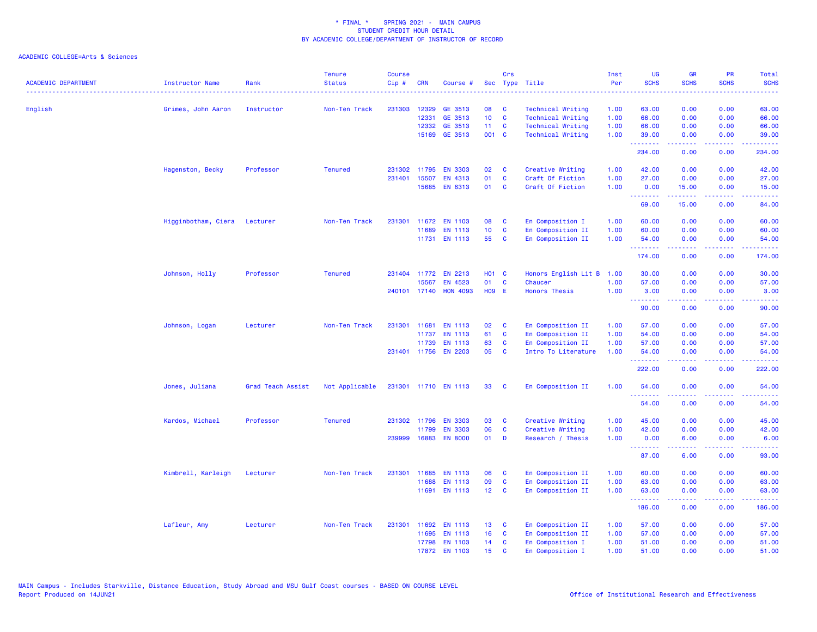|                            |                              | Rank              | <b>Tenure</b>  | <b>Course</b> | <b>CRN</b>   |                      |                 | Crs                     |                           | Inst | <b>UG</b><br><b>SCHS</b> | <b>GR</b><br><b>SCHS</b>                                                                                                                                     | <b>PR</b><br><b>SCHS</b>            | Total                                                                                                                                                         |
|----------------------------|------------------------------|-------------------|----------------|---------------|--------------|----------------------|-----------------|-------------------------|---------------------------|------|--------------------------|--------------------------------------------------------------------------------------------------------------------------------------------------------------|-------------------------------------|---------------------------------------------------------------------------------------------------------------------------------------------------------------|
| <b>ACADEMIC DEPARTMENT</b> | Instructor Name              | .                 | <b>Status</b>  | Cip#          |              | Course #             |                 |                         | Sec Type Title            | Per  |                          |                                                                                                                                                              |                                     | <b>SCHS</b><br>$\frac{1}{2} \left( \frac{1}{2} \right) \left( \frac{1}{2} \right) \left( \frac{1}{2} \right) \left( \frac{1}{2} \right)$                      |
| English                    | Grimes, John Aaron           | Instructor        | Non-Ten Track  | 231303        | 12329        | GE 3513              | 08              | C                       | <b>Technical Writing</b>  | 1.00 | 63.00                    | 0.00                                                                                                                                                         | 0.00                                | 63.00                                                                                                                                                         |
|                            |                              |                   |                |               | 12331        | GE 3513              | 10 <sub>1</sub> | $\mathbf{C}$            | Technical Writing         | 1.00 | 66.00                    | 0.00                                                                                                                                                         | 0.00                                | 66.00                                                                                                                                                         |
|                            |                              |                   |                |               | 12332        | GE 3513              | 11 <sub>1</sub> | $\mathbf{C}$            | Technical Writing         | 1.00 | 66.00                    | 0.00                                                                                                                                                         | 0.00                                | 66.00                                                                                                                                                         |
|                            |                              |                   |                |               |              | 15169 GE 3513        | 001 C           |                         | <b>Technical Writing</b>  | 1.00 | 39.00                    | 0.00                                                                                                                                                         | 0.00                                | 39.00                                                                                                                                                         |
|                            |                              |                   |                |               |              |                      |                 |                         |                           |      | .<br>234.00              | .<br>0.00                                                                                                                                                    | $\sim$ $\sim$ $\sim$ $\sim$<br>0.00 | .<br>234.00                                                                                                                                                   |
|                            | Hagenston, Becky             | Professor         | <b>Tenured</b> |               | 231302 11795 | <b>EN 3303</b>       | 02              | <b>C</b>                | Creative Writing          | 1.00 | 42.00                    | 0.00                                                                                                                                                         | 0.00                                | 42.00                                                                                                                                                         |
|                            |                              |                   |                | 231401        | 15507        | EN 4313              | 01              | $\mathbf{C}$            | Craft Of Fiction          | 1.00 | 27.00                    | 0.00                                                                                                                                                         | 0.00                                | 27.00                                                                                                                                                         |
|                            |                              |                   |                |               |              | 15685 EN 6313        | 01              | <b>C</b>                | Craft Of Fiction          | 1.00 | 0.00                     | 15.00                                                                                                                                                        | 0.00                                | 15.00                                                                                                                                                         |
|                            |                              |                   |                |               |              |                      |                 |                         |                           |      | .<br>69.00               | د د د د<br>15.00                                                                                                                                             | 0.00                                | $-22222$<br>84.00                                                                                                                                             |
|                            | Higginbotham, Ciera Lecturer |                   | Non-Ten Track  |               |              | 231301 11672 EN 1103 | 08              | <b>C</b>                | En Composition I          | 1.00 | 60.00                    | 0.00                                                                                                                                                         | 0.00                                | 60.00                                                                                                                                                         |
|                            |                              |                   |                |               | 11689        | EN 1113              | 10 <sub>1</sub> | $\mathbf{C}$            | En Composition II         | 1.00 | 60.00                    | 0.00                                                                                                                                                         | 0.00                                | 60.00                                                                                                                                                         |
|                            |                              |                   |                |               |              | 11731 EN 1113        | 55              | $\mathbf{C}$            | En Composition II         | 1.00 | 54.00                    | 0.00                                                                                                                                                         | 0.00                                | 54.00                                                                                                                                                         |
|                            |                              |                   |                |               |              |                      |                 |                         |                           |      | .<br>174.00              | .<br>0.00                                                                                                                                                    | 0.00                                | .<br>174.00                                                                                                                                                   |
|                            | Johnson, Holly               | Professor         | <b>Tenured</b> |               |              | 231404 11772 EN 2213 | <b>HO1 C</b>    |                         | Honors English Lit B 1.00 |      | 30.00                    | 0.00                                                                                                                                                         | 0.00                                | 30.00                                                                                                                                                         |
|                            |                              |                   |                |               | 15567        | EN 4523              | 01              | $\mathbf{C}$            | Chaucer                   | 1.00 | 57.00                    | 0.00                                                                                                                                                         | 0.00                                | 57.00                                                                                                                                                         |
|                            |                              |                   |                |               | 240101 17140 | <b>HON 4093</b>      | <b>H09 E</b>    |                         | <b>Honors Thesis</b>      | 1.00 | 3.00                     | 0.00                                                                                                                                                         | 0.00                                | 3.00                                                                                                                                                          |
|                            |                              |                   |                |               |              |                      |                 |                         |                           |      | .<br>90.00               | 0.00                                                                                                                                                         | 0.00                                | $\frac{1}{2} \left( \frac{1}{2} \right) \left( \frac{1}{2} \right) \left( \frac{1}{2} \right) \left( \frac{1}{2} \right) \left( \frac{1}{2} \right)$<br>90.00 |
|                            | Johnson, Logan               | Lecturer          | Non-Ten Track  |               | 231301 11681 | <b>EN 1113</b>       | 02              | <b>C</b>                | En Composition II         | 1.00 | 57.00                    | 0.00                                                                                                                                                         | 0.00                                | 57.00                                                                                                                                                         |
|                            |                              |                   |                |               | 11737        | EN 1113              | 61              | $\mathbf{C}$            | En Composition II         | 1.00 | 54.00                    | 0.00                                                                                                                                                         | 0.00                                | 54.00                                                                                                                                                         |
|                            |                              |                   |                |               | 11739        | <b>EN 1113</b>       | 63              | <b>C</b>                | En Composition II         | 1.00 | 57.00                    | 0.00                                                                                                                                                         | 0.00                                | 57.00                                                                                                                                                         |
|                            |                              |                   |                |               |              | 231401 11756 EN 2203 | 05              | <b>C</b>                | Intro To Literature       | 1.00 | 54.00                    | 0.00                                                                                                                                                         | 0.00                                | 54.00                                                                                                                                                         |
|                            |                              |                   |                |               |              |                      |                 |                         |                           |      | .<br>222.00              | .<br>0.00                                                                                                                                                    | .<br>0.00                           | .<br>222.00                                                                                                                                                   |
|                            | Jones, Juliana               | Grad Teach Assist | Not Applicable |               |              | 231301 11710 EN 1113 | 33              | $\mathbf{C}$            | En Composition II         | 1.00 | 54.00                    | 0.00                                                                                                                                                         | 0.00                                | 54.00                                                                                                                                                         |
|                            |                              |                   |                |               |              |                      |                 |                         |                           |      | .<br>54.00               | .<br>0.00                                                                                                                                                    | $\sim$ $\sim$ $\sim$<br>0.00        | 54.00                                                                                                                                                         |
|                            | Kardos, Michael              | Professor         | <b>Tenured</b> |               | 231302 11796 | <b>EN 3303</b>       | 03              | <b>C</b>                | Creative Writing          | 1.00 | 45.00                    | 0.00                                                                                                                                                         | 0.00                                | 45.00                                                                                                                                                         |
|                            |                              |                   |                |               | 11799        | <b>EN 3303</b>       | 06              | <b>C</b>                | Creative Writing          | 1.00 | 42.00                    | 0.00                                                                                                                                                         | 0.00                                | 42.00                                                                                                                                                         |
|                            |                              |                   |                |               | 239999 16883 | <b>EN 8000</b>       | 01              | D                       | Research / Thesis         | 1.00 | 0.00                     | 6.00                                                                                                                                                         | 0.00                                | 6.00                                                                                                                                                          |
|                            |                              |                   |                |               |              |                      |                 |                         |                           |      | .<br>87.00               | $\frac{1}{2} \left( \frac{1}{2} \right) \left( \frac{1}{2} \right) \left( \frac{1}{2} \right) \left( \frac{1}{2} \right) \left( \frac{1}{2} \right)$<br>6.00 | .<br>0.00                           | .<br>93.00                                                                                                                                                    |
|                            | Kimbrell, Karleigh           | Lecturer          | Non-Ten Track  | 231301        | 11685        | <b>EN 1113</b>       | 06              | $\mathbf{C}$            | En Composition II         | 1.00 | 60.00                    | 0.00                                                                                                                                                         | 0.00                                | 60.00                                                                                                                                                         |
|                            |                              |                   |                |               | 11688        | <b>EN 1113</b>       | 09              | $\mathbf{C}$            | En Composition II         | 1.00 | 63.00                    | 0.00                                                                                                                                                         | 0.00                                | 63.00                                                                                                                                                         |
|                            |                              |                   |                |               | 11691        | <b>EN 1113</b>       | 12 <sub>2</sub> | $\overline{\mathbf{C}}$ | En Composition II         | 1.00 | 63.00                    | 0.00                                                                                                                                                         | 0.00                                | 63.00                                                                                                                                                         |
|                            |                              |                   |                |               |              |                      |                 |                         |                           |      | .<br>186.00              | $\frac{1}{2} \left( \frac{1}{2} \right) \left( \frac{1}{2} \right) \left( \frac{1}{2} \right) \left( \frac{1}{2} \right) \left( \frac{1}{2} \right)$<br>0.00 | .<br>0.00                           | .<br>186.00                                                                                                                                                   |
|                            | Lafleur, Amy                 | Lecturer          | Non-Ten Track  | 231301        | 11692        | EN 1113              | 13              | <b>C</b>                | En Composition II         | 1.00 | 57.00                    | 0.00                                                                                                                                                         | 0.00                                | 57.00                                                                                                                                                         |
|                            |                              |                   |                |               | 11695        | <b>EN 1113</b>       | 16              | $\mathbf{C}$            | En Composition II         | 1.00 | 57.00                    | 0.00                                                                                                                                                         | 0.00                                | 57.00                                                                                                                                                         |
|                            |                              |                   |                |               | 17798        | <b>EN 1103</b>       | 14              | $\mathbf{C}$            | En Composition I          | 1.00 | 51.00                    | 0.00                                                                                                                                                         | 0.00                                | 51.00                                                                                                                                                         |
|                            |                              |                   |                |               |              | 17872 EN 1103        | 15              | $\mathbf{C}$            | En Composition I          | 1.00 | 51.00                    | 0.00                                                                                                                                                         | 0.00                                | 51.00                                                                                                                                                         |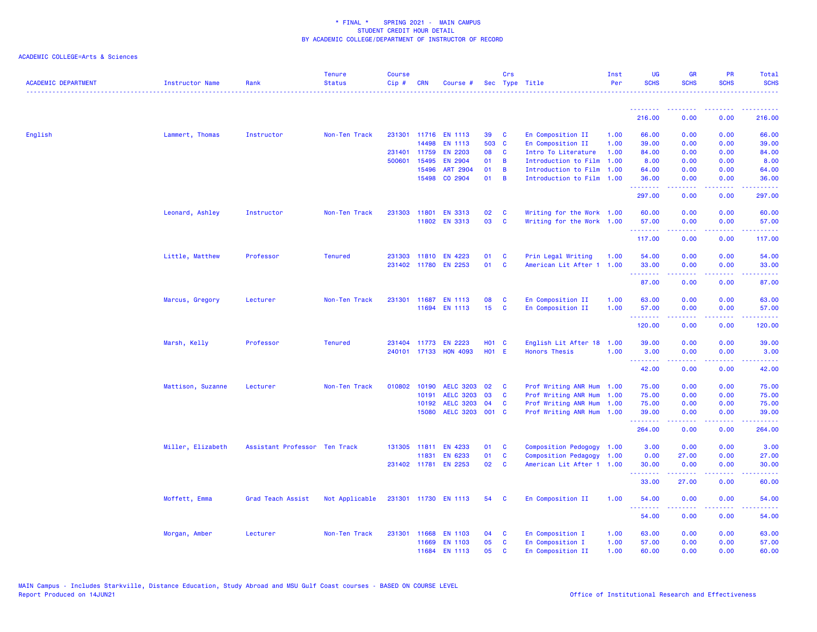| <b>ACADEMIC DEPARTMENT</b> | <b>Instructor Name</b> | Rank                          | <b>Tenure</b><br><b>Status</b> | <b>Course</b><br>Cip# | <b>CRN</b>   | Course #             |                 | Crs            | Sec Type Title            | Inst<br>Per | <b>UG</b><br><b>SCHS</b>         | <b>GR</b><br><b>SCHS</b>                                                                                                                                     | <b>PR</b><br><b>SCHS</b> | Total<br><b>SCHS</b> |
|----------------------------|------------------------|-------------------------------|--------------------------------|-----------------------|--------------|----------------------|-----------------|----------------|---------------------------|-------------|----------------------------------|--------------------------------------------------------------------------------------------------------------------------------------------------------------|--------------------------|----------------------|
|                            |                        |                               |                                |                       |              |                      |                 |                |                           |             | <u>.</u>                         |                                                                                                                                                              |                          |                      |
|                            |                        |                               |                                |                       |              |                      |                 |                |                           |             | 216.00                           | 0.00                                                                                                                                                         | 0.00                     | 216.00               |
| English                    | Lammert, Thomas        | Instructor                    | Non-Ten Track                  |                       |              | 231301 11716 EN 1113 | 39              | C              | En Composition II         | 1.00        | 66.00                            | 0.00                                                                                                                                                         | 0.00                     | 66.00                |
|                            |                        |                               |                                |                       | 14498        | <b>EN 1113</b>       | 503 C           |                | En Composition II         | 1.00        | 39.00                            | 0.00                                                                                                                                                         | 0.00                     | 39.00                |
|                            |                        |                               |                                |                       | 231401 11759 | <b>EN 2203</b>       | 08              | <b>C</b>       | Intro To Literature       | 1.00        | 84.00                            | 0.00                                                                                                                                                         | 0.00                     | 84.00                |
|                            |                        |                               |                                |                       | 500601 15495 | EN 2904              | 01              | $\overline{B}$ | Introduction to Film      | 1.00        | 8.00                             | 0.00                                                                                                                                                         | 0.00                     | 8.00                 |
|                            |                        |                               |                                |                       | 15496        | <b>ART 2904</b>      | 01              | B              | Introduction to Film      | 1.00        | 64.00                            | 0.00                                                                                                                                                         | 0.00                     | 64.00                |
|                            |                        |                               |                                |                       | 15498        | CO 2904              | 01              | $\overline{B}$ | Introduction to Film 1.00 |             | 36.00<br>.                       | 0.00<br><u>.</u>                                                                                                                                             | 0.00                     | 36.00<br>.           |
|                            |                        |                               |                                |                       |              |                      |                 |                |                           |             | 297.00                           | 0.00                                                                                                                                                         | 0.00                     | 297.00               |
|                            | Leonard, Ashley        | Instructor                    | Non-Ten Track                  |                       | 231303 11801 | <b>EN 3313</b>       | 02              | C              | Writing for the Work 1.00 |             | 60.00                            | 0.00                                                                                                                                                         | 0.00                     | 60.00                |
|                            |                        |                               |                                |                       | 11802        | <b>EN 3313</b>       | 03              | C              | Writing for the Work 1.00 |             | 57.00<br>.                       | 0.00<br>22222                                                                                                                                                | 0.00<br>.                | 57.00<br>.           |
|                            |                        |                               |                                |                       |              |                      |                 |                |                           |             | 117.00                           | 0.00                                                                                                                                                         | 0.00                     | 117.00               |
|                            | Little, Matthew        | Professor                     | <b>Tenured</b>                 |                       |              | 231303 11810 EN 4223 | 01              | <b>C</b>       | Prin Legal Writing        | 1.00        | 54.00                            | 0.00                                                                                                                                                         | 0.00                     | 54.00                |
|                            |                        |                               |                                |                       |              | 231402 11780 EN 2253 | 01              | <b>C</b>       | American Lit After 1      | 1.00        | 33.00                            | 0.00                                                                                                                                                         | 0.00                     | 33.00                |
|                            |                        |                               |                                |                       |              |                      |                 |                |                           |             | .<br>87.00                       | .<br>0.00                                                                                                                                                    | والمحامر<br>0.00         | 87.00                |
|                            |                        |                               |                                |                       |              |                      |                 |                |                           |             |                                  |                                                                                                                                                              |                          |                      |
|                            | Marcus, Gregory        | Lecturer                      | Non-Ten Track                  |                       |              | 231301 11687 EN 1113 | 08              | <b>C</b>       | En Composition II         | 1.00        | 63.00                            | 0.00                                                                                                                                                         | 0.00                     | 63.00                |
|                            |                        |                               |                                |                       |              | 11694 EN 1113        | 15 <sub>1</sub> | C              | En Composition II         | 1.00        | 57.00<br>.                       | 0.00<br>$\frac{1}{2} \left( \frac{1}{2} \right) \left( \frac{1}{2} \right) \left( \frac{1}{2} \right) \left( \frac{1}{2} \right) \left( \frac{1}{2} \right)$ | 0.00<br>.                | 57.00<br>.           |
|                            |                        |                               |                                |                       |              |                      |                 |                |                           |             | 120.00                           | 0.00                                                                                                                                                         | 0.00                     | 120.00               |
|                            | Marsh, Kelly           | Professor                     | <b>Tenured</b>                 |                       | 231404 11773 | <b>EN 2223</b>       | H01 C           |                | English Lit After 18      | 1.00        | 39.00                            | 0.00                                                                                                                                                         | 0.00                     | 39.00                |
|                            |                        |                               |                                |                       | 240101 17133 | <b>HON 4093</b>      | <b>HO1 E</b>    |                | <b>Honors Thesis</b>      | 1.00        | 3.00                             | 0.00                                                                                                                                                         | 0.00                     | 3.00                 |
|                            |                        |                               |                                |                       |              |                      |                 |                |                           |             | .<br>42.00                       | 22222<br>0.00                                                                                                                                                | المتمام الما<br>0.00     | د د د د د<br>42.00   |
|                            | Mattison, Suzanne      | Lecturer                      | Non-Ten Track                  |                       | 010802 10190 | <b>AELC 3203</b>     | 02              | <b>C</b>       | Prof Writing ANR Hum 1.00 |             | 75.00                            | 0.00                                                                                                                                                         | 0.00                     | 75.00                |
|                            |                        |                               |                                |                       | 10191        | <b>AELC 3203</b>     | 03              | C              | Prof Writing ANR Hum      | 1.00        | 75.00                            | 0.00                                                                                                                                                         | 0.00                     | 75.00                |
|                            |                        |                               |                                |                       | 10192        | <b>AELC 3203</b>     | 04              | C              | Prof Writing ANR Hum      | 1.00        | 75.00                            | 0.00                                                                                                                                                         | 0.00                     | 75.00                |
|                            |                        |                               |                                |                       | 15080        | AELC 3203 001 C      |                 |                | Prof Writing ANR Hum 1.00 |             | 39.00<br>.                       | 0.00<br>$\omega$ is a $\omega$ in                                                                                                                            | 0.00<br>.                | 39.00<br>المتمام     |
|                            |                        |                               |                                |                       |              |                      |                 |                |                           |             | 264.00                           | 0.00                                                                                                                                                         | 0.00                     | 264.00               |
|                            | Miller, Elizabeth      | Assistant Professor Ten Track |                                |                       | 131305 11811 | EN 4233              | 01              | C              | Composition Pedogogy 1.00 |             | 3.00                             | 0.00                                                                                                                                                         | 0.00                     | 3.00                 |
|                            |                        |                               |                                |                       | 11831        | EN 6233              | 01              | C              | Composition Pedagogy 1.00 |             | 0.00                             | 27.00                                                                                                                                                        | 0.00                     | 27.00                |
|                            |                        |                               |                                |                       |              | 231402 11781 EN 2253 | 02              | <b>C</b>       | American Lit After 1 1.00 |             | 30.00<br>.                       | 0.00                                                                                                                                                         | 0.00                     | 30.00                |
|                            |                        |                               |                                |                       |              |                      |                 |                |                           |             | 33.00                            | 27.00                                                                                                                                                        | 0.00                     | 60.00                |
|                            | Moffett, Emma          | Grad Teach Assist             | Not Applicable                 |                       |              | 231301 11730 EN 1113 | 54              | - C            | En Composition II         | 1.00        | 54.00                            | 0.00                                                                                                                                                         | 0.00                     | 54.00                |
|                            |                        |                               |                                |                       |              |                      |                 |                |                           |             | <u> - - - - - - - -</u><br>54.00 | $\frac{1}{2}$<br>0.00                                                                                                                                        | .<br>0.00                | 54.00                |
|                            | Morgan, Amber          | Lecturer                      | Non-Ten Track                  |                       | 231301 11668 | <b>EN 1103</b>       | 04              | C              | En Composition I          | 1.00        | 63.00                            | 0.00                                                                                                                                                         | 0.00                     | 63.00                |
|                            |                        |                               |                                |                       | 11669        | <b>EN 1103</b>       | 05              | C              | En Composition I          | 1.00        | 57.00                            | 0.00                                                                                                                                                         | 0.00                     | 57.00                |
|                            |                        |                               |                                |                       | 11684        | <b>EN 1113</b>       | 05              | C              | En Composition II         | 1.00        | 60.00                            | 0.00                                                                                                                                                         | 0.00                     | 60.00                |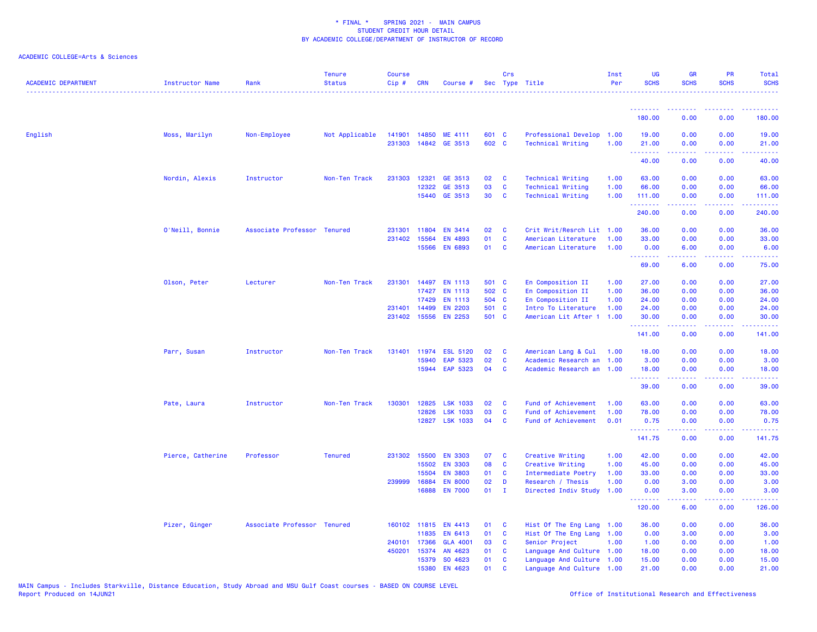| <b>ACADEMIC DEPARTMENT</b> | <b>Instructor Name</b> | Rank                        | <b>Tenure</b><br><b>Status</b> | <b>Course</b><br>Cip# | <b>CRN</b>   | Course #        |       | Crs          | Sec Type Title            | Inst<br>Per | UG<br><b>SCHS</b> | <b>GR</b><br><b>SCHS</b>                                                                                                                                     | PR<br><b>SCHS</b> | Total<br><b>SCHS</b>                                                                                                                                         |
|----------------------------|------------------------|-----------------------------|--------------------------------|-----------------------|--------------|-----------------|-------|--------------|---------------------------|-------------|-------------------|--------------------------------------------------------------------------------------------------------------------------------------------------------------|-------------------|--------------------------------------------------------------------------------------------------------------------------------------------------------------|
|                            |                        |                             |                                |                       |              |                 |       |              |                           |             | .                 |                                                                                                                                                              |                   |                                                                                                                                                              |
|                            |                        |                             |                                |                       |              |                 |       |              |                           |             | 180.00            | 0.00                                                                                                                                                         | 0.00              | 180.00                                                                                                                                                       |
| English                    | Moss, Marilyn          | Non-Employee                | Not Applicable                 |                       | 141901 14850 | ME 4111         | 601 C |              | Professional Develop 1.00 |             | 19.00             | 0.00                                                                                                                                                         | 0.00              | 19.00                                                                                                                                                        |
|                            |                        |                             |                                | 231303                |              | 14842 GE 3513   | 602 C |              | <b>Technical Writing</b>  | 1.00        | 21.00<br>.        | 0.00<br>بالمستمال                                                                                                                                            | 0.00<br>.         | 21.00<br>.                                                                                                                                                   |
|                            |                        |                             |                                |                       |              |                 |       |              |                           |             | 40.00             | 0.00                                                                                                                                                         | 0.00              | 40.00                                                                                                                                                        |
|                            | Nordin, Alexis         | Instructor                  | Non-Ten Track                  | 231303                | 12321        | GE 3513         | 02    | C            | <b>Technical Writing</b>  | 1.00        | 63.00             | 0.00                                                                                                                                                         | 0.00              | 63.00                                                                                                                                                        |
|                            |                        |                             |                                |                       | 12322        | GE 3513         | 03    | C            | <b>Technical Writing</b>  | 1.00        | 66.00             | 0.00                                                                                                                                                         | 0.00              | 66.00                                                                                                                                                        |
|                            |                        |                             |                                |                       | 15440        | GE 3513         | 30    | $\mathbf{C}$ | <b>Technical Writing</b>  | 1.00        | 111.00<br>.       | 0.00<br>2.2.2.2.2                                                                                                                                            | 0.00<br>.         | 111.00<br>.                                                                                                                                                  |
|                            |                        |                             |                                |                       |              |                 |       |              |                           |             | 240.00            | 0.00                                                                                                                                                         | 0.00              | 240.00                                                                                                                                                       |
|                            | O'Neill, Bonnie        | Associate Professor Tenured |                                | 231301                | 11804        | <b>EN 3414</b>  | 02    | C            | Crit Writ/Resrch Lit 1.00 |             | 36.00             | 0.00                                                                                                                                                         | 0.00              | 36.00                                                                                                                                                        |
|                            |                        |                             |                                |                       | 231402 15564 | <b>EN 4893</b>  | 01    | C            | American Literature       | 1.00        | 33.00             | 0.00                                                                                                                                                         | 0.00              | 33.00                                                                                                                                                        |
|                            |                        |                             |                                |                       | 15566        | <b>EN 6893</b>  | 01    | C            | American Literature       | 1.00        | 0.00<br>.         | 6.00<br>$\frac{1}{2} \left( \frac{1}{2} \right) \left( \frac{1}{2} \right) \left( \frac{1}{2} \right) \left( \frac{1}{2} \right) \left( \frac{1}{2} \right)$ | 0.00<br>.         | 6.00<br>.                                                                                                                                                    |
|                            |                        |                             |                                |                       |              |                 |       |              |                           |             | 69.00             | 6.00                                                                                                                                                         | 0.00              | 75.00                                                                                                                                                        |
|                            | Olson, Peter           | Lecturer                    | Non-Ten Track                  | 231301                | 14497        | <b>EN 1113</b>  | 501 C |              | En Composition II         | 1.00        | 27.00             | 0.00                                                                                                                                                         | 0.00              | 27.00                                                                                                                                                        |
|                            |                        |                             |                                |                       | 17427        | <b>EN 1113</b>  | 502 C |              | En Composition II         | 1.00        | 36.00             | 0.00                                                                                                                                                         | 0.00              | 36.00                                                                                                                                                        |
|                            |                        |                             |                                |                       | 17429        | <b>EN 1113</b>  | 504 C |              | En Composition II         | 1.00        | 24.00             | 0.00                                                                                                                                                         | 0.00              | 24.00                                                                                                                                                        |
|                            |                        |                             |                                |                       | 231401 14499 | <b>EN 2203</b>  | 501 C |              | Intro To Literature       | 1.00        | 24.00             | 0.00                                                                                                                                                         | 0.00              | 24.00                                                                                                                                                        |
|                            |                        |                             |                                |                       | 231402 15556 | <b>EN 2253</b>  | 501 C |              | American Lit After 1      | 1.00        | 30.00             | 0.00                                                                                                                                                         | 0.00              | 30.00                                                                                                                                                        |
|                            |                        |                             |                                |                       |              |                 |       |              |                           |             | .<br>141.00       | $\frac{1}{2} \left( \frac{1}{2} \right) \left( \frac{1}{2} \right) \left( \frac{1}{2} \right) \left( \frac{1}{2} \right) \left( \frac{1}{2} \right)$<br>0.00 | .<br>0.00         | د د د د د د<br>141.00                                                                                                                                        |
|                            | Parr, Susan            | Instructor                  | Non-Ten Track                  | 131401                | 11974        | <b>ESL 5120</b> | 02    | C            | American Lang & Cul       | 1.00        | 18.00             | 0.00                                                                                                                                                         | 0.00              | 18.00                                                                                                                                                        |
|                            |                        |                             |                                |                       | 15940        | EAP 5323        | 02    | C            | Academic Research an 1.00 |             | 3.00              | 0.00                                                                                                                                                         | 0.00              | 3.00                                                                                                                                                         |
|                            |                        |                             |                                |                       |              | 15944 EAP 5323  | 04    | C            | Academic Research an 1.00 |             | 18.00<br>.        | 0.00<br>2.2.2.2.2                                                                                                                                            | 0.00<br>.         | 18.00<br>.                                                                                                                                                   |
|                            |                        |                             |                                |                       |              |                 |       |              |                           |             | 39.00             | 0.00                                                                                                                                                         | 0.00              | 39.00                                                                                                                                                        |
|                            | Pate, Laura            | Instructor                  | Non-Ten Track                  | 130301                | 12825        | <b>LSK 1033</b> | 02    | C            | Fund of Achievement       | 1.00        | 63.00             | 0.00                                                                                                                                                         | 0.00              | 63.00                                                                                                                                                        |
|                            |                        |                             |                                |                       | 12826        | <b>LSK 1033</b> | 03    | C            | Fund of Achievement       | 1.00        | 78.00             | 0.00                                                                                                                                                         | 0.00              | 78.00                                                                                                                                                        |
|                            |                        |                             |                                |                       |              | 12827 LSK 1033  | 04    | C            | Fund of Achievement       | 0.01        | 0.75<br>.         | 0.00<br>.                                                                                                                                                    | 0.00<br>.         | 0.75<br>$\frac{1}{2} \left( \frac{1}{2} \right) \left( \frac{1}{2} \right) \left( \frac{1}{2} \right) \left( \frac{1}{2} \right) \left( \frac{1}{2} \right)$ |
|                            |                        |                             |                                |                       |              |                 |       |              |                           |             | 141.75            | 0.00                                                                                                                                                         | 0.00              | 141.75                                                                                                                                                       |
|                            | Pierce, Catherine      | Professor                   | <b>Tenured</b>                 |                       | 231302 15500 | <b>EN 3303</b>  | 07    | <b>C</b>     | Creative Writing          | 1.00        | 42.00             | 0.00                                                                                                                                                         | 0.00              | 42.00                                                                                                                                                        |
|                            |                        |                             |                                |                       | 15502        | <b>EN 3303</b>  | 08    | C            | Creative Writing          | 1.00        | 45.00             | 0.00                                                                                                                                                         | 0.00              | 45.00                                                                                                                                                        |
|                            |                        |                             |                                |                       | 15504        | <b>EN 3803</b>  | 01    | C            | Intermediate Poetry       | 1.00        | 33.00             | 0.00                                                                                                                                                         | 0.00              | 33.00                                                                                                                                                        |
|                            |                        |                             |                                |                       | 239999 16884 | <b>EN 8000</b>  | 02    | D            | Research / Thesis         | 1.00        | 0.00              | 3.00                                                                                                                                                         | 0.00              | 3.00                                                                                                                                                         |
|                            |                        |                             |                                |                       | 16888        | <b>EN 7000</b>  | 01    | - I          | Directed Indiv Study      | 1.00        | 0.00<br>.         | 3.00<br>$\frac{1}{2} \left( \frac{1}{2} \right) \left( \frac{1}{2} \right) \left( \frac{1}{2} \right) \left( \frac{1}{2} \right) \left( \frac{1}{2} \right)$ | 0.00<br>.         | 3.00<br>22222)                                                                                                                                               |
|                            |                        |                             |                                |                       |              |                 |       |              |                           |             | 120.00            | 6.00                                                                                                                                                         | 0.00              | 126.00                                                                                                                                                       |
|                            | Pizer, Ginger          | Associate Professor Tenured |                                |                       | 160102 11815 | EN 4413         | 01    | <b>C</b>     | Hist Of The Eng Lang 1.00 |             | 36.00             | 0.00                                                                                                                                                         | 0.00              | 36.00                                                                                                                                                        |
|                            |                        |                             |                                |                       | 11835        | EN 6413         | 01    | C            | Hist Of The Eng Lang 1.00 |             | 0.00              | 3.00                                                                                                                                                         | 0.00              | 3.00                                                                                                                                                         |
|                            |                        |                             |                                |                       | 240101 17366 | <b>GLA 4001</b> | 03    | C            | Senior Project            | 1.00        | 1.00              | 0.00                                                                                                                                                         | 0.00              | 1.00                                                                                                                                                         |
|                            |                        |                             |                                | 450201                | 15374        | AN 4623         | 01    | <b>C</b>     | Language And Culture 1.00 |             | 18.00             | 0.00                                                                                                                                                         | 0.00              | 18.00                                                                                                                                                        |
|                            |                        |                             |                                |                       | 15379        | SO 4623         | 01    | C            | Language And Culture 1.00 |             | 15.00             | 0.00                                                                                                                                                         | 0.00              | 15.00                                                                                                                                                        |
|                            |                        |                             |                                |                       | 15380        | EN 4623         | 01    | C            | Language And Culture 1.00 |             | 21.00             | 0.00                                                                                                                                                         | 0.00              | 21.00                                                                                                                                                        |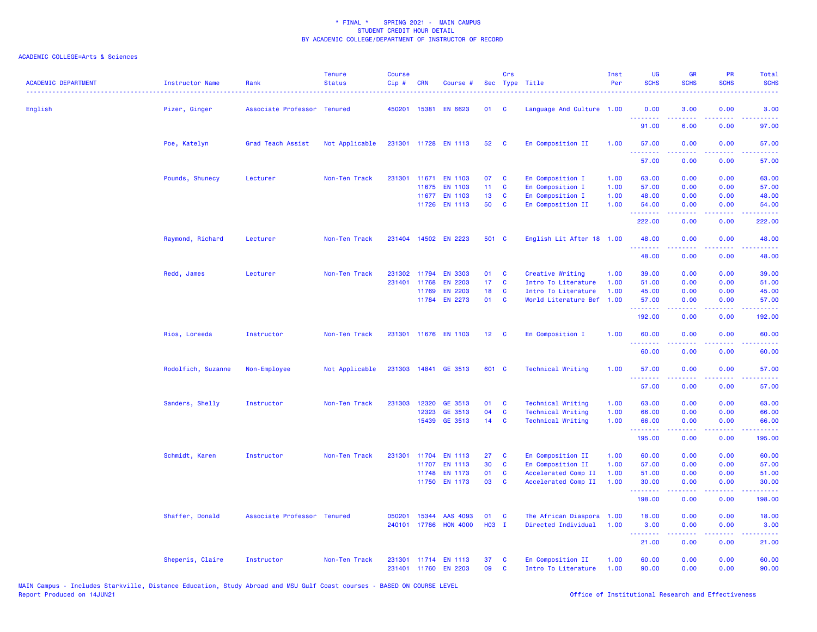| English<br>3.00<br>0.00<br>Pizer, Ginger<br>Associate Professor Tenured<br>450201 15381<br><b>EN 6623</b><br>01<br><b>C</b><br>Language And Culture 1.00<br>0.00<br>3.00<br>.<br>6.00<br>91.00<br>0.00<br>97.00<br>Not Applicable<br>En Composition II<br>Poe, Katelyn<br>Grad Teach Assist<br>231301 11728 EN 1113<br>52<br><b>C</b><br>1.00<br>57.00<br>0.00<br>0.00<br>57.00<br>.<br>57.00<br>0.00<br>0.00<br>57.00<br>Pounds, Shunecy<br>07<br>En Composition I<br>1.00<br>63.00<br>0.00<br>0.00<br>63.00<br>Lecturer<br>Non-Ten Track<br>231301 11671<br><b>EN 1103</b><br>C<br>11<br>C<br>En Composition I<br>1.00<br>57.00<br>0.00<br>0.00<br>57.00<br>11675<br><b>EN 1103</b><br><b>EN 1103</b><br>13<br>En Composition I<br>11677<br>C<br>1.00<br>48.00<br>0.00<br>0.00<br>48.00<br>50<br>11726 EN 1113<br>C<br>En Composition II<br>1.00<br>54.00<br>0.00<br>0.00<br>54.00<br>.<br>.<br>.<br>222.00<br>0.00<br>0.00<br>222.00<br>231404 14502 EN 2223<br>501 C<br>Raymond, Richard<br>Lecturer<br>Non-Ten Track<br>English Lit After 18 1.00<br>48.00<br>0.00<br>0.00<br>48.00<br>.<br>48.00<br>0.00<br>0.00<br>48.00<br>Redd, James<br>Lecturer<br>Non-Ten Track<br>231302 11794<br><b>EN 3303</b><br>01<br>C<br>Creative Writing<br>1.00<br>39.00<br>0.00<br>0.00<br>39.00<br>231401<br><b>EN 2203</b><br>17 <sub>1</sub><br>C<br>Intro To Literature<br>1.00<br>51.00<br>0.00<br>0.00<br>51.00<br>11768<br><b>EN 2203</b><br>18<br>Intro To Literature<br>1.00<br>45.00<br>0.00<br>0.00<br>45.00<br>11769<br>C<br>11784<br><b>EN 2273</b><br>01<br>World Literature Bef<br>1.00<br>0.00<br>0.00<br>$\mathbf{C}$<br>57.00<br>57.00<br>.<br>.<br>$\frac{1}{2} \left( \frac{1}{2} \right) \left( \frac{1}{2} \right) \left( \frac{1}{2} \right) \left( \frac{1}{2} \right)$<br>192.00<br>0.00<br>0.00<br>192.00<br>Rios, Loreeda<br>Instructor<br>Non-Ten Track<br>231301 11676 EN 1103<br>12 <sup>7</sup><br>En Composition I<br>1.00<br>60.00<br>0.00<br>0.00<br>60.00<br>$\mathbf{C}$<br>60.00<br>0.00<br>0.00<br>60.00<br>Rodolfich, Suzanne<br>Not Applicable<br>231303 14841 GE 3513<br>601 C<br><b>Technical Writing</b><br>1.00<br>0.00<br>0.00<br>Non-Employee<br>57.00<br>57.00<br>.<br>$\frac{1}{2} \left( \frac{1}{2} \right) \left( \frac{1}{2} \right) \left( \frac{1}{2} \right) \left( \frac{1}{2} \right)$<br>.<br>.<br>57.00<br>0.00<br>0.00<br>57.00<br>Sanders, Shelly<br>Instructor<br>Non-Ten Track<br>231303<br>12320<br>GE 3513<br>01<br>C<br><b>Technical Writing</b><br>1.00<br>63.00<br>0.00<br>0.00<br>63.00<br>12323<br>GE 3513<br>04<br>C<br><b>Technical Writing</b><br>1.00<br>66.00<br>0.00<br>0.00<br>66.00<br>14<br>15439<br>GE 3513<br>$\mathbf{C}$<br><b>Technical Writing</b><br>1.00<br>66.00<br>0.00<br>0.00<br>66.00<br>.<br>.<br>.<br>195.00<br>195.00<br>0.00<br>0.00<br>Schmidt, Karen<br>231301 11704<br><b>EN 1113</b><br>27<br>En Composition II<br>1.00<br>60.00<br>0.00<br>0.00<br>60.00<br>Instructor<br>Non-Ten Track<br>C<br>30<br>C<br>En Composition II<br>57.00<br>0.00<br>0.00<br>57.00<br>11707<br>EN 1113<br>1.00<br>11748<br>EN 1173<br>01<br>C<br>Accelerated Comp II<br>1.00<br>51.00<br>0.00<br>0.00<br>51.00<br><b>EN 1173</b><br>03<br>C<br>11750<br>Accelerated Comp II<br>1.00<br>30.00<br>0.00<br>0.00<br>30.00<br>.<br>.<br>.<br>198.00<br>0.00<br>0.00<br>198.00<br>Shaffer, Donald<br>Associate Professor Tenured<br>050201<br>15344<br>AAS 4093<br>01<br>C<br>The African Diaspora<br>1.00<br>18.00<br>0.00<br>0.00<br>18.00<br>H03 I<br><b>HON 4000</b><br>Directed Individual<br>1.00<br>240101<br>17786<br>3.00<br>0.00<br>0.00<br>3.00<br>د د د د د د<br>$\sim$ $\sim$ $\sim$<br>21.00<br>0.00<br>0.00<br>21.00<br>En Composition II<br>60.00<br>0.00<br>0.00<br>Sheperis, Claire<br>Instructor<br>Non-Ten Track<br>231301 11714 EN 1113<br>37<br>C<br>1.00<br>60.00<br>231401 11760 EN 2203<br>09<br>C<br>Intro To Literature<br>1.00<br>90.00<br>0.00<br>0.00<br>90.00 | <b>ACADEMIC DEPARTMENT</b> | <b>Instructor Name</b> | Rank | <b>Tenure</b><br><b>Status</b> | <b>Course</b><br>$Cip$ # | <b>CRN</b> | Course # | Crs | Sec Type Title | Inst<br>Per | <b>UG</b><br><b>SCHS</b> | <b>GR</b><br><b>SCHS</b> | PR<br><b>SCHS</b> | Total<br><b>SCHS</b> |
|---------------------------------------------------------------------------------------------------------------------------------------------------------------------------------------------------------------------------------------------------------------------------------------------------------------------------------------------------------------------------------------------------------------------------------------------------------------------------------------------------------------------------------------------------------------------------------------------------------------------------------------------------------------------------------------------------------------------------------------------------------------------------------------------------------------------------------------------------------------------------------------------------------------------------------------------------------------------------------------------------------------------------------------------------------------------------------------------------------------------------------------------------------------------------------------------------------------------------------------------------------------------------------------------------------------------------------------------------------------------------------------------------------------------------------------------------------------------------------------------------------------------------------------------------------------------------------------------------------------------------------------------------------------------------------------------------------------------------------------------------------------------------------------------------------------------------------------------------------------------------------------------------------------------------------------------------------------------------------------------------------------------------------------------------------------------------------------------------------------------------------------------------------------------------------------------------------------------------------------------------------------------------------------------------------------------------------------------------------------------------------------------------------------------------------------------------------------------------------------------------------------------------------------------------------------------------------------------------------------------------------------------------------------------------------------------------------------------------------------------------------------------------------------------------------------------------------------------------------------------------------------------------------------------------------------------------------------------------------------------------------------------------------------------------------------------------------------------------------------------------------------------------------------------------------------------------------------------------------------------------------------------------------------------------------------------------------------------------------------------------------------------------------------------------------------------------------------------------------------------------------------------------------------------------------------------------------------------------------------------------------------------------------------------------------------------------------------------------------------------------------------------------------------------------------------------------------------------------------------------------------------------------------------------------------------------------------------|----------------------------|------------------------|------|--------------------------------|--------------------------|------------|----------|-----|----------------|-------------|--------------------------|--------------------------|-------------------|----------------------|
|                                                                                                                                                                                                                                                                                                                                                                                                                                                                                                                                                                                                                                                                                                                                                                                                                                                                                                                                                                                                                                                                                                                                                                                                                                                                                                                                                                                                                                                                                                                                                                                                                                                                                                                                                                                                                                                                                                                                                                                                                                                                                                                                                                                                                                                                                                                                                                                                                                                                                                                                                                                                                                                                                                                                                                                                                                                                                                                                                                                                                                                                                                                                                                                                                                                                                                                                                                                                                                                                                                                                                                                                                                                                                                                                                                                                                                                                                                                                                               |                            |                        |      |                                |                          |            |          |     |                |             |                          |                          |                   |                      |
|                                                                                                                                                                                                                                                                                                                                                                                                                                                                                                                                                                                                                                                                                                                                                                                                                                                                                                                                                                                                                                                                                                                                                                                                                                                                                                                                                                                                                                                                                                                                                                                                                                                                                                                                                                                                                                                                                                                                                                                                                                                                                                                                                                                                                                                                                                                                                                                                                                                                                                                                                                                                                                                                                                                                                                                                                                                                                                                                                                                                                                                                                                                                                                                                                                                                                                                                                                                                                                                                                                                                                                                                                                                                                                                                                                                                                                                                                                                                                               |                            |                        |      |                                |                          |            |          |     |                |             |                          |                          |                   |                      |
|                                                                                                                                                                                                                                                                                                                                                                                                                                                                                                                                                                                                                                                                                                                                                                                                                                                                                                                                                                                                                                                                                                                                                                                                                                                                                                                                                                                                                                                                                                                                                                                                                                                                                                                                                                                                                                                                                                                                                                                                                                                                                                                                                                                                                                                                                                                                                                                                                                                                                                                                                                                                                                                                                                                                                                                                                                                                                                                                                                                                                                                                                                                                                                                                                                                                                                                                                                                                                                                                                                                                                                                                                                                                                                                                                                                                                                                                                                                                                               |                            |                        |      |                                |                          |            |          |     |                |             |                          |                          |                   |                      |
|                                                                                                                                                                                                                                                                                                                                                                                                                                                                                                                                                                                                                                                                                                                                                                                                                                                                                                                                                                                                                                                                                                                                                                                                                                                                                                                                                                                                                                                                                                                                                                                                                                                                                                                                                                                                                                                                                                                                                                                                                                                                                                                                                                                                                                                                                                                                                                                                                                                                                                                                                                                                                                                                                                                                                                                                                                                                                                                                                                                                                                                                                                                                                                                                                                                                                                                                                                                                                                                                                                                                                                                                                                                                                                                                                                                                                                                                                                                                                               |                            |                        |      |                                |                          |            |          |     |                |             |                          |                          |                   |                      |
|                                                                                                                                                                                                                                                                                                                                                                                                                                                                                                                                                                                                                                                                                                                                                                                                                                                                                                                                                                                                                                                                                                                                                                                                                                                                                                                                                                                                                                                                                                                                                                                                                                                                                                                                                                                                                                                                                                                                                                                                                                                                                                                                                                                                                                                                                                                                                                                                                                                                                                                                                                                                                                                                                                                                                                                                                                                                                                                                                                                                                                                                                                                                                                                                                                                                                                                                                                                                                                                                                                                                                                                                                                                                                                                                                                                                                                                                                                                                                               |                            |                        |      |                                |                          |            |          |     |                |             |                          |                          |                   |                      |
|                                                                                                                                                                                                                                                                                                                                                                                                                                                                                                                                                                                                                                                                                                                                                                                                                                                                                                                                                                                                                                                                                                                                                                                                                                                                                                                                                                                                                                                                                                                                                                                                                                                                                                                                                                                                                                                                                                                                                                                                                                                                                                                                                                                                                                                                                                                                                                                                                                                                                                                                                                                                                                                                                                                                                                                                                                                                                                                                                                                                                                                                                                                                                                                                                                                                                                                                                                                                                                                                                                                                                                                                                                                                                                                                                                                                                                                                                                                                                               |                            |                        |      |                                |                          |            |          |     |                |             |                          |                          |                   |                      |
|                                                                                                                                                                                                                                                                                                                                                                                                                                                                                                                                                                                                                                                                                                                                                                                                                                                                                                                                                                                                                                                                                                                                                                                                                                                                                                                                                                                                                                                                                                                                                                                                                                                                                                                                                                                                                                                                                                                                                                                                                                                                                                                                                                                                                                                                                                                                                                                                                                                                                                                                                                                                                                                                                                                                                                                                                                                                                                                                                                                                                                                                                                                                                                                                                                                                                                                                                                                                                                                                                                                                                                                                                                                                                                                                                                                                                                                                                                                                                               |                            |                        |      |                                |                          |            |          |     |                |             |                          |                          |                   |                      |
|                                                                                                                                                                                                                                                                                                                                                                                                                                                                                                                                                                                                                                                                                                                                                                                                                                                                                                                                                                                                                                                                                                                                                                                                                                                                                                                                                                                                                                                                                                                                                                                                                                                                                                                                                                                                                                                                                                                                                                                                                                                                                                                                                                                                                                                                                                                                                                                                                                                                                                                                                                                                                                                                                                                                                                                                                                                                                                                                                                                                                                                                                                                                                                                                                                                                                                                                                                                                                                                                                                                                                                                                                                                                                                                                                                                                                                                                                                                                                               |                            |                        |      |                                |                          |            |          |     |                |             |                          |                          |                   |                      |
|                                                                                                                                                                                                                                                                                                                                                                                                                                                                                                                                                                                                                                                                                                                                                                                                                                                                                                                                                                                                                                                                                                                                                                                                                                                                                                                                                                                                                                                                                                                                                                                                                                                                                                                                                                                                                                                                                                                                                                                                                                                                                                                                                                                                                                                                                                                                                                                                                                                                                                                                                                                                                                                                                                                                                                                                                                                                                                                                                                                                                                                                                                                                                                                                                                                                                                                                                                                                                                                                                                                                                                                                                                                                                                                                                                                                                                                                                                                                                               |                            |                        |      |                                |                          |            |          |     |                |             |                          |                          |                   |                      |
|                                                                                                                                                                                                                                                                                                                                                                                                                                                                                                                                                                                                                                                                                                                                                                                                                                                                                                                                                                                                                                                                                                                                                                                                                                                                                                                                                                                                                                                                                                                                                                                                                                                                                                                                                                                                                                                                                                                                                                                                                                                                                                                                                                                                                                                                                                                                                                                                                                                                                                                                                                                                                                                                                                                                                                                                                                                                                                                                                                                                                                                                                                                                                                                                                                                                                                                                                                                                                                                                                                                                                                                                                                                                                                                                                                                                                                                                                                                                                               |                            |                        |      |                                |                          |            |          |     |                |             |                          |                          |                   |                      |
|                                                                                                                                                                                                                                                                                                                                                                                                                                                                                                                                                                                                                                                                                                                                                                                                                                                                                                                                                                                                                                                                                                                                                                                                                                                                                                                                                                                                                                                                                                                                                                                                                                                                                                                                                                                                                                                                                                                                                                                                                                                                                                                                                                                                                                                                                                                                                                                                                                                                                                                                                                                                                                                                                                                                                                                                                                                                                                                                                                                                                                                                                                                                                                                                                                                                                                                                                                                                                                                                                                                                                                                                                                                                                                                                                                                                                                                                                                                                                               |                            |                        |      |                                |                          |            |          |     |                |             |                          |                          |                   |                      |
|                                                                                                                                                                                                                                                                                                                                                                                                                                                                                                                                                                                                                                                                                                                                                                                                                                                                                                                                                                                                                                                                                                                                                                                                                                                                                                                                                                                                                                                                                                                                                                                                                                                                                                                                                                                                                                                                                                                                                                                                                                                                                                                                                                                                                                                                                                                                                                                                                                                                                                                                                                                                                                                                                                                                                                                                                                                                                                                                                                                                                                                                                                                                                                                                                                                                                                                                                                                                                                                                                                                                                                                                                                                                                                                                                                                                                                                                                                                                                               |                            |                        |      |                                |                          |            |          |     |                |             |                          |                          |                   |                      |
|                                                                                                                                                                                                                                                                                                                                                                                                                                                                                                                                                                                                                                                                                                                                                                                                                                                                                                                                                                                                                                                                                                                                                                                                                                                                                                                                                                                                                                                                                                                                                                                                                                                                                                                                                                                                                                                                                                                                                                                                                                                                                                                                                                                                                                                                                                                                                                                                                                                                                                                                                                                                                                                                                                                                                                                                                                                                                                                                                                                                                                                                                                                                                                                                                                                                                                                                                                                                                                                                                                                                                                                                                                                                                                                                                                                                                                                                                                                                                               |                            |                        |      |                                |                          |            |          |     |                |             |                          |                          |                   |                      |
|                                                                                                                                                                                                                                                                                                                                                                                                                                                                                                                                                                                                                                                                                                                                                                                                                                                                                                                                                                                                                                                                                                                                                                                                                                                                                                                                                                                                                                                                                                                                                                                                                                                                                                                                                                                                                                                                                                                                                                                                                                                                                                                                                                                                                                                                                                                                                                                                                                                                                                                                                                                                                                                                                                                                                                                                                                                                                                                                                                                                                                                                                                                                                                                                                                                                                                                                                                                                                                                                                                                                                                                                                                                                                                                                                                                                                                                                                                                                                               |                            |                        |      |                                |                          |            |          |     |                |             |                          |                          |                   |                      |
|                                                                                                                                                                                                                                                                                                                                                                                                                                                                                                                                                                                                                                                                                                                                                                                                                                                                                                                                                                                                                                                                                                                                                                                                                                                                                                                                                                                                                                                                                                                                                                                                                                                                                                                                                                                                                                                                                                                                                                                                                                                                                                                                                                                                                                                                                                                                                                                                                                                                                                                                                                                                                                                                                                                                                                                                                                                                                                                                                                                                                                                                                                                                                                                                                                                                                                                                                                                                                                                                                                                                                                                                                                                                                                                                                                                                                                                                                                                                                               |                            |                        |      |                                |                          |            |          |     |                |             |                          |                          |                   |                      |
|                                                                                                                                                                                                                                                                                                                                                                                                                                                                                                                                                                                                                                                                                                                                                                                                                                                                                                                                                                                                                                                                                                                                                                                                                                                                                                                                                                                                                                                                                                                                                                                                                                                                                                                                                                                                                                                                                                                                                                                                                                                                                                                                                                                                                                                                                                                                                                                                                                                                                                                                                                                                                                                                                                                                                                                                                                                                                                                                                                                                                                                                                                                                                                                                                                                                                                                                                                                                                                                                                                                                                                                                                                                                                                                                                                                                                                                                                                                                                               |                            |                        |      |                                |                          |            |          |     |                |             |                          |                          |                   |                      |
|                                                                                                                                                                                                                                                                                                                                                                                                                                                                                                                                                                                                                                                                                                                                                                                                                                                                                                                                                                                                                                                                                                                                                                                                                                                                                                                                                                                                                                                                                                                                                                                                                                                                                                                                                                                                                                                                                                                                                                                                                                                                                                                                                                                                                                                                                                                                                                                                                                                                                                                                                                                                                                                                                                                                                                                                                                                                                                                                                                                                                                                                                                                                                                                                                                                                                                                                                                                                                                                                                                                                                                                                                                                                                                                                                                                                                                                                                                                                                               |                            |                        |      |                                |                          |            |          |     |                |             |                          |                          |                   |                      |
|                                                                                                                                                                                                                                                                                                                                                                                                                                                                                                                                                                                                                                                                                                                                                                                                                                                                                                                                                                                                                                                                                                                                                                                                                                                                                                                                                                                                                                                                                                                                                                                                                                                                                                                                                                                                                                                                                                                                                                                                                                                                                                                                                                                                                                                                                                                                                                                                                                                                                                                                                                                                                                                                                                                                                                                                                                                                                                                                                                                                                                                                                                                                                                                                                                                                                                                                                                                                                                                                                                                                                                                                                                                                                                                                                                                                                                                                                                                                                               |                            |                        |      |                                |                          |            |          |     |                |             |                          |                          |                   |                      |
|                                                                                                                                                                                                                                                                                                                                                                                                                                                                                                                                                                                                                                                                                                                                                                                                                                                                                                                                                                                                                                                                                                                                                                                                                                                                                                                                                                                                                                                                                                                                                                                                                                                                                                                                                                                                                                                                                                                                                                                                                                                                                                                                                                                                                                                                                                                                                                                                                                                                                                                                                                                                                                                                                                                                                                                                                                                                                                                                                                                                                                                                                                                                                                                                                                                                                                                                                                                                                                                                                                                                                                                                                                                                                                                                                                                                                                                                                                                                                               |                            |                        |      |                                |                          |            |          |     |                |             |                          |                          |                   |                      |
|                                                                                                                                                                                                                                                                                                                                                                                                                                                                                                                                                                                                                                                                                                                                                                                                                                                                                                                                                                                                                                                                                                                                                                                                                                                                                                                                                                                                                                                                                                                                                                                                                                                                                                                                                                                                                                                                                                                                                                                                                                                                                                                                                                                                                                                                                                                                                                                                                                                                                                                                                                                                                                                                                                                                                                                                                                                                                                                                                                                                                                                                                                                                                                                                                                                                                                                                                                                                                                                                                                                                                                                                                                                                                                                                                                                                                                                                                                                                                               |                            |                        |      |                                |                          |            |          |     |                |             |                          |                          |                   |                      |
|                                                                                                                                                                                                                                                                                                                                                                                                                                                                                                                                                                                                                                                                                                                                                                                                                                                                                                                                                                                                                                                                                                                                                                                                                                                                                                                                                                                                                                                                                                                                                                                                                                                                                                                                                                                                                                                                                                                                                                                                                                                                                                                                                                                                                                                                                                                                                                                                                                                                                                                                                                                                                                                                                                                                                                                                                                                                                                                                                                                                                                                                                                                                                                                                                                                                                                                                                                                                                                                                                                                                                                                                                                                                                                                                                                                                                                                                                                                                                               |                            |                        |      |                                |                          |            |          |     |                |             |                          |                          |                   |                      |
|                                                                                                                                                                                                                                                                                                                                                                                                                                                                                                                                                                                                                                                                                                                                                                                                                                                                                                                                                                                                                                                                                                                                                                                                                                                                                                                                                                                                                                                                                                                                                                                                                                                                                                                                                                                                                                                                                                                                                                                                                                                                                                                                                                                                                                                                                                                                                                                                                                                                                                                                                                                                                                                                                                                                                                                                                                                                                                                                                                                                                                                                                                                                                                                                                                                                                                                                                                                                                                                                                                                                                                                                                                                                                                                                                                                                                                                                                                                                                               |                            |                        |      |                                |                          |            |          |     |                |             |                          |                          |                   |                      |
|                                                                                                                                                                                                                                                                                                                                                                                                                                                                                                                                                                                                                                                                                                                                                                                                                                                                                                                                                                                                                                                                                                                                                                                                                                                                                                                                                                                                                                                                                                                                                                                                                                                                                                                                                                                                                                                                                                                                                                                                                                                                                                                                                                                                                                                                                                                                                                                                                                                                                                                                                                                                                                                                                                                                                                                                                                                                                                                                                                                                                                                                                                                                                                                                                                                                                                                                                                                                                                                                                                                                                                                                                                                                                                                                                                                                                                                                                                                                                               |                            |                        |      |                                |                          |            |          |     |                |             |                          |                          |                   |                      |
|                                                                                                                                                                                                                                                                                                                                                                                                                                                                                                                                                                                                                                                                                                                                                                                                                                                                                                                                                                                                                                                                                                                                                                                                                                                                                                                                                                                                                                                                                                                                                                                                                                                                                                                                                                                                                                                                                                                                                                                                                                                                                                                                                                                                                                                                                                                                                                                                                                                                                                                                                                                                                                                                                                                                                                                                                                                                                                                                                                                                                                                                                                                                                                                                                                                                                                                                                                                                                                                                                                                                                                                                                                                                                                                                                                                                                                                                                                                                                               |                            |                        |      |                                |                          |            |          |     |                |             |                          |                          |                   |                      |
|                                                                                                                                                                                                                                                                                                                                                                                                                                                                                                                                                                                                                                                                                                                                                                                                                                                                                                                                                                                                                                                                                                                                                                                                                                                                                                                                                                                                                                                                                                                                                                                                                                                                                                                                                                                                                                                                                                                                                                                                                                                                                                                                                                                                                                                                                                                                                                                                                                                                                                                                                                                                                                                                                                                                                                                                                                                                                                                                                                                                                                                                                                                                                                                                                                                                                                                                                                                                                                                                                                                                                                                                                                                                                                                                                                                                                                                                                                                                                               |                            |                        |      |                                |                          |            |          |     |                |             |                          |                          |                   |                      |
|                                                                                                                                                                                                                                                                                                                                                                                                                                                                                                                                                                                                                                                                                                                                                                                                                                                                                                                                                                                                                                                                                                                                                                                                                                                                                                                                                                                                                                                                                                                                                                                                                                                                                                                                                                                                                                                                                                                                                                                                                                                                                                                                                                                                                                                                                                                                                                                                                                                                                                                                                                                                                                                                                                                                                                                                                                                                                                                                                                                                                                                                                                                                                                                                                                                                                                                                                                                                                                                                                                                                                                                                                                                                                                                                                                                                                                                                                                                                                               |                            |                        |      |                                |                          |            |          |     |                |             |                          |                          |                   |                      |
|                                                                                                                                                                                                                                                                                                                                                                                                                                                                                                                                                                                                                                                                                                                                                                                                                                                                                                                                                                                                                                                                                                                                                                                                                                                                                                                                                                                                                                                                                                                                                                                                                                                                                                                                                                                                                                                                                                                                                                                                                                                                                                                                                                                                                                                                                                                                                                                                                                                                                                                                                                                                                                                                                                                                                                                                                                                                                                                                                                                                                                                                                                                                                                                                                                                                                                                                                                                                                                                                                                                                                                                                                                                                                                                                                                                                                                                                                                                                                               |                            |                        |      |                                |                          |            |          |     |                |             |                          |                          |                   |                      |
|                                                                                                                                                                                                                                                                                                                                                                                                                                                                                                                                                                                                                                                                                                                                                                                                                                                                                                                                                                                                                                                                                                                                                                                                                                                                                                                                                                                                                                                                                                                                                                                                                                                                                                                                                                                                                                                                                                                                                                                                                                                                                                                                                                                                                                                                                                                                                                                                                                                                                                                                                                                                                                                                                                                                                                                                                                                                                                                                                                                                                                                                                                                                                                                                                                                                                                                                                                                                                                                                                                                                                                                                                                                                                                                                                                                                                                                                                                                                                               |                            |                        |      |                                |                          |            |          |     |                |             |                          |                          |                   |                      |
|                                                                                                                                                                                                                                                                                                                                                                                                                                                                                                                                                                                                                                                                                                                                                                                                                                                                                                                                                                                                                                                                                                                                                                                                                                                                                                                                                                                                                                                                                                                                                                                                                                                                                                                                                                                                                                                                                                                                                                                                                                                                                                                                                                                                                                                                                                                                                                                                                                                                                                                                                                                                                                                                                                                                                                                                                                                                                                                                                                                                                                                                                                                                                                                                                                                                                                                                                                                                                                                                                                                                                                                                                                                                                                                                                                                                                                                                                                                                                               |                            |                        |      |                                |                          |            |          |     |                |             |                          |                          |                   |                      |
|                                                                                                                                                                                                                                                                                                                                                                                                                                                                                                                                                                                                                                                                                                                                                                                                                                                                                                                                                                                                                                                                                                                                                                                                                                                                                                                                                                                                                                                                                                                                                                                                                                                                                                                                                                                                                                                                                                                                                                                                                                                                                                                                                                                                                                                                                                                                                                                                                                                                                                                                                                                                                                                                                                                                                                                                                                                                                                                                                                                                                                                                                                                                                                                                                                                                                                                                                                                                                                                                                                                                                                                                                                                                                                                                                                                                                                                                                                                                                               |                            |                        |      |                                |                          |            |          |     |                |             |                          |                          |                   |                      |
|                                                                                                                                                                                                                                                                                                                                                                                                                                                                                                                                                                                                                                                                                                                                                                                                                                                                                                                                                                                                                                                                                                                                                                                                                                                                                                                                                                                                                                                                                                                                                                                                                                                                                                                                                                                                                                                                                                                                                                                                                                                                                                                                                                                                                                                                                                                                                                                                                                                                                                                                                                                                                                                                                                                                                                                                                                                                                                                                                                                                                                                                                                                                                                                                                                                                                                                                                                                                                                                                                                                                                                                                                                                                                                                                                                                                                                                                                                                                                               |                            |                        |      |                                |                          |            |          |     |                |             |                          |                          |                   |                      |
|                                                                                                                                                                                                                                                                                                                                                                                                                                                                                                                                                                                                                                                                                                                                                                                                                                                                                                                                                                                                                                                                                                                                                                                                                                                                                                                                                                                                                                                                                                                                                                                                                                                                                                                                                                                                                                                                                                                                                                                                                                                                                                                                                                                                                                                                                                                                                                                                                                                                                                                                                                                                                                                                                                                                                                                                                                                                                                                                                                                                                                                                                                                                                                                                                                                                                                                                                                                                                                                                                                                                                                                                                                                                                                                                                                                                                                                                                                                                                               |                            |                        |      |                                |                          |            |          |     |                |             |                          |                          |                   |                      |
|                                                                                                                                                                                                                                                                                                                                                                                                                                                                                                                                                                                                                                                                                                                                                                                                                                                                                                                                                                                                                                                                                                                                                                                                                                                                                                                                                                                                                                                                                                                                                                                                                                                                                                                                                                                                                                                                                                                                                                                                                                                                                                                                                                                                                                                                                                                                                                                                                                                                                                                                                                                                                                                                                                                                                                                                                                                                                                                                                                                                                                                                                                                                                                                                                                                                                                                                                                                                                                                                                                                                                                                                                                                                                                                                                                                                                                                                                                                                                               |                            |                        |      |                                |                          |            |          |     |                |             |                          |                          |                   |                      |
|                                                                                                                                                                                                                                                                                                                                                                                                                                                                                                                                                                                                                                                                                                                                                                                                                                                                                                                                                                                                                                                                                                                                                                                                                                                                                                                                                                                                                                                                                                                                                                                                                                                                                                                                                                                                                                                                                                                                                                                                                                                                                                                                                                                                                                                                                                                                                                                                                                                                                                                                                                                                                                                                                                                                                                                                                                                                                                                                                                                                                                                                                                                                                                                                                                                                                                                                                                                                                                                                                                                                                                                                                                                                                                                                                                                                                                                                                                                                                               |                            |                        |      |                                |                          |            |          |     |                |             |                          |                          |                   |                      |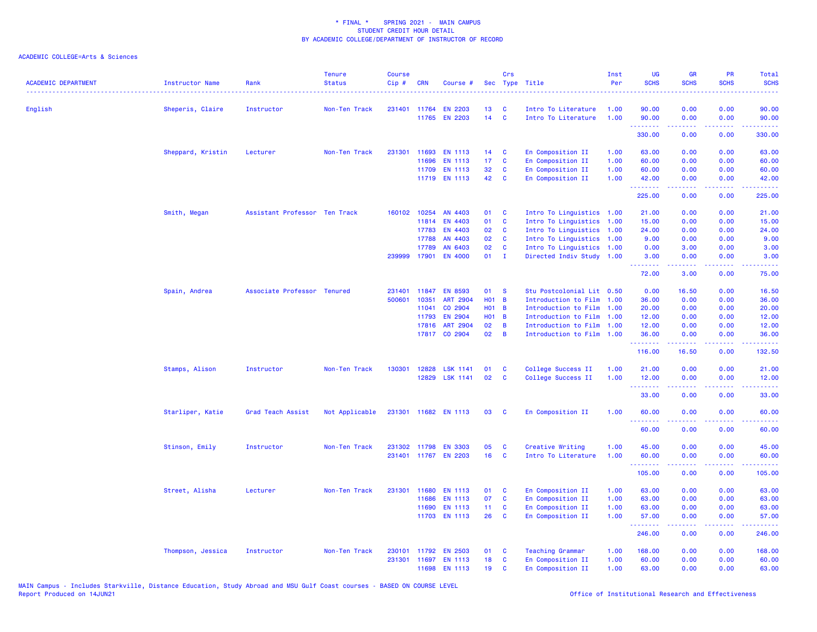| <b>ACADEMIC DEPARTMENT</b> | <b>Instructor Name</b> | Rank                          | <b>Tenure</b><br><b>Status</b> | <b>Course</b><br>Cip# | <b>CRN</b>   | Course #             | <b>Sec</b>      | Crs            | Type Title                | Inst<br>Per | <b>UG</b><br><b>SCHS</b>                           | <b>GR</b><br><b>SCHS</b>                                                                                                                                     | PR<br><b>SCHS</b> | Total<br><b>SCHS</b>                                                                                                                                           |
|----------------------------|------------------------|-------------------------------|--------------------------------|-----------------------|--------------|----------------------|-----------------|----------------|---------------------------|-------------|----------------------------------------------------|--------------------------------------------------------------------------------------------------------------------------------------------------------------|-------------------|----------------------------------------------------------------------------------------------------------------------------------------------------------------|
| English                    | Sheperis, Claire       | Instructor                    | Non-Ten Track                  |                       | 231401 11764 | <b>EN 2203</b>       | 13              | <b>C</b>       | Intro To Literature       | 1.00        | 90.00                                              | 0.00                                                                                                                                                         | 0.00              | 90.00                                                                                                                                                          |
|                            |                        |                               |                                |                       | 11765        | <b>EN 2203</b>       | 14              | $\mathbf{C}$   | Intro To Literature       | 1.00        | 90.00                                              | 0.00                                                                                                                                                         | 0.00              | 90.00                                                                                                                                                          |
|                            |                        |                               |                                |                       |              |                      |                 |                |                           |             | .<br>330.00                                        | $\frac{1}{2} \left( \frac{1}{2} \right) \left( \frac{1}{2} \right) \left( \frac{1}{2} \right) \left( \frac{1}{2} \right) \left( \frac{1}{2} \right)$<br>0.00 | .<br>0.00         | $\frac{1}{2} \left( \frac{1}{2} \right) \left( \frac{1}{2} \right) \left( \frac{1}{2} \right) \left( \frac{1}{2} \right) \left( \frac{1}{2} \right)$<br>330.00 |
|                            | Sheppard, Kristin      | Lecturer                      | Non-Ten Track                  | 231301                | 11693        | <b>EN 1113</b>       | 14              | C              | En Composition II         | 1.00        | 63.00                                              | 0.00                                                                                                                                                         | 0.00              | 63.00                                                                                                                                                          |
|                            |                        |                               |                                |                       | 11696        | <b>EN 1113</b>       | 17              | C              | En Composition II         | 1.00        | 60.00                                              | 0.00                                                                                                                                                         | 0.00              | 60.00                                                                                                                                                          |
|                            |                        |                               |                                |                       | 11709        | EN 1113              | 32              | C              | En Composition II         | 1.00        | 60.00                                              | 0.00                                                                                                                                                         | 0.00              | 60.00                                                                                                                                                          |
|                            |                        |                               |                                |                       |              | 11719 EN 1113        | 42              | C              | En Composition II         | 1.00        | 42.00                                              | 0.00                                                                                                                                                         | 0.00              | 42.00                                                                                                                                                          |
|                            |                        |                               |                                |                       |              |                      |                 |                |                           |             | .<br>225.00                                        | 0.00                                                                                                                                                         | 0.00              | 225.00                                                                                                                                                         |
|                            | Smith, Megan           | Assistant Professor Ten Track |                                |                       | 160102 10254 | AN 4403              | 01              | <b>C</b>       | Intro To Linguistics      | 1.00        | 21.00                                              | 0.00                                                                                                                                                         | 0.00              | 21.00                                                                                                                                                          |
|                            |                        |                               |                                |                       | 11814        | EN 4403              | 01              | C              | Intro To Linguistics      | 1.00        | 15.00                                              | 0.00                                                                                                                                                         | 0.00              | 15.00                                                                                                                                                          |
|                            |                        |                               |                                |                       | 17783        | EN 4403              | 02              | C              | Intro To Linguistics      | 1.00        | 24.00                                              | 0.00                                                                                                                                                         | 0.00              | 24.00                                                                                                                                                          |
|                            |                        |                               |                                |                       | 17788        | AN 4403              | 02              | C              | Intro To Linguistics      | 1.00        | 9.00                                               | 0.00                                                                                                                                                         | 0.00              | 9.00                                                                                                                                                           |
|                            |                        |                               |                                |                       | 17789        | AN 6403              | 02              | C              | Intro To Linguistics 1.00 |             | 0.00                                               | 3.00                                                                                                                                                         | 0.00              | 3.00                                                                                                                                                           |
|                            |                        |                               |                                | 239999                | 17901        | <b>EN 4000</b>       | 01              | $\mathbf{I}$   | Directed Indiv Study      | 1.00        | 3.00                                               | 0.00                                                                                                                                                         | 0.00              | 3.00                                                                                                                                                           |
|                            |                        |                               |                                |                       |              |                      |                 |                |                           |             | .<br>72.00                                         | 3.00                                                                                                                                                         | 0.00              | 75.00                                                                                                                                                          |
|                            | Spain, Andrea          | Associate Professor Tenured   |                                | 231401                | 11847        | <b>EN 8593</b>       | 01              | <b>S</b>       | Stu Postcolonial Lit 0.50 |             | 0.00                                               | 16.50                                                                                                                                                        | 0.00              | 16.50                                                                                                                                                          |
|                            |                        |                               |                                | 500601                | 10351        | <b>ART 2904</b>      | <b>HO1</b>      | $\overline{B}$ | Introduction to Film      | 1.00        | 36.00                                              | 0.00                                                                                                                                                         | 0.00              | 36.00                                                                                                                                                          |
|                            |                        |                               |                                |                       | 11041        | CO 2904              | <b>HO1 B</b>    |                | Introduction to Film      | 1.00        | 20.00                                              | 0.00                                                                                                                                                         | 0.00              | 20.00                                                                                                                                                          |
|                            |                        |                               |                                |                       | 11793        | <b>EN 2904</b>       | <b>HO1 B</b>    |                | Introduction to Film      | 1.00        | 12.00                                              | 0.00                                                                                                                                                         | 0.00              | 12.00                                                                                                                                                          |
|                            |                        |                               |                                |                       | 17816        | <b>ART 2904</b>      | 02              | B              | Introduction to Film 1.00 |             | 12.00                                              | 0.00                                                                                                                                                         | 0.00              | 12.00                                                                                                                                                          |
|                            |                        |                               |                                |                       |              | 17817 CO 2904        | 02              | B              | Introduction to Film 1.00 |             | 36.00<br>.                                         | 0.00<br>.                                                                                                                                                    | 0.00<br>.         | 36.00<br>.                                                                                                                                                     |
|                            |                        |                               |                                |                       |              |                      |                 |                |                           |             | 116.00                                             | 16.50                                                                                                                                                        | 0.00              | 132.50                                                                                                                                                         |
|                            | Stamps, Alison         | Instructor                    | Non-Ten Track                  | 130301                | 12828        | <b>LSK 1141</b>      | 01              | C              | College Success II        | 1.00        | 21.00                                              | 0.00                                                                                                                                                         | 0.00              | 21.00                                                                                                                                                          |
|                            |                        |                               |                                |                       | 12829        | <b>LSK 1141</b>      | 02              | C              | College Success II        | 1.00        | 12.00                                              | 0.00                                                                                                                                                         | 0.00              | 12.00                                                                                                                                                          |
|                            |                        |                               |                                |                       |              |                      |                 |                |                           |             | .<br>33.00                                         | 0.00                                                                                                                                                         | 0.00              | .<br>33.00                                                                                                                                                     |
|                            | Starliper, Katie       | Grad Teach Assist             | Not Applicable                 |                       |              | 231301 11682 EN 1113 | 03              | <b>C</b>       | En Composition II         | 1.00        | 60.00<br>.                                         | 0.00                                                                                                                                                         | 0.00              | 60.00<br>بالأساس                                                                                                                                               |
|                            |                        |                               |                                |                       |              |                      |                 |                |                           |             | 60.00                                              | 0.00                                                                                                                                                         | 0.00              | 60.00                                                                                                                                                          |
|                            | Stinson, Emily         | Instructor                    | Non-Ten Track                  | 231302                | 11798        | <b>EN 3303</b>       | 05              | C              | Creative Writing          | 1.00        | 45.00                                              | 0.00                                                                                                                                                         | 0.00              | 45.00                                                                                                                                                          |
|                            |                        |                               |                                |                       |              | 231401 11767 EN 2203 | 16              | $\mathbf{C}$   | Intro To Literature       | 1.00        | 60.00                                              | 0.00                                                                                                                                                         | 0.00              | 60.00                                                                                                                                                          |
|                            |                        |                               |                                |                       |              |                      |                 |                |                           |             | <b><i><u><u> - - - - - -</u></u></i></b><br>105.00 | بالمستمال<br>0.00                                                                                                                                            | د د د د<br>0.00   | .<br>105.00                                                                                                                                                    |
|                            |                        |                               |                                |                       |              |                      |                 |                |                           |             |                                                    |                                                                                                                                                              |                   |                                                                                                                                                                |
|                            | Street, Alisha         | Lecturer                      | Non-Ten Track                  | 231301                | 11680        | EN 1113              | 01              | C              | En Composition II         | 1.00        | 63.00                                              | 0.00                                                                                                                                                         | 0.00              | 63.00                                                                                                                                                          |
|                            |                        |                               |                                |                       | 11686        | <b>EN 1113</b>       | 07              | C              | En Composition II         | 1.00        | 63.00                                              | 0.00                                                                                                                                                         | 0.00              | 63.00                                                                                                                                                          |
|                            |                        |                               |                                |                       | 11690        | EN 1113              | 11 <sub>1</sub> | C              | En Composition II         | 1.00        | 63.00                                              | 0.00                                                                                                                                                         | 0.00              | 63.00                                                                                                                                                          |
|                            |                        |                               |                                |                       | 11703        | <b>EN 1113</b>       | 26              | C              | En Composition II         | 1.00        | 57.00<br>.                                         | 0.00<br>22222                                                                                                                                                | 0.00<br>المتمامين | 57.00<br>المتمامين                                                                                                                                             |
|                            |                        |                               |                                |                       |              |                      |                 |                |                           |             | 246.00                                             | 0.00                                                                                                                                                         | 0.00              | 246.00                                                                                                                                                         |
|                            | Thompson, Jessica      | Instructor                    | Non-Ten Track                  | 230101                | 11792        | <b>EN 2503</b>       | 01              | C              | <b>Teaching Grammar</b>   | 1.00        | 168.00                                             | 0.00                                                                                                                                                         | 0.00              | 168.00                                                                                                                                                         |
|                            |                        |                               |                                |                       | 231301 11697 | <b>EN 1113</b>       | 18              | $\mathbf c$    | En Composition II         | 1.00        | 60.00                                              | 0.00                                                                                                                                                         | 0.00              | 60.00                                                                                                                                                          |
|                            |                        |                               |                                |                       | 11698        | <b>EN 1113</b>       | 19              | C              | En Composition II         | 1.00        | 63.00                                              | 0.00                                                                                                                                                         | 0.00              | 63.00                                                                                                                                                          |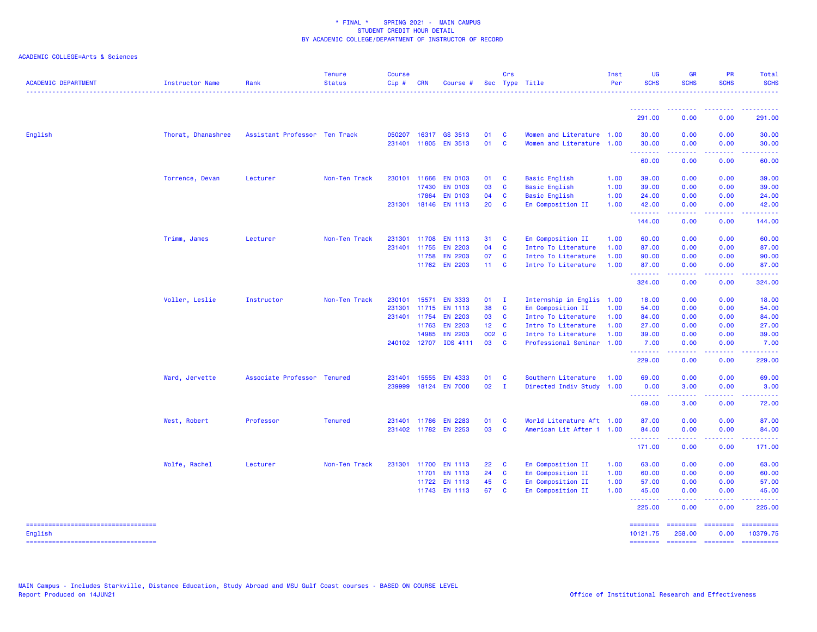| <b>ACADEMIC DEPARTMENT</b>                        | Instructor Name    | Rank                          | <b>Tenure</b><br><b>Status</b> | <b>Course</b><br>$Cip$ # | <b>CRN</b>   | Course #              |        | Crs          | Sec Type Title            | Inst<br>Per | UG<br><b>SCHS</b>    | <b>GR</b><br><b>SCHS</b> | <b>PR</b><br><b>SCHS</b>  | Total<br><b>SCHS</b><br>. |
|---------------------------------------------------|--------------------|-------------------------------|--------------------------------|--------------------------|--------------|-----------------------|--------|--------------|---------------------------|-------------|----------------------|--------------------------|---------------------------|---------------------------|
|                                                   |                    |                               |                                |                          |              |                       |        |              |                           |             | .                    |                          | .                         | .                         |
|                                                   |                    |                               |                                |                          |              |                       |        |              |                           |             | 291.00               | 0.00                     | 0.00                      | 291.00                    |
| English                                           | Thorat, Dhanashree | Assistant Professor Ten Track |                                | 050207                   | 16317        | GS 3513               | 01     | <b>C</b>     | Women and Literature 1.00 |             | 30.00                | 0.00                     | 0.00                      | 30.00                     |
|                                                   |                    |                               |                                |                          | 231401 11805 | <b>EN 3513</b>        | 01     | $\mathbf{C}$ | Women and Literature 1.00 |             | 30.00<br><u>.</u>    | 0.00                     | 0.00                      | 30.00                     |
|                                                   |                    |                               |                                |                          |              |                       |        |              |                           |             | 60.00                | 0.00                     | 0.00                      | 60.00                     |
|                                                   | Torrence, Devan    | Lecturer                      | Non-Ten Track                  |                          | 230101 11666 | <b>EN 0103</b>        | 01     | $\mathbf{C}$ | <b>Basic English</b>      | 1.00        | 39.00                | 0.00                     | 0.00                      | 39.00                     |
|                                                   |                    |                               |                                |                          | 17430        | <b>EN 0103</b>        | 03     | $\mathbf{C}$ | <b>Basic English</b>      | 1.00        | 39.00                | 0.00                     | 0.00                      | 39.00                     |
|                                                   |                    |                               |                                |                          | 17864        | <b>EN 0103</b>        | 04     | <b>C</b>     | <b>Basic English</b>      | 1.00        | 24.00                | 0.00                     | 0.00                      | 24.00                     |
|                                                   |                    |                               |                                |                          |              | 231301 18146 EN 1113  | 20     | <b>C</b>     | En Composition II         | 1.00        | 42.00<br><b>.</b> .  | 0.00<br>بالأبابات        | 0.00<br>المستما           | 42.00<br>.                |
|                                                   |                    |                               |                                |                          |              |                       |        |              |                           |             | 144.00               | 0.00                     | 0.00                      | 144.00                    |
|                                                   | Trimm, James       | Lecturer                      | Non-Ten Track                  |                          | 231301 11708 | <b>EN 1113</b>        | 31     | <b>C</b>     | En Composition II         | 1.00        | 60.00                | 0.00                     | 0.00                      | 60.00                     |
|                                                   |                    |                               |                                |                          | 231401 11755 | <b>EN 2203</b>        | 04     | <b>C</b>     | Intro To Literature       | 1.00        | 87.00                | 0.00                     | 0.00                      | 87.00                     |
|                                                   |                    |                               |                                |                          | 11758        | <b>EN 2203</b>        | 07     | <b>C</b>     | Intro To Literature       | 1.00        | 90.00                | 0.00                     | 0.00                      | 90.00                     |
|                                                   |                    |                               |                                |                          |              | 11762 EN 2203         | 11 C   |              | Intro To Literature       | 1.00        | 87.00<br>.           | 0.00                     | 0.00                      | 87.00                     |
|                                                   |                    |                               |                                |                          |              |                       |        |              |                           |             | 324.00               | 0.00                     | 0.00                      | 324.00                    |
|                                                   | Voller, Leslie     | Instructor                    | Non-Ten Track                  |                          | 230101 15571 | <b>EN 3333</b>        | $01$ I |              | Internship in Englis 1.00 |             | 18.00                | 0.00                     | 0.00                      | 18.00                     |
|                                                   |                    |                               |                                | 231301                   | 11715        | <b>EN 1113</b>        | 38     | $\mathbf{C}$ | En Composition II         | 1.00        | 54.00                | 0.00                     | 0.00                      | 54.00                     |
|                                                   |                    |                               |                                |                          | 231401 11754 | <b>EN 2203</b>        | 03     | <b>C</b>     | Intro To Literature       | 1.00        | 84.00                | 0.00                     | 0.00                      | 84.00                     |
|                                                   |                    |                               |                                |                          | 11763        | <b>EN 2203</b>        | 12 C   |              | Intro To Literature       | 1.00        | 27.00                | 0.00                     | 0.00                      | 27.00                     |
|                                                   |                    |                               |                                |                          | 14985        | <b>EN 2203</b>        | 002 C  |              | Intro To Literature       | 1.00        | 39.00                | 0.00                     | 0.00                      | 39.00                     |
|                                                   |                    |                               |                                |                          |              | 240102 12707 IDS 4111 | 03     | $\mathbf{C}$ | Professional Seminar 1.00 |             | 7.00<br>.            | 0.00                     | 0.00                      | 7.00                      |
|                                                   |                    |                               |                                |                          |              |                       |        |              |                           |             | 229.00               | 0.00                     | 0.00                      | 229.00                    |
|                                                   | Ward, Jervette     | Associate Professor Tenured   |                                | 231401                   | 15555        | <b>EN 4333</b>        | 01     | <b>C</b>     | Southern Literature       | 1.00        | 69.00                | 0.00                     | 0.00                      | 69.00                     |
|                                                   |                    |                               |                                | 239999                   |              | 18124 EN 7000         | 02     | $\mathbf{I}$ | Directed Indiv Study 1.00 |             | 0.00                 | 3.00                     | 0.00                      | 3.00                      |
|                                                   |                    |                               |                                |                          |              |                       |        |              |                           |             | <u>.</u><br>69.00    | .<br>3.00                | 0.00                      | 72.00                     |
|                                                   | West, Robert       | Professor                     | <b>Tenured</b>                 |                          | 231401 11786 | <b>EN 2283</b>        | 01     | $\mathbf{C}$ | World Literature Aft 1.00 |             | 87.00                | 0.00                     | 0.00                      | 87.00                     |
|                                                   |                    |                               |                                |                          |              | 231402 11782 EN 2253  | 03     | <b>C</b>     | American Lit After 1 1.00 |             | 84.00                | 0.00                     | 0.00                      | 84.00                     |
|                                                   |                    |                               |                                |                          |              |                       |        |              |                           |             | .<br>171.00          | 0.00                     | .<br>0.00                 | 171.00                    |
|                                                   | Wolfe, Rachel      | Lecturer                      | Non-Ten Track                  |                          | 231301 11700 | <b>EN 1113</b>        | 22     | <b>C</b>     | En Composition II         | 1.00        | 63.00                | 0.00                     | 0.00                      | 63.00                     |
|                                                   |                    |                               |                                |                          | 11701        | <b>EN 1113</b>        | 24     | $\mathbf{C}$ | En Composition II         | 1.00        | 60.00                | 0.00                     | 0.00                      | 60.00                     |
|                                                   |                    |                               |                                |                          | 11722        | <b>EN 1113</b>        | 45     | <b>C</b>     | En Composition II         | 1.00        | 57.00                | 0.00                     | 0.00                      | 57.00                     |
|                                                   |                    |                               |                                |                          |              | 11743 EN 1113         | 67     | <b>C</b>     | En Composition II         | 1.00        | 45.00                | 0.00                     | 0.00                      | 45.00                     |
|                                                   |                    |                               |                                |                          |              |                       |        |              |                           |             | .<br>225.00          | 0.00                     | 0.00                      | 225.00                    |
| ======================================            |                    |                               |                                |                          |              |                       |        |              |                           |             | ========             | ========                 | $=$ = = = = = = =<br>0.00 | ==========<br>10379.75    |
| English<br>====================================== |                    |                               |                                |                          |              |                       |        |              |                           |             | 10121.75<br>======== | 258.00<br>========       | ========                  | ==========                |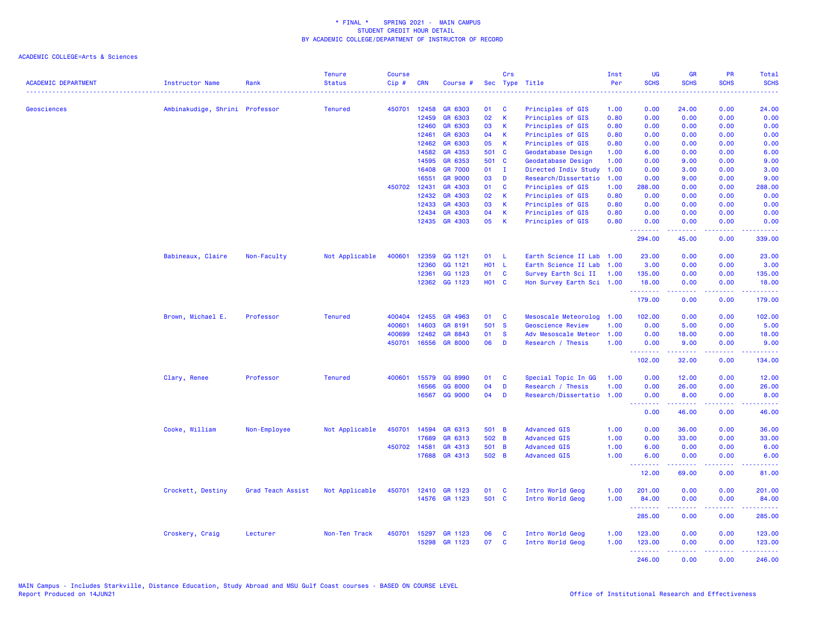| <b>ACADEMIC DEPARTMENT</b> | <b>Instructor Name</b>         | Rank              | <b>Tenure</b><br><b>Status</b> | <b>Course</b><br>Cip# | <b>CRN</b>   | Course #       | Sec          | Crs          | Type Title                | Inst<br>Per | UG<br><b>SCHS</b>                                   | <b>GR</b><br><b>SCHS</b>                                                                                                                                     | PR<br><b>SCHS</b>                   | Total<br><b>SCHS</b>                                                                                                                                         |
|----------------------------|--------------------------------|-------------------|--------------------------------|-----------------------|--------------|----------------|--------------|--------------|---------------------------|-------------|-----------------------------------------------------|--------------------------------------------------------------------------------------------------------------------------------------------------------------|-------------------------------------|--------------------------------------------------------------------------------------------------------------------------------------------------------------|
|                            |                                |                   |                                |                       |              |                |              |              | .                         | والمستناء   |                                                     |                                                                                                                                                              | ----                                | $\frac{1}{2} \left( \frac{1}{2} \right) \left( \frac{1}{2} \right) \left( \frac{1}{2} \right) \left( \frac{1}{2} \right) \left( \frac{1}{2} \right)$         |
| Geosciences                | Ambinakudige, Shrini Professor |                   | <b>Tenured</b>                 | 450701                | 12458        | GR 6303        | 01           | C            | Principles of GIS         | 1.00        | 0.00                                                | 24.00                                                                                                                                                        | 0.00                                | 24.00                                                                                                                                                        |
|                            |                                |                   |                                |                       | 12459        | GR 6303        | 02           | $\mathsf K$  | Principles of GIS         | 0.80        | 0.00                                                | 0.00                                                                                                                                                         | 0.00                                | 0.00                                                                                                                                                         |
|                            |                                |                   |                                |                       | 12460        | GR 6303        | 03           | К            | Principles of GIS         | 0.80        | 0.00                                                | 0.00                                                                                                                                                         | 0.00                                | 0.00                                                                                                                                                         |
|                            |                                |                   |                                |                       | 12461        | GR 6303        | 04           | K            | Principles of GIS         | 0.80        | 0.00                                                | 0.00                                                                                                                                                         | 0.00                                | 0.00                                                                                                                                                         |
|                            |                                |                   |                                |                       | 12462        | GR 6303        | 05           | $\mathsf K$  | Principles of GIS         | 0.80        | 0.00                                                | 0.00                                                                                                                                                         | 0.00                                | 0.00                                                                                                                                                         |
|                            |                                |                   |                                |                       | 14582        | GR 4353        | 501 C        |              | Geodatabase Design        | 1.00        | 6.00                                                | 0.00                                                                                                                                                         | 0.00                                | 6.00                                                                                                                                                         |
|                            |                                |                   |                                |                       | 14595        | GR 6353        | 501 C        |              | Geodatabase Design        | 1.00        | 0.00                                                | 9.00                                                                                                                                                         | 0.00                                | 9.00                                                                                                                                                         |
|                            |                                |                   |                                |                       | 16408        | <b>GR 7000</b> | 01           | $\mathbf{I}$ | Directed Indiv Study      | 1.00        | 0.00                                                | 3.00                                                                                                                                                         | 0.00                                | 3.00                                                                                                                                                         |
|                            |                                |                   |                                |                       | 16551        | <b>GR 9000</b> | 03           | D            | Research/Dissertatio      | 1.00        | 0.00                                                | 9.00                                                                                                                                                         | 0.00                                | 9.00                                                                                                                                                         |
|                            |                                |                   |                                | 450702                | 12431        | GR 4303        | 01           | <b>C</b>     | Principles of GIS         | 1.00        | 288.00                                              | 0.00                                                                                                                                                         | 0.00                                | 288.00                                                                                                                                                       |
|                            |                                |                   |                                |                       | 12432        | GR 4303        | 02           | K            | Principles of GIS         | 0.80        | 0.00                                                | 0.00                                                                                                                                                         | 0.00                                | 0.00                                                                                                                                                         |
|                            |                                |                   |                                |                       | 12433        | GR 4303        | 03           | $\mathsf{K}$ | Principles of GIS         | 0.80        | 0.00                                                | 0.00                                                                                                                                                         | 0.00                                | 0.00                                                                                                                                                         |
|                            |                                |                   |                                |                       | 12434        | GR 4303        | 04           | $\mathsf K$  | Principles of GIS         | 0.80        | 0.00                                                | 0.00                                                                                                                                                         | 0.00                                | 0.00                                                                                                                                                         |
|                            |                                |                   |                                |                       |              | 12435 GR 4303  | 05           | $\mathsf K$  | Principles of GIS         | 0.80        | 0.00<br>.                                           | 0.00<br>. <b>.</b>                                                                                                                                           | 0.00<br>.                           | 0.00<br>.                                                                                                                                                    |
|                            |                                |                   |                                |                       |              |                |              |              |                           |             | 294.00                                              | 45.00                                                                                                                                                        | 0.00                                | 339.00                                                                                                                                                       |
|                            | Babineaux, Claire              | Non-Faculty       | Not Applicable                 | 400601                | 12359        | GG 1121        | 01 L         |              | Earth Science II Lab      | 1.00        | 23.00                                               | 0.00                                                                                                                                                         | 0.00                                | 23.00                                                                                                                                                        |
|                            |                                |                   |                                |                       | 12360        | GG 1121        | H01 L        |              | Earth Science II Lab      | 1.00        | 3.00                                                | 0.00                                                                                                                                                         | 0.00                                | 3.00                                                                                                                                                         |
|                            |                                |                   |                                |                       | 12361        | GG 1123        | 01           | $\mathbf{C}$ | Survey Earth Sci II       | 1.00        | 135.00                                              | 0.00                                                                                                                                                         | 0.00                                | 135.00                                                                                                                                                       |
|                            |                                |                   |                                |                       | 12362        | GG 1123        | <b>HO1 C</b> |              | Hon Survey Earth Sci 1.00 |             | 18.00<br><b><i><u><u> - - - - - - -</u></u></i></b> | 0.00<br>.                                                                                                                                                    | 0.00<br>د د د د                     | 18.00<br>.                                                                                                                                                   |
|                            |                                |                   |                                |                       |              |                |              |              |                           |             | 179.00                                              | 0.00                                                                                                                                                         | 0.00                                | 179.00                                                                                                                                                       |
|                            | Brown, Michael E.              | Professor         | <b>Tenured</b>                 | 400404                | 12455        | GR 4963        | 01           | C            | Mesoscale Meteorolog      | 1.00        | 102.00                                              | 0.00                                                                                                                                                         | 0.00                                | 102.00                                                                                                                                                       |
|                            |                                |                   |                                | 400601                | 14603        | GR 8191        | 501 S        |              | Geoscience Review         | 1.00        | 0.00                                                | 5.00                                                                                                                                                         | 0.00                                | 5.00                                                                                                                                                         |
|                            |                                |                   |                                | 400699                | 12482        | GR 8843        | 01           | <b>S</b>     | Adv Mesoscale Meteor      | 1.00        | 0.00                                                | 18.00                                                                                                                                                        | 0.00                                | 18.00                                                                                                                                                        |
|                            |                                |                   |                                | 450701                | 16556        | <b>GR 8000</b> | 06           | D            | Research / Thesis         | 1.00        | 0.00<br>- - - - - - - -                             | 9.00<br>بالأبال                                                                                                                                              | 0.00<br>د د د د                     | 9.00<br>.                                                                                                                                                    |
|                            |                                |                   |                                |                       |              |                |              |              |                           |             | 102.00                                              | 32.00                                                                                                                                                        | 0.00                                | 134.00                                                                                                                                                       |
|                            | Clary, Renee                   | Professor         | <b>Tenured</b>                 | 400601                | 15579        | GG 8990        | 01           | C            | Special Topic In GG       | 1.00        | 0.00                                                | 12.00                                                                                                                                                        | 0.00                                | 12.00                                                                                                                                                        |
|                            |                                |                   |                                |                       | 16566        | GG 8000        | 04           | D            | Research / Thesis         | 1.00        | 0.00                                                | 26.00                                                                                                                                                        | 0.00                                | 26.00                                                                                                                                                        |
|                            |                                |                   |                                |                       | 16567        | GG 9000        | 04           | D            | Research/Dissertatio      | 1.00        | 0.00<br>.                                           | 8.00<br>.                                                                                                                                                    | 0.00<br>د د د د                     | 8.00<br>وعاديات                                                                                                                                              |
|                            |                                |                   |                                |                       |              |                |              |              |                           |             | 0.00                                                | 46.00                                                                                                                                                        | 0.00                                | 46.00                                                                                                                                                        |
|                            | Cooke, William                 | Non-Employee      | Not Applicable                 | 450701                | 14594        | GR 6313        | 501 B        |              | <b>Advanced GIS</b>       | 1.00        | 0.00                                                | 36.00                                                                                                                                                        | 0.00                                | 36.00                                                                                                                                                        |
|                            |                                |                   |                                |                       | 17689        | GR 6313        | 502 B        |              | <b>Advanced GIS</b>       | 1.00        | 0.00                                                | 33.00                                                                                                                                                        | 0.00                                | 33.00                                                                                                                                                        |
|                            |                                |                   |                                |                       | 450702 14581 | GR 4313        | 501 B        |              | <b>Advanced GIS</b>       | 1.00        | 6.00                                                | 0.00                                                                                                                                                         | 0.00                                | 6.00                                                                                                                                                         |
|                            |                                |                   |                                |                       | 17688        | GR 4313        | 502 B        |              | <b>Advanced GIS</b>       | 1.00        | 6.00<br><b>.</b>                                    | 0.00<br>$\frac{1}{2} \left( \frac{1}{2} \right) \left( \frac{1}{2} \right) \left( \frac{1}{2} \right) \left( \frac{1}{2} \right) \left( \frac{1}{2} \right)$ | 0.00<br>$\sim$ $\sim$ $\sim$ $\sim$ | 6.00<br>$\frac{1}{2} \left( \frac{1}{2} \right) \left( \frac{1}{2} \right) \left( \frac{1}{2} \right) \left( \frac{1}{2} \right) \left( \frac{1}{2} \right)$ |
|                            |                                |                   |                                |                       |              |                |              |              |                           |             | 12.00                                               | 69.00                                                                                                                                                        | 0.00                                | 81.00                                                                                                                                                        |
|                            | Crockett, Destiny              | Grad Teach Assist | Not Applicable                 | 450701                | 12410        | GR 1123        | 01           | C            | Intro World Geog          | 1.00        | 201.00                                              | 0.00                                                                                                                                                         | 0.00                                | 201.00                                                                                                                                                       |
|                            |                                |                   |                                |                       |              | 14576 GR 1123  | 501 C        |              | Intro World Geog          | 1.00        | 84.00                                               | 0.00                                                                                                                                                         | 0.00                                | 84.00                                                                                                                                                        |
|                            |                                |                   |                                |                       |              |                |              |              |                           |             | <u>.</u><br>285.00                                  | .<br>0.00                                                                                                                                                    | .<br>0.00                           | د د د د د د<br>285.00                                                                                                                                        |
|                            | Croskery, Craig                | Lecturer          | Non-Ten Track                  | 450701                | 15297        | GR 1123        | 06           | C            | Intro World Geog          | 1.00        | 123.00                                              | 0.00                                                                                                                                                         | 0.00                                | 123.00                                                                                                                                                       |
|                            |                                |                   |                                |                       | 15298        | GR 1123        | 07           | C            | Intro World Geog          | 1.00        | 123.00                                              | 0.00                                                                                                                                                         | 0.00                                | 123.00                                                                                                                                                       |
|                            |                                |                   |                                |                       |              |                |              |              |                           |             | .<br>246.00                                         | 22222<br>0.00                                                                                                                                                | 22222<br>0.00                       | .<br>246.00                                                                                                                                                  |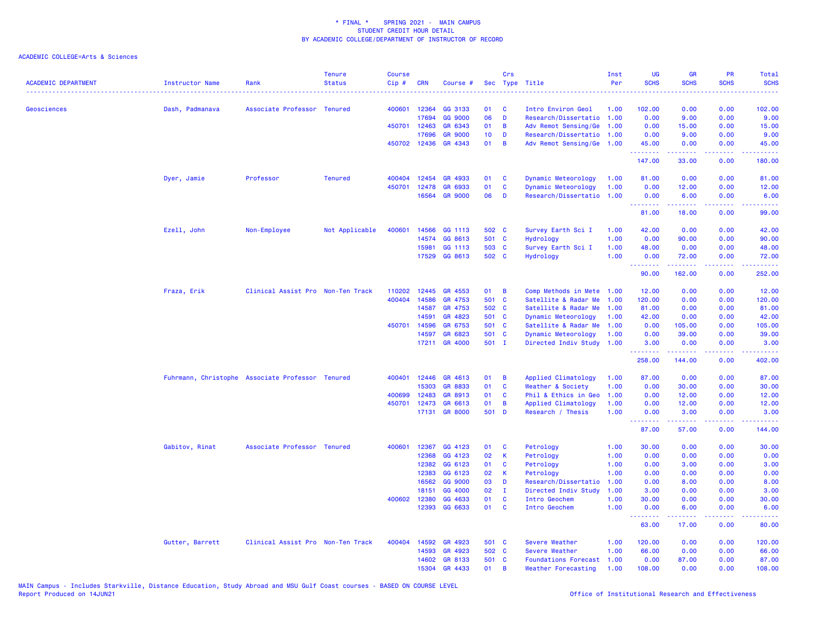| <b>ACADEMIC DEPARTMENT</b> | <b>Instructor Name</b>                           | Rank                              | <b>Tenure</b><br><b>Status</b> | <b>Course</b><br>Cip# | <b>CRN</b>   | Course #       | Sec   | Crs          | Type Title                  | Inst<br>Per | <b>UG</b><br><b>SCHS</b> | <b>GR</b><br><b>SCHS</b>                                                                                                                                      | PR<br><b>SCHS</b> | Total<br><b>SCHS</b>                                                                                                                                         |
|----------------------------|--------------------------------------------------|-----------------------------------|--------------------------------|-----------------------|--------------|----------------|-------|--------------|-----------------------------|-------------|--------------------------|---------------------------------------------------------------------------------------------------------------------------------------------------------------|-------------------|--------------------------------------------------------------------------------------------------------------------------------------------------------------|
| Geosciences                | Dash, Padmanava                                  | Associate Professor Tenured       |                                | 400601                | 12364        | GG 3133        | 01    | C            | Intro Environ Geol          | 1.00        | 102.00                   | 0.00                                                                                                                                                          | 0.00              | 102.00                                                                                                                                                       |
|                            |                                                  |                                   |                                |                       | 17694        | GG 9000        | 06    | D            | Research/Dissertatio        | 1.00        | 0.00                     | 9.00                                                                                                                                                          | 0.00              | 9.00                                                                                                                                                         |
|                            |                                                  |                                   |                                |                       | 450701 12463 | GR 6343        | 01    | B            | Adv Remot Sensing/Ge        | 1.00        | 0.00                     | 15.00                                                                                                                                                         | 0.00              | 15.00                                                                                                                                                        |
|                            |                                                  |                                   |                                |                       | 17696        | <b>GR 9000</b> | 10    | D            | Research/Dissertatio        | 1.00        | 0.00                     | 9.00                                                                                                                                                          | 0.00              | 9.00                                                                                                                                                         |
|                            |                                                  |                                   |                                |                       | 450702 12436 | GR 4343        | 01    | B            | Adv Remot Sensing/Ge 1.00   |             | 45.00                    | 0.00                                                                                                                                                          | 0.00              | 45.00                                                                                                                                                        |
|                            |                                                  |                                   |                                |                       |              |                |       |              |                             |             | .<br>147.00              | .<br>33.00                                                                                                                                                    | بالمحام<br>0.00   | .<br>180.00                                                                                                                                                  |
|                            | Dyer, Jamie                                      | Professor                         | <b>Tenured</b>                 | 400404                | 12454        | GR 4933        | 01    | C            | Dynamic Meteorology         | 1.00        | 81.00                    | 0.00                                                                                                                                                          | 0.00              | 81.00                                                                                                                                                        |
|                            |                                                  |                                   |                                | 450701                | 12478        | GR 6933        | 01    | $\mathbf c$  | Dynamic Meteorology         | 1.00        | 0.00                     | 12.00                                                                                                                                                         | 0.00              | 12.00                                                                                                                                                        |
|                            |                                                  |                                   |                                |                       | 16564        | <b>GR 9000</b> | 06    | D            | Research/Dissertatio        | 1.00        | 0.00                     | 6.00                                                                                                                                                          | 0.00              | 6.00                                                                                                                                                         |
|                            |                                                  |                                   |                                |                       |              |                |       |              |                             |             | 81.00                    | 18.00                                                                                                                                                         | 0.00              | 99.00                                                                                                                                                        |
|                            | Ezell, John                                      | Non-Employee                      | Not Applicable                 | 400601                | 14566        | GG 1113        | 502 C |              | Survey Earth Sci I          | 1.00        | 42.00                    | 0.00                                                                                                                                                          | 0.00              | 42.00                                                                                                                                                        |
|                            |                                                  |                                   |                                |                       | 14574        | GG 8613        | 501 C |              | Hydrology                   | 1.00        | 0.00                     | 90.00                                                                                                                                                         | 0.00              | 90.00                                                                                                                                                        |
|                            |                                                  |                                   |                                |                       | 15981        | GG 1113        | 503 C |              | Survey Earth Sci I          | 1.00        | 48.00                    | 0.00                                                                                                                                                          | 0.00              | 48.00                                                                                                                                                        |
|                            |                                                  |                                   |                                |                       | 17529        | GG 8613        | 502 C |              | Hydrology                   | 1.00        | 0.00<br><u>.</u>         | 72.00<br>$\frac{1}{2} \left( \frac{1}{2} \right) \left( \frac{1}{2} \right) \left( \frac{1}{2} \right) \left( \frac{1}{2} \right) \left( \frac{1}{2} \right)$ | 0.00<br>.         | 72.00<br>.                                                                                                                                                   |
|                            |                                                  |                                   |                                |                       |              |                |       |              |                             |             | 90.00                    | 162.00                                                                                                                                                        | 0.00              | 252.00                                                                                                                                                       |
|                            | Fraza, Erik                                      | Clinical Assist Pro Non-Ten Track |                                | 110202                | 12445        | GR 4553        | 01    | B            | Comp Methods in Mete 1.00   |             | 12.00                    | 0.00                                                                                                                                                          | 0.00              | 12.00                                                                                                                                                        |
|                            |                                                  |                                   |                                | 400404                | 14586        | GR 4753        | 501   | <b>C</b>     | Satellite & Radar Me        | 1.00        | 120.00                   | 0.00                                                                                                                                                          | 0.00              | 120.00                                                                                                                                                       |
|                            |                                                  |                                   |                                |                       | 14587        | GR 4753        | 502 C |              | Satellite & Radar Me        | 1.00        | 81.00                    | 0.00                                                                                                                                                          | 0.00              | 81.00                                                                                                                                                        |
|                            |                                                  |                                   |                                |                       | 14591        | GR 4823        | 501 C |              | Dynamic Meteorology         | 1.00        | 42.00                    | 0.00                                                                                                                                                          | 0.00              | 42.00                                                                                                                                                        |
|                            |                                                  |                                   |                                | 450701                | 14596        | GR 6753        | 501 C |              | Satellite & Radar Me        | 1.00        | 0.00                     | 105.00                                                                                                                                                        | 0.00              | 105.00                                                                                                                                                       |
|                            |                                                  |                                   |                                |                       | 14597        | GR 6823        | 501 C |              | Dynamic Meteorology         | 1.00        | 0.00                     | 39.00                                                                                                                                                         | 0.00              | 39.00                                                                                                                                                        |
|                            |                                                  |                                   |                                |                       | 17211        | GR 4000        | 501 I |              | Directed Indiv Study 1.00   |             | 3.00<br>.                | 0.00<br>.                                                                                                                                                     | 0.00<br>د د د د   | 3.00<br>.                                                                                                                                                    |
|                            |                                                  |                                   |                                |                       |              |                |       |              |                             |             | 258.00                   | 144.00                                                                                                                                                        | 0.00              | 402.00                                                                                                                                                       |
|                            | Fuhrmann, Christophe Associate Professor Tenured |                                   |                                | 400401                | 12446        | GR 4613        | 01    | B            | Applied Climatology         | 1.00        | 87.00                    | 0.00                                                                                                                                                          | 0.00              | 87.00                                                                                                                                                        |
|                            |                                                  |                                   |                                |                       | 15303        | GR 8833        | 01    | $\mathbf{C}$ | Weather & Society           | 1.00        | 0.00                     | 30.00                                                                                                                                                         | 0.00              | 30.00                                                                                                                                                        |
|                            |                                                  |                                   |                                | 400699                | 12483        | GR 8913        | 01    | C            | Phil & Ethics in Geo        | 1.00        | 0.00                     | 12.00                                                                                                                                                         | 0.00              | 12.00                                                                                                                                                        |
|                            |                                                  |                                   |                                | 450701                | 12473        | GR 6613        | 01    | B            | Applied Climatology         | 1.00        | 0.00                     | 12.00                                                                                                                                                         | 0.00              | 12.00                                                                                                                                                        |
|                            |                                                  |                                   |                                |                       | 17131        | <b>GR 8000</b> | 501 D |              | Research / Thesis           | 1.00        | 0.00<br>.                | 3.00<br>.                                                                                                                                                     | 0.00<br>.         | 3.00<br>$\frac{1}{2} \left( \frac{1}{2} \right) \left( \frac{1}{2} \right) \left( \frac{1}{2} \right) \left( \frac{1}{2} \right) \left( \frac{1}{2} \right)$ |
|                            |                                                  |                                   |                                |                       |              |                |       |              |                             |             | 87.00                    | 57.00                                                                                                                                                         | 0.00              | 144.00                                                                                                                                                       |
|                            | Gabitov, Rinat                                   | Associate Professor Tenured       |                                | 400601                | 12367        | GG 4123        | 01    | C            | Petrology                   | 1.00        | 30.00                    | 0.00                                                                                                                                                          | 0.00              | 30.00                                                                                                                                                        |
|                            |                                                  |                                   |                                |                       | 12368        | GG 4123        | 02    | $\mathsf K$  | Petrology                   | 1.00        | 0.00                     | 0.00                                                                                                                                                          | 0.00              | 0.00                                                                                                                                                         |
|                            |                                                  |                                   |                                |                       | 12382        | GG 6123        | 01    | C            | Petrology                   | 1.00        | 0.00                     | 3.00                                                                                                                                                          | 0.00              | 3.00                                                                                                                                                         |
|                            |                                                  |                                   |                                |                       | 12383        | GG 6123        | 02    | К            | Petrology                   | 1.00        | 0.00                     | 0.00                                                                                                                                                          | 0.00              | 0.00                                                                                                                                                         |
|                            |                                                  |                                   |                                |                       | 16562        | GG 9000        | 03    | D            | Research/Dissertatio        | 1.00        | 0.00                     | 8.00                                                                                                                                                          | 0.00              | 8.00                                                                                                                                                         |
|                            |                                                  |                                   |                                |                       | 18151        | GG 4000        | 02    | $\mathbf{I}$ | Directed Indiv Study        | 1.00        | 3.00                     | 0.00                                                                                                                                                          | 0.00              | 3.00                                                                                                                                                         |
|                            |                                                  |                                   |                                | 400602                | 12380        | GG 4633        | 01    | <b>C</b>     | Intro Geochem               | 1.00        | 30.00                    | 0.00                                                                                                                                                          | 0.00              | 30.00                                                                                                                                                        |
|                            |                                                  |                                   |                                |                       | 12393        | GG 6633        | 01    | C            | Intro Geochem               | 1.00        | 0.00<br><u>.</u>         | 6.00<br>.                                                                                                                                                     | 0.00<br>.         | 6.00<br>.                                                                                                                                                    |
|                            |                                                  |                                   |                                |                       |              |                |       |              |                             |             | 63.00                    | 17.00                                                                                                                                                         | 0.00              | 80.00                                                                                                                                                        |
|                            | Gutter, Barrett                                  | Clinical Assist Pro Non-Ten Track |                                | 400404                | 14592        | GR 4923        | 501 C |              | Severe Weather              | 1.00        | 120.00                   | 0.00                                                                                                                                                          | 0.00              | 120.00                                                                                                                                                       |
|                            |                                                  |                                   |                                |                       | 14593        | GR 4923        | 502 C |              | Severe Weather              | 1.00        | 66.00                    | 0.00                                                                                                                                                          | 0.00              | 66.00                                                                                                                                                        |
|                            |                                                  |                                   |                                |                       | 14602        | GR 8133        | 501 C |              | <b>Foundations Forecast</b> | 1.00        | 0.00                     | 87.00                                                                                                                                                         | 0.00              | 87.00                                                                                                                                                        |
|                            |                                                  |                                   |                                |                       | 15304        | GR 4433        | 01    | B            | Weather Forecasting         | 1.00        | 108.00                   | 0.00                                                                                                                                                          | 0.00              | 108.00                                                                                                                                                       |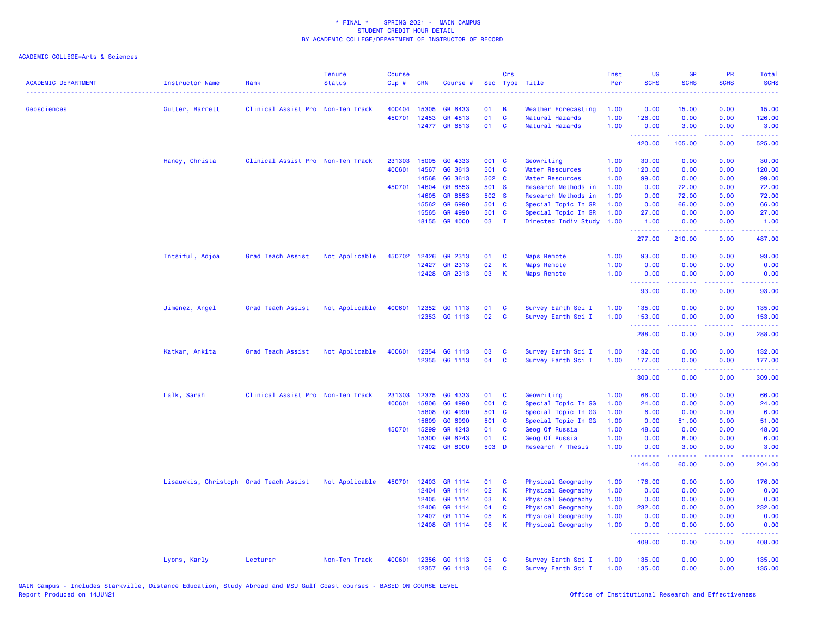| <b>ACADEMIC DEPARTMENT</b> | Instructor Name                        | Rank                              | <b>Tenure</b><br><b>Status</b> | Course<br>Cip# | <b>CRN</b> | Course #      |           | Crs            | Sec Type Title         | Inst<br>Per | UG<br><b>SCHS</b>                                  | <b>GR</b><br><b>SCHS</b> | PR<br><b>SCHS</b>                   | Total<br><b>SCHS</b>                          |
|----------------------------|----------------------------------------|-----------------------------------|--------------------------------|----------------|------------|---------------|-----------|----------------|------------------------|-------------|----------------------------------------------------|--------------------------|-------------------------------------|-----------------------------------------------|
| <b>Geosciences</b>         | Gutter, Barrett                        | Clinical Assist Pro Non-Ten Track |                                | 400404         | 15305      | GR 6433       | 01        | В              | Weather Forecasting    | 1.00        | 0.00                                               | 15.00                    | 0.00                                | 15.00                                         |
|                            |                                        |                                   |                                | 450701         | 12453      | GR 4813       | 01        | $\mathbf{C}$   | Natural Hazards        | 1.00        | 126.00                                             | 0.00                     | 0.00                                | 126.00                                        |
|                            |                                        |                                   |                                |                |            | 12477 GR 6813 | 01        | C              | Natural Hazards        | 1.00        | 0.00                                               | 3.00                     | 0.00                                | 3.00                                          |
|                            |                                        |                                   |                                |                |            |               |           |                |                        |             | .<br>420.00                                        | بالمتمام<br>105.00       | بالأباء<br>0.00                     | .<br>525.00                                   |
|                            | Haney, Christa                         | Clinical Assist Pro Non-Ten Track |                                | 231303         | 15005      | GG 4333       | 001 C     |                | Geowriting             | 1.00        | 30.00                                              | 0.00                     | 0.00                                | 30.00                                         |
|                            |                                        |                                   |                                | 400601         | 14567      | GG 3613       | 501 C     |                | <b>Water Resources</b> | 1.00        | 120.00                                             | 0.00                     | 0.00                                | 120.00                                        |
|                            |                                        |                                   |                                |                | 14568      | GG 3613       | 502 C     |                | <b>Water Resources</b> | 1.00        | 99.00                                              | 0.00                     | 0.00                                | 99.00                                         |
|                            |                                        |                                   |                                | 450701         | 14604      | GR 8553       | 501 S     |                | Research Methods in    | 1.00        | 0.00                                               | 72.00                    | 0.00                                | 72.00                                         |
|                            |                                        |                                   |                                |                | 14605      | GR 8553       | 502 S     |                | Research Methods in    | 1.00        | 0.00                                               | 72.00                    | 0.00                                | 72.00                                         |
|                            |                                        |                                   |                                |                | 15562      | GR 6990       | 501 C     |                | Special Topic In GR    | 1.00        | 0.00                                               | 66.00                    | 0.00                                | 66.00                                         |
|                            |                                        |                                   |                                |                | 15565      | GR 4990       | 501 C     |                | Special Topic In GR    | 1.00        | 27.00                                              | 0.00                     | 0.00                                | 27.00                                         |
|                            |                                        |                                   |                                |                | 18155      | GR 4000       | 03        | $\blacksquare$ | Directed Indiv Study   | 1.00        | 1.00<br>.                                          | 0.00<br>.                | 0.00<br>.                           | 1.00<br>22222                                 |
|                            |                                        |                                   |                                |                |            |               |           |                |                        |             | 277.00                                             | 210.00                   | 0.00                                | 487.00                                        |
|                            | Intsiful, Adjoa                        | Grad Teach Assist                 | Not Applicable                 | 450702         | 12426      | GR 2313       | 01        | C              | <b>Maps Remote</b>     | 1.00        | 93.00                                              | 0.00                     | 0.00                                | 93.00                                         |
|                            |                                        |                                   |                                |                | 12427      | GR 2313       | 02        | К              | <b>Maps Remote</b>     | 1.00        | 0.00                                               | 0.00                     | 0.00                                | 0.00                                          |
|                            |                                        |                                   |                                |                |            | 12428 GR 2313 | 03        | K              | <b>Maps Remote</b>     | 1.00        | 0.00<br><b><i><u><u> - - - - - - -</u></u></i></b> | 0.00<br>.                | 0.00<br>د د د د                     | 0.00<br>$\omega_{\rm c}$ and $\omega_{\rm c}$ |
|                            |                                        |                                   |                                |                |            |               |           |                |                        |             | 93.00                                              | 0.00                     | 0.00                                | 93.00                                         |
|                            | Jimenez, Angel                         | Grad Teach Assist                 | Not Applicable                 | 400601         |            | 12352 GG 1113 | 01        | C              | Survey Earth Sci I     | 1.00        | 135.00                                             | 0.00                     | 0.00                                | 135.00                                        |
|                            |                                        |                                   |                                |                |            | 12353 GG 1113 | 02        | C              | Survey Earth Sci I     | 1.00        | 153.00                                             | 0.00                     | 0.00                                | 153.00                                        |
|                            |                                        |                                   |                                |                |            |               |           |                |                        |             | .<br>288.00                                        | 0.00                     | $\sim$ $\sim$ $\sim$ $\sim$<br>0.00 | .<br>288.00                                   |
|                            | Katkar, Ankita                         | Grad Teach Assist                 | Not Applicable                 | 400601         | 12354      | GG 1113       | 03        | C              | Survey Earth Sci I     | 1.00        | 132.00                                             | 0.00                     | 0.00                                | 132.00                                        |
|                            |                                        |                                   |                                |                |            | 12355 GG 1113 | 04        | C              | Survey Earth Sci I     | 1.00        | 177.00                                             | 0.00                     | 0.00                                | 177.00                                        |
|                            |                                        |                                   |                                |                |            |               |           |                |                        |             | .                                                  | .                        | .                                   | 2.2222                                        |
|                            |                                        |                                   |                                |                |            |               |           |                |                        |             | 309.00                                             | 0.00                     | 0.00                                | 309.00                                        |
|                            | Lalk, Sarah                            | Clinical Assist Pro Non-Ten Track |                                | 231303         | 12375      | GG 4333       | 01        | C              | Geowriting             | 1.00        | 66.00                                              | 0.00                     | 0.00                                | 66.00                                         |
|                            |                                        |                                   |                                | 400601         | 15806      | GG 4990       | $CO1$ $C$ |                | Special Topic In GG    | 1.00        | 24.00                                              | 0.00                     | 0.00                                | 24.00                                         |
|                            |                                        |                                   |                                |                | 15808      | GG 4990       | 501 C     |                | Special Topic In GG    | 1.00        | 6.00                                               | 0.00                     | 0.00                                | 6.00                                          |
|                            |                                        |                                   |                                |                | 15809      | GG 6990       | 501 C     |                | Special Topic In GG    | 1.00        | 0.00                                               | 51.00                    | 0.00                                | 51.00                                         |
|                            |                                        |                                   |                                | 450701         | 15299      | GR 4243       | 01        | C              | Geog Of Russia         | 1.00        | 48.00                                              | 0.00                     | 0.00                                | 48.00                                         |
|                            |                                        |                                   |                                |                | 15300      | GR 6243       | 01        | C              | Geog Of Russia         | 1.00        | 0.00                                               | 6.00                     | 0.00                                | 6.00                                          |
|                            |                                        |                                   |                                |                |            | 17402 GR 8000 | 503 D     |                | Research / Thesis      | 1.00        | 0.00                                               | 3.00                     | 0.00                                | 3.00                                          |
|                            |                                        |                                   |                                |                |            |               |           |                |                        |             | 144.00                                             | 60.00                    | 0.00                                | 204.00                                        |
|                            | Lisauckis, Christoph Grad Teach Assist |                                   | Not Applicable                 | 450701         | 12403      | GR 1114       | 01        | C              | Physical Geography     | 1.00        | 176.00                                             | 0.00                     | 0.00                                | 176.00                                        |
|                            |                                        |                                   |                                |                | 12404      | GR 1114       | 02        | $\mathsf K$    | Physical Geography     | 1.00        | 0.00                                               | 0.00                     | 0.00                                | 0.00                                          |
|                            |                                        |                                   |                                |                | 12405      | GR 1114       | 03        | K              | Physical Geography     | 1.00        | 0.00                                               | 0.00                     | 0.00                                | 0.00                                          |
|                            |                                        |                                   |                                |                | 12406      | GR 1114       | 04        | C              | Physical Geography     | 1.00        | 232.00                                             | 0.00                     | 0.00                                | 232.00                                        |
|                            |                                        |                                   |                                |                | 12407      | GR 1114       | 05        | K              | Physical Geography     | 1.00        | 0.00                                               | 0.00                     | 0.00                                | 0.00                                          |
|                            |                                        |                                   |                                |                | 12408      | GR 1114       | 06        | K              | Physical Geography     | 1.00        | 0.00<br>.                                          | 0.00<br>.                | 0.00<br>.                           | 0.00                                          |
|                            |                                        |                                   |                                |                |            |               |           |                |                        |             | 408.00                                             | 0.00                     | 0.00                                | 408.00                                        |
|                            | Lyons, Karly                           | Lecturer                          | Non-Ten Track                  | 400601         |            | 12356 GG 1113 | 05        | C              | Survey Earth Sci I     | 1.00        | 135.00                                             | 0.00                     | 0.00                                | 135.00                                        |
|                            |                                        |                                   |                                |                |            | 12357 GG 1113 | 06        | C              | Survey Earth Sci I     | 1.00        | 135.00                                             | 0.00                     | 0.00                                | 135.00                                        |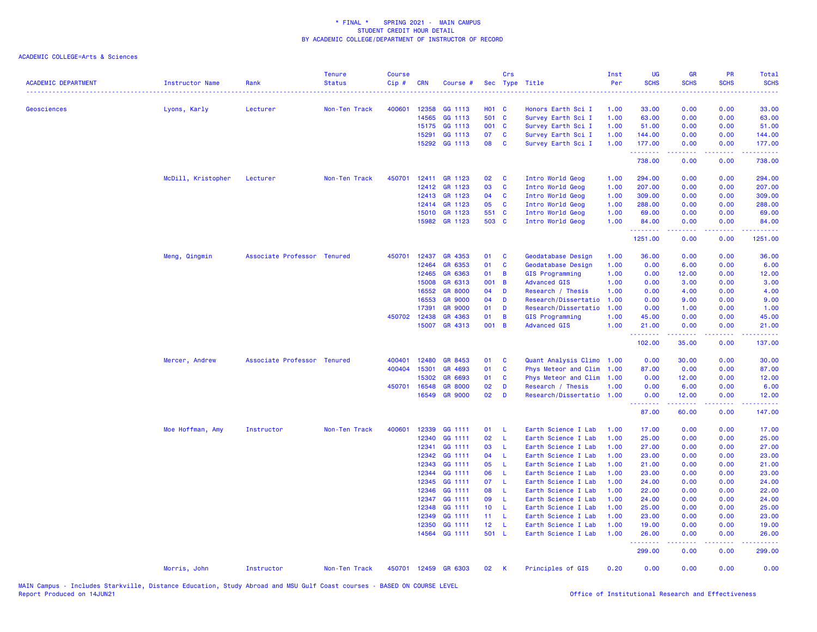| <b>ACADEMIC DEPARTMENT</b> | Instructor Name    | Rank                        | <b>Tenure</b><br><b>Status</b> | <b>Course</b><br>Cip# | <b>CRN</b>   | Course #             |                 | Crs            | Sec Type Title            | Inst<br>Per | UG<br><b>SCHS</b> | <b>GR</b><br><b>SCHS</b>                                                                                                                                     | <b>PR</b><br><b>SCHS</b> | Total<br><b>SCHS</b> |
|----------------------------|--------------------|-----------------------------|--------------------------------|-----------------------|--------------|----------------------|-----------------|----------------|---------------------------|-------------|-------------------|--------------------------------------------------------------------------------------------------------------------------------------------------------------|--------------------------|----------------------|
| <b>Geosciences</b>         | Lyons, Karly       | Lecturer                    | Non-Ten Track                  | 400601                | 12358        | GG 1113              | <b>HO1 C</b>    |                | Honors Earth Sci I        | 1.00        | 33.00             | 0.00                                                                                                                                                         | 0.00                     | 33.00                |
|                            |                    |                             |                                |                       | 14565        | GG 1113              | 501 C           |                | Survey Earth Sci I        | 1.00        | 63.00             | 0.00                                                                                                                                                         | 0.00                     | 63.00                |
|                            |                    |                             |                                |                       | 15175        | GG 1113              | 001 C           |                | Survey Earth Sci I        | 1.00        | 51.00             | 0.00                                                                                                                                                         | 0.00                     | 51.00                |
|                            |                    |                             |                                |                       | 15291        | GG 1113              | 07              | $\mathbf{C}$   | Survey Earth Sci I        | 1.00        | 144.00            | 0.00                                                                                                                                                         | 0.00                     | 144.00               |
|                            |                    |                             |                                |                       | 15292        | GG 1113              | 08              | <b>C</b>       | Survey Earth Sci I        | 1.00        | 177.00<br>.       | 0.00<br>$\frac{1}{2} \left( \frac{1}{2} \right) \left( \frac{1}{2} \right) \left( \frac{1}{2} \right) \left( \frac{1}{2} \right) \left( \frac{1}{2} \right)$ | 0.00<br>22222            | 177.00<br>.          |
|                            |                    |                             |                                |                       |              |                      |                 |                |                           |             | 738.00            | 0.00                                                                                                                                                         | 0.00                     | 738.00               |
|                            | McDill, Kristopher | Lecturer                    | Non-Ten Track                  | 450701                | 12411        | GR 1123              | 02              | $\mathbf{C}$   | Intro World Geog          | 1.00        | 294.00            | 0.00                                                                                                                                                         | 0.00                     | 294.00               |
|                            |                    |                             |                                |                       | 12412        | GR 1123              | 03              | $\mathbf{C}$   | Intro World Geog          | 1.00        | 207.00            | 0.00                                                                                                                                                         | 0.00                     | 207.00               |
|                            |                    |                             |                                |                       | 12413        | GR 1123              | 04              | $\mathbf{C}$   | Intro World Geog          | 1.00        | 309.00            | 0.00                                                                                                                                                         | 0.00                     | 309.00               |
|                            |                    |                             |                                |                       | 12414        | GR 1123              | 05              | <b>C</b>       | Intro World Geog          | 1.00        | 288.00            | 0.00                                                                                                                                                         | 0.00                     | 288.00               |
|                            |                    |                             |                                |                       | 15010        | GR 1123              | 551 C           |                | Intro World Geog          | 1.00        | 69.00             | 0.00                                                                                                                                                         | 0.00                     | 69.00                |
|                            |                    |                             |                                |                       |              | 15982 GR 1123        | 503 C           |                | Intro World Geog          | 1.00        | 84.00<br>.        | 0.00<br><b><i><u></u></i></b>                                                                                                                                | 0.00<br>-----            | 84.00<br><u>.</u>    |
|                            |                    |                             |                                |                       |              |                      |                 |                |                           |             | 1251.00           | 0.00                                                                                                                                                         | 0.00                     | 1251.00              |
|                            | Meng, Qingmin      | Associate Professor Tenured |                                |                       | 450701 12437 | GR 4353              | 01              | $\mathbf{C}$   | Geodatabase Design        | 1.00        | 36.00             | 0.00                                                                                                                                                         | 0.00                     | 36.00                |
|                            |                    |                             |                                |                       | 12464        | GR 6353              | 01              | $\mathbf{C}$   | Geodatabase Design        | 1.00        | 0.00              | 6.00                                                                                                                                                         | 0.00                     | 6.00                 |
|                            |                    |                             |                                |                       | 12465        | GR 6363              | 01              | $\overline{B}$ | GIS Programming           | 1.00        | 0.00              | 12.00                                                                                                                                                        | 0.00                     | 12.00                |
|                            |                    |                             |                                |                       | 15008        | GR 6313              | 001 B           |                | <b>Advanced GIS</b>       | 1.00        | 0.00              | 3.00                                                                                                                                                         | 0.00                     | 3.00                 |
|                            |                    |                             |                                |                       | 16552        | <b>GR 8000</b>       | 04              | <b>D</b>       | Research / Thesis         | 1.00        | 0.00              | 4.00                                                                                                                                                         | 0.00                     | 4.00                 |
|                            |                    |                             |                                |                       | 16553        | <b>GR 9000</b>       | 04              | <b>D</b>       | Research/Dissertatio      | 1.00        | 0.00              | 9.00                                                                                                                                                         | 0.00                     | 9.00                 |
|                            |                    |                             |                                |                       | 17391        | <b>GR 9000</b>       | 01              | D              | Research/Dissertatio      | 1.00        | 0.00              | 1.00                                                                                                                                                         | 0.00                     | 1.00                 |
|                            |                    |                             |                                | 450702 12438          |              | GR 4363              | 01              | $\overline{B}$ | <b>GIS Programming</b>    | 1.00        | 45.00             | 0.00                                                                                                                                                         | 0.00                     | 45.00                |
|                            |                    |                             |                                |                       | 15007        | GR 4313              | 001 B           |                | <b>Advanced GIS</b>       | 1.00        | 21.00<br><u>.</u> | 0.00<br>.                                                                                                                                                    | 0.00<br>.                | 21.00<br>.           |
|                            |                    |                             |                                |                       |              |                      |                 |                |                           |             | 102.00            | 35.00                                                                                                                                                        | 0.00                     | 137.00               |
|                            | Mercer, Andrew     | Associate Professor Tenured |                                | 400401                | 12480        | GR 8453              | 01              | $\mathbf{C}$   | Quant Analysis Climo 1.00 |             | 0.00              | 30.00                                                                                                                                                        | 0.00                     | 30.00                |
|                            |                    |                             |                                | 400404                | 15301        | GR 4693              | 01              | <b>C</b>       | Phys Meteor and Clim 1.00 |             | 87.00             | 0.00                                                                                                                                                         | 0.00                     | 87.00                |
|                            |                    |                             |                                |                       | 15302        | GR 6693              | 01              | <b>C</b>       | Phys Meteor and Clim 1.00 |             | 0.00              | 12.00                                                                                                                                                        | 0.00                     | 12.00                |
|                            |                    |                             |                                | 450701 16548          |              | <b>GR 8000</b>       | 02              | D              | Research / Thesis         | 1.00        | 0.00              | 6.00                                                                                                                                                         | 0.00                     | 6.00                 |
|                            |                    |                             |                                |                       | 16549        | <b>GR 9000</b>       | 02              | <b>D</b>       | Research/Dissertatio 1.00 |             | 0.00<br><u>.</u>  | 12.00                                                                                                                                                        | 0.00                     | 12.00                |
|                            |                    |                             |                                |                       |              |                      |                 |                |                           |             | 87.00             | 60.00                                                                                                                                                        | 0.00                     | 147.00               |
|                            | Moe Hoffman, Amy   | Instructor                  | Non-Ten Track                  | 400601                | 12339        | GG 1111              | 01              | - L            | Earth Science I Lab       | 1.00        | 17.00             | 0.00                                                                                                                                                         | 0.00                     | 17.00                |
|                            |                    |                             |                                |                       | 12340        | GG 1111              | 02              | $\perp$        | Earth Science I Lab       | 1.00        | 25.00             | 0.00                                                                                                                                                         | 0.00                     | 25.00                |
|                            |                    |                             |                                |                       | 12341        | GG 1111              | 03              | - L            | Earth Science I Lab       | 1.00        | 27.00             | 0.00                                                                                                                                                         | 0.00                     | 27.00                |
|                            |                    |                             |                                |                       | 12342        | GG 1111              | 04              | $\mathsf{L}$   | Earth Science I Lab       | 1.00        | 23.00             | 0.00                                                                                                                                                         | 0.00                     | 23.00                |
|                            |                    |                             |                                |                       | 12343        | GG 1111              | 05              | -L             | Earth Science I Lab       | 1.00        | 21.00             | 0.00                                                                                                                                                         | 0.00                     | 21.00                |
|                            |                    |                             |                                |                       | 12344        | GG 1111              | 06              | -L             | Earth Science I Lab       | 1.00        | 23.00             | 0.00                                                                                                                                                         | 0.00                     | 23.00                |
|                            |                    |                             |                                |                       | 12345        | GG 1111              | 07              | -L             | Earth Science I Lab       | 1.00        | 24.00             | 0.00                                                                                                                                                         | 0.00                     | 24.00                |
|                            |                    |                             |                                |                       | 12346        | GG 1111              | 08              | -L             | Earth Science I Lab       | 1.00        | 22.00             | 0.00                                                                                                                                                         | 0.00                     | 22.00                |
|                            |                    |                             |                                |                       | 12347        | GG 1111              | 09              | -L             | Earth Science I Lab       | 1.00        | 24.00             | 0.00                                                                                                                                                         | 0.00                     | 24.00                |
|                            |                    |                             |                                |                       | 12348        | GG 1111              | 10 <sub>1</sub> | - L            | Earth Science I Lab       | 1.00        | 25.00             | 0.00                                                                                                                                                         | 0.00                     | 25.00                |
|                            |                    |                             |                                |                       | 12349        | GG 1111              | 11              | - L            | Earth Science I Lab       | 1.00        | 23.00             | 0.00                                                                                                                                                         | 0.00                     | 23.00                |
|                            |                    |                             |                                |                       | 12350        | GG 1111              | 12 <sub>2</sub> | - L            | Earth Science I Lab       | 1.00        | 19.00             | 0.00                                                                                                                                                         | 0.00                     | 19.00                |
|                            |                    |                             |                                |                       |              | 14564 GG 1111        | 501 L           |                | Earth Science I Lab       | 1.00        | 26.00<br>.        | 0.00                                                                                                                                                         | 0.00                     | 26.00                |
|                            |                    |                             |                                |                       |              |                      |                 |                |                           |             | 299.00            | 0.00                                                                                                                                                         | 0.00                     | 299.00               |
|                            | Morris, John       | Instructor                  | Non-Ten Track                  |                       |              | 450701 12459 GR 6303 | 02              | K              | Principles of GIS         | 0.20        | 0.00              | 0.00                                                                                                                                                         | 0.00                     | 0.00                 |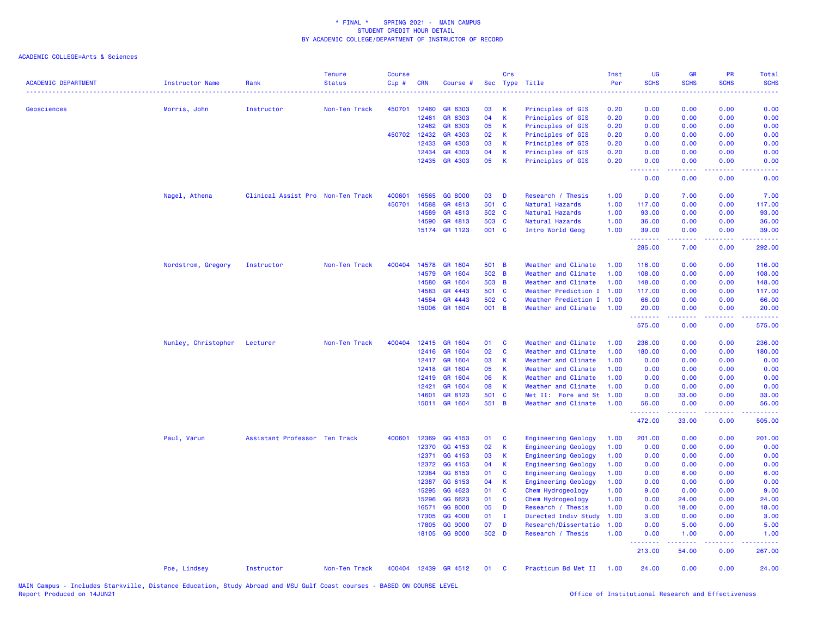| <b>ACADEMIC DEPARTMENT</b> | Instructor Name     | Rank                              | <b>Tenure</b><br><b>Status</b> | <b>Course</b><br>Cip# | <b>CRN</b> | Course #                 |             | Crs            | Sec Type Title                            | Inst<br>Per  | UG<br><b>SCHS</b>  | <b>GR</b><br><b>SCHS</b> | <b>PR</b><br><b>SCHS</b>            | Total<br><b>SCHS</b> |
|----------------------------|---------------------|-----------------------------------|--------------------------------|-----------------------|------------|--------------------------|-------------|----------------|-------------------------------------------|--------------|--------------------|--------------------------|-------------------------------------|----------------------|
| <b>Geosciences</b>         |                     | Instructor                        | Non-Ten Track                  | 450701                | 12460      | GR 6303                  | 03          | K              | Principles of GIS                         | 0.20         | 0.00               | 0.00                     | 0.00                                | 0.00                 |
|                            | Morris, John        |                                   |                                |                       | 12461      | GR 6303                  | 04          | K              | Principles of GIS                         | 0.20         | 0.00               | 0.00                     | 0.00                                | 0.00                 |
|                            |                     |                                   |                                |                       | 12462      | GR 6303                  | 05          | $\mathsf{K}$   | Principles of GIS                         | 0.20         | 0.00               | 0.00                     | 0.00                                | 0.00                 |
|                            |                     |                                   |                                | 450702                | 12432      | GR 4303                  | 02          | K              | Principles of GIS                         | 0.20         | 0.00               | 0.00                     | 0.00                                | 0.00                 |
|                            |                     |                                   |                                |                       | 12433      | GR 4303                  | 03          | K              | Principles of GIS                         | 0.20         | 0.00               | 0.00                     | 0.00                                | 0.00                 |
|                            |                     |                                   |                                |                       | 12434      | GR 4303                  | 04          | $\mathsf K$    | Principles of GIS                         | 0.20         | 0.00               | 0.00                     | 0.00                                | 0.00                 |
|                            |                     |                                   |                                |                       | 12435      | GR 4303                  | 05          | $\mathbf{K}$   | Principles of GIS                         | 0.20         | 0.00               | 0.00                     | 0.00<br>بالمحام                     | 0.00                 |
|                            |                     |                                   |                                |                       |            |                          |             |                |                                           |              | .<br>0.00          | بالأباد<br>0.00          | 0.00                                | 0.00                 |
|                            | Nagel, Athena       | Clinical Assist Pro Non-Ten Track |                                | 400601                | 16565      | GG 8000                  | 03          | $\blacksquare$ | Research / Thesis                         | 1.00         | 0.00               | 7.00                     | 0.00                                | 7.00                 |
|                            |                     |                                   |                                | 450701                | 14588      | GR 4813                  | 501 C       |                | Natural Hazards                           | 1.00         | 117.00             | 0.00                     | 0.00                                | 117.00               |
|                            |                     |                                   |                                |                       | 14589      | GR 4813                  | 502 C       |                | Natural Hazards                           | 1.00         | 93.00              | 0.00                     | 0.00                                | 93.00                |
|                            |                     |                                   |                                |                       | 14590      | GR 4813                  | 503 C       |                | Natural Hazards                           | 1.00         | 36.00              | 0.00                     | 0.00                                | 36.00                |
|                            |                     |                                   |                                |                       | 15174      | GR 1123                  | 001 C       |                | Intro World Geog                          | 1.00         | 39.00<br><u>.</u>  | 0.00<br>.                | 0.00<br>$\sim$ $\sim$ $\sim$ $\sim$ | 39.00<br>.           |
|                            |                     |                                   |                                |                       |            |                          |             |                |                                           |              | 285.00             | 7.00                     | 0.00                                | 292.00               |
|                            | Nordstrom, Gregory  | Instructor                        | Non-Ten Track                  | 400404                | 14578      | GR 1604                  | 501 B       |                | Weather and Climate                       | 1.00         | 116.00             | 0.00                     | 0.00                                | 116.00               |
|                            |                     |                                   |                                |                       | 14579      | GR 1604                  | 502 B       |                | Weather and Climate                       | 1.00         | 108.00             | 0.00                     | 0.00                                | 108.00               |
|                            |                     |                                   |                                |                       | 14580      | GR 1604                  | 503 B       |                | Weather and Climate                       | 1.00         | 148.00             | 0.00                     | 0.00                                | 148.00               |
|                            |                     |                                   |                                |                       | 14583      | GR 4443                  | 501 C       |                | Weather Prediction I 1.00                 |              | 117.00             | 0.00                     | 0.00                                | 117.00               |
|                            |                     |                                   |                                |                       | 14584      | GR 4443                  | 502 C       |                | Weather Prediction I 1.00                 |              | 66.00              | 0.00                     | 0.00                                | 66.00                |
|                            |                     |                                   |                                |                       | 15006      | GR 1604                  | 001 B       |                | Weather and Climate                       | 1.00         | 20.00              | 0.00                     | 0.00                                | 20.00                |
|                            |                     |                                   |                                |                       |            |                          |             |                |                                           |              | --------<br>575.00 | $- - - - -$<br>0.00      | .<br>0.00                           | .<br>575.00          |
|                            | Nunley, Christopher | Lecturer                          | Non-Ten Track                  | 400404                | 12415      | GR 1604                  | 01          | <b>C</b>       | Weather and Climate                       | 1.00         | 236.00             | 0.00                     | 0.00                                | 236.00               |
|                            |                     |                                   |                                |                       | 12416      | GR 1604                  | 02          | <b>C</b>       | Weather and Climate                       | 1.00         | 180.00             | 0.00                     | 0.00                                | 180.00               |
|                            |                     |                                   |                                |                       | 12417      | GR 1604                  | 03          | K              | Weather and Climate                       | 1.00         | 0.00               | 0.00                     | 0.00                                | 0.00                 |
|                            |                     |                                   |                                |                       | 12418      | GR 1604                  | 05          | K              | Weather and Climate                       | 1.00         | 0.00               | 0.00                     | 0.00                                | 0.00                 |
|                            |                     |                                   |                                |                       | 12419      | GR 1604                  | 06          | $\mathbf{K}$   | Weather and Climate                       | 1.00         | 0.00               | 0.00                     | 0.00                                | 0.00                 |
|                            |                     |                                   |                                |                       | 12421      | GR 1604                  | 08          | K              | Weather and Climate                       | 1.00         | 0.00               | 0.00                     | 0.00                                | 0.00                 |
|                            |                     |                                   |                                |                       | 14601      | GR 8123                  | 501 C       |                | Met II: Fore and St                       | 1.00         | 0.00               | 33.00                    | 0.00                                | 33.00                |
|                            |                     |                                   |                                |                       |            | 15011 GR 1604            | 551 B       |                | Weather and Climate                       | 1.00         | 56.00<br>.         | 0.00<br>.                | 0.00<br>.                           | 56.00<br><u>.</u>    |
|                            |                     |                                   |                                |                       |            |                          |             |                |                                           |              | 472.00             | 33.00                    | 0.00                                | 505.00               |
|                            | Paul, Varun         | Assistant Professor Ten Track     |                                | 400601                | 12369      | GG 4153                  | 01          | <b>C</b>       | Engineering Geology                       | 1.00         | 201.00             | 0.00                     | 0.00                                | 201.00               |
|                            |                     |                                   |                                |                       | 12370      | GG 4153                  | 02          | K              | <b>Engineering Geology</b>                | 1.00         | 0.00               | 0.00                     | 0.00                                | 0.00                 |
|                            |                     |                                   |                                |                       | 12371      | GG 4153                  | 03          | <b>K</b>       | <b>Engineering Geology</b>                | 1.00         | 0.00               | 0.00                     | 0.00                                | 0.00                 |
|                            |                     |                                   |                                |                       | 12372      | GG 4153                  | 04          | $\mathbf{K}$   | <b>Engineering Geology</b>                | 1.00         | 0.00               | 0.00                     | 0.00                                | 0.00                 |
|                            |                     |                                   |                                |                       | 12384      | GG 6153                  | 01          | <b>C</b>       | <b>Engineering Geology</b>                | 1.00         | 0.00               | 6.00                     | 0.00                                | 6.00                 |
|                            |                     |                                   |                                |                       | 12387      | GG 6153                  | 04          | K              | <b>Engineering Geology</b>                | 1.00         | 0.00               | 0.00                     | 0.00                                | 0.00                 |
|                            |                     |                                   |                                |                       | 15295      | GG 4623                  | 01          | <b>C</b>       | Chem Hydrogeology                         | 1.00         | 9.00               | 0.00                     | 0.00                                | 9.00                 |
|                            |                     |                                   |                                |                       | 15296      | GG 6623                  | 01          | <b>C</b>       | Chem Hydrogeology                         | 1.00         | 0.00               | 24.00                    | 0.00                                | 24.00                |
|                            |                     |                                   |                                |                       | 16571      | GG 8000                  | 05          | D              | Research / Thesis                         | 1.00         | 0.00               | 18.00                    | 0.00                                | 18.00                |
|                            |                     |                                   |                                |                       | 17305      | GG 4000                  | 01          | $\mathbf{I}$   | Directed Indiv Study                      | 1.00         | 3.00               | 0.00                     | 0.00                                | 3.00                 |
|                            |                     |                                   |                                |                       | 17805      | GG 9000<br>18105 GG 8000 | 07<br>502 D | D              | Research/Dissertatio<br>Research / Thesis | 1.00<br>1.00 | 0.00<br>0.00       | 5.00<br>1.00             | 0.00<br>0.00                        | 5.00<br>1.00         |
|                            |                     |                                   |                                |                       |            |                          |             |                |                                           |              | 213.00             | 54.00                    | 0.00                                | 267.00               |
|                            |                     |                                   |                                |                       |            |                          |             |                |                                           |              |                    |                          |                                     |                      |
|                            | Poe, Lindsey        | Instructor                        | Non-Ten Track                  |                       |            | 400404 12439 GR 4512     | 01          | $\mathbf{C}$   | Practicum Bd Met II 1.00                  |              | 24.00              | 0.00                     | 0.00                                | 24.00                |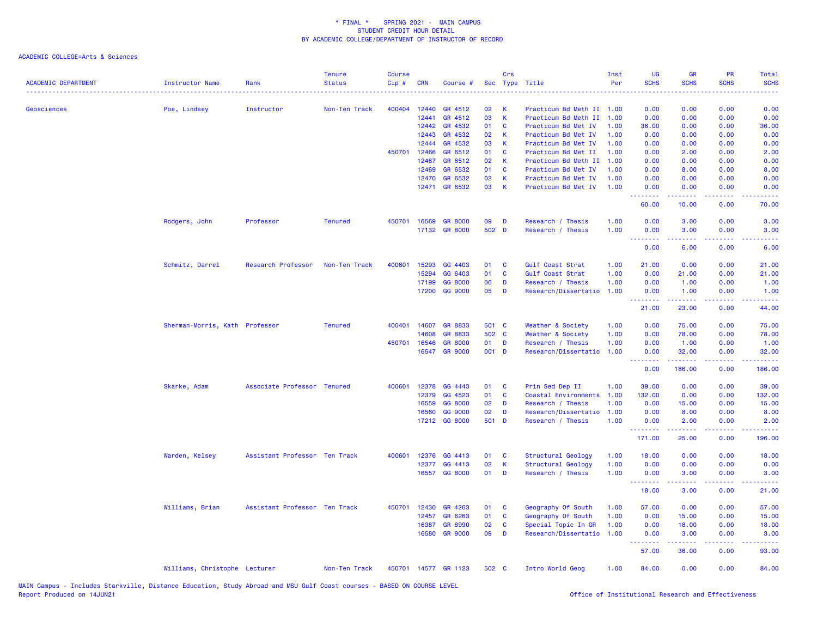| <b>ACADEMIC DEPARTMENT</b> | <b>Instructor Name</b>         | Rank                          | <b>Tenure</b><br><b>Status</b> | <b>Course</b><br>Cip# | <b>CRN</b> | Course #             |       | Crs          | Sec Type Title            | Inst<br>Per | UG<br><b>SCHS</b> | <b>GR</b><br><b>SCHS</b>                   | PR<br><b>SCHS</b>                                                                                      | Total<br><b>SCHS</b>                                                                                                               |
|----------------------------|--------------------------------|-------------------------------|--------------------------------|-----------------------|------------|----------------------|-------|--------------|---------------------------|-------------|-------------------|--------------------------------------------|--------------------------------------------------------------------------------------------------------|------------------------------------------------------------------------------------------------------------------------------------|
|                            |                                |                               |                                |                       |            |                      |       |              |                           |             |                   |                                            |                                                                                                        |                                                                                                                                    |
| Geosciences                | Poe, Lindsey                   | Instructor                    | Non-Ten Track                  | 400404                | 12440      | GR 4512              | 02    | -K           | Practicum Bd Meth II 1.00 |             | 0.00              | 0.00                                       | 0.00                                                                                                   | 0.00                                                                                                                               |
|                            |                                |                               |                                |                       | 12441      | GR 4512              | 03    | $\mathsf{K}$ | Practicum Bd Meth II      | 1.00        | 0.00              | 0.00                                       | 0.00                                                                                                   | 0.00                                                                                                                               |
|                            |                                |                               |                                |                       | 12442      | GR 4532              | 01    | <b>C</b>     | Practicum Bd Met IV       | 1.00        | 36.00             | 0.00                                       | 0.00                                                                                                   | 36.00                                                                                                                              |
|                            |                                |                               |                                |                       | 12443      | GR 4532              | 02    | -K           | Practicum Bd Met IV       | 1.00        | 0.00              | 0.00                                       | 0.00                                                                                                   | 0.00                                                                                                                               |
|                            |                                |                               |                                |                       | 12444      | GR 4532              | 03    | -K           | Practicum Bd Met IV       | 1.00        | 0.00              | 0.00                                       | 0.00                                                                                                   | 0.00                                                                                                                               |
|                            |                                |                               |                                | 450701                | 12466      | GR 6512              | 01    | <b>C</b>     | Practicum Bd Met II       | 1.00        | 0.00              | 2.00                                       | 0.00                                                                                                   | 2.00                                                                                                                               |
|                            |                                |                               |                                |                       | 12467      | GR 6512              | 02    | K            | Practicum Bd Meth II 1.00 |             | 0.00              | 0.00                                       | 0.00                                                                                                   | 0.00                                                                                                                               |
|                            |                                |                               |                                |                       | 12469      | GR 6532              | 01    | <b>C</b>     | Practicum Bd Met IV       | 1.00        | 0.00              | 8.00                                       | 0.00                                                                                                   | 8.00                                                                                                                               |
|                            |                                |                               |                                |                       | 12470      | GR 6532              | 02    | K            | Practicum Bd Met IV       | 1.00        | 0.00              | 0.00                                       | 0.00                                                                                                   | 0.00                                                                                                                               |
|                            |                                |                               |                                |                       | 12471      | GR 6532              | 03    | $\mathsf{K}$ | Practicum Bd Met IV       | 1.00        | 0.00<br>.         | 0.00<br>.                                  | 0.00<br>$\frac{1}{2} \left( \frac{1}{2} \right) \left( \frac{1}{2} \right) \left( \frac{1}{2} \right)$ | 0.00                                                                                                                               |
|                            |                                |                               |                                |                       |            |                      |       |              |                           |             | 60.00             | 10.00                                      | 0.00                                                                                                   | 70.00                                                                                                                              |
|                            | Rodgers, John                  | Professor                     | <b>Tenured</b>                 | 450701                | 16569      | <b>GR 8000</b>       | 09    | D            | Research / Thesis         | 1.00        | 0.00              | 3.00                                       | 0.00                                                                                                   | 3.00                                                                                                                               |
|                            |                                |                               |                                |                       | 17132      | <b>GR 8000</b>       | 502 D |              | Research / Thesis         | 1.00        | 0.00<br><u>.</u>  | 3.00<br>.                                  | 0.00<br>الدامات ب                                                                                      | 3.00<br>.                                                                                                                          |
|                            |                                |                               |                                |                       |            |                      |       |              |                           |             | 0.00              | 6.00                                       | 0.00                                                                                                   | 6.00                                                                                                                               |
|                            | Schmitz, Darrel                | Research Professor            | Non-Ten Track                  | 400601                | 15293      | GG 4403              | 01    | $\mathbf{C}$ | Gulf Coast Strat          | 1.00        | 21.00             | 0.00                                       | 0.00                                                                                                   | 21.00                                                                                                                              |
|                            |                                |                               |                                |                       | 15294      | GG 6403              | 01    | $\mathbf{C}$ | Gulf Coast Strat          | 1.00        | 0.00              | 21.00                                      | 0.00                                                                                                   | 21.00                                                                                                                              |
|                            |                                |                               |                                |                       | 17199      | GG 8000              | 06    | D            | Research / Thesis         | 1.00        | 0.00              | 1.00                                       | 0.00                                                                                                   | 1.00                                                                                                                               |
|                            |                                |                               |                                |                       | 17200      | GG 9000              | 05    | D            | Research/Dissertatio      | 1.00        | 0.00              | 1.00                                       | 0.00                                                                                                   | 1.00                                                                                                                               |
|                            |                                |                               |                                |                       |            |                      |       |              |                           |             | .<br>21.00        | $\omega = \omega \omega + \omega$<br>23.00 | $\frac{1}{2} \left( \frac{1}{2} \right) \left( \frac{1}{2} \right) \left( \frac{1}{2} \right)$<br>0.00 | $\frac{1}{2} \left( \frac{1}{2} \right) \left( \frac{1}{2} \right) \left( \frac{1}{2} \right) \left( \frac{1}{2} \right)$<br>44.00 |
|                            | Sherman-Morris, Kath Professor |                               | <b>Tenured</b>                 | 400401                | 14607      | GR 8833              | 501 C |              | Weather & Society         | 1.00        | 0.00              | 75.00                                      | 0.00                                                                                                   | 75.00                                                                                                                              |
|                            |                                |                               |                                |                       | 14608      | GR 8833              | 502 C |              | Weather & Society         | 1.00        | 0.00              | 78.00                                      | 0.00                                                                                                   | 78.00                                                                                                                              |
|                            |                                |                               |                                | 450701                | 16546      | <b>GR 8000</b>       | 01    | D            | Research / Thesis         | 1.00        | 0.00              | 1.00                                       | 0.00                                                                                                   | 1.00                                                                                                                               |
|                            |                                |                               |                                |                       | 16547      | <b>GR 9000</b>       | 001 D |              |                           |             |                   |                                            |                                                                                                        |                                                                                                                                    |
|                            |                                |                               |                                |                       |            |                      |       |              | Research/Dissertatio 1.00 |             | 0.00<br>.         | 32.00<br>.                                 | 0.00<br>.                                                                                              | 32.00<br>.                                                                                                                         |
|                            |                                |                               |                                |                       |            |                      |       |              |                           |             | 0.00              | 186.00                                     | 0.00                                                                                                   | 186.00                                                                                                                             |
|                            | Skarke, Adam                   | Associate Professor Tenured   |                                | 400601                | 12378      | GG 4443              | 01    | $\mathbf{C}$ | Prin Sed Dep II           | 1.00        | 39.00             | 0.00                                       | 0.00                                                                                                   | 39.00                                                                                                                              |
|                            |                                |                               |                                |                       | 12379      | GG 4523              | 01    | <b>C</b>     | Coastal Environments      | 1.00        | 132.00            | 0.00                                       | 0.00                                                                                                   | 132.00                                                                                                                             |
|                            |                                |                               |                                |                       | 16559      | GG 8000              | 02    | D            | Research / Thesis         | 1.00        | 0.00              | 15.00                                      | 0.00                                                                                                   | 15.00                                                                                                                              |
|                            |                                |                               |                                |                       | 16560      | GG 9000              | 02    | D            | Research/Dissertatio      | 1.00        | 0.00              | 8.00                                       | 0.00                                                                                                   | 8.00                                                                                                                               |
|                            |                                |                               |                                |                       |            | 17212 GG 8000        | 501 D |              | Research / Thesis         | 1.00        | 0.00<br>.         | 2.00<br>-----                              | 0.00<br>الدامات ب                                                                                      | 2.00<br>.                                                                                                                          |
|                            |                                |                               |                                |                       |            |                      |       |              |                           |             | 171.00            | 25.00                                      | 0.00                                                                                                   | 196.00                                                                                                                             |
|                            | Warden, Kelsey                 | Assistant Professor Ten Track |                                | 400601                | 12376      | GG 4413              | 01    | <b>C</b>     | Structural Geology        | 1.00        | 18.00             | 0.00                                       | 0.00                                                                                                   | 18.00                                                                                                                              |
|                            |                                |                               |                                |                       | 12377      | GG 4413              | 02    | K            | Structural Geology        | 1.00        | 0.00              | 0.00                                       | 0.00                                                                                                   | 0.00                                                                                                                               |
|                            |                                |                               |                                |                       |            | 16557 GG 8000        | 01    | D            | Research / Thesis         | 1.00        | 0.00<br>.         | 3.00                                       | 0.00                                                                                                   | 3.00                                                                                                                               |
|                            |                                |                               |                                |                       |            |                      |       |              |                           |             | 18.00             | 3.00                                       | 0.00                                                                                                   | 21.00                                                                                                                              |
|                            | Williams, Brian                | Assistant Professor Ten Track |                                | 450701                | 12430      | GR 4263              | 01    | C            | Geography Of South        | 1.00        | 57.00             | 0.00                                       | 0.00                                                                                                   | 57.00                                                                                                                              |
|                            |                                |                               |                                |                       | 12457      | GR 6263              | 01    | $\mathbf{C}$ | Geography Of South        | 1.00        | 0.00              | 15.00                                      | 0.00                                                                                                   | 15.00                                                                                                                              |
|                            |                                |                               |                                |                       | 16387      | GR 8990              | 02    | $\mathbf{C}$ | Special Topic In GR       | 1.00        | 0.00              | 18.00                                      | 0.00                                                                                                   | 18.00                                                                                                                              |
|                            |                                |                               |                                |                       | 16580      | <b>GR 9000</b>       | 09    | D            | Research/Dissertatio      | 1.00        | 0.00<br>.         | 3.00                                       | 0.00                                                                                                   | 3.00<br>$\cdots$                                                                                                                   |
|                            |                                |                               |                                |                       |            |                      |       |              |                           |             | 57.00             | 36.00                                      | 0.00                                                                                                   | 93.00                                                                                                                              |
|                            | Williams, Christophe Lecturer  |                               | Non-Ten Track                  |                       |            | 450701 14577 GR 1123 | 502 C |              | Intro World Geog          | 1.00        | 84.00             | 0.00                                       | 0.00                                                                                                   | 84.00                                                                                                                              |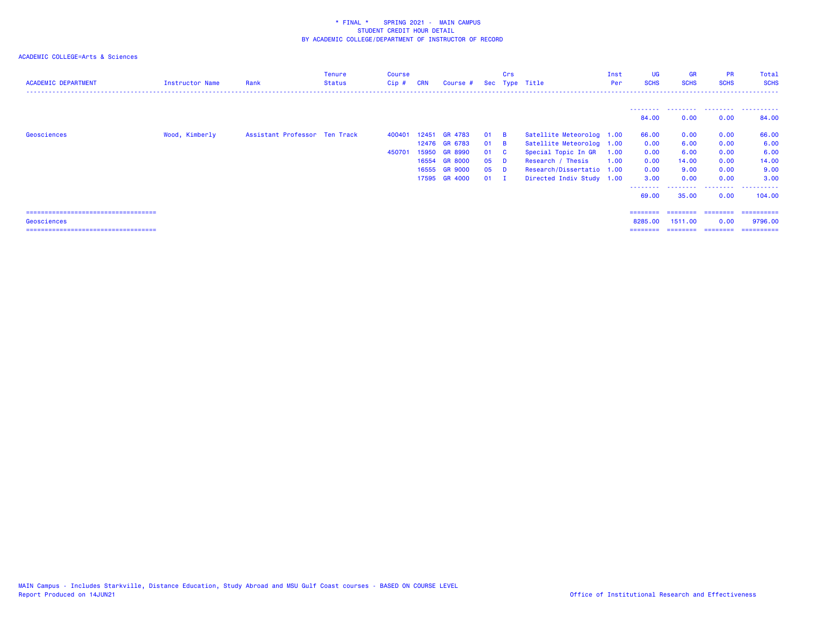| <b>ACADEMIC DEPARTMENT</b>             | Instructor Name | Rank                          | Tenure<br><b>Status</b> | Course<br>$Cip$ # | <b>CRN</b> | Course #      |      | Crs            | Sec Type Title            | Inst<br>Per | UG<br><b>SCHS</b> | <b>GR</b><br><b>SCHS</b> | <b>PR</b><br><b>SCHS</b> | Total<br><b>SCHS</b> |
|----------------------------------------|-----------------|-------------------------------|-------------------------|-------------------|------------|---------------|------|----------------|---------------------------|-------------|-------------------|--------------------------|--------------------------|----------------------|
|                                        |                 |                               |                         |                   |            |               |      |                |                           |             | ---------         | .                        | .                        | .                    |
|                                        |                 |                               |                         |                   |            |               |      |                |                           |             | 84.00             | 0.00                     | 0.00                     | 84.00                |
| Geosciences                            | Wood, Kimberly  | Assistant Professor Ten Track |                         | 400401            | 12451      | GR 4783       | 01   | <b>B</b>       | Satellite Meteorolog 1.00 |             | 66.00             | 0.00                     | 0.00                     | 66.00                |
|                                        |                 |                               |                         |                   |            | 12476 GR 6783 | 01   | <b>B</b>       | Satellite Meteorolog 1.00 |             | 0.00              | 6.00                     | 0.00                     | 6.00                 |
|                                        |                 |                               |                         | 450701            |            | 15950 GR 8990 | 01 C |                | Special Topic In GR       | 1.00        | 0.00              | 6.00                     | 0.00                     | 6.00                 |
|                                        |                 |                               |                         |                   |            | 16554 GR 8000 | 05   | D.             | Research / Thesis         | 1.00        | 0.00              | 14.00                    | 0.00                     | 14.00                |
|                                        |                 |                               |                         |                   |            | 16555 GR 9000 | 05   | - D            | Research/Dissertatio 1.00 |             | 0.00              | 9.00                     | 0.00                     | 9.00                 |
|                                        |                 |                               |                         |                   |            | 17595 GR 4000 | 01   | $\blacksquare$ | Directed Indiv Study 1.00 |             | 3.00              | 0.00                     | 0.00                     | 3.00                 |
|                                        |                 |                               |                         |                   |            |               |      |                |                           |             | --------          |                          | .                        | .                    |
|                                        |                 |                               |                         |                   |            |               |      |                |                           |             | 69.00             | 35.00                    | 0.00                     | 104,00               |
| ====================================== |                 |                               |                         |                   |            |               |      |                |                           |             | ========          | ========                 | ---------                | ==========           |
|                                        |                 |                               |                         |                   |            |               |      |                |                           |             |                   |                          |                          |                      |
| Geosciences                            |                 |                               |                         |                   |            |               |      |                |                           |             | 8285.00           | 1511.00                  | 0.00                     | 9796.00              |
| =====================================  |                 |                               |                         |                   |            |               |      |                |                           |             | ========          | ========                 | ========                 | ==========           |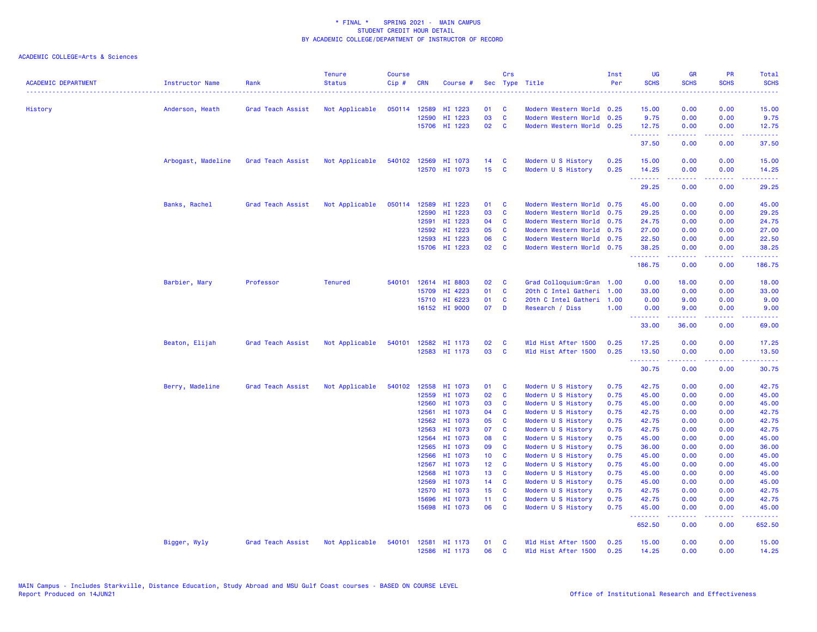| <b>ACADEMIC DEPARTMENT</b> | Instructor Name    | Rank              | <b>Tenure</b><br><b>Status</b> | <b>Course</b><br>Cip# | <b>CRN</b>   | Course #      |                 | Crs          | Sec Type Title            | Inst<br>Per | <b>UG</b><br><b>SCHS</b> | <b>GR</b><br><b>SCHS</b>                                                                                                                                     | <b>PR</b><br><b>SCHS</b> | Total<br><b>SCHS</b><br>$\sim$ $\sim$ $\sim$ $\sim$ |
|----------------------------|--------------------|-------------------|--------------------------------|-----------------------|--------------|---------------|-----------------|--------------|---------------------------|-------------|--------------------------|--------------------------------------------------------------------------------------------------------------------------------------------------------------|--------------------------|-----------------------------------------------------|
| History                    | Anderson, Heath    | Grad Teach Assist | Not Applicable                 |                       | 050114 12589 | HI 1223       | 01              | C            | Modern Western World 0.25 |             | 15.00                    | 0.00                                                                                                                                                         | 0.00                     | 15.00                                               |
|                            |                    |                   |                                |                       | 12590        | HI 1223       | 03              | $\mathbf c$  | Modern Western World 0.25 |             | 9.75                     | 0.00                                                                                                                                                         | 0.00                     | 9.75                                                |
|                            |                    |                   |                                |                       | 15706        | HI 1223       | 02              | C            | Modern Western World 0.25 |             | 12.75<br>.               | 0.00                                                                                                                                                         | 0.00                     | 12.75                                               |
|                            |                    |                   |                                |                       |              |               |                 |              |                           |             | 37.50                    | $\frac{1}{2} \left( \frac{1}{2} \right) \left( \frac{1}{2} \right) \left( \frac{1}{2} \right) \left( \frac{1}{2} \right) \left( \frac{1}{2} \right)$<br>0.00 | .<br>0.00                | د د د د<br>37.50                                    |
|                            | Arbogast, Madeline | Grad Teach Assist | Not Applicable                 |                       | 540102 12569 | HI 1073       | 14              | C            | Modern U S History        | 0.25        | 15.00                    | 0.00                                                                                                                                                         | 0.00                     | 15.00                                               |
|                            |                    |                   |                                |                       |              | 12570 HI 1073 | 15              | C            | Modern U S History        | 0.25        | 14.25<br>.               | 0.00<br>-----                                                                                                                                                | 0.00<br>بالأباب          | 14.25<br>.                                          |
|                            |                    |                   |                                |                       |              |               |                 |              |                           |             | 29.25                    | 0.00                                                                                                                                                         | 0.00                     | 29.25                                               |
|                            | Banks, Rachel      | Grad Teach Assist | Not Applicable                 | 050114                | 12589        | HI 1223       | 01              | <b>C</b>     | Modern Western World      | 0.75        | 45.00                    | 0.00                                                                                                                                                         | 0.00                     | 45.00                                               |
|                            |                    |                   |                                |                       | 12590        | HI 1223       | 03              | C            | Modern Western World      | 0.75        | 29.25                    | 0.00                                                                                                                                                         | 0.00                     | 29.25                                               |
|                            |                    |                   |                                |                       | 12591        | HI 1223       | 04              | C            | Modern Western World 0.75 |             | 24.75                    | 0.00                                                                                                                                                         | 0.00                     | 24.75                                               |
|                            |                    |                   |                                |                       | 12592        | HI 1223       | 05              | C            | Modern Western World 0.75 |             | 27.00                    | 0.00                                                                                                                                                         | 0.00                     | 27.00                                               |
|                            |                    |                   |                                |                       | 12593        | HI 1223       | 06              | <b>C</b>     | Modern Western World      | 0.75        | 22.50                    | 0.00                                                                                                                                                         | 0.00                     | 22.50                                               |
|                            |                    |                   |                                |                       | 15706        | HI 1223       | 02              | C            | Modern Western World 0.75 |             | 38.25<br>.               | 0.00<br>$- - - - -$                                                                                                                                          | 0.00<br>.                | 38.25<br>.                                          |
|                            |                    |                   |                                |                       |              |               |                 |              |                           |             | 186.75                   | 0.00                                                                                                                                                         | 0.00                     | 186.75                                              |
|                            | Barbier, Mary      | Professor         | <b>Tenured</b>                 | 540101                | 12614        | HI 8803       | 02              | C            | Grad Colloquium: Gran     | 1.00        | 0.00                     | 18.00                                                                                                                                                        | 0.00                     | 18.00                                               |
|                            |                    |                   |                                |                       | 15709        | HI 4223       | 01              | C            | 20th C Intel Gatheri      | 1.00        | 33.00                    | 0.00                                                                                                                                                         | 0.00                     | 33.00                                               |
|                            |                    |                   |                                |                       | 15710        | HI 6223       | 01              | C            | 20th C Intel Gatheri      | 1.00        | 0.00                     | 9.00                                                                                                                                                         | 0.00                     | 9.00                                                |
|                            |                    |                   |                                |                       |              | 16152 HI 9000 | 07              | D            | Research / Diss           | 1.00        | 0.00<br>.                | 9.00<br>$\frac{1}{2} \left( \frac{1}{2} \right) \left( \frac{1}{2} \right) \left( \frac{1}{2} \right) \left( \frac{1}{2} \right) \left( \frac{1}{2} \right)$ | 0.00<br>.                | 9.00<br>المتمامين                                   |
|                            |                    |                   |                                |                       |              |               |                 |              |                           |             | 33.00                    | 36.00                                                                                                                                                        | 0.00                     | 69.00                                               |
|                            | Beaton, Elijah     | Grad Teach Assist | Not Applicable                 | 540101                | 12582        | HI 1173       | 02              | C            | Wld Hist After 1500       | 0.25        | 17.25                    | 0.00                                                                                                                                                         | 0.00                     | 17.25                                               |
|                            |                    |                   |                                |                       | 12583        | HI 1173       | 03              | $\mathbf{C}$ | Wld Hist After 1500       | 0.25        | 13.50<br>.               | 0.00<br>.                                                                                                                                                    | 0.00<br>د د د د          | 13.50<br>المتمام المالي                             |
|                            |                    |                   |                                |                       |              |               |                 |              |                           |             | 30.75                    | 0.00                                                                                                                                                         | 0.00                     | 30.75                                               |
|                            | Berry, Madeline    | Grad Teach Assist | Not Applicable                 | 540102                | 12558        | HI 1073       | 01              | <b>C</b>     | Modern U S History        | 0.75        | 42.75                    | 0.00                                                                                                                                                         | 0.00                     | 42.75                                               |
|                            |                    |                   |                                |                       | 12559        | HI 1073       | 02              | C            | Modern U S History        | 0.75        | 45.00                    | 0.00                                                                                                                                                         | 0.00                     | 45.00                                               |
|                            |                    |                   |                                |                       | 12560        | HI 1073       | 03              | C            | Modern U S History        | 0.75        | 45.00                    | 0.00                                                                                                                                                         | 0.00                     | 45.00                                               |
|                            |                    |                   |                                |                       | 12561        | HI 1073       | 04              | <b>C</b>     | Modern U S History        | 0.75        | 42.75                    | 0.00                                                                                                                                                         | 0.00                     | 42.75                                               |
|                            |                    |                   |                                |                       | 12562        | HI 1073       | 05              | C            | Modern U S History        | 0.75        | 42.75                    | 0.00                                                                                                                                                         | 0.00                     | 42.75                                               |
|                            |                    |                   |                                |                       | 12563        | HI 1073       | 07              | C            | Modern U S History        | 0.75        | 42.75                    | 0.00                                                                                                                                                         | 0.00                     | 42.75                                               |
|                            |                    |                   |                                |                       | 12564        | HI 1073       | 08              | C            | Modern U S History        | 0.75        | 45.00                    | 0.00                                                                                                                                                         | 0.00                     | 45.00                                               |
|                            |                    |                   |                                |                       | 12565        | HI 1073       | 09              | C            | Modern U S History        | 0.75        | 36.00                    | 0.00                                                                                                                                                         | 0.00                     | 36.00                                               |
|                            |                    |                   |                                |                       | 12566        | HI 1073       | 10 <sub>1</sub> | C            | Modern U S History        | 0.75        | 45.00                    | 0.00                                                                                                                                                         | 0.00                     | 45.00                                               |
|                            |                    |                   |                                |                       | 12567        | HI 1073       | 12 <sup>°</sup> | <b>C</b>     | Modern U S History        | 0.75        | 45.00                    | 0.00                                                                                                                                                         | 0.00                     | 45.00                                               |
|                            |                    |                   |                                |                       | 12568        | HI 1073       | 13              | C            | Modern U S History        | 0.75        | 45.00                    | 0.00                                                                                                                                                         | 0.00                     | 45.00                                               |
|                            |                    |                   |                                |                       | 12569        | HI 1073       | 14              | C            | Modern U S History        | 0.75        | 45.00                    | 0.00                                                                                                                                                         | 0.00                     | 45.00                                               |
|                            |                    |                   |                                |                       | 12570        | HI 1073       | 15              | <b>C</b>     | Modern U S History        | 0.75        | 42.75                    | 0.00                                                                                                                                                         | 0.00                     | 42.75                                               |
|                            |                    |                   |                                |                       | 15696        | HI 1073       | 11 <sub>1</sub> | C            | Modern U S History        | 0.75        | 42.75                    | 0.00                                                                                                                                                         | 0.00                     | 42.75                                               |
|                            |                    |                   |                                |                       | 15698        | HI 1073       | 06              | $\mathbf{C}$ | Modern U S History        | 0.75        | 45.00<br>.               | 0.00<br>-----                                                                                                                                                | 0.00<br>المستبدة         | 45.00<br>.                                          |
|                            |                    |                   |                                |                       |              |               |                 |              |                           |             | 652.50                   | 0.00                                                                                                                                                         | 0.00                     | 652.50                                              |
|                            | Bigger, Wyly       | Grad Teach Assist | Not Applicable                 | 540101                | 12581        | HI 1173       | 01              | <b>C</b>     | Wld Hist After 1500       | 0.25        | 15.00                    | 0.00                                                                                                                                                         | 0.00                     | 15.00                                               |
|                            |                    |                   |                                |                       |              | 12586 HI 1173 | 06              | $\mathbf{c}$ | Wld Hist After 1500       | 0.25        | 14.25                    | 0.00                                                                                                                                                         | 0.00                     | 14.25                                               |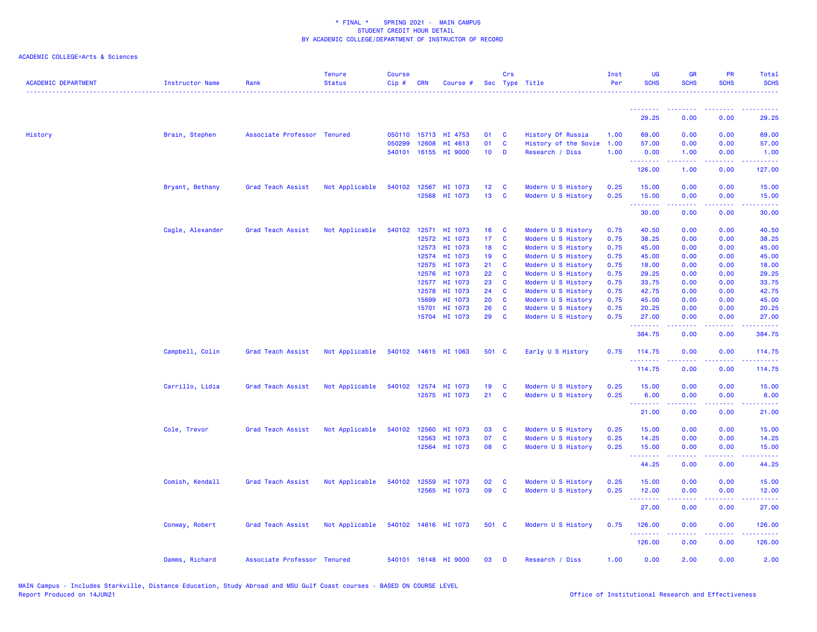| <b>ACADEMIC DEPARTMENT</b> | <b>Instructor Name</b> | Rank                        | <b>Tenure</b><br><b>Status</b> | <b>Course</b><br>Cip# | <b>CRN</b>     | Course #             |                 | Crs          | Sec Type Title                           | Inst<br>Per  | UG<br><b>SCHS</b>                | <b>GR</b><br><b>SCHS</b>                                                                                                                                     | PR<br><b>SCHS</b> | Total<br><b>SCHS</b> |
|----------------------------|------------------------|-----------------------------|--------------------------------|-----------------------|----------------|----------------------|-----------------|--------------|------------------------------------------|--------------|----------------------------------|--------------------------------------------------------------------------------------------------------------------------------------------------------------|-------------------|----------------------|
|                            |                        |                             |                                |                       |                |                      |                 |              |                                          |              | <u> - - - - - - - -</u>          |                                                                                                                                                              |                   |                      |
|                            |                        |                             |                                |                       |                |                      |                 |              |                                          |              | 29.25                            | 0.00                                                                                                                                                         | 0.00              | 29.25                |
| History                    | Brain, Stephen         | Associate Professor Tenured |                                |                       | 050110 15713   | HI 4753              | 01              | C            | History Of Russia                        | 1.00         | 69.00                            | 0.00                                                                                                                                                         | 0.00              | 69.00                |
|                            |                        |                             |                                | 050299                | 12608          | HI 4613              | 01              | C            | History of the Sovie                     | 1.00         | 57.00                            | 0.00                                                                                                                                                         | 0.00              | 57.00                |
|                            |                        |                             |                                |                       |                | 540101 16155 HI 9000 | 10 <sub>1</sub> | D            | Research / Diss                          | 1.00         | 0.00<br>.                        | 1.00<br>2.2.2.2.2                                                                                                                                            | 0.00<br>.         | 1.00<br>22222)       |
|                            |                        |                             |                                |                       |                |                      |                 |              |                                          |              | 126.00                           | 1.00                                                                                                                                                         | 0.00              | 127.00               |
|                            | Bryant, Bethany        | Grad Teach Assist           | Not Applicable                 |                       | 540102 12567   | HI 1073              | 12 <sub>2</sub> | C            | Modern U S History                       | 0.25         | 15.00                            | 0.00                                                                                                                                                         | 0.00              | 15.00                |
|                            |                        |                             |                                |                       | 12568          | HI 1073              | 13              | C            | Modern U S History                       | 0.25         | 15.00<br>.                       | 0.00<br>-----                                                                                                                                                | 0.00<br>المتحدث   | 15.00<br>.           |
|                            |                        |                             |                                |                       |                |                      |                 |              |                                          |              | 30.00                            | 0.00                                                                                                                                                         | 0.00              | 30.00                |
|                            | Cagle, Alexander       | Grad Teach Assist           | Not Applicable                 |                       |                | 540102 12571 HI 1073 | 16              | <b>C</b>     | Modern U S History                       | 0.75         | 40.50                            | 0.00                                                                                                                                                         | 0.00              | 40.50                |
|                            |                        |                             |                                |                       | 12572          | HI 1073              | 17 <sub>1</sub> | $\mathbf{C}$ | Modern U S History                       | 0.75         | 38.25                            | 0.00                                                                                                                                                         | 0.00              | 38.25                |
|                            |                        |                             |                                |                       | 12573          | HI 1073              | 18              | <b>C</b>     | Modern U S History                       | 0.75         | 45.00                            | 0.00                                                                                                                                                         | 0.00              | 45.00                |
|                            |                        |                             |                                |                       | 12574          | HI 1073              | 19              | C            | Modern U S History                       | 0.75         | 45.00                            | 0.00                                                                                                                                                         | 0.00              | 45.00                |
|                            |                        |                             |                                |                       | 12575          | HI 1073              | 21              | C            | Modern U S History                       | 0.75         | 18.00                            | 0.00                                                                                                                                                         | 0.00              | 18.00                |
|                            |                        |                             |                                |                       | 12576          | HI 1073              | 22              | C            | Modern U S History                       | 0.75         | 29.25                            | 0.00                                                                                                                                                         | 0.00              | 29.25                |
|                            |                        |                             |                                |                       | 12577          | HI 1073              | 23<br>24        | C<br>C       | Modern U S History                       | 0.75         | 33.75                            | 0.00                                                                                                                                                         | 0.00              | 33.75                |
|                            |                        |                             |                                |                       | 12578<br>15699 | HI 1073              | 20              | C            | Modern U S History                       | 0.75<br>0.75 | 42.75                            | 0.00                                                                                                                                                         | 0.00<br>0.00      | 42.75                |
|                            |                        |                             |                                |                       | 15701          | HI 1073<br>HI 1073   | 26              | C            | Modern U S History                       | 0.75         | 45.00<br>20.25                   | 0.00                                                                                                                                                         | 0.00              | 45.00                |
|                            |                        |                             |                                |                       |                | 15704 HI 1073        | 29              | C            | Modern U S History<br>Modern U S History | 0.75         | 27.00                            | 0.00<br>0.00                                                                                                                                                 | 0.00              | 20.25<br>27.00       |
|                            |                        |                             |                                |                       |                |                      |                 |              |                                          |              | . <u>.</u><br>384.75             | .<br>0.00                                                                                                                                                    | .<br>0.00         | .<br>384.75          |
|                            | Campbell, Colin        | Grad Teach Assist           | Not Applicable                 |                       |                | 540102 14615 HI 1063 | 501 C           |              | Early U S History                        | 0.75         | 114.75                           | 0.00                                                                                                                                                         | 0.00              | 114.75               |
|                            |                        |                             |                                |                       |                |                      |                 |              |                                          |              | .<br>114.75                      | $- - - - -$<br>0.00                                                                                                                                          | .<br>0.00         | .<br>114.75          |
|                            | Carrillo, Lidia        | Grad Teach Assist           | Not Applicable                 |                       |                | 540102 12574 HI 1073 | 19              | <b>C</b>     | Modern U S History                       | 0.25         | 15.00                            | 0.00                                                                                                                                                         | 0.00              | 15.00                |
|                            |                        |                             |                                |                       |                | 12575 HI 1073        | 21              | C            | Modern U S History                       | 0.25         | 6.00                             | 0.00                                                                                                                                                         | 0.00              | 6.00                 |
|                            |                        |                             |                                |                       |                |                      |                 |              |                                          |              | <u> - - - - - - - -</u><br>21.00 | .<br>0.00                                                                                                                                                    | .<br>0.00         | .<br>21.00           |
|                            | Cole, Trevor           | Grad Teach Assist           | Not Applicable                 |                       | 540102 12560   | HI 1073              | 03              | <b>C</b>     | Modern U S History                       | 0.25         | 15.00                            | 0.00                                                                                                                                                         | 0.00              | 15.00                |
|                            |                        |                             |                                |                       | 12563          | HI 1073              | 07              | C            | Modern U S History                       | 0.25         | 14.25                            | 0.00                                                                                                                                                         | 0.00              | 14.25                |
|                            |                        |                             |                                |                       | 12564          | HI 1073              | 08              | C            | Modern U S History                       | 0.25         | 15.00                            | 0.00                                                                                                                                                         | 0.00              | 15.00                |
|                            |                        |                             |                                |                       |                |                      |                 |              |                                          |              | .<br>44.25                       | $\frac{1}{2} \left( \frac{1}{2} \right) \left( \frac{1}{2} \right) \left( \frac{1}{2} \right) \left( \frac{1}{2} \right) \left( \frac{1}{2} \right)$<br>0.00 | .<br>0.00         | .<br>44.25           |
|                            | Comish, Kendall        | Grad Teach Assist           | Not Applicable                 |                       | 540102 12559   | HI 1073              | 02              | C            | Modern U S History                       | 0.25         | 15.00                            | 0.00                                                                                                                                                         | 0.00              | 15.00                |
|                            |                        |                             |                                |                       | 12565          | HI 1073              | 09              | $\mathbf c$  | Modern U S History                       | 0.25         | 12.00                            | 0.00                                                                                                                                                         | 0.00              | 12.00                |
|                            |                        |                             |                                |                       |                |                      |                 |              |                                          |              | .<br>27.00                       | -----<br>0.00                                                                                                                                                | .<br>0.00         | . <b>.</b><br>27.00  |
|                            | Conway, Robert         | Grad Teach Assist           | Not Applicable                 |                       |                | 540102 14616 HI 1073 | 501 C           |              | Modern U S History                       | 0.75         | 126.00                           | 0.00                                                                                                                                                         | 0.00              | 126.00               |
|                            |                        |                             |                                |                       |                |                      |                 |              |                                          |              | .<br>126.00                      | 2.2.2.2.2<br>0.00                                                                                                                                            | .<br>0.00         | 2.2222<br>126.00     |
|                            | Damms, Richard         | Associate Professor Tenured |                                |                       |                | 540101 16148 HI 9000 | 03              | D            | Research / Diss                          | 1.00         | 0.00                             | 2.00                                                                                                                                                         | 0.00              | 2.00                 |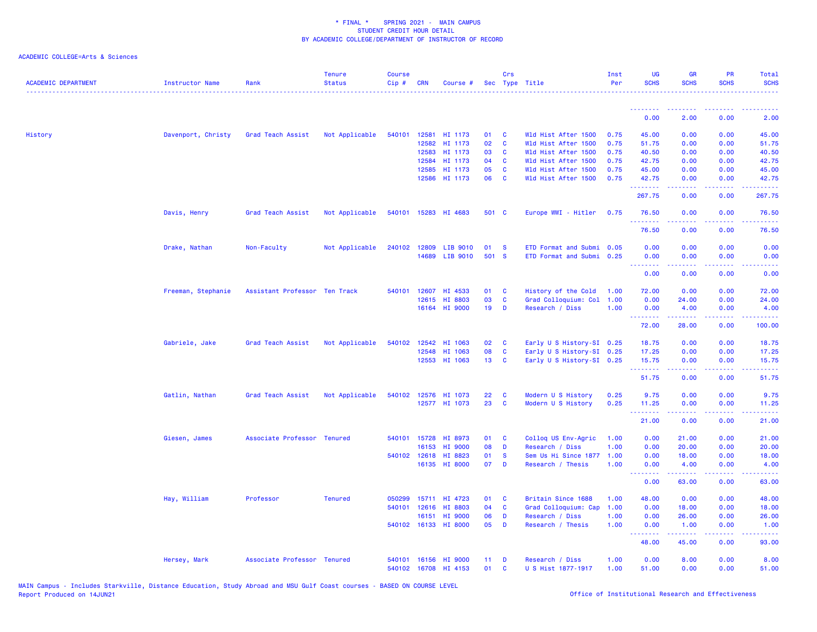| <b>ACADEMIC DEPARTMENT</b> | <b>Instructor Name</b> | Rank                          | <b>Tenure</b><br><b>Status</b> | <b>Course</b><br>Cip# | <b>CRN</b>   | Course #             |                 | Crs          | Sec Type Title            | Inst<br>Per | <b>UG</b><br><b>SCHS</b> | <b>GR</b><br><b>SCHS</b>                                                                                                                                      | PR<br><b>SCHS</b>                   | Total<br><b>SCHS</b>                 |
|----------------------------|------------------------|-------------------------------|--------------------------------|-----------------------|--------------|----------------------|-----------------|--------------|---------------------------|-------------|--------------------------|---------------------------------------------------------------------------------------------------------------------------------------------------------------|-------------------------------------|--------------------------------------|
|                            |                        |                               |                                |                       |              |                      |                 |              |                           |             |                          |                                                                                                                                                               |                                     |                                      |
|                            |                        |                               |                                |                       |              |                      |                 |              |                           |             | 0.00                     | 2.00                                                                                                                                                          | 0.00                                | 2.00                                 |
| History                    | Davenport, Christy     | Grad Teach Assist             | Not Applicable                 | 540101                | 12581        | HI 1173              | 01              | C            | Wld Hist After 1500       | 0.75        | 45.00                    | 0.00                                                                                                                                                          | 0.00                                | 45.00                                |
|                            |                        |                               |                                |                       | 12582        | HI 1173              | 02              | $\mathbf{C}$ | Wld Hist After 1500       | 0.75        | 51.75                    | 0.00                                                                                                                                                          | 0.00                                | 51.75                                |
|                            |                        |                               |                                |                       | 12583        | HI 1173              | 03              | C            | Wld Hist After 1500       | 0.75        | 40.50                    | 0.00                                                                                                                                                          | 0.00                                | 40.50                                |
|                            |                        |                               |                                |                       | 12584        | HI 1173              | 04              | C            | Wld Hist After 1500       | 0.75        | 42.75                    | 0.00                                                                                                                                                          | 0.00                                | 42.75                                |
|                            |                        |                               |                                |                       | 12585        | HI 1173              | 05              | C            | Wld Hist After 1500       | 0.75        | 45.00                    | 0.00                                                                                                                                                          | 0.00                                | 45.00                                |
|                            |                        |                               |                                |                       | 12586        | HI 1173              | 06              | C            | Wld Hist After 1500       | 0.75        | 42.75<br><u>.</u>        | 0.00<br><u>.</u>                                                                                                                                              | 0.00<br>.                           | 42.75<br>.                           |
|                            |                        |                               |                                |                       |              |                      |                 |              |                           |             | 267.75                   | 0.00                                                                                                                                                          | 0.00                                | 267.75                               |
|                            | Davis, Henry           | Grad Teach Assist             | Not Applicable                 | 540101                |              | 15283 HI 4683        | 501 C           |              | Europe WWI - Hitler       | 0.75        | 76.50<br><u>.</u>        | 0.00<br>.                                                                                                                                                     | 0.00<br>$\sim$ $\sim$ $\sim$ $\sim$ | 76.50                                |
|                            |                        |                               |                                |                       |              |                      |                 |              |                           |             | 76.50                    | 0.00                                                                                                                                                          | 0.00                                | 76.50                                |
|                            | Drake, Nathan          | Non-Faculty                   | Not Applicable                 | 240102                | 12809        | LIB 9010             | 01              | <b>S</b>     | ETD Format and Submi      | 0.05        | 0.00                     | 0.00                                                                                                                                                          | 0.00                                | 0.00                                 |
|                            |                        |                               |                                |                       | 14689        | LIB 9010             | 501 S           |              | ETD Format and Submi 0.25 |             | 0.00                     | 0.00                                                                                                                                                          | 0.00                                | 0.00                                 |
|                            |                        |                               |                                |                       |              |                      |                 |              |                           |             | <u>.</u>                 | 22222                                                                                                                                                         | د د د د .                           |                                      |
|                            |                        |                               |                                |                       |              |                      |                 |              |                           |             | 0.00                     | 0.00                                                                                                                                                          | 0.00                                | 0.00                                 |
|                            | Freeman, Stephanie     | Assistant Professor Ten Track |                                | 540101                | 12607        | HI 4533              | 01              | C            | History of the Cold       | 1.00        | 72.00                    | 0.00                                                                                                                                                          | 0.00                                | 72.00                                |
|                            |                        |                               |                                |                       |              | 12615 HI 8803        | 03              | C            | Grad Colloquium: Col      | 1.00        | 0.00                     | 24.00                                                                                                                                                         | 0.00                                | 24.00                                |
|                            |                        |                               |                                |                       |              | 16164 HI 9000        | 19              | D            | Research / Diss           | 1.00        | 0.00                     | 4.00                                                                                                                                                          | 0.00                                | 4.00                                 |
|                            |                        |                               |                                |                       |              |                      |                 |              |                           |             | .<br>72.00               | $\frac{1}{2} \left( \frac{1}{2} \right) \left( \frac{1}{2} \right) \left( \frac{1}{2} \right) \left( \frac{1}{2} \right) \left( \frac{1}{2} \right)$<br>28.00 | .<br>0.00                           | .<br>100.00                          |
|                            | Gabriele, Jake         | Grad Teach Assist             | Not Applicable                 | 540102                | 12542        | HI 1063              | 02              | C            | Early U S History-SI 0.25 |             | 18.75                    | 0.00                                                                                                                                                          | 0.00                                | 18.75                                |
|                            |                        |                               |                                |                       | 12548        | HI 1063              | 08              | C            | Early U S History-SI 0.25 |             | 17.25                    | 0.00                                                                                                                                                          | 0.00                                | 17.25                                |
|                            |                        |                               |                                |                       |              | 12553 HI 1063        | 13 <sup>°</sup> | C            | Early U S History-SI 0.25 |             | 15.75                    | 0.00                                                                                                                                                          | 0.00                                | 15.75                                |
|                            |                        |                               |                                |                       |              |                      |                 |              |                           |             | .<br>51.75               | .<br>0.00                                                                                                                                                     | $\omega$ is $\omega$ in<br>0.00     | 51.75                                |
|                            |                        |                               |                                |                       |              |                      |                 |              |                           |             |                          |                                                                                                                                                               |                                     |                                      |
|                            | Gatlin, Nathan         | Grad Teach Assist             | Not Applicable                 | 540102                | 12576        | HI 1073              | 22              | C            | Modern U S History        | 0.25        | 9.75                     | 0.00                                                                                                                                                          | 0.00                                | 9.75                                 |
|                            |                        |                               |                                |                       |              | 12577 HI 1073        | 23              | C            | Modern U S History        | 0.25        | 11.25<br>.               | 0.00<br>.                                                                                                                                                     | 0.00<br>$  -$                       | 11.25<br>$\sim$ $\sim$ $\sim$ $\sim$ |
|                            |                        |                               |                                |                       |              |                      |                 |              |                           |             | 21.00                    | 0.00                                                                                                                                                          | 0.00                                | 21.00                                |
|                            | Giesen, James          | Associate Professor Tenured   |                                | 540101                | 15728        | HI 8973              | 01              | C            | Colloq US Env-Agric       | 1.00        | 0.00                     | 21.00                                                                                                                                                         | 0.00                                | 21.00                                |
|                            |                        |                               |                                |                       | 16153        | HI 9000              | 08              | D            | Research / Diss           | 1.00        | 0.00                     | 20.00                                                                                                                                                         | 0.00                                | 20.00                                |
|                            |                        |                               |                                |                       |              | 540102 12618 HI 8823 | 01              | <b>S</b>     | Sem Us Hi Since 1877      | 1.00        | 0.00                     | 18.00                                                                                                                                                         | 0.00                                | 18.00                                |
|                            |                        |                               |                                |                       |              | 16135 HI 8000        | 07              | D            | Research / Thesis         | 1.00        | 0.00<br>.                | 4.00<br>د د د د د                                                                                                                                             | 0.00<br>.                           | 4.00<br>.                            |
|                            |                        |                               |                                |                       |              |                      |                 |              |                           |             | 0.00                     | 63.00                                                                                                                                                         | 0.00                                | 63.00                                |
|                            | Hay, William           | Professor                     | <b>Tenured</b>                 | 050299                | 15711        | HI 4723              | 01              | C            | Britain Since 1688        | 1.00        | 48.00                    | 0.00                                                                                                                                                          | 0.00                                | 48.00                                |
|                            |                        |                               |                                | 540101                | 12616        | HI 8803              | 04              | $\mathbf{C}$ | Grad Colloquium: Cap      | 1.00        | 0.00                     | 18.00                                                                                                                                                         | 0.00                                | 18.00                                |
|                            |                        |                               |                                |                       |              | 16151 HI 9000        | 06              | D            | Research / Diss           | 1.00        | 0.00                     | 26.00                                                                                                                                                         | 0.00                                | 26.00                                |
|                            |                        |                               |                                |                       | 540102 16133 | HI 8000              | 05              | D            | Research / Thesis         | 1.00        | 0.00<br>.                | 1.00<br>2.2.2.2.2                                                                                                                                             | 0.00<br>الداعات عادة                | 1.00<br>.                            |
|                            |                        |                               |                                |                       |              |                      |                 |              |                           |             | 48.00                    | 45.00                                                                                                                                                         | 0.00                                | 93.00                                |
|                            | Hersey, Mark           | Associate Professor Tenured   |                                | 540101                |              | 16156 HI 9000        | 11              | D            | Research / Diss           | 1.00        | 0.00                     | 8.00                                                                                                                                                          | 0.00                                | 8.00                                 |
|                            |                        |                               |                                |                       |              | 540102 16708 HI 4153 | 01              | $\mathbf{c}$ | U S Hist 1877-1917        | 1.00        | 51.00                    | 0.00                                                                                                                                                          | 0.00                                | 51.00                                |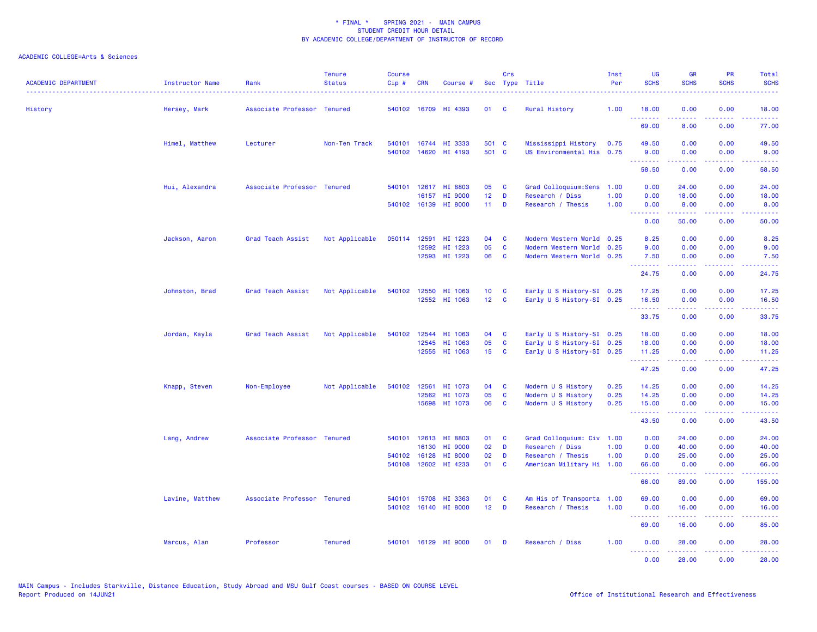| <b>ACADEMIC DEPARTMENT</b> | Instructor Name | Rank                        | <b>Tenure</b><br><b>Status</b> | <b>Course</b><br>Cip# | CRN          | Course #                 |                       | Crs          | Sec Type Title                           | Inst<br>Per  | UG<br><b>SCHS</b>                                                                                                                                                                                                                                                                                                                                                                                                                                                                              | <b>GR</b><br><b>SCHS</b>                                                                                                                                     | <b>PR</b><br><b>SCHS</b>            | Total<br><b>SCHS</b><br>. |
|----------------------------|-----------------|-----------------------------|--------------------------------|-----------------------|--------------|--------------------------|-----------------------|--------------|------------------------------------------|--------------|------------------------------------------------------------------------------------------------------------------------------------------------------------------------------------------------------------------------------------------------------------------------------------------------------------------------------------------------------------------------------------------------------------------------------------------------------------------------------------------------|--------------------------------------------------------------------------------------------------------------------------------------------------------------|-------------------------------------|---------------------------|
| History                    | Hersey, Mark    | Associate Professor Tenured |                                |                       |              | 540102 16709 HI 4393     | 01                    | <b>C</b>     | Rural History                            | 1.00         | 18.00                                                                                                                                                                                                                                                                                                                                                                                                                                                                                          | 0.00                                                                                                                                                         | 0.00                                | 18.00                     |
|                            |                 |                             |                                |                       |              |                          |                       |              |                                          |              | <u>.</u><br>69.00                                                                                                                                                                                                                                                                                                                                                                                                                                                                              | 22222<br>8.00                                                                                                                                                | .<br>0.00                           | .<br>77.00                |
|                            | Himel, Matthew  | Lecturer                    | Non-Ten Track                  | 540101                |              | 16744 HI 3333            | 501 C                 |              | Mississippi History                      | 0.75         | 49.50                                                                                                                                                                                                                                                                                                                                                                                                                                                                                          | 0.00                                                                                                                                                         | 0.00                                | 49.50                     |
|                            |                 |                             |                                |                       |              | 540102 14620 HI 4193     | 501 C                 |              | US Environmental His 0.75                |              | 9.00<br><b>.</b> .                                                                                                                                                                                                                                                                                                                                                                                                                                                                             | 0.00<br>المستملة                                                                                                                                             | 0.00<br>.                           | 9.00<br>.                 |
|                            |                 |                             |                                |                       |              |                          |                       |              |                                          |              | 58.50                                                                                                                                                                                                                                                                                                                                                                                                                                                                                          | 0.00                                                                                                                                                         | 0.00                                | 58.50                     |
|                            | Hui, Alexandra  | Associate Professor Tenured |                                | 540101                | 16157        | 12617 HI 8803<br>HI 9000 | 05<br>12 <sup>°</sup> | C<br>D       | Grad Colloquium: Sens<br>Research / Diss | 1.00<br>1.00 | 0.00<br>0.00                                                                                                                                                                                                                                                                                                                                                                                                                                                                                   | 24.00<br>18.00                                                                                                                                               | 0.00<br>0.00                        | 24.00<br>18.00            |
|                            |                 |                             |                                |                       |              | 540102 16139 HI 8000     | $11$ D                |              | Research / Thesis                        | 1.00         | 0.00<br>$\begin{array}{cccccccccccccc} \multicolumn{2}{c}{} & \multicolumn{2}{c}{} & \multicolumn{2}{c}{} & \multicolumn{2}{c}{} & \multicolumn{2}{c}{} & \multicolumn{2}{c}{} & \multicolumn{2}{c}{} & \multicolumn{2}{c}{} & \multicolumn{2}{c}{} & \multicolumn{2}{c}{} & \multicolumn{2}{c}{} & \multicolumn{2}{c}{} & \multicolumn{2}{c}{} & \multicolumn{2}{c}{} & \multicolumn{2}{c}{} & \multicolumn{2}{c}{} & \multicolumn{2}{c}{} & \multicolumn{2}{c}{} & \multicolumn{2}{c}{} & \$ | 8.00<br>.                                                                                                                                                    | 0.00<br>22222                       | 8.00<br>.                 |
|                            |                 |                             |                                |                       |              |                          |                       |              |                                          |              | 0.00                                                                                                                                                                                                                                                                                                                                                                                                                                                                                           | 50.00                                                                                                                                                        | 0.00                                | 50.00                     |
|                            | Jackson, Aaron  | Grad Teach Assist           | Not Applicable                 |                       | 050114 12591 | HI 1223                  | 04                    | C            | Modern Western World 0.25                |              | 8.25                                                                                                                                                                                                                                                                                                                                                                                                                                                                                           | 0.00                                                                                                                                                         | 0.00                                | 8.25                      |
|                            |                 |                             |                                |                       | 12592        | HI 1223                  | 05                    | C            | Modern Western World 0.25                |              | 9.00                                                                                                                                                                                                                                                                                                                                                                                                                                                                                           | 0.00                                                                                                                                                         | 0.00                                | 9.00                      |
|                            |                 |                             |                                |                       |              | 12593 HI 1223            | 06                    | C            | Modern Western World 0.25                |              | 7.50<br><u>.</u>                                                                                                                                                                                                                                                                                                                                                                                                                                                                               | 0.00<br>.                                                                                                                                                    | 0.00<br>$\sim$ $\sim$ $\sim$ $\sim$ | 7.50                      |
|                            |                 |                             |                                |                       |              |                          |                       |              |                                          |              | 24.75                                                                                                                                                                                                                                                                                                                                                                                                                                                                                          | 0.00                                                                                                                                                         | 0.00                                | 24.75                     |
|                            | Johnston, Brad  | Grad Teach Assist           | Not Applicable                 |                       |              | 540102 12550 HI 1063     | 10 <sub>1</sub>       | C            | Early U S History-SI 0.25                |              | 17.25                                                                                                                                                                                                                                                                                                                                                                                                                                                                                          | 0.00                                                                                                                                                         | 0.00                                | 17.25                     |
|                            |                 |                             |                                |                       |              | 12552 HI 1063            | 12 <sub>2</sub>       | <b>C</b>     | Early U S History-SI 0.25                |              | 16.50<br>.                                                                                                                                                                                                                                                                                                                                                                                                                                                                                     | 0.00<br>$\frac{1}{2} \left( \frac{1}{2} \right) \left( \frac{1}{2} \right) \left( \frac{1}{2} \right) \left( \frac{1}{2} \right) \left( \frac{1}{2} \right)$ | 0.00<br>22222                       | 16.50<br>.                |
|                            |                 |                             |                                |                       |              |                          |                       |              |                                          |              | 33.75                                                                                                                                                                                                                                                                                                                                                                                                                                                                                          | 0.00                                                                                                                                                         | 0.00                                | 33.75                     |
|                            | Jordan, Kayla   | Grad Teach Assist           | Not Applicable                 | 540102                | 12544        | HI 1063                  | 04                    | <b>C</b>     | Early U S History-SI 0.25                |              | 18.00                                                                                                                                                                                                                                                                                                                                                                                                                                                                                          | 0.00                                                                                                                                                         | 0.00                                | 18.00                     |
|                            |                 |                             |                                |                       |              | 12545 HI 1063            | 05                    | C            | Early U S History-SI 0.25                |              | 18.00                                                                                                                                                                                                                                                                                                                                                                                                                                                                                          | 0.00                                                                                                                                                         | 0.00                                | 18.00                     |
|                            |                 |                             |                                |                       |              | 12555 HI 1063            | 15 <sub>1</sub>       | $\mathbf{C}$ | Early U S History-SI 0.25                |              | 11.25<br>.                                                                                                                                                                                                                                                                                                                                                                                                                                                                                     | 0.00<br>المتمام والمناور                                                                                                                                     | 0.00<br>22222                       | 11.25<br>.                |
|                            |                 |                             |                                |                       |              |                          |                       |              |                                          |              | 47.25                                                                                                                                                                                                                                                                                                                                                                                                                                                                                          | 0.00                                                                                                                                                         | 0.00                                | 47.25                     |
|                            | Knapp, Steven   | Non-Employee                | Not Applicable                 |                       | 540102 12561 | HI 1073                  | 04                    | <b>C</b>     | Modern U S History                       | 0.25         | 14.25                                                                                                                                                                                                                                                                                                                                                                                                                                                                                          | 0.00                                                                                                                                                         | 0.00                                | 14.25                     |
|                            |                 |                             |                                |                       | 12562        | HI 1073                  | 05                    | C            | Modern U S History                       | 0.25         | 14.25                                                                                                                                                                                                                                                                                                                                                                                                                                                                                          | 0.00                                                                                                                                                         | 0.00                                | 14.25                     |
|                            |                 |                             |                                |                       |              | 15698 HI 1073            | 06                    | <b>C</b>     | Modern U S History                       | 0.25         | 15.00<br><u>.</u>                                                                                                                                                                                                                                                                                                                                                                                                                                                                              | 0.00<br>.                                                                                                                                                    | 0.00<br>.                           | 15.00<br>.                |
|                            |                 |                             |                                |                       |              |                          |                       |              |                                          |              | 43.50                                                                                                                                                                                                                                                                                                                                                                                                                                                                                          | 0.00                                                                                                                                                         | 0.00                                | 43.50                     |
|                            | Lang, Andrew    | Associate Professor Tenured |                                |                       |              | 540101 12613 HI 8803     | 01                    | C            | Grad Colloquium: Civ 1.00                |              | 0.00                                                                                                                                                                                                                                                                                                                                                                                                                                                                                           | 24.00                                                                                                                                                        | 0.00                                | 24.00                     |
|                            |                 |                             |                                |                       | 16130        | HI 9000                  | 02                    | D            | Research / Diss                          | 1.00         | 0.00                                                                                                                                                                                                                                                                                                                                                                                                                                                                                           | 40.00                                                                                                                                                        | 0.00                                | 40.00                     |
|                            |                 |                             |                                |                       | 540102 16128 | HI 8000                  | 02                    | D            | Research / Thesis                        | 1.00         | 0.00                                                                                                                                                                                                                                                                                                                                                                                                                                                                                           | 25.00                                                                                                                                                        | 0.00                                | 25.00                     |
|                            |                 |                             |                                |                       |              | 540108 12602 HI 4233     | 01                    | C            | American Military Hi 1.00                |              | 66.00<br>.                                                                                                                                                                                                                                                                                                                                                                                                                                                                                     | 0.00<br>$\frac{1}{2} \left( \frac{1}{2} \right) \left( \frac{1}{2} \right) \left( \frac{1}{2} \right) \left( \frac{1}{2} \right) \left( \frac{1}{2} \right)$ | 0.00<br>.                           | 66.00<br>.                |
|                            |                 |                             |                                |                       |              |                          |                       |              |                                          |              | 66.00                                                                                                                                                                                                                                                                                                                                                                                                                                                                                          | 89.00                                                                                                                                                        | 0.00                                | 155.00                    |
|                            | Lavine, Matthew | Associate Professor Tenured |                                |                       |              | 540101 15708 HI 3363     | 01                    | <b>C</b>     | Am His of Transporta                     | 1.00         | 69.00                                                                                                                                                                                                                                                                                                                                                                                                                                                                                          | 0.00                                                                                                                                                         | 0.00                                | 69.00                     |
|                            |                 |                             |                                |                       |              | 540102 16140 HI 8000     | 12 <sub>2</sub>       | $\mathbf{D}$ | Research / Thesis                        | 1.00         | 0.00<br><b><i><u><u><b>Little Little</b></u></u></i></b>                                                                                                                                                                                                                                                                                                                                                                                                                                       | 16.00<br>.                                                                                                                                                   | 0.00<br>.                           | 16.00<br>.                |
|                            |                 |                             |                                |                       |              |                          |                       |              |                                          |              | 69.00                                                                                                                                                                                                                                                                                                                                                                                                                                                                                          | 16.00                                                                                                                                                        | 0.00                                | 85.00                     |
|                            | Marcus, Alan    | Professor                   | <b>Tenured</b>                 |                       |              | 540101 16129 HI 9000     | 01                    | <b>D</b>     | Research / Diss                          | 1.00         | 0.00<br><u> - - - - - - - -</u>                                                                                                                                                                                                                                                                                                                                                                                                                                                                | 28.00<br>.                                                                                                                                                   | 0.00<br>.                           | 28.00<br>.                |
|                            |                 |                             |                                |                       |              |                          |                       |              |                                          |              | 0.00                                                                                                                                                                                                                                                                                                                                                                                                                                                                                           | 28.00                                                                                                                                                        | 0.00                                | 28.00                     |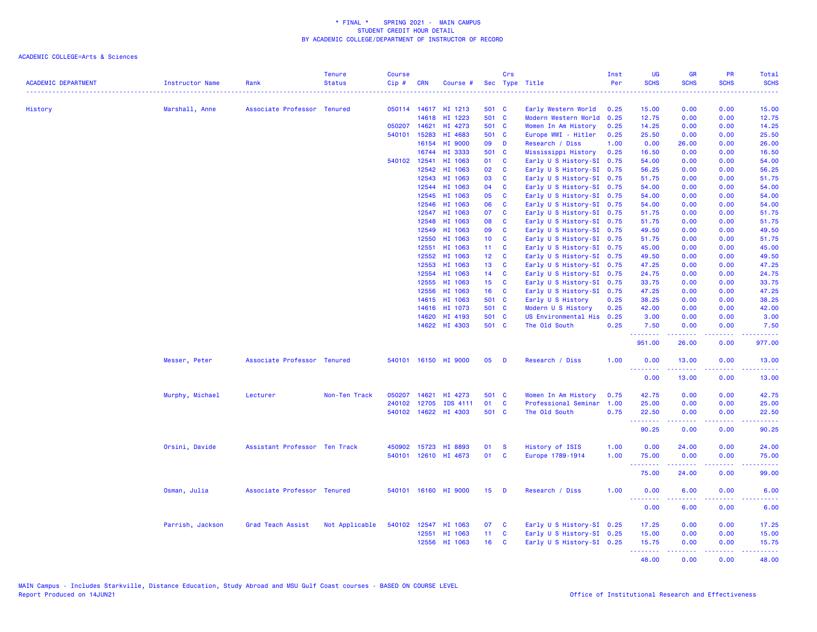|                            |                        |                               | <b>Tenure</b>  | <b>Course</b> |                |                      |                                    | Crs                      |                                                        | Inst | <b>UG</b>                             | <b>GR</b>           | PR                                                                                                     | Total                    |
|----------------------------|------------------------|-------------------------------|----------------|---------------|----------------|----------------------|------------------------------------|--------------------------|--------------------------------------------------------|------|---------------------------------------|---------------------|--------------------------------------------------------------------------------------------------------|--------------------------|
| <b>ACADEMIC DEPARTMENT</b> | <b>Instructor Name</b> | Rank                          | <b>Status</b>  | $Cip \#$      | <b>CRN</b>     | Course #             |                                    |                          | Sec Type Title                                         | Per  | <b>SCHS</b><br>2.2.2.2.2.2.           | <b>SCHS</b>         | <b>SCHS</b><br>22222                                                                                   | <b>SCHS</b><br>والمستحيل |
| History                    | Marshall, Anne         | Associate Professor Tenured   |                |               |                | 050114 14617 HI 1213 | 501 C                              |                          | Early Western World                                    | 0.25 | 15.00                                 | 0.00                | 0.00                                                                                                   | 15.00                    |
|                            |                        |                               |                |               | 14618          | HI 1223              | 501 C                              |                          | Modern Western World 0.25                              |      | 12.75                                 | 0.00                | 0.00                                                                                                   | 12.75                    |
|                            |                        |                               |                | 050207 14621  |                | HI 4273              | 501 C                              |                          | Women In Am History                                    | 0.25 | 14.25                                 | 0.00                | 0.00                                                                                                   | 14.25                    |
|                            |                        |                               |                | 540101        | 15283          | HI 4683              | 501 C                              |                          | Europe WWI - Hitler                                    | 0.25 | 25.50                                 | 0.00                | 0.00                                                                                                   | 25.50                    |
|                            |                        |                               |                |               | 16154          | HI 9000              | 09                                 | D                        | Research / Diss                                        | 1.00 | 0.00                                  | 26.00               | 0.00                                                                                                   | 26.00                    |
|                            |                        |                               |                |               |                | 16744 HI 3333        | 501 C                              |                          | Mississippi History                                    | 0.25 | 16.50                                 | 0.00                | 0.00                                                                                                   | 16.50                    |
|                            |                        |                               |                |               | 540102 12541   | HI 1063              | 01                                 | <b>C</b>                 | Early U S History-SI 0.75                              |      | 54.00                                 | 0.00                | 0.00                                                                                                   | 54.00                    |
|                            |                        |                               |                |               | 12542          | HI 1063              | 02                                 | $\mathbf{C}$             | Early U S History-SI 0.75                              |      | 56.25                                 | 0.00                | 0.00                                                                                                   | 56.25                    |
|                            |                        |                               |                |               | 12543          | HI 1063              | 03                                 | <b>C</b>                 | Early U S History-SI 0.75                              |      | 51.75                                 | 0.00                | 0.00                                                                                                   | 51.75                    |
|                            |                        |                               |                |               | 12544          | HI 1063              | 04                                 | C                        | Early U S History-SI 0.75                              |      | 54.00                                 | 0.00                | 0.00                                                                                                   | 54.00                    |
|                            |                        |                               |                |               | 12545          | HI 1063              | 05                                 | <b>C</b>                 | Early U S History-SI 0.75                              |      | 54.00                                 | 0.00                | 0.00                                                                                                   | 54.00                    |
|                            |                        |                               |                |               | 12546          | HI 1063              | 06                                 | <b>C</b>                 | Early U S History-SI 0.75                              |      | 54.00                                 | 0.00                | 0.00                                                                                                   | 54.00                    |
|                            |                        |                               |                |               | 12547          | HI 1063              | 07                                 | $\mathbf{C}$             | Early U S History-SI 0.75                              |      | 51.75                                 | 0.00                | 0.00                                                                                                   | 51.75                    |
|                            |                        |                               |                |               | 12548          | HI 1063              | 08                                 | $\mathbf{C}$             | Early U S History-SI 0.75                              |      | 51.75                                 | 0.00                | 0.00                                                                                                   | 51.75                    |
|                            |                        |                               |                |               | 12549          | HI 1063              | 09                                 | <b>C</b>                 | Early U S History-SI 0.75                              |      | 49.50                                 | 0.00                | 0.00                                                                                                   | 49.50                    |
|                            |                        |                               |                |               | 12550          | HI 1063              | 10 <sub>1</sub>                    | $\mathbf{C}$             | Early U S History-SI 0.75                              |      | 51.75                                 | 0.00                | 0.00                                                                                                   | 51.75                    |
|                            |                        |                               |                |               | 12551          | HI 1063              | 11 <sub>1</sub>                    | <b>C</b>                 |                                                        |      |                                       | 0.00                | 0.00                                                                                                   | 45.00                    |
|                            |                        |                               |                |               | 12552          | HI 1063              | 12 <sub>1</sub>                    | C                        | Early U S History-SI 0.75<br>Early U S History-SI 0.75 |      | 45.00<br>49.50                        | 0.00                | 0.00                                                                                                   | 49.50                    |
|                            |                        |                               |                |               |                |                      |                                    |                          |                                                        |      |                                       |                     |                                                                                                        |                          |
|                            |                        |                               |                |               | 12553<br>12554 | HI 1063<br>HI 1063   | 13<br>14                           | $\mathbf{C}$<br><b>C</b> | Early U S History-SI 0.75                              |      | 47.25<br>24.75                        | 0.00<br>0.00        | 0.00<br>0.00                                                                                           | 47.25<br>24.75           |
|                            |                        |                               |                |               | 12555          | HI 1063              | 15 <sub>1</sub>                    | <b>C</b>                 | Early U S History-SI 0.75                              |      | 33.75                                 | 0.00                | 0.00                                                                                                   | 33.75                    |
|                            |                        |                               |                |               |                |                      |                                    |                          | Early U S History-SI 0.75                              |      |                                       |                     |                                                                                                        |                          |
|                            |                        |                               |                |               | 12556          | HI 1063              | 16 <sup>1</sup>                    | $\mathbf{C}$             | Early U S History-SI 0.75                              |      | 47.25                                 | 0.00                | 0.00                                                                                                   | 47.25                    |
|                            |                        |                               |                |               |                | 14615 HI 1063        | 501 C                              |                          | Early U S History                                      | 0.25 | 38.25                                 | 0.00                | 0.00                                                                                                   | 38.25                    |
|                            |                        |                               |                |               | 14616          | HI 1073              | 501 C                              |                          | Modern U S History                                     | 0.25 | 42.00                                 | 0.00                | 0.00                                                                                                   | 42.00                    |
|                            |                        |                               |                |               | 14620          | HI 4193              | 501 C                              |                          | US Environmental His                                   | 0.25 | 3.00                                  | 0.00                | 0.00                                                                                                   | 3.00                     |
|                            |                        |                               |                |               |                | 14622 HI 4303        | 501 C                              |                          | The Old South                                          | 0.25 | 7.50<br>.                             | 0.00<br>.           | 0.00<br>22222                                                                                          | 7.50<br>222223           |
|                            |                        |                               |                |               |                |                      |                                    |                          |                                                        |      | 951.00                                | 26.00               | 0.00                                                                                                   | 977.00                   |
|                            | Messer, Peter          | Associate Professor Tenured   |                |               |                | 540101 16150 HI 9000 | 05                                 | D                        | Research / Diss                                        | 1.00 | 0.00<br><b>.</b>                      | 13.00<br>بالأباليات | 0.00<br>بالابات                                                                                        | 13.00<br>وساعات          |
|                            |                        |                               |                |               |                |                      |                                    |                          |                                                        |      | 0.00                                  | 13.00               | 0.00                                                                                                   | 13.00                    |
|                            | Murphy, Michael        | Lecturer                      | Non-Ten Track  | 050207        | 14621          | HI 4273              | 501 C                              |                          | Women In Am History                                    | 0.75 | 42.75                                 | 0.00                | 0.00                                                                                                   | 42.75                    |
|                            |                        |                               |                | 240102        | 12705          | <b>IDS 4111</b>      | 01                                 | <b>C</b>                 | Professional Seminar                                   | 1.00 | 25.00                                 | 0.00                | 0.00                                                                                                   | 25.00                    |
|                            |                        |                               |                |               |                | 540102 14622 HI 4303 | 501 C                              |                          | The Old South                                          | 0.75 | 22.50                                 | 0.00                | 0.00                                                                                                   | 22.50                    |
|                            |                        |                               |                |               |                |                      |                                    |                          |                                                        |      | <b><i><u>AAAAAAA</u></i></b><br>90.25 | <b>.</b><br>0.00    | 22222<br>0.00                                                                                          | .<br>90.25               |
|                            | Orsini, Davide         | Assistant Professor Ten Track |                |               |                | 450902 15723 HI 8893 | 01                                 | <b>S</b>                 | History of ISIS                                        | 1.00 | 0.00                                  | 24.00               | 0.00                                                                                                   | 24.00                    |
|                            |                        |                               |                |               |                | 540101 12610 HI 4673 | 01                                 | <b>C</b>                 | Europe 1789-1914                                       | 1.00 | 75.00                                 | 0.00                | 0.00                                                                                                   | 75.00                    |
|                            |                        |                               |                |               |                |                      |                                    |                          |                                                        |      | <b><i><u>AAAAAAA</u></i></b><br>75.00 | <b></b><br>24.00    | .<br>0.00                                                                                              | .<br>99.00               |
|                            | Osman, Julia           | Associate Professor Tenured   |                |               |                | 540101 16160 HI 9000 | 15 <sub>1</sub>                    | D                        | Research / Diss                                        | 1.00 | 0.00                                  | 6.00                | 0.00                                                                                                   | 6.00                     |
|                            |                        |                               |                |               |                |                      |                                    |                          |                                                        |      | <u>.</u><br>0.00                      | .<br>6.00           | $\frac{1}{2} \left( \frac{1}{2} \right) \left( \frac{1}{2} \right) \left( \frac{1}{2} \right)$<br>0.00 | 22223<br>6.00            |
|                            |                        |                               |                |               |                |                      | 07                                 |                          |                                                        |      |                                       |                     |                                                                                                        |                          |
|                            | Parrish, Jackson       | Grad Teach Assist             | Not Applicable |               |                | 540102 12547 HI 1063 |                                    | <b>C</b>                 | Early U S History-SI 0.25                              |      | 17.25                                 | 0.00                | 0.00                                                                                                   | 17.25                    |
|                            |                        |                               |                |               | 12551          | HI 1063              | 11 <sub>1</sub><br>16 <sup>1</sup> | <b>C</b><br><b>C</b>     | Early U S History-SI 0.25                              |      | 15.00                                 | 0.00                | 0.00                                                                                                   | 15.00                    |
|                            |                        |                               |                |               |                | 12556 HI 1063        |                                    |                          | Early U S History-SI 0.25                              |      | 15.75<br>.                            | 0.00<br>22222       | 0.00<br>22222                                                                                          | 15.75<br>والمالمات       |
|                            |                        |                               |                |               |                |                      |                                    |                          |                                                        |      | 48.00                                 | 0.00                | 0.00                                                                                                   | 48.00                    |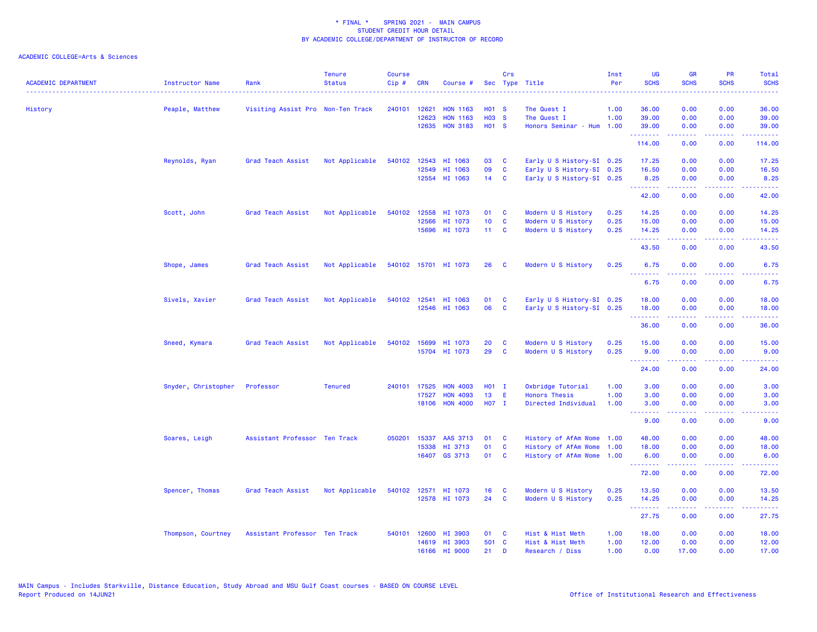| <b>ACADEMIC DEPARTMENT</b><br>------------------------------------- | Instructor Name<br>. | Rank                              | <b>Tenure</b><br><b>Status</b> | <b>Course</b><br>Cip# | <b>CRN</b>   | Course #             |                   | Crs          | Sec Type Title            | Inst<br>Per | <b>UG</b><br><b>SCHS</b>                                   | <b>GR</b><br><b>SCHS</b>      | PR<br><b>SCHS</b>                   | Total<br><b>SCHS</b><br>$\frac{1}{2} \left( \frac{1}{2} \right) \left( \frac{1}{2} \right) \left( \frac{1}{2} \right) \left( \frac{1}{2} \right)$ |
|---------------------------------------------------------------------|----------------------|-----------------------------------|--------------------------------|-----------------------|--------------|----------------------|-------------------|--------------|---------------------------|-------------|------------------------------------------------------------|-------------------------------|-------------------------------------|---------------------------------------------------------------------------------------------------------------------------------------------------|
| History                                                             | Peaple, Matthew      | Visiting Assist Pro Non-Ten Track |                                | 240101                | 12621        | <b>HON 1163</b>      | <b>HO1 S</b>      |              | The Quest I               | 1.00        | 36.00                                                      | 0.00                          | 0.00                                | 36.00                                                                                                                                             |
|                                                                     |                      |                                   |                                |                       | 12623        | <b>HON 1163</b>      | <b>H03 S</b>      |              | The Quest I               | 1.00        | 39.00                                                      | 0.00                          | 0.00                                | 39.00                                                                                                                                             |
|                                                                     |                      |                                   |                                |                       | 12635        | <b>HON 3183</b>      | H <sub>01</sub> S |              | Honors Seminar - Hum      | 1.00        | 39.00<br>.                                                 | 0.00                          | 0.00<br>والمحامر                    | 39.00<br>.                                                                                                                                        |
|                                                                     |                      |                                   |                                |                       |              |                      |                   |              |                           |             | 114.00                                                     | 0.00                          | 0.00                                | 114.00                                                                                                                                            |
|                                                                     | Reynolds, Ryan       | Grad Teach Assist                 | Not Applicable                 |                       |              | 540102 12543 HI 1063 | 03                | C            | Early U S History-SI 0.25 |             | 17.25                                                      | 0.00                          | 0.00                                | 17.25                                                                                                                                             |
|                                                                     |                      |                                   |                                |                       |              | 12549 HI 1063        | 09                | C            | Early U S History-SI 0.25 |             | 16.50                                                      | 0.00                          | 0.00                                | 16.50                                                                                                                                             |
|                                                                     |                      |                                   |                                |                       |              | 12554 HI 1063        | 14                | $\mathbf{C}$ | Early U S History-SI 0.25 |             | 8.25<br><u>.</u>                                           | 0.00<br>بالأباب               | 0.00<br>$\sim$ $\sim$ $\sim$ $\sim$ | 8.25<br>المستما                                                                                                                                   |
|                                                                     |                      |                                   |                                |                       |              |                      |                   |              |                           |             | 42.00                                                      | 0.00                          | 0.00                                | 42.00                                                                                                                                             |
|                                                                     | Scott, John          | Grad Teach Assist                 | Not Applicable                 |                       | 540102 12558 | HI 1073              | 01                | C            | Modern U S History        | 0.25        | 14.25                                                      | 0.00                          | 0.00                                | 14.25                                                                                                                                             |
|                                                                     |                      |                                   |                                |                       | 12566        | HI 1073              | 10 <sub>1</sub>   | <b>C</b>     | Modern U S History        | 0.25        | 15.00                                                      | 0.00                          | 0.00                                | 15.00                                                                                                                                             |
|                                                                     |                      |                                   |                                |                       |              | 15696 HI 1073        | $11 \quad C$      |              | Modern U S History        | 0.25        | 14.25<br>.                                                 | 0.00                          | 0.00<br>$\sim$ $\sim$ $\sim$ $\sim$ | 14.25<br>$\frac{1}{2} \left( \frac{1}{2} \right) \left( \frac{1}{2} \right) \left( \frac{1}{2} \right) \left( \frac{1}{2} \right)$                |
|                                                                     |                      |                                   |                                |                       |              |                      |                   |              |                           |             | 43.50                                                      | 0.00                          | 0.00                                | 43.50                                                                                                                                             |
|                                                                     | Shope, James         | Grad Teach Assist                 | Not Applicable                 |                       |              | 540102 15701 HI 1073 | 26 <sup>2</sup>   | <b>C</b>     | Modern U S History        | 0.25        | 6.75                                                       | 0.00                          | 0.00                                | 6.75                                                                                                                                              |
|                                                                     |                      |                                   |                                |                       |              |                      |                   |              |                           |             | <u>.</u><br>6.75                                           | .<br>0.00                     | 0.00                                | .<br>6.75                                                                                                                                         |
|                                                                     | Sivels, Xavier       | Grad Teach Assist                 | Not Applicable                 |                       |              | 540102 12541 HI 1063 | 01                | C            | Early U S History-SI 0.25 |             | 18.00                                                      | 0.00                          | 0.00                                | 18.00                                                                                                                                             |
|                                                                     |                      |                                   |                                |                       |              | 12546 HI 1063        | 06                | C            | Early U S History-SI 0.25 |             | 18.00                                                      | 0.00                          | 0.00                                | 18.00                                                                                                                                             |
|                                                                     |                      |                                   |                                |                       |              |                      |                   |              |                           |             | .<br>36.00                                                 | 0.00                          | $\sim$ $\sim$ $\sim$ $\sim$<br>0.00 | $\omega$ is $\omega$ in .<br>36.00                                                                                                                |
|                                                                     | Sneed, Kymara        | Grad Teach Assist                 | Not Applicable                 |                       | 540102 15699 | HI 1073              | 20                | <b>C</b>     | Modern U S History        | 0.25        | 15.00                                                      | 0.00                          | 0.00                                | 15.00                                                                                                                                             |
|                                                                     |                      |                                   |                                |                       |              | 15704 HI 1073        | 29                | <b>C</b>     | Modern U S History        | 0.25        | 9.00<br><b><i><u><u><b>a</b></u></u> a a a a a a a</i></b> | 0.00<br>.                     | 0.00<br>.                           | 9.00<br>.                                                                                                                                         |
|                                                                     |                      |                                   |                                |                       |              |                      |                   |              |                           |             | 24.00                                                      | 0.00                          | 0.00                                | 24.00                                                                                                                                             |
|                                                                     | Snyder, Christopher  | Professor                         | <b>Tenured</b>                 | 240101                | 17525        | <b>HON 4003</b>      | H01 I             |              | Oxbridge Tutorial         | 1.00        | 3.00                                                       | 0.00                          | 0.00                                | 3.00                                                                                                                                              |
|                                                                     |                      |                                   |                                |                       | 17527        | <b>HON 4093</b>      | 13                | Ε            | <b>Honors Thesis</b>      | 1.00        | 3.00                                                       | 0.00                          | 0.00                                | 3.00                                                                                                                                              |
|                                                                     |                      |                                   |                                |                       |              | 18106 HON 4000       | H07 I             |              | Directed Individual       | 1.00        | 3.00<br>--------                                           | 0.00<br><b><i><u></u></i></b> | 0.00<br>.                           | 3.00<br>وعاعاتها                                                                                                                                  |
|                                                                     |                      |                                   |                                |                       |              |                      |                   |              |                           |             | 9.00                                                       | 0.00                          | 0.00                                | 9.00                                                                                                                                              |
|                                                                     | Soares, Leigh        | Assistant Professor Ten Track     |                                | 050201                | 15337        | AAS 3713             | 01                | C            | History of AfAm Wome      | 1.00        | 48.00                                                      | 0.00                          | 0.00                                | 48.00                                                                                                                                             |
|                                                                     |                      |                                   |                                |                       | 15338        | HI 3713              | 01                | C            | History of AfAm Wome      | 1.00        | 18.00                                                      | 0.00                          | 0.00                                | 18.00                                                                                                                                             |
|                                                                     |                      |                                   |                                |                       |              | 16407 GS 3713        | 01                | <b>C</b>     | History of AfAm Wome 1.00 |             | 6.00<br><b></b>                                            | 0.00<br>-----                 | 0.00<br>.                           | 6.00<br>.                                                                                                                                         |
|                                                                     |                      |                                   |                                |                       |              |                      |                   |              |                           |             | 72.00                                                      | 0.00                          | 0.00                                | 72.00                                                                                                                                             |
|                                                                     | Spencer, Thomas      | Grad Teach Assist                 | Not Applicable                 |                       |              | 540102 12571 HI 1073 | 16                | C            | Modern U S History        | 0.25        | 13.50                                                      | 0.00                          | 0.00                                | 13.50                                                                                                                                             |
|                                                                     |                      |                                   |                                |                       |              | 12578 HI 1073        | 24                | C            | Modern U S History        | 0.25        | 14.25<br><b><i><u><u><b>Little Little</b></u></u></i></b>  | 0.00<br>.                     | 0.00<br>بالمحام                     | 14.25<br>.                                                                                                                                        |
|                                                                     |                      |                                   |                                |                       |              |                      |                   |              |                           |             | 27.75                                                      | 0.00                          | 0.00                                | 27.75                                                                                                                                             |
|                                                                     | Thompson, Courtney   | Assistant Professor Ten Track     |                                |                       |              | 540101 12600 HI 3903 | 01                | <b>C</b>     | Hist & Hist Meth          | 1.00        | 18.00                                                      | 0.00                          | 0.00                                | 18.00                                                                                                                                             |
|                                                                     |                      |                                   |                                |                       |              | 14619 HI 3903        | 501 C             |              | Hist & Hist Meth          | 1.00        | 12.00                                                      | 0.00                          | 0.00                                | 12.00                                                                                                                                             |
|                                                                     |                      |                                   |                                |                       |              | 16166 HI 9000        | 21                | D            | Research / Diss           | 1.00        | 0.00                                                       | 17.00                         | 0.00                                | 17.00                                                                                                                                             |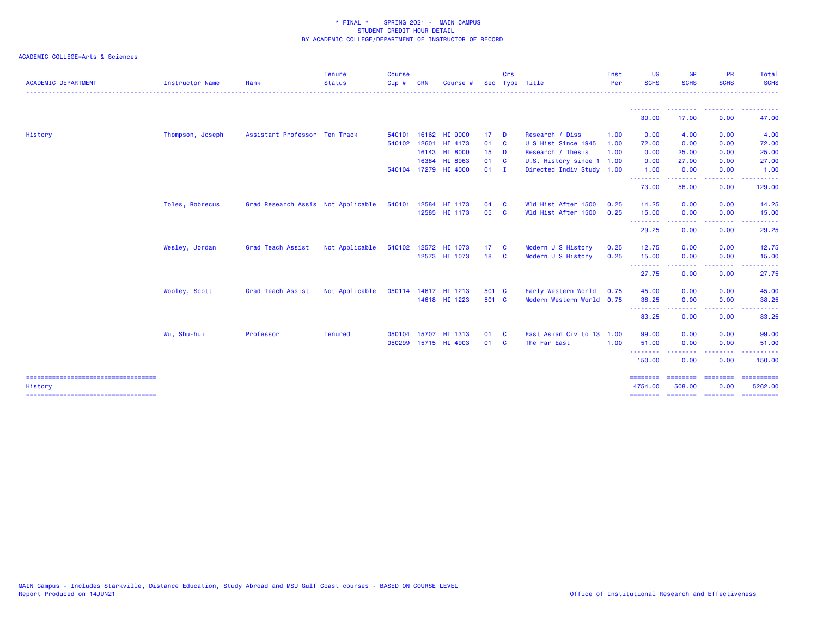| <b>ACADEMIC DEPARTMENT</b>                      | <b>Instructor Name</b> | Rank                               | <b>Tenure</b><br><b>Status</b> | <b>Course</b><br>Cip# | <b>CRN</b>   | Course #             |        | Crs          | Sec Type Title            | Inst<br>Per | <b>UG</b><br><b>SCHS</b> | GR<br><b>SCHS</b>        | <b>PR</b><br><b>SCHS</b>                       | Total<br><b>SCHS</b>                                                                                                                                                                                                                                                                                                                                                                                                                                                                              |
|-------------------------------------------------|------------------------|------------------------------------|--------------------------------|-----------------------|--------------|----------------------|--------|--------------|---------------------------|-------------|--------------------------|--------------------------|------------------------------------------------|---------------------------------------------------------------------------------------------------------------------------------------------------------------------------------------------------------------------------------------------------------------------------------------------------------------------------------------------------------------------------------------------------------------------------------------------------------------------------------------------------|
|                                                 |                        |                                    |                                |                       |              |                      |        |              |                           |             | --------                 | ---------                | <u>.</u>                                       | <u> - - - - - - - - - -</u>                                                                                                                                                                                                                                                                                                                                                                                                                                                                       |
|                                                 |                        |                                    |                                |                       |              |                      |        |              |                           |             | 30.00                    | 17.00                    | 0.00                                           | 47.00                                                                                                                                                                                                                                                                                                                                                                                                                                                                                             |
| History                                         | Thompson, Joseph       | Assistant Professor Ten Track      |                                | 540101                |              | 16162 HI 9000        | $17$ D |              | Research / Diss           | 1.00        | 0.00                     | 4.00                     | 0.00                                           | 4.00                                                                                                                                                                                                                                                                                                                                                                                                                                                                                              |
|                                                 |                        |                                    |                                |                       |              | 540102 12601 HI 4173 | 01     | $\mathbf{C}$ | U S Hist Since 1945       | 1.00        | 72.00                    | 0.00                     | 0.00                                           | 72.00                                                                                                                                                                                                                                                                                                                                                                                                                                                                                             |
|                                                 |                        |                                    |                                |                       |              | 16143 HI 8000        | $15$ D |              | Research / Thesis         | 1.00        | 0.00                     | 25.00                    | 0.00                                           | 25.00                                                                                                                                                                                                                                                                                                                                                                                                                                                                                             |
|                                                 |                        |                                    |                                |                       |              | 16384 HI 8963        | 01 C   |              | U.S. History since 1      | 1.00        | 0.00                     | 27.00                    | 0.00                                           | 27.00                                                                                                                                                                                                                                                                                                                                                                                                                                                                                             |
|                                                 |                        |                                    |                                |                       |              | 540104 17279 HI 4000 | $01$ I |              | Directed Indiv Study 1.00 |             | 1.00                     | 0.00                     | 0.00                                           | 1.00                                                                                                                                                                                                                                                                                                                                                                                                                                                                                              |
|                                                 |                        |                                    |                                |                       |              |                      |        |              |                           |             | --------<br>73.00        | .<br>56.00               | . <b>.</b><br>0.00                             | .<br>129.00                                                                                                                                                                                                                                                                                                                                                                                                                                                                                       |
|                                                 | Toles, Robrecus        | Grad Research Assis Not Applicable |                                | 540101                |              | 12584 HI 1173        | 04     | - C          | Wld Hist After 1500       | 0.25        | 14.25                    | 0.00                     | 0.00                                           | 14.25                                                                                                                                                                                                                                                                                                                                                                                                                                                                                             |
|                                                 |                        |                                    |                                |                       |              | 12585 HI 1173        | 05     | <b>C</b>     | Wld Hist After 1500       | 0.25        | 15.00                    | 0.00                     | 0.00                                           | 15.00                                                                                                                                                                                                                                                                                                                                                                                                                                                                                             |
|                                                 |                        |                                    |                                |                       |              |                      |        |              |                           |             | ---------<br>29.25       | .<br>0.00                | <b><i><u><u> - - - - -</u></u></i></b><br>0.00 | .<br>29.25                                                                                                                                                                                                                                                                                                                                                                                                                                                                                        |
|                                                 | Wesley, Jordan         | <b>Grad Teach Assist</b>           | Not Applicable                 |                       |              | 540102 12572 HI 1073 | 17C    |              | Modern U S History        | 0.25        | 12.75                    | 0.00                     | 0.00                                           | 12.75                                                                                                                                                                                                                                                                                                                                                                                                                                                                                             |
|                                                 |                        |                                    |                                |                       |              | 12573 HI 1073        | 18 C   |              | Modern U S History        | 0.25        | 15.00                    | 0.00                     | 0.00                                           | 15.00                                                                                                                                                                                                                                                                                                                                                                                                                                                                                             |
|                                                 |                        |                                    |                                |                       |              |                      |        |              |                           |             | .<br>27.75               | .<br>0.00                | المستمالات<br>0.00                             | .<br>27.75                                                                                                                                                                                                                                                                                                                                                                                                                                                                                        |
|                                                 | Wooley, Scott          | <b>Grad Teach Assist</b>           | Not Applicable                 |                       |              | 050114 14617 HI 1213 | 501 C  |              | Early Western World       | 0.75        | 45.00                    | 0.00                     | 0.00                                           | 45.00                                                                                                                                                                                                                                                                                                                                                                                                                                                                                             |
|                                                 |                        |                                    |                                |                       |              | 14618 HI 1223        | 501 C  |              | Modern Western World 0.75 |             | 38.25                    | 0.00                     | 0.00                                           | 38.25                                                                                                                                                                                                                                                                                                                                                                                                                                                                                             |
|                                                 |                        |                                    |                                |                       |              |                      |        |              |                           |             | .<br>83.25               | 0.00                     | 0.00                                           | 83.25                                                                                                                                                                                                                                                                                                                                                                                                                                                                                             |
|                                                 | Wu, Shu-hui            | Professor                          | <b>Tenured</b>                 |                       | 050104 15707 | HI 1313              | 01     | <b>C</b>     | East Asian Civ to 13      | 1.00        | 99.00                    | 0.00                     | 0.00                                           | 99.00                                                                                                                                                                                                                                                                                                                                                                                                                                                                                             |
|                                                 |                        |                                    |                                |                       |              | 050299 15715 HI 4903 | 01 C   |              | The Far East              | 1.00        | 51.00                    | 0.00                     | 0.00                                           | 51.00                                                                                                                                                                                                                                                                                                                                                                                                                                                                                             |
|                                                 |                        |                                    |                                |                       |              |                      |        |              |                           |             | .<br>150.00              | .<br>0.00                | .<br>0.00                                      | .<br>150.00                                                                                                                                                                                                                                                                                                                                                                                                                                                                                       |
| ====================================<br>History |                        |                                    |                                |                       |              |                      |        |              |                           |             | ---------<br>4754.00     | ---------<br>508.00      | $=$ =======<br>0.00                            | $\begin{array}{cccccccccc} \multicolumn{2}{c}{} & \multicolumn{2}{c}{} & \multicolumn{2}{c}{} & \multicolumn{2}{c}{} & \multicolumn{2}{c}{} & \multicolumn{2}{c}{} & \multicolumn{2}{c}{} & \multicolumn{2}{c}{} & \multicolumn{2}{c}{} & \multicolumn{2}{c}{} & \multicolumn{2}{c}{} & \multicolumn{2}{c}{} & \multicolumn{2}{c}{} & \multicolumn{2}{c}{} & \multicolumn{2}{c}{} & \multicolumn{2}{c}{} & \multicolumn{2}{c}{} & \multicolumn{2}{c}{} & \multicolumn{2}{c}{} & \mult$<br>5262.00 |
|                                                 |                        |                                    |                                |                       |              |                      |        |              |                           |             |                          | -------- ------- ------- |                                                | $\begin{array}{cccccccccc} \multicolumn{2}{c}{} & \multicolumn{2}{c}{} & \multicolumn{2}{c}{} & \multicolumn{2}{c}{} & \multicolumn{2}{c}{} & \multicolumn{2}{c}{} & \multicolumn{2}{c}{} & \multicolumn{2}{c}{} & \multicolumn{2}{c}{} & \multicolumn{2}{c}{} & \multicolumn{2}{c}{} & \multicolumn{2}{c}{} & \multicolumn{2}{c}{} & \multicolumn{2}{c}{} & \multicolumn{2}{c}{} & \multicolumn{2}{c}{} & \multicolumn{2}{c}{} & \multicolumn{2}{c}{} & \multicolumn{2}{c}{} & \mult$            |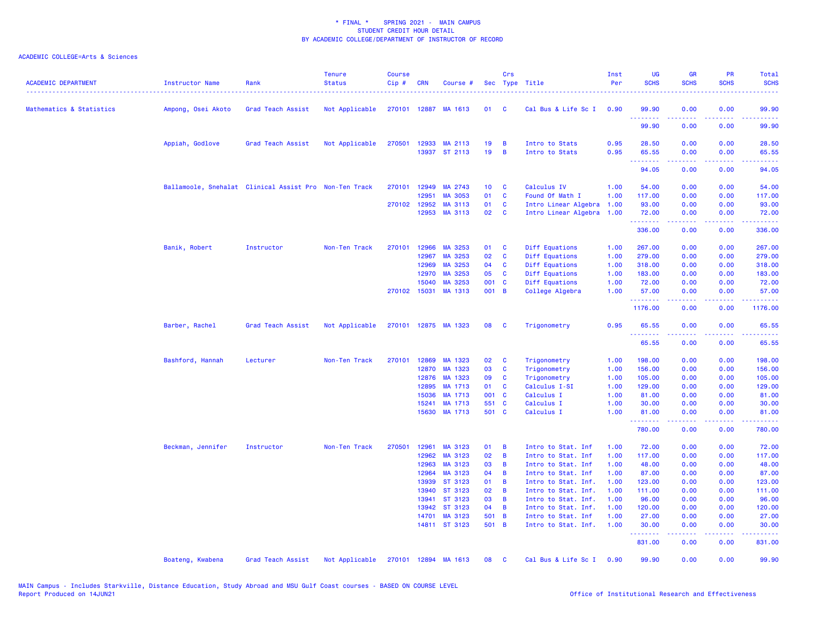| <b>ACADEMIC DEPARTMENT</b> | <b>Instructor Name</b> | Rank                                                   | <b>Tenure</b><br><b>Status</b> | <b>Course</b><br>Cip# | <b>CRN</b>   | Course #                              |                 | Crs          | Sec Type Title                   | Inst<br>Per  | UG<br><b>SCHS</b> | <b>GR</b><br><b>SCHS</b>                                                                                                                                     | PR<br><b>SCHS</b>                   | Total<br><b>SCHS</b>                                                                                                                                          |
|----------------------------|------------------------|--------------------------------------------------------|--------------------------------|-----------------------|--------------|---------------------------------------|-----------------|--------------|----------------------------------|--------------|-------------------|--------------------------------------------------------------------------------------------------------------------------------------------------------------|-------------------------------------|---------------------------------------------------------------------------------------------------------------------------------------------------------------|
| Mathematics & Statistics   | Ampong, Osei Akoto     | Grad Teach Assist                                      | Not Applicable                 |                       |              | 270101 12887 MA 1613                  | 01              | <b>C</b>     | Cal Bus & Life Sc I              | 0.90         | 99.90             | 0.00                                                                                                                                                         | 0.00                                | 99.90                                                                                                                                                         |
|                            |                        |                                                        |                                |                       |              |                                       |                 |              |                                  |              | .<br>99.90        | 0.00                                                                                                                                                         | 0.00                                | 99.90                                                                                                                                                         |
|                            | Appiah, Godlove        | Grad Teach Assist                                      | Not Applicable                 |                       |              | 270501 12933 MA 2113<br>13937 ST 2113 | 19<br>19        | B<br>B       | Intro to Stats<br>Intro to Stats | 0.95<br>0.95 | 28.50<br>65.55    | 0.00<br>0.00                                                                                                                                                 | 0.00<br>0.00                        | 28.50<br>65.55                                                                                                                                                |
|                            |                        |                                                        |                                |                       |              |                                       |                 |              |                                  |              | .<br>94.05        | .<br>0.00                                                                                                                                                    | $\sim$ $\sim$ $\sim$ $\sim$<br>0.00 | $\omega_{\rm c}$ and $\omega_{\rm c}$<br>94.05                                                                                                                |
|                            |                        | Ballamoole, Snehalat Clinical Assist Pro Non-Ten Track |                                | 270101                | 12949        | MA 2743                               | 10 <sub>1</sub> | <b>C</b>     | Calculus IV                      | 1.00         | 54.00             | 0.00                                                                                                                                                         | 0.00                                | 54.00                                                                                                                                                         |
|                            |                        |                                                        |                                |                       | 12951        | MA 3053                               | 01              | C            | Found Of Math I                  | 1.00         | 117.00            | 0.00                                                                                                                                                         | 0.00                                | 117.00                                                                                                                                                        |
|                            |                        |                                                        |                                |                       | 270102 12952 | MA 3113                               | 01              | C            | Intro Linear Algebra             | 1.00         | 93.00             | 0.00                                                                                                                                                         | 0.00                                | 93.00                                                                                                                                                         |
|                            |                        |                                                        |                                |                       | 12953        | MA 3113                               | 02              | $\mathbf{C}$ | Intro Linear Algebra             | 1.00         | 72.00             | 0.00                                                                                                                                                         | 0.00                                | 72.00                                                                                                                                                         |
|                            |                        |                                                        |                                |                       |              |                                       |                 |              |                                  |              | .<br>336.00       | 0.00                                                                                                                                                         | 0.00                                | .<br>336.00                                                                                                                                                   |
|                            | Banik, Robert          | Instructor                                             | Non-Ten Track                  | 270101                | 12966        | MA 3253                               | 01              | C            | Diff Equations                   | 1.00         | 267.00            | 0.00                                                                                                                                                         | 0.00                                | 267.00                                                                                                                                                        |
|                            |                        |                                                        |                                |                       | 12967        | MA 3253                               | 02              | $\mathbf{C}$ | Diff Equations                   | 1.00         | 279.00            | 0.00                                                                                                                                                         | 0.00                                | 279.00                                                                                                                                                        |
|                            |                        |                                                        |                                |                       | 12969        | MA 3253                               | 04              | <b>C</b>     | Diff Equations                   | 1.00         | 318.00            | 0.00                                                                                                                                                         | 0.00                                | 318.00                                                                                                                                                        |
|                            |                        |                                                        |                                |                       | 12970        | MA 3253                               | 05              | <b>C</b>     | Diff Equations                   | 1.00         | 183.00            | 0.00                                                                                                                                                         | 0.00                                | 183.00                                                                                                                                                        |
|                            |                        |                                                        |                                |                       | 15040        | MA 3253                               | 001 C           |              | Diff Equations                   | 1.00         | 72.00             | 0.00                                                                                                                                                         | 0.00                                | 72.00                                                                                                                                                         |
|                            |                        |                                                        |                                |                       | 270102 15031 | MA 1313                               | 001 B           |              | College Algebra                  | 1.00         | 57.00<br>.        | 0.00<br>.                                                                                                                                                    | 0.00<br>.                           | 57.00<br>$\begin{array}{cccccccccc} \bullet & \bullet & \bullet & \bullet & \bullet & \bullet & \bullet & \bullet \end{array}$                                |
|                            |                        |                                                        |                                |                       |              |                                       |                 |              |                                  |              | 1176.00           | 0.00                                                                                                                                                         | 0.00                                | 1176.00                                                                                                                                                       |
|                            | Barber, Rachel         | Grad Teach Assist                                      | Not Applicable                 |                       |              | 270101 12875 MA 1323                  | 08              | <b>C</b>     | Trigonometry                     | 0.95         | 65.55<br><u>.</u> | 0.00                                                                                                                                                         | 0.00                                | 65.55<br>.                                                                                                                                                    |
|                            |                        |                                                        |                                |                       |              |                                       |                 |              |                                  |              | 65.55             | 0.00                                                                                                                                                         | 0.00                                | 65.55                                                                                                                                                         |
|                            | Bashford, Hannah       | Lecturer                                               | Non-Ten Track                  | 270101                | 12869        | MA 1323                               | 02              | C            | Trigonometry                     | 1.00         | 198.00            | 0.00                                                                                                                                                         | 0.00                                | 198.00                                                                                                                                                        |
|                            |                        |                                                        |                                |                       | 12870        | MA 1323                               | 03              | C            | Trigonometry                     | 1.00         | 156.00            | 0.00                                                                                                                                                         | 0.00                                | 156.00                                                                                                                                                        |
|                            |                        |                                                        |                                |                       | 12876        | MA 1323                               | 09              | <b>C</b>     | Trigonometry                     | 1.00         | 105.00            | 0.00                                                                                                                                                         | 0.00                                | 105.00                                                                                                                                                        |
|                            |                        |                                                        |                                |                       | 12895        | MA 1713                               | 01              | C            | Calculus I-SI                    | 1.00         | 129.00            | 0.00                                                                                                                                                         | 0.00                                | 129.00                                                                                                                                                        |
|                            |                        |                                                        |                                |                       | 15036        | MA 1713                               | 001 C           |              | Calculus I                       | 1.00         | 81.00             | 0.00                                                                                                                                                         | 0.00                                | 81.00                                                                                                                                                         |
|                            |                        |                                                        |                                |                       | 15241        | MA 1713                               | 551 C           |              | Calculus I                       | 1.00         | 30.00             | 0.00                                                                                                                                                         | 0.00                                | 30.00                                                                                                                                                         |
|                            |                        |                                                        |                                |                       | 15630        | MA 1713                               | 501 C           |              | Calculus I                       | 1.00         | 81.00<br>.        | 0.00<br>.                                                                                                                                                    | 0.00                                | 81.00<br>22222)                                                                                                                                               |
|                            |                        |                                                        |                                |                       |              |                                       |                 |              |                                  |              | 780.00            | 0.00                                                                                                                                                         | 0.00                                | 780.00                                                                                                                                                        |
|                            | Beckman, Jennifer      | Instructor                                             | Non-Ten Track                  | 270501                | 12961        | MA 3123                               | 01              | B            | Intro to Stat. Inf               | 1.00         | 72.00             | 0.00                                                                                                                                                         | 0.00                                | 72.00                                                                                                                                                         |
|                            |                        |                                                        |                                |                       | 12962        | MA 3123                               | 02              | B            | Intro to Stat. Inf               | 1.00         | 117.00            | 0.00                                                                                                                                                         | 0.00                                | 117.00                                                                                                                                                        |
|                            |                        |                                                        |                                |                       | 12963        | MA 3123                               | 03              | B            | Intro to Stat. Inf               | 1.00         | 48.00             | 0.00                                                                                                                                                         | 0.00                                | 48.00                                                                                                                                                         |
|                            |                        |                                                        |                                |                       | 12964        | MA 3123                               | 04              | B            | Intro to Stat. Inf               | 1.00         | 87.00             | 0.00                                                                                                                                                         | 0.00                                | 87.00                                                                                                                                                         |
|                            |                        |                                                        |                                |                       | 13939        | ST 3123                               | 01              | B            | Intro to Stat. Inf.              | 1.00         | 123.00            | 0.00                                                                                                                                                         | 0.00                                | 123.00                                                                                                                                                        |
|                            |                        |                                                        |                                |                       |              |                                       | 02              |              |                                  |              |                   |                                                                                                                                                              |                                     |                                                                                                                                                               |
|                            |                        |                                                        |                                |                       | 13940        | ST 3123                               |                 | B            | Intro to Stat. Inf.              | 1.00         | 111.00            | 0.00                                                                                                                                                         | 0.00                                | 111.00                                                                                                                                                        |
|                            |                        |                                                        |                                |                       | 13941        | ST 3123                               | 03              | B            | Intro to Stat. Inf.              | 1.00         | 96.00             | 0.00                                                                                                                                                         | 0.00                                | 96.00                                                                                                                                                         |
|                            |                        |                                                        |                                |                       | 13942        | ST 3123                               | 04              | B            | Intro to Stat. Inf.              | 1.00         | 120.00            | 0.00                                                                                                                                                         | 0.00                                | 120.00                                                                                                                                                        |
|                            |                        |                                                        |                                |                       | 14701        | MA 3123                               | 501 B           |              | Intro to Stat. Inf               | 1.00         | 27.00             | 0.00                                                                                                                                                         | 0.00                                | 27.00                                                                                                                                                         |
|                            |                        |                                                        |                                |                       |              | 14811 ST 3123                         | 501 B           |              | Intro to Stat. Inf.              | 1.00         | 30.00<br>.        | 0.00<br>$\frac{1}{2} \left( \frac{1}{2} \right) \left( \frac{1}{2} \right) \left( \frac{1}{2} \right) \left( \frac{1}{2} \right) \left( \frac{1}{2} \right)$ | 0.00<br>.                           | 30.00<br>$\frac{1}{2} \left( \frac{1}{2} \right) \left( \frac{1}{2} \right) \left( \frac{1}{2} \right) \left( \frac{1}{2} \right) \left( \frac{1}{2} \right)$ |
|                            |                        |                                                        |                                |                       |              |                                       |                 |              |                                  |              | 831.00            | 0.00                                                                                                                                                         | 0.00                                | 831.00                                                                                                                                                        |
|                            | Boateng, Kwabena       | Grad Teach Assist                                      | Not Applicable                 | 270101                |              | 12894 MA 1613                         | 08              | <b>C</b>     | Cal Bus & Life Sc I              | 0.90         | 99.90             | 0.00                                                                                                                                                         | 0.00                                | 99.90                                                                                                                                                         |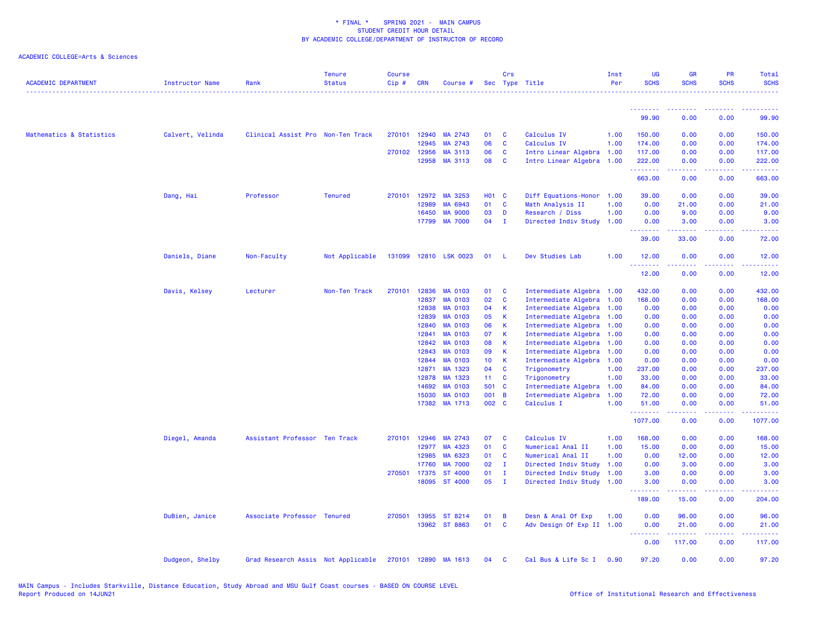| <b>ACADEMIC DEPARTMENT</b> | <b>Instructor Name</b> | Rank                                                    | <b>Tenure</b><br><b>Status</b> | <b>Course</b><br>Cip# | <b>CRN</b>     | Course #                         |                       | Crs              | Sec Type Title                               | Inst<br>Per  | <b>UG</b><br><b>SCHS</b> | <b>GR</b><br><b>SCHS</b> | <b>PR</b><br><b>SCHS</b> | Total<br><b>SCHS</b>    |
|----------------------------|------------------------|---------------------------------------------------------|--------------------------------|-----------------------|----------------|----------------------------------|-----------------------|------------------|----------------------------------------------|--------------|--------------------------|--------------------------|--------------------------|-------------------------|
|                            |                        |                                                         |                                |                       |                |                                  |                       |                  |                                              |              | <u>.</u>                 |                          |                          |                         |
|                            |                        |                                                         |                                |                       |                |                                  |                       |                  |                                              |              | 99.90                    | 0.00                     | 0.00                     | 99.90                   |
| Mathematics & Statistics   | Calvert, Velinda       | Clinical Assist Pro Non-Ten Track                       |                                |                       | 270101 12940   | MA 2743                          | 01                    | C                | Calculus IV                                  | 1.00         | 150.00                   | 0.00                     | 0.00                     | 150.00                  |
|                            |                        |                                                         |                                |                       | 12945          | MA 2743                          | 06                    | C                | Calculus IV                                  | 1.00         | 174.00                   | 0.00                     | 0.00                     | 174.00                  |
|                            |                        |                                                         |                                |                       | 270102 12956   | MA 3113                          | 06                    | C                | Intro Linear Algebra 1.00                    |              | 117.00                   | 0.00                     | 0.00                     | 117.00                  |
|                            |                        |                                                         |                                |                       | 12958          | MA 3113                          | 08                    | $\mathbf{C}$     | Intro Linear Algebra                         | 1.00         | 222.00<br>.              | 0.00<br>-----            | 0.00<br>.                | 222.00<br>المتمام مناسب |
|                            |                        |                                                         |                                |                       |                |                                  |                       |                  |                                              |              | 663.00                   | 0.00                     | 0.00                     | 663.00                  |
|                            | Dang, Hai              | Professor                                               | <b>Tenured</b>                 | 270101                | 12972          | MA 3253                          | <b>HO1 C</b>          |                  | Diff Equations-Honor                         | 1.00         | 39.00                    | 0.00                     | 0.00                     | 39.00                   |
|                            |                        |                                                         |                                |                       | 12989          | MA 6943                          | 01                    | C                | Math Analysis II                             | 1.00         | 0.00                     | 21.00                    | 0.00                     | 21.00                   |
|                            |                        |                                                         |                                |                       | 16450          | <b>MA 9000</b>                   | 03                    | $\mathbf{D}$     | Research / Diss                              | 1.00         | 0.00                     | 9.00                     | 0.00                     | 9.00                    |
|                            |                        |                                                         |                                |                       | 17799          | <b>MA 7000</b>                   | 04                    | $\mathbf{I}$     | Directed Indiv Study                         | 1.00         | 0.00<br>.                | 3.00                     | 0.00                     | 3.00                    |
|                            |                        |                                                         |                                |                       |                |                                  |                       |                  |                                              |              | 39.00                    | 33.00                    | 0.00                     | 72.00                   |
|                            | Daniels, Diane         | Non-Faculty                                             | Not Applicable                 |                       |                | 131099 12810 LSK 0023            | 01                    | - L              | Dev Studies Lab                              | 1.00         | 12.00<br>.               | 0.00                     | 0.00                     | 12.00                   |
|                            |                        |                                                         |                                |                       |                |                                  |                       |                  |                                              |              | 12.00                    | 0.00                     | 0.00                     | 12.00                   |
|                            | Davis, Kelsey          | Lecturer                                                | Non-Ten Track                  |                       | 270101 12836   | <b>MA 0103</b>                   | 01                    | $\mathbf{C}$     | Intermediate Algebra 1.00                    |              | 432.00                   | 0.00                     | 0.00                     | 432.00                  |
|                            |                        |                                                         |                                |                       | 12837          | MA 0103                          | 02                    | C                | Intermediate Algebra 1.00                    |              | 168.00                   | 0.00                     | 0.00                     | 168.00                  |
|                            |                        |                                                         |                                |                       | 12838          | <b>MA 0103</b>                   | 04                    | K                | Intermediate Algebra 1.00                    |              | 0.00                     | 0.00                     | 0.00                     | 0.00                    |
|                            |                        |                                                         |                                |                       | 12839          | <b>MA 0103</b>                   | 05                    | K                | Intermediate Algebra 1.00                    |              | 0.00                     | 0.00                     | 0.00                     | 0.00                    |
|                            |                        |                                                         |                                |                       | 12840          | MA 0103                          | 06                    | K                | Intermediate Algebra                         | 1.00         | 0.00                     | 0.00                     | 0.00                     | 0.00                    |
|                            |                        |                                                         |                                |                       | 12841          | <b>MA 0103</b>                   | 07                    | K                | Intermediate Algebra                         | 1.00         | 0.00                     | 0.00                     | 0.00                     | 0.00                    |
|                            |                        |                                                         |                                |                       | 12842          | MA 0103                          | 08                    | $\mathsf K$      | Intermediate Algebra 1.00                    |              | 0.00                     | 0.00                     | 0.00                     | 0.00                    |
|                            |                        |                                                         |                                |                       | 12843<br>12844 | <b>MA 0103</b><br><b>MA 0103</b> | 09<br>10 <sub>1</sub> | $\mathsf K$<br>К | Intermediate Algebra<br>Intermediate Algebra | 1.00<br>1.00 | 0.00<br>0.00             | 0.00                     | 0.00<br>0.00             | 0.00                    |
|                            |                        |                                                         |                                |                       | 12871          | MA 1323                          | 04                    | <b>C</b>         | Trigonometry                                 | 1.00         | 237.00                   | 0.00<br>0.00             | 0.00                     | 0.00<br>237.00          |
|                            |                        |                                                         |                                |                       | 12878          | MA 1323                          | $11 \quad C$          |                  | Trigonometry                                 | 1.00         | 33.00                    | 0.00                     | 0.00                     | 33.00                   |
|                            |                        |                                                         |                                |                       | 14692          | <b>MA 0103</b>                   | 501 C                 |                  | Intermediate Algebra                         | 1.00         | 84.00                    | 0.00                     | 0.00                     | 84.00                   |
|                            |                        |                                                         |                                |                       | 15030          | <b>MA 0103</b>                   | 001 B                 |                  | Intermediate Algebra                         | 1.00         | 72.00                    | 0.00                     | 0.00                     | 72.00                   |
|                            |                        |                                                         |                                |                       |                | 17382 MA 1713                    | 002 C                 |                  | Calculus I                                   | 1.00         | 51.00                    | 0.00                     | 0.00                     | 51.00                   |
|                            |                        |                                                         |                                |                       |                |                                  |                       |                  |                                              |              | .<br>1077.00             | 0.00                     | والأناب<br>0.00          | 1077.00                 |
|                            | Diegel, Amanda         | Assistant Professor Ten Track                           |                                |                       | 270101 12946   | MA 2743                          | 07                    | C                | Calculus IV                                  | 1.00         | 168.00                   | 0.00                     | 0.00                     | 168.00                  |
|                            |                        |                                                         |                                |                       | 12977          | MA 4323                          | 01                    | <b>C</b>         | Numerical Anal II                            | 1.00         | 15.00                    | 0.00                     | 0.00                     | 15.00                   |
|                            |                        |                                                         |                                |                       | 12985          | MA 6323                          | 01                    | C                | Numerical Anal II                            | 1.00         | 0.00                     | 12.00                    | 0.00                     | 12.00                   |
|                            |                        |                                                         |                                |                       | 17760          | <b>MA 7000</b>                   | 02                    | Ι.               | Directed Indiv Study                         | 1.00         | 0.00                     | 3.00                     | 0.00                     | 3.00                    |
|                            |                        |                                                         |                                |                       | 270501 17375   | ST 4000                          | 01                    | $\mathbf{I}$     | Directed Indiv Study                         | 1.00         | 3.00                     | 0.00                     | 0.00                     | 3.00                    |
|                            |                        |                                                         |                                |                       |                | 18095 ST 4000                    | 05                    | $\mathbf{I}$     | Directed Indiv Study 1.00                    |              | 3.00<br>.                | 0.00                     | 0.00                     | 3.00                    |
|                            |                        |                                                         |                                |                       |                |                                  |                       |                  |                                              |              | 189.00                   | 15.00                    | 0.00                     | 204.00                  |
|                            | DuBien, Janice         | Associate Professor Tenured                             |                                |                       |                | 270501 13955 ST 8214             | 01                    | B                | Desn & Anal Of Exp                           | 1.00         | 0.00                     | 96.00                    | 0.00                     | 96.00                   |
|                            |                        |                                                         |                                |                       |                | 13962 ST 8863                    | 01                    | $\mathbf{C}$     | Adv Design Of Exp II 1.00                    |              | 0.00<br>.                | 21.00<br>.               | 0.00<br>.                | 21.00<br>.              |
|                            |                        |                                                         |                                |                       |                |                                  |                       |                  |                                              |              | 0.00                     | 117.00                   | 0.00                     | 117.00                  |
|                            | Dudgeon, Shelby        | Grad Research Assis Not Applicable 270101 12890 MA 1613 |                                |                       |                |                                  | 04                    | $\mathbf{C}$     | Cal Bus & Life Sc I                          | 0.90         | 97.20                    | 0.00                     | 0.00                     | 97.20                   |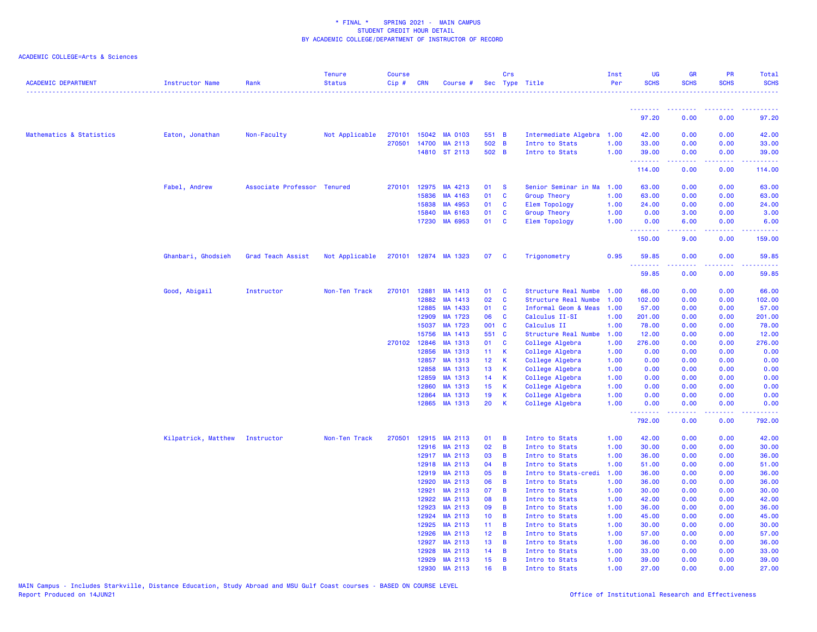| <b>ACADEMIC DEPARTMENT</b> | Instructor Name     | Rank                        | <b>Tenure</b><br><b>Status</b> | <b>Course</b><br>Cip# | <b>CRN</b>   | Course #                       |                 | Crs                              | Sec Type Title                     | Inst<br>Per  | <b>UG</b><br><b>SCHS</b> | <b>GR</b><br><b>SCHS</b>                                                                                                                                     | <b>PR</b><br><b>SCHS</b>                                                                                                  | Total<br><b>SCHS</b> |
|----------------------------|---------------------|-----------------------------|--------------------------------|-----------------------|--------------|--------------------------------|-----------------|----------------------------------|------------------------------------|--------------|--------------------------|--------------------------------------------------------------------------------------------------------------------------------------------------------------|---------------------------------------------------------------------------------------------------------------------------|----------------------|
|                            |                     |                             |                                |                       |              |                                |                 |                                  |                                    |              | <u>.</u> .               | <b><i><u>AAAAAAAA</u></i></b>                                                                                                                                | $\frac{1}{2} \left( \frac{1}{2} \right) \left( \frac{1}{2} \right) \left( \frac{1}{2} \right) \left( \frac{1}{2} \right)$ | <u>.</u>             |
|                            |                     |                             |                                |                       |              |                                |                 |                                  |                                    |              | 97.20                    | 0.00                                                                                                                                                         | 0.00                                                                                                                      | 97.20                |
| Mathematics & Statistics   | Eaton, Jonathan     | Non-Faculty                 | Not Applicable                 |                       | 270101 15042 | <b>MA 0103</b>                 | 551 B           |                                  | Intermediate Algebra 1.00          |              | 42.00                    | 0.00                                                                                                                                                         | 0.00                                                                                                                      | 42.00                |
|                            |                     |                             |                                | 270501                | 14700        | MA 2113                        | 502 B           |                                  | Intro to Stats                     | 1.00         | 33.00                    | 0.00                                                                                                                                                         | 0.00                                                                                                                      | 33.00                |
|                            |                     |                             |                                |                       |              | 14810 ST 2113                  | 502 B           |                                  | Intro to Stats                     | 1.00         | 39.00                    | 0.00                                                                                                                                                         | 0.00                                                                                                                      | 39.00                |
|                            |                     |                             |                                |                       |              |                                |                 |                                  |                                    |              | .<br>114.00              | $\frac{1}{2} \left( \frac{1}{2} \right) \left( \frac{1}{2} \right) \left( \frac{1}{2} \right) \left( \frac{1}{2} \right) \left( \frac{1}{2} \right)$<br>0.00 | .<br>0.00                                                                                                                 | .<br>114.00          |
|                            | Fabel, Andrew       | Associate Professor Tenured |                                |                       | 270101 12975 | MA 4213                        | 01              | - S                              | Senior Seminar in Ma               | 1.00         | 63.00                    | 0.00                                                                                                                                                         | 0.00                                                                                                                      | 63.00                |
|                            |                     |                             |                                |                       | 15836        | MA 4163                        | 01              | $\mathbf{C}$                     | <b>Group Theory</b>                | 1.00         | 63.00                    | 0.00                                                                                                                                                         | 0.00                                                                                                                      | 63.00                |
|                            |                     |                             |                                |                       | 15838        | MA 4953                        | 01              | $\mathbf{C}$                     | <b>Elem Topology</b>               | 1.00         | 24.00                    | 0.00                                                                                                                                                         | 0.00                                                                                                                      | 24.00                |
|                            |                     |                             |                                |                       | 15840        | MA 6163                        | 01              | $\mathbf{C}$                     | <b>Group Theory</b>                | 1.00         | 0.00                     | 3.00                                                                                                                                                         | 0.00                                                                                                                      | 3.00                 |
|                            |                     |                             |                                |                       | 17230        | MA 6953                        | 01 C            |                                  | <b>Elem Topology</b>               | 1.00         | 0.00<br>.                | 6.00<br>.                                                                                                                                                    | 0.00                                                                                                                      | 6.00                 |
|                            |                     |                             |                                |                       |              |                                |                 |                                  |                                    |              | 150.00                   | 9.00                                                                                                                                                         | 0.00                                                                                                                      | 159.00               |
|                            | Ghanbari, Ghodsieh  | Grad Teach Assist           | Not Applicable                 |                       |              | 270101 12874 MA 1323           | 07              | $\overline{\mathbf{C}}$          | Trigonometry                       | 0.95         | 59.85<br>.               | 0.00                                                                                                                                                         | 0.00                                                                                                                      | 59.85                |
|                            |                     |                             |                                |                       |              |                                |                 |                                  |                                    |              | 59.85                    | 0.00                                                                                                                                                         | 0.00                                                                                                                      | 59.85                |
|                            | Good, Abigail       | Instructor                  | Non-Ten Track                  |                       | 270101 12881 | MA 1413                        | 01              | $\mathbf{C}$                     | Structure Real Numbe               | 1.00         | 66.00                    | 0.00                                                                                                                                                         | 0.00                                                                                                                      | 66.00                |
|                            |                     |                             |                                |                       | 12882        | MA 1413                        | 02              | $\mathbf{C}$                     | Structure Real Numbe               | 1.00         | 102.00                   | 0.00                                                                                                                                                         | 0.00                                                                                                                      | 102.00               |
|                            |                     |                             |                                |                       | 12885        | MA 1433                        | 01              | <b>C</b>                         | Informal Geom & Meas               | 1.00         | 57.00                    | 0.00                                                                                                                                                         | 0.00                                                                                                                      | 57.00                |
|                            |                     |                             |                                |                       | 12909        | MA 1723                        | 06              | <b>C</b>                         | Calculus II-SI                     | 1.00         | 201.00                   | 0.00                                                                                                                                                         | 0.00                                                                                                                      | 201.00               |
|                            |                     |                             |                                |                       | 15037        | MA 1723                        | 001 C           |                                  | Calculus II                        | 1.00         | 78.00                    | 0.00                                                                                                                                                         | 0.00                                                                                                                      | 78.00                |
|                            |                     |                             |                                |                       | 15756        | MA 1413                        | 551 C           |                                  | Structure Real Numbe               | 1.00         | 12.00                    | 0.00                                                                                                                                                         | 0.00                                                                                                                      | 12.00                |
|                            |                     |                             |                                |                       | 270102 12846 | MA 1313                        | 01              | <b>C</b>                         | College Algebra                    | 1.00         | 276.00                   | 0.00                                                                                                                                                         | 0.00                                                                                                                      | 276.00               |
|                            |                     |                             |                                |                       | 12856        | MA 1313                        | 11 <sub>1</sub> | $\mathbf{K}$                     | College Algebra                    | 1.00         | 0.00                     | 0.00                                                                                                                                                         | 0.00                                                                                                                      | 0.00                 |
|                            |                     |                             |                                |                       | 12857        | MA 1313                        | 12 <sub>2</sub> | $\mathsf{K}$                     | College Algebra                    | 1.00         | 0.00                     | 0.00                                                                                                                                                         | 0.00                                                                                                                      | 0.00                 |
|                            |                     |                             |                                |                       | 12858        | MA 1313                        | 13              | <b>K</b>                         | College Algebra                    | 1.00         | 0.00                     | 0.00                                                                                                                                                         | 0.00                                                                                                                      | 0.00                 |
|                            |                     |                             |                                |                       | 12859        | MA 1313                        | 14              | -K<br>$\mathsf{K}$               | College Algebra                    | 1.00         | 0.00                     | 0.00                                                                                                                                                         | 0.00                                                                                                                      | 0.00                 |
|                            |                     |                             |                                |                       | 12860        | MA 1313                        | 15              |                                  | College Algebra                    | 1.00         | 0.00                     | 0.00                                                                                                                                                         | 0.00                                                                                                                      | 0.00                 |
|                            |                     |                             |                                |                       | 12864        | MA 1313<br>12865 MA 1313       | 19<br>20        | $\mathsf{K}$<br>$\mathsf{K}$     | College Algebra<br>College Algebra | 1.00<br>1.00 | 0.00<br>0.00             | 0.00<br>0.00                                                                                                                                                 | 0.00<br>0.00                                                                                                              | 0.00<br>0.00         |
|                            |                     |                             |                                |                       |              |                                |                 |                                  |                                    |              | .<br>792.00              | .<br>0.00                                                                                                                                                    | 0.00                                                                                                                      | .<br>792.00          |
|                            |                     |                             |                                |                       |              |                                |                 |                                  |                                    |              |                          |                                                                                                                                                              |                                                                                                                           |                      |
|                            | Kilpatrick, Matthew | Instructor                  | Non-Ten Track                  | 270501                |              | 12915 MA 2113<br>12916 MA 2113 | 01<br>02        | $\overline{B}$<br>$\overline{B}$ | Intro to Stats<br>Intro to Stats   | 1.00         | 42.00<br>30.00           | 0.00<br>0.00                                                                                                                                                 | 0.00<br>0.00                                                                                                              | 42.00<br>30.00       |
|                            |                     |                             |                                |                       |              | 12917 MA 2113                  | 03              | $\overline{B}$                   | Intro to Stats                     | 1.00<br>1.00 | 36.00                    | 0.00                                                                                                                                                         | 0.00                                                                                                                      | 36.00                |
|                            |                     |                             |                                |                       | 12918        | MA 2113                        | 04              | $\overline{B}$                   | Intro to Stats                     | 1.00         | 51.00                    | 0.00                                                                                                                                                         | 0.00                                                                                                                      | 51.00                |
|                            |                     |                             |                                |                       | 12919        | MA 2113                        | 05              | B                                | Intro to Stats-credi               | 1.00         | 36.00                    | 0.00                                                                                                                                                         | 0.00                                                                                                                      | 36.00                |
|                            |                     |                             |                                |                       | 12920        | MA 2113                        | 06              | $\overline{B}$                   | Intro to Stats                     | 1.00         | 36.00                    | 0.00                                                                                                                                                         | 0.00                                                                                                                      | 36.00                |
|                            |                     |                             |                                |                       | 12921        | MA 2113                        | 07              | $\overline{B}$                   | Intro to Stats                     | 1.00         | 30.00                    | 0.00                                                                                                                                                         | 0.00                                                                                                                      | 30.00                |
|                            |                     |                             |                                |                       | 12922        | MA 2113                        | 08              | $\overline{B}$                   | Intro to Stats                     | 1.00         | 42.00                    | 0.00                                                                                                                                                         | 0.00                                                                                                                      | 42.00                |
|                            |                     |                             |                                |                       | 12923        | MA 2113                        | 09              | $\overline{B}$                   | Intro to Stats                     | 1.00         | 36.00                    | 0.00                                                                                                                                                         | 0.00                                                                                                                      | 36.00                |
|                            |                     |                             |                                |                       | 12924        | MA 2113                        | 10 <sub>1</sub> | $\overline{B}$                   | Intro to Stats                     | 1.00         | 45.00                    | 0.00                                                                                                                                                         | 0.00                                                                                                                      | 45.00                |
|                            |                     |                             |                                |                       | 12925        | MA 2113                        | 11 <sub>1</sub> | $\overline{B}$                   | Intro to Stats                     | 1.00         | 30.00                    | 0.00                                                                                                                                                         | 0.00                                                                                                                      | 30.00                |
|                            |                     |                             |                                |                       | 12926        | MA 2113                        | 12 <sub>2</sub> | $\overline{B}$                   | Intro to Stats                     | 1.00         | 57.00                    | 0.00                                                                                                                                                         | 0.00                                                                                                                      | 57.00                |
|                            |                     |                             |                                |                       | 12927        | MA 2113                        | 13 <sup>°</sup> | $\overline{B}$                   | Intro to Stats                     | 1.00         | 36.00                    | 0.00                                                                                                                                                         | 0.00                                                                                                                      | 36.00                |
|                            |                     |                             |                                |                       | 12928        | MA 2113                        | 14              | $\overline{B}$                   | Intro to Stats                     | 1.00         | 33.00                    | 0.00                                                                                                                                                         | 0.00                                                                                                                      | 33.00                |
|                            |                     |                             |                                |                       |              | 12929 MA 2113                  | 15 <sub>1</sub> | $\overline{B}$                   | Intro to Stats                     | 1.00         | 39.00                    | 0.00                                                                                                                                                         | 0.00                                                                                                                      | 39.00                |
|                            |                     |                             |                                |                       | 12930        | MA 2113                        | 16              | $\overline{\mathbf{B}}$          | Intro to Stats                     | 1.00         | 27.00                    | 0.00                                                                                                                                                         | 0.00                                                                                                                      | 27.00                |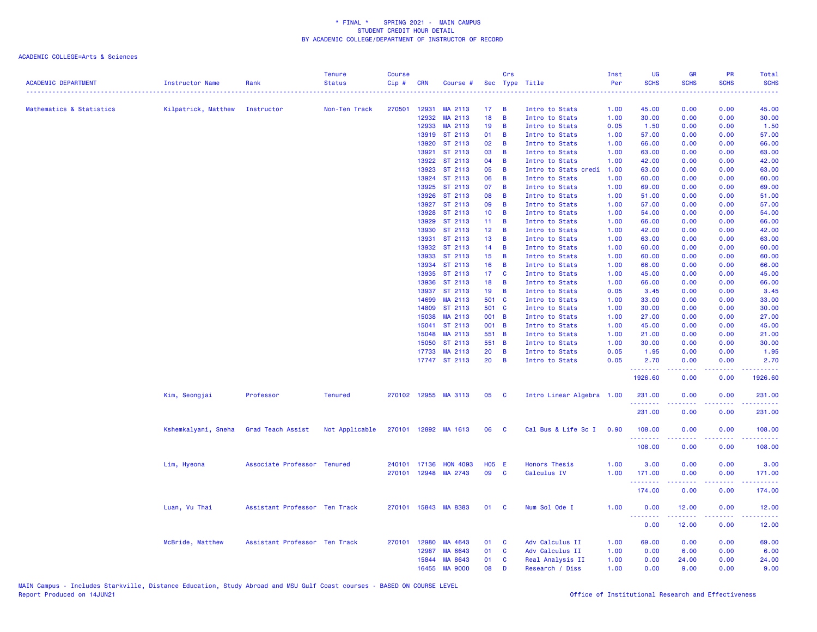| <b>ACADEMIC DEPARTMENT</b> | <b>Instructor Name</b> | Rank                          | <b>Tenure</b><br><b>Status</b> | <b>Course</b><br>Cip# | <b>CRN</b>   | Course #             |                 | Crs            | Sec Type Title            | Inst<br>Per<br>. | <b>UG</b><br><b>SCHS</b> | <b>GR</b><br><b>SCHS</b> | PR<br><b>SCHS</b>                                   | <b>Total</b><br><b>SCHS</b><br>$\frac{1}{2} \left( \frac{1}{2} \right) \left( \frac{1}{2} \right) \left( \frac{1}{2} \right) \left( \frac{1}{2} \right) \left( \frac{1}{2} \right)$ |
|----------------------------|------------------------|-------------------------------|--------------------------------|-----------------------|--------------|----------------------|-----------------|----------------|---------------------------|------------------|--------------------------|--------------------------|-----------------------------------------------------|-------------------------------------------------------------------------------------------------------------------------------------------------------------------------------------|
| Mathematics & Statistics   | Kilpatrick, Matthew    | Instructor                    | Non-Ten Track                  | 270501                | 12931        | MA 2113              | 17              | B              | Intro to Stats            | 1.00             | 45.00                    | 0.00                     | 0.00                                                | 45.00                                                                                                                                                                               |
|                            |                        |                               |                                |                       | 12932        | MA 2113              | 18              | B              | Intro to Stats            | 1.00             | 30.00                    | 0.00                     | 0.00                                                | 30.00                                                                                                                                                                               |
|                            |                        |                               |                                |                       | 12933        | MA 2113              | 19              | B              | Intro to Stats            | 0.05             | 1.50                     | 0.00                     | 0.00                                                | 1.50                                                                                                                                                                                |
|                            |                        |                               |                                |                       |              | 13919 ST 2113        | 01              | B              | Intro to Stats            | 1.00             | 57.00                    | 0.00                     | 0.00                                                | 57.00                                                                                                                                                                               |
|                            |                        |                               |                                |                       | 13920        | ST 2113              | 02              | B              | Intro to Stats            | 1.00             | 66.00                    | 0.00                     | 0.00                                                | 66.00                                                                                                                                                                               |
|                            |                        |                               |                                |                       | 13921        | ST 2113              | 03              | B              | Intro to Stats            | 1.00             | 63.00                    | 0.00                     | 0.00                                                | 63.00                                                                                                                                                                               |
|                            |                        |                               |                                |                       | 13922        | ST 2113              | 04              | B              | Intro to Stats            | 1.00             | 42.00                    | 0.00                     | 0.00                                                | 42.00                                                                                                                                                                               |
|                            |                        |                               |                                |                       | 13923        | ST 2113              | 05              | B              | Intro to Stats credi      | 1.00             | 63.00                    | 0.00                     | 0.00                                                | 63.00                                                                                                                                                                               |
|                            |                        |                               |                                |                       | 13924        | ST 2113              | 06              | B              | Intro to Stats            | 1.00             | 60.00                    | 0.00                     | 0.00                                                | 60.00                                                                                                                                                                               |
|                            |                        |                               |                                |                       | 13925        | ST 2113              | 07              | B              | Intro to Stats            | 1.00             | 69.00                    | 0.00                     | 0.00                                                | 69.00                                                                                                                                                                               |
|                            |                        |                               |                                |                       | 13926        | ST 2113              | 08              | B              | Intro to Stats            | 1.00             | 51.00                    | 0.00                     | 0.00                                                | 51.00                                                                                                                                                                               |
|                            |                        |                               |                                |                       | 13927        | ST 2113              | 09              | B              | Intro to Stats            | 1.00             | 57.00                    | 0.00                     | 0.00                                                | 57.00                                                                                                                                                                               |
|                            |                        |                               |                                |                       | 13928        | ST 2113              | 10 <sub>1</sub> | B              | Intro to Stats            | 1.00             | 54.00                    | 0.00                     | 0.00                                                | 54.00                                                                                                                                                                               |
|                            |                        |                               |                                |                       | 13929        | ST 2113              | 11              | B              | Intro to Stats            | 1.00             | 66.00                    | 0.00                     | 0.00                                                | 66.00                                                                                                                                                                               |
|                            |                        |                               |                                |                       | 13930        | ST 2113              | 12 <sub>2</sub> | B              | Intro to Stats            | 1.00             | 42.00                    | 0.00                     | 0.00                                                | 42.00                                                                                                                                                                               |
|                            |                        |                               |                                |                       | 13931        | ST 2113              | 13              | B              | Intro to Stats            | 1.00             | 63.00                    | 0.00                     | 0.00                                                | 63.00                                                                                                                                                                               |
|                            |                        |                               |                                |                       | 13932        | ST 2113              | 14              | B              | Intro to Stats            | 1.00             | 60.00                    | 0.00                     | 0.00                                                | 60.00                                                                                                                                                                               |
|                            |                        |                               |                                |                       | 13933        | ST 2113              | 15              | B              | Intro to Stats            | 1.00             | 60.00                    | 0.00                     | 0.00                                                | 60.00                                                                                                                                                                               |
|                            |                        |                               |                                |                       | 13934        | ST 2113              | 16              | B              | Intro to Stats            | 1.00             | 66.00                    | 0.00                     | 0.00                                                | 66.00                                                                                                                                                                               |
|                            |                        |                               |                                |                       | 13935        | ST 2113              | 17              | C              | Intro to Stats            | 1.00             | 45.00                    | 0.00                     | 0.00                                                | 45.00                                                                                                                                                                               |
|                            |                        |                               |                                |                       | 13936        | ST 2113              | 18              | В              | Intro to Stats            | 1.00             | 66.00                    | 0.00                     | 0.00                                                | 66.00                                                                                                                                                                               |
|                            |                        |                               |                                |                       | 13937        | ST 2113              | 19              | B              | Intro to Stats            | 0.05             | 3.45                     | 0.00                     | 0.00                                                | 3.45                                                                                                                                                                                |
|                            |                        |                               |                                |                       | 14699        | MA 2113              | 501 C           |                |                           | 1.00             | 33.00                    |                          |                                                     |                                                                                                                                                                                     |
|                            |                        |                               |                                |                       | 14809        |                      |                 |                | Intro to Stats            |                  |                          | 0.00                     | 0.00                                                | 33.00                                                                                                                                                                               |
|                            |                        |                               |                                |                       | 15038        | ST 2113<br>MA 2113   | 501 C<br>001 B  |                | Intro to Stats            | 1.00             | 30.00<br>27.00           | 0.00                     | 0.00                                                | 30.00                                                                                                                                                                               |
|                            |                        |                               |                                |                       | 15041        | ST 2113              | 001 B           |                | Intro to Stats            | 1.00             | 45.00                    | 0.00<br>0.00             | 0.00<br>0.00                                        | 27.00                                                                                                                                                                               |
|                            |                        |                               |                                |                       |              |                      |                 |                | Intro to Stats            | 1.00             |                          |                          |                                                     | 45.00                                                                                                                                                                               |
|                            |                        |                               |                                |                       | 15048        | MA 2113              | 551 B           |                | Intro to Stats            | 1.00             | 21.00                    | 0.00                     | 0.00                                                | 21.00                                                                                                                                                                               |
|                            |                        |                               |                                |                       | 15050        | ST 2113              | 551 B           |                | Intro to Stats            | 1.00             | 30.00                    | 0.00                     | 0.00                                                | 30.00                                                                                                                                                                               |
|                            |                        |                               |                                |                       | 17733        | MA 2113              | 20              | B              | Intro to Stats            | 0.05             | 1.95                     | 0.00                     | 0.00                                                | 1.95                                                                                                                                                                                |
|                            |                        |                               |                                |                       |              | 17747 ST 2113        | 20              | $\overline{B}$ | Intro to Stats            | 0.05             | 2.70<br>.                | 0.00<br>-----            | 0.00<br>.                                           | 2.70<br>.                                                                                                                                                                           |
|                            |                        |                               |                                |                       |              |                      |                 |                |                           |                  | 1926.60                  | 0.00                     | 0.00                                                | 1926.60                                                                                                                                                                             |
|                            | Kim, Seongjai          | Professor                     | <b>Tenured</b>                 |                       |              | 270102 12955 MA 3113 | 05              | <b>C</b>       | Intro Linear Algebra 1.00 |                  | 231.00<br>.              | 0.00                     | 0.00<br>د د د د                                     | 231.00<br>.                                                                                                                                                                         |
|                            |                        |                               |                                |                       |              |                      |                 |                |                           |                  | 231.00                   | 0.00                     | 0.00                                                | 231.00                                                                                                                                                                              |
|                            | Kshemkalyani, Sneha    | Grad Teach Assist             | Not Applicable                 |                       |              | 270101 12892 MA 1613 | 06              | <b>C</b>       | Cal Bus & Life Sc I       | 0.90             | 108.00                   | 0.00                     | 0.00                                                | 108.00                                                                                                                                                                              |
|                            |                        |                               |                                |                       |              |                      |                 |                |                           |                  | <u>.</u><br>108.00       | 0.00                     | $\omega_{\rm{eff}}$ and $\omega_{\rm{eff}}$<br>0.00 | <u>.</u><br>108.00                                                                                                                                                                  |
|                            | Lim, Hyeona            | Associate Professor Tenured   |                                |                       | 240101 17136 | <b>HON 4093</b>      | H05 E           |                | <b>Honors Thesis</b>      | 1.00             | 3.00                     | 0.00                     | 0.00                                                | 3.00                                                                                                                                                                                |
|                            |                        |                               |                                |                       |              | 270101 12948 MA 2743 | 09              | C              | Calculus IV               | 1.00             | 171.00                   | 0.00                     | 0.00                                                | 171.00                                                                                                                                                                              |
|                            |                        |                               |                                |                       |              |                      |                 |                |                           |                  | <b>.</b> .<br>174.00     | .<br>0.00                | بالأباد<br>0.00                                     | <u>.</u><br>174.00                                                                                                                                                                  |
|                            | Luan, Vu Thai          | Assistant Professor Ten Track |                                |                       |              | 270101 15843 MA 8383 | 01              | <b>C</b>       | Num Sol Ode I             | 1.00             | 0.00                     | 12.00                    | 0.00                                                | 12.00                                                                                                                                                                               |
|                            |                        |                               |                                |                       |              |                      |                 |                |                           |                  | <b>.</b>                 | .                        | بالابات                                             | .                                                                                                                                                                                   |
|                            |                        |                               |                                |                       |              |                      |                 |                |                           |                  | 0.00                     | 12.00                    | 0.00                                                | 12.00                                                                                                                                                                               |
|                            | McBride, Matthew       | Assistant Professor Ten Track |                                |                       | 270101 12980 | MA 4643              | 01              | C              | Adv Calculus II           | 1.00             | 69.00                    | 0.00                     | 0.00                                                | 69.00                                                                                                                                                                               |
|                            |                        |                               |                                |                       | 12987        | MA 6643              | 01              | C              | Adv Calculus II           | 1.00             | 0.00                     | 6.00                     | 0.00                                                | 6.00                                                                                                                                                                                |
|                            |                        |                               |                                |                       |              | 15844 MA 8643        | 01              | C              | Real Analysis II          | 1.00             | 0.00                     | 24.00                    | 0.00                                                | 24.00                                                                                                                                                                               |
|                            |                        |                               |                                |                       | 16455        | <b>MA 9000</b>       | 08              | D              | Research / Diss           | 1.00             | 0.00                     | 9.00                     | 0.00                                                | 9.00                                                                                                                                                                                |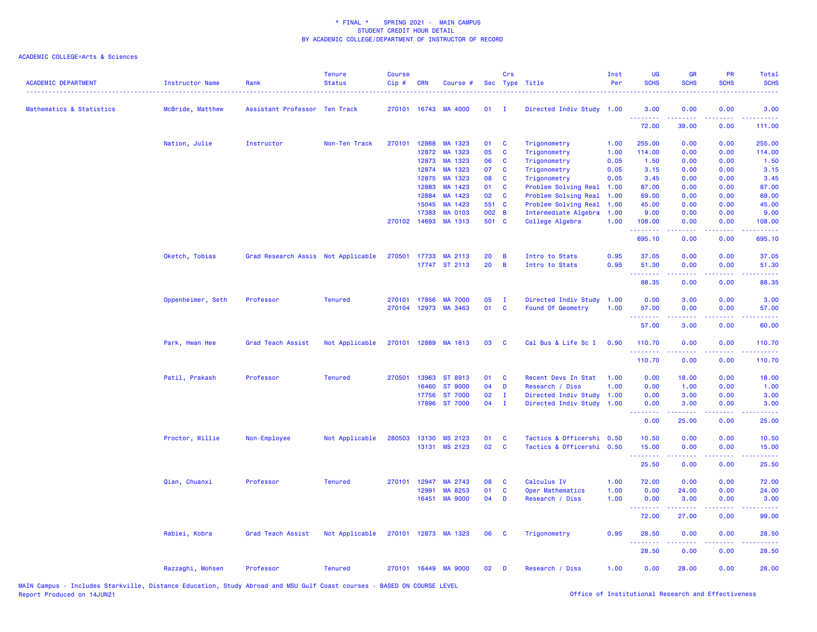| <b>ACADEMIC DEPARTMENT</b> | <b>Instructor Name</b> | Rank                               | <b>Tenure</b><br><b>Status</b> | <b>Course</b><br>Cip# | <b>CRN</b>     | Course #             |          | Crs            | Sec Type Title                               | Inst<br>Per  | <b>UG</b><br><b>SCHS</b>        | <b>GR</b><br><b>SCHS</b>                                                                                                          | PR<br><b>SCHS</b>                                                                                      | Total<br><b>SCHS</b>                                                                                    |
|----------------------------|------------------------|------------------------------------|--------------------------------|-----------------------|----------------|----------------------|----------|----------------|----------------------------------------------|--------------|---------------------------------|-----------------------------------------------------------------------------------------------------------------------------------|--------------------------------------------------------------------------------------------------------|---------------------------------------------------------------------------------------------------------|
| Mathematics & Statistics   | McBride, Matthew       | Assistant Professor Ten Track      |                                |                       |                | 270101 16743 MA 4000 | 01       | $\mathbf{I}$   | Directed Indiv Study                         | 1.00         | 3.00<br>.                       | 0.00                                                                                                                              | 0.00                                                                                                   | 3.00                                                                                                    |
|                            |                        |                                    |                                |                       |                |                      |          |                |                                              |              | 72.00                           | 39.00                                                                                                                             | 0.00                                                                                                   | 111.00                                                                                                  |
|                            | Nation, Julie          | Instructor                         | Non-Ten Track                  | 270101                | 12868          | MA 1323              | 01       | C              | Trigonometry                                 | 1.00         | 255.00                          | 0.00                                                                                                                              | 0.00                                                                                                   | 255.00                                                                                                  |
|                            |                        |                                    |                                |                       | 12872          | MA 1323              | 05       | $\mathbf c$    | Trigonometry                                 | 1.00         | 114.00                          | 0.00                                                                                                                              | 0.00                                                                                                   | 114.00                                                                                                  |
|                            |                        |                                    |                                |                       | 12873          | MA 1323              | 06       | C              | Trigonometry                                 | 0.05         | 1.50                            | 0.00                                                                                                                              | 0.00                                                                                                   | 1.50                                                                                                    |
|                            |                        |                                    |                                |                       | 12874          | MA 1323              | 07       | C              | Trigonometry                                 | 0.05         | 3.15                            | 0.00                                                                                                                              | 0.00                                                                                                   | 3.15                                                                                                    |
|                            |                        |                                    |                                |                       | 12875          | MA 1323              | 08       | C              | Trigonometry                                 | 0.05         | 3.45                            | 0.00                                                                                                                              | 0.00                                                                                                   | 3.45                                                                                                    |
|                            |                        |                                    |                                |                       | 12883<br>12884 | MA 1423<br>MA 1423   | 01<br>02 | C<br>C         | Problem Solving Real                         | 1.00<br>1.00 | 87.00<br>69.00                  | 0.00<br>0.00                                                                                                                      | 0.00<br>0.00                                                                                           | 87.00<br>69.00                                                                                          |
|                            |                        |                                    |                                |                       | 15045          | MA 1423              | 551 C    |                | Problem Solving Real<br>Problem Solving Real | 1.00         | 45.00                           | 0.00                                                                                                                              | 0.00                                                                                                   | 45.00                                                                                                   |
|                            |                        |                                    |                                |                       | 17383          | <b>MA 0103</b>       | 002 B    |                | Intermediate Algebra                         | 1.00         | 9.00                            | 0.00                                                                                                                              | 0.00                                                                                                   | 9.00                                                                                                    |
|                            |                        |                                    |                                |                       | 270102 14693   | MA 1313              | 501 C    |                | College Algebra                              | 1.00         | 108.00                          | 0.00                                                                                                                              | 0.00                                                                                                   | 108.00                                                                                                  |
|                            |                        |                                    |                                |                       |                |                      |          |                |                                              |              | .                               | .                                                                                                                                 | .                                                                                                      | 22222                                                                                                   |
|                            |                        |                                    |                                |                       |                |                      |          |                |                                              |              | 695.10                          | 0.00                                                                                                                              | 0.00                                                                                                   | 695.10                                                                                                  |
|                            | Oketch, Tobias         | Grad Research Assis Not Applicable |                                | 270501                |                | 17733 MA 2113        | 20       | B              | Intro to Stats                               | 0.95         | 37.05                           | 0.00                                                                                                                              | 0.00                                                                                                   | 37.05                                                                                                   |
|                            |                        |                                    |                                |                       |                | 17747 ST 2113        | 20       | $\overline{B}$ | Intro to Stats                               | 0.95         | 51.30<br>.                      | 0.00                                                                                                                              | 0.00                                                                                                   | 51.30                                                                                                   |
|                            |                        |                                    |                                |                       |                |                      |          |                |                                              |              | 88.35                           | 0.00                                                                                                                              | 0.00                                                                                                   | 88.35                                                                                                   |
|                            | Oppenheimer, Seth      | Professor                          | <b>Tenured</b>                 |                       | 270101 17856   | <b>MA 7000</b>       | 05       | $\mathbf{I}$   | Directed Indiv Study                         | 1.00         | 0.00                            | 3.00                                                                                                                              | 0.00                                                                                                   | 3.00                                                                                                    |
|                            |                        |                                    |                                |                       |                | 270104 12973 MA 3463 | 01       | <b>C</b>       | Found Of Geometry                            | 1.00         | 57.00<br>.                      | 0.00                                                                                                                              | 0.00                                                                                                   | 57.00                                                                                                   |
|                            |                        |                                    |                                |                       |                |                      |          |                |                                              |              | 57.00                           | 3.00                                                                                                                              | 0.00                                                                                                   | 60.00                                                                                                   |
|                            | Park, Hwan Hee         | Grad Teach Assist                  | Not Applicable                 |                       |                | 270101 12889 MA 1613 | 03       | <b>C</b>       | Cal Bus & Life Sc I                          | 0.90         | 110.70                          | 0.00                                                                                                                              | 0.00                                                                                                   | 110.70                                                                                                  |
|                            |                        |                                    |                                |                       |                |                      |          |                |                                              |              | .<br>110.70                     | $\frac{1}{2} \left( \frac{1}{2} \right) \left( \frac{1}{2} \right) \left( \frac{1}{2} \right) \left( \frac{1}{2} \right)$<br>0.00 | .<br>0.00                                                                                              | .<br>110.70                                                                                             |
|                            | Patil, Prakash         | Professor                          | <b>Tenured</b>                 |                       | 270501 13963   | ST 8913              | 01       | C              | Recent Devs In Stat                          | 1.00         | 0.00                            | 18.00                                                                                                                             | 0.00                                                                                                   | 18.00                                                                                                   |
|                            |                        |                                    |                                |                       | 16460          | <b>ST 9000</b>       | 04       | D              | Research / Diss                              | 1.00         | 0.00                            | 1.00                                                                                                                              | 0.00                                                                                                   | 1.00                                                                                                    |
|                            |                        |                                    |                                |                       | 17756          | <b>ST 7000</b>       | 02       | T              | Directed Indiv Study                         | 1.00         | 0.00                            | 3.00                                                                                                                              | 0.00                                                                                                   | 3.00                                                                                                    |
|                            |                        |                                    |                                |                       |                | 17896 ST 7000        | 04       | $\mathbf{I}$   | Directed Indiv Study                         | 1.00         | 0.00<br>$\omega$ is $\omega$ in | 3.00                                                                                                                              | 0.00<br>$\sim$ $\sim$ $\sim$ $\sim$                                                                    | 3.00                                                                                                    |
|                            |                        |                                    |                                |                       |                |                      |          |                |                                              |              | 0.00                            | 25.00                                                                                                                             | 0.00                                                                                                   | 25.00                                                                                                   |
|                            | Proctor, Willie        | Non-Employee                       | Not Applicable                 | 280503                | 13130          | MS 2123              | 01       | C              | Tactics & Officershi 0.50                    |              | 10.50                           | 0.00                                                                                                                              | 0.00                                                                                                   | 10.50                                                                                                   |
|                            |                        |                                    |                                |                       | 13131          | MS 2123              | 02       | C              | Tactics & Officershi 0.50                    |              | 15.00<br>.                      | 0.00<br>د د د د                                                                                                                   | 0.00<br>$\frac{1}{2} \left( \frac{1}{2} \right) \left( \frac{1}{2} \right) \left( \frac{1}{2} \right)$ | 15.00<br>$\frac{1}{2} \left( \frac{1}{2} \right) \left( \frac{1}{2} \right) \left( \frac{1}{2} \right)$ |
|                            |                        |                                    |                                |                       |                |                      |          |                |                                              |              | 25.50                           | 0.00                                                                                                                              | 0.00                                                                                                   | 25.50                                                                                                   |
|                            | Qian, Chuanxi          | Professor                          | <b>Tenured</b>                 | 270101                | 12947          | MA 2743              | 08       | C              | Calculus IV                                  | 1.00         | 72.00                           | 0.00                                                                                                                              | 0.00                                                                                                   | 72.00                                                                                                   |
|                            |                        |                                    |                                |                       | 12991          | MA 8253              | 01       | C              | Oper Mathematics                             | 1.00         | 0.00                            | 24.00                                                                                                                             | 0.00                                                                                                   | 24.00                                                                                                   |
|                            |                        |                                    |                                |                       | 16451          | <b>MA 9000</b>       | 04       | D              | Research / Diss                              | 1.00         | 0.00<br>.                       | 3.00<br>.                                                                                                                         | 0.00<br>.                                                                                              | 3.00<br>.                                                                                               |
|                            |                        |                                    |                                |                       |                |                      |          |                |                                              |              | 72.00                           | 27.00                                                                                                                             | 0.00                                                                                                   | 99.00                                                                                                   |
|                            | Rabiei, Kobra          | Grad Teach Assist                  | Not Applicable                 |                       |                | 270101 12873 MA 1323 | 06       | <b>C</b>       | Trigonometry                                 | 0.95         | 28.50                           | 0.00                                                                                                                              | 0.00                                                                                                   | 28.50                                                                                                   |
|                            |                        |                                    |                                |                       |                |                      |          |                |                                              |              | .<br>28.50                      | $\frac{1}{2} \left( \frac{1}{2} \right) \left( \frac{1}{2} \right) \left( \frac{1}{2} \right) \left( \frac{1}{2} \right)$<br>0.00 | .<br>0.00                                                                                              | .<br>28.50                                                                                              |
|                            | Razzaghi, Mohsen       | Professor                          | <b>Tenured</b>                 |                       |                | 270101 16449 MA 9000 | 02       | D              | Research / Diss                              | 1.00         | 0.00                            | 28.00                                                                                                                             | 0.00                                                                                                   | 28.00                                                                                                   |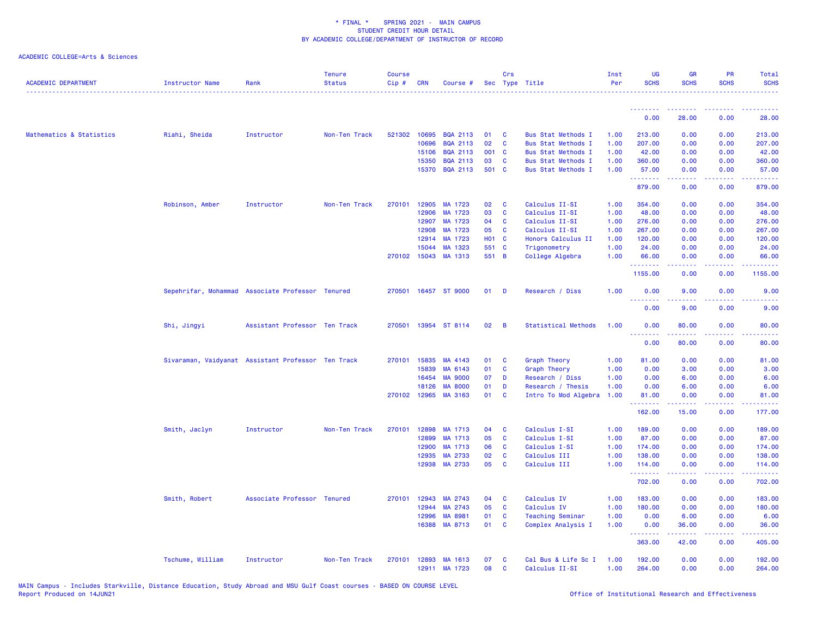| <b>ACADEMIC DEPARTMENT</b> | <b>Instructor Name</b>                             | Rank                          | <b>Tenure</b><br><b>Status</b> | <b>Course</b><br>Cip# | <b>CRN</b>   | Course #             |              | Crs            | Sec Type Title             | Inst<br>Per | <b>UG</b><br><b>SCHS</b> | <b>GR</b><br><b>SCHS</b>                                                                                                                                     | <b>PR</b><br><b>SCHS</b> | <b>Total</b><br><b>SCHS</b>                                                                                                                                    |
|----------------------------|----------------------------------------------------|-------------------------------|--------------------------------|-----------------------|--------------|----------------------|--------------|----------------|----------------------------|-------------|--------------------------|--------------------------------------------------------------------------------------------------------------------------------------------------------------|--------------------------|----------------------------------------------------------------------------------------------------------------------------------------------------------------|
|                            |                                                    |                               |                                |                       |              |                      |              |                |                            |             | .                        | .                                                                                                                                                            | .                        | .                                                                                                                                                              |
|                            |                                                    |                               |                                |                       |              |                      |              |                |                            |             | 0.00                     | 28.00                                                                                                                                                        | 0.00                     | 28.00                                                                                                                                                          |
| Mathematics & Statistics   | Riahi, Sheida                                      | Instructor                    | Non-Ten Track                  | 521302                | 10695        | <b>BQA 2113</b>      | 01           | C              | <b>Bus Stat Methods I</b>  | 1.00        | 213.00                   | 0.00                                                                                                                                                         | 0.00                     | 213.00                                                                                                                                                         |
|                            |                                                    |                               |                                |                       | 10696        | <b>BOA 2113</b>      | 02           | $\mathbf{C}$   | <b>Bus Stat Methods I</b>  | 1.00        | 207.00                   | 0.00                                                                                                                                                         | 0.00                     | 207.00                                                                                                                                                         |
|                            |                                                    |                               |                                |                       | 15106        | <b>BQA 2113</b>      | 001 C        |                | <b>Bus Stat Methods I</b>  | 1.00        | 42.00                    | 0.00                                                                                                                                                         | 0.00                     | 42.00                                                                                                                                                          |
|                            |                                                    |                               |                                |                       | 15350        | <b>BQA 2113</b>      | 03           | C              | <b>Bus Stat Methods I</b>  | 1.00        | 360.00                   | 0.00                                                                                                                                                         | 0.00                     | 360.00                                                                                                                                                         |
|                            |                                                    |                               |                                |                       | 15370        | <b>BQA 2113</b>      | 501 C        |                | <b>Bus Stat Methods I</b>  | 1.00        | 57.00                    | 0.00                                                                                                                                                         | 0.00<br>.                | 57.00                                                                                                                                                          |
|                            |                                                    |                               |                                |                       |              |                      |              |                |                            |             | .<br>879.00              | $\frac{1}{2} \left( \frac{1}{2} \right) \left( \frac{1}{2} \right) \left( \frac{1}{2} \right) \left( \frac{1}{2} \right) \left( \frac{1}{2} \right)$<br>0.00 | 0.00                     | $\begin{array}{cccccccccc} \bullet & \bullet & \bullet & \bullet & \bullet & \bullet & \bullet & \bullet \end{array}$<br>879.00                                |
|                            | Robinson, Amber                                    | Instructor                    | Non-Ten Track                  | 270101                | 12905        | MA 1723              | 02           | C              | Calculus II-SI             | 1.00        | 354,00                   | 0.00                                                                                                                                                         | 0.00                     | 354.00                                                                                                                                                         |
|                            |                                                    |                               |                                |                       | 12906        | MA 1723              | 03           | C              | Calculus II-SI             | 1.00        | 48.00                    | 0.00                                                                                                                                                         | 0.00                     | 48.00                                                                                                                                                          |
|                            |                                                    |                               |                                |                       | 12907        | MA 1723              | 04           | C              | Calculus II-SI             | 1.00        | 276.00                   | 0.00                                                                                                                                                         | 0.00                     | 276.00                                                                                                                                                         |
|                            |                                                    |                               |                                |                       | 12908        | MA 1723              | 05           | C              | Calculus II-SI             | 1.00        | 267.00                   | 0.00                                                                                                                                                         | 0.00                     | 267.00                                                                                                                                                         |
|                            |                                                    |                               |                                |                       | 12914        | MA 1723              | <b>HO1 C</b> |                | Honors Calculus II         | 1.00        | 120.00                   | 0.00                                                                                                                                                         | 0.00                     | 120.00                                                                                                                                                         |
|                            |                                                    |                               |                                |                       | 15044        | MA 1323              | 551 C        |                | Trigonometry               | 1.00        | 24.00                    | 0.00                                                                                                                                                         | 0.00                     | 24.00                                                                                                                                                          |
|                            |                                                    |                               |                                |                       | 270102 15043 | MA 1313              | 551 B        |                | College Algebra            | 1.00        | 66.00                    | 0.00                                                                                                                                                         | 0.00                     | 66.00                                                                                                                                                          |
|                            |                                                    |                               |                                |                       |              |                      |              |                |                            |             | 1155.00                  | 0.00                                                                                                                                                         | 0.00                     | 1155.00                                                                                                                                                        |
|                            | Sepehrifar, Mohammad Associate Professor Tenured   |                               |                                |                       |              | 270501 16457 ST 9000 | 01           | <b>D</b>       | Research / Diss            | 1.00        | 0.00<br>.<br>.           | 9.00                                                                                                                                                         | 0.00                     | 9.00                                                                                                                                                           |
|                            |                                                    |                               |                                |                       |              |                      |              |                |                            |             | 0.00                     | 9.00                                                                                                                                                         | 0.00                     | 9.00                                                                                                                                                           |
|                            | Shi, Jingyi                                        | Assistant Professor Ten Track |                                | 270501                |              | 13954 ST 8114        | 02           | $\overline{B}$ | <b>Statistical Methods</b> | 1.00        | 0.00<br>.                | 80.00                                                                                                                                                        | 0.00                     | 80.00                                                                                                                                                          |
|                            |                                                    |                               |                                |                       |              |                      |              |                |                            |             | 0.00                     | 80.00                                                                                                                                                        | 0.00                     | 80.00                                                                                                                                                          |
|                            | Sivaraman, Vaidyanat Assistant Professor Ten Track |                               |                                |                       | 270101 15835 | MA 4143              | 01           | C              | <b>Graph Theory</b>        | 1.00        | 81.00                    | 0.00                                                                                                                                                         | 0.00                     | 81.00                                                                                                                                                          |
|                            |                                                    |                               |                                |                       | 15839        | MA 6143              | 01           | C              | <b>Graph Theory</b>        | 1.00        | 0.00                     | 3.00                                                                                                                                                         | 0.00                     | 3.00                                                                                                                                                           |
|                            |                                                    |                               |                                |                       | 16454        | <b>MA 9000</b>       | 07           | D              | Research / Diss            | 1.00        | 0.00                     | 6.00                                                                                                                                                         | 0.00                     | 6.00                                                                                                                                                           |
|                            |                                                    |                               |                                |                       | 18126        | <b>MA 8000</b>       | 01           | D              | Research / Thesis          | 1.00        | 0.00                     | 6.00                                                                                                                                                         | 0.00                     | 6.00                                                                                                                                                           |
|                            |                                                    |                               |                                |                       |              | 270102 12965 MA 3163 | 01           | C              | Intro To Mod Algebra       | 1.00        | 81.00                    | 0.00                                                                                                                                                         | 0.00                     | 81.00                                                                                                                                                          |
|                            |                                                    |                               |                                |                       |              |                      |              |                |                            |             | 162.00                   | 15.00                                                                                                                                                        | 0.00                     | 177.00                                                                                                                                                         |
|                            | Smith, Jaclyn                                      | Instructor                    | Non-Ten Track                  |                       | 270101 12898 | MA 1713              | 04           | <b>C</b>       | Calculus I-SI              | 1.00        | 189.00                   | 0.00                                                                                                                                                         | 0.00                     | 189.00                                                                                                                                                         |
|                            |                                                    |                               |                                |                       | 12899        | MA 1713              | 05           | C              | Calculus I-SI              | 1.00        | 87.00                    | 0.00                                                                                                                                                         | 0.00                     | 87.00                                                                                                                                                          |
|                            |                                                    |                               |                                |                       | 12900        | MA 1713              | 06           | C              | Calculus I-SI              | 1.00        | 174.00                   | 0.00                                                                                                                                                         | 0.00                     | 174.00                                                                                                                                                         |
|                            |                                                    |                               |                                |                       | 12935        | MA 2733              | 02           | C              | Calculus III               | 1.00        | 138.00                   | 0.00                                                                                                                                                         | 0.00                     | 138.00                                                                                                                                                         |
|                            |                                                    |                               |                                |                       | 12938        | MA 2733              | 05           | C              | Calculus III               | 1.00        | 114,00                   | 0.00                                                                                                                                                         | 0.00                     | 114.00                                                                                                                                                         |
|                            |                                                    |                               |                                |                       |              |                      |              |                |                            |             | 702.00                   | 22222<br>0.00                                                                                                                                                | د د د د .<br>0.00        | $\frac{1}{2} \left( \frac{1}{2} \right) \left( \frac{1}{2} \right) \left( \frac{1}{2} \right) \left( \frac{1}{2} \right) \left( \frac{1}{2} \right)$<br>702.00 |
|                            | Smith, Robert                                      | Associate Professor Tenured   |                                | 270101                | 12943        | MA 2743              | 04           | <b>C</b>       | Calculus IV                | 1.00        | 183.00                   | 0.00                                                                                                                                                         | 0.00                     | 183.00                                                                                                                                                         |
|                            |                                                    |                               |                                |                       | 12944        | MA 2743              | 05           | C              | Calculus IV                | 1.00        | 180.00                   | 0.00                                                                                                                                                         | 0.00                     | 180.00                                                                                                                                                         |
|                            |                                                    |                               |                                |                       | 12996        | MA 8981              | 01           | C              | <b>Teaching Seminar</b>    | 1.00        | 0.00                     | 6.00                                                                                                                                                         | 0.00                     | 6.00                                                                                                                                                           |
|                            |                                                    |                               |                                |                       | 16388        | MA 8713              | 01           | C              | Complex Analysis I         | 1.00        | 0.00                     | 36.00                                                                                                                                                        | 0.00                     | 36.00                                                                                                                                                          |
|                            |                                                    |                               |                                |                       |              |                      |              |                |                            |             | .<br>363.00              | $\frac{1}{2} \left( \frac{1}{2} \right) \left( \frac{1}{2} \right) \left( \frac{1}{2} \right) \left( \frac{1}{2} \right)$<br>42.00                           | د د د د .<br>0.00        | .<br>405.00                                                                                                                                                    |
|                            | Tschume, William                                   | Instructor                    | Non-Ten Track                  | 270101                | 12893        | MA 1613              | 07           | <b>C</b>       | Cal Bus & Life Sc I        | 1.00        | 192.00                   | 0.00                                                                                                                                                         | 0.00                     | 192.00                                                                                                                                                         |
|                            |                                                    |                               |                                |                       |              | 12911 MA 1723        | 08           | C              | Calculus II-SI             | 1.00        | 264.00                   | 0.00                                                                                                                                                         | 0.00                     | 264.00                                                                                                                                                         |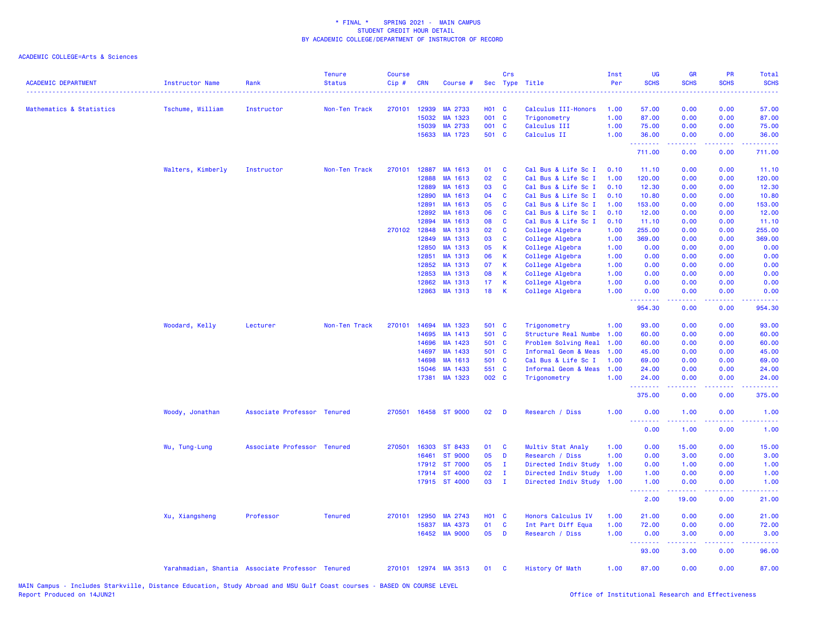| <b>ACADEMIC DEPARTMENT</b> | <b>Instructor Name</b> | Rank                                             | <b>Tenure</b><br><b>Status</b> | <b>Course</b><br>Cip# | <b>CRN</b>     | Course #             |                 | Crs           | Sec Type Title                             | Inst<br>Per  | <b>UG</b><br><b>SCHS</b>                                                                                                          | <b>GR</b><br><b>SCHS</b> | <b>PR</b><br><b>SCHS</b>        | Total<br><b>SCHS</b><br>$\frac{1}{2} \left( \frac{1}{2} \right) \left( \frac{1}{2} \right) \left( \frac{1}{2} \right) \left( \frac{1}{2} \right)$ |
|----------------------------|------------------------|--------------------------------------------------|--------------------------------|-----------------------|----------------|----------------------|-----------------|---------------|--------------------------------------------|--------------|-----------------------------------------------------------------------------------------------------------------------------------|--------------------------|---------------------------------|---------------------------------------------------------------------------------------------------------------------------------------------------|
| Mathematics & Statistics   | Tschume, William       | Instructor                                       | Non-Ten Track                  | 270101                | 12939          | MA 2733              | <b>HO1 C</b>    |               | Calculus III-Honors                        | 1.00         | 57.00                                                                                                                             | 0.00                     | 0.00                            | 57.00                                                                                                                                             |
|                            |                        |                                                  |                                |                       | 15032          | MA 1323              | 001 C           |               | Trigonometry                               | 1.00         | 87.00                                                                                                                             | 0.00                     | 0.00                            | 87.00                                                                                                                                             |
|                            |                        |                                                  |                                |                       | 15039          | MA 2733              | 001 C           |               | Calculus III                               | 1.00         | 75.00                                                                                                                             | 0.00                     | 0.00                            | 75.00                                                                                                                                             |
|                            |                        |                                                  |                                |                       | 15633          | MA 1723              | 501 C           |               | Calculus II                                | 1.00         | 36.00<br>2.2.2.2.2.2.2                                                                                                            | 0.00<br>.                | 0.00<br>$\omega$ is $\omega$ in | 36.00<br>.                                                                                                                                        |
|                            |                        |                                                  |                                |                       |                |                      |                 |               |                                            |              | 711.00                                                                                                                            | 0.00                     | 0.00                            | 711.00                                                                                                                                            |
|                            | Walters, Kimberly      | Instructor                                       | Non-Ten Track                  | 270101                | 12887          | MA 1613              | 01              | C             | Cal Bus & Life Sc I                        | 0.10         | 11.10                                                                                                                             | 0.00                     | 0.00                            | 11.10                                                                                                                                             |
|                            |                        |                                                  |                                |                       | 12888          | MA 1613              | 02              | C             | Cal Bus & Life Sc I                        | 1.00         | 120.00                                                                                                                            | 0.00                     | 0.00                            | 120.00                                                                                                                                            |
|                            |                        |                                                  |                                |                       | 12889          | MA 1613              | 03              | <b>C</b>      | Cal Bus & Life Sc I                        | 0.10         | 12.30                                                                                                                             | 0.00                     | 0.00                            | 12.30                                                                                                                                             |
|                            |                        |                                                  |                                |                       | 12890          | MA 1613              | 04              | C             | Cal Bus & Life Sc I                        | 0.10         | 10.80                                                                                                                             | 0.00                     | 0.00                            | 10.80                                                                                                                                             |
|                            |                        |                                                  |                                |                       | 12891<br>12892 | MA 1613<br>MA 1613   | 05<br>06        | <b>C</b><br>C | Cal Bus & Life Sc I                        | 1.00<br>0.10 | 153.00<br>12.00                                                                                                                   | 0.00                     | 0.00                            | 153.00                                                                                                                                            |
|                            |                        |                                                  |                                |                       |                |                      | 08              | C             | Cal Bus & Life Sc I<br>Cal Bus & Life Sc I |              |                                                                                                                                   | 0.00                     | 0.00                            | 12.00                                                                                                                                             |
|                            |                        |                                                  |                                | 270102 12848          | 12894          | MA 1613<br>MA 1313   | 02              | C             | College Algebra                            | 0.10<br>1.00 | 11.10<br>255.00                                                                                                                   | 0.00<br>0.00             | 0.00<br>0.00                    | 11.10<br>255.00                                                                                                                                   |
|                            |                        |                                                  |                                |                       | 12849          | MA 1313              | 03              | C             | College Algebra                            | 1.00         | 369.00                                                                                                                            | 0.00                     | 0.00                            | 369.00                                                                                                                                            |
|                            |                        |                                                  |                                |                       | 12850          | MA 1313              | 05              | К             | College Algebra                            | 1.00         | 0.00                                                                                                                              | 0.00                     | 0.00                            | 0.00                                                                                                                                              |
|                            |                        |                                                  |                                |                       | 12851          | MA 1313              | 06              | К             | College Algebra                            | 1.00         | 0.00                                                                                                                              | 0.00                     | 0.00                            | 0.00                                                                                                                                              |
|                            |                        |                                                  |                                |                       | 12852          | MA 1313              | 07              | К             | College Algebra                            | 1.00         | 0.00                                                                                                                              | 0.00                     | 0.00                            | 0.00                                                                                                                                              |
|                            |                        |                                                  |                                |                       | 12853          | MA 1313              | 08              | К             | College Algebra                            | 1.00         | 0.00                                                                                                                              | 0.00                     | 0.00                            | 0.00                                                                                                                                              |
|                            |                        |                                                  |                                |                       | 12862          | MA 1313              | 17 <sub>1</sub> | К             | College Algebra                            | 1.00         | 0.00                                                                                                                              | 0.00                     | 0.00                            | 0.00                                                                                                                                              |
|                            |                        |                                                  |                                |                       | 12863          | MA 1313              | 18              | K             | College Algebra                            | 1.00         | 0.00                                                                                                                              | 0.00                     | 0.00                            | 0.00                                                                                                                                              |
|                            |                        |                                                  |                                |                       |                |                      |                 |               |                                            |              | .<br>954.30                                                                                                                       | .<br>0.00                | د د د د<br>0.00                 | .<br>954.30                                                                                                                                       |
|                            | Woodard, Kelly         | Lecturer                                         | Non-Ten Track                  | 270101                | 14694          | MA 1323              | 501 C           |               | Trigonometry                               | 1.00         | 93.00                                                                                                                             | 0.00                     | 0.00                            | 93.00                                                                                                                                             |
|                            |                        |                                                  |                                |                       | 14695          | MA 1413              | 501 C           |               | Structure Real Numbe                       | 1.00         | 60.00                                                                                                                             | 0.00                     | 0.00                            | 60.00                                                                                                                                             |
|                            |                        |                                                  |                                |                       | 14696          | MA 1423              | 501 C           |               | Problem Solving Real                       | 1.00         | 60.00                                                                                                                             | 0.00                     | 0.00                            | 60.00                                                                                                                                             |
|                            |                        |                                                  |                                |                       | 14697          | MA 1433              | 501 C           |               | Informal Geom & Meas                       | 1.00         | 45.00                                                                                                                             | 0.00                     | 0.00                            | 45.00                                                                                                                                             |
|                            |                        |                                                  |                                |                       | 14698          | MA 1613              | 501 C           |               | Cal Bus & Life Sc I                        | 1.00         | 69.00                                                                                                                             | 0.00                     | 0.00                            | 69.00                                                                                                                                             |
|                            |                        |                                                  |                                |                       | 15046          | MA 1433              | 551 C           |               | Informal Geom & Meas                       | 1.00         | 24.00                                                                                                                             | 0.00                     | 0.00                            | 24.00                                                                                                                                             |
|                            |                        |                                                  |                                |                       |                | 17381 MA 1323        | 002 C           |               | Trigonometry                               | 1.00         | 24.00<br>.                                                                                                                        | 0.00                     | 0.00                            | 24.00                                                                                                                                             |
|                            |                        |                                                  |                                |                       |                |                      |                 |               |                                            |              | 375.00                                                                                                                            | 0.00                     | 0.00                            | 375.00                                                                                                                                            |
|                            | Woody, Jonathan        | Associate Professor Tenured                      |                                | 270501                |                | 16458 ST 9000        | 02              | D             | Research / Diss                            | 1.00         | 0.00<br>$\frac{1}{2} \left( \frac{1}{2} \right) \left( \frac{1}{2} \right) \left( \frac{1}{2} \right) \left( \frac{1}{2} \right)$ | 1.00                     | 0.00<br>.                       | 1.00                                                                                                                                              |
|                            |                        |                                                  |                                |                       |                |                      |                 |               |                                            |              | 0.00                                                                                                                              | 1.00                     | 0.00                            | 1.00                                                                                                                                              |
|                            | Wu, Tung-Lung          | Associate Professor Tenured                      |                                |                       | 270501 16303   | ST 8433              | 01              | <b>C</b>      | Multiv Stat Analy                          | 1.00         | 0.00                                                                                                                              | 15.00                    | 0.00                            | 15.00                                                                                                                                             |
|                            |                        |                                                  |                                |                       | 16461          | <b>ST 9000</b>       | 05              | D             | Research / Diss                            | 1.00         | 0.00                                                                                                                              | 3.00                     | 0.00                            | 3.00                                                                                                                                              |
|                            |                        |                                                  |                                |                       | 17912          | ST 7000              | 05              | $\mathbf{I}$  | Directed Indiv Study                       | 1.00         | 0.00                                                                                                                              | 1.00                     | 0.00                            | 1.00                                                                                                                                              |
|                            |                        |                                                  |                                |                       | 17914          | ST 4000              | 02              | Ι.            | Directed Indiv Study                       | 1.00         | 1.00                                                                                                                              | 0.00                     | 0.00                            | 1.00                                                                                                                                              |
|                            |                        |                                                  |                                |                       |                | 17915 ST 4000        | 03              | $\mathbf{I}$  | Directed Indiv Study                       | 1.00         | 1.00<br>.                                                                                                                         | 0.00<br>22222            | 0.00<br>د د د د .               | 1.00<br>2.2.2.2                                                                                                                                   |
|                            |                        |                                                  |                                |                       |                |                      |                 |               |                                            |              | 2.00                                                                                                                              | 19.00                    | 0.00                            | 21.00                                                                                                                                             |
|                            | Xu, Xiangsheng         | Professor                                        | <b>Tenured</b>                 | 270101                | 12950          | MA 2743              | <b>HO1 C</b>    |               | Honors Calculus IV                         | 1.00         | 21.00                                                                                                                             | 0.00                     | 0.00                            | 21.00                                                                                                                                             |
|                            |                        |                                                  |                                |                       | 15837          | MA 4373              | 01              | C             | Int Part Diff Equa                         | 1.00         | 72.00                                                                                                                             | 0.00                     | 0.00                            | 72.00                                                                                                                                             |
|                            |                        |                                                  |                                |                       |                | 16452 MA 9000        | 05              | D             | Research / Diss                            | 1.00         | 0.00<br><b>.</b> .                                                                                                                | 3.00                     | 0.00                            | 3.00<br>.                                                                                                                                         |
|                            |                        |                                                  |                                |                       |                |                      |                 |               |                                            |              | 93.00                                                                                                                             | 3.00                     | 0.00                            | 96.00                                                                                                                                             |
|                            |                        | Yarahmadian, Shantia Associate Professor Tenured |                                |                       |                | 270101 12974 MA 3513 | 01              | - C           | History Of Math                            | 1.00         | 87.00                                                                                                                             | 0.00                     | 0.00                            | 87.00                                                                                                                                             |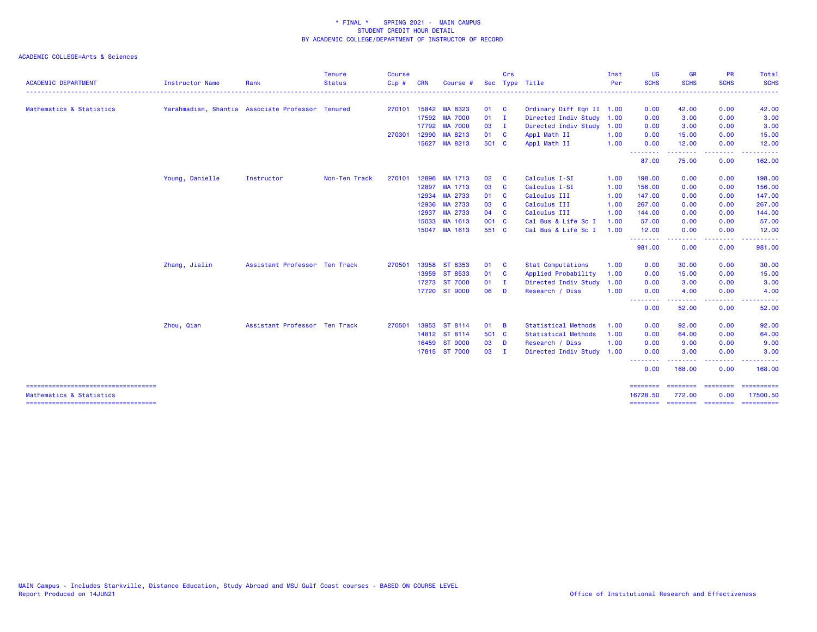|                                                                  |                                                  |                               | <b>Tenure</b><br><b>Status</b> | <b>Course</b> |            |               |              | Crs            |                            | Inst<br>Per | <b>UG</b>            | <b>GR</b>          | <b>PR</b>    | Total<br><b>SCHS</b>                                                                                                                                                                                                                                                                                                                                                                                                                                                                   |
|------------------------------------------------------------------|--------------------------------------------------|-------------------------------|--------------------------------|---------------|------------|---------------|--------------|----------------|----------------------------|-------------|----------------------|--------------------|--------------|----------------------------------------------------------------------------------------------------------------------------------------------------------------------------------------------------------------------------------------------------------------------------------------------------------------------------------------------------------------------------------------------------------------------------------------------------------------------------------------|
| <b>ACADEMIC DEPARTMENT</b>                                       | <b>Instructor Name</b>                           | Rank                          |                                | Cip#          | <b>CRN</b> | Course        |              |                | Sec Type Title             |             | <b>SCHS</b>          | <b>SCHS</b>        | <b>SCHS</b>  |                                                                                                                                                                                                                                                                                                                                                                                                                                                                                        |
| Mathematics & Statistics                                         | Yarahmadian, Shantia Associate Professor Tenured |                               |                                | 270101        | 15842      | MA 8323       | 01           | $\mathbf{C}$   | Ordinary Diff Eqn II 1.00  |             | 0.00                 | 42.00              | 0.00         | 42.00                                                                                                                                                                                                                                                                                                                                                                                                                                                                                  |
|                                                                  |                                                  |                               |                                |               |            | 17592 MA 7000 | 01           | $\blacksquare$ | Directed Indiv Study 1.00  |             | 0.00                 | 3.00               | 0.00         | 3.00                                                                                                                                                                                                                                                                                                                                                                                                                                                                                   |
|                                                                  |                                                  |                               |                                |               |            | 17792 MA 7000 | 03           | $\blacksquare$ | Directed Indiv Study 1.00  |             | 0.00                 | 3.00               | 0.00         | 3.00                                                                                                                                                                                                                                                                                                                                                                                                                                                                                   |
|                                                                  |                                                  |                               |                                | 270301        | 12990      | MA 8213       | 01 C         |                | Appl Math II               | 1.00        | 0.00                 | 15.00              | 0.00         | 15.00                                                                                                                                                                                                                                                                                                                                                                                                                                                                                  |
|                                                                  |                                                  |                               |                                |               |            | 15627 MA 8213 | 501 C        |                | Appl Math II               | 1.00        | 0.00<br>.            | 12.00<br>.         | 0.00<br>.    | 12.00                                                                                                                                                                                                                                                                                                                                                                                                                                                                                  |
|                                                                  |                                                  |                               |                                |               |            |               |              |                |                            |             | 87.00                | 75.00              | 0.00         | 162.00                                                                                                                                                                                                                                                                                                                                                                                                                                                                                 |
|                                                                  | Young, Danielle                                  | Instructor                    | Non-Ten Track                  | 270101        |            | 12896 MA 1713 | 02           | <b>C</b>       | Calculus I-SI              | 1.00        | 198.00               | 0.00               | 0.00         | 198.00                                                                                                                                                                                                                                                                                                                                                                                                                                                                                 |
|                                                                  |                                                  |                               |                                |               |            | 12897 MA 1713 | 03           | <b>C</b>       | Calculus I-SI              | 1.00        | 156.00               | 0.00               | 0.00         | 156.00                                                                                                                                                                                                                                                                                                                                                                                                                                                                                 |
|                                                                  |                                                  |                               |                                |               | 12934      | MA 2733       | 01           | $\mathbf{C}$   | Calculus III               | 1.00        | 147.00               | 0.00               | 0.00         | 147.00                                                                                                                                                                                                                                                                                                                                                                                                                                                                                 |
|                                                                  |                                                  |                               |                                |               | 12936      | MA 2733       | 03           | <b>C</b>       | Calculus III               | 1.00        | 267.00               | 0.00               | 0.00         | 267.00                                                                                                                                                                                                                                                                                                                                                                                                                                                                                 |
|                                                                  |                                                  |                               |                                |               | 12937      | MA 2733       | 04           | $\mathbf{C}$   | Calculus III               | 1.00        | 144.00               | 0.00               | 0.00         | 144.00                                                                                                                                                                                                                                                                                                                                                                                                                                                                                 |
|                                                                  |                                                  |                               |                                |               | 15033      | MA 1613       | 001 C        |                | Cal Bus & Life Sc I        | 1.00        | 57.00                | 0.00               | 0.00         | 57.00                                                                                                                                                                                                                                                                                                                                                                                                                                                                                  |
|                                                                  |                                                  |                               |                                |               |            | 15047 MA 1613 | 551 C        |                | Cal Bus & Life Sc I        | 1.00        | 12.00<br>.           | 0.00<br>.          | 0.00<br>---- | 12.00                                                                                                                                                                                                                                                                                                                                                                                                                                                                                  |
|                                                                  |                                                  |                               |                                |               |            |               |              |                |                            |             | 981.00               | 0.00               | 0.00         | 981.00                                                                                                                                                                                                                                                                                                                                                                                                                                                                                 |
|                                                                  | Zhang, Jialin                                    | Assistant Professor Ten Track |                                | 270501        |            | 13958 ST 8353 | 01           | $\mathbf{C}$   | <b>Stat Computations</b>   | 1.00        | 0.00                 | 30.00              | 0.00         | 30.00                                                                                                                                                                                                                                                                                                                                                                                                                                                                                  |
|                                                                  |                                                  |                               |                                |               |            | 13959 ST 8533 | 01 C         |                | Applied Probability        | 1.00        | 0.00                 | 15.00              | 0.00         | 15.00                                                                                                                                                                                                                                                                                                                                                                                                                                                                                  |
|                                                                  |                                                  |                               |                                |               |            | 17273 ST 7000 | 01           | $\blacksquare$ | Directed Indiv Study       | 1.00        | 0.00                 | 3.00               | 0.00         | 3.00                                                                                                                                                                                                                                                                                                                                                                                                                                                                                   |
|                                                                  |                                                  |                               |                                |               |            | 17720 ST 9000 | 06           | D              | Research / Diss            | 1.00        | 0.00<br><b></b>      | 4.00<br>. <b>.</b> | 0.00<br>.    | 4.00<br>.                                                                                                                                                                                                                                                                                                                                                                                                                                                                              |
|                                                                  |                                                  |                               |                                |               |            |               |              |                |                            |             | 0.00                 | 52.00              | 0.00         | 52.00                                                                                                                                                                                                                                                                                                                                                                                                                                                                                  |
|                                                                  | Zhou, Qian                                       | Assistant Professor Ten Track |                                | 270501        |            | 13953 ST 8114 | 01           | - B            | <b>Statistical Methods</b> | 1.00        | 0.00                 | 92.00              | 0.00         | 92.00                                                                                                                                                                                                                                                                                                                                                                                                                                                                                  |
|                                                                  |                                                  |                               |                                |               |            | 14812 ST 8114 | 501 C        |                | <b>Statistical Methods</b> | 1.00        | 0.00                 | 64.00              | 0.00         | 64.00                                                                                                                                                                                                                                                                                                                                                                                                                                                                                  |
|                                                                  |                                                  |                               |                                |               |            | 16459 ST 9000 | 03 D         |                | Research / Diss            | 1.00        | 0.00                 | 9.00               | 0.00         | 9.00                                                                                                                                                                                                                                                                                                                                                                                                                                                                                   |
|                                                                  |                                                  |                               |                                |               |            | 17815 ST 7000 | $03 \quad I$ |                | Directed Indiv Study       | 1.00        | 0.00                 | 3.00               | 0.00         | 3.00                                                                                                                                                                                                                                                                                                                                                                                                                                                                                   |
|                                                                  |                                                  |                               |                                |               |            |               |              |                |                            |             | 0.00                 | 168.00             | 0.00         | 168.00                                                                                                                                                                                                                                                                                                                                                                                                                                                                                 |
| ====================================<br>Mathematics & Statistics |                                                  |                               |                                |               |            |               |              |                |                            |             | ========<br>16728.50 | 772.00             | 0.00         | =======<br>17500.50                                                                                                                                                                                                                                                                                                                                                                                                                                                                    |
|                                                                  |                                                  |                               |                                |               |            |               |              |                |                            |             | ========             | ================== |              | $\begin{array}{cccccccccc} \multicolumn{2}{c}{} & \multicolumn{2}{c}{} & \multicolumn{2}{c}{} & \multicolumn{2}{c}{} & \multicolumn{2}{c}{} & \multicolumn{2}{c}{} & \multicolumn{2}{c}{} & \multicolumn{2}{c}{} & \multicolumn{2}{c}{} & \multicolumn{2}{c}{} & \multicolumn{2}{c}{} & \multicolumn{2}{c}{} & \multicolumn{2}{c}{} & \multicolumn{2}{c}{} & \multicolumn{2}{c}{} & \multicolumn{2}{c}{} & \multicolumn{2}{c}{} & \multicolumn{2}{c}{} & \multicolumn{2}{c}{} & \mult$ |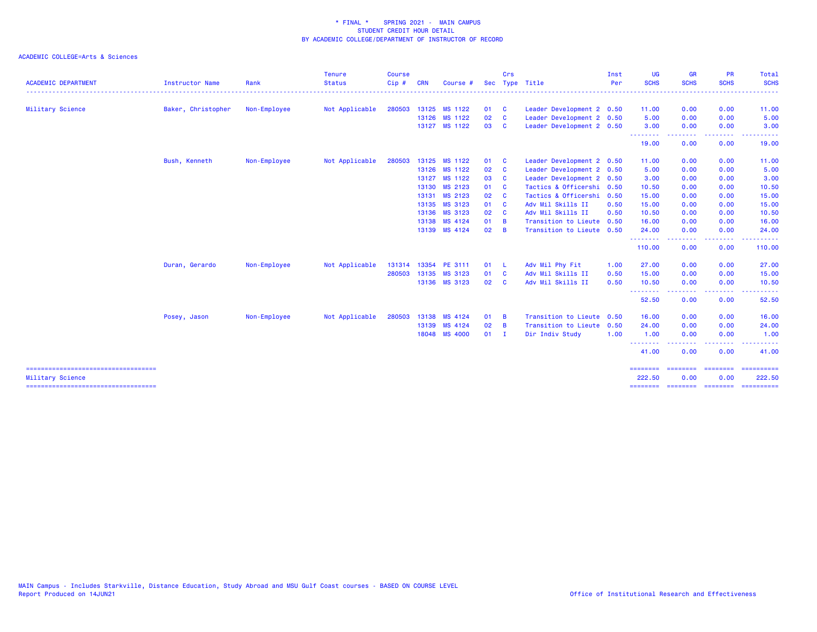| <b>ACADEMIC DEPARTMENT</b><br>Military Science             | <b>Instructor Name</b><br>Baker, Christopher | Rank<br>Non-Employee | <b>Status</b><br>Not Applicable | Cip#   | <b>CRN</b> | Course #             | <b>Sec</b> |              | Type Title                | Per  | <b>SCHS</b>        | <b>SCHS</b>                       | <b>SCHS</b> | <b>SCHS</b> |
|------------------------------------------------------------|----------------------------------------------|----------------------|---------------------------------|--------|------------|----------------------|------------|--------------|---------------------------|------|--------------------|-----------------------------------|-------------|-------------|
|                                                            |                                              |                      |                                 |        |            |                      |            |              |                           |      |                    |                                   |             |             |
|                                                            |                                              |                      |                                 | 280503 |            | 13125 MS 1122        | 01         | $\mathbf{C}$ | Leader Development 2 0.50 |      | 11.00              | 0.00                              | 0.00        | 11.00       |
|                                                            |                                              |                      |                                 |        |            | 13126 MS 1122        | 02         | <b>C</b>     | Leader Development 2 0.50 |      | 5.00               | 0.00                              | 0.00        | 5.00        |
|                                                            |                                              |                      |                                 |        |            | 13127 MS 1122        | 03         | <b>C</b>     | Leader Development 2 0.50 |      | 3.00<br>--------   | 0.00                              | 0.00        | 3.00        |
|                                                            |                                              |                      |                                 |        |            |                      |            |              |                           |      | 19.00              | 0.00                              | 0.00        | 19.00       |
|                                                            | Bush, Kenneth                                | Non-Employee         | Not Applicable                  | 280503 |            | 13125 MS 1122        | 01         | <b>C</b>     | Leader Development 2 0.50 |      | 11.00              | 0.00                              | 0.00        | 11.00       |
|                                                            |                                              |                      |                                 |        |            | 13126 MS 1122        | 02         | <b>C</b>     | Leader Development 2 0.50 |      | 5.00               | 0.00                              | 0.00        | 5.00        |
|                                                            |                                              |                      |                                 |        |            | 13127 MS 1122        | 03         | <b>C</b>     | Leader Development 2 0.50 |      | 3.00               | 0.00                              | 0.00        | 3.00        |
|                                                            |                                              |                      |                                 |        |            | 13130 MS 2123        | 01         | - C          | Tactics & Officershi 0.50 |      | 10.50              | 0.00                              | 0.00        | 10.50       |
|                                                            |                                              |                      |                                 |        |            | 13131 MS 2123        | 02         | - C          | Tactics & Officershi 0.50 |      | 15.00              | 0.00                              | 0.00        | 15.00       |
|                                                            |                                              |                      |                                 |        |            | 13135 MS 3123        | 01         | <b>C</b>     | Adv Mil Skills II         | 0.50 | 15.00              | 0.00                              | 0.00        | 15.00       |
|                                                            |                                              |                      |                                 |        |            | 13136 MS 3123        | 02         | - C          | Adv Mil Skills II         | 0.50 | 10.50              | 0.00                              | 0.00        | 10.50       |
|                                                            |                                              |                      |                                 |        |            | 13138 MS 4124        | 01         | - B          | Transition to Lieute      | 0.50 | 16.00              | 0.00                              | 0.00        | 16.00       |
|                                                            |                                              |                      |                                 |        |            | 13139 MS 4124        | 02         | - B          | Transition to Lieute 0.50 |      | 24.00<br>.         | 0.00                              | 0.00        | 24.00       |
|                                                            |                                              |                      |                                 |        |            |                      |            |              |                           |      | 110.00             | 0.00                              | 0.00        | 110.00      |
|                                                            | Duran, Gerardo                               | Non-Employee         | Not Applicable                  |        |            | 131314 13354 PE 3111 | 01         | - L          | Adv Mil Phy Fit           | 1.00 | 27.00              | 0.00                              | 0.00        | 27.00       |
|                                                            |                                              |                      |                                 |        |            | 280503 13135 MS 3123 | 01         | <b>C</b>     | Adv Mil Skills II         | 0.50 | 15.00              | 0.00                              | 0.00        | 15.00       |
|                                                            |                                              |                      |                                 |        |            | 13136 MS 3123        | 02         | <b>C</b>     | Adv Mil Skills II         | 0.50 | 10.50              | 0.00                              | 0.00        | 10.50       |
|                                                            |                                              |                      |                                 |        |            |                      |            |              |                           |      | --------<br>52.50  | 0.00                              | 0.00        | 52.50       |
|                                                            | Posey, Jason                                 | Non-Employee         | Not Applicable                  | 280503 |            | 13138 MS 4124        | 01         | - B          | Transition to Lieute 0.50 |      | 16.00              | 0.00                              | 0.00        | 16.00       |
|                                                            |                                              |                      |                                 |        |            | 13139 MS 4124        | 02         | - B          | Transition to Lieute 0.50 |      | 24.00              | 0.00                              | 0.00        | 24.00       |
|                                                            |                                              |                      |                                 |        |            | 18048 MS 4000        | $01$ I     |              | Dir Indiv Study           | 1.00 | 1.00               | 0.00                              | 0.00        | 1.00        |
|                                                            |                                              |                      |                                 |        |            |                      |            |              |                           |      | .<br>41.00         | 0.00                              | 0.00        | 41.00       |
|                                                            |                                              |                      |                                 |        |            |                      |            |              |                           |      | ========           | <b>EBBREERS</b>                   | ---------   | ==========  |
| Military Science<br>====================================== |                                              |                      |                                 |        |            |                      |            |              |                           |      | 222.50<br>======== | 0.00<br>-------- ------- -------- | 0.00        | 222.50      |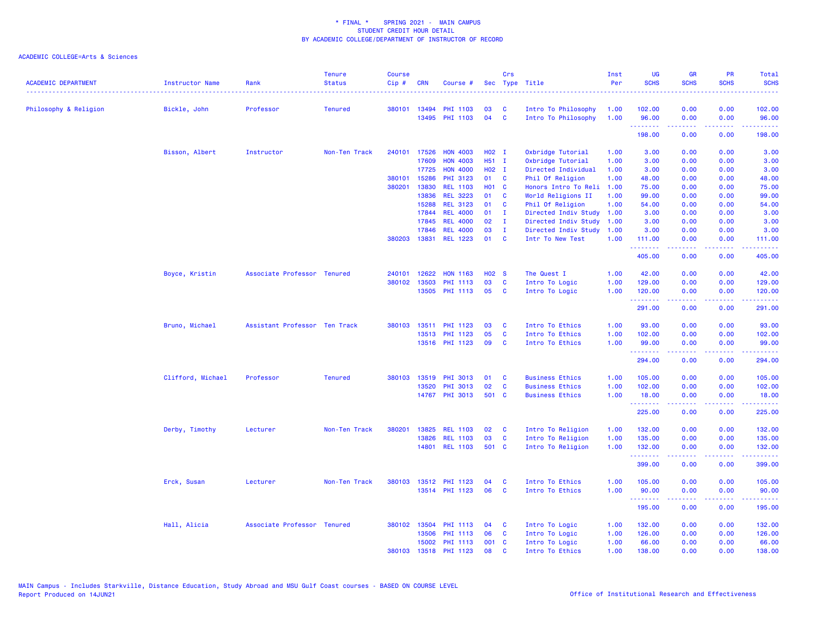| <b>ACADEMIC DEPARTMENT</b> | Instructor Name   | Rank                          | <b>Tenure</b><br><b>Status</b> | <b>Course</b><br>Cip# | <b>CRN</b>   | Course #              | Sec               | Crs          | Type Title             | Inst<br>Per | <b>UG</b><br><b>SCHS</b> | <b>GR</b><br><b>SCHS</b> | PR<br><b>SCHS</b> | Total<br><b>SCHS</b>                                                                                                                                           |
|----------------------------|-------------------|-------------------------------|--------------------------------|-----------------------|--------------|-----------------------|-------------------|--------------|------------------------|-------------|--------------------------|--------------------------|-------------------|----------------------------------------------------------------------------------------------------------------------------------------------------------------|
|                            |                   |                               |                                |                       |              |                       |                   |              |                        |             |                          |                          |                   |                                                                                                                                                                |
| Philosophy & Religion      | Bickle, John      | Professor                     | <b>Tenured</b>                 |                       | 380101 13494 | <b>PHI 1103</b>       | 03                | C            | Intro To Philosophy    | 1.00        | 102.00                   | 0.00                     | 0.00              | 102.00                                                                                                                                                         |
|                            |                   |                               |                                |                       |              | 13495 PHI 1103        | 04                | <b>C</b>     | Intro To Philosophy    | 1.00        | 96.00<br>--------        | 0.00<br>-----            | 0.00<br>.         | 96.00<br>والمستوات المنابذ                                                                                                                                     |
|                            |                   |                               |                                |                       |              |                       |                   |              |                        |             | 198.00                   | 0.00                     | 0.00              | 198.00                                                                                                                                                         |
|                            | Bisson, Albert    | Instructor                    | Non-Ten Track                  | 240101                | 17526        | <b>HON 4003</b>       | H02 I             |              | Oxbridge Tutorial      | 1.00        | 3.00                     | 0.00                     | 0.00              | 3.00                                                                                                                                                           |
|                            |                   |                               |                                |                       | 17609        | <b>HON 4003</b>       | H51 I             |              | Oxbridge Tutorial      | 1.00        | 3.00                     | 0.00                     | 0.00              | 3.00                                                                                                                                                           |
|                            |                   |                               |                                |                       | 17725        | <b>HON 4000</b>       | H02 I             |              | Directed Individual    | 1.00        | 3.00                     | 0.00                     | 0.00              | 3.00                                                                                                                                                           |
|                            |                   |                               |                                | 380101                | 15286        | PHI 3123              | 01                | <b>C</b>     | Phil Of Religion       | 1.00        | 48.00                    | 0.00                     | 0.00              | 48.00                                                                                                                                                          |
|                            |                   |                               |                                | 380201                | 13830        | <b>REL 1103</b>       | H01 C             |              | Honors Intro To Reli   | 1.00        | 75.00                    | 0.00                     | 0.00              | 75.00                                                                                                                                                          |
|                            |                   |                               |                                |                       | 13836        | <b>REL 3223</b>       | 01                | C            | World Religions II     | 1.00        | 99.00                    | 0.00                     | 0.00              | 99.00                                                                                                                                                          |
|                            |                   |                               |                                |                       | 15288        | <b>REL 3123</b>       | 01                | <b>C</b>     | Phil Of Religion       | 1.00        | 54.00                    | 0.00                     | 0.00              | 54.00                                                                                                                                                          |
|                            |                   |                               |                                |                       | 17844        | <b>REL 4000</b>       | 01                | $\mathbf{I}$ | Directed Indiv Study   | 1.00        | 3.00                     | 0.00                     | 0.00              | 3.00                                                                                                                                                           |
|                            |                   |                               |                                |                       | 17845        | <b>REL 4000</b>       | 02                | $\mathbf{I}$ | Directed Indiv Study   | 1.00        | 3.00                     | 0.00                     | 0.00              | 3.00                                                                                                                                                           |
|                            |                   |                               |                                |                       | 17846        | <b>REL 4000</b>       | 03                | $\mathbf{I}$ | Directed Indiv Study   | 1.00        | 3.00                     | 0.00                     | 0.00              | 3.00                                                                                                                                                           |
|                            |                   |                               |                                | 380203                | 13831        | <b>REL 1223</b>       | 01                | C            | Intr To New Test       | 1.00        | 111.00                   | 0.00                     | 0.00              | 111.00                                                                                                                                                         |
|                            |                   |                               |                                |                       |              |                       |                   |              |                        |             | .<br>405.00              | .<br>0.00                | .<br>0.00         | $\frac{1}{2} \left( \frac{1}{2} \right) \left( \frac{1}{2} \right) \left( \frac{1}{2} \right) \left( \frac{1}{2} \right) \left( \frac{1}{2} \right)$<br>405.00 |
|                            | Boyce, Kristin    | Associate Professor Tenured   |                                | 240101                | 12622        | <b>HON 1163</b>       | H <sub>02</sub> S |              | The Quest I            | 1.00        | 42.00                    | 0.00                     | 0.00              | 42.00                                                                                                                                                          |
|                            |                   |                               |                                | 380102                | 13503        | PHI 1113              | 03                | C            | Intro To Logic         | 1.00        | 129.00                   | 0.00                     | 0.00              | 129.00                                                                                                                                                         |
|                            |                   |                               |                                |                       |              | 13505 PHI 1113        | 05                | <b>C</b>     | Intro To Logic         | 1.00        | 120.00                   | 0.00                     | 0.00              | 120.00                                                                                                                                                         |
|                            |                   |                               |                                |                       |              |                       |                   |              |                        |             | .<br>291.00              | .<br>0.00                | ----<br>0.00      | 2.2222<br>291.00                                                                                                                                               |
|                            | Bruno, Michael    | Assistant Professor Ten Track |                                |                       |              | 380103 13511 PHI 1123 | 03                | <b>C</b>     | Intro To Ethics        | 1.00        | 93.00                    | 0.00                     | 0.00              | 93.00                                                                                                                                                          |
|                            |                   |                               |                                |                       | 13513        | PHI 1123              | 05                | C            | Intro To Ethics        | 1.00        | 102.00                   | 0.00                     | 0.00              | 102.00                                                                                                                                                         |
|                            |                   |                               |                                |                       |              | 13516 PHI 1123        | 09                | C            | Intro To Ethics        | 1.00        | 99.00                    | 0.00                     | 0.00              | 99.00                                                                                                                                                          |
|                            |                   |                               |                                |                       |              |                       |                   |              |                        |             | <u>.</u><br>294.00       | .<br>0.00                | ----<br>0.00      | 294.00                                                                                                                                                         |
|                            | Clifford, Michael | Professor                     | <b>Tenured</b>                 |                       |              | 380103 13519 PHI 3013 | 01                | <b>C</b>     | <b>Business Ethics</b> | 1.00        | 105.00                   | 0.00                     | 0.00              | 105.00                                                                                                                                                         |
|                            |                   |                               |                                |                       | 13520        | PHI 3013              | 02                | C            | <b>Business Ethics</b> | 1.00        | 102.00                   | 0.00                     | 0.00              | 102.00                                                                                                                                                         |
|                            |                   |                               |                                |                       |              | 14767 PHI 3013        | 501 C             |              | <b>Business Ethics</b> | 1.00        | 18.00                    | 0.00                     | 0.00              | 18.00                                                                                                                                                          |
|                            |                   |                               |                                |                       |              |                       |                   |              |                        |             | <b></b>                  | .                        | د د د د           | لأعاط عاطات                                                                                                                                                    |
|                            |                   |                               |                                |                       |              |                       |                   |              |                        |             | 225.00                   | 0.00                     | 0.00              | 225.00                                                                                                                                                         |
|                            | Derby, Timothy    | Lecturer                      | Non-Ten Track                  | 380201                |              | 13825 REL 1103        | 02                | C            | Intro To Religion      | 1.00        | 132.00                   | 0.00                     | 0.00              | 132.00                                                                                                                                                         |
|                            |                   |                               |                                |                       | 13826        | <b>REL 1103</b>       | 03                | C            | Intro To Religion      | 1.00        | 135.00                   | 0.00                     | 0.00              | 135.00                                                                                                                                                         |
|                            |                   |                               |                                |                       |              | 14801 REL 1103        | 501 C             |              | Intro To Religion      | 1.00        | 132.00<br>.              | 0.00<br>.                | 0.00<br>د د د د   | 132.00<br>$\begin{array}{cccccccccc} \bullet & \bullet & \bullet & \bullet & \bullet & \bullet & \bullet \end{array}$                                          |
|                            |                   |                               |                                |                       |              |                       |                   |              |                        |             | 399.00                   | 0.00                     | 0.00              | 399.00                                                                                                                                                         |
|                            | Erck, Susan       | Lecturer                      | Non-Ten Track                  |                       |              | 380103 13512 PHI 1123 | 04                | C            | Intro To Ethics        | 1.00        | 105.00                   | 0.00                     | 0.00              | 105.00                                                                                                                                                         |
|                            |                   |                               |                                |                       |              | 13514 PHI 1123        | 06                | C            | Intro To Ethics        | 1.00        | 90.00                    | 0.00                     | 0.00              | 90.00                                                                                                                                                          |
|                            |                   |                               |                                |                       |              |                       |                   |              |                        |             | .<br>195.00              | 0.00                     | 0.00              | 195.00                                                                                                                                                         |
|                            | Hall, Alicia      | Associate Professor Tenured   |                                |                       | 380102 13504 | PHI 1113              | 04                | C            | Intro To Logic         | 1.00        | 132.00                   | 0.00                     | 0.00              | 132.00                                                                                                                                                         |
|                            |                   |                               |                                |                       | 13506        | PHI 1113              | 06                | <b>C</b>     | Intro To Logic         | 1.00        | 126.00                   | 0.00                     | 0.00              | 126.00                                                                                                                                                         |
|                            |                   |                               |                                |                       | 15002        | <b>PHI 1113</b>       | 001               | - C          | Intro To Logic         | 1.00        | 66.00                    | 0.00                     | 0.00              | 66.00                                                                                                                                                          |
|                            |                   |                               |                                | 380103                |              | 13518 PHI 1123        | 08                | $\mathbf{c}$ | Intro To Ethics        | 1.00        | 138.00                   | 0.00                     | 0.00              | 138.00                                                                                                                                                         |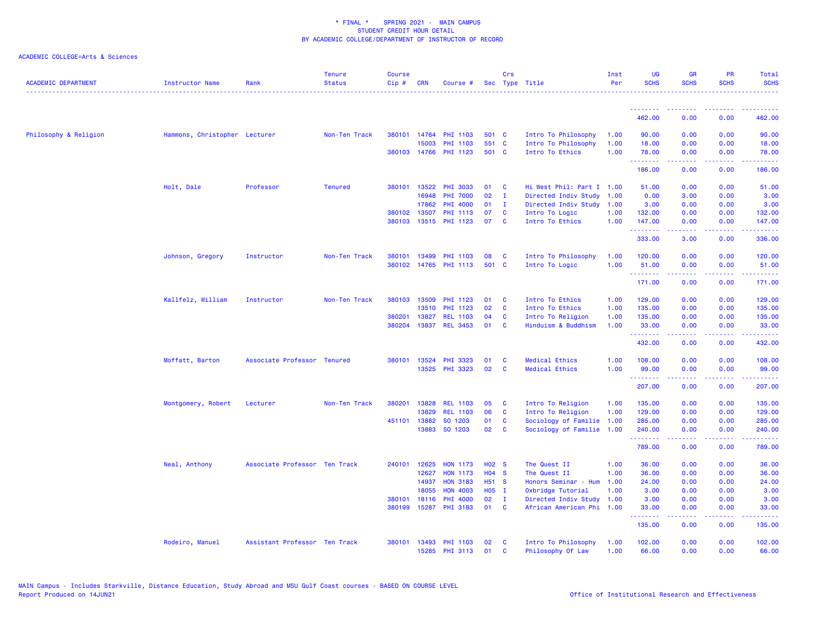| <b>ACADEMIC DEPARTMENT</b> | <b>Instructor Name</b>        | Rank                          | <b>Tenure</b><br><b>Status</b> | Course<br>Cip# | <b>CRN</b>   | Course #              |                   | Crs          | Sec Type Title            | Inst<br>Per | <b>UG</b><br><b>SCHS</b> | <b>GR</b><br><b>SCHS</b> | <b>PR</b><br><b>SCHS</b>     | Total<br><b>SCHS</b>                                                                                                                                                                                                                                                                                                                                                                                                                                                                             |
|----------------------------|-------------------------------|-------------------------------|--------------------------------|----------------|--------------|-----------------------|-------------------|--------------|---------------------------|-------------|--------------------------|--------------------------|------------------------------|--------------------------------------------------------------------------------------------------------------------------------------------------------------------------------------------------------------------------------------------------------------------------------------------------------------------------------------------------------------------------------------------------------------------------------------------------------------------------------------------------|
|                            |                               |                               |                                |                |              |                       |                   |              |                           |             | <u> - - - - - - - -</u>  |                          |                              |                                                                                                                                                                                                                                                                                                                                                                                                                                                                                                  |
|                            |                               |                               |                                |                |              |                       |                   |              |                           |             | 462.00                   | 0.00                     | 0.00                         | 462.00                                                                                                                                                                                                                                                                                                                                                                                                                                                                                           |
| Philosophy & Religion      | Hammons, Christopher Lecturer |                               | Non-Ten Track                  |                | 380101 14764 | PHI 1103              | 501 C             |              | Intro To Philosophy       | 1.00        | 90.00                    | 0.00                     | 0.00                         | 90.00                                                                                                                                                                                                                                                                                                                                                                                                                                                                                            |
|                            |                               |                               |                                |                | 15003        | <b>PHI 1103</b>       | 551 C             |              | Intro To Philosophy       | 1.00        | 18.00                    | 0.00                     | 0.00                         | 18.00                                                                                                                                                                                                                                                                                                                                                                                                                                                                                            |
|                            |                               |                               |                                |                |              | 380103 14766 PHI 1123 | 501 C             |              | Intro To Ethics           | 1.00        | 78.00<br>.               | 0.00<br>.                | 0.00<br>.                    | 78.00<br>.                                                                                                                                                                                                                                                                                                                                                                                                                                                                                       |
|                            |                               |                               |                                |                |              |                       |                   |              |                           |             | 186.00                   | 0.00                     | 0.00                         | 186.00                                                                                                                                                                                                                                                                                                                                                                                                                                                                                           |
|                            | Holt, Dale                    | Professor                     | <b>Tenured</b>                 |                | 380101 13522 | PHI 3033              | 01                | C            | Hi West Phil: Part I 1.00 |             | 51.00                    | 0.00                     | 0.00                         | 51.00                                                                                                                                                                                                                                                                                                                                                                                                                                                                                            |
|                            |                               |                               |                                |                | 16948        | <b>PHI 7000</b>       | 02                | $\mathbf{I}$ | Directed Indiv Study      | 1.00        | 0.00                     | 3.00                     | 0.00                         | 3.00                                                                                                                                                                                                                                                                                                                                                                                                                                                                                             |
|                            |                               |                               |                                |                | 17862        | <b>PHI 4000</b>       | 01                | $\mathbf{I}$ | Directed Indiv Study      | 1.00        | 3.00                     | 0.00                     | 0.00                         | 3.00                                                                                                                                                                                                                                                                                                                                                                                                                                                                                             |
|                            |                               |                               |                                |                | 380102 13507 | PHI 1113              | 07                | C            | Intro To Logic            | 1.00        | 132.00                   | 0.00                     | 0.00                         | 132.00                                                                                                                                                                                                                                                                                                                                                                                                                                                                                           |
|                            |                               |                               |                                | 380103         |              | 13515 PHI 1123        | 07                | $\mathbf{C}$ | Intro To Ethics           | 1.00        | 147.00<br>.              | 0.00<br>.                | 0.00<br>د د د د .            | 147.00<br>$\frac{1}{2} \left( \frac{1}{2} \right) \left( \frac{1}{2} \right) \left( \frac{1}{2} \right) \left( \frac{1}{2} \right) \left( \frac{1}{2} \right)$                                                                                                                                                                                                                                                                                                                                   |
|                            |                               |                               |                                |                |              |                       |                   |              |                           |             | 333.00                   | 3.00                     | 0.00                         | 336.00                                                                                                                                                                                                                                                                                                                                                                                                                                                                                           |
|                            | Johnson, Gregory              | Instructor                    | Non-Ten Track                  | 380101         | 13499        | PHI 1103              | 08                | C            | Intro To Philosophy       | 1.00        | 120.00                   | 0.00                     | 0.00                         | 120.00                                                                                                                                                                                                                                                                                                                                                                                                                                                                                           |
|                            |                               |                               |                                |                |              | 380102 14765 PHI 1113 | 501 C             |              | Intro To Logic            | 1.00        | 51.00                    | 0.00                     | 0.00                         | 51.00                                                                                                                                                                                                                                                                                                                                                                                                                                                                                            |
|                            |                               |                               |                                |                |              |                       |                   |              |                           |             | .<br>171.00              | 0.00                     | 0.00                         | 171.00                                                                                                                                                                                                                                                                                                                                                                                                                                                                                           |
|                            | Kallfelz, William             | Instructor                    | Non-Ten Track                  |                | 380103 13509 | PHI 1123              | 01                | <b>C</b>     | Intro To Ethics           | 1.00        | 129.00                   | 0.00                     | 0.00                         | 129.00                                                                                                                                                                                                                                                                                                                                                                                                                                                                                           |
|                            |                               |                               |                                |                | 13510        | PHI 1123              | 02                | C            | Intro To Ethics           | 1.00        | 135.00                   | 0.00                     | 0.00                         | 135.00                                                                                                                                                                                                                                                                                                                                                                                                                                                                                           |
|                            |                               |                               |                                | 380201         | 13827        | <b>REL 1103</b>       | 04                | C            | Intro To Religion         | 1.00        | 135.00                   | 0.00                     | 0.00                         | 135.00                                                                                                                                                                                                                                                                                                                                                                                                                                                                                           |
|                            |                               |                               |                                | 380204         | 13837        | <b>REL 3453</b>       | 01                | C            | Hinduism & Buddhism       | 1.00        | 33.00<br>.               | 0.00<br>المستملة         | 0.00<br>الأبالات             | 33.00<br>بالمتمامين                                                                                                                                                                                                                                                                                                                                                                                                                                                                              |
|                            |                               |                               |                                |                |              |                       |                   |              |                           |             | 432.00                   | 0.00                     | 0.00                         | 432.00                                                                                                                                                                                                                                                                                                                                                                                                                                                                                           |
|                            | Moffatt, Barton               | Associate Professor Tenured   |                                | 380101         | 13524        | PHI 3323              | 01                | C            | <b>Medical Ethics</b>     | 1.00        | 108.00                   | 0.00                     | 0.00                         | 108.00                                                                                                                                                                                                                                                                                                                                                                                                                                                                                           |
|                            |                               |                               |                                |                |              | 13525 PHI 3323        | 02                | C            | <b>Medical Ethics</b>     | 1.00        | 99.00                    | 0.00                     | 0.00                         | 99.00                                                                                                                                                                                                                                                                                                                                                                                                                                                                                            |
|                            |                               |                               |                                |                |              |                       |                   |              |                           |             | <u>.</u><br>207.00       | .<br>0.00                | $\sim$ $\sim$ $\sim$<br>0.00 | .<br>207.00                                                                                                                                                                                                                                                                                                                                                                                                                                                                                      |
|                            | Montgomery, Robert            | Lecturer                      | Non-Ten Track                  | 380201         | 13828        | <b>REL 1103</b>       | 05                | C            | Intro To Religion         | 1.00        | 135.00                   | 0.00                     | 0.00                         | 135.00                                                                                                                                                                                                                                                                                                                                                                                                                                                                                           |
|                            |                               |                               |                                |                | 13829        | <b>REL 1103</b>       | 06                | C            | Intro To Religion         | 1.00        | 129.00                   | 0.00                     | 0.00                         | 129.00                                                                                                                                                                                                                                                                                                                                                                                                                                                                                           |
|                            |                               |                               |                                |                | 451101 13882 | SO 1203               | 01                | C            | Sociology of Familie      | 1.00        | 285.00                   | 0.00                     | 0.00                         | 285.00                                                                                                                                                                                                                                                                                                                                                                                                                                                                                           |
|                            |                               |                               |                                |                | 13883        | SO 1203               | 02                | C            | Sociology of Familie      | 1.00        | 240.00                   | 0.00                     | 0.00                         | 240.00                                                                                                                                                                                                                                                                                                                                                                                                                                                                                           |
|                            |                               |                               |                                |                |              |                       |                   |              |                           |             | .<br>789.00              | .<br>0.00                | .<br>0.00                    | $\begin{array}{cccccccccc} \multicolumn{2}{c}{} & \multicolumn{2}{c}{} & \multicolumn{2}{c}{} & \multicolumn{2}{c}{} & \multicolumn{2}{c}{} & \multicolumn{2}{c}{} & \multicolumn{2}{c}{} & \multicolumn{2}{c}{} & \multicolumn{2}{c}{} & \multicolumn{2}{c}{} & \multicolumn{2}{c}{} & \multicolumn{2}{c}{} & \multicolumn{2}{c}{} & \multicolumn{2}{c}{} & \multicolumn{2}{c}{} & \multicolumn{2}{c}{} & \multicolumn{2}{c}{} & \multicolumn{2}{c}{} & \multicolumn{2}{c}{} & \mult$<br>789.00 |
|                            | Neal, Anthony                 | Associate Professor Ten Track |                                | 240101         | 12625        | <b>HON 1173</b>       | H <sub>02</sub> S |              | The Quest II              | 1.00        | 36.00                    | 0.00                     | 0.00                         | 36.00                                                                                                                                                                                                                                                                                                                                                                                                                                                                                            |
|                            |                               |                               |                                |                | 12627        | <b>HON 1173</b>       | $H04$ S           |              | The Quest II              | 1.00        | 36.00                    | 0.00                     | 0.00                         | 36.00                                                                                                                                                                                                                                                                                                                                                                                                                                                                                            |
|                            |                               |                               |                                |                | 14937        | <b>HON 3183</b>       | H51 S             |              | Honors Seminar - Hum      | 1.00        | 24.00                    | 0.00                     | 0.00                         | 24.00                                                                                                                                                                                                                                                                                                                                                                                                                                                                                            |
|                            |                               |                               |                                |                | 18055        | <b>HON 4003</b>       | H05 I             |              | Oxbridge Tutorial         | 1.00        | 3.00                     | 0.00                     | 0.00                         | 3.00                                                                                                                                                                                                                                                                                                                                                                                                                                                                                             |
|                            |                               |                               |                                | 380101         | 18116        | PHI 4000              | 02                | - I          | Directed Indiv Study 1.00 |             | 3.00                     | 0.00                     | 0.00                         | 3.00                                                                                                                                                                                                                                                                                                                                                                                                                                                                                             |
|                            |                               |                               |                                | 380199         | 15287        | PHI 3183              | 01                | C            | African American Phi 1.00 |             | 33.00<br>.               | 0.00<br>.                | 0.00<br>ن د د د              | 33.00<br>.                                                                                                                                                                                                                                                                                                                                                                                                                                                                                       |
|                            |                               |                               |                                |                |              |                       |                   |              |                           |             | 135.00                   | 0.00                     | 0.00                         | 135.00                                                                                                                                                                                                                                                                                                                                                                                                                                                                                           |
|                            | Rodeiro, Manuel               | Assistant Professor Ten Track |                                | 380101         |              | 13493 PHI 1103        | 02                | <b>C</b>     | Intro To Philosophy       | 1.00        | 102.00                   | 0.00                     | 0.00                         | 102.00                                                                                                                                                                                                                                                                                                                                                                                                                                                                                           |
|                            |                               |                               |                                |                |              | 15285 PHI 3113        | 01                | $\mathbf{c}$ | Philosophy Of Law         | 1.00        | 66.00                    | 0.00                     | 0.00                         | 66.00                                                                                                                                                                                                                                                                                                                                                                                                                                                                                            |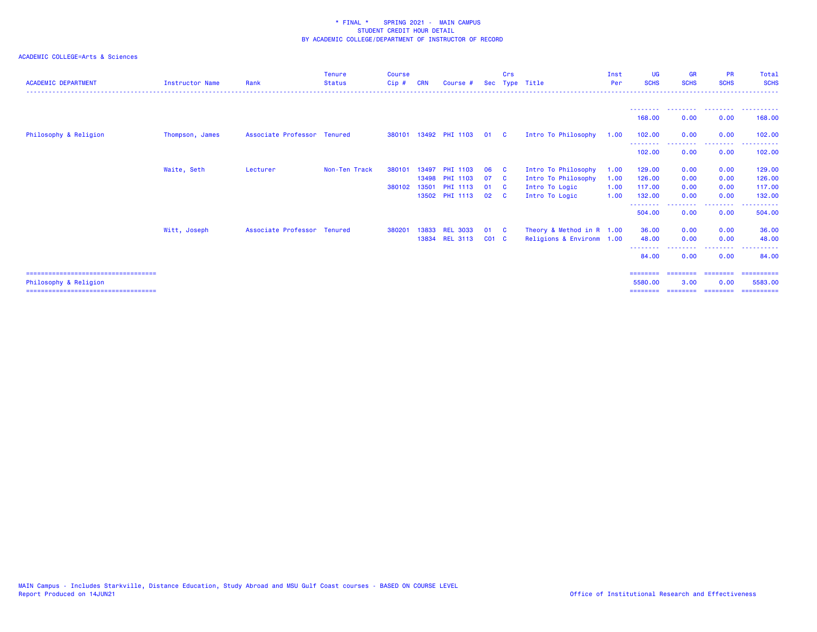| <b>ACADEMIC DEPARTMENT</b>                                  | <b>Instructor Name</b> | Rank                        | <b>Tenure</b><br><b>Status</b> | Course<br>$Cip$ # | CRN   | Course #              |           | Crs            | Sec Type Title              | Inst<br>Per | <b>UG</b><br><b>SCHS</b> | <b>GR</b><br><b>SCHS</b> | <b>PR</b><br><b>SCHS</b> | Total<br><b>SCHS</b> |
|-------------------------------------------------------------|------------------------|-----------------------------|--------------------------------|-------------------|-------|-----------------------|-----------|----------------|-----------------------------|-------------|--------------------------|--------------------------|--------------------------|----------------------|
|                                                             |                        |                             |                                |                   |       |                       |           |                |                             |             |                          |                          |                          |                      |
|                                                             |                        |                             |                                |                   |       |                       |           |                |                             |             | 168,00                   | 0.00                     | 0.00                     | 168,00               |
| Philosophy & Religion                                       | Thompson, James        | Associate Professor Tenured |                                |                   |       | 380101 13492 PHI 1103 | 01        | $\overline{c}$ | Intro To Philosophy         | 1.00        | 102.00                   | 0.00                     | 0.00                     | 102,00               |
|                                                             |                        |                             |                                |                   |       |                       |           |                |                             |             | ---------<br>102.00      | --------<br>0.00         | 0.00                     | 102.00               |
|                                                             | Waite, Seth            | Lecturer                    | Non-Ten Track                  | 380101            | 13497 | <b>PHI 1103</b>       | 06        | - C            | Intro To Philosophy         | 1.00        | 129.00                   | 0.00                     | 0.00                     | 129.00               |
|                                                             |                        |                             |                                |                   | 13498 | PHI 1103              | 07        | - C            | Intro To Philosophy         | 1.00        | 126,00                   | 0.00                     | 0.00                     | 126.00               |
|                                                             |                        |                             |                                | 380102 13501      |       | PHI 1113              | 01        | - C            | Intro To Logic              | 1.00        | 117.00                   | 0.00                     | 0.00                     | 117.00               |
|                                                             |                        |                             |                                |                   |       | 13502 PHI 1113        | 02        | $\mathbf{C}$   | Intro To Logic              | 1.00        | 132.00                   | 0.00                     | 0.00                     | 132.00               |
|                                                             |                        |                             |                                |                   |       |                       |           |                |                             |             | .<br>504.00              | 0.00                     | --------<br>0.00         | .<br>504.00          |
|                                                             | Witt, Joseph           | Associate Professor Tenured |                                | 38020             |       | 13833 REL 3033        | 01        | - C            | Theory & Method in $R$ 1.00 |             | 36.00                    | 0.00                     | 0.00                     | 36.00                |
|                                                             |                        |                             |                                |                   |       | 13834 REL 3113        | $CO1$ $C$ |                | Religions & Environm 1.00   |             | 48.00                    | 0.00                     | 0.00                     | 48.00<br>.           |
|                                                             |                        |                             |                                |                   |       |                       |           |                |                             |             | --------<br>84.00        | 0.00                     | .<br>0.00                | 84,00                |
| =====================================                       |                        |                             |                                |                   |       |                       |           |                |                             |             | <b>SESSESSE</b>          | ========                 | ========                 | ==========           |
| Philosophy & Religion<br>;================================= |                        |                             |                                |                   |       |                       |           |                |                             |             | 5580.00                  | 3.00                     | 0.00                     | 5583.00              |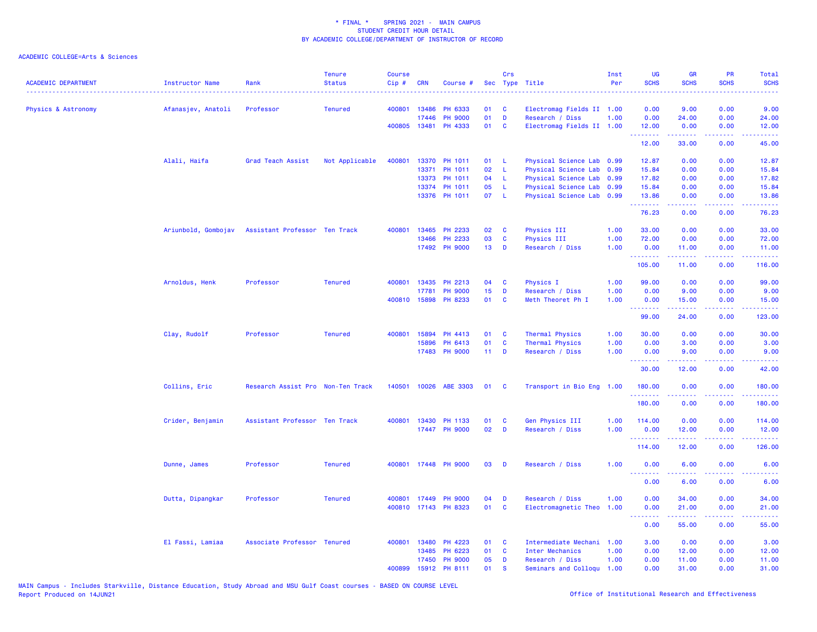| <b>ACADEMIC DEPARTMENT</b> | <b>Instructor Name</b> | Rank                                              | <b>Tenure</b><br><b>Status</b> | <b>Course</b><br>Cip# | <b>CRN</b>   | Course #              |                 | Crs          | Sec Type Title            | Inst<br>Per | <b>UG</b><br><b>SCHS</b> | <b>GR</b><br><b>SCHS</b> | PR<br><b>SCHS</b>                                                                                                                 | <b>Total</b><br><b>SCHS</b>                                                                                                                                    |
|----------------------------|------------------------|---------------------------------------------------|--------------------------------|-----------------------|--------------|-----------------------|-----------------|--------------|---------------------------|-------------|--------------------------|--------------------------|-----------------------------------------------------------------------------------------------------------------------------------|----------------------------------------------------------------------------------------------------------------------------------------------------------------|
| Physics & Astronomy        | Afanasjev, Anatoli     | Professor                                         | <b>Tenured</b>                 |                       | 400801 13486 | PH 6333               | 01              | <b>C</b>     | Electromag Fields II 1.00 |             | 0.00                     | 9.00                     | 0.00                                                                                                                              | 9.00                                                                                                                                                           |
|                            |                        |                                                   |                                |                       | 17446        | <b>PH 9000</b>        | 01              | D            | Research / Diss           | 1.00        | 0.00                     | 24.00                    | 0.00                                                                                                                              | 24.00                                                                                                                                                          |
|                            |                        |                                                   |                                |                       | 400805 13481 | PH 4333               | 01              | C            | Electromag Fields II 1.00 |             | 12.00<br><u>.</u>        | 0.00<br>.                | 0.00<br>.                                                                                                                         | 12.00<br>.                                                                                                                                                     |
|                            |                        |                                                   |                                |                       |              |                       |                 |              |                           |             | 12.00                    | 33.00                    | 0.00                                                                                                                              | 45.00                                                                                                                                                          |
|                            | Alali, Haifa           | Grad Teach Assist                                 | Not Applicable                 | 400801                |              | 13370 PH 1011         | 01              | -L           | Physical Science Lab 0.99 |             | 12.87                    | 0.00                     | 0.00                                                                                                                              | 12.87                                                                                                                                                          |
|                            |                        |                                                   |                                |                       | 13371        | PH 1011               | 02              | -L           | Physical Science Lab 0.99 |             | 15.84                    | 0.00                     | 0.00                                                                                                                              | 15.84                                                                                                                                                          |
|                            |                        |                                                   |                                |                       | 13373        | PH 1011               | 04              | L            | Physical Science Lab 0.99 |             | 17.82                    | 0.00                     | 0.00                                                                                                                              | 17.82                                                                                                                                                          |
|                            |                        |                                                   |                                |                       | 13374        | PH 1011               | 05              | L            | Physical Science Lab 0.99 |             | 15.84                    | 0.00                     | 0.00                                                                                                                              | 15.84                                                                                                                                                          |
|                            |                        |                                                   |                                |                       |              | 13376 PH 1011         | 07              | L            | Physical Science Lab 0.99 |             | 13.86<br>.               | 0.00<br>22222            | 0.00<br>المتحدث                                                                                                                   | 13.86<br>.                                                                                                                                                     |
|                            |                        |                                                   |                                |                       |              |                       |                 |              |                           |             | 76.23                    | 0.00                     | 0.00                                                                                                                              | 76.23                                                                                                                                                          |
|                            |                        | Ariunbold, Gombojav Assistant Professor Ten Track |                                | 400801                | 13465        | PH 2233               | 02              | C            | <b>Physics III</b>        | 1.00        | 33.00                    | 0.00                     | 0.00                                                                                                                              | 33.00                                                                                                                                                          |
|                            |                        |                                                   |                                |                       | 13466        | PH 2233               | 03              | C            | Physics III               | 1.00        | 72.00                    | 0.00                     | 0.00                                                                                                                              | 72.00                                                                                                                                                          |
|                            |                        |                                                   |                                |                       |              | 17492 PH 9000         | 13 <sup>°</sup> | D            | Research / Diss           | 1.00        | 0.00<br>.                | 11.00<br>.               | 0.00<br>.                                                                                                                         | 11.00<br><u>.</u>                                                                                                                                              |
|                            |                        |                                                   |                                |                       |              |                       |                 |              |                           |             | 105.00                   | 11.00                    | 0.00                                                                                                                              | 116.00                                                                                                                                                         |
|                            | Arnoldus, Henk         | Professor                                         | <b>Tenured</b>                 | 400801                | 13435        | PH 2213               | 04              | C            | <b>Physics I</b>          | 1.00        | 99.00                    | 0.00                     | 0.00                                                                                                                              | 99.00                                                                                                                                                          |
|                            |                        |                                                   |                                |                       | 17781        | <b>PH 9000</b>        | 15              | D            | Research / Diss           | 1.00        | 0.00                     | 9.00                     | 0.00                                                                                                                              | 9.00                                                                                                                                                           |
|                            |                        |                                                   |                                |                       | 400810 15898 | PH 8233               | 01              | C            | Meth Theoret Ph I         | 1.00        | 0.00<br><b></b>          | 15.00<br>2.2.2.2.2       | 0.00<br>$\frac{1}{2}$                                                                                                             | 15.00<br>.                                                                                                                                                     |
|                            |                        |                                                   |                                |                       |              |                       |                 |              |                           |             | 99.00                    | 24.00                    | 0.00                                                                                                                              | 123.00                                                                                                                                                         |
|                            | Clay, Rudolf           | Professor                                         | <b>Tenured</b>                 |                       | 400801 15894 | PH 4413               | 01              | <b>C</b>     | Thermal Physics           | 1.00        | 30.00                    | 0.00                     | 0.00                                                                                                                              | 30.00                                                                                                                                                          |
|                            |                        |                                                   |                                |                       | 15896        | PH 6413               | 01              | C            | Thermal Physics           | 1.00        | 0.00                     | 3.00                     | 0.00                                                                                                                              | 3.00                                                                                                                                                           |
|                            |                        |                                                   |                                |                       | 17483        | <b>PH 9000</b>        | $11$ D          |              | Research / Diss           | 1.00        | 0.00<br>.                | 9.00                     | 0.00                                                                                                                              | 9.00                                                                                                                                                           |
|                            |                        |                                                   |                                |                       |              |                       |                 |              |                           |             | 30.00                    | 12.00                    | 0.00                                                                                                                              | 42.00                                                                                                                                                          |
|                            | Collins, Eric          | Research Assist Pro Non-Ten Track                 |                                |                       |              | 140501 10026 ABE 3303 | 01              | <b>C</b>     | Transport in Bio Eng 1.00 |             | 180.00<br>.              | 0.00<br>22222            | 0.00                                                                                                                              | 180.00<br>$\frac{1}{2} \left( \frac{1}{2} \right) \left( \frac{1}{2} \right) \left( \frac{1}{2} \right) \left( \frac{1}{2} \right) \left( \frac{1}{2} \right)$ |
|                            |                        |                                                   |                                |                       |              |                       |                 |              |                           |             | 180.00                   | 0.00                     | 0.00                                                                                                                              | 180.00                                                                                                                                                         |
|                            | Crider, Benjamin       | Assistant Professor Ten Track                     |                                | 400801                | 13430        | PH 1133               | 01              | C            | Gen Physics III           | 1.00        | 114.00                   | 0.00                     | 0.00                                                                                                                              | 114.00                                                                                                                                                         |
|                            |                        |                                                   |                                |                       |              | 17447 PH 9000         | 02              | D            | Research / Diss           | 1.00        | 0.00                     | 12.00                    | 0.00<br>$\omega$ is a $\omega$                                                                                                    | 12.00                                                                                                                                                          |
|                            |                        |                                                   |                                |                       |              |                       |                 |              |                           |             | .<br>114.00              | المتمالين<br>12.00       | 0.00                                                                                                                              | .<br>126.00                                                                                                                                                    |
|                            | Dunne, James           | Professor                                         | <b>Tenured</b>                 |                       |              | 400801 17448 PH 9000  | 03              | D            | Research / Diss           | 1.00        | 0.00                     | 6.00                     | 0.00                                                                                                                              | 6.00                                                                                                                                                           |
|                            |                        |                                                   |                                |                       |              |                       |                 |              |                           |             | .<br>0.00                | $- - - - -$<br>6.00      | $\frac{1}{2} \left( \frac{1}{2} \right) \left( \frac{1}{2} \right) \left( \frac{1}{2} \right) \left( \frac{1}{2} \right)$<br>0.00 | $\frac{1}{2} \left( \frac{1}{2} \right) \left( \frac{1}{2} \right) \left( \frac{1}{2} \right) \left( \frac{1}{2} \right)$<br>6.00                              |
|                            | Dutta, Dipangkar       | Professor                                         | <b>Tenured</b>                 | 400801                | 17449        | <b>PH 9000</b>        | 04              | D            | Research / Diss           | 1.00        | 0.00                     | 34.00                    | 0.00                                                                                                                              | 34.00                                                                                                                                                          |
|                            |                        |                                                   |                                |                       |              | 400810 17143 PH 8323  | 01              | $\mathbf{C}$ | Electromagnetic Theo      | 1.00        | 0.00                     | 21.00                    | 0.00                                                                                                                              | 21.00                                                                                                                                                          |
|                            |                        |                                                   |                                |                       |              |                       |                 |              |                           |             | <u>.</u><br>0.00         | .<br>55.00               | د د د د .<br>0.00                                                                                                                 | .<br>55.00                                                                                                                                                     |
|                            | El Fassi, Lamiaa       | Associate Professor Tenured                       |                                | 400801                | 13480        | PH 4223               | 01              | C            | Intermediate Mechani 1.00 |             | 3.00                     | 0.00                     | 0.00                                                                                                                              | 3.00                                                                                                                                                           |
|                            |                        |                                                   |                                |                       | 13485        | PH 6223               | 01              | C            | Inter Mechanics           | 1.00        | 0.00                     | 12.00                    | 0.00                                                                                                                              | 12.00                                                                                                                                                          |
|                            |                        |                                                   |                                |                       | 17450        | <b>PH 9000</b>        | 05              | D            | Research / Diss           | 1.00        | 0.00                     | 11.00                    | 0.00                                                                                                                              | 11.00                                                                                                                                                          |
|                            |                        |                                                   |                                | 400899                | 15912        | PH 8111               | 01              | <b>S</b>     | Seminars and Colloqu 1.00 |             | 0.00                     | 31.00                    | 0.00                                                                                                                              | 31.00                                                                                                                                                          |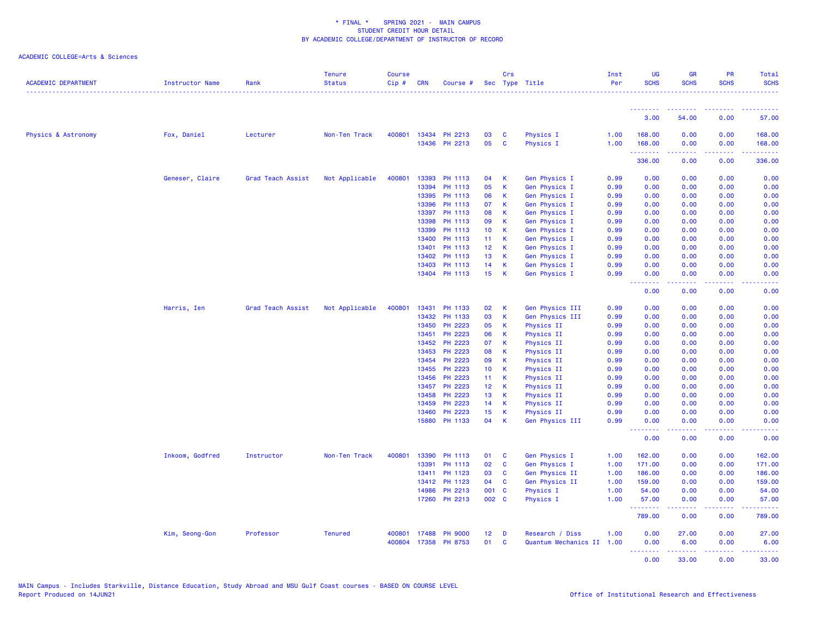| <b>ACADEMIC DEPARTMENT</b> | Instructor Name | Rank              | <b>Tenure</b><br><b>Status</b> | <b>Course</b><br>Cip# | <b>CRN</b> | Course #       |                 | Crs          | Sec Type Title            | Inst<br>Per | <b>UG</b><br><b>SCHS</b>             | GR<br><b>SCHS</b>                                                                                                                                            | PR<br><b>SCHS</b> | Total<br><b>SCHS</b><br>.                                                                                                                                    |
|----------------------------|-----------------|-------------------|--------------------------------|-----------------------|------------|----------------|-----------------|--------------|---------------------------|-------------|--------------------------------------|--------------------------------------------------------------------------------------------------------------------------------------------------------------|-------------------|--------------------------------------------------------------------------------------------------------------------------------------------------------------|
|                            |                 |                   |                                |                       |            |                |                 |              |                           |             | --------                             | --------                                                                                                                                                     | .                 | .                                                                                                                                                            |
|                            |                 |                   |                                |                       |            |                |                 |              |                           |             | 3.00                                 | 54.00                                                                                                                                                        | 0.00              | 57.00                                                                                                                                                        |
| Physics & Astronomy        | Fox, Daniel     | Lecturer          | Non-Ten Track                  | 400801                |            | 13434 PH 2213  | 03              | C            | Physics I                 | 1.00        | 168.00                               | 0.00                                                                                                                                                         | 0.00              | 168.00                                                                                                                                                       |
|                            |                 |                   |                                |                       |            | 13436 PH 2213  | 05              | $\mathbf c$  | Physics I                 | 1.00        | 168.00<br><u>.</u>                   | 0.00<br>$\frac{1}{2} \left( \frac{1}{2} \right) \left( \frac{1}{2} \right) \left( \frac{1}{2} \right) \left( \frac{1}{2} \right) \left( \frac{1}{2} \right)$ | 0.00<br>22222     | 168.00<br>.                                                                                                                                                  |
|                            |                 |                   |                                |                       |            |                |                 |              |                           |             | 336.00                               | 0.00                                                                                                                                                         | 0.00              | 336.00                                                                                                                                                       |
|                            | Geneser, Claire | Grad Teach Assist | Not Applicable                 | 400801                | 13393      | PH 1113        | 04              | $\mathsf K$  | <b>Gen Physics I</b>      | 0.99        | 0.00                                 | 0.00                                                                                                                                                         | 0.00              | 0.00                                                                                                                                                         |
|                            |                 |                   |                                |                       | 13394      | PH 1113        | 05              | $\mathsf K$  | Gen Physics I             | 0.99        | 0.00                                 | 0.00                                                                                                                                                         | 0.00              | 0.00                                                                                                                                                         |
|                            |                 |                   |                                |                       | 13395      | PH 1113        | 06              | K            | <b>Gen Physics I</b>      | 0.99        | 0.00                                 | 0.00                                                                                                                                                         | 0.00              | 0.00                                                                                                                                                         |
|                            |                 |                   |                                |                       | 13396      | PH 1113        | 07              | $\mathsf K$  | Gen Physics I             | 0.99        | 0.00                                 | 0.00                                                                                                                                                         | 0.00              | 0.00                                                                                                                                                         |
|                            |                 |                   |                                |                       | 13397      | PH 1113        | 08              | K            | Gen Physics I             | 0.99        | 0.00                                 | 0.00                                                                                                                                                         | 0.00              | 0.00                                                                                                                                                         |
|                            |                 |                   |                                |                       | 13398      | PH 1113        | 09              | K            | <b>Gen Physics I</b>      | 0.99        | 0.00                                 | 0.00                                                                                                                                                         | 0.00              | 0.00                                                                                                                                                         |
|                            |                 |                   |                                |                       | 13399      | PH 1113        | 10 <sub>1</sub> | $\mathsf K$  | Gen Physics I             | 0.99        | 0.00                                 | 0.00                                                                                                                                                         | 0.00              | 0.00                                                                                                                                                         |
|                            |                 |                   |                                |                       | 13400      | PH 1113        | 11              | K            | Gen Physics I             | 0.99        | 0.00                                 | 0.00                                                                                                                                                         | 0.00              | 0.00                                                                                                                                                         |
|                            |                 |                   |                                |                       | 13401      | PH 1113        | 12 <sub>2</sub> | K            | <b>Gen Physics I</b>      | 0.99        | 0.00                                 | 0.00                                                                                                                                                         | 0.00              | 0.00                                                                                                                                                         |
|                            |                 |                   |                                |                       | 13402      | PH 1113        | 13              | $\mathsf K$  | Gen Physics I             | 0.99        | 0.00                                 | 0.00                                                                                                                                                         | 0.00              | 0.00                                                                                                                                                         |
|                            |                 |                   |                                |                       | 13403      | PH 1113        | 14              | $\mathsf K$  | <b>Gen Physics I</b>      | 0.99        | 0.00                                 | 0.00                                                                                                                                                         | 0.00              | 0.00                                                                                                                                                         |
|                            |                 |                   |                                |                       |            | 13404 PH 1113  | 15 <sub>1</sub> | <b>K</b>     | Gen Physics I             | 0.99        | 0.00                                 | 0.00                                                                                                                                                         | 0.00              | 0.00                                                                                                                                                         |
|                            |                 |                   |                                |                       |            |                |                 |              |                           |             | .<br>0.00                            | .<br>0.00                                                                                                                                                    | .<br>0.00         | 0.00                                                                                                                                                         |
|                            | Harris, Ien     | Grad Teach Assist | Not Applicable                 | 400801                | 13431      | PH 1133        | 02              | K            | Gen Physics III           | 0.99        | 0.00                                 | 0.00                                                                                                                                                         | 0.00              | 0.00                                                                                                                                                         |
|                            |                 |                   |                                |                       | 13432      | PH 1133        | 03              | $\mathsf K$  | Gen Physics III           | 0.99        | 0.00                                 | 0.00                                                                                                                                                         | 0.00              | 0.00                                                                                                                                                         |
|                            |                 |                   |                                |                       | 13450      | PH 2223        | 05              | K            | <b>Physics II</b>         | 0.99        | 0.00                                 | 0.00                                                                                                                                                         | 0.00              | 0.00                                                                                                                                                         |
|                            |                 |                   |                                |                       | 13451      | PH 2223        | 06              | $\mathsf K$  | Physics II                | 0.99        | 0.00                                 | 0.00                                                                                                                                                         | 0.00              | 0.00                                                                                                                                                         |
|                            |                 |                   |                                |                       | 13452      | PH 2223        | 07              | K            | <b>Physics II</b>         | 0.99        | 0.00                                 | 0.00                                                                                                                                                         | 0.00              | 0.00                                                                                                                                                         |
|                            |                 |                   |                                |                       | 13453      | PH 2223        | 08              | K            | Physics II                | 0.99        | 0.00                                 | 0.00                                                                                                                                                         | 0.00              | 0.00                                                                                                                                                         |
|                            |                 |                   |                                |                       | 13454      | PH 2223        | 09              | $\mathsf K$  | Physics II                | 0.99        | 0.00                                 | 0.00                                                                                                                                                         | 0.00              | 0.00                                                                                                                                                         |
|                            |                 |                   |                                |                       | 13455      | PH 2223        | 10 <sub>1</sub> | K            | Physics II                | 0.99        | 0.00                                 | 0.00                                                                                                                                                         | 0.00              | 0.00                                                                                                                                                         |
|                            |                 |                   |                                |                       | 13456      | PH 2223        | 11              | $\mathbf{K}$ | Physics II                | 0.99        | 0.00                                 | 0.00                                                                                                                                                         | 0.00              | 0.00                                                                                                                                                         |
|                            |                 |                   |                                |                       | 13457      | PH 2223        | 12 <sub>2</sub> | K            | <b>Physics II</b>         | 0.99        | 0.00                                 | 0.00                                                                                                                                                         | 0.00              | 0.00                                                                                                                                                         |
|                            |                 |                   |                                |                       | 13458      | PH 2223        | 13 <sup>°</sup> | $\mathsf K$  | Physics II                | 0.99        | 0.00                                 | 0.00                                                                                                                                                         | 0.00              | 0.00                                                                                                                                                         |
|                            |                 |                   |                                |                       | 13459      | PH 2223        | 14              | K            | <b>Physics II</b>         | 0.99        | 0.00                                 | 0.00                                                                                                                                                         | 0.00              | 0.00                                                                                                                                                         |
|                            |                 |                   |                                |                       | 13460      | PH 2223        | 15 <sub>1</sub> | K            | Physics II                | 0.99        | 0.00                                 | 0.00                                                                                                                                                         | 0.00              | 0.00                                                                                                                                                         |
|                            |                 |                   |                                |                       |            | 15880 PH 1133  | 04              | K            | Gen Physics III           | 0.99        | 0.00                                 | 0.00                                                                                                                                                         | 0.00              | 0.00                                                                                                                                                         |
|                            |                 |                   |                                |                       |            |                |                 |              |                           |             | <b><i><u>AAAAAAA</u></i></b><br>0.00 | 22222<br>0.00                                                                                                                                                | 22222<br>0.00     | $\frac{1}{2} \left( \frac{1}{2} \right) \left( \frac{1}{2} \right) \left( \frac{1}{2} \right) \left( \frac{1}{2} \right) \left( \frac{1}{2} \right)$<br>0.00 |
|                            | Inkoom, Godfred | Instructor        | Non-Ten Track                  | 400801                |            | 13390 PH 1113  | 01              | C            | Gen Physics I             | 1.00        | 162.00                               | 0.00                                                                                                                                                         | 0.00              | 162.00                                                                                                                                                       |
|                            |                 |                   |                                |                       | 13391      | PH 1113        | 02              | C            | Gen Physics I             | 1.00        | 171.00                               | 0.00                                                                                                                                                         | 0.00              | 171.00                                                                                                                                                       |
|                            |                 |                   |                                |                       | 13411      | PH 1123        | 03              | C            | Gen Physics II            | 1.00        | 186.00                               | 0.00                                                                                                                                                         | 0.00              | 186.00                                                                                                                                                       |
|                            |                 |                   |                                |                       | 13412      | PH 1123        | 04              | C            | Gen Physics II            | 1.00        | 159.00                               | 0.00                                                                                                                                                         | 0.00              | 159.00                                                                                                                                                       |
|                            |                 |                   |                                |                       | 14986      | PH 2213        |                 | 001 C        | <b>Physics I</b>          | 1.00        | 54.00                                | 0.00                                                                                                                                                         | 0.00              | 54.00                                                                                                                                                        |
|                            |                 |                   |                                |                       |            | 17260 PH 2213  |                 | 002 C        | Physics I                 | 1.00        | 57.00                                | 0.00                                                                                                                                                         | 0.00              | 57.00                                                                                                                                                        |
|                            |                 |                   |                                |                       |            |                |                 |              |                           |             | ---------<br>789.00                  | <u>.</u><br>0.00                                                                                                                                             | 22222<br>0.00     | <u> - - - - - -</u><br>789.00                                                                                                                                |
|                            | Kim, Seong-Gon  | Professor         | <b>Tenured</b>                 | 400801                | 17488      | <b>PH 9000</b> | 12 <sup>°</sup> | D            | Research / Diss           | 1.00        | 0.00                                 | 27.00                                                                                                                                                        | 0.00              | 27.00                                                                                                                                                        |
|                            |                 |                   |                                | 400804                |            | 17358 PH 8753  | 01              | $\mathbf{C}$ | Quantum Mechanics II 1.00 |             | 0.00                                 | 6.00                                                                                                                                                         | 0.00              | 6.00                                                                                                                                                         |
|                            |                 |                   |                                |                       |            |                |                 |              |                           |             | <u>.</u>                             | $\frac{1}{2} \left( \frac{1}{2} \right) \left( \frac{1}{2} \right) \left( \frac{1}{2} \right) \left( \frac{1}{2} \right) \left( \frac{1}{2} \right)$         | المستبدا          | $\frac{1}{2} \left( \frac{1}{2} \right) \left( \frac{1}{2} \right) \left( \frac{1}{2} \right) \left( \frac{1}{2} \right) \left( \frac{1}{2} \right)$         |
|                            |                 |                   |                                |                       |            |                |                 |              |                           |             | 0.00                                 | 33.00                                                                                                                                                        | 0.00              | 33.00                                                                                                                                                        |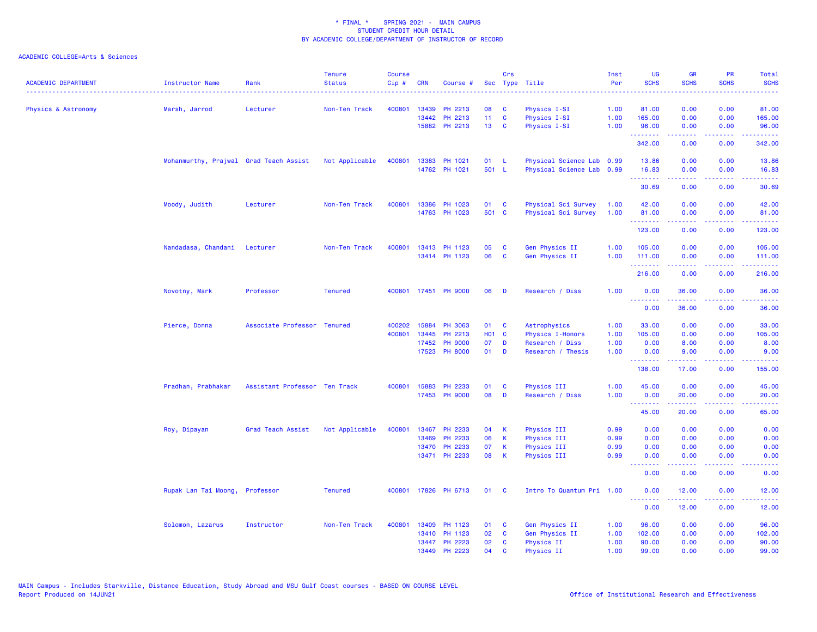| <b>ACADEMIC DEPARTMENT</b> | Instructor Name                        | Rank                          | <b>Tenure</b><br><b>Status</b> | <b>Course</b><br>Cip# | <b>CRN</b> | Course #       |                   | Crs          | Sec Type Title            | Inst<br>Per | <b>UG</b><br><b>SCHS</b>                                  | <b>GR</b><br><b>SCHS</b>                                                                                                                                      | PR<br><b>SCHS</b>                   | Total<br><b>SCHS</b>                                                                                                              |
|----------------------------|----------------------------------------|-------------------------------|--------------------------------|-----------------------|------------|----------------|-------------------|--------------|---------------------------|-------------|-----------------------------------------------------------|---------------------------------------------------------------------------------------------------------------------------------------------------------------|-------------------------------------|-----------------------------------------------------------------------------------------------------------------------------------|
| Physics & Astronomy        | Marsh, Jarrod                          | Lecturer                      | Non-Ten Track                  | 400801                | 13439      | PH 2213        | 08                | C            | Physics I-SI              | 1.00        | 81.00                                                     | 0.00                                                                                                                                                          | 0.00                                | 81.00                                                                                                                             |
|                            |                                        |                               |                                |                       |            | 13442 PH 2213  | 11 <sub>1</sub>   | <b>C</b>     | Physics I-SI              | 1.00        | 165.00                                                    | 0.00                                                                                                                                                          | 0.00                                | 165.00                                                                                                                            |
|                            |                                        |                               |                                |                       |            | 15882 PH 2213  | 13 <sup>7</sup>   | <b>C</b>     | Physics I-SI              | 1.00        | 96.00<br>.                                                | 0.00                                                                                                                                                          | 0.00<br>$\sim$ $\sim$ $\sim$ $\sim$ | 96.00<br>.                                                                                                                        |
|                            |                                        |                               |                                |                       |            |                |                   |              |                           |             | 342.00                                                    | 0.00                                                                                                                                                          | 0.00                                | 342.00                                                                                                                            |
|                            | Mohanmurthy, Prajwal Grad Teach Assist |                               | Not Applicable                 | 400801                |            | 13383 PH 1021  | 01                | -L.          | Physical Science Lab 0.99 |             | 13.86                                                     | 0.00                                                                                                                                                          | 0.00                                | 13.86                                                                                                                             |
|                            |                                        |                               |                                |                       |            | 14762 PH 1021  | 501 L             |              | Physical Science Lab 0.99 |             | 16.83<br>.                                                | 0.00<br>.                                                                                                                                                     | 0.00<br>.                           | 16.83<br>.                                                                                                                        |
|                            |                                        |                               |                                |                       |            |                |                   |              |                           |             | 30.69                                                     | 0.00                                                                                                                                                          | 0.00                                | 30.69                                                                                                                             |
|                            | Moody, Judith                          | Lecturer                      | Non-Ten Track                  | 400801                | 13386      | PH 1023        | 01                | <b>C</b>     | Physical Sci Survey       | 1.00        | 42.00                                                     | 0.00                                                                                                                                                          | 0.00                                | 42.00                                                                                                                             |
|                            |                                        |                               |                                |                       |            | 14763 PH 1023  | 501 C             |              | Physical Sci Survey       | 1.00        | 81.00<br><b><i><u><u><b>Little Little</b></u></u></i></b> | 0.00<br>.                                                                                                                                                     | 0.00<br>.                           | 81.00<br>.                                                                                                                        |
|                            |                                        |                               |                                |                       |            |                |                   |              |                           |             | 123.00                                                    | 0.00                                                                                                                                                          | 0.00                                | 123.00                                                                                                                            |
|                            | Nandadasa, Chandani                    | Lecturer                      | Non-Ten Track                  | 400801                |            | 13413 PH 1123  | 05                | C            | Gen Physics II            | 1.00        | 105.00                                                    | 0.00                                                                                                                                                          | 0.00                                | 105.00                                                                                                                            |
|                            |                                        |                               |                                |                       |            | 13414 PH 1123  | 06                | C            | Gen Physics II            | 1.00        | 111.00<br>.                                               | 0.00<br>-----                                                                                                                                                 | 0.00<br>.                           | 111.00<br>$\begin{array}{cccccccccc} \bullet & \bullet & \bullet & \bullet & \bullet & \bullet & \bullet \end{array}$             |
|                            |                                        |                               |                                |                       |            |                |                   |              |                           |             | 216.00                                                    | 0.00                                                                                                                                                          | 0.00                                | 216.00                                                                                                                            |
|                            | Novotny, Mark                          | Professor                     | <b>Tenured</b>                 | 400801                |            | 17451 PH 9000  | 06                | D            | Research / Diss           | 1.00        | 0.00<br><b></b>                                           | 36.00<br>$\frac{1}{2} \left( \frac{1}{2} \right) \left( \frac{1}{2} \right) \left( \frac{1}{2} \right) \left( \frac{1}{2} \right) \left( \frac{1}{2} \right)$ | 0.00<br>.                           | 36.00<br>.                                                                                                                        |
|                            |                                        |                               |                                |                       |            |                |                   |              |                           |             | 0.00                                                      | 36.00                                                                                                                                                         | 0.00                                | 36.00                                                                                                                             |
|                            | Pierce, Donna                          | Associate Professor Tenured   |                                | 400202                |            | 15884 PH 3063  | 01                | $\mathbf{C}$ | Astrophysics              | 1.00        | 33.00                                                     | 0.00                                                                                                                                                          | 0.00                                | 33.00                                                                                                                             |
|                            |                                        |                               |                                | 400801                | 13445      | PH 2213        | H <sub>01</sub> C |              | <b>Physics I-Honors</b>   | 1.00        | 105.00                                                    | 0.00                                                                                                                                                          | 0.00                                | 105.00                                                                                                                            |
|                            |                                        |                               |                                |                       | 17452      | <b>PH 9000</b> | 07                | D            | Research / Diss           | 1.00        | 0.00                                                      | 8.00                                                                                                                                                          | 0.00                                | 8.00                                                                                                                              |
|                            |                                        |                               |                                |                       |            | 17523 PH 8000  | 01                | D            | Research / Thesis         | 1.00        | 0.00<br>.                                                 | 9.00<br>$\frac{1}{2} \left( \frac{1}{2} \right) \left( \frac{1}{2} \right) \left( \frac{1}{2} \right) \left( \frac{1}{2} \right) \left( \frac{1}{2} \right)$  | 0.00<br>.                           | 9.00<br>.                                                                                                                         |
|                            |                                        |                               |                                |                       |            |                |                   |              |                           |             | 138.00                                                    | 17.00                                                                                                                                                         | 0.00                                | 155.00                                                                                                                            |
|                            | Pradhan, Prabhakar                     | Assistant Professor Ten Track |                                | 400801                | 15883      | PH 2233        | 01                | C            | Physics III               | 1.00        | 45.00                                                     | 0.00                                                                                                                                                          | 0.00                                | 45.00                                                                                                                             |
|                            |                                        |                               |                                |                       |            | 17453 PH 9000  | 08                | D            | Research / Diss           | 1.00        | 0.00<br><b><i><u><u><b>Little Little</b></u></u></i></b>  | 20.00<br>22222                                                                                                                                                | 0.00<br>بالمحام                     | 20.00<br>وعاعاها                                                                                                                  |
|                            |                                        |                               |                                |                       |            |                |                   |              |                           |             | 45.00                                                     | 20.00                                                                                                                                                         | 0.00                                | 65.00                                                                                                                             |
|                            | Roy, Dipayan                           | Grad Teach Assist             | Not Applicable                 | 400801                |            | 13467 PH 2233  | 04                | К            | Physics III               | 0.99        | 0.00                                                      | 0.00                                                                                                                                                          | 0.00                                | 0.00                                                                                                                              |
|                            |                                        |                               |                                |                       | 13469      | PH 2233        | 06                | $\mathsf K$  | Physics III               | 0.99        | 0.00                                                      | 0.00                                                                                                                                                          | 0.00                                | 0.00                                                                                                                              |
|                            |                                        |                               |                                |                       | 13470      | <b>PH 2233</b> | 07                | К            | Physics III               | 0.99        | 0.00                                                      | 0.00                                                                                                                                                          | 0.00                                | 0.00                                                                                                                              |
|                            |                                        |                               |                                |                       |            | 13471 PH 2233  | 08                | К            | Physics III               | 0.99        | 0.00<br>.                                                 | 0.00<br>-----                                                                                                                                                 | 0.00<br>.                           | 0.00<br>$\frac{1}{2} \left( \frac{1}{2} \right) \left( \frac{1}{2} \right) \left( \frac{1}{2} \right) \left( \frac{1}{2} \right)$ |
|                            |                                        |                               |                                |                       |            |                |                   |              |                           |             | 0.00                                                      | 0.00                                                                                                                                                          | 0.00                                | 0.00                                                                                                                              |
|                            | Rupak Lan Tai Moong, Professor         |                               | <b>Tenured</b>                 | 400801                |            | 17826 PH 6713  | 01                | <b>C</b>     | Intro To Quantum Pri 1.00 |             | 0.00<br>.                                                 | 12.00<br><u>.</u>                                                                                                                                             | 0.00<br><b><i><u>ALLA</u></i></b>   | 12.00<br>.                                                                                                                        |
|                            |                                        |                               |                                |                       |            |                |                   |              |                           |             | 0.00                                                      | 12.00                                                                                                                                                         | 0.00                                | 12.00                                                                                                                             |
|                            | Solomon, Lazarus                       | Instructor                    | Non-Ten Track                  | 400801                | 13409      | PH 1123        | 01                | C            | Gen Physics II            | 1.00        | 96.00                                                     | 0.00                                                                                                                                                          | 0.00                                | 96.00                                                                                                                             |
|                            |                                        |                               |                                |                       |            | 13410 PH 1123  | 02                | <b>C</b>     | Gen Physics II            | 1.00        | 102.00                                                    | 0.00                                                                                                                                                          | 0.00                                | 102.00                                                                                                                            |
|                            |                                        |                               |                                |                       |            | 13447 PH 2223  | 02                | <b>C</b>     | <b>Physics II</b>         | 1.00        | 90.00                                                     | 0.00                                                                                                                                                          | 0.00                                | 90.00                                                                                                                             |
|                            |                                        |                               |                                |                       |            | 13449 PH 2223  | 04                | $\mathbf{C}$ | Physics II                | 1.00        | 99.00                                                     | 0.00                                                                                                                                                          | 0.00                                | 99.00                                                                                                                             |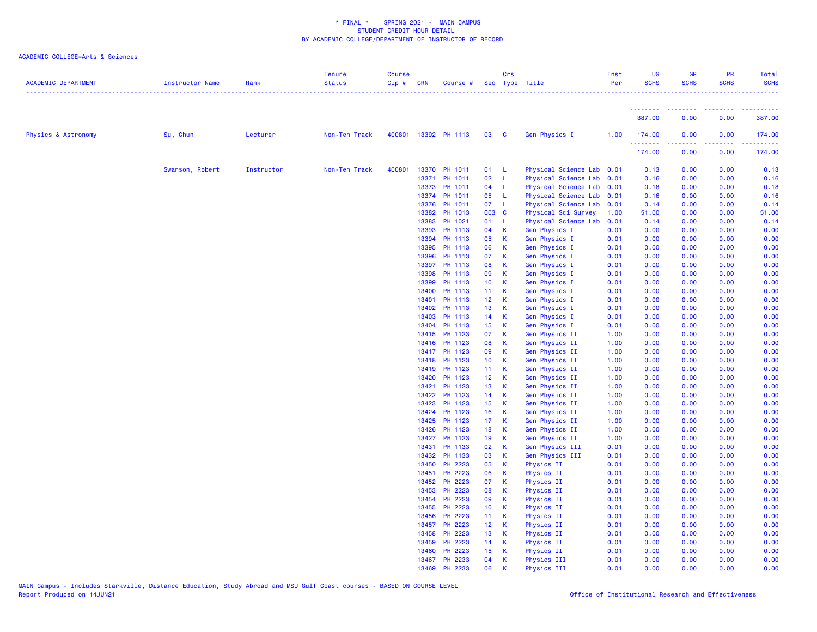| <b>ACADEMIC DEPARTMENT</b>     | Instructor Name | Rank       | <b>Tenure</b><br><b>Status</b> | <b>Course</b><br>Cip# | <b>CRN</b>     | Course #             |                                    | Crs                         | Sec Type Title                 | Inst<br>Per  | UG<br><b>SCHS</b>                       | <b>GR</b><br><b>SCHS</b> | PR<br><b>SCHS</b>                                                                                      | Total<br><b>SCHS</b> |
|--------------------------------|-----------------|------------|--------------------------------|-----------------------|----------------|----------------------|------------------------------------|-----------------------------|--------------------------------|--------------|-----------------------------------------|--------------------------|--------------------------------------------------------------------------------------------------------|----------------------|
|                                |                 |            |                                |                       |                |                      |                                    |                             |                                |              | .                                       |                          | 1.1.1.1.1.1.1                                                                                          | .                    |
|                                |                 |            |                                |                       |                |                      |                                    |                             |                                |              | 387.00                                  | 0.00                     | 0.00                                                                                                   | 387.00               |
| <b>Physics &amp; Astronomy</b> | Su, Chun        | Lecturer   | Non-Ten Track                  |                       |                | 400801 13392 PH 1113 | 03                                 | $\overline{\mathbf{C}}$     | Gen Physics I                  | 1.00         | 174.00<br><b><i><u><u>.</u></u></i></b> | 0.00                     | 0.00<br>$\frac{1}{2} \left( \frac{1}{2} \right) \left( \frac{1}{2} \right) \left( \frac{1}{2} \right)$ | 174.00               |
|                                |                 |            |                                |                       |                |                      |                                    |                             |                                |              | 174.00                                  | 0.00                     | 0.00                                                                                                   | 174.00               |
|                                | Swanson, Robert | Instructor | Non-Ten Track                  | 400801                | 13370          | PH 1011              | 01 L                               |                             | Physical Science Lab 0.01      |              | 0.13                                    | 0.00                     | 0.00                                                                                                   | 0.13                 |
|                                |                 |            |                                |                       | 13371          | PH 1011              | 02                                 | $-L$                        | Physical Science Lab 0.01      |              | 0.16                                    | 0.00                     | 0.00                                                                                                   | 0.16                 |
|                                |                 |            |                                |                       | 13373          | PH 1011              | 04                                 | $-L$                        | Physical Science Lab 0.01      |              | 0.18                                    | 0.00                     | 0.00                                                                                                   | 0.18                 |
|                                |                 |            |                                |                       | 13374          | PH 1011              | 05                                 | $-L$                        | Physical Science Lab 0.01      |              | 0.16                                    | 0.00                     | 0.00                                                                                                   | 0.16                 |
|                                |                 |            |                                |                       | 13376          | PH 1011              | 07 L                               |                             | Physical Science Lab 0.01      |              | 0.14                                    | 0.00                     | 0.00                                                                                                   | 0.14                 |
|                                |                 |            |                                |                       | 13382          | PH 1013              | C03 C                              |                             | Physical Sci Survey            | 1.00         | 51.00                                   | 0.00                     | 0.00                                                                                                   | 51.00                |
|                                |                 |            |                                |                       | 13383          | PH 1021              | 01                                 | $-L$                        | Physical Science Lab           | 0.01         | 0.14                                    | 0.00                     | 0.00                                                                                                   | 0.14                 |
|                                |                 |            |                                |                       | 13393          | PH 1113              | 04                                 | $\mathsf{K}$                | Gen Physics I                  | 0.01         | 0.00                                    | 0.00                     | 0.00                                                                                                   | 0.00                 |
|                                |                 |            |                                |                       | 13394          | PH 1113              | 05                                 | $\mathbf{K}$                | Gen Physics I                  | 0.01         | 0.00                                    | 0.00                     | 0.00                                                                                                   | 0.00                 |
|                                |                 |            |                                |                       | 13395          | PH 1113              | 06                                 | $\mathbf K$                 | Gen Physics I                  | 0.01         | 0.00                                    | 0.00                     | 0.00                                                                                                   | 0.00                 |
|                                |                 |            |                                |                       | 13396          | PH 1113              | 07                                 | $\mathsf K$                 | Gen Physics I                  | 0.01         | 0.00                                    | 0.00                     | 0.00                                                                                                   | 0.00                 |
|                                |                 |            |                                |                       | 13397          | PH 1113              | 08                                 | $\mathsf K$                 | <b>Gen Physics I</b>           | 0.01         | 0.00                                    | 0.00                     | 0.00                                                                                                   | 0.00                 |
|                                |                 |            |                                |                       | 13398          | PH 1113              | 09                                 | $\mathsf K$                 | Gen Physics I                  | 0.01         | 0.00                                    | 0.00                     | 0.00                                                                                                   | 0.00                 |
|                                |                 |            |                                |                       | 13399          | PH 1113              | 10 <sub>1</sub>                    | $\mathbf{K}$                | Gen Physics I                  | 0.01         | 0.00                                    | 0.00                     | 0.00                                                                                                   | 0.00                 |
|                                |                 |            |                                |                       | 13400<br>13401 | PH 1113<br>PH 1113   | 11 <sub>1</sub><br>12 <sub>2</sub> | $\mathsf{K}$<br>$\mathbf K$ | Gen Physics I                  | 0.01<br>0.01 | 0.00<br>0.00                            | 0.00<br>0.00             | 0.00<br>0.00                                                                                           | 0.00                 |
|                                |                 |            |                                |                       | 13402          | PH 1113              | 13 <sub>1</sub>                    | $\mathbf{K}$                | Gen Physics I                  | 0.01         | 0.00                                    | 0.00                     | 0.00                                                                                                   | 0.00                 |
|                                |                 |            |                                |                       | 13403          | PH 1113              | 14                                 | $\mathbf{K}$                | Gen Physics I<br>Gen Physics I | 0.01         | 0.00                                    | 0.00                     | 0.00                                                                                                   | 0.00<br>0.00         |
|                                |                 |            |                                |                       | 13404          | PH 1113              | 15 <sub>1</sub>                    | $\mathsf K$                 | Gen Physics I                  | 0.01         | 0.00                                    | 0.00                     | 0.00                                                                                                   | 0.00                 |
|                                |                 |            |                                |                       | 13415          | PH 1123              | 07                                 | $\mathbf{K}$                | Gen Physics II                 | 1.00         | 0.00                                    | 0.00                     | 0.00                                                                                                   | 0.00                 |
|                                |                 |            |                                |                       | 13416          | PH 1123              | 08                                 | <b>K</b>                    | Gen Physics II                 | 1.00         | 0.00                                    | 0.00                     | 0.00                                                                                                   | 0.00                 |
|                                |                 |            |                                |                       | 13417          | PH 1123              | 09                                 | K                           | Gen Physics II                 | 1.00         | 0.00                                    | 0.00                     | 0.00                                                                                                   | 0.00                 |
|                                |                 |            |                                |                       | 13418          | PH 1123              | 10 <sub>1</sub>                    | $\mathbf K$                 | Gen Physics II                 | 1.00         | 0.00                                    | 0.00                     | 0.00                                                                                                   | 0.00                 |
|                                |                 |            |                                |                       | 13419          | PH 1123              | 11 K                               |                             | Gen Physics II                 | 1.00         | 0.00                                    | 0.00                     | 0.00                                                                                                   | 0.00                 |
|                                |                 |            |                                |                       | 13420          | PH 1123              | 12 <sub>2</sub>                    | $\mathbf{K}$                | Gen Physics II                 | 1.00         | 0.00                                    | 0.00                     | 0.00                                                                                                   | 0.00                 |
|                                |                 |            |                                |                       | 13421          | PH 1123              | 13 <sup>°</sup>                    | $\mathsf K$                 | Gen Physics II                 | 1.00         | 0.00                                    | 0.00                     | 0.00                                                                                                   | 0.00                 |
|                                |                 |            |                                |                       | 13422          | PH 1123              | 14                                 | $\mathbf{K}$                | Gen Physics II                 | 1.00         | 0.00                                    | 0.00                     | 0.00                                                                                                   | 0.00                 |
|                                |                 |            |                                |                       | 13423          | PH 1123              | 15 <sub>1</sub>                    | $\mathbf{K}$                | Gen Physics II                 | 1.00         | 0.00                                    | 0.00                     | 0.00                                                                                                   | 0.00                 |
|                                |                 |            |                                |                       | 13424          | PH 1123              | 16                                 | <b>K</b>                    | Gen Physics II                 | 1.00         | 0.00                                    | 0.00                     | 0.00                                                                                                   | 0.00                 |
|                                |                 |            |                                |                       | 13425          | PH 1123              | 17 <sup>2</sup>                    | $\mathbf{K}$                | Gen Physics II                 | 1.00         | 0.00                                    | 0.00                     | 0.00                                                                                                   | 0.00                 |
|                                |                 |            |                                |                       | 13426          | PH 1123              | 18                                 | $\mathbf{K}$                | Gen Physics II                 | 1.00         | 0.00                                    | 0.00                     | 0.00                                                                                                   | 0.00                 |
|                                |                 |            |                                |                       | 13427          | PH 1123              | 19                                 | $\mathsf{K}$                | Gen Physics II                 | 1.00         | 0.00                                    | 0.00                     | 0.00                                                                                                   | 0.00                 |
|                                |                 |            |                                |                       | 13431          | PH 1133              | 02                                 | <b>K</b>                    | Gen Physics III                | 0.01         | 0.00                                    | 0.00                     | 0.00                                                                                                   | 0.00                 |
|                                |                 |            |                                |                       | 13432          | PH 1133              | 03                                 | $\mathsf{K}$                | Gen Physics III                | 0.01         | 0.00                                    | 0.00                     | 0.00                                                                                                   | 0.00                 |
|                                |                 |            |                                |                       | 13450          | PH 2223              | 05                                 | <b>K</b>                    | <b>Physics II</b>              | 0.01         | 0.00                                    | 0.00                     | 0.00                                                                                                   | 0.00                 |
|                                |                 |            |                                |                       | 13451          | PH 2223              | 06                                 | <b>K</b>                    | <b>Physics II</b>              | 0.01         | 0.00                                    | 0.00                     | 0.00                                                                                                   | 0.00                 |
|                                |                 |            |                                |                       | 13452          | PH 2223              | 07                                 | $\mathsf{K}$                | <b>Physics II</b>              | 0.01         | 0.00                                    | 0.00                     | 0.00                                                                                                   | 0.00                 |
|                                |                 |            |                                |                       | 13453          | PH 2223              | 08                                 | K                           | <b>Physics II</b>              | 0.01         | 0.00                                    | 0.00                     | 0.00                                                                                                   | 0.00                 |
|                                |                 |            |                                |                       | 13454          | PH 2223              | 09                                 | $\mathsf{K}$                | <b>Physics II</b>              | 0.01         | 0.00                                    | 0.00                     | 0.00                                                                                                   | 0.00                 |
|                                |                 |            |                                |                       | 13455          | PH 2223              | 10 <sub>1</sub>                    | <b>K</b>                    | <b>Physics II</b>              | 0.01         | 0.00                                    | 0.00                     | 0.00                                                                                                   | 0.00                 |
|                                |                 |            |                                |                       | 13456          | PH 2223              | $11$ K                             |                             | Physics II                     | 0.01         | 0.00                                    | 0.00                     | 0.00                                                                                                   | 0.00                 |
|                                |                 |            |                                |                       | 13457          | PH 2223              | 12 K                               |                             | <b>Physics II</b>              | 0.01         | 0.00                                    | 0.00                     | 0.00                                                                                                   | 0.00                 |
|                                |                 |            |                                |                       | 13458          | PH 2223              | 13 <sub>1</sub>                    | $\mathbf{K}$                | <b>Physics II</b>              | 0.01         | 0.00                                    | 0.00                     | 0.00                                                                                                   | 0.00                 |
|                                |                 |            |                                |                       | 13459          | PH 2223              | 14 K                               |                             | <b>Physics II</b>              | 0.01         | 0.00                                    | 0.00                     | 0.00                                                                                                   | 0.00                 |
|                                |                 |            |                                |                       | 13460          | PH 2223              | 15 <sub>1</sub>                    | $\mathsf K$                 | <b>Physics II</b>              | 0.01         | 0.00                                    | 0.00                     | 0.00                                                                                                   | 0.00                 |
|                                |                 |            |                                |                       | 13467          | PH 2233              | 04                                 | K                           | Physics III                    | 0.01         | 0.00                                    | 0.00                     | 0.00                                                                                                   | 0.00                 |
|                                |                 |            |                                |                       | 13469          | PH 2233              | 06                                 | К                           | Physics III                    | 0.01         | 0.00                                    | 0.00                     | 0.00                                                                                                   | 0.00                 |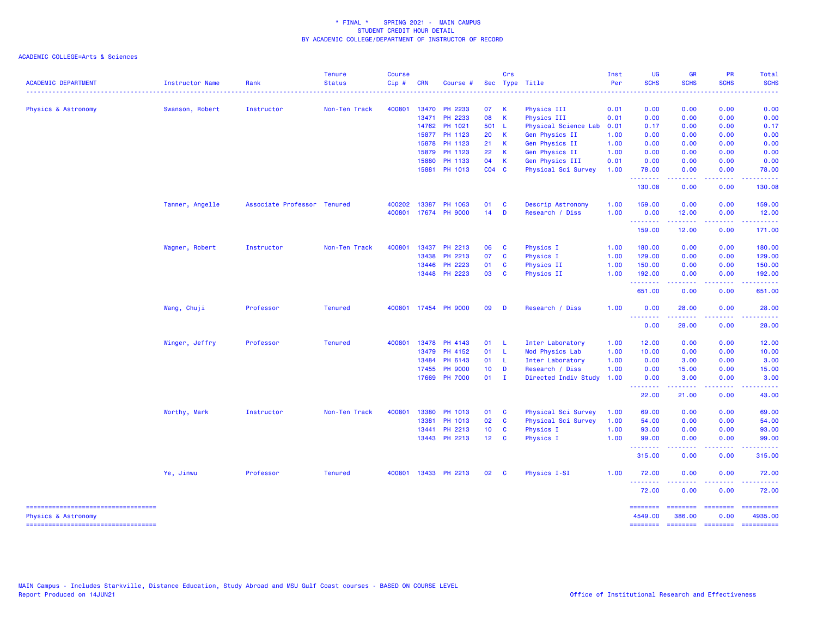| <b>ACADEMIC DEPARTMENT</b>                                  | <b>Instructor Name</b> | Rank                        | <b>Tenure</b><br><b>Status</b> | <b>Course</b><br>Cip# | <b>CRN</b> | Course #       |                 | Crs      | Sec Type Title       | Inst<br>Per | <b>UG</b><br><b>SCHS</b>                                                                                                                             | <b>GR</b><br><b>SCHS</b>                        | <b>PR</b><br><b>SCHS</b>                                                                                                          | Total<br><b>SCHS</b> |
|-------------------------------------------------------------|------------------------|-----------------------------|--------------------------------|-----------------------|------------|----------------|-----------------|----------|----------------------|-------------|------------------------------------------------------------------------------------------------------------------------------------------------------|-------------------------------------------------|-----------------------------------------------------------------------------------------------------------------------------------|----------------------|
|                                                             |                        |                             |                                |                       |            |                |                 |          |                      | .           | $\frac{1}{2} \left( \frac{1}{2} \right) \left( \frac{1}{2} \right) \left( \frac{1}{2} \right) \left( \frac{1}{2} \right) \left( \frac{1}{2} \right)$ |                                                 | <u> - - - - - - - -</u>                                                                                                           |                      |
| Physics & Astronomy                                         | Swanson, Robert        | Instructor                  | Non-Ten Track                  | 400801                |            | 13470 PH 2233  | 07              | K        | Physics III          | 0.01        | 0.00                                                                                                                                                 | 0.00                                            | 0.00                                                                                                                              | 0.00                 |
|                                                             |                        |                             |                                |                       |            | 13471 PH 2233  | 08              | K        | Physics III          | 0.01        | 0.00                                                                                                                                                 | 0.00                                            | 0.00                                                                                                                              | 0.00                 |
|                                                             |                        |                             |                                |                       |            | 14762 PH 1021  | 501 L           |          | Physical Science Lab | 0.01        | 0.17                                                                                                                                                 | 0.00                                            | 0.00                                                                                                                              | 0.17                 |
|                                                             |                        |                             |                                |                       | 15877      | PH 1123        | 20              | K        | Gen Physics II       | 1.00        | 0.00                                                                                                                                                 | 0.00                                            | 0.00                                                                                                                              | 0.00                 |
|                                                             |                        |                             |                                |                       | 15878      | PH 1123        | 21              | К        | Gen Physics II       | 1.00        | 0.00                                                                                                                                                 | 0.00                                            | 0.00                                                                                                                              | 0.00                 |
|                                                             |                        |                             |                                |                       | 15879      | PH 1123        | 22              | K        | Gen Physics II       | 1.00        | 0.00                                                                                                                                                 | 0.00                                            | 0.00                                                                                                                              | 0.00                 |
|                                                             |                        |                             |                                |                       | 15880      | PH 1133        | 04              | K        | Gen Physics III      | 0.01        | 0.00                                                                                                                                                 | 0.00                                            | 0.00                                                                                                                              | 0.00                 |
|                                                             |                        |                             |                                |                       |            | 15881 PH 1013  | $CO4$ $C$       |          | Physical Sci Survey  | 1.00        | 78.00<br>.                                                                                                                                           | 0.00<br>.                                       | 0.00<br>. <b>.</b>                                                                                                                | 78.00<br>.           |
|                                                             |                        |                             |                                |                       |            |                |                 |          |                      |             | 130.08                                                                                                                                               | 0.00                                            | 0.00                                                                                                                              | 130.08               |
|                                                             | Tanner, Angelle        | Associate Professor Tenured |                                | 400202                | 13387      | PH 1063        | 01              | C        | Descrip Astronomy    | 1.00        | 159.00                                                                                                                                               | 0.00                                            | 0.00                                                                                                                              | 159.00               |
|                                                             |                        |                             |                                | 400801                |            | 17674 PH 9000  | 14              | D        | Research / Diss      | 1.00        | 0.00<br>--------                                                                                                                                     | 12.00<br>.                                      | 0.00<br>.                                                                                                                         | 12.00<br>.           |
|                                                             |                        |                             |                                |                       |            |                |                 |          |                      |             | 159.00                                                                                                                                               | 12.00                                           | 0.00                                                                                                                              | 171.00               |
|                                                             | Wagner, Robert         | Instructor                  | Non-Ten Track                  | 400801                |            | 13437 PH 2213  | 06              | C        | Physics I            | 1.00        | 180.00                                                                                                                                               | 0.00                                            | 0.00                                                                                                                              | 180.00               |
|                                                             |                        |                             |                                |                       | 13438      | PH 2213        | 07              | C        | Physics I            | 1.00        | 129.00                                                                                                                                               | 0.00                                            | 0.00                                                                                                                              | 129.00               |
|                                                             |                        |                             |                                |                       | 13446      | PH 2223        | 01              | C        | Physics II           | 1.00        | 150.00                                                                                                                                               | 0.00                                            | 0.00                                                                                                                              | 150.00               |
|                                                             |                        |                             |                                |                       |            | 13448 PH 2223  | 03              | C        | Physics II           | 1.00        | 192.00                                                                                                                                               | 0.00                                            | 0.00                                                                                                                              | 192.00               |
|                                                             |                        |                             |                                |                       |            |                |                 |          |                      |             | .<br>651.00                                                                                                                                          | 22222<br>0.00                                   | الأعامات<br>0.00                                                                                                                  | 651.00               |
|                                                             | Wang, Chuji            | Professor                   | <b>Tenured</b>                 | 400801                |            | 17454 PH 9000  | 09              | D        | Research / Diss      | 1.00        | 0.00<br><u> - - - - - - - -</u>                                                                                                                      | 28.00<br>.                                      | 0.00<br>$   -$                                                                                                                    | 28.00                |
|                                                             |                        |                             |                                |                       |            |                |                 |          |                      |             | 0.00                                                                                                                                                 | 28.00                                           | 0.00                                                                                                                              | 28.00                |
|                                                             | Winger, Jeffry         | Professor                   | <b>Tenured</b>                 | 400801                | 13478      | PH 4143        | 01              | -L       | Inter Laboratory     | 1.00        | 12.00                                                                                                                                                | 0.00                                            | 0.00                                                                                                                              | 12.00                |
|                                                             |                        |                             |                                |                       |            | 13479 PH 4152  | 01              | -L       | Mod Physics Lab      | 1.00        | 10.00                                                                                                                                                | 0.00                                            | 0.00                                                                                                                              | 10.00                |
|                                                             |                        |                             |                                |                       | 13484      | PH 6143        | 01              | -L       | Inter Laboratory     | 1.00        | 0.00                                                                                                                                                 | 3.00                                            | 0.00                                                                                                                              | 3.00                 |
|                                                             |                        |                             |                                |                       | 17455      | <b>PH 9000</b> | 10 <sub>1</sub> | D        | Research / Diss      | 1.00        | 0.00                                                                                                                                                 | 15.00                                           | 0.00                                                                                                                              | 15.00                |
|                                                             |                        |                             |                                |                       |            | 17669 PH 7000  | $01$ I          |          | Directed Indiv Study | 1.00        | 0.00<br>.                                                                                                                                            | 3.00<br>بالمستمال                               | 0.00<br>المستبدا                                                                                                                  | 3.00<br>والمستناط    |
|                                                             |                        |                             |                                |                       |            |                |                 |          |                      |             | 22.00                                                                                                                                                | 21.00                                           | 0.00                                                                                                                              | 43.00                |
|                                                             | Worthy, Mark           | Instructor                  | Non-Ten Track                  | 400801                | 13380      | PH 1013        | 01              | C        | Physical Sci Survey  | 1.00        | 69.00                                                                                                                                                | 0.00                                            | 0.00                                                                                                                              | 69.00                |
|                                                             |                        |                             |                                |                       | 13381      | PH 1013        | 02              | C        | Physical Sci Survey  | 1.00        | 54.00                                                                                                                                                | 0.00                                            | 0.00                                                                                                                              | 54.00                |
|                                                             |                        |                             |                                |                       | 13441      | PH 2213        | 10 <sub>1</sub> | C        | Physics I            | 1.00        | 93.00                                                                                                                                                | 0.00                                            | 0.00                                                                                                                              | 93.00                |
|                                                             |                        |                             |                                |                       |            | 13443 PH 2213  | 12              | <b>C</b> | Physics I            | 1.00        | 99.00                                                                                                                                                | 0.00                                            | 0.00                                                                                                                              | 99.00                |
|                                                             |                        |                             |                                |                       |            |                |                 |          |                      |             | .<br>315.00                                                                                                                                          | <u>.</u><br>0.00                                | .<br>0.00                                                                                                                         | .<br>315.00          |
|                                                             | Ye, Jinwu              | Professor                   | <b>Tenured</b>                 | 400801                |            | 13433 PH 2213  | 02              | <b>C</b> | Physics I-SI         | 1.00        | 72.00                                                                                                                                                | 0.00                                            | 0.00                                                                                                                              | 72.00                |
|                                                             |                        |                             |                                |                       |            |                |                 |          |                      |             | <u>.</u><br>72.00                                                                                                                                    | 0.00                                            | $\frac{1}{2} \left( \frac{1}{2} \right) \left( \frac{1}{2} \right) \left( \frac{1}{2} \right) \left( \frac{1}{2} \right)$<br>0.00 | 72.00                |
| ----------------------------------                          |                        |                             |                                |                       |            |                |                 |          |                      |             | ========                                                                                                                                             | <b>EDESSERS</b>                                 | <b>ESSESSEE</b>                                                                                                                   | ==========           |
| Physics & Astronomy<br>------------------------------------ |                        |                             |                                |                       |            |                |                 |          |                      |             | 4549.00                                                                                                                                              | 386.00<br>======== ======== ======== ========== | 0.00                                                                                                                              | 4935.00              |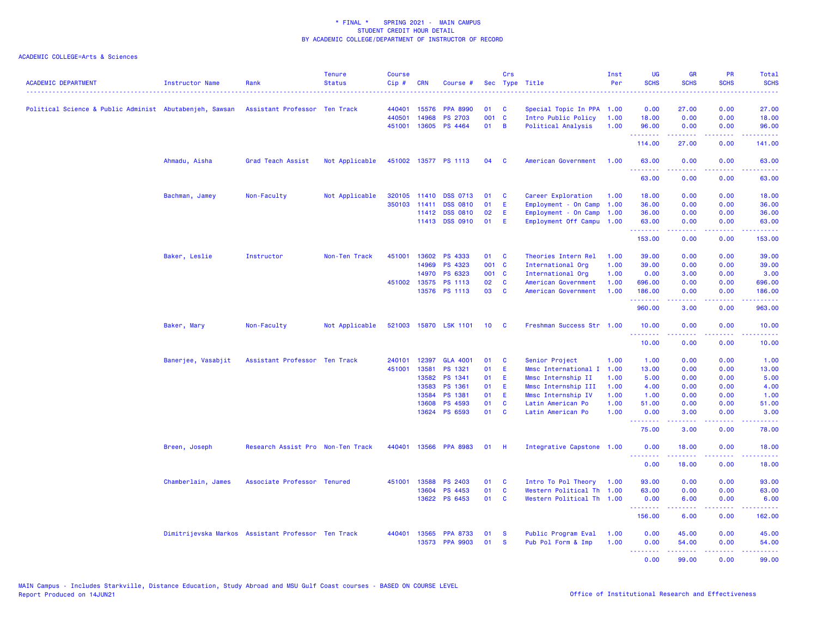| <b>ACADEMIC DEPARTMENT</b>                              | <b>Instructor Name</b> | Rank                                               | <b>Tenure</b><br><b>Status</b><br>. | Course<br>$Cip \#$ | <b>CRN</b>   | Course #              |                 | Crs          | Sec Type Title            | Inst<br>Per | UG<br><b>SCHS</b><br>2.2.2.2.2                                                                                                                                                                                                                                                                                                                                                                                                                                                                   | <b>GR</b><br><b>SCHS</b> | PR<br><b>SCHS</b><br>22223 | Total<br><b>SCHS</b><br>د د د د د                                                                                                                            |
|---------------------------------------------------------|------------------------|----------------------------------------------------|-------------------------------------|--------------------|--------------|-----------------------|-----------------|--------------|---------------------------|-------------|--------------------------------------------------------------------------------------------------------------------------------------------------------------------------------------------------------------------------------------------------------------------------------------------------------------------------------------------------------------------------------------------------------------------------------------------------------------------------------------------------|--------------------------|----------------------------|--------------------------------------------------------------------------------------------------------------------------------------------------------------|
| Political Science & Public Administ Abutabenjeh, Sawsan |                        | Assistant Professor Ten Track                      |                                     | 440401             | 15576        | <b>PPA 8990</b>       | 01              | C            | Special Topic In PPA 1.00 |             | 0.00                                                                                                                                                                                                                                                                                                                                                                                                                                                                                             | 27.00                    | 0.00                       | 27.00                                                                                                                                                        |
|                                                         |                        |                                                    |                                     | 440501             | 14968        | <b>PS 2703</b>        | 001 C           |              | Intro Public Policy       | 1.00        | 18.00                                                                                                                                                                                                                                                                                                                                                                                                                                                                                            | 0.00                     | 0.00                       | 18.00                                                                                                                                                        |
|                                                         |                        |                                                    |                                     | 451001             |              | 13605 PS 4464         | 01              | B            | Political Analysis        | 1.00        | 96.00<br>.                                                                                                                                                                                                                                                                                                                                                                                                                                                                                       | 0.00<br>.                | 0.00<br>.                  | 96.00<br>.                                                                                                                                                   |
|                                                         |                        |                                                    |                                     |                    |              |                       |                 |              |                           |             | 114.00                                                                                                                                                                                                                                                                                                                                                                                                                                                                                           | 27.00                    | 0.00                       | 141.00                                                                                                                                                       |
|                                                         | Ahmadu, Aisha          | Grad Teach Assist                                  | Not Applicable                      |                    |              | 451002 13577 PS 1113  | 04              | - C          | American Government       | 1.00        | 63.00<br><u>.</u>                                                                                                                                                                                                                                                                                                                                                                                                                                                                                | 0.00                     | 0.00<br>$  -$              | 63.00<br>.                                                                                                                                                   |
|                                                         |                        |                                                    |                                     |                    |              |                       |                 |              |                           |             | 63.00                                                                                                                                                                                                                                                                                                                                                                                                                                                                                            | 0.00                     | 0.00                       | 63.00                                                                                                                                                        |
|                                                         | Bachman, Jamey         | Non-Faculty                                        | Not Applicable                      |                    |              | 320105 11410 DSS 0713 | 01              | C            | Career Exploration        | 1.00        | 18.00                                                                                                                                                                                                                                                                                                                                                                                                                                                                                            | 0.00                     | 0.00                       | 18.00                                                                                                                                                        |
|                                                         |                        |                                                    |                                     |                    | 350103 11411 | <b>DSS 0810</b>       | 01              | Ε            | Employment - On Camp      | 1.00        | 36.00                                                                                                                                                                                                                                                                                                                                                                                                                                                                                            | 0.00                     | 0.00                       | 36.00                                                                                                                                                        |
|                                                         |                        |                                                    |                                     |                    | 11412        | <b>DSS 0810</b>       | 02              | Ε            | Employment - On Camp      | 1.00        | 36.00                                                                                                                                                                                                                                                                                                                                                                                                                                                                                            | 0.00                     | 0.00                       | 36.00                                                                                                                                                        |
|                                                         |                        |                                                    |                                     |                    |              | 11413 DSS 0910        | 01              | E            | Employment Off Campu 1.00 |             | 63.00<br><b><i><u><u> - - - - - - -</u></u></i></b>                                                                                                                                                                                                                                                                                                                                                                                                                                              | 0.00<br>22222            | 0.00<br>22222              | 63.00<br>22222                                                                                                                                               |
|                                                         |                        |                                                    |                                     |                    |              |                       |                 |              |                           |             | 153.00                                                                                                                                                                                                                                                                                                                                                                                                                                                                                           | 0.00                     | 0.00                       | 153.00                                                                                                                                                       |
|                                                         | Baker, Leslie          | Instructor                                         | Non-Ten Track                       | 451001             |              | 13602 PS 4333         | 01              | <b>C</b>     | Theories Intern Rel       | 1.00        | 39.00                                                                                                                                                                                                                                                                                                                                                                                                                                                                                            | 0.00                     | 0.00                       | 39.00                                                                                                                                                        |
|                                                         |                        |                                                    |                                     |                    | 14969        | <b>PS 4323</b>        | 001 C           |              | International Org         | 1.00        | 39.00                                                                                                                                                                                                                                                                                                                                                                                                                                                                                            | 0.00                     | 0.00                       | 39.00                                                                                                                                                        |
|                                                         |                        |                                                    |                                     |                    |              | 14970 PS 6323         | 001 C           |              | International Org         | 1.00        | 0.00                                                                                                                                                                                                                                                                                                                                                                                                                                                                                             | 3.00                     | 0.00                       | 3.00                                                                                                                                                         |
|                                                         |                        |                                                    |                                     |                    |              | 451002 13575 PS 1113  | 02              | <b>C</b>     | American Government       | 1.00        | 696.00                                                                                                                                                                                                                                                                                                                                                                                                                                                                                           | 0.00                     | 0.00                       | 696.00                                                                                                                                                       |
|                                                         |                        |                                                    |                                     |                    |              | 13576 PS 1113         | 03              | C            | American Government       | 1.00        | 186.00<br>$\begin{array}{cccccccccc} \multicolumn{2}{c}{} & \multicolumn{2}{c}{} & \multicolumn{2}{c}{} & \multicolumn{2}{c}{} & \multicolumn{2}{c}{} & \multicolumn{2}{c}{} & \multicolumn{2}{c}{} & \multicolumn{2}{c}{} & \multicolumn{2}{c}{} & \multicolumn{2}{c}{} & \multicolumn{2}{c}{} & \multicolumn{2}{c}{} & \multicolumn{2}{c}{} & \multicolumn{2}{c}{} & \multicolumn{2}{c}{} & \multicolumn{2}{c}{} & \multicolumn{2}{c}{} & \multicolumn{2}{c}{} & \multicolumn{2}{c}{} & \mult$ | 0.00<br>22222            | 0.00<br>د د د د .          | 186.00<br>.                                                                                                                                                  |
|                                                         |                        |                                                    |                                     |                    |              |                       |                 |              |                           |             | 960.00                                                                                                                                                                                                                                                                                                                                                                                                                                                                                           | 3.00                     | 0.00                       | 963.00                                                                                                                                                       |
|                                                         | Baker, Mary            | Non-Faculty                                        | Not Applicable                      |                    |              | 521003 15870 LSK 1101 | 10 <sup>1</sup> | <b>C</b>     | Freshman Success Str 1.00 |             | 10.00<br>.                                                                                                                                                                                                                                                                                                                                                                                                                                                                                       | 0.00                     | 0.00                       | 10.00                                                                                                                                                        |
|                                                         |                        |                                                    |                                     |                    |              |                       |                 |              |                           |             | 10.00                                                                                                                                                                                                                                                                                                                                                                                                                                                                                            | 0.00                     | 0.00                       | 10.00                                                                                                                                                        |
|                                                         | Banerjee, Vasabjit     | Assistant Professor Ten Track                      |                                     | 240101             | 12397        | <b>GLA 4001</b>       | 01              | C            | Senior Project            | 1.00        | 1.00                                                                                                                                                                                                                                                                                                                                                                                                                                                                                             | 0.00                     | 0.00                       | 1.00                                                                                                                                                         |
|                                                         |                        |                                                    |                                     | 451001             | 13581        | PS 1321               | 01              | Ε            | Mmsc International I      | 1.00        | 13.00                                                                                                                                                                                                                                                                                                                                                                                                                                                                                            | 0.00                     | 0.00                       | 13.00                                                                                                                                                        |
|                                                         |                        |                                                    |                                     |                    | 13582        | PS 1341               | 01              | E            | Mmsc Internship II        | 1.00        | 5.00                                                                                                                                                                                                                                                                                                                                                                                                                                                                                             | 0.00                     | 0.00                       | 5.00                                                                                                                                                         |
|                                                         |                        |                                                    |                                     |                    | 13583        | PS 1361               | 01              | Ε            | Mmsc Internship III       | 1.00        | 4.00                                                                                                                                                                                                                                                                                                                                                                                                                                                                                             | 0.00                     | 0.00                       | 4.00                                                                                                                                                         |
|                                                         |                        |                                                    |                                     |                    | 13584        | PS 1381               | 01              | Ε            | Mmsc Internship IV        | 1.00        | 1.00                                                                                                                                                                                                                                                                                                                                                                                                                                                                                             | 0.00                     | 0.00                       | 1.00                                                                                                                                                         |
|                                                         |                        |                                                    |                                     |                    | 13608        | <b>PS 4593</b>        | 01              | <b>C</b>     | Latin American Po         | 1.00        | 51.00                                                                                                                                                                                                                                                                                                                                                                                                                                                                                            | 0.00                     | 0.00                       | 51.00                                                                                                                                                        |
|                                                         |                        |                                                    |                                     |                    |              | 13624 PS 6593         | 01              | <b>C</b>     | Latin American Po         | 1.00        | 0.00<br><b><i><u><u> - - - - - - -</u></u></i></b>                                                                                                                                                                                                                                                                                                                                                                                                                                               | 3.00<br>.                | 0.00<br>.                  | 3.00<br>.                                                                                                                                                    |
|                                                         |                        |                                                    |                                     |                    |              |                       |                 |              |                           |             | 75.00                                                                                                                                                                                                                                                                                                                                                                                                                                                                                            | 3.00                     | 0.00                       | 78.00                                                                                                                                                        |
|                                                         | Breen, Joseph          | Research Assist Pro Non-Ten Track                  |                                     | 440401             |              | 13566 PPA 8983        | 01              | H            | Integrative Capstone 1.00 |             | 0.00<br>.                                                                                                                                                                                                                                                                                                                                                                                                                                                                                        | 18.00<br>.               | 0.00<br>.                  | 18.00<br>.                                                                                                                                                   |
|                                                         |                        |                                                    |                                     |                    |              |                       |                 |              |                           |             | 0.00                                                                                                                                                                                                                                                                                                                                                                                                                                                                                             | 18.00                    | 0.00                       | 18.00                                                                                                                                                        |
|                                                         | Chamberlain, James     | Associate Professor Tenured                        |                                     | 451001             | 13588        | <b>PS 2403</b>        | 01              | C            | Intro To Pol Theory       | 1.00        | 93.00                                                                                                                                                                                                                                                                                                                                                                                                                                                                                            | 0.00                     | 0.00                       | 93.00                                                                                                                                                        |
|                                                         |                        |                                                    |                                     |                    | 13604        | PS 4453               | 01              | C            | Western Political Th 1.00 |             | 63.00                                                                                                                                                                                                                                                                                                                                                                                                                                                                                            | 0.00                     | 0.00                       | 63.00                                                                                                                                                        |
|                                                         |                        |                                                    |                                     |                    |              | 13622 PS 6453         | 01              | $\mathbf{C}$ | Western Political Th 1.00 |             | 0.00<br><u>.</u>                                                                                                                                                                                                                                                                                                                                                                                                                                                                                 | 6.00<br>22222            | 0.00<br>.                  | 6.00<br>$\frac{1}{2} \left( \frac{1}{2} \right) \left( \frac{1}{2} \right) \left( \frac{1}{2} \right) \left( \frac{1}{2} \right) \left( \frac{1}{2} \right)$ |
|                                                         |                        |                                                    |                                     |                    |              |                       |                 |              |                           |             | 156.00                                                                                                                                                                                                                                                                                                                                                                                                                                                                                           | 6.00                     | 0.00                       | 162.00                                                                                                                                                       |
|                                                         |                        | Dimitrijevska Markos Assistant Professor Ten Track |                                     | 440401             | 13565        | <b>PPA 8733</b>       | 01              | <b>S</b>     | Public Program Eval       | 1.00        | 0.00                                                                                                                                                                                                                                                                                                                                                                                                                                                                                             | 45.00                    | 0.00                       | 45.00                                                                                                                                                        |
|                                                         |                        |                                                    |                                     |                    |              | 13573 PPA 9903        | 01              | <b>S</b>     | Pub Pol Form & Imp        | 1.00        | 0.00                                                                                                                                                                                                                                                                                                                                                                                                                                                                                             | 54.00                    | 0.00                       | 54.00                                                                                                                                                        |
|                                                         |                        |                                                    |                                     |                    |              |                       |                 |              |                           |             | .<br>0.00                                                                                                                                                                                                                                                                                                                                                                                                                                                                                        | .<br>99.00               | د د د د .<br>0.00          | .<br>99.00                                                                                                                                                   |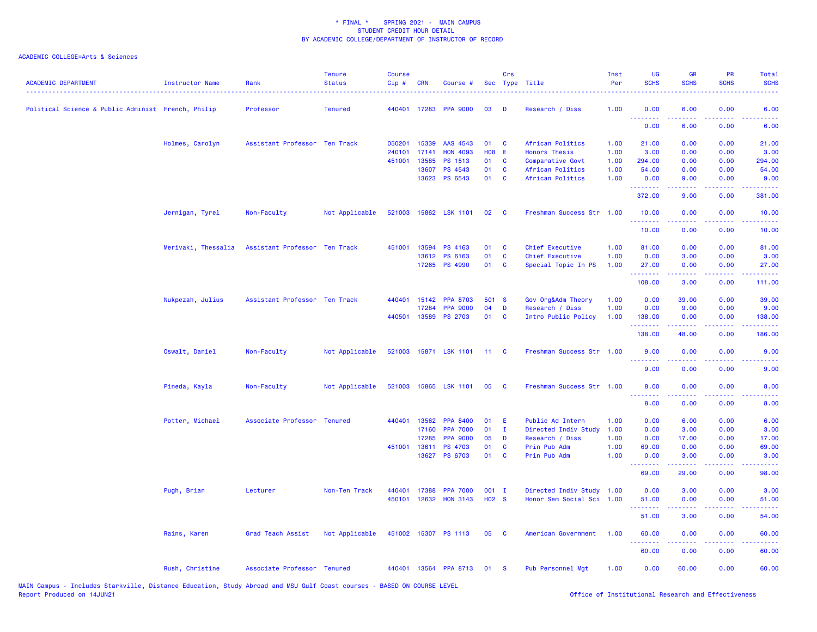|                                                    |                     |                               | <b>Tenure</b>  | <b>Course</b> |            |                       |                   | Crs          |                           | Inst | <b>UG</b>                                      | <b>GR</b>         | <b>PR</b>                                                                                                                         | Total                               |
|----------------------------------------------------|---------------------|-------------------------------|----------------|---------------|------------|-----------------------|-------------------|--------------|---------------------------|------|------------------------------------------------|-------------------|-----------------------------------------------------------------------------------------------------------------------------------|-------------------------------------|
| <b>ACADEMIC DEPARTMENT</b>                         | Instructor Name     | Rank                          | <b>Status</b>  | Cip#          | <b>CRN</b> | Course #              |                   |              | Sec Type Title            | Per  | <b>SCHS</b>                                    | <b>SCHS</b>       | <b>SCHS</b>                                                                                                                       | <b>SCHS</b>                         |
|                                                    |                     |                               |                |               |            |                       |                   |              |                           |      |                                                |                   |                                                                                                                                   |                                     |
| Political Science & Public Administ French, Philip |                     | Professor                     | <b>Tenured</b> |               |            | 440401 17283 PPA 9000 | 03                | Ð            | Research / Diss           | 1.00 | 0.00<br>.                                      | 6.00<br>.         | 0.00<br>$\sim$ $\sim$ $\sim$ $\sim$                                                                                               | 6.00<br>22220                       |
|                                                    |                     |                               |                |               |            |                       |                   |              |                           |      | 0.00                                           | 6.00              | 0.00                                                                                                                              | 6.00                                |
|                                                    | Holmes, Carolyn     | Assistant Professor Ten Track |                | 050201        | 15339      | AAS 4543              | 01                | C            | African Politics          | 1.00 | 21.00                                          | 0.00              | 0.00                                                                                                                              | 21.00                               |
|                                                    |                     |                               |                | 240101        | 17141      | <b>HON 4093</b>       | <b>H08 E</b>      |              | <b>Honors Thesis</b>      | 1.00 | 3.00                                           | 0.00              | 0.00                                                                                                                              | 3.00                                |
|                                                    |                     |                               |                | 451001        | 13585      | PS 1513               | 01                | <b>C</b>     | Comparative Govt          | 1.00 | 294.00                                         | 0.00              | 0.00                                                                                                                              | 294.00                              |
|                                                    |                     |                               |                |               | 13607      | PS 4543               | 01                | $\mathbf{C}$ | African Politics          | 1.00 | 54.00                                          | 0.00              | 0.00                                                                                                                              | 54.00                               |
|                                                    |                     |                               |                |               |            | 13623 PS 6543         | 01                | $\mathbf{C}$ | African Politics          | 1.00 | 0.00<br>.                                      | 9.00<br>.         | 0.00<br>.                                                                                                                         | 9.00<br>22222)                      |
|                                                    |                     |                               |                |               |            |                       |                   |              |                           |      | 372.00                                         | 9.00              | 0.00                                                                                                                              | 381.00                              |
|                                                    | Jernigan, Tyrel     | Non-Faculty                   | Not Applicable |               |            | 521003 15862 LSK 1101 | 02                | C            | Freshman Success Str 1.00 |      | 10.00<br>.                                     | 0.00              | 0.00                                                                                                                              | 10.00<br>المتمامين                  |
|                                                    |                     |                               |                |               |            |                       |                   |              |                           |      | 10.00                                          | 0.00              | $\sim$ $\sim$ $\sim$ $\sim$<br>0.00                                                                                               | 10.00                               |
|                                                    | Merivaki, Thessalia | Assistant Professor Ten Track |                | 451001        | 13594      | PS 4163               | 01                | C            | Chief Executive           | 1.00 | 81.00                                          | 0.00              | 0.00                                                                                                                              | 81.00                               |
|                                                    |                     |                               |                |               |            | 13612 PS 6163         | 01                | $\mathbf{C}$ | Chief Executive           | 1.00 | 0.00                                           | 3.00              | 0.00                                                                                                                              | 3.00                                |
|                                                    |                     |                               |                |               |            | 17265 PS 4990         | 01                | C            | Special Topic In PS       | 1.00 | 27.00                                          | 0.00              | 0.00                                                                                                                              | 27.00                               |
|                                                    |                     |                               |                |               |            |                       |                   |              |                           |      | <b><i><u><u><b>A</b></u></u></i></b><br>108.00 | 3.00              | $\frac{1}{2} \left( \frac{1}{2} \right) \left( \frac{1}{2} \right) \left( \frac{1}{2} \right) \left( \frac{1}{2} \right)$<br>0.00 | .<br>111.00                         |
|                                                    | Nukpezah, Julius    | Assistant Professor Ten Track |                | 440401        | 15142      | <b>PPA 8703</b>       | 501 S             |              | Gov Org&Adm Theory        | 1.00 | 0.00                                           | 39.00             | 0.00                                                                                                                              | 39.00                               |
|                                                    |                     |                               |                |               | 17284      | <b>PPA 9000</b>       | 04                | D            | Research / Diss           | 1.00 | 0.00                                           | 9.00              | 0.00                                                                                                                              | 9.00                                |
|                                                    |                     |                               |                |               |            | 440501 13589 PS 2703  | 01                | <b>C</b>     | Intro Public Policy       | 1.00 | 138.00                                         | 0.00              | 0.00                                                                                                                              | 138.00                              |
|                                                    |                     |                               |                |               |            |                       |                   |              |                           |      | .<br>138.00                                    | .<br>48.00        | .<br>0.00                                                                                                                         | .<br>186.00                         |
|                                                    | Oswalt, Daniel      | Non-Faculty                   | Not Applicable |               |            | 521003 15871 LSK 1101 | $-11$             | C            | Freshman Success Str 1.00 |      | 9.00                                           | 0.00              | 0.00                                                                                                                              | 9.00                                |
|                                                    |                     |                               |                |               |            |                       |                   |              |                           |      | د د د د<br>9.00                                | 0.00              | 2222<br>0.00                                                                                                                      | 9.00                                |
|                                                    | Pineda, Kayla       | Non-Faculty                   | Not Applicable |               |            | 521003 15865 LSK 1101 | 05                | <b>C</b>     | Freshman Success Str 1.00 |      | 8.00                                           | 0.00              | 0.00                                                                                                                              | 8.00                                |
|                                                    |                     |                               |                |               |            |                       |                   |              |                           |      | <u>.</u><br>8.00                               | .<br>0.00         | $\frac{1}{2} \left( \frac{1}{2} \right) \left( \frac{1}{2} \right) \left( \frac{1}{2} \right) \left( \frac{1}{2} \right)$<br>0.00 | $\sim$ $\sim$ $\sim$ $\sim$<br>8.00 |
|                                                    | Potter, Michael     | Associate Professor Tenured   |                | 440401        | 13562      | <b>PPA 8400</b>       | 01                | Ε            | Public Ad Intern          | 1.00 | 0.00                                           | 6.00              | 0.00                                                                                                                              | 6.00                                |
|                                                    |                     |                               |                |               | 17160      | <b>PPA 7000</b>       | 01                | $\mathbf{I}$ | Directed Indiv Study      | 1.00 | 0.00                                           | 3.00              | 0.00                                                                                                                              | 3.00                                |
|                                                    |                     |                               |                |               | 17285      | <b>PPA 9000</b>       | 05                | D            | Research / Diss           | 1.00 | 0.00                                           | 17.00             | 0.00                                                                                                                              | 17.00                               |
|                                                    |                     |                               |                | 451001        | 13611      | <b>PS 4703</b>        | 01                | C            | Prin Pub Adm              | 1.00 | 69.00                                          | 0.00              | 0.00                                                                                                                              | 69.00                               |
|                                                    |                     |                               |                |               |            | 13627 PS 6703         | 01                | C            | Prin Pub Adm              | 1.00 | 0.00                                           | 3.00              | 0.00                                                                                                                              | 3.00                                |
|                                                    |                     |                               |                |               |            |                       |                   |              |                           |      | .<br>69.00                                     | <b>.</b><br>29.00 | .<br>0.00                                                                                                                         | .<br>98.00                          |
|                                                    | Pugh, Brian         | Lecturer                      | Non-Ten Track  | 440401        | 17388      | <b>PPA 7000</b>       | $001$ I           |              | Directed Indiv Study 1.00 |      | 0.00                                           | 3.00              | 0.00                                                                                                                              | 3.00                                |
|                                                    |                     |                               |                | 450101        |            | 12632 HON 3143        | H <sub>02</sub> S |              | Honor Sem Social Sci 1.00 |      | 51.00                                          | 0.00              | 0.00                                                                                                                              | 51.00                               |
|                                                    |                     |                               |                |               |            |                       |                   |              |                           |      | 51.00                                          | 3.00              | 0.00                                                                                                                              | 54.00                               |
|                                                    | Rains, Karen        | Grad Teach Assist             | Not Applicable |               |            | 451002 15307 PS 1113  | 05 C              |              | American Government       | 1.00 | 60.00                                          | 0.00              | 0.00                                                                                                                              | 60.00                               |
|                                                    |                     |                               |                |               |            |                       |                   |              |                           |      | <u> - - - - - - - -</u><br>60.00               | .<br>0.00         | .<br>0.00                                                                                                                         | .<br>60.00                          |
|                                                    | Rush, Christine     | Associate Professor Tenured   |                |               |            | 440401 13564 PPA 8713 | 01                | <b>S</b>     | <b>Pub Personnel Mgt</b>  | 1.00 | 0.00                                           | 60.00             | 0.00                                                                                                                              | 60.00                               |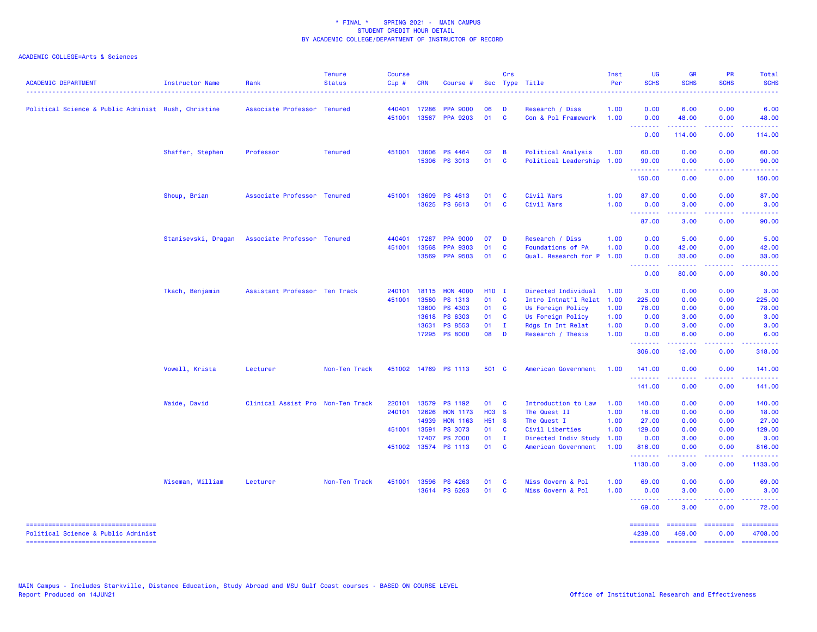| <b>ACADEMIC DEPARTMENT</b>                                                   | Instructor Name     | Rank                              | <b>Tenure</b><br><b>Status</b> | <b>Course</b><br>$Cip$ # | <b>CRN</b> | Course #                               |                   | <b>Crs</b>                   | Sec Type Title                              | Inst<br>Per  | UG<br><b>SCHS</b>                | <b>GR</b><br><b>SCHS</b>                                                                                                                                     | PR<br><b>SCHS</b>                                                                             | Total<br><b>SCHS</b>  |
|------------------------------------------------------------------------------|---------------------|-----------------------------------|--------------------------------|--------------------------|------------|----------------------------------------|-------------------|------------------------------|---------------------------------------------|--------------|----------------------------------|--------------------------------------------------------------------------------------------------------------------------------------------------------------|-----------------------------------------------------------------------------------------------|-----------------------|
| Political Science & Public Administ Rush, Christine                          |                     | Associate Professor Tenured       |                                | 440401                   | 17286      | <b>PPA 9000</b>                        | 06                | D                            | Research / Diss                             | 1.00         | 0.00                             | 6.00                                                                                                                                                         | 0.00                                                                                          | 6.00                  |
|                                                                              |                     |                                   |                                | 451001                   | 13567      | <b>PPA 9203</b>                        | 01                | $\mathbf{C}$                 | Con & Pol Framework                         | 1.00         | 0.00<br><b></b>                  | 48.00<br><b></b>                                                                                                                                             | 0.00<br>.                                                                                     | 48.00<br><u>.</u>     |
|                                                                              |                     |                                   |                                |                          |            |                                        |                   |                              |                                             |              | 0.00                             | 114.00                                                                                                                                                       | 0.00                                                                                          | 114.00                |
|                                                                              | Shaffer, Stephen    | Professor                         | <b>Tenured</b>                 | 451001                   | 13606      | PS 4464                                | 02                | $\overline{B}$               | Political Analysis                          | 1.00         | 60.00                            | 0.00                                                                                                                                                         | 0.00                                                                                          | 60.00                 |
|                                                                              |                     |                                   |                                |                          |            | 15306 PS 3013                          | 01 C              |                              | Political Leadership 1.00                   |              | 90.00<br><u> - - - - - - - -</u> | 0.00<br>$- - - - -$                                                                                                                                          | 0.00<br>.                                                                                     | 90.00<br>.            |
|                                                                              |                     |                                   |                                |                          |            |                                        |                   |                              |                                             |              | 150.00                           | 0.00                                                                                                                                                         | 0.00                                                                                          | 150.00                |
|                                                                              | Shoup, Brian        | Associate Professor Tenured       |                                | 451001                   | 13609      | PS 4613                                | 01                | <b>C</b>                     | Civil Wars                                  | 1.00         | 87.00                            | 0.00                                                                                                                                                         | 0.00                                                                                          | 87.00                 |
|                                                                              |                     |                                   |                                |                          | 13625      | PS 6613                                | 01                | <b>C</b>                     | Civil Wars                                  | 1.00         | 0.00                             | 3.00                                                                                                                                                         | 0.00                                                                                          | 3.00                  |
|                                                                              |                     |                                   |                                |                          |            |                                        |                   |                              |                                             |              | <u>.</u><br>87.00                | $\frac{1}{2} \left( \frac{1}{2} \right) \left( \frac{1}{2} \right) \left( \frac{1}{2} \right) \left( \frac{1}{2} \right) \left( \frac{1}{2} \right)$<br>3.00 | .<br>0.00                                                                                     | 90.00                 |
|                                                                              | Stanisevski, Dragan | Associate Professor Tenured       |                                | 440401                   | 17287      | <b>PPA 9000</b>                        | 07                | $\mathbf{D}$                 | Research / Diss                             | 1.00         | 0.00                             | 5.00                                                                                                                                                         | 0.00                                                                                          | 5.00                  |
|                                                                              |                     |                                   |                                | 451001                   | 13568      | <b>PPA 9303</b>                        | 01                | <b>C</b>                     | <b>Foundations of PA</b>                    | 1.00         | 0.00                             | 42.00                                                                                                                                                        | 0.00                                                                                          | 42.00                 |
|                                                                              |                     |                                   |                                |                          | 13569      | <b>PPA 9503</b>                        | 01                | $\mathbf{C}$                 | Qual. Research for P 1.00                   |              | 0.00<br>.                        | 33.00                                                                                                                                                        | 0.00                                                                                          | 33.00                 |
|                                                                              |                     |                                   |                                |                          |            |                                        |                   |                              |                                             |              | 0.00                             | 80.00                                                                                                                                                        | 0.00                                                                                          | 80.00                 |
|                                                                              | Tkach, Benjamin     | Assistant Professor Ten Track     |                                | 240101                   | 18115      | <b>HON 4000</b>                        | H <sub>10</sub> I |                              | Directed Individual                         | 1.00         | 3.00                             | 0.00                                                                                                                                                         | 0.00                                                                                          | 3.00                  |
|                                                                              |                     |                                   |                                | 451001                   | 13580      | PS 1313                                | 01                | $\mathbf{C}$                 | Intro Intnat'l Relat                        | 1.00         | 225.00                           | 0.00                                                                                                                                                         | 0.00                                                                                          | 225.00                |
|                                                                              |                     |                                   |                                |                          | 13600      | PS 4303                                | 01                | $\mathbf{C}$                 | Us Foreign Policy                           | 1.00         | 78.00                            | 0.00                                                                                                                                                         | 0.00                                                                                          | 78.00                 |
|                                                                              |                     |                                   |                                |                          | 13618      | PS 6303                                | 01                | $\mathbf{C}$                 | Us Foreign Policy                           | 1.00         | 0.00                             | 3.00                                                                                                                                                         | 0.00                                                                                          | 3.00                  |
|                                                                              |                     |                                   |                                |                          | 13631      | <b>PS 8553</b><br>17295 PS 8000        | 01<br>08 D        | $\mathbf{I}$                 | Rdgs In Int Relat<br>Research / Thesis      | 1.00<br>1.00 | 0.00<br>0.00                     | 3.00<br>6.00                                                                                                                                                 | 0.00<br>0.00                                                                                  | 3.00<br>6.00          |
|                                                                              |                     |                                   |                                |                          |            |                                        |                   |                              |                                             |              | --------                         | .                                                                                                                                                            | .                                                                                             |                       |
|                                                                              |                     |                                   |                                |                          |            |                                        |                   |                              |                                             |              | 306.00                           | 12.00                                                                                                                                                        | 0.00                                                                                          | 318.00                |
|                                                                              | Vowell, Krista      | Lecturer                          | Non-Ten Track                  | 451002                   |            | 14769 PS 1113                          | 501 C             |                              | American Government                         | 1.00         | 141.00<br>.                      | 0.00                                                                                                                                                         | 0.00<br>د د د د                                                                               | 141.00                |
|                                                                              |                     |                                   |                                |                          |            |                                        |                   |                              |                                             |              | 141.00                           | 0.00                                                                                                                                                         | 0.00                                                                                          | 141.00                |
|                                                                              | Waide, David        | Clinical Assist Pro Non-Ten Track |                                | 220101                   | 13579      | PS 1192                                | 01                | $\mathbf{C}$                 | Introduction to Law                         | 1.00         | 140.00                           | 0.00                                                                                                                                                         | 0.00                                                                                          | 140.00                |
|                                                                              |                     |                                   |                                | 240101 12626             |            | <b>HON 1173</b>                        | H03 S             |                              | The Quest II                                | 1.00         | 18.00                            | 0.00                                                                                                                                                         | 0.00                                                                                          | 18.00                 |
|                                                                              |                     |                                   |                                |                          | 14939      | <b>HON 1163</b>                        | H51 S             |                              | The Quest I                                 | 1.00         | 27.00                            | 0.00                                                                                                                                                         | 0.00                                                                                          | 27.00                 |
|                                                                              |                     |                                   |                                | 451001                   | 13591      | PS 3073                                | 01                | $\mathbf{C}$                 | Civil Liberties                             | 1.00         | 129.00                           | 0.00                                                                                                                                                         | 0.00                                                                                          | 129.00                |
|                                                                              |                     |                                   |                                |                          | 17407      | <b>PS 7000</b><br>451002 13574 PS 1113 | 01<br>01          | $\mathbf{I}$<br>$\mathbf{C}$ | Directed Indiv Study<br>American Government | 1.00<br>1.00 | 0.00<br>816.00                   | 3.00<br>0.00                                                                                                                                                 | 0.00<br>0.00                                                                                  | 3.00<br>816.00        |
|                                                                              |                     |                                   |                                |                          |            |                                        |                   |                              |                                             |              | .                                |                                                                                                                                                              | .                                                                                             |                       |
|                                                                              |                     |                                   |                                |                          |            |                                        |                   |                              |                                             |              | 1130.00                          | 3.00                                                                                                                                                         | 0.00                                                                                          | 1133.00               |
|                                                                              | Wiseman, William    | Lecturer                          | Non-Ten Track                  | 451001                   | 13596      | <b>PS 4263</b>                         | 01                | <b>C</b>                     | Miss Govern & Pol                           | 1.00         | 69.00                            | 0.00                                                                                                                                                         | 0.00                                                                                          | 69.00                 |
|                                                                              |                     |                                   |                                |                          |            | 13614 PS 6263                          | 01                | <b>C</b>                     | Miss Govern & Pol                           | 1.00         | 0.00<br>.                        | 3.00<br>.                                                                                                                                                    | 0.00<br>.                                                                                     | 3.00<br>. <u>.</u> .  |
|                                                                              |                     |                                   |                                |                          |            |                                        |                   |                              |                                             |              | 69.00                            | 3.00                                                                                                                                                         | 0.00                                                                                          | 72.00                 |
| =====================================<br>Political Science & Public Administ |                     |                                   |                                |                          |            |                                        |                   |                              |                                             |              | $=$ = = = = = = = $=$<br>4239.00 | ========<br>469.00                                                                                                                                           | <b>ESSESSE</b><br>0.00                                                                        | ==========<br>4708.00 |
| ----------------------------------                                           |                     |                                   |                                |                          |            |                                        |                   |                              |                                             |              | <b>SESSESSE</b>                  | ========                                                                                                                                                     | $\begin{array}{c} \texttt{m} = \texttt{m} = \texttt{m} = \texttt{m} = \texttt{m} \end{array}$ | ==========            |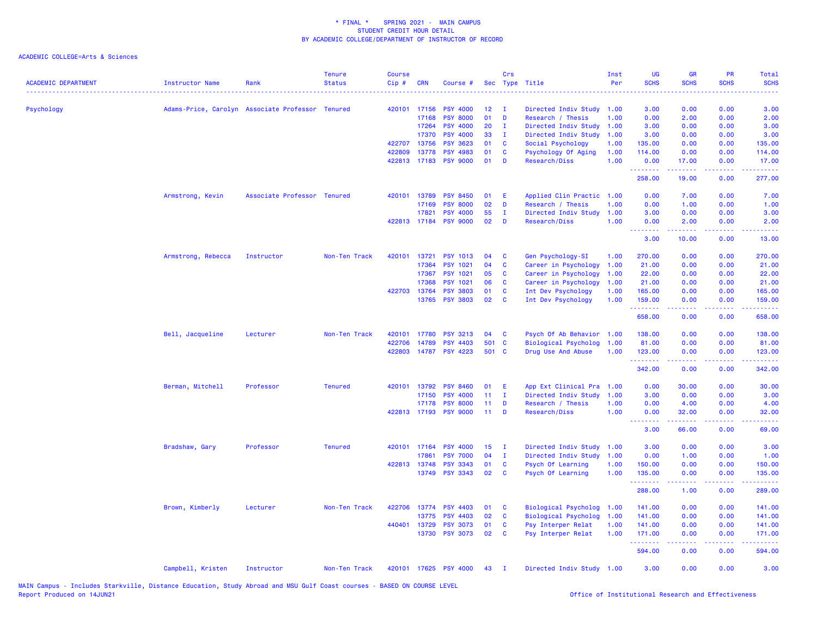| <b>ACADEMIC DEPARTMENT</b> | <b>Instructor Name</b> | Rank                                             | Tenure<br><b>Status</b> | <b>Course</b><br>Cip# | <b>CRN</b>   | Course #              | Sec   | Crs          | Type Title                  | Inst<br>Per | UG<br><b>SCHS</b>                                  | <b>GR</b><br><b>SCHS</b> | PR<br><b>SCHS</b>                   | Total<br><b>SCHS</b>                                                                                                                                           |
|----------------------------|------------------------|--------------------------------------------------|-------------------------|-----------------------|--------------|-----------------------|-------|--------------|-----------------------------|-------------|----------------------------------------------------|--------------------------|-------------------------------------|----------------------------------------------------------------------------------------------------------------------------------------------------------------|
| Psychology                 |                        | Adams-Price, Carolyn Associate Professor Tenured |                         | 420101                | 17156        | <b>PSY 4000</b>       | 12    | $\mathbf{I}$ | Directed Indiv Study        | 1.00        | 3.00                                               | 0.00                     | 0.00                                | 3.00                                                                                                                                                           |
|                            |                        |                                                  |                         |                       | 17168        | <b>PSY 8000</b>       | 01    | D            | Research / Thesis           | 1.00        | 0.00                                               | 2.00                     | 0.00                                | 2.00                                                                                                                                                           |
|                            |                        |                                                  |                         |                       | 17264        | <b>PSY 4000</b>       | 20    | $\mathbf{I}$ | Directed Indiv Study        | 1.00        | 3.00                                               | 0.00                     | 0.00                                | 3.00                                                                                                                                                           |
|                            |                        |                                                  |                         |                       | 17370        | <b>PSY 4000</b>       | 33    | $\mathbf{I}$ | Directed Indiv Study        | 1.00        | 3.00                                               | 0.00                     | 0.00                                | 3.00                                                                                                                                                           |
|                            |                        |                                                  |                         | 422707                | 13756        | <b>PSY 3623</b>       | 01    | C            | Social Psychology           | 1.00        | 135.00                                             | 0.00                     | 0.00                                | 135.00                                                                                                                                                         |
|                            |                        |                                                  |                         | 422809                | 13778        | <b>PSY 4983</b>       | 01    | C            | Psychology Of Aging         | 1.00        | 114.00                                             | 0.00                     | 0.00                                | 114.00                                                                                                                                                         |
|                            |                        |                                                  |                         | 422813                |              | 17183 PSY 9000        | 01    | D            | Research/Diss               | 1.00        | 0.00<br>.                                          | 17.00<br>.               | 0.00<br>.                           | 17.00<br>2.2.2.2.1                                                                                                                                             |
|                            |                        |                                                  |                         |                       |              |                       |       |              |                             |             | 258.00                                             | 19.00                    | 0.00                                | 277.00                                                                                                                                                         |
|                            | Armstrong, Kevin       | Associate Professor Tenured                      |                         | 420101                | 13789        | <b>PSY 8450</b>       | 01    | Ε            | Applied Clin Practic        | 1.00        | 0.00                                               | 7.00                     | 0.00                                | 7.00                                                                                                                                                           |
|                            |                        |                                                  |                         |                       | 17169        | <b>PSY 8000</b>       | 02    | D            | Research / Thesis           | 1.00        | 0.00                                               | 1.00                     | 0.00                                | 1.00                                                                                                                                                           |
|                            |                        |                                                  |                         |                       | 17821        | <b>PSY 4000</b>       | 55    | $\mathbf I$  | Directed Indiv Study        | 1.00        | 3.00                                               | 0.00                     | 0.00                                | 3.00                                                                                                                                                           |
|                            |                        |                                                  |                         |                       |              | 422813 17184 PSY 9000 | 02    | D            | Research/Diss               | 1.00        | 0.00<br><b><i><u><u> - - - - - - -</u></u></i></b> | 2.00<br>-----            | 0.00<br>.                           | 2.00<br>$\frac{1}{2} \left( \frac{1}{2} \right) \left( \frac{1}{2} \right) \left( \frac{1}{2} \right) \left( \frac{1}{2} \right)$                              |
|                            |                        |                                                  |                         |                       |              |                       |       |              |                             |             | 3.00                                               | 10.00                    | 0.00                                | 13.00                                                                                                                                                          |
|                            | Armstrong, Rebecca     | Instructor                                       | Non-Ten Track           | 420101                | 13721        | <b>PSY 1013</b>       | 04    | C            | Gen Psychology-SI           | 1.00        | 270.00                                             | 0.00                     | 0.00                                | 270.00                                                                                                                                                         |
|                            |                        |                                                  |                         |                       | 17364        | <b>PSY 1021</b>       | 04    | C            | Career in Psychology        | 1.00        | 21.00                                              | 0.00                     | 0.00                                | 21.00                                                                                                                                                          |
|                            |                        |                                                  |                         |                       | 17367        | <b>PSY 1021</b>       | 05    | C            | Career in Psychology        | 1.00        | 22.00                                              | 0.00                     | 0.00                                | 22.00                                                                                                                                                          |
|                            |                        |                                                  |                         |                       | 17368        | <b>PSY 1021</b>       | 06    | C            | Career in Psychology        | 1.00        | 21.00                                              | 0.00                     | 0.00                                | 21.00                                                                                                                                                          |
|                            |                        |                                                  |                         |                       | 422703 13764 | <b>PSY 3803</b>       | 01    | C            | Int Dev Psychology          | 1.00        | 165.00                                             | 0.00                     | 0.00                                | 165.00                                                                                                                                                         |
|                            |                        |                                                  |                         |                       | 13765        | <b>PSY 3803</b>       | 02    | C            | Int Dev Psychology          | 1.00        | 159.00                                             | 0.00                     | 0.00                                | 159.00                                                                                                                                                         |
|                            |                        |                                                  |                         |                       |              |                       |       |              |                             |             | 658.00                                             | 0.00                     | 0.00                                | 658.00                                                                                                                                                         |
|                            | Bell, Jacqueline       | Lecturer                                         | Non-Ten Track           | 420101                | 17780        | <b>PSY 3213</b>       | 04    | C            | Psych Of Ab Behavior        | 1.00        | 138.00                                             | 0.00                     | 0.00                                | 138.00                                                                                                                                                         |
|                            |                        |                                                  |                         | 422706                | 14789        | <b>PSY 4403</b>       | 501   | C            | <b>Biological Psycholog</b> | 1.00        | 81.00                                              | 0.00                     | 0.00                                | 81.00                                                                                                                                                          |
|                            |                        |                                                  |                         | 422803                |              | 14787 PSY 4223        | 501 C |              | Drug Use And Abuse          | 1.00        | 123.00<br>.                                        | 0.00<br>-----            | 0.00<br>.                           | 123.00<br>$\frac{1}{2} \left( \frac{1}{2} \right) \left( \frac{1}{2} \right) \left( \frac{1}{2} \right) \left( \frac{1}{2} \right) \left( \frac{1}{2} \right)$ |
|                            |                        |                                                  |                         |                       |              |                       |       |              |                             |             | 342.00                                             | 0.00                     | 0.00                                | 342.00                                                                                                                                                         |
|                            | Berman, Mitchell       | Professor                                        | <b>Tenured</b>          | 420101                | 13792        | <b>PSY 8460</b>       | 01    | Ε            | App Ext Clinical Pra        | 1.00        | 0.00                                               | 30.00                    | 0.00                                | 30.00                                                                                                                                                          |
|                            |                        |                                                  |                         |                       | 17150        | <b>PSY 4000</b>       | 11    | $\mathbf I$  | Directed Indiv Study        | 1.00        | 3.00                                               | 0.00                     | 0.00                                | 3.00                                                                                                                                                           |
|                            |                        |                                                  |                         |                       | 17178        | <b>PSY 8000</b>       | 11    | D            | Research / Thesis           | 1.00        | 0.00                                               | 4.00                     | 0.00                                | 4.00                                                                                                                                                           |
|                            |                        |                                                  |                         |                       |              | 422813 17193 PSY 9000 | 11    | D            | Research/Diss               | 1.00        | 0.00<br>د د د د                                    | 32.00                    | 0.00<br>$\sim$ $\sim$ $\sim$ $\sim$ | 32.00                                                                                                                                                          |
|                            |                        |                                                  |                         |                       |              |                       |       |              |                             |             | 3.00                                               | 66.00                    | 0.00                                | 69.00                                                                                                                                                          |
|                            | Bradshaw, Gary         | Professor                                        | <b>Tenured</b>          |                       | 420101 17164 | <b>PSY 4000</b>       | 15    | - I          | Directed Indiv Study        | 1.00        | 3.00                                               | 0.00                     | 0.00                                | 3.00                                                                                                                                                           |
|                            |                        |                                                  |                         |                       | 17861        | <b>PSY 7000</b>       | 04    | $\mathbf{I}$ | Directed Indiv Study        | 1.00        | 0.00                                               | 1.00                     | 0.00                                | 1.00                                                                                                                                                           |
|                            |                        |                                                  |                         |                       | 422813 13748 | <b>PSY 3343</b>       | 01    | C            | Psych Of Learning           | 1.00        | 150.00                                             | 0.00                     | 0.00                                | 150.00                                                                                                                                                         |
|                            |                        |                                                  |                         |                       |              | 13749 PSY 3343        | 02    | C            | Psych Of Learning           | 1.00        | 135.00<br>المستملة والمناور                        | 0.00<br>.                | 0.00<br>بالمحام                     | 135.00<br>المتمام ماما                                                                                                                                         |
|                            |                        |                                                  |                         |                       |              |                       |       |              |                             |             | 288.00                                             | 1.00                     | 0.00                                | 289.00                                                                                                                                                         |
|                            | Brown, Kimberly        | Lecturer                                         | Non-Ten Track           | 422706                | 13774        | <b>PSY 4403</b>       | 01    | C            | Biological Psycholog        | 1.00        | 141.00                                             | 0.00                     | 0.00                                | 141.00                                                                                                                                                         |
|                            |                        |                                                  |                         |                       | 13775        | <b>PSY 4403</b>       | 02    | C            | Biological Psycholog        | 1.00        | 141.00                                             | 0.00                     | 0.00                                | 141.00                                                                                                                                                         |
|                            |                        |                                                  |                         | 440401                | 13729        | <b>PSY 3073</b>       | 01    | <b>C</b>     | Psy Interper Relat          | 1.00        | 141.00                                             | 0.00                     | 0.00                                | 141.00                                                                                                                                                         |
|                            |                        |                                                  |                         |                       |              | 13730 PSY 3073        | 02    | C            | Psy Interper Relat          | 1.00        | 171.00<br>.                                        | 0.00<br>.                | 0.00<br>بالمحام                     | 171.00<br>المتمامين                                                                                                                                            |
|                            |                        |                                                  |                         |                       |              |                       |       |              |                             |             | 594.00                                             | 0.00                     | 0.00                                | 594.00                                                                                                                                                         |
|                            | Campbell, Kristen      | Instructor                                       | Non-Ten Track           |                       |              | 420101 17625 PSY 4000 | 43    | $\mathbf{I}$ | Directed Indiv Study 1.00   |             | 3.00                                               | 0.00                     | 0.00                                | 3.00                                                                                                                                                           |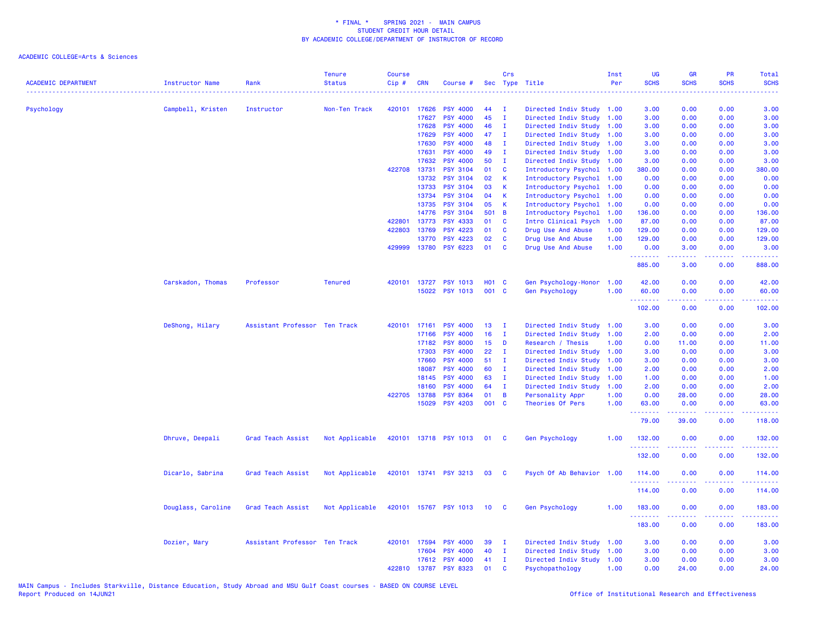| <b>ACADEMIC DEPARTMENT</b> | <b>Instructor Name</b> | Rank                          | <b>Tenure</b><br><b>Status</b> | <b>Course</b><br>Cip# | <b>CRN</b>   | Course #                   |              | Crs                     | Sec Type Title            | Inst<br>Per | <b>UG</b><br><b>SCHS</b> | <b>GR</b><br><b>SCHS</b> | <b>PR</b><br><b>SCHS</b>                                                                                                          | Total<br><b>SCHS</b> |
|----------------------------|------------------------|-------------------------------|--------------------------------|-----------------------|--------------|----------------------------|--------------|-------------------------|---------------------------|-------------|--------------------------|--------------------------|-----------------------------------------------------------------------------------------------------------------------------------|----------------------|
| Psychology                 | Campbell, Kristen      | Instructor                    | Non-Ten Track                  |                       | 420101 17626 | <b>PSY 4000</b>            | 44           | $\mathbf{I}$            | Directed Indiv Study 1.00 |             | المتمامين<br>3.00        | 0.00                     | 0.00                                                                                                                              | 3.00                 |
|                            |                        |                               |                                |                       | 17627        | <b>PSY 4000</b>            | 45           | $\mathbf I$             | Directed Indiv Study 1.00 |             | 3.00                     | 0.00                     | 0.00                                                                                                                              | 3.00                 |
|                            |                        |                               |                                |                       | 17628        | <b>PSY 4000</b>            | 46           | $\mathbf I$             | Directed Indiv Study 1.00 |             | 3.00                     | 0.00                     | 0.00                                                                                                                              | 3.00                 |
|                            |                        |                               |                                |                       | 17629        | <b>PSY 4000</b>            | 47           | $\mathbf I$             | Directed Indiv Study 1.00 |             | 3.00                     | 0.00                     | 0.00                                                                                                                              | 3.00                 |
|                            |                        |                               |                                |                       | 17630        | <b>PSY 4000</b>            | 48           | $\mathbf I$             | Directed Indiv Study 1.00 |             | 3.00                     | 0.00                     | 0.00                                                                                                                              | 3.00                 |
|                            |                        |                               |                                |                       | 17631        | <b>PSY 4000</b>            | 49           | $\mathbf I$             | Directed Indiv Study 1.00 |             | 3.00                     | 0.00                     | 0.00                                                                                                                              | 3.00                 |
|                            |                        |                               |                                |                       | 17632        | <b>PSY 4000</b>            | 50           | $\mathbf I$             | Directed Indiv Study 1.00 |             | 3.00                     | 0.00                     | 0.00                                                                                                                              | 3.00                 |
|                            |                        |                               |                                |                       | 422708 13731 | <b>PSY 3104</b>            | 01           | <b>C</b>                | Introductory Psychol 1.00 |             | 380.00                   | 0.00                     | 0.00                                                                                                                              | 380.00               |
|                            |                        |                               |                                |                       | 13732        | <b>PSY 3104</b>            | 02           | K                       | Introductory Psychol 1.00 |             | 0.00                     | 0.00                     | 0.00                                                                                                                              | 0.00                 |
|                            |                        |                               |                                |                       | 13733        | <b>PSY 3104</b>            | 03           | K                       | Introductory Psychol      | 1.00        | 0.00                     | 0.00                     | 0.00                                                                                                                              | 0.00                 |
|                            |                        |                               |                                |                       | 13734        | <b>PSY 3104</b>            | 04           | $\mathsf{K}$            | Introductory Psychol 1.00 |             | 0.00                     | 0.00                     | 0.00                                                                                                                              | 0.00                 |
|                            |                        |                               |                                |                       | 13735        | <b>PSY 3104</b>            | 05           | K                       | Introductory Psychol      | 1.00        | 0.00                     | 0.00                     | 0.00                                                                                                                              | 0.00                 |
|                            |                        |                               |                                |                       | 14776        | <b>PSY 3104</b>            | 501 B        |                         | Introductory Psychol      | 1.00        | 136.00                   | 0.00                     | 0.00                                                                                                                              | 136.00               |
|                            |                        |                               |                                | 422801                | 13773        | <b>PSY 4333</b>            | 01           | $\mathbf{C}$            | Intro Clinical Psych      | 1.00        | 87.00                    | 0.00                     | 0.00                                                                                                                              | 87.00                |
|                            |                        |                               |                                | 422803                | 13769        | <b>PSY 4223</b>            | 01           | C                       | Drug Use And Abuse        | 1.00        | 129.00                   | 0.00                     | 0.00                                                                                                                              | 129.00               |
|                            |                        |                               |                                |                       | 13770        | PSY 4223                   | 02           | $\mathbf{C}$            | Drug Use And Abuse        | 1.00        | 129.00                   | 0.00                     | 0.00                                                                                                                              | 129.00               |
|                            |                        |                               |                                |                       | 429999 13780 | <b>PSY 6223</b>            | 01           | <b>C</b>                | Drug Use And Abuse        | 1.00        | 0.00<br>.                | 3.00<br>بالمستمال        | 0.00<br>.                                                                                                                         | 3.00<br>.            |
|                            |                        |                               |                                |                       |              |                            |              |                         |                           |             | 885.00                   | 3.00                     | 0.00                                                                                                                              | 888.00               |
|                            | Carskadon, Thomas      | Professor                     | <b>Tenured</b>                 |                       | 420101 13727 | <b>PSY 1013</b>            | <b>HO1 C</b> |                         | Gen Psychology-Honor      | 1.00        | 42.00                    | 0.00                     | 0.00                                                                                                                              | 42.00                |
|                            |                        |                               |                                |                       |              | 15022 PSY 1013             | 001 C        |                         | Gen Psychology            | 1.00        | 60.00<br>.               | 0.00<br>.                | 0.00<br>.                                                                                                                         | 60.00                |
|                            |                        |                               |                                |                       |              |                            |              |                         |                           |             | 102.00                   | 0.00                     | 0.00                                                                                                                              | 102.00               |
|                            | DeShong, Hilary        | Assistant Professor Ten Track |                                | 420101                | 17161        | <b>PSY 4000</b>            | 13           | $\mathbf I$             | Directed Indiv Study 1.00 |             | 3.00                     | 0.00                     | 0.00                                                                                                                              | 3.00                 |
|                            |                        |                               |                                |                       | 17166        | <b>PSY 4000</b>            | 16           | $\mathbf{I}$            | Directed Indiv Study 1.00 |             | 2.00                     | 0.00                     | 0.00                                                                                                                              | 2.00                 |
|                            |                        |                               |                                |                       | 17182        | <b>PSY 8000</b>            | 15           | D                       | Research / Thesis         | 1.00        | 0.00                     | 11.00                    | 0.00                                                                                                                              | 11.00                |
|                            |                        |                               |                                |                       | 17303        | <b>PSY 4000</b>            | 22           | - 1                     | Directed Indiv Study      | 1.00        | 3.00                     | 0.00                     | 0.00                                                                                                                              | 3.00                 |
|                            |                        |                               |                                |                       | 17660        | <b>PSY 4000</b>            | 51           | $\mathbf I$             | Directed Indiv Study      | 1.00        | 3.00                     | 0.00                     | 0.00                                                                                                                              | 3.00                 |
|                            |                        |                               |                                |                       | 18087        | <b>PSY 4000</b>            | 60           | $\mathbf I$             | Directed Indiv Study 1.00 |             | 2.00                     | 0.00                     | 0.00                                                                                                                              | 2.00                 |
|                            |                        |                               |                                |                       | 18145        | <b>PSY 4000</b>            | 63           | $\mathbf{I}$            | Directed Indiv Study 1.00 |             | 1.00                     | 0.00                     | 0.00                                                                                                                              | 1.00                 |
|                            |                        |                               |                                |                       | 18160        | <b>PSY 4000</b>            | 64           | $\mathbf I$             | Directed Indiv Study 1.00 |             | 2.00                     | 0.00                     | 0.00                                                                                                                              | 2.00                 |
|                            |                        |                               |                                |                       | 422705 13788 | <b>PSY 8364</b>            | 01           | $\overline{B}$          | Personality Appr          | 1.00        | 0.00                     | 28.00                    | 0.00                                                                                                                              | 28.00                |
|                            |                        |                               |                                |                       | 15029        | <b>PSY 4203</b>            | 001 C        |                         | Theories Of Pers          | 1.00        | 63.00<br>.               | 0.00<br>$- - - - -$      | 0.00<br>$\frac{1}{2} \left( \frac{1}{2} \right) \left( \frac{1}{2} \right) \left( \frac{1}{2} \right) \left( \frac{1}{2} \right)$ | 63.00<br>.           |
|                            |                        |                               |                                |                       |              |                            |              |                         |                           |             | 79.00                    | 39.00                    | 0.00                                                                                                                              | 118.00               |
|                            | Dhruve, Deepali        | Grad Teach Assist             | Not Applicable                 |                       |              | 420101 13718 PSY 1013 01 C |              |                         | Gen Psychology            | 1.00        | 132.00                   | 0.00                     | 0.00                                                                                                                              | 132.00               |
|                            |                        |                               |                                |                       |              |                            |              |                         |                           |             | 132.00                   | 0.00                     | 0.00                                                                                                                              | 132.00               |
|                            | Dicarlo, Sabrina       | Grad Teach Assist             | Not Applicable                 |                       |              | 420101 13741 PSY 3213      | 03           | $\overline{\mathbf{c}}$ | Psych Of Ab Behavior 1.00 |             | 114.00                   | 0.00                     | 0.00                                                                                                                              | 114.00               |
|                            |                        |                               |                                |                       |              |                            |              |                         |                           |             | .<br>114.00              | 0.00                     | 0.00                                                                                                                              | 114.00               |
|                            | Douglass, Caroline     | Grad Teach Assist             | Not Applicable                 |                       |              | 420101 15767 PSY 1013      | 10           | - C                     | <b>Gen Psychology</b>     | 1.00        | 183.00                   | 0.00                     | 0.00                                                                                                                              | 183.00               |
|                            |                        |                               |                                |                       |              |                            |              |                         |                           |             | .<br>183.00              | 0.00                     | 0.00                                                                                                                              | 183.00               |
|                            | Dozier, Mary           | Assistant Professor Ten Track |                                |                       | 420101 17594 | <b>PSY 4000</b>            | 39           | $\mathbf I$             | Directed Indiv Study      | 1.00        | 3.00                     | 0.00                     | 0.00                                                                                                                              | 3.00                 |
|                            |                        |                               |                                |                       | 17604        | <b>PSY 4000</b>            | 40           | $\mathbf{I}$            | Directed Indiv Study 1.00 |             | 3.00                     | 0.00                     | 0.00                                                                                                                              | 3.00                 |
|                            |                        |                               |                                |                       | 17612        | <b>PSY 4000</b>            | 41           | - 1                     | Directed Indiv Study 1.00 |             | 3.00                     | 0.00                     | 0.00                                                                                                                              | 3.00                 |
|                            |                        |                               |                                |                       | 422810 13787 | <b>PSY 8323</b>            | 01           | <b>C</b>                | Psychopathology           | 1.00        | 0.00                     | 24.00                    | 0.00                                                                                                                              | 24.00                |
|                            |                        |                               |                                |                       |              |                            |              |                         |                           |             |                          |                          |                                                                                                                                   |                      |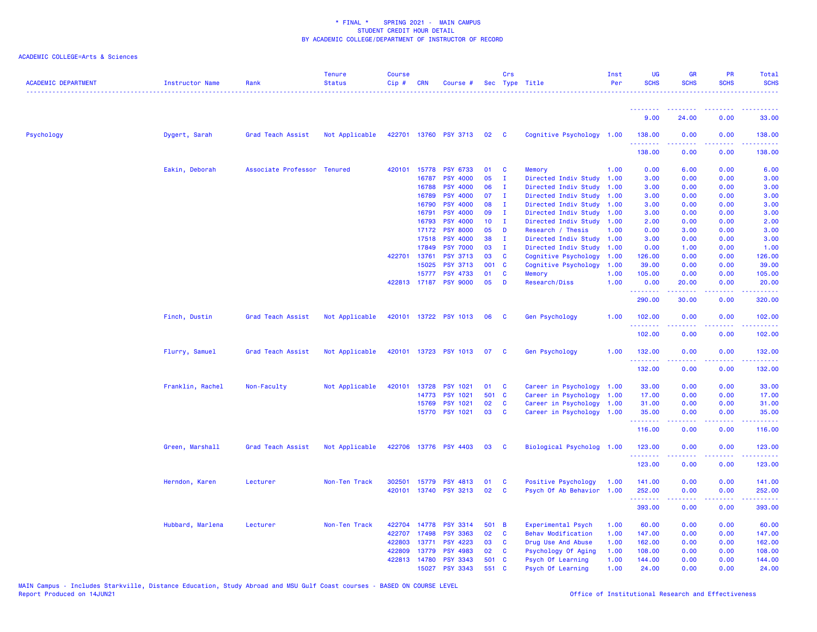| <b>ACADEMIC DEPARTMENT</b> | Instructor Name  | Rank                        | <b>Tenure</b><br><b>Status</b> | <b>Course</b><br>Cip# | <b>CRN</b>   | Course #              |                 | Crs                     | Sec Type Title            | Inst<br>Per | <b>UG</b><br><b>SCHS</b>                           | <b>GR</b><br><b>SCHS</b> | <b>PR</b><br><b>SCHS</b>                                                                                                          | Total<br><b>SCHS</b>  |
|----------------------------|------------------|-----------------------------|--------------------------------|-----------------------|--------------|-----------------------|-----------------|-------------------------|---------------------------|-------------|----------------------------------------------------|--------------------------|-----------------------------------------------------------------------------------------------------------------------------------|-----------------------|
|                            |                  |                             |                                |                       |              |                       |                 |                         |                           |             |                                                    |                          |                                                                                                                                   |                       |
|                            |                  |                             |                                |                       |              |                       |                 |                         |                           |             | 9.00                                               | 24.00                    | 0.00                                                                                                                              | 33.00                 |
| Psychology                 | Dygert, Sarah    | Grad Teach Assist           | Not Applicable                 |                       |              | 422701 13760 PSY 3713 | 02              | $\overline{\mathbf{C}}$ | Cognitive Psychology 1.00 |             | 138.00                                             | 0.00                     | 0.00                                                                                                                              | 138.00                |
|                            |                  |                             |                                |                       |              |                       |                 |                         |                           |             | 138.00                                             | 0.00                     | 0.00                                                                                                                              | 138.00                |
|                            | Eakin, Deborah   | Associate Professor Tenured |                                |                       | 420101 15778 | <b>PSY 6733</b>       | 01              | <b>C</b>                | Memory                    | 1.00        | 0.00                                               | 6.00                     | 0.00                                                                                                                              | 6.00                  |
|                            |                  |                             |                                |                       | 16787        | <b>PSY 4000</b>       | 05              | $\mathbf{I}$            | Directed Indiv Study      | 1.00        | 3.00                                               | 0.00                     | 0.00                                                                                                                              | 3.00                  |
|                            |                  |                             |                                |                       | 16788        | <b>PSY 4000</b>       | 06              | $\mathbf{I}$            | Directed Indiv Study 1.00 |             | 3.00                                               | 0.00                     | 0.00                                                                                                                              | 3.00                  |
|                            |                  |                             |                                |                       | 16789        | <b>PSY 4000</b>       | 07              | п                       | Directed Indiv Study 1.00 |             | 3.00                                               | 0.00                     | 0.00                                                                                                                              | 3.00                  |
|                            |                  |                             |                                |                       | 16790        | <b>PSY 4000</b>       | 08              | $\mathbf I$             | Directed Indiv Study 1.00 |             | 3.00                                               | 0.00                     | 0.00                                                                                                                              | 3.00                  |
|                            |                  |                             |                                |                       | 16791        | <b>PSY 4000</b>       | 09              | $\mathbf I$             | Directed Indiv Study 1.00 |             | 3.00                                               | 0.00                     | 0.00                                                                                                                              | 3.00                  |
|                            |                  |                             |                                |                       | 16793        | <b>PSY 4000</b>       | 10 <sub>1</sub> | $\mathbf I$             | Directed Indiv Study 1.00 |             | 2.00                                               | 0.00                     | 0.00                                                                                                                              | 2.00                  |
|                            |                  |                             |                                |                       | 17172        | <b>PSY 8000</b>       | 05              | D                       | Research / Thesis         | 1.00        | 0.00                                               | 3.00                     | 0.00                                                                                                                              | 3.00                  |
|                            |                  |                             |                                |                       | 17518        | <b>PSY 4000</b>       | 38              | $\mathbf{I}$            | Directed Indiv Study 1.00 |             | 3.00                                               | 0.00                     | 0.00                                                                                                                              | 3.00                  |
|                            |                  |                             |                                |                       | 17849        | <b>PSY 7000</b>       | 03              | $\mathbf{I}$            | Directed Indiv Study 1.00 |             | 0.00                                               | 1.00                     | 0.00                                                                                                                              | 1.00                  |
|                            |                  |                             |                                | 422701                | 13761        | <b>PSY 3713</b>       | 03              | C                       | Cognitive Psychology      | 1.00        | 126.00                                             | 0.00                     | 0.00                                                                                                                              | 126.00                |
|                            |                  |                             |                                |                       | 15025        | <b>PSY 3713</b>       | 001 C           |                         | Cognitive Psychology      | 1.00        | 39.00                                              | 0.00                     | 0.00                                                                                                                              | 39.00                 |
|                            |                  |                             |                                |                       | 15777        | <b>PSY 4733</b>       | 01              | $\mathbf{C}$            | Memory                    | 1.00        | 105.00                                             | 0.00                     | 0.00                                                                                                                              | 105.00                |
|                            |                  |                             |                                |                       | 422813 17187 | <b>PSY 9000</b>       | 05              | D                       | Research/Diss             | 1.00        | 0.00<br>.                                          | 20.00                    | 0.00                                                                                                                              | 20.00                 |
|                            |                  |                             |                                |                       |              |                       |                 |                         |                           |             | 290.00                                             | 30.00                    | 0.00                                                                                                                              | 320.00                |
|                            | Finch, Dustin    | Grad Teach Assist           | Not Applicable                 |                       |              | 420101 13722 PSY 1013 | 06              | $\mathbf{C}$            | Gen Psychology            | 1.00        | 102.00                                             | 0.00                     | 0.00                                                                                                                              | 102.00                |
|                            |                  |                             |                                |                       |              |                       |                 |                         |                           |             | 102.00                                             | 0.00                     | 0.00                                                                                                                              | 102.00                |
|                            | Flurry, Samuel   | Grad Teach Assist           | Not Applicable                 |                       |              | 420101 13723 PSY 1013 | 07              | $\mathbf{C}$            | Gen Psychology            | 1.00        | 132.00                                             | 0.00                     | 0.00                                                                                                                              | 132.00                |
|                            |                  |                             |                                |                       |              |                       |                 |                         |                           |             | .<br>132.00                                        | 0.00                     | 0.00                                                                                                                              | .<br>132.00           |
|                            | Franklin, Rachel | Non-Faculty                 | Not Applicable                 |                       | 420101 13728 | <b>PSY 1021</b>       | 01              | $\mathbf{C}$            | Career in Psychology 1.00 |             | 33.00                                              | 0.00                     | 0.00                                                                                                                              | 33.00                 |
|                            |                  |                             |                                |                       | 14773        | <b>PSY 1021</b>       | 501 C           |                         | Career in Psychology 1.00 |             | 17.00                                              | 0.00                     | 0.00                                                                                                                              | 17.00                 |
|                            |                  |                             |                                |                       | 15769        | <b>PSY 1021</b>       | 02              | <b>C</b>                | Career in Psychology 1.00 |             | 31.00                                              | 0.00                     | 0.00                                                                                                                              | 31.00                 |
|                            |                  |                             |                                |                       |              | 15770 PSY 1021        | 03              | $\mathbf{C}$            | Career in Psychology 1.00 |             | 35.00<br>. <b>.</b>                                | 0.00<br>.                | 0.00<br>$\frac{1}{2} \left( \frac{1}{2} \right) \left( \frac{1}{2} \right) \left( \frac{1}{2} \right) \left( \frac{1}{2} \right)$ | 35.00<br>.            |
|                            |                  |                             |                                |                       |              |                       |                 |                         |                           |             | 116.00                                             | 0.00                     | 0.00                                                                                                                              | 116.00                |
|                            | Green, Marshall  | Grad Teach Assist           | Not Applicable                 |                       |              | 422706 13776 PSY 4403 | 03 C            |                         | Biological Psycholog 1.00 |             | 123.00                                             | 0.00                     | 0.00                                                                                                                              | 123.00                |
|                            |                  |                             |                                |                       |              |                       |                 |                         |                           |             | 123.00                                             | 0.00                     | 0.00                                                                                                                              | 123.00                |
|                            |                  |                             |                                |                       |              |                       |                 |                         |                           |             |                                                    |                          |                                                                                                                                   |                       |
|                            | Herndon, Karen   | Lecturer                    | Non-Ten Track                  |                       | 302501 15779 | <b>PSY 4813</b>       | 01              | <b>C</b>                | Positive Psychology       | 1.00        | 141.00                                             | 0.00                     | 0.00                                                                                                                              | 141.00                |
|                            |                  |                             |                                |                       | 420101 13740 | <b>PSY 3213</b>       | 02              | $\mathbf{C}$            | Psych Of Ab Behavior 1.00 |             | 252.00<br><b><i><u><u> - - - - - -</u></u></i></b> | 0.00<br>.                | 0.00<br>$\sim$ $\sim$ $\sim$                                                                                                      | 252.00<br>2.2.2.2.2.2 |
|                            |                  |                             |                                |                       |              |                       |                 |                         |                           |             | 393.00                                             | 0.00                     | 0.00                                                                                                                              | 393.00                |
|                            | Hubbard, Marlena | Lecturer                    | Non-Ten Track                  | 422704                | 14778        | <b>PSY 3314</b>       | 501 B           |                         | <b>Experimental Psych</b> | 1.00        | 60.00                                              | 0.00                     | 0.00                                                                                                                              | 60.00                 |
|                            |                  |                             |                                | 422707                | 17498        | <b>PSY 3363</b>       | 02              | $\mathbf{C}$            | <b>Behav Modification</b> | 1.00        | 147.00                                             | 0.00                     | 0.00                                                                                                                              | 147.00                |
|                            |                  |                             |                                | 422803                | 13771        | <b>PSY 4223</b>       | 03              | <b>C</b>                | Drug Use And Abuse        | 1.00        | 162.00                                             | 0.00                     | 0.00                                                                                                                              | 162.00                |
|                            |                  |                             |                                | 422809                | 13779        | <b>PSY 4983</b>       | 02              | C                       | Psychology Of Aging       | 1.00        | 108.00                                             | 0.00                     | 0.00                                                                                                                              | 108.00                |
|                            |                  |                             |                                |                       | 422813 14780 | <b>PSY 3343</b>       | 501 C           |                         | Psych Of Learning         | 1.00        | 144.00                                             | 0.00                     | 0.00                                                                                                                              | 144.00                |
|                            |                  |                             |                                |                       | 15027        | <b>PSY</b><br>3343    | 551             | C                       | Psych Of Learning         | 1.00        | 24.00                                              | 0.00                     | 0.00                                                                                                                              | 24.00                 |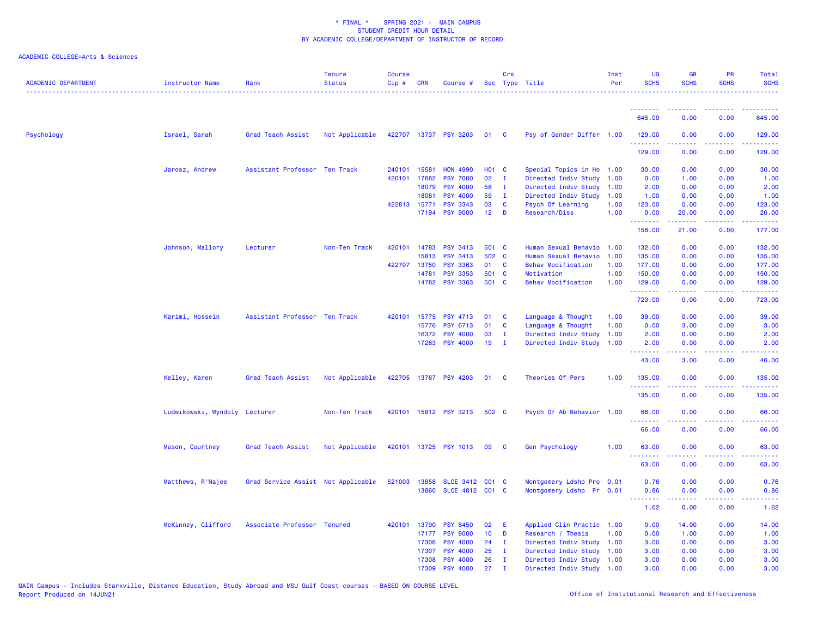| <b>ACADEMIC DEPARTMENT</b> | Instructor Name               | Rank                               | <b>Tenure</b><br><b>Status</b> | <b>Course</b><br>Cip# | CRN          | Course #                   |                 | Crs          | Sec Type Title            | Inst<br>Per | <b>UG</b><br><b>SCHS</b> | <b>GR</b><br><b>SCHS</b> | <b>PR</b><br><b>SCHS</b>                                                                               | Total<br><b>SCHS</b>                                                                                                  |
|----------------------------|-------------------------------|------------------------------------|--------------------------------|-----------------------|--------------|----------------------------|-----------------|--------------|---------------------------|-------------|--------------------------|--------------------------|--------------------------------------------------------------------------------------------------------|-----------------------------------------------------------------------------------------------------------------------|
|                            |                               |                                    |                                |                       |              |                            |                 |              |                           |             |                          |                          |                                                                                                        |                                                                                                                       |
|                            |                               |                                    |                                |                       |              |                            |                 |              |                           |             | .<br>645.00              | 0.00                     | 0.00                                                                                                   | 645.00                                                                                                                |
| Psychology                 | Israel, Sarah                 | Grad Teach Assist                  | Not Applicable                 |                       |              | 422707 13737 PSY 3203      | 01 C            |              | Psy of Gender Differ 1.00 |             | 129.00<br>.              | 0.00<br>22222            | 0.00                                                                                                   | 129.00<br>$\begin{array}{cccccccccc} \bullet & \bullet & \bullet & \bullet & \bullet & \bullet & \bullet \end{array}$ |
|                            |                               |                                    |                                |                       |              |                            |                 |              |                           |             | 129.00                   | 0.00                     | 0.00                                                                                                   | 129.00                                                                                                                |
|                            | Jarosz, Andrew                | Assistant Professor Ten Track      |                                |                       | 240101 15581 | <b>HON 4990</b>            | <b>HO1 C</b>    |              | Special Topics in Ho 1.00 |             | 30.00                    | 0.00                     | 0.00                                                                                                   | 30.00                                                                                                                 |
|                            |                               |                                    |                                |                       | 420101 17682 | <b>PSY 7000</b>            | 02              | $\mathbf{I}$ | Directed Indiv Study 1.00 |             | 0.00                     | 1.00                     | 0.00                                                                                                   | 1.00                                                                                                                  |
|                            |                               |                                    |                                |                       | 18079        | <b>PSY 4000</b>            | 58              | $\mathbf{I}$ | Directed Indiv Study 1.00 |             | 2.00                     | 0.00                     | 0.00                                                                                                   | 2.00                                                                                                                  |
|                            |                               |                                    |                                |                       | 18081        | <b>PSY 4000</b>            | 59              | - 1          | Directed Indiv Study 1.00 |             | 1.00                     | 0.00                     | 0.00                                                                                                   | 1.00                                                                                                                  |
|                            |                               |                                    |                                |                       | 422813 15771 | <b>PSY 3343</b>            | 03              | $\mathbf{C}$ | Psych Of Learning         | 1.00        | 123.00                   | 0.00                     | 0.00                                                                                                   | 123.00                                                                                                                |
|                            |                               |                                    |                                |                       | 17194        | <b>PSY 9000</b>            | 12 <sub>2</sub> | $\mathbf{D}$ | <b>Research/Diss</b>      | 1.00        | 0.00<br>.                | 20.00<br>المتمامين       | 0.00<br>.                                                                                              | 20.00                                                                                                                 |
|                            |                               |                                    |                                |                       |              |                            |                 |              |                           |             | 156.00                   | 21.00                    | 0.00                                                                                                   | 177.00                                                                                                                |
|                            | Johnson, Mallory              | Lecturer                           | Non-Ten Track                  | 420101                | 14783        | PSY 3413                   | 501 C           |              | Human Sexual Behavio      | 1.00        | 132.00                   | 0.00                     | 0.00                                                                                                   | 132.00                                                                                                                |
|                            |                               |                                    |                                |                       | 15813        | <b>PSY 3413</b>            | 502 C           |              | Human Sexual Behavio      | 1.00        | 135.00                   | 0.00                     | 0.00                                                                                                   | 135.00                                                                                                                |
|                            |                               |                                    |                                |                       | 422707 13750 | <b>PSY 3363</b>            | 01 C            |              | <b>Behav Modification</b> | 1.00        | 177.00                   | 0.00                     | 0.00                                                                                                   | 177.00                                                                                                                |
|                            |                               |                                    |                                |                       | 14781        | <b>PSY 3353</b>            | 501 C           |              | Motivation                | 1.00        | 150.00                   | 0.00                     | 0.00                                                                                                   | 150.00                                                                                                                |
|                            |                               |                                    |                                |                       | 14782        | <b>PSY 3363</b>            | 501 C           |              | <b>Behav Modification</b> | 1.00        | 129.00<br>.              | 0.00<br>.                | 0.00<br>$\sim$ $\sim$ $\sim$ $\sim$                                                                    | 129.00<br><b><i><u><u>.</u></u></i></b>                                                                               |
|                            |                               |                                    |                                |                       |              |                            |                 |              |                           |             | 723.00                   | 0.00                     | 0.00                                                                                                   | 723.00                                                                                                                |
|                            | Karimi, Hossein               | Assistant Professor Ten Track      |                                |                       | 420101 15775 | <b>PSY 4713</b>            | 01              | <b>C</b>     | Language & Thought        | 1.00        | 39.00                    | 0.00                     | 0.00                                                                                                   | 39.00                                                                                                                 |
|                            |                               |                                    |                                |                       | 15776        | <b>PSY 6713</b>            | 01              | <b>C</b>     | Language & Thought        | 1.00        | 0.00                     | 3.00                     | 0.00                                                                                                   | 3.00                                                                                                                  |
|                            |                               |                                    |                                |                       | 16372        | <b>PSY 4000</b>            | 03              | $\mathbf{I}$ | Directed Indiv Study 1.00 |             | 2.00                     | 0.00                     | 0.00                                                                                                   | 2.00                                                                                                                  |
|                            |                               |                                    |                                |                       | 17263        | <b>PSY 4000</b>            | 19              | $\mathbf{I}$ | Directed Indiv Study 1.00 |             | 2.00<br>.                | 0.00<br>$- - - - -$      | 0.00<br>.                                                                                              | 2.00<br>.                                                                                                             |
|                            |                               |                                    |                                |                       |              |                            |                 |              |                           |             | 43.00                    | 3.00                     | 0.00                                                                                                   | 46.00                                                                                                                 |
|                            | Kelley, Karen                 | Grad Teach Assist                  | Not Applicable                 |                       |              | 422705 13767 PSY 4203      | 01              | $\mathbf{C}$ | Theories Of Pers          | 1.00        | 135.00                   | 0.00                     | 0.00                                                                                                   | 135.00                                                                                                                |
|                            |                               |                                    |                                |                       |              |                            |                 |              |                           |             | .<br>135.00              | 0.00                     | 0.00                                                                                                   | 135.00                                                                                                                |
|                            | Ludwikowski, Wyndoly Lecturer |                                    | Non-Ten Track                  |                       |              | 420101 15812 PSY 3213      | 502 C           |              | Psych Of Ab Behavior 1.00 |             | 66.00                    | 0.00                     | 0.00                                                                                                   | 66.00                                                                                                                 |
|                            |                               |                                    |                                |                       |              |                            |                 |              |                           |             | .<br>66.00               | .<br>0.00                | 0.00                                                                                                   | .<br>66.00                                                                                                            |
|                            | Mason, Courtney               | Grad Teach Assist                  | Not Applicable                 |                       |              | 420101 13725 PSY 1013 09 C |                 |              | Gen Psychology            | 1.00        | 63.00                    | 0.00                     | 0.00                                                                                                   | 63.00                                                                                                                 |
|                            |                               |                                    |                                |                       |              |                            |                 |              |                           |             | 63.00                    | 0.00                     | 0.00                                                                                                   | 63.00                                                                                                                 |
|                            |                               |                                    |                                |                       |              |                            |                 |              |                           |             |                          |                          |                                                                                                        |                                                                                                                       |
|                            | Matthews, R'Najee             | Grad Service Assist Not Applicable |                                |                       | 521003 13858 | SLCE 3412 C01 C            |                 |              | Montgomery Ldshp Pro 0.01 |             | 0.76                     | 0.00                     | 0.00                                                                                                   | 0.76                                                                                                                  |
|                            |                               |                                    |                                |                       | 13860        | SLCE 4812 C01 C            |                 |              | Montgomery Ldshp Pr 0.01  |             | 0.86<br>.                | 0.00<br>.                | 0.00<br>$\frac{1}{2} \left( \frac{1}{2} \right) \left( \frac{1}{2} \right) \left( \frac{1}{2} \right)$ | 0.86<br>.                                                                                                             |
|                            |                               |                                    |                                |                       |              |                            |                 |              |                           |             | 1.62                     | 0.00                     | 0.00                                                                                                   | 1.62                                                                                                                  |
|                            | McKinney, Clifford            | Associate Professor Tenured        |                                |                       | 420101 13790 | <b>PSY 8450</b>            | 02              | - E          | Applied Clin Practic 1.00 |             | 0.00                     | 14.00                    | 0.00                                                                                                   | 14.00                                                                                                                 |
|                            |                               |                                    |                                |                       | 17177        | <b>PSY 8000</b>            | 10 <sub>1</sub> | D            | Research / Thesis         | 1.00        | 0.00                     | 1.00                     | 0.00                                                                                                   | 1.00                                                                                                                  |
|                            |                               |                                    |                                |                       | 17306        | <b>PSY 4000</b>            | 24              | $\mathbf I$  | Directed Indiv Study 1.00 |             | 3.00                     | 0.00                     | 0.00                                                                                                   | 3.00                                                                                                                  |
|                            |                               |                                    |                                |                       | 17307        | <b>PSY 4000</b>            | 25              | $\mathbf I$  | Directed Indiv Study 1.00 |             | 3.00                     | 0.00                     | 0.00                                                                                                   | 3.00                                                                                                                  |
|                            |                               |                                    |                                |                       | 17308        | <b>PSY 4000</b>            | 26              | <b>I</b>     | Directed Indiv Study 1.00 |             | 3.00                     | 0.00                     | 0.00                                                                                                   | 3.00                                                                                                                  |
|                            |                               |                                    |                                |                       | 17309        | <b>PSY 4000</b>            | 27              |              | Directed Indiv Study 1.00 |             | 3.00                     | 0.00                     | 0.00                                                                                                   | 3.00                                                                                                                  |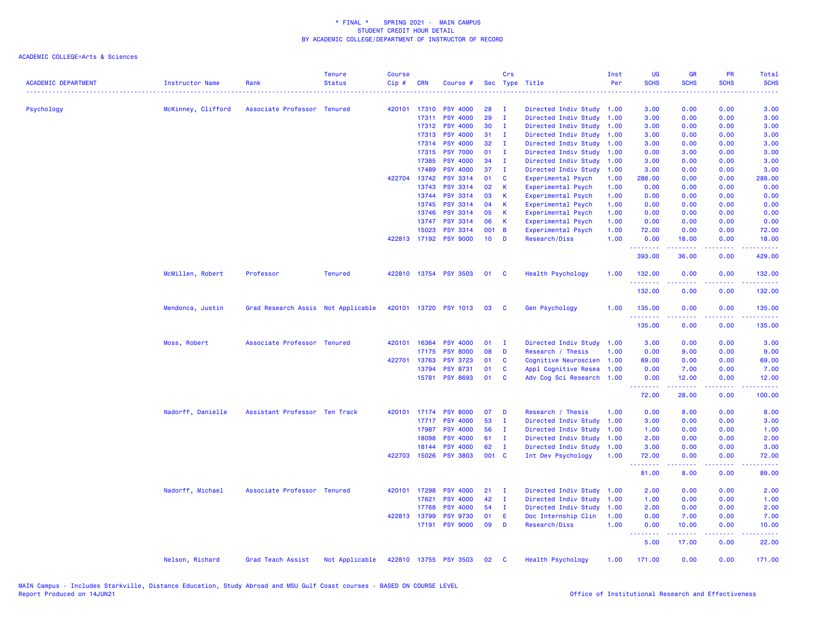| <b>ACADEMIC DEPARTMENT</b> | <b>Instructor Name</b> | Rank                               | <b>Tenure</b><br><b>Status</b> | Course<br>Cip# | <b>CRN</b>   | Course #              |                 | Crs          | Sec Type Title            | Inst<br>Per | UG<br><b>SCHS</b><br>. | <b>GR</b><br><b>SCHS</b> | PR<br><b>SCHS</b>                   | Total<br><b>SCHS</b><br>. |
|----------------------------|------------------------|------------------------------------|--------------------------------|----------------|--------------|-----------------------|-----------------|--------------|---------------------------|-------------|------------------------|--------------------------|-------------------------------------|---------------------------|
| Psychology                 | McKinney, Clifford     | Associate Professor Tenured        |                                | 420101         | 17310        | <b>PSY 4000</b>       | 28              | - т          | Directed Indiv Study 1.00 |             | 3.00                   | 0.00                     | 0.00                                | 3.00                      |
|                            |                        |                                    |                                |                | 17311        | <b>PSY 4000</b>       | 29              | $\mathbf I$  | Directed Indiv Study      | 1.00        | 3.00                   | 0.00                     | 0.00                                | 3.00                      |
|                            |                        |                                    |                                |                | 17312        | <b>PSY 4000</b>       | 30              | $\mathbf{I}$ | Directed Indiv Study      | 1.00        | 3.00                   | 0.00                     | 0.00                                | 3.00                      |
|                            |                        |                                    |                                |                | 17313        | <b>PSY 4000</b>       | 31              | $\mathbf{I}$ | Directed Indiv Study      | 1.00        | 3.00                   | 0.00                     | 0.00                                | 3.00                      |
|                            |                        |                                    |                                |                | 17314        | <b>PSY 4000</b>       | 32              | $\mathbf{I}$ | Directed Indiv Study      | 1.00        | 3.00                   | 0.00                     | 0.00                                | 3.00                      |
|                            |                        |                                    |                                |                | 17315        | <b>PSY 7000</b>       | 01              | $\mathbf{I}$ | Directed Indiv Study      | 1.00        | 0.00                   | 3.00                     | 0.00                                | 3.00                      |
|                            |                        |                                    |                                |                | 17385        | <b>PSY 4000</b>       | 34              | $\mathbf{I}$ | Directed Indiv Study      | 1.00        | 3.00                   | 0.00                     | 0.00                                | 3.00                      |
|                            |                        |                                    |                                |                | 17489        | <b>PSY 4000</b>       | 37              | - I          | Directed Indiv Study      | 1.00        | 3.00                   | 0.00                     | 0.00                                | 3.00                      |
|                            |                        |                                    |                                |                | 422704 13742 | <b>PSY 3314</b>       | 01              | C            | Experimental Psych        | 1.00        | 288.00                 | 0.00                     | 0.00                                | 288.00                    |
|                            |                        |                                    |                                |                | 13743        | <b>PSY 3314</b>       | 02              | K            | Experimental Psych        | 1.00        | 0.00                   | 0.00                     | 0.00                                | 0.00                      |
|                            |                        |                                    |                                |                | 13744        | <b>PSY 3314</b>       | 03              | К            | Experimental Psych        | 1.00        | 0.00                   | 0.00                     | 0.00                                | 0.00                      |
|                            |                        |                                    |                                |                | 13745        | <b>PSY 3314</b>       | 04              | К            | Experimental Psych        | 1.00        | 0.00                   | 0.00                     | 0.00                                | 0.00                      |
|                            |                        |                                    |                                |                | 13746        | <b>PSY 3314</b>       | 05              | K            | Experimental Psych        | 1.00        | 0.00                   | 0.00                     | 0.00                                | 0.00                      |
|                            |                        |                                    |                                |                | 13747        | <b>PSY 3314</b>       | 06              | К            | Experimental Psych        | 1.00        | 0.00                   | 0.00                     | 0.00                                | 0.00                      |
|                            |                        |                                    |                                |                | 15023        | <b>PSY 3314</b>       | 001             | B            | Experimental Psych        | 1.00        | 72.00                  | 0.00                     | 0.00                                | 72.00                     |
|                            |                        |                                    |                                |                |              | 422813 17192 PSY 9000 | 10 <sub>1</sub> | D            | Research/Diss             | 1.00        | 0.00<br>.              | 18.00<br>بالأباليات      | 0.00<br>بالأباء                     | 18.00<br>.                |
|                            |                        |                                    |                                |                |              |                       |                 |              |                           |             | 393.00                 | 36.00                    | 0.00                                | 429.00                    |
|                            | McMillen, Robert       | Professor                          | <b>Tenured</b>                 |                |              | 422810 13754 PSY 3503 | 01              | <b>C</b>     | Health Psychology         | 1.00        | 132.00<br>.            | 0.00                     | 0.00<br>$\sim$ $\sim$ $\sim$ $\sim$ | 132.00<br>222223          |
|                            |                        |                                    |                                |                |              |                       |                 |              |                           |             | 132.00                 | 0.00                     | 0.00                                | 132.00                    |
|                            | Mendonca, Justin       | Grad Research Assis Not Applicable |                                |                |              | 420101 13720 PSY 1013 | 03              | <b>C</b>     | <b>Gen Psychology</b>     | 1.00        | 135.00<br>.            | 0.00                     | 0.00<br>$- - -$                     | 135.00                    |
|                            |                        |                                    |                                |                |              |                       |                 |              |                           |             | 135.00                 | 0.00                     | 0.00                                | 135.00                    |
|                            | Moss, Robert           | Associate Professor Tenured        |                                |                | 420101 16364 | <b>PSY 4000</b>       | 01              | - I          | Directed Indiv Study 1.00 |             | 3.00                   | 0.00                     | 0.00                                | 3.00                      |
|                            |                        |                                    |                                |                | 17175        | <b>PSY 8000</b>       | 08              | D            | Research / Thesis         | 1.00        | 0.00                   | 9.00                     | 0.00                                | 9.00                      |
|                            |                        |                                    |                                | 422701         | 13763        | <b>PSY 3723</b>       | 01              | C            | Cognitive Neuroscien      | 1.00        | 69.00                  | 0.00                     | 0.00                                | 69.00                     |
|                            |                        |                                    |                                |                | 13794        | <b>PSY 8731</b>       | 01              | C            | Appl Cognitive Resea      | 1.00        | 0.00                   | 7.00                     | 0.00                                | 7.00                      |
|                            |                        |                                    |                                |                |              | 15781 PSY 8693        | 01              | C            | Adv Cog Sci Research 1.00 |             | 0.00<br><b></b>        | 12.00<br>22222           | 0.00<br>.                           | 12.00                     |
|                            |                        |                                    |                                |                |              |                       |                 |              |                           |             | 72.00                  | 28.00                    | 0.00                                | 100.00                    |
|                            | Nadorff, Danielle      | Assistant Professor Ten Track      |                                |                |              | 420101 17174 PSY 8000 | 07              | D            | Research / Thesis         | 1.00        | 0.00                   | 8.00                     | 0.00                                | 8.00                      |
|                            |                        |                                    |                                |                | 17717        | <b>PSY 4000</b>       | 53              | $\mathbf{I}$ | Directed Indiv Study      | 1.00        | 3.00                   | 0.00                     | 0.00                                | 3.00                      |
|                            |                        |                                    |                                |                | 17987        | <b>PSY 4000</b>       | 56              | $\mathbf{I}$ | Directed Indiv Study      | 1.00        | 1.00                   | 0.00                     | 0.00                                | 1.00                      |
|                            |                        |                                    |                                |                | 18098        | <b>PSY 4000</b>       | 61              | - I          | Directed Indiv Study      | 1.00        | 2.00                   | 0.00                     | 0.00                                | 2.00                      |
|                            |                        |                                    |                                |                | 18144        | <b>PSY 4000</b>       | 62              | $\mathbf{I}$ | Directed Indiv Study      | 1.00        | 3.00                   | 0.00                     | 0.00                                | 3.00                      |
|                            |                        |                                    |                                | 422703         | 15026        | <b>PSY 3803</b>       | 001 C           |              | Int Dev Psychology        | 1.00        | 72.00<br>.             | 0.00                     | 0.00                                | 72.00                     |
|                            |                        |                                    |                                |                |              |                       |                 |              |                           |             | 81.00                  | 8.00                     | 0.00                                | 89.00                     |
|                            | Nadorff, Michael       | Associate Professor Tenured        |                                |                | 420101 17298 | <b>PSY 4000</b>       | 21              | $\mathbf{I}$ | Directed Indiv Study 1.00 |             | 2.00                   | 0.00                     | 0.00                                | 2.00                      |
|                            |                        |                                    |                                |                | 17621        | <b>PSY 4000</b>       | 42              | $\mathbf{I}$ | Directed Indiv Study      | 1.00        | 1.00                   | 0.00                     | 0.00                                | 1.00                      |
|                            |                        |                                    |                                |                | 17768        | <b>PSY 4000</b>       | 54              | $\mathbf{I}$ | Directed Indiv Study      | 1.00        | 2.00                   | 0.00                     | 0.00                                | 2.00                      |
|                            |                        |                                    |                                |                | 422813 13799 | <b>PSY 9730</b>       | 01              | Ε            | Doc Internship Clin       | 1.00        | 0.00                   | 7.00                     | 0.00                                | 7.00                      |
|                            |                        |                                    |                                |                | 17191        | <b>PSY 9000</b>       | 09              | D            | Research/Diss             | 1.00        | 0.00<br><u>.</u>       | 10.00<br>.               | 0.00<br>.                           | 10.00<br>الداعات عاد      |
|                            |                        |                                    |                                |                |              |                       |                 |              |                           |             | 5.00                   | 17.00                    | 0.00                                | 22.00                     |
|                            | Nelson, Richard        | Grad Teach Assist                  | Not Applicable                 |                |              | 422810 13755 PSY 3503 | 02              | C            | Health Psychology         | 1.00        | 171.00                 | 0.00                     | 0.00                                | 171.00                    |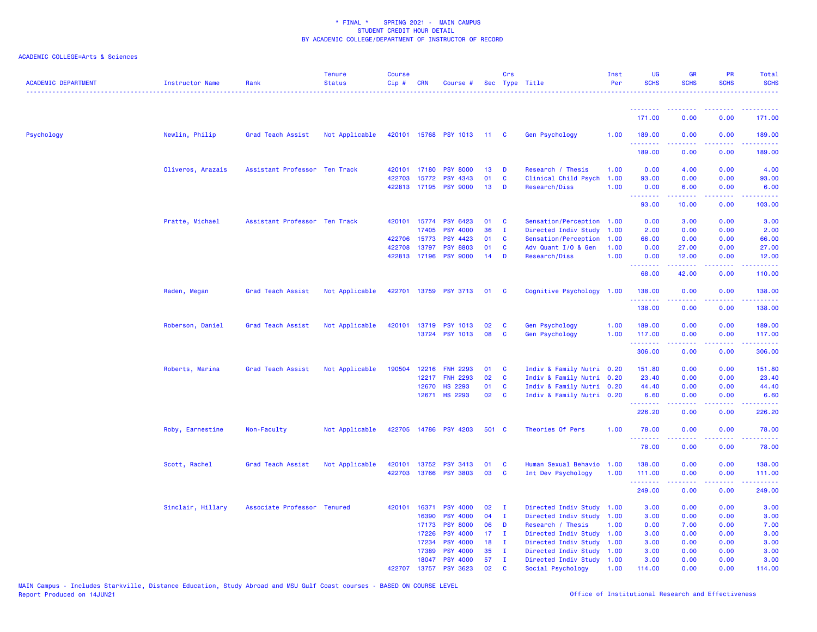| <b>ACADEMIC DEPARTMENT</b> | <b>Instructor Name</b> | Rank                          | <b>Tenure</b><br><b>Status</b> | <b>Course</b><br>$Cip \#$ | CRN            | Course #                           |                 | Crs               | Sec Type Title                                 | Inst<br>Per | UG<br><b>SCHS</b>                 | GR<br><b>SCHS</b> | <b>PR</b><br><b>SCHS</b>                                                                       | <b>Total</b><br><b>SCHS</b>                 |
|----------------------------|------------------------|-------------------------------|--------------------------------|---------------------------|----------------|------------------------------------|-----------------|-------------------|------------------------------------------------|-------------|-----------------------------------|-------------------|------------------------------------------------------------------------------------------------|---------------------------------------------|
|                            |                        |                               |                                |                           |                |                                    |                 |                   |                                                |             |                                   |                   |                                                                                                |                                             |
|                            |                        |                               |                                |                           |                |                                    |                 |                   |                                                |             | <u> - - - - - - - -</u><br>171.00 | 0.00              | 0.00                                                                                           | 171.00                                      |
| Psychology                 | Newlin, Philip         | Grad Teach Assist             | Not Applicable                 |                           |                | 420101 15768 PSY 1013 11           |                 | $\mathbf{c}$      | Gen Psychology                                 | 1.00        | 189.00<br>.                       | 0.00              | 0.00                                                                                           | 189.00<br>2.2.2.2.2                         |
|                            |                        |                               |                                |                           |                |                                    |                 |                   |                                                |             | 189.00                            | 0.00              | 0.00                                                                                           | 189.00                                      |
|                            | Oliveros, Arazais      | Assistant Professor Ten Track |                                |                           | 420101 17180   | <b>PSY 8000</b>                    | 13              | D                 | Research / Thesis                              | 1.00        | 0.00                              | 4.00              | 0.00                                                                                           | 4.00                                        |
|                            |                        |                               |                                | 422703                    | 15772          | <b>PSY 4343</b>                    | 01              | C                 | Clinical Child Psych                           | 1.00        | 93.00                             | 0.00              | 0.00                                                                                           | 93.00                                       |
|                            |                        |                               |                                |                           | 422813 17195   | <b>PSY 9000</b>                    | 13              | D                 | Research/Diss                                  | 1.00        | 0.00<br>.                         | 6.00<br>.         | 0.00<br>$\omega$ is $\omega$ in                                                                | 6.00<br>المتمام                             |
|                            |                        |                               |                                |                           |                |                                    |                 |                   |                                                |             | 93.00                             | 10.00             | 0.00                                                                                           | 103.00                                      |
|                            | Pratte, Michael        | Assistant Professor Ten Track |                                |                           | 420101 15774   | <b>PSY 6423</b>                    | 01              | C                 | Sensation/Perception 1.00                      |             | 0.00                              | 3.00              | 0.00                                                                                           | 3.00                                        |
|                            |                        |                               |                                |                           | 17405          | <b>PSY 4000</b>                    | 36              | Ι.                | Directed Indiv Study 1.00                      |             | 2.00                              | 0.00              | 0.00                                                                                           | 2.00                                        |
|                            |                        |                               |                                |                           | 422706 15773   | <b>PSY 4423</b>                    | 01              | C                 | Sensation/Perception                           | 1.00        | 66.00                             | 0.00              | 0.00                                                                                           | 66.00                                       |
|                            |                        |                               |                                |                           | 422708 13797   | <b>PSY 8803</b>                    | 01              | C                 | Adv Quant I/O & Gen                            | 1.00        | 0.00                              | 27.00             | 0.00                                                                                           | 27.00                                       |
|                            |                        |                               |                                |                           | 422813 17196   | <b>PSY 9000</b>                    | 14              | D                 | Research/Diss                                  | 1.00        | 0.00<br>.                         | 12.00             | 0.00                                                                                           | 12.00<br>.                                  |
|                            |                        |                               |                                |                           |                |                                    |                 |                   |                                                |             | 68.00                             | 42.00             | 0.00                                                                                           | 110.00                                      |
|                            | Raden, Megan           | Grad Teach Assist             | Not Applicable                 |                           |                | 422701 13759 PSY 3713              | 01              | <b>C</b>          | Cognitive Psychology 1.00                      |             | 138.00                            | 0.00              | 0.00<br>.                                                                                      | 138.00<br><b><i><u><u>AAAAA</u></u></i></b> |
|                            |                        |                               |                                |                           |                |                                    |                 |                   |                                                |             | 138.00                            | 0.00              | 0.00                                                                                           | 138.00                                      |
|                            | Roberson, Daniel       | Grad Teach Assist             | Not Applicable                 | 420101                    | 13719          | <b>PSY 1013</b>                    | 02              | C                 | <b>Gen Psychology</b>                          | 1.00        | 189.00                            | 0.00              | 0.00                                                                                           | 189.00                                      |
|                            |                        |                               |                                |                           |                | 13724 PSY 1013                     | 08              | C                 | Gen Psychology                                 | 1.00        | 117.00                            | 0.00              | 0.00                                                                                           | 117.00                                      |
|                            |                        |                               |                                |                           |                |                                    |                 |                   |                                                |             | .<br>306.00                       | .<br>0.00         | .<br>0.00                                                                                      | .<br>306.00                                 |
|                            | Roberts, Marina        | Grad Teach Assist             | Not Applicable                 | 190504                    | 12216          | <b>FNH 2293</b>                    | 01              | C                 | Indiv & Family Nutri 0.20                      |             | 151.80                            | 0.00              | 0.00                                                                                           | 151.80                                      |
|                            |                        |                               |                                |                           | 12217          | <b>FNH 2293</b>                    | 02              | C                 | Indiv & Family Nutri 0.20                      |             | 23.40                             | 0.00              | 0.00                                                                                           | 23.40                                       |
|                            |                        |                               |                                |                           | 12670          | <b>HS 2293</b>                     | 01              | C                 | Indiv & Family Nutri 0.20                      |             | 44.40                             | 0.00              | 0.00                                                                                           | 44.40                                       |
|                            |                        |                               |                                |                           |                | 12671 HS 2293                      | 02              | $\mathbf{C}$      | Indiv & Family Nutri 0.20                      |             | 6.60                              | 0.00              | 0.00                                                                                           | 6.60                                        |
|                            |                        |                               |                                |                           |                |                                    |                 |                   |                                                |             | .<br>226.20                       | .<br>0.00         | .<br>0.00                                                                                      | .<br>226.20                                 |
|                            | Roby, Earnestine       | Non-Faculty                   | Not Applicable                 | 422705                    |                | 14786 PSY 4203                     | 501 C           |                   | Theories Of Pers                               | 1.00        | 78.00                             | 0.00              | 0.00                                                                                           | 78.00                                       |
|                            |                        |                               |                                |                           |                |                                    |                 |                   |                                                |             | .<br>78.00                        | 0.00              | 0.00                                                                                           | 78.00                                       |
|                            | Scott, Rachel          | Grad Teach Assist             | Not Applicable                 | 420101                    | 13752          | <b>PSY 3413</b>                    | 01              | C                 | Human Sexual Behavio                           | 1.00        | 138.00                            | 0.00              | 0.00                                                                                           | 138.00                                      |
|                            |                        |                               |                                |                           |                | 422703 13766 PSY 3803              | 03              | C                 | Int Dev Psychology                             | 1.00        | 111.00                            | 0.00              | 0.00                                                                                           | 111.00                                      |
|                            |                        |                               |                                |                           |                |                                    |                 |                   |                                                |             | .                                 |                   | $\frac{1}{2} \left( \frac{1}{2} \right) \left( \frac{1}{2} \right) \left( \frac{1}{2} \right)$ | .                                           |
|                            |                        |                               |                                |                           |                |                                    |                 |                   |                                                |             | 249.00                            | 0.00              | 0.00                                                                                           | 249.00                                      |
|                            | Sinclair, Hillary      | Associate Professor Tenured   |                                |                           | 420101 16371   | <b>PSY 4000</b>                    | 02              | л.                | Directed Indiv Study 1.00                      |             | 3.00                              | 0.00              | 0.00                                                                                           | 3.00                                        |
|                            |                        |                               |                                |                           | 16390          | <b>PSY 4000</b>                    | 04              | $\mathbf{I}$      | Directed Indiv Study 1.00                      |             | 3.00                              | 0.00              | 0.00                                                                                           | 3.00                                        |
|                            |                        |                               |                                |                           | 17173          | <b>PSY 8000</b>                    | 06              | D                 | Research / Thesis                              | 1.00        | 0.00                              | 7.00              | 0.00                                                                                           | 7.00                                        |
|                            |                        |                               |                                |                           | 17226          | <b>PSY 4000</b>                    | 17 <sub>2</sub> | $\mathbf{I}$      | Directed Indiv Study 1.00                      |             | 3.00                              | 0.00              | 0.00                                                                                           | 3.00                                        |
|                            |                        |                               |                                |                           | 17234          | <b>PSY 4000</b>                    | 18              | $\mathbf{I}$      | Directed Indiv Study                           | 1.00        | 3.00                              | 0.00              | 0.00                                                                                           | 3.00                                        |
|                            |                        |                               |                                |                           | 17389          | <b>PSY 4000</b>                    | 35              | T<br>$\mathbf{I}$ | Directed Indiv Study                           | 1.00        | 3.00                              | 0.00              | 0.00                                                                                           | 3.00                                        |
|                            |                        |                               |                                | 422707                    | 18047<br>13757 | <b>PSY 4000</b><br><b>PSY 3623</b> | 57<br>02        | C                 | Directed Indiv Study 1.00<br>Social Psychology | 1.00        | 3.00<br>114.00                    | 0.00<br>0.00      | 0.00<br>0.00                                                                                   | 3.00<br>114,00                              |
|                            |                        |                               |                                |                           |                |                                    |                 |                   |                                                |             |                                   |                   |                                                                                                |                                             |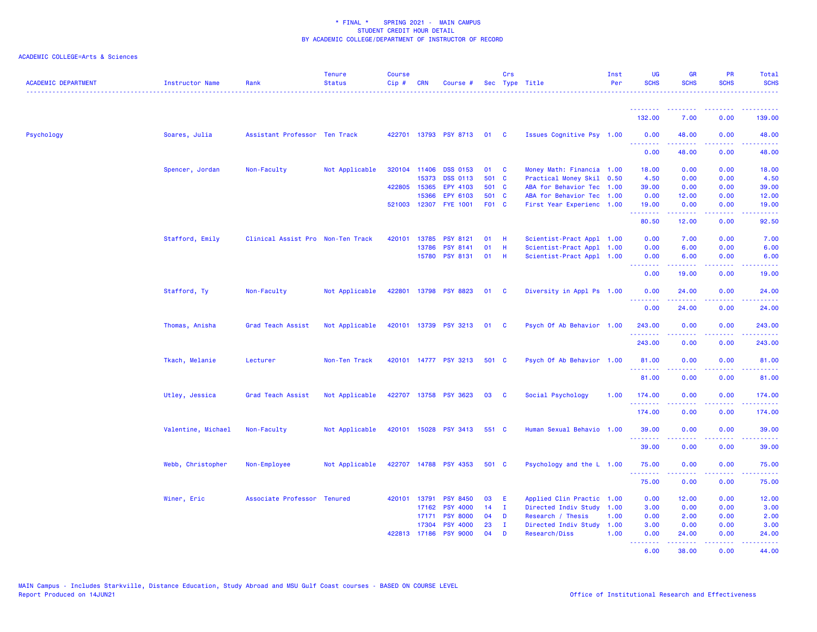| <b>ACADEMIC DEPARTMENT</b> | <b>Instructor Name</b> | Rank                              | <b>Tenure</b><br><b>Status</b> | <b>Course</b><br>$Cip \#$ | <b>CRN</b>   | Course #                   |       | Crs          | Sec Type Title            | Inst<br>Per | <b>UG</b><br><b>SCHS</b>  | <b>GR</b><br><b>SCHS</b>                                                                                                                                      | <b>PR</b><br><b>SCHS</b>                                                                                                          | <b>Total</b><br><b>SCHS</b> |
|----------------------------|------------------------|-----------------------------------|--------------------------------|---------------------------|--------------|----------------------------|-------|--------------|---------------------------|-------------|---------------------------|---------------------------------------------------------------------------------------------------------------------------------------------------------------|-----------------------------------------------------------------------------------------------------------------------------------|-----------------------------|
|                            |                        |                                   |                                |                           |              |                            |       |              |                           |             | - - - - - - - -<br>132.00 | 7.00                                                                                                                                                          | 0.00                                                                                                                              | 139.00                      |
| Psychology                 | Soares, Julia          | Assistant Professor Ten Track     |                                |                           |              | 422701 13793 PSY 8713 01 C |       |              | Issues Cognitive Psy 1.00 |             | 0.00                      | 48.00                                                                                                                                                         | 0.00                                                                                                                              | 48.00                       |
|                            |                        |                                   |                                |                           |              |                            |       |              |                           |             | <u>.</u><br>0.00          | .<br>48.00                                                                                                                                                    | .<br>0.00                                                                                                                         | .<br>48.00                  |
|                            | Spencer, Jordan        | Non-Faculty                       | Not Applicable                 |                           | 320104 11406 | <b>DSS 0153</b>            | 01    | C            | Money Math: Financia 1.00 |             | 18.00                     | 0.00                                                                                                                                                          | 0.00                                                                                                                              | 18.00                       |
|                            |                        |                                   |                                |                           | 15373        | <b>DSS 0113</b>            | 501 C |              | Practical Money Skil 0.50 |             | 4.50                      | 0.00                                                                                                                                                          | 0.00                                                                                                                              | 4.50                        |
|                            |                        |                                   |                                |                           | 422805 15365 | EPY 4103                   | 501 C |              | ABA for Behavior Tec 1.00 |             | 39.00                     | 0.00                                                                                                                                                          | 0.00                                                                                                                              | 39.00                       |
|                            |                        |                                   |                                |                           | 15366        | EPY 6103                   | 501 C |              | ABA for Behavior Tec 1.00 |             | 0.00                      | 12.00                                                                                                                                                         | 0.00                                                                                                                              | 12.00                       |
|                            |                        |                                   |                                |                           |              | 521003 12307 FYE 1001      | F01 C |              | First Year Experienc 1.00 |             | 19.00                     | 0.00                                                                                                                                                          | 0.00                                                                                                                              | 19.00                       |
|                            |                        |                                   |                                |                           |              |                            |       |              |                           |             | .<br>80.50                | بالأباليات<br>12.00                                                                                                                                           | $\sim$ $\sim$ $\sim$ $\sim$<br>0.00                                                                                               | وساسما<br>92.50             |
|                            | Stafford, Emily        | Clinical Assist Pro Non-Ten Track |                                | 420101                    | 13785        | <b>PSY 8121</b>            | 01    | -H           | Scientist-Pract Appl 1.00 |             | 0.00                      | 7.00                                                                                                                                                          | 0.00                                                                                                                              | 7.00                        |
|                            |                        |                                   |                                |                           | 13786        | <b>PSY 8141</b>            | 01    | H            | Scientist-Pract Appl 1.00 |             | 0.00                      | 6.00                                                                                                                                                          | 0.00                                                                                                                              | 6.00                        |
|                            |                        |                                   |                                |                           |              | 15780 PSY 8131             | 01    | H            | Scientist-Pract Appl 1.00 |             | 0.00                      | 6.00                                                                                                                                                          | 0.00                                                                                                                              | 6.00                        |
|                            |                        |                                   |                                |                           |              |                            |       |              |                           |             | .<br>0.00                 | د د د د د<br>19.00                                                                                                                                            | 0.00                                                                                                                              | 19.00                       |
|                            | Stafford, Ty           | Non-Faculty                       | Not Applicable                 |                           |              | 422801 13798 PSY 8823      | 01    | $\mathbf{C}$ | Diversity in Appl Ps 1.00 |             | 0.00                      | 24.00                                                                                                                                                         | 0.00                                                                                                                              | 24.00                       |
|                            |                        |                                   |                                |                           |              |                            |       |              |                           |             | بالأباد<br>0.00           | 24.00                                                                                                                                                         | 0.00                                                                                                                              | 24.00                       |
|                            | Thomas, Anisha         | Grad Teach Assist                 | Not Applicable                 | 420101                    |              | 13739 PSY 3213             | 01    | <b>C</b>     | Psych Of Ab Behavior 1.00 |             | 243.00                    | 0.00                                                                                                                                                          | 0.00                                                                                                                              | 243.00                      |
|                            |                        |                                   |                                |                           |              |                            |       |              |                           |             | .<br>243.00               | .<br>0.00                                                                                                                                                     | $\frac{1}{2} \left( \frac{1}{2} \right) \left( \frac{1}{2} \right) \left( \frac{1}{2} \right) \left( \frac{1}{2} \right)$<br>0.00 | .<br>243.00                 |
|                            | Tkach, Melanie         | Lecturer                          | Non-Ten Track                  |                           |              | 420101 14777 PSY 3213      | 501 C |              | Psych Of Ab Behavior 1.00 |             | 81.00                     | 0.00                                                                                                                                                          | 0.00                                                                                                                              | 81.00                       |
|                            |                        |                                   |                                |                           |              |                            |       |              |                           |             | 81.00                     | 0.00                                                                                                                                                          | 0.00                                                                                                                              | 81.00                       |
|                            | Utley, Jessica         | Grad Teach Assist                 | Not Applicable                 |                           |              | 422707 13758 PSY 3623      | 03    | <b>C</b>     | Social Psychology         | 1.00        | 174.00                    | 0.00                                                                                                                                                          | 0.00                                                                                                                              | 174.00                      |
|                            |                        |                                   |                                |                           |              |                            |       |              |                           |             | .<br>174.00               | 0.00                                                                                                                                                          | 0.00                                                                                                                              | 174.00                      |
|                            | Valentine, Michael     | Non-Faculty                       | Not Applicable                 |                           |              | 420101 15028 PSY 3413      | 551 C |              | Human Sexual Behavio 1.00 |             | 39.00                     | 0.00                                                                                                                                                          | 0.00                                                                                                                              | 39.00                       |
|                            |                        |                                   |                                |                           |              |                            |       |              |                           |             | .<br>39.00                | .<br>0.00                                                                                                                                                     | $\sim$ $\sim$ $\sim$ $\sim$<br>0.00                                                                                               | وساعات<br>39.00             |
|                            | Webb, Christopher      | Non-Employee                      | Not Applicable                 |                           |              | 422707 14788 PSY 4353      | 501 C |              | Psychology and the L 1.00 |             | 75.00                     | 0.00                                                                                                                                                          | 0.00                                                                                                                              | 75.00                       |
|                            |                        |                                   |                                |                           |              |                            |       |              |                           |             | 75.00                     | 0.00                                                                                                                                                          | 0.00                                                                                                                              | 75.00                       |
|                            | Winer, Eric            | Associate Professor               | <b>Tenured</b>                 | 420101                    | 13791        | <b>PSY 8450</b>            | 03    | Ε            | Applied Clin Practic 1.00 |             | 0.00                      | 12.00                                                                                                                                                         | 0.00                                                                                                                              | 12.00                       |
|                            |                        |                                   |                                |                           | 17162        | <b>PSY 4000</b>            | 14    | $\mathbf{I}$ | Directed Indiv Study 1.00 |             | 3.00                      | 0.00                                                                                                                                                          | 0.00                                                                                                                              | 3.00                        |
|                            |                        |                                   |                                |                           | 17171        | <b>PSY 8000</b>            | 04    | D            | Research / Thesis         | 1.00        | 0.00                      | 2.00                                                                                                                                                          | 0.00                                                                                                                              | 2.00                        |
|                            |                        |                                   |                                |                           | 17304        | <b>PSY 4000</b>            | 23    | $\mathbf I$  | Directed Indiv Study 1.00 |             | 3.00                      | 0.00                                                                                                                                                          | 0.00                                                                                                                              | 3.00                        |
|                            |                        |                                   |                                |                           |              | 422813 17186 PSY 9000      | 04    | D            | Research/Diss             | 1.00        | 0.00<br>.                 | 24.00<br>$\frac{1}{2} \left( \frac{1}{2} \right) \left( \frac{1}{2} \right) \left( \frac{1}{2} \right) \left( \frac{1}{2} \right) \left( \frac{1}{2} \right)$ | 0.00<br>د د د د                                                                                                                   | 24.00<br>.                  |
|                            |                        |                                   |                                |                           |              |                            |       |              |                           |             | 6.00                      | 38.00                                                                                                                                                         | 0.00                                                                                                                              | 44.00                       |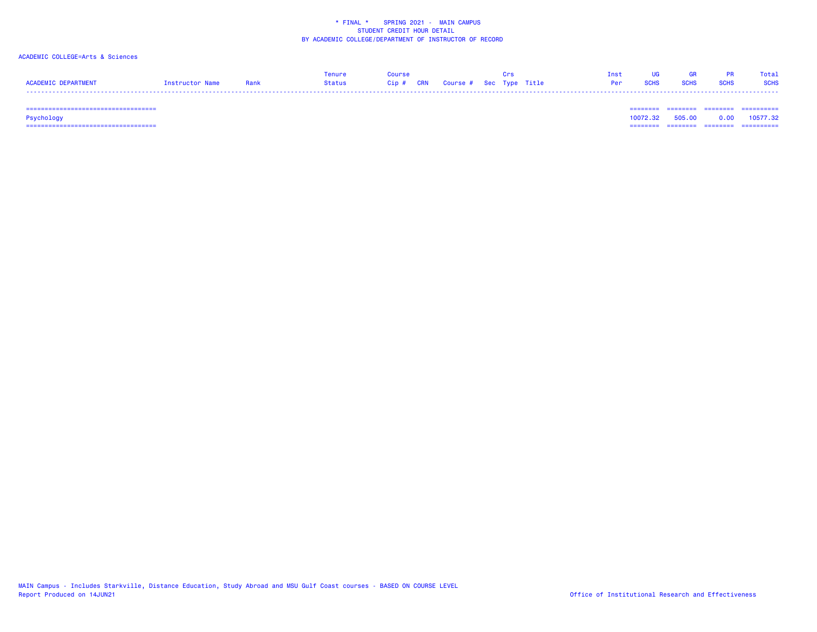# ACADEMIC COLLEGE=Arts & Sciences

|                     |                 |      | Tenure        | Course                            |  | ⊞rs | Tnst     | HG. | <b>GR</b>   |             | Total       |
|---------------------|-----------------|------|---------------|-----------------------------------|--|-----|----------|-----|-------------|-------------|-------------|
| ACADEMIC DEPARTMENT | Instructor Name | Rank | <b>Status</b> | Cip # CRN Course # Sec Type Title |  |     | Per SCHS |     | <b>SCHS</b> | <b>SCHS</b> | <b>SCHS</b> |
|                     |                 |      |               |                                   |  |     |          |     |             |             |             |

 =================================== ======== ======== ======== ==========Psychology 10072.32 505.00 0.00 10577.32 =================================== ======== ======== ======== ==========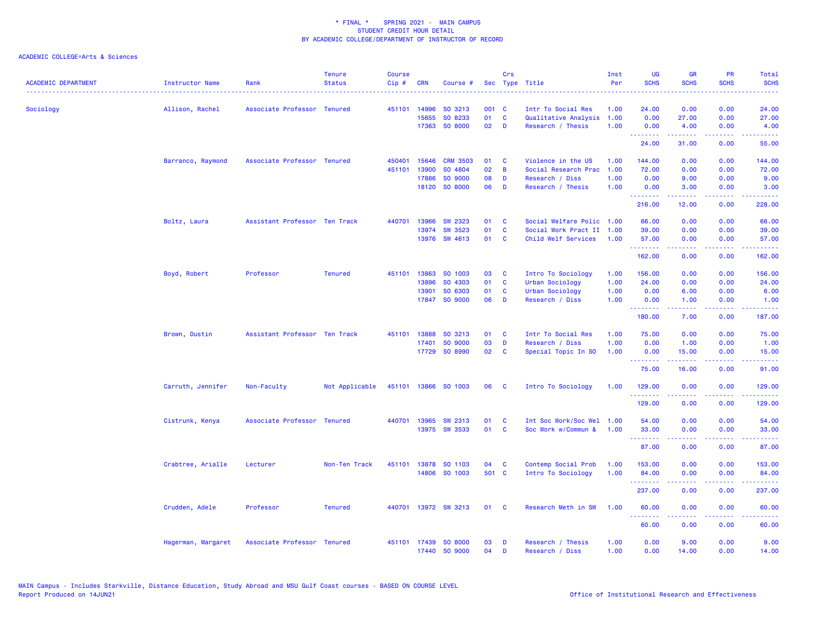| <b>ACADEMIC DEPARTMENT</b> | Instructor Name    | Rank                          | <b>Tenure</b><br><b>Status</b> | <b>Course</b><br>Cip# | <b>CRN</b>     | Course #                  |          | Crs                      | Sec Type Title                                   | Inst<br>Per  | <b>UG</b><br><b>SCHS</b> | <b>GR</b><br><b>SCHS</b> | PR<br><b>SCHS</b>                   | Total<br><b>SCHS</b><br><b>.</b> . |
|----------------------------|--------------------|-------------------------------|--------------------------------|-----------------------|----------------|---------------------------|----------|--------------------------|--------------------------------------------------|--------------|--------------------------|--------------------------|-------------------------------------|------------------------------------|
| Sociology                  | Allison, Rachel    | Associate Professor Tenured   |                                | 451101                | 14996          | SO 3213                   | 001 C    |                          | Intr To Social Res                               | 1.00         | 24.00                    | 0.00                     | 0.00                                | 24.00                              |
|                            |                    |                               |                                |                       | 15655<br>17363 | SO 8233<br>SO 8000        | 01<br>02 | <b>C</b><br>D            | Qualitative Analysis<br>Research / Thesis        | 1.00<br>1.00 | 0.00<br>0.00             | 27.00<br>4.00            | 0.00<br>0.00                        | 27.00<br>4.00                      |
|                            |                    |                               |                                |                       |                |                           |          |                          |                                                  |              | .<br>24.00               | 31.00                    | 0.00                                | والمرامين مرابط<br>55.00           |
|                            | Barranco, Raymond  | Associate Professor Tenured   |                                | 450401                | 15646          | <b>CRM 3503</b>           | 01       | C                        | Violence in the US                               | 1.00         | 144.00                   | 0.00                     | 0.00                                | 144.00                             |
|                            |                    |                               |                                | 451101                | 13900          | SO 4804                   | 02       | B                        | Social Research Prac                             | 1.00         | 72.00                    | 0.00                     | 0.00                                | 72.00                              |
|                            |                    |                               |                                |                       | 17886<br>18120 | SO 9000<br>SO 8000        | 08<br>06 | D<br>D                   | Research / Diss<br>Research / Thesis             | 1.00<br>1.00 | 0.00<br>0.00             | 9.00<br>3.00             | 0.00<br>0.00                        | 9.00<br>3.00                       |
|                            |                    |                               |                                |                       |                |                           |          |                          |                                                  |              | .<br>216.00              | 12.00                    | 0.00                                | وعاعاها<br>228.00                  |
|                            |                    |                               |                                |                       |                |                           |          |                          |                                                  |              |                          |                          |                                     |                                    |
|                            | Boltz, Laura       | Assistant Professor Ten Track |                                | 440701                | 13966          | <b>SW 2323</b>            | 01       | C                        | Social Welfare Polic 1.00                        |              | 66.00                    | 0.00                     | 0.00                                | 66.00                              |
|                            |                    |                               |                                |                       | 13974<br>13976 | <b>SW 3523</b><br>SW 4613 | 01<br>01 | $\mathbf{C}$<br><b>C</b> | Social Work Pract II 1.00<br>Child Welf Services | 1.00         | 39.00<br>57.00           | 0.00<br>0.00             | 0.00<br>0.00                        | 39.00<br>57.00                     |
|                            |                    |                               |                                |                       |                |                           |          |                          |                                                  |              | <u>.</u>                 | .                        | والمحامر                            | .                                  |
|                            |                    |                               |                                |                       |                |                           |          |                          |                                                  |              | 162.00                   | 0.00                     | 0.00                                | 162.00                             |
|                            | Boyd, Robert       | Professor                     | <b>Tenured</b>                 |                       | 451101 13863   | SO 1003                   | 03       | C                        | Intro To Sociology                               | 1.00         | 156.00                   | 0.00                     | 0.00                                | 156.00                             |
|                            |                    |                               |                                |                       | 13896          | SO 4303                   | 01       | C                        | <b>Urban Sociology</b>                           | 1.00         | 24.00                    | 0.00                     | 0.00                                | 24.00                              |
|                            |                    |                               |                                |                       | 13901          | SO 6303                   | 01       | C                        | <b>Urban Sociology</b>                           | 1.00         | 0.00                     | 6.00                     | 0.00                                | 6.00                               |
|                            |                    |                               |                                |                       |                | 17847 SO 9000             | 06       | D                        | Research / Diss                                  | 1.00         | 0.00<br>--------         | 1.00<br>-----            | 0.00<br>.                           | 1.00<br>-----                      |
|                            |                    |                               |                                |                       |                |                           |          |                          |                                                  |              | 180.00                   | 7.00                     | 0.00                                | 187.00                             |
|                            | Brown, Dustin      | Assistant Professor Ten Track |                                | 451101                | 13888          | SO 3213                   | 01       | C                        | Intr To Social Res                               | 1.00         | 75.00                    | 0.00                     | 0.00                                | 75.00                              |
|                            |                    |                               |                                |                       | 17401          | SO 9000                   | 03       | D                        | Research / Diss                                  | 1.00         | 0.00                     | 1.00                     | 0.00                                | 1.00                               |
|                            |                    |                               |                                |                       |                | 17729 SO 8990             | 02       | C                        | Special Topic In SO                              | 1.00         | 0.00<br>- - - - - - - -  | 15.00<br>-----           | 0.00<br>والمحامر                    | 15.00<br>المتماما                  |
|                            |                    |                               |                                |                       |                |                           |          |                          |                                                  |              | 75.00                    | 16.00                    | 0.00                                | 91.00                              |
|                            | Carruth, Jennifer  | Non-Faculty                   | Not Applicable                 |                       |                | 451101 13866 SO 1003      | 06       | <b>C</b>                 | Intro To Sociology                               | 1.00         | 129,00                   | 0.00                     | 0.00                                | 129.00                             |
|                            |                    |                               |                                |                       |                |                           |          |                          |                                                  |              | .<br>129.00              | <b>.</b><br>0.00         | .<br>0.00                           | 2.2.2.2.2.2<br>129.00              |
|                            | Cistrunk, Kenya    | Associate Professor Tenured   |                                |                       | 440701 13965   | SW 2313                   | 01       | <b>C</b>                 | Int Soc Work/Soc Wel 1.00                        |              | 54.00                    | 0.00                     | 0.00                                | 54.00                              |
|                            |                    |                               |                                |                       |                | 13975 SW 3533             | 01       | $\mathbf{C}$             | Soc Work w/Commun &                              | 1.00         | 33.00<br>.               | 0.00                     | 0.00<br>والمحامر                    | 33.00                              |
|                            |                    |                               |                                |                       |                |                           |          |                          |                                                  |              | 87.00                    | 0.00                     | 0.00                                | 87.00                              |
|                            | Crabtree, Arialle  | Lecturer                      | Non-Ten Track                  | 451101                | 13878          | SO 1103                   | 04       | C                        | Contemp Social Prob                              | 1.00         | 153.00                   | 0.00                     | 0.00                                | 153.00                             |
|                            |                    |                               |                                |                       |                | 14806 SO 1003             | 501 C    |                          | Intro To Sociology                               | 1.00         | 84.00<br>.               | 0.00                     | 0.00<br>.                           | 84.00<br>22222)                    |
|                            |                    |                               |                                |                       |                |                           |          |                          |                                                  |              | 237.00                   | 0.00                     | 0.00                                | 237.00                             |
|                            | Crudden, Adele     | Professor                     | <b>Tenured</b>                 |                       |                | 440701 13972 SW 3213      | 01       | <b>C</b>                 | Research Meth in SW                              | 1.00         | 60.00                    | 0.00                     | 0.00                                | 60.00                              |
|                            |                    |                               |                                |                       |                |                           |          |                          |                                                  |              | .<br>60.00               | 0.00                     | $\sim$ $\sim$ $\sim$ $\sim$<br>0.00 | .<br>60.00                         |
|                            | Hagerman, Margaret | Associate Professor Tenured   |                                |                       | 451101 17439   | SO 8000                   | 03       | D                        | Research / Thesis                                | 1.00         | 0.00                     | 9.00                     | 0.00                                | 9.00                               |
|                            |                    |                               |                                |                       |                | 17440 SO 9000             | 04       | D                        | Research / Diss                                  | 1.00         | 0.00                     | 14.00                    | 0.00                                | 14.00                              |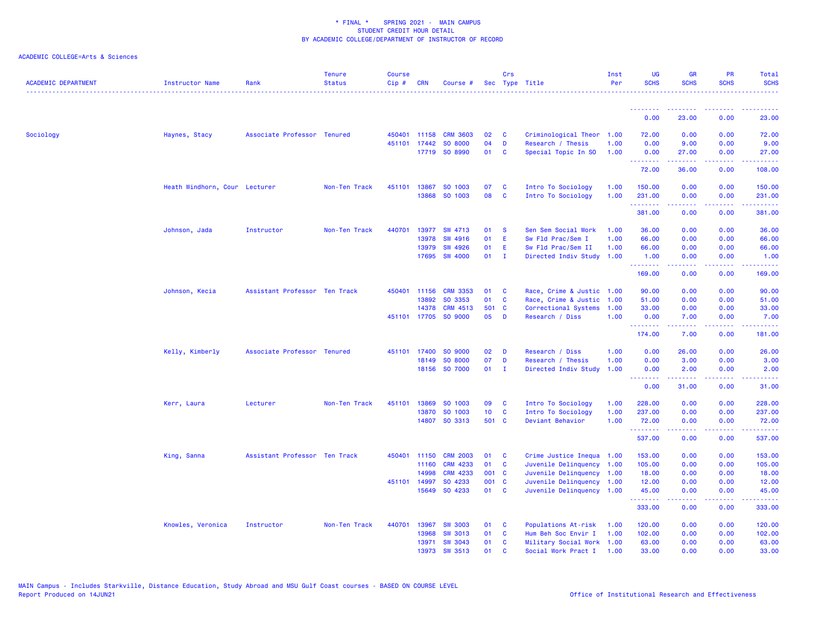| <b>ACADEMIC DEPARTMENT</b> | <b>Instructor Name</b>        | Rank                          | <b>Tenure</b><br><b>Status</b> | <b>Course</b><br>Cip# | <b>CRN</b>            | Course #                         |                 | Crs           | Sec Type Title                                         | Inst<br>Per | UG<br><b>SCHS</b>               | <b>GR</b><br><b>SCHS</b>                                                                                                                                     | PR<br><b>SCHS</b>                                                                                                                 | Total<br><b>SCHS</b>                                                                                                          |
|----------------------------|-------------------------------|-------------------------------|--------------------------------|-----------------------|-----------------------|----------------------------------|-----------------|---------------|--------------------------------------------------------|-------------|---------------------------------|--------------------------------------------------------------------------------------------------------------------------------------------------------------|-----------------------------------------------------------------------------------------------------------------------------------|-------------------------------------------------------------------------------------------------------------------------------|
|                            |                               |                               |                                |                       |                       |                                  |                 |               |                                                        |             | .                               |                                                                                                                                                              |                                                                                                                                   |                                                                                                                               |
|                            |                               |                               |                                |                       |                       |                                  |                 |               |                                                        |             | 0.00                            | 23.00                                                                                                                                                        | 0.00                                                                                                                              | 23.00                                                                                                                         |
| Sociology                  | Haynes, Stacy                 | Associate Professor Tenured   |                                |                       | 450401 11158          | <b>CRM 3603</b>                  | 02              | <b>C</b>      | Criminological Theor                                   | 1.00        | 72.00                           | 0.00                                                                                                                                                         | 0.00                                                                                                                              | 72.00                                                                                                                         |
|                            |                               |                               |                                |                       | 451101 17442          | SO 8000                          | 04              | D             | Research / Thesis                                      | 1.00        | 0.00                            | 9.00                                                                                                                                                         | 0.00                                                                                                                              | 9.00                                                                                                                          |
|                            |                               |                               |                                |                       | 17719                 | SO 8990                          | 01              | C             | Special Topic In SO                                    | 1.00        | 0.00<br>.                       | 27.00<br>.                                                                                                                                                   | 0.00<br>.                                                                                                                         | 27.00<br>222222                                                                                                               |
|                            |                               |                               |                                |                       |                       |                                  |                 |               |                                                        |             | 72.00                           | 36.00                                                                                                                                                        | 0.00                                                                                                                              | 108.00                                                                                                                        |
|                            | Heath Windhorn, Cour Lecturer |                               | Non-Ten Track                  | 451101                | 13867                 | SO 1003                          | 07              | C             | Intro To Sociology                                     | 1.00        | 150.00                          | 0.00                                                                                                                                                         | 0.00                                                                                                                              | 150.00                                                                                                                        |
|                            |                               |                               |                                |                       | 13868                 | SO 1003                          | 08              | C             | Intro To Sociology                                     | 1.00        | 231.00<br>.                     | 0.00<br>.                                                                                                                                                    | 0.00<br>$\frac{1}{2} \left( \frac{1}{2} \right) \left( \frac{1}{2} \right) \left( \frac{1}{2} \right) \left( \frac{1}{2} \right)$ | 231.00<br>.                                                                                                                   |
|                            |                               |                               |                                |                       |                       |                                  |                 |               |                                                        |             | 381.00                          | 0.00                                                                                                                                                         | 0.00                                                                                                                              | 381.00                                                                                                                        |
|                            | Johnson, Jada                 | Instructor                    | Non-Ten Track                  | 440701                | 13977                 | SW 4713                          | 01              | -S            | Sen Sem Social Work                                    | 1.00        | 36.00                           | 0.00                                                                                                                                                         | 0.00                                                                                                                              | 36.00                                                                                                                         |
|                            |                               |                               |                                |                       | 13978                 | <b>SW 4916</b>                   | 01              | E             | Sw Fld Prac/Sem I                                      | 1.00        | 66.00                           | 0.00                                                                                                                                                         | 0.00                                                                                                                              | 66.00                                                                                                                         |
|                            |                               |                               |                                |                       | 13979                 | <b>SW 4926</b>                   | 01              | E             | Sw Fld Prac/Sem II                                     | 1.00        | 66.00                           | 0.00                                                                                                                                                         | 0.00                                                                                                                              | 66.00                                                                                                                         |
|                            |                               |                               |                                |                       | 17695                 | <b>SW 4000</b>                   | 01              | - I           | Directed Indiv Study                                   | 1.00        | 1.00<br>.                       | 0.00<br>22222                                                                                                                                                | 0.00<br>.                                                                                                                         | 1.00<br>$\begin{array}{cccccccccc} \bullet & \bullet & \bullet & \bullet & \bullet & \bullet & \bullet & \bullet \end{array}$ |
|                            |                               |                               |                                |                       |                       |                                  |                 |               |                                                        |             | 169.00                          | 0.00                                                                                                                                                         | 0.00                                                                                                                              | 169.00                                                                                                                        |
|                            | Johnson, Kecia                | Assistant Professor Ten Track |                                |                       | 450401 11156          | <b>CRM 3353</b>                  | 01              | C             | Race, Crime & Justic                                   | 1.00        | 90.00                           | 0.00                                                                                                                                                         | 0.00                                                                                                                              | 90.00                                                                                                                         |
|                            |                               |                               |                                |                       | 13892                 | SO 3353                          | 01              | C             | Race, Crime & Justic 1.00                              |             | 51.00                           | 0.00                                                                                                                                                         | 0.00                                                                                                                              | 51.00                                                                                                                         |
|                            |                               |                               |                                |                       | 14378                 | <b>CRM 4513</b>                  | 501 C           |               | Correctional Systems                                   | 1.00        | 33.00                           | 0.00                                                                                                                                                         | 0.00                                                                                                                              | 33.00                                                                                                                         |
|                            |                               |                               |                                |                       |                       | 451101 17705 SO 9000             | 05              | D             | Research / Diss                                        | 1.00        | 0.00<br><u> - - - - - - - -</u> | 7.00<br>$\frac{1}{2} \left( \frac{1}{2} \right) \left( \frac{1}{2} \right) \left( \frac{1}{2} \right) \left( \frac{1}{2} \right) \left( \frac{1}{2} \right)$ | 0.00<br>.                                                                                                                         | 7.00<br>.                                                                                                                     |
|                            |                               |                               |                                |                       |                       |                                  |                 |               |                                                        |             | 174.00                          | 7.00                                                                                                                                                         | 0.00                                                                                                                              | 181.00                                                                                                                        |
|                            | Kelly, Kimberly               | Associate Professor Tenured   |                                | 451101                | 17400                 | SO 9000                          | 02              | D             | Research / Diss                                        | 1.00        | 0.00                            | 26.00                                                                                                                                                        | 0.00                                                                                                                              | 26.00                                                                                                                         |
|                            |                               |                               |                                |                       | 18149                 | SO 8000                          | 07              | D             | Research / Thesis                                      | 1.00        | 0.00                            | 3.00                                                                                                                                                         | 0.00                                                                                                                              | 3.00                                                                                                                          |
|                            |                               |                               |                                |                       |                       | 18156 SO 7000                    | 01              | - I           | Directed Indiv Study                                   | 1.00        | 0.00<br><u>.</u>                | 2.00<br>.                                                                                                                                                    | 0.00<br>.                                                                                                                         | 2.00<br>.                                                                                                                     |
|                            |                               |                               |                                |                       |                       |                                  |                 |               |                                                        |             | 0.00                            | 31.00                                                                                                                                                        | 0.00                                                                                                                              | 31.00                                                                                                                         |
|                            | Kerr, Laura                   | Lecturer                      | Non-Ten Track                  | 451101                | 13869                 | SO 1003                          | 09              | C             | Intro To Sociology                                     | 1.00        | 228.00                          | 0.00                                                                                                                                                         | 0.00                                                                                                                              | 228.00                                                                                                                        |
|                            |                               |                               |                                |                       | 13870                 | SO 1003                          | 10 <sub>1</sub> | C             | Intro To Sociology                                     | 1.00        | 237.00                          | 0.00                                                                                                                                                         | 0.00                                                                                                                              | 237.00                                                                                                                        |
|                            |                               |                               |                                |                       |                       | 14807 SO 3313                    | 501 C           |               | Deviant Behavior                                       | 1.00        | 72.00<br>.                      | 0.00<br>$\frac{1}{2} \left( \frac{1}{2} \right) \left( \frac{1}{2} \right) \left( \frac{1}{2} \right) \left( \frac{1}{2} \right) \left( \frac{1}{2} \right)$ | 0.00<br>.                                                                                                                         | 72.00<br>.                                                                                                                    |
|                            |                               |                               |                                |                       |                       |                                  |                 |               |                                                        |             | 537.00                          | 0.00                                                                                                                                                         | 0.00                                                                                                                              | 537.00                                                                                                                        |
|                            | King, Sanna                   | Assistant Professor Ten Track |                                |                       | 450401 11150          | <b>CRM 2003</b>                  | 01              | C             | Crime Justice Inequa                                   | 1.00        | 153.00                          | 0.00                                                                                                                                                         | 0.00                                                                                                                              | 153.00                                                                                                                        |
|                            |                               |                               |                                |                       | 11160                 | <b>CRM 4233</b>                  | 01              | <b>C</b>      | Juvenile Delinquency 1.00                              |             | 105.00                          | 0.00                                                                                                                                                         | 0.00                                                                                                                              | 105.00                                                                                                                        |
|                            |                               |                               |                                |                       | 14998                 | CRM 4233                         | 001 C           |               | Juvenile Delinquency 1.00                              |             | 18.00                           | 0.00                                                                                                                                                         | 0.00                                                                                                                              | 18.00                                                                                                                         |
|                            |                               |                               |                                |                       | 451101 14997<br>15649 | SO 4233<br>SO 4233               | 001 C<br>01     | $\mathbf{C}$  | Juvenile Delinquency 1.00<br>Juvenile Delinquency 1.00 |             | 12.00<br>45.00                  | 0.00<br>0.00                                                                                                                                                 | 0.00<br>0.00                                                                                                                      | 12.00<br>45.00                                                                                                                |
|                            |                               |                               |                                |                       |                       |                                  |                 |               |                                                        |             | <b></b>                         | $\frac{1}{2} \left( \frac{1}{2} \right) \left( \frac{1}{2} \right) \left( \frac{1}{2} \right) \left( \frac{1}{2} \right)$                                    |                                                                                                                                   | .                                                                                                                             |
|                            |                               |                               |                                |                       |                       |                                  |                 |               |                                                        |             | 333.00                          | 0.00                                                                                                                                                         | 0.00                                                                                                                              | 333.00                                                                                                                        |
|                            | Knowles, Veronica             | Instructor                    | Non-Ten Track                  | 440701                | 13967                 | <b>SW 3003</b>                   | 01              | <b>C</b>      | Populations At-risk                                    | 1.00        | 120.00                          | 0.00                                                                                                                                                         | 0.00                                                                                                                              | 120.00                                                                                                                        |
|                            |                               |                               |                                |                       | 13968<br>13971        | <b>SW 3013</b><br><b>SW 3043</b> | 01<br>01        | C<br><b>C</b> | Hum Beh Soc Envir I<br>Military Social Work 1.00       | 1.00        | 102.00<br>63.00                 | 0.00<br>0.00                                                                                                                                                 | 0.00<br>0.00                                                                                                                      | 102.00<br>63.00                                                                                                               |
|                            |                               |                               |                                |                       | 13973                 | <b>SW 3513</b>                   | 01              | C             | Social Work Pract I                                    | 1.00        | 33.00                           | 0.00                                                                                                                                                         | 0.00                                                                                                                              | 33.00                                                                                                                         |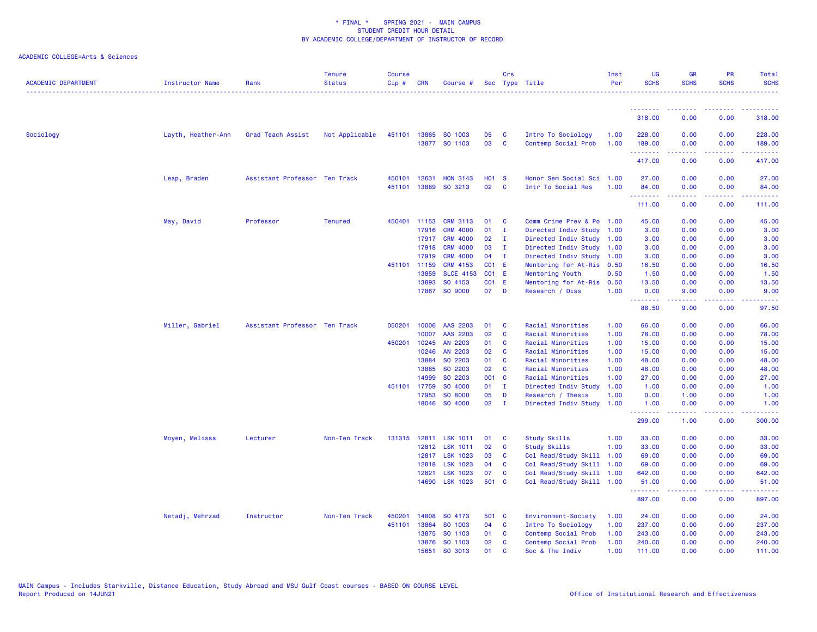| <b>ACADEMIC DEPARTMENT</b> | Instructor Name    | Rank                          | <b>Tenure</b><br><b>Status</b> | <b>Course</b><br>Cip# | CRN                   | Course #                           |              | Crs               | Sec Type Title                                    | Inst<br>Per  | UG<br><b>SCHS</b>           | <b>GR</b><br><b>SCHS</b>                                                                                                                                     | PR<br><b>SCHS</b>                   | Total<br><b>SCHS</b>                             |
|----------------------------|--------------------|-------------------------------|--------------------------------|-----------------------|-----------------------|------------------------------------|--------------|-------------------|---------------------------------------------------|--------------|-----------------------------|--------------------------------------------------------------------------------------------------------------------------------------------------------------|-------------------------------------|--------------------------------------------------|
|                            |                    |                               |                                |                       |                       |                                    |              |                   |                                                   |              |                             |                                                                                                                                                              |                                     | . <b>.</b> .                                     |
|                            |                    |                               |                                |                       |                       |                                    |              |                   |                                                   |              | 318.00                      | 0.00                                                                                                                                                         | 0.00                                | 318.00                                           |
| Sociology                  | Layth, Heather-Ann | Grad Teach Assist             | Not Applicable                 |                       |                       | 451101 13865 SO 1003               | 05           | C                 | Intro To Sociology                                | 1.00         | 228.00                      | 0.00                                                                                                                                                         | 0.00                                | 228.00                                           |
|                            |                    |                               |                                |                       |                       | 13877 SO 1103                      | 03           | C                 | Contemp Social Prob                               | 1.00         | 189.00                      | 0.00                                                                                                                                                         | 0.00                                | 189.00                                           |
|                            |                    |                               |                                |                       |                       |                                    |              |                   |                                                   |              | المستملة والمناور<br>417.00 | 22222<br>0.00                                                                                                                                                | المستمات<br>0.00                    | .<br>417.00                                      |
|                            | Leap, Braden       | Assistant Professor Ten Track |                                | 450101                | 12631                 | <b>HON 3143</b>                    | <b>HO1 S</b> |                   | Honor Sem Social Sci 1.00                         |              | 27.00                       | 0.00                                                                                                                                                         | 0.00                                | 27.00                                            |
|                            |                    |                               |                                |                       | 451101 13889          | SO 3213                            | 02           | <b>C</b>          | Intr To Social Res                                | 1.00         | 84.00                       | 0.00                                                                                                                                                         | 0.00                                | 84.00                                            |
|                            |                    |                               |                                |                       |                       |                                    |              |                   |                                                   |              | .<br>111.00                 | $\frac{1}{2} \left( \frac{1}{2} \right) \left( \frac{1}{2} \right) \left( \frac{1}{2} \right) \left( \frac{1}{2} \right) \left( \frac{1}{2} \right)$<br>0.00 | .<br>0.00                           | <b><i><u><u> - - - - -</u></u></i></b><br>111.00 |
|                            |                    |                               |                                |                       |                       |                                    |              |                   |                                                   |              |                             |                                                                                                                                                              |                                     |                                                  |
|                            | May, David         | Professor                     | <b>Tenured</b>                 | 450401                | 11153                 | <b>CRM 3113</b><br><b>CRM 4000</b> | 01<br>01     | C<br>$\mathbf{I}$ | Comm Crime Prev & Po 1.00<br>Directed Indiv Study |              | 45.00<br>3.00               | 0.00                                                                                                                                                         | 0.00                                | 45.00                                            |
|                            |                    |                               |                                |                       | 17916<br>17917        | <b>CRM 4000</b>                    | 02           | $\mathbf{I}$      | Directed Indiv Study                              | 1.00<br>1.00 | 3.00                        | 0.00<br>0.00                                                                                                                                                 | 0.00<br>0.00                        | 3.00<br>3.00                                     |
|                            |                    |                               |                                |                       | 17918                 | <b>CRM 4000</b>                    | 03           | $\mathbf{I}$      | Directed Indiv Study 1.00                         |              | 3.00                        | 0.00                                                                                                                                                         | 0.00                                | 3.00                                             |
|                            |                    |                               |                                |                       | 17919                 | <b>CRM 4000</b>                    | 04           | <b>I</b>          | Directed Indiv Study                              | 1.00         | 3.00                        | 0.00                                                                                                                                                         | 0.00                                | 3.00                                             |
|                            |                    |                               |                                |                       | 451101 11159          | CRM 4153                           | <b>CO1 E</b> |                   | Mentoring for At-Ris                              | 0.50         | 16.50                       | 0.00                                                                                                                                                         | 0.00                                | 16.50                                            |
|                            |                    |                               |                                |                       | 13859                 | <b>SLCE 4153</b>                   | CO1          | - E               | Mentoring Youth                                   | 0.50         | 1.50                        | 0.00                                                                                                                                                         | 0.00                                | 1.50                                             |
|                            |                    |                               |                                |                       | 13893                 | SO 4153                            | CO1 E        |                   | Mentoring for At-Ris                              | 0.50         | 13.50                       | 0.00                                                                                                                                                         | 0.00                                | 13.50                                            |
|                            |                    |                               |                                |                       |                       | 17867 SO 9000                      | 07 D         |                   | Research / Diss                                   | 1.00         | 0.00<br>.                   | 9.00<br>$\frac{1}{2} \left( \frac{1}{2} \right) \left( \frac{1}{2} \right) \left( \frac{1}{2} \right) \left( \frac{1}{2} \right) \left( \frac{1}{2} \right)$ | 0.00<br>.                           | 9.00<br>.                                        |
|                            |                    |                               |                                |                       |                       |                                    |              |                   |                                                   |              | 88.50                       | 9.00                                                                                                                                                         | 0.00                                | 97.50                                            |
|                            | Miller, Gabriel    | Assistant Professor Ten Track |                                | 050201                | 10006                 | AAS 2203                           | 01           | <b>C</b>          | Racial Minorities                                 | 1.00         | 66.00                       | 0.00                                                                                                                                                         | 0.00                                | 66.00                                            |
|                            |                    |                               |                                |                       | 10007                 | AAS 2203                           | 02           | C                 | Racial Minorities                                 | 1.00         | 78.00                       | 0.00                                                                                                                                                         | 0.00                                | 78.00                                            |
|                            |                    |                               |                                |                       | 450201 10245          | AN 2203                            | 01           | C                 | Racial Minorities                                 | 1.00         | 15.00                       | 0.00                                                                                                                                                         | 0.00                                | 15.00                                            |
|                            |                    |                               |                                |                       | 10246                 | AN 2203                            | 02           | <b>C</b>          | Racial Minorities                                 | 1.00         | 15.00                       | 0.00                                                                                                                                                         | 0.00                                | 15.00                                            |
|                            |                    |                               |                                |                       | 13884                 | SO 2203                            | 01           | C                 | Racial Minorities                                 | 1.00         | 48.00                       | 0.00                                                                                                                                                         | 0.00                                | 48.00                                            |
|                            |                    |                               |                                |                       | 13885                 | SO 2203                            | 02           | <b>C</b>          | Racial Minorities                                 | 1.00         | 48.00                       | 0.00                                                                                                                                                         | 0.00                                | 48.00                                            |
|                            |                    |                               |                                |                       | 14999                 | SO 2203                            | 001 C        |                   | Racial Minorities                                 | 1.00         | 27.00                       | 0.00                                                                                                                                                         | 0.00                                | 27.00                                            |
|                            |                    |                               |                                |                       | 451101 17759<br>17953 | SO 4000<br>SO 8000                 | 01           | $\mathbf{I}$<br>D | Directed Indiv Study                              | 1.00<br>1.00 | 1.00<br>0.00                | 0.00                                                                                                                                                         | 0.00<br>0.00                        | 1.00                                             |
|                            |                    |                               |                                |                       | 18046                 | SO 4000                            | 05<br>02     | - I               | Research / Thesis<br>Directed Indiv Study         | 1.00         | 1.00                        | 1.00<br>0.00                                                                                                                                                 | 0.00                                | 1.00<br>1.00                                     |
|                            |                    |                               |                                |                       |                       |                                    |              |                   |                                                   |              | .<br>299.00                 | 1.00                                                                                                                                                         | $\sim$ $\sim$ $\sim$ $\sim$<br>0.00 | .<br>300.00                                      |
|                            | Moyen, Melissa     | Lecturer                      | Non-Ten Track                  |                       |                       | 131315 12811 LSK 1011              | 01           | C                 | Study Skills                                      | 1.00         | 33.00                       | 0.00                                                                                                                                                         | 0.00                                | 33.00                                            |
|                            |                    |                               |                                |                       |                       | 12812 LSK 1011                     | 02           | C                 | Study Skills                                      | 1.00         | 33.00                       | 0.00                                                                                                                                                         | 0.00                                | 33.00                                            |
|                            |                    |                               |                                |                       | 12817                 | <b>LSK 1023</b>                    | 03           | <b>C</b>          | Col Read/Study Skill                              | 1.00         | 69.00                       | 0.00                                                                                                                                                         | 0.00                                | 69.00                                            |
|                            |                    |                               |                                |                       | 12818                 | <b>LSK 1023</b>                    | 04           | C                 | Col Read/Study Skill                              | 1.00         | 69.00                       | 0.00                                                                                                                                                         | 0.00                                | 69.00                                            |
|                            |                    |                               |                                |                       | 12821                 | <b>LSK 1023</b>                    | 07           | C                 | Col Read/Study Skill                              | 1.00         | 642.00                      | 0.00                                                                                                                                                         | 0.00                                | 642.00                                           |
|                            |                    |                               |                                |                       | 14690                 | <b>LSK 1023</b>                    | 501 C        |                   | Col Read/Study Skill 1.00                         |              | 51.00                       | 0.00                                                                                                                                                         | 0.00                                | 51.00                                            |
|                            |                    |                               |                                |                       |                       |                                    |              |                   |                                                   |              | .<br>897.00                 | 0.00                                                                                                                                                         | 0.00                                | .<br>897.00                                      |
|                            | Netadj, Mehrzad    | Instructor                    | Non-Ten Track                  | 450201                | 14808                 | SO 4173                            | 501 C        |                   | Environment-Society                               | 1.00         | 24.00                       | 0.00                                                                                                                                                         | 0.00                                | 24.00                                            |
|                            |                    |                               |                                | 451101                | 13864                 | SO 1003                            | 04           | <b>C</b>          | Intro To Sociology                                | 1.00         | 237.00                      | 0.00                                                                                                                                                         | 0.00                                | 237.00                                           |
|                            |                    |                               |                                |                       |                       | 13875 SO 1103                      | 01           | <b>C</b>          | Contemp Social Prob                               | 1.00         | 243.00                      | 0.00                                                                                                                                                         | 0.00                                | 243.00                                           |
|                            |                    |                               |                                |                       |                       | 13876 SO 1103                      | 02           | C                 | Contemp Social Prob                               | 1.00         | 240.00                      | 0.00                                                                                                                                                         | 0.00                                | 240.00                                           |
|                            |                    |                               |                                |                       |                       | 15651 SO 3013                      | 01           | $\mathbf{c}$      | Soc & The Indiv                                   | 1.00         | 111.00                      | 0.00                                                                                                                                                         | 0.00                                | 111.00                                           |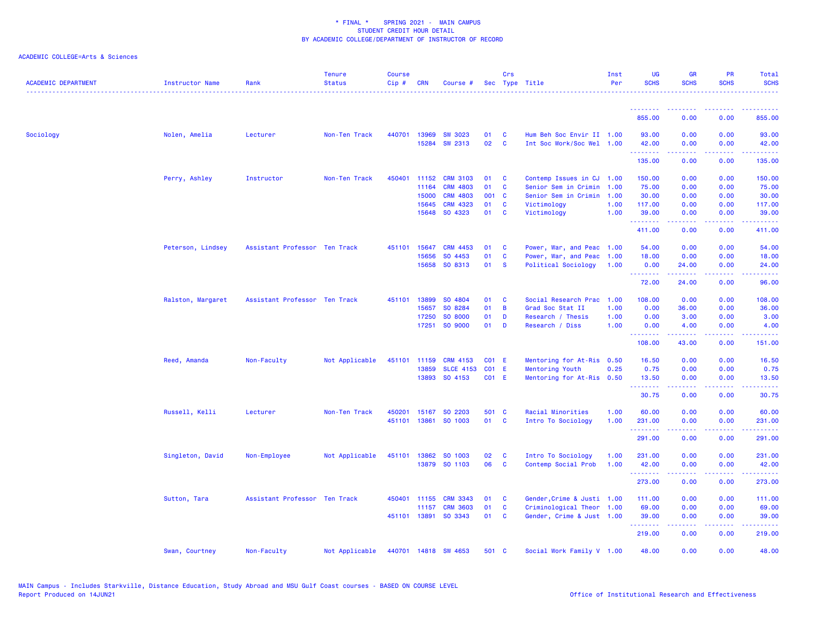| <b>ACADEMIC DEPARTMENT</b> | <b>Instructor Name</b> | Rank                          | <b>Tenure</b><br><b>Status</b> | <b>Course</b><br>Cip# | <b>CRN</b>   | Course #             |              | Crs            | Sec Type Title             | Inst<br>Per | <b>UG</b><br><b>SCHS</b> | <b>GR</b><br><b>SCHS</b>      | <b>PR</b><br><b>SCHS</b>            | Total<br><b>SCHS</b> |
|----------------------------|------------------------|-------------------------------|--------------------------------|-----------------------|--------------|----------------------|--------------|----------------|----------------------------|-------------|--------------------------|-------------------------------|-------------------------------------|----------------------|
|                            |                        |                               |                                |                       |              |                      |              |                |                            |             |                          |                               |                                     |                      |
|                            |                        |                               |                                |                       |              |                      |              |                |                            |             | 855.00                   | 0.00                          | 0.00                                | 855.00               |
| Sociology                  | Nolen, Amelia          | Lecturer                      | Non-Ten Track                  | 440701                | 13969        | <b>SW 3023</b>       | 01           | C              | Hum Beh Soc Envir II 1.00  |             | 93.00                    | 0.00                          | 0.00                                | 93.00                |
|                            |                        |                               |                                |                       |              | 15284 SW 2313        | 02           | $\mathbf{C}$   | Int Soc Work/Soc Wel 1.00  |             | 42.00<br>.               | 0.00<br>.                     | 0.00<br>د د د د                     | 42.00<br>.           |
|                            |                        |                               |                                |                       |              |                      |              |                |                            |             | 135.00                   | 0.00                          | 0.00                                | 135.00               |
|                            | Perry, Ashley          | Instructor                    | Non-Ten Track                  | 450401                | 11152        | <b>CRM 3103</b>      | 01           | C              | Contemp Issues in CJ       | 1.00        | 150.00                   | 0.00                          | 0.00                                | 150.00               |
|                            |                        |                               |                                |                       | 11164        | <b>CRM 4803</b>      | 01           | <b>C</b>       | Senior Sem in Crimin 1.00  |             | 75.00                    | 0.00                          | 0.00                                | 75.00                |
|                            |                        |                               |                                |                       | 15000        | <b>CRM 4803</b>      | 001 C        |                | Senior Sem in Crimin 1.00  |             | 30.00                    | 0.00                          | 0.00                                | 30.00                |
|                            |                        |                               |                                |                       | 15645        | <b>CRM 4323</b>      | 01           | $\mathbf{C}$   | Victimology                | 1.00        | 117.00                   | 0.00                          | 0.00                                | 117.00               |
|                            |                        |                               |                                |                       | 15648        | SO 4323              | 01           | $\mathbf{C}$   | Victimology                | 1.00        | 39.00<br><b>.</b> .      | 0.00<br>.                     | 0.00<br>د د د د                     | 39.00<br>222222      |
|                            |                        |                               |                                |                       |              |                      |              |                |                            |             | 411.00                   | 0.00                          | 0.00                                | 411.00               |
|                            | Peterson, Lindsey      | Assistant Professor Ten Track |                                | 451101                | 15647        | <b>CRM 4453</b>      | 01           | C              | Power, War, and Peac 1.00  |             | 54.00                    | 0.00                          | 0.00                                | 54.00                |
|                            |                        |                               |                                |                       | 15656        | SO 4453              | 01           | $\mathbf{C}$   | Power, War, and Peac       | 1.00        | 18.00                    | 0.00                          | 0.00                                | 18.00                |
|                            |                        |                               |                                |                       | 15658        | SO 8313              | 01           | <b>S</b>       | Political Sociology        | 1.00        | 0.00<br><u>.</u>         | 24.00                         | 0.00                                | 24.00<br>.           |
|                            |                        |                               |                                |                       |              |                      |              |                |                            |             | 72.00                    | 24.00                         | 0.00                                | 96.00                |
|                            | Ralston, Margaret      | Assistant Professor Ten Track |                                |                       | 451101 13899 | SO 4804              | 01           | <b>C</b>       | Social Research Prac 1.00  |             | 108.00                   | 0.00                          | 0.00                                | 108.00               |
|                            |                        |                               |                                |                       | 15657        | SO 8284              | 01           | $\overline{B}$ | Grad Soc Stat II           | 1.00        | 0.00                     | 36.00                         | 0.00                                | 36.00                |
|                            |                        |                               |                                |                       | 17250        | SO 8000              | 01           | D              | Research / Thesis          | 1.00        | 0.00                     | 3.00                          | 0.00                                | 3.00                 |
|                            |                        |                               |                                |                       |              | 17251 SO 9000        | 01           | $\mathbf{D}$   | Research / Diss            | 1.00        | 0.00<br>.                | 4.00<br>$\omega$ is a set of  | 0.00<br>$\sim$ $\sim$ $\sim$ $\sim$ | 4.00<br>.            |
|                            |                        |                               |                                |                       |              |                      |              |                |                            |             | 108.00                   | 43.00                         | 0.00                                | 151.00               |
|                            | Reed, Amanda           | Non-Faculty                   | Not Applicable                 | 451101                | 11159        | <b>CRM 4153</b>      | <b>CO1 E</b> |                | Mentoring for At-Ris       | 0.50        | 16.50                    | 0.00                          | 0.00                                | 16.50                |
|                            |                        |                               |                                |                       | 13859        | <b>SLCE 4153</b>     | <b>CO1 E</b> |                | <b>Mentoring Youth</b>     | 0.25        | 0.75                     | 0.00                          | 0.00                                | 0.75                 |
|                            |                        |                               |                                |                       |              | 13893 SO 4153        | C01 E        |                | Mentoring for At-Ris 0.50  |             | 13.50<br>.               | 0.00<br><b><i><u></u></i></b> | 0.00<br>.                           | 13.50<br>.           |
|                            |                        |                               |                                |                       |              |                      |              |                |                            |             | 30.75                    | 0.00                          | 0.00                                | 30.75                |
|                            | Russell, Kelli         | Lecturer                      | Non-Ten Track                  | 450201                | 15167        | SO 2203              | 501 C        |                | Racial Minorities          | 1.00        | 60.00                    | 0.00                          | 0.00                                | 60.00                |
|                            |                        |                               |                                | 451101                | 13861        | SO 1003              | 01           | $\mathbf{C}$   | Intro To Sociology         | 1.00        | 231.00                   | 0.00                          | 0.00                                | 231.00               |
|                            |                        |                               |                                |                       |              |                      |              |                |                            |             | . <u>.</u><br>291.00     | 0.00                          | ----<br>0.00                        | .<br>291.00          |
|                            | Singleton, David       |                               | Not Applicable                 |                       |              | 451101 13862 SO 1003 | 02           | <b>C</b>       | Intro To Sociology         | 1.00        | 231.00                   | 0.00                          | 0.00                                | 231.00               |
|                            |                        | Non-Employee                  |                                |                       |              | 13879 SO 1103        | 06           | <b>C</b>       | Contemp Social Prob        | 1.00        | 42.00                    | 0.00                          | 0.00                                | 42.00                |
|                            |                        |                               |                                |                       |              |                      |              |                |                            |             | <b></b>                  | <u>.</u>                      | .                                   | .                    |
|                            |                        |                               |                                |                       |              |                      |              |                |                            |             | 273.00                   | 0.00                          | 0.00                                | 273.00               |
|                            | Sutton, Tara           | Assistant Professor Ten Track |                                | 450401                | 11155        | <b>CRM 3343</b>      | 01           | $\mathbf{C}$   | Gender, Crime & Justi 1.00 |             | 111.00                   | 0.00                          | 0.00                                | 111.00               |
|                            |                        |                               |                                |                       | 11157        | <b>CRM 3603</b>      | 01           | <b>C</b>       | Criminological Theor 1.00  |             | 69.00                    | 0.00                          | 0.00                                | 69.00                |
|                            |                        |                               |                                |                       | 451101 13891 | SO 3343              | 01           | C              | Gender, Crime & Just 1.00  |             | 39.00<br>.               | 0.00<br>.                     | 0.00<br>بالمحامي                    | 39.00<br>المتمامين   |
|                            |                        |                               |                                |                       |              |                      |              |                |                            |             | 219.00                   | 0.00                          | 0.00                                | 219.00               |
|                            | Swan, Courtney         | Non-Faculty                   | Not Applicable                 |                       |              | 440701 14818 SW 4653 | 501 C        |                | Social Work Family V 1.00  |             | 48.00                    | 0.00                          | 0.00                                | 48.00                |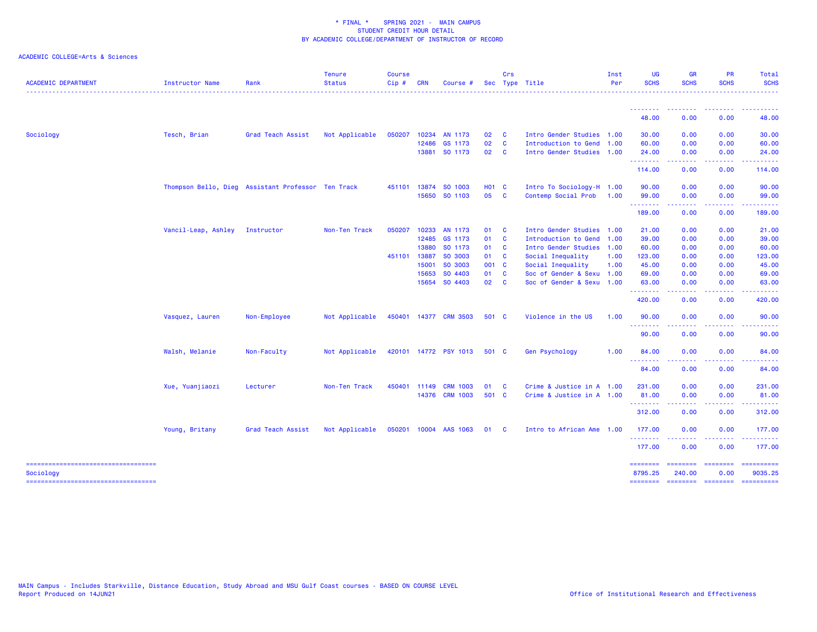| <b>ACADEMIC DEPARTMENT</b>                        | Instructor Name     | Rank                                               | <b>Tenure</b><br><b>Status</b> | <b>Course</b><br>$Cip$ # | <b>CRN</b>   | Course #              |              | Crs          | Sec Type Title            | Inst<br>Per | UG<br><b>SCHS</b>   | <b>GR</b><br><b>SCHS</b>     | <b>PR</b><br><b>SCHS</b> | Total<br><b>SCHS</b>  |
|---------------------------------------------------|---------------------|----------------------------------------------------|--------------------------------|--------------------------|--------------|-----------------------|--------------|--------------|---------------------------|-------------|---------------------|------------------------------|--------------------------|-----------------------|
|                                                   |                     |                                                    |                                |                          |              |                       |              |              |                           |             | --------            |                              |                          |                       |
|                                                   |                     |                                                    |                                |                          |              |                       |              |              |                           |             | 48.00               | 0.00                         | 0.00                     | 48.00                 |
| Sociology                                         | Tesch, Brian        | Grad Teach Assist                                  | Not Applicable                 | 050207                   | 10234        | AN 1173               | 02           | - C          | Intro Gender Studies 1.00 |             | 30.00               | 0.00                         | 0.00                     | 30.00                 |
|                                                   |                     |                                                    |                                |                          | 12486        | GS 1173               | 02           | $\mathbf{C}$ | Introduction to Gend 1.00 |             | 60.00               | 0.00                         | 0.00                     | 60.00                 |
|                                                   |                     |                                                    |                                |                          |              | 13881 SO 1173         | 02           | $\mathbf{C}$ | Intro Gender Studies 1.00 |             | 24.00<br>.          | 0.00<br>----                 | 0.00<br>.                | 24.00<br>.            |
|                                                   |                     |                                                    |                                |                          |              |                       |              |              |                           |             | 114.00              | 0.00                         | 0.00                     | 114.00                |
|                                                   |                     | Thompson Bello, Dieg Assistant Professor Ten Track |                                |                          |              | 451101 13874 SO 1003  | <b>HO1 C</b> |              | Intro To Sociology-H 1.00 |             | 90.00               | 0.00                         | 0.00                     | 90.00                 |
|                                                   |                     |                                                    |                                |                          |              | 15650 SO 1103         | 05 C         |              | Contemp Social Prob       | 1.00        | 99.00<br>--------   | 0.00<br>----                 | 0.00                     | 99.00<br>.            |
|                                                   |                     |                                                    |                                |                          |              |                       |              |              |                           |             | 189.00              | 0.00                         | 0.00                     | 189.00                |
|                                                   | Vancil-Leap, Ashley | Instructor                                         | Non-Ten Track                  | 050207                   | 10233        | AN 1173               | 01           | $\mathbf{C}$ | Intro Gender Studies 1.00 |             | 21.00               | 0.00                         | 0.00                     | 21.00                 |
|                                                   |                     |                                                    |                                |                          | 12485        | GS 1173               | 01 C         |              | Introduction to Gend 1.00 |             | 39.00               | 0.00                         | 0.00                     | 39.00                 |
|                                                   |                     |                                                    |                                |                          | 13880        | SO 1173               | 01 C         |              | Intro Gender Studies 1.00 |             | 60.00               | 0.00                         | 0.00                     | 60.00                 |
|                                                   |                     |                                                    |                                | 451101 13887             |              | SO 3003               | 01 C         |              | Social Inequality         | 1.00        | 123.00              | 0.00                         | 0.00                     | 123.00                |
|                                                   |                     |                                                    |                                |                          | 15001        | SO 3003               | 001 C        |              | Social Inequality         | 1.00        | 45.00               | 0.00                         | 0.00                     | 45.00                 |
|                                                   |                     |                                                    |                                |                          | 15653        | SO 4403               | 01           | <b>C</b>     | Soc of Gender & Sexu 1.00 |             | 69.00               | 0.00                         | 0.00                     | 69.00                 |
|                                                   |                     |                                                    |                                |                          | 15654        | SO 4403               | 02           | <b>C</b>     | Soc of Gender & Sexu 1.00 |             | 63.00<br>.          | 0.00                         | 0.00                     | 63.00                 |
|                                                   |                     |                                                    |                                |                          |              |                       |              |              |                           |             | 420.00              | 0.00                         | 0.00                     | 420.00                |
|                                                   | Vasquez, Lauren     | Non-Employee                                       | Not Applicable                 |                          |              | 450401 14377 CRM 3503 | 501 C        |              | Violence in the US        | 1.00        | 90.00               | 0.00                         | 0.00                     | 90.00                 |
|                                                   |                     |                                                    |                                |                          |              |                       |              |              |                           |             | .<br>90.00          | 0.00                         | 0.00                     | 90.00                 |
|                                                   | Walsh, Melanie      | Non-Faculty                                        | Not Applicable                 |                          |              | 420101 14772 PSY 1013 | 501 C        |              | Gen Psychology            | 1.00        | 84.00               | 0.00                         | 0.00                     | 84.00                 |
|                                                   |                     |                                                    |                                |                          |              |                       |              |              |                           |             | --------<br>84.00   | 0.00                         | 0.00                     | 84.00                 |
|                                                   | Xue, Yuanjiaozi     | Lecturer                                           | Non-Ten Track                  |                          | 450401 11149 | <b>CRM 1003</b>       | 01           | $\mathbf{C}$ | Crime & Justice in A 1.00 |             | 231.00              | 0.00                         | 0.00                     | 231.00                |
|                                                   |                     |                                                    |                                |                          |              | 14376 CRM 1003        | 501 C        |              | Crime & Justice in A 1.00 |             | 81.00               | 0.00                         | 0.00                     | 81.00                 |
|                                                   |                     |                                                    |                                |                          |              |                       |              |              |                           |             | --------<br>312.00  | -----<br>0.00                | .<br>0.00                | - - - - - -<br>312.00 |
|                                                   | Young, Britany      | Grad Teach Assist                                  | Not Applicable                 |                          |              | 050201 10004 AAS 1063 | 01           | $\mathbf{C}$ | Intro to African Ame 1.00 |             | 177.00              | 0.00                         | 0.00                     | 177.00                |
|                                                   |                     |                                                    |                                |                          |              |                       |              |              |                           |             | --------<br>177.00  | ----<br>0.00                 | .<br>0.00                | ------<br>177.00      |
| =====================================             |                     |                                                    |                                |                          |              |                       |              |              |                           |             | ========            | ======== ========            |                          | ==========            |
| Sociology<br>------------------------------------ |                     |                                                    |                                |                          |              |                       |              |              |                           |             | 8795.25<br>======== | 240.00<br>--------- -------- | 0.00                     | 9035.25<br>========== |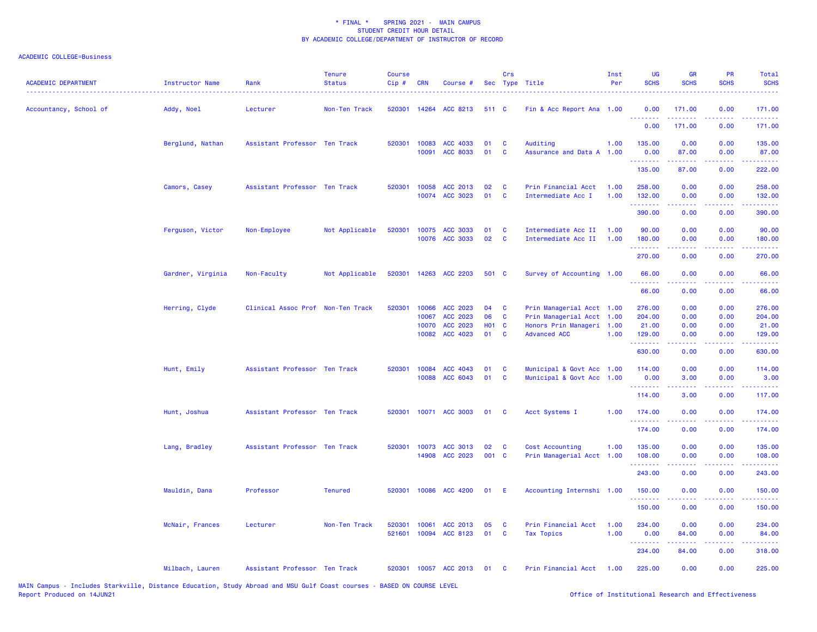| <b>ACADEMIC DEPARTMENT</b> | <b>Instructor Name</b> | Rank                              | <b>Tenure</b><br><b>Status</b> | <b>Course</b><br>Cip# | <b>CRN</b>     | Course #                         |            | Crs           | Sec Type Title                                         | Inst<br>Per  | <b>UG</b><br><b>SCHS</b>                                                                                                                                                                                                                                                                                                                                                                                                                                                                         | GR<br><b>SCHS</b>  | <b>PR</b><br><b>SCHS</b>                                                                                                          | Total<br><b>SCHS</b>                                                                                                                                           |
|----------------------------|------------------------|-----------------------------------|--------------------------------|-----------------------|----------------|----------------------------------|------------|---------------|--------------------------------------------------------|--------------|--------------------------------------------------------------------------------------------------------------------------------------------------------------------------------------------------------------------------------------------------------------------------------------------------------------------------------------------------------------------------------------------------------------------------------------------------------------------------------------------------|--------------------|-----------------------------------------------------------------------------------------------------------------------------------|----------------------------------------------------------------------------------------------------------------------------------------------------------------|
| Accountancy, School of     | Addy, Noel             | Lecturer                          | Non-Ten Track                  |                       |                | 520301 14264 ACC 8213            | 511 C      |               | Fin & Acc Report Ana 1.00                              |              | 0.00<br>.                                                                                                                                                                                                                                                                                                                                                                                                                                                                                        | 171.00<br><u>.</u> | 0.00<br>$\omega$ is $\omega$ in                                                                                                   | 171.00<br><u>.</u>                                                                                                                                             |
|                            |                        |                                   |                                |                       |                |                                  |            |               |                                                        |              | 0.00                                                                                                                                                                                                                                                                                                                                                                                                                                                                                             | 171.00             | 0.00                                                                                                                              | 171.00                                                                                                                                                         |
|                            | Berglund, Nathan       | Assistant Professor Ten Track     |                                |                       | 520301 10083   | ACC 4033<br>10091 ACC 8033       | 01<br>01   | C<br><b>C</b> | Auditing<br>Assurance and Data A 1.00                  | 1.00         | 135.00<br>0.00                                                                                                                                                                                                                                                                                                                                                                                                                                                                                   | 0.00<br>87.00      | 0.00<br>0.00                                                                                                                      | 135.00<br>87.00                                                                                                                                                |
|                            |                        |                                   |                                |                       |                |                                  |            |               |                                                        |              | .<br>135.00                                                                                                                                                                                                                                                                                                                                                                                                                                                                                      | .<br>87.00         | .<br>0.00                                                                                                                         | $\frac{1}{2} \left( \frac{1}{2} \right) \left( \frac{1}{2} \right) \left( \frac{1}{2} \right) \left( \frac{1}{2} \right) \left( \frac{1}{2} \right)$<br>222.00 |
|                            | Camors, Casey          | Assistant Professor Ten Track     |                                |                       | 520301 10058   | ACC 2013<br>10074 ACC 3023       | 02<br>01   | C<br>C        | Prin Financial Acct<br>Intermediate Acc I              | 1.00<br>1.00 | 258.00<br>132.00                                                                                                                                                                                                                                                                                                                                                                                                                                                                                 | 0.00<br>0.00       | 0.00<br>0.00                                                                                                                      | 258.00<br>132.00                                                                                                                                               |
|                            |                        |                                   |                                |                       |                |                                  |            |               |                                                        |              | <u>.</u><br>390.00                                                                                                                                                                                                                                                                                                                                                                                                                                                                               | 0.00               | $\frac{1}{2} \left( \frac{1}{2} \right) \left( \frac{1}{2} \right) \left( \frac{1}{2} \right) \left( \frac{1}{2} \right)$<br>0.00 | <u>.</u><br>390.00                                                                                                                                             |
|                            | Ferguson, Victor       | Non-Employee                      | Not Applicable                 | 520301                |                | 10075 ACC 3033<br>10076 ACC 3033 | 01<br>02   | C<br><b>C</b> | Intermediate Acc II<br>Intermediate Acc II             | 1.00<br>1.00 | 90.00<br>180.00                                                                                                                                                                                                                                                                                                                                                                                                                                                                                  | 0.00<br>0.00       | 0.00<br>0.00                                                                                                                      | 90.00<br>180.00                                                                                                                                                |
|                            |                        |                                   |                                |                       |                |                                  |            |               |                                                        |              | .<br>270.00                                                                                                                                                                                                                                                                                                                                                                                                                                                                                      | .<br>0.00          | د د د د<br>0.00                                                                                                                   | 222222<br>270.00                                                                                                                                               |
|                            | Gardner, Virginia      | Non-Faculty                       | Not Applicable                 |                       |                | 520301 14263 ACC 2203            | 501 C      |               | Survey of Accounting 1.00                              |              | 66.00<br>.                                                                                                                                                                                                                                                                                                                                                                                                                                                                                       | 0.00<br>.          | 0.00                                                                                                                              | 66.00                                                                                                                                                          |
|                            |                        |                                   |                                |                       |                |                                  |            |               |                                                        |              | 66.00                                                                                                                                                                                                                                                                                                                                                                                                                                                                                            | 0.00               | 0.00                                                                                                                              | .<br>66.00                                                                                                                                                     |
|                            | Herring, Clyde         | Clinical Assoc Prof Non-Ten Track |                                | 520301                | 10066<br>10067 | ACC 2023<br>ACC 2023             | 04<br>06   | C<br>C        | Prin Managerial Acct 1.00<br>Prin Managerial Acct      | 1.00         | 276.00<br>204.00                                                                                                                                                                                                                                                                                                                                                                                                                                                                                 | 0.00<br>0.00       | 0.00<br>0.00                                                                                                                      | 276.00<br>204.00                                                                                                                                               |
|                            |                        |                                   |                                |                       | 10070          | ACC 2023                         | <b>HO1</b> | $\mathbf{C}$  | Honors Prin Manageri 1.00                              |              | 21.00                                                                                                                                                                                                                                                                                                                                                                                                                                                                                            | 0.00               | 0.00                                                                                                                              | 21.00                                                                                                                                                          |
|                            |                        |                                   |                                |                       |                | 10082 ACC 4023                   | 01         | C             | <b>Advanced ACC</b>                                    | 1.00         | 129.00<br>$\begin{array}{cccccccccccccc} \multicolumn{2}{c}{} & \multicolumn{2}{c}{} & \multicolumn{2}{c}{} & \multicolumn{2}{c}{} & \multicolumn{2}{c}{} & \multicolumn{2}{c}{} & \multicolumn{2}{c}{} & \multicolumn{2}{c}{} & \multicolumn{2}{c}{} & \multicolumn{2}{c}{} & \multicolumn{2}{c}{} & \multicolumn{2}{c}{} & \multicolumn{2}{c}{} & \multicolumn{2}{c}{} & \multicolumn{2}{c}{} & \multicolumn{2}{c}{} & \multicolumn{2}{c}{} & \multicolumn{2}{c}{} & \multicolumn{2}{c}{} & \$ | 0.00<br>.          | 0.00                                                                                                                              | 129.00<br><u>.</u>                                                                                                                                             |
|                            |                        |                                   |                                |                       |                |                                  |            |               |                                                        |              | 630.00                                                                                                                                                                                                                                                                                                                                                                                                                                                                                           | 0.00               | 0.00                                                                                                                              | 630.00                                                                                                                                                         |
|                            | Hunt, Emily            | Assistant Professor Ten Track     |                                | 520301                | 10084          | ACC 4043<br>10088 ACC 6043       | 01<br>01   | C<br><b>C</b> | Municipal & Govt Acc 1.00<br>Municipal & Govt Acc 1.00 |              | 114.00<br>0.00                                                                                                                                                                                                                                                                                                                                                                                                                                                                                   | 0.00<br>3.00       | 0.00<br>0.00                                                                                                                      | 114.00<br>3.00                                                                                                                                                 |
|                            |                        |                                   |                                |                       |                |                                  |            |               |                                                        |              | .                                                                                                                                                                                                                                                                                                                                                                                                                                                                                                |                    | .                                                                                                                                 | $\frac{1}{2} \left( \frac{1}{2} \right) \left( \frac{1}{2} \right) \left( \frac{1}{2} \right) \left( \frac{1}{2} \right) \left( \frac{1}{2} \right)$           |
|                            |                        |                                   |                                |                       |                |                                  |            |               |                                                        |              | 114.00                                                                                                                                                                                                                                                                                                                                                                                                                                                                                           | 3.00               | 0.00                                                                                                                              | 117.00                                                                                                                                                         |
|                            | Hunt, Joshua           | Assistant Professor Ten Track     |                                |                       |                | 520301 10071 ACC 3003            | 01 C       |               | Acct Systems I                                         | 1.00         | 174.00<br><u>.</u>                                                                                                                                                                                                                                                                                                                                                                                                                                                                               | 0.00<br>.          | 0.00<br>.                                                                                                                         | 174.00<br>.                                                                                                                                                    |
|                            |                        |                                   |                                |                       |                |                                  |            |               |                                                        |              | 174.00                                                                                                                                                                                                                                                                                                                                                                                                                                                                                           | 0.00               | 0.00                                                                                                                              | 174.00                                                                                                                                                         |
|                            | Lang, Bradley          | Assistant Professor Ten Track     |                                |                       |                | 520301 10073 ACC 3013            | 02<br>001  | <b>C</b>      | Cost Accounting                                        | 1.00         | 135.00                                                                                                                                                                                                                                                                                                                                                                                                                                                                                           | 0.00               | 0.00                                                                                                                              | 135.00                                                                                                                                                         |
|                            |                        |                                   |                                |                       | 14908          | ACC 2023                         |            | $\mathbf{C}$  | Prin Managerial Acct 1.00                              |              | 108.00<br>.                                                                                                                                                                                                                                                                                                                                                                                                                                                                                      | 0.00               | 0.00                                                                                                                              | 108.00<br>.                                                                                                                                                    |
|                            |                        |                                   |                                |                       |                |                                  |            |               |                                                        |              | 243.00                                                                                                                                                                                                                                                                                                                                                                                                                                                                                           | 0.00               | 0.00                                                                                                                              | 243.00                                                                                                                                                         |
|                            | Mauldin, Dana          | Professor                         | <b>Tenured</b>                 | 520301                |                | 10086 ACC 4200                   | 01         | - E           | Accounting Internshi 1.00                              |              | 150.00<br>.                                                                                                                                                                                                                                                                                                                                                                                                                                                                                      | 0.00               | 0.00                                                                                                                              | 150.00                                                                                                                                                         |
|                            |                        |                                   |                                |                       |                |                                  |            |               |                                                        |              | 150.00                                                                                                                                                                                                                                                                                                                                                                                                                                                                                           | 0.00               | 0.00                                                                                                                              | 150.00                                                                                                                                                         |
|                            | McNair, Frances        | Lecturer                          | Non-Ten Track                  | 520301                | 10061          | ACC 2013                         | 05         | <b>C</b>      | Prin Financial Acct                                    | 1.00         | 234.00                                                                                                                                                                                                                                                                                                                                                                                                                                                                                           | 0.00               | 0.00                                                                                                                              | 234.00                                                                                                                                                         |
|                            |                        |                                   |                                | 521601                |                | 10094 ACC 8123                   | 01         | <b>C</b>      | <b>Tax Topics</b>                                      | 1.00         | 0.00<br>.                                                                                                                                                                                                                                                                                                                                                                                                                                                                                        | 84.00<br>.         | 0.00                                                                                                                              | 84.00                                                                                                                                                          |
|                            |                        |                                   |                                |                       |                |                                  |            |               |                                                        |              | 234.00                                                                                                                                                                                                                                                                                                                                                                                                                                                                                           | 84.00              | 0.00                                                                                                                              | 318.00                                                                                                                                                         |
|                            | Milbach, Lauren        | Assistant Professor Ten Track     |                                |                       |                | 520301 10057 ACC 2013            | 01         | <b>C</b>      | Prin Financial Acct 1.00                               |              | 225.00                                                                                                                                                                                                                                                                                                                                                                                                                                                                                           | 0.00               | 0.00                                                                                                                              | 225.00                                                                                                                                                         |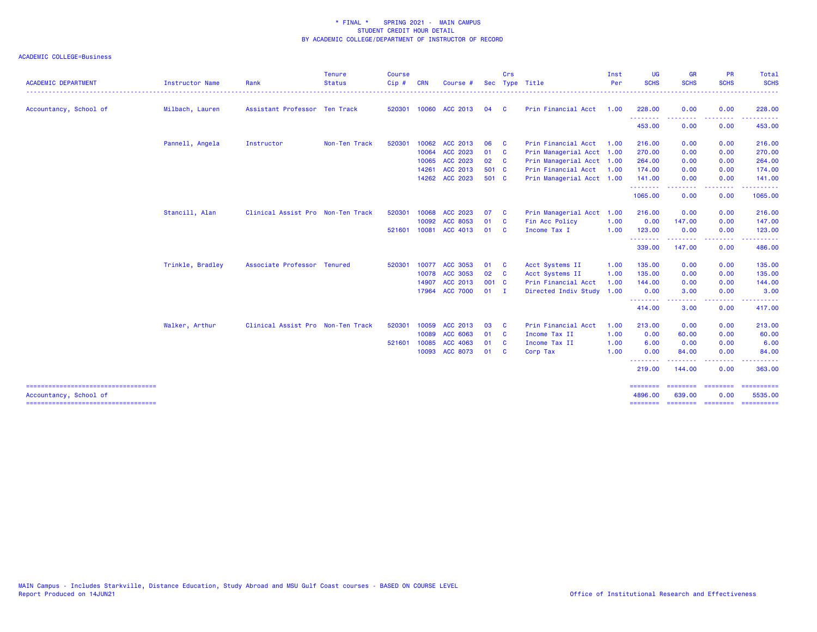| <b>ACADEMIC DEPARTMENT</b>                                      | <b>Instructor Name</b> | Rank                              | <b>Tenure</b><br><b>Status</b> | Course<br>$Cip$ # | <b>CRN</b> | Course          | <b>Sec</b> | Crs          | Type Title                | Inst<br>Per | UG<br><b>SCHS</b>                 | <b>GR</b><br><b>SCHS</b> | <b>PR</b><br><b>SCHS</b>                                                                                                          | <b>Total</b><br><b>SCHS</b>                                                                                                                                                                                                                                                                                                                                                                                                                                                                       |
|-----------------------------------------------------------------|------------------------|-----------------------------------|--------------------------------|-------------------|------------|-----------------|------------|--------------|---------------------------|-------------|-----------------------------------|--------------------------|-----------------------------------------------------------------------------------------------------------------------------------|---------------------------------------------------------------------------------------------------------------------------------------------------------------------------------------------------------------------------------------------------------------------------------------------------------------------------------------------------------------------------------------------------------------------------------------------------------------------------------------------------|
| Accountancy, School of                                          | Milbach, Lauren        | Assistant Professor Ten Track     |                                | 520301            |            | 10060 ACC 2013  | 04         | <b>C</b>     | Prin Financial Acct       | 1.00        | 228.00                            | 0.00                     | 0.00                                                                                                                              | . <u>.</u> .<br>228.00                                                                                                                                                                                                                                                                                                                                                                                                                                                                            |
|                                                                 |                        |                                   |                                |                   |            |                 |            |              |                           |             | -------                           |                          | .                                                                                                                                 | . <b>.</b>                                                                                                                                                                                                                                                                                                                                                                                                                                                                                        |
|                                                                 |                        |                                   |                                |                   |            |                 |            |              |                           |             | 453.00                            | 0.00                     | 0.00                                                                                                                              | 453.00                                                                                                                                                                                                                                                                                                                                                                                                                                                                                            |
|                                                                 | Pannell, Angela        | Instructor                        | Non-Ten Track                  | 520301            |            | 10062 ACC 2013  | 06         | - C          | Prin Financial Acct       | 1.00        | 216.00                            | 0.00                     | 0.00                                                                                                                              | 216.00                                                                                                                                                                                                                                                                                                                                                                                                                                                                                            |
|                                                                 |                        |                                   |                                |                   |            | 10064 ACC 2023  | 01         | $\mathbf{C}$ | Prin Managerial Acct 1.00 |             | 270.00                            | 0.00                     | 0.00                                                                                                                              | 270.00                                                                                                                                                                                                                                                                                                                                                                                                                                                                                            |
|                                                                 |                        |                                   |                                |                   | 10065      | ACC 2023        | 02         | $\mathbf{C}$ | Prin Managerial Acct 1.00 |             | 264.00                            | 0.00                     | 0.00                                                                                                                              | 264.00                                                                                                                                                                                                                                                                                                                                                                                                                                                                                            |
|                                                                 |                        |                                   |                                |                   | 14261      | ACC 2013        | 501 C      |              | Prin Financial Acct       | 1.00        | 174.00                            | 0.00                     | 0.00                                                                                                                              | 174.00                                                                                                                                                                                                                                                                                                                                                                                                                                                                                            |
|                                                                 |                        |                                   |                                |                   |            | 14262 ACC 2023  | 501 C      |              | Prin Managerial Acct 1.00 |             | 141.00                            | 0.00                     | 0.00                                                                                                                              | 141.00                                                                                                                                                                                                                                                                                                                                                                                                                                                                                            |
|                                                                 |                        |                                   |                                |                   |            |                 |            |              |                           |             | .<br>1065.00                      | 0.00                     | $\frac{1}{2} \left( \frac{1}{2} \right) \left( \frac{1}{2} \right) \left( \frac{1}{2} \right) \left( \frac{1}{2} \right)$<br>0.00 | .<br>1065.00                                                                                                                                                                                                                                                                                                                                                                                                                                                                                      |
|                                                                 | Stancill, Alan         | Clinical Assist Pro Non-Ten Track |                                | 520301            | 10068      | ACC 2023        | 07         | <b>C</b>     | Prin Managerial Acct      | 1.00        | 216.00                            | 0.00                     | 0.00                                                                                                                              | 216.00                                                                                                                                                                                                                                                                                                                                                                                                                                                                                            |
|                                                                 |                        |                                   |                                |                   | 10092      | <b>ACC 8053</b> | 01         | <b>C</b>     | Fin Acc Policy            | 1.00        | 0.00                              | 147.00                   | 0.00                                                                                                                              | 147.00                                                                                                                                                                                                                                                                                                                                                                                                                                                                                            |
|                                                                 |                        |                                   |                                | 521601            | 10081      | ACC 4013        | 01         | <b>C</b>     | Income Tax I              | 1.00        | 123.00                            | 0.00                     | 0.00                                                                                                                              | 123.00                                                                                                                                                                                                                                                                                                                                                                                                                                                                                            |
|                                                                 |                        |                                   |                                |                   |            |                 |            |              |                           |             | .<br>339.00                       | 147.00                   | .<br>0.00                                                                                                                         | .<br>486.00                                                                                                                                                                                                                                                                                                                                                                                                                                                                                       |
|                                                                 | Trinkle, Bradley       | Associate Professor Tenured       |                                | 520301            |            | 10077 ACC 3053  | 01         | $\mathbf{C}$ | Acct Systems II           | 1.00        | 135.00                            | 0.00                     | 0.00                                                                                                                              | 135.00                                                                                                                                                                                                                                                                                                                                                                                                                                                                                            |
|                                                                 |                        |                                   |                                |                   |            | 10078 ACC 3053  | 02         | $\mathbf{C}$ | Acct Systems II           | 1.00        | 135,00                            | 0.00                     | 0.00                                                                                                                              | 135.00                                                                                                                                                                                                                                                                                                                                                                                                                                                                                            |
|                                                                 |                        |                                   |                                |                   | 14907      | ACC 2013        | 001 C      |              | Prin Financial Acct       | 1.00        | 144.00                            | 0.00                     | 0.00                                                                                                                              | 144.00                                                                                                                                                                                                                                                                                                                                                                                                                                                                                            |
|                                                                 |                        |                                   |                                |                   |            | 17964 ACC 7000  | 01         | $\mathbf{I}$ | Directed Indiv Study 1.00 |             | 0.00                              | 3.00                     | 0.00                                                                                                                              | 3.00                                                                                                                                                                                                                                                                                                                                                                                                                                                                                              |
|                                                                 |                        |                                   |                                |                   |            |                 |            |              |                           |             | <u> - - - - - - - -</u><br>414.00 | 3.00                     | .<br>0.00                                                                                                                         | 417.00                                                                                                                                                                                                                                                                                                                                                                                                                                                                                            |
|                                                                 | Walker, Arthur         | Clinical Assist Pro Non-Ten Track |                                | 520301            | 10059      | ACC 2013        | 03         | <b>C</b>     | Prin Financial Acct       | 1.00        | 213.00                            | 0.00                     | 0.00                                                                                                                              | 213.00                                                                                                                                                                                                                                                                                                                                                                                                                                                                                            |
|                                                                 |                        |                                   |                                |                   | 10089      | ACC 6063        | 01         | $\mathbf{C}$ | Income Tax II             | 1.00        | 0.00                              | 60.00                    | 0.00                                                                                                                              | 60.00                                                                                                                                                                                                                                                                                                                                                                                                                                                                                             |
|                                                                 |                        |                                   |                                | 521601            | 10085      | ACC 4063        | 01         | <b>C</b>     | Income Tax II             | 1.00        | 6.00                              | 0.00                     | 0.00                                                                                                                              | 6.00                                                                                                                                                                                                                                                                                                                                                                                                                                                                                              |
|                                                                 |                        |                                   |                                |                   |            | 10093 ACC 8073  | 01         | <b>C</b>     | Corp Tax                  | 1.00        | 0.00                              | 84.00                    | 0.00                                                                                                                              | 84.00                                                                                                                                                                                                                                                                                                                                                                                                                                                                                             |
|                                                                 |                        |                                   |                                |                   |            |                 |            |              |                           |             | --------<br>219.00                | .<br>144.00              | .<br>0.00                                                                                                                         | 363.00                                                                                                                                                                                                                                                                                                                                                                                                                                                                                            |
| ====================================                            |                        |                                   |                                |                   |            |                 |            |              |                           |             | ========                          |                          |                                                                                                                                   | ==========                                                                                                                                                                                                                                                                                                                                                                                                                                                                                        |
| Accountancy, School of<br>===================================== |                        |                                   |                                |                   |            |                 |            |              |                           |             | 4896.00<br><b>ESSESSES</b>        | 639.00                   | 0.00<br>stations consider                                                                                                         | 5535.00<br>$\begin{array}{cccccccccc} \multicolumn{2}{c}{} & \multicolumn{2}{c}{} & \multicolumn{2}{c}{} & \multicolumn{2}{c}{} & \multicolumn{2}{c}{} & \multicolumn{2}{c}{} & \multicolumn{2}{c}{} & \multicolumn{2}{c}{} & \multicolumn{2}{c}{} & \multicolumn{2}{c}{} & \multicolumn{2}{c}{} & \multicolumn{2}{c}{} & \multicolumn{2}{c}{} & \multicolumn{2}{c}{} & \multicolumn{2}{c}{} & \multicolumn{2}{c}{} & \multicolumn{2}{c}{} & \multicolumn{2}{c}{} & \multicolumn{2}{c}{} & \mult$ |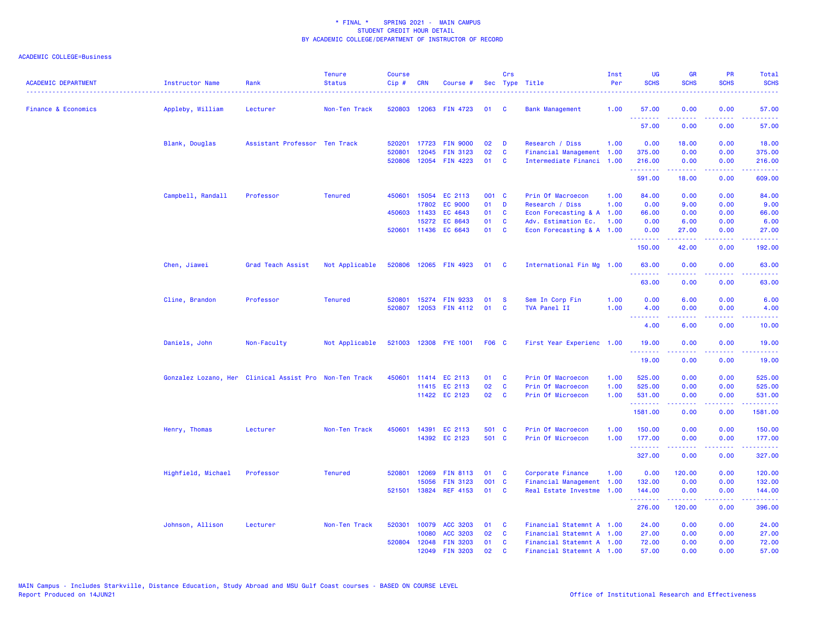| <b>ACADEMIC DEPARTMENT</b>     | Instructor Name                                        | Rank                          | <b>Tenure</b><br><b>Status</b> | <b>Course</b><br>$Cip$ # | <b>CRN</b>   | Course #              |              | Crs          | Sec Type Title            | Inst<br>Per | <b>UG</b><br><b>SCHS</b>                              | <b>GR</b><br><b>SCHS</b>                                                                                                                                      | PR<br><b>SCHS</b> | Total<br><b>SCHS</b> |
|--------------------------------|--------------------------------------------------------|-------------------------------|--------------------------------|--------------------------|--------------|-----------------------|--------------|--------------|---------------------------|-------------|-------------------------------------------------------|---------------------------------------------------------------------------------------------------------------------------------------------------------------|-------------------|----------------------|
| <b>Finance &amp; Economics</b> | Appleby, William                                       | Lecturer                      | Non-Ten Track                  |                          |              | 520803 12063 FIN 4723 | 01           | <b>C</b>     | <b>Bank Management</b>    | 1.00        | 57.00                                                 | 0.00                                                                                                                                                          | 0.00              | 57.00                |
|                                |                                                        |                               |                                |                          |              |                       |              |              |                           |             | <b><i><u><u> - - - - - - -</u></u></i></b><br>57.00   | .<br>0.00                                                                                                                                                     | د د د د<br>0.00   | .<br>57.00           |
|                                | Blank, Douglas                                         | Assistant Professor Ten Track |                                | 520201                   |              | 17723 FIN 9000        | 02           | D            | Research / Diss           | 1.00        | 0.00                                                  | 18.00                                                                                                                                                         | 0.00              | 18.00                |
|                                |                                                        |                               |                                | 520801                   | 12045        | <b>FIN 3123</b>       | 02           | C            | Financial Management 1.00 |             | 375.00                                                | 0.00                                                                                                                                                          | 0.00              | 375.00               |
|                                |                                                        |                               |                                | 520806                   |              | 12054 FIN 4223        | 01           | <b>C</b>     | Intermediate Financi 1.00 |             | 216.00<br>.                                           | 0.00                                                                                                                                                          | 0.00<br>بالمحام   | 216.00<br>.          |
|                                |                                                        |                               |                                |                          |              |                       |              |              |                           |             | 591.00                                                | 18.00                                                                                                                                                         | 0.00              | 609.00               |
|                                | Campbell, Randall                                      | Professor                     | <b>Tenured</b>                 | 450601                   |              | 15054 EC 2113         | 001 C        |              | Prin Of Macroecon         | 1.00        | 84.00                                                 | 0.00                                                                                                                                                          | 0.00              | 84.00                |
|                                |                                                        |                               |                                |                          | 17802        | <b>EC 9000</b>        | 01           | <b>D</b>     | Research / Diss           | 1.00        | 0.00                                                  | 9.00                                                                                                                                                          | 0.00              | 9.00                 |
|                                |                                                        |                               |                                |                          | 450603 11433 | EC 4643               | 01           | <b>C</b>     | Econ Forecasting & A 1.00 |             | 66.00                                                 | 0.00                                                                                                                                                          | 0.00              | 66.00                |
|                                |                                                        |                               |                                |                          | 15272        | EC 8643               | 01           | $\mathbf{C}$ | Adv. Estimation Ec.       | 1.00        | 0.00                                                  | 6.00                                                                                                                                                          | 0.00              | 6.00                 |
|                                |                                                        |                               |                                |                          |              | 520601 11436 EC 6643  | 01           | $\mathbf{C}$ | Econ Forecasting & A 1.00 |             | 0.00<br>.                                             | 27.00<br>$\frac{1}{2} \left( \frac{1}{2} \right) \left( \frac{1}{2} \right) \left( \frac{1}{2} \right) \left( \frac{1}{2} \right) \left( \frac{1}{2} \right)$ | 0.00<br>.         | 27.00<br>.           |
|                                |                                                        |                               |                                |                          |              |                       |              |              |                           |             | 150.00                                                | 42.00                                                                                                                                                         | 0.00              | 192.00               |
|                                | Chen, Jiawei                                           | Grad Teach Assist             | Not Applicable                 |                          |              | 520806 12065 FIN 4923 | 01 C         |              | International Fin Mg 1.00 |             | 63.00<br><b><i><u><u> - - - - - - -</u></u></i></b>   | 0.00<br>.                                                                                                                                                     | 0.00<br>بالأباد   | 63.00<br>وعاديات     |
|                                |                                                        |                               |                                |                          |              |                       |              |              |                           |             | 63.00                                                 | 0.00                                                                                                                                                          | 0.00              | 63.00                |
|                                | Cline, Brandon                                         | Professor                     | <b>Tenured</b>                 | 520801                   |              | 15274 FIN 9233        | 01           | <b>S</b>     | Sem In Corp Fin           | 1.00        | 0.00                                                  | 6.00                                                                                                                                                          | 0.00              | 6.00                 |
|                                |                                                        |                               |                                | 520807                   |              | 12053 FIN 4112        | 01           | <b>C</b>     | TVA Panel II              | 1.00        | 4.00                                                  | 0.00                                                                                                                                                          | 0.00              | 4.00                 |
|                                |                                                        |                               |                                |                          |              |                       |              |              |                           |             | <u>.</u><br>4.00                                      | د د د د د<br>6.00                                                                                                                                             | .<br>0.00         | والمستمرين<br>10.00  |
|                                | Daniels, John                                          | Non-Faculty                   | Not Applicable                 |                          |              | 521003 12308 FYE 1001 | <b>F06 C</b> |              | First Year Experienc 1.00 |             | 19.00                                                 | 0.00                                                                                                                                                          | 0.00              | 19.00                |
|                                |                                                        |                               |                                |                          |              |                       |              |              |                           |             | <u> 22222222</u><br>19.00                             | <u>.</u><br>0.00                                                                                                                                              | د د د د<br>0.00   | .<br>19.00           |
|                                | Gonzalez Lozano, Her Clinical Assist Pro Non-Ten Track |                               |                                | 450601                   |              | 11414 EC 2113         | 01           | <b>C</b>     | Prin Of Macroecon         | 1.00        | 525.00                                                | 0.00                                                                                                                                                          | 0.00              | 525.00               |
|                                |                                                        |                               |                                |                          |              | 11415 EC 2113         | 02           | <b>C</b>     | Prin Of Macroecon         | 1.00        | 525.00                                                | 0.00                                                                                                                                                          | 0.00              | 525.00               |
|                                |                                                        |                               |                                |                          |              | 11422 EC 2123         | 02           | $\mathbf{C}$ | Prin Of Microecon         | 1.00        | 531.00                                                | 0.00                                                                                                                                                          | 0.00              | 531.00               |
|                                |                                                        |                               |                                |                          |              |                       |              |              |                           |             | <b><i><u><u> - - - - - - -</u></u></i></b><br>1581.00 | .<br>0.00                                                                                                                                                     | .<br>0.00         | .<br>1581.00         |
|                                | Henry, Thomas                                          | Lecturer                      | Non-Ten Track                  | 450601                   |              | 14391 EC 2113         | 501 C        |              | Prin Of Macroecon         | 1.00        | 150.00                                                | 0.00                                                                                                                                                          | 0.00              | 150.00               |
|                                |                                                        |                               |                                |                          |              | 14392 EC 2123         | 501 C        |              | Prin Of Microecon         | 1.00        | 177.00                                                | 0.00                                                                                                                                                          | 0.00              | 177.00               |
|                                |                                                        |                               |                                |                          |              |                       |              |              |                           |             | <u>.</u><br>327.00                                    | بالأبابات<br>0.00                                                                                                                                             | بالأباب<br>0.00   | .<br>327.00          |
|                                | Highfield, Michael                                     | Professor                     | <b>Tenured</b>                 | 520801                   | 12069        | <b>FIN 8113</b>       | 01           | C            | Corporate Finance         | 1.00        | 0.00                                                  | 120.00                                                                                                                                                        | 0.00              | 120.00               |
|                                |                                                        |                               |                                |                          | 15056        | <b>FIN 3123</b>       | 001 C        |              | Financial Management      | 1.00        | 132.00                                                | 0.00                                                                                                                                                          | 0.00              | 132.00               |
|                                |                                                        |                               |                                | 521501                   |              | 13824 REF 4153        | 01           | <b>C</b>     | Real Estate Investme      | 1.00        | 144.00                                                | 0.00                                                                                                                                                          | 0.00              | 144.00               |
|                                |                                                        |                               |                                |                          |              |                       |              |              |                           |             | <b></b><br>276.00                                     | 120.00                                                                                                                                                        | د د د د<br>0.00   | ------<br>396.00     |
|                                | Johnson, Allison                                       | Lecturer                      | Non-Ten Track                  | 520301                   |              | 10079 ACC 3203        | 01           | <b>C</b>     | Financial Statemnt A 1.00 |             | 24.00                                                 | 0.00                                                                                                                                                          | 0.00              | 24.00                |
|                                |                                                        |                               |                                |                          | 10080        | ACC 3203              | 02           | <b>C</b>     | Financial Statemnt A 1.00 |             | 27.00                                                 | 0.00                                                                                                                                                          | 0.00              | 27.00                |
|                                |                                                        |                               |                                | 520804                   |              | 12048 FIN 3203        | 01           | <b>C</b>     | Financial Statemnt A 1.00 |             | 72.00                                                 | 0.00                                                                                                                                                          | 0.00              | 72.00                |
|                                |                                                        |                               |                                |                          | 12049        | <b>FIN 3203</b>       | 02           | C            | Financial Statemnt A 1.00 |             | 57.00                                                 | 0.00                                                                                                                                                          | 0.00              | 57.00                |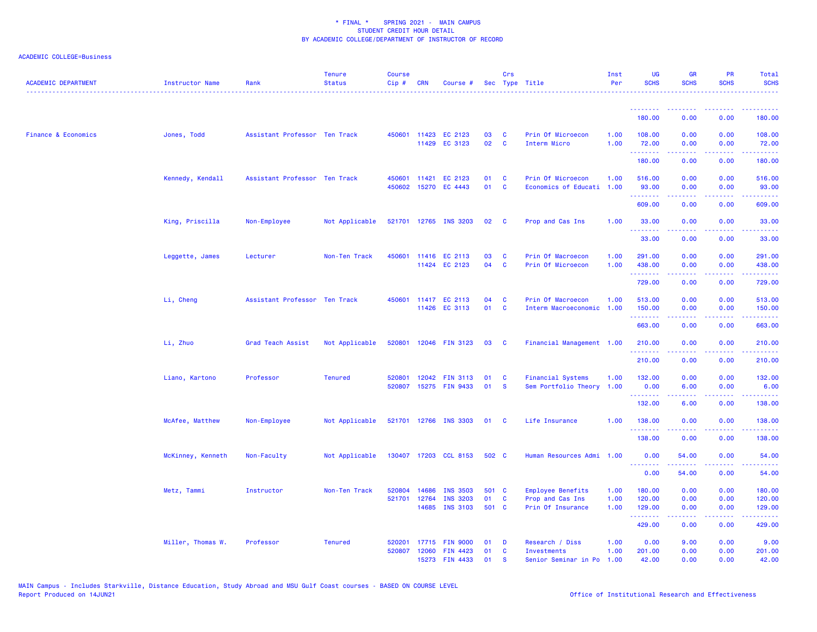| <b>ACADEMIC DEPARTMENT</b>     | <b>Instructor Name</b> | Rank                          | <b>Tenure</b><br><b>Status</b> | <b>Course</b><br>Cip# | <b>CRN</b>   | Course #              |       | Crs          | Sec Type Title            | Inst<br>Per | UG<br><b>SCHS</b>  | <b>GR</b><br><b>SCHS</b> | <b>PR</b><br><b>SCHS</b>     | <b>Total</b><br><b>SCHS</b>          |
|--------------------------------|------------------------|-------------------------------|--------------------------------|-----------------------|--------------|-----------------------|-------|--------------|---------------------------|-------------|--------------------|--------------------------|------------------------------|--------------------------------------|
|                                |                        |                               |                                |                       |              |                       |       |              |                           |             | .                  |                          |                              |                                      |
|                                |                        |                               |                                |                       |              |                       |       |              |                           |             | 180.00             | 0.00                     | 0.00                         | 180.00                               |
| <b>Finance &amp; Economics</b> | Jones, Todd            | Assistant Professor Ten Track |                                |                       | 450601 11423 | EC 2123               | 03    | <b>C</b>     | Prin Of Microecon         | 1.00        | 108,00             | 0.00                     | 0.00                         | 108.00                               |
|                                |                        |                               |                                |                       |              | 11429 EC 3123         | 02    | C            | Interm Micro              | 1.00        | 72.00<br>.         | 0.00<br><u>.</u>         | 0.00<br>.                    | 72.00<br>.                           |
|                                |                        |                               |                                |                       |              |                       |       |              |                           |             | 180.00             | 0.00                     | 0.00                         | 180.00                               |
|                                | Kennedy, Kendall       | Assistant Professor Ten Track |                                | 450601                | 11421        | EC 2123               | 01    | C            | Prin Of Microecon         | 1.00        | 516.00             | 0.00                     | 0.00                         | 516.00                               |
|                                |                        |                               |                                |                       | 450602 15270 | EC 4443               | 01    | $\mathbf{C}$ | Economics of Educati      | 1.00        | 93.00              | 0.00                     | 0.00                         | 93.00                                |
|                                |                        |                               |                                |                       |              |                       |       |              |                           |             | .<br>609.00        | 0.00                     | 0.00                         | 609.00                               |
|                                | King, Priscilla        | Non-Employee                  | Not Applicable                 |                       |              | 521701 12765 INS 3203 | 02    | <b>C</b>     | Prop and Cas Ins          | 1.00        | 33.00<br>.         | 0.00                     | 0.00                         | 33.00<br>$\sim$ $\sim$ $\sim$ $\sim$ |
|                                |                        |                               |                                |                       |              |                       |       |              |                           |             | 33.00              | 0.00                     | 0.00                         | 33.00                                |
|                                | Leggette, James        | Lecturer                      | Non-Ten Track                  |                       |              | 450601 11416 EC 2113  | 03    | C            | Prin Of Macroecon         | 1.00        | 291.00             | 0.00                     | 0.00                         | 291.00                               |
|                                |                        |                               |                                |                       |              | 11424 EC 2123         | 04    | $\mathbf c$  | Prin Of Microecon         | 1.00        | 438.00<br><u>.</u> | 0.00                     | 0.00                         | 438.00<br><u>.</u>                   |
|                                |                        |                               |                                |                       |              |                       |       |              |                           |             | 729.00             | د د د د<br>0.00          | ----<br>0.00                 | 729.00                               |
|                                | Li, Cheng              | Assistant Professor Ten Track |                                |                       |              | 450601 11417 EC 2113  | 04    | <b>C</b>     | Prin Of Macroecon         | 1.00        | 513.00             | 0.00                     | 0.00                         | 513.00                               |
|                                |                        |                               |                                |                       |              | 11426 EC 3113         | 01    | <b>C</b>     | Interm Macroeconomic      | 1.00        | 150.00             | 0.00                     | 0.00                         | 150.00                               |
|                                |                        |                               |                                |                       |              |                       |       |              |                           |             | .<br>663.00        | 0.00                     | 0.00                         | .<br>663.00                          |
|                                | Li, Zhuo               | Grad Teach Assist             | Not Applicable                 |                       |              | 520801 12046 FIN 3123 | 03    | <b>C</b>     | Financial Management 1.00 |             | 210.00             | 0.00                     | 0.00                         | 210.00                               |
|                                |                        |                               |                                |                       |              |                       |       |              |                           |             | .<br>210.00        | 0.00                     | $\frac{1}{2}$<br>0.00        | .<br>210.00                          |
|                                | Liano, Kartono         | Professor                     | <b>Tenured</b>                 | 520801                |              | 12042 FIN 3113        | 01    | <b>C</b>     | <b>Financial Systems</b>  | 1.00        | 132.00             | 0.00                     | 0.00                         | 132.00                               |
|                                |                        |                               |                                | 520807                |              | 15275 FIN 9433        | 01    | <b>S</b>     | Sem Portfolio Theory      | 1.00        | 0.00               | 6.00                     | 0.00                         | 6.00                                 |
|                                |                        |                               |                                |                       |              |                       |       |              |                           |             | .<br>132.00        | .<br>6.00                | 0.00                         | .<br>138.00                          |
|                                | McAfee, Matthew        | Non-Employee                  | Not Applicable                 |                       |              | 521701 12766 INS 3303 | 01    | <b>C</b>     | Life Insurance            | 1.00        | 138.00             | 0.00                     | 0.00                         | 138.00                               |
|                                |                        |                               |                                |                       |              |                       |       |              |                           |             | .<br>138.00        | 0.00                     | 0.00                         | .<br>138.00                          |
|                                | McKinney, Kenneth      | Non-Faculty                   | Not Applicable                 |                       |              | 130407 17203 CCL 8153 | 502 C |              | Human Resources Admi 1.00 |             | 0.00               | 54.00                    | 0.00                         | 54.00                                |
|                                |                        |                               |                                |                       |              |                       |       |              |                           |             | .<br>0.00          | د د د د د د<br>54.00     | $\sim$ $\sim$ $\sim$<br>0.00 | .<br>54.00                           |
|                                | Metz, Tammi            | Instructor                    | Non-Ten Track                  | 520804                | 14686        | <b>INS 3503</b>       | 501 C |              | Employee Benefits         | 1.00        | 180.00             | 0.00                     | 0.00                         | 180.00                               |
|                                |                        |                               |                                | 521701                | 12764        | <b>INS 3203</b>       | 01    | C            | Prop and Cas Ins          | 1.00        | 120.00             | 0.00                     | 0.00                         | 120.00                               |
|                                |                        |                               |                                |                       | 14685        | <b>INS 3103</b>       | 501 C |              | Prin Of Insurance         | 1.00        | 129.00<br>.        | 0.00                     | 0.00<br>.                    | 129.00                               |
|                                |                        |                               |                                |                       |              |                       |       |              |                           |             | 429.00             | 0.00                     | 0.00                         | 429.00                               |
|                                | Miller, Thomas W.      | Professor                     | <b>Tenured</b>                 | 520201                | 17715        | <b>FIN 9000</b>       | 01    | D            | Research / Diss           | 1.00        | 0.00               | 9.00                     | 0.00                         | 9.00                                 |
|                                |                        |                               |                                | 520807                | 12060        | <b>FIN 4423</b>       | 01    | C            | Investments               | 1.00        | 201.00             | 0.00                     | 0.00                         | 201.00                               |
|                                |                        |                               |                                |                       |              | 15273 FIN 4433        | 01    | <b>S</b>     | Senior Seminar in Po      | 1.00        | 42.00              | 0.00                     | 0.00                         | 42.00                                |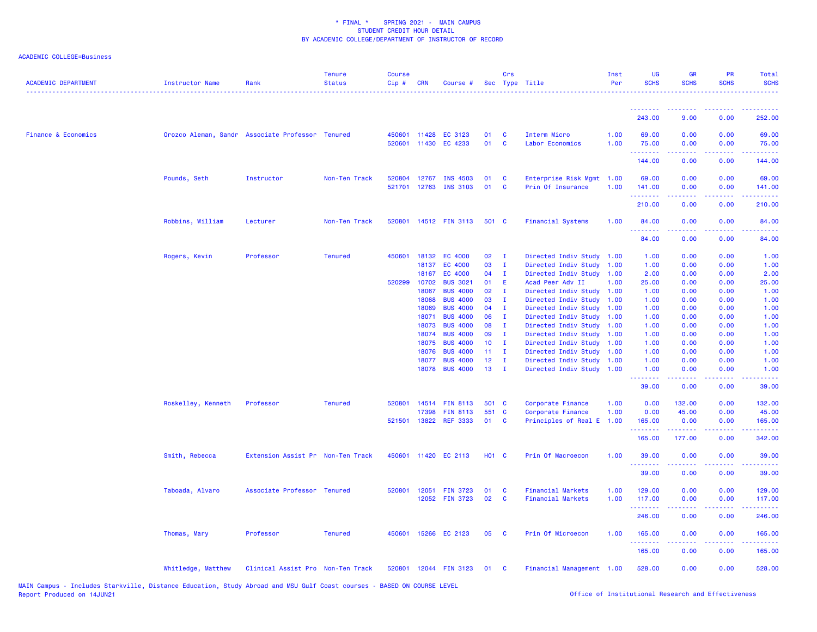| <b>ACADEMIC DEPARTMENT</b>     | <b>Instructor Name</b> | Rank                                             | <b>Tenure</b><br><b>Status</b> | <b>Course</b><br>Cip# | <b>CRN</b> | Course #                                     |                 | Crs           | Sec Type Title                                 | Inst<br>Per  | <b>UG</b><br><b>SCHS</b> | <b>GR</b><br><b>SCHS</b>                                                                                                                                     | PR<br><b>SCHS</b> | Total<br><b>SCHS</b>                                                                                                                                           |
|--------------------------------|------------------------|--------------------------------------------------|--------------------------------|-----------------------|------------|----------------------------------------------|-----------------|---------------|------------------------------------------------|--------------|--------------------------|--------------------------------------------------------------------------------------------------------------------------------------------------------------|-------------------|----------------------------------------------------------------------------------------------------------------------------------------------------------------|
|                                |                        |                                                  |                                |                       |            |                                              |                 |               |                                                |              | <u>.</u>                 | <u> - - - - - - - -</u>                                                                                                                                      | .                 | $\frac{1}{2} \left( \frac{1}{2} \right) \left( \frac{1}{2} \right) \left( \frac{1}{2} \right) \left( \frac{1}{2} \right) \left( \frac{1}{2} \right)$           |
|                                |                        |                                                  |                                |                       |            |                                              |                 |               |                                                |              | 243.00                   | 9.00                                                                                                                                                         | 0.00              | 252.00                                                                                                                                                         |
| <b>Finance &amp; Economics</b> |                        | Orozco Aleman, Sandr Associate Professor Tenured |                                |                       |            | 450601 11428 EC 3123<br>520601 11430 EC 4233 | 01<br>01        | <b>C</b><br>C | Interm Micro<br>Labor Economics                | 1.00<br>1.00 | 69.00<br>75.00           | 0.00<br>0.00                                                                                                                                                 | 0.00<br>0.00      | 69.00<br>75.00                                                                                                                                                 |
|                                |                        |                                                  |                                |                       |            |                                              |                 |               |                                                |              | .<br>144.00              | -----<br>0.00                                                                                                                                                | .<br>0.00         | المتمامي<br>144.00                                                                                                                                             |
|                                | Pounds, Seth           | Instructor                                       | Non-Ten Track                  | 520804 12767          |            | <b>INS 4503</b><br>521701 12763 INS 3103     | 01<br>01        | C<br>C        | Enterprise Risk Mgmt 1.00<br>Prin Of Insurance | 1.00         | 69.00<br>141.00          | 0.00<br>0.00                                                                                                                                                 | 0.00<br>0.00      | 69.00<br>141.00                                                                                                                                                |
|                                |                        |                                                  |                                |                       |            |                                              |                 |               |                                                |              | .<br>210.00              | $\frac{1}{2} \left( \frac{1}{2} \right) \left( \frac{1}{2} \right) \left( \frac{1}{2} \right) \left( \frac{1}{2} \right)$<br>0.00                            | .<br>0.00         | 2.2.2.2.2<br>210.00                                                                                                                                            |
|                                | Robbins, William       | Lecturer                                         | Non-Ten Track                  |                       |            | 520801 14512 FIN 3113                        | 501 C           |               | <b>Financial Systems</b>                       | 1.00         | 84.00<br>.               | 0.00<br>$\frac{1}{2} \left( \frac{1}{2} \right) \left( \frac{1}{2} \right) \left( \frac{1}{2} \right) \left( \frac{1}{2} \right) \left( \frac{1}{2} \right)$ | 0.00<br>.         | 84.00<br>.                                                                                                                                                     |
|                                |                        |                                                  |                                |                       |            |                                              |                 |               |                                                |              | 84.00                    | 0.00                                                                                                                                                         | 0.00              | 84.00                                                                                                                                                          |
|                                | Rogers, Kevin          | Professor                                        | <b>Tenured</b>                 | 450601 18132          |            | EC 4000                                      | 02              | $\mathbf{I}$  | Directed Indiv Study                           | 1.00         | 1.00                     | 0.00                                                                                                                                                         | 0.00              | 1.00                                                                                                                                                           |
|                                |                        |                                                  |                                |                       | 18137      | EC 4000                                      | 03              | $\mathbf{I}$  | Directed Indiv Study                           | 1.00         | 1.00                     | 0.00                                                                                                                                                         | 0.00              | 1.00                                                                                                                                                           |
|                                |                        |                                                  |                                |                       | 18167      | EC 4000                                      | 04              | $\mathbf{I}$  | Directed Indiv Study                           | 1.00         | 2.00                     | 0.00                                                                                                                                                         | 0.00              | 2.00                                                                                                                                                           |
|                                |                        |                                                  |                                | 520299 10702          |            | <b>BUS 3021</b>                              | 01              | E             | Acad Peer Adv II                               | 1.00         | 25.00                    | 0.00                                                                                                                                                         | 0.00              | 25.00                                                                                                                                                          |
|                                |                        |                                                  |                                |                       | 18067      | <b>BUS 4000</b>                              | 02              | - I           | Directed Indiv Study 1.00                      |              | 1.00                     | 0.00                                                                                                                                                         | 0.00              | 1.00                                                                                                                                                           |
|                                |                        |                                                  |                                |                       | 18068      | <b>BUS 4000</b>                              | 03              | $\mathbf{I}$  | Directed Indiv Study                           | 1.00         | 1.00                     | 0.00                                                                                                                                                         | 0.00              | 1.00                                                                                                                                                           |
|                                |                        |                                                  |                                |                       | 18069      | <b>BUS 4000</b>                              | 04              | $\mathbf{I}$  | Directed Indiv Study                           | 1.00         | 1.00                     | 0.00                                                                                                                                                         | 0.00              | 1.00                                                                                                                                                           |
|                                |                        |                                                  |                                |                       | 18071      | <b>BUS 4000</b>                              | 06              | $\mathbf{I}$  | Directed Indiv Study                           | 1.00         | 1.00                     | 0.00                                                                                                                                                         | 0.00              | 1.00                                                                                                                                                           |
|                                |                        |                                                  |                                |                       | 18073      | <b>BUS 4000</b>                              | 08              | - I           | Directed Indiv Study                           | 1.00         | 1.00                     | 0.00                                                                                                                                                         | 0.00              | 1.00                                                                                                                                                           |
|                                |                        |                                                  |                                |                       | 18074      | <b>BUS 4000</b>                              | 09              | $\mathbf{I}$  | Directed Indiv Study                           | 1.00         | 1.00                     | 0.00                                                                                                                                                         | 0.00              | 1.00                                                                                                                                                           |
|                                |                        |                                                  |                                |                       | 18075      | <b>BUS 4000</b>                              | 10              | $\mathbf{I}$  | Directed Indiv Study                           | 1.00         | 1.00                     | 0.00                                                                                                                                                         | 0.00              | 1.00                                                                                                                                                           |
|                                |                        |                                                  |                                |                       | 18076      | <b>BUS 4000</b>                              | 11 <sub>1</sub> | $\mathbf{I}$  | Directed Indiv Study                           | 1.00         | 1.00                     | 0.00                                                                                                                                                         | 0.00              | 1.00                                                                                                                                                           |
|                                |                        |                                                  |                                |                       | 18077      | <b>BUS 4000</b>                              | 12 <sup>°</sup> | $\mathbf{I}$  | Directed Indiv Study                           | 1.00         | 1.00                     | 0.00                                                                                                                                                         | 0.00              | 1.00                                                                                                                                                           |
|                                |                        |                                                  |                                |                       | 18078      | <b>BUS 4000</b>                              | 13              | - I           | Directed Indiv Study                           | 1.00         | 1.00                     | 0.00                                                                                                                                                         | 0.00              | 1.00                                                                                                                                                           |
|                                |                        |                                                  |                                |                       |            |                                              |                 |               |                                                |              | .<br>39.00               | بالأباب<br>0.00                                                                                                                                              | 0.00              | وساعات<br>39.00                                                                                                                                                |
|                                | Roskelley, Kenneth     | Professor                                        | <b>Tenured</b>                 |                       |            | 520801 14514 FIN 8113                        | 501 C           |               | Corporate Finance                              | 1.00         | 0.00                     | 132.00                                                                                                                                                       | 0.00              | 132.00                                                                                                                                                         |
|                                |                        |                                                  |                                |                       | 17398      | <b>FIN 8113</b>                              | 551 C           |               | Corporate Finance                              | 1.00         | 0.00                     | 45.00                                                                                                                                                        | 0.00              | 45.00                                                                                                                                                          |
|                                |                        |                                                  |                                | 521501 13822          |            | <b>REF 3333</b>                              | 01              | <b>C</b>      | Principles of Real E                           | 1.00         | 165.00<br>.              | 0.00                                                                                                                                                         | 0.00<br>.         | 165.00<br>$\frac{1}{2} \left( \frac{1}{2} \right) \left( \frac{1}{2} \right) \left( \frac{1}{2} \right) \left( \frac{1}{2} \right) \left( \frac{1}{2} \right)$ |
|                                |                        |                                                  |                                |                       |            |                                              |                 |               |                                                |              | 165.00                   | 177.00                                                                                                                                                       | 0.00              | 342.00                                                                                                                                                         |
|                                | Smith, Rebecca         | Extension Assist Pr Non-Ten Track                |                                |                       |            | 450601 11420 EC 2113                         | <b>HO1 C</b>    |               | Prin Of Macroecon                              | 1.00         | 39.00<br>.               | 0.00                                                                                                                                                         | 0.00              | 39.00<br>.                                                                                                                                                     |
|                                |                        |                                                  |                                |                       |            |                                              |                 |               |                                                |              | 39.00                    | 0.00                                                                                                                                                         | 0.00              | 39.00                                                                                                                                                          |
|                                | Taboada, Alvaro        | Associate Professor Tenured                      |                                | 520801                | 12051      | <b>FIN 3723</b>                              | 01              | C             | <b>Financial Markets</b>                       | 1.00         | 129.00                   | 0.00                                                                                                                                                         | 0.00              | 129.00                                                                                                                                                         |
|                                |                        |                                                  |                                |                       |            | 12052 FIN 3723                               | 02              | C             | <b>Financial Markets</b>                       | 1.00         | 117.00<br>.              | 0.00<br>.                                                                                                                                                    | 0.00              | 117.00<br>$\begin{array}{cccccccccc} \bullet & \bullet & \bullet & \bullet & \bullet & \bullet & \bullet & \bullet \end{array}$                                |
|                                |                        |                                                  |                                |                       |            |                                              |                 |               |                                                |              | 246.00                   | 0.00                                                                                                                                                         | 0.00              | 246.00                                                                                                                                                         |
|                                | Thomas, Mary           | Professor                                        | <b>Tenured</b>                 |                       |            | 450601 15266 EC 2123                         | 05              | <b>C</b>      | Prin Of Microecon                              | 1.00         | 165.00<br>.              | 0.00                                                                                                                                                         | 0.00              | 165.00<br>$\begin{array}{cccccccccc} \bullet & \bullet & \bullet & \bullet & \bullet & \bullet & \bullet \end{array}$                                          |
|                                |                        |                                                  |                                |                       |            |                                              |                 |               |                                                |              | 165.00                   | 0.00                                                                                                                                                         | 0.00              | 165.00                                                                                                                                                         |
|                                | Whitledge, Matthew     | Clinical Assist Pro Non-Ten Track                |                                |                       |            | 520801 12044 FIN 3123                        | 01              | <b>C</b>      | Financial Management 1.00                      |              | 528.00                   | 0.00                                                                                                                                                         | 0.00              | 528.00                                                                                                                                                         |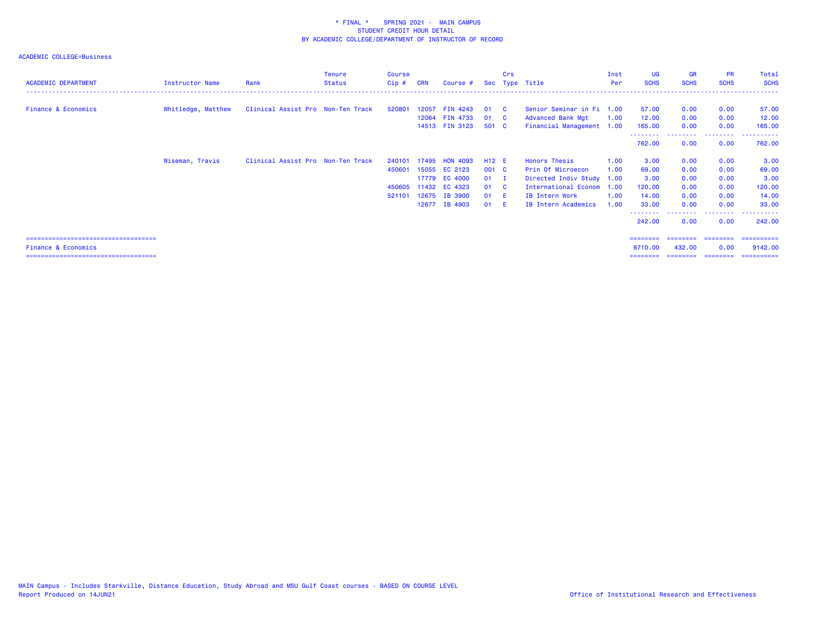| <b>ACADEMIC DEPARTMENT</b>             | Instructor Name    | Rank                              | <b>Tenure</b><br>Status | <b>Course</b><br>Cip# | <b>CRN</b> | Course #        |        | Crs      | Sec Type Title             | Inst<br>Per | UG<br><b>SCHS</b>  | <b>GR</b><br><b>SCHS</b> | <b>PR</b><br><b>SCHS</b> | Total<br><b>SCHS</b>    |
|----------------------------------------|--------------------|-----------------------------------|-------------------------|-----------------------|------------|-----------------|--------|----------|----------------------------|-------------|--------------------|--------------------------|--------------------------|-------------------------|
|                                        |                    |                                   |                         |                       |            |                 |        |          |                            |             |                    |                          |                          |                         |
|                                        |                    |                                   |                         |                       |            |                 |        |          |                            |             |                    |                          |                          |                         |
| <b>Finance &amp; Economics</b>         | Whitledge, Matthew | Clinical Assist Pro Non-Ten Track |                         | 520801                | 12057      | <b>FIN 4243</b> | 01     | <b>C</b> | Senior Seminar in Fi 1.00  |             | 57.00              | 0.00                     | 0.00                     | 57.00                   |
|                                        |                    |                                   |                         |                       |            | 12064 FIN 4733  | 01 C   |          | <b>Advanced Bank Mgt</b>   | 1.00        | 12.00              | 0.00                     | 0.00                     | 12.00                   |
|                                        |                    |                                   |                         |                       |            | 14513 FIN 3123  | 501 C  |          | Financial Management 1.00  |             | 165.00             | 0.00                     | 0.00                     | 165.00                  |
|                                        |                    |                                   |                         |                       |            |                 |        |          |                            |             | --------<br>762.00 | 0.00                     | ---------<br>0.00        | - - - - - - -<br>762.00 |
|                                        | Wiseman, Travis    | Clinical Assist Pro Non-Ten Track |                         | 240101                | 17495      | <b>HON 4093</b> | H12 E  |          | Honors Thesis              | 1.00        | 3.00               | 0.00                     | 0.00                     | 3.00                    |
|                                        |                    |                                   |                         | 450601                |            | 15055 EC 2123   | 001 C  |          | Prin Of Microecon          | 1.00        | 69.00              | 0.00                     | 0.00                     | 69.00                   |
|                                        |                    |                                   |                         |                       |            | 17779 EC 4000   | $01$ I |          | Directed Indiv Study 1.00  |             | 3.00               | 0.00                     | 0.00                     | 3.00                    |
|                                        |                    |                                   |                         | 450605                |            | 11432 EC 4323   | 01 C   |          | International Econom       | 1.00        | 120.00             | 0.00                     | 0.00                     | 120.00                  |
|                                        |                    |                                   |                         | 521101                | 12675      | <b>IB 3900</b>  | O1     | - E      | IB Intern Work             | 1.00        | 14.00              | 0.00                     | 0.00                     | 14.00                   |
|                                        |                    |                                   |                         |                       |            | 12677 IB 4903   | 01 E   |          | <b>IB Intern Academics</b> | 1.00        | 33.00              | 0.00                     | 0.00                     | 33.00                   |
|                                        |                    |                                   |                         |                       |            |                 |        |          |                            |             | 242.00             | 0.00                     | 0.00                     | 242.00                  |
| ====================================== |                    |                                   |                         |                       |            |                 |        |          |                            |             | ========           | ========                 | ========                 | -----------             |
| <b>Finance &amp; Economics</b>         |                    |                                   |                         |                       |            |                 |        |          |                            |             | 8710.00            | 432,00                   | 0.00                     | 9142.00                 |
| =====================================  |                    |                                   |                         |                       |            |                 |        |          |                            |             |                    |                          |                          | =========               |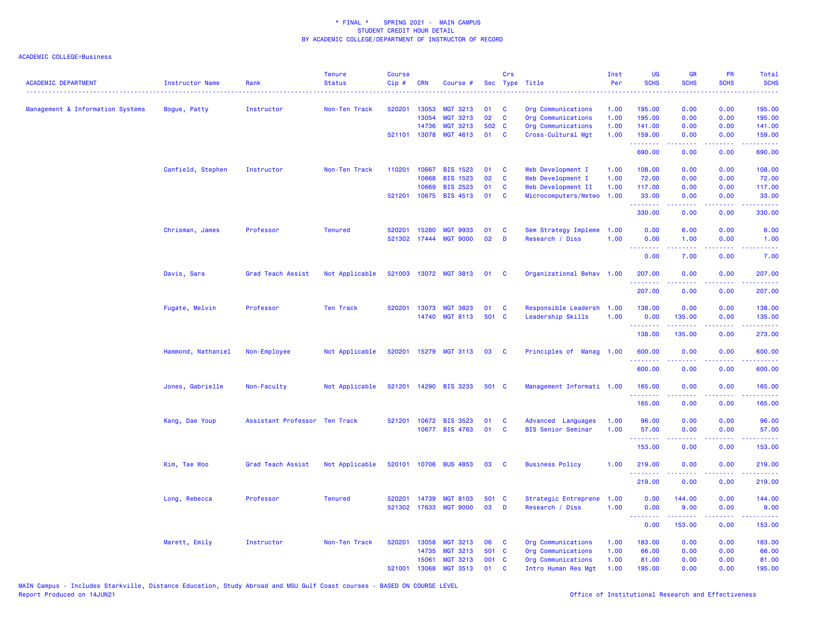| <b>ACADEMIC DEPARTMENT</b>       | <b>Instructor Name</b> | Rank                          | <b>Tenure</b><br><b>Status</b> | Course<br>$Cip$ # | <b>CRN</b>   | Course #              |       | Crs          | Sec Type Title            | Inst<br>Per | UG<br><b>SCHS</b>    | <b>GR</b><br><b>SCHS</b>                                                                                                                                     | PR<br><b>SCHS</b>              | Total<br><b>SCHS</b>                                                                                                                                           |
|----------------------------------|------------------------|-------------------------------|--------------------------------|-------------------|--------------|-----------------------|-------|--------------|---------------------------|-------------|----------------------|--------------------------------------------------------------------------------------------------------------------------------------------------------------|--------------------------------|----------------------------------------------------------------------------------------------------------------------------------------------------------------|
| Management & Information Systems | Bogue, Patty           | Instructor                    | Non-Ten Track                  | 520201            | 13053        | <b>MGT 3213</b>       | 01    | <b>C</b>     | Org Communications        | 1.00        | 195.00               | 0.00                                                                                                                                                         | 0.00                           | 195.00                                                                                                                                                         |
|                                  |                        |                               |                                |                   | 13054        | <b>MGT 3213</b>       | 02    | C            | Org Communications        | 1.00        | 195.00               | 0.00                                                                                                                                                         | 0.00                           | 195.00                                                                                                                                                         |
|                                  |                        |                               |                                |                   | 14736        | <b>MGT 3213</b>       | 502 C |              | Org Communications        | 1.00        | 141.00               | 0.00                                                                                                                                                         | 0.00                           | 141.00                                                                                                                                                         |
|                                  |                        |                               |                                |                   | 521101 13078 | MGT 4613              | 01    | C            | Cross-Cultural Mgt        | 1.00        | 159.00<br>.          | 0.00<br>.                                                                                                                                                    | 0.00                           | 159.00<br>$\frac{1}{2} \left( \frac{1}{2} \right) \left( \frac{1}{2} \right) \left( \frac{1}{2} \right) \left( \frac{1}{2} \right) \left( \frac{1}{2} \right)$ |
|                                  |                        |                               |                                |                   |              |                       |       |              |                           |             | 690.00               | 0.00                                                                                                                                                         | 0.00                           | 690.00                                                                                                                                                         |
|                                  | Canfield, Stephen      | Instructor                    | Non-Ten Track                  | 110201            | 10667        | <b>BIS 1523</b>       | 01    | C            | Web Development I         | 1.00        | 108.00               | 0.00                                                                                                                                                         | 0.00                           | 108.00                                                                                                                                                         |
|                                  |                        |                               |                                |                   | 10668        | <b>BIS 1523</b>       | 02    | C            | Web Development I         | 1.00        | 72.00                | 0.00                                                                                                                                                         | 0.00                           | 72.00                                                                                                                                                          |
|                                  |                        |                               |                                |                   | 10669        | <b>BIS 2523</b>       | 01    | C            | Web Development II        | 1.00        | 117.00               | 0.00                                                                                                                                                         | 0.00                           | 117.00                                                                                                                                                         |
|                                  |                        |                               |                                |                   | 521201 10675 | <b>BIS 4513</b>       | 01    | C            | Microcomputers/Netwo      | 1.00        | 33.00<br>.           | 0.00                                                                                                                                                         | 0.00                           | 33.00<br>.                                                                                                                                                     |
|                                  |                        |                               |                                |                   |              |                       |       |              |                           |             | 330.00               | 0.00                                                                                                                                                         | 0.00                           | 330.00                                                                                                                                                         |
|                                  | Chrisman, James        | Professor                     | <b>Tenured</b>                 | 520201            | 15280        | <b>MGT 9933</b>       | 01    | C            | Sem Strategy Impleme      | 1.00        | 0.00                 | 6.00                                                                                                                                                         | 0.00                           | 6.00                                                                                                                                                           |
|                                  |                        |                               |                                |                   | 521302 17444 | <b>MGT 9000</b>       | 02    | D            | Research / Diss           | 1.00        | 0.00<br>.            | 1.00                                                                                                                                                         | 0.00                           | 1.00                                                                                                                                                           |
|                                  |                        |                               |                                |                   |              |                       |       |              |                           |             | 0.00                 | 7.00                                                                                                                                                         | 0.00                           | 7.00                                                                                                                                                           |
|                                  | Davis, Sara            | Grad Teach Assist             | Not Applicable                 |                   |              | 521003 13072 MGT 3813 | 01    | $\mathbf{C}$ | Organizational Behav 1.00 |             | 207.00<br>. <b>.</b> | 0.00<br>$\frac{1}{2} \left( \frac{1}{2} \right) \left( \frac{1}{2} \right) \left( \frac{1}{2} \right) \left( \frac{1}{2} \right) \left( \frac{1}{2} \right)$ | 0.00<br>.                      | 207.00<br>$\frac{1}{2} \left( \frac{1}{2} \right) \left( \frac{1}{2} \right) \left( \frac{1}{2} \right) \left( \frac{1}{2} \right) \left( \frac{1}{2} \right)$ |
|                                  |                        |                               |                                |                   |              |                       |       |              |                           |             | 207.00               | 0.00                                                                                                                                                         | 0.00                           | 207.00                                                                                                                                                         |
|                                  | Fugate, Melvin         | Professor                     | Ten Track                      | 520201            | 13073        | <b>MGT 3823</b>       | 01    | <b>C</b>     | Responsible Leadersh      | 1.00        | 138.00               | 0.00                                                                                                                                                         | 0.00                           | 138.00                                                                                                                                                         |
|                                  |                        |                               |                                |                   | 14740        | <b>MGT 8113</b>       | 501 C |              | Leadership Skills         | 1.00        | 0.00                 | 135.00                                                                                                                                                       | 0.00                           | 135.00                                                                                                                                                         |
|                                  |                        |                               |                                |                   |              |                       |       |              |                           |             | .<br>138.00          | 135.00                                                                                                                                                       | .<br>0.00                      | $\frac{1}{2} \left( \frac{1}{2} \right) \left( \frac{1}{2} \right) \left( \frac{1}{2} \right) \left( \frac{1}{2} \right) \left( \frac{1}{2} \right)$<br>273.00 |
|                                  | Hammond, Nathaniel     | Non-Employee                  | Not Applicable                 |                   |              | 520201 15279 MGT 3113 | 03    | <b>C</b>     | Principles of Manag 1.00  |             | 600.00               | 0.00                                                                                                                                                         | 0.00                           | 600.00                                                                                                                                                         |
|                                  |                        |                               |                                |                   |              |                       |       |              |                           |             | <u>.</u>             | 0.00                                                                                                                                                         |                                |                                                                                                                                                                |
|                                  |                        |                               |                                |                   |              |                       |       |              |                           |             | 600.00               |                                                                                                                                                              | 0.00                           | 600.00                                                                                                                                                         |
|                                  | Jones, Gabrielle       | Non-Faculty                   | Not Applicable                 |                   |              | 521201 14290 BIS 3233 | 501 C |              | Management Informati 1.00 |             | 165.00<br>.          | 0.00                                                                                                                                                         | 0.00                           | 165.00<br>.                                                                                                                                                    |
|                                  |                        |                               |                                |                   |              |                       |       |              |                           |             | 165.00               | 0.00                                                                                                                                                         | 0.00                           | 165.00                                                                                                                                                         |
|                                  | Kang, Dae Youp         | Assistant Professor Ten Track |                                | 521201            | 10672        | <b>BIS 3523</b>       | 01    | <b>C</b>     | Advanced Languages        | 1.00        | 96.00                | 0.00                                                                                                                                                         | 0.00                           | 96.00                                                                                                                                                          |
|                                  |                        |                               |                                |                   | 10677        | <b>BIS 4763</b>       | 01    | $\mathbf{C}$ | <b>BIS Senior Seminar</b> | 1.00        | 57.00<br>.           | 0.00<br>.                                                                                                                                                    | 0.00<br>$\omega$ is a $\omega$ | 57.00<br>.                                                                                                                                                     |
|                                  |                        |                               |                                |                   |              |                       |       |              |                           |             | 153.00               | 0.00                                                                                                                                                         | 0.00                           | 153.00                                                                                                                                                         |
|                                  | Kim, Tae Woo           | Grad Teach Assist             | Not Applicable                 |                   | 520101 10706 | <b>BUS 4853</b>       | 03    | <b>C</b>     | <b>Business Policy</b>    | 1.00        | 219.00<br>.          | 0.00<br>$- - - - -$                                                                                                                                          | 0.00<br>.                      | 219.00<br>. <u>.</u> .                                                                                                                                         |
|                                  |                        |                               |                                |                   |              |                       |       |              |                           |             | 219.00               | 0.00                                                                                                                                                         | 0.00                           | 219.00                                                                                                                                                         |
|                                  | Long, Rebecca          | Professor                     | <b>Tenured</b>                 | 520201            | 14739        | <b>MGT 8103</b>       | 501 C |              | Strategic Entreprene      | 1.00        | 0.00                 | 144.00                                                                                                                                                       | 0.00                           | 144.00                                                                                                                                                         |
|                                  |                        |                               |                                |                   | 521302 17633 | <b>MGT 9000</b>       | 03    | D            | Research / Diss           | 1.00        | 0.00<br>.            | 9.00<br>.                                                                                                                                                    | 0.00<br>المتحدث                | 9.00<br>.                                                                                                                                                      |
|                                  |                        |                               |                                |                   |              |                       |       |              |                           |             | 0.00                 | 153.00                                                                                                                                                       | 0.00                           | 153.00                                                                                                                                                         |
|                                  | Marett, Emily          | Instructor                    | Non-Ten Track                  | 520201            | 13058        | <b>MGT 3213</b>       | 06    | C            | Org Communications        | 1.00        | 183.00               | 0.00                                                                                                                                                         | 0.00                           | 183.00                                                                                                                                                         |
|                                  |                        |                               |                                |                   | 14735        | <b>MGT 3213</b>       | 501 C |              | Org Communications        | 1.00        | 66.00                | 0.00                                                                                                                                                         | 0.00                           | 66.00                                                                                                                                                          |
|                                  |                        |                               |                                |                   | 15061        | <b>MGT 3213</b>       | 001 C |              | Org Communications        | 1.00        | 81.00                | 0.00                                                                                                                                                         | 0.00                           | 81.00                                                                                                                                                          |
|                                  |                        |                               |                                | 521001            | 13068        | <b>MGT 3513</b>       | 01    | C            | Intro Human Res Mgt       | 1.00        | 195.00               | 0.00                                                                                                                                                         | 0.00                           | 195.00                                                                                                                                                         |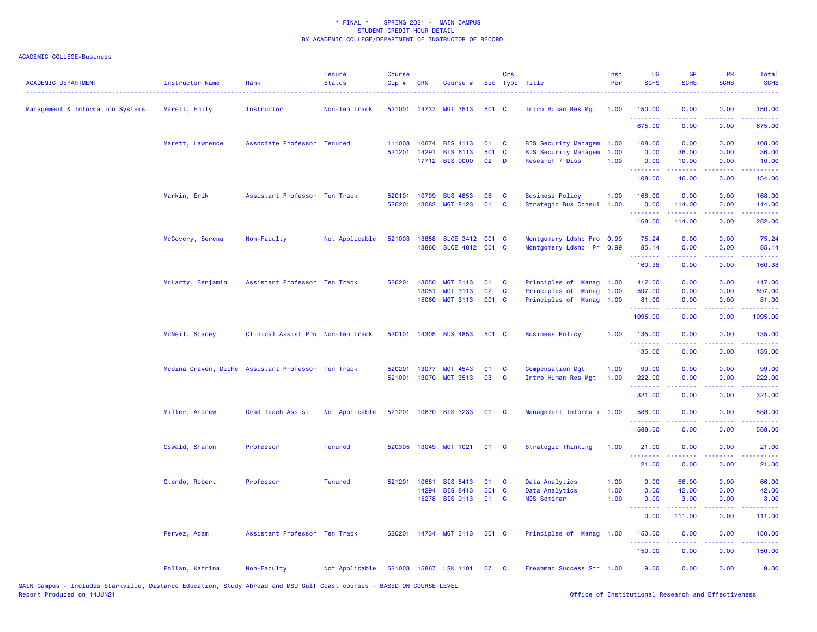| <b>ACADEMIC DEPARTMENT</b><br>------------------------------------ | Instructor Name<br>. <u>.</u> . | Rank                                               | <b>Tenure</b><br><b>Status</b> | <b>Course</b><br>Cip# | CRN            | Course #                           |             | Crs               | Sec Type Title                                 | Inst<br>Per  | <b>UG</b><br><b>SCHS</b> | <b>GR</b><br><b>SCHS</b> | <b>PR</b><br><b>SCHS</b>                                                                               | Total<br><b>SCHS</b>                                                                                                               |
|--------------------------------------------------------------------|---------------------------------|----------------------------------------------------|--------------------------------|-----------------------|----------------|------------------------------------|-------------|-------------------|------------------------------------------------|--------------|--------------------------|--------------------------|--------------------------------------------------------------------------------------------------------|------------------------------------------------------------------------------------------------------------------------------------|
| Management & Information Systems                                   | Marett, Emily                   | Instructor                                         | Non-Ten Track                  |                       |                | 521001 14737 MGT 3513              | 501 C       |                   | Intro Human Res Mgt                            | 1.00         | 150.00<br>.              | 0.00<br>2.2.2.2.2        | 0.00<br>.                                                                                              | 150.00<br>2.2222                                                                                                                   |
|                                                                    |                                 |                                                    |                                |                       |                |                                    |             |                   |                                                |              | 675.00                   | 0.00                     | 0.00                                                                                                   | 675.00                                                                                                                             |
|                                                                    | Marett, Lawrence                | Associate Professor Tenured                        |                                | 111003                | 10674          | <b>BIS 4113</b>                    | 01          | <b>C</b>          | BIS Security Managem 1.00                      |              | 108.00                   | 0.00                     | 0.00                                                                                                   | 108.00                                                                                                                             |
|                                                                    |                                 |                                                    |                                | 521201                | 14291          | <b>BIS 6113</b><br>17712 BIS 9000  | 501<br>02   | $\mathbf{C}$<br>D | <b>BIS Security Managem</b><br>Research / Diss | 1.00<br>1.00 | 0.00<br>0.00             | 36.00<br>10.00           | 0.00<br>0.00                                                                                           | 36.00<br>10.00                                                                                                                     |
|                                                                    |                                 |                                                    |                                |                       |                |                                    |             |                   |                                                |              | .<br>108.00              | د د د د د<br>46.00       | .<br>0.00                                                                                              | .<br>154.00                                                                                                                        |
|                                                                    | Markin, Erik                    | Assistant Professor Ten Track                      |                                | 520101                | 10709          | <b>BUS 4853</b>                    | 06          | C                 | <b>Business Policy</b>                         | 1.00         | 168.00                   | 0.00                     | 0.00                                                                                                   | 168.00                                                                                                                             |
|                                                                    |                                 |                                                    |                                | 520201                | 13082          | <b>MGT 8123</b>                    | 01          | <b>C</b>          | Strategic Bus Consul                           | 1.00         | 0.00                     | 114.00                   | 0.00                                                                                                   | 114.00                                                                                                                             |
|                                                                    |                                 |                                                    |                                |                       |                |                                    |             |                   |                                                |              | .<br>168.00              | 114.00                   | 0.00                                                                                                   | 282.00                                                                                                                             |
|                                                                    | McCovery, Serena                | Non-Faculty                                        | Not Applicable                 |                       | 521003 13858   | SLCE 3412 C01 C                    |             |                   | Montgomery Ldshp Pro 0.99                      |              | 75.24                    | 0.00                     | 0.00                                                                                                   | 75.24                                                                                                                              |
|                                                                    |                                 |                                                    |                                |                       | 13860          | SLCE 4812 C01 C                    |             |                   | Montgomery Ldshp Pr 0.99                       |              | 85.14                    | 0.00                     | 0.00                                                                                                   | 85.14                                                                                                                              |
|                                                                    |                                 |                                                    |                                |                       |                |                                    |             |                   |                                                |              | .<br>160.38              | 2.2.2.2.2<br>0.00        | $\frac{1}{2} \left( \frac{1}{2} \right) \left( \frac{1}{2} \right) \left( \frac{1}{2} \right)$<br>0.00 | <u>.</u><br>160.38                                                                                                                 |
|                                                                    | McLarty, Benjamin               | Assistant Professor Ten Track                      |                                | 520201                | 13050          | <b>MGT 3113</b>                    | 01          | C                 | Principles of<br>Manag                         | 1.00         | 417.00                   | 0.00                     | 0.00                                                                                                   | 417.00                                                                                                                             |
|                                                                    |                                 |                                                    |                                |                       | 13051          | <b>MGT 3113</b>                    | 02          | C                 | Principles of<br><b>Manag</b>                  | 1.00         | 597.00                   | 0.00                     | 0.00                                                                                                   | 597.00                                                                                                                             |
|                                                                    |                                 |                                                    |                                |                       | 15060          | <b>MGT 3113</b>                    | 001 C       |                   | Principles of Manag                            | 1.00         | 81.00<br>.               | 0.00                     | 0.00<br>والمحامر                                                                                       | 81.00<br>$\frac{1}{2} \left( \frac{1}{2} \right) \left( \frac{1}{2} \right) \left( \frac{1}{2} \right) \left( \frac{1}{2} \right)$ |
|                                                                    |                                 |                                                    |                                |                       |                |                                    |             |                   |                                                |              | 1095.00                  | 0.00                     | 0.00                                                                                                   | 1095.00                                                                                                                            |
|                                                                    | McNeil, Stacey                  | Clinical Assist Pro Non-Ten Track                  |                                |                       |                | 520101 14305 BUS 4853              | 501 C       |                   | <b>Business Policy</b>                         | 1.00         | 135.00<br>.              | 0.00                     | 0.00                                                                                                   | 135.00                                                                                                                             |
|                                                                    |                                 |                                                    |                                |                       |                |                                    |             |                   |                                                |              | 135.00                   | 0.00                     | 0.00                                                                                                   | 135.00                                                                                                                             |
|                                                                    |                                 | Medina Craven, Miche Assistant Professor Ten Track |                                | 520201                | 13077          | MGT 4543                           | 01          | <b>C</b>          | <b>Compensation Mgt</b>                        | 1.00         | 99.00                    | 0.00                     | 0.00                                                                                                   | 99.00                                                                                                                              |
|                                                                    |                                 |                                                    |                                | 521001                |                | 13070 MGT 3513                     | 03          | <b>C</b>          | Intro Human Res Mgt                            | 1.00         | 222.00                   | 0.00                     | 0.00                                                                                                   | 222.00                                                                                                                             |
|                                                                    |                                 |                                                    |                                |                       |                |                                    |             |                   |                                                |              | .<br>321.00              | .<br>0.00                | $\frac{1}{2} \left( \frac{1}{2} \right) \left( \frac{1}{2} \right) \left( \frac{1}{2} \right)$<br>0.00 | 2.2.2.2.2<br>321.00                                                                                                                |
|                                                                    | Miller, Andrew                  | Grad Teach Assist                                  | Not Applicable                 |                       |                | 521201 10670 BIS 3233              | 01          | $\mathbf{C}$      | Management Informati 1.00                      |              | 588.00                   | 0.00                     | 0.00                                                                                                   | 588.00                                                                                                                             |
|                                                                    |                                 |                                                    |                                |                       |                |                                    |             |                   |                                                |              | 588.00                   | 0.00                     | 0.00                                                                                                   | 588.00                                                                                                                             |
|                                                                    | Oswald, Sharon                  | Professor                                          | <b>Tenured</b>                 |                       |                | 520305 13049 MGT 1021              | 01          | <b>C</b>          | Strategic Thinking                             | 1.00         | 21.00                    | 0.00                     | 0.00                                                                                                   | 21.00                                                                                                                              |
|                                                                    |                                 |                                                    |                                |                       |                |                                    |             |                   |                                                |              | 21.00                    | 0.00                     | 0.00                                                                                                   | 21.00                                                                                                                              |
|                                                                    |                                 |                                                    |                                |                       |                |                                    |             |                   |                                                |              |                          |                          |                                                                                                        |                                                                                                                                    |
|                                                                    | Otondo, Robert                  | Professor                                          | <b>Tenured</b>                 | 521201                | 10681<br>14294 | <b>BIS 8413</b><br><b>BIS 8413</b> | 01<br>501 C | <b>C</b>          | Data Analytics<br>Data Analytics               | 1.00<br>1.00 | 0.00<br>0.00             | 66.00<br>42.00           | 0.00<br>0.00                                                                                           | 66.00<br>42.00                                                                                                                     |
|                                                                    |                                 |                                                    |                                |                       | 15278          | <b>BIS 9113</b>                    | 01          | <b>C</b>          | <b>MIS Seminar</b>                             | 1.00         | 0.00                     | 3.00                     | 0.00                                                                                                   | 3.00                                                                                                                               |
|                                                                    |                                 |                                                    |                                |                       |                |                                    |             |                   |                                                |              | .<br>0.00                | .<br>111.00              | .<br>0.00                                                                                              | .<br>111.00                                                                                                                        |
|                                                                    | Pervez, Adam                    | Assistant Professor Ten Track                      |                                |                       |                | 520201 14734 MGT 3113              | 501 C       |                   | Principles of Manag                            | 1.00         | 150.00                   | 0.00                     | 0.00                                                                                                   | 150.00                                                                                                                             |
|                                                                    |                                 |                                                    |                                |                       |                |                                    |             |                   |                                                |              | .<br>150.00              | 0.00                     | 0.00                                                                                                   | 150.00                                                                                                                             |
|                                                                    | Pollan, Katrina                 | Non-Faculty                                        | Not Applicable                 |                       |                | 521003 15867 LSK 1101              | 07          | $\mathbf{C}$      | Freshman Success Str 1.00                      |              | 9.00                     | 0.00                     | 0.00                                                                                                   | 9.00                                                                                                                               |
|                                                                    |                                 |                                                    |                                |                       |                |                                    |             |                   |                                                |              |                          |                          |                                                                                                        |                                                                                                                                    |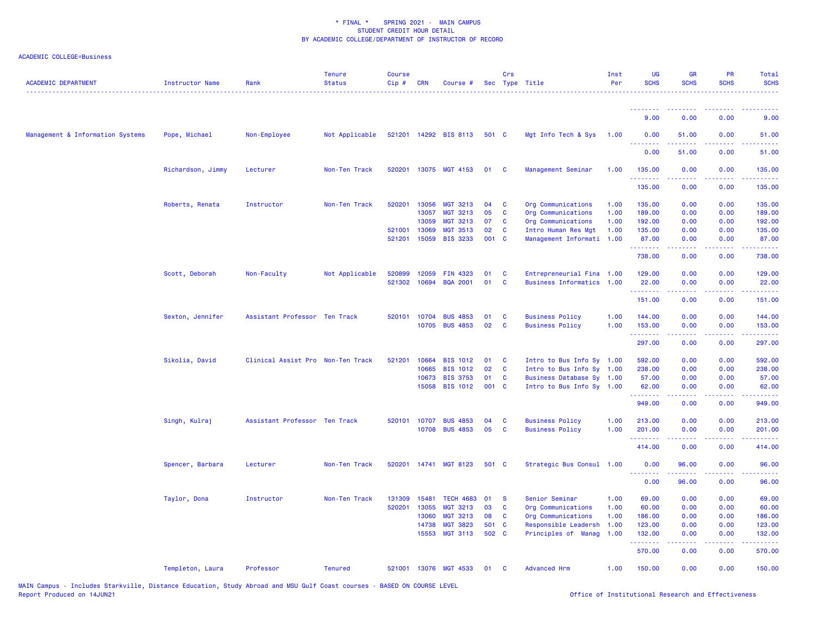| <b>ACADEMIC DEPARTMENT</b>       | <b>Instructor Name</b> | Rank                              | <b>Tenure</b><br><b>Status</b> | <b>Course</b><br>Cip# | CRN   | Course #              |       | Crs      | Sec Type Title            | Inst<br>Per | <b>UG</b><br><b>SCHS</b>                                                                                                                                                        | <b>GR</b><br><b>SCHS</b> | <b>PR</b><br><b>SCHS</b>            | Total<br><b>SCHS</b>                                                                                                                                           |
|----------------------------------|------------------------|-----------------------------------|--------------------------------|-----------------------|-------|-----------------------|-------|----------|---------------------------|-------------|---------------------------------------------------------------------------------------------------------------------------------------------------------------------------------|--------------------------|-------------------------------------|----------------------------------------------------------------------------------------------------------------------------------------------------------------|
|                                  |                        |                                   |                                |                       |       |                       |       |          |                           |             | <u> - - - - - - - -</u>                                                                                                                                                         | <u> - - - - - - - -</u>  | .                                   | .                                                                                                                                                              |
|                                  |                        |                                   |                                |                       |       |                       |       |          |                           |             | 9.00                                                                                                                                                                            | 0.00                     | 0.00                                | 9.00                                                                                                                                                           |
| Management & Information Systems | Pope, Michael          | Non-Employee                      | Not Applicable                 |                       |       | 521201 14292 BIS 8113 | 501 C |          | Mgt Info Tech & Sys       | 1.00        | 0.00<br>.                                                                                                                                                                       | 51.00                    | 0.00                                | 51.00                                                                                                                                                          |
|                                  |                        |                                   |                                |                       |       |                       |       |          |                           |             | 0.00                                                                                                                                                                            | 51.00                    | 0.00                                | 51.00                                                                                                                                                          |
|                                  | Richardson, Jimmy      | Lecturer                          | Non-Ten Track                  | 520201                |       | 13075 MGT 4153        | 01    | <b>C</b> | Management Seminar        | 1.00        | 135.00<br>. <b>.</b>                                                                                                                                                            | 0.00                     | 0.00                                | 135.00                                                                                                                                                         |
|                                  |                        |                                   |                                |                       |       |                       |       |          |                           |             | 135.00                                                                                                                                                                          | 0.00                     | 0.00                                | 135.00                                                                                                                                                         |
|                                  | Roberts, Renata        | Instructor                        | Non-Ten Track                  | 520201                | 13056 | <b>MGT 3213</b>       | 04    | <b>C</b> | Org Communications        | 1.00        | 135.00                                                                                                                                                                          | 0.00                     | 0.00                                | 135.00                                                                                                                                                         |
|                                  |                        |                                   |                                |                       | 13057 | <b>MGT 3213</b>       | 05    | C        | Org Communications        | 1.00        | 189.00                                                                                                                                                                          | 0.00                     | 0.00                                | 189.00                                                                                                                                                         |
|                                  |                        |                                   |                                |                       | 13059 | <b>MGT 3213</b>       | 07    | C        | Org Communications        | 1.00        | 192.00                                                                                                                                                                          | 0.00                     | 0.00                                | 192.00                                                                                                                                                         |
|                                  |                        |                                   |                                | 521001                | 13069 | <b>MGT 3513</b>       | 02    | C        | Intro Human Res Mgt       | 1.00        | 135.00                                                                                                                                                                          | 0.00                     | 0.00                                | 135.00                                                                                                                                                         |
|                                  |                        |                                   |                                | 521201                | 15059 | <b>BIS 3233</b>       | 001 C |          | Management Informati      | 1.00        | 87.00<br>.                                                                                                                                                                      | 0.00<br>.                | 0.00                                | 87.00<br>$\frac{1}{2} \left( \frac{1}{2} \right) \left( \frac{1}{2} \right) \left( \frac{1}{2} \right) \left( \frac{1}{2} \right) \left( \frac{1}{2} \right)$  |
|                                  |                        |                                   |                                |                       |       |                       |       |          |                           |             | 738.00                                                                                                                                                                          | 0.00                     | 0.00                                | 738.00                                                                                                                                                         |
|                                  | Scott, Deborah         | Non-Faculty                       | Not Applicable                 | 520899                | 12059 | FIN 4323              | 01    | C        | Entrepreneurial Fina 1.00 |             | 129.00                                                                                                                                                                          | 0.00                     | 0.00                                | 129.00                                                                                                                                                         |
|                                  |                        |                                   |                                | 521302                | 10694 | <b>BQA 2001</b>       | 01    | C        | Business Informatics 1.00 |             | 22.00                                                                                                                                                                           | 0.00                     | 0.00                                | 22.00                                                                                                                                                          |
|                                  |                        |                                   |                                |                       |       |                       |       |          |                           |             | <u> 222222</u>                                                                                                                                                                  | .                        | .                                   | . <b>.</b>                                                                                                                                                     |
|                                  |                        |                                   |                                |                       |       |                       |       |          |                           |             | 151.00                                                                                                                                                                          | 0.00                     | 0.00                                | 151.00                                                                                                                                                         |
|                                  | Sexton, Jennifer       | Assistant Professor Ten Track     |                                | 520101                | 10704 | <b>BUS 4853</b>       | 01    | C        | <b>Business Policy</b>    | 1.00        | 144.00                                                                                                                                                                          | 0.00                     | 0.00                                | 144.00                                                                                                                                                         |
|                                  |                        |                                   |                                |                       | 10705 | <b>BUS 4853</b>       | 02    | C        | <b>Business Policy</b>    | 1.00        | 153.00                                                                                                                                                                          | 0.00                     | 0.00                                | 153.00                                                                                                                                                         |
|                                  |                        |                                   |                                |                       |       |                       |       |          |                           |             | .                                                                                                                                                                               |                          |                                     |                                                                                                                                                                |
|                                  |                        |                                   |                                |                       |       |                       |       |          |                           |             | 297.00                                                                                                                                                                          | 0.00                     | 0.00                                | 297.00                                                                                                                                                         |
|                                  | Sikolia, David         | Clinical Assist Pro Non-Ten Track |                                | 521201                | 10664 | <b>BIS 1012</b>       | 01    | <b>C</b> | Intro to Bus Info Sy 1.00 |             | 592.00                                                                                                                                                                          | 0.00                     | 0.00                                | 592.00                                                                                                                                                         |
|                                  |                        |                                   |                                |                       | 10665 | <b>BIS 1012</b>       | 02    | C        | Intro to Bus Info Sy 1.00 |             | 238.00                                                                                                                                                                          | 0.00                     | 0.00                                | 238.00                                                                                                                                                         |
|                                  |                        |                                   |                                |                       | 10673 | <b>BIS 3753</b>       | 01    | C        | Business Database Sy 1.00 |             | 57.00                                                                                                                                                                           | 0.00                     | 0.00                                | 57.00                                                                                                                                                          |
|                                  |                        |                                   |                                |                       | 15058 | <b>BIS 1012</b>       | 001 C |          | Intro to Bus Info Sy 1.00 |             | 62.00                                                                                                                                                                           | 0.00                     | 0.00                                | 62.00                                                                                                                                                          |
|                                  |                        |                                   |                                |                       |       |                       |       |          |                           |             | $\frac{1}{2} \left( \frac{1}{2} \right) \left( \frac{1}{2} \right) \left( \frac{1}{2} \right) \left( \frac{1}{2} \right) \left( \frac{1}{2} \right) \left( \frac{1}{2} \right)$ |                          |                                     |                                                                                                                                                                |
|                                  |                        |                                   |                                |                       |       |                       |       |          |                           |             | 949.00                                                                                                                                                                          | 0.00                     | 0.00                                | 949.00                                                                                                                                                         |
|                                  | Singh, Kulraj          | Assistant Professor Ten Track     |                                | 520101                | 10707 | <b>BUS 4853</b>       | 04    | C        | <b>Business Policy</b>    | 1.00        | 213.00                                                                                                                                                                          | 0.00                     | 0.00                                | 213.00                                                                                                                                                         |
|                                  |                        |                                   |                                |                       | 10708 | <b>BUS 4853</b>       | 05    | C        | <b>Business Policy</b>    | 1.00        | 201.00<br>.                                                                                                                                                                     | 0.00<br>.                | 0.00<br>$\sim$ $\sim$ $\sim$ $\sim$ | 201.00<br>$\frac{1}{2} \left( \frac{1}{2} \right) \left( \frac{1}{2} \right) \left( \frac{1}{2} \right) \left( \frac{1}{2} \right) \left( \frac{1}{2} \right)$ |
|                                  |                        |                                   |                                |                       |       |                       |       |          |                           |             | 414.00                                                                                                                                                                          | 0.00                     | 0.00                                | 414.00                                                                                                                                                         |
|                                  | Spencer, Barbara       | Lecturer                          | Non-Ten Track                  | 520201                |       | 14741 MGT 8123        | 501 C |          | Strategic Bus Consul 1.00 |             | 0.00                                                                                                                                                                            | 96.00                    | 0.00                                | 96.00                                                                                                                                                          |
|                                  |                        |                                   |                                |                       |       |                       |       |          |                           |             | <u>.</u><br>0.00                                                                                                                                                                | 96.00                    | 0.00                                | 96.00                                                                                                                                                          |
|                                  | Taylor, Dona           | Instructor                        | Non-Ten Track                  | 131309                | 15481 | <b>TECH 4683</b>      | 01    | <b>S</b> | Senior Seminar            | 1.00        | 69.00                                                                                                                                                                           | 0.00                     | 0.00                                | 69.00                                                                                                                                                          |
|                                  |                        |                                   |                                | 520201                | 13055 | <b>MGT 3213</b>       | 03    | C        | Org Communications        | 1.00        | 60.00                                                                                                                                                                           | 0.00                     | 0.00                                | 60.00                                                                                                                                                          |
|                                  |                        |                                   |                                |                       | 13060 | <b>MGT 3213</b>       | 08    | C        | Org Communications        | 1.00        | 186.00                                                                                                                                                                          | 0.00                     | 0.00                                | 186.00                                                                                                                                                         |
|                                  |                        |                                   |                                |                       |       |                       |       |          |                           |             |                                                                                                                                                                                 |                          |                                     |                                                                                                                                                                |
|                                  |                        |                                   |                                |                       | 14738 | <b>MGT 3823</b>       | 501   | <b>C</b> | Responsible Leadersh      | 1.00        | 123.00                                                                                                                                                                          | 0.00                     | 0.00                                | 123.00                                                                                                                                                         |
|                                  |                        |                                   |                                |                       | 15553 | <b>MGT 3113</b>       | 502 C |          | Principles of Manag       | 1.00        | 132.00<br>.                                                                                                                                                                     | 0.00<br>.                | 0.00<br>.                           | 132.00<br>$\frac{1}{2} \left( \frac{1}{2} \right) \left( \frac{1}{2} \right) \left( \frac{1}{2} \right) \left( \frac{1}{2} \right) \left( \frac{1}{2} \right)$ |
|                                  |                        |                                   |                                |                       |       |                       |       |          |                           |             | 570.00                                                                                                                                                                          | 0.00                     | 0.00                                | 570.00                                                                                                                                                         |
|                                  | Templeton, Laura       | Professor                         | <b>Tenured</b>                 |                       |       | 521001 13076 MGT 4533 | 01    | C        | <b>Advanced Hrm</b>       | 1.00        | 150.00                                                                                                                                                                          | 0.00                     | 0.00                                | 150.00                                                                                                                                                         |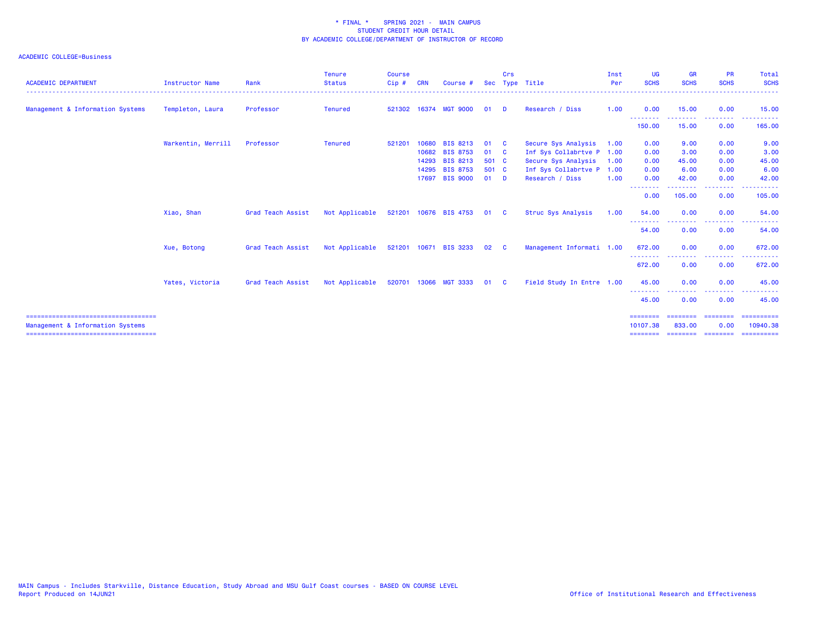| <b>ACADEMIC DEPARTMENT</b>                                               | <b>Instructor Name</b> | Rank              | <b>Tenure</b><br><b>Status</b> | <b>Course</b><br>Cip# | <b>CRN</b> | Course #              |        | Crs      | Sec Type Title            | Inst<br>Per | UG<br><b>SCHS</b>             | <b>GR</b><br><b>SCHS</b> | <b>PR</b><br><b>SCHS</b>                       | Total<br><b>SCHS</b>          |
|--------------------------------------------------------------------------|------------------------|-------------------|--------------------------------|-----------------------|------------|-----------------------|--------|----------|---------------------------|-------------|-------------------------------|--------------------------|------------------------------------------------|-------------------------------|
| Management & Information Systems                                         | Templeton, Laura       | Professor         | <b>Tenured</b>                 | 521302                |            | 16374 MGT 9000        | 01     | - D      | Research / Diss           | 1.00        | 0.00<br>.                     | 15.00<br>- - - - - -     | 0.00<br><b><i><u><u><b>A</b></u></u> A</i></b> | 15.00<br>- - - - - - <b>-</b> |
|                                                                          |                        |                   |                                |                       |            |                       |        |          |                           |             | 150,00                        | 15.00                    | 0.00                                           | 165.00                        |
|                                                                          | Warkentin, Merrill     | Professor         | <b>Tenured</b>                 | 521201                | 10680      | <b>BIS 8213</b>       | 01     | <b>C</b> | Secure Sys Analysis       | 1.00        | 0.00                          | 9.00                     | 0.00                                           | 9.00                          |
|                                                                          |                        |                   |                                |                       | 10682      | <b>BIS 8753</b>       | 01 C   |          | Inf Sys Collabrtve P 1.00 |             | 0.00                          | 3.00                     | 0.00                                           | 3.00                          |
|                                                                          |                        |                   |                                |                       | 14293      | <b>BIS 8213</b>       | 501 C  |          | Secure Sys Analysis       | 1.00        | 0.00                          | 45.00                    | 0.00                                           | 45.00                         |
|                                                                          |                        |                   |                                |                       |            | 14295 BIS 8753        | 501 C  |          | Inf Sys Collabrtve P 1.00 |             | 0.00                          | 6.00                     | 0.00                                           | 6.00                          |
|                                                                          |                        |                   |                                |                       | 17697      | <b>BIS 9000</b>       | $01$ D |          | Research / Diss           | 1.00        | 0.00<br>--------              | 42.00<br><u>.</u>        | 0.00<br>-----                                  | 42.00<br>----------           |
|                                                                          |                        |                   |                                |                       |            |                       |        |          |                           |             | 0.00                          | 105.00                   | 0.00                                           | 105.00                        |
|                                                                          | Xiao, Shan             | Grad Teach Assist | Not Applicable                 |                       |            | 521201 10676 BIS 4753 | 01     | - C      | Struc Sys Analysis        | 1.00        | 54.00                         | 0.00                     | 0.00                                           | 54.00                         |
|                                                                          |                        |                   |                                |                       |            |                       |        |          |                           |             | --------<br>54.00             | 0.00                     | 0.00                                           | 54.00                         |
|                                                                          | Xue, Botong            | Grad Teach Assist | Not Applicable                 |                       |            | 521201 10671 BIS 3233 | 02     | - C      | Management Informati 1.00 |             | 672.00<br><u>.</u>            | 0.00                     | 0.00<br>---------                              | 672.00<br>. <u>.</u>          |
|                                                                          |                        |                   |                                |                       |            |                       |        |          |                           |             | 672.00                        | 0.00                     | 0.00                                           | 672.00                        |
|                                                                          | Yates, Victoria        | Grad Teach Assist | Not Applicable                 |                       |            | 520701 13066 MGT 3333 | 01 C   |          | Field Study In Entre 1.00 |             | 45.00                         | 0.00                     | 0.00                                           | 45.00                         |
|                                                                          |                        |                   |                                |                       |            |                       |        |          |                           |             | - - - - - - - -<br>45.00      | 0.00                     | 0.00                                           | 45.00                         |
| ====================================<br>Management & Information Systems |                        |                   |                                |                       |            |                       |        |          |                           |             | $=$ = = = = = = =<br>10107.38 | --------<br>833,00       | ---------<br>0.00                              | ==========<br>10940.38        |
| =====================================                                    |                        |                   |                                |                       |            |                       |        |          |                           |             | ========                      | ==================       |                                                | ==========                    |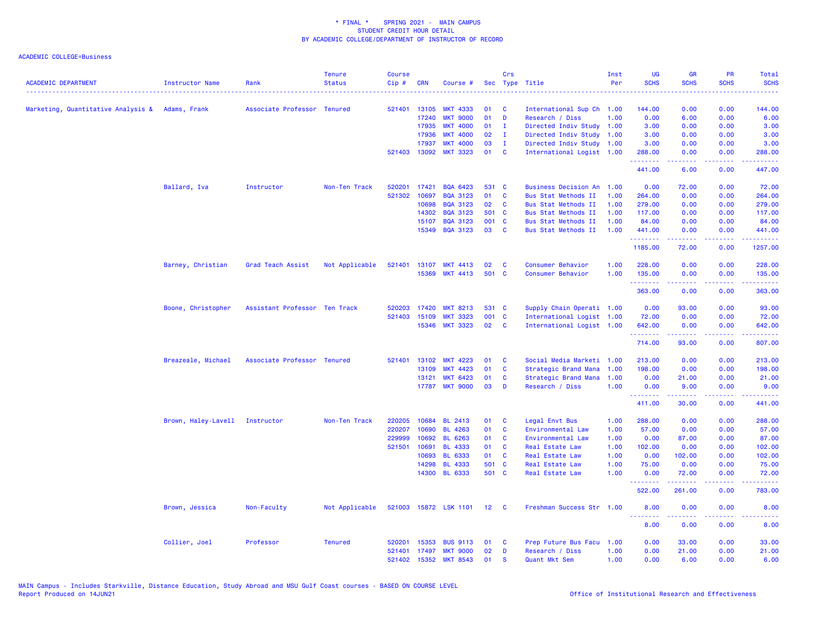| <b>ACADEMIC DEPARTMENT</b>                      | Instructor Name                | Rank                          | <b>Tenure</b><br><b>Status</b> | <b>Course</b><br>Cip# | <b>CRN</b>            | Course #                           |                 | Crs            | Sec Type Title                                         | Inst<br>Per | <b>UG</b><br><b>SCHS</b>                           | <b>GR</b><br><b>SCHS</b> | PR<br><b>SCHS</b> | Total<br><b>SCHS</b>                                                                                                                                           |
|-------------------------------------------------|--------------------------------|-------------------------------|--------------------------------|-----------------------|-----------------------|------------------------------------|-----------------|----------------|--------------------------------------------------------|-------------|----------------------------------------------------|--------------------------|-------------------|----------------------------------------------------------------------------------------------------------------------------------------------------------------|
|                                                 |                                |                               |                                |                       |                       |                                    |                 |                |                                                        |             |                                                    |                          |                   |                                                                                                                                                                |
| Marketing, Quantitative Analysis & Adams, Frank |                                | Associate Professor Tenured   |                                | 521401                | 13105                 | <b>MKT 4333</b>                    | 01              | C              | International Sup Ch 1.00                              |             | 144.00                                             | 0.00                     | 0.00              | 144.00                                                                                                                                                         |
|                                                 |                                |                               |                                |                       | 17240                 | <b>MKT 9000</b>                    | 01<br>01        | D              | Research / Diss                                        | 1.00        | 0.00                                               | 6.00                     | 0.00<br>0.00      | 6.00                                                                                                                                                           |
|                                                 |                                |                               |                                |                       | 17935                 | <b>MKT 4000</b><br><b>MKT 4000</b> | 02              | $\mathbf{I}$   | Directed Indiv Study 1.00                              |             | 3.00                                               | 0.00                     |                   | 3.00                                                                                                                                                           |
|                                                 |                                |                               |                                |                       | 17936                 |                                    |                 | - I            | Directed Indiv Study 1.00                              |             | 3.00                                               | 0.00                     | 0.00              | 3.00                                                                                                                                                           |
|                                                 |                                |                               |                                |                       | 17937<br>521403 13092 | <b>MKT 4000</b><br><b>MKT 3323</b> | 03<br>01        | л.<br><b>C</b> | Directed Indiv Study 1.00<br>International Logist 1.00 |             | 3.00<br>288.00                                     | 0.00<br>0.00             | 0.00<br>0.00      | 3.00<br>288.00                                                                                                                                                 |
|                                                 |                                |                               |                                |                       |                       |                                    |                 |                |                                                        |             | .<br>441.00                                        | 22222<br>6.00            | .<br>0.00         | 2.2.2.2.2.2<br>447.00                                                                                                                                          |
|                                                 | Ballard, Iva                   | Instructor                    | Non-Ten Track                  | 520201                | 17421                 | <b>BQA 6423</b>                    | 531 C           |                | <b>Business Decision An</b>                            | 1.00        | 0.00                                               | 72.00                    | 0.00              | 72.00                                                                                                                                                          |
|                                                 |                                |                               |                                | 521302                | 10697                 | <b>BQA 3123</b>                    | 01              | C              | Bus Stat Methods II                                    | 1.00        | 264.00                                             | 0.00                     | 0.00              | 264.00                                                                                                                                                         |
|                                                 |                                |                               |                                |                       | 10698                 | <b>BQA 3123</b>                    | 02              | C              | <b>Bus Stat Methods II</b>                             | 1.00        | 279.00                                             | 0.00                     | 0.00              | 279.00                                                                                                                                                         |
|                                                 |                                |                               |                                |                       | 14302                 | <b>BQA 3123</b>                    | 501 C           |                | Bus Stat Methods II                                    | 1.00        | 117.00                                             | 0.00                     | 0.00              | 117.00                                                                                                                                                         |
|                                                 |                                |                               |                                |                       | 15107                 | <b>BQA 3123</b>                    | 001 C           |                | Bus Stat Methods II                                    | 1.00        | 84.00                                              | 0.00                     | 0.00              | 84.00                                                                                                                                                          |
|                                                 |                                |                               |                                |                       |                       | 15349 BQA 3123                     | 03              | C              | Bus Stat Methods II                                    | 1.00        | 441.00<br>.                                        | 0.00<br>.                | 0.00<br>.         | 441.00<br>.                                                                                                                                                    |
|                                                 |                                |                               |                                |                       |                       |                                    |                 |                |                                                        |             | 1185.00                                            | 72.00                    | 0.00              | 1257.00                                                                                                                                                        |
|                                                 | Barney, Christian              | Grad Teach Assist             | Not Applicable                 | 521401                | 13107                 | <b>MKT 4413</b>                    | 02              | C              | Consumer Behavior                                      | 1.00        | 228.00                                             | 0.00                     | 0.00              | 228.00                                                                                                                                                         |
|                                                 |                                |                               |                                |                       | 15369                 | <b>MKT 4413</b>                    | 501             | $\mathbf{C}$   | Consumer Behavior                                      | 1.00        | 135.00                                             | 0.00                     | 0.00              | 135.00                                                                                                                                                         |
|                                                 |                                |                               |                                |                       |                       |                                    |                 |                |                                                        |             | <b><i><u><u> - - - - - -</u></u></i></b><br>363.00 | 0.00                     | .<br>0.00         | ------<br>363.00                                                                                                                                               |
|                                                 | Boone, Christopher             | Assistant Professor Ten Track |                                | 520203                | 17420                 | <b>MKT 8213</b>                    | 531             | <b>C</b>       | Supply Chain Operati 1.00                              |             | 0.00                                               | 93.00                    | 0.00              | 93.00                                                                                                                                                          |
|                                                 |                                |                               |                                | 521403                | 15109                 | <b>MKT 3323</b>                    | 001 C           |                | International Logist 1.00                              |             | 72.00                                              | 0.00                     | 0.00              | 72.00                                                                                                                                                          |
|                                                 |                                |                               |                                |                       |                       | 15346 MKT 3323                     | 02 <sub>o</sub> | <b>C</b>       | International Logist 1.00                              |             | 642.00<br>.                                        | 0.00<br>.                | 0.00<br>.         | 642.00<br>$\begin{array}{cccccccccc} \bullet & \bullet & \bullet & \bullet & \bullet & \bullet & \bullet & \bullet \end{array}$                                |
|                                                 |                                |                               |                                |                       |                       |                                    |                 |                |                                                        |             | 714.00                                             | 93.00                    | 0.00              | 807.00                                                                                                                                                         |
|                                                 | Breazeale, Michael             | Associate Professor Tenured   |                                | 521401                | 13102                 | <b>MKT 4223</b>                    | 01              | C              | Social Media Marketi                                   | 1.00        | 213.00                                             | 0.00                     | 0.00              | 213.00                                                                                                                                                         |
|                                                 |                                |                               |                                |                       | 13109                 | <b>MKT 4423</b>                    | 01              | C              | Strategic Brand Mana                                   | 1.00        | 198.00                                             | 0.00                     | 0.00              | 198.00                                                                                                                                                         |
|                                                 |                                |                               |                                |                       | 13121                 | <b>MKT 6423</b>                    | 01              | C              | Strategic Brand Mana                                   | 1.00        | 0.00                                               | 21.00                    | 0.00              | 21.00                                                                                                                                                          |
|                                                 |                                |                               |                                |                       | 17787                 | <b>MKT 9000</b>                    | 03              | D              | Research / Diss                                        | 1.00        | 0.00                                               | 9.00                     | 0.00              | 9.00                                                                                                                                                           |
|                                                 |                                |                               |                                |                       |                       |                                    |                 |                |                                                        |             | .<br>411.00                                        | د د د د د<br>30.00       | .<br>0.00         | $\frac{1}{2} \left( \frac{1}{2} \right) \left( \frac{1}{2} \right) \left( \frac{1}{2} \right) \left( \frac{1}{2} \right) \left( \frac{1}{2} \right)$<br>441.00 |
|                                                 | Brown, Haley-Lavell Instructor |                               | Non-Ten Track                  | 220205                | 10684                 | <b>BL 2413</b>                     | 01              | C              | Legal Envt Bus                                         | 1.00        | 288.00                                             | 0.00                     | 0.00              | 288.00                                                                                                                                                         |
|                                                 |                                |                               |                                | 220207                | 10690                 | <b>BL 4263</b>                     | 01              | C              | Environmental Law                                      | 1.00        | 57.00                                              | 0.00                     | 0.00              | 57.00                                                                                                                                                          |
|                                                 |                                |                               |                                | 229999                | 10692                 | <b>BL 6263</b>                     | 01              | <b>C</b>       | Environmental Law                                      | 1.00        | 0.00                                               | 87.00                    | 0.00              | 87.00                                                                                                                                                          |
|                                                 |                                |                               |                                | 521501                | 10691                 | <b>BL 4333</b>                     | 01              | <b>C</b>       | <b>Real Estate Law</b>                                 | 1.00        | 102.00                                             | 0.00                     | 0.00              | 102.00                                                                                                                                                         |
|                                                 |                                |                               |                                |                       | 10693                 | <b>BL 6333</b>                     | 01              | <b>C</b>       | Real Estate Law                                        | 1.00        | 0.00                                               | 102.00                   | 0.00              | 102.00                                                                                                                                                         |
|                                                 |                                |                               |                                |                       | 14298                 | <b>BL 4333</b>                     | 501 C           |                | Real Estate Law                                        | 1.00        | 75.00                                              | 0.00                     | 0.00              | 75.00                                                                                                                                                          |
|                                                 |                                |                               |                                |                       |                       | 14300 BL 6333                      | 501 C           |                | Real Estate Law                                        | 1.00        | 0.00<br>.                                          | 72.00<br>.               | 0.00<br>.         | 72.00<br>$\frac{1}{2} \left( \frac{1}{2} \right) \left( \frac{1}{2} \right) \left( \frac{1}{2} \right) \left( \frac{1}{2} \right) \left( \frac{1}{2} \right)$  |
|                                                 |                                |                               |                                |                       |                       |                                    |                 |                |                                                        |             | 522.00                                             | 261.00                   | 0.00              | 783.00                                                                                                                                                         |
|                                                 | Brown, Jessica                 | Non-Faculty                   | Not Applicable                 |                       |                       | 521003 15872 LSK 1101 12 C         |                 |                | Freshman Success Str 1.00                              |             | 8.00                                               | 0.00<br>-----            | 0.00<br>.         | 8.00                                                                                                                                                           |
|                                                 |                                |                               |                                |                       |                       |                                    |                 |                |                                                        |             | 8.00                                               | 0.00                     | 0.00              | 8.00                                                                                                                                                           |
|                                                 | Collier, Joel                  | Professor                     | <b>Tenured</b>                 | 520201                | 15353                 | <b>BUS 9113</b>                    | 01              | C              | Prep Future Bus Facu                                   | 1.00        | 0.00                                               | 33.00                    | 0.00              | 33.00                                                                                                                                                          |
|                                                 |                                |                               |                                | 521401                | 17497                 | <b>MKT 9000</b>                    | 02              | D              | Research / Diss                                        | 1.00        | 0.00                                               | 21.00                    | 0.00              | 21.00                                                                                                                                                          |
|                                                 |                                |                               |                                | 521402                | 15352                 | <b>MKT 8543</b>                    | 01              | <b>S</b>       | Quant Mkt Sem                                          | 1.00        | 0.00                                               | 6.00                     | 0.00              | 6.00                                                                                                                                                           |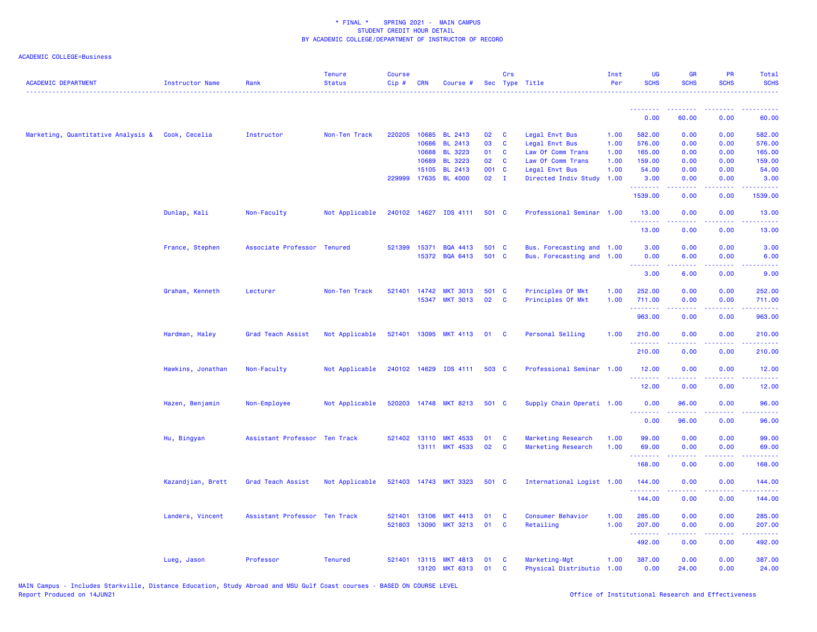| <b>ACADEMIC DEPARTMENT</b>                       | <b>Instructor Name</b> | Rank                          | <b>Tenure</b><br><b>Status</b> | <b>Course</b><br>Cip# | <b>CRN</b>     | Course #                          |                 | Crs          | Sec Type Title                        | Inst<br>Per  | <b>UG</b><br><b>SCHS</b> | <b>GR</b><br><b>SCHS</b>                                                                                                                                      | <b>PR</b><br><b>SCHS</b>                                                                                                          | <b>Total</b><br><b>SCHS</b>                                                                                                        |
|--------------------------------------------------|------------------------|-------------------------------|--------------------------------|-----------------------|----------------|-----------------------------------|-----------------|--------------|---------------------------------------|--------------|--------------------------|---------------------------------------------------------------------------------------------------------------------------------------------------------------|-----------------------------------------------------------------------------------------------------------------------------------|------------------------------------------------------------------------------------------------------------------------------------|
|                                                  |                        |                               |                                |                       |                |                                   |                 |              |                                       |              | .<br>0.00                | .<br>60.00                                                                                                                                                    | .<br>0.00                                                                                                                         | 60.00                                                                                                                              |
|                                                  |                        |                               |                                |                       |                |                                   |                 |              |                                       |              |                          |                                                                                                                                                               |                                                                                                                                   |                                                                                                                                    |
| Marketing, Quantitative Analysis & Cook, Cecelia |                        | Instructor                    | Non-Ten Track                  | 220205                | 10685          | <b>BL 2413</b>                    | 02              | C            | Legal Envt Bus                        | 1.00         | 582.00                   | 0.00                                                                                                                                                          | 0.00                                                                                                                              | 582.00                                                                                                                             |
|                                                  |                        |                               |                                |                       | 10686<br>10688 | <b>BL 2413</b><br><b>BL 3223</b>  | 03<br>01        | C<br>C       | Legal Envt Bus<br>Law Of Comm Trans   | 1.00<br>1.00 | 576.00<br>165.00         | 0.00<br>0.00                                                                                                                                                  | 0.00<br>0.00                                                                                                                      | 576.00<br>165.00                                                                                                                   |
|                                                  |                        |                               |                                |                       | 10689          | <b>BL 3223</b>                    | 02              | C            | Law Of Comm Trans                     | 1.00         | 159.00                   | 0.00                                                                                                                                                          | 0.00                                                                                                                              | 159.00                                                                                                                             |
|                                                  |                        |                               |                                |                       | 15105          | <b>BL 2413</b>                    | 001 C           |              | Legal Envt Bus                        | 1.00         | 54.00                    | 0.00                                                                                                                                                          | 0.00                                                                                                                              | 54.00                                                                                                                              |
|                                                  |                        |                               |                                | 229999                | 17635          | <b>BL 4000</b>                    | 02 <sub>o</sub> | $\mathbf{I}$ | Directed Indiv Study                  | 1.00         | 3.00                     | 0.00                                                                                                                                                          | 0.00                                                                                                                              | 3.00                                                                                                                               |
|                                                  |                        |                               |                                |                       |                |                                   |                 |              |                                       |              | 1539.00                  | 0.00                                                                                                                                                          | 0.00                                                                                                                              | 1539.00                                                                                                                            |
|                                                  | Dunlap, Kali           | Non-Faculty                   | Not Applicable                 |                       |                | 240102 14627 IDS 4111             | 501 C           |              | Professional Seminar 1.00             |              | 13.00<br>.               | 0.00<br>.                                                                                                                                                     | 0.00<br>$  -$                                                                                                                     | 13.00                                                                                                                              |
|                                                  |                        |                               |                                |                       |                |                                   |                 |              |                                       |              | 13.00                    | 0.00                                                                                                                                                          | 0.00                                                                                                                              | 13.00                                                                                                                              |
|                                                  | France, Stephen        | Associate Professor           | <b>Tenured</b>                 | 521399                | 15371          | <b>BQA 4413</b>                   | 501 C           |              | Bus. Forecasting and 1.00             |              | 3.00                     | 0.00                                                                                                                                                          | 0.00                                                                                                                              | 3.00                                                                                                                               |
|                                                  |                        |                               |                                |                       | 15372          | <b>BQA 6413</b>                   | 501 C           |              | Bus. Forecasting and 1.00             |              | 0.00                     | 6.00                                                                                                                                                          | 0.00                                                                                                                              | 6.00                                                                                                                               |
|                                                  |                        |                               |                                |                       |                |                                   |                 |              |                                       |              | .<br>3.00                | 6.00                                                                                                                                                          | 0.00                                                                                                                              | 9.00                                                                                                                               |
|                                                  | Graham, Kenneth        | Lecturer                      | Non-Ten Track                  |                       | 521401 14742   | <b>MKT 3013</b>                   | 501 C           |              | Principles Of Mkt                     | 1.00         | 252.00                   | 0.00                                                                                                                                                          | 0.00                                                                                                                              | 252.00                                                                                                                             |
|                                                  |                        |                               |                                |                       |                | 15347 MKT 3013                    | 02              | C            | Principles Of Mkt                     | 1.00         | 711.00                   | 0.00                                                                                                                                                          | 0.00                                                                                                                              | 711.00                                                                                                                             |
|                                                  |                        |                               |                                |                       |                |                                   |                 |              |                                       |              | .                        |                                                                                                                                                               |                                                                                                                                   |                                                                                                                                    |
|                                                  |                        |                               |                                |                       |                |                                   |                 |              |                                       |              | 963.00                   | 0.00                                                                                                                                                          | 0.00                                                                                                                              | 963.00                                                                                                                             |
|                                                  | Hardman, Haley         | Grad Teach Assist             | Not Applicable                 |                       |                | 521401 13095 MKT 4113 01          |                 | $\mathbf{C}$ | Personal Selling                      | 1.00         | 210.00<br>.              | 0.00<br>-----                                                                                                                                                 | 0.00<br>.                                                                                                                         | 210.00<br>2.2.2.2.2                                                                                                                |
|                                                  |                        |                               |                                |                       |                |                                   |                 |              |                                       |              | 210.00                   | 0.00                                                                                                                                                          | 0.00                                                                                                                              | 210.00                                                                                                                             |
|                                                  | Hawkins, Jonathan      | Non-Faculty                   | Not Applicable                 |                       |                | 240102 14629 IDS 4111             | 503 C           |              | Professional Seminar 1.00             |              | 12.00<br>.               | 0.00                                                                                                                                                          | 0.00<br>$\sim$ $\sim$ $\sim$                                                                                                      | 12.00<br>$\frac{1}{2} \left( \frac{1}{2} \right) \left( \frac{1}{2} \right) \left( \frac{1}{2} \right) \left( \frac{1}{2} \right)$ |
|                                                  |                        |                               |                                |                       |                |                                   |                 |              |                                       |              | 12.00                    | 0.00                                                                                                                                                          | 0.00                                                                                                                              | 12.00                                                                                                                              |
|                                                  | Hazen, Benjamin        | Non-Employee                  | Not Applicable                 | 520203                | 14748          | <b>MKT 8213</b>                   | 501 C           |              | Supply Chain Operati 1.00             |              | 0.00<br>.                | 96.00<br>$\frac{1}{2} \left( \frac{1}{2} \right) \left( \frac{1}{2} \right) \left( \frac{1}{2} \right) \left( \frac{1}{2} \right) \left( \frac{1}{2} \right)$ | 0.00<br>د د د د                                                                                                                   | 96.00<br>.                                                                                                                         |
|                                                  |                        |                               |                                |                       |                |                                   |                 |              |                                       |              | 0.00                     | 96.00                                                                                                                                                         | 0.00                                                                                                                              | 96.00                                                                                                                              |
|                                                  | Hu, Bingyan            | Assistant Professor Ten Track |                                |                       |                | 521402 13110 MKT 4533             | 01              | C            | Marketing Research                    | 1.00         | 99.00                    | 0.00                                                                                                                                                          | 0.00                                                                                                                              | 99.00                                                                                                                              |
|                                                  |                        |                               |                                |                       |                | 13111 MKT 4533                    | 02              | C            | Marketing Research                    | 1.00         | 69.00                    | 0.00                                                                                                                                                          | 0.00                                                                                                                              | 69.00                                                                                                                              |
|                                                  |                        |                               |                                |                       |                |                                   |                 |              |                                       |              | .                        |                                                                                                                                                               |                                                                                                                                   | وعاعاها                                                                                                                            |
|                                                  |                        |                               |                                |                       |                |                                   |                 |              |                                       |              | 168.00                   | 0.00                                                                                                                                                          | 0.00                                                                                                                              | 168.00                                                                                                                             |
|                                                  | Kazandjian, Brett      | Grad Teach Assist             | Not Applicable                 |                       |                | 521403 14743 MKT 3323             | 501 C           |              | International Logist 1.00             |              | 144.00                   | 0.00                                                                                                                                                          | 0.00                                                                                                                              | 144.00                                                                                                                             |
|                                                  |                        |                               |                                |                       |                |                                   |                 |              |                                       |              | .<br>144.00              | 0.00                                                                                                                                                          | 0.00                                                                                                                              | .<br>144.00                                                                                                                        |
|                                                  | Landers, Vincent       | Assistant Professor Ten Track |                                | 521401                | 13106          | <b>MKT 4413</b>                   | 01              | C            | Consumer Behavior                     | 1.00         | 285.00                   | 0.00                                                                                                                                                          | 0.00                                                                                                                              | 285.00                                                                                                                             |
|                                                  |                        |                               |                                | 521803                | 13090          | <b>MKT 3213</b>                   | 01              | C            | Retailing                             | 1.00         | 207.00                   | 0.00                                                                                                                                                          | 0.00                                                                                                                              | 207.00                                                                                                                             |
|                                                  |                        |                               |                                |                       |                |                                   |                 |              |                                       |              | .<br>492.00              | .<br>0.00                                                                                                                                                     | $\frac{1}{2} \left( \frac{1}{2} \right) \left( \frac{1}{2} \right) \left( \frac{1}{2} \right) \left( \frac{1}{2} \right)$<br>0.00 | <b></b><br>492.00                                                                                                                  |
|                                                  |                        |                               |                                |                       |                |                                   |                 |              |                                       |              |                          |                                                                                                                                                               |                                                                                                                                   |                                                                                                                                    |
|                                                  | Lueg, Jason            | Professor                     | <b>Tenured</b>                 | 521401                | 13120          | 13115 MKT 4813<br><b>MKT 6313</b> | 01<br>01        | C<br>C       | Marketing-Mgt<br>Physical Distributio | 1.00<br>1.00 | 387.00<br>0.00           | 0.00<br>24.00                                                                                                                                                 | 0.00<br>0.00                                                                                                                      | 387.00<br>24.00                                                                                                                    |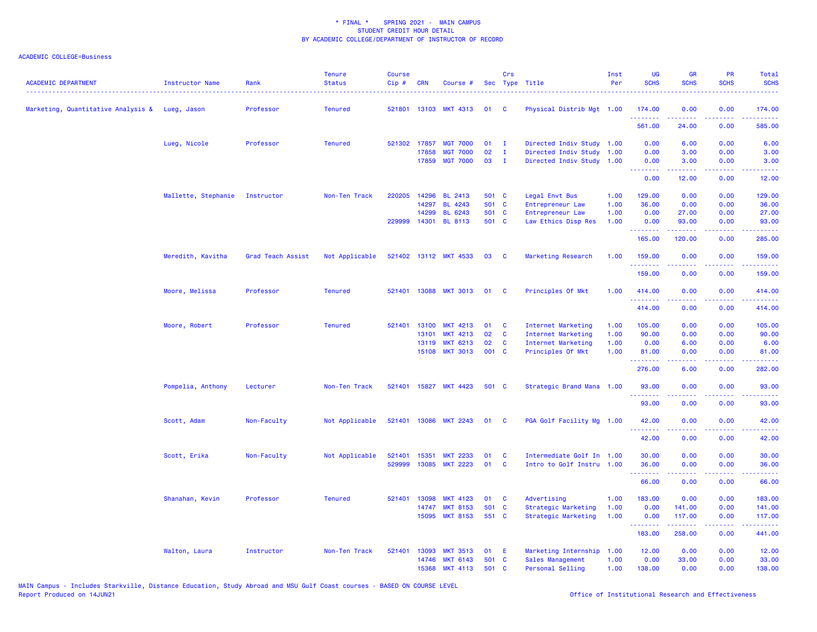| <b>ACADEMIC DEPARTMENT</b>                     | <b>Instructor Name</b> | Rank              | <b>Tenure</b><br><b>Status</b> | <b>Course</b><br>Cip# | <b>CRN</b>   | Course #              |       | Crs          | Sec Type Title            | Inst<br>Per | <b>UG</b><br><b>SCHS</b> | <b>GR</b><br><b>SCHS</b>                                                                                                                                      | PR<br><b>SCHS</b>                                                                                      | Total<br><b>SCHS</b>   |
|------------------------------------------------|------------------------|-------------------|--------------------------------|-----------------------|--------------|-----------------------|-------|--------------|---------------------------|-------------|--------------------------|---------------------------------------------------------------------------------------------------------------------------------------------------------------|--------------------------------------------------------------------------------------------------------|------------------------|
| Marketing, Quantitative Analysis & Lueg, Jason |                        | Professor         | <b>Tenured</b>                 | 521801                |              | 13103 MKT 4313        | 01    | <b>C</b>     | Physical Distrib Mgt 1.00 |             | 174.00<br>.              | 0.00                                                                                                                                                          | 0.00<br>$\sim$ $\sim$ $\sim$ $\sim$                                                                    | 174.00<br>22222        |
|                                                |                        |                   |                                |                       |              |                       |       |              |                           |             | 561.00                   | 24.00                                                                                                                                                         | 0.00                                                                                                   | 585.00                 |
|                                                | Lueg, Nicole           | Professor         | <b>Tenured</b>                 | 521302 17857          |              | <b>MGT 7000</b>       | 01    | $\mathbf{I}$ | Directed Indiv Study 1.00 |             | 0.00                     | 6.00                                                                                                                                                          | 0.00                                                                                                   | 6.00                   |
|                                                |                        |                   |                                |                       | 17858        | <b>MGT 7000</b>       | 02    | $\mathbf{I}$ | Directed Indiv Study      | 1.00        | 0.00                     | 3.00                                                                                                                                                          | 0.00                                                                                                   | 3.00                   |
|                                                |                        |                   |                                |                       | 17859        | <b>MGT 7000</b>       | 03    | $\mathbf{I}$ | Directed Indiv Study 1.00 |             | 0.00<br>.                | 3.00<br>$\frac{1}{2} \left( \frac{1}{2} \right) \left( \frac{1}{2} \right) \left( \frac{1}{2} \right) \left( \frac{1}{2} \right)$                             | 0.00<br>د د د د .                                                                                      | 3.00<br>المتمامين      |
|                                                |                        |                   |                                |                       |              |                       |       |              |                           |             | 0.00                     | 12.00                                                                                                                                                         | 0.00                                                                                                   | 12.00                  |
|                                                | Mallette, Stephanie    | Instructor        | Non-Ten Track                  | 220205                | 14296        | <b>BL 2413</b>        | 501 C |              | Legal Envt Bus            | 1.00        | 129.00                   | 0.00                                                                                                                                                          | 0.00                                                                                                   | 129.00                 |
|                                                |                        |                   |                                |                       | 14297        | <b>BL 4243</b>        | 501 C |              | Entrepreneur Law          | 1.00        | 36.00                    | 0.00                                                                                                                                                          | 0.00                                                                                                   | 36.00                  |
|                                                |                        |                   |                                |                       | 14299        | BL 6243               | 501 C |              | Entrepreneur Law          | 1.00        | 0.00                     | 27.00                                                                                                                                                         | 0.00                                                                                                   | 27.00                  |
|                                                |                        |                   |                                |                       | 229999 14301 | <b>BL 8113</b>        | 501 C |              | Law Ethics Disp Res       | 1.00        | 0.00<br>.                | 93.00<br>$\frac{1}{2} \left( \frac{1}{2} \right) \left( \frac{1}{2} \right) \left( \frac{1}{2} \right) \left( \frac{1}{2} \right) \left( \frac{1}{2} \right)$ | 0.00<br>$\frac{1}{2} \left( \frac{1}{2} \right) \left( \frac{1}{2} \right) \left( \frac{1}{2} \right)$ | 93.00<br>.             |
|                                                |                        |                   |                                |                       |              |                       |       |              |                           |             | 165.00                   | 120.00                                                                                                                                                        | 0.00                                                                                                   | 285.00                 |
|                                                | Meredith, Kavitha      | Grad Teach Assist | Not Applicable                 |                       |              | 521402 13112 MKT 4533 | 03    | C            | Marketing Research        | 1.00        | 159.00                   | 0.00                                                                                                                                                          | 0.00                                                                                                   | 159.00                 |
|                                                |                        |                   |                                |                       |              |                       |       |              |                           |             | .<br>159.00              | 0.00                                                                                                                                                          | ولايات<br>0.00                                                                                         | .<br>159.00            |
|                                                | Moore, Melissa         | Professor         | <b>Tenured</b>                 |                       |              | 521401 13088 MKT 3013 | 01    | <b>C</b>     | Principles Of Mkt         | 1.00        | 414.00<br>.              | 0.00                                                                                                                                                          | 0.00<br>.                                                                                              | 414.00                 |
|                                                |                        |                   |                                |                       |              |                       |       |              |                           |             | 414.00                   | 0.00                                                                                                                                                          | 0.00                                                                                                   | 414.00                 |
|                                                | Moore, Robert          | Professor         | <b>Tenured</b>                 | 521401                | 13100        | <b>MKT 4213</b>       | 01    | <b>C</b>     | Internet Marketing        | 1.00        | 105.00                   | 0.00                                                                                                                                                          | 0.00                                                                                                   | 105.00                 |
|                                                |                        |                   |                                |                       | 13101        | <b>MKT 4213</b>       | 02    | $\mathbf{C}$ | Internet Marketing        | 1.00        | 90.00                    | 0.00                                                                                                                                                          | 0.00                                                                                                   | 90.00                  |
|                                                |                        |                   |                                |                       | 13119        | <b>MKT 6213</b>       | 02    | <b>C</b>     | Internet Marketing        | 1.00        | 0.00                     | 6.00                                                                                                                                                          | 0.00                                                                                                   | 6.00                   |
|                                                |                        |                   |                                |                       | 15108        | <b>MKT 3013</b>       | 001 C |              | Principles Of Mkt         | 1.00        | 81.00<br>.               | 0.00                                                                                                                                                          | 0.00<br>$  -$                                                                                          | 81.00<br>.             |
|                                                |                        |                   |                                |                       |              |                       |       |              |                           |             | 276.00                   | 6.00                                                                                                                                                          | 0.00                                                                                                   | 282.00                 |
|                                                | Pompelia, Anthony      | Lecturer          | Non-Ten Track                  | 521401                | 15827        | <b>MKT 4423</b>       | 501 C |              | Strategic Brand Mana 1.00 |             | 93.00                    | 0.00                                                                                                                                                          | 0.00                                                                                                   | 93.00                  |
|                                                |                        |                   |                                |                       |              |                       |       |              |                           |             | 93.00                    | 0.00                                                                                                                                                          | 0.00                                                                                                   | 93.00                  |
|                                                | Scott, Adam            | Non-Faculty       | Not Applicable                 |                       |              | 521401 13086 MKT 2243 | 01    | <b>C</b>     | PGA Golf Facility Mg 1.00 |             | 42.00<br><u>.</u>        | 0.00                                                                                                                                                          | 0.00<br>$   -$                                                                                         | 42.00<br>.             |
|                                                |                        |                   |                                |                       |              |                       |       |              |                           |             | 42.00                    | 0.00                                                                                                                                                          | 0.00                                                                                                   | 42.00                  |
|                                                | Scott, Erika           | Non-Faculty       | Not Applicable                 | 521401                | 15351        | <b>MKT 2233</b>       | 01    | C            | Intermediate Golf In 1.00 |             | 30.00                    | 0.00                                                                                                                                                          | 0.00                                                                                                   | 30.00                  |
|                                                |                        |                   |                                | 529999                | 13085        | <b>MKT 2223</b>       | 01    | C            | Intro to Golf Instru 1.00 |             | 36.00                    | 0.00                                                                                                                                                          | 0.00                                                                                                   | 36.00                  |
|                                                |                        |                   |                                |                       |              |                       |       |              |                           |             | .                        | <b><i><u><u> - - - - -</u></u></i></b>                                                                                                                        | .                                                                                                      | .                      |
|                                                |                        |                   |                                |                       |              |                       |       |              |                           |             | 66.00                    | 0.00                                                                                                                                                          | 0.00                                                                                                   | 66.00                  |
|                                                | Shanahan, Kevin        | Professor         | <b>Tenured</b>                 | 521401                | 13098        | <b>MKT 4123</b>       | 01    | C            | Advertising               | 1.00        | 183.00                   | 0.00                                                                                                                                                          | 0.00                                                                                                   | 183.00                 |
|                                                |                        |                   |                                |                       | 14747        | <b>MKT 8153</b>       | 501   | $\mathbf{C}$ | Strategic Marketing       | 1.00        | 0.00                     | 141.00                                                                                                                                                        | 0.00                                                                                                   | 141.00                 |
|                                                |                        |                   |                                |                       |              | 15095 MKT 8153        | 551 C |              | Strategic Marketing       | 1.00        | 0.00<br><u>.</u>         | 117.00<br>.                                                                                                                                                   | 0.00<br>.                                                                                              | 117.00<br>لأعاط عاطاته |
|                                                |                        |                   |                                |                       |              |                       |       |              |                           |             | 183.00                   | 258.00                                                                                                                                                        | 0.00                                                                                                   | 441.00                 |
|                                                | Walton, Laura          | Instructor        | Non-Ten Track                  | 521401                | 13093        | <b>MKT 3513</b>       | 01    | E            | Marketing Internship      | 1.00        | 12.00                    | 0.00                                                                                                                                                          | 0.00                                                                                                   | 12.00                  |
|                                                |                        |                   |                                |                       | 14746        | <b>MKT 6143</b>       | 501   | C            | Sales Management          | 1.00        | 0.00                     | 33.00                                                                                                                                                         | 0.00                                                                                                   | 33.00                  |
|                                                |                        |                   |                                |                       | 15368        | <b>MKT 4113</b>       | 501   | <b>C</b>     | Personal Selling          | 1.00        | 138.00                   | 0.00                                                                                                                                                          | 0.00                                                                                                   | 138.00                 |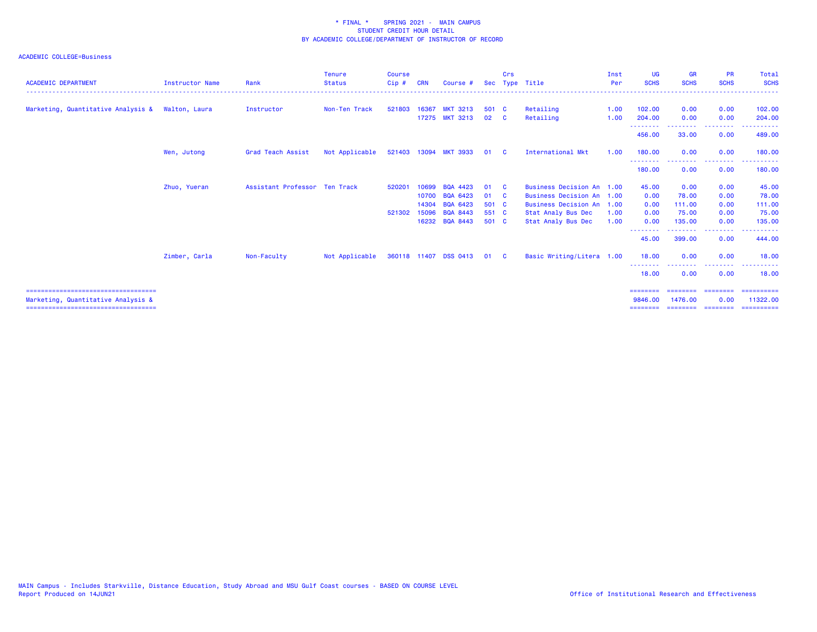| <b>ACADEMIC DEPARTMENT</b>                                                 | <b>Instructor Name</b> | Rank                          | <b>Tenure</b><br><b>Status</b> | <b>Course</b><br>Cip# | <b>CRN</b> | Course #              |              | Crs          | Sec Type Title              | Inst<br>Per | UG<br><b>SCHS</b>    | <b>GR</b><br><b>SCHS</b> | <b>PR</b><br><b>SCHS</b>                             | Total<br><b>SCHS</b>   |
|----------------------------------------------------------------------------|------------------------|-------------------------------|--------------------------------|-----------------------|------------|-----------------------|--------------|--------------|-----------------------------|-------------|----------------------|--------------------------|------------------------------------------------------|------------------------|
|                                                                            |                        |                               |                                |                       |            |                       |              |              |                             |             |                      |                          |                                                      |                        |
| Marketing, Quantitative Analysis &                                         | Walton, Laura          | Instructor                    | Non-Ten Track                  | 521803                |            | 16367 MKT 3213        | 501 C        |              | Retailing                   | 1.00        | 102.00               | 0.00                     | 0.00                                                 | 102.00                 |
|                                                                            |                        |                               |                                |                       |            | 17275 MKT 3213        | 02 C         |              | Retailing                   | 1.00        | 204.00               | 0.00                     | 0.00                                                 | 204.00                 |
|                                                                            |                        |                               |                                |                       |            |                       |              |              |                             |             | .<br>456.00          | 33.00                    | .<br>0.00                                            | . <u>.</u> .<br>489,00 |
|                                                                            | Wen, Jutong            | Grad Teach Assist             | Not Applicable                 |                       |            | 521403 13094 MKT 3933 | 01 C         |              | International Mkt           | 1.00        | 180.00               | 0.00                     | 0.00                                                 | 180.00                 |
|                                                                            |                        |                               |                                |                       |            |                       |              |              |                             |             | .<br>180,00          | 0.00                     | <b><i><u><u> - - - - - - - -</u></u></i></b><br>0.00 | .<br>180.00            |
|                                                                            | Zhuo, Yueran           | Assistant Professor Ten Track |                                | 520201                | 10699      | BQA 4423              | 01           | - C          | Business Decision An 1.00   |             | 45.00                | 0.00                     | 0.00                                                 | 45.00                  |
|                                                                            |                        |                               |                                |                       | 10700      | <b>BQA 6423</b>       | 01           | $\mathbf{C}$ | <b>Business Decision An</b> | 1.00        | 0.00                 | 78.00                    | 0.00                                                 | 78.00                  |
|                                                                            |                        |                               |                                |                       | 14304      | <b>BQA 6423</b>       | 501 C        |              | Business Decision An 1.00   |             | 0.00                 | 111.00                   | 0.00                                                 | 111.00                 |
|                                                                            |                        |                               |                                | 521302                | 15096      | <b>BQA 8443</b>       | 551 C        |              | Stat Analy Bus Dec          | 1.00        | 0.00                 | 75.00                    | 0.00                                                 | 75.00                  |
|                                                                            |                        |                               |                                |                       |            | 16232 BQA 8443        | 501 C        |              | Stat Analy Bus Dec          | 1.00        | 0.00                 | 135,00<br>. <u>.</u>     | 0.00                                                 | 135.00                 |
|                                                                            |                        |                               |                                |                       |            |                       |              |              |                             |             | --------<br>45.00    | 399.00                   | 0.00                                                 | .<br>444.00            |
|                                                                            | Zimber, Carla          | Non-Faculty                   | Not Applicable                 |                       |            | 360118 11407 DSS 0413 | $01 \quad C$ |              | Basic Writing/Litera 1.00   |             | 18.00                | 0.00                     | 0.00                                                 | 18.00                  |
|                                                                            |                        |                               |                                |                       |            |                       |              |              |                             |             | 18.00                | 0.00                     | . <b>.</b> .<br>0.00                                 | 18.00                  |
| ====================================<br>Marketing, Quantitative Analysis & |                        |                               |                                |                       |            |                       |              |              |                             |             | ---------<br>9846.00 | 1476.00                  | 0.00                                                 | ==========<br>11322.00 |
| ======================================                                     |                        |                               |                                |                       |            |                       |              |              |                             |             | ========             | ========                 | ---------                                            | -----------            |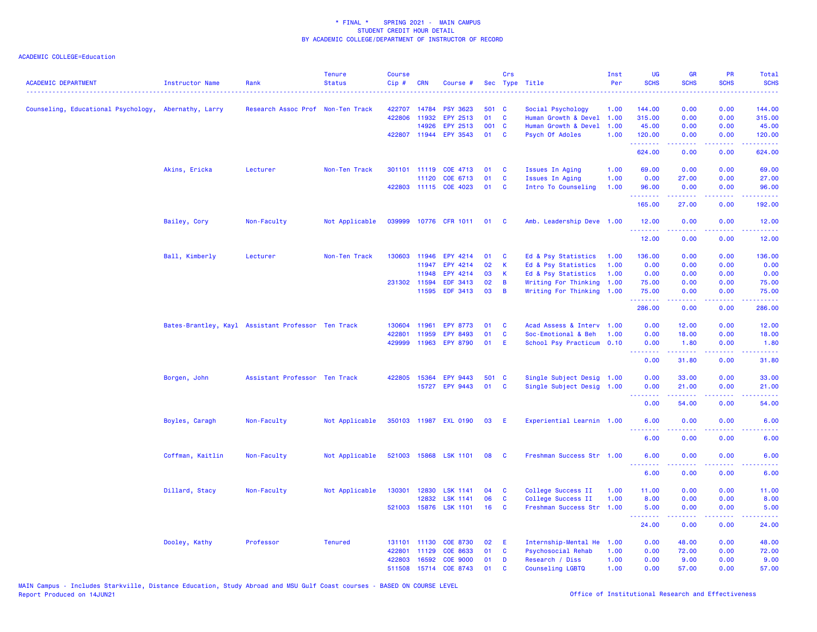| <b>ACADEMIC DEPARTMENT</b>                           | <b>Instructor Name</b> | Rank                                               | <b>Tenure</b><br><b>Status</b> | <b>Course</b><br>$Cip$ # | <b>CRN</b> | Course #              |       | Crs            | Sec Type Title            | Inst<br>Per | <b>UG</b><br><b>SCHS</b> | <b>GR</b><br><b>SCHS</b> | PR<br><b>SCHS</b>                   | Total<br><b>SCHS</b> |
|------------------------------------------------------|------------------------|----------------------------------------------------|--------------------------------|--------------------------|------------|-----------------------|-------|----------------|---------------------------|-------------|--------------------------|--------------------------|-------------------------------------|----------------------|
| Counseling, Educational Psychology, Abernathy, Larry |                        | Research Assoc Prof Non-Ten Track                  |                                | 422707                   | 14784      | <b>PSY 3623</b>       | 501 C |                | Social Psychology         | 1.00        | 144.00                   | 0.00                     | 0.00                                | 144.00               |
|                                                      |                        |                                                    |                                | 422806                   | 11932      | EPY 2513              | 01    | $\mathbf{C}$   | Human Growth & Devel 1.00 |             | 315.00                   | 0.00                     | 0.00                                | 315.00               |
|                                                      |                        |                                                    |                                |                          | 14926      | EPY 2513              | 001 C |                | Human Growth & Devel      | 1.00        | 45.00                    | 0.00                     | 0.00                                | 45.00                |
|                                                      |                        |                                                    |                                | 422807 11944             |            | <b>EPY 3543</b>       | 01    | $\mathbf{C}$   | Psych Of Adoles           | 1.00        | 120.00<br>.              | 0.00<br>.                | 0.00                                | 120.00<br>.          |
|                                                      |                        |                                                    |                                |                          |            |                       |       |                |                           |             | 624.00                   | 0.00                     | 0.00                                | 624.00               |
|                                                      | Akins, Ericka          | Lecturer                                           | Non-Ten Track                  | 301101 11119             |            | COE 4713              | 01    | <b>C</b>       | Issues In Aging           | 1.00        | 69.00                    | 0.00                     | 0.00                                | 69.00                |
|                                                      |                        |                                                    |                                |                          | 11120      | COE 6713              | 01    | $\mathbf{C}$   | Issues In Aging           | 1.00        | 0.00                     | 27.00                    | 0.00                                | 27.00                |
|                                                      |                        |                                                    |                                |                          |            | 422803 11115 COE 4023 | 01    | $\mathbf{C}$   | Intro To Counseling       | 1.00        | 96.00<br>.               | 0.00<br>بالمستمال        | 0.00<br>$\sim$ $\sim$ $\sim$ $\sim$ | 96.00<br>.           |
|                                                      |                        |                                                    |                                |                          |            |                       |       |                |                           |             | 165.00                   | 27.00                    | 0.00                                | 192.00               |
|                                                      | Bailey, Cory           | Non-Faculty                                        | Not Applicable                 | 039999                   |            | 10776 CFR 1011        | 01    | $\mathbf{C}$   | Amb. Leadership Deve 1.00 |             | 12.00<br>. <b>.</b>      | 0.00<br>.                | 0.00<br>$\sim$ $\sim$ $\sim$        | 12.00<br>.           |
|                                                      |                        |                                                    |                                |                          |            |                       |       |                |                           |             | 12.00                    | 0.00                     | 0.00                                | 12.00                |
|                                                      | Ball, Kimberly         | Lecturer                                           | Non-Ten Track                  | 130603                   | 11946      | EPY 4214              | 01    | <b>C</b>       | Ed & Psy Statistics       | 1.00        | 136.00                   | 0.00                     | 0.00                                | 136.00               |
|                                                      |                        |                                                    |                                |                          | 11947      | EPY 4214              | 02    | K              | Ed & Psy Statistics       | 1.00        | 0.00                     | 0.00                     | 0.00                                | 0.00                 |
|                                                      |                        |                                                    |                                |                          | 11948      | EPY 4214              | 03    | <b>K</b>       | Ed & Psy Statistics       | 1.00        | 0.00                     | 0.00                     | 0.00                                | 0.00                 |
|                                                      |                        |                                                    |                                | 231302 11594             |            | <b>EDF 3413</b>       | 02    | B              | Writing For Thinking 1.00 |             | 75.00                    | 0.00                     | 0.00                                | 75.00                |
|                                                      |                        |                                                    |                                |                          | 11595      | EDF 3413              | 03    | $\overline{B}$ | Writing For Thinking 1.00 |             | 75.00<br><b></b>         | 0.00<br>.                | 0.00                                | 75.00<br>.           |
|                                                      |                        |                                                    |                                |                          |            |                       |       |                |                           |             | 286.00                   | 0.00                     | 0.00                                | 286.00               |
|                                                      |                        | Bates-Brantley, Kayl Assistant Professor Ten Track |                                | 130604                   | 11961      | <b>EPY 8773</b>       | 01    | C              | Acad Assess & Interv 1.00 |             | 0.00                     | 12.00                    | 0.00                                | 12.00                |
|                                                      |                        |                                                    |                                | 422801                   | 11959      | EPY 8493              | 01    | <b>C</b>       | Soc-Emotional & Beh       | 1.00        | 0.00                     | 18.00                    | 0.00                                | 18.00                |
|                                                      |                        |                                                    |                                | 429999                   | 11963      | <b>EPY 8790</b>       | 01    | E.             | School Psy Practicum 0.10 |             | 0.00<br>.                | 1.80<br>.                | 0.00<br>. <b>.</b> .                | 1.80<br>.            |
|                                                      |                        |                                                    |                                |                          |            |                       |       |                |                           |             | 0.00                     | 31.80                    | 0.00                                | 31.80                |
|                                                      | Borgen, John           | Assistant Professor Ten Track                      |                                | 422805 15364             |            | <b>EPY 9443</b>       | 501 C |                | Single Subject Desig 1.00 |             | 0.00                     | 33.00                    | 0.00                                | 33.00                |
|                                                      |                        |                                                    |                                |                          | 15727      | EPY 9443              | 01    | <b>C</b>       | Single Subject Desig 1.00 |             | 0.00                     | 21.00                    | 0.00                                | 21.00                |
|                                                      |                        |                                                    |                                |                          |            |                       |       |                |                           |             | .                        | المتمامين                | د د د د .                           | .                    |
|                                                      |                        |                                                    |                                |                          |            |                       |       |                |                           |             | 0.00                     | 54.00                    | 0.00                                | 54.00                |
|                                                      | Boyles, Caragh         | Non-Faculty                                        | Not Applicable                 |                          |            | 350103 11987 EXL 0190 | 03    | - E            | Experiential Learnin 1.00 |             | 6.00<br><u>.</u>         | 0.00<br>.                | 0.00<br>$   -$                      | 6.00                 |
|                                                      |                        |                                                    |                                |                          |            |                       |       |                |                           |             | 6.00                     | 0.00                     | 0.00                                | 6.00                 |
|                                                      | Coffman, Kaitlin       | Non-Faculty                                        | Not Applicable                 |                          |            | 521003 15868 LSK 1101 | 08    | <b>C</b>       | Freshman Success Str 1.00 |             | 6.00<br>.                | 0.00<br>.                | 0.00<br>$\sim$ $\sim$ $\sim$        | 6.00                 |
|                                                      |                        |                                                    |                                |                          |            |                       |       |                |                           |             | 6.00                     | 0.00                     | 0.00                                | 6.00                 |
|                                                      | Dillard, Stacy         | Non-Faculty                                        | Not Applicable                 | 130301 12830             |            | <b>LSK 1141</b>       | 04    | <b>C</b>       | College Success II        | 1.00        | 11.00                    | 0.00                     | 0.00                                | 11.00                |
|                                                      |                        |                                                    |                                |                          | 12832      | <b>LSK 1141</b>       | 06    | $\mathbf{C}$   | College Success II        | 1.00        | 8.00                     | 0.00                     | 0.00                                | 8.00                 |
|                                                      |                        |                                                    |                                |                          |            | 521003 15876 LSK 1101 | 16    | <b>C</b>       | Freshman Success Str 1.00 |             | 5.00<br><u>.</u>         | 0.00<br>.                | 0.00                                | 5.00                 |
|                                                      |                        |                                                    |                                |                          |            |                       |       |                |                           |             | 24.00                    | 0.00                     | 0.00                                | 24.00                |
|                                                      | Dooley, Kathy          | Professor                                          | <b>Tenured</b>                 | 131101 11130             |            | COE 8730              | 02    | E              | Internship-Mental He      | 1.00        | 0.00                     | 48.00                    | 0.00                                | 48.00                |
|                                                      |                        |                                                    |                                | 422801                   | 11129      | COE 8633              | 01    | $\mathbf{C}$   | Psychosocial Rehab        | 1.00        | 0.00                     | 72.00                    | 0.00                                | 72.00                |
|                                                      |                        |                                                    |                                | 422803                   | 16592      | <b>COE 9000</b>       | 01    | D              | Research / Diss           | 1.00        | 0.00                     | 9.00                     | 0.00                                | 9.00                 |
|                                                      |                        |                                                    |                                | 511508                   | 15714      | COE 8743              | 01    | C              | Counseling LGBTQ          | 1.00        | 0.00                     | 57.00                    | 0.00                                | 57.00                |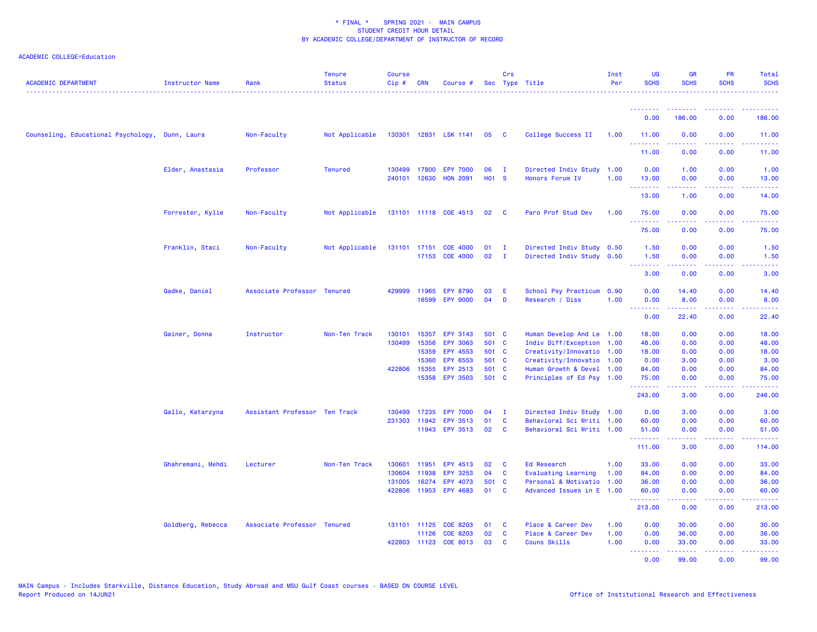| <b>ACADEMIC DEPARTMENT</b>                      | Instructor Name   | Rank                          | <b>Tenure</b><br><b>Status</b> | Course<br>Cip# | <b>CRN</b>     | Course #                 |                   | Crs          | Sec Type Title                                         | Inst<br>Per | <b>UG</b><br><b>SCHS</b>                                  | <b>GR</b><br><b>SCHS</b>                                                                                                                                     | PR<br><b>SCHS</b>              | Total<br><b>SCHS</b> |
|-------------------------------------------------|-------------------|-------------------------------|--------------------------------|----------------|----------------|--------------------------|-------------------|--------------|--------------------------------------------------------|-------------|-----------------------------------------------------------|--------------------------------------------------------------------------------------------------------------------------------------------------------------|--------------------------------|----------------------|
|                                                 |                   |                               |                                |                |                |                          |                   |              |                                                        |             | <b><i><u><u><b>a</b></u></u> a a a a a a a</i></b>        | - - - - - - - -                                                                                                                                              |                                |                      |
|                                                 |                   |                               |                                |                |                |                          |                   |              |                                                        |             | 0.00                                                      | 186.00                                                                                                                                                       | 0.00                           | 186.00               |
| Counseling, Educational Psychology, Dunn, Laura |                   | Non-Faculty                   | Not Applicable                 |                |                | 130301 12831 LSK 1141 05 |                   | <b>C</b>     | College Success II                                     | 1.00        | 11.00<br>.                                                | 0.00<br><b><i><u></u></i></b>                                                                                                                                | 0.00<br>.                      | 11.00<br>.           |
|                                                 |                   |                               |                                |                |                |                          |                   |              |                                                        |             | 11.00                                                     | 0.00                                                                                                                                                         | 0.00                           | 11.00                |
|                                                 | Elder, Anastasia  | Professor                     | <b>Tenured</b>                 |                |                | 130499 17800 EPY 7000    | 06                | - I          | Directed Indiv Study                                   | 1.00        | 0.00                                                      | 1.00                                                                                                                                                         | 0.00                           | 1.00                 |
|                                                 |                   |                               |                                |                | 240101 12630   | <b>HON 2091</b>          | H <sub>01</sub> S |              | Honors Forum IV                                        | 1.00        | 13.00<br>.                                                | 0.00<br>$\frac{1}{2} \left( \frac{1}{2} \right) \left( \frac{1}{2} \right) \left( \frac{1}{2} \right) \left( \frac{1}{2} \right) \left( \frac{1}{2} \right)$ | 0.00<br>.                      | 13.00<br>.           |
|                                                 |                   |                               |                                |                |                |                          |                   |              |                                                        |             | 13.00                                                     | 1.00                                                                                                                                                         | 0.00                           | 14.00                |
|                                                 | Forrester, Kylie  | Non-Faculty                   | Not Applicable                 |                |                | 131101 11118 COE 4513    | 02                | - C          | Paro Prof Stud Dev                                     | 1.00        | 75.00<br>.                                                | 0.00                                                                                                                                                         | 0.00                           | 75.00                |
|                                                 |                   |                               |                                |                |                |                          |                   |              |                                                        |             | 75.00                                                     | 0.00                                                                                                                                                         | 0.00                           | 75.00                |
|                                                 | Franklin, Staci   | Non-Faculty                   | Not Applicable                 |                |                | 131101 17151 COE 4000    | 01                | $\mathbf{I}$ | Directed Indiv Study 0.50                              |             | 1.50                                                      | 0.00                                                                                                                                                         | 0.00                           | 1.50                 |
|                                                 |                   |                               |                                |                |                | 17153 COE 4000           | 02                | $\mathbf{I}$ | Directed Indiv Study 0.50                              |             | 1.50<br><b></b>                                           | 0.00<br>.                                                                                                                                                    | 0.00<br>بالأباء                | 1.50<br>2222)        |
|                                                 |                   |                               |                                |                |                |                          |                   |              |                                                        |             | 3.00                                                      | 0.00                                                                                                                                                         | 0.00                           | 3.00                 |
|                                                 | Gadke, Daniel     | Associate Professor Tenured   |                                | 429999         | 11965          | <b>EPY 8790</b>          | 03                | Ε            | School Psy Practicum                                   | 0.90        | 0.00                                                      | 14.40                                                                                                                                                        | 0.00                           | 14.40                |
|                                                 |                   |                               |                                |                | 16599          | <b>EPY 9000</b>          | 04                | D            | Research / Diss                                        | 1.00        | 0.00<br><u>.</u>                                          | 8.00<br>.                                                                                                                                                    | 0.00<br>.                      | 8.00<br>.            |
|                                                 |                   |                               |                                |                |                |                          |                   |              |                                                        |             | 0.00                                                      | 22.40                                                                                                                                                        | 0.00                           | 22.40                |
|                                                 | Gainer, Donna     | Instructor                    | Non-Ten Track                  | 130101         | 15357          | <b>EPY 3143</b>          | 501 C             |              | Human Develop And Le 1.00                              |             | 18.00                                                     | 0.00                                                                                                                                                         | 0.00                           | 18.00                |
|                                                 |                   |                               |                                | 130499         | 15356          | <b>EPY 3063</b>          | 501 C             |              | Indiv Diff/Exception 1.00                              |             | 48.00                                                     | 0.00                                                                                                                                                         | 0.00                           | 48.00                |
|                                                 |                   |                               |                                |                | 15359<br>15360 | EPY 4553<br>EPY 6553     | 501 C<br>501 C    |              | Creativity/Innovatio 1.00<br>Creativity/Innovatio 1.00 |             | 18.00<br>0.00                                             | 0.00<br>3.00                                                                                                                                                 | 0.00<br>0.00                   | 18.00<br>3.00        |
|                                                 |                   |                               |                                |                | 422806 15355   | EPY 2513                 | 501 C             |              | Human Growth & Devel 1.00                              |             | 84.00                                                     | 0.00                                                                                                                                                         | 0.00                           | 84.00                |
|                                                 |                   |                               |                                |                |                | 15358 EPY 3503           | 501 C             |              | Principles of Ed Psy 1.00                              |             | 75.00<br><b><i><u><u><b>Little Little</b></u></u></i></b> | 0.00<br>.                                                                                                                                                    | 0.00<br>.                      | 75.00<br>.           |
|                                                 |                   |                               |                                |                |                |                          |                   |              |                                                        |             | 243.00                                                    | 3.00                                                                                                                                                         | 0.00                           | 246.00               |
|                                                 | Gallo, Katarzyna  | Assistant Professor Ten Track |                                | 130499         | 17235          | <b>EPY 7000</b>          | 04                | $\mathbf{I}$ | Directed Indiv Study 1.00                              |             | 0.00                                                      | 3.00                                                                                                                                                         | 0.00                           | 3.00                 |
|                                                 |                   |                               |                                |                |                | 231303 11942 EPY 3513    | 01                | <b>C</b>     | Behavioral Sci Writi 1.00                              |             | 60.00                                                     | 0.00                                                                                                                                                         | 0.00                           | 60.00                |
|                                                 |                   |                               |                                |                |                | 11943 EPY 3513           | 02                | <b>C</b>     | Behavioral Sci Writi 1.00                              |             | 51.00<br>.                                                | 0.00                                                                                                                                                         | 0.00<br>$\omega$ is a $\omega$ | 51.00<br>وعاعاها     |
|                                                 |                   |                               |                                |                |                |                          |                   |              |                                                        |             | 111.00                                                    | 3.00                                                                                                                                                         | 0.00                           | 114.00               |
|                                                 | Ghahremani, Mehdi | Lecturer                      | Non-Ten Track                  | 130601         | 11951          | EPY 4513                 | 02                | C            | <b>Ed Research</b>                                     | 1.00        | 33.00                                                     | 0.00                                                                                                                                                         | 0.00                           | 33.00                |
|                                                 |                   |                               |                                | 130604         | 11938          | <b>EPY 3253</b>          | 04                | C            | Evaluating Learning                                    | 1.00        | 84.00                                                     | 0.00                                                                                                                                                         | 0.00                           | 84.00                |
|                                                 |                   |                               |                                | 131005         | 16274          | EPY 4073                 | 501 C             |              | Personal & Motivatio 1.00                              |             | 36.00                                                     | 0.00                                                                                                                                                         | 0.00                           | 36.00                |
|                                                 |                   |                               |                                |                |                | 422806 11953 EPY 4683    | 01                | <b>C</b>     | Advanced Issues in E                                   | 1.00        | 60.00<br><u>.</u>                                         | 0.00                                                                                                                                                         | 0.00<br>$  -$                  | 60.00<br>.           |
|                                                 |                   |                               |                                |                |                |                          |                   |              |                                                        |             | 213.00                                                    | 0.00                                                                                                                                                         | 0.00                           | 213.00               |
|                                                 | Goldberg, Rebecca | Associate Professor Tenured   |                                |                |                | 131101 11125 COE 8203    | 01                | C            | Place & Career Dev                                     | 1.00        | 0.00                                                      | 30.00                                                                                                                                                        | 0.00                           | 30.00                |
|                                                 |                   |                               |                                |                | 11126          | <b>COE 8203</b>          | 02                | $\mathbf{C}$ | Place & Career Dev                                     | 1.00        | 0.00                                                      | 36.00                                                                                                                                                        | 0.00                           | 36.00                |
|                                                 |                   |                               |                                | 422803         | 11123          | <b>COE 8013</b>          | 03                | C            | Couns Skills                                           | 1.00        | 0.00<br><b><i><u><u><b>Little Little</b></u></u></i></b>  | 33.00                                                                                                                                                        | 0.00<br>د د د د                | 33.00                |
|                                                 |                   |                               |                                |                |                |                          |                   |              |                                                        |             | 0.00                                                      | 99.00                                                                                                                                                        | 0.00                           | 99.00                |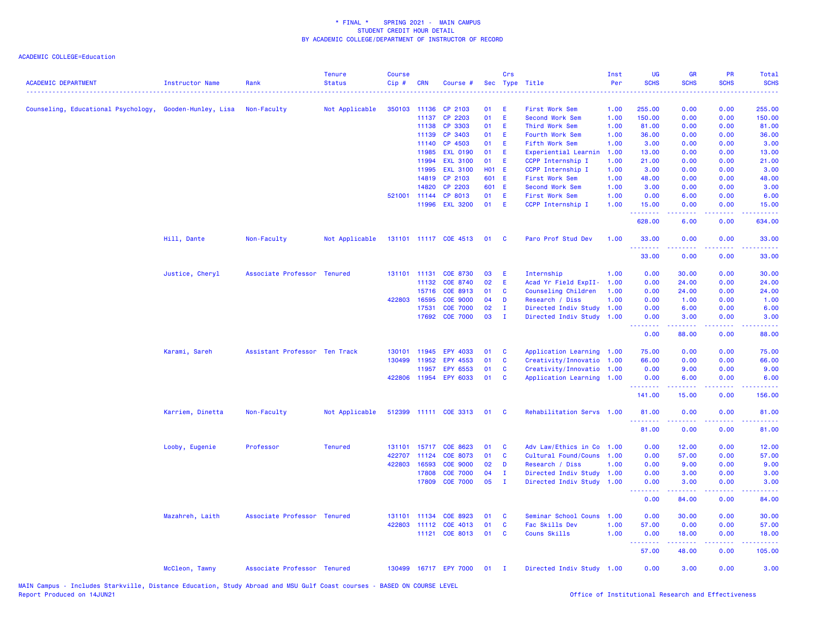| <b>ACADEMIC DEPARTMENT</b>                              | <b>Instructor Name</b> | Rank                          | <b>Tenure</b><br><b>Status</b> | <b>Course</b><br>Cip# | <b>CRN</b>   | Course #                 |            | Crs                        | Sec Type Title            | Inst<br>Per | UG<br><b>SCHS</b>               | <b>GR</b><br><b>SCHS</b>                                                                                                                                     | <b>PR</b><br><b>SCHS</b>                            | Total<br><b>SCHS</b>           |
|---------------------------------------------------------|------------------------|-------------------------------|--------------------------------|-----------------------|--------------|--------------------------|------------|----------------------------|---------------------------|-------------|---------------------------------|--------------------------------------------------------------------------------------------------------------------------------------------------------------|-----------------------------------------------------|--------------------------------|
| Counseling, Educational Psychology, Gooden-Hunley, Lisa |                        | Non-Faculty                   | Not Applicable                 | 350103                | 11136        | CP 2103                  | 01         | E                          | First Work Sem            | 1.00        | 255.00                          | 0.00                                                                                                                                                         | 0.00                                                | 255.00                         |
|                                                         |                        |                               |                                |                       | 11137        | CP 2203                  | 01         | E                          | Second Work Sem           | 1.00        | 150.00                          | 0.00                                                                                                                                                         | 0.00                                                | 150.00                         |
|                                                         |                        |                               |                                |                       | 11138        | CP 3303                  | 01         | E                          | Third Work Sem            | 1.00        | 81.00                           | 0.00                                                                                                                                                         | 0.00                                                | 81.00                          |
|                                                         |                        |                               |                                |                       | 11139        | CP 3403                  | 01         | E                          | Fourth Work Sem           | 1.00        | 36.00                           | 0.00                                                                                                                                                         | 0.00                                                | 36.00                          |
|                                                         |                        |                               |                                |                       | 11140        | CP 4503                  | 01         | E                          | Fifth Work Sem            | 1.00        | 3.00                            | 0.00                                                                                                                                                         | 0.00                                                | 3.00                           |
|                                                         |                        |                               |                                |                       | 11985        | <b>EXL 0190</b>          | 01         | Ε                          | Experiential Learnin      | 1.00        | 13.00                           | 0.00                                                                                                                                                         | 0.00                                                | 13.00                          |
|                                                         |                        |                               |                                |                       | 11994        | <b>EXL 3100</b>          | 01         | E                          | CCPP Internship I         | 1.00        | 21.00                           | 0.00                                                                                                                                                         | 0.00                                                | 21.00                          |
|                                                         |                        |                               |                                |                       | 11995        | <b>EXL 3100</b>          | <b>HO1</b> | -E                         | CCPP Internship I         | 1.00        | 3.00                            | 0.00                                                                                                                                                         | 0.00                                                | 3.00                           |
|                                                         |                        |                               |                                |                       | 14819        | CP 2103                  | 601        | E                          | First Work Sem            | 1.00        | 48.00                           | 0.00                                                                                                                                                         | 0.00                                                | 48.00                          |
|                                                         |                        |                               |                                |                       | 14820        | CP 2203                  | 601 E      |                            | Second Work Sem           | 1.00        | 3.00                            | 0.00                                                                                                                                                         | 0.00                                                | 3.00                           |
|                                                         |                        |                               |                                |                       | 521001 11144 | CP 8013                  | 01         | E                          | First Work Sem            | 1.00        | 0.00                            | 6.00                                                                                                                                                         | 0.00                                                | 6.00                           |
|                                                         |                        |                               |                                |                       | 11996        | <b>EXL 3200</b>          | 01         | E                          | CCPP Internship I         | 1.00        | 15.00<br>.                      | 0.00<br>د د د د                                                                                                                                              | 0.00                                                | 15.00<br>.                     |
|                                                         |                        |                               |                                |                       |              |                          |            |                            |                           |             | 628.00                          | 6.00                                                                                                                                                         | 0.00                                                | 634.00                         |
|                                                         | Hill, Dante            | Non-Faculty                   | Not Applicable                 |                       |              | 131101 11117 COE 4513    | 01         | <b>C</b>                   | Paro Prof Stud Dev        | 1.00        | 33.00<br>.                      | 0.00                                                                                                                                                         | 0.00                                                | 33.00<br>المتمامين             |
|                                                         |                        |                               |                                |                       |              |                          |            |                            |                           |             | 33.00                           | 0.00                                                                                                                                                         | 0.00                                                | 33.00                          |
|                                                         | Justice, Cheryl        | Associate Professor Tenured   |                                |                       | 131101 11131 | <b>COE 8730</b>          | 03         | E                          | Internship                | 1.00        | 0.00                            | 30.00                                                                                                                                                        | 0.00                                                | 30.00                          |
|                                                         |                        |                               |                                |                       | 11132        | COE 8740                 | 02         | E                          | Acad Yr Field ExpII-      | 1.00        | 0.00                            | 24.00                                                                                                                                                        | 0.00                                                | 24.00                          |
|                                                         |                        |                               |                                |                       | 15716        | COE 8913                 | 01         | C                          | Counseling Children       | 1.00        | 0.00                            | 24.00                                                                                                                                                        | 0.00                                                | 24.00                          |
|                                                         |                        |                               |                                | 422803                | 16595        | <b>COE 9000</b>          | 04         | D                          | Research / Diss           | 1.00        | 0.00                            | 1.00                                                                                                                                                         | 0.00                                                | 1.00                           |
|                                                         |                        |                               |                                |                       | 17531        | <b>COE 7000</b>          | 02         | $\mathbf I$                | Directed Indiv Study      | 1.00        | 0.00                            | 6.00                                                                                                                                                         | 0.00                                                | 6.00                           |
|                                                         |                        |                               |                                |                       | 17692        | <b>COE 7000</b>          | 03         | $\mathbf I$                | Directed Indiv Study 1.00 |             | 0.00<br><u> - - - - - - - -</u> | 3.00<br>.                                                                                                                                                    | 0.00<br>.                                           | 3.00<br>.                      |
|                                                         |                        |                               |                                |                       |              |                          |            |                            |                           |             | 0.00                            | 88.00                                                                                                                                                        | 0.00                                                | 88.00                          |
|                                                         | Karami, Sareh          | Assistant Professor Ten Track |                                |                       | 130101 11945 | <b>EPY 4033</b>          | 01         | C                          | Application Learning 1.00 |             | 75.00                           | 0.00                                                                                                                                                         | 0.00                                                | 75.00                          |
|                                                         |                        |                               |                                | 130499                | 11952        | EPY 4553                 | 01         | C                          | Creativity/Innovatio      | 1.00        | 66.00                           | 0.00                                                                                                                                                         | 0.00                                                | 66.00                          |
|                                                         |                        |                               |                                |                       | 11957        | EPY 6553                 | 01         | C                          | Creativity/Innovatio 1.00 |             | 0.00                            | 9.00                                                                                                                                                         | 0.00                                                | 9.00                           |
|                                                         |                        |                               |                                |                       |              | 422806 11954 EPY 6033    | 01         | C                          | Application Learning 1.00 |             | 0.00<br>.                       | 6.00                                                                                                                                                         | 0.00<br>$\omega_{\rm{eff}}$ and $\omega_{\rm{eff}}$ | 6.00                           |
|                                                         |                        |                               |                                |                       |              |                          |            |                            |                           |             | 141.00                          | 15.00                                                                                                                                                        | 0.00                                                | 156.00                         |
|                                                         | Karriem, Dinetta       | Non-Faculty                   | Not Applicable                 |                       |              | 512399 11111 COE 3313 01 |            | $\overline{\phantom{a}}$ c | Rehabilitation Servs 1.00 |             | 81.00<br><u>.</u>               | 0.00<br>$\frac{1}{2} \left( \frac{1}{2} \right) \left( \frac{1}{2} \right) \left( \frac{1}{2} \right) \left( \frac{1}{2} \right) \left( \frac{1}{2} \right)$ | 0.00<br>.                                           | 81.00<br>.                     |
|                                                         |                        |                               |                                |                       |              |                          |            |                            |                           |             | 81.00                           | 0.00                                                                                                                                                         | 0.00                                                | 81.00                          |
|                                                         | Looby, Eugenie         | Professor                     | <b>Tenured</b>                 |                       |              | 131101 15717 COE 8623    | 01         | C                          | Adv Law/Ethics in Co      | 1.00        | 0.00                            | 12.00                                                                                                                                                        | 0.00                                                | 12.00                          |
|                                                         |                        |                               |                                | 422707                | 11124        | COE 8073                 | 01         | C                          | Cultural Found/Couns      | 1.00        | 0.00                            | 57.00                                                                                                                                                        | 0.00                                                | 57.00                          |
|                                                         |                        |                               |                                | 422803                | 16593        | <b>COE 9000</b>          | 02         | D                          | Research / Diss           | 1.00        | 0.00                            | 9.00                                                                                                                                                         | 0.00                                                | 9.00                           |
|                                                         |                        |                               |                                |                       | 17808        | <b>COE 7000</b>          | 04         | T                          | Directed Indiv Study      | 1.00        | 0.00                            | 3.00                                                                                                                                                         | 0.00                                                | 3.00                           |
|                                                         |                        |                               |                                |                       | 17809        | <b>COE 7000</b>          | 05         | $\mathbf{I}$               | Directed Indiv Study 1.00 |             | 0.00<br>.                       | 3.00<br>$\frac{1}{2} \left( \frac{1}{2} \right) \left( \frac{1}{2} \right) \left( \frac{1}{2} \right) \left( \frac{1}{2} \right) \left( \frac{1}{2} \right)$ | 0.00<br>.                                           | 3.00<br>$\omega$ is a $\omega$ |
|                                                         |                        |                               |                                |                       |              |                          |            |                            |                           |             | 0.00                            | 84.00                                                                                                                                                        | 0.00                                                | 84.00                          |
|                                                         | Mazahreh, Laith        | Associate Professor Tenured   |                                | 131101                | 11134        | COE 8923                 | 01         | C                          | Seminar School Couns      | 1.00        | 0.00                            | 30.00                                                                                                                                                        | 0.00                                                | 30.00                          |
|                                                         |                        |                               |                                |                       | 422803 11112 | COE 4013                 | 01         | C                          | Fac Skills Dev            | 1.00        | 57.00                           | 0.00                                                                                                                                                         | 0.00                                                | 57.00                          |
|                                                         |                        |                               |                                |                       |              | 11121 COE 8013           | 01         | <b>C</b>                   | Couns Skills              | 1.00        | 0.00<br><u>.</u>                | 18.00                                                                                                                                                        | 0.00                                                | 18.00<br>.                     |
|                                                         |                        |                               |                                |                       |              |                          |            |                            |                           |             | 57.00                           | 48.00                                                                                                                                                        | 0.00                                                | 105.00                         |
|                                                         | McCleon, Tawny         | Associate Professor Tenured   |                                |                       |              | 130499 16717 EPY 7000    | 01         | - I                        | Directed Indiv Study 1.00 |             | 0.00                            | 3.00                                                                                                                                                         | 0.00                                                | 3.00                           |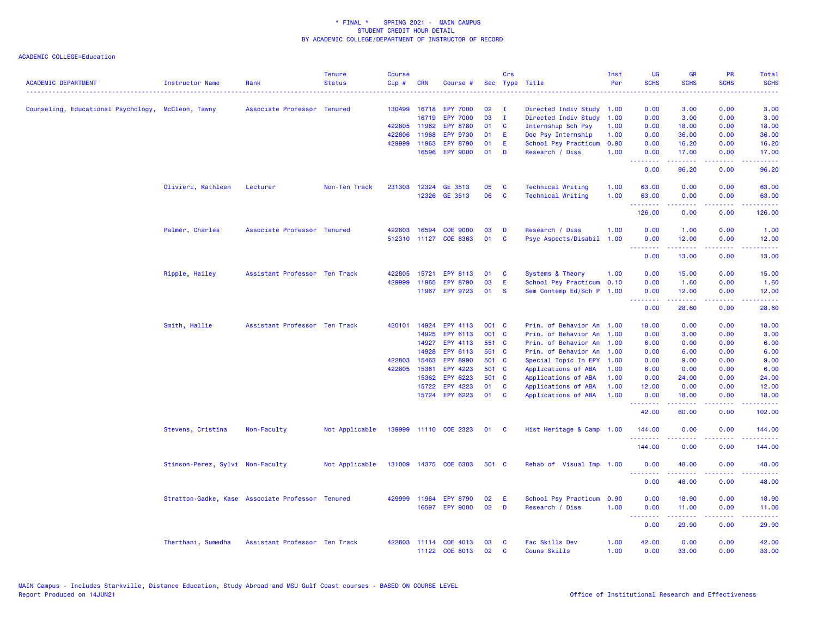| <b>ACADEMIC DEPARTMENT</b>                         | <b>Instructor Name</b>           | Rank                                             | <b>Tenure</b><br><b>Status</b> | <b>Course</b><br>Cip# | <b>CRN</b> | Course #              |       | Crs          | Sec Type Title            | Inst<br>Per | UG<br><b>SCHS</b> | <b>GR</b><br><b>SCHS</b>                                                                                                                                      | <b>PR</b><br><b>SCHS</b>                                                                                                          | Total<br><b>SCHS</b>       |
|----------------------------------------------------|----------------------------------|--------------------------------------------------|--------------------------------|-----------------------|------------|-----------------------|-------|--------------|---------------------------|-------------|-------------------|---------------------------------------------------------------------------------------------------------------------------------------------------------------|-----------------------------------------------------------------------------------------------------------------------------------|----------------------------|
| Counseling, Educational Psychology, McCleon, Tawny |                                  | Associate Professor Tenured                      |                                | 130499 16718          |            | <b>EPY 7000</b>       | 02    | $\mathbf{I}$ | Directed Indiv Study      | 1.00        | 0.00              | 3.00                                                                                                                                                          | 0.00                                                                                                                              | 3.00                       |
|                                                    |                                  |                                                  |                                |                       | 16719      | <b>EPY 7000</b>       | 03    | $\mathbf{I}$ | Directed Indiv Study      | 1.00        | 0.00              | 3.00                                                                                                                                                          | 0.00                                                                                                                              | 3.00                       |
|                                                    |                                  |                                                  |                                | 422805 11962          |            | <b>EPY 8780</b>       | 01    | <b>C</b>     | Internship Sch Psy        | 1.00        | 0.00              | 18.00                                                                                                                                                         | 0.00                                                                                                                              | 18.00                      |
|                                                    |                                  |                                                  |                                | 422806                | 11968      | <b>EPY 9730</b>       | 01    | E            | Doc Psy Internship        | 1.00        | 0.00              | 36.00                                                                                                                                                         | 0.00                                                                                                                              | 36.00                      |
|                                                    |                                  |                                                  |                                | 429999                | 11963      | <b>EPY 8790</b>       | 01    | E            | School Psy Practicum      | 0.90        | 0.00              | 16.20                                                                                                                                                         | 0.00                                                                                                                              | 16.20                      |
|                                                    |                                  |                                                  |                                |                       | 16596      | <b>EPY 9000</b>       | 01    | D            | Research / Diss           | 1.00        | 0.00<br>.         | 17.00<br>$\frac{1}{2} \left( \frac{1}{2} \right) \left( \frac{1}{2} \right) \left( \frac{1}{2} \right) \left( \frac{1}{2} \right) \left( \frac{1}{2} \right)$ | 0.00<br>.                                                                                                                         | 17.00<br>.                 |
|                                                    |                                  |                                                  |                                |                       |            |                       |       |              |                           |             | 0.00              | 96.20                                                                                                                                                         | 0.00                                                                                                                              | 96.20                      |
|                                                    | Olivieri, Kathleen               | Lecturer                                         | Non-Ten Track                  | 231303 12324          |            | GE 3513               | 05    | C            | <b>Technical Writing</b>  | 1.00        | 63.00             | 0.00                                                                                                                                                          | 0.00                                                                                                                              | 63.00                      |
|                                                    |                                  |                                                  |                                |                       | 12326      | GE 3513               | 06    | C            | <b>Technical Writing</b>  | 1.00        | 63.00<br>.        | 0.00<br>.                                                                                                                                                     | 0.00<br>$\omega$ is a $\omega$                                                                                                    | 63.00<br>المالما لمالية ال |
|                                                    |                                  |                                                  |                                |                       |            |                       |       |              |                           |             | 126.00            | 0.00                                                                                                                                                          | 0.00                                                                                                                              | 126.00                     |
|                                                    | Palmer, Charles                  | Associate Professor Tenured                      |                                | 422803                | 16594      | <b>COE 9000</b>       | 03    | D            | Research / Diss           | 1.00        | 0.00              | 1.00                                                                                                                                                          | 0.00                                                                                                                              | 1.00                       |
|                                                    |                                  |                                                  |                                | 512310 11127          |            | COE 8363              | 01    | C            | Psyc Aspects/Disabil      | 1.00        | 0.00<br>.         | 12.00                                                                                                                                                         | 0.00<br>$\frac{1}{2} \left( \frac{1}{2} \right) \left( \frac{1}{2} \right) \left( \frac{1}{2} \right) \left( \frac{1}{2} \right)$ | 12.00                      |
|                                                    |                                  |                                                  |                                |                       |            |                       |       |              |                           |             | 0.00              | $\frac{1}{2} \left( \frac{1}{2} \right) \left( \frac{1}{2} \right) \left( \frac{1}{2} \right) \left( \frac{1}{2} \right) \left( \frac{1}{2} \right)$<br>13.00 | 0.00                                                                                                                              | د د د د د<br>13.00         |
|                                                    | Ripple, Hailey                   | Assistant Professor Ten Track                    |                                | 422805 15721          |            | EPY 8113              | 01    | <b>C</b>     | Systems & Theory          | 1.00        | 0.00              | 15.00                                                                                                                                                         | 0.00                                                                                                                              | 15.00                      |
|                                                    |                                  |                                                  |                                | 429999                | 11965      | <b>EPY 8790</b>       | 03    | E            | School Psy Practicum 0.10 |             | 0.00              | 1.60                                                                                                                                                          | 0.00                                                                                                                              | 1.60                       |
|                                                    |                                  |                                                  |                                |                       | 11967      | <b>EPY 9723</b>       | 01    | -S           | Sem Contemp Ed/Sch P 1.00 |             | 0.00              | 12.00                                                                                                                                                         | 0.00                                                                                                                              | 12.00                      |
|                                                    |                                  |                                                  |                                |                       |            |                       |       |              |                           |             | <u>.</u><br>0.00  | 28.60                                                                                                                                                         | 0.00                                                                                                                              | 28.60                      |
|                                                    | Smith, Hallie                    | Assistant Professor Ten Track                    |                                | 420101 14924          |            | EPY 4113              | 001 C |              | Prin. of Behavior An 1.00 |             | 18.00             | 0.00                                                                                                                                                          | 0.00                                                                                                                              | 18.00                      |
|                                                    |                                  |                                                  |                                |                       | 14925      | <b>EPY 6113</b>       | 001 C |              | Prin. of Behavior An 1.00 |             | 0.00              | 3.00                                                                                                                                                          | 0.00                                                                                                                              | 3.00                       |
|                                                    |                                  |                                                  |                                |                       | 14927      | EPY 4113              | 551 C |              | Prin. of Behavior An 1.00 |             | 6.00              | 0.00                                                                                                                                                          | 0.00                                                                                                                              | 6.00                       |
|                                                    |                                  |                                                  |                                |                       | 14928      | EPY 6113              | 551 C |              | Prin. of Behavior An 1.00 |             | 0.00              | 6.00                                                                                                                                                          | 0.00                                                                                                                              | 6.00                       |
|                                                    |                                  |                                                  |                                | 422803                | 15463      | <b>EPY 8990</b>       | 501 C |              | Special Topic In EPY 1.00 |             | 0.00              | 9.00                                                                                                                                                          | 0.00                                                                                                                              | 9.00                       |
|                                                    |                                  |                                                  |                                | 422805 15361          |            | <b>EPY 4223</b>       | 501 C |              | Applications of ABA       | 1.00        | 6.00              | 0.00                                                                                                                                                          | 0.00                                                                                                                              | 6.00                       |
|                                                    |                                  |                                                  |                                |                       | 15362      | EPY 6223              | 501 C |              | Applications of ABA       | 1.00        | 0.00              | 24.00                                                                                                                                                         | 0.00                                                                                                                              | 24.00                      |
|                                                    |                                  |                                                  |                                |                       | 15722      | <b>EPY 4223</b>       | 01    | C            | Applications of ABA       | 1.00        | 12.00             | 0.00                                                                                                                                                          | 0.00                                                                                                                              | 12.00                      |
|                                                    |                                  |                                                  |                                |                       | 15724      | EPY 6223              | 01    | C            | Applications of ABA       | 1.00        | 0.00<br>.         | 18.00                                                                                                                                                         | 0.00                                                                                                                              | 18.00                      |
|                                                    |                                  |                                                  |                                |                       |            |                       |       |              |                           |             | 42.00             | 60.00                                                                                                                                                         | 0.00                                                                                                                              | 102.00                     |
|                                                    | Stevens, Cristina                | Non-Faculty                                      | Not Applicable                 |                       |            | 139999 11110 COE 2323 | 01    | $\mathbf{C}$ | Hist Heritage & Camp 1.00 |             | 144.00<br>.       | 0.00                                                                                                                                                          | 0.00                                                                                                                              | 144.00                     |
|                                                    |                                  |                                                  |                                |                       |            |                       |       |              |                           |             | 144.00            | 0.00                                                                                                                                                          | 0.00                                                                                                                              | 144.00                     |
|                                                    | Stinson-Perez, Sylvi Non-Faculty |                                                  | Not Applicable                 |                       |            | 131009 14375 COE 6303 | 501 C |              | Rehab of Visual Imp 1.00  |             | 0.00<br>.         | 48.00<br>.                                                                                                                                                    | 0.00<br>.                                                                                                                         | 48.00<br>وعاعاها           |
|                                                    |                                  |                                                  |                                |                       |            |                       |       |              |                           |             | 0.00              | 48.00                                                                                                                                                         | 0.00                                                                                                                              | 48.00                      |
|                                                    |                                  | Stratton-Gadke, Kase Associate Professor Tenured |                                | 429999                | 11964      | <b>EPY 8790</b>       | 02    | E            | School Psy Practicum      | 0.90        | 0.00              | 18.90                                                                                                                                                         | 0.00                                                                                                                              | 18.90                      |
|                                                    |                                  |                                                  |                                |                       | 16597      | <b>EPY 9000</b>       | 02    | D            | Research / Diss           | 1.00        | 0.00<br>.         | 11.00                                                                                                                                                         | 0.00<br>.                                                                                                                         | 11.00                      |
|                                                    |                                  |                                                  |                                |                       |            |                       |       |              |                           |             | 0.00              | .<br>29.90                                                                                                                                                    | 0.00                                                                                                                              | .<br>29.90                 |
|                                                    | Therthani, Sumedha               | Assistant Professor Ten Track                    |                                |                       |            | 422803 11114 COE 4013 | 03    | C            | Fac Skills Dev            | 1.00        | 42.00             | 0.00                                                                                                                                                          | 0.00                                                                                                                              | 42.00                      |
|                                                    |                                  |                                                  |                                |                       |            | 11122 COE 8013        | 02    | C            | Couns Skills              | 1.00        | 0.00              | 33.00                                                                                                                                                         | 0.00                                                                                                                              | 33.00                      |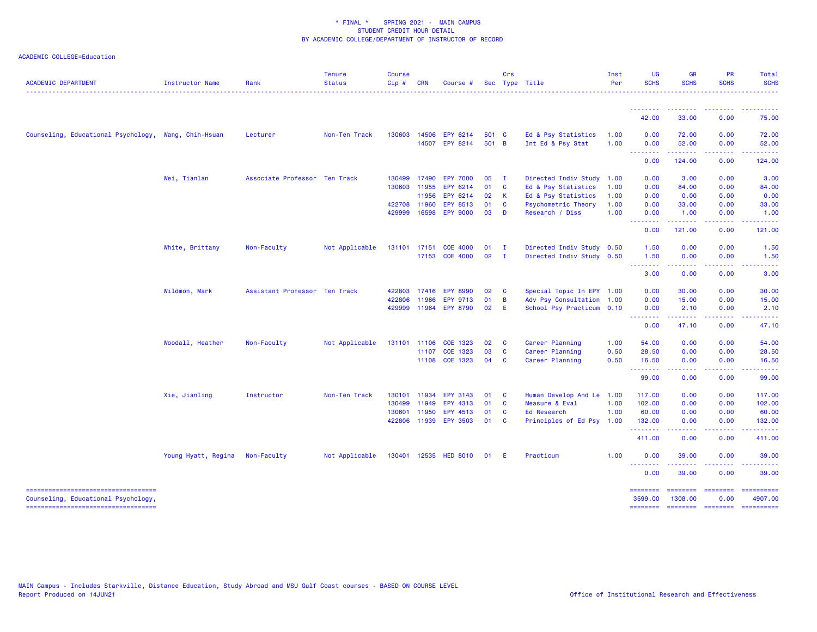| <b>ACADEMIC DEPARTMENT</b>                                                | Instructor Name     | Rank                          | <b>Tenure</b><br><b>Status</b> | <b>Course</b><br>$Cip$ # | <b>CRN</b> | Course #                   |                | Crs                     | Sec Type Title                           | Inst<br>Per  | <b>UG</b><br><b>SCHS</b>   | <b>GR</b><br><b>SCHS</b>                                                                                                                                     | <b>PR</b><br><b>SCHS</b>    | Total<br><b>SCHS</b>  |
|---------------------------------------------------------------------------|---------------------|-------------------------------|--------------------------------|--------------------------|------------|----------------------------|----------------|-------------------------|------------------------------------------|--------------|----------------------------|--------------------------------------------------------------------------------------------------------------------------------------------------------------|-----------------------------|-----------------------|
|                                                                           |                     |                               |                                |                          |            |                            |                |                         |                                          |              | .                          |                                                                                                                                                              |                             | <u>.</u>              |
|                                                                           |                     |                               |                                |                          |            |                            |                |                         |                                          |              | 42.00                      | 33.00                                                                                                                                                        | 0.00                        | 75.00                 |
| Counseling, Educational Psychology, Wang, Chih-Hsuan                      |                     | Lecturer                      | Non-Ten Track                  | 130603                   | 14506      | EPY 6214<br>14507 EPY 8214 | 501 C<br>501 B |                         | Ed & Psy Statistics<br>Int Ed & Psy Stat | 1.00<br>1.00 | 0.00<br>0.00               | 72.00<br>52.00                                                                                                                                               | 0.00<br>0.00                | 72.00<br>52.00        |
|                                                                           |                     |                               |                                |                          |            |                            |                |                         |                                          |              | <u>.</u>                   |                                                                                                                                                              |                             |                       |
|                                                                           |                     |                               |                                |                          |            |                            |                |                         |                                          |              | 0.00                       | 124.00                                                                                                                                                       | 0.00                        | 124.00                |
|                                                                           | Wei, Tianlan        | Associate Professor Ten Track |                                | 130499                   | 17490      | <b>EPY 7000</b>            | 05             | $\mathbf{I}$            | Directed Indiv Study                     | 1.00         | 0.00                       | 3.00                                                                                                                                                         | 0.00                        | 3.00                  |
|                                                                           |                     |                               |                                | 130603                   | 11955      | EPY 6214                   | 01             | $\mathbf{C}$            | Ed & Psy Statistics                      | 1.00         | 0.00                       | 84.00                                                                                                                                                        | 0.00                        | 84.00                 |
|                                                                           |                     |                               |                                |                          | 11956      | EPY 6214                   | 02             | $\mathbf{K}$            | Ed & Psy Statistics                      | 1.00         | 0.00                       | 0.00                                                                                                                                                         | 0.00                        | 0.00                  |
|                                                                           |                     |                               |                                | 422708 11960             |            | EPY 8513                   | 01             | <b>C</b>                | Psychometric Theory                      | 1.00         | 0.00                       | 33.00                                                                                                                                                        | 0.00                        | 33.00                 |
|                                                                           |                     |                               |                                | 429999                   | 16598      | <b>EPY 9000</b>            | 03             | $\blacksquare$          | Research / Diss                          | 1.00         | 0.00<br>.                  | 1.00<br>$- - - - - - -$                                                                                                                                      | 0.00<br>.                   | 1.00<br><u>.</u>      |
|                                                                           |                     |                               |                                |                          |            |                            |                |                         |                                          |              | 0.00                       | 121.00                                                                                                                                                       | 0.00                        | 121.00                |
|                                                                           | White, Brittany     | Non-Faculty                   | Not Applicable                 | 131101 17151             |            | <b>COE 4000</b>            | 01             | $\mathbf{I}$            | Directed Indiv Study 0.50                |              | 1.50                       | 0.00                                                                                                                                                         | 0.00                        | 1.50                  |
|                                                                           |                     |                               |                                |                          |            | 17153 COE 4000             | 02             | $\mathbf{I}$            | Directed Indiv Study 0.50                |              | 1.50<br>.                  | 0.00                                                                                                                                                         | 0.00                        | 1.50                  |
|                                                                           |                     |                               |                                |                          |            |                            |                |                         |                                          |              | 3.00                       | 0.00                                                                                                                                                         | 0.00                        | 3.00                  |
|                                                                           | Wildmon, Mark       | Assistant Professor Ten Track |                                | 422803                   | 17416      | <b>EPY 8990</b>            | 02             | $\mathbf{C}$            | Special Topic In EPY 1.00                |              | 0.00                       | 30.00                                                                                                                                                        | 0.00                        | 30.00                 |
|                                                                           |                     |                               |                                | 422806                   | 11966      | <b>EPY 9713</b>            | 01             | $\overline{B}$          | Adv Psy Consultation 1.00                |              | 0.00                       | 15.00                                                                                                                                                        | 0.00                        | 15.00                 |
|                                                                           |                     |                               |                                |                          |            | 429999 11964 EPY 8790      | 02             | E                       | School Psy Practicum 0.10                |              | 0.00<br>.                  | 2.10                                                                                                                                                         | 0.00                        | 2.10                  |
|                                                                           |                     |                               |                                |                          |            |                            |                |                         |                                          |              | 0.00                       | 47.10                                                                                                                                                        | 0.00                        | 47.10                 |
|                                                                           | Woodall, Heather    | Non-Faculty                   | Not Applicable                 | 131101                   | 11106      | COE 1323                   | 02             | $\overline{\mathbf{C}}$ | Career Planning                          | 1.00         | 54.00                      | 0.00                                                                                                                                                         | 0.00                        | 54.00                 |
|                                                                           |                     |                               |                                |                          | 11107      | COE 1323                   | 03             | <b>C</b>                | Career Planning                          | 0.50         | 28.50                      | 0.00                                                                                                                                                         | 0.00                        | 28.50                 |
|                                                                           |                     |                               |                                |                          |            | 11108 COE 1323             | 04 C           |                         | Career Planning                          | 0.50         | 16.50<br><u>.</u>          | 0.00<br>$\frac{1}{2} \left( \frac{1}{2} \right) \left( \frac{1}{2} \right) \left( \frac{1}{2} \right) \left( \frac{1}{2} \right) \left( \frac{1}{2} \right)$ | 0.00<br>.                   | 16.50<br>.            |
|                                                                           |                     |                               |                                |                          |            |                            |                |                         |                                          |              | 99.00                      | 0.00                                                                                                                                                         | 0.00                        | 99.00                 |
|                                                                           | Xie, Jianling       | Instructor                    | Non-Ten Track                  |                          |            | 130101 11934 EPY 3143      | 01             | $\mathbf{C}$            | Human Develop And Le 1.00                |              | 117.00                     | 0.00                                                                                                                                                         | 0.00                        | 117.00                |
|                                                                           |                     |                               |                                | 130499                   | 11949      | EPY 4313                   | 01             | <b>C</b>                | Measure & Eval                           | 1.00         | 102.00                     | 0.00                                                                                                                                                         | 0.00                        | 102.00                |
|                                                                           |                     |                               |                                | 130601                   | 11950      | EPY 4513                   | 01             | <b>C</b>                | Ed Research                              | 1.00         | 60.00                      | 0.00                                                                                                                                                         | 0.00                        | 60.00                 |
|                                                                           |                     |                               |                                | 422806                   | 11939      | <b>EPY 3503</b>            | 01             | <b>C</b>                | Principles of Ed Psy 1.00                |              | 132.00<br>.                | 0.00                                                                                                                                                         | 0.00                        | 132.00                |
|                                                                           |                     |                               |                                |                          |            |                            |                |                         |                                          |              | 411.00                     | 0.00                                                                                                                                                         | 0.00                        | 411.00                |
|                                                                           | Young Hyatt, Regina | Non-Faculty                   | Not Applicable                 |                          |            | 130401 12535 HED 8010      | 01             | -E                      | Practicum                                | 1.00         | 0.00                       | 39.00                                                                                                                                                        | 0.00                        | 39.00                 |
|                                                                           |                     |                               |                                |                          |            |                            |                |                         |                                          |              | <b></b><br>0.00            | 39.00                                                                                                                                                        | 0.00                        | 39.00                 |
| ----------------------------------<br>Counseling, Educational Psychology, |                     |                               |                                |                          |            |                            |                |                         |                                          |              | <b>SESSESSE</b><br>3599.00 | ========<br>1308.00                                                                                                                                          | <b>ESSESSEE</b><br>0.00     | ==========<br>4907.00 |
| ----------------------------------                                        |                     |                               |                                |                          |            |                            |                |                         |                                          |              | ========                   |                                                                                                                                                              | ======== ======== ========= |                       |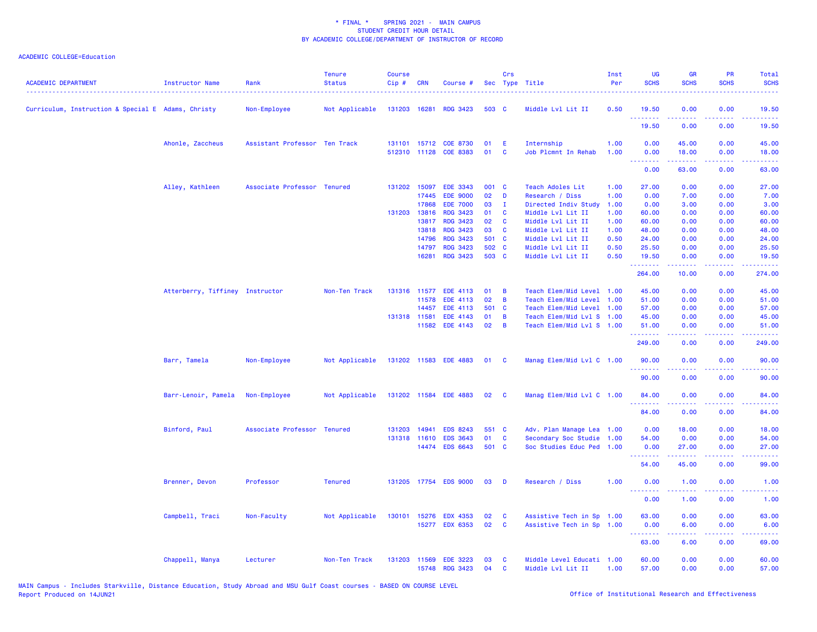| <b>ACADEMIC DEPARTMENT</b>                         | <b>Instructor Name</b>          | Rank                          | <b>Tenure</b><br><b>Status</b> | <b>Course</b><br>Cip# | <b>CRN</b>   | Course #              |       | Crs                     | Sec Type Title            | Inst<br>Per | UG<br><b>SCHS</b>               | <b>GR</b><br><b>SCHS</b>                                                                                                           | PR<br><b>SCHS</b>     | Total<br><b>SCHS</b>                                                                                                               |
|----------------------------------------------------|---------------------------------|-------------------------------|--------------------------------|-----------------------|--------------|-----------------------|-------|-------------------------|---------------------------|-------------|---------------------------------|------------------------------------------------------------------------------------------------------------------------------------|-----------------------|------------------------------------------------------------------------------------------------------------------------------------|
| Curriculum, Instruction & Special E Adams, Christy |                                 | Non-Employee                  | Not Applicable                 |                       | 131203 16281 | <b>RDG 3423</b>       | 503 C |                         | Middle Lvl Lit II         | 0.50        | 19.50                           | 0.00                                                                                                                               | 0.00                  | 19.50                                                                                                                              |
|                                                    |                                 |                               |                                |                       |              |                       |       |                         |                           |             | .<br>19.50                      | 0.00                                                                                                                               | 0.00                  | 19.50                                                                                                                              |
|                                                    | Ahonle, Zaccheus                | Assistant Professor Ten Track |                                |                       |              | 131101 15712 COE 8730 | 01    | Ε                       | Internship                | 1.00        | 0.00                            | 45.00                                                                                                                              | 0.00                  | 45.00                                                                                                                              |
|                                                    |                                 |                               |                                |                       |              | 512310 11128 COE 8383 | 01    | C                       | Job Plcmnt In Rehab       | 1.00        | 0.00<br>.                       | 18.00<br>.                                                                                                                         | 0.00<br>.             | 18.00<br>.                                                                                                                         |
|                                                    |                                 |                               |                                |                       |              |                       |       |                         |                           |             | 0.00                            | 63.00                                                                                                                              | 0.00                  | 63.00                                                                                                                              |
|                                                    | Alley, Kathleen                 | Associate Professor Tenured   |                                |                       | 131202 15097 | EDE 3343              | 001 C |                         | Teach Adoles Lit          | 1.00        | 27.00                           | 0.00                                                                                                                               | 0.00                  | 27.00                                                                                                                              |
|                                                    |                                 |                               |                                |                       | 17445        | <b>EDE 9000</b>       | 02    | D                       | Research / Diss           | 1.00        | 0.00                            | 7.00                                                                                                                               | 0.00                  | 7.00                                                                                                                               |
|                                                    |                                 |                               |                                |                       | 17868        | <b>EDE 7000</b>       | 03    | $\mathbf{I}$            | Directed Indiv Study      | 1.00        | 0.00                            | 3.00                                                                                                                               | 0.00                  | 3.00                                                                                                                               |
|                                                    |                                 |                               |                                |                       | 131203 13816 | <b>RDG 3423</b>       | 01    | C                       | Middle Lvl Lit II         | 1.00        | 60.00                           | 0.00                                                                                                                               | 0.00                  | 60.00                                                                                                                              |
|                                                    |                                 |                               |                                |                       | 13817        | <b>RDG 3423</b>       | 02    | <b>C</b>                | Middle Lvl Lit II         | 1.00        | 60.00                           | 0.00                                                                                                                               | 0.00                  | 60.00                                                                                                                              |
|                                                    |                                 |                               |                                |                       | 13818        | <b>RDG 3423</b>       | 03    | C                       | Middle Lvl Lit II         | 1.00        | 48.00                           | 0.00                                                                                                                               | 0.00                  | 48.00                                                                                                                              |
|                                                    |                                 |                               |                                |                       | 14796        | <b>RDG 3423</b>       | 501 C |                         | Middle Lvl Lit II         | 0.50        | 24.00                           | 0.00                                                                                                                               | 0.00                  | 24.00                                                                                                                              |
|                                                    |                                 |                               |                                |                       | 14797        | <b>RDG 3423</b>       | 502 C |                         | Middle Lvl Lit II         | 0.50        | 25.50                           | 0.00                                                                                                                               | 0.00                  | 25.50                                                                                                                              |
|                                                    |                                 |                               |                                |                       | 16281        | <b>RDG 3423</b>       | 503 C |                         | Middle Lvl Lit II         | 0.50        | 19.50<br>.                      | 0.00                                                                                                                               | 0.00                  | 19.50<br>.                                                                                                                         |
|                                                    |                                 |                               |                                |                       |              |                       |       |                         |                           |             | 264.00                          | 10.00                                                                                                                              | 0.00                  | 274.00                                                                                                                             |
|                                                    | Atterberry, Tiffiney Instructor |                               | Non-Ten Track                  |                       | 131316 11577 | EDE 4113              | 01    | $\overline{B}$          | Teach Elem/Mid Level 1.00 |             | 45.00                           | 0.00                                                                                                                               | 0.00                  | 45.00                                                                                                                              |
|                                                    |                                 |                               |                                |                       | 11578        | <b>EDE 4113</b>       | 02    | B                       | Teach Elem/Mid Level      | 1.00        | 51.00                           | 0.00                                                                                                                               | 0.00                  | 51.00                                                                                                                              |
|                                                    |                                 |                               |                                |                       | 14457        | EDE 4113              | 501 C |                         | Teach Elem/Mid Level      | 1.00        | 57.00                           | 0.00                                                                                                                               | 0.00                  | 57.00                                                                                                                              |
|                                                    |                                 |                               |                                |                       | 131318 11581 | EDE 4143              | 01    | B                       | Teach Elem/Mid Lvl S 1.00 |             | 45.00                           | 0.00                                                                                                                               | 0.00                  | 45.00                                                                                                                              |
|                                                    |                                 |                               |                                |                       | 11582        | <b>EDE 4143</b>       | 02    | B                       | Teach Elem/Mid Lvl S 1.00 |             | 51.00                           | 0.00                                                                                                                               | 0.00                  | 51.00                                                                                                                              |
|                                                    |                                 |                               |                                |                       |              |                       |       |                         |                           |             | .<br>249.00                     | 0.00                                                                                                                               | 0.00                  | .<br>249.00                                                                                                                        |
|                                                    | Barr, Tamela                    | Non-Employee                  | Not Applicable                 |                       |              | 131202 11583 EDE 4883 | 01    | $\mathbf{C}$            | Manag Elem/Mid Lvl C 1.00 |             | 90.00<br>.                      | 0.00                                                                                                                               | 0.00                  | 90.00                                                                                                                              |
|                                                    |                                 |                               |                                |                       |              |                       |       |                         |                           |             | 90.00                           | 0.00                                                                                                                               | 0.00                  | $\frac{1}{2} \left( \frac{1}{2} \right) \left( \frac{1}{2} \right) \left( \frac{1}{2} \right) \left( \frac{1}{2} \right)$<br>90.00 |
|                                                    | Barr-Lenoir, Pamela             | Non-Employee                  | Not Applicable                 |                       |              | 131202 11584 EDE 4883 | 02    | $\overline{\mathbf{C}}$ | Manag Elem/Mid Lvl C 1.00 |             | 84.00                           | 0.00                                                                                                                               | 0.00                  | 84.00                                                                                                                              |
|                                                    |                                 |                               |                                |                       |              |                       |       |                         |                           |             | . <b>.</b><br>84.00             | 0.00                                                                                                                               | .<br>0.00             | 84.00                                                                                                                              |
|                                                    |                                 |                               |                                |                       |              |                       |       |                         |                           |             |                                 |                                                                                                                                    |                       |                                                                                                                                    |
|                                                    | Binford, Paul                   | Associate Professor Tenured   |                                |                       | 131203 14941 | <b>EDS 8243</b>       | 551 C |                         | Adv. Plan Manage Lea 1.00 |             | 0.00                            | 18.00                                                                                                                              | 0.00                  | 18.00                                                                                                                              |
|                                                    |                                 |                               |                                |                       | 131318 11610 | <b>EDS 3643</b>       | 01    | C                       | Secondary Soc Studie      | 1.00        | 54.00                           | 0.00                                                                                                                               | 0.00                  | 54.00                                                                                                                              |
|                                                    |                                 |                               |                                |                       | 14474        | <b>EDS 6643</b>       | 501 C |                         | Soc Studies Educ Ped      | 1.00        | 0.00<br><u>.</u>                | 27.00<br>$\frac{1}{2} \left( \frac{1}{2} \right) \left( \frac{1}{2} \right) \left( \frac{1}{2} \right) \left( \frac{1}{2} \right)$ | 0.00                  | 27.00                                                                                                                              |
|                                                    |                                 |                               |                                |                       |              |                       |       |                         |                           |             | 54.00                           | 45.00                                                                                                                              | 0.00                  | 99.00                                                                                                                              |
|                                                    | Brenner, Devon                  | Professor                     | <b>Tenured</b>                 |                       |              | 131205 17754 EDS 9000 | 03    | D                       | Research / Diss           | 1.00        | 0.00                            | 1.00                                                                                                                               | 0.00                  | 1.00                                                                                                                               |
|                                                    |                                 |                               |                                |                       |              |                       |       |                         |                           |             | <u> - - - - - - - -</u><br>0.00 | .<br>1.00                                                                                                                          | $\frac{1}{2}$<br>0.00 | $\frac{1}{2} \left( \frac{1}{2} \right) \left( \frac{1}{2} \right) \left( \frac{1}{2} \right) \left( \frac{1}{2} \right)$<br>1.00  |
|                                                    | Campbell, Traci                 | Non-Faculty                   | Not Applicable                 |                       | 130101 15276 | <b>EDX 4353</b>       | 02    | C                       | Assistive Tech in Sp 1.00 |             | 63.00                           | 0.00                                                                                                                               | 0.00                  | 63.00                                                                                                                              |
|                                                    |                                 |                               |                                |                       | 15277        | <b>EDX 6353</b>       | 02    | C                       | Assistive Tech in Sp 1.00 |             | 0.00<br>.                       | 6.00<br>22222                                                                                                                      | 0.00<br>.             | 6.00<br>وعاعاها                                                                                                                    |
|                                                    |                                 |                               |                                |                       |              |                       |       |                         |                           |             | 63.00                           | 6.00                                                                                                                               | 0.00                  | 69.00                                                                                                                              |
|                                                    | Chappell, Manya                 | Lecturer                      | Non-Ten Track                  | 131203                | 11569        | <b>EDE 3223</b>       | 03    | C                       | Middle Level Educati 1.00 |             | 60.00                           | 0.00                                                                                                                               | 0.00                  | 60.00                                                                                                                              |
|                                                    |                                 |                               |                                |                       | 15748        | <b>RDG 3423</b>       | 04    | C                       | Middle Lvl Lit II         | 1.00        | 57.00                           | 0.00                                                                                                                               | 0.00                  | 57.00                                                                                                                              |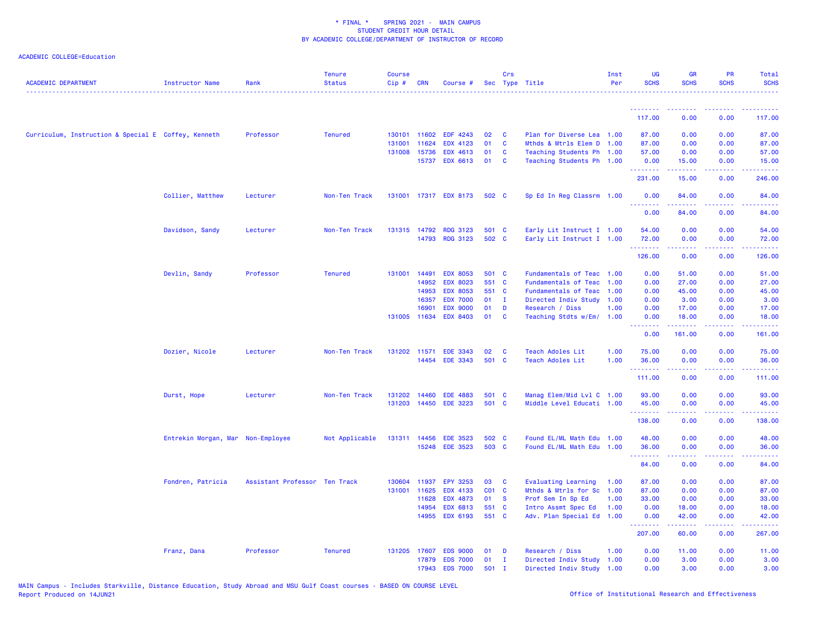| <b>ACADEMIC DEPARTMENT</b>                          | Instructor Name                   | Rank                          | <b>Tenure</b><br><b>Status</b> | Course<br>Cip# | <b>CRN</b>     | Course #                           |              | Crs          | Sec Type Title                                   | Inst<br>Per | <b>UG</b><br><b>SCHS</b> | <b>GR</b><br><b>SCHS</b>                                                                                                                                      | <b>PR</b><br><b>SCHS</b>                                                                                                          | Total<br><b>SCHS</b>                 |
|-----------------------------------------------------|-----------------------------------|-------------------------------|--------------------------------|----------------|----------------|------------------------------------|--------------|--------------|--------------------------------------------------|-------------|--------------------------|---------------------------------------------------------------------------------------------------------------------------------------------------------------|-----------------------------------------------------------------------------------------------------------------------------------|--------------------------------------|
|                                                     |                                   |                               |                                |                |                |                                    |              |              |                                                  |             | ---------                | . <u>.</u>                                                                                                                                                    | . <b>.</b>                                                                                                                        | .                                    |
|                                                     |                                   |                               |                                |                |                |                                    |              |              |                                                  |             | 117.00                   | 0.00                                                                                                                                                          | 0.00                                                                                                                              | 117.00                               |
| Curriculum, Instruction & Special E Coffey, Kenneth |                                   | Professor                     | <b>Tenured</b>                 | 130101         | 11602          | <b>EDF 4243</b>                    | 02           | C            | Plan for Diverse Lea 1.00                        |             | 87.00                    | 0.00                                                                                                                                                          | 0.00                                                                                                                              | 87.00                                |
|                                                     |                                   |                               |                                | 131001         | 11624          | <b>EDX 4123</b>                    | 01           | $\mathbf{C}$ | Mthds & Mtrls Elem D 1.00                        |             | 87.00                    | 0.00                                                                                                                                                          | 0.00                                                                                                                              | 87.00                                |
|                                                     |                                   |                               |                                |                | 131008 15736   | <b>EDX 4613</b>                    | 01           | C            | Teaching Students Ph 1.00                        |             | 57.00                    | 0.00                                                                                                                                                          | 0.00                                                                                                                              | 57.00                                |
|                                                     |                                   |                               |                                |                | 15737          | <b>EDX 6613</b>                    | 01           | <b>C</b>     | Teaching Students Ph 1.00                        |             | 0.00<br>.                | 15.00<br>.                                                                                                                                                    | 0.00<br>.                                                                                                                         | 15.00<br><u>.</u>                    |
|                                                     |                                   |                               |                                |                |                |                                    |              |              |                                                  |             | 231.00                   | 15.00                                                                                                                                                         | 0.00                                                                                                                              | 246.00                               |
|                                                     | Collier, Matthew                  | Lecturer                      | Non-Ten Track                  | 131001         |                | 17317 EDX 8173                     | 502 C        |              | Sp Ed In Reg Classrm 1.00                        |             | 0.00                     | 84.00                                                                                                                                                         | 0.00                                                                                                                              | 84.00                                |
|                                                     |                                   |                               |                                |                |                |                                    |              |              |                                                  |             | .<br>0.00                | $\frac{1}{2} \left( \frac{1}{2} \right) \left( \frac{1}{2} \right) \left( \frac{1}{2} \right) \left( \frac{1}{2} \right) \left( \frac{1}{2} \right)$<br>84.00 | .<br>0.00                                                                                                                         | .<br>84.00                           |
|                                                     | Davidson, Sandy                   | Lecturer                      | Non-Ten Track                  |                | 131315 14792   | <b>RDG 3123</b>                    | 501 C        |              | Early Lit Instruct I 1.00                        |             | 54.00                    | 0.00                                                                                                                                                          | 0.00                                                                                                                              | 54.00                                |
|                                                     |                                   |                               |                                |                |                | 14793 RDG 3123                     | 502 C        |              | Early Lit Instruct I 1.00                        |             | 72.00<br><u>.</u>        | 0.00<br>.                                                                                                                                                     | 0.00<br>.                                                                                                                         | 72.00<br>المستما                     |
|                                                     |                                   |                               |                                |                |                |                                    |              |              |                                                  |             | 126.00                   | 0.00                                                                                                                                                          | 0.00                                                                                                                              | 126.00                               |
|                                                     | Devlin, Sandy                     | Professor                     | <b>Tenured</b>                 | 131001         | 14491          | <b>EDX 8053</b>                    | 501 C        |              | Fundamentals of Teac 1.00                        |             | 0.00                     | 51.00                                                                                                                                                         | 0.00                                                                                                                              | 51.00                                |
|                                                     |                                   |                               |                                |                | 14952          | <b>EDX 8023</b>                    | 551 C        |              | Fundamentals of Teac                             | 1.00        | 0.00                     | 27.00                                                                                                                                                         | 0.00                                                                                                                              | 27.00                                |
|                                                     |                                   |                               |                                |                | 14953          | <b>EDX 8053</b>                    | 551 C        |              | Fundamentals of Teac 1.00                        |             | 0.00                     | 45.00                                                                                                                                                         | 0.00                                                                                                                              | 45.00                                |
|                                                     |                                   |                               |                                |                | 16357          | <b>EDX 7000</b>                    | 01           | $\mathbf{I}$ | Directed Indiv Study 1.00                        |             | 0.00                     | 3.00                                                                                                                                                          | 0.00                                                                                                                              | 3.00                                 |
|                                                     |                                   |                               |                                |                | 16901          | <b>EDX 9000</b>                    | 01           | D            | Research / Diss                                  | 1.00        | 0.00                     | 17.00                                                                                                                                                         | 0.00                                                                                                                              | 17.00                                |
|                                                     |                                   |                               |                                |                | 131005 11634   | <b>EDX 8403</b>                    | 01           | C            | Teaching Stdts w/Em/                             | 1.00        | 0.00<br>.                | 18.00<br>.                                                                                                                                                    | 0.00<br>.                                                                                                                         | 18.00<br>والمتحدث للمنابذ            |
|                                                     |                                   |                               |                                |                |                |                                    |              |              |                                                  |             | 0.00                     | 161.00                                                                                                                                                        | 0.00                                                                                                                              | 161.00                               |
|                                                     | Dozier, Nicole                    | Lecturer                      | Non-Ten Track                  |                | 131202 11571   | <b>EDE 3343</b>                    | 02           | C            | Teach Adoles Lit                                 | 1.00        | 75.00                    | 0.00                                                                                                                                                          | 0.00                                                                                                                              | 75.00                                |
|                                                     |                                   |                               |                                |                |                | 14454 EDE 3343                     | 501 C        |              | Teach Adoles Lit                                 | 1.00        | 36.00                    | 0.00                                                                                                                                                          | 0.00                                                                                                                              | 36.00                                |
|                                                     |                                   |                               |                                |                |                |                                    |              |              |                                                  |             | .                        | .                                                                                                                                                             | د د د د                                                                                                                           | .                                    |
|                                                     |                                   |                               |                                |                |                |                                    |              |              |                                                  |             | 111.00                   | 0.00                                                                                                                                                          | 0.00                                                                                                                              | 111.00                               |
|                                                     | Durst, Hope                       | Lecturer                      | Non-Ten Track                  | 131202         | 14460          | <b>EDE 4883</b>                    | 501 C        |              | Manag Elem/Mid Lvl C 1.00                        |             | 93.00                    | 0.00                                                                                                                                                          | 0.00                                                                                                                              | 93.00                                |
|                                                     |                                   |                               |                                | 131203         | 14450          | EDE 3223                           | 501 C        |              | Middle Level Educati 1.00                        |             | 45.00<br>222222          | 0.00                                                                                                                                                          | 0.00<br>.                                                                                                                         | 45.00<br>$\sim$ $\sim$ $\sim$ $\sim$ |
|                                                     |                                   |                               |                                |                |                |                                    |              |              |                                                  |             | 138.00                   | 0.00                                                                                                                                                          | 0.00                                                                                                                              | 138.00                               |
|                                                     | Entrekin Morgan, Mar Non-Employee |                               | Not Applicable                 |                | 131311 14456   | <b>EDE 3523</b>                    | 502 C        |              | Found EL/ML Math Edu 1.00                        |             | 48.00                    | 0.00                                                                                                                                                          | 0.00                                                                                                                              | 48.00                                |
|                                                     |                                   |                               |                                |                |                | 15248 EDE 3523                     | 503 C        |              | Found EL/ML Math Edu 1.00                        |             | 36.00<br><u>.</u>        | 0.00<br>.                                                                                                                                                     | 0.00<br>$\frac{1}{2} \left( \frac{1}{2} \right) \left( \frac{1}{2} \right) \left( \frac{1}{2} \right) \left( \frac{1}{2} \right)$ | 36.00<br>.                           |
|                                                     |                                   |                               |                                |                |                |                                    |              |              |                                                  |             | 84.00                    | 0.00                                                                                                                                                          | 0.00                                                                                                                              | 84.00                                |
|                                                     | Fondren, Patricia                 | Assistant Professor Ten Track |                                | 130604         | 11937          | <b>EPY 3253</b>                    | 03           | C            | <b>Evaluating Learning</b>                       | 1.00        | 87.00                    | 0.00                                                                                                                                                          | 0.00                                                                                                                              | 87.00                                |
|                                                     |                                   |                               |                                | 131001         | 11625          | <b>EDX 4133</b>                    | CO1 C        |              | Mthds & Mtrls for Sc                             | 1.00        | 87.00                    | 0.00                                                                                                                                                          | 0.00                                                                                                                              | 87.00                                |
|                                                     |                                   |                               |                                |                | 11628          | <b>EDX 4873</b>                    | 01           | <b>S</b>     | Prof Sem In Sp Ed                                | 1.00        | 33.00                    | 0.00                                                                                                                                                          | 0.00                                                                                                                              | 33.00                                |
|                                                     |                                   |                               |                                |                | 14954<br>14955 | <b>EDX 6813</b><br><b>EDX 6193</b> | 551<br>551 C | $\mathbf{C}$ | Intro Assmt Spec Ed<br>Adv. Plan Special Ed 1.00 | 1.00        | 0.00<br>0.00             | 18.00<br>42.00                                                                                                                                                | 0.00<br>0.00                                                                                                                      | 18.00<br>42.00                       |
|                                                     |                                   |                               |                                |                |                |                                    |              |              |                                                  |             | <u>.</u>                 | .                                                                                                                                                             | د د د د .                                                                                                                         | .                                    |
|                                                     |                                   |                               |                                |                |                |                                    |              |              |                                                  |             | 207.00                   | 60.00                                                                                                                                                         | 0.00                                                                                                                              | 267.00                               |
|                                                     | Franz, Dana                       | Professor                     | <b>Tenured</b>                 |                | 131205 17607   | <b>EDS 9000</b>                    | 01           | D            | Research / Diss                                  | 1.00        | 0.00                     | 11.00                                                                                                                                                         | 0.00                                                                                                                              | 11.00                                |
|                                                     |                                   |                               |                                |                | 17879          | <b>EDS 7000</b>                    | 01           | $\mathbf{I}$ | Directed Indiv Study 1.00                        |             | 0.00                     | 3.00                                                                                                                                                          | 0.00                                                                                                                              | 3.00                                 |
|                                                     |                                   |                               |                                |                | 17943          | <b>EDS 7000</b>                    | 501          | $\mathbf I$  | Directed Indiv Study 1.00                        |             | 0.00                     | 3.00                                                                                                                                                          | 0.00                                                                                                                              | 3.00                                 |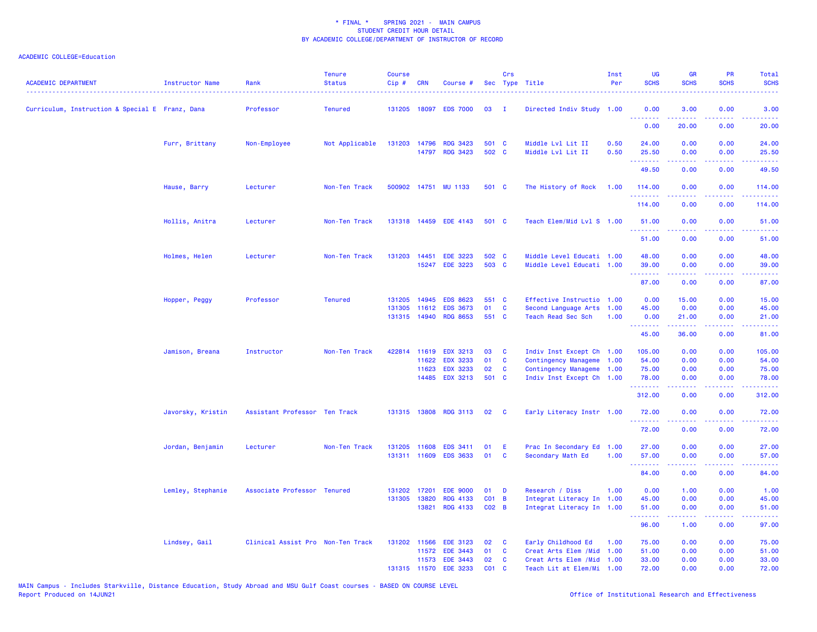| <b>ACADEMIC DEPARTMENT</b>                      | <b>Instructor Name</b> | Rank                              | <b>Tenure</b><br><b>Status</b> | Course<br>$Cip$ # | CRN                   | Course #                           |                 | Crs           | Sec Type Title                                         | Inst<br>Per  | <b>UG</b><br><b>SCHS</b> | <b>GR</b><br><b>SCHS</b>                                                                                                                                     | <b>PR</b><br><b>SCHS</b> | Total<br><b>SCHS</b> |
|-------------------------------------------------|------------------------|-----------------------------------|--------------------------------|-------------------|-----------------------|------------------------------------|-----------------|---------------|--------------------------------------------------------|--------------|--------------------------|--------------------------------------------------------------------------------------------------------------------------------------------------------------|--------------------------|----------------------|
| Curriculum, Instruction & Special E Franz, Dana |                        | Professor                         | <b>Tenured</b>                 |                   | 131205 18097          | <b>EDS 7000</b>                    | 03              | $\mathbf{I}$  | Directed Indiv Study 1.00                              |              | 0.00<br><u>.</u>         | 3.00<br>د د د د د                                                                                                                                            | 0.00<br>وعاويا           | 3.00                 |
|                                                 |                        |                                   |                                |                   |                       |                                    |                 |               |                                                        |              | 0.00                     | 20.00                                                                                                                                                        | 0.00                     | المستما<br>20.00     |
|                                                 | Furr, Brittany         | Non-Employee                      | Not Applicable                 | 131203 14796      |                       | <b>RDG 3423</b>                    | 501 C           |               | Middle Lvl Lit II                                      | 0.50         | 24.00                    | 0.00                                                                                                                                                         | 0.00                     | 24.00                |
|                                                 |                        |                                   |                                |                   |                       | 14797 RDG 3423                     | 502 C           |               | Middle Lvl Lit II                                      | 0.50         | 25.50<br>.               | 0.00<br>$\frac{1}{2} \left( \frac{1}{2} \right) \left( \frac{1}{2} \right) \left( \frac{1}{2} \right) \left( \frac{1}{2} \right) \left( \frac{1}{2} \right)$ | 0.00<br>.                | 25.50<br>.           |
|                                                 |                        |                                   |                                |                   |                       |                                    |                 |               |                                                        |              | 49.50                    | 0.00                                                                                                                                                         | 0.00                     | 49.50                |
|                                                 | Hause, Barry           | Lecturer                          | Non-Ten Track                  |                   |                       | 500902 14751 MU 1133               | 501 C           |               | The History of Rock                                    | 1.00         | 114.00<br>.              | 0.00<br>.                                                                                                                                                    | 0.00                     | 114.00<br>22222      |
|                                                 |                        |                                   |                                |                   |                       |                                    |                 |               |                                                        |              | 114.00                   | 0.00                                                                                                                                                         | 0.00                     | 114.00               |
|                                                 | Hollis, Anitra         | Lecturer                          | Non-Ten Track                  | 131318 14459      |                       | <b>EDE 4143</b>                    | 501 C           |               | Teach Elem/Mid Lvl S 1.00                              |              | 51.00                    | 0.00                                                                                                                                                         | 0.00                     | 51.00                |
|                                                 |                        |                                   |                                |                   |                       |                                    |                 |               |                                                        |              | .<br>51.00               | .<br>0.00                                                                                                                                                    | د د د د<br>0.00          | .<br>51.00           |
|                                                 | Holmes, Helen          | Lecturer                          | Non-Ten Track                  |                   | 131203 14451          | <b>EDE 3223</b>                    | 502 C           |               | Middle Level Educati 1.00                              |              | 48.00                    | 0.00                                                                                                                                                         | 0.00                     | 48.00                |
|                                                 |                        |                                   |                                |                   |                       | 15247 EDE 3223                     | 503 C           |               | Middle Level Educati 1.00                              |              | 39.00<br>.               | 0.00<br>.                                                                                                                                                    | 0.00<br>.                | 39.00<br>.           |
|                                                 |                        |                                   |                                |                   |                       |                                    |                 |               |                                                        |              | 87.00                    | 0.00                                                                                                                                                         | 0.00                     | 87.00                |
|                                                 | Hopper, Peggy          | Professor                         | <b>Tenured</b>                 | 131205            | 14945                 | <b>EDS 8623</b>                    | 551 C           |               | Effective Instructio 1.00                              |              | 0.00                     | 15.00                                                                                                                                                        | 0.00                     | 15.00                |
|                                                 |                        |                                   |                                | 131305            | 11612<br>131315 14940 | <b>EDS 3673</b><br><b>RDG 8653</b> | 01<br>551 C     | C             | Second Language Arts<br>Teach Read Sec Sch             | 1.00<br>1.00 | 45.00<br>0.00            | 0.00<br>21.00                                                                                                                                                | 0.00<br>0.00             | 45.00<br>21.00       |
|                                                 |                        |                                   |                                |                   |                       |                                    |                 |               |                                                        |              | .                        | .                                                                                                                                                            | .                        | .                    |
|                                                 |                        |                                   |                                |                   |                       |                                    |                 |               |                                                        |              | 45.00                    | 36.00                                                                                                                                                        | 0.00                     | 81.00                |
|                                                 | Jamison, Breana        | Instructor                        | Non-Ten Track                  |                   | 422814 11619          | <b>EDX 3213</b>                    | 03              | C             | Indiv Inst Except Ch 1.00                              |              | 105.00                   | 0.00                                                                                                                                                         | 0.00                     | 105.00               |
|                                                 |                        |                                   |                                |                   | 11622<br>11623        | <b>EDX 3233</b><br><b>EDX 3233</b> | 01<br>02        | C<br>C        | Contingency Manageme 1.00<br>Contingency Manageme 1.00 |              | 54.00<br>75.00           | 0.00<br>0.00                                                                                                                                                 | 0.00<br>0.00             | 54.00<br>75.00       |
|                                                 |                        |                                   |                                |                   | 14485                 | <b>EDX 3213</b>                    | 501 C           |               | Indiv Inst Except Ch 1.00                              |              | 78.00                    | 0.00                                                                                                                                                         | 0.00                     | 78.00                |
|                                                 |                        |                                   |                                |                   |                       |                                    |                 |               |                                                        |              | .<br>312.00              | .<br>0.00                                                                                                                                                    | .<br>0.00                | .<br>312.00          |
|                                                 | Javorsky, Kristin      | Assistant Professor Ten Track     |                                |                   |                       | 131315 13808 RDG 3113              | 02              | <b>C</b>      | Early Literacy Instr 1.00                              |              | 72.00                    | 0.00                                                                                                                                                         | 0.00                     | 72.00                |
|                                                 |                        |                                   |                                |                   |                       |                                    |                 |               |                                                        |              | .<br>72.00               | 0.00                                                                                                                                                         | 0.00                     | .<br>72.00           |
|                                                 |                        |                                   |                                |                   |                       |                                    |                 |               |                                                        |              |                          |                                                                                                                                                              |                          |                      |
|                                                 | Jordan, Benjamin       | Lecturer                          | Non-Ten Track                  | 131205            | 11608                 | EDS 3411<br>131311 11609 EDS 3633  | 01<br>01        | Æ<br><b>C</b> | Prac In Secondary Ed 1.00<br>Secondary Math Ed         | 1.00         | 27.00<br>57.00           | 0.00<br>0.00                                                                                                                                                 | 0.00<br>0.00             | 27.00<br>57.00       |
|                                                 |                        |                                   |                                |                   |                       |                                    |                 |               |                                                        |              | .<br>84.00               | $\frac{1}{2} \left( \frac{1}{2} \right) \left( \frac{1}{2} \right) \left( \frac{1}{2} \right) \left( \frac{1}{2} \right) \left( \frac{1}{2} \right)$<br>0.00 | 22222<br>0.00            | .<br>84.00           |
|                                                 |                        |                                   |                                |                   |                       |                                    |                 |               |                                                        |              |                          |                                                                                                                                                              |                          |                      |
|                                                 | Lemley, Stephanie      | Associate Professor Tenured       |                                | 131202            | 17201                 | <b>EDE 9000</b>                    | 01              | D             | Research / Diss                                        | 1.00         | 0.00                     | 1.00                                                                                                                                                         | 0.00                     | 1.00                 |
|                                                 |                        |                                   |                                | 131305            | 13820                 | <b>RDG 4133</b>                    | $CO1$ B         |               | Integrat Literacy In 1.00                              |              | 45.00                    | 0.00                                                                                                                                                         | 0.00                     | 45.00                |
|                                                 |                        |                                   |                                |                   | 13821                 | <b>RDG 4133</b>                    | $CO2$ B         |               | Integrat Literacy In 1.00                              |              | 51.00<br>.               | 0.00<br>$\frac{1}{2} \left( \frac{1}{2} \right) \left( \frac{1}{2} \right) \left( \frac{1}{2} \right) \left( \frac{1}{2} \right) \left( \frac{1}{2} \right)$ | 0.00<br>.                | 51.00<br>.           |
|                                                 |                        |                                   |                                |                   |                       |                                    |                 |               |                                                        |              | 96.00                    | 1.00                                                                                                                                                         | 0.00                     | 97.00                |
|                                                 | Lindsey, Gail          | Clinical Assist Pro Non-Ten Track |                                | 131202 11566      |                       | <b>EDE 3123</b>                    | 02              | - C           | Early Childhood Ed                                     | 1.00         | 75.00                    | 0.00                                                                                                                                                         | 0.00                     | 75.00                |
|                                                 |                        |                                   |                                |                   | 11572                 | <b>EDE 3443</b>                    | 01              | <b>C</b>      | Creat Arts Elem /Mid                                   | 1.00         | 51.00                    | 0.00                                                                                                                                                         | 0.00                     | 51.00                |
|                                                 |                        |                                   |                                |                   | 11573                 | <b>EDE 3443</b>                    | 02              | <b>C</b>      | Creat Arts Elem / Mid 1.00                             |              | 33.00                    | 0.00                                                                                                                                                         | 0.00                     | 33.00                |
|                                                 |                        |                                   |                                | 131315 11570      |                       | <b>EDE 3233</b>                    | CO <sub>1</sub> | <b>C</b>      | Teach Lit at Elem/Mi 1.00                              |              | 72.00                    | 0.00                                                                                                                                                         | 0.00                     | 72.00                |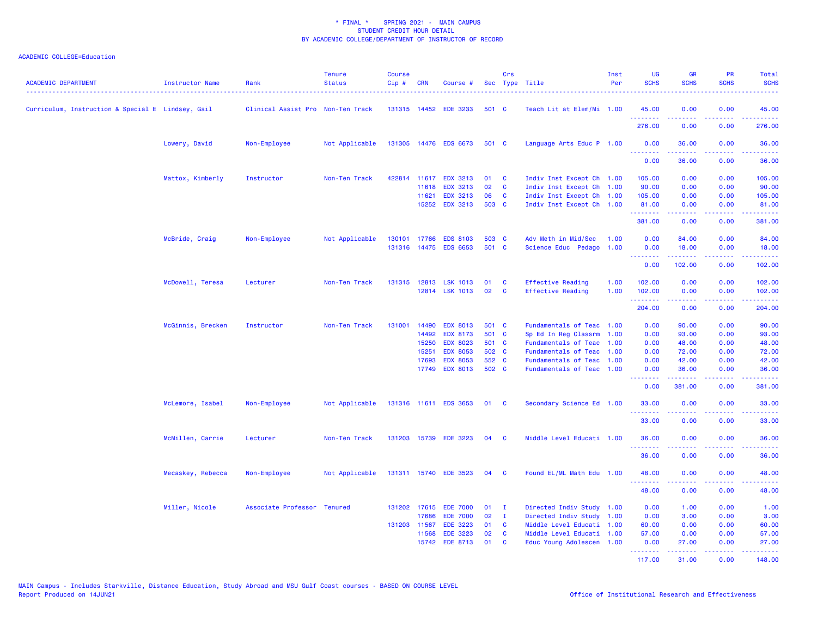| <b>ACADEMIC DEPARTMENT</b>                        | Instructor Name   | Rank                              | <b>Tenure</b><br><b>Status</b> | <b>Course</b><br>Cip# | <b>CRN</b>   | Course #              |       | Crs          | Sec Type Title            | Inst<br>Per | <b>UG</b><br><b>SCHS</b> | <b>GR</b><br><b>SCHS</b> | PR<br><b>SCHS</b>                   | <b>Total</b><br><b>SCHS</b> |
|---------------------------------------------------|-------------------|-----------------------------------|--------------------------------|-----------------------|--------------|-----------------------|-------|--------------|---------------------------|-------------|--------------------------|--------------------------|-------------------------------------|-----------------------------|
| Curriculum, Instruction & Special E Lindsey, Gail |                   | Clinical Assist Pro Non-Ten Track |                                |                       |              | 131315 14452 EDE 3233 | 501 C |              | Teach Lit at Elem/Mi 1.00 |             | 45.00                    | 0.00                     | 0.00                                | 45.00                       |
|                                                   |                   |                                   |                                |                       |              |                       |       |              |                           |             | 276.00                   | 0.00                     | 0.00                                | 276.00                      |
|                                                   | Lowery, David     | Non-Employee                      | Not Applicable                 |                       |              | 131305 14476 EDS 6673 | 501 C |              | Language Arts Educ P 1.00 |             | 0.00<br><u>.</u>         | 36.00<br>.               | 0.00<br>د د د د                     | 36.00<br>.                  |
|                                                   |                   |                                   |                                |                       |              |                       |       |              |                           |             | 0.00                     | 36.00                    | 0.00                                | 36.00                       |
|                                                   | Mattox, Kimberly  | Instructor                        | Non-Ten Track                  | 422814                | 11617        | <b>EDX 3213</b>       | 01    | C            | Indiv Inst Except Ch 1.00 |             | 105.00                   | 0.00                     | 0.00                                | 105.00                      |
|                                                   |                   |                                   |                                |                       | 11618        | <b>EDX 3213</b>       | 02    | C            | Indiv Inst Except Ch 1.00 |             | 90.00                    | 0.00                     | 0.00                                | 90.00                       |
|                                                   |                   |                                   |                                |                       | 11621        | <b>EDX 3213</b>       | 06    | C            | Indiv Inst Except Ch 1.00 |             | 105.00                   | 0.00                     | 0.00                                | 105.00                      |
|                                                   |                   |                                   |                                |                       |              | 15252 EDX 3213        | 503 C |              | Indiv Inst Except Ch 1.00 |             | 81.00<br>.               | 0.00<br>المتمام والمناور | 0.00<br>22222                       | 81.00<br>.                  |
|                                                   |                   |                                   |                                |                       |              |                       |       |              |                           |             | 381.00                   | 0.00                     | 0.00                                | 381.00                      |
|                                                   | McBride, Craig    | Non-Employee                      | Not Applicable                 | 130101                | 17766        | <b>EDS 8103</b>       | 503 C |              | Adv Meth in Mid/Sec       | 1.00        | 0.00                     | 84.00                    | 0.00                                | 84.00                       |
|                                                   |                   |                                   |                                |                       |              | 131316 14475 EDS 6653 | 501 C |              | Science Educ Pedago 1.00  |             | 0.00<br><b></b>          | 18.00<br>.               | 0.00<br>.                           | 18.00<br><u>.</u>           |
|                                                   |                   |                                   |                                |                       |              |                       |       |              |                           |             | 0.00                     | 102.00                   | 0.00                                | 102.00                      |
|                                                   | McDowell, Teresa  | Lecturer                          | Non-Ten Track                  |                       |              | 131315 12813 LSK 1013 | 01    | C            | <b>Effective Reading</b>  | 1.00        | 102.00                   | 0.00                     | 0.00                                | 102.00                      |
|                                                   |                   |                                   |                                |                       | 12814        | <b>LSK 1013</b>       | 02    | C            | <b>Effective Reading</b>  | 1.00        | 102.00                   | 0.00                     | 0.00                                | 102.00                      |
|                                                   |                   |                                   |                                |                       |              |                       |       |              |                           |             | .<br>204.00              | .<br>0.00                | د د د د<br>0.00                     | <u>.</u><br>204.00          |
|                                                   | McGinnis, Brecken | Instructor                        | Non-Ten Track                  | 131001                | 14490        | <b>EDX 8013</b>       | 501 C |              | Fundamentals of Teac 1.00 |             | 0.00                     | 90.00                    | 0.00                                | 90.00                       |
|                                                   |                   |                                   |                                |                       | 14492        | <b>EDX 8173</b>       | 501 C |              | Sp Ed In Reg Classrm      | 1.00        | 0.00                     | 93.00                    | 0.00                                | 93.00                       |
|                                                   |                   |                                   |                                |                       | 15250        | <b>EDX 8023</b>       | 501 C |              | Fundamentals of Teac      | 1.00        | 0.00                     | 48.00                    | 0.00                                | 48.00                       |
|                                                   |                   |                                   |                                |                       | 15251        | <b>EDX 8053</b>       | 502 C |              | Fundamentals of Teac      | 1.00        | 0.00                     | 72.00                    | 0.00                                | 72.00                       |
|                                                   |                   |                                   |                                |                       | 17693        | <b>EDX 8053</b>       | 552   | $\mathbf{C}$ | Fundamentals of Teac      | 1.00        | 0.00                     | 42.00                    | 0.00                                | 42.00                       |
|                                                   |                   |                                   |                                |                       | 17749        | <b>EDX 8013</b>       | 502 C |              | Fundamentals of Teac 1.00 |             | 0.00<br><b></b>          | 36.00<br>.               | 0.00<br>.                           | 36.00<br>.                  |
|                                                   |                   |                                   |                                |                       |              |                       |       |              |                           |             | 0.00                     | 381.00                   | 0.00                                | 381.00                      |
|                                                   | McLemore, Isabel  | Non-Employee                      | Not Applicable                 |                       |              | 131316 11611 EDS 3653 | 01    | $\mathbf{C}$ | Secondary Science Ed 1.00 |             | 33.00<br>.               | 0.00                     | 0.00<br>$\sim$ $\sim$ $\sim$ $\sim$ | 33.00<br>والمستحيل          |
|                                                   |                   |                                   |                                |                       |              |                       |       |              |                           |             | 33.00                    | 0.00                     | 0.00                                | 33.00                       |
|                                                   | McMillen, Carrie  | Lecturer                          | Non-Ten Track                  |                       |              | 131203 15739 EDE 3223 | 04    | <b>C</b>     | Middle Level Educati 1.00 |             | 36.00<br>.               | 0.00                     | 0.00                                | 36.00                       |
|                                                   |                   |                                   |                                |                       |              |                       |       |              |                           |             | 36.00                    | 0.00                     | 0.00                                | 36.00                       |
|                                                   | Mecaskey, Rebecca | Non-Employee                      | Not Applicable                 |                       |              | 131311 15740 EDE 3523 | 04    | <b>C</b>     | Found EL/ML Math Edu 1.00 |             | 48.00                    | 0.00                     | 0.00                                | 48.00                       |
|                                                   |                   |                                   |                                |                       |              |                       |       |              |                           |             | 48.00                    | 0.00                     | 0.00                                | 48.00                       |
|                                                   | Miller, Nicole    | Associate Professor Tenured       |                                |                       | 131202 17615 | <b>EDE 7000</b>       | 01    | $\mathbf{I}$ | Directed Indiv Study      | 1.00        | 0.00                     | 1.00                     | 0.00                                | 1.00                        |
|                                                   |                   |                                   |                                |                       | 17686        | <b>EDE 7000</b>       | 02    | $\mathbf{I}$ | Directed Indiv Study      | 1.00        | 0.00                     | 3.00                     | 0.00                                | 3.00                        |
|                                                   |                   |                                   |                                |                       | 131203 11567 | <b>EDE 3223</b>       | 01    | C            | Middle Level Educati 1.00 |             | 60.00                    | 0.00                     | 0.00                                | 60.00                       |
|                                                   |                   |                                   |                                |                       | 11568        | <b>EDE 3223</b>       | 02    | $\mathbf{C}$ | Middle Level Educati 1.00 |             | 57.00                    | 0.00                     | 0.00                                | 57.00                       |
|                                                   |                   |                                   |                                |                       | 15742        | <b>EDE 8713</b>       | 01    | <b>C</b>     | Educ Young Adolescen 1.00 |             | 0.00<br>.                | 27.00<br>.               | 0.00<br>.                           | 27.00<br>.                  |
|                                                   |                   |                                   |                                |                       |              |                       |       |              |                           |             | 117.00                   | 31.00                    | 0.00                                | 148.00                      |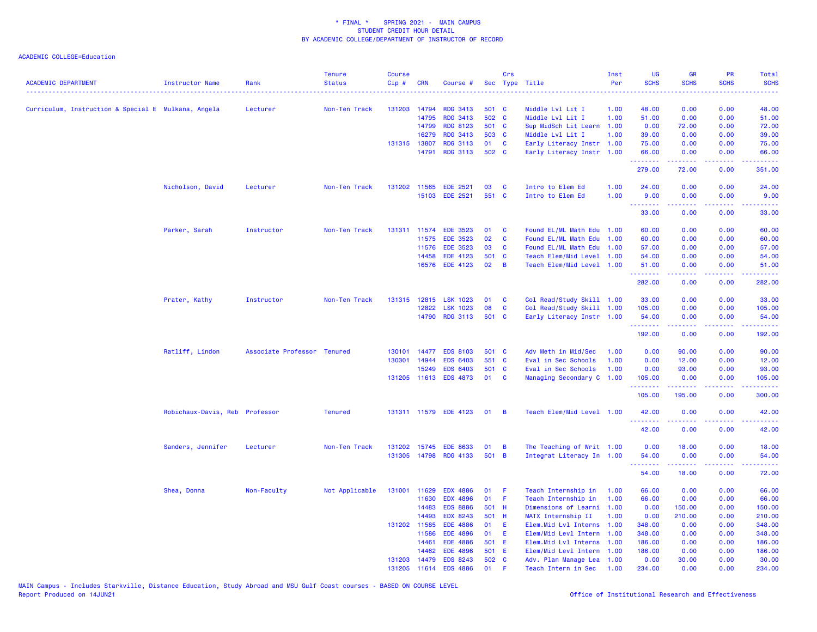| <b>ACADEMIC DEPARTMENT</b>                          | <b>Instructor Name</b>         | Rank                        | <b>Tenure</b><br><b>Status</b> | <b>Course</b><br>Cip# | <b>CRN</b>   | Course #              |       | Crs            | Sec Type Title            | Inst<br>Per | UG<br><b>SCHS</b>   | <b>GR</b><br><b>SCHS</b>                                                                                                                                     | PR<br><b>SCHS</b> | Total<br><b>SCHS</b><br>$\frac{1}{2} \left( \frac{1}{2} \right) \left( \frac{1}{2} \right) \left( \frac{1}{2} \right) \left( \frac{1}{2} \right)$             |
|-----------------------------------------------------|--------------------------------|-----------------------------|--------------------------------|-----------------------|--------------|-----------------------|-------|----------------|---------------------------|-------------|---------------------|--------------------------------------------------------------------------------------------------------------------------------------------------------------|-------------------|---------------------------------------------------------------------------------------------------------------------------------------------------------------|
| Curriculum, Instruction & Special E Mulkana, Angela |                                | Lecturer                    | Non-Ten Track                  | 131203 14794          |              | <b>RDG 3413</b>       | 501 C |                | Middle Lvl Lit I          | 1.00        | 48.00               | 0.00                                                                                                                                                         | 0.00              | 48.00                                                                                                                                                         |
|                                                     |                                |                             |                                |                       | 14795        | <b>RDG 3413</b>       | 502 C |                | Middle Lvl Lit I          | 1.00        | 51.00               | 0.00                                                                                                                                                         | 0.00              | 51.00                                                                                                                                                         |
|                                                     |                                |                             |                                |                       | 14799        | <b>RDG 8123</b>       | 501 C |                | Sup MidSch Lit Learn 1.00 |             | 0.00                | 72.00                                                                                                                                                        | 0.00              | 72.00                                                                                                                                                         |
|                                                     |                                |                             |                                |                       | 16279        | <b>RDG 3413</b>       | 503 C |                | Middle Lvl Lit I          | 1.00        | 39.00               | 0.00                                                                                                                                                         | 0.00              | 39.00                                                                                                                                                         |
|                                                     |                                |                             |                                | 131315 13807          |              | <b>RDG 3113</b>       | 01    | C              | Early Literacy Instr 1.00 |             | 75.00               | 0.00                                                                                                                                                         | 0.00              | 75.00                                                                                                                                                         |
|                                                     |                                |                             |                                |                       | 14791        | <b>RDG 3113</b>       | 502 C |                | Early Literacy Instr 1.00 |             | 66.00<br>.          | 0.00<br>.                                                                                                                                                    | 0.00<br>.         | 66.00<br>.                                                                                                                                                    |
|                                                     |                                |                             |                                |                       |              |                       |       |                |                           |             | 279.00              | 72.00                                                                                                                                                        | 0.00              | 351.00                                                                                                                                                        |
|                                                     | Nicholson, David               | Lecturer                    | Non-Ten Track                  |                       | 131202 11565 | <b>EDE 2521</b>       | 03    | C              | Intro to Elem Ed          | 1.00        | 24.00               | 0.00                                                                                                                                                         | 0.00              | 24.00                                                                                                                                                         |
|                                                     |                                |                             |                                |                       | 15103        | <b>EDE 2521</b>       | 551 C |                | Intro to Elem Ed          | 1.00        | 9.00<br>.           | 0.00                                                                                                                                                         | 0.00<br>.         | 9.00<br>.                                                                                                                                                     |
|                                                     |                                |                             |                                |                       |              |                       |       |                |                           |             | 33.00               | 0.00                                                                                                                                                         | 0.00              | 33.00                                                                                                                                                         |
|                                                     | Parker, Sarah                  | Instructor                  | Non-Ten Track                  |                       | 131311 11574 | <b>EDE 3523</b>       | 01    | C              | Found EL/ML Math Edu 1.00 |             | 60.00               | 0.00                                                                                                                                                         | 0.00              | 60.00                                                                                                                                                         |
|                                                     |                                |                             |                                |                       | 11575        | <b>EDE 3523</b>       | 02    | C              | Found EL/ML Math Edu 1.00 |             | 60.00               | 0.00                                                                                                                                                         | 0.00              | 60.00                                                                                                                                                         |
|                                                     |                                |                             |                                |                       | 11576        | <b>EDE 3523</b>       | 03    | C              | Found EL/ML Math Edu      | 1.00        | 57.00               | 0.00                                                                                                                                                         | 0.00              | 57.00                                                                                                                                                         |
|                                                     |                                |                             |                                |                       | 14458        | <b>EDE 4123</b>       | 501 C |                | Teach Elem/Mid Level 1.00 |             | 54.00               | 0.00                                                                                                                                                         | 0.00              | 54.00                                                                                                                                                         |
|                                                     |                                |                             |                                |                       | 16576        | <b>EDE 4123</b>       | 02    | $\overline{B}$ | Teach Elem/Mid Level 1.00 |             | 51.00<br>.          | 0.00<br>$\frac{1}{2} \left( \frac{1}{2} \right) \left( \frac{1}{2} \right) \left( \frac{1}{2} \right) \left( \frac{1}{2} \right) \left( \frac{1}{2} \right)$ | 0.00<br>.         | 51.00<br><b></b>                                                                                                                                              |
|                                                     |                                |                             |                                |                       |              |                       |       |                |                           |             | 282.00              | 0.00                                                                                                                                                         | 0.00              | 282.00                                                                                                                                                        |
|                                                     | Prater, Kathy                  | Instructor                  | Non-Ten Track                  |                       | 131315 12815 | <b>LSK 1023</b>       | 01    | C              | Col Read/Study Skill 1.00 |             | 33.00               | 0.00                                                                                                                                                         | 0.00              | 33.00                                                                                                                                                         |
|                                                     |                                |                             |                                |                       | 12822        | <b>LSK 1023</b>       | 08    | $\mathbf c$    | Col Read/Study Skill 1.00 |             | 105.00              | 0.00                                                                                                                                                         | 0.00              | 105.00                                                                                                                                                        |
|                                                     |                                |                             |                                |                       | 14790        | <b>RDG 3113</b>       | 501 C |                | Early Literacy Instr 1.00 |             | 54.00<br>.          | 0.00<br>$\frac{1}{2} \left( \frac{1}{2} \right) \left( \frac{1}{2} \right) \left( \frac{1}{2} \right) \left( \frac{1}{2} \right) \left( \frac{1}{2} \right)$ | 0.00<br>.         | 54.00<br>$\frac{1}{2} \left( \frac{1}{2} \right) \left( \frac{1}{2} \right) \left( \frac{1}{2} \right) \left( \frac{1}{2} \right) \left( \frac{1}{2} \right)$ |
|                                                     |                                |                             |                                |                       |              |                       |       |                |                           |             | 192.00              | 0.00                                                                                                                                                         | 0.00              | 192.00                                                                                                                                                        |
|                                                     | Ratliff, Lindon                | Associate Professor Tenured |                                | 130101                | 14477        | <b>EDS 8103</b>       | 501 C |                | Adv Meth in Mid/Sec       | 1.00        | 0.00                | 90.00                                                                                                                                                        | 0.00              | 90.00                                                                                                                                                         |
|                                                     |                                |                             |                                | 130301                | 14944        | <b>EDS 6403</b>       | 551 C |                | Eval in Sec Schools       | 1.00        | 0.00                | 12.00                                                                                                                                                        | 0.00              | 12.00                                                                                                                                                         |
|                                                     |                                |                             |                                |                       | 15249        | <b>EDS 6403</b>       | 501 C |                | Eval in Sec Schools       | 1.00        | 0.00                | 93.00                                                                                                                                                        | 0.00              | 93.00                                                                                                                                                         |
|                                                     |                                |                             |                                |                       | 131205 11613 | <b>EDS 4873</b>       | 01    | <b>C</b>       | Managing Secondary C      | 1.00        | 105.00<br>.         | 0.00                                                                                                                                                         | 0.00              | 105.00                                                                                                                                                        |
|                                                     |                                |                             |                                |                       |              |                       |       |                |                           |             | 105.00              | 195.00                                                                                                                                                       | 0.00              | 300.00                                                                                                                                                        |
|                                                     | Robichaux-Davis, Reb Professor |                             | <b>Tenured</b>                 |                       |              | 131311 11579 EDE 4123 | 01    | - B            | Teach Elem/Mid Level 1.00 |             | 42.00<br>.          | 0.00                                                                                                                                                         | 0.00              | 42.00                                                                                                                                                         |
|                                                     |                                |                             |                                |                       |              |                       |       |                |                           |             | 42.00               | 0.00                                                                                                                                                         | 0.00              | 42.00                                                                                                                                                         |
|                                                     | Sanders, Jennifer              | Lecturer                    | Non-Ten Track                  | 131202                | 15745        | <b>EDE 8633</b>       | 01    | B              | The Teaching of Writ 1.00 |             | 0.00                | 18.00                                                                                                                                                        | 0.00              | 18.00                                                                                                                                                         |
|                                                     |                                |                             |                                |                       | 131305 14798 | <b>RDG 4133</b>       | 501 B |                | Integrat Literacy In 1.00 |             | 54.00               | 0.00                                                                                                                                                         | 0.00              | 54.00                                                                                                                                                         |
|                                                     |                                |                             |                                |                       |              |                       |       |                |                           |             | . <b>.</b><br>54.00 | .<br>18.00                                                                                                                                                   | .<br>0.00         | .<br>72.00                                                                                                                                                    |
|                                                     | Shea, Donna                    | Non-Faculty                 | Not Applicable                 | 131001 11629          |              | <b>EDX 4886</b>       | 01    | F              | Teach Internship in       | 1.00        | 66.00               | 0.00                                                                                                                                                         | 0.00              | 66.00                                                                                                                                                         |
|                                                     |                                |                             |                                |                       | 11630        | <b>EDX 4896</b>       | 01    | F              | Teach Internship in       | 1.00        | 66.00               | 0.00                                                                                                                                                         | 0.00              | 66.00                                                                                                                                                         |
|                                                     |                                |                             |                                |                       | 14483        | <b>EDS 8886</b>       | 501 H |                | Dimensions of Learni      | 1.00        | 0.00                | 150.00                                                                                                                                                       | 0.00              | 150.00                                                                                                                                                        |
|                                                     |                                |                             |                                |                       | 14493        | <b>EDX 8243</b>       | 501 H |                | MATX Internship II        | 1.00        | 0.00                | 210.00                                                                                                                                                       | 0.00              | 210.00                                                                                                                                                        |
|                                                     |                                |                             |                                | 131202 11585          |              | <b>EDE 4886</b>       | 01    | E              | Elem.Mid Lvl Interns      | 1.00        | 348.00              | 0.00                                                                                                                                                         | 0.00              | 348.00                                                                                                                                                        |
|                                                     |                                |                             |                                |                       | 11586        | <b>EDE 4896</b>       | 01    | E              | Elem/Mid Levl Intern      | 1.00        | 348.00              | 0.00                                                                                                                                                         | 0.00              | 348.00                                                                                                                                                        |
|                                                     |                                |                             |                                |                       | 14461        | <b>EDE 4886</b>       | 501   | E              | Elem.Mid Lvl Interns      | 1.00        | 186.00              | 0.00                                                                                                                                                         | 0.00              | 186.00                                                                                                                                                        |
|                                                     |                                |                             |                                |                       | 14462        | <b>EDE 4896</b>       | 501   | E              | Elem/Mid Levl Intern 1.00 |             | 186.00              | 0.00                                                                                                                                                         | 0.00              | 186.00                                                                                                                                                        |
|                                                     |                                |                             |                                | 131203                | 14479        | <b>EDS 8243</b>       | 502 C |                | Adv. Plan Manage Lea      | 1.00        | 0.00                | 30.00                                                                                                                                                        | 0.00              | 30.00                                                                                                                                                         |
|                                                     |                                |                             |                                |                       | 131205 11614 | <b>EDS 4886</b>       | 01    | F              | Teach Intern in Sec       | 1.00        | 234.00              | 0.00                                                                                                                                                         | 0.00              | 234.00                                                                                                                                                        |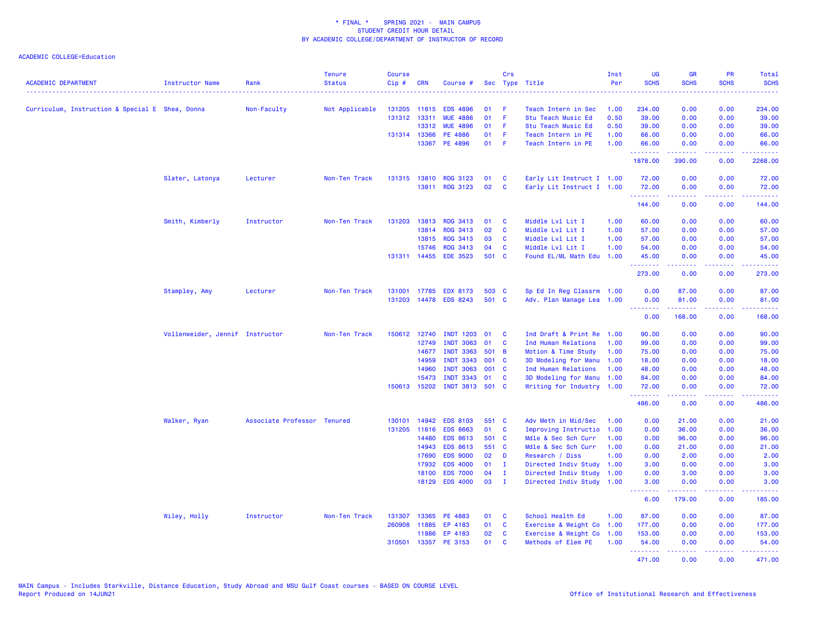| <b>ACADEMIC DEPARTMENT</b>                      | Instructor Name                 | Rank                        | <b>Tenure</b><br><b>Status</b> | <b>Course</b><br>Cip# | <b>CRN</b>   | Course #              |        | Crs          | Sec Type Title            | Inst<br>Per | <b>UG</b><br><b>SCHS</b> | <b>GR</b><br><b>SCHS</b>                                                                                                                                     | <b>PR</b><br><b>SCHS</b> | Total<br><b>SCHS</b>                                                                                                  |
|-------------------------------------------------|---------------------------------|-----------------------------|--------------------------------|-----------------------|--------------|-----------------------|--------|--------------|---------------------------|-------------|--------------------------|--------------------------------------------------------------------------------------------------------------------------------------------------------------|--------------------------|-----------------------------------------------------------------------------------------------------------------------|
| Curriculum, Instruction & Special E Shea, Donna |                                 | Non-Faculty                 | Not Applicable                 | 131205 11615          |              | <b>EDS 4896</b>       | 01     | -F           | Teach Intern in Sec       | 1.00        | 234.00                   | 0.00                                                                                                                                                         | 0.00                     | 234.00                                                                                                                |
|                                                 |                                 |                             |                                |                       | 131312 13311 | <b>MUE 4886</b>       | 01     | F            | Stu Teach Music Ed        | 0.50        | 39.00                    | 0.00                                                                                                                                                         | 0.00                     | 39.00                                                                                                                 |
|                                                 |                                 |                             |                                |                       | 13312        | <b>MUE 4896</b>       | 01     | - F          | Stu Teach Music Ed        | 0.50        | 39.00                    | 0.00                                                                                                                                                         | 0.00                     | 39.00                                                                                                                 |
|                                                 |                                 |                             |                                |                       | 131314 13366 | PE 4886               | 01     | - F          | Teach Intern in PE        | 1.00        | 66.00                    | 0.00                                                                                                                                                         | 0.00                     | 66.00                                                                                                                 |
|                                                 |                                 |                             |                                |                       | 13367        | PE 4896               | $01$ F |              | Teach Intern in PE        | 1.00        | 66.00<br>.               | 0.00<br>.                                                                                                                                                    | 0.00<br>.                | 66.00                                                                                                                 |
|                                                 |                                 |                             |                                |                       |              |                       |        |              |                           |             | 1878.00                  | 390.00                                                                                                                                                       | 0.00                     | 2268.00                                                                                                               |
|                                                 | Slater, Latonya                 | Lecturer                    | Non-Ten Track                  | 131315                | 13810        | <b>RDG 3123</b>       | 01     | <b>C</b>     | Early Lit Instruct I 1.00 |             | 72.00                    | 0.00                                                                                                                                                         | 0.00                     | 72.00                                                                                                                 |
|                                                 |                                 |                             |                                |                       |              | 13811 RDG 3123        | 02     | $\mathbf{C}$ | Early Lit Instruct I 1.00 |             | 72.00                    | 0.00                                                                                                                                                         | 0.00                     | 72.00                                                                                                                 |
|                                                 |                                 |                             |                                |                       |              |                       |        |              |                           |             | .                        | .                                                                                                                                                            |                          |                                                                                                                       |
|                                                 |                                 |                             |                                |                       |              |                       |        |              |                           |             | 144.00                   | 0.00                                                                                                                                                         | 0.00                     | 144.00                                                                                                                |
|                                                 | Smith, Kimberly                 | Instructor                  | Non-Ten Track                  |                       | 131203 13813 | <b>RDG 3413</b>       | 01     | C            | Middle Lvl Lit I          | 1.00        | 60.00                    | 0.00                                                                                                                                                         | 0.00                     | 60.00                                                                                                                 |
|                                                 |                                 |                             |                                |                       | 13814        | <b>RDG 3413</b>       | 02     | $\mathbf{C}$ | Middle Lvl Lit I          | 1.00        | 57.00                    | 0.00                                                                                                                                                         | 0.00                     | 57.00                                                                                                                 |
|                                                 |                                 |                             |                                |                       | 13815        | <b>RDG 3413</b>       | 03     | <b>C</b>     | Middle Lvl Lit I          | 1.00        | 57.00                    | 0.00                                                                                                                                                         | 0.00                     | 57.00                                                                                                                 |
|                                                 |                                 |                             |                                |                       | 15746        | <b>RDG 3413</b>       | 04     | <b>C</b>     | Middle Lvl Lit I          | 1.00        | 54.00                    | 0.00                                                                                                                                                         | 0.00                     | 54.00                                                                                                                 |
|                                                 |                                 |                             |                                |                       |              | 131311 14455 EDE 3523 | 501 C  |              | Found EL/ML Math Edu 1.00 |             | 45.00<br>.               | 0.00<br>.                                                                                                                                                    | 0.00<br>.                | 45.00<br>.                                                                                                            |
|                                                 |                                 |                             |                                |                       |              |                       |        |              |                           |             | 273.00                   | 0.00                                                                                                                                                         | 0.00                     | 273.00                                                                                                                |
|                                                 | Stampley, Amy                   | Lecturer                    | Non-Ten Track                  |                       | 131001 17785 | <b>EDX 8173</b>       | 503 C  |              | Sp Ed In Reg Classrm 1.00 |             | 0.00                     | 87.00                                                                                                                                                        | 0.00                     | 87.00                                                                                                                 |
|                                                 |                                 |                             |                                |                       |              | 131203 14478 EDS 8243 | 501 C  |              | Adv. Plan Manage Lea 1.00 |             | 0.00                     | 81.00                                                                                                                                                        | 0.00                     | 81.00                                                                                                                 |
|                                                 |                                 |                             |                                |                       |              |                       |        |              |                           |             | .<br>0.00                | 2.2.2.2.2.2<br>168.00                                                                                                                                        | 22222<br>0.00            | .<br>168.00                                                                                                           |
|                                                 | Vollenweider, Jennif Instructor |                             | Non-Ten Track                  |                       | 150612 12740 | <b>INDT 1203</b>      | 01     | C            | Ind Draft & Print Re 1.00 |             | 90.00                    | 0.00                                                                                                                                                         | 0.00                     | 90.00                                                                                                                 |
|                                                 |                                 |                             |                                |                       | 12749        | <b>INDT 3063</b>      | 01     | $\mathbf{C}$ | Ind Human Relations       | 1.00        | 99.00                    | 0.00                                                                                                                                                         | 0.00                     | 99.00                                                                                                                 |
|                                                 |                                 |                             |                                |                       | 14677        | <b>INDT 3363</b>      | 501 B  |              | Motion & Time Study       | 1.00        | 75.00                    | 0.00                                                                                                                                                         | 0.00                     | 75.00                                                                                                                 |
|                                                 |                                 |                             |                                |                       | 14959        | <b>INDT 3343</b>      | 001 C  |              | 3D Modeling for Manu 1.00 |             | 18.00                    | 0.00                                                                                                                                                         | 0.00                     | 18.00                                                                                                                 |
|                                                 |                                 |                             |                                |                       | 14960        | <b>INDT 3063</b>      | 001 C  |              | Ind Human Relations       | 1.00        | 48.00                    | 0.00                                                                                                                                                         | 0.00                     | 48.00                                                                                                                 |
|                                                 |                                 |                             |                                |                       | 15473        | <b>INDT 3343</b>      | 01     | C            | 3D Modeling for Manu 1.00 |             | 84.00                    | 0.00                                                                                                                                                         | 0.00                     | 84.00                                                                                                                 |
|                                                 |                                 |                             |                                |                       | 150613 15202 | INDT 3813 501 C       |        |              | Writing for Industry 1.00 |             | 72.00                    | 0.00                                                                                                                                                         | 0.00                     | 72.00                                                                                                                 |
|                                                 |                                 |                             |                                |                       |              |                       |        |              |                           |             | .<br>486.00              | 0.00                                                                                                                                                         | 0.00                     | 486.00                                                                                                                |
|                                                 | Walker, Ryan                    | Associate Professor Tenured |                                | 130101                | 14942        | <b>EDS 8103</b>       | 551 C  |              | Adv Meth in Mid/Sec       | 1.00        | 0.00                     | 21.00                                                                                                                                                        | 0.00                     | 21.00                                                                                                                 |
|                                                 |                                 |                             |                                |                       | 131205 11616 | <b>EDS 8663</b>       | 01     | <b>C</b>     | Improving Instructio      | 1.00        | 0.00                     | 36.00                                                                                                                                                        | 0.00                     | 36.00                                                                                                                 |
|                                                 |                                 |                             |                                |                       | 14480        | <b>EDS 8613</b>       | 501 C  |              | Mdle & Sec Sch Curr       | 1.00        | 0.00                     | 96.00                                                                                                                                                        | 0.00                     | 96.00                                                                                                                 |
|                                                 |                                 |                             |                                |                       | 14943        | <b>EDS 8613</b>       | 551 C  |              | Mdle & Sec Sch Curr       | 1.00        | 0.00                     | 21.00                                                                                                                                                        | 0.00                     | 21.00                                                                                                                 |
|                                                 |                                 |                             |                                |                       | 17690        | <b>EDS 9000</b>       | 02     | D            | Research / Diss           | 1.00        | 0.00                     | 2.00                                                                                                                                                         | 0.00                     | 2.00                                                                                                                  |
|                                                 |                                 |                             |                                |                       | 17932        | <b>EDS 4000</b>       | 01     | $\mathbf I$  | Directed Indiv Study 1.00 |             | 3.00                     | 0.00                                                                                                                                                         | 0.00                     | 3.00                                                                                                                  |
|                                                 |                                 |                             |                                |                       | 18100        | <b>EDS 7000</b>       | 04     | $\mathbf I$  | Directed Indiv Study 1.00 |             | 0.00                     | 3.00                                                                                                                                                         | 0.00                     | 3.00                                                                                                                  |
|                                                 |                                 |                             |                                |                       |              | 18129 EDS 4000        | 03     | $\mathbf{I}$ | Directed Indiv Study 1.00 |             | 3.00                     | 0.00                                                                                                                                                         | 0.00                     | 3.00                                                                                                                  |
|                                                 |                                 |                             |                                |                       |              |                       |        |              |                           |             | .<br>6.00                | <u>.</u><br>179.00                                                                                                                                           | .<br>0.00                | <u>.</u><br>185.00                                                                                                    |
|                                                 | Wiley, Holly                    | Instructor                  | Non-Ten Track                  | 131307                | 13365        | PE 4883               | 01     | $\mathbf{C}$ | School Health Ed          | 1.00        | 87.00                    | 0.00                                                                                                                                                         | 0.00                     | 87.00                                                                                                                 |
|                                                 |                                 |                             |                                | 260908                | 11885        | EP 4183               | 01     | <b>C</b>     | Exercise & Weight Co      | 1.00        | 177.00                   | 0.00                                                                                                                                                         | 0.00                     | 177.00                                                                                                                |
|                                                 |                                 |                             |                                |                       | 11886        | EP 4183               | 02     | $\mathbf{C}$ | Exercise & Weight Co 1.00 |             | 153.00                   | 0.00                                                                                                                                                         | 0.00                     | 153.00                                                                                                                |
|                                                 |                                 |                             |                                |                       |              | 310501 13357 PE 3153  | 01     | <b>C</b>     | Methods of Elem PE        | 1.00        | 54.00                    | 0.00                                                                                                                                                         | 0.00                     | 54.00                                                                                                                 |
|                                                 |                                 |                             |                                |                       |              |                       |        |              |                           |             | .<br>471.00              | $\frac{1}{2} \left( \frac{1}{2} \right) \left( \frac{1}{2} \right) \left( \frac{1}{2} \right) \left( \frac{1}{2} \right) \left( \frac{1}{2} \right)$<br>0.00 | .<br>0.00                | $\begin{array}{cccccccccc} \bullet & \bullet & \bullet & \bullet & \bullet & \bullet & \bullet \end{array}$<br>471.00 |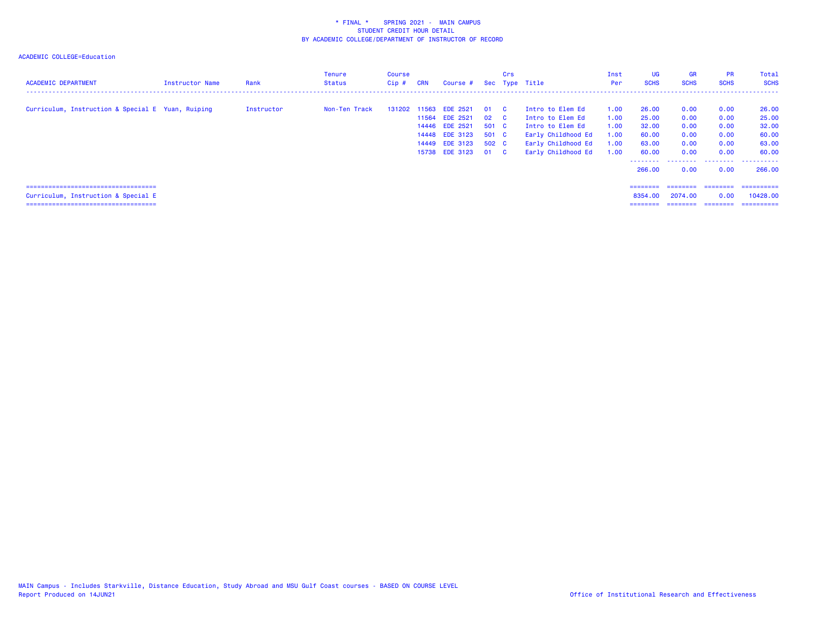| <b>ACADEMIC DEPARTMENT</b>                                                                                            | Instructor Name | Rank       | <b>Tenure</b><br>Status | Course<br>$Cip$ # | <b>CRN</b> | Course #                                                                                                         |                                             | Crs                      | Sec Type Title                                                                                                             | Inst<br>Per                                  | <b>UG</b><br><b>SCHS</b>                                     | <b>GR</b><br><b>SCHS</b>                             | <b>PR</b><br><b>SCHS</b>                             | Total<br><b>SCHS</b>                                                                                  |
|-----------------------------------------------------------------------------------------------------------------------|-----------------|------------|-------------------------|-------------------|------------|------------------------------------------------------------------------------------------------------------------|---------------------------------------------|--------------------------|----------------------------------------------------------------------------------------------------------------------------|----------------------------------------------|--------------------------------------------------------------|------------------------------------------------------|------------------------------------------------------|-------------------------------------------------------------------------------------------------------|
| Curriculum, Instruction & Special E Yuan, Ruiping                                                                     |                 | Instructor | Non-Ten Track           |                   | 11564      | 131202 11563 EDE 2521<br><b>EDE 2521</b><br>14446 EDE 2521<br>14448 EDE 3123<br>14449 EDE 3123<br>15738 EDE 3123 | 01<br>02<br>501 C<br>501 C<br>502 C<br>01 C | $\mathbf{C}$<br><b>C</b> | Intro to Elem Ed<br>Intro to Elem Ed<br>Intro to Elem Ed<br>Early Childhood Ed<br>Early Childhood Ed<br>Early Childhood Ed | 1.00<br>1.00<br>1.00<br>1.00<br>1.00<br>1.00 | 26.00<br>25.00<br>32.00<br>60.00<br>63.00<br>60.00<br>266,00 | 0.00<br>0.00<br>0.00<br>0.00<br>0.00<br>0.00<br>0.00 | 0.00<br>0.00<br>0.00<br>0.00<br>0.00<br>0.00<br>0.00 | 26.00<br>25.00<br>32.00<br>60.00<br>63.00<br>60.00<br>--------  --------  --------  -------<br>266,00 |
| =====================================<br>Curriculum, Instruction & Special E<br>===================================== |                 |            |                         |                   |            |                                                                                                                  |                                             |                          |                                                                                                                            |                                              | $=$ = = = = = = =<br>8354.00<br>========                     | ---------<br>2074.00<br>========                     | ---------<br>0.00<br>---------                       | ==========<br>10428.00<br>==========                                                                  |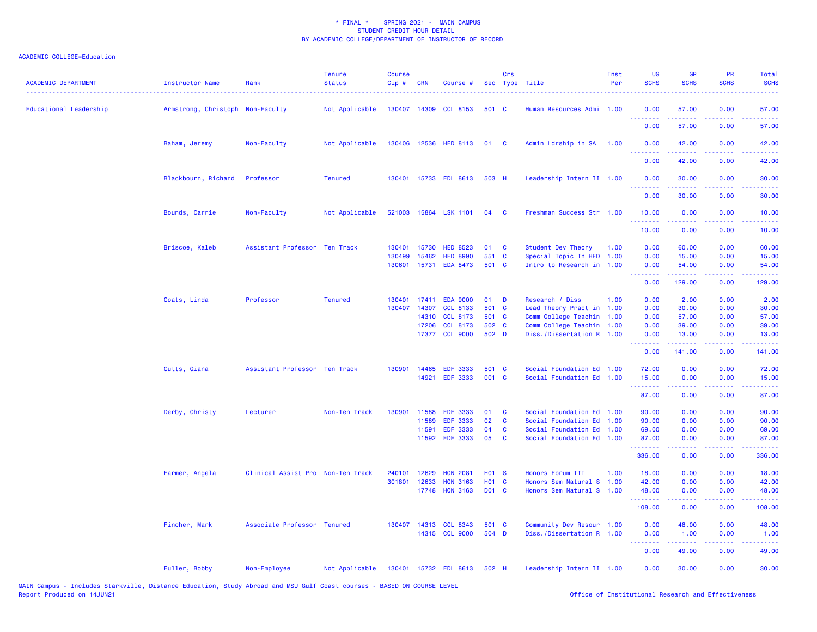| <b>ACADEMIC DEPARTMENT</b> | <b>Instructor Name</b>           | Rank                              | <b>Tenure</b><br><b>Status</b> | <b>Course</b><br>Cip# | <b>CRN</b> | Course #              |                   | Crs      | Sec Type Title            | Inst<br>Per | UG<br><b>SCHS</b>                                        | <b>GR</b><br><b>SCHS</b>                                                                                                                                      | <b>PR</b><br><b>SCHS</b>                                                                                                          | Total<br><b>SCHS</b><br>$\frac{1}{2} \left( \frac{1}{2} \right) \left( \frac{1}{2} \right) \left( \frac{1}{2} \right) \left( \frac{1}{2} \right)$ |
|----------------------------|----------------------------------|-----------------------------------|--------------------------------|-----------------------|------------|-----------------------|-------------------|----------|---------------------------|-------------|----------------------------------------------------------|---------------------------------------------------------------------------------------------------------------------------------------------------------------|-----------------------------------------------------------------------------------------------------------------------------------|---------------------------------------------------------------------------------------------------------------------------------------------------|
| Educational Leadership     | Armstrong, Christoph Non-Faculty |                                   | Not Applicable                 |                       |            | 130407 14309 CCL 8153 | 501 C             |          | Human Resources Admi 1.00 |             | 0.00<br>.                                                | 57.00<br>$\frac{1}{2} \left( \frac{1}{2} \right) \left( \frac{1}{2} \right) \left( \frac{1}{2} \right) \left( \frac{1}{2} \right)$                            | 0.00<br>.                                                                                                                         | 57.00<br>.                                                                                                                                        |
|                            |                                  |                                   |                                |                       |            |                       |                   |          |                           |             | 0.00                                                     | 57.00                                                                                                                                                         | 0.00                                                                                                                              | 57.00                                                                                                                                             |
|                            | Baham, Jeremy                    | Non-Faculty                       | Not Applicable                 |                       |            | 130406 12536 HED 8113 | 01                | <b>C</b> | Admin Ldrship in SA       | 1.00        | 0.00<br>.                                                | 42.00                                                                                                                                                         | 0.00<br><b><i><u>ALL</u></i></b>                                                                                                  | 42.00                                                                                                                                             |
|                            |                                  |                                   |                                |                       |            |                       |                   |          |                           |             | 0.00                                                     | 42.00                                                                                                                                                         | 0.00                                                                                                                              | 42.00                                                                                                                                             |
|                            | Blackbourn, Richard              | Professor                         | <b>Tenured</b>                 |                       |            | 130401 15733 EDL 8613 | 503 H             |          | Leadership Intern II 1.00 |             | 0.00<br>.                                                | 30.00<br>$\frac{1}{2} \left( \frac{1}{2} \right) \left( \frac{1}{2} \right) \left( \frac{1}{2} \right) \left( \frac{1}{2} \right) \left( \frac{1}{2} \right)$ | 0.00<br>د د د د                                                                                                                   | 30.00<br>.                                                                                                                                        |
|                            |                                  |                                   |                                |                       |            |                       |                   |          |                           |             | 0.00                                                     | 30.00                                                                                                                                                         | 0.00                                                                                                                              | 30.00                                                                                                                                             |
|                            | Bounds, Carrie                   | Non-Faculty                       | Not Applicable                 |                       |            | 521003 15864 LSK 1101 | 04                | <b>C</b> | Freshman Success Str 1.00 |             | 10.00<br>.                                               | 0.00<br><u>.</u>                                                                                                                                              | 0.00<br>$\frac{1}{2} \left( \frac{1}{2} \right) \left( \frac{1}{2} \right) \left( \frac{1}{2} \right)$                            | 10.00<br>.                                                                                                                                        |
|                            |                                  |                                   |                                |                       |            |                       |                   |          |                           |             | 10.00                                                    | 0.00                                                                                                                                                          | 0.00                                                                                                                              | 10.00                                                                                                                                             |
|                            | Briscoe, Kaleb                   | Assistant Professor Ten Track     |                                | 130401                | 15730      | <b>HED 8523</b>       | 01                | C        | Student Dev Theory        | 1.00        | 0.00                                                     | 60.00                                                                                                                                                         | 0.00                                                                                                                              | 60.00                                                                                                                                             |
|                            |                                  |                                   |                                | 130499                | 15462      | <b>HED 8990</b>       | 551 C             |          | Special Topic In HED      | 1.00        | 0.00                                                     | 15.00                                                                                                                                                         | 0.00                                                                                                                              | 15.00                                                                                                                                             |
|                            |                                  |                                   |                                | 130601                | 15731      | <b>EDA 8473</b>       | 501 C             |          | Intro to Research in 1.00 |             | 0.00<br>.                                                | 54.00                                                                                                                                                         | 0.00<br><b>.</b>                                                                                                                  | 54.00<br>$\sim$ $\sim$ $\sim$ $\sim$                                                                                                              |
|                            |                                  |                                   |                                |                       |            |                       |                   |          |                           |             | 0.00                                                     | 129.00                                                                                                                                                        | 0.00                                                                                                                              | 129.00                                                                                                                                            |
|                            | Coats, Linda                     | Professor                         | <b>Tenured</b>                 | 130401                | 17411      | <b>EDA 9000</b>       | 01                | D        | Research / Diss           | 1.00        | 0.00                                                     | 2.00                                                                                                                                                          | 0.00                                                                                                                              | 2.00                                                                                                                                              |
|                            |                                  |                                   |                                | 130407                | 14307      | <b>CCL 8133</b>       | 501 C             |          | Lead Theory Pract in      | 1.00        | 0.00                                                     | 30.00                                                                                                                                                         | 0.00                                                                                                                              | 30.00                                                                                                                                             |
|                            |                                  |                                   |                                |                       | 14310      | <b>CCL 8173</b>       | 501 C             |          | Comm College Teachin 1.00 |             | 0.00                                                     | 57.00                                                                                                                                                         | 0.00                                                                                                                              | 57.00                                                                                                                                             |
|                            |                                  |                                   |                                |                       | 17206      | <b>CCL 8173</b>       | 502 C             |          | Comm College Teachin 1.00 |             | 0.00                                                     | 39.00                                                                                                                                                         | 0.00                                                                                                                              | 39.00                                                                                                                                             |
|                            |                                  |                                   |                                |                       |            | 17377 CCL 9000        | 502 D             |          | Diss./Dissertation R 1.00 |             | 0.00<br><u>.</u>                                         | 13.00<br>.                                                                                                                                                    | 0.00<br>.                                                                                                                         | 13.00<br><u>.</u>                                                                                                                                 |
|                            |                                  |                                   |                                |                       |            |                       |                   |          |                           |             | 0.00                                                     | 141.00                                                                                                                                                        | 0.00                                                                                                                              | 141.00                                                                                                                                            |
|                            | Cutts, Qiana                     | Assistant Professor Ten Track     |                                | 130901                | 14465      | <b>EDF 3333</b>       | 501 C             |          | Social Foundation Ed 1.00 |             | 72.00                                                    | 0.00                                                                                                                                                          | 0.00                                                                                                                              | 72.00                                                                                                                                             |
|                            |                                  |                                   |                                |                       | 14921      | <b>EDF 3333</b>       | 001 C             |          | Social Foundation Ed 1.00 |             | 15.00                                                    | 0.00                                                                                                                                                          | 0.00                                                                                                                              | 15.00                                                                                                                                             |
|                            |                                  |                                   |                                |                       |            |                       |                   |          |                           |             | بالمستبقات<br>87.00                                      | 0.00                                                                                                                                                          | <b>.</b><br>0.00                                                                                                                  | 87.00                                                                                                                                             |
|                            | Derby, Christy                   | Lecturer                          | Non-Ten Track                  | 130901                | 11588      | <b>EDF 3333</b>       | 01                | <b>C</b> | Social Foundation Ed 1.00 |             | 90.00                                                    | 0.00                                                                                                                                                          | 0.00                                                                                                                              | 90.00                                                                                                                                             |
|                            |                                  |                                   |                                |                       | 11589      | <b>EDF 3333</b>       | 02                | C        | Social Foundation Ed      | 1.00        | 90.00                                                    | 0.00                                                                                                                                                          | 0.00                                                                                                                              | 90.00                                                                                                                                             |
|                            |                                  |                                   |                                |                       | 11591      | <b>EDF 3333</b>       | 04                | <b>C</b> | Social Foundation Ed 1.00 |             | 69.00                                                    | 0.00                                                                                                                                                          | 0.00                                                                                                                              | 69.00                                                                                                                                             |
|                            |                                  |                                   |                                |                       |            | 11592 EDF 3333        | 05                | C        | Social Foundation Ed 1.00 |             | 87.00<br>.                                               | 0.00<br>.                                                                                                                                                     | 0.00<br>.                                                                                                                         | 87.00<br><u>.</u>                                                                                                                                 |
|                            |                                  |                                   |                                |                       |            |                       |                   |          |                           |             | 336.00                                                   | 0.00                                                                                                                                                          | 0.00                                                                                                                              | 336.00                                                                                                                                            |
|                            | Farmer, Angela                   | Clinical Assist Pro Non-Ten Track |                                | 240101                | 12629      | <b>HON 2081</b>       | H <sub>01</sub> S |          | Honors Forum III          | 1.00        | 18.00                                                    | 0.00                                                                                                                                                          | 0.00                                                                                                                              | 18.00                                                                                                                                             |
|                            |                                  |                                   |                                | 301801                | 12633      | <b>HON 3163</b>       | H01 C             |          | Honors Sem Natural S 1.00 |             | 42.00                                                    | 0.00                                                                                                                                                          | 0.00                                                                                                                              | 42.00                                                                                                                                             |
|                            |                                  |                                   |                                |                       | 17748      | <b>HON 3163</b>       | D01 C             |          | Honors Sem Natural S      | 1.00        | 48.00<br>.                                               | 0.00                                                                                                                                                          | 0.00<br>2222                                                                                                                      | 48.00<br>$\omega$ is $\omega$ in .                                                                                                                |
|                            |                                  |                                   |                                |                       |            |                       |                   |          |                           |             | 108.00                                                   | 0.00                                                                                                                                                          | 0.00                                                                                                                              | 108.00                                                                                                                                            |
|                            | Fincher, Mark                    | Associate Professor Tenured       |                                |                       |            | 130407 14313 CCL 8343 | 501 C             |          | Community Dev Resour 1.00 |             | 0.00                                                     | 48.00                                                                                                                                                         | 0.00                                                                                                                              | 48.00                                                                                                                                             |
|                            |                                  |                                   |                                |                       |            | 14315 CCL 9000        | 504 D             |          | Diss./Dissertation R 1.00 |             | 0.00<br><b><i><u><u><b>Little Little</b></u></u></i></b> | 1.00<br>.                                                                                                                                                     | 0.00<br>$\frac{1}{2} \left( \frac{1}{2} \right) \left( \frac{1}{2} \right) \left( \frac{1}{2} \right) \left( \frac{1}{2} \right)$ | 1.00                                                                                                                                              |
|                            |                                  |                                   |                                |                       |            |                       |                   |          |                           |             | 0.00                                                     | 49.00                                                                                                                                                         | 0.00                                                                                                                              | د د د د د<br>49.00                                                                                                                                |
|                            | Fuller, Bobby                    | Non-Employee                      | Not Applicable                 |                       |            | 130401 15732 EDL 8613 | 502 H             |          | Leadership Intern II 1.00 |             | 0.00                                                     | 30.00                                                                                                                                                         | 0.00                                                                                                                              | 30.00                                                                                                                                             |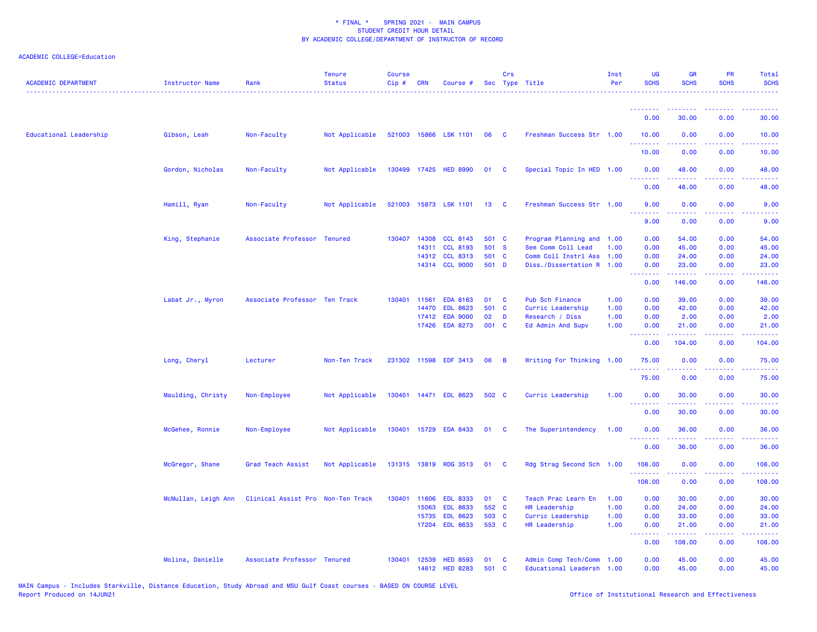| <b>ACADEMIC DEPARTMENT</b> | Instructor Name     | Rank                              | <b>Tenure</b><br><b>Status</b> | <b>Course</b><br>Cip# | <b>CRN</b>   | Course #                          |             | Crs      | Sec Type Title                                    | Inst<br>Per | UG<br><b>SCHS</b>                                          | <b>GR</b><br><b>SCHS</b>                                                                                                                                      | PR<br><b>SCHS</b>                                                                                      | Total<br><b>SCHS</b>   |
|----------------------------|---------------------|-----------------------------------|--------------------------------|-----------------------|--------------|-----------------------------------|-------------|----------|---------------------------------------------------|-------------|------------------------------------------------------------|---------------------------------------------------------------------------------------------------------------------------------------------------------------|--------------------------------------------------------------------------------------------------------|------------------------|
|                            |                     |                                   |                                |                       |              |                                   |             |          |                                                   |             | <b><i><u><u><b>a</b></u></u> a a a a a a a</i></b><br>0.00 | $\frac{1}{2} \left( \frac{1}{2} \right) \left( \frac{1}{2} \right) \left( \frac{1}{2} \right) \left( \frac{1}{2} \right) \left( \frac{1}{2} \right)$<br>30.00 | ----<br>0.00                                                                                           | 30.00                  |
|                            |                     |                                   |                                |                       |              |                                   |             |          |                                                   |             |                                                            |                                                                                                                                                               |                                                                                                        |                        |
| Educational Leadership     | Gibson, Leah        | Non-Faculty                       | Not Applicable                 |                       |              | 521003 15866 LSK 1101             | 06          | - C      | Freshman Success Str 1.00                         |             | 10.00                                                      | 0.00                                                                                                                                                          | 0.00                                                                                                   | 10.00                  |
|                            |                     |                                   |                                |                       |              |                                   |             |          |                                                   |             | 10.00                                                      | 0.00                                                                                                                                                          | 0.00                                                                                                   | 10.00                  |
|                            | Gordon, Nicholas    | Non-Faculty                       | Not Applicable                 |                       |              | 130499 17425 HED 8990             | 01          | <b>C</b> | Special Topic In HED 1.00                         |             | 0.00<br>.                                                  | 48.00<br>$\frac{1}{2} \left( \frac{1}{2} \right) \left( \frac{1}{2} \right) \left( \frac{1}{2} \right) \left( \frac{1}{2} \right)$                            | 0.00<br>.                                                                                              | 48.00<br>.             |
|                            |                     |                                   |                                |                       |              |                                   |             |          |                                                   |             | 0.00                                                       | 48.00                                                                                                                                                         | 0.00                                                                                                   | 48.00                  |
|                            | Hamill, Ryan        | Non-Faculty                       | Not Applicable                 |                       |              | 521003 15873 LSK 1101             | 13          | <b>C</b> | Freshman Success Str 1.00                         |             | 9.00<br><b><i><u><u> - - - - - - -</u></u></i></b>         | 0.00<br>.                                                                                                                                                     | 0.00                                                                                                   | 9.00                   |
|                            |                     |                                   |                                |                       |              |                                   |             |          |                                                   |             | 9.00                                                       | 0.00                                                                                                                                                          | 0.00                                                                                                   | .<br>9.00              |
|                            | King, Stephanie     | Associate Professor Tenured       |                                |                       | 130407 14308 | <b>CCL 8143</b>                   | 501 C       |          | Program Planning and 1.00                         |             | 0.00                                                       | 54.00                                                                                                                                                         | 0.00                                                                                                   | 54.00                  |
|                            |                     |                                   |                                |                       | 14311        | <b>CCL 8193</b>                   | 501 S       |          | Sem Comm Coll Lead                                | 1.00        | 0.00                                                       | 45.00                                                                                                                                                         | 0.00                                                                                                   | 45.00                  |
|                            |                     |                                   |                                |                       | 14312        | <b>CCL 8313</b>                   | 501         | <b>C</b> | Comm Coll Instrl Ass                              | 1.00        | 0.00                                                       | 24.00                                                                                                                                                         | 0.00                                                                                                   | 24.00                  |
|                            |                     |                                   |                                |                       |              | 14314 CCL 9000                    | 501 D       |          | Diss./Dissertation R 1.00                         |             | 0.00<br>.                                                  | 23.00<br>.                                                                                                                                                    | 0.00<br>د د د د                                                                                        | 23.00<br>المتمامين     |
|                            |                     |                                   |                                |                       |              |                                   |             |          |                                                   |             | 0.00                                                       | 146.00                                                                                                                                                        | 0.00                                                                                                   | 146.00                 |
|                            | Labat Jr., Myron    | Associate Professor Ten Track     |                                | 130401                | 11561        | <b>EDA 8163</b>                   | 01          | C        | Pub Sch Finance                                   | 1.00        | 0.00                                                       | 39.00                                                                                                                                                         | 0.00                                                                                                   | 39.00                  |
|                            |                     |                                   |                                |                       | 14470        | <b>EDL 8623</b>                   | 501 C       |          | Curric Leadership                                 | 1.00        | 0.00                                                       | 42.00                                                                                                                                                         | 0.00                                                                                                   | 42.00                  |
|                            |                     |                                   |                                |                       | 17412        | <b>EDA 9000</b>                   | 02          | D        | Research / Diss                                   | 1.00        | 0.00                                                       | 2.00                                                                                                                                                          | 0.00                                                                                                   | 2.00                   |
|                            |                     |                                   |                                |                       | 17426        | <b>EDA 8273</b>                   | 001 C       |          | Ed Admin And Supv                                 | 1.00        | 0.00<br><u>.</u>                                           | 21.00<br>.                                                                                                                                                    | 0.00<br>$\sim$ $\sim$ $\sim$ $\sim$                                                                    | 21.00<br>المستمين      |
|                            |                     |                                   |                                |                       |              |                                   |             |          |                                                   |             | 0.00                                                       | 104.00                                                                                                                                                        | 0.00                                                                                                   | 104.00                 |
|                            | Long, Cheryl        | Lecturer                          | Non-Ten Track                  |                       |              | 231302 11598 EDF 3413             | 06          | B        | Writing For Thinking 1.00                         |             | 75.00<br>.                                                 | 0.00                                                                                                                                                          | 0.00<br>$\frac{1}{2} \left( \frac{1}{2} \right) \left( \frac{1}{2} \right) \left( \frac{1}{2} \right)$ | 75.00<br>. <b>.</b>    |
|                            |                     |                                   |                                |                       |              |                                   |             |          |                                                   |             | 75.00                                                      | 0.00                                                                                                                                                          | 0.00                                                                                                   | 75.00                  |
|                            | Maulding, Christy   | Non-Employee                      | Not Applicable                 |                       |              | 130401 14471 EDL 8623             | 502 C       |          | Curric Leadership                                 | 1.00        | 0.00                                                       | 30.00                                                                                                                                                         | 0.00                                                                                                   | 30.00                  |
|                            |                     |                                   |                                |                       |              |                                   |             |          |                                                   |             | <b></b><br>0.00                                            | 30.00                                                                                                                                                         | ولايات<br>0.00                                                                                         | 30.00                  |
|                            | McGehee, Ronnie     | Non-Employee                      | Not Applicable                 |                       |              | 130401 15729 EDA 8433             | 01          | <b>C</b> | The Superintendency                               | 1.00        | 0.00                                                       | 36.00                                                                                                                                                         | 0.00                                                                                                   | 36.00                  |
|                            |                     |                                   |                                |                       |              |                                   |             |          |                                                   |             | <b><i><u><u><b>a</b></u></u> a a a a a a a</i></b><br>0.00 | . <u>.</u><br>36.00                                                                                                                                           | .<br>0.00                                                                                              | .<br>36.00             |
|                            | McGregor, Shane     | Grad Teach Assist                 | Not Applicable                 |                       |              | 131315 13819 RDG 3513             | 01          | <b>C</b> | Rdg Strag Second Sch 1.00                         |             | 108.00                                                     | 0.00                                                                                                                                                          | 0.00                                                                                                   | 108.00                 |
|                            |                     |                                   |                                |                       |              |                                   |             |          |                                                   |             | .<br>108.00                                                | بالأباب<br>0.00                                                                                                                                               | .<br>0.00                                                                                              | الماعات عاما<br>108.00 |
|                            | McMullan, Leigh Ann | Clinical Assist Pro Non-Ten Track |                                | 130401                | 11606        | <b>EDL 8333</b>                   | 01          | C        | Teach Prac Learn En                               | 1.00        | 0.00                                                       | 30.00                                                                                                                                                         | 0.00                                                                                                   | 30.00                  |
|                            |                     |                                   |                                |                       | 15063        | <b>EDL 8633</b>                   | 552 C       |          | HR Leadership                                     | 1.00        | 0.00                                                       | 24.00                                                                                                                                                         | 0.00                                                                                                   | 24.00                  |
|                            |                     |                                   |                                |                       | 15735        | <b>EDL 8623</b>                   | 503         | C        | Curric Leadership                                 | 1.00        | 0.00                                                       | 33.00                                                                                                                                                         | 0.00                                                                                                   | 33.00                  |
|                            |                     |                                   |                                |                       | 17204        | <b>EDL 8633</b>                   | 553 C       |          | <b>HR Leadership</b>                              | 1.00        | 0.00<br>.                                                  | 21.00<br>$\frac{1}{2} \left( \frac{1}{2} \right) \left( \frac{1}{2} \right) \left( \frac{1}{2} \right) \left( \frac{1}{2} \right) \left( \frac{1}{2} \right)$ | 0.00<br>د د د د                                                                                        | 21.00<br>المتمامي      |
|                            |                     |                                   |                                |                       |              |                                   |             |          |                                                   |             | 0.00                                                       | 108.00                                                                                                                                                        | 0.00                                                                                                   | 108.00                 |
|                            | Molina, Danielle    | Associate Professor Tenured       |                                | 130401                | 12539        | <b>HED 8593</b><br>14612 HED 8283 | 01<br>501 C | C        | Admin Comp Tech/Comm<br>Educational Leadersh 1.00 | 1.00        | 0.00<br>0.00                                               | 45.00<br>45.00                                                                                                                                                | 0.00<br>0.00                                                                                           | 45.00<br>45.00         |
|                            |                     |                                   |                                |                       |              |                                   |             |          |                                                   |             |                                                            |                                                                                                                                                               |                                                                                                        |                        |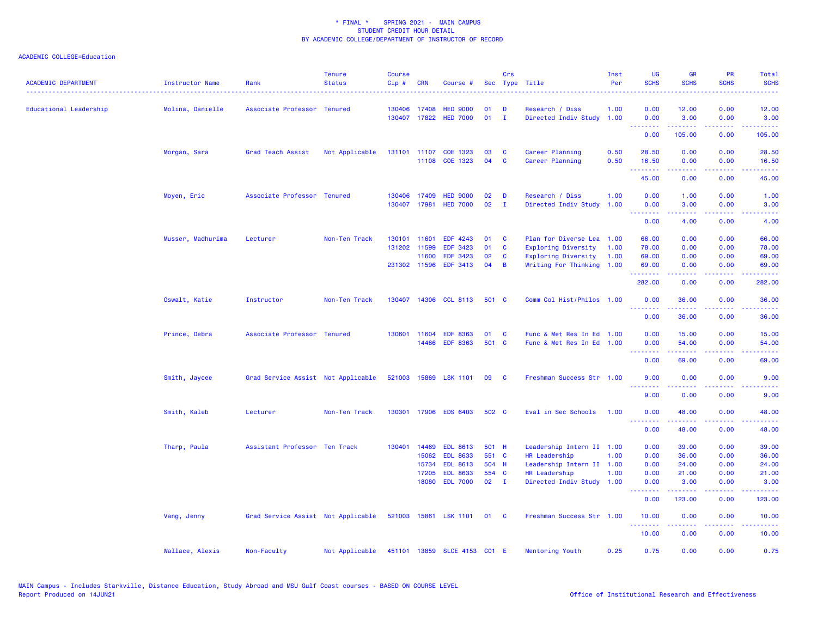| <b>ACADEMIC DEPARTMENT</b> | <b>Instructor Name</b> | Rank                               | <b>Tenure</b><br><b>Status</b> | <b>Course</b><br>Cip# | <b>CRN</b>                                     | Course #                                                   |                         | Crs                     | Sec Type Title                                                                                                | Inst<br>Per          | UG<br><b>SCHS</b>                                                                                      | <b>GR</b><br><b>SCHS</b>                                                                                                                                     | PR<br><b>SCHS</b>                                                                                                                 | Total<br><b>SCHS</b>             |
|----------------------------|------------------------|------------------------------------|--------------------------------|-----------------------|------------------------------------------------|------------------------------------------------------------|-------------------------|-------------------------|---------------------------------------------------------------------------------------------------------------|----------------------|--------------------------------------------------------------------------------------------------------|--------------------------------------------------------------------------------------------------------------------------------------------------------------|-----------------------------------------------------------------------------------------------------------------------------------|----------------------------------|
| Educational Leadership     | Molina, Danielle       | Associate Professor Tenured        |                                |                       | 130406 17408<br>130407 17822                   | <b>HED 9000</b><br><b>HED 7000</b>                         | 01<br>01                | D<br>$\mathbf{I}$       | Research / Diss<br>Directed Indiv Study                                                                       | 1.00<br>1.00         | 0.00<br>0.00                                                                                           | 12.00<br>3.00                                                                                                                                                | 0.00<br>0.00                                                                                                                      | 12.00<br>3.00                    |
|                            |                        |                                    |                                |                       |                                                |                                                            |                         |                         |                                                                                                               |                      | .<br>0.00                                                                                              | .<br>105.00                                                                                                                                                  | د د د د<br>0.00                                                                                                                   | .<br>105.00                      |
|                            | Morgan, Sara           | Grad Teach Assist                  | Not Applicable                 |                       | 131101 11107                                   | COE 1323<br>11108 COE 1323                                 | 03<br>04                | <b>C</b><br>C           | Career Planning<br>Career Planning                                                                            | 0.50<br>0.50         | 28.50<br>16.50                                                                                         | 0.00<br>0.00                                                                                                                                                 | 0.00<br>0.00                                                                                                                      | 28.50<br>16.50                   |
|                            |                        |                                    |                                |                       |                                                |                                                            |                         |                         |                                                                                                               |                      | .<br>45.00                                                                                             | .<br>0.00                                                                                                                                                    | $\sim$ $\sim$ $\sim$ $\sim$<br>0.00                                                                                               | .<br>45.00                       |
|                            | Moyen, Eric            | Associate Professor Tenured        |                                |                       | 130406 17409<br>130407 17981                   | <b>HED 9000</b><br><b>HED 7000</b>                         | 02<br>02                | D<br>$\mathbf{I}$       | Research / Diss<br>Directed Indiv Study                                                                       | 1.00<br>1.00         | 0.00<br>0.00                                                                                           | 1.00<br>3.00                                                                                                                                                 | 0.00<br>0.00                                                                                                                      | 1.00<br>3.00                     |
|                            |                        |                                    |                                |                       |                                                |                                                            |                         |                         |                                                                                                               |                      | .<br>0.00                                                                                              | .<br>4.00                                                                                                                                                    | والمحامر<br>0.00                                                                                                                  | والمرامين مرابط<br>4.00          |
|                            | Musser, Madhurima      | Lecturer                           | Non-Ten Track                  | 130101                | 11601<br>131202 11599<br>11600<br>231302 11596 | <b>EDF 4243</b><br><b>EDF 3423</b><br>EDF 3423<br>EDF 3413 | 01<br>01<br>02<br>04    | C<br><b>C</b><br>C<br>B | Plan for Diverse Lea<br><b>Exploring Diversity</b><br><b>Exploring Diversity</b><br>Writing For Thinking 1.00 | 1.00<br>1.00<br>1.00 | 66.00<br>78.00<br>69.00<br>69.00                                                                       | 0.00<br>0.00<br>0.00<br>0.00                                                                                                                                 | 0.00<br>0.00<br>0.00<br>0.00                                                                                                      | 66.00<br>78.00<br>69.00<br>69.00 |
|                            |                        |                                    |                                |                       |                                                |                                                            |                         |                         |                                                                                                               |                      | .<br>282.00                                                                                            | .<br>0.00                                                                                                                                                    | $\frac{1}{2} \left( \frac{1}{2} \right) \left( \frac{1}{2} \right) \left( \frac{1}{2} \right) \left( \frac{1}{2} \right)$<br>0.00 | .<br>282.00                      |
|                            | Oswalt, Katie          | Instructor                         | Non-Ten Track                  |                       |                                                | 130407 14306 CCL 8113                                      | 501 C                   |                         | Comm Col Hist/Philos 1.00                                                                                     |                      | 0.00                                                                                                   | 36.00                                                                                                                                                        | 0.00                                                                                                                              | 36.00                            |
|                            |                        |                                    |                                |                       |                                                |                                                            |                         |                         |                                                                                                               |                      | .<br>0.00                                                                                              | .<br>36.00                                                                                                                                                   | .<br>0.00                                                                                                                         | .<br>36.00                       |
|                            | Prince, Debra          | Associate Professor Tenured        |                                | 130601                | 11604<br>14466                                 | <b>EDF 8363</b><br><b>EDF 8363</b>                         | 01<br>501 C             | C                       | Func & Met Res In Ed 1.00<br>Func & Met Res In Ed 1.00                                                        |                      | 0.00<br>0.00<br>.                                                                                      | 15.00<br>54.00<br>22222                                                                                                                                      | 0.00<br>0.00<br>والمحامر                                                                                                          | 15.00<br>54.00<br>المتمامين      |
|                            |                        |                                    |                                |                       |                                                |                                                            |                         |                         |                                                                                                               |                      | 0.00                                                                                                   | 69.00                                                                                                                                                        | 0.00                                                                                                                              | 69.00                            |
|                            | Smith, Jaycee          | Grad Service Assist Not Applicable |                                |                       |                                                | 521003 15869 LSK 1101                                      | 09                      | - C                     | Freshman Success Str 1.00                                                                                     |                      | 9.00<br>$\frac{1}{2} \left( \frac{1}{2} \right) \left( \frac{1}{2} \right) \left( \frac{1}{2} \right)$ | 0.00<br>.                                                                                                                                                    | 0.00<br>$- - -$                                                                                                                   | 9.00                             |
|                            |                        |                                    |                                |                       |                                                |                                                            |                         |                         |                                                                                                               |                      | 9.00                                                                                                   | 0.00                                                                                                                                                         | 0.00                                                                                                                              | 9.00                             |
|                            | Smith, Kaleb           | Lecturer                           | Non-Ten Track                  | 130301                |                                                | 17906 EDS 6403                                             | 502 C                   |                         | Eval in Sec Schools                                                                                           | 1.00                 | 0.00<br><u>.</u>                                                                                       | 48.00<br>.                                                                                                                                                   | 0.00<br>.                                                                                                                         | 48.00<br>.                       |
|                            |                        |                                    |                                |                       |                                                |                                                            |                         |                         |                                                                                                               |                      | 0.00                                                                                                   | 48.00                                                                                                                                                        | 0.00                                                                                                                              | 48.00                            |
|                            | Tharp, Paula           | Assistant Professor Ten Track      |                                | 130401                | 14469<br>15062<br>15734                        | <b>EDL 8613</b><br><b>EDL 8633</b><br><b>EDL 8613</b>      | 501 H<br>551 C<br>504 H |                         | Leadership Intern II 1.00<br>HR Leadership<br>Leadership Intern II 1.00                                       | 1.00                 | 0.00<br>0.00<br>0.00                                                                                   | 39.00<br>36.00<br>24.00                                                                                                                                      | 0.00<br>0.00<br>0.00                                                                                                              | 39.00<br>36.00<br>24.00          |
|                            |                        |                                    |                                |                       | 17205                                          | <b>EDL 8633</b>                                            | 554 C                   |                         | HR Leadership                                                                                                 | 1.00                 | 0.00                                                                                                   | 21.00                                                                                                                                                        | 0.00                                                                                                                              | 21.00                            |
|                            |                        |                                    |                                |                       | 18080                                          | <b>EDL 7000</b>                                            | $02 \qquad I$           |                         | Directed Indiv Study 1.00                                                                                     |                      | 0.00<br>$\sim$ $\sim$ $\sim$ $\sim$                                                                    | 3.00<br>.                                                                                                                                                    | 0.00<br>$\sim$ $\sim$ $\sim$ $\sim$                                                                                               | 3.00<br>.                        |
|                            |                        |                                    |                                |                       |                                                |                                                            |                         |                         |                                                                                                               |                      | 0.00                                                                                                   | 123.00                                                                                                                                                       | 0.00                                                                                                                              | 123.00                           |
|                            | Vang, Jenny            | Grad Service Assist Not Applicable |                                |                       |                                                | 521003 15861 LSK 1101                                      | 01                      | - C                     | Freshman Success Str 1.00                                                                                     |                      | 10.00<br>.                                                                                             | 0.00<br>$\frac{1}{2} \left( \frac{1}{2} \right) \left( \frac{1}{2} \right) \left( \frac{1}{2} \right) \left( \frac{1}{2} \right) \left( \frac{1}{2} \right)$ | 0.00<br>.                                                                                                                         | 10.00<br>.                       |
|                            |                        |                                    |                                |                       |                                                |                                                            |                         |                         |                                                                                                               |                      | 10.00                                                                                                  | 0.00                                                                                                                                                         | 0.00                                                                                                                              | 10.00                            |
|                            | Wallace, Alexis        | Non-Faculty                        | Not Applicable                 |                       |                                                | 451101 13859 SLCE 4153 C01 E                               |                         |                         | Mentoring Youth                                                                                               | 0.25                 | 0.75                                                                                                   | 0.00                                                                                                                                                         | 0.00                                                                                                                              | 0.75                             |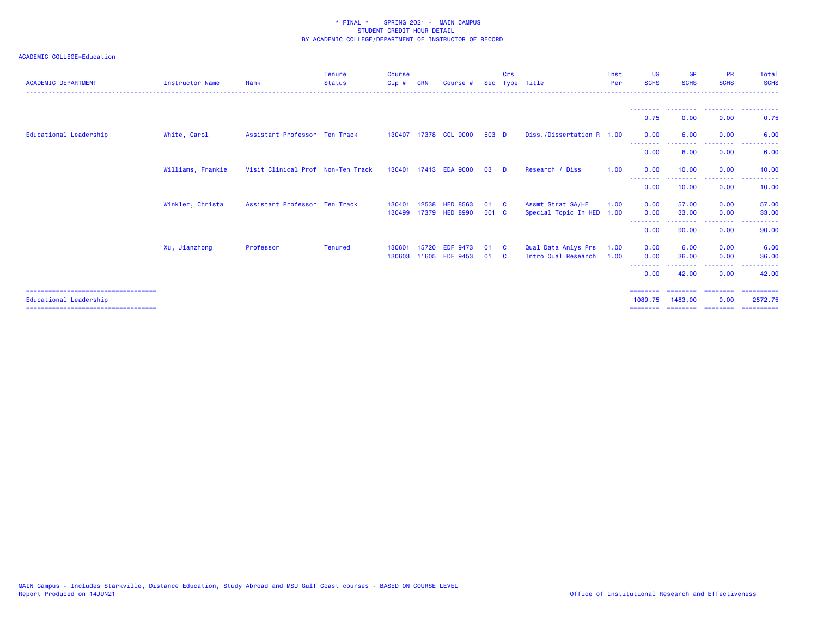| <b>ACADEMIC DEPARTMENT</b>                                      | <b>Instructor Name</b> | Rank                              | <b>Tenure</b><br><b>Status</b> | <b>Course</b><br>$Cip$ # | <b>CRN</b> | Course #                          |               | Crs             | Sec Type Title                             | Inst<br>Per  | <b>UG</b><br><b>SCHS</b>                  | <b>GR</b><br><b>SCHS</b>    | <b>PR</b><br><b>SCHS</b>                                                                                                                                     | Total<br><b>SCHS</b>                 |
|-----------------------------------------------------------------|------------------------|-----------------------------------|--------------------------------|--------------------------|------------|-----------------------------------|---------------|-----------------|--------------------------------------------|--------------|-------------------------------------------|-----------------------------|--------------------------------------------------------------------------------------------------------------------------------------------------------------|--------------------------------------|
|                                                                 |                        |                                   |                                |                          |            |                                   |               |                 |                                            |              | 0.75                                      | 0.00                        | --------<br>0.00                                                                                                                                             | 0.75                                 |
| Educational Leadership                                          | White, Carol           | Assistant Professor Ten Track     |                                |                          |            | 130407 17378 CCL 9000             | $503$ D       |                 | Diss./Dissertation R 1.00                  |              | 0.00                                      | 6.00                        | 0.00                                                                                                                                                         | 6.00                                 |
|                                                                 |                        |                                   |                                |                          |            |                                   |               |                 |                                            |              | --------<br>0.00                          | 6.00                        | . <u>. .</u><br>0.00                                                                                                                                         | 6.00                                 |
|                                                                 | Williams, Frankie      | Visit Clinical Prof Non-Ten Track |                                |                          |            | 130401 17413 EDA 9000             | 03            | <b>D</b>        | Research / Diss                            | 1.00         | 0.00                                      | 10.00<br>---------          | 0.00<br><b><i><u><u> - - - - - - - -</u></u></i></b>                                                                                                         | 10.00<br><u> - - - - - - - - - -</u> |
|                                                                 |                        |                                   |                                |                          |            |                                   |               |                 |                                            |              | --------<br>0.00                          | 10.00                       | 0.00                                                                                                                                                         | 10.00                                |
|                                                                 | Winkler, Christa       | Assistant Professor Ten Track     |                                | 130401<br>130499         | 12538      | <b>HED 8563</b><br>17379 HED 8990 | 01 C<br>501 C |                 | Assmt Strat SA/HE<br>Special Topic In HED  | 1.00<br>1.00 | 0.00<br>0.00                              | 57.00<br>33,00              | 0.00<br>0.00                                                                                                                                                 | 57.00<br>33,00                       |
|                                                                 |                        |                                   |                                |                          |            |                                   |               |                 |                                            |              | --------<br>0.00                          | ------<br>90.00             | $\frac{1}{2} \left( \frac{1}{2} \right) \left( \frac{1}{2} \right) \left( \frac{1}{2} \right) \left( \frac{1}{2} \right) \left( \frac{1}{2} \right)$<br>0.00 | .<br>90.00                           |
|                                                                 | Xu, Jianzhong          | Professor                         | <b>Tenured</b>                 | 130601<br>130603         | 15720      | <b>EDF 9473</b><br>11605 EDF 9453 | 01<br>01      | - C<br><b>C</b> | Qual Data Anlys Prs<br>Intro Qual Research | 1.00<br>1.00 | 0.00<br>0.00<br>--------                  | 6.00<br>36.00<br>. <u>.</u> | 0.00<br>0.00<br>---------                                                                                                                                    | 6.00<br>36.00                        |
|                                                                 |                        |                                   |                                |                          |            |                                   |               |                 |                                            |              | 0.00                                      | 42.00                       | 0.00                                                                                                                                                         | 42.00                                |
| Educational Leadership<br>===================================== |                        |                                   |                                |                          |            |                                   |               |                 |                                            |              | $=$ = = = = = = =<br>1089.75<br>--------- | ========<br>1483,00         | ========<br>0.00                                                                                                                                             | ==========<br>2572.75<br>----------  |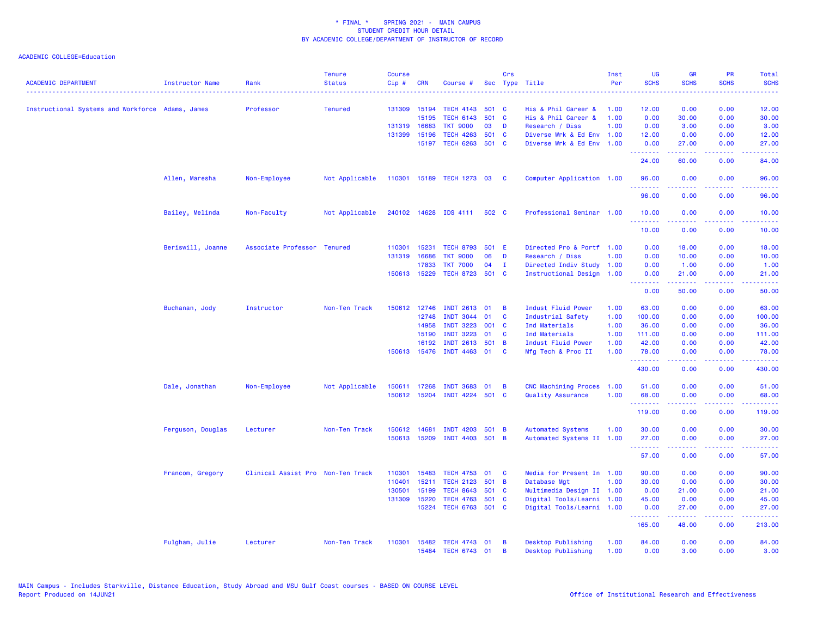| <b>ACADEMIC DEPARTMENT</b>                       | Instructor Name   | Rank                              | <b>Tenure</b><br><b>Status</b> | <b>Course</b><br>Cip# | <b>CRN</b>   | Course #              | Sec   | Crs            | Type Title                | Inst<br>Per | <b>UG</b><br><b>SCHS</b> | <b>GR</b><br><b>SCHS</b>                                                                                                                                      | PR<br><b>SCHS</b>                                                                                      | Total<br><b>SCHS</b> |
|--------------------------------------------------|-------------------|-----------------------------------|--------------------------------|-----------------------|--------------|-----------------------|-------|----------------|---------------------------|-------------|--------------------------|---------------------------------------------------------------------------------------------------------------------------------------------------------------|--------------------------------------------------------------------------------------------------------|----------------------|
|                                                  |                   |                                   |                                |                       |              |                       |       |                |                           |             |                          |                                                                                                                                                               |                                                                                                        |                      |
| Instructional Systems and Workforce Adams, James |                   | Professor                         | <b>Tenured</b>                 |                       | 131309 15194 | <b>TECH 4143</b>      | 501 C |                | His & Phil Career &       | 1.00        | 12.00                    | 0.00                                                                                                                                                          | 0.00                                                                                                   | 12.00                |
|                                                  |                   |                                   |                                |                       | 15195        | <b>TECH 6143</b>      | 501   | $\mathbf{C}$   | His & Phil Career &       | 1.00        | 0.00                     | 30.00                                                                                                                                                         | 0.00                                                                                                   | 30.00                |
|                                                  |                   |                                   |                                |                       | 131319 16683 | <b>TKT 9000</b>       | 03    | D              | Research / Diss           | 1.00        | 0.00                     | 3.00                                                                                                                                                          | 0.00                                                                                                   | 3.00                 |
|                                                  |                   |                                   |                                |                       | 131399 15196 | <b>TECH 4263</b>      | 501   | - C            | Diverse Wrk & Ed Env 1.00 |             | 12.00                    | 0.00                                                                                                                                                          | 0.00                                                                                                   | 12.00                |
|                                                  |                   |                                   |                                |                       | 15197        | TECH 6263 501 C       |       |                | Diverse Wrk & Ed Env 1.00 |             | 0.00<br>.                | 27.00<br>بالأباليات                                                                                                                                           | 0.00<br>.                                                                                              | 27.00<br>.           |
|                                                  |                   |                                   |                                |                       |              |                       |       |                |                           |             | 24.00                    | 60.00                                                                                                                                                         | 0.00                                                                                                   | 84.00                |
|                                                  | Allen, Maresha    | Non-Employee                      | Not Applicable                 | 110301                |              | 15189 TECH 1273 03    |       | C              | Computer Application 1.00 |             | 96.00<br>222222          | 0.00                                                                                                                                                          | 0.00<br>$\frac{1}{2} \left( \frac{1}{2} \right) \left( \frac{1}{2} \right) \left( \frac{1}{2} \right)$ | 96.00<br>.           |
|                                                  |                   |                                   |                                |                       |              |                       |       |                |                           |             | 96.00                    | 0.00                                                                                                                                                          | 0.00                                                                                                   | 96.00                |
|                                                  | Bailey, Melinda   | Non-Faculty                       | Not Applicable                 |                       |              | 240102 14628 IDS 4111 | 502 C |                | Professional Seminar 1.00 |             | 10.00                    | 0.00                                                                                                                                                          | 0.00                                                                                                   | 10.00                |
|                                                  |                   |                                   |                                |                       |              |                       |       |                |                           |             | 10.00                    | 0.00                                                                                                                                                          | 0.00                                                                                                   | 10.00                |
|                                                  | Beriswill, Joanne | Associate Professor Tenured       |                                | 110301                | 15231        | <b>TECH 8793</b>      | 501 E |                | Directed Pro & Portf 1.00 |             | 0.00                     | 18.00                                                                                                                                                         | 0.00                                                                                                   | 18.00                |
|                                                  |                   |                                   |                                | 131319                | 16686        | <b>TKT 9000</b>       | 06    | D              | Research / Diss           | 1.00        | 0.00                     | 10.00                                                                                                                                                         | 0.00                                                                                                   | 10.00                |
|                                                  |                   |                                   |                                |                       | 17833        | <b>TKT 7000</b>       | 04    | $\mathbf{I}$   | Directed Indiv Study 1.00 |             | 0.00                     | 1.00                                                                                                                                                          | 0.00                                                                                                   | 1.00                 |
|                                                  |                   |                                   |                                |                       | 150613 15229 | TECH 8723 501 C       |       |                | Instructional Design 1.00 |             | 0.00<br>.                | 21.00<br>$\frac{1}{2} \left( \frac{1}{2} \right) \left( \frac{1}{2} \right) \left( \frac{1}{2} \right) \left( \frac{1}{2} \right) \left( \frac{1}{2} \right)$ | 0.00<br>د د د د                                                                                        | 21.00<br>المتمامين   |
|                                                  |                   |                                   |                                |                       |              |                       |       |                |                           |             | 0.00                     | 50.00                                                                                                                                                         | 0.00                                                                                                   | 50.00                |
|                                                  | Buchanan, Jody    | Instructor                        | Non-Ten Track                  | 150612                | 12746        | <b>INDT 2613</b>      | 01    | B              | Indust Fluid Power        | 1.00        | 63.00                    | 0.00                                                                                                                                                          | 0.00                                                                                                   | 63.00                |
|                                                  |                   |                                   |                                |                       | 12748        | <b>INDT 3044</b>      | 01    | C              | Industrial Safety         | 1.00        | 100.00                   | 0.00                                                                                                                                                          | 0.00                                                                                                   | 100.00               |
|                                                  |                   |                                   |                                |                       | 14958        | <b>INDT 3223</b>      | 001   | <b>C</b>       | Ind Materials             | 1.00        | 36.00                    | 0.00                                                                                                                                                          | 0.00                                                                                                   | 36.00                |
|                                                  |                   |                                   |                                |                       | 15190        | <b>INDT 3223</b>      | 01    | C              | Ind Materials             | 1.00        | 111.00                   | 0.00                                                                                                                                                          | 0.00                                                                                                   | 111.00               |
|                                                  |                   |                                   |                                |                       | 16192        | <b>INDT 2613</b>      | 501   | $\overline{B}$ | Indust Fluid Power        | 1.00        | 42.00                    | 0.00                                                                                                                                                          | 0.00                                                                                                   | 42.00                |
|                                                  |                   |                                   |                                |                       | 150613 15476 | INDT 4463 01          |       | C              | Mfg Tech & Proc II        | 1.00        | 78.00<br>.               | 0.00<br>.                                                                                                                                                     | 0.00<br>د د د د                                                                                        | 78.00<br>.           |
|                                                  |                   |                                   |                                |                       |              |                       |       |                |                           |             | 430.00                   | 0.00                                                                                                                                                          | 0.00                                                                                                   | 430.00               |
|                                                  | Dale, Jonathan    | Non-Employee                      | Not Applicable                 | 150611                | 17268        | <b>INDT 3683</b>      | 01    | B              | CNC Machining Proces      | 1.00        | 51.00                    | 0.00                                                                                                                                                          | 0.00                                                                                                   | 51.00                |
|                                                  |                   |                                   |                                |                       | 150612 15204 | INDT 4224 501 C       |       |                | Quality Assurance         | 1.00        | 68.00                    | 0.00                                                                                                                                                          | 0.00                                                                                                   | 68.00                |
|                                                  |                   |                                   |                                |                       |              |                       |       |                |                           |             | 119.00                   | 0.00                                                                                                                                                          | 0.00                                                                                                   | 119.00               |
|                                                  | Ferguson, Douglas | Lecturer                          | Non-Ten Track                  |                       | 150612 14681 | <b>INDT 4203</b>      | 501   | B              | <b>Automated Systems</b>  | 1.00        | 30.00                    | 0.00                                                                                                                                                          | 0.00                                                                                                   | 30.00                |
|                                                  |                   |                                   |                                |                       | 150613 15209 | INDT 4403 501 B       |       |                | Automated Systems II 1.00 |             | 27.00<br>.               | 0.00<br>22222                                                                                                                                                 | 0.00<br>.                                                                                              | 27.00<br>.           |
|                                                  |                   |                                   |                                |                       |              |                       |       |                |                           |             | 57.00                    | 0.00                                                                                                                                                          | 0.00                                                                                                   | 57.00                |
|                                                  | Francom, Gregory  | Clinical Assist Pro Non-Ten Track |                                | 110301                | 15483        | <b>TECH 4753</b>      | 01    | C              | Media for Present In 1.00 |             | 90.00                    | 0.00                                                                                                                                                          | 0.00                                                                                                   | 90.00                |
|                                                  |                   |                                   |                                | 110401                | 15211        | <b>TECH 2123</b>      | 501   | $\overline{B}$ | Database Mgt              | 1.00        | 30.00                    | 0.00                                                                                                                                                          | 0.00                                                                                                   | 30.00                |
|                                                  |                   |                                   |                                | 130501                | 15199        | <b>TECH 8643</b>      | 501 C |                | Multimedia Design II 1.00 |             | 0.00                     | 21.00                                                                                                                                                         | 0.00                                                                                                   | 21.00                |
|                                                  |                   |                                   |                                |                       | 131309 15220 | <b>TECH 4763</b>      | 501 C |                | Digital Tools/Learni 1.00 |             | 45.00                    | 0.00                                                                                                                                                          | 0.00                                                                                                   | 45.00                |
|                                                  |                   |                                   |                                |                       | 15224        | TECH 6763 501 C       |       |                | Digital Tools/Learni 1.00 |             | 0.00                     | 27.00                                                                                                                                                         | 0.00<br>.                                                                                              | 27.00                |
|                                                  |                   |                                   |                                |                       |              |                       |       |                |                           |             | 165.00                   | 48.00                                                                                                                                                         | 0.00                                                                                                   | 213.00               |
|                                                  | Fulgham, Julie    | Lecturer                          | Non-Ten Track                  | 110301                | 15482        | TECH 4743 01          |       | B              | Desktop Publishing        | 1.00        | 84.00                    | 0.00                                                                                                                                                          | 0.00                                                                                                   | 84.00                |
|                                                  |                   |                                   |                                |                       |              | 15484 TECH 6743 01    |       | B              | Desktop Publishing        | 1.00        | 0.00                     | 3.00                                                                                                                                                          | 0.00                                                                                                   | 3.00                 |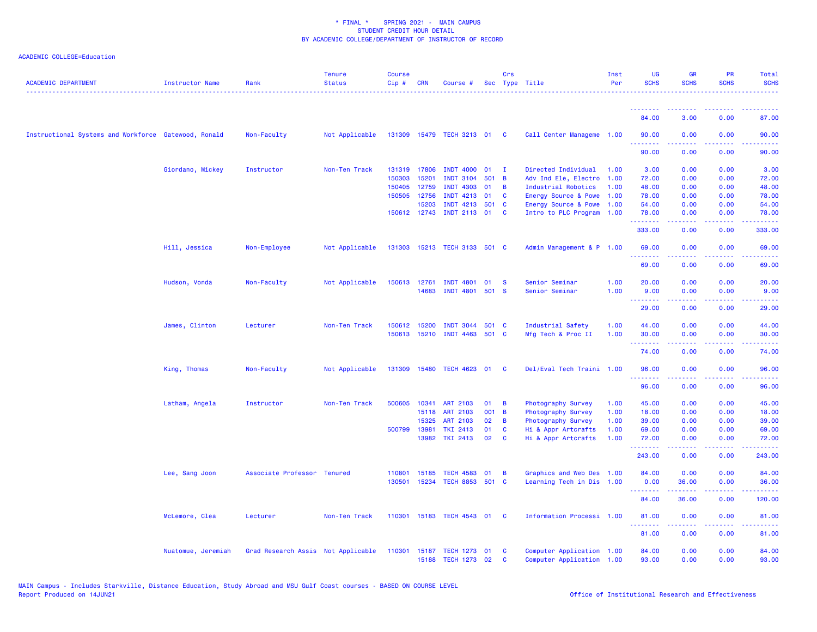| <b>ACADEMIC DEPARTMENT</b>                           | <b>Instructor Name</b> | Rank                               | <b>Tenure</b><br><b>Status</b> | <b>Course</b><br>Cip# | <b>CRN</b>   | Course #                     |       | Crs            | Sec Type Title            | Inst<br>Per | UG<br><b>SCHS</b>        | <b>GR</b><br><b>SCHS</b> | <b>PR</b><br><b>SCHS</b>                                                                       | Total<br><b>SCHS</b>                                                                                                      |
|------------------------------------------------------|------------------------|------------------------------------|--------------------------------|-----------------------|--------------|------------------------------|-------|----------------|---------------------------|-------------|--------------------------|--------------------------|------------------------------------------------------------------------------------------------|---------------------------------------------------------------------------------------------------------------------------|
|                                                      |                        |                                    |                                |                       |              |                              |       |                |                           |             | - - - - - - - -          |                          |                                                                                                |                                                                                                                           |
|                                                      |                        |                                    |                                |                       |              |                              |       |                |                           |             | 84.00                    | 3.00                     | 0.00                                                                                           | 87.00                                                                                                                     |
| Instructional Systems and Workforce Gatewood, Ronald |                        | Non-Faculty                        | Not Applicable                 |                       |              | 131309 15479 TECH 3213 01    |       | $\mathbf{C}$   | Call Center Manageme 1.00 |             | 90.00<br>.               | 0.00                     | 0.00                                                                                           | 90.00                                                                                                                     |
|                                                      |                        |                                    |                                |                       |              |                              |       |                |                           |             | 90.00                    | 0.00                     | 0.00                                                                                           | 90.00                                                                                                                     |
|                                                      | Giordano, Mickey       | Instructor                         | Non-Ten Track                  |                       | 131319 17806 | <b>INDT 4000</b>             | 01    | - I            | Directed Individual       | 1.00        | 3.00                     | 0.00                     | 0.00                                                                                           | 3.00                                                                                                                      |
|                                                      |                        |                                    |                                | 150303                | 15201        | <b>INDT 3104</b>             | 501 B |                | Adv Ind Ele, Electro      | 1.00        | 72.00                    | 0.00                     | 0.00                                                                                           | 72.00                                                                                                                     |
|                                                      |                        |                                    |                                | 150405                | 12759        | <b>INDT 4303</b>             | 01    | B              | Industrial Robotics       | 1.00        | 48.00                    | 0.00                     | 0.00                                                                                           | 48.00                                                                                                                     |
|                                                      |                        |                                    |                                |                       | 150505 12756 | INDT 4213 01                 |       | <b>C</b>       | Energy Source & Powe      | 1.00        | 78.00                    | 0.00                     | 0.00                                                                                           | 78.00                                                                                                                     |
|                                                      |                        |                                    |                                |                       | 15203        | INDT 4213 501 C              |       |                | Energy Source & Powe      | 1.00        | 54.00                    | 0.00                     | 0.00                                                                                           | 54.00                                                                                                                     |
|                                                      |                        |                                    |                                |                       | 150612 12743 | INDT 2113 01                 |       | <b>C</b>       | Intro to PLC Program 1.00 |             | 78.00<br>.               | 0.00                     | 0.00                                                                                           | 78.00                                                                                                                     |
|                                                      |                        |                                    |                                |                       |              |                              |       |                |                           |             | 333.00                   | 0.00                     | 0.00                                                                                           | 333.00                                                                                                                    |
|                                                      | Hill, Jessica          | Non-Employee                       | Not Applicable                 |                       |              | 131303 15213 TECH 3133 501 C |       |                | Admin Management & P 1.00 |             | 69.00<br>.               | 0.00                     | 0.00                                                                                           | 69.00                                                                                                                     |
|                                                      |                        |                                    |                                |                       |              |                              |       |                |                           |             | 69.00                    | 0.00                     | 0.00                                                                                           | 69.00                                                                                                                     |
|                                                      | Hudson, Vonda          | Non-Faculty                        | Not Applicable                 | 150613 12761          |              | <b>INDT 4801</b>             | 01    | <b>S</b>       | Senior Seminar            | 1.00        | 20.00                    | 0.00                     | 0.00                                                                                           | 20.00                                                                                                                     |
|                                                      |                        |                                    |                                |                       | 14683        | <b>INDT 4801</b>             | 501 S |                | Senior Seminar            | 1.00        | 9.00                     | 0.00                     | 0.00                                                                                           | 9.00                                                                                                                      |
|                                                      |                        |                                    |                                |                       |              |                              |       |                |                           |             | .                        | .                        | $\frac{1}{2} \left( \frac{1}{2} \right) \left( \frac{1}{2} \right) \left( \frac{1}{2} \right)$ | $\frac{1}{2} \left( \frac{1}{2} \right) \left( \frac{1}{2} \right) \left( \frac{1}{2} \right) \left( \frac{1}{2} \right)$ |
|                                                      |                        |                                    |                                |                       |              |                              |       |                |                           |             | 29.00                    | 0.00                     | 0.00                                                                                           | 29.00                                                                                                                     |
|                                                      | James, Clinton         | Lecturer                           | Non-Ten Track                  | 150612                | 15200        | <b>INDT 3044</b>             | 501 C |                | Industrial Safety         | 1.00        | 44.00                    | 0.00                     | 0.00                                                                                           | 44.00                                                                                                                     |
|                                                      |                        |                                    |                                |                       |              | 150613 15210 INDT 4463 501 C |       |                | Mfg Tech & Proc II        | 1.00        | 30.00                    | 0.00                     | 0.00                                                                                           | 30.00                                                                                                                     |
|                                                      |                        |                                    |                                |                       |              |                              |       |                |                           |             | .                        |                          |                                                                                                |                                                                                                                           |
|                                                      |                        |                                    |                                |                       |              |                              |       |                |                           |             | 74.00                    | 0.00                     | 0.00                                                                                           | 74.00                                                                                                                     |
|                                                      | King, Thomas           | Non-Faculty                        | Not Applicable                 |                       |              | 131309 15480 TECH 4623 01    |       | <b>C</b>       | Del/Eval Tech Traini 1.00 |             | 96.00                    | 0.00<br>.                | 0.00<br>.                                                                                      | 96.00<br>.                                                                                                                |
|                                                      |                        |                                    |                                |                       |              |                              |       |                |                           |             | - - - - - - - -<br>96.00 | 0.00                     | 0.00                                                                                           | 96.00                                                                                                                     |
|                                                      | Latham, Angela         | Instructor                         | Non-Ten Track                  | 500605                | 10341        | <b>ART 2103</b>              | 01    | B              | Photography Survey        | 1.00        | 45.00                    | 0.00                     | 0.00                                                                                           | 45.00                                                                                                                     |
|                                                      |                        |                                    |                                |                       | 15118        | ART 2103                     | 001 B |                | Photography Survey        | 1.00        | 18.00                    | 0.00                     | 0.00                                                                                           | 18.00                                                                                                                     |
|                                                      |                        |                                    |                                |                       | 15325        | ART 2103                     | 02    | B              | Photography Survey        | 1.00        | 39.00                    | 0.00                     | 0.00                                                                                           | 39.00                                                                                                                     |
|                                                      |                        |                                    |                                | 500799 13981          |              | <b>TKI 2413</b>              | 01    | $\mathbf c$    | Hi & Appr Artcrafts       | 1.00        | 69.00                    | 0.00                     | 0.00                                                                                           | 69.00                                                                                                                     |
|                                                      |                        |                                    |                                |                       | 13982        | <b>TKI 2413</b>              | 02    | C              | Hi & Appr Artcrafts       | 1.00        | 72.00                    | 0.00                     | 0.00                                                                                           | 72.00                                                                                                                     |
|                                                      |                        |                                    |                                |                       |              |                              |       |                |                           |             | 243.00                   | 0.00                     | 0.00                                                                                           | 243.00                                                                                                                    |
|                                                      | Lee, Sang Joon         | Associate Professor Tenured        |                                | 110801                | 15185        | <b>TECH 4583</b>             | 01    | $\overline{B}$ | Graphics and Web Des      | 1.00        | 84.00                    | 0.00                     | 0.00                                                                                           | 84.00                                                                                                                     |
|                                                      |                        |                                    |                                |                       |              | 130501 15234 TECH 8853 501 C |       |                | Learning Tech in Dis 1.00 |             | 0.00                     | 36.00                    | 0.00                                                                                           | 36.00                                                                                                                     |
|                                                      |                        |                                    |                                |                       |              |                              |       |                |                           |             | .                        |                          | والمحامر                                                                                       |                                                                                                                           |
|                                                      |                        |                                    |                                |                       |              |                              |       |                |                           |             | 84.00                    | 36.00                    | 0.00                                                                                           | 120.00                                                                                                                    |
|                                                      | McLemore, Clea         | Lecturer                           | Non-Ten Track                  |                       |              | 110301 15183 TECH 4543 01    |       | - C            | Information Processi 1.00 |             | 81.00<br>.               | 0.00                     | 0.00<br>2222                                                                                   | 81.00<br>$\omega_{\rm c}$ and $\omega_{\rm c}$                                                                            |
|                                                      |                        |                                    |                                |                       |              |                              |       |                |                           |             | 81.00                    | 0.00                     | 0.00                                                                                           | 81.00                                                                                                                     |
|                                                      | Nuatomue, Jeremiah     | Grad Research Assis Not Applicable |                                | 110301                | 15187        | <b>TECH 1273 01</b>          |       | C              | Computer Application 1.00 |             | 84.00                    | 0.00                     | 0.00                                                                                           | 84.00                                                                                                                     |
|                                                      |                        |                                    |                                |                       | 15188        | TECH 1273 02                 |       | C              | Computer Application 1.00 |             | 93.00                    | 0.00                     | 0.00                                                                                           | 93.00                                                                                                                     |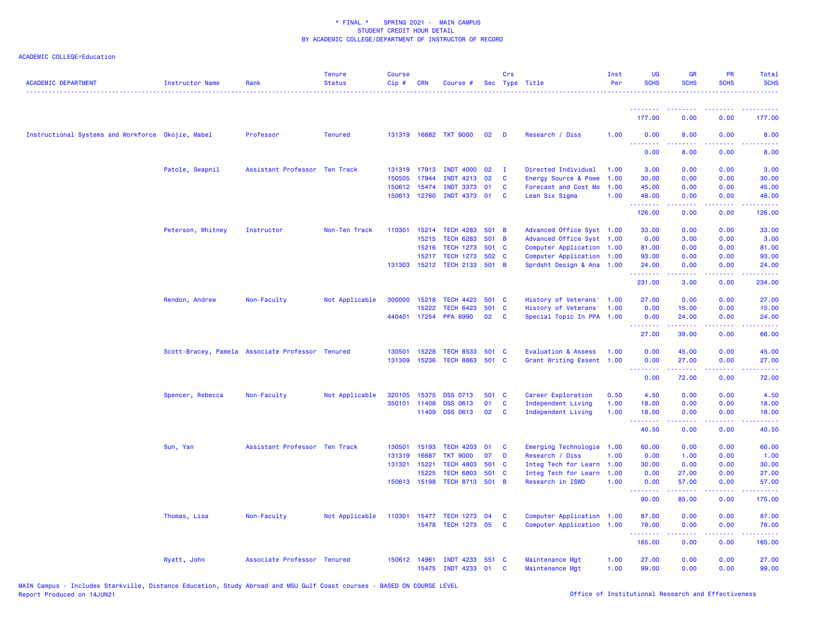| <b>ACADEMIC DEPARTMENT</b>                        | Instructor Name   | Rank                                             | <b>Tenure</b><br><b>Status</b> | <b>Course</b><br>Cip# | <b>CRN</b>   | Course #                     |                 | Crs            | Sec Type Title                 | Inst<br>Per | UG<br><b>SCHS</b>                          | <b>GR</b><br><b>SCHS</b>                                                                                                                                                                                                                                                                                                                                                                                                                                                               | <b>PR</b><br><b>SCHS</b>            | Total<br><b>SCHS</b>                                                                                    |
|---------------------------------------------------|-------------------|--------------------------------------------------|--------------------------------|-----------------------|--------------|------------------------------|-----------------|----------------|--------------------------------|-------------|--------------------------------------------|----------------------------------------------------------------------------------------------------------------------------------------------------------------------------------------------------------------------------------------------------------------------------------------------------------------------------------------------------------------------------------------------------------------------------------------------------------------------------------------|-------------------------------------|---------------------------------------------------------------------------------------------------------|
|                                                   |                   |                                                  |                                |                       |              |                              |                 |                |                                |             | <u>.</u>                                   | $\begin{array}{cccccccccccccc} \multicolumn{2}{c}{} & \multicolumn{2}{c}{} & \multicolumn{2}{c}{} & \multicolumn{2}{c}{} & \multicolumn{2}{c}{} & \multicolumn{2}{c}{} & \multicolumn{2}{c}{} & \multicolumn{2}{c}{} & \multicolumn{2}{c}{} & \multicolumn{2}{c}{} & \multicolumn{2}{c}{} & \multicolumn{2}{c}{} & \multicolumn{2}{c}{} & \multicolumn{2}{c}{} & \multicolumn{2}{c}{} & \multicolumn{2}{c}{} & \multicolumn{2}{c}{} & \multicolumn{2}{c}{} & \multicolumn{2}{c}{} & \$ | 2.2.2.2.2                           | .                                                                                                       |
|                                                   |                   |                                                  |                                |                       |              |                              |                 |                |                                |             | 177.00                                     | 0.00                                                                                                                                                                                                                                                                                                                                                                                                                                                                                   | 0.00                                | 177.00                                                                                                  |
| Instructional Systems and Workforce Okojie, Mabel |                   | Professor                                        | <b>Tenured</b>                 |                       |              | 131319 16682 TKT 9000        | 02 <sub>2</sub> | <b>D</b>       | Research / Diss                | 1.00        | 0.00<br>.                                  | 8.00                                                                                                                                                                                                                                                                                                                                                                                                                                                                                   | 0.00                                | 8.00                                                                                                    |
|                                                   |                   |                                                  |                                |                       |              |                              |                 |                |                                |             | 0.00                                       | 8.00                                                                                                                                                                                                                                                                                                                                                                                                                                                                                   | 0.00                                | 8.00                                                                                                    |
|                                                   | Patole, Swapnil   | Assistant Professor Ten Track                    |                                |                       | 131319 17913 | <b>INDT 4000</b>             | 02              | $\mathbf{I}$   | Directed Individual            | 1.00        | 3.00                                       | 0.00                                                                                                                                                                                                                                                                                                                                                                                                                                                                                   | 0.00                                | 3.00                                                                                                    |
|                                                   |                   |                                                  |                                | 150505                | 17944        | <b>INDT 4213</b>             | 02              | C              | Energy Source & Powe           | 1.00        | 30.00                                      | 0.00                                                                                                                                                                                                                                                                                                                                                                                                                                                                                   | 0.00                                | 30.00                                                                                                   |
|                                                   |                   |                                                  |                                | 150612                | 15474        | <b>INDT 3373</b>             | 01              | C              | Forecast and Cost Mo           | 1.00        | 45.00                                      | 0.00                                                                                                                                                                                                                                                                                                                                                                                                                                                                                   | 0.00                                | 45.00                                                                                                   |
|                                                   |                   |                                                  |                                |                       | 150613 12760 | INDT 4373 01                 |                 | C              | Lean Six Sigma                 | 1.00        | 48.00<br>.                                 | 0.00                                                                                                                                                                                                                                                                                                                                                                                                                                                                                   | 0.00<br>2222                        | 48.00<br>$\frac{1}{2} \left( \frac{1}{2} \right) \left( \frac{1}{2} \right) \left( \frac{1}{2} \right)$ |
|                                                   |                   |                                                  |                                |                       |              |                              |                 |                |                                |             | 126.00                                     | 0.00                                                                                                                                                                                                                                                                                                                                                                                                                                                                                   | 0.00                                | 126.00                                                                                                  |
|                                                   | Peterson, Whitney | Instructor                                       | Non-Ten Track                  | 110301                | 15214        | <b>TECH 4283</b>             | 501 B           |                | Advanced Office Syst 1.00      |             | 33.00                                      | 0.00                                                                                                                                                                                                                                                                                                                                                                                                                                                                                   | 0.00                                | 33.00                                                                                                   |
|                                                   |                   |                                                  |                                |                       | 15215        | <b>TECH 6283</b>             | 501             | $\overline{B}$ | Advanced Office Syst 1.00      |             | 0.00                                       | 3.00                                                                                                                                                                                                                                                                                                                                                                                                                                                                                   | 0.00                                | 3.00                                                                                                    |
|                                                   |                   |                                                  |                                |                       | 15216        | <b>TECH 1273</b>             | 501 C           |                | Computer Application 1.00      |             | 81.00                                      | 0.00                                                                                                                                                                                                                                                                                                                                                                                                                                                                                   | 0.00                                | 81.00                                                                                                   |
|                                                   |                   |                                                  |                                |                       | 15217        | <b>TECH 1273</b>             | 502             | C              | Computer Application 1.00      |             | 93.00                                      | 0.00                                                                                                                                                                                                                                                                                                                                                                                                                                                                                   | 0.00                                | 93.00                                                                                                   |
|                                                   |                   |                                                  |                                |                       |              | 131303 15212 TECH 2133 501 B |                 |                | Sprdsht Design & Ana 1.00      |             | 24.00<br>.                                 | 0.00<br>.                                                                                                                                                                                                                                                                                                                                                                                                                                                                              | 0.00<br>.                           | 24.00<br>.                                                                                              |
|                                                   |                   |                                                  |                                |                       |              |                              |                 |                |                                |             | 231.00                                     | 3.00                                                                                                                                                                                                                                                                                                                                                                                                                                                                                   | 0.00                                | 234.00                                                                                                  |
|                                                   | Rendon, Andrew    | Non-Faculty                                      | Not Applicable                 | 300000                | 15218        | <b>TECH 4423</b>             | 501 C           |                | History of Veterans' 1.00      |             | 27.00                                      | 0.00                                                                                                                                                                                                                                                                                                                                                                                                                                                                                   | 0.00                                | 27.00                                                                                                   |
|                                                   |                   |                                                  |                                |                       | 15222        | <b>TECH 6423</b>             | 501 C           |                | History of Veterans' 1.00      |             | 0.00                                       | 15.00                                                                                                                                                                                                                                                                                                                                                                                                                                                                                  | 0.00                                | 15.00                                                                                                   |
|                                                   |                   |                                                  |                                |                       |              | 440401 17254 PPA 8990        | 02              | C              | Special Topic In PPA 1.00      |             | 0.00<br><b></b>                            | 24.00<br>.                                                                                                                                                                                                                                                                                                                                                                                                                                                                             | 0.00<br>22222                       | 24.00<br>.                                                                                              |
|                                                   |                   |                                                  |                                |                       |              |                              |                 |                |                                |             | 27.00                                      | 39.00                                                                                                                                                                                                                                                                                                                                                                                                                                                                                  | 0.00                                | 66.00                                                                                                   |
|                                                   |                   | Scott-Bracey, Pamela Associate Professor Tenured |                                | 130501                | 15228        | <b>TECH 8533</b>             | 501             | <b>C</b>       | <b>Evaluation &amp; Assess</b> | 1.00        | 0.00                                       | 45.00                                                                                                                                                                                                                                                                                                                                                                                                                                                                                  | 0.00                                | 45.00                                                                                                   |
|                                                   |                   |                                                  |                                | 131309                | 15236        | TECH 8863 501 C              |                 |                | Grant Writing Essent 1.00      |             | 0.00                                       | 27.00                                                                                                                                                                                                                                                                                                                                                                                                                                                                                  | 0.00                                | 27.00                                                                                                   |
|                                                   |                   |                                                  |                                |                       |              |                              |                 |                |                                |             | <b><i><u><u> - - - - - - -</u></u></i></b> | .                                                                                                                                                                                                                                                                                                                                                                                                                                                                                      | 22222                               | .                                                                                                       |
|                                                   |                   |                                                  |                                |                       |              |                              |                 |                |                                |             | 0.00                                       | 72.00                                                                                                                                                                                                                                                                                                                                                                                                                                                                                  | 0.00                                | 72.00                                                                                                   |
|                                                   | Spencer, Rebecca  | Non-Faculty                                      | Not Applicable                 | 320105                | 15375        | <b>DSS 0713</b>              | 501             | <b>C</b>       | Career Exploration             | 0.50        | 4.50                                       | 0.00                                                                                                                                                                                                                                                                                                                                                                                                                                                                                   | 0.00                                | 4.50                                                                                                    |
|                                                   |                   |                                                  |                                |                       | 350101 11408 | <b>DSS 0613</b>              | 01              | C              | Independent Living             | 1.00        | 18.00                                      | 0.00                                                                                                                                                                                                                                                                                                                                                                                                                                                                                   | 0.00                                | 18.00                                                                                                   |
|                                                   |                   |                                                  |                                |                       | 11409        | <b>DSS 0613</b>              | 02              | C              | Independent Living             | 1.00        | 18.00                                      | 0.00                                                                                                                                                                                                                                                                                                                                                                                                                                                                                   | 0.00                                | 18.00                                                                                                   |
|                                                   |                   |                                                  |                                |                       |              |                              |                 |                |                                |             | .<br>40.50                                 | 0.00                                                                                                                                                                                                                                                                                                                                                                                                                                                                                   | $\sim$ $\sim$ $\sim$ $\sim$<br>0.00 | $\sim 100$ km $^{-1}$<br>40.50                                                                          |
|                                                   | Sun, Yan          | Assistant Professor Ten Track                    |                                | 130501                | 15193        | <b>TECH 4203</b>             | 01              | C              | Emerging Technologie           | 1.00        | 60.00                                      | 0.00                                                                                                                                                                                                                                                                                                                                                                                                                                                                                   | 0.00                                | 60.00                                                                                                   |
|                                                   |                   |                                                  |                                | 131319                | 16687        | <b>TKT 9000</b>              | 07              | D              | Research / Diss                | 1.00        | 0.00                                       | 1.00                                                                                                                                                                                                                                                                                                                                                                                                                                                                                   | 0.00                                | 1.00                                                                                                    |
|                                                   |                   |                                                  |                                | 131321 15221          |              | <b>TECH 4803</b>             | 501 C           |                | Integ Tech for Learn 1.00      |             | 30.00                                      | 0.00                                                                                                                                                                                                                                                                                                                                                                                                                                                                                   | 0.00                                | 30.00                                                                                                   |
|                                                   |                   |                                                  |                                |                       | 15225        | <b>TECH 6803</b>             | 501             | C              | Integ Tech for Learn           | 1.00        | 0.00                                       | 27.00                                                                                                                                                                                                                                                                                                                                                                                                                                                                                  | 0.00                                | 27.00                                                                                                   |
|                                                   |                   |                                                  |                                |                       | 150613 15198 | TECH 8713 501 B              |                 |                | Research in ISWD               | 1.00        | 0.00                                       | 57.00                                                                                                                                                                                                                                                                                                                                                                                                                                                                                  | 0.00<br>.                           | 57.00                                                                                                   |
|                                                   |                   |                                                  |                                |                       |              |                              |                 |                |                                |             | <u>.</u><br>90.00                          | د د د د د<br>85.00                                                                                                                                                                                                                                                                                                                                                                                                                                                                     | 0.00                                | ------<br>175.00                                                                                        |
|                                                   | Thomas, Lisa      | Non-Faculty                                      | Not Applicable                 | 110301                | 15477        | <b>TECH 1273</b>             | 04              | C              | Computer Application 1.00      |             | 87.00                                      | 0.00                                                                                                                                                                                                                                                                                                                                                                                                                                                                                   | 0.00                                | 87.00                                                                                                   |
|                                                   |                   |                                                  |                                |                       |              | 15478 TECH 1273 05           |                 | C              | Computer Application 1.00      |             | 78.00                                      | 0.00                                                                                                                                                                                                                                                                                                                                                                                                                                                                                   | 0.00                                | 78.00                                                                                                   |
|                                                   |                   |                                                  |                                |                       |              |                              |                 |                |                                |             | .<br>165.00                                | -----<br>0.00                                                                                                                                                                                                                                                                                                                                                                                                                                                                          | .<br>0.00                           | 22222)<br>165.00                                                                                        |
|                                                   | Wyatt, John       | Associate Professor Tenured                      |                                | 150612 14961          |              | <b>INDT 4233</b>             | 551             | - C            | Maintenance Mgt                | 1.00        | 27.00                                      | 0.00                                                                                                                                                                                                                                                                                                                                                                                                                                                                                   | 0.00                                | 27.00                                                                                                   |
|                                                   |                   |                                                  |                                |                       |              | 15475 INDT 4233 01           |                 | C              | Maintenance Mgt                | 1.00        | 99.00                                      | 0.00                                                                                                                                                                                                                                                                                                                                                                                                                                                                                   | 0.00                                | 99.00                                                                                                   |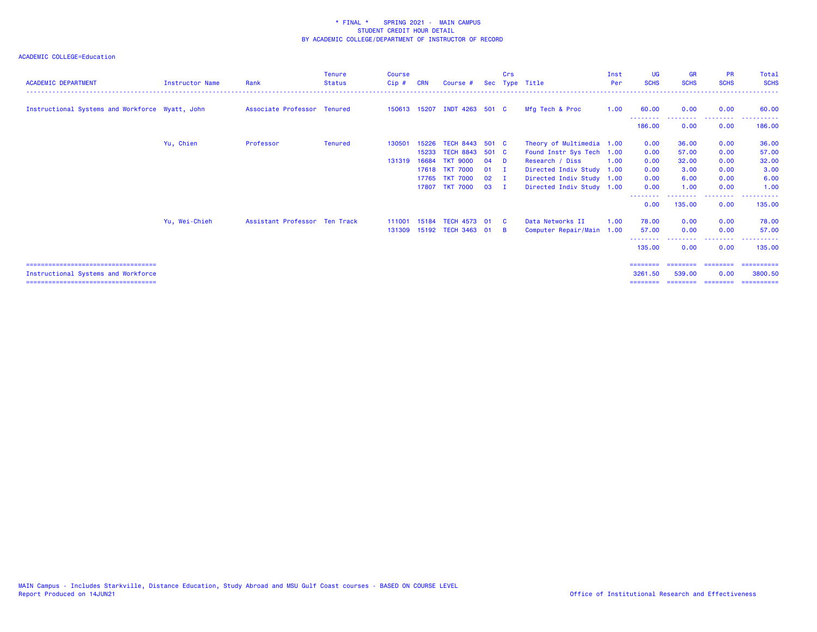| <b>ACADEMIC DEPARTMENT</b>                      | <b>Instructor Name</b> | Rank                          | <b>Tenure</b><br><b>Status</b> | <b>Course</b><br>Cip# | <b>CRN</b> | Course #                     | <b>Sec</b>   | Crs          | Type Title                | Inst<br><b>Per</b> | <b>UG</b><br><b>SCHS</b>        | <b>GR</b><br><b>SCHS</b> | <b>PR</b><br><b>SCHS</b> | Total<br><b>SCHS</b> |
|-------------------------------------------------|------------------------|-------------------------------|--------------------------------|-----------------------|------------|------------------------------|--------------|--------------|---------------------------|--------------------|---------------------------------|--------------------------|--------------------------|----------------------|
| Instructional Systems and Workforce Wyatt, John |                        | Associate Professor Tenured   |                                |                       |            | 150613 15207 INDT 4263 501 C |              |              | Mfg Tech & Proc           | 1.00               | 60.00                           | 0.00                     | 0.00                     | 60.00                |
|                                                 |                        |                               |                                |                       |            |                              |              |              |                           |                    | 186.00                          | 0.00                     | 0.00                     | 186.00               |
|                                                 | Yu, Chien              | Professor                     | <b>Tenured</b>                 | 130501                | 15226      | TECH 8443 501 C              |              |              | Theory of Multimedia 1.00 |                    | 0.00                            | 36.00                    | 0.00                     | 36.00                |
|                                                 |                        |                               |                                |                       | 15233      | TECH 8843 501 C              |              |              | Found Instr Sys Tech 1.00 |                    | 0.00                            | 57.00                    | 0.00                     | 57.00                |
|                                                 |                        |                               |                                | 131319                | 16684      | <b>TKT 9000</b>              | 04           | - D          | Research / Diss           | 1.00               | 0.00                            | 32.00                    | 0.00                     | 32.00                |
|                                                 |                        |                               |                                |                       |            | 17618 TKT 7000               | $01$ I       |              | Directed Indiv Study 1.00 |                    | 0.00                            | 3.00                     | 0.00                     | 3.00                 |
|                                                 |                        |                               |                                |                       | 17765      | <b>TKT 7000</b>              | $02 \quad I$ |              | Directed Indiv Study 1.00 |                    | 0.00                            | 6.00                     | 0.00                     | 6.00                 |
|                                                 |                        |                               |                                |                       | 17807      | <b>TKT 7000</b>              | $03$ I       |              | Directed Indiv Study 1.00 |                    | 0.00<br><u> - - - - - - - -</u> | 1.00                     | 0.00<br>--------         | 1.00                 |
|                                                 |                        |                               |                                |                       |            |                              |              |              |                           |                    | 0.00                            | 135.00                   | 0.00                     | 135.00               |
|                                                 | Yu, Wei-Chieh          | Assistant Professor Ten Track |                                | 111001                | 15184      | TECH 4573 01                 |              | $\mathbf{c}$ | Data Networks II          | 1.00               | 78.00                           | 0.00                     | 0.00                     | 78.00                |
|                                                 |                        |                               |                                | 131309                |            | 15192 TECH 3463 01           |              | - B          | Computer Repair/Main 1.00 |                    | 57.00                           | 0.00                     | 0.00                     | 57.00                |
|                                                 |                        |                               |                                |                       |            |                              |              |              |                           |                    | 135.00                          | 0.00                     | 0.00                     | 135.00               |
| ====================================            |                        |                               |                                |                       |            |                              |              |              |                           |                    |                                 |                          |                          | =========            |
| Instructional Systems and Workforce             |                        |                               |                                |                       |            |                              |              |              |                           |                    | 3261.50                         | 539,00                   | 0.00                     | 3800.50              |
| ====================================            |                        |                               |                                |                       |            |                              |              |              |                           |                    |                                 |                          |                          | =========            |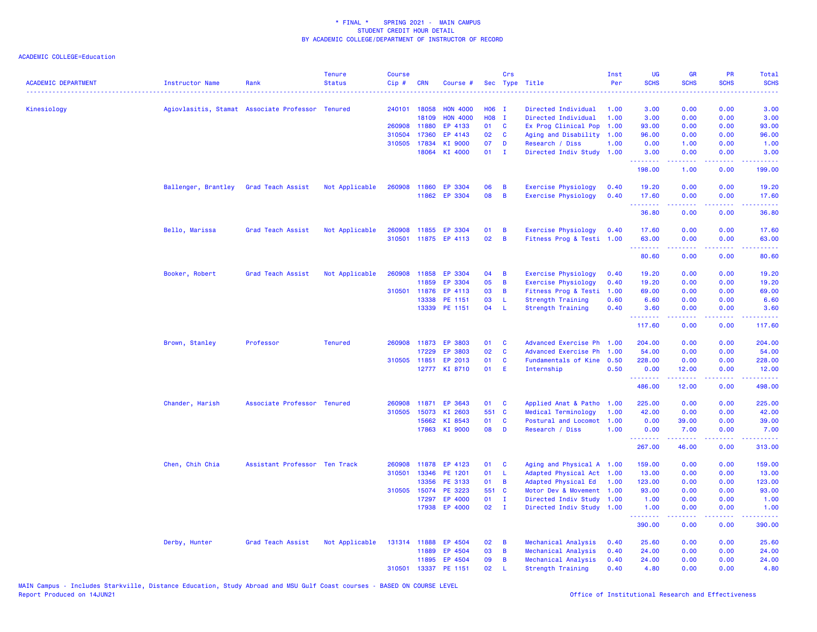| <b>ACADEMIC DEPARTMENT</b> | <b>Instructor Name</b>                           | Rank                          | <b>Tenure</b><br><b>Status</b> | <b>Course</b><br>$Cip$ # | <b>CRN</b>     | Course #             |          | Crs                   | Sec Type Title                                    | Inst<br>Per | UG<br><b>SCHS</b> | <b>GR</b><br><b>SCHS</b>                                                                                                                             | <b>PR</b><br><b>SCHS</b>            | Total<br><b>SCHS</b>                                                                                                              |
|----------------------------|--------------------------------------------------|-------------------------------|--------------------------------|--------------------------|----------------|----------------------|----------|-----------------------|---------------------------------------------------|-------------|-------------------|------------------------------------------------------------------------------------------------------------------------------------------------------|-------------------------------------|-----------------------------------------------------------------------------------------------------------------------------------|
| Kinesiology                | Agiovlasitis, Stamat Associate Professor Tenured |                               |                                | 240101 18058             |                | <b>HON 4000</b>      | H06 I    |                       | Directed Individual                               | 1.00        | 3.00              | 0.00                                                                                                                                                 | 0.00                                | 3.00                                                                                                                              |
|                            |                                                  |                               |                                |                          | 18109          | <b>HON 4000</b>      | H08 I    |                       | Directed Individual                               | 1.00        | 3.00              | 0.00                                                                                                                                                 | 0.00                                | 3.00                                                                                                                              |
|                            |                                                  |                               |                                | 260908 11880             |                | EP 4133              | 01       | <b>C</b>              | Ex Prog Clinical Pop                              | 1.00        | 93.00             | 0.00                                                                                                                                                 | 0.00                                | 93.00                                                                                                                             |
|                            |                                                  |                               |                                | 310504 17360             |                | EP 4143              | 02       | C                     | Aging and Disability 1.00                         |             | 96.00             | 0.00                                                                                                                                                 | 0.00                                | 96.00                                                                                                                             |
|                            |                                                  |                               |                                | 310505 17834             |                | KI 9000              | 07       | D                     | Research / Diss                                   | 1.00        | 0.00              | 1.00                                                                                                                                                 | 0.00                                | 1.00                                                                                                                              |
|                            |                                                  |                               |                                |                          | 18064          | KI 4000              | 01       | $\blacksquare$        | Directed Indiv Study 1.00                         |             | 3.00<br>.         | 0.00<br>2.2.2.2.2                                                                                                                                    | 0.00<br>.                           | 3.00<br>. <b>.</b>                                                                                                                |
|                            |                                                  |                               |                                |                          |                |                      |          |                       |                                                   |             | 198.00            | 1.00                                                                                                                                                 | 0.00                                | 199.00                                                                                                                            |
|                            | Ballenger, Brantley                              | Grad Teach Assist             | Not Applicable                 | 260908 11860             |                | EP 3304              | 06       | B                     | Exercise Physiology                               | 0.40        | 19.20             | 0.00                                                                                                                                                 | 0.00                                | 19.20                                                                                                                             |
|                            |                                                  |                               |                                |                          |                | 11862 EP 3304        | 08       | B                     | <b>Exercise Physiology</b>                        | 0.40        | 17.60<br>.        | 0.00<br>.                                                                                                                                            | 0.00<br>.                           | 17.60<br>.                                                                                                                        |
|                            |                                                  |                               |                                |                          |                |                      |          |                       |                                                   |             | 36.80             | 0.00                                                                                                                                                 | 0.00                                | 36.80                                                                                                                             |
|                            | Bello, Marissa                                   | Grad Teach Assist             | Not Applicable                 | 260908 11855             |                | EP 3304              | 01       | B                     | Exercise Physiology                               | 0.40        | 17.60             | 0.00                                                                                                                                                 | 0.00                                | 17.60                                                                                                                             |
|                            |                                                  |                               |                                |                          |                | 310501 11875 EP 4113 | 02       | B                     | Fitness Prog & Testi 1.00                         |             | 63.00             | 0.00                                                                                                                                                 | 0.00<br>$\sim$ $\sim$ $\sim$ $\sim$ | 63.00                                                                                                                             |
|                            |                                                  |                               |                                |                          |                |                      |          |                       |                                                   |             | 80.60             | 0.00                                                                                                                                                 | 0.00                                | 80.60                                                                                                                             |
|                            | Booker, Robert                                   | Grad Teach Assist             | Not Applicable                 | 260908 11858             |                | EP 3304              | 04       | B                     | <b>Exercise Physiology</b>                        | 0.40        | 19.20             | 0.00                                                                                                                                                 | 0.00                                | 19.20                                                                                                                             |
|                            |                                                  |                               |                                |                          | 11859          | EP 3304              | 05       | B                     | <b>Exercise Physiology</b>                        | 0.40        | 19.20             | 0.00                                                                                                                                                 | 0.00                                | 19.20                                                                                                                             |
|                            |                                                  |                               |                                | 310501                   | 11876          | EP 4113              | 03       | B                     | Fitness Prog & Testi                              | 1.00        | 69.00             | 0.00                                                                                                                                                 | 0.00                                | 69.00                                                                                                                             |
|                            |                                                  |                               |                                |                          | 13338          | PE 1151              | 03       | L                     | <b>Strength Training</b>                          | 0.60        | 6.60              | 0.00                                                                                                                                                 | 0.00                                | 6.60                                                                                                                              |
|                            |                                                  |                               |                                |                          | 13339          | PE 1151              | 04       | L                     | <b>Strength Training</b>                          | 0.40        | 3.60<br>.         | 0.00<br>.                                                                                                                                            | 0.00<br>$\omega$ and $\omega$       | 3.60<br>$\frac{1}{2} \left( \frac{1}{2} \right) \left( \frac{1}{2} \right) \left( \frac{1}{2} \right) \left( \frac{1}{2} \right)$ |
|                            |                                                  |                               |                                |                          |                |                      |          |                       |                                                   |             | 117.60            | 0.00                                                                                                                                                 | 0.00                                | 117.60                                                                                                                            |
|                            | Brown, Stanley                                   | Professor                     | <b>Tenured</b>                 | 260908                   | 11873          | EP 3803              | 01       | C                     | Advanced Exercise Ph 1.00                         |             | 204.00            | 0.00                                                                                                                                                 | 0.00                                | 204.00                                                                                                                            |
|                            |                                                  |                               |                                |                          | 17229          | EP 3803              | 02       | C                     | Advanced Exercise Ph                              | 1.00        | 54.00             | 0.00                                                                                                                                                 | 0.00                                | 54.00                                                                                                                             |
|                            |                                                  |                               |                                | 310505 11851             |                | EP 2013              | 01       | C                     | Fundamentals of Kine 0.50                         |             | 228.00            | 0.00                                                                                                                                                 | 0.00                                | 228.00                                                                                                                            |
|                            |                                                  |                               |                                |                          |                | 12777 KI 8710        | 01       | E                     | Internship                                        | 0.50        | 0.00<br>.         | 12.00<br>.                                                                                                                                           | 0.00<br>.                           | 12.00<br>$\begin{array}{cccccccccc} \bullet & \bullet & \bullet & \bullet & \bullet & \bullet & \bullet & \bullet \end{array}$    |
|                            |                                                  |                               |                                |                          |                |                      |          |                       |                                                   |             | 486.00            | 12.00                                                                                                                                                | 0.00                                | 498.00                                                                                                                            |
|                            | Chander, Harish                                  | Associate Professor Tenured   |                                | 260908                   | 11871          | EP 3643              | 01       | C                     | Applied Anat & Patho                              | 1.00        | 225.00            | 0.00                                                                                                                                                 | 0.00                                | 225.00                                                                                                                            |
|                            |                                                  |                               |                                | 310505                   | 15073          | KI 2603              | 551 C    |                       | Medical Terminology                               | 1.00        | 42.00             | 0.00                                                                                                                                                 | 0.00                                | 42.00                                                                                                                             |
|                            |                                                  |                               |                                |                          | 15662          | KI 8543              | 01       | C                     | Postural and Locomot                              | 1.00        | 0.00              | 39.00                                                                                                                                                | 0.00                                | 39.00                                                                                                                             |
|                            |                                                  |                               |                                |                          | 17863          | KI 9000              | 08       | D                     | Research / Diss                                   | 1.00        | 0.00<br>.         | 7.00<br>$\frac{1}{2} \left( \frac{1}{2} \right) \left( \frac{1}{2} \right) \left( \frac{1}{2} \right) \left( \frac{1}{2} \right)$                    | 0.00<br>.                           | 7.00<br>$\frac{1}{2} \left( \frac{1}{2} \right) \left( \frac{1}{2} \right) \left( \frac{1}{2} \right) \left( \frac{1}{2} \right)$ |
|                            |                                                  |                               |                                |                          |                |                      |          |                       |                                                   |             | 267.00            | 46.00                                                                                                                                                | 0.00                                | 313.00                                                                                                                            |
|                            | Chen, Chih Chia                                  | Assistant Professor Ten Track |                                | 260908                   | 11878          | EP 4123              | 01       | C                     | Aging and Physical A 1.00                         |             | 159.00            | 0.00                                                                                                                                                 | 0.00                                | 159.00                                                                                                                            |
|                            |                                                  |                               |                                | 310501                   | 13346          | PE 1201              | 01       | L                     | Adapted Physical Act 1.00                         |             | 13.00             | 0.00                                                                                                                                                 | 0.00                                | 13.00                                                                                                                             |
|                            |                                                  |                               |                                |                          | 13356          | PE 3133              | 01       | B                     | Adapted Physical Ed                               | 1.00        | 123.00            | 0.00                                                                                                                                                 | 0.00                                | 123.00                                                                                                                            |
|                            |                                                  |                               |                                | 310505 15074             |                | PE 3223              | 551 C    |                       | Motor Dev & Movement                              | 1.00        | 93.00             | 0.00                                                                                                                                                 | 0.00                                | 93.00                                                                                                                             |
|                            |                                                  |                               |                                |                          | 17297<br>17938 | EP 4000<br>EP 4000   | 01<br>02 | - I<br>$\blacksquare$ | Directed Indiv Study<br>Directed Indiv Study 1.00 | 1.00        | 1.00<br>1.00      | 0.00<br>0.00                                                                                                                                         | 0.00<br>0.00                        | 1.00<br>1.00                                                                                                                      |
|                            |                                                  |                               |                                |                          |                |                      |          |                       |                                                   |             | .                 | $\frac{1}{2} \left( \frac{1}{2} \right) \left( \frac{1}{2} \right) \left( \frac{1}{2} \right) \left( \frac{1}{2} \right) \left( \frac{1}{2} \right)$ | .                                   | ، د د د د د د                                                                                                                     |
|                            |                                                  |                               |                                |                          |                |                      |          |                       |                                                   |             | 390.00            | 0.00                                                                                                                                                 | 0.00                                | 390.00                                                                                                                            |
|                            | Derby, Hunter                                    | Grad Teach Assist             | Not Applicable                 | 131314 11888             |                | EP 4504              | 02       | B                     | Mechanical Analysis                               | 0.40        | 25.60             | 0.00                                                                                                                                                 | 0.00                                | 25.60                                                                                                                             |
|                            |                                                  |                               |                                |                          | 11889          | EP 4504              | 03       | B                     | Mechanical Analysis                               | 0.40        | 24.00             | 0.00                                                                                                                                                 | 0.00                                | 24.00                                                                                                                             |
|                            |                                                  |                               |                                |                          | 11895          | EP 4504              | 09       | B                     | Mechanical Analysis                               | 0.40        | 24.00             | 0.00                                                                                                                                                 | 0.00                                | 24.00                                                                                                                             |
|                            |                                                  |                               |                                | 310501                   | 13337          | PE 1151              | 02       | $\mathbf{L}$          | Strength Training                                 | 0.40        | 4.80              | 0.00                                                                                                                                                 | 0.00                                | 4.80                                                                                                                              |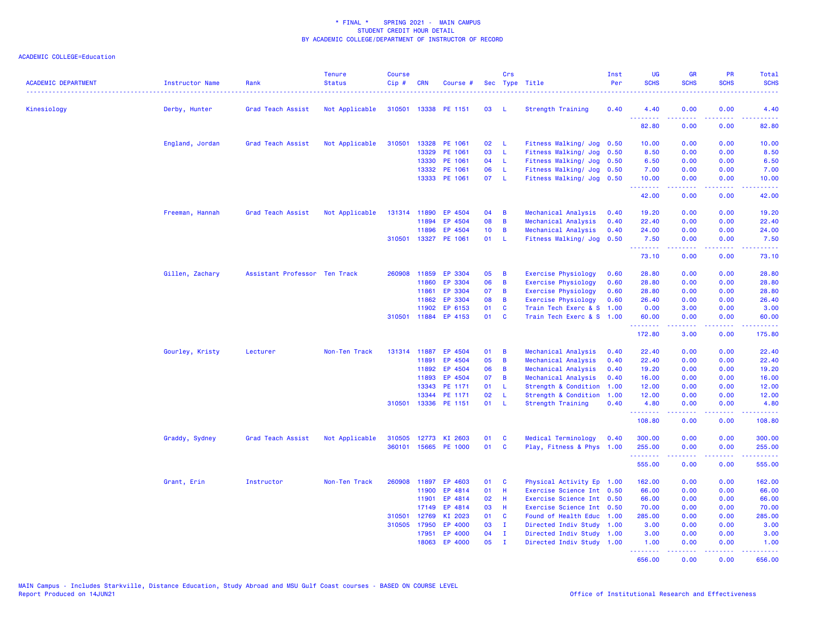| <b>ACADEMIC DEPARTMENT</b> | Instructor Name | Rank                          | <b>Tenure</b><br><b>Status</b> | <b>Course</b><br>$Cip \#$ | <b>CRN</b>   | Course #             |                 | Crs          | Sec Type Title             | Inst<br>Per | <b>UG</b><br><b>SCHS</b> | <b>GR</b><br><b>SCHS</b> | <b>PR</b><br><b>SCHS</b>            | Total<br><b>SCHS</b>                                                                                                                                           |
|----------------------------|-----------------|-------------------------------|--------------------------------|---------------------------|--------------|----------------------|-----------------|--------------|----------------------------|-------------|--------------------------|--------------------------|-------------------------------------|----------------------------------------------------------------------------------------------------------------------------------------------------------------|
| Kinesiology                | Derby, Hunter   | Grad Teach Assist             | Not Applicable                 |                           |              | 310501 13338 PE 1151 | 03              | - L          | <b>Strength Training</b>   | 0.40        | 4.40                     | 0.00                     | 0.00                                | 4.40                                                                                                                                                           |
|                            |                 |                               |                                |                           |              |                      |                 |              |                            |             | .<br>82.80               | .<br>0.00                | $\sim$ $\sim$ $\sim$ $\sim$<br>0.00 | 82.80                                                                                                                                                          |
|                            | England, Jordan | Grad Teach Assist             | Not Applicable                 | 310501                    | 13328        | PE 1061              | 02 <sub>o</sub> | - L          | Fitness Walking/ Jog 0.50  |             | 10.00                    | 0.00                     | 0.00                                | 10.00                                                                                                                                                          |
|                            |                 |                               |                                |                           | 13329        | PE 1061              | 03              | - L          | Fitness Walking/ Jog       | 0.50        | 8.50                     | 0.00                     | 0.00                                | 8.50                                                                                                                                                           |
|                            |                 |                               |                                |                           | 13330        | PE 1061              | 04              | - L          | Fitness Walking/ Jog 0.50  |             | 6.50                     | 0.00                     | 0.00                                | 6.50                                                                                                                                                           |
|                            |                 |                               |                                |                           | 13332        | PE 1061              | 06              | - L          | Fitness Walking/ Jog 0.50  |             | 7.00                     | 0.00                     | 0.00                                | 7.00                                                                                                                                                           |
|                            |                 |                               |                                |                           | 13333        | PE 1061              | 07              | - L          | Fitness Walking/ Jog 0.50  |             | 10.00<br>.               | 0.00<br>22222            | 0.00<br>.                           | 10.00<br>.                                                                                                                                                     |
|                            |                 |                               |                                |                           |              |                      |                 |              |                            |             | 42.00                    | 0.00                     | 0.00                                | 42.00                                                                                                                                                          |
|                            | Freeman, Hannah | Grad Teach Assist             | Not Applicable                 |                           | 131314 11890 | EP 4504              | 04              | B            | Mechanical Analysis        | 0.40        | 19.20                    | 0.00                     | 0.00                                | 19.20                                                                                                                                                          |
|                            |                 |                               |                                |                           | 11894        | EP 4504              | 08              | B            | Mechanical Analysis        | 0.40        | 22.40                    | 0.00                     | 0.00                                | 22.40                                                                                                                                                          |
|                            |                 |                               |                                |                           | 11896        | EP 4504              | 10 <sub>1</sub> | B            | Mechanical Analysis        | 0.40        | 24.00                    | 0.00                     | 0.00                                | 24.00                                                                                                                                                          |
|                            |                 |                               |                                |                           | 310501 13327 | PE 1061              | 01              | - L          | Fitness Walking/ Jog       | 0.50        | 7.50<br>.                | 0.00                     | 0.00                                | 7.50                                                                                                                                                           |
|                            |                 |                               |                                |                           |              |                      |                 |              |                            |             | 73.10                    | 0.00                     | 0.00                                | 73.10                                                                                                                                                          |
|                            | Gillen, Zachary | Assistant Professor Ten Track |                                | 260908                    | 11859        | EP 3304              | 05              | B            | <b>Exercise Physiology</b> | 0.60        | 28.80                    | 0.00                     | 0.00                                | 28.80                                                                                                                                                          |
|                            |                 |                               |                                |                           | 11860        | EP 3304              | 06              | B            | <b>Exercise Physiology</b> | 0.60        | 28.80                    | 0.00                     | 0.00                                | 28.80                                                                                                                                                          |
|                            |                 |                               |                                |                           | 11861        | EP 3304              | 07              | B            | <b>Exercise Physiology</b> | 0.60        | 28.80                    | 0.00                     | 0.00                                | 28.80                                                                                                                                                          |
|                            |                 |                               |                                |                           | 11862        | EP 3304              | 08              | B            | <b>Exercise Physiology</b> | 0.60        | 26.40                    | 0.00                     | 0.00                                | 26.40                                                                                                                                                          |
|                            |                 |                               |                                |                           | 11902        | EP 6153              | 01              | C            | Train Tech Exerc & S       | 1.00        | 0.00                     | 3.00                     | 0.00                                | 3.00                                                                                                                                                           |
|                            |                 |                               |                                |                           | 310501 11884 | EP 4153              | 01              | C            | Train Tech Exerc & S 1.00  |             | 60.00<br>.               | 0.00<br>.                | 0.00<br>.                           | 60.00<br>.                                                                                                                                                     |
|                            |                 |                               |                                |                           |              |                      |                 |              |                            |             | 172.80                   | 3.00                     | 0.00                                | 175.80                                                                                                                                                         |
|                            | Gourley, Kristy | Lecturer                      | Non-Ten Track                  |                           | 131314 11887 | EP 4504              | 01              | B            | Mechanical Analysis        | 0.40        | 22.40                    | 0.00                     | 0.00                                | 22.40                                                                                                                                                          |
|                            |                 |                               |                                |                           | 11891        | EP 4504              | 05              | B            | Mechanical Analysis        | 0.40        | 22.40                    | 0.00                     | 0.00                                | 22.40                                                                                                                                                          |
|                            |                 |                               |                                |                           | 11892        | EP 4504              | 06              | B            | Mechanical Analysis        | 0.40        | 19.20                    | 0.00                     | 0.00                                | 19.20                                                                                                                                                          |
|                            |                 |                               |                                |                           | 11893        | EP 4504              | 07              | B            | Mechanical Analysis        | 0.40        | 16.00                    | 0.00                     | 0.00                                | 16.00                                                                                                                                                          |
|                            |                 |                               |                                |                           | 13343        | PE 1171              | 01              | - L          | Strength & Condition       | 1.00        | 12.00                    | 0.00                     | 0.00                                | 12.00                                                                                                                                                          |
|                            |                 |                               |                                |                           | 13344        | PE 1171              | 02              | -L           | Strength & Condition       | 1.00        | 12.00                    | 0.00                     | 0.00                                | 12.00                                                                                                                                                          |
|                            |                 |                               |                                |                           |              | 310501 13336 PE 1151 | 01              | $\mathsf{L}$ | Strength Training          | 0.40        | 4.80<br>.                | 0.00<br>2.2.2.2.2        | 0.00<br>.                           | 4.80<br>$- - - - - -$                                                                                                                                          |
|                            |                 |                               |                                |                           |              |                      |                 |              |                            |             | 108.80                   | 0.00                     | 0.00                                | 108.80                                                                                                                                                         |
|                            | Graddy, Sydney  | Grad Teach Assist             | Not Applicable                 | 310505                    |              | 12773 KI 2603        | 01              | <b>C</b>     | Medical Terminology        | 0.40        | 300.00                   | 0.00                     | 0.00                                | 300.00                                                                                                                                                         |
|                            |                 |                               |                                | 360101                    |              | 15665 PE 1000        | 01              | $\mathbf{C}$ | Play, Fitness & Phys 1.00  |             | 255.00<br>.              | 0.00<br>.                | 0.00<br>.                           | 255.00<br>$\frac{1}{2} \left( \frac{1}{2} \right) \left( \frac{1}{2} \right) \left( \frac{1}{2} \right) \left( \frac{1}{2} \right) \left( \frac{1}{2} \right)$ |
|                            |                 |                               |                                |                           |              |                      |                 |              |                            |             | 555.00                   | 0.00                     | 0.00                                | 555.00                                                                                                                                                         |
|                            | Grant, Erin     | Instructor                    | Non-Ten Track                  | 260908                    | 11897        | EP 4603              | 01              | C            | Physical Activity Ep 1.00  |             | 162.00                   | 0.00                     | 0.00                                | 162.00                                                                                                                                                         |
|                            |                 |                               |                                |                           | 11900        | EP 4814              | 01              | -H           | Exercise Science Int 0.50  |             | 66.00                    | 0.00                     | 0.00                                | 66.00                                                                                                                                                          |
|                            |                 |                               |                                |                           | 11901        | EP 4814              | 02              | - H          | Exercise Science Int 0.50  |             | 66.00                    | 0.00                     | 0.00                                | 66.00                                                                                                                                                          |
|                            |                 |                               |                                |                           | 17149        | EP 4814              | 03              | H            | Exercise Science Int 0.50  |             | 70.00                    | 0.00                     | 0.00                                | 70.00                                                                                                                                                          |
|                            |                 |                               |                                | 310501                    | 12769        | KI 2023              | 01              | C            | Found of Health Educ 1.00  |             | 285.00                   | 0.00                     | 0.00                                | 285.00                                                                                                                                                         |
|                            |                 |                               |                                |                           | 310505 17950 | EP 4000              | 03              | $\mathbf{I}$ | Directed Indiv Study 1.00  |             | 3.00                     | 0.00                     | 0.00                                | 3.00                                                                                                                                                           |
|                            |                 |                               |                                |                           | 17951        | EP 4000              | 04              | $\mathbf{I}$ | Directed Indiv Study 1.00  |             | 3.00                     | 0.00                     | 0.00                                | 3.00                                                                                                                                                           |
|                            |                 |                               |                                |                           | 18063        | EP 4000              | 05              | $\mathbf{I}$ | Directed Indiv Study 1.00  |             | 1.00<br>.                | 0.00<br>22222            | 0.00<br>.                           | 1.00<br>.                                                                                                                                                      |
|                            |                 |                               |                                |                           |              |                      |                 |              |                            |             | 656.00                   | 0.00                     | 0.00                                | 656.00                                                                                                                                                         |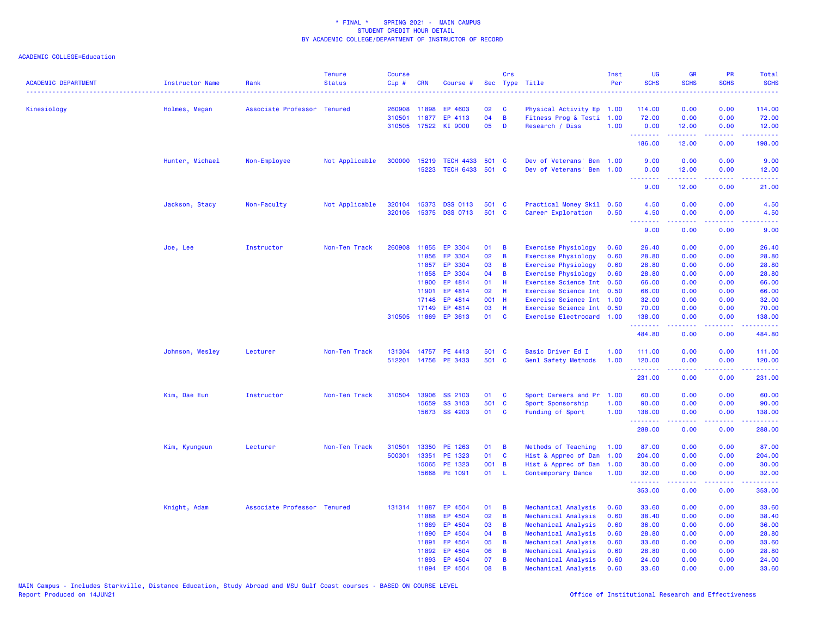| <b>ACADEMIC DEPARTMENT</b> | Instructor Name | Rank                        | <b>Tenure</b><br><b>Status</b> | <b>Course</b><br>$Cip$ # | <b>CRN</b> | Course #             |       | Crs            | Sec Type Title             | Inst<br>Per | UG<br><b>SCHS</b> | <b>GR</b><br><b>SCHS</b> | PR<br><b>SCHS</b>                   | Total<br><b>SCHS</b>   |
|----------------------------|-----------------|-----------------------------|--------------------------------|--------------------------|------------|----------------------|-------|----------------|----------------------------|-------------|-------------------|--------------------------|-------------------------------------|------------------------|
| Kinesiology                | Holmes, Megan   | Associate Professor Tenured |                                | 260908                   | 11898      | EP 4603              | 02    | C              | Physical Activity Ep 1.00  |             | 114.00            | 0.00                     | 0.00                                | 114.00                 |
|                            |                 |                             |                                | 310501                   | 11877      | EP 4113              | 04    | $\overline{B}$ | Fitness Prog & Testi 1.00  |             | 72.00             | 0.00                     | 0.00                                | 72.00                  |
|                            |                 |                             |                                |                          |            | 310505 17522 KI 9000 | 05    | D              | Research / Diss            | 1.00        | 0.00              | 12.00                    | 0.00                                | 12.00                  |
|                            |                 |                             |                                |                          |            |                      |       |                |                            |             | .<br>186.00       | .<br>12.00               | .<br>0.00                           | <u>.</u><br>198.00     |
|                            | Hunter, Michael | Non-Employee                | Not Applicable                 | 300000                   | 15219      | <b>TECH 4433</b>     | 501 C |                | Dev of Veterans' Ben       | 1.00        | 9.00              | 0.00                     | 0.00                                | 9.00                   |
|                            |                 |                             |                                |                          | 15223      | TECH 6433 501 C      |       |                | Dev of Veterans' Ben 1.00  |             | 0.00<br>.         | 12.00<br>.               | 0.00<br>.                           | 12.00<br>.             |
|                            |                 |                             |                                |                          |            |                      |       |                |                            |             | 9.00              | 12.00                    | 0.00                                | 21.00                  |
|                            | Jackson, Stacy  | Non-Faculty                 | Not Applicable                 | 320104                   | 15373      | <b>DSS 0113</b>      | 501   | <b>C</b>       | Practical Money Skil 0.50  |             | 4.50              | 0.00                     | 0.00                                | 4.50                   |
|                            |                 |                             |                                | 320105                   |            | 15375 DSS 0713       | 501 C |                | Career Exploration         | 0.50        | 4.50<br>.         | 0.00<br>.                | 0.00<br>د د د د .                   | 4.50<br>2222)          |
|                            |                 |                             |                                |                          |            |                      |       |                |                            |             | 9.00              | 0.00                     | 0.00                                | 9.00                   |
|                            | Joe, Lee        | Instructor                  | Non-Ten Track                  | 260908                   | 11855      | EP 3304              | 01    | B              | Exercise Physiology        | 0.60        | 26.40             | 0.00                     | 0.00                                | 26.40                  |
|                            |                 |                             |                                |                          | 11856      | EP 3304              | 02    | B              | <b>Exercise Physiology</b> | 0.60        | 28.80             | 0.00                     | 0.00                                | 28.80                  |
|                            |                 |                             |                                |                          | 11857      | EP 3304              | 03    | B              | <b>Exercise Physiology</b> | 0.60        | 28.80             | 0.00                     | 0.00                                | 28.80                  |
|                            |                 |                             |                                |                          | 11858      | EP 3304              | 04    | B              | Exercise Physiology        | 0.60        | 28.80             | 0.00                     | 0.00                                | 28.80                  |
|                            |                 |                             |                                |                          | 11900      | EP 4814              | 01    | н              | Exercise Science Int       | 0.50        | 66.00             | 0.00                     | 0.00                                | 66.00                  |
|                            |                 |                             |                                |                          | 11901      | EP 4814              | 02    | н              | Exercise Science Int 0.50  |             | 66.00             | 0.00                     | 0.00                                | 66.00                  |
|                            |                 |                             |                                |                          | 17148      | EP 4814              | 001 H |                | Exercise Science Int 1.00  |             | 32.00             | 0.00                     | 0.00                                | 32.00                  |
|                            |                 |                             |                                |                          | 17149      | EP 4814              | 03    | H              | Exercise Science Int 0.50  |             | 70.00             | 0.00                     | 0.00                                | 70.00                  |
|                            |                 |                             |                                |                          |            | 310505 11869 EP 3613 | 01    | <b>C</b>       | Exercise Electrocard 1.00  |             | 138.00<br>.       | 0.00<br>.                | 0.00<br>.                           | 138.00<br>.            |
|                            |                 |                             |                                |                          |            |                      |       |                |                            |             | 484.80            | 0.00                     | 0.00                                | 484.80                 |
|                            | Johnson, Wesley | Lecturer                    | Non-Ten Track                  | 131304                   |            | 14757 PE 4413        | 501 C |                | Basic Driver Ed I          | 1.00        | 111.00            | 0.00                     | 0.00                                | 111.00                 |
|                            |                 |                             |                                | 512201                   |            | 14756 PE 3433        | 501 C |                | Genl Safety Methods        | 1.00        | 120.00            | 0.00                     | 0.00                                | 120.00                 |
|                            |                 |                             |                                |                          |            |                      |       |                |                            |             | .<br>231.00       | -----<br>0.00            | .<br>0.00                           | لأعاط عاطاته<br>231.00 |
|                            | Kim, Dae Eun    | Instructor                  | Non-Ten Track                  | 310504                   | 13906      | SS 2103              | 01    | C              | Sport Careers and Pr       | 1.00        | 60.00             | 0.00                     | 0.00                                | 60.00                  |
|                            |                 |                             |                                |                          | 15659      | SS 3103              | 501 C |                | Sport Sponsorship          | 1.00        | 90.00             | 0.00                     | 0.00                                | 90.00                  |
|                            |                 |                             |                                |                          |            | 15673 SS 4203        | 01    | C              | Funding of Sport           | 1.00        | 138.00<br>.       | 0.00<br>. <b>.</b>       | 0.00<br>22222                       | 138.00<br>.            |
|                            |                 |                             |                                |                          |            |                      |       |                |                            |             | 288.00            | 0.00                     | 0.00                                | 288.00                 |
|                            | Kim, Kyungeun   | Lecturer                    | Non-Ten Track                  | 310501                   | 13350      | PE 1263              | 01    | B              | Methods of Teaching        | 1.00        | 87.00             | 0.00                     | 0.00                                | 87.00                  |
|                            |                 |                             |                                | 500301                   | 13351      | PE 1323              | 01    | C              | Hist & Apprec of Dan       | 1.00        | 204.00            | 0.00                     | 0.00                                | 204.00                 |
|                            |                 |                             |                                |                          |            | 15065 PE 1323        | 001 B |                | Hist & Apprec of Dan       | 1.00        | 30.00             | 0.00                     | 0.00                                | 30.00                  |
|                            |                 |                             |                                |                          |            | 15668 PE 1091        | 01    | - L            | <b>Contemporary Dance</b>  | 1.00        | 32.00<br><u>.</u> | 0.00<br>.                | 0.00<br>$\sim$ $\sim$ $\sim$ $\sim$ | 32.00<br><u>.</u>      |
|                            |                 |                             |                                |                          |            |                      |       |                |                            |             | 353.00            | 0.00                     | 0.00                                | 353.00                 |
|                            | Knight, Adam    | Associate Professor Tenured |                                |                          |            | 131314 11887 EP 4504 | 01    | B              | Mechanical Analysis        | 0.60        | 33.60             | 0.00                     | 0.00                                | 33.60                  |
|                            |                 |                             |                                |                          | 11888      | EP 4504              | 02    | $\overline{B}$ | Mechanical Analysis        | 0.60        | 38.40             | 0.00                     | 0.00                                | 38.40                  |
|                            |                 |                             |                                |                          | 11889      | EP 4504              | 03    | B              | Mechanical Analysis        | 0.60        | 36.00             | 0.00                     | 0.00                                | 36.00                  |
|                            |                 |                             |                                |                          | 11890      | EP 4504              | 04    | B              | Mechanical Analysis        | 0.60        | 28.80             | 0.00                     | 0.00                                | 28.80                  |
|                            |                 |                             |                                |                          | 11891      | EP 4504              | 05    | B              | Mechanical Analysis        | 0.60        | 33.60             | 0.00                     | 0.00                                | 33.60                  |
|                            |                 |                             |                                |                          | 11892      | EP 4504              | 06    | B              | Mechanical Analysis        | 0.60        | 28.80             | 0.00                     | 0.00                                | 28.80                  |
|                            |                 |                             |                                |                          | 11893      | EP 4504              | 07    | B              | Mechanical Analysis        | 0.60        | 24.00             | 0.00                     | 0.00                                | 24.00                  |
|                            |                 |                             |                                |                          | 11894      | EP 4504              | 08    | B              | Mechanical Analysis        | 0.60        | 33.60             | 0.00                     | 0.00                                | 33.60                  |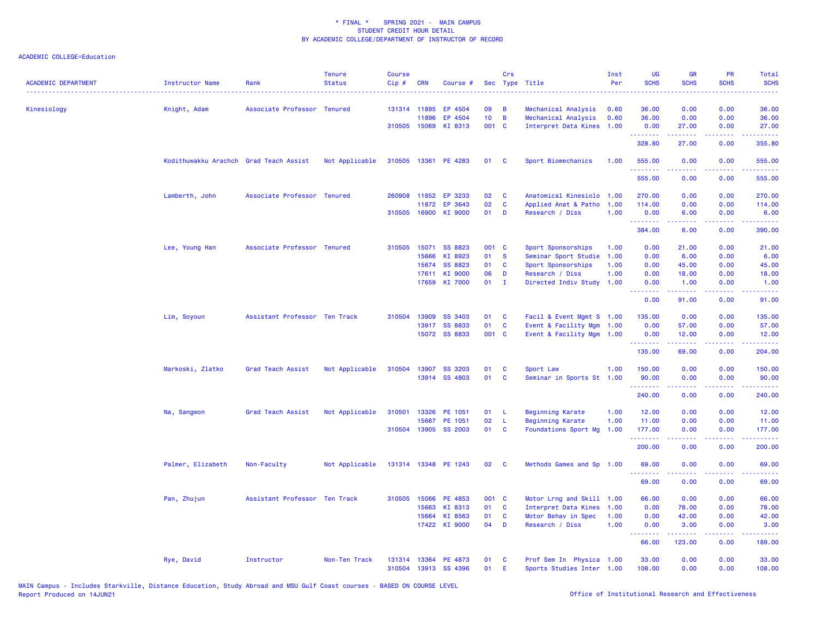| <b>ACADEMIC DEPARTMENT</b> | Instructor Name                        | Rank                          | <b>Tenure</b><br><b>Status</b> | <b>Course</b><br>Cip# | <b>CRN</b>            | Course #             |                 | Crs            | Sec Type Title                                    | Inst<br>Per | UG<br><b>SCHS</b>              | <b>GR</b><br><b>SCHS</b>             | PR<br><b>SCHS</b>                   | Total<br><b>SCHS</b><br>$\sim$ $\sim$ $\sim$ $\sim$ |
|----------------------------|----------------------------------------|-------------------------------|--------------------------------|-----------------------|-----------------------|----------------------|-----------------|----------------|---------------------------------------------------|-------------|--------------------------------|--------------------------------------|-------------------------------------|-----------------------------------------------------|
| Kinesiology                | Knight, Adam                           | Associate Professor Tenured   |                                |                       | 131314 11895          | EP 4504              | 09              | B              | Mechanical Analysis                               | 0.60        | 36.00                          | 0.00                                 | 0.00                                | 36.00                                               |
|                            |                                        |                               |                                |                       | 11896                 | EP 4504              | 10 <sub>1</sub> | $\overline{B}$ | Mechanical Analysis                               | 0.60        | 36.00                          | 0.00                                 | 0.00                                | 36.00                                               |
|                            |                                        |                               |                                |                       | 310505 15069          | KI 8313              | 001 C           |                | Interpret Data Kines                              | 1.00        | 0.00<br>.                      | 27.00<br>المستملة                    | 0.00<br>الأنابات                    | 27.00<br>.                                          |
|                            |                                        |                               |                                |                       |                       |                      |                 |                |                                                   |             | 328.80                         | 27.00                                | 0.00                                | 355.80                                              |
|                            | Kodithuwakku Arachch Grad Teach Assist |                               | Not Applicable                 |                       |                       | 310505 13361 PE 4283 | 01              | C              | Sport Biomechanics                                | 1.00        | 555.00<br>.                    | 0.00<br>.                            | 0.00<br>المتمامين                   | 555.00<br>المتمام ماليا                             |
|                            |                                        |                               |                                |                       |                       |                      |                 |                |                                                   |             | 555.00                         | 0.00                                 | 0.00                                | 555.00                                              |
|                            | Lamberth, John                         | Associate Professor Tenured   |                                | 260908                | 11852                 | EP 3233              | 02              | C              | Anatomical Kinesiolo                              | 1.00        | 270.00                         | 0.00                                 | 0.00                                | 270.00                                              |
|                            |                                        |                               |                                |                       | 11872                 | EP 3643              | 02              | C              | Applied Anat & Patho                              | 1.00        | 114.00                         | 0.00                                 | 0.00                                | 114.00                                              |
|                            |                                        |                               |                                |                       | 310505 16900          | KI 9000              | 01              | D              | Research / Diss                                   | 1.00        | 0.00                           | 6.00                                 | 0.00                                | 6.00                                                |
|                            |                                        |                               |                                |                       |                       |                      |                 |                |                                                   |             | 384.00                         | 6.00                                 | $\sim$ $\sim$ $\sim$ $\sim$<br>0.00 | 390.00                                              |
|                            | Lee, Young Han                         | Associate Professor Tenured   |                                | 310505                | 15071                 | SS 8823              | 001 C           |                | Sport Sponsorships                                | 1.00        | 0.00                           | 21.00                                | 0.00                                | 21.00                                               |
|                            |                                        |                               |                                |                       | 15666                 | KI 8923              | 01              | $\mathbf{s}$   | Seminar Sport Studie                              | 1.00        | 0.00                           | 6.00                                 | 0.00                                | 6.00                                                |
|                            |                                        |                               |                                |                       | 15674                 | SS 8823              | 01              | <b>C</b>       | Sport Sponsorships                                | 1.00        | 0.00                           | 45.00                                | 0.00                                | 45.00                                               |
|                            |                                        |                               |                                |                       | 17611                 | KI 9000              | 06              | D              | Research / Diss                                   | 1.00        | 0.00                           | 18.00                                | 0.00                                | 18.00                                               |
|                            |                                        |                               |                                |                       |                       | 17659 KI 7000        | 01              | $\mathbf{I}$   | Directed Indiv Study 1.00                         |             | 0.00                           | 1.00                                 | 0.00                                | 1.00                                                |
|                            |                                        |                               |                                |                       |                       |                      |                 |                |                                                   |             | $\omega$ is a $\omega$<br>0.00 | $\sim$ $\sim$ $\sim$ $\sim$<br>91.00 | د د د د<br>0.00                     | المتمامين<br>91.00                                  |
|                            | Lim, Soyoun                            | Assistant Professor Ten Track |                                | 310504                | 13909                 | SS 3403              | 01              | <b>C</b>       | Facil & Event Mgmt S 1.00                         |             | 135.00                         | 0.00                                 | 0.00                                | 135.00                                              |
|                            |                                        |                               |                                |                       | 13917                 | <b>SS 8833</b>       | 01              | $\mathbf{C}$   | Event & Facility Mgm                              | 1.00        | 0.00                           | 57.00                                | 0.00                                | 57.00                                               |
|                            |                                        |                               |                                |                       |                       | 15072 SS 8833        | 001 C           |                | Event & Facility Mgm 1.00                         |             | 0.00                           | 12.00                                | 0.00                                | 12.00                                               |
|                            |                                        |                               |                                |                       |                       |                      |                 |                |                                                   |             | <u>.</u><br>135.00             | .<br>69.00                           | .<br>0.00                           | .<br>204.00                                         |
|                            |                                        |                               |                                |                       |                       |                      |                 |                |                                                   |             |                                |                                      |                                     |                                                     |
|                            | Markoski, Zlatko                       | Grad Teach Assist             | Not Applicable                 | 310504                | 13907                 | SS 3203              | 01              | C              | Sport Law                                         | 1.00        | 150.00                         | 0.00                                 | 0.00                                | 150.00                                              |
|                            |                                        |                               |                                |                       |                       | 13914 SS 4803        | 01              | $\mathbf{C}$   | Seminar in Sports St 1.00                         |             | 90.00<br>.                     | 0.00<br>22222                        | 0.00<br>.                           | 90.00<br>222223                                     |
|                            |                                        |                               |                                |                       |                       |                      |                 |                |                                                   |             | 240.00                         | 0.00                                 | 0.00                                | 240.00                                              |
|                            | Na, Sangwon                            | Grad Teach Assist             | Not Applicable                 | 310501                | 13326                 | PE 1051              | 01              | - L            | <b>Beginning Karate</b>                           | 1.00        | 12.00                          | 0.00                                 | 0.00                                | 12.00                                               |
|                            |                                        |                               |                                |                       | 15667                 | PE 1051              | 02              | - L            | <b>Beginning Karate</b>                           | 1.00        | 11.00                          | 0.00                                 | 0.00                                | 11.00                                               |
|                            |                                        |                               |                                |                       |                       | 310504 13905 SS 2003 | 01              | $\mathbf{C}$   | Foundations Sport Mg                              | 1.00        | 177.00                         | 0.00                                 | 0.00                                | 177.00                                              |
|                            |                                        |                               |                                |                       |                       |                      |                 |                |                                                   |             | .<br>200.00                    | 0.00                                 | $\sim$ $\sim$ $\sim$ $\sim$<br>0.00 | .<br>200.00                                         |
|                            | Palmer, Elizabeth                      | Non-Faculty                   | Not Applicable                 |                       |                       | 131314 13348 PE 1243 | 02              | $\mathbf{C}$   | Methods Games and Sp 1.00                         |             | 69.00                          | 0.00                                 | 0.00                                | 69.00                                               |
|                            |                                        |                               |                                |                       |                       |                      |                 |                |                                                   |             | 69.00                          | 0.00                                 | وعاويا<br>0.00                      | 69.00                                               |
|                            |                                        |                               |                                |                       |                       |                      |                 |                |                                                   |             |                                |                                      |                                     |                                                     |
|                            | Pan, Zhujun                            | Assistant Professor Ten Track |                                |                       | 310505 15066<br>15663 | PE 4853<br>KI 8313   | 001 C<br>01     | C              | Motor Lrng and Skill 1.00<br>Interpret Data Kines | 1.00        | 66.00<br>0.00                  | 0.00<br>78.00                        | 0.00<br>0.00                        | 66.00<br>78.00                                      |
|                            |                                        |                               |                                |                       | 15664                 | KI 8563              | 01              | $\mathbf{C}$   | Motor Behav in Spec                               | 1.00        | 0.00                           | 42.00                                | 0.00                                | 42.00                                               |
|                            |                                        |                               |                                |                       |                       | 17422 KI 9000        | 04              | D              | Research / Diss                                   | 1.00        | 0.00                           | 3.00                                 | 0.00                                | 3.00                                                |
|                            |                                        |                               |                                |                       |                       |                      |                 |                |                                                   |             | .                              | .                                    | بالمحامي                            | .                                                   |
|                            |                                        |                               |                                |                       |                       |                      |                 |                |                                                   |             | 66.00                          | 123,00                               | 0.00                                | 189.00                                              |
|                            | Rye, David                             | Instructor                    | Non-Ten Track                  |                       |                       | 131314 13364 PE 4873 | 01              | C              | Prof Sem In Physica 1.00                          |             | 33.00                          | 0.00                                 | 0.00                                | 33.00                                               |
|                            |                                        |                               |                                | 310504                |                       | 13913 SS 4396        | 01              | E              | Sports Studies Inter 1.00                         |             | 108.00                         | 0.00                                 | 0.00                                | 108.00                                              |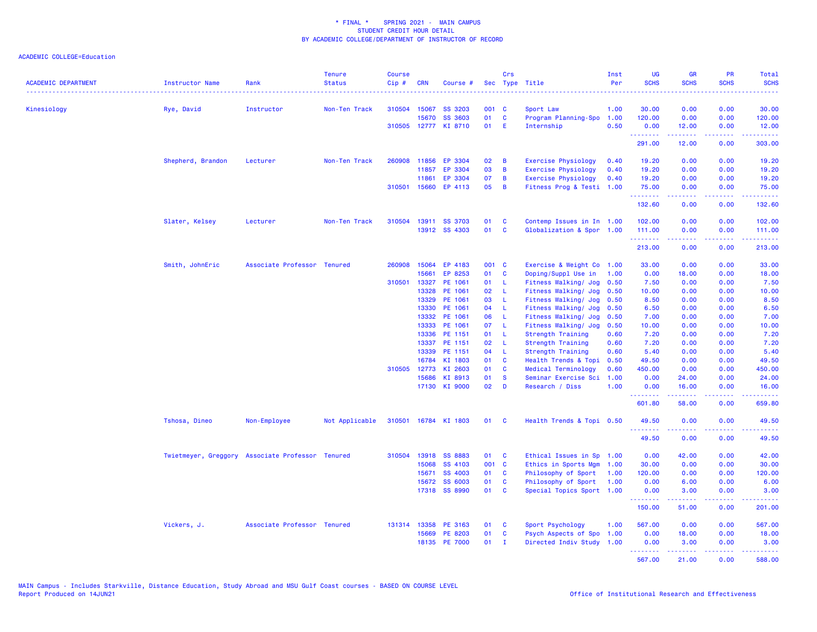| <b>ACADEMIC DEPARTMENT</b> | Instructor Name                                  | Rank                        | <b>Tenure</b><br><b>Status</b> | <b>Course</b><br>Cip# | <b>CRN</b>   | Course #             |       | Crs          | Sec Type Title             | Inst<br>Per | UG<br><b>SCHS</b> | <b>GR</b><br><b>SCHS</b> | <b>PR</b><br><b>SCHS</b> | Total<br><b>SCHS</b>                                                                                   |
|----------------------------|--------------------------------------------------|-----------------------------|--------------------------------|-----------------------|--------------|----------------------|-------|--------------|----------------------------|-------------|-------------------|--------------------------|--------------------------|--------------------------------------------------------------------------------------------------------|
| Kinesiology                | Rye, David                                       | Instructor                  | Non-Ten Track                  |                       | 310504 15067 | <b>SS 3203</b>       | 001 C |              | Sport Law                  | 1.00        | 30.00             | 0.00                     | 0.00                     | 30.00                                                                                                  |
|                            |                                                  |                             |                                |                       | 15670        | <b>SS 3603</b>       | 01    | $\mathbf c$  | Program Planning-Spo 1.00  |             | 120.00            | 0.00                     | 0.00                     | 120.00                                                                                                 |
|                            |                                                  |                             |                                |                       | 310505 12777 | KI 8710              | 01    | E            | Internship                 | 0.50        | 0.00              | 12.00                    | 0.00                     | 12.00                                                                                                  |
|                            |                                                  |                             |                                |                       |              |                      |       |              |                            |             | .<br>291.00       | 12.00                    | 0.00                     | 303.00                                                                                                 |
|                            | Shepherd, Brandon                                | Lecturer                    | Non-Ten Track                  |                       | 260908 11856 | EP 3304              | 02    | B            | <b>Exercise Physiology</b> | 0.40        | 19.20             | 0.00                     | 0.00                     | 19.20                                                                                                  |
|                            |                                                  |                             |                                |                       | 11857        | EP 3304              | 03    | B            | <b>Exercise Physiology</b> | 0.40        | 19.20             | 0.00                     | 0.00                     | 19.20                                                                                                  |
|                            |                                                  |                             |                                |                       | 11861        | EP 3304              | 07    | B            | <b>Exercise Physiology</b> | 0.40        | 19.20             | 0.00                     | 0.00                     | 19.20                                                                                                  |
|                            |                                                  |                             |                                |                       | 310501 15660 | EP 4113              | 05    | B            | Fitness Prog & Testi 1.00  |             | 75.00             | 0.00                     | 0.00                     | 75.00                                                                                                  |
|                            |                                                  |                             |                                |                       |              |                      |       |              |                            |             | .<br>132.60       | .<br>0.00                | 0.00                     | .<br>132.60                                                                                            |
|                            | Slater, Kelsey                                   | Lecturer                    | Non-Ten Track                  |                       |              | 310504 13911 SS 3703 | 01    | C            | Contemp Issues in In 1.00  |             | 102.00            | 0.00                     | 0.00                     | 102.00                                                                                                 |
|                            |                                                  |                             |                                |                       |              | 13912 SS 4303        | 01    | $\mathbf c$  | Globalization & Spor 1.00  |             | 111.00            | 0.00                     | 0.00                     | 111.00                                                                                                 |
|                            |                                                  |                             |                                |                       |              |                      |       |              |                            |             | .<br>213.00       | 2.2.2.2.2<br>0.00        | .<br>0.00                | .<br>213.00                                                                                            |
|                            | Smith, JohnEric                                  | Associate Professor Tenured |                                | 260908                | 15064        | EP 4183              | 001 C |              | Exercise & Weight Co 1.00  |             | 33.00             | 0.00                     | 0.00                     | 33.00                                                                                                  |
|                            |                                                  |                             |                                |                       | 15661        | EP 8253              | 01    | C            | Doping/Suppl Use in        | 1.00        | 0.00              | 18.00                    | 0.00                     | 18.00                                                                                                  |
|                            |                                                  |                             |                                | 310501                | 13327        | PE 1061              | 01    | -L           | Fitness Walking/ Jog       | 0.50        | 7.50              | 0.00                     | 0.00                     | 7.50                                                                                                   |
|                            |                                                  |                             |                                |                       | 13328        | PE 1061              | 02    | L            | Fitness Walking/ Jog       | 0.50        | 10.00             | 0.00                     | 0.00                     | 10.00                                                                                                  |
|                            |                                                  |                             |                                |                       | 13329        | PE 1061              | 03    | L            | Fitness Walking/ Jog       | 0.50        | 8.50              | 0.00                     | 0.00                     | 8.50                                                                                                   |
|                            |                                                  |                             |                                |                       | 13330        | PE 1061              | 04    | $\mathsf{L}$ | Fitness Walking/ Jog       | 0.50        | 6.50              | 0.00                     | 0.00                     | 6.50                                                                                                   |
|                            |                                                  |                             |                                |                       | 13332        | PE 1061              | 06    | L            | Fitness Walking/ Jog       | 0.50        | 7.00              | 0.00                     | 0.00                     | 7.00                                                                                                   |
|                            |                                                  |                             |                                |                       | 13333        | PE 1061              | 07    | L            | Fitness Walking/ Jog       | 0.50        | 10.00             | 0.00                     | 0.00                     | 10.00                                                                                                  |
|                            |                                                  |                             |                                |                       | 13336        | PE 1151              | 01    | L            | Strength Training          | 0.60        | 7.20              | 0.00                     | 0.00                     | 7.20                                                                                                   |
|                            |                                                  |                             |                                |                       | 13337        | PE 1151              | 02    | $\mathsf L$  | Strength Training          | 0.60        | 7.20              | 0.00                     | 0.00                     | 7.20                                                                                                   |
|                            |                                                  |                             |                                |                       | 13339        | PE 1151              | 04    | L            | <b>Strength Training</b>   | 0.60        | 5.40              | 0.00                     | 0.00                     | 5.40                                                                                                   |
|                            |                                                  |                             |                                |                       | 16784        | KI 1803              | 01    | C            | Health Trends & Topi       | 0.50        | 49.50             | 0.00                     | 0.00                     | 49.50                                                                                                  |
|                            |                                                  |                             |                                | 310505 12773          |              | KI 2603              | 01    | <b>C</b>     | Medical Terminology        | 0.60        | 450.00            | 0.00                     | 0.00                     | 450.00                                                                                                 |
|                            |                                                  |                             |                                |                       | 15686        | KI 8913              | 01    | <b>S</b>     | Seminar Exercise Sci       | 1.00        | 0.00              | 24.00                    | 0.00                     | 24.00                                                                                                  |
|                            |                                                  |                             |                                |                       | 17130        | KI 9000              | 02    | D            | Research / Diss            | 1.00        | 0.00<br>.         | 16.00                    | 0.00                     | 16.00<br>.                                                                                             |
|                            |                                                  |                             |                                |                       |              |                      |       |              |                            |             | 601.80            | 58.00                    | 0.00                     | 659.80                                                                                                 |
|                            | Tshosa, Dineo                                    | Non-Employee                | Not Applicable                 |                       |              | 310501 16784 KI 1803 | 01    | <b>C</b>     | Health Trends & Topi 0.50  |             | 49.50<br>.        | 0.00                     | 0.00<br>والمحامر         | 49.50                                                                                                  |
|                            |                                                  |                             |                                |                       |              |                      |       |              |                            |             | 49.50             | 0.00                     | 0.00                     | 49.50                                                                                                  |
|                            | Twietmeyer, Greggory Associate Professor Tenured |                             |                                |                       | 310504 13918 | <b>SS 8883</b>       | 01    | <b>C</b>     | Ethical Issues in Sp 1.00  |             | 0.00              | 42.00                    | 0.00                     | 42.00                                                                                                  |
|                            |                                                  |                             |                                |                       | 15068        | SS 4103              | 001 C |              | Ethics in Sports Mgm       | 1.00        | 30.00             | 0.00                     | 0.00                     | 30.00                                                                                                  |
|                            |                                                  |                             |                                |                       | 15671        | <b>SS 4003</b>       | 01    | C            | Philosophy of Sport        | 1.00        | 120.00            | 0.00                     | 0.00                     | 120.00                                                                                                 |
|                            |                                                  |                             |                                |                       | 15672        | <b>SS 6003</b>       | 01    | $\mathbf c$  | Philosophy of Sport        | 1.00        | 0.00              | 6.00                     | 0.00                     | 6.00                                                                                                   |
|                            |                                                  |                             |                                |                       | 17318        | SS 8990              | 01    | <b>C</b>     | Special Topics Sport 1.00  |             | 0.00<br>.         | 3.00                     | 0.00                     | 3.00<br>$\frac{1}{2} \left( \frac{1}{2} \right) \left( \frac{1}{2} \right) \left( \frac{1}{2} \right)$ |
|                            |                                                  |                             |                                |                       |              |                      |       |              |                            |             | 150.00            | 51.00                    | 0.00                     | 201.00                                                                                                 |
|                            | Vickers, J.                                      | Associate Professor Tenured |                                |                       | 131314 13358 | PE 3163              | 01    | - C          | Sport Psychology           | 1.00        | 567.00            | 0.00                     | 0.00                     | 567.00                                                                                                 |
|                            |                                                  |                             |                                |                       | 15669        | PE 8203              | 01    | C            | Psych Aspects of Spo       | 1.00        | 0.00              | 18.00                    | 0.00                     | 18.00                                                                                                  |
|                            |                                                  |                             |                                |                       | 18135        | <b>PE 7000</b>       | 01    | $\mathbf{I}$ | Directed Indiv Study       | 1.00        | 0.00              | 3.00                     | 0.00                     | 3.00                                                                                                   |
|                            |                                                  |                             |                                |                       |              |                      |       |              |                            |             | .<br>567.00       | .<br>21.00               | . <b>.</b><br>0.00       | .<br>588.00                                                                                            |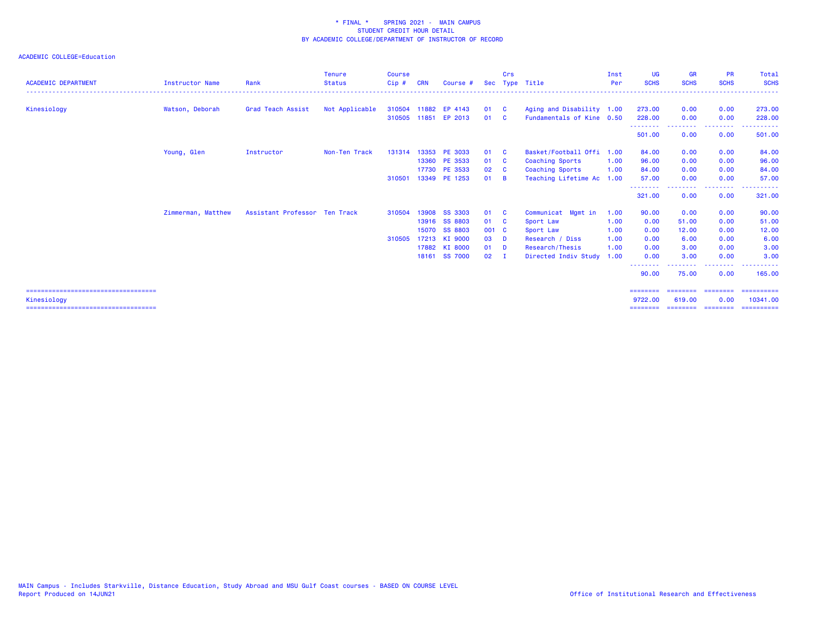| <b>ACADEMIC DEPARTMENT</b>             | <b>Instructor Name</b> | Rank                          | <b>Tenure</b><br><b>Status</b> | Course<br>Cip# | <b>CRN</b> | Course #             |        | Crs            | Sec Type Title            | Inst<br>Per | <b>UG</b><br><b>SCHS</b> | <b>GR</b><br><b>SCHS</b> | <b>PR</b><br><b>SCHS</b>                                                                                                  | Total<br><b>SCHS</b> |
|----------------------------------------|------------------------|-------------------------------|--------------------------------|----------------|------------|----------------------|--------|----------------|---------------------------|-------------|--------------------------|--------------------------|---------------------------------------------------------------------------------------------------------------------------|----------------------|
| Kinesiology                            | Watson, Deborah        | Grad Teach Assist             | Not Applicable                 |                |            | 310504 11882 EP 4143 | 01 C   |                | Aging and Disability 1.00 |             | 273.00                   | 0.00                     | 0.00                                                                                                                      | 273.00               |
|                                        |                        |                               |                                |                |            | 310505 11851 EP 2013 | 01     | - C            | Fundamentals of Kine 0.50 |             | 228,00                   | 0.00                     | 0.00                                                                                                                      | 228,00               |
|                                        |                        |                               |                                |                |            |                      |        |                |                           |             | --------<br>501.00       | 0.00                     | . <u>.</u><br>0.00                                                                                                        | 501.00               |
|                                        | Young, Glen            | Instructor                    | Non-Ten Track                  | 131314         |            | 13353 PE 3033        | 01     | $\mathbf{C}$   | Basket/Football Offi 1.00 |             | 84.00                    | 0.00                     | 0.00                                                                                                                      | 84.00                |
|                                        |                        |                               |                                |                |            | 13360 PE 3533        | 01     | <b>C</b>       | <b>Coaching Sports</b>    | 1.00        | 96.00                    | 0.00                     | 0.00                                                                                                                      | 96.00                |
|                                        |                        |                               |                                |                |            | 17730 PE 3533        | 02     | <b>C</b>       | <b>Coaching Sports</b>    | 1.00        | 84.00                    | 0.00                     | 0.00                                                                                                                      | 84.00                |
|                                        |                        |                               |                                | 310501         |            | 13349 PE 1253        | 01     | - B            | Teaching Lifetime Ac      | 1.00        | 57.00                    | 0.00                     | 0.00                                                                                                                      | 57.00                |
|                                        |                        |                               |                                |                |            |                      |        |                |                           |             | --------                 |                          | $\frac{1}{2} \left( \frac{1}{2} \right) \left( \frac{1}{2} \right) \left( \frac{1}{2} \right) \left( \frac{1}{2} \right)$ | .                    |
|                                        |                        |                               |                                |                |            |                      |        |                |                           |             | 321,00                   | 0.00                     | 0.00                                                                                                                      | 321.00               |
|                                        | Zimmerman, Matthew     | Assistant Professor Ten Track |                                | 310504         |            | 13908 SS 3303        | 01     | - C            | Communicat Mgmt in        | 1.00        | 90.00                    | 0.00                     | 0.00                                                                                                                      | 90.00                |
|                                        |                        |                               |                                |                | 13916      | <b>SS 8803</b>       | 01 C   |                | Sport Law                 | 1.00        | 0.00                     | 51.00                    | 0.00                                                                                                                      | 51.00                |
|                                        |                        |                               |                                |                |            | 15070 SS 8803        | 001 C  |                | Sport Law                 | 1.00        | 0.00                     | 12.00                    | 0.00                                                                                                                      | 12.00                |
|                                        |                        |                               |                                | 310505         |            | 17213 KI 9000        | $03$ D |                | Research / Diss           | 1.00        | 0.00                     | 6.00                     | 0.00                                                                                                                      | 6.00                 |
|                                        |                        |                               |                                |                |            | 17882 KI 8000        | 01     | $\blacksquare$ | Research/Thesis           | 1.00        | 0.00                     | 3.00                     | 0.00                                                                                                                      | 3.00                 |
|                                        |                        |                               |                                |                |            | 18161 SS 7000        | 02     | - 1            | Directed Indiv Study      | 1.00        | 0.00                     | 3.00                     | 0.00                                                                                                                      | 3.00                 |
|                                        |                        |                               |                                |                |            |                      |        |                |                           |             | --------<br>90.00        | . <b>.</b><br>75.00      | .<br>0.00                                                                                                                 | 165.00               |
| ====================================== |                        |                               |                                |                |            |                      |        |                |                           |             | ========                 | ========                 | ========                                                                                                                  | ==========           |
| Kinesiology                            |                        |                               |                                |                |            |                      |        |                |                           |             | 9722.00                  | 619.00                   | 0.00                                                                                                                      | 10341.00             |
| ====================================   |                        |                               |                                |                |            |                      |        |                |                           |             | ========                 | ========                 | ========                                                                                                                  | ==========           |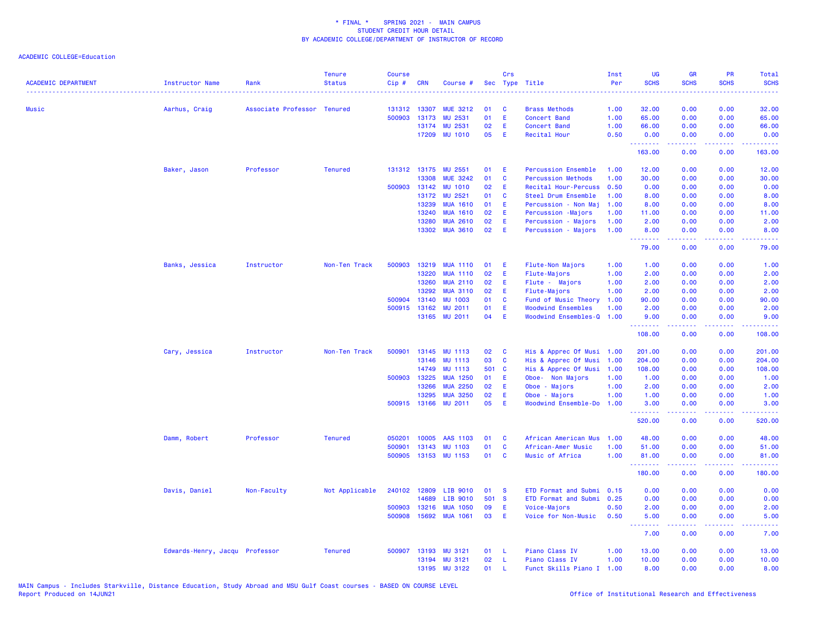| <b>ACADEMIC DEPARTMENT</b> | <b>Instructor Name</b>         | Rank                        | <b>Tenure</b><br><b>Status</b> | <b>Course</b><br>Cip# | <b>CRN</b> | Course #        |       | Crs          | Sec Type Title             | Inst<br>Per | <b>UG</b><br><b>SCHS</b>        | <b>GR</b><br><b>SCHS</b>                                                                                                                                     | <b>PR</b><br><b>SCHS</b> | Total<br><b>SCHS</b><br>2222. |
|----------------------------|--------------------------------|-----------------------------|--------------------------------|-----------------------|------------|-----------------|-------|--------------|----------------------------|-------------|---------------------------------|--------------------------------------------------------------------------------------------------------------------------------------------------------------|--------------------------|-------------------------------|
| <b>Music</b>               | Aarhus, Craig                  | Associate Professor Tenured |                                | 131312 13307          |            | <b>MUE 3212</b> | 01    | C            | <b>Brass Methods</b>       | 1.00        | 32.00                           | 0.00                                                                                                                                                         | 0.00                     | 32.00                         |
|                            |                                |                             |                                | 500903                | 13173      | MU 2531         | 01    | E            | <b>Concert Band</b>        | 1.00        | 65.00                           | 0.00                                                                                                                                                         | 0.00                     | 65.00                         |
|                            |                                |                             |                                |                       | 13174      | MU 2531         | 02    | E            | <b>Concert Band</b>        | 1.00        | 66.00                           | 0.00                                                                                                                                                         | 0.00                     | 66.00                         |
|                            |                                |                             |                                |                       | 17209      | <b>MU 1010</b>  | 05    | Ε            | Recital Hour               | 0.50        | 0.00                            | 0.00                                                                                                                                                         | 0.00                     | 0.00                          |
|                            |                                |                             |                                |                       |            |                 |       |              |                            |             | .<br>163.00                     | 0.00                                                                                                                                                         | 0.00                     | 163.00                        |
|                            | Baker, Jason                   | Professor                   | <b>Tenured</b>                 | 131312 13175          |            | MU 2551         | 01    | Æ            | <b>Percussion Ensemble</b> | 1.00        | 12.00                           | 0.00                                                                                                                                                         | 0.00                     | 12.00                         |
|                            |                                |                             |                                |                       | 13308      | <b>MUE 3242</b> | 01    | C            | <b>Percussion Methods</b>  | 1.00        | 30.00                           | 0.00                                                                                                                                                         | 0.00                     | 30.00                         |
|                            |                                |                             |                                | 500903 13142          |            | <b>MU 1010</b>  | 02    | E            | Recital Hour-Percuss       | 0.50        | 0.00                            | 0.00                                                                                                                                                         | 0.00                     | 0.00                          |
|                            |                                |                             |                                |                       | 13172      | MU 2521         | 01    | C            | Steel Drum Ensemble        | 1.00        | 8.00                            | 0.00                                                                                                                                                         | 0.00                     | 8.00                          |
|                            |                                |                             |                                |                       | 13239      | <b>MUA 1610</b> | 01    | Ε            | Percussion - Non Maj       | 1.00        | 8.00                            | 0.00                                                                                                                                                         | 0.00                     | 8.00                          |
|                            |                                |                             |                                |                       | 13240      | <b>MUA 1610</b> | 02    | Ε            | Percussion -Majors         | 1.00        | 11.00                           | 0.00                                                                                                                                                         | 0.00                     | 11.00                         |
|                            |                                |                             |                                |                       | 13280      | <b>MUA 2610</b> | 02    | Ε            | Percussion - Majors        | 1.00        | 2.00                            | 0.00                                                                                                                                                         | 0.00                     | 2.00                          |
|                            |                                |                             |                                |                       | 13302      | <b>MUA 3610</b> | 02    | Ε            | Percussion - Majors        | 1.00        | 8.00<br><u> - - - - - - - -</u> | 0.00<br>.                                                                                                                                                    | 0.00                     | 8.00                          |
|                            |                                |                             |                                |                       |            |                 |       |              |                            |             | 79.00                           | 0.00                                                                                                                                                         | 0.00                     | 79.00                         |
|                            | Banks, Jessica                 | Instructor                  | Non-Ten Track                  | 500903                | 13219      | <b>MUA 1110</b> | 01    | Ε            | Flute-Non Majors           | 1.00        | 1.00                            | 0.00                                                                                                                                                         | 0.00                     | 1.00                          |
|                            |                                |                             |                                |                       | 13220      | <b>MUA 1110</b> | 02    | Ε            | Flute-Majors               | 1.00        | 2.00                            | 0.00                                                                                                                                                         | 0.00                     | 2.00                          |
|                            |                                |                             |                                |                       | 13260      | <b>MUA 2110</b> | 02    | E.           | Flute - Majors             | 1.00        | 2.00                            | 0.00                                                                                                                                                         | 0.00                     | 2.00                          |
|                            |                                |                             |                                |                       | 13292      | <b>MUA 3110</b> | 02    | Ε            | Flute-Majors               | 1.00        | 2.00                            | 0.00                                                                                                                                                         | 0.00                     | 2.00                          |
|                            |                                |                             |                                | 500904                | 13140      | <b>MU 1003</b>  | 01    | C            | Fund of Music Theory       | 1.00        | 90.00                           | 0.00                                                                                                                                                         | 0.00                     | 90.00                         |
|                            |                                |                             |                                | 500915                | 13162      | <b>MU 2011</b>  | 01    | E            | <b>Woodwind Ensembles</b>  | 1.00        | 2.00                            | 0.00                                                                                                                                                         | 0.00                     | 2.00                          |
|                            |                                |                             |                                |                       | 13165      | <b>MU 2011</b>  | 04    | Ε            | Woodwind Ensembles-Q       | 1.00        | 9.00                            | 0.00                                                                                                                                                         | 0.00                     | 9.00                          |
|                            |                                |                             |                                |                       |            |                 |       |              |                            |             | .<br>108.00                     | .<br>0.00                                                                                                                                                    | بالأباد<br>0.00          | 108.00                        |
|                            | Cary, Jessica                  | Instructor                  | Non-Ten Track                  | 500901                | 13145      | <b>MU 1113</b>  | 02    | C            | His & Apprec Of Musi 1.00  |             | 201.00                          | 0.00                                                                                                                                                         | 0.00                     | 201.00                        |
|                            |                                |                             |                                |                       | 13146      | <b>MU 1113</b>  | 03    | C            | His & Apprec Of Musi       | 1.00        | 204.00                          | 0.00                                                                                                                                                         | 0.00                     | 204.00                        |
|                            |                                |                             |                                |                       | 14749      | <b>MU 1113</b>  | 501 C |              | His & Apprec Of Musi       | 1.00        | 108.00                          | 0.00                                                                                                                                                         | 0.00                     | 108.00                        |
|                            |                                |                             |                                | 500903                | 13225      | <b>MUA 1250</b> | 01    | E            | Oboe- Non Majors           | 1.00        | 1.00                            | 0.00                                                                                                                                                         | 0.00                     | 1.00                          |
|                            |                                |                             |                                |                       | 13266      | <b>MUA 2250</b> | 02    | Ε            | Oboe - Majors              | 1.00        | 2.00                            | 0.00                                                                                                                                                         | 0.00                     | 2.00                          |
|                            |                                |                             |                                |                       | 13295      | <b>MUA 3250</b> | 02    | Ε            | Oboe - Majors              | 1.00        | 1.00                            | 0.00                                                                                                                                                         | 0.00                     | 1.00                          |
|                            |                                |                             |                                | 500915 13166          |            | <b>MU 2011</b>  | 05    | Ε            | Woodwind Ensemble-Do       | 1.00        | 3.00<br><u>.</u>                | 0.00<br>.                                                                                                                                                    | 0.00<br>.                | 3.00<br>.                     |
|                            |                                |                             |                                |                       |            |                 |       |              |                            |             | 520.00                          | 0.00                                                                                                                                                         | 0.00                     | 520.00                        |
|                            | Damm, Robert                   | Professor                   | <b>Tenured</b>                 | 050201                | 10005      | AAS 1103        | 01    | C            | African American Mus       | 1.00        | 48.00                           | 0.00                                                                                                                                                         | 0.00                     | 48.00                         |
|                            |                                |                             |                                | 500901                | 13143      | <b>MU 1103</b>  | 01    | C            | African-Amer Music         | 1.00        | 51.00                           | 0.00                                                                                                                                                         | 0.00                     | 51.00                         |
|                            |                                |                             |                                | 500905                |            | 13153 MU 1153   | 01    | $\mathbf{C}$ | Music of Africa            | 1.00        | 81.00<br>.                      | 0.00<br>$\frac{1}{2} \left( \frac{1}{2} \right) \left( \frac{1}{2} \right) \left( \frac{1}{2} \right) \left( \frac{1}{2} \right) \left( \frac{1}{2} \right)$ | 0.00<br>.                | 81.00<br>.                    |
|                            |                                |                             |                                |                       |            |                 |       |              |                            |             | 180.00                          | 0.00                                                                                                                                                         | 0.00                     | 180.00                        |
|                            | Davis, Daniel                  | Non-Faculty                 | Not Applicable                 | 240102                | 12809      | LIB 9010        | 01    | -S           | ETD Format and Submi       | 0.15        | 0.00                            | 0.00                                                                                                                                                         | 0.00                     | 0.00                          |
|                            |                                |                             |                                |                       | 14689      | LIB 9010        | 501 S |              | ETD Format and Submi       | 0.25        | 0.00                            | 0.00                                                                                                                                                         | 0.00                     | 0.00                          |
|                            |                                |                             |                                | 500903                | 13216      | <b>MUA 1050</b> | 09    | Ε            | Voice-Majors               | 0.50        | 2.00                            | 0.00                                                                                                                                                         | 0.00                     | 2.00                          |
|                            |                                |                             |                                | 500908                | 15692      | <b>MUA 1061</b> | 03    | Ε            | Voice for Non-Music        | 0.50        | 5.00<br>.                       | 0.00<br>$- - - - -$                                                                                                                                          | 0.00<br>.                | 5.00                          |
|                            |                                |                             |                                |                       |            |                 |       |              |                            |             | 7.00                            | 0.00                                                                                                                                                         | 0.00                     | 7.00                          |
|                            | Edwards-Henry, Jacqu Professor |                             | <b>Tenured</b>                 | 500907                | 13193      | <b>MU 3121</b>  | 01    | -L           | Piano Class IV             | 1.00        | 13.00                           | 0.00                                                                                                                                                         | 0.00                     | 13.00                         |
|                            |                                |                             |                                |                       | 13194      | <b>MU 3121</b>  | 02    | <b>L</b>     | Piano Class IV             | 1.00        | 10.00                           | 0.00                                                                                                                                                         | 0.00                     | 10.00                         |
|                            |                                |                             |                                |                       | 13195      | <b>MU 3122</b>  | 01    | $\mathbf{L}$ | Funct Skills Piano I       | 1.00        | 8.00                            | 0.00                                                                                                                                                         | 0.00                     | 8.00                          |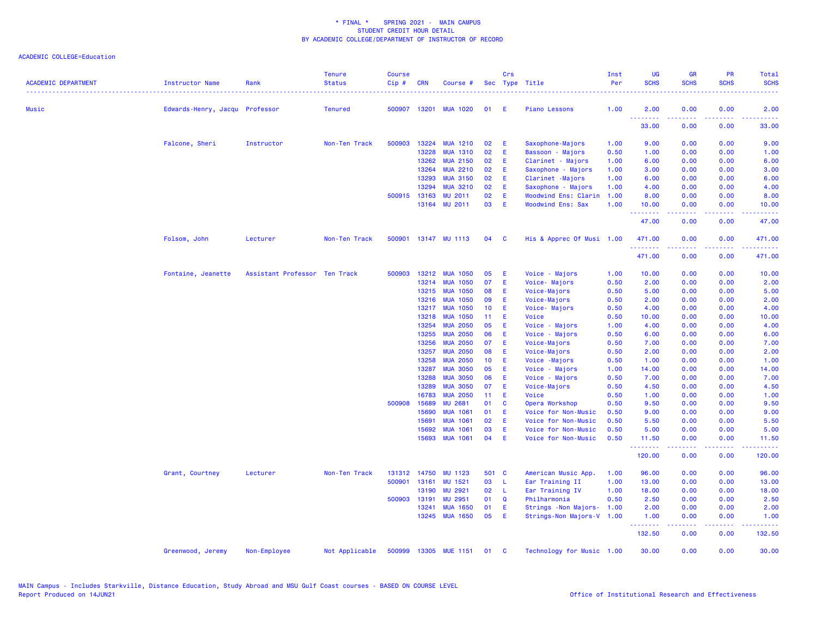| <b>ACADEMIC DEPARTMENT</b> | <b>Instructor Name</b>         | Rank                          | <b>Tenure</b><br><b>Status</b><br>. | <b>Course</b><br>Cip# | <b>CRN</b>   | Course #              |                 | Crs          | Sec Type Title            | Inst<br>Per | UG<br><b>SCHS</b> | <b>GR</b><br><b>SCHS</b>                                                                                                                                     | <b>PR</b><br><b>SCHS</b> | Total<br><b>SCHS</b>                                                                                                                                         |
|----------------------------|--------------------------------|-------------------------------|-------------------------------------|-----------------------|--------------|-----------------------|-----------------|--------------|---------------------------|-------------|-------------------|--------------------------------------------------------------------------------------------------------------------------------------------------------------|--------------------------|--------------------------------------------------------------------------------------------------------------------------------------------------------------|
| Music                      | Edwards-Henry, Jacqu Professor |                               | <b>Tenured</b>                      |                       |              | 500907 13201 MUA 1020 | 01              | E            | <b>Piano Lessons</b>      | 1.00        | 2.00              | 0.00                                                                                                                                                         | 0.00                     | 2.00                                                                                                                                                         |
|                            |                                |                               |                                     |                       |              |                       |                 |              |                           |             | .<br>33.00        | 0.00                                                                                                                                                         | 0.00                     | 33.00                                                                                                                                                        |
|                            | Falcone, Sheri                 | Instructor                    | Non-Ten Track                       | 500903                | 13224        | <b>MUA 1210</b>       | 02              | E            | Saxophone-Majors          | 1.00        | 9.00              | 0.00                                                                                                                                                         | 0.00                     | 9.00                                                                                                                                                         |
|                            |                                |                               |                                     |                       | 13228        | <b>MUA 1310</b>       | 02              | E            | Bassoon - Majors          | 0.50        | 1.00              | 0.00                                                                                                                                                         | 0.00                     | 1.00                                                                                                                                                         |
|                            |                                |                               |                                     |                       | 13262        | <b>MUA 2150</b>       | 02              | Ε            | Clarinet - Majors         | 1.00        | 6.00              | 0.00                                                                                                                                                         | 0.00                     | 6.00                                                                                                                                                         |
|                            |                                |                               |                                     |                       | 13264        | <b>MUA 2210</b>       | 02              | Ε            | Saxophone - Majors        | 1.00        | 3.00              | 0.00                                                                                                                                                         | 0.00                     | 3.00                                                                                                                                                         |
|                            |                                |                               |                                     |                       | 13293        | <b>MUA 3150</b>       | 02              | E            | Clarinet -Majors          | 1.00        | 6.00              | 0.00                                                                                                                                                         | 0.00                     | 6.00                                                                                                                                                         |
|                            |                                |                               |                                     |                       | 13294        | <b>MUA 3210</b>       | 02              | Ε            | Saxophone - Majors        | 1.00        | 4.00              | 0.00                                                                                                                                                         | 0.00                     | 4.00                                                                                                                                                         |
|                            |                                |                               |                                     |                       | 500915 13163 | <b>MU 2011</b>        | 02              | E            | Woodwind Ens: Clarin      | 1.00        | 8.00              | 0.00                                                                                                                                                         | 0.00                     | 8.00                                                                                                                                                         |
|                            |                                |                               |                                     |                       | 13164        | <b>MU 2011</b>        | 03              | E            | <b>Woodwind Ens: Sax</b>  | 1.00        | 10.00<br>.        | 0.00<br><b><i><u><u>AAAAA</u></u></i></b>                                                                                                                    | 0.00<br>.                | 10.00<br>.                                                                                                                                                   |
|                            |                                |                               |                                     |                       |              |                       |                 |              |                           |             | 47.00             | 0.00                                                                                                                                                         | 0.00                     | 47.00                                                                                                                                                        |
|                            | Folsom, John                   | Lecturer                      | Non-Ten Track                       |                       |              | 500901 13147 MU 1113  | 04              | $\mathbf{C}$ | His & Apprec Of Musi 1.00 |             | 471.00<br>.       | 0.00                                                                                                                                                         | 0.00                     | 471.00                                                                                                                                                       |
|                            |                                |                               |                                     |                       |              |                       |                 |              |                           |             | 471.00            | 0.00                                                                                                                                                         | 0.00                     | 471.00                                                                                                                                                       |
|                            | Fontaine, Jeanette             | Assistant Professor Ten Track |                                     |                       | 500903 13212 | <b>MUA 1050</b>       | 05              | E            | Voice - Majors            | 1.00        | 10.00             | 0.00                                                                                                                                                         | 0.00                     | 10.00                                                                                                                                                        |
|                            |                                |                               |                                     |                       | 13214        | <b>MUA 1050</b>       | 07              | E            | Voice- Majors             | 0.50        | 2.00              | 0.00                                                                                                                                                         | 0.00                     | 2.00                                                                                                                                                         |
|                            |                                |                               |                                     |                       | 13215        | <b>MUA 1050</b>       | 08              | Ε            | Voice-Majors              | 0.50        | 5.00              | 0.00                                                                                                                                                         | 0.00                     | 5.00                                                                                                                                                         |
|                            |                                |                               |                                     |                       | 13216        | <b>MUA 1050</b>       | 09              | Ε            | Voice-Majors              | 0.50        | 2.00              | 0.00                                                                                                                                                         | 0.00                     | 2.00                                                                                                                                                         |
|                            |                                |                               |                                     |                       | 13217        | <b>MUA 1050</b>       | 10 <sup>°</sup> | E            | Voice- Majors             | 0.50        | 4.00              | 0.00                                                                                                                                                         | 0.00                     | 4.00                                                                                                                                                         |
|                            |                                |                               |                                     |                       | 13218        | <b>MUA 1050</b>       | 11 <sub>1</sub> | E            | Voice                     | 0.50        | 10.00             | 0.00                                                                                                                                                         | 0.00                     | 10.00                                                                                                                                                        |
|                            |                                |                               |                                     |                       | 13254        | <b>MUA 2050</b>       | 05              | Ε            | Voice - Majors            | 1.00        | 4.00              | 0.00                                                                                                                                                         | 0.00                     | 4.00                                                                                                                                                         |
|                            |                                |                               |                                     |                       | 13255        | <b>MUA 2050</b>       | 06              | E            | Voice - Majors            | 0.50        | 6.00              | 0.00                                                                                                                                                         | 0.00                     | 6.00                                                                                                                                                         |
|                            |                                |                               |                                     |                       | 13256        | <b>MUA 2050</b>       | 07              | E            | Voice-Majors              | 0.50        | 7.00              | 0.00                                                                                                                                                         | 0.00                     | 7.00                                                                                                                                                         |
|                            |                                |                               |                                     |                       | 13257        | <b>MUA 2050</b>       | 08              | Ε            | Voice-Majors              | 0.50        | 2.00              | 0.00                                                                                                                                                         | 0.00                     | 2.00                                                                                                                                                         |
|                            |                                |                               |                                     |                       | 13258        | <b>MUA 2050</b>       | 10 <sup>°</sup> | E            | Voice - Majors            | 0.50        | 1.00              | 0.00                                                                                                                                                         | 0.00                     | 1.00                                                                                                                                                         |
|                            |                                |                               |                                     |                       | 13287        | <b>MUA 3050</b>       | 05              | Ε            | Voice - Majors            | 1.00        | 14.00             | 0.00                                                                                                                                                         | 0.00                     | 14.00                                                                                                                                                        |
|                            |                                |                               |                                     |                       | 13288        | <b>MUA 3050</b>       | 06              | Ε            | Voice - Majors            | 0.50        | 7.00              | 0.00                                                                                                                                                         | 0.00                     | 7.00                                                                                                                                                         |
|                            |                                |                               |                                     |                       | 13289        | <b>MUA 3050</b>       | 07              | E            | Voice-Majors              | 0.50        | 4.50              | 0.00                                                                                                                                                         | 0.00                     | 4.50                                                                                                                                                         |
|                            |                                |                               |                                     |                       | 16783        | <b>MUA 2050</b>       | 11              | Æ            | Voice                     | 0.50        | 1.00              | 0.00                                                                                                                                                         | 0.00                     | 1.00                                                                                                                                                         |
|                            |                                |                               |                                     |                       | 500908 15689 | <b>MU 2681</b>        | 01              | C            | Opera Workshop            | 0.50        | 9.50              | 0.00                                                                                                                                                         | 0.00                     | 9.50                                                                                                                                                         |
|                            |                                |                               |                                     |                       | 15690        | <b>MUA 1061</b>       | 01              | E            | Voice for Non-Music       | 0.50        | 9.00              | 0.00                                                                                                                                                         | 0.00                     | 9.00                                                                                                                                                         |
|                            |                                |                               |                                     |                       | 15691        | <b>MUA 1061</b>       | 02              | E            | Voice for Non-Music       | 0.50        | 5.50              | 0.00                                                                                                                                                         | 0.00                     | 5.50                                                                                                                                                         |
|                            |                                |                               |                                     |                       | 15692        | <b>MUA 1061</b>       | 03              | Ε            | Voice for Non-Music       | 0.50        | 5.00              | 0.00                                                                                                                                                         | 0.00                     | 5.00                                                                                                                                                         |
|                            |                                |                               |                                     |                       | 15693        | <b>MUA 1061</b>       | 04              | E            | Voice for Non-Music       | 0.50        | 11.50<br>.        | 0.00<br>$\frac{1}{2} \left( \frac{1}{2} \right) \left( \frac{1}{2} \right) \left( \frac{1}{2} \right) \left( \frac{1}{2} \right) \left( \frac{1}{2} \right)$ | 0.00<br>22222            | 11.50<br>2.2.2.2.1                                                                                                                                           |
|                            |                                |                               |                                     |                       |              |                       |                 |              |                           |             | 120.00            | 0.00                                                                                                                                                         | 0.00                     | 120.00                                                                                                                                                       |
|                            | Grant, Courtney                | Lecturer                      | Non-Ten Track                       |                       | 131312 14750 | MU 1123               | 501 C           |              | American Music App.       | 1.00        | 96.00             | 0.00                                                                                                                                                         | 0.00                     | 96.00                                                                                                                                                        |
|                            |                                |                               |                                     |                       | 500901 13161 | MU 1521               | 03              | L            | Ear Training II           | 1.00        | 13.00             | 0.00                                                                                                                                                         | 0.00                     | 13.00                                                                                                                                                        |
|                            |                                |                               |                                     |                       | 13190        | <b>MU 2921</b>        | 02              | -L           | Ear Training IV           | 1.00        | 18.00             | 0.00                                                                                                                                                         | 0.00                     | 18.00                                                                                                                                                        |
|                            |                                |                               |                                     | 500903                | 13191        | <b>MU 2951</b>        | 01              | Q            | Philharmonia              | 0.50        | 2.50              | 0.00                                                                                                                                                         | 0.00                     | 2.50                                                                                                                                                         |
|                            |                                |                               |                                     |                       | 13241        | <b>MUA 1650</b>       | 01              | E            | Strings - Non Majors-     | 1.00        | 2.00              | 0.00                                                                                                                                                         | 0.00                     | 2.00                                                                                                                                                         |
|                            |                                |                               |                                     |                       |              | 13245 MUA 1650        | 05              | E            | Strings-Non Majors-V 1.00 |             | 1.00<br><u>.</u>  | 0.00<br>$\frac{1}{2} \left( \frac{1}{2} \right) \left( \frac{1}{2} \right) \left( \frac{1}{2} \right) \left( \frac{1}{2} \right) \left( \frac{1}{2} \right)$ | 0.00<br>. <b>.</b>       | 1.00<br>$\frac{1}{2} \left( \frac{1}{2} \right) \left( \frac{1}{2} \right) \left( \frac{1}{2} \right) \left( \frac{1}{2} \right) \left( \frac{1}{2} \right)$ |
|                            |                                |                               |                                     |                       |              |                       |                 |              |                           |             | 132.50            | 0.00                                                                                                                                                         | 0.00                     | 132.50                                                                                                                                                       |
|                            | Greenwood, Jeremy              | Non-Employee                  | Not Applicable                      |                       |              | 500999 13305 MUE 1151 | 01              | <b>C</b>     | Technology for Music 1.00 |             | 30,00             | 0.00                                                                                                                                                         | 0.00                     | 30.00                                                                                                                                                        |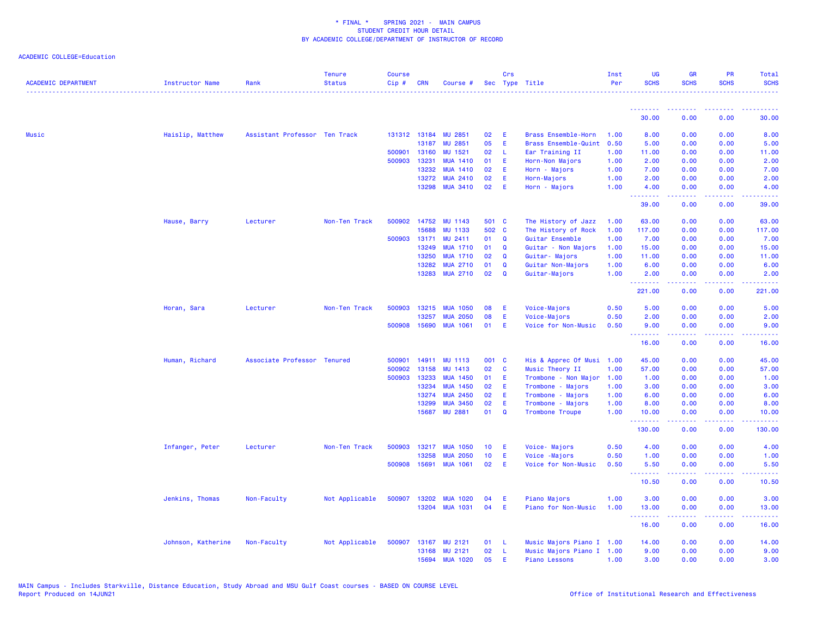| <b>ACADEMIC DEPARTMENT</b> | <b>Instructor Name</b> | Rank                          | <b>Tenure</b><br><b>Status</b> | <b>Course</b><br>Cip# | <b>CRN</b>     | Course #                           |                 | Crs           | Sec Type Title                              | Inst<br>Per  | UG<br><b>SCHS</b>       | <b>GR</b><br><b>SCHS</b>                                                                                                                                     | PR<br><b>SCHS</b>                                                                                      | <b>Total</b><br><b>SCHS</b> |
|----------------------------|------------------------|-------------------------------|--------------------------------|-----------------------|----------------|------------------------------------|-----------------|---------------|---------------------------------------------|--------------|-------------------------|--------------------------------------------------------------------------------------------------------------------------------------------------------------|--------------------------------------------------------------------------------------------------------|-----------------------------|
|                            |                        |                               |                                |                       |                |                                    |                 |               |                                             |              | <u> - - - - - - - -</u> |                                                                                                                                                              |                                                                                                        |                             |
|                            |                        |                               |                                |                       |                |                                    |                 |               |                                             |              | 30.00                   | 0.00                                                                                                                                                         | 0.00                                                                                                   | 30.00                       |
| Music                      | Haislip, Matthew       | Assistant Professor Ten Track |                                |                       |                | 131312 13184 MU 2851               | 02              | Ε             | Brass Ensemble-Horn                         | 1.00         | 8.00                    | 0.00                                                                                                                                                         | 0.00                                                                                                   | 8.00                        |
|                            |                        |                               |                                |                       | 13187          | MU 2851                            | 05              | E             | Brass Ensemble-Quint                        | 0.50         | 5.00                    | 0.00                                                                                                                                                         | 0.00                                                                                                   | 5.00                        |
|                            |                        |                               |                                |                       | 500901 13160   | MU 1521                            | 02              | -L            | Ear Training II                             | 1.00         | 11.00                   | 0.00                                                                                                                                                         | 0.00                                                                                                   | 11.00                       |
|                            |                        |                               |                                | 500903                | 13231          | <b>MUA 1410</b>                    | 01              | E             | Horn-Non Majors                             | 1.00         | 2.00                    | 0.00                                                                                                                                                         | 0.00                                                                                                   | 2.00                        |
|                            |                        |                               |                                |                       | 13232          | <b>MUA 1410</b>                    | 02              | Ε             | Horn - Majors                               | 1.00         | 7.00                    | 0.00                                                                                                                                                         | 0.00                                                                                                   | 7.00                        |
|                            |                        |                               |                                |                       | 13272          | <b>MUA 2410</b>                    | 02              | E             | Horn-Majors                                 | 1.00         | 2.00                    | 0.00                                                                                                                                                         | 0.00                                                                                                   | 2.00                        |
|                            |                        |                               |                                |                       | 13298          | <b>MUA 3410</b>                    | 02              | E             | Horn - Majors                               | 1.00         | 4.00<br><u>.</u>        | 0.00                                                                                                                                                         | 0.00                                                                                                   | 4.00                        |
|                            |                        |                               |                                |                       |                |                                    |                 |               |                                             |              | 39.00                   | 0.00                                                                                                                                                         | 0.00                                                                                                   | 39.00                       |
|                            | Hause, Barry           | Lecturer                      | Non-Ten Track                  |                       | 500902 14752   | MU 1143                            | 501 C           |               | The History of Jazz                         | 1.00         | 63.00                   | 0.00                                                                                                                                                         | 0.00                                                                                                   | 63.00                       |
|                            |                        |                               |                                |                       | 15688          | <b>MU 1133</b>                     | 502 C           |               | The History of Rock                         | 1.00         | 117.00                  | 0.00                                                                                                                                                         | 0.00                                                                                                   | 117.00                      |
|                            |                        |                               |                                | 500903                | 13171          | MU 2411                            | 01              | Q             | Guitar Ensemble                             | 1.00         | 7.00                    | 0.00                                                                                                                                                         | 0.00                                                                                                   | 7.00                        |
|                            |                        |                               |                                |                       | 13249          | <b>MUA 1710</b>                    | 01              | $\mathbf Q$   | Guitar - Non Majors                         | 1.00         | 15.00                   | 0.00                                                                                                                                                         | 0.00                                                                                                   | 15.00                       |
|                            |                        |                               |                                |                       | 13250          | <b>MUA 1710</b>                    | 02              | Q             | Guitar- Majors                              | 1.00         | 11.00                   | 0.00                                                                                                                                                         | 0.00                                                                                                   | 11.00                       |
|                            |                        |                               |                                |                       | 13282<br>13283 | <b>MUA 2710</b><br><b>MUA 2710</b> | 01<br>02        | Q<br>$\Omega$ | Guitar Non-Majors<br>Guitar-Majors          | 1.00<br>1.00 | 6.00<br>2.00            | 0.00<br>0.00                                                                                                                                                 | 0.00<br>0.00                                                                                           | 6.00<br>2.00                |
|                            |                        |                               |                                |                       |                |                                    |                 |               |                                             |              | .                       | 2.2.2.2.2                                                                                                                                                    | .                                                                                                      | $- - - - - - -$             |
|                            |                        |                               |                                |                       |                |                                    |                 |               |                                             |              | 221.00                  | 0.00                                                                                                                                                         | 0.00                                                                                                   | 221.00                      |
|                            | Horan, Sara            | Lecturer                      | Non-Ten Track                  | 500903                | 13215          | <b>MUA 1050</b>                    | 08              | Ε             | Voice-Majors                                | 0.50         | 5.00                    | 0.00                                                                                                                                                         | 0.00                                                                                                   | 5.00                        |
|                            |                        |                               |                                |                       | 13257          | <b>MUA 2050</b>                    | 08              | E             | Voice-Majors                                | 0.50         | 2.00                    | 0.00                                                                                                                                                         | 0.00                                                                                                   | 2.00                        |
|                            |                        |                               |                                |                       | 500908 15690   | <b>MUA 1061</b>                    | 01              | E             | Voice for Non-Music                         | 0.50         | 9.00<br>.               | 0.00<br>$\omega$ is a $\omega$ in                                                                                                                            | 0.00<br>.                                                                                              | 9.00<br>المتمام             |
|                            |                        |                               |                                |                       |                |                                    |                 |               |                                             |              | 16.00                   | 0.00                                                                                                                                                         | 0.00                                                                                                   | 16.00                       |
|                            | Human, Richard         | Associate Professor Tenured   |                                | 500901                | 14911          | <b>MU 1113</b>                     | 001 C           |               | His & Apprec Of Musi 1.00                   |              | 45.00                   | 0.00                                                                                                                                                         | 0.00                                                                                                   | 45.00                       |
|                            |                        |                               |                                | 500902                | 13158          | <b>MU 1413</b>                     | 02              | C             | Music Theory II                             | 1.00         | 57.00                   | 0.00                                                                                                                                                         | 0.00                                                                                                   | 57.00                       |
|                            |                        |                               |                                | 500903                | 13233          | <b>MUA 1450</b>                    | 01              | E             | Trombone - Non Major                        | 1.00         | 1.00                    | 0.00                                                                                                                                                         | 0.00                                                                                                   | 1.00                        |
|                            |                        |                               |                                |                       | 13234          | <b>MUA 1450</b>                    | 02              | Æ             | Trombone - Majors                           | 1.00         | 3.00                    | 0.00                                                                                                                                                         | 0.00                                                                                                   | 3.00                        |
|                            |                        |                               |                                |                       | 13274          | <b>MUA 2450</b>                    | 02              | E             | Trombone - Majors                           | 1.00         | 6.00                    | 0.00                                                                                                                                                         | 0.00                                                                                                   | 6.00                        |
|                            |                        |                               |                                |                       | 13299<br>15687 | <b>MUA 3450</b><br><b>MU 2881</b>  | 02<br>01        | E<br>Q        | Trombone - Majors<br><b>Trombone Troupe</b> | 1.00<br>1.00 | 8.00<br>10.00           | 0.00<br>0.00                                                                                                                                                 | 0.00<br>0.00                                                                                           | 8.00<br>10.00               |
|                            |                        |                               |                                |                       |                |                                    |                 |               |                                             |              | .<br>130.00             | 22222<br>0.00                                                                                                                                                | $\frac{1}{2} \left( \frac{1}{2} \right) \left( \frac{1}{2} \right) \left( \frac{1}{2} \right)$<br>0.00 | .<br>130.00                 |
|                            |                        |                               |                                |                       |                |                                    |                 |               |                                             |              |                         |                                                                                                                                                              |                                                                                                        |                             |
|                            | Infanger, Peter        | Lecturer                      | Non-Ten Track                  | 500903                | 13217<br>13258 | <b>MUA 1050</b>                    | 10 <sub>1</sub> | E             | Voice-Majors                                | 0.50         | 4.00                    | 0.00                                                                                                                                                         | 0.00                                                                                                   | 4.00                        |
|                            |                        |                               |                                | 500908                | 15691          | <b>MUA 2050</b><br><b>MUA 1061</b> | 10<br>02        | E<br>E        | Voice - Majors<br>Voice for Non-Music       | 0.50<br>0.50 | 1.00<br>5.50            | 0.00<br>0.00                                                                                                                                                 | 0.00<br>0.00                                                                                           | 1.00<br>5.50                |
|                            |                        |                               |                                |                       |                |                                    |                 |               |                                             |              | <b></b>                 | 22222                                                                                                                                                        |                                                                                                        |                             |
|                            |                        |                               |                                |                       |                |                                    |                 |               |                                             |              | 10.50                   | 0.00                                                                                                                                                         | 0.00                                                                                                   | 10.50                       |
|                            | Jenkins, Thomas        | Non-Faculty                   | Not Applicable                 |                       | 500907 13202   | <b>MUA 1020</b>                    | 04              | E             | Piano Majors                                | 1.00         | 3.00                    | 0.00                                                                                                                                                         | 0.00                                                                                                   | 3.00                        |
|                            |                        |                               |                                |                       | 13204          | <b>MUA 1031</b>                    | 04              | E             | Piano for Non-Music                         | 1.00         | 13.00<br>.              | 0.00<br>$\frac{1}{2} \left( \frac{1}{2} \right) \left( \frac{1}{2} \right) \left( \frac{1}{2} \right) \left( \frac{1}{2} \right) \left( \frac{1}{2} \right)$ | 0.00<br>.                                                                                              | 13.00<br>.                  |
|                            |                        |                               |                                |                       |                |                                    |                 |               |                                             |              | 16.00                   | 0.00                                                                                                                                                         | 0.00                                                                                                   | 16.00                       |
|                            | Johnson, Katherine     | Non-Faculty                   | Not Applicable                 | 500907                | 13167          | <b>MU 2121</b>                     | 01              | -L            | Music Majors Piano I 1.00                   |              | 14.00                   | 0.00                                                                                                                                                         | 0.00                                                                                                   | 14.00                       |
|                            |                        |                               |                                |                       | 13168          | MU 2121                            | 02              | L             | Music Majors Piano I 1.00                   |              | 9.00                    | 0.00                                                                                                                                                         | 0.00                                                                                                   | 9.00                        |
|                            |                        |                               |                                |                       |                | 15694 MUA 1020                     | 05              | E             | <b>Piano Lessons</b>                        | 1.00         | 3.00                    | 0.00                                                                                                                                                         | 0.00                                                                                                   | 3.00                        |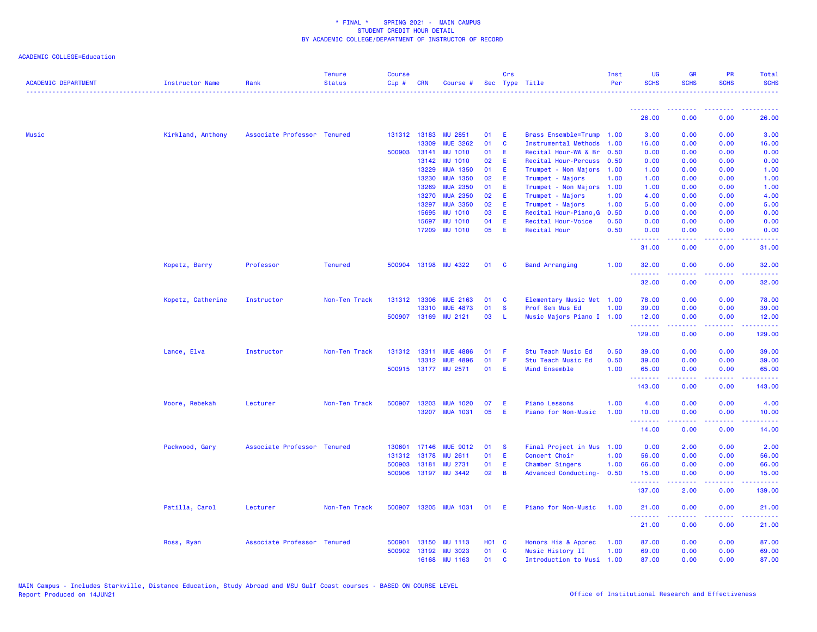| <b>ACADEMIC DEPARTMENT</b> | <b>Instructor Name</b> | Rank                        | <b>Tenure</b><br><b>Status</b> | <b>Course</b><br>Cip# | <b>CRN</b>   | Course #              |              | Crs          | Sec Type Title              | Inst<br>Per | <b>UG</b><br><b>SCHS</b> | <b>GR</b><br><b>SCHS</b>                                                                                                                                     | <b>PR</b><br><b>SCHS</b> | Total<br><b>SCHS</b>                          |
|----------------------------|------------------------|-----------------------------|--------------------------------|-----------------------|--------------|-----------------------|--------------|--------------|-----------------------------|-------------|--------------------------|--------------------------------------------------------------------------------------------------------------------------------------------------------------|--------------------------|-----------------------------------------------|
|                            |                        |                             |                                |                       |              |                       |              |              |                             |             |                          |                                                                                                                                                              |                          |                                               |
|                            |                        |                             |                                |                       |              |                       |              |              |                             |             | 26.00                    | 0.00                                                                                                                                                         | 0.00                     | 26.00                                         |
| Music                      | Kirkland, Anthony      | Associate Professor Tenured |                                |                       | 131312 13183 | <b>MU 2851</b>        | 01           | E            | Brass Ensemble=Trump 1.00   |             | 3.00                     | 0.00                                                                                                                                                         | 0.00                     | 3.00                                          |
|                            |                        |                             |                                |                       | 13309        | <b>MUE 3262</b>       | 01           | C            | <b>Instrumental Methods</b> | 1.00        | 16.00                    | 0.00                                                                                                                                                         | 0.00                     | 16.00                                         |
|                            |                        |                             |                                |                       | 500903 13141 | <b>MU 1010</b>        | 01           | E            | Recital Hour-WW & Br        | 0.50        | 0.00                     | 0.00                                                                                                                                                         | 0.00                     | 0.00                                          |
|                            |                        |                             |                                |                       | 13142        | <b>MU 1010</b>        | 02           | E            | Recital Hour-Percuss 0.50   |             | 0.00                     | 0.00                                                                                                                                                         | 0.00                     | 0.00                                          |
|                            |                        |                             |                                |                       | 13229        | <b>MUA 1350</b>       | 01           | E            | Trumpet - Non Majors        | 1.00        | 1.00                     | 0.00                                                                                                                                                         | 0.00                     | 1.00                                          |
|                            |                        |                             |                                |                       | 13230        | <b>MUA 1350</b>       | 02           | E            | Trumpet - Majors            | 1.00        | 1.00                     | 0.00                                                                                                                                                         | 0.00                     | 1.00                                          |
|                            |                        |                             |                                |                       | 13269        | <b>MUA 2350</b>       | 01           | E            | Trumpet - Non Majors        | 1.00        | 1.00                     | 0.00                                                                                                                                                         | 0.00                     | 1.00                                          |
|                            |                        |                             |                                |                       | 13270        | <b>MUA 2350</b>       | 02           | Ε            | Trumpet - Majors            | 1.00        | 4.00                     | 0.00                                                                                                                                                         | 0.00                     | 4.00                                          |
|                            |                        |                             |                                |                       | 13297        | <b>MUA 3350</b>       | 02           | E            | Trumpet - Majors            | 1.00        | 5.00                     | 0.00                                                                                                                                                         | 0.00                     | 5.00                                          |
|                            |                        |                             |                                |                       | 15695        | <b>MU 1010</b>        | 03           | E            | Recital Hour-Piano, G       | 0.50        | 0.00                     | 0.00                                                                                                                                                         | 0.00                     | 0.00                                          |
|                            |                        |                             |                                |                       | 15697        | <b>MU 1010</b>        | 04           | Ε            | Recital Hour-Voice          | 0.50        | 0.00                     | 0.00                                                                                                                                                         | 0.00                     | 0.00                                          |
|                            |                        |                             |                                |                       | 17209        | <b>MU 1010</b>        | 05           | E            | Recital Hour                | 0.50        | 0.00<br>.                | 0.00<br>$\frac{1}{2} \left( \frac{1}{2} \right) \left( \frac{1}{2} \right) \left( \frac{1}{2} \right) \left( \frac{1}{2} \right) \left( \frac{1}{2} \right)$ | 0.00<br>.                | 0.00<br>$\omega_{\rm c}$ and $\omega_{\rm c}$ |
|                            |                        |                             |                                |                       |              |                       |              |              |                             |             | 31.00                    | 0.00                                                                                                                                                         | 0.00                     | 31.00                                         |
|                            | Kopetz, Barry          | Professor                   | <b>Tenured</b>                 |                       |              | 500904 13198 MU 4322  | 01           | $\mathbf{C}$ | <b>Band Arranging</b>       | 1.00        | 32.00                    | 0.00                                                                                                                                                         | 0.00                     | 32.00                                         |
|                            |                        |                             |                                |                       |              |                       |              |              |                             |             | 32.00                    | 0.00                                                                                                                                                         | 0.00                     | 32.00                                         |
|                            | Kopetz, Catherine      | Instructor                  | Non-Ten Track                  |                       | 131312 13306 | <b>MUE 2163</b>       | 01           | C            | Elementary Music Met 1.00   |             | 78.00                    | 0.00                                                                                                                                                         | 0.00                     | 78.00                                         |
|                            |                        |                             |                                |                       | 13310        | <b>MUE 4873</b>       | 01           | <b>S</b>     | Prof Sem Mus Ed             | 1.00        | 39.00                    | 0.00                                                                                                                                                         | 0.00                     | 39.00                                         |
|                            |                        |                             |                                |                       | 500907 13169 | MU 2121               | 03           | L            | Music Majors Piano I 1.00   |             | 12.00<br>.               | 0.00<br>2.2.2.2.2                                                                                                                                            | 0.00<br>.                | 12.00<br>.                                    |
|                            |                        |                             |                                |                       |              |                       |              |              |                             |             | 129.00                   | 0.00                                                                                                                                                         | 0.00                     | 129.00                                        |
|                            | Lance, Elva            | Instructor                  | Non-Ten Track                  |                       | 131312 13311 | <b>MUE 4886</b>       | 01           | -F           | Stu Teach Music Ed          | 0.50        | 39.00                    | 0.00                                                                                                                                                         | 0.00                     | 39.00                                         |
|                            |                        |                             |                                |                       | 13312        | <b>MUE 4896</b>       | 01           | Æ            | Stu Teach Music Ed          | 0.50        | 39.00                    | 0.00                                                                                                                                                         | 0.00                     | 39.00                                         |
|                            |                        |                             |                                |                       |              | 500915 13177 MU 2571  | 01           | E            | Wind Ensemble               | 1.00        | 65.00                    | 0.00                                                                                                                                                         | 0.00                     | 65.00                                         |
|                            |                        |                             |                                |                       |              |                       |              |              |                             |             | .<br>143.00              | .<br>0.00                                                                                                                                                    | .<br>0.00                | .<br>143.00                                   |
|                            | Moore, Rebekah         | Lecturer                    | Non-Ten Track                  | 500907                | 13203        | <b>MUA 1020</b>       | 07           | Æ            | <b>Piano Lessons</b>        | 1.00        | 4.00                     | 0.00                                                                                                                                                         | 0.00                     | 4.00                                          |
|                            |                        |                             |                                |                       | 13207        | <b>MUA 1031</b>       | 05           | Æ            | Piano for Non-Music         | 1.00        | 10.00                    | 0.00                                                                                                                                                         | 0.00                     | 10.00                                         |
|                            |                        |                             |                                |                       |              |                       |              |              |                             |             | <u>.</u><br>14.00        | .<br>0.00                                                                                                                                                    | 0.00                     | <u>.</u><br>14.00                             |
|                            | Packwood, Gary         | Associate Professor Tenured |                                |                       |              | 130601 17146 MUE 9012 | 01           | <b>S</b>     | Final Project in Mus        | 1.00        | 0.00                     | 2.00                                                                                                                                                         | 0.00                     | 2.00                                          |
|                            |                        |                             |                                | 131312                | 13178        | <b>MU 2611</b>        | 01           | E            | Concert Choir               | 1.00        | 56.00                    | 0.00                                                                                                                                                         | 0.00                     | 56.00                                         |
|                            |                        |                             |                                |                       | 500903 13181 | <b>MU 2731</b>        | 01           | E            | Chamber Singers             | 1.00        | 66.00                    | 0.00                                                                                                                                                         | 0.00                     | 66.00                                         |
|                            |                        |                             |                                |                       |              | 500906 13197 MU 3442  | 02           | B            | Advanced Conducting-        | 0.50        | 15.00                    | 0.00                                                                                                                                                         | 0.00                     | 15.00                                         |
|                            |                        |                             |                                |                       |              |                       |              |              |                             |             | . <b>.</b><br>137.00     | .<br>2.00                                                                                                                                                    | .<br>0.00                | .<br>139.00                                   |
|                            | Patilla, Carol         | Lecturer                    | Non-Ten Track                  | 500907                |              | 13205 MUA 1031        | 01           | -E           | Piano for Non-Music         | 1.00        | 21.00                    | 0.00                                                                                                                                                         | 0.00                     | 21.00                                         |
|                            |                        |                             |                                |                       |              |                       |              |              |                             |             | .<br>21.00               | $\frac{1}{2} \left( \frac{1}{2} \right) \left( \frac{1}{2} \right) \left( \frac{1}{2} \right) \left( \frac{1}{2} \right) \left( \frac{1}{2} \right)$<br>0.00 | .<br>0.00                | .<br>21.00                                    |
|                            | Ross, Ryan             | Associate Professor Tenured |                                | 500901                | 13150        | <b>MU 1113</b>        | <b>HO1 C</b> |              | Honors His & Apprec         | 1.00        | 87.00                    | 0.00                                                                                                                                                         | 0.00                     | 87.00                                         |
|                            |                        |                             |                                |                       |              | 500902 13192 MU 3023  | 01           | C            | Music History II            | 1.00        | 69.00                    | 0.00                                                                                                                                                         | 0.00                     | 69.00                                         |
|                            |                        |                             |                                |                       |              | 16168 MIL 1163        | 01           | C.           | Introduction to Musi 1.00   |             | 87.00                    | 0.00                                                                                                                                                         | 0.00                     | 87.00                                         |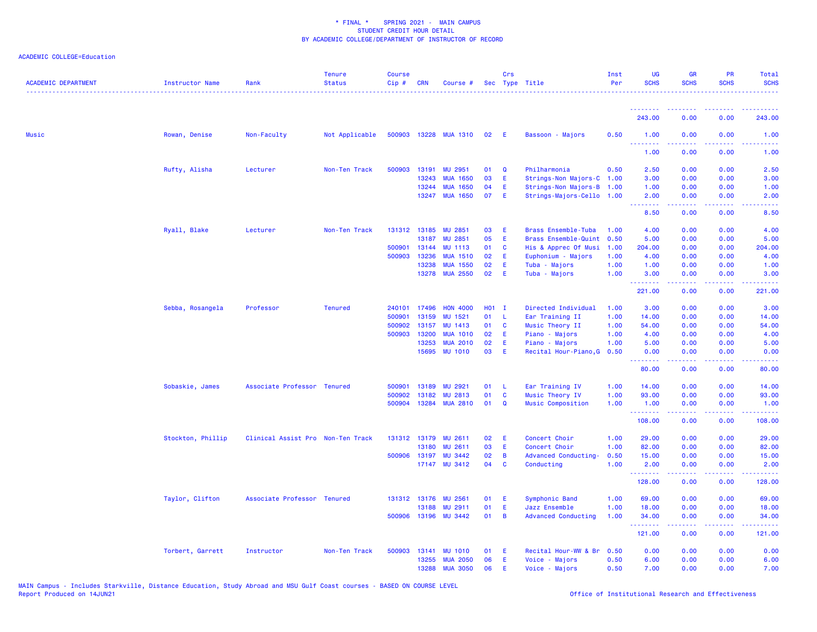| <b>ACADEMIC DEPARTMENT</b> | Instructor Name   | Rank                              | <b>Tenure</b><br><b>Status</b> | <b>Course</b><br>Cip# | <b>CRN</b>   | Course #                 |         | Crs            | Sec Type Title             | Inst<br>Per | <b>UG</b><br><b>SCHS</b> | <b>GR</b><br><b>SCHS</b>                                                                                                                                     | <b>PR</b><br><b>SCHS</b> | <b>Total</b><br><b>SCHS</b><br>. <b>.</b>                                                                                                                    |
|----------------------------|-------------------|-----------------------------------|--------------------------------|-----------------------|--------------|--------------------------|---------|----------------|----------------------------|-------------|--------------------------|--------------------------------------------------------------------------------------------------------------------------------------------------------------|--------------------------|--------------------------------------------------------------------------------------------------------------------------------------------------------------|
|                            |                   |                                   |                                |                       |              |                          |         |                |                            |             | <u>.</u>                 |                                                                                                                                                              |                          |                                                                                                                                                              |
|                            |                   |                                   |                                |                       |              |                          |         |                |                            |             | 243.00                   | 0.00                                                                                                                                                         | 0.00                     | 243.00                                                                                                                                                       |
| <b>Music</b>               | Rowan, Denise     | Non-Faculty                       | Not Applicable                 |                       |              | 500903 13228 MUA 1310 02 |         | - E            | Bassoon - Majors           | 0.50        | 1.00<br>.                | 0.00                                                                                                                                                         | 0.00                     | 1.00                                                                                                                                                         |
|                            |                   |                                   |                                |                       |              |                          |         |                |                            |             | 1.00                     | 0.00                                                                                                                                                         | 0.00                     | 1.00                                                                                                                                                         |
|                            | Rufty, Alisha     | Lecturer                          | Non-Ten Track                  |                       | 500903 13191 | <b>MU 2951</b>           | 01      | $\mathbf Q$    | Philharmonia               | 0.50        | 2.50                     | 0.00                                                                                                                                                         | 0.00                     | 2.50                                                                                                                                                         |
|                            |                   |                                   |                                |                       | 13243        | <b>MUA 1650</b>          | 03      | -E             | Strings-Non Majors-C 1.00  |             | 3.00                     | 0.00                                                                                                                                                         | 0.00                     | 3.00                                                                                                                                                         |
|                            |                   |                                   |                                |                       | 13244        | <b>MUA 1650</b>          | 04      | E              | Strings-Non Majors-B 1.00  |             | 1.00                     | 0.00                                                                                                                                                         | 0.00                     | 1.00                                                                                                                                                         |
|                            |                   |                                   |                                |                       |              | 13247 MUA 1650           | 07      | -E             | Strings-Majors-Cello 1.00  |             | 2.00<br>.                | 0.00<br>$\frac{1}{2} \left( \frac{1}{2} \right) \left( \frac{1}{2} \right) \left( \frac{1}{2} \right) \left( \frac{1}{2} \right) \left( \frac{1}{2} \right)$ | 0.00<br>.                | 2.00<br>$\frac{1}{2} \left( \frac{1}{2} \right) \left( \frac{1}{2} \right) \left( \frac{1}{2} \right) \left( \frac{1}{2} \right) \left( \frac{1}{2} \right)$ |
|                            |                   |                                   |                                |                       |              |                          |         |                |                            |             | 8.50                     | 0.00                                                                                                                                                         | 0.00                     | 8.50                                                                                                                                                         |
|                            | Ryall, Blake      | Lecturer                          | Non-Ten Track                  |                       |              | 131312 13185 MU 2851     | 03      | E              | Brass Ensemble-Tuba        | 1.00        | 4.00                     | 0.00                                                                                                                                                         | 0.00                     | 4.00                                                                                                                                                         |
|                            |                   |                                   |                                |                       | 13187        | MU 2851                  | 05      | E              | Brass Ensemble-Quint       | 0.50        | 5.00                     | 0.00                                                                                                                                                         | 0.00                     | 5.00                                                                                                                                                         |
|                            |                   |                                   |                                | 500901                | 13144        | <b>MU 1113</b>           | 01      | <b>C</b>       | His & Apprec Of Musi       | 1.00        | 204.00                   | 0.00                                                                                                                                                         | 0.00                     | 204.00                                                                                                                                                       |
|                            |                   |                                   |                                | 500903                | 13236        | <b>MUA 1510</b>          | 02      | E              | Euphonium - Majors         | 1.00        | 4.00                     | 0.00                                                                                                                                                         | 0.00                     | 4.00                                                                                                                                                         |
|                            |                   |                                   |                                |                       | 13238        | <b>MUA 1550</b>          | 02      | E              | Tuba - Majors              | 1.00        | 1.00                     | 0.00                                                                                                                                                         | 0.00                     | 1.00                                                                                                                                                         |
|                            |                   |                                   |                                |                       | 13278        | <b>MUA 2550</b>          | 02      | - E            | Tuba - Majors              | 1.00        | 3.00<br>.                | 0.00<br>22222                                                                                                                                                | 0.00<br>.                | 3.00<br><u>.</u>                                                                                                                                             |
|                            |                   |                                   |                                |                       |              |                          |         |                |                            |             | 221.00                   | 0.00                                                                                                                                                         | 0.00                     | 221.00                                                                                                                                                       |
|                            | Sebba, Rosangela  | Professor                         | <b>Tenured</b>                 | 240101                | 17496        | <b>HON 4000</b>          | $H01$ I |                | Directed Individual        | 1.00        | 3.00                     | 0.00                                                                                                                                                         | 0.00                     | 3.00                                                                                                                                                         |
|                            |                   |                                   |                                | 500901                | 13159        | MU 1521                  | 01      | - L            | Ear Training II            | 1.00        | 14.00                    | 0.00                                                                                                                                                         | 0.00                     | 14.00                                                                                                                                                        |
|                            |                   |                                   |                                | 500902                | 13157        | MU 1413                  | 01      | <b>C</b>       | Music Theory II            | 1.00        | 54.00                    | 0.00                                                                                                                                                         | 0.00                     | 54.00                                                                                                                                                        |
|                            |                   |                                   |                                | 500903                | 13200        | <b>MUA 1010</b>          | 02      | - E            | Piano - Majors             | 1.00        | 4.00                     | 0.00                                                                                                                                                         | 0.00                     | 4.00                                                                                                                                                         |
|                            |                   |                                   |                                |                       | 13253        | <b>MUA 2010</b>          | 02      | E              | Piano - Majors             | 1.00        | 5.00                     | 0.00                                                                                                                                                         | 0.00                     | 5.00                                                                                                                                                         |
|                            |                   |                                   |                                |                       | 15695        | <b>MU 1010</b>           | 03      | E              | Recital Hour-Piano, G      | 0.50        | 0.00<br>.                | 0.00<br>د د د د                                                                                                                                              | 0.00                     | 0.00<br>$- - - -$                                                                                                                                            |
|                            |                   |                                   |                                |                       |              |                          |         |                |                            |             | 80.00                    | 0.00                                                                                                                                                         | 0.00                     | 80.00                                                                                                                                                        |
|                            | Sobaskie, James   | Associate Professor Tenured       |                                | 500901                | 13189        | MU 2921                  | 01      | - L            | Ear Training IV            | 1.00        | 14.00                    | 0.00                                                                                                                                                         | 0.00                     | 14.00                                                                                                                                                        |
|                            |                   |                                   |                                | 500902                | 13182        | <b>MU 2813</b>           | 01      | $\mathbf{C}$   | Music Theory IV            | 1.00        | 93.00                    | 0.00                                                                                                                                                         | 0.00                     | 93.00                                                                                                                                                        |
|                            |                   |                                   |                                | 500904                | 13284        | <b>MUA 2810</b>          | 01      | $\mathbf Q$    | Music Composition          | 1.00        | 1.00<br>.                | 0.00                                                                                                                                                         | 0.00                     | 1.00<br>.                                                                                                                                                    |
|                            |                   |                                   |                                |                       |              |                          |         |                |                            |             | 108.00                   | 0.00                                                                                                                                                         | 0.00                     | 108.00                                                                                                                                                       |
|                            | Stockton, Phillip | Clinical Assist Pro Non-Ten Track |                                |                       | 131312 13179 | <b>MU 2611</b>           | 02      | E              | Concert Choir              | 1.00        | 29.00                    | 0.00                                                                                                                                                         | 0.00                     | 29.00                                                                                                                                                        |
|                            |                   |                                   |                                |                       | 13180        | <b>MU 2611</b>           | 03      | E              | Concert Choir              | 1.00        | 82.00                    | 0.00                                                                                                                                                         | 0.00                     | 82.00                                                                                                                                                        |
|                            |                   |                                   |                                |                       | 500906 13197 | <b>MU 3442</b>           | 02      | $\overline{B}$ | Advanced Conducting-       | 0.50        | 15.00                    | 0.00                                                                                                                                                         | 0.00                     | 15.00                                                                                                                                                        |
|                            |                   |                                   |                                |                       |              | 17147 MU 3412            | 04      | $\mathbf{C}$   | Conducting                 | 1.00        | 2.00<br>--------         | 0.00<br>$\frac{1}{2} \left( \frac{1}{2} \right) \left( \frac{1}{2} \right) \left( \frac{1}{2} \right) \left( \frac{1}{2} \right) \left( \frac{1}{2} \right)$ | 0.00<br>.                | 2.00<br>.                                                                                                                                                    |
|                            |                   |                                   |                                |                       |              |                          |         |                |                            |             | 128.00                   | 0.00                                                                                                                                                         | 0.00                     | 128.00                                                                                                                                                       |
|                            | Taylor, Clifton   | Associate Professor Tenured       |                                |                       | 131312 13176 | MU 2561                  | 01      | E              | Symphonic Band             | 1.00        | 69.00                    | 0.00                                                                                                                                                         | 0.00                     | 69.00                                                                                                                                                        |
|                            |                   |                                   |                                |                       | 13188        | MU 2911                  | 01      | E              | Jazz Ensemble              | 1.00        | 18.00                    | 0.00                                                                                                                                                         | 0.00                     | 18.00                                                                                                                                                        |
|                            |                   |                                   |                                |                       |              | 500906 13196 MU 3442     | 01      | $\overline{B}$ | <b>Advanced Conducting</b> | 1.00        | 34.00<br>.               | 0.00<br>المتمامين                                                                                                                                            | 0.00<br>. <b>.</b>       | 34.00<br>$\begin{array}{cccccccccc} \bullet & \bullet & \bullet & \bullet & \bullet & \bullet & \bullet & \bullet \end{array}$                               |
|                            |                   |                                   |                                |                       |              |                          |         |                |                            |             | 121.00                   | 0.00                                                                                                                                                         | 0.00                     | 121.00                                                                                                                                                       |
|                            | Torbert, Garrett  | Instructor                        | Non-Ten Track                  | 500903                | 13141        | <b>MU 1010</b>           | 01      | -E             | Recital Hour-WW & Br       | 0.50        | 0.00                     | 0.00                                                                                                                                                         | 0.00                     | 0.00                                                                                                                                                         |
|                            |                   |                                   |                                |                       | 13255        | <b>MUA 2050</b>          | 06      | E              | Voice - Majors             | 0.50        | 6.00                     | 0.00                                                                                                                                                         | 0.00                     | 6.00                                                                                                                                                         |
|                            |                   |                                   |                                |                       | 13288        | <b>MUA 3050</b>          | 06      | Ε              | Voice - Majors             | 0.50        | 7.00                     | 0.00                                                                                                                                                         | 0.00                     | 7.00                                                                                                                                                         |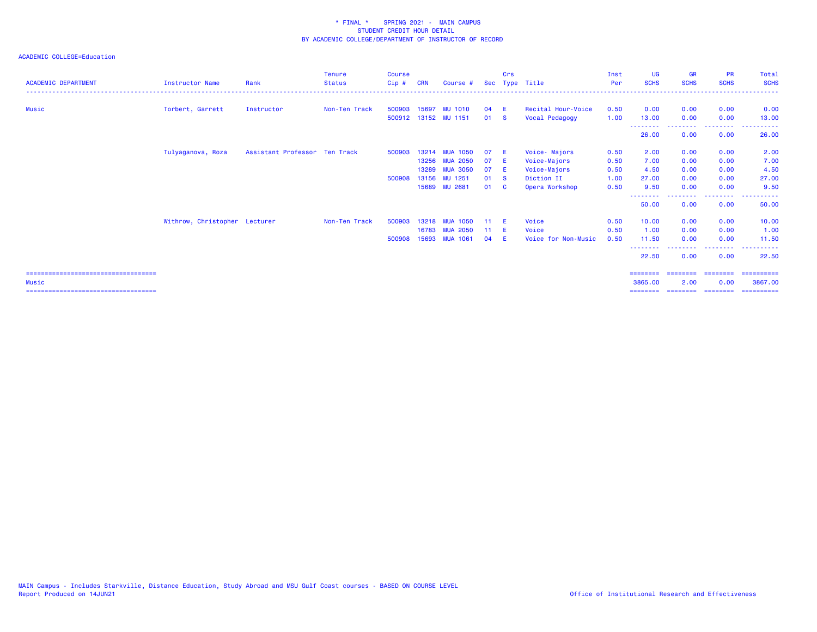| <b>ACADEMIC DEPARTMENT</b>             | <b>Instructor Name</b>        | Rank                          | <b>Tenure</b><br><b>Status</b> | Course<br>$Cip$ # | <b>CRN</b> | Course #             |    | Crs      | Sec Type Title      | Inst<br>Per | <b>UG</b><br><b>SCHS</b> | <b>GR</b><br><b>SCHS</b> | <b>PR</b><br><b>SCHS</b> | Total<br><b>SCHS</b>  |
|----------------------------------------|-------------------------------|-------------------------------|--------------------------------|-------------------|------------|----------------------|----|----------|---------------------|-------------|--------------------------|--------------------------|--------------------------|-----------------------|
|                                        |                               |                               |                                |                   |            |                      |    |          |                     |             |                          |                          |                          |                       |
| Music                                  | Torbert, Garrett              | Instructor                    | Non-Ten Track                  | 500903            | 15697      | <b>MU 1010</b>       | 04 | - E      | Recital Hour-Voice  | 0.50        | 0.00                     | 0.00                     | 0.00                     | 0.00                  |
|                                        |                               |                               |                                |                   |            | 500912 13152 MU 1151 | 01 | <b>S</b> | Vocal Pedagogy      | 1.00        | 13.00<br>--------        | 0.00                     | 0.00<br>.                | 13.00<br>.            |
|                                        |                               |                               |                                |                   |            |                      |    |          |                     |             | 26.00                    | 0.00                     | 0.00                     | 26.00                 |
|                                        | Tulyaganova, Roza             | Assistant Professor Ten Track |                                | 500903            | 13214      | <b>MUA 1050</b>      | 07 | -E       | Voice-Majors        | 0.50        | 2.00                     | 0.00                     | 0.00                     | 2.00                  |
|                                        |                               |                               |                                |                   | 13256      | <b>MUA 2050</b>      | 07 | -E       | Voice-Majors        | 0.50        | 7.00                     | 0.00                     | 0.00                     | 7.00                  |
|                                        |                               |                               |                                |                   | 13289      | <b>MUA 3050</b>      | 07 | -E       | Voice-Majors        | 0.50        | 4.50                     | 0.00                     | 0.00                     | 4.50                  |
|                                        |                               |                               |                                | 500908            | 13156      | MU 1251              | 01 | - S      | Diction II          | 1.00        | 27.00                    | 0.00                     | 0.00                     | 27.00                 |
|                                        |                               |                               |                                |                   | 15689      | <b>MU 2681</b>       | 01 | - C      | Opera Workshop      | 0.50        | 9.50                     | 0.00                     | 0.00                     | 9.50                  |
|                                        |                               |                               |                                |                   |            |                      |    |          |                     |             | 50.00                    | 0.00                     | -----<br>0.00            | 50.00                 |
|                                        | Withrow, Christopher Lecturer |                               | Non-Ten Track                  | 500903            | 13218      | <b>MUA 1050</b>      | 11 | - F      | Voice               | 0.50        | 10.00                    | 0.00                     | 0.00                     | 10.00                 |
|                                        |                               |                               |                                |                   | 16783      | <b>MUA 2050</b>      | 11 | - E      | Voice               | 0.50        | 1.00                     | 0.00                     | 0.00                     | 1.00                  |
|                                        |                               |                               |                                | 500908            | 15693      | <b>MUA 1061</b>      | 04 |          | Voice for Non-Music | 0.50        | 11.50                    | 0.00                     | 0.00                     | 11.50                 |
|                                        |                               |                               |                                |                   |            |                      |    |          |                     |             | --------<br>22.50        | 0.00                     | -----<br>0.00            | . <b>.</b> .<br>22.50 |
| ====================================== |                               |                               |                                |                   |            |                      |    |          |                     |             | ========                 | ========                 | ========                 | ==========            |
| Music                                  |                               |                               |                                |                   |            |                      |    |          |                     |             | 3865,00                  | 2.00                     | 0.00                     | 3867,00               |
| =====================================  |                               |                               |                                |                   |            |                      |    |          |                     |             | ---------                | ========                 | ---------                | ==========            |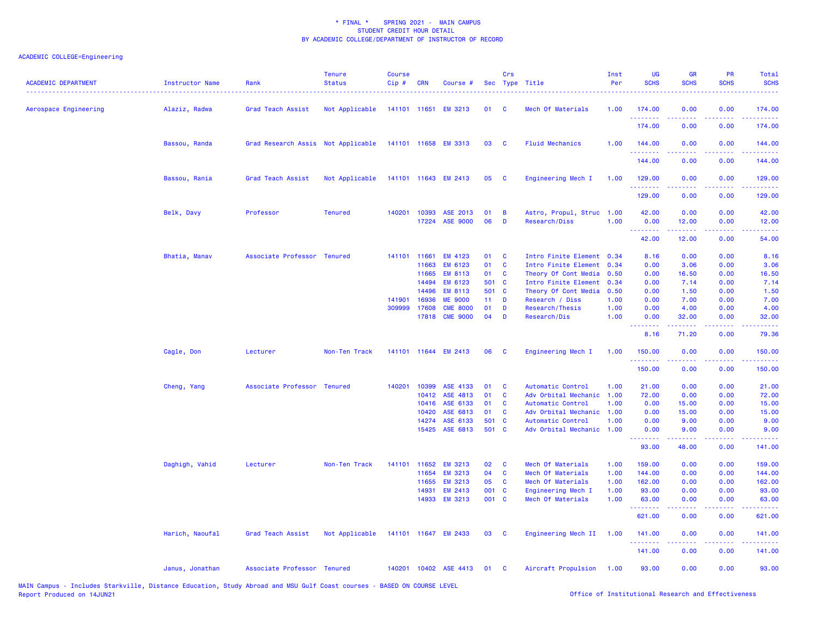| <b>ACADEMIC DEPARTMENT</b> | <b>Instructor Name</b> | Rank                               | <b>Tenure</b><br><b>Status</b> | <b>Course</b><br>Cip# | <b>CRN</b>     | Course #                  |                 | Crs                        | Sec Type Title                          | Inst<br>Per  | UG<br><b>SCHS</b>        | <b>GR</b><br><b>SCHS</b> | PR<br><b>SCHS</b>     | Total<br><b>SCHS</b>                                                                                                                                           |
|----------------------------|------------------------|------------------------------------|--------------------------------|-----------------------|----------------|---------------------------|-----------------|----------------------------|-----------------------------------------|--------------|--------------------------|--------------------------|-----------------------|----------------------------------------------------------------------------------------------------------------------------------------------------------------|
| Aerospace Engineering      | Alaziz, Radwa          | Grad Teach Assist                  | Not Applicable                 |                       |                | 141101 11651 EM 3213      | 01              | <b>C</b>                   | Mech Of Materials                       | 1.00         | 174.00                   | 0.00                     | 0.00                  | 174.00                                                                                                                                                         |
|                            |                        |                                    |                                |                       |                |                           |                 |                            |                                         |              | .<br>174.00              | 0.00                     | 0.00                  | 174.00                                                                                                                                                         |
|                            | Bassou, Randa          | Grad Research Assis Not Applicable |                                |                       |                | 141101 11658 EM 3313      | 03              | <b>C</b>                   | <b>Fluid Mechanics</b>                  | 1.00         | 144.00<br>.              | 0.00                     | 0.00<br>$\frac{1}{2}$ | 144.00<br>$\frac{1}{2} \left( \frac{1}{2} \right) \left( \frac{1}{2} \right) \left( \frac{1}{2} \right) \left( \frac{1}{2} \right) \left( \frac{1}{2} \right)$ |
|                            |                        |                                    |                                |                       |                |                           |                 |                            |                                         |              | 144.00                   | 0.00                     | 0.00                  | 144.00                                                                                                                                                         |
|                            | Bassou, Rania          | Grad Teach Assist                  | Not Applicable                 |                       |                | 141101 11643 EM 2413      | 05              | $\mathbf{C}$               | Engineering Mech I                      | 1.00         | 129.00<br>.              | 0.00                     | 0.00                  | 129.00<br>.                                                                                                                                                    |
|                            |                        |                                    |                                |                       |                |                           |                 |                            |                                         |              | 129.00                   | 0.00                     | 0.00                  | 129.00                                                                                                                                                         |
|                            | Belk, Davy             | Professor                          | <b>Tenured</b>                 |                       | 140201 10393   | ASE 2013                  | 01              | B                          | Astro, Propul, Struc                    | 1.00         | 42.00                    | 0.00                     | 0.00                  | 42.00                                                                                                                                                          |
|                            |                        |                                    |                                |                       |                | 17224 ASE 9000            | 06              | D                          | Research/Diss                           | 1.00         | 0.00                     | 12.00                    | 0.00                  | 12.00                                                                                                                                                          |
|                            |                        |                                    |                                |                       |                |                           |                 |                            |                                         |              | .<br>42.00               | .<br>12.00               | .<br>0.00             | .<br>54.00                                                                                                                                                     |
|                            | Bhatia, Manav          | Associate Professor Tenured        |                                |                       | 141101 11661   | EM 4123                   | 01              | C                          | Intro Finite Element 0.34               |              | 8.16                     | 0.00                     | 0.00                  | 8.16                                                                                                                                                           |
|                            |                        |                                    |                                |                       | 11663          | EM 6123                   | 01              | C                          | Intro Finite Element                    | 0.34         | 0.00                     | 3.06                     | 0.00                  | 3.06                                                                                                                                                           |
|                            |                        |                                    |                                |                       | 11665          | EM 8113                   | 01              | C                          | Theory Of Cont Media                    | 0.50         | 0.00                     | 16.50                    | 0.00                  | 16.50                                                                                                                                                          |
|                            |                        |                                    |                                |                       | 14494          | EM 6123                   | 501 C           |                            | Intro Finite Element                    | 0.34         | 0.00                     | 7.14                     | 0.00                  | 7.14                                                                                                                                                           |
|                            |                        |                                    |                                |                       | 14496          | <b>EM 8113</b>            | 501 C           |                            | Theory Of Cont Media                    | 0.50         | 0.00                     | 1.50                     | 0.00                  | 1.50                                                                                                                                                           |
|                            |                        |                                    |                                | 141901                | 16936          | <b>ME 9000</b>            | 11 <sub>1</sub> | D                          | Research / Diss                         | 1.00         | 0.00                     | 7.00                     | 0.00                  | 7.00                                                                                                                                                           |
|                            |                        |                                    |                                |                       | 309999 17608   | <b>CME 8000</b>           | 01              | D                          | Research/Thesis                         | 1.00         | 0.00                     | 4.00                     | 0.00                  | 4.00                                                                                                                                                           |
|                            |                        |                                    |                                |                       | 17818          | <b>CME 9000</b>           | 04              | D                          | Research/Dis                            | 1.00         | 0.00<br>.                | 32.00<br>.               | 0.00<br>.             | 32.00<br>.                                                                                                                                                     |
|                            |                        |                                    |                                |                       |                |                           |                 |                            |                                         |              | 8.16                     | 71.20                    | 0.00                  | 79.36                                                                                                                                                          |
|                            | Cagle, Don             | Lecturer                           | Non-Ten Track                  |                       |                | 141101 11644 EM 2413      | 06              | C                          | Engineering Mech I                      | 1.00         | 150.00                   | 0.00                     | 0.00                  | 150.00                                                                                                                                                         |
|                            |                        |                                    |                                |                       |                |                           |                 |                            |                                         |              | 150.00                   | 0.00                     | 0.00                  | 150.00                                                                                                                                                         |
|                            | Cheng, Yang            | Associate Professor Tenured        |                                | 140201                | 10399          | ASE 4133                  | 01              | C                          | Automatic Control                       | 1.00         | 21.00                    | 0.00                     | 0.00                  | 21.00                                                                                                                                                          |
|                            |                        |                                    |                                |                       | 10412          | ASE 4813                  | 01              | C                          | Adv Orbital Mechanic                    | 1.00         | 72.00                    | 0.00                     | 0.00                  | 72.00                                                                                                                                                          |
|                            |                        |                                    |                                |                       | 10416          | ASE 6133                  | 01              | C                          | Automatic Control                       | 1.00         | 0.00                     | 15.00                    | 0.00                  | 15.00                                                                                                                                                          |
|                            |                        |                                    |                                |                       | 10420          | ASE 6813                  | 01              | C                          | Adv Orbital Mechanic                    | 1.00         | 0.00                     | 15.00                    | 0.00                  | 15.00                                                                                                                                                          |
|                            |                        |                                    |                                |                       | 14274          | ASE 6133                  | 501 C           |                            | Automatic Control                       | 1.00         | 0.00                     | 9.00                     | 0.00                  | 9.00                                                                                                                                                           |
|                            |                        |                                    |                                |                       | 15425          | ASE 6813                  | 501 C           |                            | Adv Orbital Mechanic 1.00               |              | 0.00<br>.                | 9.00                     | 0.00                  | 9.00                                                                                                                                                           |
|                            |                        |                                    |                                |                       |                |                           |                 |                            |                                         |              | 93.00                    | 48.00                    | 0.00                  | 141.00                                                                                                                                                         |
|                            | Daghigh, Vahid         | Lecturer                           | Non-Ten Track                  |                       | 141101 11652   | <b>EM 3213</b>            | 02              | C                          | Mech Of Materials                       | 1.00         | 159.00                   | 0.00                     | 0.00                  | 159.00                                                                                                                                                         |
|                            |                        |                                    |                                |                       | 11654          | <b>EM 3213</b>            | 04              | C                          | Mech Of Materials                       | 1.00         | 144.00                   | 0.00                     | 0.00                  | 144.00                                                                                                                                                         |
|                            |                        |                                    |                                |                       | 11655          | <b>EM 3213</b>            | 05              | C                          | Mech Of Materials                       | 1.00         | 162.00                   | 0.00                     | 0.00                  | 162.00                                                                                                                                                         |
|                            |                        |                                    |                                |                       | 14931<br>14933 | EM 2413<br><b>EM 3213</b> | 001 C<br>001 C  |                            | Engineering Mech I<br>Mech Of Materials | 1.00<br>1.00 | 93.00<br>63.00           | 0.00<br>0.00             | 0.00<br>0.00          | 93.00<br>63.00                                                                                                                                                 |
|                            |                        |                                    |                                |                       |                |                           |                 |                            |                                         |              | .                        | 22222                    | .                     | . <b>.</b>                                                                                                                                                     |
|                            |                        |                                    |                                |                       |                |                           |                 |                            |                                         |              | 621.00                   | 0.00                     | 0.00                  | 621.00                                                                                                                                                         |
|                            | Harich, Naoufal        | Grad Teach Assist                  | Not Applicable                 |                       |                | 141101 11647 EM 2433      | 03              | $\overline{\phantom{a}}$ c | Engineering Mech II                     | 1.00         | 141.00<br><u> 222222</u> | 0.00                     | 0.00<br>.             | 141.00<br>. <b>.</b>                                                                                                                                           |
|                            |                        |                                    |                                |                       |                |                           |                 |                            |                                         |              | 141.00                   | 0.00                     | 0.00                  | 141.00                                                                                                                                                         |
|                            | Janus, Jonathan        | Associate Professor Tenured        |                                |                       |                | 140201 10402 ASE 4413     | 01              | <b>C</b>                   | Aircraft Propulsion                     | 1.00         | 93.00                    | 0.00                     | 0.00                  | 93.00                                                                                                                                                          |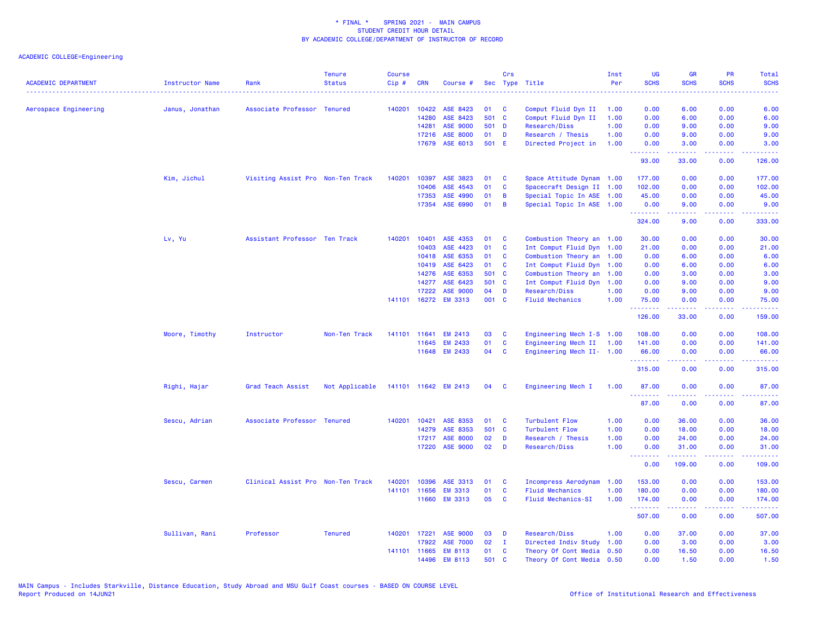| <b>ACADEMIC DEPARTMENT</b> | <b>Instructor Name</b> | Rank                              | <b>Tenure</b><br><b>Status</b> | Course<br>Cip# | <b>CRN</b>   | Course #             |       | Crs          | Sec Type Title            | Inst<br>Per | UG<br><b>SCHS</b><br>. | <b>GR</b><br><b>SCHS</b>                                                                                                                                     | PR<br><b>SCHS</b>                   | Total<br><b>SCHS</b><br>. |
|----------------------------|------------------------|-----------------------------------|--------------------------------|----------------|--------------|----------------------|-------|--------------|---------------------------|-------------|------------------------|--------------------------------------------------------------------------------------------------------------------------------------------------------------|-------------------------------------|---------------------------|
| Aerospace Engineering      | Janus, Jonathan        | Associate Professor Tenured       |                                | 140201         | 10422        | ASE 8423             | 01    | C            | Comput Fluid Dyn II       | 1.00        | 0.00                   | 6.00                                                                                                                                                         | 0.00                                | 6.00                      |
|                            |                        |                                   |                                |                | 14280        | ASE 8423             |       | 501 C        | Comput Fluid Dyn II       | 1.00        | 0.00                   | 6.00                                                                                                                                                         | 0.00                                | 6.00                      |
|                            |                        |                                   |                                |                | 14281        | <b>ASE 9000</b>      | 501 D |              | Research/Diss             | 1.00        | 0.00                   | 9.00                                                                                                                                                         | 0.00                                | 9.00                      |
|                            |                        |                                   |                                |                | 17216        | <b>ASE 8000</b>      | 01    | D            | Research / Thesis         | 1.00        | 0.00                   | 9.00                                                                                                                                                         | 0.00                                | 9.00                      |
|                            |                        |                                   |                                |                |              | 17679 ASE 6013       | 501 E |              | Directed Project in       | 1.00        | 0.00<br>.              | 3.00<br>بالأباليات                                                                                                                                           | 0.00<br>.                           | 3.00                      |
|                            |                        |                                   |                                |                |              |                      |       |              |                           |             | 93.00                  | 33.00                                                                                                                                                        | 0.00                                | 126.00                    |
|                            | Kim, Jichul            | Visiting Assist Pro Non-Ten Track |                                | 140201         | 10397        | ASE 3823             | 01    | C            | Space Attitude Dynam 1.00 |             | 177.00                 | 0.00                                                                                                                                                         | 0.00                                | 177.00                    |
|                            |                        |                                   |                                |                | 10406        | ASE 4543             | 01    | C            | Spacecraft Design II 1.00 |             | 102.00                 | 0.00                                                                                                                                                         | 0.00                                | 102.00                    |
|                            |                        |                                   |                                |                | 17353        | ASE 4990             | 01    | B            | Special Topic In ASE 1.00 |             | 45.00                  | 0.00                                                                                                                                                         | 0.00                                | 45.00                     |
|                            |                        |                                   |                                |                | 17354        | ASE 6990             | 01    | B            | Special Topic In ASE 1.00 |             | 0.00<br>.              | 9.00<br>.                                                                                                                                                    | 0.00<br>.                           | 9.00<br>.                 |
|                            |                        |                                   |                                |                |              |                      |       |              |                           |             | 324.00                 | 9.00                                                                                                                                                         | 0.00                                | 333.00                    |
|                            | Lv, Yu                 | Assistant Professor Ten Track     |                                | 140201         | 10401        | ASE 4353             | 01    | C            | Combustion Theory an 1.00 |             | 30.00                  | 0.00                                                                                                                                                         | 0.00                                | 30.00                     |
|                            |                        |                                   |                                |                | 10403        | ASE 4423             | 01    | C            | Int Comput Fluid Dyn 1.00 |             | 21.00                  | 0.00                                                                                                                                                         | 0.00                                | 21.00                     |
|                            |                        |                                   |                                |                | 10418        | ASE 6353             | 01    | C            | Combustion Theory an 1.00 |             | 0.00                   | 6.00                                                                                                                                                         | 0.00                                | 6.00                      |
|                            |                        |                                   |                                |                | 10419        | ASE 6423             | 01    | $\mathbf{C}$ | Int Comput Fluid Dyn 1.00 |             | 0.00                   | 6.00                                                                                                                                                         | 0.00                                | 6.00                      |
|                            |                        |                                   |                                |                | 14276        | ASE 6353             | 501 C |              | Combustion Theory an 1.00 |             | 0.00                   | 3.00                                                                                                                                                         | 0.00                                | 3.00                      |
|                            |                        |                                   |                                |                | 14277        | ASE 6423             | 501   | $\mathbf{C}$ | Int Comput Fluid Dyn 1.00 |             | 0.00                   | 9.00                                                                                                                                                         | 0.00                                | 9.00                      |
|                            |                        |                                   |                                |                | 17222        | <b>ASE 9000</b>      | 04    | D            | Research/Diss             | 1.00        | 0.00                   | 9.00                                                                                                                                                         | 0.00                                | 9.00                      |
|                            |                        |                                   |                                |                |              | 141101 16272 EM 3313 | 001 C |              | <b>Fluid Mechanics</b>    | 1.00        | 75.00<br>.             | 0.00<br>$\frac{1}{2} \left( \frac{1}{2} \right) \left( \frac{1}{2} \right) \left( \frac{1}{2} \right) \left( \frac{1}{2} \right) \left( \frac{1}{2} \right)$ | 0.00<br>.                           | 75.00<br>.                |
|                            |                        |                                   |                                |                |              |                      |       |              |                           |             | 126.00                 | 33.00                                                                                                                                                        | 0.00                                | 159.00                    |
|                            | Moore, Timothy         | Instructor                        | Non-Ten Track                  |                | 141101 11641 | <b>EM 2413</b>       | 03    | C            | Engineering Mech I-S 1.00 |             | 108.00                 | 0.00                                                                                                                                                         | 0.00                                | 108.00                    |
|                            |                        |                                   |                                |                |              | 11645 EM 2433        | 01    | C            | Engineering Mech II 1.00  |             | 141.00                 | 0.00                                                                                                                                                         | 0.00                                | 141.00                    |
|                            |                        |                                   |                                |                |              | 11648 EM 2433        | 04    | <b>C</b>     | Engineering Mech II- 1.00 |             | 66.00<br>.             | 0.00<br>.                                                                                                                                                    | 0.00<br>$\sim$ $\sim$ $\sim$ $\sim$ | 66.00<br>المتمامين        |
|                            |                        |                                   |                                |                |              |                      |       |              |                           |             | 315.00                 | 0.00                                                                                                                                                         | 0.00                                | 315.00                    |
|                            | Righi, Hajar           | Grad Teach Assist                 | Not Applicable                 |                |              | 141101 11642 EM 2413 | 04    | <b>C</b>     | Engineering Mech I        | 1.00        | 87.00                  | 0.00                                                                                                                                                         | 0.00                                | 87.00                     |
|                            |                        |                                   |                                |                |              |                      |       |              |                           |             | .<br>87.00             | .<br>0.00                                                                                                                                                    | والمحامر<br>0.00                    | .<br>87.00                |
|                            | Sescu, Adrian          | Associate Professor Tenured       |                                | 140201         | 10421        | ASE 8353             | 01    | C            | Turbulent Flow            | 1.00        | 0.00                   | 36.00                                                                                                                                                        | 0.00                                | 36.00                     |
|                            |                        |                                   |                                |                | 14279        | ASE 8353             | 501 C |              | <b>Turbulent Flow</b>     | 1.00        | 0.00                   | 18.00                                                                                                                                                        | 0.00                                | 18.00                     |
|                            |                        |                                   |                                |                | 17217        | <b>ASE 8000</b>      | 02    | D            | Research / Thesis         | 1.00        | 0.00                   | 24.00                                                                                                                                                        | 0.00                                | 24.00                     |
|                            |                        |                                   |                                |                |              | 17220 ASE 9000       | 02    | D            | Research/Diss             | 1.00        | 0.00<br>.              | 31.00<br>.                                                                                                                                                   | 0.00<br>.                           | 31.00<br>.                |
|                            |                        |                                   |                                |                |              |                      |       |              |                           |             | 0.00                   | 109.00                                                                                                                                                       | 0.00                                | 109.00                    |
|                            | Sescu, Carmen          | Clinical Assist Pro Non-Ten Track |                                | 140201         | 10396        | ASE 3313             | 01    | C            | Incompress Aerodynam      | 1.00        | 153.00                 | 0.00                                                                                                                                                         | 0.00                                | 153.00                    |
|                            |                        |                                   |                                | 141101         | 11656        | <b>EM 3313</b>       | 01    | C            | <b>Fluid Mechanics</b>    | 1.00        | 180.00                 | 0.00                                                                                                                                                         | 0.00                                | 180.00                    |
|                            |                        |                                   |                                |                |              | 11660 EM 3313        | 05    | C            | <b>Fluid Mechanics-SI</b> | 1.00        | 174.00<br>.            | 0.00<br>22222                                                                                                                                                | 0.00<br>.                           | 174.00<br>.               |
|                            |                        |                                   |                                |                |              |                      |       |              |                           |             | 507.00                 | 0.00                                                                                                                                                         | 0.00                                | 507.00                    |
|                            | Sullivan, Rani         | Professor                         | <b>Tenured</b>                 | 140201         | 17221        | <b>ASE 9000</b>      | 03    | D            | Research/Diss             | 1.00        | 0.00                   | 37.00                                                                                                                                                        | 0.00                                | 37.00                     |
|                            |                        |                                   |                                |                | 17922        | <b>ASE 7000</b>      | 02    | $\mathbf{I}$ | Directed Indiv Study      | 1.00        | 0.00                   | 3.00                                                                                                                                                         | 0.00                                | 3.00                      |
|                            |                        |                                   |                                |                | 141101 11665 | <b>EM 8113</b>       | 01    | C            | Theory Of Cont Media      | 0.50        | 0.00                   | 16.50                                                                                                                                                        | 0.00                                | 16.50                     |
|                            |                        |                                   |                                |                | 14496        | <b>EM 8113</b>       | 501   | $\mathbf{C}$ | Theory Of Cont Media 0.50 |             | 0.00                   | 1.50                                                                                                                                                         | 0.00                                | 1.50                      |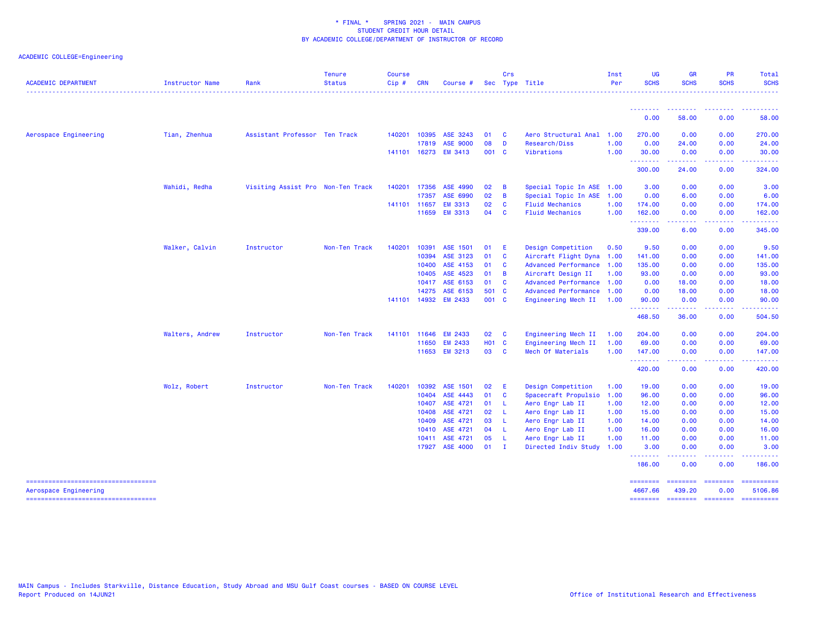| <b>ACADEMIC DEPARTMENT</b>                                                                           | <b>Instructor Name</b> | Rank                              | <b>Tenure</b><br><b>Status</b> | <b>Course</b><br>Cip# | <b>CRN</b>   | Course #        |              | Crs            | Sec Type Title              | Inst<br>Per | UG<br><b>SCHS</b>               | <b>GR</b><br><b>SCHS</b>                                                                                                                                      | PR<br><b>SCHS</b>       | Total<br><b>SCHS</b>                |
|------------------------------------------------------------------------------------------------------|------------------------|-----------------------------------|--------------------------------|-----------------------|--------------|-----------------|--------------|----------------|-----------------------------|-------------|---------------------------------|---------------------------------------------------------------------------------------------------------------------------------------------------------------|-------------------------|-------------------------------------|
|                                                                                                      |                        |                                   |                                |                       |              |                 |              |                |                             |             | <u> - - - - - - - -</u><br>0.00 | --------<br>58.00                                                                                                                                             | 0.00                    | 58.00                               |
| Aerospace Engineering                                                                                | Tian, Zhenhua          | Assistant Professor Ten Track     |                                |                       | 140201 10395 | ASE 3243        | 01           | $\mathbf{C}$   | Aero Structural Anal 1.00   |             | 270.00                          | 0.00                                                                                                                                                          | 0.00                    | 270.00                              |
|                                                                                                      |                        |                                   |                                |                       | 17819        | <b>ASE 9000</b> | 08           | <b>D</b>       | Research/Diss               | 1.00        | 0.00                            | 24.00                                                                                                                                                         | 0.00                    | 24.00                               |
|                                                                                                      |                        |                                   |                                |                       | 141101 16273 | <b>EM 3413</b>  | 001 C        |                | Vibrations                  | 1.00        | 30.00                           | 0.00                                                                                                                                                          | 0.00                    | 30.00                               |
|                                                                                                      |                        |                                   |                                |                       |              |                 |              |                |                             |             | <u>.</u><br>300.00              | <b></b><br>24.00                                                                                                                                              | . <b>.</b><br>0.00      | <u>.</u><br>324.00                  |
|                                                                                                      | Wahidi, Redha          | Visiting Assist Pro Non-Ten Track |                                | 140201                | 17356        | ASE 4990        | 02           | $\overline{B}$ | Special Topic In ASE 1.00   |             | 3.00                            | 0.00                                                                                                                                                          | 0.00                    | 3.00                                |
|                                                                                                      |                        |                                   |                                |                       | 17357        | ASE 6990        | 02           | $\overline{B}$ | Special Topic In ASE 1.00   |             | 0.00                            | 6.00                                                                                                                                                          | 0.00                    | 6.00                                |
|                                                                                                      |                        |                                   |                                |                       | 141101 11657 | <b>EM 3313</b>  | 02           | <b>C</b>       | <b>Fluid Mechanics</b>      | 1.00        | 174.00                          | 0.00                                                                                                                                                          | 0.00                    | 174.00                              |
|                                                                                                      |                        |                                   |                                |                       | 11659        | <b>EM 3313</b>  | 04           | <b>C</b>       | <b>Fluid Mechanics</b>      | 1.00        | 162.00                          | 0.00                                                                                                                                                          | 0.00                    | 162.00                              |
|                                                                                                      |                        |                                   |                                |                       |              |                 |              |                |                             |             | .<br>339.00                     | $\frac{1}{2} \left( \frac{1}{2} \right) \left( \frac{1}{2} \right) \left( \frac{1}{2} \right) \left( \frac{1}{2} \right) \left( \frac{1}{2} \right)$<br>6.00  | .<br>0.00               | .<br>345.00                         |
|                                                                                                      | Walker, Calvin         | Instructor                        | Non-Ten Track                  | 140201                | 10391        | ASE 1501        | 01           | - E            | Design Competition          | 0.50        | 9.50                            | 0.00                                                                                                                                                          | 0.00                    | 9.50                                |
|                                                                                                      |                        |                                   |                                |                       | 10394        | ASE 3123        | 01           | $\mathbf{C}$   | Aircraft Flight Dyna 1.00   |             | 141.00                          | 0.00                                                                                                                                                          | 0.00                    | 141.00                              |
|                                                                                                      |                        |                                   |                                |                       | 10400        | ASE 4153        | 01           | $\mathbf{C}$   | <b>Advanced Performance</b> | 1.00        | 135.00                          | 0.00                                                                                                                                                          | 0.00                    | 135.00                              |
|                                                                                                      |                        |                                   |                                |                       | 10405        | ASE 4523        | 01           | $\overline{B}$ | Aircraft Design II          | 1.00        | 93.00                           | 0.00                                                                                                                                                          | 0.00                    | 93.00                               |
|                                                                                                      |                        |                                   |                                |                       | 10417        | ASE 6153        | 01 C         |                | Advanced Performance 1.00   |             | 0.00                            | 18.00                                                                                                                                                         | 0.00                    | 18.00                               |
|                                                                                                      |                        |                                   |                                |                       | 14275        | ASE 6153        | 501 C        |                | <b>Advanced Performance</b> | 1.00        | 0.00                            | 18.00                                                                                                                                                         | 0.00                    | 18.00                               |
|                                                                                                      |                        |                                   |                                |                       | 141101 14932 | <b>EM 2433</b>  | 001 C        |                | Engineering Mech II         | 1.00        | 90.00                           | 0.00                                                                                                                                                          | 0.00                    | 90.00                               |
|                                                                                                      |                        |                                   |                                |                       |              |                 |              |                |                             |             | <u>.</u><br>468.50              | $\frac{1}{2} \left( \frac{1}{2} \right) \left( \frac{1}{2} \right) \left( \frac{1}{2} \right) \left( \frac{1}{2} \right) \left( \frac{1}{2} \right)$<br>36.00 | 0.00                    | 504.50                              |
|                                                                                                      | Walters, Andrew        | Instructor                        | Non-Ten Track                  |                       | 141101 11646 | <b>EM 2433</b>  | 02           | $\mathbf{C}$   | Engineering Mech II         | 1.00        | 204.00                          | 0.00                                                                                                                                                          | 0.00                    | 204.00                              |
|                                                                                                      |                        |                                   |                                |                       | 11650        | <b>EM 2433</b>  | <b>HO1 C</b> |                | Engineering Mech II         | 1.00        | 69.00                           | 0.00                                                                                                                                                          | 0.00                    | 69.00                               |
|                                                                                                      |                        |                                   |                                |                       |              | 11653 EM 3213   | 03 C         |                | Mech Of Materials           | 1.00        | 147.00                          | 0.00                                                                                                                                                          | 0.00                    | 147.00                              |
|                                                                                                      |                        |                                   |                                |                       |              |                 |              |                |                             |             | .<br>420.00                     | $\frac{1}{2} \left( \frac{1}{2} \right) \left( \frac{1}{2} \right) \left( \frac{1}{2} \right) \left( \frac{1}{2} \right) \left( \frac{1}{2} \right)$<br>0.00  | .<br>0.00               | <u>.</u><br>420.00                  |
|                                                                                                      | Wolz, Robert           | Instructor                        | Non-Ten Track                  | 140201                | 10392        | ASE 1501        | 02           | - E            | Design Competition          | 1.00        | 19.00                           | 0.00                                                                                                                                                          | 0.00                    | 19.00                               |
|                                                                                                      |                        |                                   |                                |                       | 10404        | ASE 4443        | 01           | $\mathbf{C}$   | Spacecraft Propulsio        | 1.00        | 96.00                           | 0.00                                                                                                                                                          | 0.00                    | 96.00                               |
|                                                                                                      |                        |                                   |                                |                       | 10407        | ASE 4721        | 01           | - L            | Aero Engr Lab II            | 1.00        | 12.00                           | 0.00                                                                                                                                                          | 0.00                    | 12.00                               |
|                                                                                                      |                        |                                   |                                |                       | 10408        | ASE 4721        | 02           | - L            | Aero Engr Lab II            | 1.00        | 15.00                           | 0.00                                                                                                                                                          | 0.00                    | 15.00                               |
|                                                                                                      |                        |                                   |                                |                       | 10409        | ASE 4721        | 03           | - L            | Aero Engr Lab II            | 1.00        | 14.00                           | 0.00                                                                                                                                                          | 0.00                    | 14.00                               |
|                                                                                                      |                        |                                   |                                |                       | 10410        | ASE 4721        | 04           | - 1            | Aero Engr Lab II            | 1.00        | 16.00                           | 0.00                                                                                                                                                          | 0.00                    | 16.00                               |
|                                                                                                      |                        |                                   |                                |                       | 10411        | ASE 4721        | 05           | - 1.           | Aero Engr Lab II            | 1.00        | 11.00                           | 0.00                                                                                                                                                          | 0.00                    | 11.00                               |
|                                                                                                      |                        |                                   |                                |                       |              | 17927 ASE 4000  | $01$ I       |                | Directed Indiv Study        | 1.00        | 3.00<br><u>.</u>                | 0.00<br>.                                                                                                                                                     | 0.00<br>.               | 3.00                                |
|                                                                                                      |                        |                                   |                                |                       |              |                 |              |                |                             |             | 186.00                          | 0.00                                                                                                                                                          | 0.00                    | 186.00                              |
| =====================================<br>Aerospace Engineering<br>---------------------------------- |                        |                                   |                                |                       |              |                 |              |                |                             |             | ========<br>4667.66<br>======== | <b>SEESSEES</b><br>439.20<br>--------- --------                                                                                                               | <b>CONSIGNS</b><br>0.00 | ==========<br>5106.86<br>========== |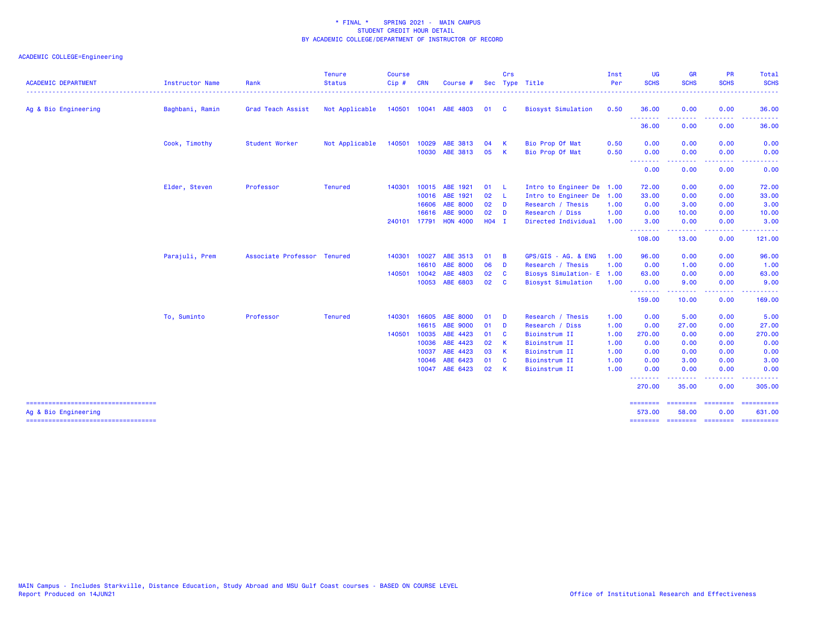| <b>ACADEMIC DEPARTMENT</b>                                    | Instructor Name | Rank                        | <b>Tenure</b><br><b>Status</b> | <b>Course</b><br>Cip# | <b>CRN</b> | Course #              |         | Crs            | Sec Type Title            | Inst<br>Per | <b>UG</b><br><b>SCHS</b>  | <b>GR</b><br><b>SCHS</b>                                                                                                                                     | PR<br><b>SCHS</b>                                                                                                                 | Total<br><b>SCHS</b>                  |
|---------------------------------------------------------------|-----------------|-----------------------------|--------------------------------|-----------------------|------------|-----------------------|---------|----------------|---------------------------|-------------|---------------------------|--------------------------------------------------------------------------------------------------------------------------------------------------------------|-----------------------------------------------------------------------------------------------------------------------------------|---------------------------------------|
| Ag & Bio Engineering                                          | Baghbani, Ramin | Grad Teach Assist           | Not Applicable                 |                       |            | 140501 10041 ABE 4803 | 01 C    |                | <b>Biosyst Simulation</b> | 0.50        | 36.00                     | 0.00                                                                                                                                                         | 0.00                                                                                                                              | 36.00                                 |
|                                                               |                 |                             |                                |                       |            |                       |         |                |                           |             | --------<br>36.00         | 0.00                                                                                                                                                         | 0.00                                                                                                                              | 36.00                                 |
|                                                               | Cook, Timothy   | Student Worker              | Not Applicable                 | 140501                | 10029      | ABE 3813              | 04      | K              | Bio Prop Of Mat           | 0.50        | 0.00                      | 0.00                                                                                                                                                         | 0.00                                                                                                                              | 0.00                                  |
|                                                               |                 |                             |                                |                       | 10030      | ABE 3813              | 05      | - K            | Bio Prop Of Mat           | 0.50        | 0.00<br>.                 | 0.00                                                                                                                                                         | 0.00                                                                                                                              | 0.00                                  |
|                                                               |                 |                             |                                |                       |            |                       |         |                |                           |             | 0.00                      | 0.00                                                                                                                                                         | 0.00                                                                                                                              | 0.00                                  |
|                                                               | Elder, Steven   | Professor                   | <b>Tenured</b>                 | 140301                | 10015      | ABE 1921              | 01      | - 11           | Intro to Engineer De 1.00 |             | 72.00                     | 0.00                                                                                                                                                         | 0.00                                                                                                                              | 72.00                                 |
|                                                               |                 |                             |                                |                       | 10016      | ABE 1921              | 02 L    |                | Intro to Engineer De      | 1.00        | 33.00                     | 0.00                                                                                                                                                         | 0.00                                                                                                                              | 33.00                                 |
|                                                               |                 |                             |                                |                       | 16606      | <b>ABE 8000</b>       | 02      | <b>D</b>       | Research / Thesis         | 1.00        | 0.00                      | 3.00                                                                                                                                                         | 0.00                                                                                                                              | 3.00                                  |
|                                                               |                 |                             |                                |                       | 16616      | ABE 9000              | 02      | D              | Research / Diss           | 1.00        | 0.00                      | 10.00                                                                                                                                                        | 0.00                                                                                                                              | 10.00                                 |
|                                                               |                 |                             |                                | 240101                |            | 17791 HON 4000        | $H04$ I |                | Directed Individual       | 1.00        | 3.00<br>--------          | 0.00<br>$\frac{1}{2} \left( \frac{1}{2} \right) \left( \frac{1}{2} \right) \left( \frac{1}{2} \right) \left( \frac{1}{2} \right) \left( \frac{1}{2} \right)$ | 0.00<br>المتعاطين                                                                                                                 | 3.00<br>.                             |
|                                                               |                 |                             |                                |                       |            |                       |         |                |                           |             | 108.00                    | 13.00                                                                                                                                                        | 0.00                                                                                                                              | 121.00                                |
|                                                               | Parajuli, Prem  | Associate Professor Tenured |                                | 140301                | 10027      | ABE 3513              | 01      | $\overline{B}$ | GPS/GIS - AG. & ENG       | 1.00        | 96.00                     | 0.00                                                                                                                                                         | 0.00                                                                                                                              | 96.00                                 |
|                                                               |                 |                             |                                |                       | 16610      | <b>ABE 8000</b>       | 06      | D              | Research / Thesis         | 1.00        | 0.00                      | 1.00                                                                                                                                                         | 0.00                                                                                                                              | 1.00                                  |
|                                                               |                 |                             |                                | 140501                | 10042      | ABE 4803              | 02      | <b>C</b>       | Biosys Simulation- E 1.00 |             | 63.00                     | 0.00                                                                                                                                                         | 0.00                                                                                                                              | 63.00                                 |
|                                                               |                 |                             |                                |                       | 10053      | ABE 6803              | 02      | - C            | <b>Biosyst Simulation</b> | 1.00        | 0.00                      | 9.00                                                                                                                                                         | 0.00                                                                                                                              | 9.00                                  |
|                                                               |                 |                             |                                |                       |            |                       |         |                |                           |             | - - - - - - - -<br>159.00 | 10.00                                                                                                                                                        | .<br>0.00                                                                                                                         | 169.00                                |
|                                                               | To, Suminto     | Professor                   | <b>Tenured</b>                 | 140301                | 16605      | <b>ABE 8000</b>       | 01      | <b>D</b>       | Research / Thesis         | 1.00        | 0.00                      | 5.00                                                                                                                                                         | 0.00                                                                                                                              | 5.00                                  |
|                                                               |                 |                             |                                |                       | 16615      | ABE 9000              | 01      | D              | Research / Diss           | 1.00        | 0.00                      | 27.00                                                                                                                                                        | 0.00                                                                                                                              | 27.00                                 |
|                                                               |                 |                             |                                | 140501                | 10035      | ABE 4423              | 01      | <b>C</b>       | Bioinstrum II             | 1.00        | 270.00                    | 0.00                                                                                                                                                         | 0.00                                                                                                                              | 270.00                                |
|                                                               |                 |                             |                                |                       | 10036      | ABE 4423              | 02      | - K            | Bioinstrum II             | 1.00        | 0.00                      | 0.00                                                                                                                                                         | 0.00                                                                                                                              | 0.00                                  |
|                                                               |                 |                             |                                |                       | 10037      | ABE 4423              | 03      | - K            | Bioinstrum II             | 1.00        | 0.00                      | 0.00                                                                                                                                                         | 0.00                                                                                                                              | 0.00                                  |
|                                                               |                 |                             |                                |                       | 10046      | ABE 6423              | 01      | <b>C</b>       | Bioinstrum II             | 1.00        | 0.00                      | 3.00                                                                                                                                                         | 0.00                                                                                                                              | 3.00                                  |
|                                                               |                 |                             |                                |                       | 10047      | ABE 6423              | 02      | - K            | Bioinstrum II             | 1.00        | 0.00<br>.                 | 0.00                                                                                                                                                         | 0.00<br>$\frac{1}{2} \left( \frac{1}{2} \right) \left( \frac{1}{2} \right) \left( \frac{1}{2} \right) \left( \frac{1}{2} \right)$ | 0.00                                  |
|                                                               |                 |                             |                                |                       |            |                       |         |                |                           |             | 270.00                    | 35.00                                                                                                                                                        | 0.00                                                                                                                              | 305.00                                |
| =====================================<br>Ag & Bio Engineering |                 |                             |                                |                       |            |                       |         |                |                           |             | ========<br>573.00        | $=$ ========<br>58.00                                                                                                                                        | <b>EEEEEEE</b><br>0.00                                                                                                            | 631.00                                |
| ======================================                        |                 |                             |                                |                       |            |                       |         |                |                           |             |                           |                                                                                                                                                              |                                                                                                                                   | ======== ======== ======== ========== |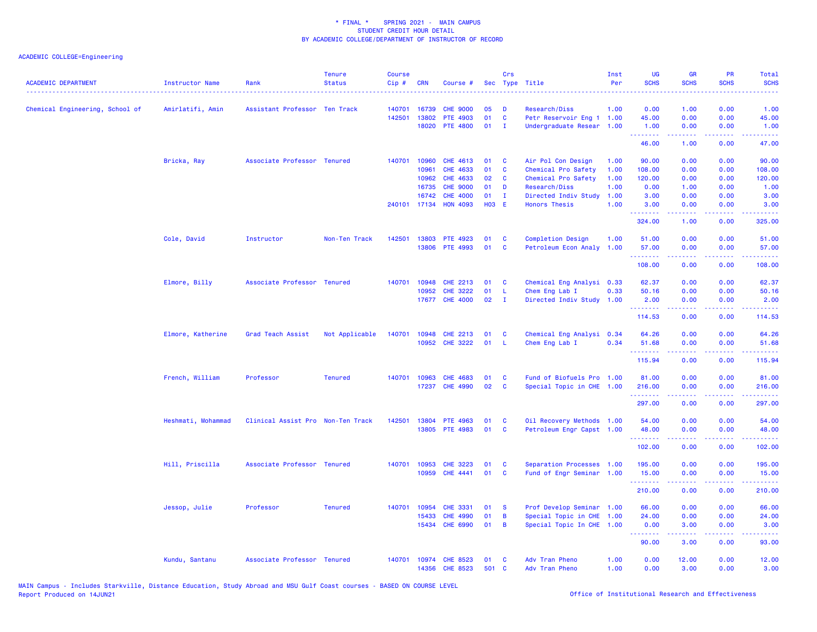| <b>ACADEMIC DEPARTMENT</b>      | Instructor Name    | Rank                              | <b>Tenure</b><br><b>Status</b> | <b>Course</b><br>Cip# | <b>CRN</b>              | Course #                                             |                | Crs                    | Sec Type Title                                                                      | Inst<br>Per          | UG<br><b>SCHS</b>               | <b>GR</b><br><b>SCHS</b> | <b>PR</b><br><b>SCHS</b> | Total<br><b>SCHS</b><br><u>.</u>                                                                                                                                        |
|---------------------------------|--------------------|-----------------------------------|--------------------------------|-----------------------|-------------------------|------------------------------------------------------|----------------|------------------------|-------------------------------------------------------------------------------------|----------------------|---------------------------------|--------------------------|--------------------------|-------------------------------------------------------------------------------------------------------------------------------------------------------------------------|
| Chemical Engineering, School of | Amirlatifi, Amin   | Assistant Professor Ten Track     |                                | 140701<br>142501      | 16739<br>13802          | <b>CHE 9000</b><br>PTE 4903                          | 05<br>01       | Ð<br>$\mathbf{C}$      | Research/Diss<br>Petr Reservoir Eng 1 1.00                                          | 1.00                 | 0.00<br>45.00                   | 1.00<br>0.00             | 0.00<br>0.00             | 1.00<br>45.00                                                                                                                                                           |
|                                 |                    |                                   |                                |                       | 18020                   | <b>PTE 4800</b>                                      | 01             | $\mathbf{I}$           | Undergraduate Resear 1.00                                                           |                      | 1.00<br>.<br>46.00              | 0.00<br>.<br>1.00        | 0.00<br>ن د د د<br>0.00  | 1.00<br>$\omega$ is $\omega$ .<br>47.00                                                                                                                                 |
|                                 | Bricka, Ray        | Associate Professor Tenured       |                                | 140701                | 10960<br>10961          | CHE 4613<br>CHE 4633                                 | 01<br>01       | C<br>C                 | Air Pol Con Design<br>Chemical Pro Safety                                           | 1.00<br>1.00         | 90.00<br>108.00                 | 0.00<br>0.00             | 0.00<br>0.00             | 90.00<br>108.00                                                                                                                                                         |
|                                 |                    |                                   |                                |                       | 10962<br>16735<br>16742 | CHE 4633<br><b>CHE 9000</b><br><b>CHE 4000</b>       | 02<br>01<br>01 | C<br>D<br>$\mathbf{I}$ | Chemical Pro Safety<br>Research/Diss<br>Directed Indiv Study                        | 1.00<br>1.00<br>1.00 | 120.00<br>0.00<br>3.00          | 0.00<br>1.00<br>0.00     | 0.00<br>0.00<br>0.00     | 120.00<br>1.00<br>3.00                                                                                                                                                  |
|                                 |                    |                                   |                                | 240101                |                         | 17134 HON 4093                                       | H03 E          |                        | <b>Honors Thesis</b>                                                                | 1.00                 | 3.00<br>.                       | 0.00<br>.                | 0.00                     | 3.00                                                                                                                                                                    |
|                                 |                    |                                   |                                |                       |                         |                                                      |                |                        |                                                                                     |                      | 324.00                          | 1.00                     | 0.00                     | 325.00                                                                                                                                                                  |
|                                 | Cole, David        | Instructor                        | Non-Ten Track                  | 142501                | 13803                   | <b>PTE 4923</b><br>13806 PTE 4993                    | 01<br>01       | C<br>C                 | Completion Design<br>Petroleum Econ Analy 1.00                                      | 1.00                 | 51.00<br>57.00<br><b></b>       | 0.00<br>0.00<br>-----    | 0.00<br>0.00<br>.        | 51.00<br>57.00<br>.                                                                                                                                                     |
|                                 |                    |                                   |                                |                       |                         |                                                      |                |                        |                                                                                     |                      | 108.00                          | 0.00                     | 0.00                     | 108.00                                                                                                                                                                  |
|                                 | Elmore, Billy      | Associate Professor Tenured       |                                | 140701                | 10948<br>10952          | <b>CHE 2213</b><br><b>CHE 3222</b><br>17677 CHE 4000 | 01<br>01<br>02 | C<br>L<br>$\mathbf{I}$ | Chemical Eng Analysi 0.33<br>Chem Eng Lab I<br>Directed Indiv Study                 | 0.33<br>1.00         | 62.37<br>50.16<br>2.00          | 0.00<br>0.00<br>0.00     | 0.00<br>0.00<br>0.00     | 62.37<br>50.16<br>2.00                                                                                                                                                  |
|                                 |                    |                                   |                                |                       |                         |                                                      |                |                        |                                                                                     |                      | <b>.</b><br>114.53              | .<br>0.00                | .<br>0.00                | $\mathbf{1} \cdot \mathbf{1} \cdot \mathbf{1} \cdot \mathbf{1} \cdot \mathbf{1} \cdot \mathbf{1}$<br>114.53                                                             |
|                                 | Elmore, Katherine  | Grad Teach Assist                 | Not Applicable                 | 140701                | 10948                   | CHE 2213<br>10952 CHE 3222                           | 01<br>01       | C<br><b>L</b>          | Chemical Eng Analysi 0.34<br>Chem Eng Lab I                                         | 0.34                 | 64.26<br>51.68<br>.             | 0.00<br>0.00<br>22222    | 0.00<br>0.00<br>.        | 64.26<br>51.68<br>.                                                                                                                                                     |
|                                 |                    |                                   |                                |                       |                         |                                                      |                |                        |                                                                                     |                      | 115.94                          | 0.00                     | 0.00                     | 115.94                                                                                                                                                                  |
|                                 | French, William    | Professor                         | <b>Tenured</b>                 | 140701                | 10963<br>17237          | <b>CHE 4683</b><br><b>CHE 4990</b>                   | 01<br>02       | C<br>C                 | Fund of Biofuels Pro 1.00<br>Special Topic in CHE 1.00                              |                      | 81.00<br>216.00<br>.            | 0.00<br>0.00<br>.        | 0.00<br>0.00<br>-----    | 81.00<br>216.00<br>لأعاط عاطات                                                                                                                                          |
|                                 |                    |                                   |                                |                       |                         |                                                      |                |                        |                                                                                     |                      | 297.00                          | 0.00                     | 0.00                     | 297.00                                                                                                                                                                  |
|                                 | Heshmati, Mohammad | Clinical Assist Pro Non-Ten Track |                                | 142501                | 13804                   | <b>PTE 4963</b><br>13805 PTE 4983                    | 01<br>01       | C<br>C                 | Oil Recovery Methods 1.00<br>Petroleum Engr Capst 1.00                              |                      | 54.00<br>48.00<br><u> 22222</u> | 0.00<br>0.00             | 0.00<br>0.00<br>2222     | 54.00<br>48.00                                                                                                                                                          |
|                                 |                    |                                   |                                |                       |                         |                                                      |                |                        |                                                                                     |                      | 102.00                          | 0.00                     | 0.00                     | 102.00                                                                                                                                                                  |
|                                 | Hill, Priscilla    | Associate Professor Tenured       |                                | 140701                | 10953<br>10959          | <b>CHE 3223</b><br>CHE 4441                          | 01<br>01       | C<br>C                 | Separation Processes 1.00<br>Fund of Engr Seminar 1.00                              |                      | 195.00<br>15.00<br>.            | 0.00<br>0.00<br>22222    | 0.00<br>0.00<br>.        | 195.00<br>15.00<br>$\frac{1}{2} \left( \frac{1}{2} \right) \left( \frac{1}{2} \right) \left( \frac{1}{2} \right) \left( \frac{1}{2} \right) \left( \frac{1}{2} \right)$ |
|                                 |                    |                                   |                                |                       |                         |                                                      |                |                        |                                                                                     |                      | 210.00                          | 0.00                     | 0.00                     | 210.00                                                                                                                                                                  |
|                                 | Jessop, Julie      | Professor                         | <b>Tenured</b>                 | 140701                | 10954<br>15433          | <b>CHE 3331</b><br><b>CHE 4990</b><br>15434 CHE 6990 | 01<br>01<br>01 | <b>S</b><br>B<br>B     | Prof Develop Seminar 1.00<br>Special Topic in CHE 1.00<br>Special Topic In CHE 1.00 |                      | 66.00<br>24.00<br>0.00          | 0.00<br>0.00<br>3.00     | 0.00<br>0.00<br>0.00     | 66.00<br>24.00<br>3.00                                                                                                                                                  |
|                                 |                    |                                   |                                |                       |                         |                                                      |                |                        |                                                                                     |                      | .<br>90.00                      | .<br>3.00                | بالأباد<br>0.00          | .<br>93.00                                                                                                                                                              |
|                                 | Kundu, Santanu     | Associate Professor Tenured       |                                |                       | 14356                   | 140701 10974 CHE 8523<br>CHE 8523                    | 01<br>501      | <b>C</b><br><b>C</b>   | Adv Tran Pheno<br>Adv Tran Pheno                                                    | 1.00<br>1.00         | 0.00<br>0.00                    | 12.00<br>3.00            | 0.00<br>0.00             | 12.00<br>3.00                                                                                                                                                           |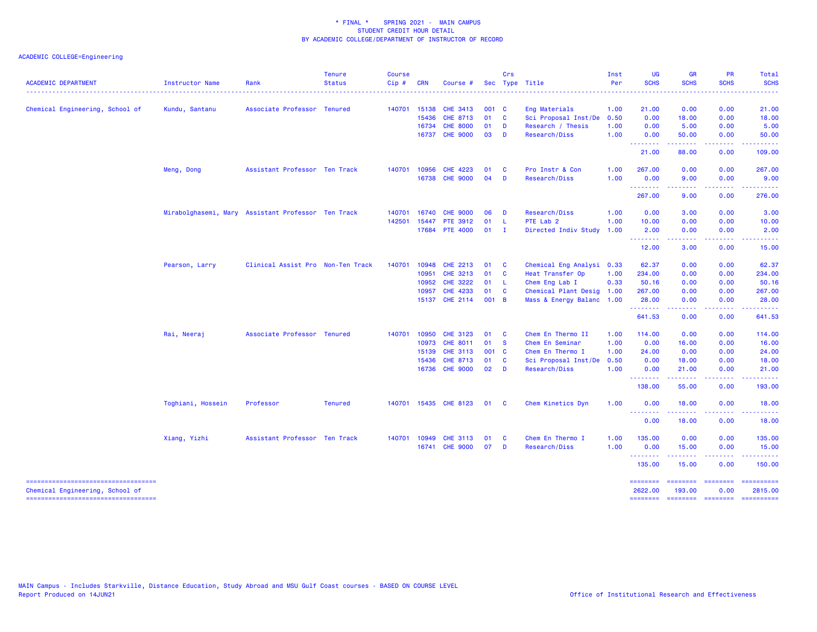| <b>ACADEMIC DEPARTMENT</b>             | Instructor Name   | Rank                                               | <b>Tenure</b><br><b>Status</b> | <b>Course</b><br>Cip# | <b>CRN</b>   | Course #        |        | Crs                                                                                                 | Sec Type Title            | Inst<br>Per | <b>UG</b><br><b>SCHS</b>        | <b>GR</b><br><b>SCHS</b> | <b>PR</b><br><b>SCHS</b> | <b>Total</b><br><b>SCHS</b>                                                                                                                                                                                                                                                                                                                                                                                                                                                            |
|----------------------------------------|-------------------|----------------------------------------------------|--------------------------------|-----------------------|--------------|-----------------|--------|-----------------------------------------------------------------------------------------------------|---------------------------|-------------|---------------------------------|--------------------------|--------------------------|----------------------------------------------------------------------------------------------------------------------------------------------------------------------------------------------------------------------------------------------------------------------------------------------------------------------------------------------------------------------------------------------------------------------------------------------------------------------------------------|
|                                        |                   |                                                    |                                |                       |              |                 |        |                                                                                                     |                           |             |                                 |                          |                          |                                                                                                                                                                                                                                                                                                                                                                                                                                                                                        |
| Chemical Engineering, School of        | Kundu, Santanu    | Associate Professor Tenured                        |                                | 140701                | 15138        | CHE 3413        | 001 C  |                                                                                                     | Eng Materials             | 1.00        | 21.00                           | 0.00                     | 0.00                     | 21.00                                                                                                                                                                                                                                                                                                                                                                                                                                                                                  |
|                                        |                   |                                                    |                                |                       | 15436        | <b>CHE 8713</b> | 01 C   |                                                                                                     | Sci Proposal Inst/De      | 0.50        | 0.00                            | 18.00                    | 0.00                     | 18.00                                                                                                                                                                                                                                                                                                                                                                                                                                                                                  |
|                                        |                   |                                                    |                                |                       | 16734        | <b>CHE 8000</b> | 01     | <b>D</b>                                                                                            | Research / Thesis         | 1.00        | 0.00                            | 5.00                     | 0.00                     | 5.00                                                                                                                                                                                                                                                                                                                                                                                                                                                                                   |
|                                        |                   |                                                    |                                |                       |              | 16737 CHE 9000  | 03 D   |                                                                                                     | Research/Diss             | 1.00        | 0.00                            | 50.00                    | 0.00                     | 50.00                                                                                                                                                                                                                                                                                                                                                                                                                                                                                  |
|                                        |                   |                                                    |                                |                       |              |                 |        |                                                                                                     |                           |             | بابات باب<br>21.00              | المالم مالم ما<br>88.00  | المستما<br>0.00          | .<br>109.00                                                                                                                                                                                                                                                                                                                                                                                                                                                                            |
|                                        | Meng, Dong        | Assistant Professor Ten Track                      |                                |                       | 140701 10956 | <b>CHE 4223</b> | 01     | <b>C</b>                                                                                            | Pro Instr & Con           | 1.00        | 267.00                          | 0.00                     | 0.00                     | 267.00                                                                                                                                                                                                                                                                                                                                                                                                                                                                                 |
|                                        |                   |                                                    |                                |                       |              | 16738 CHE 9000  | 04     | $\overline{D}$                                                                                      | Research/Diss             | 1.00        | 0.00<br>.                       | 9.00<br>-----            | 0.00                     | 9.00                                                                                                                                                                                                                                                                                                                                                                                                                                                                                   |
|                                        |                   |                                                    |                                |                       |              |                 |        |                                                                                                     |                           |             | 267.00                          | 9.00                     | 0.00                     | 276.00                                                                                                                                                                                                                                                                                                                                                                                                                                                                                 |
|                                        |                   | Mirabolghasemi, Mary Assistant Professor Ten Track |                                | 140701                | 16740        | <b>CHE 9000</b> | 06     | $\mathbf{D}$                                                                                        | Research/Diss             | 1.00        | 0.00                            | 3.00                     | 0.00                     | 3.00                                                                                                                                                                                                                                                                                                                                                                                                                                                                                   |
|                                        |                   |                                                    |                                | 142501                | 15447        | <b>PTE 3912</b> | 01     | - L                                                                                                 | PTE Lab 2                 | 1.00        | 10.00                           | 0.00                     | 0.00                     | 10.00                                                                                                                                                                                                                                                                                                                                                                                                                                                                                  |
|                                        |                   |                                                    |                                |                       |              | 17684 PTE 4000  | $01$ I |                                                                                                     | Directed Indiv Study      | 1.00        | 2.00<br><u> - - - - - - - -</u> | 0.00                     | 0.00                     | 2.00                                                                                                                                                                                                                                                                                                                                                                                                                                                                                   |
|                                        |                   |                                                    |                                |                       |              |                 |        |                                                                                                     |                           |             | 12.00                           | 3.00                     | 0.00                     | 15.00                                                                                                                                                                                                                                                                                                                                                                                                                                                                                  |
|                                        | Pearson, Larry    | Clinical Assist Pro Non-Ten Track                  |                                | 140701                | 10948        | <b>CHE 2213</b> | 01     | $\overline{\phantom{a}}$ $\overline{\phantom{a}}$ $\overline{\phantom{a}}$ $\overline{\phantom{a}}$ | Chemical Eng Analysi 0.33 |             | 62.37                           | 0.00                     | 0.00                     | 62.37                                                                                                                                                                                                                                                                                                                                                                                                                                                                                  |
|                                        |                   |                                                    |                                |                       | 10951        | CHE 3213        | 01     | $\mathbf{C}$                                                                                        | Heat Transfer Op          | 1.00        | 234.00                          | 0.00                     | 0.00                     | 234.00                                                                                                                                                                                                                                                                                                                                                                                                                                                                                 |
|                                        |                   |                                                    |                                |                       | 10952        | <b>CHE 3222</b> | 01 L   |                                                                                                     | Chem Eng Lab I            | 0.33        | 50.16                           | 0.00                     | 0.00                     | 50.16                                                                                                                                                                                                                                                                                                                                                                                                                                                                                  |
|                                        |                   |                                                    |                                |                       | 10957        | <b>CHE 4233</b> | 01     | <b>C</b>                                                                                            | Chemical Plant Desig      | 1.00        | 267.00                          | 0.00                     | 0.00                     | 267.00                                                                                                                                                                                                                                                                                                                                                                                                                                                                                 |
|                                        |                   |                                                    |                                |                       |              | 15137 CHE 2114  | 001 B  |                                                                                                     | Mass & Energy Balanc 1.00 |             | 28.00<br>.                      | 0.00                     | 0.00                     | 28.00                                                                                                                                                                                                                                                                                                                                                                                                                                                                                  |
|                                        |                   |                                                    |                                |                       |              |                 |        |                                                                                                     |                           |             | 641.53                          | 0.00                     | 0.00                     | 641.53                                                                                                                                                                                                                                                                                                                                                                                                                                                                                 |
|                                        | Rai, Neeraj       | Associate Professor Tenured                        |                                | 140701                | 10950        | <b>CHE 3123</b> | 01     | $\overline{\mathbf{C}}$                                                                             | Chem En Thermo II         | 1.00        | 114.00                          | 0.00                     | 0.00                     | 114.00                                                                                                                                                                                                                                                                                                                                                                                                                                                                                 |
|                                        |                   |                                                    |                                |                       | 10973        | CHE 8011        | 01     | <b>S</b>                                                                                            | Chem En Seminar           | 1.00        | 0.00                            | 16.00                    | 0.00                     | 16.00                                                                                                                                                                                                                                                                                                                                                                                                                                                                                  |
|                                        |                   |                                                    |                                |                       | 15139        | <b>CHE 3113</b> | 001 C  |                                                                                                     | Chem En Thermo I          | 1.00        | 24.00                           | 0.00                     | 0.00                     | 24.00                                                                                                                                                                                                                                                                                                                                                                                                                                                                                  |
|                                        |                   |                                                    |                                |                       | 15436        | CHE 8713        | 01     | <b>C</b>                                                                                            | Sci Proposal Inst/De      | 0.50        | 0.00                            | 18.00                    | 0.00                     | 18.00                                                                                                                                                                                                                                                                                                                                                                                                                                                                                  |
|                                        |                   |                                                    |                                |                       | 16736        | <b>CHE 9000</b> | 02     | $\overline{D}$                                                                                      | Research/Diss             | 1.00        | 0.00<br>.                       | 21.00                    | 0.00                     | 21.00                                                                                                                                                                                                                                                                                                                                                                                                                                                                                  |
|                                        |                   |                                                    |                                |                       |              |                 |        |                                                                                                     |                           |             | 138.00                          | 55.00                    | 0.00                     | 193.00                                                                                                                                                                                                                                                                                                                                                                                                                                                                                 |
|                                        | Toghiani, Hossein | Professor                                          | <b>Tenured</b>                 | 140701                |              | 15435 CHE 8123  | 01 C   |                                                                                                     | Chem Kinetics Dyn         | 1.00        | 0.00<br>.                       | 18.00                    | 0.00                     | 18.00                                                                                                                                                                                                                                                                                                                                                                                                                                                                                  |
|                                        |                   |                                                    |                                |                       |              |                 |        |                                                                                                     |                           |             | 0.00                            | 18.00                    | 0.00                     | 18.00                                                                                                                                                                                                                                                                                                                                                                                                                                                                                  |
|                                        | Xiang, Yizhi      | Assistant Professor Ten Track                      |                                | 140701                | 10949        | <b>CHE 3113</b> | 01     | $\mathbf{C}$                                                                                        | Chem En Thermo I          | 1.00        | 135.00                          | 0.00                     | 0.00                     | 135.00                                                                                                                                                                                                                                                                                                                                                                                                                                                                                 |
|                                        |                   |                                                    |                                |                       | 16741        | <b>CHE 9000</b> | 07     | <b>D</b>                                                                                            | Research/Diss             | 1.00        | 0.00<br><b></b>                 | 15.00<br>.               | 0.00<br>-----            | 15.00                                                                                                                                                                                                                                                                                                                                                                                                                                                                                  |
|                                        |                   |                                                    |                                |                       |              |                 |        |                                                                                                     |                           |             | 135.00                          | 15.00                    | 0.00                     | 150.00                                                                                                                                                                                                                                                                                                                                                                                                                                                                                 |
| Chemical Engineering, School of        |                   |                                                    |                                |                       |              |                 |        |                                                                                                     |                           |             | ========<br>2622.00             | ========<br>193.00       | ========<br>0.00         | ==========<br>2815.00                                                                                                                                                                                                                                                                                                                                                                                                                                                                  |
| ====================================== |                   |                                                    |                                |                       |              |                 |        |                                                                                                     |                           |             | <b>ESSESSES</b>                 |                          | <b>ESSESSED SECTIONS</b> | $\begin{array}{cccccccccc} \multicolumn{2}{c}{} & \multicolumn{2}{c}{} & \multicolumn{2}{c}{} & \multicolumn{2}{c}{} & \multicolumn{2}{c}{} & \multicolumn{2}{c}{} & \multicolumn{2}{c}{} & \multicolumn{2}{c}{} & \multicolumn{2}{c}{} & \multicolumn{2}{c}{} & \multicolumn{2}{c}{} & \multicolumn{2}{c}{} & \multicolumn{2}{c}{} & \multicolumn{2}{c}{} & \multicolumn{2}{c}{} & \multicolumn{2}{c}{} & \multicolumn{2}{c}{} & \multicolumn{2}{c}{} & \multicolumn{2}{c}{} & \mult$ |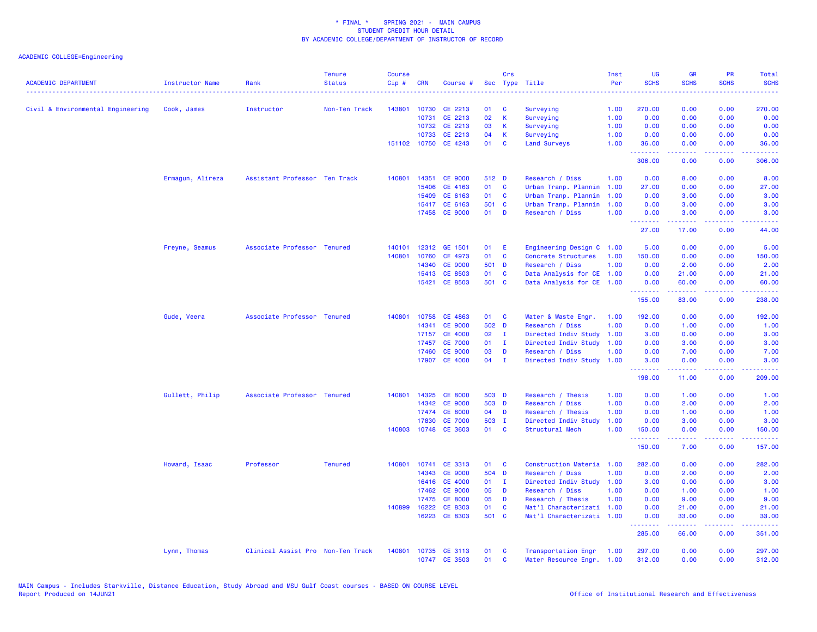| 143801<br>0.00<br>Civil & Environmental Engineering<br>Cook, James<br>Instructor<br>Non-Ten Track<br>10730 CE 2213<br>01<br>C<br>Surveying<br>1.00<br>270.00<br>0.00<br>CE 2213<br>02<br>K<br>0.00<br>10731<br>Surveying<br>1.00<br>0.00<br>0.00<br>10732 CE 2213<br>03<br>K<br>Surveying<br>1.00<br>0.00<br>0.00<br>0.00<br>CE 2213<br>04<br>1.00<br>0.00<br>0.00<br>10733<br>К<br>Surveying<br>0.00<br>151102 10750 CE 4243<br>01<br>C<br><b>Land Surveys</b><br>1.00<br>36.00<br>0.00<br>0.00<br>.<br>22222<br>.<br>306.00<br>0.00<br>0.00<br>14351<br><b>CE 9000</b><br>512 D<br>8.00<br>0.00<br>Ermagun, Alireza<br>Assistant Professor Ten Track<br>140801<br>Research / Diss<br>1.00<br>0.00<br>15406<br>CE 4163<br>01<br><b>C</b><br>Urban Tranp. Plannin<br>27.00<br>0.00<br>1.00<br>0.00<br>15409<br>CE 6163<br>01<br>Urban Tranp. Plannin<br>1.00<br>0.00<br>0.00<br><b>C</b><br>3.00<br>15417 CE 6163<br>501 C<br>Urban Tranp. Plannin<br>1.00<br>0.00<br>3.00<br>0.00<br><b>CE 9000</b><br>17458<br>01<br><b>D</b><br>Research / Diss<br>1.00<br>0.00<br>3.00<br>0.00<br>.<br>22222<br>المتحدث<br>27.00<br>17.00<br>0.00<br>Freyne, Seamus<br>Associate Professor Tenured<br>140101<br>12312 GE 1501<br>01<br>E<br>Engineering Design C 1.00<br>5.00<br>0.00<br>0.00<br>140801<br>CE 4973<br>01<br><b>C</b><br>Concrete Structures<br>150.00<br>0.00<br>10760<br>1.00<br>0.00<br>501 D<br>0.00<br>14340<br><b>CE 9000</b><br>Research / Diss<br>1.00<br>0.00<br>2.00<br>15413 CE 8503<br>Data Analysis for CE 1.00<br>01<br>C<br>0.00<br>21.00<br>0.00<br>501 C<br>15421 CE 8503<br>Data Analysis for CE 1.00<br>0.00<br>60.00<br>0.00 | Total<br><b>SCHS</b><br>. |
|-----------------------------------------------------------------------------------------------------------------------------------------------------------------------------------------------------------------------------------------------------------------------------------------------------------------------------------------------------------------------------------------------------------------------------------------------------------------------------------------------------------------------------------------------------------------------------------------------------------------------------------------------------------------------------------------------------------------------------------------------------------------------------------------------------------------------------------------------------------------------------------------------------------------------------------------------------------------------------------------------------------------------------------------------------------------------------------------------------------------------------------------------------------------------------------------------------------------------------------------------------------------------------------------------------------------------------------------------------------------------------------------------------------------------------------------------------------------------------------------------------------------------------------------------------------------------------------------------------------------------------------------------------|---------------------------|
|                                                                                                                                                                                                                                                                                                                                                                                                                                                                                                                                                                                                                                                                                                                                                                                                                                                                                                                                                                                                                                                                                                                                                                                                                                                                                                                                                                                                                                                                                                                                                                                                                                                     | 270.00                    |
|                                                                                                                                                                                                                                                                                                                                                                                                                                                                                                                                                                                                                                                                                                                                                                                                                                                                                                                                                                                                                                                                                                                                                                                                                                                                                                                                                                                                                                                                                                                                                                                                                                                     | 0.00                      |
|                                                                                                                                                                                                                                                                                                                                                                                                                                                                                                                                                                                                                                                                                                                                                                                                                                                                                                                                                                                                                                                                                                                                                                                                                                                                                                                                                                                                                                                                                                                                                                                                                                                     | 0.00                      |
|                                                                                                                                                                                                                                                                                                                                                                                                                                                                                                                                                                                                                                                                                                                                                                                                                                                                                                                                                                                                                                                                                                                                                                                                                                                                                                                                                                                                                                                                                                                                                                                                                                                     | 0.00                      |
|                                                                                                                                                                                                                                                                                                                                                                                                                                                                                                                                                                                                                                                                                                                                                                                                                                                                                                                                                                                                                                                                                                                                                                                                                                                                                                                                                                                                                                                                                                                                                                                                                                                     | 36.00<br>.                |
|                                                                                                                                                                                                                                                                                                                                                                                                                                                                                                                                                                                                                                                                                                                                                                                                                                                                                                                                                                                                                                                                                                                                                                                                                                                                                                                                                                                                                                                                                                                                                                                                                                                     | 306.00                    |
|                                                                                                                                                                                                                                                                                                                                                                                                                                                                                                                                                                                                                                                                                                                                                                                                                                                                                                                                                                                                                                                                                                                                                                                                                                                                                                                                                                                                                                                                                                                                                                                                                                                     | 8.00                      |
|                                                                                                                                                                                                                                                                                                                                                                                                                                                                                                                                                                                                                                                                                                                                                                                                                                                                                                                                                                                                                                                                                                                                                                                                                                                                                                                                                                                                                                                                                                                                                                                                                                                     | 27.00                     |
|                                                                                                                                                                                                                                                                                                                                                                                                                                                                                                                                                                                                                                                                                                                                                                                                                                                                                                                                                                                                                                                                                                                                                                                                                                                                                                                                                                                                                                                                                                                                                                                                                                                     | 3.00                      |
|                                                                                                                                                                                                                                                                                                                                                                                                                                                                                                                                                                                                                                                                                                                                                                                                                                                                                                                                                                                                                                                                                                                                                                                                                                                                                                                                                                                                                                                                                                                                                                                                                                                     | 3.00                      |
|                                                                                                                                                                                                                                                                                                                                                                                                                                                                                                                                                                                                                                                                                                                                                                                                                                                                                                                                                                                                                                                                                                                                                                                                                                                                                                                                                                                                                                                                                                                                                                                                                                                     | 3.00<br>. د د د د         |
|                                                                                                                                                                                                                                                                                                                                                                                                                                                                                                                                                                                                                                                                                                                                                                                                                                                                                                                                                                                                                                                                                                                                                                                                                                                                                                                                                                                                                                                                                                                                                                                                                                                     | 44.00                     |
|                                                                                                                                                                                                                                                                                                                                                                                                                                                                                                                                                                                                                                                                                                                                                                                                                                                                                                                                                                                                                                                                                                                                                                                                                                                                                                                                                                                                                                                                                                                                                                                                                                                     | 5.00                      |
|                                                                                                                                                                                                                                                                                                                                                                                                                                                                                                                                                                                                                                                                                                                                                                                                                                                                                                                                                                                                                                                                                                                                                                                                                                                                                                                                                                                                                                                                                                                                                                                                                                                     | 150.00                    |
|                                                                                                                                                                                                                                                                                                                                                                                                                                                                                                                                                                                                                                                                                                                                                                                                                                                                                                                                                                                                                                                                                                                                                                                                                                                                                                                                                                                                                                                                                                                                                                                                                                                     | 2.00                      |
|                                                                                                                                                                                                                                                                                                                                                                                                                                                                                                                                                                                                                                                                                                                                                                                                                                                                                                                                                                                                                                                                                                                                                                                                                                                                                                                                                                                                                                                                                                                                                                                                                                                     | 21.00                     |
| .<br>.<br>.                                                                                                                                                                                                                                                                                                                                                                                                                                                                                                                                                                                                                                                                                                                                                                                                                                                                                                                                                                                                                                                                                                                                                                                                                                                                                                                                                                                                                                                                                                                                                                                                                                         | 60.00<br>والمتحدث للمنابذ |
| 155.00<br>83.00<br>0.00                                                                                                                                                                                                                                                                                                                                                                                                                                                                                                                                                                                                                                                                                                                                                                                                                                                                                                                                                                                                                                                                                                                                                                                                                                                                                                                                                                                                                                                                                                                                                                                                                             | 238.00                    |
| Gude, Veera<br>Associate Professor Tenured<br>140801<br>10758 CE 4863<br>01<br><b>C</b><br>Water & Waste Engr.<br>1.00<br>192.00<br>0.00<br>0.00                                                                                                                                                                                                                                                                                                                                                                                                                                                                                                                                                                                                                                                                                                                                                                                                                                                                                                                                                                                                                                                                                                                                                                                                                                                                                                                                                                                                                                                                                                    | 192.00                    |
| 14341<br><b>CE 9000</b><br>502 D<br>Research / Diss<br>1.00<br>0.00<br>1.00<br>0.00                                                                                                                                                                                                                                                                                                                                                                                                                                                                                                                                                                                                                                                                                                                                                                                                                                                                                                                                                                                                                                                                                                                                                                                                                                                                                                                                                                                                                                                                                                                                                                 | 1.00                      |
| <b>CE 4000</b><br>02<br>Directed Indiv Study<br>3.00<br>0.00<br>17157<br>$\blacksquare$<br>1.00<br>0.00                                                                                                                                                                                                                                                                                                                                                                                                                                                                                                                                                                                                                                                                                                                                                                                                                                                                                                                                                                                                                                                                                                                                                                                                                                                                                                                                                                                                                                                                                                                                             | 3.00                      |
| <b>CE 7000</b><br>Directed Indiv Study<br>0.00<br>0.00<br>17457<br>01<br>$\mathbf{I}$<br>1.00<br>3.00                                                                                                                                                                                                                                                                                                                                                                                                                                                                                                                                                                                                                                                                                                                                                                                                                                                                                                                                                                                                                                                                                                                                                                                                                                                                                                                                                                                                                                                                                                                                               | 3.00                      |
| <b>CE 9000</b><br>03<br>17460<br>D<br>Research / Diss<br>1.00<br>0.00<br>7.00<br>0.00                                                                                                                                                                                                                                                                                                                                                                                                                                                                                                                                                                                                                                                                                                                                                                                                                                                                                                                                                                                                                                                                                                                                                                                                                                                                                                                                                                                                                                                                                                                                                               | 7.00                      |
| 17907 CE 4000<br>04<br>$\mathbf{I}$<br>Directed Indiv Study<br>1.00<br>3.00<br>0.00<br>0.00<br>.<br>$\frac{1}{2} \left( \frac{1}{2} \right) \left( \frac{1}{2} \right) \left( \frac{1}{2} \right) \left( \frac{1}{2} \right)$                                                                                                                                                                                                                                                                                                                                                                                                                                                                                                                                                                                                                                                                                                                                                                                                                                                                                                                                                                                                                                                                                                                                                                                                                                                                                                                                                                                                                       | 3.00<br>.                 |
| 198.00<br>11.00<br>0.00                                                                                                                                                                                                                                                                                                                                                                                                                                                                                                                                                                                                                                                                                                                                                                                                                                                                                                                                                                                                                                                                                                                                                                                                                                                                                                                                                                                                                                                                                                                                                                                                                             | 209.00                    |
| Gullett, Philip<br>Associate Professor Tenured<br>140801<br>14325<br><b>CE 8000</b><br>503 D<br>Research / Thesis<br>1.00<br>0.00<br>1.00<br>0.00                                                                                                                                                                                                                                                                                                                                                                                                                                                                                                                                                                                                                                                                                                                                                                                                                                                                                                                                                                                                                                                                                                                                                                                                                                                                                                                                                                                                                                                                                                   | 1.00                      |
| 14342 CE 9000<br>503 D<br>Research / Diss<br>1.00<br>0.00<br>0.00<br>2.00                                                                                                                                                                                                                                                                                                                                                                                                                                                                                                                                                                                                                                                                                                                                                                                                                                                                                                                                                                                                                                                                                                                                                                                                                                                                                                                                                                                                                                                                                                                                                                           | 2.00                      |
| 17474<br><b>CE 8000</b><br>04<br>D<br>Research / Thesis<br>1.00<br>0.00<br>0.00<br>1.00                                                                                                                                                                                                                                                                                                                                                                                                                                                                                                                                                                                                                                                                                                                                                                                                                                                                                                                                                                                                                                                                                                                                                                                                                                                                                                                                                                                                                                                                                                                                                             | 1.00                      |
| <b>CE 7000</b><br>503 I<br>1.00<br>0.00<br>17830<br>Directed Indiv Study<br>0.00<br>3.00                                                                                                                                                                                                                                                                                                                                                                                                                                                                                                                                                                                                                                                                                                                                                                                                                                                                                                                                                                                                                                                                                                                                                                                                                                                                                                                                                                                                                                                                                                                                                            | 3.00                      |
| 140803 10748 CE 3603<br>01 C<br>Structural Mech<br>1.00<br>0.00<br>150.00<br>0.00<br><u>.</u><br>.<br><b></b>                                                                                                                                                                                                                                                                                                                                                                                                                                                                                                                                                                                                                                                                                                                                                                                                                                                                                                                                                                                                                                                                                                                                                                                                                                                                                                                                                                                                                                                                                                                                       | 150.00<br>.               |
| 150.00<br>7.00<br>0.00                                                                                                                                                                                                                                                                                                                                                                                                                                                                                                                                                                                                                                                                                                                                                                                                                                                                                                                                                                                                                                                                                                                                                                                                                                                                                                                                                                                                                                                                                                                                                                                                                              | 157.00                    |
| Howard, Isaac<br>Professor<br><b>Tenured</b><br>140801<br>10741<br>CE 3313<br>Construction Materia 1.00<br>0.00<br>0.00<br>01<br><b>C</b><br>282.00                                                                                                                                                                                                                                                                                                                                                                                                                                                                                                                                                                                                                                                                                                                                                                                                                                                                                                                                                                                                                                                                                                                                                                                                                                                                                                                                                                                                                                                                                                 | 282.00                    |
| 14343<br><b>CE 9000</b><br>504 D<br>Research / Diss<br>1.00<br>0.00<br>2.00<br>0.00                                                                                                                                                                                                                                                                                                                                                                                                                                                                                                                                                                                                                                                                                                                                                                                                                                                                                                                                                                                                                                                                                                                                                                                                                                                                                                                                                                                                                                                                                                                                                                 | 2.00                      |
| <b>CE 4000</b><br>16416<br>01<br>$\mathbf{I}$<br>Directed Indiv Study 1.00<br>3.00<br>0.00<br>0.00                                                                                                                                                                                                                                                                                                                                                                                                                                                                                                                                                                                                                                                                                                                                                                                                                                                                                                                                                                                                                                                                                                                                                                                                                                                                                                                                                                                                                                                                                                                                                  | 3.00                      |
| 17462<br><b>CE 9000</b><br>05<br>D<br>Research / Diss<br>1.00<br>0.00<br>1.00<br>0.00                                                                                                                                                                                                                                                                                                                                                                                                                                                                                                                                                                                                                                                                                                                                                                                                                                                                                                                                                                                                                                                                                                                                                                                                                                                                                                                                                                                                                                                                                                                                                               | 1.00                      |
| <b>CE 8000</b><br>17475<br>05<br>D<br>Research / Thesis<br>1.00<br>0.00<br>9.00<br>0.00                                                                                                                                                                                                                                                                                                                                                                                                                                                                                                                                                                                                                                                                                                                                                                                                                                                                                                                                                                                                                                                                                                                                                                                                                                                                                                                                                                                                                                                                                                                                                             | 9.00                      |
| 16222<br>CE 8303<br>01<br>C<br>1.00<br>0.00<br>140899<br>Mat'l Characterizati<br>0.00<br>21.00                                                                                                                                                                                                                                                                                                                                                                                                                                                                                                                                                                                                                                                                                                                                                                                                                                                                                                                                                                                                                                                                                                                                                                                                                                                                                                                                                                                                                                                                                                                                                      | 21.00                     |
| 16223 CE 8303<br>501 C<br>Mat'l Characterizati 1.00<br>0.00<br>33.00<br>0.00<br>المتمامين<br>.<br>.                                                                                                                                                                                                                                                                                                                                                                                                                                                                                                                                                                                                                                                                                                                                                                                                                                                                                                                                                                                                                                                                                                                                                                                                                                                                                                                                                                                                                                                                                                                                                 | 33.00<br>المتمام ماما     |
| 285.00<br>66.00<br>0.00                                                                                                                                                                                                                                                                                                                                                                                                                                                                                                                                                                                                                                                                                                                                                                                                                                                                                                                                                                                                                                                                                                                                                                                                                                                                                                                                                                                                                                                                                                                                                                                                                             | 351.00                    |
| Lynn, Thomas<br>Clinical Assist Pro Non-Ten Track<br>140801<br>10735 CE 3113<br>01<br>Transportation Engr<br>297.00<br>0.00<br>0.00<br><b>C</b><br>1.00<br>10747 CE 3503<br>01<br>C<br>Water Resource Engr. 1.00<br>312.00<br>0.00<br>0.00                                                                                                                                                                                                                                                                                                                                                                                                                                                                                                                                                                                                                                                                                                                                                                                                                                                                                                                                                                                                                                                                                                                                                                                                                                                                                                                                                                                                          | 297.00<br>312.00          |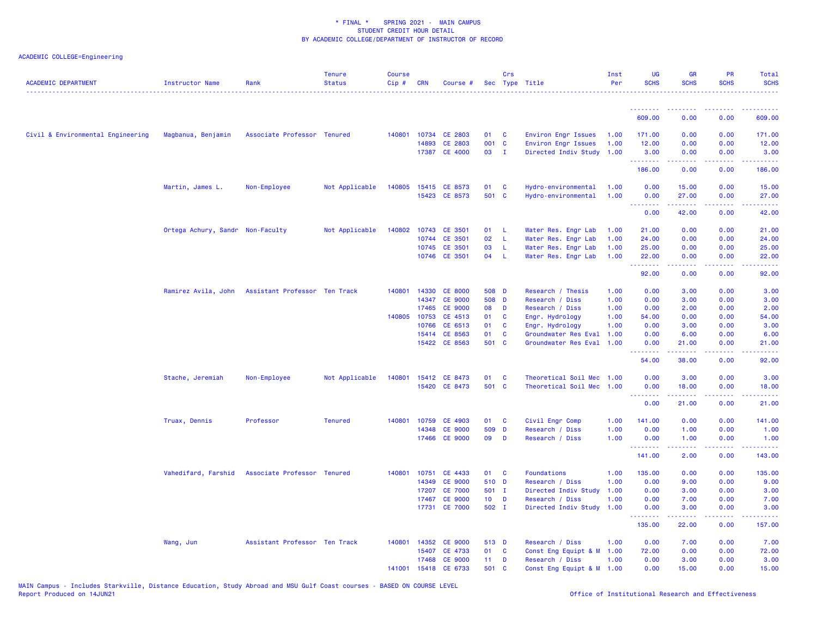| <b>ACADEMIC DEPARTMENT</b>        | <b>Instructor Name</b>           | Rank                          | <b>Tenure</b><br><b>Status</b><br>. <b>.</b> . | <b>Course</b><br>Cip# | <b>CRN</b>   | Course #             |                 | Crs          | Sec Type Title            | Inst<br>Per | <b>UG</b><br><b>SCHS</b>                                                                                                                                                                                                                                                                                                                                                                                                                                                                       | <b>GR</b><br><b>SCHS</b>                                                                                                                                      | <b>PR</b><br><b>SCHS</b> | Total<br><b>SCHS</b><br>.                                                                                                                                    |
|-----------------------------------|----------------------------------|-------------------------------|------------------------------------------------|-----------------------|--------------|----------------------|-----------------|--------------|---------------------------|-------------|------------------------------------------------------------------------------------------------------------------------------------------------------------------------------------------------------------------------------------------------------------------------------------------------------------------------------------------------------------------------------------------------------------------------------------------------------------------------------------------------|---------------------------------------------------------------------------------------------------------------------------------------------------------------|--------------------------|--------------------------------------------------------------------------------------------------------------------------------------------------------------|
|                                   |                                  |                               |                                                |                       |              |                      |                 |              |                           |             | .                                                                                                                                                                                                                                                                                                                                                                                                                                                                                              | ---------                                                                                                                                                     | <u>.</u>                 | . <u>.</u> .                                                                                                                                                 |
|                                   |                                  |                               |                                                |                       |              |                      |                 |              |                           |             | 609.00                                                                                                                                                                                                                                                                                                                                                                                                                                                                                         | 0.00                                                                                                                                                          | 0.00                     | 609.00                                                                                                                                                       |
| Civil & Environmental Engineering | Magbanua, Benjamin               | Associate Professor Tenured   |                                                | 140801                |              | 10734 CE 2803        | 01              | C            | Environ Engr Issues       | 1.00        | 171.00                                                                                                                                                                                                                                                                                                                                                                                                                                                                                         | 0.00                                                                                                                                                          | 0.00                     | 171.00                                                                                                                                                       |
|                                   |                                  |                               |                                                |                       | 14893        | CE 2803              | 001 C           |              | Environ Engr Issues       | 1.00        | 12.00                                                                                                                                                                                                                                                                                                                                                                                                                                                                                          | 0.00                                                                                                                                                          | 0.00                     | 12.00                                                                                                                                                        |
|                                   |                                  |                               |                                                |                       |              | 17387 CE 4000        | 03 I            |              | Directed Indiv Study 1.00 |             | 3.00<br>$\begin{array}{cccccccccccccc} \multicolumn{2}{c}{} & \multicolumn{2}{c}{} & \multicolumn{2}{c}{} & \multicolumn{2}{c}{} & \multicolumn{2}{c}{} & \multicolumn{2}{c}{} & \multicolumn{2}{c}{} & \multicolumn{2}{c}{} & \multicolumn{2}{c}{} & \multicolumn{2}{c}{} & \multicolumn{2}{c}{} & \multicolumn{2}{c}{} & \multicolumn{2}{c}{} & \multicolumn{2}{c}{} & \multicolumn{2}{c}{} & \multicolumn{2}{c}{} & \multicolumn{2}{c}{} & \multicolumn{2}{c}{} & \multicolumn{2}{c}{} & \$ | 0.00<br>.                                                                                                                                                     | 0.00<br>22222            | 3.00<br>$\frac{1}{2} \left( \frac{1}{2} \right) \left( \frac{1}{2} \right) \left( \frac{1}{2} \right) \left( \frac{1}{2} \right) \left( \frac{1}{2} \right)$ |
|                                   |                                  |                               |                                                |                       |              |                      |                 |              |                           |             | 186.00                                                                                                                                                                                                                                                                                                                                                                                                                                                                                         | 0.00                                                                                                                                                          | 0.00                     | 186.00                                                                                                                                                       |
|                                   | Martin, James L.                 | Non-Employee                  | Not Applicable                                 |                       |              | 140805 15415 CE 8573 | 01              | C            | Hydro-environmental       | 1.00        | 0.00                                                                                                                                                                                                                                                                                                                                                                                                                                                                                           | 15.00                                                                                                                                                         | 0.00                     | 15.00                                                                                                                                                        |
|                                   |                                  |                               |                                                |                       |              | 15423 CE 8573        | 501 C           |              | Hydro-environmental       | 1.00        | 0.00                                                                                                                                                                                                                                                                                                                                                                                                                                                                                           | 27.00                                                                                                                                                         | 0.00                     | 27.00                                                                                                                                                        |
|                                   |                                  |                               |                                                |                       |              |                      |                 |              |                           |             | .<br>0.00                                                                                                                                                                                                                                                                                                                                                                                                                                                                                      | د د د د د<br>42.00                                                                                                                                            | .<br>0.00                | .<br>42.00                                                                                                                                                   |
|                                   | Ortega Achury, Sandr Non-Faculty |                               | Not Applicable                                 | 140802                |              | 10743 CE 3501        | 01 L            |              | Water Res. Engr Lab       | 1.00        | 21.00                                                                                                                                                                                                                                                                                                                                                                                                                                                                                          | 0.00                                                                                                                                                          | 0.00                     | 21.00                                                                                                                                                        |
|                                   |                                  |                               |                                                |                       |              | 10744 CE 3501        | 02              | - L          | Water Res. Engr Lab       | 1.00        | 24.00                                                                                                                                                                                                                                                                                                                                                                                                                                                                                          | 0.00                                                                                                                                                          | 0.00                     | 24.00                                                                                                                                                        |
|                                   |                                  |                               |                                                |                       |              | 10745 CE 3501        | 03              | - L          | Water Res. Engr Lab       | 1.00        | 25.00                                                                                                                                                                                                                                                                                                                                                                                                                                                                                          | 0.00                                                                                                                                                          | 0.00                     | 25.00                                                                                                                                                        |
|                                   |                                  |                               |                                                |                       |              | 10746 CE 3501        | 04              | $\mathsf{L}$ | Water Res. Engr Lab       | 1.00        | 22.00<br>.                                                                                                                                                                                                                                                                                                                                                                                                                                                                                     | 0.00<br>.                                                                                                                                                     | 0.00<br>د د د د .        | 22.00<br>.                                                                                                                                                   |
|                                   |                                  |                               |                                                |                       |              |                      |                 |              |                           |             | 92.00                                                                                                                                                                                                                                                                                                                                                                                                                                                                                          | 0.00                                                                                                                                                          | 0.00                     | 92.00                                                                                                                                                        |
|                                   | Ramirez Avila, John              | Assistant Professor Ten Track |                                                |                       | 140801 14330 | <b>CE 8000</b>       | 508 D           |              | Research / Thesis         | 1.00        | 0.00                                                                                                                                                                                                                                                                                                                                                                                                                                                                                           | 3.00                                                                                                                                                          | 0.00                     | 3.00                                                                                                                                                         |
|                                   |                                  |                               |                                                |                       | 14347        | <b>CE 9000</b>       | 508 D           |              | Research / Diss           | 1.00        | 0.00                                                                                                                                                                                                                                                                                                                                                                                                                                                                                           | 3.00                                                                                                                                                          | 0.00                     | 3.00                                                                                                                                                         |
|                                   |                                  |                               |                                                |                       | 17465        | <b>CE 9000</b>       | 08              | D            | Research / Diss           | 1.00        | 0.00                                                                                                                                                                                                                                                                                                                                                                                                                                                                                           | 2.00                                                                                                                                                          | 0.00                     | 2.00                                                                                                                                                         |
|                                   |                                  |                               |                                                |                       | 140805 10753 | CE 4513              | 01              | $\mathbf{C}$ | Engr. Hydrology           | 1.00        | 54.00                                                                                                                                                                                                                                                                                                                                                                                                                                                                                          | 0.00                                                                                                                                                          | 0.00                     | 54.00                                                                                                                                                        |
|                                   |                                  |                               |                                                |                       | 10766        | CE 6513              | 01              | C            | Engr. Hydrology           | 1.00        | 0.00                                                                                                                                                                                                                                                                                                                                                                                                                                                                                           | 3.00                                                                                                                                                          | 0.00                     | 3.00                                                                                                                                                         |
|                                   |                                  |                               |                                                |                       |              | 15414 CE 8563        | 01              | <b>C</b>     | Groundwater Res Eval      | 1.00        | 0.00                                                                                                                                                                                                                                                                                                                                                                                                                                                                                           | 6.00                                                                                                                                                          | 0.00                     | 6.00                                                                                                                                                         |
|                                   |                                  |                               |                                                |                       |              | 15422 CE 8563        | 501 C           |              | Groundwater Res Eval      | 1.00        | 0.00<br>.                                                                                                                                                                                                                                                                                                                                                                                                                                                                                      | 21.00<br>$\frac{1}{2} \left( \frac{1}{2} \right) \left( \frac{1}{2} \right) \left( \frac{1}{2} \right) \left( \frac{1}{2} \right) \left( \frac{1}{2} \right)$ | 0.00<br>بالأباب          | 21.00<br>المتمامين                                                                                                                                           |
|                                   |                                  |                               |                                                |                       |              |                      |                 |              |                           |             | 54.00                                                                                                                                                                                                                                                                                                                                                                                                                                                                                          | 38.00                                                                                                                                                         | 0.00                     | 92.00                                                                                                                                                        |
|                                   | Stache, Jeremiah                 | Non-Employee                  | Not Applicable                                 | 140801                |              | 15412 CE 8473        | 01              | <b>C</b>     | Theoretical Soil Mec 1.00 |             | 0.00                                                                                                                                                                                                                                                                                                                                                                                                                                                                                           | 3.00                                                                                                                                                          | 0.00                     | 3.00                                                                                                                                                         |
|                                   |                                  |                               |                                                |                       |              | 15420 CE 8473        | 501 C           |              | Theoretical Soil Mec 1.00 |             | 0.00<br>.                                                                                                                                                                                                                                                                                                                                                                                                                                                                                      | 18.00<br>.                                                                                                                                                    | 0.00<br>.                | 18.00<br>.                                                                                                                                                   |
|                                   |                                  |                               |                                                |                       |              |                      |                 |              |                           |             | 0.00                                                                                                                                                                                                                                                                                                                                                                                                                                                                                           | 21.00                                                                                                                                                         | 0.00                     | 21.00                                                                                                                                                        |
|                                   | Truax, Dennis                    | Professor                     | <b>Tenured</b>                                 | 140801                | 10759        | CE 4903              | 01              | $\mathbf{C}$ | Civil Engr Comp           | 1.00        | 141.00                                                                                                                                                                                                                                                                                                                                                                                                                                                                                         | 0.00                                                                                                                                                          | 0.00                     | 141.00                                                                                                                                                       |
|                                   |                                  |                               |                                                |                       | 14348        | <b>CE 9000</b>       | 509 D           |              | Research / Diss           | 1.00        | 0.00                                                                                                                                                                                                                                                                                                                                                                                                                                                                                           | 1.00                                                                                                                                                          | 0.00                     | 1.00                                                                                                                                                         |
|                                   |                                  |                               |                                                |                       |              | 17466 CE 9000        | 09              | <b>D</b>     | Research / Diss           | 1.00        | 0.00                                                                                                                                                                                                                                                                                                                                                                                                                                                                                           | 1.00<br>.                                                                                                                                                     | 0.00<br>.                | 1.00                                                                                                                                                         |
|                                   |                                  |                               |                                                |                       |              |                      |                 |              |                           |             | .<br>141.00                                                                                                                                                                                                                                                                                                                                                                                                                                                                                    | 2.00                                                                                                                                                          | 0.00                     | .<br>143.00                                                                                                                                                  |
|                                   | Vahedifard, Farshid              | Associate Professor Tenured   |                                                | 140801                | 10751        | CE 4433              | 01              | C            | Foundations               | 1.00        | 135.00                                                                                                                                                                                                                                                                                                                                                                                                                                                                                         | 0.00                                                                                                                                                          | 0.00                     | 135.00                                                                                                                                                       |
|                                   |                                  |                               |                                                |                       | 14349        | <b>CE 9000</b>       | 510 D           |              | Research / Diss           | 1.00        | 0.00                                                                                                                                                                                                                                                                                                                                                                                                                                                                                           | 9.00                                                                                                                                                          | 0.00                     | 9.00                                                                                                                                                         |
|                                   |                                  |                               |                                                |                       | 17207        | <b>CE 7000</b>       | 501 I           |              | Directed Indiv Study      | 1.00        | 0.00                                                                                                                                                                                                                                                                                                                                                                                                                                                                                           | 3.00                                                                                                                                                          | 0.00                     | 3.00                                                                                                                                                         |
|                                   |                                  |                               |                                                |                       | 17467        | <b>CE 9000</b>       | $10$ D          |              | Research / Diss           | 1.00        | 0.00                                                                                                                                                                                                                                                                                                                                                                                                                                                                                           | 7.00                                                                                                                                                          | 0.00                     | 7.00                                                                                                                                                         |
|                                   |                                  |                               |                                                |                       |              | 17731 CE 7000        | 502 I           |              | Directed Indiv Study 1.00 |             | 0.00<br>.                                                                                                                                                                                                                                                                                                                                                                                                                                                                                      | 3.00<br>$- - - - -$                                                                                                                                           | 0.00<br>.                | 3.00<br>.                                                                                                                                                    |
|                                   |                                  |                               |                                                |                       |              |                      |                 |              |                           |             | 135.00                                                                                                                                                                                                                                                                                                                                                                                                                                                                                         | 22.00                                                                                                                                                         | 0.00                     | 157.00                                                                                                                                                       |
|                                   | Wang, Jun                        | Assistant Professor Ten Track |                                                |                       |              | 140801 14352 CE 9000 | 513 D           |              | Research / Diss           | 1.00        | 0.00                                                                                                                                                                                                                                                                                                                                                                                                                                                                                           | 7.00                                                                                                                                                          | 0.00                     | 7.00                                                                                                                                                         |
|                                   |                                  |                               |                                                |                       | 15407        | CE 4733              | 01              | C            | Const Eng Equipt & M      | 1.00        | 72.00                                                                                                                                                                                                                                                                                                                                                                                                                                                                                          | 0.00                                                                                                                                                          | 0.00                     | 72.00                                                                                                                                                        |
|                                   |                                  |                               |                                                |                       |              | 17468 CE 9000        | 11 <sub>1</sub> | <b>D</b>     | Research / Diss           | 1.00        | 0.00                                                                                                                                                                                                                                                                                                                                                                                                                                                                                           | 3.00                                                                                                                                                          | 0.00                     | 3.00                                                                                                                                                         |
|                                   |                                  |                               |                                                | 141001                |              | 15418 CE 6733        | 501             | <b>C</b>     | Const Eng Equipt & M 1.00 |             | 0.00                                                                                                                                                                                                                                                                                                                                                                                                                                                                                           | 15.00                                                                                                                                                         | 0.00                     | 15.00                                                                                                                                                        |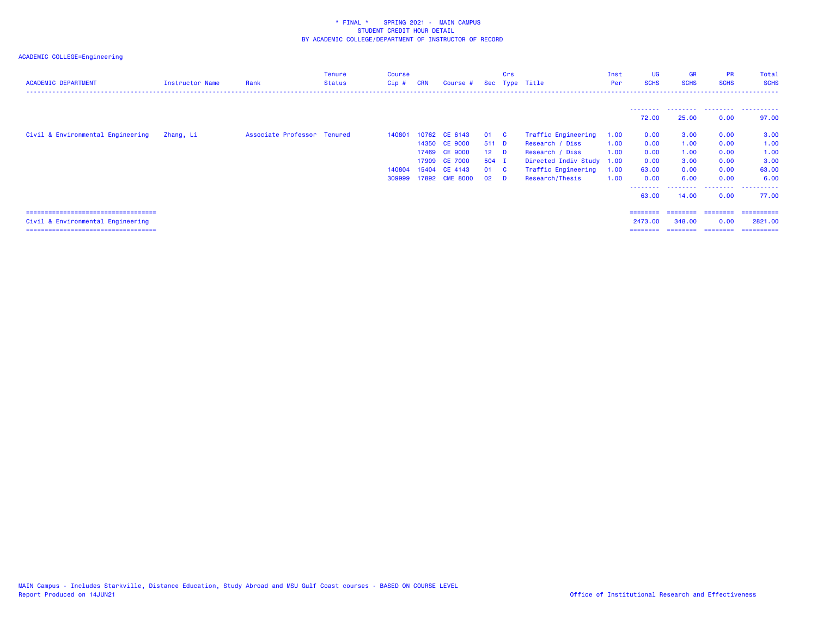| <b>ACADEMIC DEPARTMENT</b>             | Instructor Name | Rank                        | Tenure<br><b>Status</b> | Course<br>$Cip$ # | <b>CRN</b> | Course #       |                 | Crs          | Sec Type Title       | Inst<br>Per | UG<br><b>SCHS</b> | <b>GR</b><br><b>SCHS</b> | <b>PR</b><br><b>SCHS</b> | Total<br><b>SCHS</b> |
|----------------------------------------|-----------------|-----------------------------|-------------------------|-------------------|------------|----------------|-----------------|--------------|----------------------|-------------|-------------------|--------------------------|--------------------------|----------------------|
|                                        |                 |                             |                         |                   |            |                |                 |              |                      |             |                   |                          |                          |                      |
|                                        |                 |                             |                         |                   |            |                |                 |              |                      |             | --------<br>72.00 | 25.00                    | 0.00                     | 97.00                |
| Civil & Environmental Engineering      | Zhang, Li       | Associate Professor Tenured |                         | 140801            |            | 10762 CE 6143  | 01.             | $\mathbf{C}$ | Traffic Engineering  | 1.00        | 0.00              | 3.00                     | 0.00                     | 3.00                 |
|                                        |                 |                             |                         |                   |            | 14350 CE 9000  | 511 D           |              | Research / Diss      | 1.00        | 0.00              | 1.00                     | 0.00                     | 1.00                 |
|                                        |                 |                             |                         |                   |            | 17469 CE 9000  | 12 <sup>7</sup> | - D          | Research / Diss      | 1.00        | 0.00              | 1.00                     | 0.00                     | 1.00                 |
|                                        |                 |                             |                         |                   |            | 17909 CE 7000  | 504 I           |              | Directed Indiv Study | 1.00        | 0.00              | 3.00                     | 0.00                     | 3.00                 |
|                                        |                 |                             |                         | 140804            |            | 15404 CE 4143  | 01              | <b>C</b>     | Traffic Engineering  | 1.00        | 63.00             | 0.00                     | 0.00                     | 63.00                |
|                                        |                 |                             |                         | 309999            |            | 17892 CME 8000 | 02              | - D          | Research/Thesis      | 1.00        | 0.00              | 6.00                     | 0.00                     | 6.00                 |
|                                        |                 |                             |                         |                   |            |                |                 |              |                      |             | --------<br>63.00 | 14,00                    | .<br>0.00                | .<br>77.00           |
| ====================================== |                 |                             |                         |                   |            |                |                 |              |                      |             | ========          | ========                 | ========                 | ==========           |
| Civil & Environmental Engineering      |                 |                             |                         |                   |            |                |                 |              |                      |             | 2473.00           | 348,00                   | 0.00                     | 2821,00              |
| ====================================== |                 |                             |                         |                   |            |                |                 |              |                      |             | ========          | ========                 | ---------                | =========            |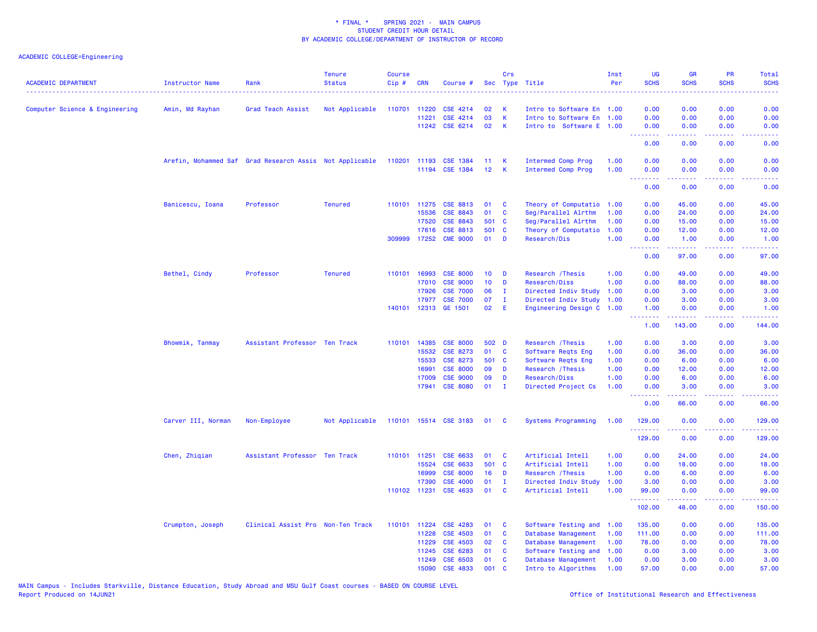| <b>ACADEMIC DEPARTMENT</b>     | <b>Instructor Name</b>                                  | Rank                              | <b>Tenure</b><br><b>Status</b> | <b>Course</b><br>Cip# | <b>CRN</b>   | Course #                   |                 | Crs          | Sec Type Title            | Inst<br>Per | <b>UG</b><br><b>SCHS</b><br>المتمامين | <b>GR</b><br><b>SCHS</b> | <b>PR</b><br><b>SCHS</b>            | Total<br><b>SCHS</b><br>2222) |
|--------------------------------|---------------------------------------------------------|-----------------------------------|--------------------------------|-----------------------|--------------|----------------------------|-----------------|--------------|---------------------------|-------------|---------------------------------------|--------------------------|-------------------------------------|-------------------------------|
| Computer Science & Engineering | Amin, Md Rayhan                                         | Grad Teach Assist                 | Not Applicable                 | 110701 11220          |              | CSE 4214                   | 02              | К            | Intro to Software En 1.00 |             | 0.00                                  | 0.00                     | 0.00                                | 0.00                          |
|                                |                                                         |                                   |                                |                       | 11221        | CSE 4214                   | 03              | K            | Intro to Software En 1.00 |             | 0.00                                  | 0.00                     | 0.00                                | 0.00                          |
|                                |                                                         |                                   |                                |                       |              | 11242 CSE 6214             | 02              | K            | Intro to Software E 1.00  |             | 0.00                                  | 0.00                     | 0.00                                | 0.00                          |
|                                |                                                         |                                   |                                |                       |              |                            |                 |              |                           |             | .<br>0.00                             | بالأباب<br>0.00          | $\sim$ $\sim$ $\sim$ $\sim$<br>0.00 | .<br>0.00                     |
|                                | Arefin, Mohammed Saf Grad Research Assis Not Applicable |                                   |                                | 110201 11193          |              | <b>CSE 1384</b>            | 11              | K            | Intermed Comp Prog        | 1.00        | 0.00                                  | 0.00                     | 0.00                                | 0.00                          |
|                                |                                                         |                                   |                                |                       | 11194        | <b>CSE 1384</b>            | 12 <sub>2</sub> | K            | Intermed Comp Prog        | 1.00        | 0.00<br>.                             | 0.00                     | 0.00                                | 0.00                          |
|                                |                                                         |                                   |                                |                       |              |                            |                 |              |                           |             | 0.00                                  | 0.00                     | 0.00                                | 0.00                          |
|                                | Banicescu, Ioana                                        | Professor                         | <b>Tenured</b>                 |                       | 110101 11275 | CSE 8813                   | 01              | C            | Theory of Computatio      | 1.00        | 0.00                                  | 45.00                    | 0.00                                | 45.00                         |
|                                |                                                         |                                   |                                |                       | 15536        | CSE 8843                   | 01              | C            | Seg/Parallel Alrthm       | 1.00        | 0.00                                  | 24.00                    | 0.00                                | 24.00                         |
|                                |                                                         |                                   |                                |                       | 17520        | <b>CSE 8843</b>            | 501 C           |              | Seg/Parallel Alrthm       | 1.00        | 0.00                                  | 15.00                    | 0.00                                | 15.00                         |
|                                |                                                         |                                   |                                |                       | 17616        | CSE 8813                   | 501 C           |              | Theory of Computatio      | 1.00        | 0.00                                  | 12.00                    | 0.00                                | 12.00                         |
|                                |                                                         |                                   |                                |                       | 309999 17252 | <b>CME 9000</b>            | 01              | D            | Research/Dis              | 1.00        | 0.00<br>.                             | 1.00                     | 0.00                                | 1.00                          |
|                                |                                                         |                                   |                                |                       |              |                            |                 |              |                           |             | 0.00                                  | 97.00                    | 0.00                                | 97.00                         |
|                                | Bethel, Cindy                                           | Professor                         | <b>Tenured</b>                 |                       | 110101 16993 | <b>CSE 8000</b>            | 10 <sub>1</sub> | D            | Research / Thesis         | 1.00        | 0.00                                  | 49.00                    | 0.00                                | 49.00                         |
|                                |                                                         |                                   |                                |                       | 17010        | <b>CSE 9000</b>            | 10 <sub>1</sub> | D            | Research/Diss             | 1.00        | 0.00                                  | 88.00                    | 0.00                                | 88.00                         |
|                                |                                                         |                                   |                                |                       | 17926        | <b>CSE 7000</b>            | 06              | $\mathbf{I}$ | Directed Indiv Study      | 1.00        | 0.00                                  | 3.00                     | 0.00                                | 3.00                          |
|                                |                                                         |                                   |                                |                       | 17977        | <b>CSE 7000</b>            | 07              | T            | Directed Indiv Study      | 1.00        | 0.00                                  | 3.00                     | 0.00                                | 3.00                          |
|                                |                                                         |                                   |                                |                       | 140101 12313 | GE 1501                    | 02              | E            | Engineering Design C 1.00 |             | 1.00<br>.                             | 0.00<br>المتمامين        | 0.00<br>$\omega$ and $\omega$       | 1.00<br>.                     |
|                                |                                                         |                                   |                                |                       |              |                            |                 |              |                           |             | 1.00                                  | 143.00                   | 0.00                                | 144.00                        |
|                                | Bhowmik, Tanmay                                         | Assistant Professor Ten Track     |                                | 110101                | 14385        | <b>CSE 8000</b>            | 502 D           |              | Research / Thesis         | 1.00        | 0.00                                  | 3.00                     | 0.00                                | 3.00                          |
|                                |                                                         |                                   |                                |                       | 15532        | CSE 8273                   | 01              | C            | Software Reqts Eng        | 1.00        | 0.00                                  | 36.00                    | 0.00                                | 36.00                         |
|                                |                                                         |                                   |                                |                       | 15533        | CSE 8273                   | 501 C           |              | Software Reqts Eng        | 1.00        | 0.00                                  | 6.00                     | 0.00                                | 6.00                          |
|                                |                                                         |                                   |                                |                       | 16991        | <b>CSE 8000</b>            | 09              | D            | Research / Thesis         | 1.00        | 0.00                                  | 12.00                    | 0.00                                | 12.00                         |
|                                |                                                         |                                   |                                |                       | 17009        | <b>CSE 9000</b>            | 09              | D            | Research/Diss             | 1.00        | 0.00                                  | 6.00                     | 0.00                                | 6.00                          |
|                                |                                                         |                                   |                                |                       | 17941        | <b>CSE 8080</b>            | 01              | $\mathbf{I}$ | Directed Project Cs       | 1.00        | 0.00<br>.                             | 3.00<br>.                | 0.00<br>$\frac{1}{2}$               | 3.00                          |
|                                |                                                         |                                   |                                |                       |              |                            |                 |              |                           |             | 0.00                                  | 66.00                    | 0.00                                | 66.00                         |
|                                | Carver III, Norman                                      | Non-Employee                      | Not Applicable                 |                       |              | 110101 15514 CSE 3183 01 C |                 |              | Systems Programming       | 1.00        | 129.00<br>.                           | 0.00                     | 0.00<br>.                           | 129.00                        |
|                                |                                                         |                                   |                                |                       |              |                            |                 |              |                           |             | 129.00                                | 0.00                     | 0.00                                | 129.00                        |
|                                | Chen, Zhiqian                                           | Assistant Professor Ten Track     |                                |                       | 110101 11251 | CSE 6633                   | 01              | <b>C</b>     | Artificial Intell         | 1.00        | 0.00                                  | 24.00                    | 0.00                                | 24.00                         |
|                                |                                                         |                                   |                                |                       | 15524        | CSE 6633                   | 501 C           |              | Artificial Intell         | 1.00        | 0.00                                  | 18.00                    | 0.00                                | 18.00                         |
|                                |                                                         |                                   |                                |                       | 16999        | <b>CSE 8000</b>            | 16              | D            | Research / Thesis         | 1.00        | 0.00                                  | 6.00                     | 0.00                                | 6.00                          |
|                                |                                                         |                                   |                                |                       | 17390        | <b>CSE 4000</b>            | 01              | $\mathbf{I}$ | Directed Indiv Study      | 1.00        | 3.00                                  | 0.00                     | 0.00                                | 3.00                          |
|                                |                                                         |                                   |                                |                       | 110102 11231 | CSE 4633                   | 01              | <b>C</b>     | Artificial Intell         | 1.00        | 99.00<br>.                            | 0.00<br>.                | 0.00<br>.                           | 99.00<br>.                    |
|                                |                                                         |                                   |                                |                       |              |                            |                 |              |                           |             | 102.00                                | 48.00                    | 0.00                                | 150.00                        |
|                                | Crumpton, Joseph                                        | Clinical Assist Pro Non-Ten Track |                                |                       | 110101 11224 | CSE 4283                   | 01              | C            | Software Testing and 1.00 |             | 135.00                                | 0.00                     | 0.00                                | 135.00                        |
|                                |                                                         |                                   |                                |                       | 11228        | <b>CSE 4503</b>            | 01              | C            | Database Management       | 1.00        | 111.00                                | 0.00                     | 0.00                                | 111.00                        |
|                                |                                                         |                                   |                                |                       | 11229        | <b>CSE 4503</b>            | 02              | C            | Database Management       | 1.00        | 78.00                                 | 0.00                     | 0.00                                | 78.00                         |
|                                |                                                         |                                   |                                |                       | 11245        | CSE 6283                   | 01              | C            | Software Testing and      | 1.00        | 0.00                                  | 3.00                     | 0.00                                | 3.00                          |
|                                |                                                         |                                   |                                |                       | 11249        | CSE 6503                   | 01              | C            | Database Management       | 1.00        | 0.00                                  | 3.00                     | 0.00                                | 3.00                          |
|                                |                                                         |                                   |                                |                       | 15090        | CSE 4833                   | 001             | C            | Intro to Algorithms       | 1.00        | 57.00                                 | 0.00                     | 0.00                                | 57.00                         |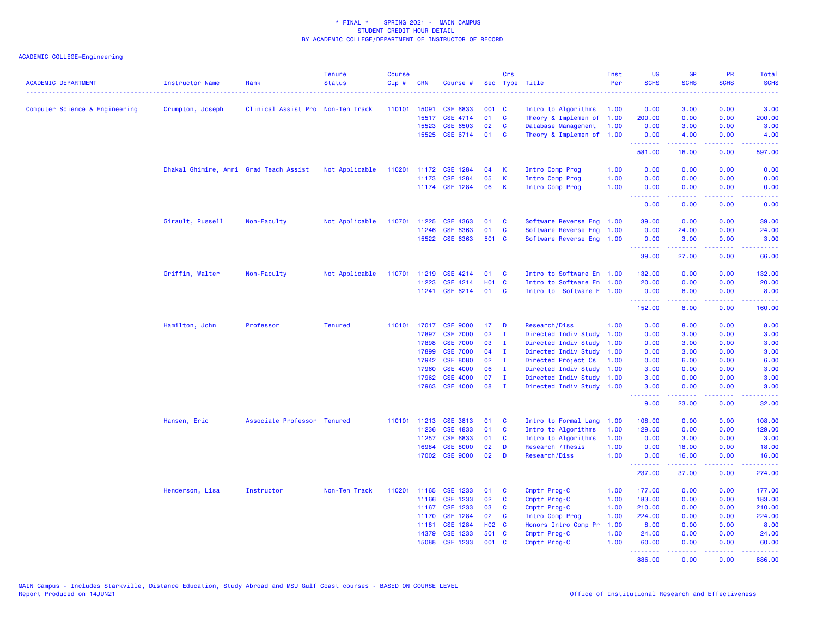| <b>ACADEMIC DEPARTMENT</b>     | Instructor Name                        | Rank                              | <b>Tenure</b><br><b>Status</b> | Course<br>Cip# | <b>CRN</b>     | Course #                    |                 | Crs          | Sec Type Title               | Inst<br>Per  | UG<br><b>SCHS</b><br>. <u>.</u> .                          | <b>GR</b><br><b>SCHS</b> | PR<br><b>SCHS</b>                   | Total<br><b>SCHS</b><br>. |
|--------------------------------|----------------------------------------|-----------------------------------|--------------------------------|----------------|----------------|-----------------------------|-----------------|--------------|------------------------------|--------------|------------------------------------------------------------|--------------------------|-------------------------------------|---------------------------|
| Computer Science & Engineering | Crumpton, Joseph                       | Clinical Assist Pro Non-Ten Track |                                | 110101         | 15091          | CSE 6833                    | 001 C           |              | Intro to Algorithms          | 1.00         | 0.00                                                       | 3.00                     | 0.00                                | 3.00                      |
|                                |                                        |                                   |                                |                | 15517          | CSE 4714                    | 01              | <b>C</b>     | Theory & Implemen of 1.00    |              | 200.00                                                     | 0.00                     | 0.00                                | 200.00                    |
|                                |                                        |                                   |                                |                | 15523          | CSE 6503                    | 02              | <b>C</b>     | Database Management          | 1.00         | 0.00                                                       | 3.00                     | 0.00                                | 3.00                      |
|                                |                                        |                                   |                                |                |                | 15525 CSE 6714              | 01              | <b>C</b>     | Theory & Implemen of 1.00    |              | 0.00                                                       | 4.00                     | 0.00                                | 4.00                      |
|                                |                                        |                                   |                                |                |                |                             |                 |              |                              |              | <u>.</u><br>581.00                                         | بالأباب<br>16.00         | $\sim$ $\sim$ $\sim$ $\sim$<br>0.00 | 597.00                    |
|                                | Dhakal Ghimire, Amri Grad Teach Assist |                                   | Not Applicable                 |                |                | 110201 11172 CSE 1284       | 04              | К            | Intro Comp Prog              | 1.00         | 0.00                                                       | 0.00                     | 0.00                                | 0.00                      |
|                                |                                        |                                   |                                |                |                | 11173 CSE 1284              | 05              | $\mathsf K$  | Intro Comp Prog              | 1.00         | 0.00                                                       | 0.00                     | 0.00                                | 0.00                      |
|                                |                                        |                                   |                                |                |                | 11174 CSE 1284              | 06              | K            | Intro Comp Prog              | 1.00         | 0.00<br><b><i><u><u> - - - - - - -</u></u></i></b>         | 0.00<br>.                | 0.00<br>.                           | 0.00<br>وعاعاتها          |
|                                |                                        |                                   |                                |                |                |                             |                 |              |                              |              | 0.00                                                       | 0.00                     | 0.00                                | 0.00                      |
|                                | Girault, Russell                       | Non-Faculty                       | Not Applicable                 | 110701 11225   |                | CSE 4363                    | 01              | C            | Software Reverse Eng 1.00    |              | 39.00                                                      | 0.00                     | 0.00                                | 39.00                     |
|                                |                                        |                                   |                                |                | 11246          | CSE 6363                    | 01              | $\mathbf{C}$ | Software Reverse Eng 1.00    |              | 0.00                                                       | 24.00                    | 0.00                                | 24.00                     |
|                                |                                        |                                   |                                |                | 15522          | CSE 6363                    | 501 C           |              | Software Reverse Eng 1.00    |              | 0.00                                                       | 3.00                     | 0.00                                | 3.00                      |
|                                |                                        |                                   |                                |                |                |                             |                 |              |                              |              | .<br>39.00                                                 | 27.00                    | د د د د<br>0.00                     | المتمامين<br>66.00        |
|                                | Griffin, Walter                        | Non-Faculty                       | Not Applicable                 | 110701         | 11219          | <b>CSE 4214</b>             | 01              | C            | Intro to Software En 1.00    |              | 132.00                                                     | 0.00                     | 0.00                                | 132.00                    |
|                                |                                        |                                   |                                |                | 11223          | CSE 4214                    | <b>HO1 C</b>    |              | Intro to Software En 1.00    |              | 20.00                                                      | 0.00                     | 0.00                                | 20.00                     |
|                                |                                        |                                   |                                |                | 11241          | CSE 6214                    | 01              | C            | Intro to Software E 1.00     |              | 0.00                                                       | 8.00                     | 0.00                                | 8.00                      |
|                                |                                        |                                   |                                |                |                |                             |                 |              |                              |              | <b><i><u><u><b>Little Little</b></u></u></i></b><br>152.00 | 22222<br>8.00            | .<br>0.00                           | <u>.</u><br>160.00        |
|                                | Hamilton, John                         | Professor                         | <b>Tenured</b>                 |                |                | 110101 17017 CSE 9000       | 17 <sub>2</sub> | D            | Research/Diss                | 1.00         | 0.00                                                       | 8.00                     | 0.00                                | 8.00                      |
|                                |                                        |                                   |                                |                | 17897          | <b>CSE 7000</b>             | 02              | л.           | Directed Indiv Study         | 1.00         | 0.00                                                       | 3.00                     | 0.00                                | 3.00                      |
|                                |                                        |                                   |                                |                | 17898          | <b>CSE 7000</b>             | 03              | $\mathbf{I}$ | Directed Indiv Study         | 1.00         | 0.00                                                       | 3.00                     | 0.00                                | 3.00                      |
|                                |                                        |                                   |                                |                | 17899          | <b>CSE 7000</b>             | 04              | - I          | Directed Indiv Study         | 1.00         | 0.00                                                       | 3.00                     | 0.00                                | 3.00                      |
|                                |                                        |                                   |                                |                | 17942          | <b>CSE 8080</b>             | 02              | - I          | Directed Project Cs          | 1.00         | 0.00                                                       | 6.00                     | 0.00                                | 6.00                      |
|                                |                                        |                                   |                                |                | 17960          | <b>CSE 4000</b>             | 06              | $\mathbf{I}$ | Directed Indiv Study 1.00    |              | 3.00                                                       | 0.00                     | 0.00                                | 3.00                      |
|                                |                                        |                                   |                                |                | 17962          | <b>CSE 4000</b>             | 07              | $\mathbf{I}$ | Directed Indiv Study 1.00    |              | 3.00                                                       | 0.00                     | 0.00                                | 3.00                      |
|                                |                                        |                                   |                                |                | 17963          | <b>CSE 4000</b>             | 08              | $\mathbf I$  | Directed Indiv Study 1.00    |              | 3.00<br><b><i><u><u><b>Little Little</b></u></u></i></b>   | 0.00<br>الداعات عامات    | 0.00<br>.                           | 3.00<br>.                 |
|                                |                                        |                                   |                                |                |                |                             |                 |              |                              |              | 9.00                                                       | 23.00                    | 0.00                                | 32.00                     |
|                                | Hansen, Eric                           | Associate Professor Tenured       |                                |                |                | 110101 11213 CSE 3813       | 01              | <b>C</b>     | Intro to Formal Lang         | 1.00         | 108.00                                                     | 0.00                     | 0.00                                | 108.00                    |
|                                |                                        |                                   |                                |                | 11236          | CSE 4833                    | 01              | <b>C</b>     | Intro to Algorithms          | 1.00         | 129.00                                                     | 0.00                     | 0.00                                | 129.00                    |
|                                |                                        |                                   |                                |                | 11257          | CSE 6833                    | 01              | C            | Intro to Algorithms          | 1.00         | 0.00                                                       | 3.00                     | 0.00                                | 3.00                      |
|                                |                                        |                                   |                                |                | 16984          | <b>CSE 8000</b>             | 02              | D            | Research / Thesis            | 1.00         | 0.00                                                       | 18.00                    | 0.00                                | 18.00                     |
|                                |                                        |                                   |                                |                |                | 17002 CSE 9000              | 02              | D            | Research/Diss                | 1.00         | 0.00<br><u>.</u>                                           | 16.00<br>.               | 0.00<br>22222                       | 16.00<br>2.2.2.2.2.2      |
|                                |                                        |                                   |                                |                |                |                             |                 |              |                              |              | 237.00                                                     | 37.00                    | 0.00                                | 274.00                    |
|                                | Henderson, Lisa                        | Instructor                        | Non-Ten Track                  | 110201         | 11165          | CSE 1233                    | 01              | C            | Cmptr Prog-C                 | 1.00         | 177.00                                                     | 0.00                     | 0.00                                | 177.00                    |
|                                |                                        |                                   |                                |                | 11166          | CSE 1233                    | 02              | C            | Cmptr Prog-C                 | 1.00         | 183.00                                                     | 0.00                     | 0.00                                | 183.00                    |
|                                |                                        |                                   |                                |                | 11167          | <b>CSE 1233</b>             | 03              | C            | Cmptr Prog-C                 | 1.00         | 210.00                                                     | 0.00                     | 0.00                                | 210.00                    |
|                                |                                        |                                   |                                |                | 11170          | <b>CSE 1284</b>             | 02              | C            | Intro Comp Prog              | 1.00         | 224.00                                                     | 0.00                     | 0.00                                | 224.00                    |
|                                |                                        |                                   |                                |                | 11181          | CSE 1284                    | H02 C           |              | Honors Intro Comp Pr         | 1.00         | 8.00                                                       | 0.00                     | 0.00                                | 8.00                      |
|                                |                                        |                                   |                                |                | 14379<br>15088 | <b>CSE 1233</b><br>CSE 1233 | 501 C<br>001 C  |              | Cmptr Prog-C<br>Cmptr Prog-C | 1.00<br>1.00 | 24.00<br>60.00                                             | 0.00<br>0.00             | 0.00<br>0.00                        | 24.00<br>60.00            |
|                                |                                        |                                   |                                |                |                |                             |                 |              |                              |              | <u>.</u><br>886.00                                         | <b>.</b><br>0.00         | .<br>0.00                           | 886.00                    |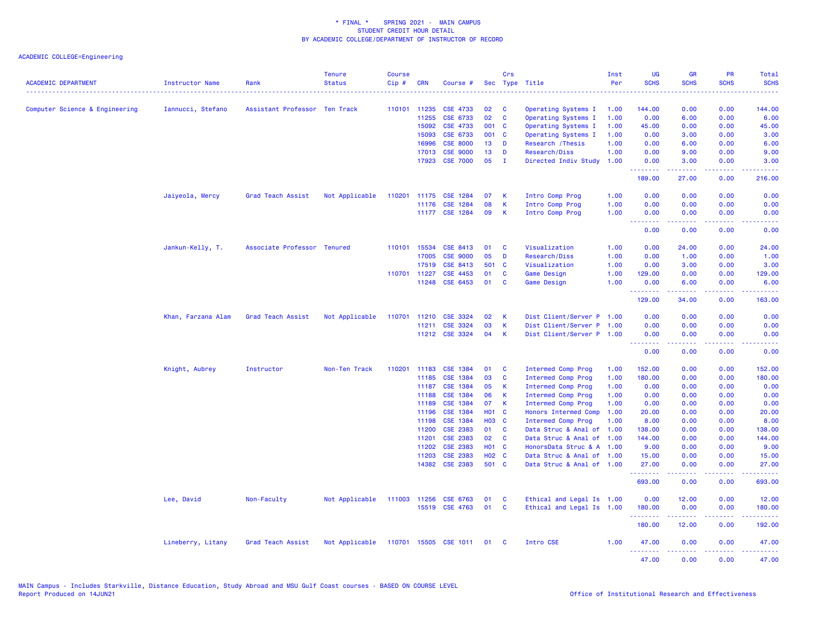| <b>ACADEMIC DEPARTMENT</b>     | Instructor Name    | Rank                          | <b>Tenure</b><br><b>Status</b> | <b>Course</b><br>Cip# | <b>CRN</b>            | Course #                    | Sec          | Crs         | Type Title                                 | Inst<br>Per  | <b>UG</b><br><b>SCHS</b> | <b>GR</b><br><b>SCHS</b> | PR<br><b>SCHS</b>                                                                                                                 | Total<br><b>SCHS</b> |
|--------------------------------|--------------------|-------------------------------|--------------------------------|-----------------------|-----------------------|-----------------------------|--------------|-------------|--------------------------------------------|--------------|--------------------------|--------------------------|-----------------------------------------------------------------------------------------------------------------------------------|----------------------|
|                                |                    |                               |                                |                       |                       |                             |              |             |                                            |              |                          |                          |                                                                                                                                   |                      |
| Computer Science & Engineering | Iannucci, Stefano  | Assistant Professor Ten Track |                                |                       | 110101 11235<br>11255 | <b>CSE 4733</b><br>CSE 6733 | 02<br>02     | C<br>C      | Operating Systems I                        | 1.00<br>1.00 | 144.00<br>0.00           | 0.00<br>6.00             | 0.00<br>0.00                                                                                                                      | 144.00<br>6.00       |
|                                |                    |                               |                                |                       | 15092                 | <b>CSE 4733</b>             | 001 C        |             | Operating Systems I<br>Operating Systems I | 1.00         | 45.00                    | 0.00                     | 0.00                                                                                                                              | 45.00                |
|                                |                    |                               |                                |                       | 15093                 | CSE 6733                    | 001 C        |             | Operating Systems I                        | 1.00         | 0.00                     | 3.00                     | 0.00                                                                                                                              | 3.00                 |
|                                |                    |                               |                                |                       | 16996                 | <b>CSE 8000</b>             | 13           | D           | Research / Thesis                          | 1.00         | 0.00                     | 6.00                     | 0.00                                                                                                                              | 6.00                 |
|                                |                    |                               |                                |                       | 17013                 | <b>CSE 9000</b>             | 13           | D           | Research/Diss                              | 1.00         | 0.00                     | 9.00                     | 0.00                                                                                                                              | 9.00                 |
|                                |                    |                               |                                |                       | 17923                 | <b>CSE 7000</b>             | 05           | - 1         | Directed Indiv Study                       | 1.00         | 0.00                     | 3.00                     | 0.00                                                                                                                              | 3.00                 |
|                                |                    |                               |                                |                       |                       |                             |              |             |                                            |              | .<br>189.00              | 27.00                    | والمحامر<br>0.00                                                                                                                  | 216.00               |
|                                | Jaiyeola, Mercy    | Grad Teach Assist             | Not Applicable                 | 110201                | 11175                 | <b>CSE 1284</b>             | 07           | К           | Intro Comp Prog                            | 1.00         | 0.00                     | 0.00                     | 0.00                                                                                                                              | 0.00                 |
|                                |                    |                               |                                |                       | 11176                 | <b>CSE 1284</b>             | 08           | K           | Intro Comp Prog                            | 1.00         | 0.00                     | 0.00                     | 0.00                                                                                                                              | 0.00                 |
|                                |                    |                               |                                |                       |                       | 11177 CSE 1284              | 09           | K           | Intro Comp Prog                            | 1.00         | 0.00<br><u>.</u>         | 0.00<br>.                | 0.00<br>$\frac{1}{2} \left( \frac{1}{2} \right) \left( \frac{1}{2} \right) \left( \frac{1}{2} \right) \left( \frac{1}{2} \right)$ | 0.00<br>22220        |
|                                |                    |                               |                                |                       |                       |                             |              |             |                                            |              | 0.00                     | 0.00                     | 0.00                                                                                                                              | 0.00                 |
|                                | Jankun-Kelly, T.   | Associate Professor Tenured   |                                | 110101                | 15534                 | CSE 8413                    | 01           | C           | Visualization                              | 1.00         | 0.00                     | 24.00                    | 0.00                                                                                                                              | 24.00                |
|                                |                    |                               |                                |                       | 17005                 | <b>CSE 9000</b>             | 05           | D           | Research/Diss                              | 1.00         | 0.00                     | 1.00                     | 0.00                                                                                                                              | 1.00                 |
|                                |                    |                               |                                |                       | 17519                 | CSE 8413                    | 501          | <b>C</b>    | Visualization                              | 1.00         | 0.00                     | 3.00                     | 0.00                                                                                                                              | 3.00                 |
|                                |                    |                               |                                |                       | 110701 11227          | <b>CSE 4453</b>             | 01           | C           | Game Design                                | 1.00         | 129.00                   | 0.00                     | 0.00                                                                                                                              | 129.00               |
|                                |                    |                               |                                |                       |                       | 11248 CSE 6453              | 01           | C           | Game Design                                | 1.00         | 0.00<br><u>.</u>         | 6.00<br>.                | 0.00<br>.                                                                                                                         | 6.00<br>.            |
|                                |                    |                               |                                |                       |                       |                             |              |             |                                            |              | 129.00                   | 34.00                    | 0.00                                                                                                                              | 163.00               |
|                                | Khan, Farzana Alam | Grad Teach Assist             | Not Applicable                 |                       |                       | 110701 11210 CSE 3324       | 02           | К           | Dist Client/Server P 1.00                  |              | 0.00                     | 0.00                     | 0.00                                                                                                                              | 0.00                 |
|                                |                    |                               |                                |                       | 11211                 | CSE 3324                    | 03           | $\mathsf K$ | Dist Client/Server P 1.00                  |              | 0.00                     | 0.00                     | 0.00                                                                                                                              | 0.00                 |
|                                |                    |                               |                                |                       |                       | 11212 CSE 3324              | 04           | K           | Dist Client/Server P 1.00                  |              | 0.00<br><u>.</u>         | 0.00                     | 0.00                                                                                                                              | 0.00                 |
|                                |                    |                               |                                |                       |                       |                             |              |             |                                            |              | 0.00                     | 0.00                     | 0.00                                                                                                                              | 0.00                 |
|                                | Knight, Aubrey     | Instructor                    | Non-Ten Track                  |                       | 110201 11183          | <b>CSE 1384</b>             | 01           | C           | Intermed Comp Prog                         | 1.00         | 152.00                   | 0.00                     | 0.00                                                                                                                              | 152.00               |
|                                |                    |                               |                                |                       | 11185                 | CSE 1384                    | 03           | C           | Intermed Comp Prog                         | 1.00         | 180.00                   | 0.00                     | 0.00                                                                                                                              | 180.00               |
|                                |                    |                               |                                |                       | 11187                 | CSE 1384                    | 05           | K           | Intermed Comp Prog                         | 1.00         | 0.00                     | 0.00                     | 0.00                                                                                                                              | 0.00                 |
|                                |                    |                               |                                |                       | 11188                 | CSE 1384                    | 06           | К           | Intermed Comp Prog                         | 1.00         | 0.00                     | 0.00                     | 0.00                                                                                                                              | 0.00                 |
|                                |                    |                               |                                |                       | 11189                 | CSE 1384                    | 07           | K           | Intermed Comp Prog                         | 1.00         | 0.00                     | 0.00                     | 0.00                                                                                                                              | 0.00                 |
|                                |                    |                               |                                |                       | 11196                 | <b>CSE 1384</b>             | <b>HO1</b>   | C           | Honors Intermed Comp                       | 1.00         | 20.00                    | 0.00                     | 0.00                                                                                                                              | 20.00                |
|                                |                    |                               |                                |                       | 11198                 | CSE 1384                    | <b>HO3</b>   | <b>C</b>    | Intermed Comp Prog                         | 1.00         | 8.00                     | 0.00                     | 0.00                                                                                                                              | 8.00                 |
|                                |                    |                               |                                |                       | 11200                 | <b>CSE 2383</b>             | 01           | C           | Data Struc & Anal of 1.00                  |              | 138.00                   | 0.00                     | 0.00                                                                                                                              | 138.00               |
|                                |                    |                               |                                |                       | 11201                 | <b>CSE 2383</b>             | 02           | C           | Data Struc & Anal                          | of 1.00      | 144.00                   | 0.00                     | 0.00                                                                                                                              | 144.00               |
|                                |                    |                               |                                |                       | 11202                 | CSE 2383                    | <b>HO1 C</b> |             | HonorsData Struc & A 1.00                  |              | 9.00                     | 0.00                     | 0.00                                                                                                                              | 9.00                 |
|                                |                    |                               |                                |                       | 11203                 | <b>CSE 2383</b>             | <b>HO2 C</b> |             | Data Struc & Anal of 1.00                  |              | 15.00                    | 0.00                     | 0.00                                                                                                                              | 15.00                |
|                                |                    |                               |                                |                       | 14382                 | <b>CSE 2383</b>             | 501 C        |             | Data Struc & Anal of 1.00                  |              | 27.00<br>.               | 0.00<br>.                | 0.00<br>.                                                                                                                         | 27.00<br>.           |
|                                |                    |                               |                                |                       |                       |                             |              |             |                                            |              | 693.00                   | 0.00                     | 0.00                                                                                                                              | 693.00               |
|                                | Lee, David         | Non-Faculty                   | Not Applicable                 | 111003 11256          |                       | CSE 6763                    | 01           | C           | Ethical and Legal Is 1.00                  |              | 0.00                     | 12.00                    | 0.00                                                                                                                              | 12.00                |
|                                |                    |                               |                                |                       |                       | 15519 CSE 4763              | 01           | <b>C</b>    | Ethical and Legal Is 1.00                  |              | 180.00<br>.              | 0.00<br><u>.</u>         | 0.00<br>.                                                                                                                         | 180.00<br><u>.</u>   |
|                                |                    |                               |                                |                       |                       |                             |              |             |                                            |              | 180.00                   | 12.00                    | 0.00                                                                                                                              | 192.00               |
|                                | Lineberry, Litany  | Grad Teach Assist             | Not Applicable                 |                       |                       | 110701 15505 CSE 1011 01 C  |              |             | Intro CSE                                  | 1.00         | 47.00<br>.               | 0.00<br>.                | 0.00<br>22222                                                                                                                     | 47.00<br>2.2.2.2.2.4 |
|                                |                    |                               |                                |                       |                       |                             |              |             |                                            |              | 47.00                    | 0.00                     | 0.00                                                                                                                              | 47.00                |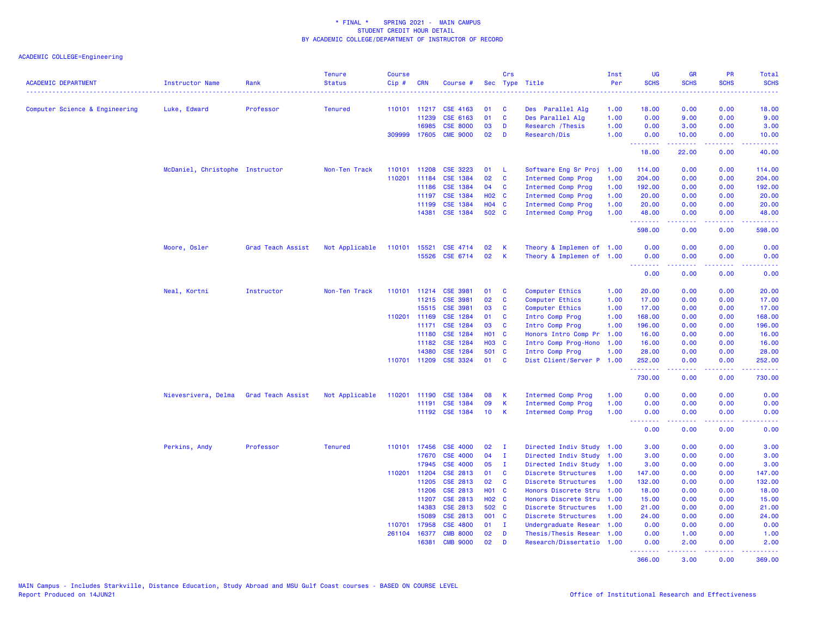| <b>ACADEMIC DEPARTMENT</b>     | Instructor Name                 | Rank              | <b>Tenure</b><br><b>Status</b> | Course<br>Cip# | <b>CRN</b>   | Course #              |                   | Crs          | Sec Type Title            | Inst<br>Per | UG<br><b>SCHS</b>                                                                                                                                                                                                                                                                                                                                                                                                                                                                                | <b>GR</b><br><b>SCHS</b> | PR<br><b>SCHS</b>                                                                                                                 | Total<br><b>SCHS</b>                                                                                                      |
|--------------------------------|---------------------------------|-------------------|--------------------------------|----------------|--------------|-----------------------|-------------------|--------------|---------------------------|-------------|--------------------------------------------------------------------------------------------------------------------------------------------------------------------------------------------------------------------------------------------------------------------------------------------------------------------------------------------------------------------------------------------------------------------------------------------------------------------------------------------------|--------------------------|-----------------------------------------------------------------------------------------------------------------------------------|---------------------------------------------------------------------------------------------------------------------------|
|                                |                                 |                   |                                |                |              |                       |                   |              |                           |             | <u>.</u>                                                                                                                                                                                                                                                                                                                                                                                                                                                                                         |                          |                                                                                                                                   | $\frac{1}{2} \left( \frac{1}{2} \right) \left( \frac{1}{2} \right) \left( \frac{1}{2} \right) \left( \frac{1}{2} \right)$ |
| Computer Science & Engineering | Luke, Edward                    | Professor         | <b>Tenured</b>                 |                | 110101 11217 | CSE 4163              | 01                | C            | Des Parallel Alg          | 1.00        | 18.00                                                                                                                                                                                                                                                                                                                                                                                                                                                                                            | 0.00                     | 0.00                                                                                                                              | 18.00                                                                                                                     |
|                                |                                 |                   |                                |                | 11239        | CSE 6163              | 01                | C            | Des Parallel Alg          | 1.00        | 0.00                                                                                                                                                                                                                                                                                                                                                                                                                                                                                             | 9.00                     | 0.00                                                                                                                              | 9.00                                                                                                                      |
|                                |                                 |                   |                                |                | 16985        | <b>CSE 8000</b>       | 03                | D            | Research / Thesis         | 1.00        | 0.00                                                                                                                                                                                                                                                                                                                                                                                                                                                                                             | 3.00                     | 0.00                                                                                                                              | 3.00                                                                                                                      |
|                                |                                 |                   |                                |                | 309999 17605 | <b>CME 9000</b>       | 02                | D            | Research/Dis              | 1.00        | 0.00<br><b></b>                                                                                                                                                                                                                                                                                                                                                                                                                                                                                  | 10.00<br>.               | 0.00<br>بالمحام                                                                                                                   | 10.00<br>.                                                                                                                |
|                                |                                 |                   |                                |                |              |                       |                   |              |                           |             | 18.00                                                                                                                                                                                                                                                                                                                                                                                                                                                                                            | 22.00                    | 0.00                                                                                                                              | 40.00                                                                                                                     |
|                                | McDaniel, Christophe Instructor |                   | Non-Ten Track                  | 110101         | 11208        | <b>CSE 3223</b>       | 01                | -L           | Software Eng Sr Proj      | 1.00        | 114.00                                                                                                                                                                                                                                                                                                                                                                                                                                                                                           | 0.00                     | 0.00                                                                                                                              | 114.00                                                                                                                    |
|                                |                                 |                   |                                | 110201         | 11184        | CSE 1384              | 02                | <b>C</b>     | Intermed Comp Prog        | 1.00        | 204.00                                                                                                                                                                                                                                                                                                                                                                                                                                                                                           | 0.00                     | 0.00                                                                                                                              | 204.00                                                                                                                    |
|                                |                                 |                   |                                |                | 11186        | CSE 1384              | 04                | C            | Intermed Comp Prog        | 1.00        | 192.00                                                                                                                                                                                                                                                                                                                                                                                                                                                                                           | 0.00                     | 0.00                                                                                                                              | 192.00                                                                                                                    |
|                                |                                 |                   |                                |                | 11197        | CSE 1384              | H <sub>02</sub> C |              | Intermed Comp Prog        | 1.00        | 20.00                                                                                                                                                                                                                                                                                                                                                                                                                                                                                            | 0.00                     | 0.00                                                                                                                              | 20.00                                                                                                                     |
|                                |                                 |                   |                                |                | 11199        | <b>CSE 1384</b>       | H04 C             |              | Intermed Comp Prog        | 1.00        | 20.00                                                                                                                                                                                                                                                                                                                                                                                                                                                                                            | 0.00                     | 0.00                                                                                                                              | 20.00                                                                                                                     |
|                                |                                 |                   |                                |                | 14381        | <b>CSE 1384</b>       | 502 C             |              | Intermed Comp Prog        | 1.00        | 48.00<br>.                                                                                                                                                                                                                                                                                                                                                                                                                                                                                       | 0.00<br>.                | 0.00<br>$\frac{1}{2} \left( \frac{1}{2} \right) \left( \frac{1}{2} \right) \left( \frac{1}{2} \right) \left( \frac{1}{2} \right)$ | 48.00<br>.                                                                                                                |
|                                |                                 |                   |                                |                |              |                       |                   |              |                           |             | 598.00                                                                                                                                                                                                                                                                                                                                                                                                                                                                                           | 0.00                     | 0.00                                                                                                                              | 598.00                                                                                                                    |
|                                | Moore, Osler                    | Grad Teach Assist | Not Applicable                 | 110101 15521   |              | CSE 4714              | 02                | К            | Theory & Implemen of 1.00 |             | 0.00                                                                                                                                                                                                                                                                                                                                                                                                                                                                                             | 0.00                     | 0.00                                                                                                                              | 0.00                                                                                                                      |
|                                |                                 |                   |                                |                |              | 15526 CSE 6714        | 02                | K            | Theory & Implemen of 1.00 |             | 0.00<br><b><i><u><u> - - - - - - -</u></u></i></b>                                                                                                                                                                                                                                                                                                                                                                                                                                               | 0.00<br>.                | 0.00<br>.                                                                                                                         | 0.00<br>----                                                                                                              |
|                                |                                 |                   |                                |                |              |                       |                   |              |                           |             | 0.00                                                                                                                                                                                                                                                                                                                                                                                                                                                                                             | 0.00                     | 0.00                                                                                                                              | 0.00                                                                                                                      |
|                                | Neal, Kortni                    | Instructor        | Non-Ten Track                  | 110101         | 11214        | <b>CSE 3981</b>       | 01                | C            | Computer Ethics           | 1.00        | 20.00                                                                                                                                                                                                                                                                                                                                                                                                                                                                                            | 0.00                     | 0.00                                                                                                                              | 20.00                                                                                                                     |
|                                |                                 |                   |                                |                | 11215        | <b>CSE 3981</b>       | 02                | C            | Computer Ethics           | 1.00        | 17.00                                                                                                                                                                                                                                                                                                                                                                                                                                                                                            | 0.00                     | 0.00                                                                                                                              | 17.00                                                                                                                     |
|                                |                                 |                   |                                |                | 15515        | <b>CSE 3981</b>       | 03                | C            | Computer Ethics           | 1.00        | 17.00                                                                                                                                                                                                                                                                                                                                                                                                                                                                                            | 0.00                     | 0.00                                                                                                                              | 17.00                                                                                                                     |
|                                |                                 |                   |                                |                | 110201 11169 | CSE 1284              | 01                | <b>C</b>     | Intro Comp Prog           | 1.00        | 168.00                                                                                                                                                                                                                                                                                                                                                                                                                                                                                           | 0.00                     | 0.00                                                                                                                              | 168.00                                                                                                                    |
|                                |                                 |                   |                                |                | 11171        | <b>CSE 1284</b>       | 03                | C            | Intro Comp Prog           | 1.00        | 196.00                                                                                                                                                                                                                                                                                                                                                                                                                                                                                           | 0.00                     | 0.00                                                                                                                              | 196.00                                                                                                                    |
|                                |                                 |                   |                                |                | 11180        | <b>CSE 1284</b>       | <b>HO1 C</b>      |              | Honors Intro Comp Pr      | 1.00        | 16.00                                                                                                                                                                                                                                                                                                                                                                                                                                                                                            | 0.00                     | 0.00                                                                                                                              | 16.00                                                                                                                     |
|                                |                                 |                   |                                |                | 11182        | CSE 1284              | <b>HO3 C</b>      |              | Intro Comp Prog-Hono      | 1.00        | 16.00                                                                                                                                                                                                                                                                                                                                                                                                                                                                                            | 0.00                     | 0.00                                                                                                                              | 16.00                                                                                                                     |
|                                |                                 |                   |                                |                | 14380        | CSE 1284              | 501 C             |              | Intro Comp Prog           | 1.00        | 28.00                                                                                                                                                                                                                                                                                                                                                                                                                                                                                            | 0.00                     | 0.00                                                                                                                              | 28.00                                                                                                                     |
|                                |                                 |                   |                                |                |              | 110701 11209 CSE 3324 | 01                | $\mathbf{C}$ | Dist Client/Server P 1.00 |             | 252.00                                                                                                                                                                                                                                                                                                                                                                                                                                                                                           | 0.00                     | 0.00                                                                                                                              | 252.00                                                                                                                    |
|                                |                                 |                   |                                |                |              |                       |                   |              |                           |             | .<br>730.00                                                                                                                                                                                                                                                                                                                                                                                                                                                                                      | 0.00                     | د د د د<br>0.00                                                                                                                   | .<br>730.00                                                                                                               |
|                                | Nievesrivera, Delma             | Grad Teach Assist | Not Applicable                 | 110201         | 11190        | <b>CSE 1384</b>       | 08                | К            | <b>Intermed Comp Prog</b> | 1.00        | 0.00                                                                                                                                                                                                                                                                                                                                                                                                                                                                                             | 0.00                     | 0.00                                                                                                                              | 0.00                                                                                                                      |
|                                |                                 |                   |                                |                | 11191        | CSE 1384              | 09                | К            | Intermed Comp Prog        | 1.00        | 0.00                                                                                                                                                                                                                                                                                                                                                                                                                                                                                             | 0.00                     | 0.00                                                                                                                              | 0.00                                                                                                                      |
|                                |                                 |                   |                                |                |              | 11192 CSE 1384        | 10 <sub>1</sub>   | <b>K</b>     | Intermed Comp Prog        | 1.00        | 0.00<br><u>.</u>                                                                                                                                                                                                                                                                                                                                                                                                                                                                                 | 0.00<br>.                | 0.00<br>$\frac{1}{2} \left( \frac{1}{2} \right) \left( \frac{1}{2} \right) \left( \frac{1}{2} \right) \left( \frac{1}{2} \right)$ | 0.00<br><u>.</u>                                                                                                          |
|                                |                                 |                   |                                |                |              |                       |                   |              |                           |             | 0.00                                                                                                                                                                                                                                                                                                                                                                                                                                                                                             | 0.00                     | 0.00                                                                                                                              | 0.00                                                                                                                      |
|                                | Perkins, Andy                   | Professor         | <b>Tenured</b>                 |                |              | 110101 17456 CSE 4000 | 02                | - I          | Directed Indiv Study 1.00 |             | 3.00                                                                                                                                                                                                                                                                                                                                                                                                                                                                                             | 0.00                     | 0.00                                                                                                                              | 3.00                                                                                                                      |
|                                |                                 |                   |                                |                | 17670        | <b>CSE 4000</b>       | 04                | $\mathbf{I}$ | Directed Indiv Study 1.00 |             | 3.00                                                                                                                                                                                                                                                                                                                                                                                                                                                                                             | 0.00                     | 0.00                                                                                                                              | 3.00                                                                                                                      |
|                                |                                 |                   |                                |                | 17945        | <b>CSE 4000</b>       | 05                | - 1          | Directed Indiv Study 1.00 |             | 3.00                                                                                                                                                                                                                                                                                                                                                                                                                                                                                             | 0.00                     | 0.00                                                                                                                              | 3.00                                                                                                                      |
|                                |                                 |                   |                                |                | 110201 11204 | CSE 2813              | 01                | C            | Discrete Structures       | 1.00        | 147.00                                                                                                                                                                                                                                                                                                                                                                                                                                                                                           | 0.00                     | 0.00                                                                                                                              | 147.00                                                                                                                    |
|                                |                                 |                   |                                |                | 11205        | CSE 2813              | 02                | <b>C</b>     | Discrete Structures       | 1.00        | 132.00                                                                                                                                                                                                                                                                                                                                                                                                                                                                                           | 0.00                     | 0.00                                                                                                                              | 132.00                                                                                                                    |
|                                |                                 |                   |                                |                | 11206        | CSE 2813              | H01 C             |              | Honors Discrete Stru      | 1.00        | 18.00                                                                                                                                                                                                                                                                                                                                                                                                                                                                                            | 0.00                     | 0.00                                                                                                                              | 18.00                                                                                                                     |
|                                |                                 |                   |                                |                | 11207        | CSE 2813              | H02 C             |              | Honors Discrete Stru      | 1.00        | 15.00                                                                                                                                                                                                                                                                                                                                                                                                                                                                                            | 0.00                     | 0.00                                                                                                                              | 15.00                                                                                                                     |
|                                |                                 |                   |                                |                | 14383        | CSE 2813              | 502 C             |              | Discrete Structures       | 1.00        | 21.00                                                                                                                                                                                                                                                                                                                                                                                                                                                                                            | 0.00                     | 0.00                                                                                                                              | 21.00                                                                                                                     |
|                                |                                 |                   |                                |                | 15089        | CSE 2813              | 001 C             |              | Discrete Structures       | 1.00        | 24.00                                                                                                                                                                                                                                                                                                                                                                                                                                                                                            | 0.00                     | 0.00                                                                                                                              | 24.00                                                                                                                     |
|                                |                                 |                   |                                | 110701         | 17958        | <b>CSE 4800</b>       | 01                | $\mathbf{I}$ | Undergraduate Resear      | 1.00        | 0.00                                                                                                                                                                                                                                                                                                                                                                                                                                                                                             | 0.00                     | 0.00                                                                                                                              | 0.00                                                                                                                      |
|                                |                                 |                   |                                | 261104         | 16377        | <b>CMB 8000</b>       | 02                | D            | Thesis/Thesis Resear 1.00 |             | 0.00                                                                                                                                                                                                                                                                                                                                                                                                                                                                                             | 1.00                     | 0.00                                                                                                                              | 1.00                                                                                                                      |
|                                |                                 |                   |                                |                | 16381        | <b>CMB 9000</b>       | 02                | D            | Research/Dissertatio      | 1.00        | 0.00                                                                                                                                                                                                                                                                                                                                                                                                                                                                                             | 2.00                     | 0.00                                                                                                                              | 2.00                                                                                                                      |
|                                |                                 |                   |                                |                |              |                       |                   |              |                           |             | $\begin{array}{cccccccccc} \multicolumn{2}{c}{} & \multicolumn{2}{c}{} & \multicolumn{2}{c}{} & \multicolumn{2}{c}{} & \multicolumn{2}{c}{} & \multicolumn{2}{c}{} & \multicolumn{2}{c}{} & \multicolumn{2}{c}{} & \multicolumn{2}{c}{} & \multicolumn{2}{c}{} & \multicolumn{2}{c}{} & \multicolumn{2}{c}{} & \multicolumn{2}{c}{} & \multicolumn{2}{c}{} & \multicolumn{2}{c}{} & \multicolumn{2}{c}{} & \multicolumn{2}{c}{} & \multicolumn{2}{c}{} & \multicolumn{2}{c}{} & \mult$<br>366.00 | <u>.</u><br>3.00         | .<br>0.00                                                                                                                         | <u>.</u><br>369.00                                                                                                        |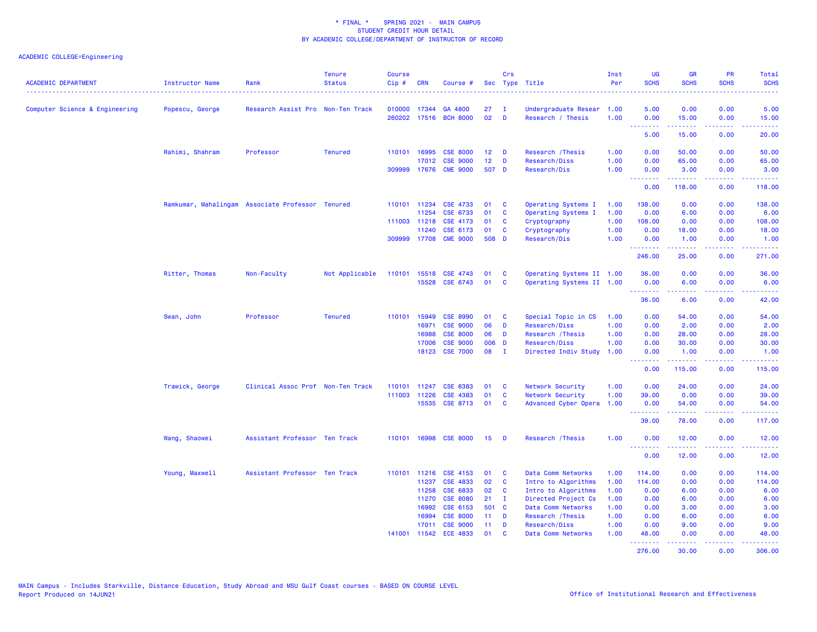| <b>ACADEMIC DEPARTMENT</b>     | <b>Instructor Name</b>                           | Rank                              | <b>Tenure</b><br><b>Status</b> | <b>Course</b><br>Cip# | CRN          | Course #              |                 | Crs<br>Sec Type Title |                           | Inst<br>Per<br>. | <b>UG</b><br><b>SCHS</b>                             | <b>GR</b><br><b>SCHS</b>                                                                                                                                      | PR<br><b>SCHS</b>                   | Total<br><b>SCHS</b><br>-----                |
|--------------------------------|--------------------------------------------------|-----------------------------------|--------------------------------|-----------------------|--------------|-----------------------|-----------------|-----------------------|---------------------------|------------------|------------------------------------------------------|---------------------------------------------------------------------------------------------------------------------------------------------------------------|-------------------------------------|----------------------------------------------|
| Computer Science & Engineering | Popescu, George                                  | Research Assist Pro Non-Ten Track |                                | 010000                | 17344        | GA 4800               | 27              | T                     | Undergraduate Resear      | 1.00             | 5.00                                                 | 0.00                                                                                                                                                          | 0.00                                | 5.00                                         |
|                                |                                                  |                                   |                                | 260202                | 17516        | <b>BCH 8000</b>       | 02              | D                     | Research / Thesis         | 1.00             | 0.00<br>---------                                    | 15.00<br>.                                                                                                                                                    | 0.00<br>د د د د                     | 15.00<br>.                                   |
|                                |                                                  |                                   |                                |                       |              |                       |                 |                       |                           |                  | 5.00                                                 | 15.00                                                                                                                                                         | 0.00                                | 20.00                                        |
|                                | Rahimi, Shahram                                  | Professor                         | <b>Tenured</b>                 | 110101 16995          |              | <b>CSE 8000</b>       | 12              | D                     | Research / Thesis         | 1.00             | 0.00                                                 | 50.00                                                                                                                                                         | 0.00                                | 50.00                                        |
|                                |                                                  |                                   |                                |                       | 17012        | <b>CSE 9000</b>       | 12 <sub>2</sub> | D                     | Research/Diss             | 1.00             | 0.00                                                 | 65.00                                                                                                                                                         | 0.00                                | 65.00                                        |
|                                |                                                  |                                   |                                | 309999                | 17676        | <b>CME 9000</b>       | 507 D           |                       | Research/Dis              | 1.00             | 0.00                                                 | 3.00                                                                                                                                                          | 0.00                                | 3.00                                         |
|                                |                                                  |                                   |                                |                       |              |                       |                 |                       |                           |                  | .<br>0.00                                            | <b></b><br>118,00                                                                                                                                             | .<br>0.00                           | .<br>118.00                                  |
|                                | Ramkumar, Mahalingam Associate Professor Tenured |                                   |                                | 110101 11234          |              | <b>CSE 4733</b>       | 01              | <b>C</b>              | Operating Systems I       | 1.00             | 138.00                                               | 0.00                                                                                                                                                          | 0.00                                | 138.00                                       |
|                                |                                                  |                                   |                                |                       | 11254        | CSE 6733              | 01              | C                     | Operating Systems I       | 1.00             | 0.00                                                 | 6.00                                                                                                                                                          | 0.00                                | 6.00                                         |
|                                |                                                  |                                   |                                | 111003 11218          |              | <b>CSE 4173</b>       | 01              | C                     | Cryptography              | 1.00             | 108.00                                               | 0.00                                                                                                                                                          | 0.00                                | 108.00                                       |
|                                |                                                  |                                   |                                |                       | 11240        | CSE 6173              | 01              | C                     | Cryptography              | 1.00             | 0.00                                                 | 18.00                                                                                                                                                         | 0.00                                | 18.00                                        |
|                                |                                                  |                                   |                                |                       |              | 309999 17708 CME 9000 | 508 D           |                       | Research/Dis              | 1.00             | 0.00                                                 | 1.00                                                                                                                                                          | 0.00                                | 1.00                                         |
|                                |                                                  |                                   |                                |                       |              |                       |                 |                       |                           |                  | <b><i><u><u> - - - - - - -</u></u></i></b><br>246.00 | .<br>25.00                                                                                                                                                    | .<br>0.00                           | <u>.</u><br>271.00                           |
|                                | Ritter, Thomas                                   | Non-Faculty                       | Not Applicable                 | 110101                |              | 15518 CSE 4743        | 01              | C                     | Operating Systems II 1.00 |                  | 36.00                                                | 0.00                                                                                                                                                          | 0.00                                | 36.00                                        |
|                                |                                                  |                                   |                                |                       |              | 15528 CSE 6743        | 01              | <b>C</b>              | Operating Systems II 1.00 |                  | 0.00                                                 | 6.00                                                                                                                                                          | 0.00                                | 6.00                                         |
|                                |                                                  |                                   |                                |                       |              |                       |                 |                       |                           |                  | <b><i><u><u> - - - - - - -</u></u></i></b><br>36.00  | 22222<br>6.00                                                                                                                                                 | 22222<br>0.00                       | .<br>42.00                                   |
|                                | Swan, John                                       | Professor                         | <b>Tenured</b>                 | 110101                | 15949        | <b>CSE 8990</b>       | 01              | <b>C</b>              | Special Topic in CS       | 1.00             | 0.00                                                 | 54.00                                                                                                                                                         | 0.00                                | 54.00                                        |
|                                |                                                  |                                   |                                |                       | 16971        | <b>CSE 9000</b>       | 06              | D                     | Research/Diss             | 1.00             | 0.00                                                 | 2.00                                                                                                                                                          | 0.00                                | 2.00                                         |
|                                |                                                  |                                   |                                |                       | 16988        | <b>CSE 8000</b>       | 06              | D                     | Research / Thesis         | 1.00             | 0.00                                                 | 28.00                                                                                                                                                         | 0.00                                | 28.00                                        |
|                                |                                                  |                                   |                                |                       | 17006        | <b>CSE 9000</b>       | 006             | <b>D</b>              | Research/Diss             | 1.00             | 0.00                                                 | 30.00                                                                                                                                                         | 0.00                                | 30.00                                        |
|                                |                                                  |                                   |                                |                       | 18123        | <b>CSE 7000</b>       | 08              | $\mathbf{I}$          | Directed Indiv Study      | 1.00             | 0.00                                                 | 1.00                                                                                                                                                          | 0.00                                | 1.00                                         |
|                                |                                                  |                                   |                                |                       |              |                       |                 |                       |                           |                  | 2.2.2.2.2.2<br>0.00                                  | .<br>115.00                                                                                                                                                   | $\sim$ $\sim$ $\sim$ $\sim$<br>0.00 | $\sim$ $\sim$ $\sim$ $\sim$ $\sim$<br>115.00 |
|                                | Trawick, George                                  | Clinical Assoc Prof Non-Ten Track |                                | 110101                | 11247        | <b>CSE 6383</b>       | 01              | <b>C</b>              | Network Security          | 1.00             | 0.00                                                 | 24.00                                                                                                                                                         | 0.00                                | 24.00                                        |
|                                |                                                  |                                   |                                | 111003 11226          |              | CSE 4383              | 01              | C                     | Network Security          | 1.00             | 39.00                                                | 0.00                                                                                                                                                          | 0.00                                | 39.00                                        |
|                                |                                                  |                                   |                                |                       | 15535        | <b>CSE 8713</b>       | 01              | C                     | Advanced Cyber Opera      | 1.00             | 0.00                                                 | 54.00                                                                                                                                                         | 0.00                                | 54.00                                        |
|                                |                                                  |                                   |                                |                       |              |                       |                 |                       |                           |                  | --------<br>39.00                                    | $\frac{1}{2} \left( \frac{1}{2} \right) \left( \frac{1}{2} \right) \left( \frac{1}{2} \right) \left( \frac{1}{2} \right) \left( \frac{1}{2} \right)$<br>78.00 | بالأباب<br>0.00                     | .<br>117.00                                  |
|                                | Wang, Shaowei                                    | Assistant Professor Ten Track     |                                |                       |              | 110101 16998 CSE 8000 | 15              | D                     | Research / Thesis         | 1.00             | 0.00                                                 | 12.00                                                                                                                                                         | 0.00                                | 12.00                                        |
|                                |                                                  |                                   |                                |                       |              |                       |                 |                       |                           |                  | .<br>0.00                                            | 12.00                                                                                                                                                         | 0.00                                | .<br>12.00                                   |
|                                |                                                  |                                   |                                |                       |              |                       |                 |                       |                           |                  |                                                      |                                                                                                                                                               |                                     |                                              |
|                                | Young, Maxwell                                   | Assistant Professor Ten Track     |                                |                       | 110101 11216 | <b>CSE 4153</b>       | 01              | <b>C</b>              | Data Comm Networks        | 1.00             | 114.00                                               | 0.00                                                                                                                                                          | 0.00                                | 114.00                                       |
|                                |                                                  |                                   |                                |                       | 11237        | <b>CSE 4833</b>       | 02              | $\mathbf{C}$          | Intro to Algorithms       | 1.00             | 114.00                                               | 0.00                                                                                                                                                          | 0.00                                | 114.00                                       |
|                                |                                                  |                                   |                                |                       | 11258        | CSE 6833              | 02              | C                     | Intro to Algorithms       | 1.00             | 0.00                                                 | 6.00                                                                                                                                                          | 0.00                                | 6.00                                         |
|                                |                                                  |                                   |                                |                       | 11270        | <b>CSE 8080</b>       | 21              | $\mathbf{I}$          | Directed Project Cs       | 1.00             | 0.00                                                 | 6.00                                                                                                                                                          | 0.00                                | 6.00                                         |
|                                |                                                  |                                   |                                |                       | 16992        | CSE 6153              | 501 C           |                       | Data Comm Networks        | 1.00             | 0.00                                                 | 3.00                                                                                                                                                          | 0.00                                | 3.00                                         |
|                                |                                                  |                                   |                                |                       | 16994        | <b>CSE 8000</b>       | 11              | D                     | Research / Thesis         | 1.00             | 0.00                                                 | 6.00                                                                                                                                                          | 0.00                                | 6.00                                         |
|                                |                                                  |                                   |                                |                       | 17011        | <b>CSE 9000</b>       | 11              | D                     | Research/Diss             | 1.00             | 0.00                                                 | 9.00                                                                                                                                                          | 0.00                                | 9.00                                         |
|                                |                                                  |                                   |                                | 141001                | 11542        | <b>ECE 4833</b>       | 01              | <b>C</b>              | Data Comm Networks        | 1.00             | 48.00<br><u>.</u>                                    | 0.00<br>$\frac{1}{2} \left( \frac{1}{2} \right) \left( \frac{1}{2} \right) \left( \frac{1}{2} \right) \left( \frac{1}{2} \right) \left( \frac{1}{2} \right)$  | 0.00<br>22222                       | 48.00<br>.                                   |
|                                |                                                  |                                   |                                |                       |              |                       |                 |                       |                           |                  | 276.00                                               | 30.00                                                                                                                                                         | 0.00                                | 306.00                                       |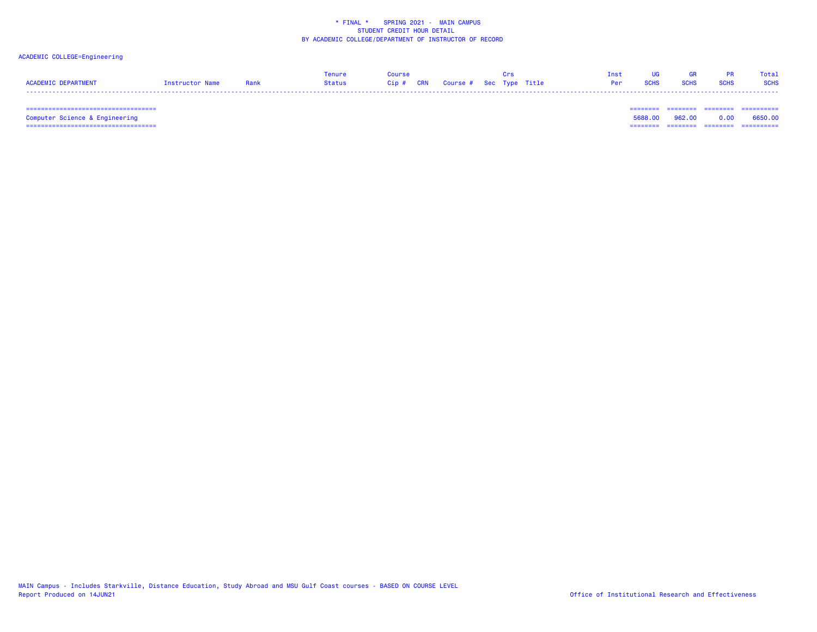## ACADEMIC COLLEGE=Engineering

|                     |                 |      | Tenure | <b>OUPSA</b> |                                        |  | Tnst       |             |             |             | Total       |
|---------------------|-----------------|------|--------|--------------|----------------------------------------|--|------------|-------------|-------------|-------------|-------------|
| ACADEMIC DEPARTMENT | Instructor Name | Rank | Status |              | Cip # CRN   Course #  Sec  Type  Title |  | <b>Per</b> | <b>SCHS</b> | <b>SCHS</b> | <b>SCHS</b> | <b>SCHS</b> |
|                     |                 |      |        |              |                                        |  |            |             |             |             |             |

 =================================== ======== ======== ======== ==========Computer Science & Engineering 5688.00 962.00 0.00 6650.00 =================================== ======== ======== ======== ==========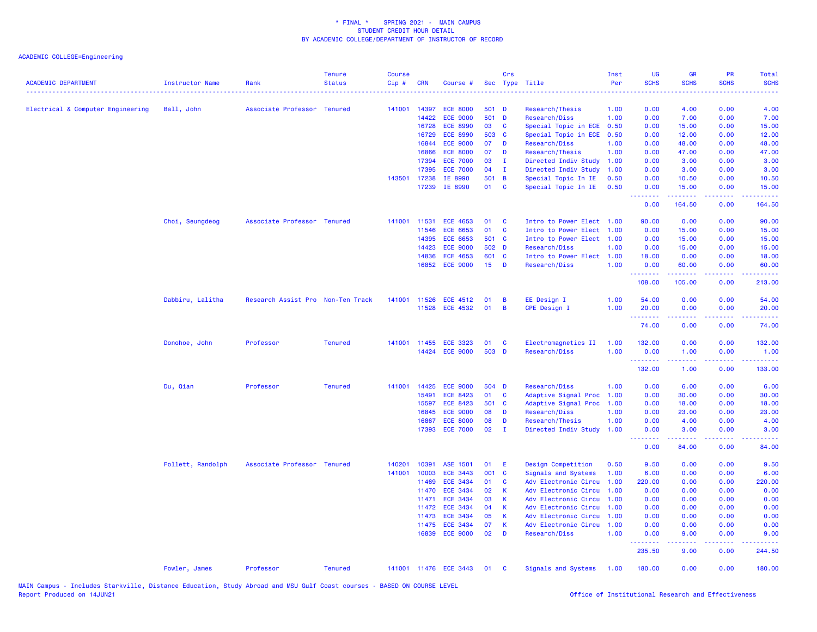| <b>ACADEMIC DEPARTMENT</b>        | <b>Instructor Name</b> | Rank                              | <b>Tenure</b><br><b>Status</b> | <b>Course</b><br>$Cip \#$ | <b>CRN</b>   | Course #              |                 | Crs            | Sec Type Title            | Inst<br>Per | UG<br><b>SCHS</b>                     | <b>GR</b><br><b>SCHS</b>                                                                                                                                     | PR<br><b>SCHS</b>               | <b>Total</b><br><b>SCHS</b>                                                                                                                                   |
|-----------------------------------|------------------------|-----------------------------------|--------------------------------|---------------------------|--------------|-----------------------|-----------------|----------------|---------------------------|-------------|---------------------------------------|--------------------------------------------------------------------------------------------------------------------------------------------------------------|---------------------------------|---------------------------------------------------------------------------------------------------------------------------------------------------------------|
| Electrical & Computer Engineering | Ball, John             | Associate Professor Tenured       |                                | 141001                    | 14397        | <b>ECE 8000</b>       | 501 D           |                | Research/Thesis           | 1.00        | 0.00                                  | 4.00                                                                                                                                                         | 0.00                            | 4.00                                                                                                                                                          |
|                                   |                        |                                   |                                |                           | 14422        | <b>ECE 9000</b>       | 501 D           |                | Research/Diss             | 1.00        | 0.00                                  | 7.00                                                                                                                                                         | 0.00                            | 7.00                                                                                                                                                          |
|                                   |                        |                                   |                                |                           | 16728        | <b>ECE 8990</b>       | 03              | $\mathbf{C}$   | Special Topic in ECE      | 0.50        | 0.00                                  | 15.00                                                                                                                                                        | 0.00                            | 15.00                                                                                                                                                         |
|                                   |                        |                                   |                                |                           | 16729        | <b>ECE 8990</b>       | 503 C           |                | Special Topic in ECE      | 0.50        | 0.00                                  | 12.00                                                                                                                                                        | 0.00                            | 12.00                                                                                                                                                         |
|                                   |                        |                                   |                                |                           | 16844        | <b>ECE 9000</b>       | 07              | D              | Research/Diss             | 1.00        | 0.00                                  | 48.00                                                                                                                                                        | 0.00                            | 48.00                                                                                                                                                         |
|                                   |                        |                                   |                                |                           | 16866        | <b>ECE 8000</b>       | 07              | D              | Research/Thesis           | 1.00        | 0.00                                  | 47.00                                                                                                                                                        | 0.00                            | 47.00                                                                                                                                                         |
|                                   |                        |                                   |                                |                           | 17394        | <b>ECE 7000</b>       | 03              | $\mathbf I$    | Directed Indiv Study      | 1.00        | 0.00                                  | 3.00                                                                                                                                                         | 0.00                            | 3.00                                                                                                                                                          |
|                                   |                        |                                   |                                |                           | 17395        | <b>ECE 7000</b>       | 04              | $\mathbf I$    | Directed Indiv Study      | 1.00        | 0.00                                  | 3.00                                                                                                                                                         | 0.00                            | 3.00                                                                                                                                                          |
|                                   |                        |                                   |                                | 143501                    | 17238        | IE 8990               | 501 B           |                | Special Topic In IE       | 0.50        | 0.00                                  | 10.50                                                                                                                                                        | 0.00                            | 10.50                                                                                                                                                         |
|                                   |                        |                                   |                                |                           | 17239        | IE 8990               | 01              | C              | Special Topic In IE       | 0.50        | 0.00<br>-----                         | 15.00<br>.                                                                                                                                                   | 0.00<br>.                       | 15.00<br>$\frac{1}{2} \left( \frac{1}{2} \right) \left( \frac{1}{2} \right) \left( \frac{1}{2} \right) \left( \frac{1}{2} \right) \left( \frac{1}{2} \right)$ |
|                                   |                        |                                   |                                |                           |              |                       |                 |                |                           |             | 0.00                                  | 164.50                                                                                                                                                       | 0.00                            | 164.50                                                                                                                                                        |
|                                   | Choi, Seungdeog        | Associate Professor Tenured       |                                | 141001                    | 11531        | <b>ECE 4653</b>       | 01              | <b>C</b>       | Intro to Power Elect 1.00 |             | 90.00                                 | 0.00                                                                                                                                                         | 0.00                            | 90.00                                                                                                                                                         |
|                                   |                        |                                   |                                |                           | 11546        | ECE 6653              | 01              | <b>C</b>       | Intro to Power Elect 1.00 |             | 0.00                                  | 15.00                                                                                                                                                        | 0.00                            | 15.00                                                                                                                                                         |
|                                   |                        |                                   |                                |                           | 14395        | <b>ECE 6653</b>       | 501 C           |                | Intro to Power Elect 1.00 |             | 0.00                                  | 15.00                                                                                                                                                        | 0.00                            | 15.00                                                                                                                                                         |
|                                   |                        |                                   |                                |                           | 14423        | <b>ECE 9000</b>       | 502 D           |                | Research/Diss             | 1.00        | 0.00                                  | 15.00                                                                                                                                                        | 0.00                            | 15.00                                                                                                                                                         |
|                                   |                        |                                   |                                |                           | 14836        | <b>ECE 4653</b>       | 601 C           |                | Intro to Power Elect 1.00 |             | 18.00                                 | 0.00                                                                                                                                                         | 0.00                            | 18.00                                                                                                                                                         |
|                                   |                        |                                   |                                |                           | 16852        | <b>ECE 9000</b>       | 15 <sub>1</sub> | <b>D</b>       | Research/Diss             | 1.00        | 0.00<br>.                             | 60.00                                                                                                                                                        | 0.00                            | 60.00                                                                                                                                                         |
|                                   |                        |                                   |                                |                           |              |                       |                 |                |                           |             | 108.00                                | 105.00                                                                                                                                                       | 0.00                            | 213.00                                                                                                                                                        |
|                                   | Dabbiru, Lalitha       | Research Assist Pro Non-Ten Track |                                | 141001                    | 11526        | ECE 4512              | 01              | $\overline{B}$ | EE Design I               | 1.00        | 54.00                                 | 0.00                                                                                                                                                         | 0.00                            | 54.00                                                                                                                                                         |
|                                   |                        |                                   |                                |                           | 11528        | <b>ECE 4532</b>       | 01              | $\overline{B}$ | CPE Design I              | 1.00        | 20.00<br>.                            | 0.00                                                                                                                                                         | 0.00                            | 20.00                                                                                                                                                         |
|                                   |                        |                                   |                                |                           |              |                       |                 |                |                           |             | 74.00                                 | 0.00                                                                                                                                                         | 0.00                            | 74.00                                                                                                                                                         |
|                                   | Donohoe, John          | Professor                         | <b>Tenured</b>                 |                           | 141001 11455 | <b>ECE 3323</b>       | 01              | C              | Electromagnetics II       | 1.00        | 132.00                                | 0.00                                                                                                                                                         | 0.00                            | 132.00                                                                                                                                                        |
|                                   |                        |                                   |                                |                           | 14424        | <b>ECE 9000</b>       | 503 D           |                | <b>Research/Diss</b>      | 1.00        | 0.00<br>.                             | 1.00<br>.                                                                                                                                                    | 0.00<br>$\omega$ is $\omega$ in | 1.00<br>.                                                                                                                                                     |
|                                   |                        |                                   |                                |                           |              |                       |                 |                |                           |             | 132.00                                | 1.00                                                                                                                                                         | 0.00                            | 133.00                                                                                                                                                        |
|                                   | Du, Qian               | Professor                         | <b>Tenured</b>                 | 141001                    | 14425        | <b>ECE 9000</b>       | 504 D           |                | Research/Diss             | 1.00        | 0.00                                  | 6.00                                                                                                                                                         | 0.00                            | 6.00                                                                                                                                                          |
|                                   |                        |                                   |                                |                           | 15491        | <b>ECE 8423</b>       | 01              | $\mathbf{C}$   | Adaptive Signal Proc      | 1.00        | 0.00                                  | 30.00                                                                                                                                                        | 0.00                            | 30.00                                                                                                                                                         |
|                                   |                        |                                   |                                |                           | 15597        | <b>ECE 8423</b>       | 501 C           |                | Adaptive Signal Proc      | 1.00        | 0.00                                  | 18.00                                                                                                                                                        | 0.00                            | 18.00                                                                                                                                                         |
|                                   |                        |                                   |                                |                           | 16845        | <b>ECE 9000</b>       | 08              | D              | Research/Diss             | 1.00        | 0.00                                  | 23.00                                                                                                                                                        | 0.00                            | 23.00                                                                                                                                                         |
|                                   |                        |                                   |                                |                           | 16867        | <b>ECE 8000</b>       | 08              | D              | Research/Thesis           | 1.00        | 0.00                                  | 4.00                                                                                                                                                         | 0.00                            | 4.00                                                                                                                                                          |
|                                   |                        |                                   |                                |                           | 17393        | <b>ECE 7000</b>       | 02              | $\mathbf I$    | Directed Indiv Study      | 1.00        | 0.00<br><b><i><u><u>.</u></u></i></b> | 3.00<br>$\frac{1}{2} \left( \frac{1}{2} \right) \left( \frac{1}{2} \right) \left( \frac{1}{2} \right) \left( \frac{1}{2} \right) \left( \frac{1}{2} \right)$ | 0.00                            | 3.00                                                                                                                                                          |
|                                   |                        |                                   |                                |                           |              |                       |                 |                |                           |             | 0.00                                  | 84.00                                                                                                                                                        | 0.00                            | 84.00                                                                                                                                                         |
|                                   | Follett, Randolph      | Associate Professor Tenured       |                                | 140201                    | 10391        | ASE 1501              | 01              | E              | Design Competition        | 0.50        | 9.50                                  | 0.00                                                                                                                                                         | 0.00                            | 9.50                                                                                                                                                          |
|                                   |                        |                                   |                                | 141001                    | 10003        | <b>ECE 3443</b>       | 001 C           |                | Signals and Systems       | 1.00        | 6.00                                  | 0.00                                                                                                                                                         | 0.00                            | 6.00                                                                                                                                                          |
|                                   |                        |                                   |                                |                           | 11469        | <b>ECE 3434</b>       | 01              | <b>C</b>       | Adv Electronic Circu      | 1.00        | 220.00                                | 0.00                                                                                                                                                         | 0.00                            | 220.00                                                                                                                                                        |
|                                   |                        |                                   |                                |                           | 11470        | <b>ECE 3434</b>       | 02              | K              | Adv Electronic Circu      | 1.00        | 0.00                                  | 0.00                                                                                                                                                         | 0.00                            | 0.00                                                                                                                                                          |
|                                   |                        |                                   |                                |                           | 11471        | <b>ECE 3434</b>       | 03              | К              | Adv Electronic Circu      | 1.00        | 0.00                                  | 0.00                                                                                                                                                         | 0.00                            | 0.00                                                                                                                                                          |
|                                   |                        |                                   |                                |                           | 11472        | <b>ECE 3434</b>       | 04              | K              | Adv Electronic Circu      | 1.00        | 0.00                                  | 0.00                                                                                                                                                         | 0.00                            | 0.00                                                                                                                                                          |
|                                   |                        |                                   |                                |                           | 11473        | <b>ECE 3434</b>       | 05              | K.             | Adv Electronic Circu      | 1.00        | 0.00                                  | 0.00                                                                                                                                                         | 0.00                            | 0.00                                                                                                                                                          |
|                                   |                        |                                   |                                |                           | 11475        | ECE 3434              | 07              | K              | Adv Electronic Circu      | 1.00        | 0.00                                  | 0.00                                                                                                                                                         | 0.00                            | 0.00                                                                                                                                                          |
|                                   |                        |                                   |                                |                           | 16839        | <b>ECE 9000</b>       | 02              | D              | Research/Diss             | 1.00        | 0.00<br>--------                      | 9.00<br>.                                                                                                                                                    | 0.00<br>.                       | 9.00                                                                                                                                                          |
|                                   |                        |                                   |                                |                           |              |                       |                 |                |                           |             | 235.50                                | 9.00                                                                                                                                                         | 0.00                            | 244.50                                                                                                                                                        |
|                                   | Fowler, James          | Professor                         | <b>Tenured</b>                 |                           |              | 141001 11476 ECE 3443 | 01              | <b>C</b>       | Signals and Systems       | 1.00        | 180.00                                | 0.00                                                                                                                                                         | 0.00                            | 180.00                                                                                                                                                        |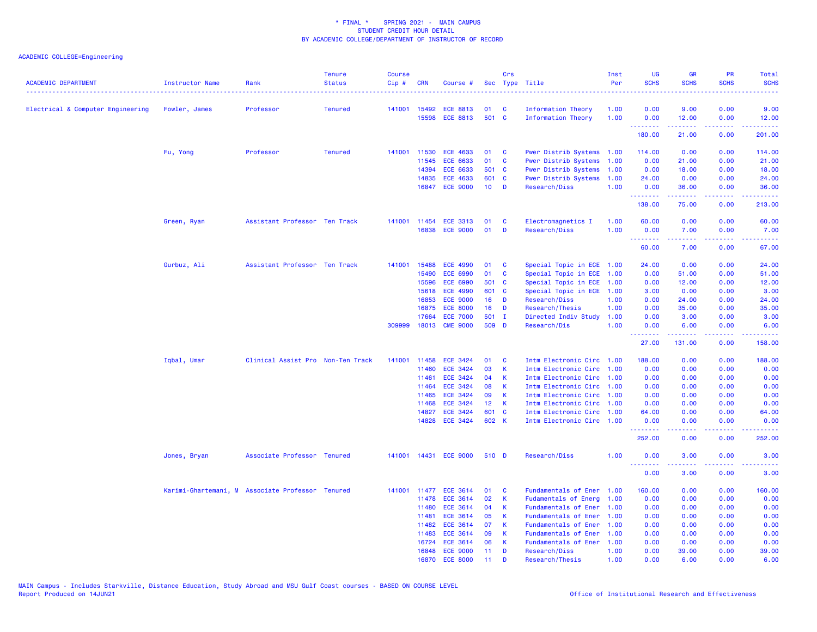| <b>ACADEMIC DEPARTMENT</b>        | Instructor Name                                  | Rank                              | <b>Tenure</b><br><b>Status</b> | <b>Course</b><br>Cip# | <b>CRN</b>     | Course #                           |                 | Crs          | Sec Type Title                                         | Inst<br>Per | UG<br><b>SCHS</b>                | <b>GR</b><br><b>SCHS</b>                                                                                                                                     | <b>PR</b><br><b>SCHS</b> | Total<br><b>SCHS</b><br>$\frac{1}{2} \left( \frac{1}{2} \right) \left( \frac{1}{2} \right) \left( \frac{1}{2} \right) \left( \frac{1}{2} \right)$            |
|-----------------------------------|--------------------------------------------------|-----------------------------------|--------------------------------|-----------------------|----------------|------------------------------------|-----------------|--------------|--------------------------------------------------------|-------------|----------------------------------|--------------------------------------------------------------------------------------------------------------------------------------------------------------|--------------------------|--------------------------------------------------------------------------------------------------------------------------------------------------------------|
| Electrical & Computer Engineering | Fowler, James                                    | Professor                         | <b>Tenured</b>                 |                       | 141001 15492   | <b>ECE 8813</b>                    | 01              | <b>C</b>     | Information Theory                                     | 1.00        | 0.00                             | 9.00                                                                                                                                                         | 0.00                     | 9.00                                                                                                                                                         |
|                                   |                                                  |                                   |                                |                       |                | 15598 ECE 8813                     | 501 C           |              | Information Theory                                     | 1.00        | 0.00<br>.                        | 12.00<br>.                                                                                                                                                   | 0.00<br>د د د د          | 12.00<br>.                                                                                                                                                   |
|                                   |                                                  |                                   |                                |                       |                |                                    |                 |              |                                                        |             | 180.00                           | 21.00                                                                                                                                                        | 0.00                     | 201.00                                                                                                                                                       |
|                                   | Fu, Yong                                         | Professor                         | <b>Tenured</b>                 | 141001                | 11530          | <b>ECE 4633</b>                    | 01              | $\mathbf{C}$ | Pwer Distrib Systems 1.00                              |             | 114.00                           | 0.00                                                                                                                                                         | 0.00                     | 114.00                                                                                                                                                       |
|                                   |                                                  |                                   |                                |                       | 11545          | <b>ECE 6633</b>                    | 01              | <b>C</b>     | Pwer Distrib Systems 1.00                              |             | 0.00                             | 21.00                                                                                                                                                        | 0.00                     | 21.00                                                                                                                                                        |
|                                   |                                                  |                                   |                                |                       | 14394          | <b>ECE 6633</b>                    | 501 C           |              | Pwer Distrib Systems 1.00                              |             | 0.00                             | 18.00                                                                                                                                                        | 0.00                     | 18.00                                                                                                                                                        |
|                                   |                                                  |                                   |                                |                       | 14835          | <b>ECE 4633</b>                    | 601 C           |              | Pwer Distrib Systems                                   | 1.00        | 24.00                            | 0.00                                                                                                                                                         | 0.00                     | 24.00                                                                                                                                                        |
|                                   |                                                  |                                   |                                |                       |                | 16847 ECE 9000                     | $10$ D          |              | Research/Diss                                          | 1.00        | 0.00<br><b>.</b> .               | 36.00                                                                                                                                                        | 0.00<br>بالمحامي         | 36.00<br>.                                                                                                                                                   |
|                                   |                                                  |                                   |                                |                       |                |                                    |                 |              |                                                        |             | 138.00                           | 75.00                                                                                                                                                        | 0.00                     | 213.00                                                                                                                                                       |
|                                   | Green, Ryan                                      | Assistant Professor Ten Track     |                                |                       |                | 141001 11454 ECE 3313              | 01              | $\mathbf{C}$ | Electromagnetics I                                     | 1.00        | 60.00                            | 0.00                                                                                                                                                         | 0.00                     | 60.00                                                                                                                                                        |
|                                   |                                                  |                                   |                                |                       |                | 16838 ECE 9000                     | 01              | <b>D</b>     | Research/Diss                                          | 1.00        | 0.00                             | 7.00                                                                                                                                                         | 0.00                     | 7.00                                                                                                                                                         |
|                                   |                                                  |                                   |                                |                       |                |                                    |                 |              |                                                        |             | <u> - - - - - - - -</u><br>60.00 | .<br>7.00                                                                                                                                                    | .<br>0.00                | .<br>67.00                                                                                                                                                   |
|                                   | Gurbuz, Ali                                      | Assistant Professor Ten Track     |                                | 141001                | 15488          | <b>ECE 4990</b>                    | 01              | <b>C</b>     | Special Topic in ECE 1.00                              |             | 24.00                            | 0.00                                                                                                                                                         | 0.00                     | 24.00                                                                                                                                                        |
|                                   |                                                  |                                   |                                |                       | 15490          | <b>ECE 6990</b>                    | 01              | $\mathbf{C}$ | Special Topic in ECE 1.00                              |             | 0.00                             | 51.00                                                                                                                                                        | 0.00                     | 51.00                                                                                                                                                        |
|                                   |                                                  |                                   |                                |                       | 15596          | <b>ECE 6990</b>                    | 501 C           |              | Special Topic in ECE 1.00                              |             | 0.00                             | 12.00                                                                                                                                                        | 0.00                     | 12.00                                                                                                                                                        |
|                                   |                                                  |                                   |                                |                       | 15618          | <b>ECE 4990</b>                    | 601 C           |              | Special Topic in ECE 1.00                              |             | 3.00                             | 0.00                                                                                                                                                         | 0.00                     | 3.00                                                                                                                                                         |
|                                   |                                                  |                                   |                                |                       | 16853          | <b>ECE 9000</b>                    | 16 <sup>1</sup> | D            | Research/Diss                                          | 1.00        | 0.00                             | 24.00                                                                                                                                                        | 0.00                     | 24.00                                                                                                                                                        |
|                                   |                                                  |                                   |                                |                       | 16875          | <b>ECE 8000</b>                    | 16              | D            | Research/Thesis                                        | 1.00        | 0.00                             | 35.00                                                                                                                                                        | 0.00                     | 35.00                                                                                                                                                        |
|                                   |                                                  |                                   |                                |                       | 17664          | <b>ECE 7000</b>                    | 501 I           |              | Directed Indiv Study                                   | 1.00        | 0.00                             | 3.00                                                                                                                                                         | 0.00                     | 3.00                                                                                                                                                         |
|                                   |                                                  |                                   |                                | 309999                |                | 18013 CME 9000                     | 509 D           |              | Research/Dis                                           | 1.00        | 0.00<br><u>.</u>                 | 6.00<br>. <u>.</u>                                                                                                                                           | 0.00<br>.                | 6.00<br>.                                                                                                                                                    |
|                                   |                                                  |                                   |                                |                       |                |                                    |                 |              |                                                        |             | 27.00                            | 131.00                                                                                                                                                       | 0.00                     | 158.00                                                                                                                                                       |
|                                   | Iqbal, Umar                                      | Clinical Assist Pro Non-Ten Track |                                | 141001                | 11458          | <b>ECE 3424</b>                    | 01              | <b>C</b>     | Intm Electronic Circ 1.00                              |             | 188.00                           | 0.00                                                                                                                                                         | 0.00                     | 188.00                                                                                                                                                       |
|                                   |                                                  |                                   |                                |                       | 11460          | <b>ECE 3424</b>                    | 03              | $\mathbf{K}$ | Intm Electronic Circ 1.00                              |             | 0.00                             | 0.00                                                                                                                                                         | 0.00                     | 0.00                                                                                                                                                         |
|                                   |                                                  |                                   |                                |                       | 11461          | <b>ECE 3424</b>                    | 04              | К            | Intm Electronic Circ 1.00                              |             | 0.00                             | 0.00                                                                                                                                                         | 0.00                     | 0.00                                                                                                                                                         |
|                                   |                                                  |                                   |                                |                       | 11464          | <b>ECE 3424</b>                    | 08              | к            | Intm Electronic Circ 1.00                              |             | 0.00                             | 0.00                                                                                                                                                         | 0.00                     | 0.00                                                                                                                                                         |
|                                   |                                                  |                                   |                                |                       | 11465          | <b>ECE 3424</b>                    | 09              | $\mathsf K$  | Intm Electronic Circ 1.00                              |             | 0.00                             | 0.00                                                                                                                                                         | 0.00                     | 0.00                                                                                                                                                         |
|                                   |                                                  |                                   |                                |                       | 11468          | <b>ECE 3424</b>                    | 12 <sub>2</sub> | K            | Intm Electronic Circ 1.00                              |             | 0.00                             | 0.00                                                                                                                                                         | 0.00                     | 0.00                                                                                                                                                         |
|                                   |                                                  |                                   |                                |                       | 14827          | <b>ECE 3424</b>                    | 601 C           |              | Intm Electronic Circ 1.00                              |             | 64.00                            | 0.00                                                                                                                                                         | 0.00                     | 64.00                                                                                                                                                        |
|                                   |                                                  |                                   |                                |                       |                | 14828 ECE 3424                     | 602 K           |              | Intm Electronic Circ 1.00                              |             | 0.00<br>.                        | 0.00<br>$\frac{1}{2} \left( \frac{1}{2} \right) \left( \frac{1}{2} \right) \left( \frac{1}{2} \right) \left( \frac{1}{2} \right) \left( \frac{1}{2} \right)$ | 0.00<br>.                | 0.00<br>$\frac{1}{2} \left( \frac{1}{2} \right) \left( \frac{1}{2} \right) \left( \frac{1}{2} \right) \left( \frac{1}{2} \right) \left( \frac{1}{2} \right)$ |
|                                   |                                                  |                                   |                                |                       |                |                                    |                 |              |                                                        |             | 252.00                           | 0.00                                                                                                                                                         | 0.00                     | 252.00                                                                                                                                                       |
|                                   | Jones, Bryan                                     | Associate Professor Tenured       |                                |                       |                | 141001 14431 ECE 9000              | 510 D           |              | Research/Diss                                          | 1.00        | 0.00<br><u>.</u>                 | 3.00<br>$\frac{1}{2} \left( \frac{1}{2} \right) \left( \frac{1}{2} \right) \left( \frac{1}{2} \right) \left( \frac{1}{2} \right) \left( \frac{1}{2} \right)$ | 0.00<br>.                | 3.00<br>.                                                                                                                                                    |
|                                   |                                                  |                                   |                                |                       |                |                                    |                 |              |                                                        |             | 0.00                             | 3.00                                                                                                                                                         | 0.00                     | 3.00                                                                                                                                                         |
|                                   | Karimi-Ghartemani, M Associate Professor Tenured |                                   |                                |                       | 141001 11477   | <b>ECE 3614</b>                    | 01              | <b>C</b>     | Fundamentals of Ener                                   | 1.00        | 160.00                           | 0.00                                                                                                                                                         | 0.00                     | 160.00                                                                                                                                                       |
|                                   |                                                  |                                   |                                |                       | 11478          | <b>ECE 3614</b>                    | 02              | K            | Fudamentals of Energ 1.00                              |             | 0.00                             | 0.00                                                                                                                                                         | 0.00                     | 0.00                                                                                                                                                         |
|                                   |                                                  |                                   |                                |                       | 11480          | <b>ECE 3614</b>                    | 04              | К            | Fundamentals of Ener                                   | 1.00        | 0.00                             | 0.00                                                                                                                                                         | 0.00                     | 0.00                                                                                                                                                         |
|                                   |                                                  |                                   |                                |                       | 11481          | ECE 3614                           | 05              | K.           | Fundamentals of Ener 1.00                              |             | 0.00                             | 0.00                                                                                                                                                         | 0.00                     | 0.00                                                                                                                                                         |
|                                   |                                                  |                                   |                                |                       | 11482<br>11483 | <b>ECE 3614</b><br><b>ECE 3614</b> | 07<br>09        | K<br>K       | Fundamentals of Ener 1.00<br>Fundamentals of Ener 1.00 |             | 0.00<br>0.00                     | 0.00<br>0.00                                                                                                                                                 | 0.00<br>0.00             | 0.00<br>0.00                                                                                                                                                 |
|                                   |                                                  |                                   |                                |                       | 16724          | <b>ECE 3614</b>                    | 06              | К            | Fundamentals of Ener 1.00                              |             | 0.00                             | 0.00                                                                                                                                                         | 0.00                     | 0.00                                                                                                                                                         |
|                                   |                                                  |                                   |                                |                       |                | 16848 ECE 9000                     | 11              | D            | Research/Diss                                          | 1.00        | 0.00                             | 39.00                                                                                                                                                        | 0.00                     | 39.00                                                                                                                                                        |
|                                   |                                                  |                                   |                                |                       |                | 16870 ECE 8000                     | 11              | D            | Research/Thesis                                        | 1.00        | 0.00                             | 6.00                                                                                                                                                         | 0.00                     | 6.00                                                                                                                                                         |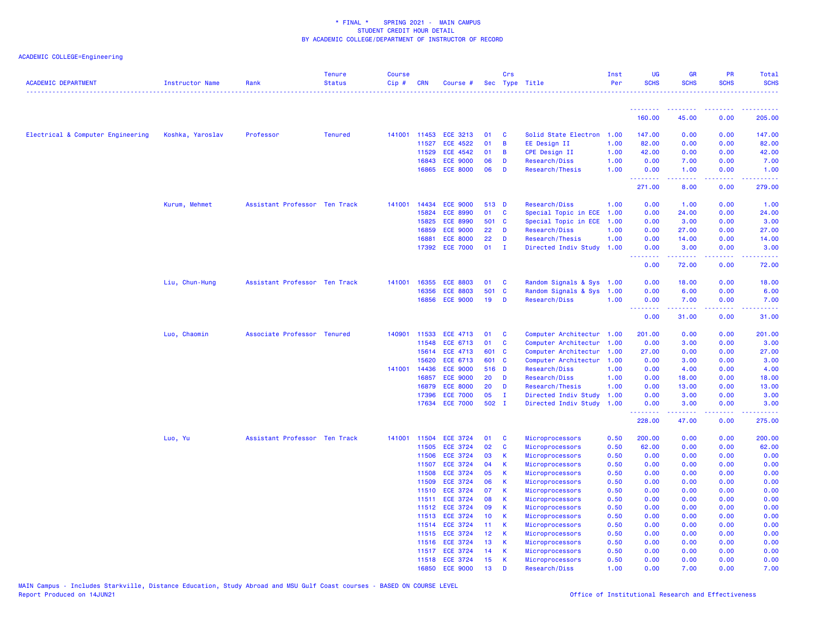| <b>ACADEMIC DEPARTMENT</b>        | Instructor Name  | Rank                          | <b>Tenure</b><br><b>Status</b> | <b>Course</b><br>Cip# | <b>CRN</b> | Course #                          |                 | Crs          | Sec Type Title                     | Inst<br>Per  | <b>UG</b><br><b>SCHS</b> | <b>GR</b><br><b>SCHS</b>                                                                                                          | <b>PR</b><br><b>SCHS</b> | <b>Total</b><br><b>SCHS</b><br>. |
|-----------------------------------|------------------|-------------------------------|--------------------------------|-----------------------|------------|-----------------------------------|-----------------|--------------|------------------------------------|--------------|--------------------------|-----------------------------------------------------------------------------------------------------------------------------------|--------------------------|----------------------------------|
|                                   |                  |                               |                                |                       |            |                                   |                 |              |                                    |              | <u>.</u>                 | <b><i><u><u><b>Little Little</b></u></u></i></b>                                                                                  | <u>.</u>                 | .                                |
|                                   |                  |                               |                                |                       |            |                                   |                 |              |                                    |              | 160.00                   | 45.00                                                                                                                             | 0.00                     | 205.00                           |
| Electrical & Computer Engineering | Koshka, Yaroslav | Professor                     | <b>Tenured</b>                 | 141001                | 11453      | <b>ECE 3213</b>                   | 01              | C            | Solid State Electron 1.00          |              | 147.00                   | 0.00                                                                                                                              | 0.00                     | 147.00                           |
|                                   |                  |                               |                                |                       | 11527      | <b>ECE 4522</b>                   | 01              | B            | EE Design II                       | 1.00         | 82.00                    | 0.00                                                                                                                              | 0.00                     | 82.00                            |
|                                   |                  |                               |                                |                       | 11529      | <b>ECE 4542</b>                   | 01              | B            | <b>CPE Design II</b>               | 1.00         | 42.00                    | 0.00                                                                                                                              | 0.00                     | 42.00                            |
|                                   |                  |                               |                                |                       | 16843      | <b>ECE 9000</b>                   | 06              | D            | Research/Diss                      | 1.00         | 0.00                     | 7.00                                                                                                                              | 0.00                     | 7.00                             |
|                                   |                  |                               |                                |                       | 16865      | <b>ECE 8000</b>                   | 06              | D            | Research/Thesis                    | 1.00         | 0.00<br><u>.</u>         | 1.00<br>$\frac{1}{2} \left( \frac{1}{2} \right) \left( \frac{1}{2} \right) \left( \frac{1}{2} \right) \left( \frac{1}{2} \right)$ | 0.00<br>.                | 1.00<br>.                        |
|                                   |                  |                               |                                |                       |            |                                   |                 |              |                                    |              | 271.00                   | 8.00                                                                                                                              | 0.00                     | 279.00                           |
|                                   | Kurum, Mehmet    | Assistant Professor Ten Track |                                | 141001                | 14434      | <b>ECE 9000</b>                   | 513 D           |              | Research/Diss                      | 1.00         | 0.00                     | 1.00                                                                                                                              | 0.00                     | 1.00                             |
|                                   |                  |                               |                                |                       | 15824      | <b>ECE 8990</b>                   | 01              | $\mathbf{C}$ | Special Topic in ECE               | 1.00         | 0.00                     | 24.00                                                                                                                             | 0.00                     | 24.00                            |
|                                   |                  |                               |                                |                       | 15825      | <b>ECE 8990</b>                   | 501 C           |              | Special Topic in ECE               | 1.00         | 0.00                     | 3.00                                                                                                                              | 0.00                     | 3.00                             |
|                                   |                  |                               |                                |                       | 16859      | <b>ECE 9000</b>                   | 22              | D            | Research/Diss                      | 1.00         | 0.00                     | 27.00                                                                                                                             | 0.00                     | 27.00                            |
|                                   |                  |                               |                                |                       | 16881      | <b>ECE 8000</b>                   | 22              | D            | Research/Thesis                    | 1.00         | 0.00                     | 14.00                                                                                                                             | 0.00                     | 14.00                            |
|                                   |                  |                               |                                |                       | 17392      | <b>ECE 7000</b>                   | 01              | $\mathbf{I}$ | Directed Indiv Study 1.00          |              | 0.00<br>.                | 3.00<br>.                                                                                                                         | 0.00<br>. <b>.</b>       | 3.00<br>.                        |
|                                   |                  |                               |                                |                       |            |                                   |                 |              |                                    |              | 0.00                     | 72.00                                                                                                                             | 0.00                     | 72.00                            |
|                                   | Liu, Chun-Hung   | Assistant Professor Ten Track |                                | 141001                | 16355      | <b>ECE 8803</b>                   | 01              | C            | Random Signals & Sys 1.00          |              | 0.00                     | 18.00                                                                                                                             | 0.00                     | 18.00                            |
|                                   |                  |                               |                                |                       | 16356      | <b>ECE 8803</b>                   | 501             | $\mathbf{C}$ | Random Signals & Sys 1.00          |              | 0.00                     | 6.00                                                                                                                              | 0.00                     | 6.00                             |
|                                   |                  |                               |                                |                       |            | 16856 ECE 9000                    | 19              | D            | Research/Diss                      | 1.00         | 0.00                     | 7.00                                                                                                                              | 0.00                     | 7.00                             |
|                                   |                  |                               |                                |                       |            |                                   |                 |              |                                    |              | <u>.</u><br>0.00         | .<br>31.00                                                                                                                        | .<br>0.00                | .<br>31.00                       |
|                                   | Luo, Chaomin     | Associate Professor Tenured   |                                | 140901                | 11533      | <b>ECE 4713</b>                   | 01              | C            | Computer Architectur 1.00          |              | 201.00                   | 0.00                                                                                                                              | 0.00                     | 201.00                           |
|                                   |                  |                               |                                |                       | 11548      | ECE 6713                          | 01              | C            | Computer Architectur               | 1.00         | 0.00                     | 3.00                                                                                                                              | 0.00                     | 3.00                             |
|                                   |                  |                               |                                |                       | 15614      | <b>ECE 4713</b>                   | 601             | <b>C</b>     | Computer Architectur               | 1.00         | 27.00                    | 0.00                                                                                                                              | 0.00                     | 27.00                            |
|                                   |                  |                               |                                |                       | 15620      | <b>ECE 6713</b>                   | 601 C           |              | Computer Architectur               | 1.00         | 0.00                     | 3.00                                                                                                                              | 0.00                     | 3.00                             |
|                                   |                  |                               |                                | 141001                | 14436      | <b>ECE 9000</b>                   | 516 D           |              | Research/Diss                      | 1.00         | 0.00                     | 4.00                                                                                                                              | 0.00                     | 4.00                             |
|                                   |                  |                               |                                |                       | 16857      | <b>ECE 9000</b>                   | 20              | D            | Research/Diss                      | 1.00         | 0.00                     | 18.00                                                                                                                             | 0.00                     | 18.00                            |
|                                   |                  |                               |                                |                       | 16879      | <b>ECE 8000</b>                   | 20              | D            | Research/Thesis                    | 1.00         | 0.00                     | 13.00                                                                                                                             | 0.00                     | 13.00                            |
|                                   |                  |                               |                                |                       | 17396      | <b>ECE 7000</b>                   | 05              | $\mathbf{I}$ | Directed Indiv Study               | 1.00         | 0.00                     | 3.00                                                                                                                              | 0.00                     | 3.00                             |
|                                   |                  |                               |                                |                       | 17634      | <b>ECE 7000</b>                   | 502 I           |              | Directed Indiv Study               | 1.00         | 0.00<br>.                | 3.00                                                                                                                              | 0.00                     | 3.00                             |
|                                   |                  |                               |                                |                       |            |                                   |                 |              |                                    |              | 228.00                   | 47.00                                                                                                                             | 0.00                     | 275.00                           |
|                                   | Luo, Yu          | Assistant Professor Ten Track |                                | 141001                | 11504      | <b>ECE 3724</b>                   | 01              | C            | Microprocessors                    | 0.50         | 200.00                   | 0.00                                                                                                                              | 0.00                     | 200.00                           |
|                                   |                  |                               |                                |                       | 11505      | <b>ECE 3724</b>                   | 02              | C            | Microprocessors                    | 0.50         | 62.00                    | 0.00                                                                                                                              | 0.00                     | 62.00                            |
|                                   |                  |                               |                                |                       | 11506      | <b>ECE 3724</b>                   | 03              | K            | Microprocessors                    | 0.50         | 0.00                     | 0.00                                                                                                                              | 0.00                     | 0.00                             |
|                                   |                  |                               |                                |                       | 11507      | <b>ECE 3724</b>                   | 04              | К            | Microprocessors                    | 0.50         | 0.00                     | 0.00                                                                                                                              | 0.00                     | 0.00                             |
|                                   |                  |                               |                                |                       | 11508      | <b>ECE 3724</b>                   | 05              | $\mathsf{K}$ | Microprocessors                    | 0.50         | 0.00                     | 0.00                                                                                                                              | 0.00                     | 0.00                             |
|                                   |                  |                               |                                |                       | 11509      | <b>ECE 3724</b>                   | 06              | $\mathsf{K}$ | Microprocessors                    | 0.50         | 0.00                     | 0.00                                                                                                                              | 0.00                     | 0.00                             |
|                                   |                  |                               |                                |                       | 11510      | <b>ECE 3724</b>                   | 07              | К            | Microprocessors                    | 0.50         | 0.00                     | 0.00                                                                                                                              | 0.00                     | 0.00                             |
|                                   |                  |                               |                                |                       | 11511      | <b>ECE 3724</b><br>11512 ECE 3724 | 08<br>09        | $\mathsf{K}$ | Microprocessors                    | 0.50         | 0.00                     | 0.00                                                                                                                              | 0.00                     | 0.00                             |
|                                   |                  |                               |                                |                       | 11513      | <b>ECE 3724</b>                   | 10 <sub>1</sub> | К<br>K       | Microprocessors<br>Microprocessors | 0.50<br>0.50 | 0.00<br>0.00             | 0.00<br>0.00                                                                                                                      | 0.00<br>0.00             | 0.00<br>0.00                     |
|                                   |                  |                               |                                |                       | 11514      | <b>ECE 3724</b>                   | 11              | К            |                                    | 0.50         | 0.00                     | 0.00                                                                                                                              | 0.00                     | 0.00                             |
|                                   |                  |                               |                                |                       | 11515      | <b>ECE 3724</b>                   | 12              | К            | Microprocessors<br>Microprocessors | 0.50         | 0.00                     | 0.00                                                                                                                              | 0.00                     | 0.00                             |
|                                   |                  |                               |                                |                       | 11516      | <b>ECE 3724</b>                   | 13              | K            | Microprocessors                    | 0.50         | 0.00                     | 0.00                                                                                                                              | 0.00                     | 0.00                             |
|                                   |                  |                               |                                |                       |            | 11517 ECE 3724                    | 14              | K            | Microprocessors                    | 0.50         | 0.00                     | 0.00                                                                                                                              | 0.00                     | 0.00                             |
|                                   |                  |                               |                                |                       |            | 11518 ECE 3724                    | 15              | К            | Microprocessors                    | 0.50         | 0.00                     | 0.00                                                                                                                              | 0.00                     | 0.00                             |
|                                   |                  |                               |                                |                       |            | 16850 ECE 9000                    | 13              | D            | Research/Diss                      | 1.00         | 0.00                     | 7.00                                                                                                                              | 0.00                     | 7.00                             |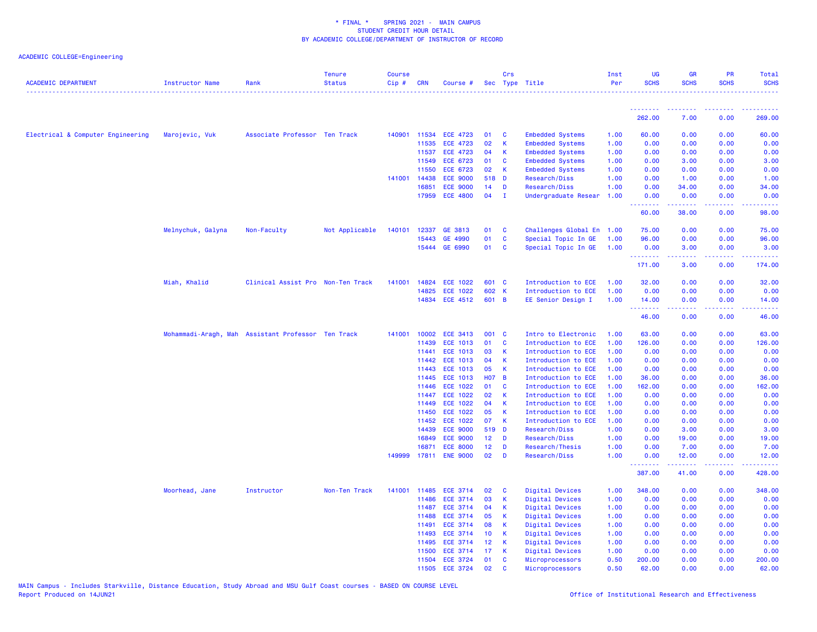| <b>ACADEMIC DEPARTMENT</b>        | <b>Instructor Name</b>                             | Rank                              | <b>Tenure</b><br><b>Status</b> | <b>Course</b><br>Cip# | <b>CRN</b>     | Course #                           |                       | Crs            | Sec Type Title                     | Inst<br>Per  | <b>UG</b><br><b>SCHS</b> | <b>GR</b><br><b>SCHS</b>                                                                                                                                     | PR<br><b>SCHS</b>   | Total<br><b>SCHS</b>    |
|-----------------------------------|----------------------------------------------------|-----------------------------------|--------------------------------|-----------------------|----------------|------------------------------------|-----------------------|----------------|------------------------------------|--------------|--------------------------|--------------------------------------------------------------------------------------------------------------------------------------------------------------|---------------------|-------------------------|
|                                   |                                                    |                                   |                                |                       |                |                                    |                       |                |                                    |              |                          |                                                                                                                                                              |                     |                         |
|                                   |                                                    |                                   |                                |                       |                |                                    |                       |                |                                    |              | 262.00                   | 7.00                                                                                                                                                         | 0.00                | 269.00                  |
| Electrical & Computer Engineering | Marojevic, Vuk                                     | Associate Professor Ten Track     |                                | 140901                | 11534          | <b>ECE 4723</b>                    | 01                    | C              | <b>Embedded Systems</b>            | 1.00         | 60.00                    | 0.00                                                                                                                                                         | 0.00                | 60.00                   |
|                                   |                                                    |                                   |                                |                       | 11535          | <b>ECE 4723</b>                    | 02                    | $\mathsf{K}$   | <b>Embedded Systems</b>            | 1.00         | 0.00                     | 0.00                                                                                                                                                         | 0.00                | 0.00                    |
|                                   |                                                    |                                   |                                |                       | 11537          | <b>ECE 4723</b>                    | 04                    | К              | <b>Embedded Systems</b>            | 1.00         | 0.00                     | 0.00                                                                                                                                                         | 0.00                | 0.00                    |
|                                   |                                                    |                                   |                                |                       | 11549          | <b>ECE 6723</b>                    | 01                    | C              | <b>Embedded Systems</b>            | 1.00         | 0.00                     | 3.00                                                                                                                                                         | 0.00                | 3.00                    |
|                                   |                                                    |                                   |                                |                       | 11550          | <b>ECE 6723</b>                    | 02                    | K              | <b>Embedded Systems</b>            | 1.00         | 0.00                     | 0.00                                                                                                                                                         | 0.00                | 0.00                    |
|                                   |                                                    |                                   |                                | 141001                | 14438          | <b>ECE 9000</b>                    | 518 D                 |                | Research/Diss                      | 1.00         | 0.00                     | 1.00                                                                                                                                                         | 0.00                | 1.00                    |
|                                   |                                                    |                                   |                                |                       | 16851          | <b>ECE 9000</b>                    | 14                    | D              | Research/Diss                      | 1.00         | 0.00                     | 34.00                                                                                                                                                        | 0.00                | 34.00                   |
|                                   |                                                    |                                   |                                |                       | 17959          | <b>ECE 4800</b>                    | 04                    | $\mathbf{I}$   | Undergraduate Resear               | 1.00         | 0.00<br>.                | 0.00<br>$\frac{1}{2} \left( \frac{1}{2} \right) \left( \frac{1}{2} \right) \left( \frac{1}{2} \right) \left( \frac{1}{2} \right) \left( \frac{1}{2} \right)$ | 0.00<br>.           | 0.00<br>.               |
|                                   |                                                    |                                   |                                |                       |                |                                    |                       |                |                                    |              | 60.00                    | 38.00                                                                                                                                                        | 0.00                | 98.00                   |
|                                   | Melnychuk, Galyna                                  | Non-Faculty                       | Not Applicable                 | 140101                | 12337          | GE 3813                            | 01                    | C              | Challenges Global En 1.00          |              | 75.00                    | 0.00                                                                                                                                                         | 0.00                | 75.00                   |
|                                   |                                                    |                                   |                                |                       | 15443          | GE 4990                            | 01                    | C              | Special Topic In GE                | 1.00         | 96.00                    | 0.00                                                                                                                                                         | 0.00                | 96.00                   |
|                                   |                                                    |                                   |                                |                       | 15444          | GE 6990                            | 01                    | C              | Special Topic In GE                | 1.00         | 0.00<br>.                | 3.00<br>$- - - - -$                                                                                                                                          | 0.00<br>.           | 3.00<br>$- - - - - - -$ |
|                                   |                                                    |                                   |                                |                       |                |                                    |                       |                |                                    |              | 171.00                   | 3.00                                                                                                                                                         | 0.00                | 174.00                  |
|                                   | Miah, Khalid                                       | Clinical Assist Pro Non-Ten Track |                                | 141001                | 14824          | <b>ECE 1022</b>                    | 601 C                 |                | Introduction to ECE                | 1.00         | 32.00                    | 0.00                                                                                                                                                         | 0.00                | 32.00                   |
|                                   |                                                    |                                   |                                |                       | 14825          | <b>ECE 1022</b>                    | 602 K                 |                | Introduction to ECE                | 1.00         | 0.00                     | 0.00                                                                                                                                                         | 0.00                | 0.00                    |
|                                   |                                                    |                                   |                                |                       |                | 14834 ECE 4512                     | 601 B                 |                | EE Senior Design I                 | 1.00         | 14.00                    | 0.00                                                                                                                                                         | 0.00                | 14.00                   |
|                                   |                                                    |                                   |                                |                       |                |                                    |                       |                |                                    |              | .<br>46.00               | الدامات مال<br>0.00                                                                                                                                          | .<br>0.00           | .<br>46.00              |
|                                   | Mohammadi-Aragh, Mah Assistant Professor Ten Track |                                   |                                | 141001                | 10002          | <b>ECE 3413</b>                    | 001 C                 |                | Intro to Electronic                | 1.00         | 63.00                    | 0.00                                                                                                                                                         | 0.00                | 63.00                   |
|                                   |                                                    |                                   |                                |                       | 11439          | <b>ECE 1013</b>                    | 01                    | C              | Introduction to ECE                | 1.00         | 126.00                   | 0.00                                                                                                                                                         | 0.00                | 126.00                  |
|                                   |                                                    |                                   |                                |                       | 11441          | <b>ECE 1013</b>                    | 03                    | К              | Introduction to ECE                | 1.00         | 0.00                     | 0.00                                                                                                                                                         | 0.00                | 0.00                    |
|                                   |                                                    |                                   |                                |                       | 11442          | <b>ECE 1013</b>                    | 04                    | K              | Introduction to ECE                | 1.00         | 0.00                     | 0.00                                                                                                                                                         | 0.00                | 0.00                    |
|                                   |                                                    |                                   |                                |                       | 11443          | <b>ECE 1013</b>                    | 05                    | К              | Introduction to ECE                | 1.00         | 0.00                     | 0.00                                                                                                                                                         | 0.00                | 0.00                    |
|                                   |                                                    |                                   |                                |                       | 11445          | <b>ECE 1013</b>                    | <b>HO7</b>            | $\overline{B}$ | Introduction to ECE                | 1.00         | 36.00                    | 0.00                                                                                                                                                         | 0.00                | 36.00                   |
|                                   |                                                    |                                   |                                |                       | 11446          | <b>ECE 1022</b>                    | 01                    | C              | Introduction to ECE                | 1.00         | 162.00                   | 0.00                                                                                                                                                         | 0.00                | 162.00                  |
|                                   |                                                    |                                   |                                |                       | 11447          | <b>ECE 1022</b>                    | 02                    | $\mathsf{K}$   | Introduction to ECE                | 1.00         | 0.00                     | 0.00                                                                                                                                                         | 0.00                | 0.00                    |
|                                   |                                                    |                                   |                                |                       | 11449          | <b>ECE 1022</b>                    | 04                    | К              | Introduction to ECE                | 1.00         | 0.00                     | 0.00                                                                                                                                                         | 0.00                | 0.00                    |
|                                   |                                                    |                                   |                                |                       | 11450          | <b>ECE 1022</b>                    | 05                    | К              | Introduction to ECE                | 1.00         | 0.00                     | 0.00                                                                                                                                                         | 0.00                | 0.00                    |
|                                   |                                                    |                                   |                                |                       | 11452          | <b>ECE 1022</b>                    | 07                    | K              | Introduction to ECE                | 1.00         | 0.00                     | 0.00                                                                                                                                                         | 0.00                | 0.00                    |
|                                   |                                                    |                                   |                                |                       | 14439          | <b>ECE 9000</b>                    | 519 D                 |                | Research/Diss                      | 1.00         | 0.00                     | 3.00                                                                                                                                                         | 0.00                | 3.00                    |
|                                   |                                                    |                                   |                                |                       | 16849          | <b>ECE 9000</b>                    | 12 <sub>1</sub>       | D              | Research/Diss                      | 1.00         | 0.00                     | 19.00                                                                                                                                                        | 0.00                | 19.00                   |
|                                   |                                                    |                                   |                                | 149999                | 16871<br>17811 | <b>ECE 8000</b><br><b>ENE 9000</b> | 12 <sub>2</sub><br>02 | D<br>D         | Research/Thesis<br>Research/Diss   | 1.00<br>1.00 | 0.00<br>0.00             | 7.00<br>12.00                                                                                                                                                | 0.00<br>0.00        | 7.00<br>12.00           |
|                                   |                                                    |                                   |                                |                       |                |                                    |                       |                |                                    |              | .<br>387.00              | 2.2.2.2.2<br>41.00                                                                                                                                           | الداعات بال<br>0.00 | .<br>428.00             |
|                                   |                                                    |                                   |                                | 141001                | 11485          | <b>ECE 3714</b>                    | 02                    | C              |                                    | 1.00         | 348.00                   | 0.00                                                                                                                                                         | 0.00                | 348.00                  |
|                                   | Moorhead, Jane                                     | Instructor                        | Non-Ten Track                  |                       | 11486          | <b>ECE 3714</b>                    | 03                    | К              | Digital Devices<br>Digital Devices | 1.00         | 0.00                     | 0.00                                                                                                                                                         | 0.00                | 0.00                    |
|                                   |                                                    |                                   |                                |                       | 11487          | <b>ECE 3714</b>                    | 04                    | К              | Digital Devices                    | 1.00         | 0.00                     | 0.00                                                                                                                                                         | 0.00                | 0.00                    |
|                                   |                                                    |                                   |                                |                       | 11488          | <b>ECE 3714</b>                    | 05                    | К              | <b>Digital Devices</b>             | 1.00         | 0.00                     | 0.00                                                                                                                                                         | 0.00                | 0.00                    |
|                                   |                                                    |                                   |                                |                       | 11491          | <b>ECE 3714</b>                    | 08                    | К              | <b>Digital Devices</b>             | 1.00         | 0.00                     | 0.00                                                                                                                                                         | 0.00                | 0.00                    |
|                                   |                                                    |                                   |                                |                       | 11493          | <b>ECE 3714</b>                    | 10 <sub>1</sub>       | К              | <b>Digital Devices</b>             | 1.00         | 0.00                     | 0.00                                                                                                                                                         | 0.00                | 0.00                    |
|                                   |                                                    |                                   |                                |                       | 11495          | <b>ECE 3714</b>                    | 12 <sub>2</sub>       | K              | Digital Devices                    | 1.00         | 0.00                     | 0.00                                                                                                                                                         | 0.00                | 0.00                    |
|                                   |                                                    |                                   |                                |                       | 11500          | <b>ECE 3714</b>                    | 17                    | К              | Digital Devices                    | 1.00         | 0.00                     | 0.00                                                                                                                                                         | 0.00                | 0.00                    |
|                                   |                                                    |                                   |                                |                       | 11504          | <b>ECE 3724</b>                    | 01                    | $\mathbf{C}$   | Microprocessors                    | 0.50         | 200.00                   | 0.00                                                                                                                                                         | 0.00                | 200.00                  |
|                                   |                                                    |                                   |                                |                       | 11505          | <b>ECE 3724</b>                    | 02                    | $\mathbf{C}$   | Microprocessors                    | 0.50         | 62.00                    | 0.00                                                                                                                                                         | 0.00                | 62.00                   |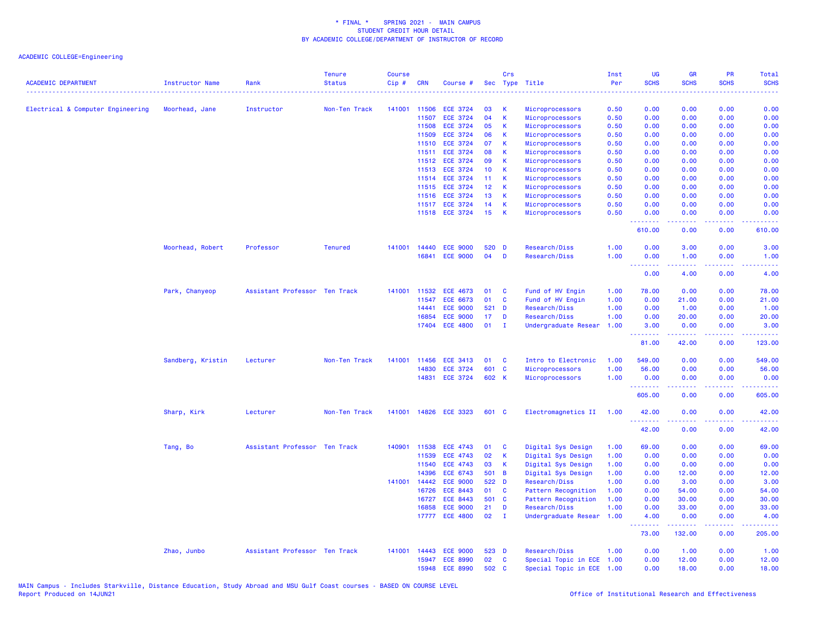| <b>ACADEMIC DEPARTMENT</b>        | <b>Instructor Name</b> | Rank                          | <b>Tenure</b><br><b>Status</b> | <b>Course</b><br>Cip# | <b>CRN</b>   | Course #        |                 | Crs          | Sec Type Title                             | Inst<br>Per | <b>UG</b><br><b>SCHS</b>                                  | <b>GR</b><br><b>SCHS</b> | PR<br><b>SCHS</b>                   | Total<br><b>SCHS</b>        |
|-----------------------------------|------------------------|-------------------------------|--------------------------------|-----------------------|--------------|-----------------|-----------------|--------------|--------------------------------------------|-------------|-----------------------------------------------------------|--------------------------|-------------------------------------|-----------------------------|
|                                   |                        |                               |                                |                       |              |                 |                 |              |                                            | .           | $\omega = \omega + \omega$                                |                          |                                     | .                           |
| Electrical & Computer Engineering | Moorhead, Jane         | Instructor                    | Non-Ten Track                  | 141001                | 11506        | <b>ECE 3724</b> | 03              | к            | Microprocessors                            | 0.50        | 0.00                                                      | 0.00                     | 0.00                                | 0.00                        |
|                                   |                        |                               |                                |                       | 11507        | <b>ECE 3724</b> | 04              | K            | Microprocessors                            | 0.50        | 0.00                                                      | 0.00                     | 0.00                                | 0.00                        |
|                                   |                        |                               |                                |                       | 11508        | <b>ECE 3724</b> | 05              | К            | Microprocessors                            | 0.50        | 0.00                                                      | 0.00                     | 0.00                                | 0.00                        |
|                                   |                        |                               |                                |                       | 11509        | <b>ECE 3724</b> | 06              | К            | Microprocessors                            | 0.50        | 0.00                                                      | 0.00                     | 0.00                                | 0.00                        |
|                                   |                        |                               |                                |                       | 11510        | <b>ECE 3724</b> | 07              | К            | Microprocessors                            | 0.50        | 0.00                                                      | 0.00                     | 0.00                                | 0.00                        |
|                                   |                        |                               |                                |                       | 11511        | <b>ECE 3724</b> | 08              | К            | Microprocessors                            | 0.50        | 0.00                                                      | 0.00                     | 0.00                                | 0.00                        |
|                                   |                        |                               |                                |                       | 11512        | <b>ECE 3724</b> | 09              | $\mathsf K$  | Microprocessors                            | 0.50        | 0.00                                                      | 0.00                     | 0.00                                | 0.00                        |
|                                   |                        |                               |                                |                       | 11513        | <b>ECE 3724</b> | 10              | К            | Microprocessors                            | 0.50        | 0.00                                                      | 0.00                     | 0.00                                | 0.00                        |
|                                   |                        |                               |                                |                       | 11514        | <b>ECE 3724</b> | 11              | К            | Microprocessors                            | 0.50        | 0.00                                                      | 0.00                     | 0.00                                | 0.00                        |
|                                   |                        |                               |                                |                       | 11515        | <b>ECE 3724</b> | 12 <sup>2</sup> | К            | Microprocessors                            | 0.50        | 0.00                                                      | 0.00                     | 0.00                                | 0.00                        |
|                                   |                        |                               |                                |                       | 11516        | <b>ECE 3724</b> | 13              | К            | Microprocessors                            | 0.50        | 0.00                                                      | 0.00                     | 0.00                                | 0.00                        |
|                                   |                        |                               |                                |                       |              | 11517 ECE 3724  | 14              | К            | Microprocessors                            | 0.50        | 0.00                                                      | 0.00                     | 0.00                                | 0.00                        |
|                                   |                        |                               |                                |                       |              | 11518 ECE 3724  | 15              | К            | Microprocessors                            | 0.50        | 0.00<br>.                                                 | 0.00<br>22222            | 0.00<br>.                           | 0.00<br>.                   |
|                                   |                        |                               |                                |                       |              |                 |                 |              |                                            |             | 610.00                                                    | 0.00                     | 0.00                                | 610.00                      |
|                                   | Moorhead, Robert       | Professor                     | <b>Tenured</b>                 | 141001                | 14440        | <b>ECE 9000</b> | 520             | D            | Research/Diss                              | 1.00        | 0.00                                                      | 3.00                     | 0.00                                | 3.00                        |
|                                   |                        |                               |                                |                       | 16841        | <b>ECE 9000</b> | 04              | D            | Research/Diss                              | 1.00        | 0.00                                                      | 1.00                     | 0.00                                | 1.00                        |
|                                   |                        |                               |                                |                       |              |                 |                 |              |                                            |             | <u>.</u>                                                  | .                        | .                                   | $\sim$ $\sim$ $\sim$ $\sim$ |
|                                   |                        |                               |                                |                       |              |                 |                 |              |                                            |             | 0.00                                                      | 4.00                     | 0.00                                | 4.00                        |
|                                   | Park, Chanyeop         | Assistant Professor Ten Track |                                | 141001                | 11532        | <b>ECE 4673</b> | 01              | C            | Fund of HV Engin                           | 1.00        | 78.00                                                     | 0.00                     | 0.00                                | 78.00                       |
|                                   |                        |                               |                                |                       | 11547        | <b>ECE 6673</b> | 01              | C            | Fund of HV Engin                           | 1.00        | 0.00                                                      | 21.00                    | 0.00                                | 21.00                       |
|                                   |                        |                               |                                |                       | 14441        | <b>ECE 9000</b> | 521 D           |              | Research/Diss                              | 1.00        | 0.00                                                      | 1.00                     | 0.00                                | 1.00                        |
|                                   |                        |                               |                                |                       | 16854        | <b>ECE 9000</b> | 17              | D            | Research/Diss                              | 1.00        | 0.00                                                      | 20.00                    | 0.00                                | 20.00                       |
|                                   |                        |                               |                                |                       |              | 17404 ECE 4800  | 01              | $\mathbf{I}$ | Undergraduate Resear                       | 1.00        | 3.00                                                      | 0.00                     | 0.00                                | 3.00                        |
|                                   |                        |                               |                                |                       |              |                 |                 |              |                                            |             | <b><i><u><u><b>Little Little</b></u></u></i></b><br>81.00 | 2.2.2.2.2<br>42.00       | $\sim$ $\sim$ $\sim$ $\sim$<br>0.00 | 2.2.2.2.1<br>123.00         |
|                                   | Sandberg, Kristin      | Lecturer                      | Non-Ten Track                  | 141001                | 11456        | <b>ECE 3413</b> | 01              | C            | Intro to Electronic                        | 1.00        | 549.00                                                    | 0.00                     | 0.00                                | 549.00                      |
|                                   |                        |                               |                                |                       | 14830        | <b>ECE 3724</b> | 601             | $\mathbf{C}$ | Microprocessors                            | 1.00        | 56.00                                                     | 0.00                     | 0.00                                | 56.00                       |
|                                   |                        |                               |                                |                       | 14831        | <b>ECE 3724</b> | 602 K           |              | Microprocessors                            | 1.00        | 0.00                                                      | 0.00                     | 0.00                                | 0.00                        |
|                                   |                        |                               |                                |                       |              |                 |                 |              |                                            |             | <u>.</u><br>605.00                                        | 0.00                     | 0.00                                | .<br>605.00                 |
|                                   | Sharp, Kirk            | Lecturer                      | Non-Ten Track                  | 141001                |              | 14826 ECE 3323  | 601 C           |              | Electromagnetics II                        | 1.00        | 42.00                                                     | 0.00                     | 0.00                                | 42.00                       |
|                                   |                        |                               |                                |                       |              |                 |                 |              |                                            |             | .<br>42.00                                                | 0.00                     | بالمحام<br>0.00                     | المتماما<br>42.00           |
|                                   |                        | Assistant Professor Ten Track |                                | 140901                | 11538        | <b>ECE 4743</b> | 01              | C            | Digital Sys Design                         | 1.00        | 69.00                                                     | 0.00                     | 0.00                                | 69.00                       |
|                                   | Tang, Bo               |                               |                                |                       | 11539        | <b>ECE 4743</b> | 02              | K            | Digital Sys Design                         | 1.00        | 0.00                                                      | 0.00                     | 0.00                                | 0.00                        |
|                                   |                        |                               |                                |                       | 11540        | <b>ECE 4743</b> | 03              | К            | Digital Sys Design                         | 1.00        | 0.00                                                      | 0.00                     | 0.00                                | 0.00                        |
|                                   |                        |                               |                                |                       | 14396        | <b>ECE 6743</b> | 501             | B            |                                            | 1.00        | 0.00                                                      | 12.00                    | 0.00                                | 12.00                       |
|                                   |                        |                               |                                |                       | 141001 14442 | <b>ECE 9000</b> | 522 D           |              | Digital Sys Design<br>Research/Diss        | 1.00        | 0.00                                                      | 3.00                     | 0.00                                | 3.00                        |
|                                   |                        |                               |                                |                       | 16726        | <b>ECE 8443</b> | 01              | <b>C</b>     |                                            | 1.00        |                                                           | 54.00                    | 0.00                                |                             |
|                                   |                        |                               |                                |                       | 16727        | <b>ECE 8443</b> | 501 C           |              | Pattern Recognition<br>Pattern Recognition | 1.00        | 0.00<br>0.00                                              | 30.00                    | 0.00                                | 54.00<br>30.00              |
|                                   |                        |                               |                                |                       | 16858        | <b>ECE 9000</b> | 21              | D            |                                            | 1.00        | 0.00                                                      | 33.00                    | 0.00                                | 33.00                       |
|                                   |                        |                               |                                |                       |              | 17777 ECE 4800  | 02              | $\mathbf{I}$ | Research/Diss<br>Undergraduate Resear      | 1.00        | 4.00                                                      | 0.00                     | 0.00                                | 4.00                        |
|                                   |                        |                               |                                |                       |              |                 |                 |              |                                            |             | .<br>73.00                                                | .<br>132.00              | د د د د .<br>0.00                   | .<br>205.00                 |
|                                   | Zhao, Junbo            | Assistant Professor Ten Track |                                | 141001                | 14443        | <b>ECE 9000</b> | 523 D           |              | Research/Diss                              | 1.00        | 0.00                                                      | 1.00                     | 0.00                                | 1.00                        |
|                                   |                        |                               |                                |                       | 15947        | <b>ECE 8990</b> | 02              | $\mathbf{C}$ | Special Topic in ECE                       | 1.00        | 0.00                                                      | 12.00                    | 0.00                                | 12.00                       |
|                                   |                        |                               |                                |                       | 15948        | <b>ECE 8990</b> | 502             | C            | Special Topic in ECE 1.00                  |             | 0.00                                                      | 18.00                    | 0.00                                | 18.00                       |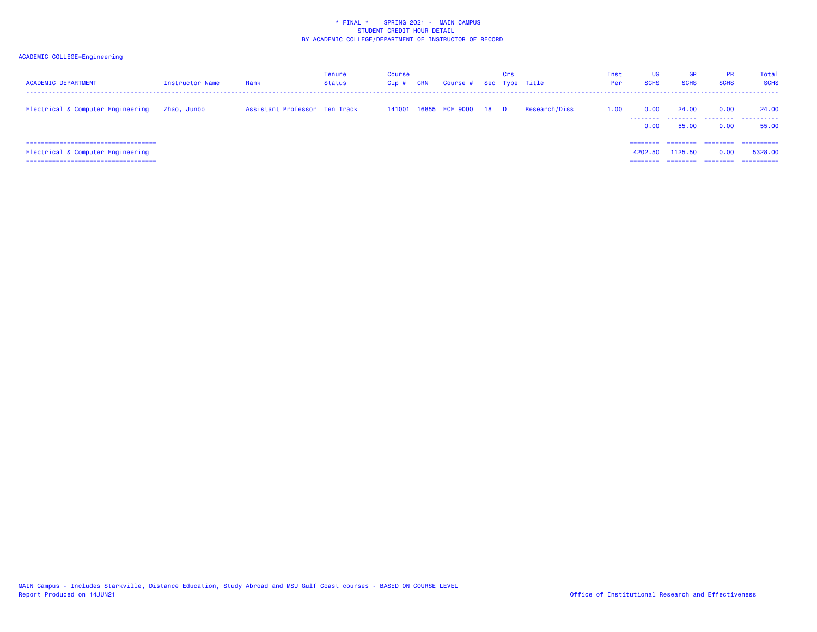| <b>ACADEMIC DEPARTMENT</b>                                                                                   | Instructor Name | Rank                          | <b>Tenure</b><br><b>Status</b> | Course<br>$Cip$ # | <b>CRN</b> | Course # Sec Type Title |    | Crs      |               | Inst<br>Per | <b>UG</b><br><b>SCHS</b>  | <b>GR</b><br><b>SCHS</b> | <b>PR</b><br><b>SCHS</b> | Total<br><b>SCHS</b>               |
|--------------------------------------------------------------------------------------------------------------|-----------------|-------------------------------|--------------------------------|-------------------|------------|-------------------------|----|----------|---------------|-------------|---------------------------|--------------------------|--------------------------|------------------------------------|
| Electrical & Computer Engineering                                                                            | Zhao, Junbo     | Assistant Professor Ten Track |                                |                   |            | 141001 16855 ECE 9000   | 18 | <b>D</b> | Research/Diss | 1.00        | 0.00<br>--------<br>0.00  | 24,00<br>.<br>55,00      | 0.00<br>.<br>0.00        | 24,00<br>.<br>55.00                |
| =====================================<br>Electrical & Computer Engineering<br>============================== |                 |                               |                                |                   |            |                         |    |          |               |             | ======<br>4202.50<br>==== | 1125.50                  | ========<br>0.00         | =========<br>5328.00<br>========== |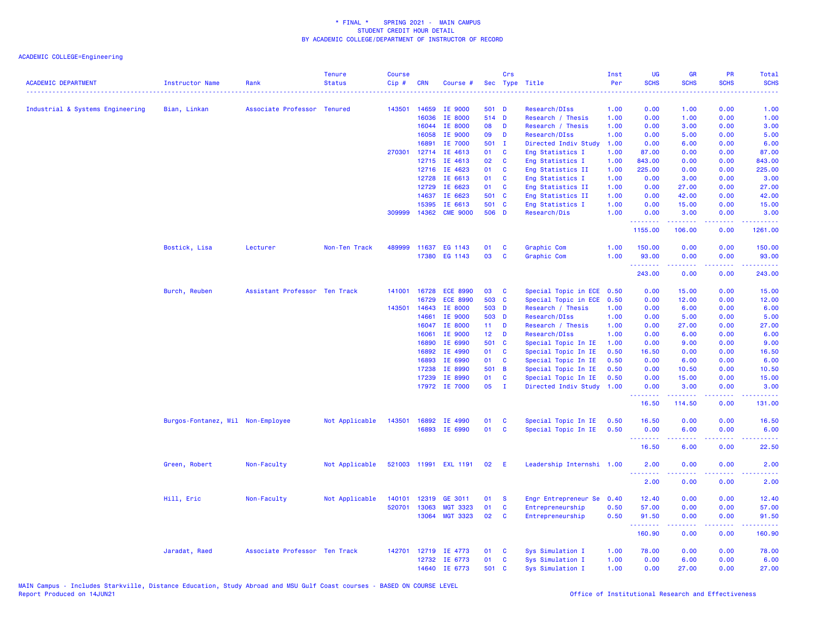| <b>ACADEMIC DEPARTMENT</b>       | Instructor Name                   | Rank                          | <b>Tenure</b><br><b>Status</b> | <b>Course</b><br>Cip# | <b>CRN</b> | Course #              | Sec             | Crs          | Type Title                | Inst<br>Per | <b>UG</b><br><b>SCHS</b> | <b>GR</b><br><b>SCHS</b> | PR<br><b>SCHS</b> | Total<br><b>SCHS</b>                                                                                                              |
|----------------------------------|-----------------------------------|-------------------------------|--------------------------------|-----------------------|------------|-----------------------|-----------------|--------------|---------------------------|-------------|--------------------------|--------------------------|-------------------|-----------------------------------------------------------------------------------------------------------------------------------|
|                                  |                                   |                               |                                |                       |            |                       |                 |              |                           |             |                          |                          |                   |                                                                                                                                   |
| Industrial & Systems Engineering | Bian, Linkan                      | Associate Professor Tenured   |                                | 143501                | 14659      | IE 9000               | 501 D           |              | Research/DIss             | 1.00        | 0.00                     | 1.00                     | 0.00              | 1.00                                                                                                                              |
|                                  |                                   |                               |                                |                       | 16036      | IE 8000               | 514 D           |              | Research / Thesis         | 1.00        | 0.00                     | 1.00                     | 0.00              | 1.00                                                                                                                              |
|                                  |                                   |                               |                                |                       | 16044      | IE 8000               | 08              | D            | Research / Thesis         | 1.00        | 0.00                     | 3.00                     | 0.00              | 3.00                                                                                                                              |
|                                  |                                   |                               |                                |                       | 16058      | IE 9000               | 09              | D            | Research/DIss             | 1.00        | 0.00                     | 5.00                     | 0.00              | 5.00                                                                                                                              |
|                                  |                                   |                               |                                |                       | 16891      | IE 7000               | 501 I           |              | Directed Indiv Study      | 1.00        | 0.00                     | 6.00                     | 0.00              | 6.00                                                                                                                              |
|                                  |                                   |                               |                                | 270301                | 12714      | IE 4613               | 01              | C            | Eng Statistics I          | 1.00        | 87.00                    | 0.00                     | 0.00              | 87.00                                                                                                                             |
|                                  |                                   |                               |                                |                       | 12715      | IE 4613               | 02              | C            | Eng Statistics I          | 1.00        | 843.00                   | 0.00                     | 0.00              | 843.00                                                                                                                            |
|                                  |                                   |                               |                                |                       | 12716      | IE 4623               | 01              | C            | Eng Statistics II         | 1.00        | 225.00                   | 0.00                     | 0.00              | 225.00                                                                                                                            |
|                                  |                                   |                               |                                |                       | 12728      | IE 6613               | 01              | C            | Eng Statistics I          | 1.00        | 0.00                     | 3.00                     | 0.00              | 3.00                                                                                                                              |
|                                  |                                   |                               |                                |                       | 12729      | IE 6623               | 01              | C            | Eng Statistics II         | 1.00        | 0.00                     | 27.00                    | 0.00              | 27.00                                                                                                                             |
|                                  |                                   |                               |                                |                       | 14637      | IE 6623               | 501 C           |              | Eng Statistics II         | 1.00        | 0.00                     | 42.00                    | 0.00              | 42.00                                                                                                                             |
|                                  |                                   |                               |                                |                       | 15395      | IE 6613               | 501 C           |              | Eng Statistics I          | 1.00        | 0.00                     | 15.00                    | 0.00              | 15.00                                                                                                                             |
|                                  |                                   |                               |                                | 309999                |            | 14362 CME 9000        | 506 D           |              | Research/Dis              | 1.00        | 0.00<br>.                | 3.00<br>. <u>.</u>       | 0.00<br>.         | 3.00<br><b><i><u><u> - - - - -</u></u></i></b>                                                                                    |
|                                  |                                   |                               |                                |                       |            |                       |                 |              |                           |             | 1155.00                  | 106.00                   | 0.00              | 1261.00                                                                                                                           |
|                                  | Bostick, Lisa                     | Lecturer                      | Non-Ten Track                  | 489999                | 11637      | EG 1143               | 01              | C            | Graphic Com               | 1.00        | 150.00                   | 0.00                     | 0.00              | 150.00                                                                                                                            |
|                                  |                                   |                               |                                |                       | 17380      | EG 1143               | 03              | C            | Graphic Com               | 1.00        | 93.00                    | 0.00                     | 0.00              | 93.00                                                                                                                             |
|                                  |                                   |                               |                                |                       |            |                       |                 |              |                           |             | .                        |                          | <b>.</b> .        | .                                                                                                                                 |
|                                  |                                   |                               |                                |                       |            |                       |                 |              |                           |             | 243.00                   | 0.00                     | 0.00              | 243.00                                                                                                                            |
|                                  | Burch, Reuben                     | Assistant Professor Ten Track |                                | 141001                | 16728      | <b>ECE 8990</b>       | 03              | C            | Special Topic in ECE 0.50 |             | 0.00                     | 15.00                    | 0.00              | 15.00                                                                                                                             |
|                                  |                                   |                               |                                |                       | 16729      | <b>ECE 8990</b>       | 503             | $\mathbf{C}$ | Special Topic in ECE      | 0.50        | 0.00                     | 12.00                    | 0.00              | 12.00                                                                                                                             |
|                                  |                                   |                               |                                | 143501                | 14643      | IE 8000               | 503 D           |              | Research / Thesis         | 1.00        | 0.00                     | 6.00                     | 0.00              | 6.00                                                                                                                              |
|                                  |                                   |                               |                                |                       | 14661      | IE 9000               | 503 D           |              | Research/DIss             | 1.00        | 0.00                     | 5.00                     | 0.00              | 5.00                                                                                                                              |
|                                  |                                   |                               |                                |                       | 16047      | <b>IE 8000</b>        | 11 <sub>1</sub> | D            | Research / Thesis         | 1.00        | 0.00                     | 27.00                    | 0.00              | 27.00                                                                                                                             |
|                                  |                                   |                               |                                |                       | 16061      | IE 9000               | 12 <sub>2</sub> | D            | Research/DIss             | 1.00        | 0.00                     | 6.00                     | 0.00              | 6.00                                                                                                                              |
|                                  |                                   |                               |                                |                       | 16890      | IE 6990               | 501 C           |              | Special Topic In IE       | 1.00        | 0.00                     | 9.00                     | 0.00              | 9.00                                                                                                                              |
|                                  |                                   |                               |                                |                       | 16892      | IE 4990               | 01              | C            | Special Topic In IE       | 0.50        | 16.50                    | 0.00                     | 0.00              | 16.50                                                                                                                             |
|                                  |                                   |                               |                                |                       | 16893      | IE 6990               | 01              | C            | Special Topic In IE       | 0.50        | 0.00                     | 6.00                     | 0.00              | 6.00                                                                                                                              |
|                                  |                                   |                               |                                |                       | 17238      | IE 8990               | 501 B           |              | Special Topic In IE       | 0.50        | 0.00                     | 10.50                    | 0.00              | 10.50                                                                                                                             |
|                                  |                                   |                               |                                |                       | 17239      | IE 8990               | 01              | C            | Special Topic In IE       | 0.50        | 0.00                     | 15.00                    | 0.00              | 15.00                                                                                                                             |
|                                  |                                   |                               |                                |                       |            | 17972 IE 7000         | 05              | $\mathbf{I}$ | Directed Indiv Study      | 1.00        | 0.00                     | 3.00                     | 0.00              | 3.00                                                                                                                              |
|                                  |                                   |                               |                                |                       |            |                       |                 |              |                           |             | .<br>16.50               | .<br>114.50              | د د د د<br>0.00   | 22222)<br>131.00                                                                                                                  |
|                                  | Burgos-Fontanez, Wil Non-Employee |                               | Not Applicable                 | 143501                | 16892      | IE 4990               | 01              | C            | Special Topic In IE       | 0.50        | 16.50                    | 0.00                     | 0.00              | 16.50                                                                                                                             |
|                                  |                                   |                               |                                |                       | 16893      | IE 6990               | 01              | $\mathbf{C}$ | Special Topic In IE       | 0.50        | 0.00                     | 6.00                     | 0.00              | 6.00                                                                                                                              |
|                                  |                                   |                               |                                |                       |            |                       |                 |              |                           |             | .                        |                          | بالأباء           | 2222                                                                                                                              |
|                                  |                                   |                               |                                |                       |            |                       |                 |              |                           |             | 16.50                    | 6.00                     | 0.00              | 22.50                                                                                                                             |
|                                  | Green, Robert                     | Non-Faculty                   | Not Applicable                 |                       |            | 521003 11991 EXL 1191 | 02              | E            | Leadership Internshi 1.00 |             | 2.00<br>.                | 0.00<br>.                | 0.00<br>.         | 2.00<br>$\frac{1}{2} \left( \frac{1}{2} \right) \left( \frac{1}{2} \right) \left( \frac{1}{2} \right) \left( \frac{1}{2} \right)$ |
|                                  |                                   |                               |                                |                       |            |                       |                 |              |                           |             | 2.00                     | 0.00                     | 0.00              | 2.00                                                                                                                              |
|                                  | Hill, Eric                        | Non-Faculty                   | Not Applicable                 | 140101                | 12319      | GE 3011               | 01              | <b>S</b>     | Engr Entrepreneur Se      | 0.40        | 12.40                    | 0.00                     | 0.00              | 12.40                                                                                                                             |
|                                  |                                   |                               |                                | 520701                | 13063      | <b>MGT 3323</b>       | 01              | $\mathbf{C}$ | Entrepreneurship          | 0.50        | 57.00                    | 0.00                     | 0.00              | 57.00                                                                                                                             |
|                                  |                                   |                               |                                |                       |            | 13064 MGT 3323        | 02              | C            | Entrepreneurship          | 0.50        | 91.50<br><b></b>         | 0.00<br>-----            | 0.00<br>.         | 91.50<br>.                                                                                                                        |
|                                  |                                   |                               |                                |                       |            |                       |                 |              |                           |             | 160.90                   | 0.00                     | 0.00              | 160.90                                                                                                                            |
|                                  | Jaradat, Raed                     | Associate Professor Ten Track |                                | 142701                | 12719      | IE 4773               | 01              | C            | Sys Simulation I          | 1.00        | 78.00                    | 0.00                     | 0.00              | 78.00                                                                                                                             |
|                                  |                                   |                               |                                |                       | 12732      | IE 6773               | 01              | C            | Sys Simulation I          | 1.00        | 0.00                     | 6.00                     | 0.00              | 6.00                                                                                                                              |
|                                  |                                   |                               |                                |                       |            | 14640 IE 6773         | 501             | C            | Sys Simulation I          | 1.00        | 0.00                     | 27,00                    | 0.00              | 27.00                                                                                                                             |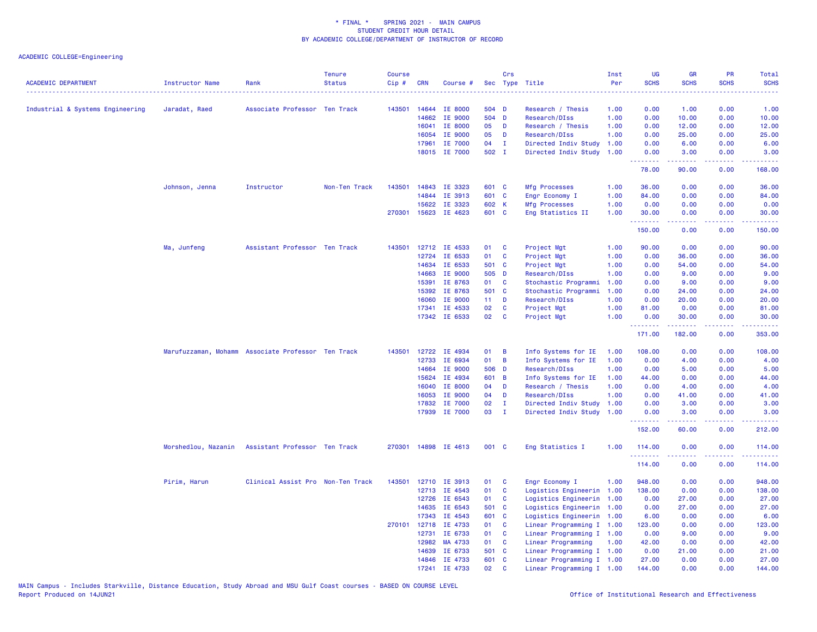| <b>ACADEMIC DEPARTMENT</b>       | <b>Instructor Name</b>                             | Rank                              | <b>Tenure</b><br><b>Status</b> | <b>Course</b><br>Cip# | <b>CRN</b>     | Course #             |                | Crs                     | Sec Type Title<br>.       | Inst<br>Per<br>. | <b>UG</b><br><b>SCHS</b><br>$\frac{1}{2} \left( \frac{1}{2} \right) \left( \frac{1}{2} \right) \left( \frac{1}{2} \right)$ | <b>GR</b><br><b>SCHS</b> | <b>PR</b><br><b>SCHS</b> | Total<br><b>SCHS</b><br>. |
|----------------------------------|----------------------------------------------------|-----------------------------------|--------------------------------|-----------------------|----------------|----------------------|----------------|-------------------------|---------------------------|------------------|----------------------------------------------------------------------------------------------------------------------------|--------------------------|--------------------------|---------------------------|
| Industrial & Systems Engineering | Jaradat, Raed                                      | Associate Professor Ten Track     |                                | 143501                | 14644          | <b>IE 8000</b>       | 504 D          |                         | Research / Thesis         | 1.00             | 0.00                                                                                                                       | 1.00                     | 0.00                     | 1.00                      |
|                                  |                                                    |                                   |                                |                       | 14662          | IE 9000              | 504 D          |                         | Research/DIss             | 1.00             | 0.00                                                                                                                       | 10.00                    | 0.00                     | 10.00                     |
|                                  |                                                    |                                   |                                |                       | 16041          | IE 8000              | 05             | D                       | Research / Thesis         | 1.00             | 0.00                                                                                                                       | 12.00                    | 0.00                     | 12.00                     |
|                                  |                                                    |                                   |                                |                       | 16054          | IE 9000              | 05             | D                       | Research/DIss             | 1.00             | 0.00                                                                                                                       | 25.00                    | 0.00                     | 25.00                     |
|                                  |                                                    |                                   |                                |                       | 17961          | IE 7000              | 04             | $\mathbf{I}$            | Directed Indiv Study      | 1.00             | 0.00                                                                                                                       | 6.00                     | 0.00                     | 6.00                      |
|                                  |                                                    |                                   |                                |                       |                | 18015 IE 7000        | 502 I          |                         | Directed Indiv Study      | 1.00             | 0.00                                                                                                                       | 3.00                     | 0.00                     | 3.00                      |
|                                  |                                                    |                                   |                                |                       |                |                      |                |                         |                           |                  | .<br>78.00                                                                                                                 | 2.2.2.2.2<br>90.00       | .<br>0.00                | .<br>168.00               |
|                                  | Johnson, Jenna                                     | Instructor                        | Non-Ten Track                  | 143501                | 14843          | IE 3323              | 601 C          |                         | <b>Mfg Processes</b>      | 1.00             | 36.00                                                                                                                      | 0.00                     | 0.00                     | 36.00                     |
|                                  |                                                    |                                   |                                |                       | 14844          | IE 3913              | 601 C          |                         | Engr Economy I            | 1.00             | 84.00                                                                                                                      | 0.00                     | 0.00                     | 84.00                     |
|                                  |                                                    |                                   |                                |                       | 15622          | IE 3323              | 602 K          |                         | <b>Mfg Processes</b>      | 1.00             | 0.00                                                                                                                       | 0.00                     | 0.00                     | 0.00                      |
|                                  |                                                    |                                   |                                |                       |                | 270301 15623 IE 4623 | 601 C          |                         | Eng Statistics II         | 1.00             | 30.00<br>.                                                                                                                 | 0.00<br>22222            | 0.00<br>.                | 30.00<br>.                |
|                                  |                                                    |                                   |                                |                       |                |                      |                |                         |                           |                  | 150.00                                                                                                                     | 0.00                     | 0.00                     | 150.00                    |
|                                  | Ma, Junfeng                                        | Assistant Professor Ten Track     |                                | 143501                | 12712          | IE 4533              | 01             | <b>C</b>                | Project Mgt               | 1.00             | 90.00                                                                                                                      | 0.00                     | 0.00                     | 90.00                     |
|                                  |                                                    |                                   |                                |                       | 12724          | IE 6533              | 01             | C                       | Project Mgt               | 1.00             | 0.00                                                                                                                       | 36.00                    | 0.00                     | 36.00                     |
|                                  |                                                    |                                   |                                |                       | 14634          | IE 6533              | 501 C          |                         | Project Mgt               | 1.00             | 0.00                                                                                                                       | 54.00                    | 0.00                     | 54.00                     |
|                                  |                                                    |                                   |                                |                       | 14663          | IE 9000              | 505 D          |                         | Research/DIss             | 1.00             | 0.00                                                                                                                       | 9.00                     | 0.00                     | 9.00                      |
|                                  |                                                    |                                   |                                |                       | 15391          | IE 8763              | 01             | C                       | Stochastic Programmi      | 1.00             | 0.00                                                                                                                       | 9.00                     | 0.00                     | 9.00                      |
|                                  |                                                    |                                   |                                |                       | 15392          | IE 8763              | 501 C          |                         | Stochastic Programmi      | 1.00             | 0.00                                                                                                                       | 24.00                    | 0.00                     | 24.00                     |
|                                  |                                                    |                                   |                                |                       | 16060          | IE 9000              | $11 -$         | <b>D</b>                | Research/DIss             | 1.00             | 0.00                                                                                                                       | 20.00                    | 0.00                     | 20.00                     |
|                                  |                                                    |                                   |                                |                       | 17341          | IE 4533              | 02             | <b>C</b>                | Project Mgt               | 1.00             | 81.00                                                                                                                      | 0.00                     | 0.00                     | 81.00                     |
|                                  |                                                    |                                   |                                |                       |                | 17342 IE 6533        | 02             | <b>C</b>                | Project Mgt               | 1.00             | 0.00<br>.                                                                                                                  | 30.00<br>$- - - - - - -$ | 0.00<br>.                | 30.00<br>------           |
|                                  |                                                    |                                   |                                |                       |                |                      |                |                         |                           |                  | 171.00                                                                                                                     | 182.00                   | 0.00                     | 353.00                    |
|                                  | Marufuzzaman, Mohamm Associate Professor Ten Track |                                   |                                | 143501                | 12722          | IE 4934              | 01             | B                       | Info Systems for IE       | 1.00             | 108.00                                                                                                                     | 0.00                     | 0.00                     | 108.00                    |
|                                  |                                                    |                                   |                                |                       | 12733          | IE 6934              | 01             | B                       | Info Systems for IE       | 1.00             | 0.00                                                                                                                       | 4.00                     | 0.00                     | 4.00                      |
|                                  |                                                    |                                   |                                |                       | 14664          | IE 9000              | 506 D          |                         | Research/DIss             | 1.00             | 0.00                                                                                                                       | 5.00                     | 0.00                     | 5.00                      |
|                                  |                                                    |                                   |                                |                       | 15624          | IE 4934              | 601 B          |                         | Info Systems for IE       | 1.00             | 44.00                                                                                                                      | 0.00                     | 0.00                     | 44.00                     |
|                                  |                                                    |                                   |                                |                       | 16040          | IE 8000              | 04             | D                       | Research / Thesis         | 1.00             | 0.00                                                                                                                       | 4.00                     | 0.00                     | 4.00                      |
|                                  |                                                    |                                   |                                |                       | 16053          | IE 9000              | 04             | D                       | Research/DIss             | 1.00             | 0.00                                                                                                                       | 41.00                    | 0.00                     | 41.00                     |
|                                  |                                                    |                                   |                                |                       | 17832          | IE 7000              | 02             | $\mathbf{I}$            | Directed Indiv Study      | 1.00             | 0.00                                                                                                                       | 3.00                     | 0.00                     | 3.00                      |
|                                  |                                                    |                                   |                                |                       |                | 17939 IE 7000        | 03             | $\mathbf{I}$            | Directed Indiv Study      | 1.00             | 0.00<br>.                                                                                                                  | 3.00<br>.                | 0.00<br>.                | 3.00<br>.                 |
|                                  |                                                    |                                   |                                |                       |                |                      |                |                         |                           |                  | 152.00                                                                                                                     | 60.00                    | 0.00                     | 212.00                    |
|                                  | Morshedlou, Nazanin                                | Assistant Professor Ten Track     |                                | 270301                |                | 14898 IE 4613        | 001 C          |                         | Eng Statistics I          | 1.00             | 114.00<br>.                                                                                                                | 0.00                     | 0.00<br>والمحامر         | 114.00<br>2.2.2.2.1       |
|                                  |                                                    |                                   |                                |                       |                |                      |                |                         |                           |                  | 114.00                                                                                                                     | 0.00                     | 0.00                     | 114.00                    |
|                                  | Pirim, Harun                                       | Clinical Assist Pro Non-Ten Track |                                | 143501                |                | 12710 IE 3913        | 01             | $\mathbf{C}$            | Engr Economy I            | 1.00             | 948.00                                                                                                                     | 0.00                     | 0.00                     | 948.00                    |
|                                  |                                                    |                                   |                                |                       | 12713          | IE 4543              | 01             | <b>C</b>                | Logistics Engineerin      | 1.00             | 138.00                                                                                                                     | 0.00                     | 0.00                     | 138.00                    |
|                                  |                                                    |                                   |                                |                       | 12726          | IE 6543              | 01             | <b>C</b>                | Logistics Engineerin      | 1.00             | 0.00                                                                                                                       | 27.00                    | 0.00                     | 27.00                     |
|                                  |                                                    |                                   |                                |                       | 14635          | IE 6543              | 501 C          |                         | Logistics Engineerin 1.00 |                  | 0.00                                                                                                                       | 27.00                    | 0.00                     | 27.00                     |
|                                  |                                                    |                                   |                                |                       | 17343          | IE 4543              | 601 C          |                         | Logistics Engineerin 1.00 |                  | 6.00                                                                                                                       | 0.00                     | 0.00                     | 6.00                      |
|                                  |                                                    |                                   |                                | 270101                | 12718          | IE 4733              | 01             | <b>C</b>                | Linear Programming I 1.00 |                  | 123.00                                                                                                                     | 0.00                     | 0.00                     | 123.00                    |
|                                  |                                                    |                                   |                                |                       | 12731          | IE 6733              | 01             | <b>C</b>                | Linear Programming I 1.00 |                  | 0.00                                                                                                                       | 9.00                     | 0.00                     | 9.00                      |
|                                  |                                                    |                                   |                                |                       | 12982          | MA 4733              | 01             | $\overline{\mathbf{C}}$ | Linear Programming        | 1.00             | 42.00                                                                                                                      | 0.00                     | 0.00                     | 42.00                     |
|                                  |                                                    |                                   |                                |                       | 14639<br>14846 | IE 6733<br>IE 4733   | 501 C<br>601 C |                         | Linear Programming I 1.00 |                  | 0.00<br>27.00                                                                                                              | 21.00<br>0.00            | 0.00<br>0.00             | 21.00<br>27.00            |
|                                  |                                                    |                                   |                                |                       |                | IE 4733              | 02             | C                       | Linear Programming I 1.00 |                  | 144.00                                                                                                                     | 0.00                     | 0.00                     | 144.00                    |
|                                  |                                                    |                                   |                                |                       | 17241          |                      |                |                         | Linear Programming I 1.00 |                  |                                                                                                                            |                          |                          |                           |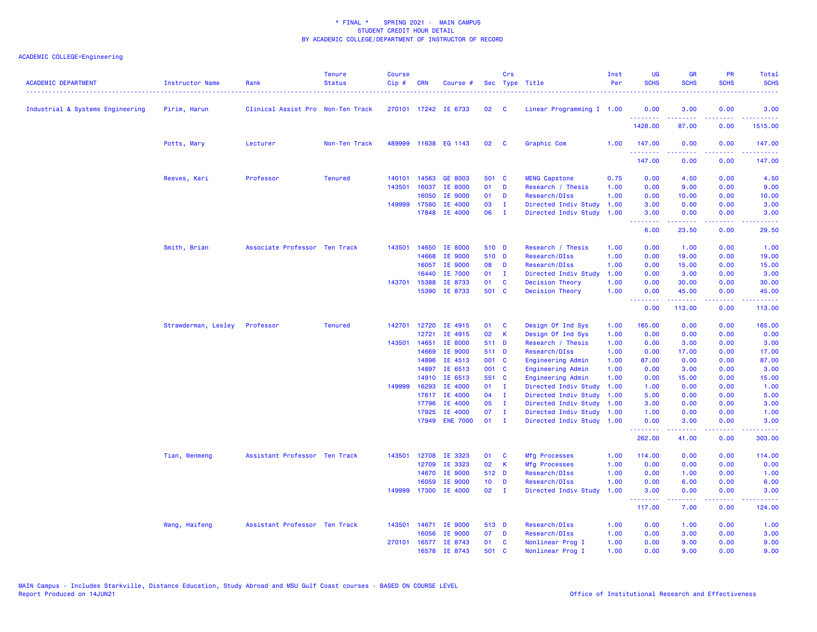| <b>ACADEMIC DEPARTMENT</b>       | Instructor Name     | Rank                              | <b>Tenure</b><br><b>Status</b> | Course<br>Cip# | <b>CRN</b>   | Course #             |                 | Crs          | Sec Type Title            | Inst<br>Per | UG<br><b>SCHS</b>  | <b>GR</b><br><b>SCHS</b> | PR<br><b>SCHS</b>                   | Total<br><b>SCHS</b> |
|----------------------------------|---------------------|-----------------------------------|--------------------------------|----------------|--------------|----------------------|-----------------|--------------|---------------------------|-------------|--------------------|--------------------------|-------------------------------------|----------------------|
| Industrial & Systems Engineering | Pirim, Harun        | Clinical Assist Pro Non-Ten Track |                                |                |              | 270101 17242 IE 6733 | 02              | C            | Linear Programming I 1.00 |             | 0.00<br><u>.</u>   | 3.00                     | 0.00<br>.                           | 3.00                 |
|                                  |                     |                                   |                                |                |              |                      |                 |              |                           |             | 1428.00            | 87.00                    | 0.00                                | 1515.00              |
|                                  | Potts, Mary         | Lecturer                          | Non-Ten Track                  |                |              | 489999 11638 EG 1143 | 02              | C            | Graphic Com               | 1.00        | 147.00             | 0.00                     | 0.00                                | 147.00               |
|                                  |                     |                                   |                                |                |              |                      |                 |              |                           |             | .<br>147.00        | .<br>0.00                | $\sim$ $\sim$ $\sim$ $\sim$<br>0.00 | .<br>147.00          |
|                                  | Reeves, Kari        | Professor                         | <b>Tenured</b>                 | 140101         | 14563        | <b>GE 8003</b>       | 501 C           |              | <b>MENG Capstone</b>      | 0.75        | 0.00               | 4.50                     | 0.00                                | 4.50                 |
|                                  |                     |                                   |                                | 143501         | 16037        | IE 8000              | 01              | D            | Research / Thesis         | 1.00        | 0.00               | 9.00                     | 0.00                                | 9.00                 |
|                                  |                     |                                   |                                |                | 16050        | IE 9000              | 01              | D            | Research/DIss             | 1.00        | 0.00               | 10.00                    | 0.00                                | 10.00                |
|                                  |                     |                                   |                                |                | 149999 17580 | IE 4000              | 03              | $\mathbf{I}$ | Directed Indiv Study      | 1.00        | 3.00               | 0.00                     | 0.00                                | 3.00                 |
|                                  |                     |                                   |                                |                |              | 17848 IE 4000        | 06              | $\mathbf{I}$ | Directed Indiv Study      | 1.00        | 3.00<br><b></b>    | 0.00                     | 0.00<br>2222                        | 3.00                 |
|                                  |                     |                                   |                                |                |              |                      |                 |              |                           |             | 6.00               | 23.50                    | 0.00                                | 29.50                |
|                                  | Smith, Brian        | Associate Professor Ten Track     |                                | 143501         | 14650        | IE 8000              | 510 D           |              | Research / Thesis         | 1.00        | 0.00               | 1.00                     | 0.00                                | 1.00                 |
|                                  |                     |                                   |                                |                | 14668        | IE 9000              | 510 D           |              | Research/DIss             | 1.00        | 0.00               | 19.00                    | 0.00                                | 19.00                |
|                                  |                     |                                   |                                |                | 16057        | IE 9000              | 08              | D            | Research/DIss             | 1.00        | 0.00               | 15.00                    | 0.00                                | 15.00                |
|                                  |                     |                                   |                                |                | 16440        | IE 7000              | 01              | $\mathbf{I}$ | Directed Indiv Study      | 1.00        | 0.00               | 3.00                     | 0.00                                | 3.00                 |
|                                  |                     |                                   |                                |                | 143701 15388 | IE 8733              | 01              | <b>C</b>     | <b>Decision Theory</b>    | 1.00        | 0.00               | 30.00                    | 0.00                                | 30.00                |
|                                  |                     |                                   |                                |                | 15390        | IE 8733              | 501 C           |              | <b>Decision Theory</b>    | 1.00        | 0.00<br><b></b>    | 45.00<br>.               | 0.00<br>$\sim$ $\sim$ $\sim$ $\sim$ | 45.00<br>المتمامين   |
|                                  |                     |                                   |                                |                |              |                      |                 |              |                           |             | 0.00               | 113.00                   | 0.00                                | 113.00               |
|                                  | Strawderman, Lesley | Professor                         | <b>Tenured</b>                 | 142701         | 12720        | IE 4915              | 01              | <b>C</b>     | Design Of Ind Sys         | 1.00        | 165.00             | 0.00                     | 0.00                                | 165.00               |
|                                  |                     |                                   |                                |                | 12721        | IE 4915              | 02              | К            | Design Of Ind Sys         | 1.00        | 0.00               | 0.00                     | 0.00                                | 0.00                 |
|                                  |                     |                                   |                                | 143501         | 14651        | IE 8000              | 511 D           |              | Research / Thesis         | 1.00        | 0.00               | 3.00                     | 0.00                                | 3.00                 |
|                                  |                     |                                   |                                |                | 14669        | IE 9000              | 511 D           |              | Research/DIss             | 1.00        | 0.00               | 17.00                    | 0.00                                | 17.00                |
|                                  |                     |                                   |                                |                | 14896        | IE 4513              | 001 C           |              | Engineering Admin         | 1.00        | 87.00              | 0.00                     | 0.00                                | 87.00                |
|                                  |                     |                                   |                                |                | 14897        | IE 6513              | 001 C           |              | <b>Engineering Admin</b>  | 1.00        | 0.00               | 3.00                     | 0.00                                | 3.00                 |
|                                  |                     |                                   |                                |                | 14910        | IE 6513              | 551 C           |              | Engineering Admin         | 1.00        | 0.00               | 15.00                    | 0.00                                | 15.00                |
|                                  |                     |                                   |                                | 149999         | 16293        | IE 4000              | $01$ I          |              | Directed Indiv Study      | 1.00        | 1.00               | 0.00                     | 0.00                                | 1.00                 |
|                                  |                     |                                   |                                |                | 17617        | IE 4000              | 04              | - I          | Directed Indiv Study      | 1.00        | 5.00               | 0.00                     | 0.00                                | 5.00                 |
|                                  |                     |                                   |                                |                | 17796        | IE 4000              | 05              | - I          | Directed Indiv Study      | 1.00        | 3.00               | 0.00                     | 0.00                                | 3.00                 |
|                                  |                     |                                   |                                |                | 17925        | IE 4000              | 07              | $\mathbf{I}$ | Directed Indiv Study      | 1.00        | 1.00               | 0.00                     | 0.00                                | 1.00                 |
|                                  |                     |                                   |                                |                |              | 17949 ENE 7000       | $01$ I          |              | Directed Indiv Study 1.00 |             | 0.00<br>.          | 3.00                     | 0.00<br>$\sim$ $\sim$ $\sim$ $\sim$ | 3.00                 |
|                                  |                     |                                   |                                |                |              |                      |                 |              |                           |             | 262.00             | 41.00                    | 0.00                                | 303.00               |
|                                  | Tian, Wenmeng       | Assistant Professor Ten Track     |                                | 143501         | 12708        | IE 3323              | 01              | <b>C</b>     | Mfg Processes             | 1.00        | 114.00             | 0.00                     | 0.00                                | 114.00               |
|                                  |                     |                                   |                                |                | 12709        | IE 3323              | 02              | К            | <b>Mfg Processes</b>      | 1.00        | 0.00               | 0.00                     | 0.00                                | 0.00                 |
|                                  |                     |                                   |                                |                | 14670        | IE 9000              | 512 D           |              | Research/DIss             | 1.00        | 0.00               | 1.00                     | 0.00                                | 1.00                 |
|                                  |                     |                                   |                                |                | 16059        | IE 9000              | 10 <sub>1</sub> | D            | Research/DIss             | 1.00        | 0.00               | 6.00                     | 0.00                                | 6.00                 |
|                                  |                     |                                   |                                |                |              | 149999 17300 IE 4000 | 02              | $\mathbf{I}$ | Directed Indiv Study      | 1.00        | 3.00<br>. <b>.</b> | 0.00                     | 0.00<br>$  -$                       | 3.00                 |
|                                  |                     |                                   |                                |                |              |                      |                 |              |                           |             | 117.00             | 7.00                     | 0.00                                | 124.00               |
|                                  | Wang, Haifeng       | Assistant Professor Ten Track     |                                | 143501         |              | 14671 IE 9000        | 513 D           |              | Research/DIss             | 1.00        | 0.00               | 1.00                     | 0.00                                | 1.00                 |
|                                  |                     |                                   |                                |                | 16056        | <b>IE 9000</b>       | 07              | D            | Research/DIss             | 1.00        | 0.00               | 3.00                     | 0.00                                | 3.00                 |
|                                  |                     |                                   |                                |                |              | 270101 16577 IE 8743 | 01              | <b>C</b>     | Nonlinear Prog I          | 1.00        | 0.00               | 9.00                     | 0.00                                | 9.00                 |
|                                  |                     |                                   |                                |                | 16578        | IE 8743              | 501             | C            | Nonlinear Prog I          | 1.00        | 0.00               | 9.00                     | 0.00                                | 9.00                 |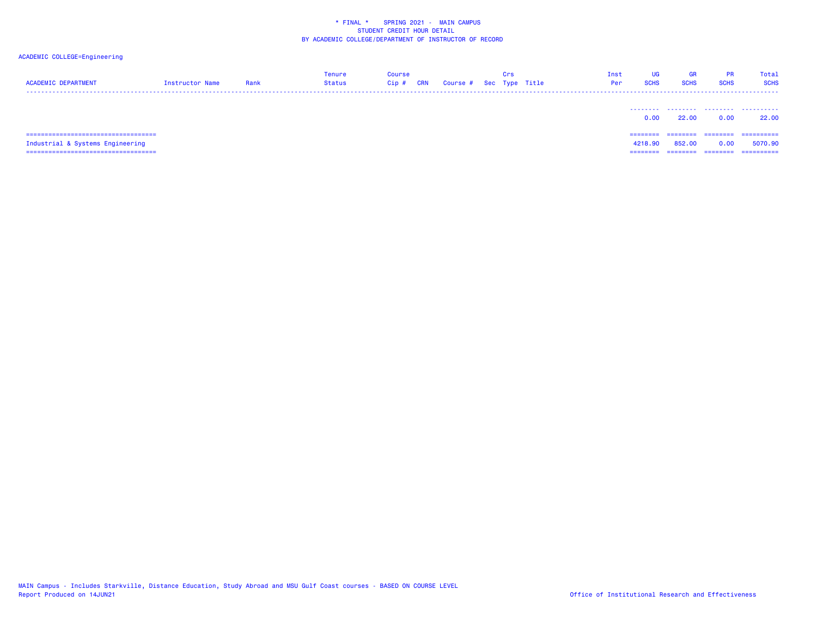# ACADEMIC COLLEGE=Engineering

| <b>ACADEMIC DEPARTMENT</b>                                                 | Instructor Name | Rank | Tenure<br><b>Status</b> | Course<br>CRN<br>$Cip$ # | Course # Sec Type Title | Crs | Inst<br>Per | UG<br><b>SCHS</b>   | <b>GR</b><br><b>SCHS</b> | <b>PR</b><br><b>SCHS</b> | Total<br><b>SCHS</b>   |
|----------------------------------------------------------------------------|-----------------|------|-------------------------|--------------------------|-------------------------|-----|-------------|---------------------|--------------------------|--------------------------|------------------------|
|                                                                            |                 |      |                         |                          |                         |     |             | 0.00                | 22.00                    | 0.00                     | 22.00                  |
| ======================================<br>Industrial & Systems Engineering |                 |      |                         |                          |                         |     |             | ========<br>4218,90 | ---------<br>852,00      | ---------<br>0.00        | -----------<br>5070.90 |

=================================== ======== ======== ======== ==========

MAIN Campus - Includes Starkville, Distance Education, Study Abroad and MSU Gulf Coast courses - BASED ON COURSE LEVEL<br>Report Produced on 14JUN21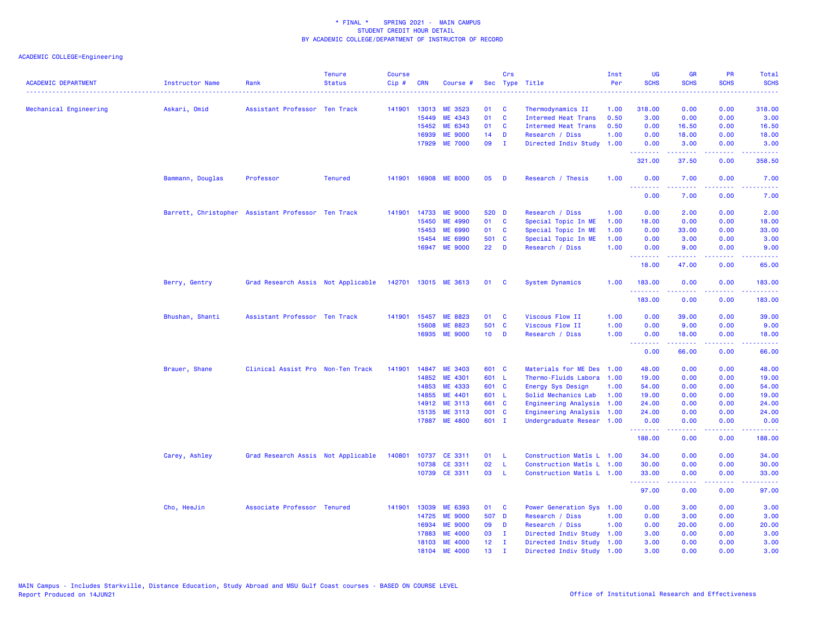| <b>ACADEMIC DEPARTMENT</b> | <b>Instructor Name</b>                             | Rank                               | <b>Tenure</b><br><b>Status</b> | <b>Course</b><br>Cip# | <b>CRN</b> | Course #             |                 | Crs          | Sec Type Title             | Inst<br>Per | UG<br><b>SCHS</b>                                   | <b>GR</b><br><b>SCHS</b>                                                                                                                                     | PR<br><b>SCHS</b>                                                                                                                                            | Total<br><b>SCHS</b>                                                                                                                                         |
|----------------------------|----------------------------------------------------|------------------------------------|--------------------------------|-----------------------|------------|----------------------|-----------------|--------------|----------------------------|-------------|-----------------------------------------------------|--------------------------------------------------------------------------------------------------------------------------------------------------------------|--------------------------------------------------------------------------------------------------------------------------------------------------------------|--------------------------------------------------------------------------------------------------------------------------------------------------------------|
|                            |                                                    |                                    |                                |                       |            |                      |                 |              |                            |             |                                                     |                                                                                                                                                              | .                                                                                                                                                            | .                                                                                                                                                            |
| Mechanical Engineering     | Askari, Omid                                       | Assistant Professor Ten Track      |                                | 141901                |            | 13013 ME 3523        | 01              | C            | Thermodynamics II          | 1.00        | 318.00                                              | 0.00                                                                                                                                                         | 0.00                                                                                                                                                         | 318.00                                                                                                                                                       |
|                            |                                                    |                                    |                                |                       | 15449      | ME 4343              | 01              | $\mathbf{C}$ | <b>Intermed Heat Trans</b> | 0.50        | 3.00                                                | 0.00                                                                                                                                                         | 0.00                                                                                                                                                         | 3.00                                                                                                                                                         |
|                            |                                                    |                                    |                                |                       | 15452      | ME 6343              | 01              | <b>C</b>     | <b>Intermed Heat Trans</b> | 0.50        | 0.00                                                | 16.50                                                                                                                                                        | 0.00                                                                                                                                                         | 16.50                                                                                                                                                        |
|                            |                                                    |                                    |                                |                       | 16939      | <b>ME 9000</b>       | 14              | D            | Research / Diss            | 1.00        | 0.00                                                | 18.00                                                                                                                                                        | 0.00                                                                                                                                                         | 18.00                                                                                                                                                        |
|                            |                                                    |                                    |                                |                       |            | 17929 ME 7000        | 09              | $\mathbf{I}$ | Directed Indiv Study       | 1.00        | 0.00<br><u>.</u>                                    | 3.00<br>$\frac{1}{2} \left( \frac{1}{2} \right) \left( \frac{1}{2} \right) \left( \frac{1}{2} \right) \left( \frac{1}{2} \right) \left( \frac{1}{2} \right)$ | 0.00<br>د د د د                                                                                                                                              | 3.00<br>.                                                                                                                                                    |
|                            |                                                    |                                    |                                |                       |            |                      |                 |              |                            |             | 321.00                                              | 37.50                                                                                                                                                        | 0.00                                                                                                                                                         | 358.50                                                                                                                                                       |
|                            | Bammann, Douglas                                   | Professor                          | <b>Tenured</b>                 | 141901                |            | 16908 ME 8000        | 05              | D            | Research / Thesis          | 1.00        | 0.00<br>.                                           | 7.00<br>.                                                                                                                                                    | 0.00<br>.                                                                                                                                                    | 7.00<br>وعاديات                                                                                                                                              |
|                            |                                                    |                                    |                                |                       |            |                      |                 |              |                            |             | 0.00                                                | 7.00                                                                                                                                                         | 0.00                                                                                                                                                         | 7.00                                                                                                                                                         |
|                            | Barrett, Christopher Assistant Professor Ten Track |                                    |                                | 141901                | 14733      | <b>ME 9000</b>       | 520 D           |              | Research / Diss            | 1.00        | 0.00                                                | 2.00                                                                                                                                                         | 0.00                                                                                                                                                         | 2.00                                                                                                                                                         |
|                            |                                                    |                                    |                                |                       | 15450      | ME 4990              | 01              | $\mathbf{C}$ | Special Topic In ME        | 1.00        | 18.00                                               | 0.00                                                                                                                                                         | 0.00                                                                                                                                                         | 18.00                                                                                                                                                        |
|                            |                                                    |                                    |                                |                       | 15453      | ME 6990              | 01              | C            | Special Topic In ME        | 1.00        | 0.00                                                | 33.00                                                                                                                                                        | 0.00                                                                                                                                                         | 33.00                                                                                                                                                        |
|                            |                                                    |                                    |                                |                       | 15454      | ME 6990              | 501             | $\mathbf{C}$ | Special Topic In ME        | 1.00        | 0.00                                                | 3.00                                                                                                                                                         | 0.00                                                                                                                                                         | 3.00                                                                                                                                                         |
|                            |                                                    |                                    |                                |                       | 16947      | <b>ME 9000</b>       | 22              | D            | Research / Diss            | 1.00        | 0.00<br><u>.</u>                                    | 9.00<br>بالأبابات                                                                                                                                            | 0.00<br>المتمالي                                                                                                                                             | 9.00<br>$\frac{1}{2} \left( \frac{1}{2} \right) \left( \frac{1}{2} \right) \left( \frac{1}{2} \right) \left( \frac{1}{2} \right) \left( \frac{1}{2} \right)$ |
|                            |                                                    |                                    |                                |                       |            |                      |                 |              |                            |             | 18.00                                               | 47.00                                                                                                                                                        | 0.00                                                                                                                                                         | 65.00                                                                                                                                                        |
|                            | Berry, Gentry                                      | Grad Research Assis Not Applicable |                                |                       |            | 142701 13015 ME 3613 | 01 C            |              | <b>System Dynamics</b>     | 1.00        | 183.00<br>.                                         | 0.00                                                                                                                                                         | 0.00<br>د د د د                                                                                                                                              | 183.00<br>.                                                                                                                                                  |
|                            |                                                    |                                    |                                |                       |            |                      |                 |              |                            |             | 183.00                                              | 0.00                                                                                                                                                         | 0.00                                                                                                                                                         | 183.00                                                                                                                                                       |
|                            | Bhushan, Shanti                                    | Assistant Professor Ten Track      |                                | 141901                | 15457      | ME 8823              | 01              | C            | Viscous Flow II            | 1.00        | 0.00                                                | 39.00                                                                                                                                                        | 0.00                                                                                                                                                         | 39.00                                                                                                                                                        |
|                            |                                                    |                                    |                                |                       | 15608      | ME 8823              | 501 C           |              | Viscous Flow II            | 1.00        | 0.00                                                | 9.00                                                                                                                                                         | 0.00                                                                                                                                                         | 9.00                                                                                                                                                         |
|                            |                                                    |                                    |                                |                       | 16935      | <b>ME 9000</b>       | 10 <sub>1</sub> | <b>D</b>     | Research / Diss            | 1.00        | 0.00<br><b><i><u>AAAAAAA</u></i></b>                | 18.00<br>.                                                                                                                                                   | 0.00<br>$\frac{1}{2} \left( \frac{1}{2} \right) \left( \frac{1}{2} \right) \left( \frac{1}{2} \right) \left( \frac{1}{2} \right) \left( \frac{1}{2} \right)$ | 18.00<br>.                                                                                                                                                   |
|                            |                                                    |                                    |                                |                       |            |                      |                 |              |                            |             | 0.00                                                | 66.00                                                                                                                                                        | 0.00                                                                                                                                                         | 66.00                                                                                                                                                        |
|                            | Brauer, Shane                                      | Clinical Assist Pro Non-Ten Track  |                                | 141901                | 14847      | ME 3403              | 601 C           |              | Materials for ME Des       | 1.00        | 48.00                                               | 0.00                                                                                                                                                         | 0.00                                                                                                                                                         | 48.00                                                                                                                                                        |
|                            |                                                    |                                    |                                |                       | 14852      | ME 4301              | 601 L           |              | Thermo-Fluids Labora       | 1.00        | 19.00                                               | 0.00                                                                                                                                                         | 0.00                                                                                                                                                         | 19.00                                                                                                                                                        |
|                            |                                                    |                                    |                                |                       | 14853      | ME 4333              | 601 C           |              | Energy Sys Design          | 1.00        | 54.00                                               | 0.00                                                                                                                                                         | 0.00                                                                                                                                                         | 54.00                                                                                                                                                        |
|                            |                                                    |                                    |                                |                       | 14855      | ME 4401              | 601 L           |              | Solid Mechanics Lab        | 1.00        | 19.00                                               | 0.00                                                                                                                                                         | 0.00                                                                                                                                                         | 19.00                                                                                                                                                        |
|                            |                                                    |                                    |                                |                       | 14912      | ME 3113              | 661 C           |              | Engineering Analysis       | 1.00        | 24.00                                               | 0.00                                                                                                                                                         | 0.00                                                                                                                                                         | 24.00                                                                                                                                                        |
|                            |                                                    |                                    |                                |                       | 15135      | ME 3113              | 001 C           |              | Engineering Analysis 1.00  |             | 24.00                                               | 0.00                                                                                                                                                         | 0.00                                                                                                                                                         | 24.00                                                                                                                                                        |
|                            |                                                    |                                    |                                |                       |            | 17887 ME 4800        | 601 I           |              | Undergraduate Resear 1.00  |             | 0.00<br><b><i><u><u> - - - - - - -</u></u></i></b>  | 0.00<br>.                                                                                                                                                    | 0.00<br>بالمحام                                                                                                                                              | 0.00<br>والمستحدث                                                                                                                                            |
|                            |                                                    |                                    |                                |                       |            |                      |                 |              |                            |             | 188.00                                              | 0.00                                                                                                                                                         | 0.00                                                                                                                                                         | 188.00                                                                                                                                                       |
|                            | Carey, Ashley                                      | Grad Research Assis Not Applicable |                                | 140801                |            | 10737 CE 3311        | 01              | - L          | Construction Matls L 1.00  |             | 34.00                                               | 0.00                                                                                                                                                         | 0.00                                                                                                                                                         | 34.00                                                                                                                                                        |
|                            |                                                    |                                    |                                |                       |            | 10738 CE 3311        | 02              | - L          | Construction Matls L 1.00  |             | 30.00                                               | 0.00                                                                                                                                                         | 0.00                                                                                                                                                         | 30.00                                                                                                                                                        |
|                            |                                                    |                                    |                                |                       |            | 10739 CE 3311        | 03              | - L          | Construction Matls L 1.00  |             | 33.00                                               | 0.00                                                                                                                                                         | 0.00                                                                                                                                                         | 33.00                                                                                                                                                        |
|                            |                                                    |                                    |                                |                       |            |                      |                 |              |                            |             | <b><i><u><u> - - - - - - -</u></u></i></b><br>97.00 | .<br>0.00                                                                                                                                                    | ولالات<br>0.00                                                                                                                                               | 97.00                                                                                                                                                        |
|                            | Cho, HeeJin                                        | Associate Professor Tenured        |                                | 141901                | 13039      | ME 6393              | 01              | $\mathbf{C}$ | Power Generation Sys 1.00  |             | 0.00                                                | 3.00                                                                                                                                                         | 0.00                                                                                                                                                         | 3.00                                                                                                                                                         |
|                            |                                                    |                                    |                                |                       | 14725      | <b>ME 9000</b>       | 507 D           |              | Research / Diss            | 1.00        | 0.00                                                | 3.00                                                                                                                                                         | 0.00                                                                                                                                                         | 3.00                                                                                                                                                         |
|                            |                                                    |                                    |                                |                       | 16934      | <b>ME 9000</b>       | 09              | D            | Research / Diss            | 1.00        | 0.00                                                | 20.00                                                                                                                                                        | 0.00                                                                                                                                                         | 20.00                                                                                                                                                        |
|                            |                                                    |                                    |                                |                       | 17883      | <b>ME 4000</b>       | 03              | $\mathbf{I}$ | Directed Indiv Study 1.00  |             | 3.00                                                | 0.00                                                                                                                                                         | 0.00                                                                                                                                                         | 3.00                                                                                                                                                         |
|                            |                                                    |                                    |                                |                       | 18103      | <b>ME 4000</b>       | 12 <sub>1</sub> | $\mathbf{I}$ | Directed Indiv Study 1.00  |             | 3.00                                                | 0.00                                                                                                                                                         | 0.00                                                                                                                                                         | 3.00                                                                                                                                                         |
|                            |                                                    |                                    |                                |                       | 18104      | <b>ME 4000</b>       | 13 <sup>°</sup> | п.           | Directed Indiv Study 1.00  |             | 3.00                                                | 0.00                                                                                                                                                         | 0.00                                                                                                                                                         | 3.00                                                                                                                                                         |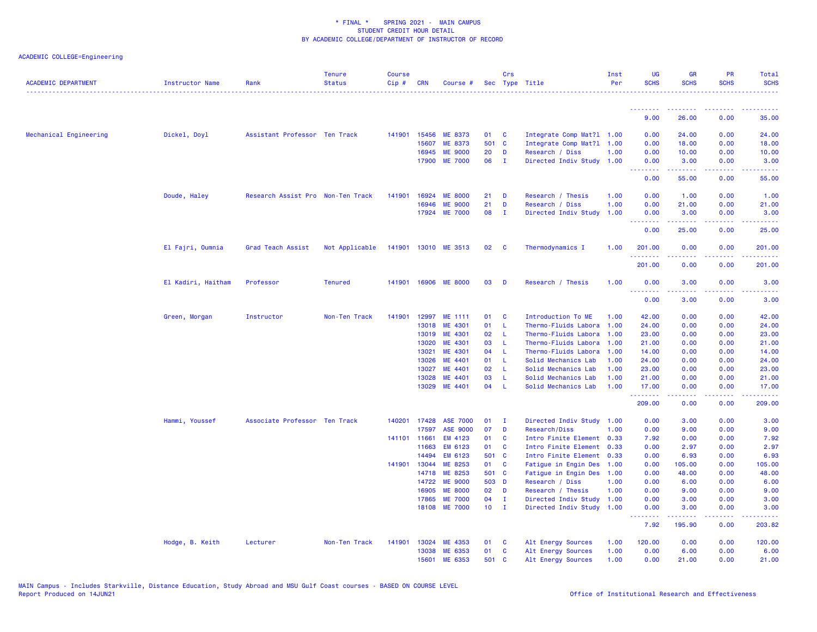| <b>ACADEMIC DEPARTMENT</b> | <b>Instructor Name</b> | Rank                              | <b>Tenure</b><br><b>Status</b> | <b>Course</b><br>$Cip$ # | <b>CRN</b> | Course #        |        | Crs          | Sec Type Title            | Inst<br>Per | <b>UG</b><br><b>SCHS</b> | <b>GR</b><br><b>SCHS</b>                           | <b>PR</b><br><b>SCHS</b>                                                                                                  | Total<br><b>SCHS</b>                       |
|----------------------------|------------------------|-----------------------------------|--------------------------------|--------------------------|------------|-----------------|--------|--------------|---------------------------|-------------|--------------------------|----------------------------------------------------|---------------------------------------------------------------------------------------------------------------------------|--------------------------------------------|
|                            |                        |                                   |                                |                          |            |                 |        |              |                           |             | <u> - - - - - - - -</u>  | <b><i><u><u><b>a</b></u></u> a a a a a a a</i></b> | $\frac{1}{2} \left( \frac{1}{2} \right) \left( \frac{1}{2} \right) \left( \frac{1}{2} \right) \left( \frac{1}{2} \right)$ | .                                          |
|                            |                        |                                   |                                |                          |            |                 |        |              |                           |             | 9.00                     | 26.00                                              | 0.00                                                                                                                      | 35.00                                      |
| Mechanical Engineering     | Dickel, Doyl           | Assistant Professor Ten Track     |                                | 141901                   | 15456      | ME 8373         | 01     | C            | Integrate Comp Mat?1 1.00 |             | 0.00                     | 24.00                                              | 0.00                                                                                                                      | 24.00                                      |
|                            |                        |                                   |                                |                          | 15607      | <b>ME 8373</b>  | 501 C  |              | Integrate Comp Mat?1 1.00 |             | 0.00                     | 18.00                                              | 0.00                                                                                                                      | 18.00                                      |
|                            |                        |                                   |                                |                          | 16945      | <b>ME 9000</b>  | 20     | D            | Research / Diss           | 1.00        | 0.00                     | 10.00                                              | 0.00                                                                                                                      | 10.00                                      |
|                            |                        |                                   |                                |                          | 17900      | <b>ME 7000</b>  | 06     | $\mathbf{I}$ | Directed Indiv Study      | 1.00        | 0.00<br>.                | 3.00<br>$- - - - -$                                | 0.00                                                                                                                      | 3.00<br>.                                  |
|                            |                        |                                   |                                |                          |            |                 |        |              |                           |             | 0.00                     | 55.00                                              | 0.00                                                                                                                      | 55.00                                      |
|                            | Doude, Haley           | Research Assist Pro Non-Ten Track |                                | 141901                   | 16924      | <b>ME 8000</b>  | 21     | D            | Research / Thesis         | 1.00        | 0.00                     | 1.00                                               | 0.00                                                                                                                      | 1.00                                       |
|                            |                        |                                   |                                |                          | 16946      | <b>ME 9000</b>  | 21     | D            | Research / Diss           | 1.00        | 0.00                     | 21.00                                              | 0.00                                                                                                                      | 21.00                                      |
|                            |                        |                                   |                                |                          | 17924      | <b>ME 7000</b>  | 08     | $\mathbf{I}$ | Directed Indiv Study      | 1.00        | 0.00<br><u>.</u>         | 3.00<br>22222                                      | 0.00<br>$\sim$ $\sim$ $\sim$ $\sim$                                                                                       | 3.00<br>$\sim$ $\sim$ $\sim$ $\sim$ $\sim$ |
|                            |                        |                                   |                                |                          |            |                 |        |              |                           |             | 0.00                     | 25.00                                              | 0.00                                                                                                                      | 25.00                                      |
|                            | El Fajri, Oumnia       | Grad Teach Assist                 | Not Applicable                 | 141901                   |            | 13010 ME 3513   | 02     | <b>C</b>     | Thermodynamics I          | 1.00        | 201.00<br>.              | 0.00                                               | 0.00                                                                                                                      | 201.00                                     |
|                            |                        |                                   |                                |                          |            |                 |        |              |                           |             | 201.00                   | 0.00                                               | 0.00                                                                                                                      | 201.00                                     |
|                            | El Kadiri, Haitham     | Professor                         | <b>Tenured</b>                 | 141901                   |            | 16906 ME 8000   | 03     | D            | Research / Thesis         | 1.00        | 0.00                     | 3.00                                               | 0.00                                                                                                                      | 3.00                                       |
|                            |                        |                                   |                                |                          |            |                 |        |              |                           |             | .<br>0.00                | .<br>3.00                                          | $\frac{1}{2} \left( \frac{1}{2} \right) \left( \frac{1}{2} \right) \left( \frac{1}{2} \right)$<br>0.00                    | 3.00                                       |
|                            | Green, Morgan          | Instructor                        | Non-Ten Track                  | 141901                   |            | 12997 ME 1111   | 01     | C            | Introduction To ME        | 1.00        | 42.00                    | 0.00                                               | 0.00                                                                                                                      | 42.00                                      |
|                            |                        |                                   |                                |                          | 13018      | ME 4301         | 01     | L            | Thermo-Fluids Labora      | 1.00        | 24.00                    | 0.00                                               | 0.00                                                                                                                      | 24.00                                      |
|                            |                        |                                   |                                |                          | 13019      | ME 4301         | 02     | -L.          | Thermo-Fluids Labora      | 1.00        | 23.00                    | 0.00                                               | 0.00                                                                                                                      | 23.00                                      |
|                            |                        |                                   |                                |                          | 13020      | ME 4301         | 03     | -L.          | Thermo-Fluids Labora      | 1.00        | 21.00                    | 0.00                                               | 0.00                                                                                                                      | 21.00                                      |
|                            |                        |                                   |                                |                          | 13021      | ME 4301         | 04     | -L           | Thermo-Fluids Labora      | 1.00        | 14.00                    | 0.00                                               | 0.00                                                                                                                      | 14.00                                      |
|                            |                        |                                   |                                |                          | 13026      | ME 4401         | 01     | -L           | Solid Mechanics Lab       | 1.00        | 24.00                    | 0.00                                               | 0.00                                                                                                                      | 24.00                                      |
|                            |                        |                                   |                                |                          | 13027      | ME 4401         | 02     | L            | Solid Mechanics Lab       | 1.00        | 23.00                    | 0.00                                               | 0.00                                                                                                                      | 23.00                                      |
|                            |                        |                                   |                                |                          | 13028      | ME 4401         | 03     | -L.          | Solid Mechanics Lab       | 1.00        | 21.00                    | 0.00                                               | 0.00                                                                                                                      | 21.00                                      |
|                            |                        |                                   |                                |                          | 13029      | ME 4401         | 04     | -L.          | Solid Mechanics Lab       | 1.00        | 17.00<br>.               | 0.00<br>.                                          | 0.00<br>$\frac{1}{2} \left( \frac{1}{2} \right) \left( \frac{1}{2} \right) \left( \frac{1}{2} \right)$                    | 17.00<br>.                                 |
|                            |                        |                                   |                                |                          |            |                 |        |              |                           |             | 209.00                   | 0.00                                               | 0.00                                                                                                                      | 209.00                                     |
|                            | Hammi, Youssef         | Associate Professor Ten Track     |                                | 140201                   | 17428      | <b>ASE 7000</b> | 01     | $\mathbf{I}$ | Directed Indiv Study 1.00 |             | 0.00                     | 3.00                                               | 0.00                                                                                                                      | 3.00                                       |
|                            |                        |                                   |                                |                          | 17597      | <b>ASE 9000</b> | 07     | D            | Research/Diss             | 1.00        | 0.00                     | 9.00                                               | 0.00                                                                                                                      | 9.00                                       |
|                            |                        |                                   |                                | 141101                   | 11661      | <b>EM 4123</b>  | 01     | <b>C</b>     | Intro Finite Element 0.33 |             | 7.92                     | 0.00                                               | 0.00                                                                                                                      | 7.92                                       |
|                            |                        |                                   |                                |                          | 11663      | EM 6123         | 01     | C            | Intro Finite Element 0.33 |             | 0.00                     | 2.97                                               | 0.00                                                                                                                      | 2.97                                       |
|                            |                        |                                   |                                |                          | 14494      | EM 6123         | 501 C  |              | Intro Finite Element 0.33 |             | 0.00                     | 6.93                                               | 0.00                                                                                                                      | 6.93                                       |
|                            |                        |                                   |                                | 141901                   | 13044      | ME 8253         | 01     | C            | Fatigue in Engin Des      | 1.00        | 0.00                     | 105.00                                             | 0.00                                                                                                                      | 105.00                                     |
|                            |                        |                                   |                                |                          | 14718      | ME 8253         | 501 C  |              | Fatigue in Engin Des 1.00 |             | 0.00                     | 48.00                                              | 0.00                                                                                                                      | 48.00                                      |
|                            |                        |                                   |                                |                          | 14722      | <b>ME 9000</b>  | 503 D  |              | Research / Diss           | 1.00        | 0.00                     | 6.00                                               | 0.00                                                                                                                      | 6.00                                       |
|                            |                        |                                   |                                |                          | 16905      | <b>ME 8000</b>  | 02     | D            | Research / Thesis         | 1.00        | 0.00                     | 9.00                                               | 0.00                                                                                                                      | 9.00                                       |
|                            |                        |                                   |                                |                          | 17865      | <b>ME 7000</b>  | 04     | $\mathbf{I}$ | Directed Indiv Study      | 1.00        | 0.00                     | 3.00                                               | 0.00                                                                                                                      | 3.00                                       |
|                            |                        |                                   |                                |                          |            | 18108 ME 7000   | $10$ I |              | Directed Indiv Study 1.00 |             | 0.00<br>د د د د          | 3.00                                               | 0.00<br>$\sim$ $\sim$ $\sim$ $\sim$                                                                                       | 3.00                                       |
|                            |                        |                                   |                                |                          |            |                 |        |              |                           |             | 7.92                     | 195.90                                             | 0.00                                                                                                                      | 203.82                                     |
|                            | Hodge, B. Keith        | Lecturer                          | Non-Ten Track                  | 141901                   | 13024      | ME 4353         | 01     | <b>C</b>     | Alt Energy Sources        | 1.00        | 120.00                   | 0.00                                               | 0.00                                                                                                                      | 120.00                                     |
|                            |                        |                                   |                                |                          | 13038      | ME 6353         | 01     | C            | Alt Energy Sources        | 1.00        | 0.00                     | 6.00                                               | 0.00                                                                                                                      | 6.00                                       |
|                            |                        |                                   |                                |                          | 15601      | ME 6353         | 501 C  |              | Alt Energy Sources        | 1.00        | 0.00                     | 21.00                                              | 0.00                                                                                                                      | 21.00                                      |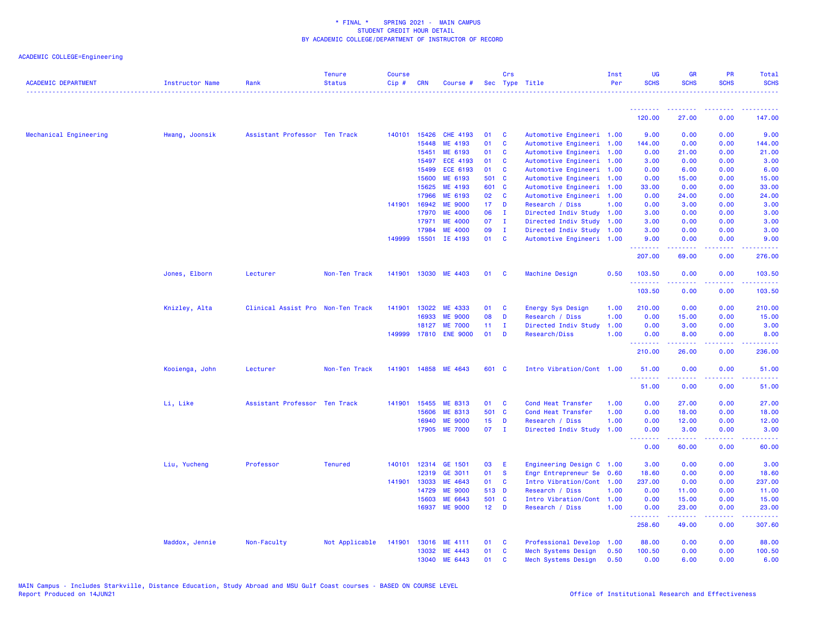| <b>ACADEMIC DEPARTMENT</b> | Instructor Name | Rank                              | <b>Tenure</b><br><b>Status</b> | <b>Course</b><br>Cip# | <b>CRN</b>   | Course #             |                 | Crs            | Sec Type Title            | Inst<br>Per | <b>UG</b><br><b>SCHS</b> | <b>GR</b><br><b>SCHS</b>                                                                                                          | <b>PR</b><br><b>SCHS</b>            | Total<br><b>SCHS</b>                                                                                                  |
|----------------------------|-----------------|-----------------------------------|--------------------------------|-----------------------|--------------|----------------------|-----------------|----------------|---------------------------|-------------|--------------------------|-----------------------------------------------------------------------------------------------------------------------------------|-------------------------------------|-----------------------------------------------------------------------------------------------------------------------|
|                            |                 |                                   |                                |                       |              |                      |                 |                |                           |             | 120.00                   | 27.00                                                                                                                             | 0.00                                | 147.00                                                                                                                |
|                            |                 |                                   |                                |                       |              |                      |                 |                |                           |             |                          |                                                                                                                                   |                                     |                                                                                                                       |
| Mechanical Engineering     | Hwang, Joonsik  | Assistant Professor Ten Track     |                                | 140101                | 15426        | <b>CHE 4193</b>      | 01              | C              | Automotive Engineeri 1.00 |             | 9.00                     | 0.00                                                                                                                              | 0.00                                | 9.00                                                                                                                  |
|                            |                 |                                   |                                |                       | 15448        | ME 4193              | 01              | $\mathbf{c}$   | Automotive Engineeri 1.00 |             | 144.00                   | 0.00                                                                                                                              | 0.00                                | 144.00                                                                                                                |
|                            |                 |                                   |                                |                       | 15451        | ME 6193              | 01              | C              | Automotive Engineeri 1.00 |             | 0.00                     | 21.00                                                                                                                             | 0.00                                | 21.00                                                                                                                 |
|                            |                 |                                   |                                |                       | 15497        | <b>ECE 4193</b>      | 01              | C              | Automotive Engineeri 1.00 |             | 3.00                     | 0.00                                                                                                                              | 0.00                                | 3.00                                                                                                                  |
|                            |                 |                                   |                                |                       | 15499        | <b>ECE 6193</b>      | 01              | C              | Automotive Engineeri 1.00 |             | 0.00                     | 6.00                                                                                                                              | 0.00                                | 6.00                                                                                                                  |
|                            |                 |                                   |                                |                       | 15600        | ME 6193              | 501 C           |                | Automotive Engineeri 1.00 |             | 0.00                     | 15.00                                                                                                                             | 0.00                                | 15.00                                                                                                                 |
|                            |                 |                                   |                                |                       | 15625        | ME 4193              | 601 C           |                | Automotive Engineeri 1.00 |             | 33.00                    | 0.00                                                                                                                              | 0.00                                | 33.00                                                                                                                 |
|                            |                 |                                   |                                |                       | 17966        | ME 6193              | 02              | C              | Automotive Engineeri 1.00 |             | 0.00                     | 24.00                                                                                                                             | 0.00                                | 24.00                                                                                                                 |
|                            |                 |                                   |                                | 141901                | 16942        | <b>ME 9000</b>       | 17 <sub>1</sub> | D              | Research / Diss           | 1.00        | 0.00                     | 3.00                                                                                                                              | 0.00                                | 3.00                                                                                                                  |
|                            |                 |                                   |                                |                       | 17970        | <b>ME 4000</b>       | 06              | $\mathbf{I}$   | Directed Indiv Study      | 1.00        | 3.00                     | 0.00                                                                                                                              | 0.00                                | 3.00                                                                                                                  |
|                            |                 |                                   |                                |                       | 17971        | <b>ME 4000</b>       | 07              | - I            | Directed Indiv Study      | 1.00        | 3.00                     | 0.00                                                                                                                              | 0.00                                | 3.00                                                                                                                  |
|                            |                 |                                   |                                |                       | 17984        | <b>ME 4000</b>       | 09              | $\mathbf{I}$   | Directed Indiv Study      | 1.00        | 3.00                     | 0.00                                                                                                                              | 0.00                                | 3.00                                                                                                                  |
|                            |                 |                                   |                                | 149999                | 15501        | IE 4193              | 01              | C              | Automotive Engineeri 1.00 |             | 9.00<br>.                | 0.00<br>$\frac{1}{2} \left( \frac{1}{2} \right) \left( \frac{1}{2} \right) \left( \frac{1}{2} \right) \left( \frac{1}{2} \right)$ | 0.00<br>د د د د                     | 9.00                                                                                                                  |
|                            |                 |                                   |                                |                       |              |                      |                 |                |                           |             | 207.00                   | 69.00                                                                                                                             | 0.00                                | 276.00                                                                                                                |
|                            | Jones, Elborn   | Lecturer                          | Non-Ten Track                  | 141901                | 13030        | ME 4403              | 01              | <b>C</b>       | Machine Design            | 0.50        | 103.50<br>.              | 0.00                                                                                                                              | 0.00                                | 103.50<br>$\begin{array}{cccccccccc} \bullet & \bullet & \bullet & \bullet & \bullet & \bullet & \bullet \end{array}$ |
|                            |                 |                                   |                                |                       |              |                      |                 |                |                           |             | 103.50                   | 0.00                                                                                                                              | 0.00                                | 103.50                                                                                                                |
|                            | Knizley, Alta   | Clinical Assist Pro Non-Ten Track |                                | 141901                | 13022        | ME 4333              | 01              | C              | Energy Sys Design         | 1.00        | 210.00                   | 0.00                                                                                                                              | 0.00                                | 210.00                                                                                                                |
|                            |                 |                                   |                                |                       | 16933        | <b>ME 9000</b>       | 08              | D              | Research / Diss           | 1.00        | 0.00                     | 15.00                                                                                                                             | 0.00                                | 15.00                                                                                                                 |
|                            |                 |                                   |                                |                       | 18127        | <b>ME 7000</b>       | 11 <sub>1</sub> | $\mathbf{I}$   | Directed Indiv Study      | 1.00        | 0.00                     | 3.00                                                                                                                              | 0.00                                | 3.00                                                                                                                  |
|                            |                 |                                   |                                |                       | 149999 17810 | <b>ENE 9000</b>      | 01              | D              | Research/Diss             | 1.00        | 0.00<br><u>.</u>         | 8.00                                                                                                                              | 0.00                                | 8.00<br>$\sim$ $\sim$ $\sim$ $\sim$                                                                                   |
|                            |                 |                                   |                                |                       |              |                      |                 |                |                           |             | 210.00                   | 26.00                                                                                                                             | 0.00                                | 236.00                                                                                                                |
|                            | Kooienga, John  | Lecturer                          | Non-Ten Track                  |                       |              | 141901 14858 ME 4643 | 601 C           |                | Intro Vibration/Cont 1.00 |             | 51.00                    | 0.00                                                                                                                              | 0.00                                | 51.00                                                                                                                 |
|                            |                 |                                   |                                |                       |              |                      |                 |                |                           |             | .<br>51.00               | 0.00                                                                                                                              | $\sim$ $\sim$ $\sim$ $\sim$<br>0.00 | المتمامين<br>51.00                                                                                                    |
|                            | Li, Like        | Assistant Professor Ten Track     |                                | 141901                | 15455        | ME 8313              | 01              | <b>C</b>       | Cond Heat Transfer        | 1.00        | 0.00                     | 27.00                                                                                                                             | 0.00                                | 27.00                                                                                                                 |
|                            |                 |                                   |                                |                       | 15606        | ME 8313              | 501 C           |                | Cond Heat Transfer        | 1.00        | 0.00                     | 18.00                                                                                                                             | 0.00                                | 18.00                                                                                                                 |
|                            |                 |                                   |                                |                       | 16940        | <b>ME 9000</b>       | 15 <sub>1</sub> | D              | Research / Diss           | 1.00        | 0.00                     | 12.00                                                                                                                             | 0.00                                | 12.00                                                                                                                 |
|                            |                 |                                   |                                |                       | 17905        | <b>ME 7000</b>       | 07              | $\blacksquare$ | Directed Indiv Study      | 1.00        | 0.00                     | 3.00                                                                                                                              | 0.00                                | 3.00                                                                                                                  |
|                            |                 |                                   |                                |                       |              |                      |                 |                |                           |             | .<br>0.00                | .<br>60.00                                                                                                                        | .<br>0.00                           | .<br>60.00                                                                                                            |
|                            | Liu, Yucheng    | Professor                         | <b>Tenured</b>                 | 140101                | 12314        | GE 1501              | 03              | E              | Engineering Design C 1.00 |             | 3.00                     | 0.00                                                                                                                              | 0.00                                | 3.00                                                                                                                  |
|                            |                 |                                   |                                |                       | 12319        | GE 3011              | 01              | <b>S</b>       | Engr Entrepreneur Se      | 0.60        | 18.60                    | 0.00                                                                                                                              | 0.00                                | 18.60                                                                                                                 |
|                            |                 |                                   |                                |                       | 141901 13033 | ME 4643              | 01              | C              | Intro Vibration/Cont      | 1.00        | 237.00                   | 0.00                                                                                                                              | 0.00                                | 237.00                                                                                                                |
|                            |                 |                                   |                                |                       | 14729        | <b>ME 9000</b>       | 513 D           |                | Research / Diss           | 1.00        | 0.00                     | 11.00                                                                                                                             | 0.00                                | 11.00                                                                                                                 |
|                            |                 |                                   |                                |                       | 15603        | ME 6643              | 501 C           |                | Intro Vibration/Cont 1.00 |             | 0.00                     | 15.00                                                                                                                             | 0.00                                | 15.00                                                                                                                 |
|                            |                 |                                   |                                |                       | 16937        | <b>ME 9000</b>       | $12$ D          |                | Research / Diss           | 1.00        | 0.00<br>.                | 23.00<br>.                                                                                                                        | 0.00<br>.                           | 23.00<br>.                                                                                                            |
|                            |                 |                                   |                                |                       |              |                      |                 |                |                           |             | 258.60                   | 49.00                                                                                                                             | 0.00                                | 307.60                                                                                                                |
|                            | Maddox, Jennie  | Non-Faculty                       | Not Applicable                 | 141901                | 13016        | ME 4111              | 01              | <b>C</b>       | Professional Develop      | 1.00        | 88.00                    | 0.00                                                                                                                              | 0.00                                | 88.00                                                                                                                 |
|                            |                 |                                   |                                |                       | 13032        | ME 4443              | 01              | C              | Mech Systems Design       | 0.50        | 100.50                   | 0.00                                                                                                                              | 0.00                                | 100.50                                                                                                                |
|                            |                 |                                   |                                |                       | 13040        | ME 6443              | 01              | C              | Mech Systems Design       | 0.50        | 0.00                     | 6.00                                                                                                                              | 0.00                                | 6.00                                                                                                                  |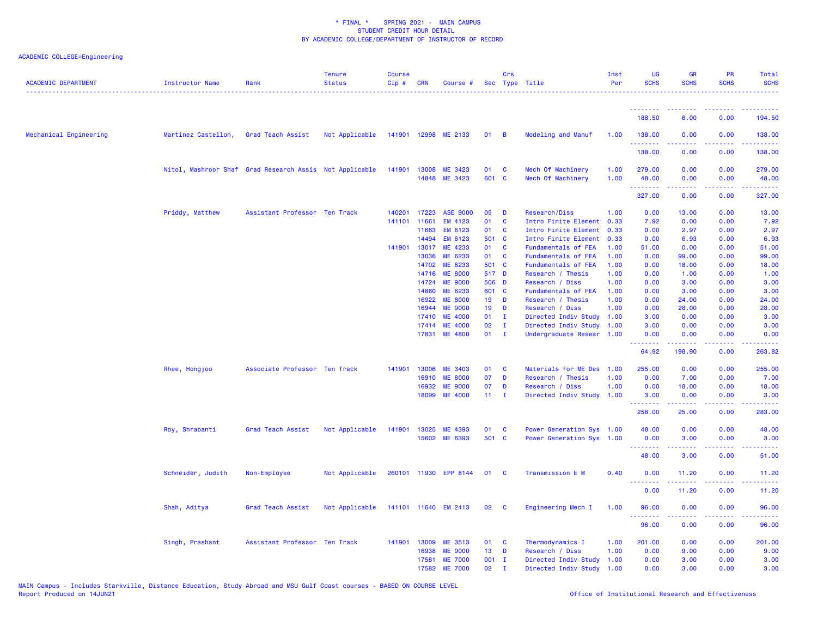| <b>ACADEMIC DEPARTMENT</b> | Instructor Name     | Rank                                                    | <b>Tenure</b><br><b>Status</b> | <b>Course</b><br>Cip# | <b>CRN</b>     | Course #                  |                 | Crs                     | Sec Type Title                       | Inst<br>Per  | <b>UG</b><br><b>SCHS</b> | <b>GR</b><br><b>SCHS</b>                                                                                                                                     | <b>PR</b><br><b>SCHS</b>                                                                                                          | Total<br><b>SCHS</b> |
|----------------------------|---------------------|---------------------------------------------------------|--------------------------------|-----------------------|----------------|---------------------------|-----------------|-------------------------|--------------------------------------|--------------|--------------------------|--------------------------------------------------------------------------------------------------------------------------------------------------------------|-----------------------------------------------------------------------------------------------------------------------------------|----------------------|
|                            |                     |                                                         |                                |                       |                |                           |                 |                         |                                      |              | .                        |                                                                                                                                                              |                                                                                                                                   |                      |
|                            |                     |                                                         |                                |                       |                |                           |                 |                         |                                      |              | 188.50                   | 6.00                                                                                                                                                         | 0.00                                                                                                                              | 194.50               |
| Mechanical Engineering     | Martinez Castellon, | Grad Teach Assist                                       | Not Applicable                 |                       |                | 141901 12998 ME 2133      | 01 B            |                         | Modeling and Manuf                   | 1.00         | 138.00<br>.              | 0.00                                                                                                                                                         | 0.00<br>د د د د                                                                                                                   | 138.00<br>2.2.2.2.2  |
|                            |                     |                                                         |                                |                       |                |                           |                 |                         |                                      |              | 138.00                   | 0.00                                                                                                                                                         | 0.00                                                                                                                              | 138.00               |
|                            |                     | Nitol, Mashroor Shaf Grad Research Assis Not Applicable |                                | 141901                | 13008          | ME 3423                   | 01              | $\mathbf{C}$            | Mech Of Machinery                    | 1.00         | 279.00                   | 0.00                                                                                                                                                         | 0.00                                                                                                                              | 279.00               |
|                            |                     |                                                         |                                |                       |                | 14848 ME 3423             | 601 C           |                         | Mech Of Machinery                    | 1.00         | 48.00<br>.               | 0.00<br>.                                                                                                                                                    | 0.00<br>.                                                                                                                         | 48.00<br>.           |
|                            |                     |                                                         |                                |                       |                |                           |                 |                         |                                      |              | 327.00                   | 0.00                                                                                                                                                         | 0.00                                                                                                                              | 327.00               |
|                            | Priddy, Matthew     | Assistant Professor Ten Track                           |                                | 140201                | 17223          | <b>ASE 9000</b>           | 05              | $\blacksquare$          | Research/Diss                        | 1.00         | 0.00                     | 13.00                                                                                                                                                        | 0.00                                                                                                                              | 13.00                |
|                            |                     |                                                         |                                | 141101 11661          |                | EM 4123                   | 01              | $\mathbf{C}$            | Intro Finite Element                 | 0.33         | 7.92                     | 0.00                                                                                                                                                         | 0.00                                                                                                                              | 7.92                 |
|                            |                     |                                                         |                                |                       | 11663          | EM 6123                   | 01              | $\mathbf{C}$            | Intro Finite Element                 | 0.33         | 0.00                     | 2.97                                                                                                                                                         | 0.00                                                                                                                              | 2.97                 |
|                            |                     |                                                         |                                |                       | 14494          | EM 6123                   | 501 C           |                         | Intro Finite Element                 | 0.33         | 0.00                     | 6.93                                                                                                                                                         | 0.00                                                                                                                              | 6.93                 |
|                            |                     |                                                         |                                | 141901                | 13017          | ME 4233                   | 01              | $\mathbf{C}$            | Fundamentals of FEA                  | 1.00         | 51.00                    | 0.00                                                                                                                                                         | 0.00                                                                                                                              | 51.00                |
|                            |                     |                                                         |                                |                       | 13036          | ME 6233                   | 01              | <b>C</b>                | Fundamentals of FEA                  | 1.00         | 0.00                     | 99.00                                                                                                                                                        | 0.00                                                                                                                              | 99.00                |
|                            |                     |                                                         |                                |                       | 14702          | ME 6233<br><b>ME 8000</b> | 501 C<br>517 D  |                         | Fundamentals of FEA                  | 1.00         | 0.00                     | 18.00                                                                                                                                                        | 0.00<br>0.00                                                                                                                      | 18.00                |
|                            |                     |                                                         |                                |                       | 14716<br>14724 | <b>ME 9000</b>            | 506 D           |                         | Research / Thesis<br>Research / Diss | 1.00<br>1.00 | 0.00<br>0.00             | 1.00<br>3.00                                                                                                                                                 | 0.00                                                                                                                              | 1.00<br>3.00         |
|                            |                     |                                                         |                                |                       | 14860          | ME 6233                   | 601 C           |                         | Fundamentals of FEA                  | 1.00         | 0.00                     | 3.00                                                                                                                                                         | 0.00                                                                                                                              | 3.00                 |
|                            |                     |                                                         |                                |                       | 16922          | <b>ME 8000</b>            |                 | 19 D                    | Research / Thesis                    | 1.00         | 0.00                     | 24.00                                                                                                                                                        | 0.00                                                                                                                              | 24.00                |
|                            |                     |                                                         |                                |                       | 16944          | <b>ME 9000</b>            | 19 <sup>°</sup> | <b>D</b>                | Research / Diss                      | 1.00         | 0.00                     | 28.00                                                                                                                                                        | 0.00                                                                                                                              | 28.00                |
|                            |                     |                                                         |                                |                       | 17410          | <b>ME 4000</b>            | 01              | $\mathbf{I}$            | Directed Indiv Study                 | 1.00         | 3.00                     | 0.00                                                                                                                                                         | 0.00                                                                                                                              | 3.00                 |
|                            |                     |                                                         |                                |                       | 17414          | <b>ME 4000</b>            | 02              | Ι.                      | Directed Indiv Study                 | 1.00         | 3.00                     | 0.00                                                                                                                                                         | 0.00                                                                                                                              | 3.00                 |
|                            |                     |                                                         |                                |                       | 17831          | <b>ME 4800</b>            | 01              | $\blacksquare$          | Undergraduate Resear 1.00            |              | 0.00                     | 0.00                                                                                                                                                         | 0.00                                                                                                                              | 0.00                 |
|                            |                     |                                                         |                                |                       |                |                           |                 |                         |                                      |              | <u>.</u><br>64.92        | .<br>198.90                                                                                                                                                  | .<br>0.00                                                                                                                         | <b>.</b><br>263.82   |
|                            | Rhee, Hongjoo       | Associate Professor Ten Track                           |                                | 141901                | 13006          | <b>ME 3403</b>            | 01              | $\mathbf{C}$            | Materials for ME Des 1.00            |              | 255.00                   | 0.00                                                                                                                                                         | 0.00                                                                                                                              | 255.00               |
|                            |                     |                                                         |                                |                       | 16910          | <b>ME 8000</b>            | 07              | D                       | Research / Thesis                    | 1.00         | 0.00                     | 7.00                                                                                                                                                         | 0.00                                                                                                                              | 7.00                 |
|                            |                     |                                                         |                                |                       | 16932          | <b>ME 9000</b>            | 07              | D                       | Research / Diss                      | 1.00         | 0.00                     | 18.00                                                                                                                                                        | 0.00                                                                                                                              | 18.00                |
|                            |                     |                                                         |                                |                       | 18099          | <b>ME 4000</b>            | $11 \quad I$    |                         | Directed Indiv Study 1.00            |              | 3.00<br>.                | 0.00<br>. <b>.</b>                                                                                                                                           | 0.00<br>.                                                                                                                         | 3.00                 |
|                            |                     |                                                         |                                |                       |                |                           |                 |                         |                                      |              | 258.00                   | 25.00                                                                                                                                                        | 0.00                                                                                                                              | 283.00               |
|                            | Roy, Shrabanti      | Grad Teach Assist                                       | Not Applicable                 | 141901                | 13025          | ME 4393                   | 01              | $\mathbf{C}$            | Power Generation Sys 1.00            |              | 48.00                    | 0.00                                                                                                                                                         | 0.00                                                                                                                              | 48.00                |
|                            |                     |                                                         |                                |                       | 15602          | ME 6393                   | 501 C           |                         | Power Generation Sys 1.00            |              | 0.00<br>.                | 3.00<br>$\frac{1}{2} \left( \frac{1}{2} \right) \left( \frac{1}{2} \right) \left( \frac{1}{2} \right) \left( \frac{1}{2} \right) \left( \frac{1}{2} \right)$ | 0.00<br>.                                                                                                                         | 3.00<br>.            |
|                            |                     |                                                         |                                |                       |                |                           |                 |                         |                                      |              | 48.00                    | 3.00                                                                                                                                                         | 0.00                                                                                                                              | 51.00                |
|                            | Schneider, Judith   | Non-Employee                                            | Not Applicable                 |                       |                | 260101 11930 EPP 8144     | 01              | $\overline{\mathbf{C}}$ | Transmission E M                     | 0.40         | 0.00                     | 11.20                                                                                                                                                        | 0.00                                                                                                                              | 11.20                |
|                            |                     |                                                         |                                |                       |                |                           |                 |                         |                                      |              | .<br>0.00                | 11.20                                                                                                                                                        | $\frac{1}{2} \left( \frac{1}{2} \right) \left( \frac{1}{2} \right) \left( \frac{1}{2} \right) \left( \frac{1}{2} \right)$<br>0.00 | 11.20                |
|                            | Shah, Aditya        | Grad Teach Assist                                       | Not Applicable                 |                       |                | 141101 11640 EM 2413      | 02              | $\overline{\mathbf{C}}$ | Engineering Mech I                   | 1.00         | 96.00                    | 0.00                                                                                                                                                         | 0.00                                                                                                                              | 96.00                |
|                            |                     |                                                         |                                |                       |                |                           |                 |                         |                                      |              | .<br>96.00               | 0.00                                                                                                                                                         | .<br>0.00                                                                                                                         | 96.00                |
|                            | Singh, Prashant     | Assistant Professor Ten Track                           |                                |                       | 141901 13009   | ME 3513                   | 01 C            |                         | Thermodynamics I                     | 1.00         | 201.00                   | 0.00                                                                                                                                                         | 0.00                                                                                                                              | 201.00               |
|                            |                     |                                                         |                                |                       | 16938          | <b>ME 9000</b>            | 13 <sup>°</sup> | D                       | Research / Diss                      | 1.00         | 0.00                     | 9.00                                                                                                                                                         | 0.00                                                                                                                              | 9.00                 |
|                            |                     |                                                         |                                |                       | 17581          | <b>ME 7000</b>            | 001 I           |                         | Directed Indiv Study                 | 1.00         | 0.00                     | 3.00                                                                                                                                                         | 0.00                                                                                                                              | 3.00                 |
|                            |                     |                                                         |                                |                       | 17582          | <b>ME 7000</b>            | 02              | $\mathbf{I}$            | Directed Indiv Study 1.00            |              | 0.00                     | 3.00                                                                                                                                                         | 0.00                                                                                                                              | 3.00                 |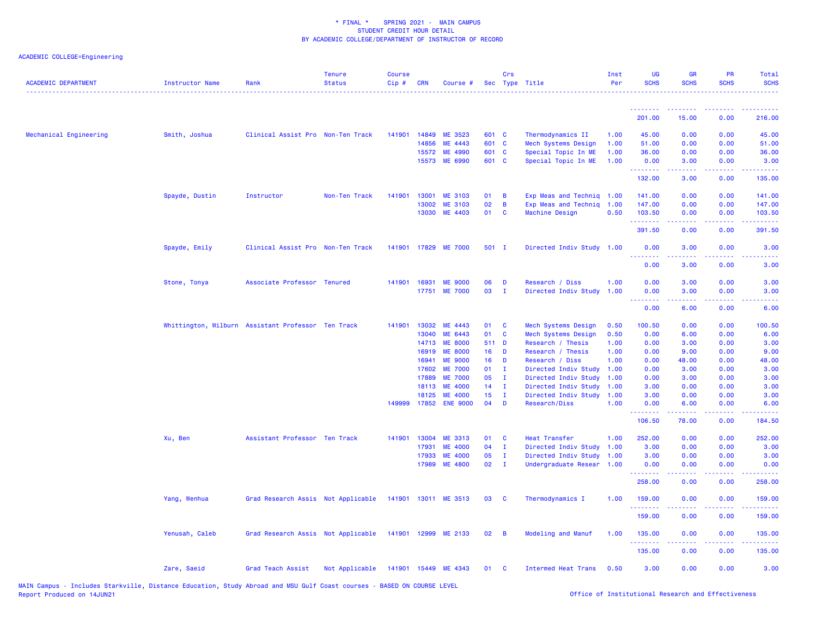## ACADEMIC COLLEGE=Engineering

| <b>ACADEMIC DEPARTMENT</b> | Instructor Name | Rank                                               | <b>Tenure</b><br><b>Status</b> | Course<br>Cip# | <b>CRN</b>     | Course #                                |                       | Crs                          | Sec Type Title                                         | Inst<br>Per  | UG<br><b>SCHS</b>                 | <b>GR</b><br><b>SCHS</b>                                                                                                                                                                                                                                                                                                                                                                                                                                                               | PR<br><b>SCHS</b> | <b>Total</b><br><b>SCHS</b>                                                                                                       |
|----------------------------|-----------------|----------------------------------------------------|--------------------------------|----------------|----------------|-----------------------------------------|-----------------------|------------------------------|--------------------------------------------------------|--------------|-----------------------------------|----------------------------------------------------------------------------------------------------------------------------------------------------------------------------------------------------------------------------------------------------------------------------------------------------------------------------------------------------------------------------------------------------------------------------------------------------------------------------------------|-------------------|-----------------------------------------------------------------------------------------------------------------------------------|
|                            |                 |                                                    |                                |                |                |                                         |                       |                              |                                                        |              | <u>.</u>                          | $\begin{array}{cccccccccccccc} \multicolumn{2}{c}{} & \multicolumn{2}{c}{} & \multicolumn{2}{c}{} & \multicolumn{2}{c}{} & \multicolumn{2}{c}{} & \multicolumn{2}{c}{} & \multicolumn{2}{c}{} & \multicolumn{2}{c}{} & \multicolumn{2}{c}{} & \multicolumn{2}{c}{} & \multicolumn{2}{c}{} & \multicolumn{2}{c}{} & \multicolumn{2}{c}{} & \multicolumn{2}{c}{} & \multicolumn{2}{c}{} & \multicolumn{2}{c}{} & \multicolumn{2}{c}{} & \multicolumn{2}{c}{} & \multicolumn{2}{c}{} & \$ | الداعات عامات     | <u>.</u>                                                                                                                          |
|                            |                 |                                                    |                                |                |                |                                         |                       |                              |                                                        |              | 201.00                            | 15.00                                                                                                                                                                                                                                                                                                                                                                                                                                                                                  | 0.00              | 216.00                                                                                                                            |
| Mechanical Engineering     | Smith, Joshua   | Clinical Assist Pro Non-Ten Track                  |                                | 141901         | 14849          | ME 3523                                 | 601 C                 |                              | Thermodynamics II                                      | 1.00         | 45.00                             | 0.00                                                                                                                                                                                                                                                                                                                                                                                                                                                                                   | 0.00              | 45.00                                                                                                                             |
|                            |                 |                                                    |                                |                | 14856          | ME 4443                                 | 601 C                 |                              | Mech Systems Design                                    | 1.00         | 51.00                             | 0.00                                                                                                                                                                                                                                                                                                                                                                                                                                                                                   | 0.00              | 51.00                                                                                                                             |
|                            |                 |                                                    |                                |                | 15572          | ME 4990                                 | 601 C                 |                              | Special Topic In ME                                    | 1.00         | 36.00                             | 0.00                                                                                                                                                                                                                                                                                                                                                                                                                                                                                   | 0.00              | 36.00                                                                                                                             |
|                            |                 |                                                    |                                |                | 15573          | <b>ME 6990</b>                          | 601 C                 |                              | Special Topic In ME                                    | 1.00         | 0.00<br>.                         | 3.00<br>.                                                                                                                                                                                                                                                                                                                                                                                                                                                                              | 0.00<br>.         | 3.00<br>$\begin{array}{cccccccccc} \bullet & \bullet & \bullet & \bullet & \bullet & \bullet & \bullet \end{array}$               |
|                            |                 |                                                    |                                |                |                |                                         |                       |                              |                                                        |              | 132.00                            | 3.00                                                                                                                                                                                                                                                                                                                                                                                                                                                                                   | 0.00              | 135.00                                                                                                                            |
|                            | Spayde, Dustin  | Instructor                                         | Non-Ten Track                  | 141901         | 13001          | <b>ME 3103</b>                          | 01                    | $\overline{B}$               | Exp Meas and Techniq 1.00                              |              | 141.00                            | 0.00                                                                                                                                                                                                                                                                                                                                                                                                                                                                                   | 0.00              | 141.00                                                                                                                            |
|                            |                 |                                                    |                                |                | 13002          | <b>ME 3103</b>                          | 02                    | B                            | Exp Meas and Techniq 1.00                              |              | 147.00                            | 0.00                                                                                                                                                                                                                                                                                                                                                                                                                                                                                   | 0.00              | 147.00                                                                                                                            |
|                            |                 |                                                    |                                |                | 13030          | ME 4403                                 | 01                    | $\mathbf{C}$                 | <b>Machine Design</b>                                  | 0.50         | 103.50<br>.                       | 0.00<br>د د د د                                                                                                                                                                                                                                                                                                                                                                                                                                                                        | 0.00<br>.         | 103.50<br><b></b>                                                                                                                 |
|                            |                 |                                                    |                                |                |                |                                         |                       |                              |                                                        |              | 391.50                            | 0.00                                                                                                                                                                                                                                                                                                                                                                                                                                                                                   | 0.00              | 391.50                                                                                                                            |
|                            | Spayde, Emily   | Clinical Assist Pro Non-Ten Track                  |                                |                |                | 141901 17829 ME 7000                    | 501 I                 |                              | Directed Indiv Study 1.00                              |              | 0.00<br>.                         | 3.00<br>$   -$                                                                                                                                                                                                                                                                                                                                                                                                                                                                         | 0.00              | 3.00                                                                                                                              |
|                            |                 |                                                    |                                |                |                |                                         |                       |                              |                                                        |              | 0.00                              | 3.00                                                                                                                                                                                                                                                                                                                                                                                                                                                                                   | 0.00              | 3.00                                                                                                                              |
|                            | Stone, Tonya    | Associate Professor Tenured                        |                                |                | 141901 16931   | <b>ME 9000</b>                          | 06                    | D                            | Research / Diss                                        | 1.00         | 0.00                              | 3.00                                                                                                                                                                                                                                                                                                                                                                                                                                                                                   | 0.00              | 3.00                                                                                                                              |
|                            |                 |                                                    |                                |                |                | 17751 ME 7000                           | 03                    | $\mathbf{I}$                 | Directed Indiv Study 1.00                              |              | 0.00                              | 3.00                                                                                                                                                                                                                                                                                                                                                                                                                                                                                   | 0.00              | 3.00                                                                                                                              |
|                            |                 |                                                    |                                |                |                |                                         |                       |                              |                                                        |              | .<br>$\sim$ $\sim$ $\sim$<br>0.00 | 22222<br>6.00                                                                                                                                                                                                                                                                                                                                                                                                                                                                          | .<br>0.00         | $\frac{1}{2} \left( \frac{1}{2} \right) \left( \frac{1}{2} \right) \left( \frac{1}{2} \right) \left( \frac{1}{2} \right)$<br>6.00 |
|                            |                 | Whittington, Wilburn Assistant Professor Ten Track |                                | 141901         | 13032          | ME 4443                                 | 01 C                  |                              | Mech Systems Design                                    | 0.50         | 100.50                            | 0.00                                                                                                                                                                                                                                                                                                                                                                                                                                                                                   | 0.00              | 100.50                                                                                                                            |
|                            |                 |                                                    |                                |                | 13040          | ME 6443                                 | 01                    | $\mathbf{C}$                 | Mech Systems Design                                    | 0.50         | 0.00                              | 6.00                                                                                                                                                                                                                                                                                                                                                                                                                                                                                   | 0.00              | 6.00                                                                                                                              |
|                            |                 |                                                    |                                |                | 14713          | <b>ME 8000</b>                          | 511 D                 |                              | Research / Thesis                                      | 1.00         | 0.00                              | 3.00                                                                                                                                                                                                                                                                                                                                                                                                                                                                                   | 0.00              | 3.00                                                                                                                              |
|                            |                 |                                                    |                                |                | 16919          | <b>ME 8000</b>                          | 16 <sup>1</sup>       | $\mathbf{D}$                 | Research / Thesis                                      | 1.00         | 0.00                              | 9.00                                                                                                                                                                                                                                                                                                                                                                                                                                                                                   | 0.00              | 9.00                                                                                                                              |
|                            |                 |                                                    |                                |                | 16941          | <b>ME 9000</b>                          | 16 <sup>1</sup>       | D                            | Research / Diss                                        | 1.00         | 0.00                              | 48.00                                                                                                                                                                                                                                                                                                                                                                                                                                                                                  | 0.00              | 48.00                                                                                                                             |
|                            |                 |                                                    |                                |                | 17602          | <b>ME 7000</b>                          | 01                    | л.                           | Directed Indiv Study                                   | 1.00         | 0.00                              | 3.00                                                                                                                                                                                                                                                                                                                                                                                                                                                                                   | 0.00              | 3.00                                                                                                                              |
|                            |                 |                                                    |                                |                | 17889          | <b>ME 7000</b>                          | 05                    | T                            | Directed Indiv Study                                   | 1.00         | 0.00                              | 3.00                                                                                                                                                                                                                                                                                                                                                                                                                                                                                   | 0.00              | 3.00                                                                                                                              |
|                            |                 |                                                    |                                |                | 18113          | <b>ME 4000</b>                          | 14                    | $\mathbf{I}$                 | Directed Indiv Study                                   | 1.00         | 3.00                              | 0.00                                                                                                                                                                                                                                                                                                                                                                                                                                                                                   | 0.00              | 3.00                                                                                                                              |
|                            |                 |                                                    |                                |                | 18125          | <b>ME 4000</b><br>149999 17852 ENE 9000 | 15 <sub>1</sub><br>04 | $\mathbf{I}$<br>D            | Directed Indiv Study<br>Research/Diss                  | 1.00<br>1.00 | 3.00<br>0.00                      | 0.00<br>6.00                                                                                                                                                                                                                                                                                                                                                                                                                                                                           | 0.00<br>0.00      | 3.00<br>6.00                                                                                                                      |
|                            |                 |                                                    |                                |                |                |                                         |                       |                              |                                                        |              | .<br>106.50                       | بالأباليات<br>78.00                                                                                                                                                                                                                                                                                                                                                                                                                                                                    | .<br>0.00         | .<br>184.50                                                                                                                       |
|                            |                 |                                                    |                                |                |                |                                         |                       |                              |                                                        |              |                                   |                                                                                                                                                                                                                                                                                                                                                                                                                                                                                        |                   |                                                                                                                                   |
|                            | Xu, Ben         | Assistant Professor Ten Track                      |                                | 141901         | 13004          | <b>ME 3313</b>                          | 01                    | <b>C</b>                     | <b>Heat Transfer</b>                                   | 1.00         | 252.00                            | 0.00                                                                                                                                                                                                                                                                                                                                                                                                                                                                                   | 0.00              | 252.00                                                                                                                            |
|                            |                 |                                                    |                                |                | 17931          | <b>ME 4000</b>                          | 04                    | $\mathbf{I}$                 | Directed Indiv Study 1.00                              |              | 3.00                              | 0.00                                                                                                                                                                                                                                                                                                                                                                                                                                                                                   | 0.00              | 3.00                                                                                                                              |
|                            |                 |                                                    |                                |                | 17933<br>17989 | <b>ME 4000</b><br>ME 4800               | 05<br>02              | $\mathbf{I}$<br>$\mathbf{I}$ | Directed Indiv Study 1.00<br>Undergraduate Resear 1.00 |              | 3.00<br>0.00                      | 0.00<br>0.00                                                                                                                                                                                                                                                                                                                                                                                                                                                                           | 0.00<br>0.00      | 3.00<br>0.00                                                                                                                      |
|                            |                 |                                                    |                                |                |                |                                         |                       |                              |                                                        |              | .<br>258.00                       | 0.00                                                                                                                                                                                                                                                                                                                                                                                                                                                                                   | 0.00              | 258.00                                                                                                                            |
|                            | Yang, Wenhua    | Grad Research Assis Not Applicable                 |                                |                |                | 141901 13011 ME 3513                    | 03                    | $\mathbf{C}$                 | Thermodynamics I                                       | 1.00         | 159.00                            | 0.00                                                                                                                                                                                                                                                                                                                                                                                                                                                                                   | 0.00              | 159.00                                                                                                                            |
|                            |                 |                                                    |                                |                |                |                                         |                       |                              |                                                        |              | .                                 |                                                                                                                                                                                                                                                                                                                                                                                                                                                                                        |                   |                                                                                                                                   |
|                            |                 |                                                    |                                |                |                |                                         |                       |                              |                                                        |              | 159.00                            | 0.00                                                                                                                                                                                                                                                                                                                                                                                                                                                                                   | 0.00              | 159.00                                                                                                                            |
|                            | Yenusah, Caleb  | Grad Research Assis Not Applicable                 |                                |                |                | 141901 12999 ME 2133                    | $02 \quad B$          |                              | Modeling and Manuf                                     | 1.00         | 135.00<br>.                       | 0.00                                                                                                                                                                                                                                                                                                                                                                                                                                                                                   | 0.00              | 135.00                                                                                                                            |
|                            |                 |                                                    |                                |                |                |                                         |                       |                              |                                                        |              | 135.00                            | 0.00                                                                                                                                                                                                                                                                                                                                                                                                                                                                                   | 0.00              | 135.00                                                                                                                            |
|                            | Zare, Saeid     | Grad Teach Assist                                  | Not Applicable                 |                |                | 141901 15449 ME 4343                    | 01                    | $\mathbf{C}$                 | Intermed Heat Trans                                    | 0.50         | 3.00                              | 0.00                                                                                                                                                                                                                                                                                                                                                                                                                                                                                   | 0.00              | 3.00                                                                                                                              |

MAIN Campus - Includes Starkville, Distance Education, Study Abroad and MSU Gulf Coast courses - BASED ON COURSE LEVEL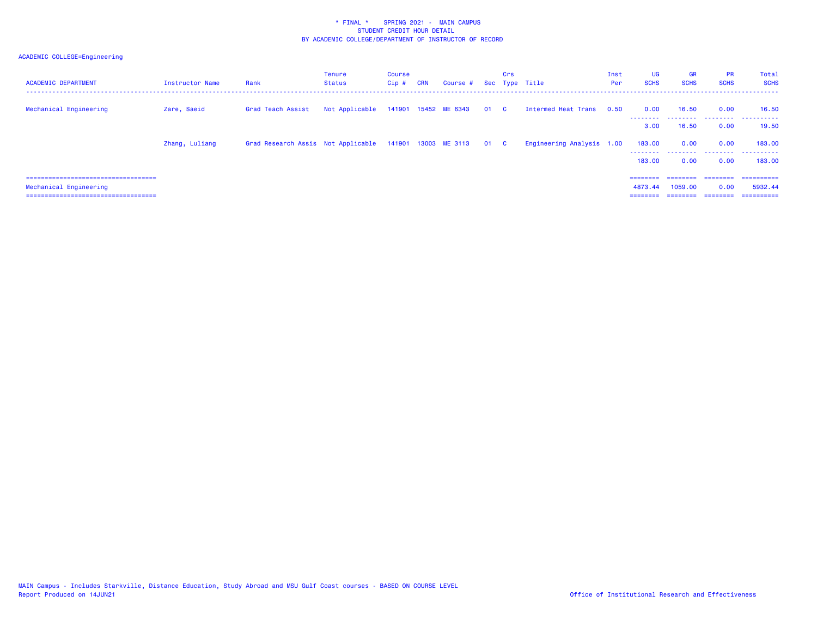| <b>ACADEMIC DEPARTMENT</b>                                    | Instructor Name | Rank                                                         | Tenure<br><b>Status</b> | Course<br>Cip# | <b>CRN</b> | Course # Sec Type Title   | Crs |                           | Inst<br>Per | <b>UG</b><br><b>SCHS</b> | <b>GR</b><br><b>SCHS</b> | <b>PR</b><br><b>SCHS</b> | Total<br><b>SCHS</b>                  |
|---------------------------------------------------------------|-----------------|--------------------------------------------------------------|-------------------------|----------------|------------|---------------------------|-----|---------------------------|-------------|--------------------------|--------------------------|--------------------------|---------------------------------------|
| Mechanical Engineering                                        | Zare, Saeid     | Grad Teach Assist                                            | Not Applicable          |                |            | 141901 15452 ME 6343 01 C |     | Intermed Heat Trans 0.50  |             | 0.00                     | 16.50                    | 0.00                     | 16.50<br>--------  --------  -------- |
|                                                               |                 |                                                              |                         |                |            |                           |     |                           |             | 3.00                     | 16.50                    | 0.00                     | 19.50                                 |
|                                                               | Zhang, Luliang  | Grad Research Assis Not Applicable 141901 13003 ME 3113 01 C |                         |                |            |                           |     | Engineering Analysis 1.00 |             | 183.00<br>---------      | 0.00<br>.                | 0.00<br>.                | 183,00<br>.                           |
|                                                               |                 |                                                              |                         |                |            |                           |     |                           |             | 183,00                   | 0.00                     | 0.00                     | 183,00                                |
| =====================================                         |                 |                                                              |                         |                |            |                           |     |                           |             | $=$ = = = = = = =        | ---------                |                          | ==========                            |
| Mechanical Engineering<br>=================================== |                 |                                                              |                         |                |            |                           |     |                           |             | 4873.44                  | 1059.00                  | 0.00                     | 5932.44<br>==========                 |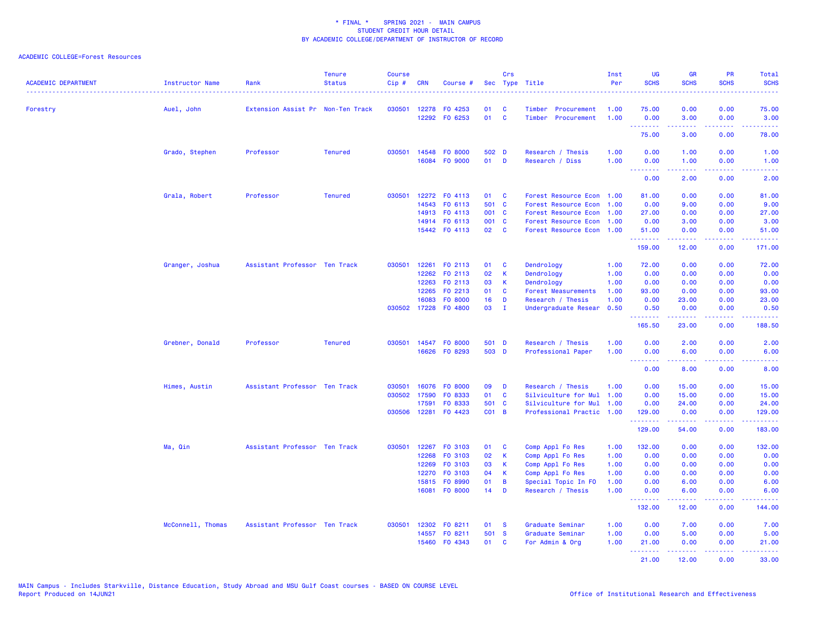### ACADEMIC COLLEGE=Forest Resources

| <b>ACADEMIC DEPARTMENT</b> | Instructor Name   | Rank                              | <b>Tenure</b><br><b>Status</b> | <b>Course</b><br>$Cip \#$ | <b>CRN</b> | Course #      |                 | Crs          | Sec Type Title            | Inst<br>Per | <b>UG</b><br><b>SCHS</b>        | <b>GR</b><br><b>SCHS</b>                                                                                                          | <b>PR</b><br><b>SCHS</b>                     | Total<br><b>SCHS</b>                                                                                                  |
|----------------------------|-------------------|-----------------------------------|--------------------------------|---------------------------|------------|---------------|-----------------|--------------|---------------------------|-------------|---------------------------------|-----------------------------------------------------------------------------------------------------------------------------------|----------------------------------------------|-----------------------------------------------------------------------------------------------------------------------|
| Forestry                   | Auel, John        | Extension Assist Pr Non-Ten Track |                                | 030501                    | 12278      | F0 4253       | 01              | C            | Timber<br>Procurement     | 1.00        | 75.00                           | 0.00                                                                                                                              | 0.00                                         | 75.00                                                                                                                 |
|                            |                   |                                   |                                |                           |            | 12292 FO 6253 | 01              | $\mathbf{C}$ | Timber<br>Procurement     | 1.00        | 0.00<br><u> - - - - - - - -</u> | 3.00<br>$- - - - -$                                                                                                               | 0.00<br>.                                    | 3.00<br>.                                                                                                             |
|                            |                   |                                   |                                |                           |            |               |                 |              |                           |             | 75.00                           | 3.00                                                                                                                              | 0.00                                         | 78.00                                                                                                                 |
|                            | Grado, Stephen    | Professor                         | <b>Tenured</b>                 | 030501                    | 14548      | FO 8000       | 502 D           |              | Research / Thesis         | 1.00        | 0.00                            | 1.00                                                                                                                              | 0.00                                         | 1.00                                                                                                                  |
|                            |                   |                                   |                                |                           |            | 16084 FO 9000 | 01              | $\mathbf{D}$ | Research / Diss           | 1.00        | 0.00<br>.                       | 1.00                                                                                                                              | 0.00                                         | 1.00                                                                                                                  |
|                            |                   |                                   |                                |                           |            |               |                 |              |                           |             | 0.00                            | 2.00                                                                                                                              | 0.00                                         | 2.00                                                                                                                  |
|                            | Grala, Robert     | Professor                         | <b>Tenured</b>                 | 030501                    |            | 12272 FO 4113 | 01              | <b>C</b>     | Forest Resource Econ 1.00 |             | 81.00                           | 0.00                                                                                                                              | 0.00                                         | 81.00                                                                                                                 |
|                            |                   |                                   |                                |                           | 14543      | FO 6113       | 501 C           |              | Forest Resource Econ      | 1.00        | 0.00                            | 9.00                                                                                                                              | 0.00                                         | 9.00                                                                                                                  |
|                            |                   |                                   |                                |                           |            | 14913 FO 4113 | 001 C           |              | Forest Resource Econ      | 1.00        | 27.00                           | 0.00                                                                                                                              | 0.00                                         | 27.00                                                                                                                 |
|                            |                   |                                   |                                |                           |            | 14914 FO 6113 | 001 C           |              | Forest Resource Econ 1.00 |             | 0.00                            | 3.00                                                                                                                              | 0.00                                         | 3.00                                                                                                                  |
|                            |                   |                                   |                                |                           |            | 15442 FO 4113 | 02              | $\mathbf{C}$ | Forest Resource Econ      | 1.00        | 51.00<br><u>.</u>               | 0.00<br>2.2.2.2.2                                                                                                                 | 0.00<br>.                                    | 51.00<br>.                                                                                                            |
|                            |                   |                                   |                                |                           |            |               |                 |              |                           |             | 159.00                          | 12.00                                                                                                                             | 0.00                                         | 171.00                                                                                                                |
|                            | Granger, Joshua   | Assistant Professor Ten Track     |                                | 030501                    | 12261      | FO 2113       | 01              | <b>C</b>     | Dendrology                | 1.00        | 72.00                           | 0.00                                                                                                                              | 0.00                                         | 72.00                                                                                                                 |
|                            |                   |                                   |                                |                           | 12262      | FO 2113       | 02              | <b>K</b>     | Dendrology                | 1.00        | 0.00                            | 0.00                                                                                                                              | 0.00                                         | 0.00                                                                                                                  |
|                            |                   |                                   |                                |                           | 12263      | F0 2113       | 03              | -K           | Dendrology                | 1.00        | 0.00                            | 0.00                                                                                                                              | 0.00                                         | 0.00                                                                                                                  |
|                            |                   |                                   |                                |                           | 12265      | FO 2213       | 01              | <b>C</b>     | Forest Measurements       | 1.00        | 93.00                           | 0.00                                                                                                                              | 0.00                                         | 93.00                                                                                                                 |
|                            |                   |                                   |                                |                           | 16083      | FO 8000       | 16 <sup>1</sup> | D            | Research / Thesis         | 1.00        | 0.00                            | 23.00                                                                                                                             | 0.00                                         | 23.00                                                                                                                 |
|                            |                   |                                   |                                | 030502                    |            | 17228 F0 4800 | 03              | $\mathbf{I}$ | Undergraduate Resear      | 0.50        | 0.50<br><u>.</u>                | 0.00<br>بالاناداب                                                                                                                 | 0.00<br>د د د د                              | 0.50<br>.                                                                                                             |
|                            |                   |                                   |                                |                           |            |               |                 |              |                           |             | 165.50                          | 23.00                                                                                                                             | 0.00                                         | 188.50                                                                                                                |
|                            | Grebner, Donald   | Professor                         | <b>Tenured</b>                 | 030501                    |            | 14547 FO 8000 | 501 D           |              | Research / Thesis         | 1.00        | 0.00                            | 2.00                                                                                                                              | 0.00                                         | 2.00                                                                                                                  |
|                            |                   |                                   |                                |                           |            | 16626 FO 8293 | 503 D           |              | Professional Paper        | 1.00        | 0.00<br>.                       | 6.00                                                                                                                              | 0.00<br><b><i><u><u> - - - -</u></u></i></b> | 6.00<br>د د د د د                                                                                                     |
|                            |                   |                                   |                                |                           |            |               |                 |              |                           |             | 0.00                            | .<br>8.00                                                                                                                         | 0.00                                         | 8.00                                                                                                                  |
|                            | Himes, Austin     | Assistant Professor Ten Track     |                                | 030501                    | 16076      | FO 8000       | 09              | D            | Research / Thesis         | 1.00        | 0.00                            | 15.00                                                                                                                             | 0.00                                         | 15.00                                                                                                                 |
|                            |                   |                                   |                                | 030502                    | 17590      | FO 8333       | 01              | $\mathbf{C}$ | Silviculture for Mul 1.00 |             | 0.00                            | 15.00                                                                                                                             | 0.00                                         | 15.00                                                                                                                 |
|                            |                   |                                   |                                |                           | 17591      | FO 8333       | 501 C           |              | Silviculture for Mul      | 1.00        | 0.00                            | 24.00                                                                                                                             | 0.00                                         | 24.00                                                                                                                 |
|                            |                   |                                   |                                | 030506                    | 12281      | F0 4423       | <b>CO1 B</b>    |              | Professional Practic 1.00 |             | 129.00<br>.                     | 0.00<br>$\frac{1}{2} \left( \frac{1}{2} \right) \left( \frac{1}{2} \right) \left( \frac{1}{2} \right) \left( \frac{1}{2} \right)$ | 0.00<br>د د د د .                            | 129.00<br>$\begin{array}{cccccccccc} \bullet & \bullet & \bullet & \bullet & \bullet & \bullet & \bullet \end{array}$ |
|                            |                   |                                   |                                |                           |            |               |                 |              |                           |             | 129.00                          | 54.00                                                                                                                             | 0.00                                         | 183.00                                                                                                                |
|                            | Ma, Qin           | Assistant Professor Ten Track     |                                | 030501                    |            | 12267 FO 3103 | 01              | C            | Comp Appl Fo Res          | 1.00        | 132.00                          | 0.00                                                                                                                              | 0.00                                         | 132.00                                                                                                                |
|                            |                   |                                   |                                |                           | 12268      | FO 3103       | 02              | $\mathsf K$  | Comp Appl Fo Res          | 1.00        | 0.00                            | 0.00                                                                                                                              | 0.00                                         | 0.00                                                                                                                  |
|                            |                   |                                   |                                |                           | 12269      | FO 3103       | 03              | K            | Comp Appl Fo Res          | 1.00        | 0.00                            | 0.00                                                                                                                              | 0.00                                         | 0.00                                                                                                                  |
|                            |                   |                                   |                                |                           | 12270      | FO 3103       | 04              | К            | Comp Appl Fo Res          | 1.00        | 0.00                            | 0.00                                                                                                                              | 0.00                                         | 0.00                                                                                                                  |
|                            |                   |                                   |                                |                           | 15815      | FO 8990       | 01              | B            | Special Topic In FO       | 1.00        | 0.00                            | 6.00                                                                                                                              | 0.00                                         | 6.00                                                                                                                  |
|                            |                   |                                   |                                |                           | 16081      | FO 8000       | 14              | D            | Research / Thesis         | 1.00        | 0.00<br>.                       | 6.00                                                                                                                              | 0.00<br>.                                    | 6.00<br>.                                                                                                             |
|                            |                   |                                   |                                |                           |            |               |                 |              |                           |             | 132.00                          | 12.00                                                                                                                             | 0.00                                         | 144.00                                                                                                                |
|                            | McConnell, Thomas | Assistant Professor Ten Track     |                                | 030501                    |            | 12302 FO 8211 | 01              | <b>S</b>     | Graduate Seminar          | 1.00        | 0.00                            | 7.00                                                                                                                              | 0.00                                         | 7.00                                                                                                                  |
|                            |                   |                                   |                                |                           |            | 14557 FO 8211 | 501 S           |              | Graduate Seminar          | 1.00        | 0.00                            | 5.00                                                                                                                              | 0.00                                         | 5.00                                                                                                                  |
|                            |                   |                                   |                                |                           | 15460      | F0 4343       | 01              | C            | For Admin & Org           | 1.00        | 21.00<br>.                      | 0.00<br>2.2.2.2.2                                                                                                                 | 0.00<br>22222                                | 21.00<br>.                                                                                                            |
|                            |                   |                                   |                                |                           |            |               |                 |              |                           |             | 21,00                           | 12.00                                                                                                                             | 0.00                                         | 33.00                                                                                                                 |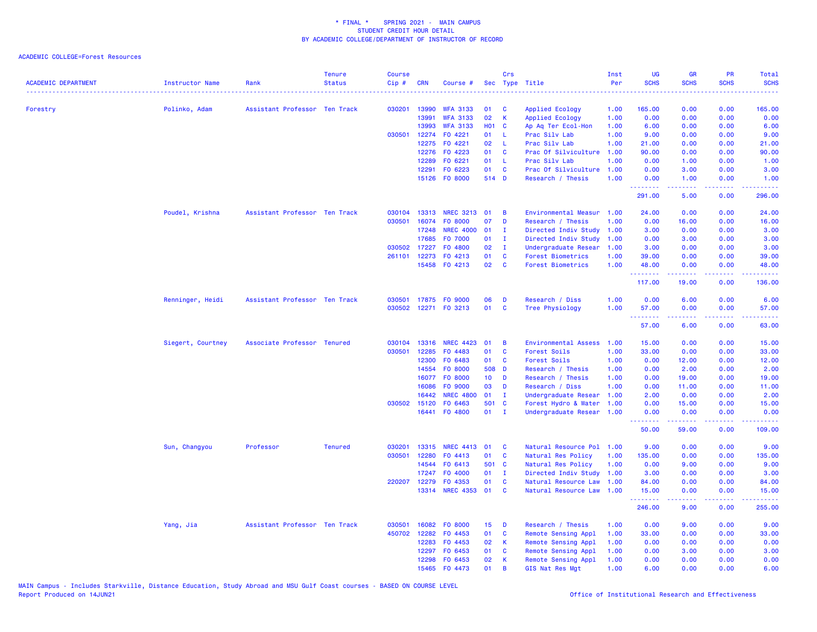| ACADEMIC DEPARTMENT | <b>Instructor Name</b><br>. | Rank                          | <b>Tenure</b><br><b>Status</b> | <b>Course</b><br>Cip# | <b>CRN</b>   | Course #         |                 | Crs            | Sec Type Title            | Inst<br>Per | <b>UG</b><br><b>SCHS</b> | <b>GR</b><br><b>SCHS</b> | PR<br><b>SCHS</b>                                                                                                                 | Total<br><b>SCHS</b>                                                                                                                                         |
|---------------------|-----------------------------|-------------------------------|--------------------------------|-----------------------|--------------|------------------|-----------------|----------------|---------------------------|-------------|--------------------------|--------------------------|-----------------------------------------------------------------------------------------------------------------------------------|--------------------------------------------------------------------------------------------------------------------------------------------------------------|
| Forestry            | Polinko, Adam               | Assistant Professor Ten Track |                                | 030201                | 13990        | <b>WFA 3133</b>  | 01              | C              | Applied Ecology           | 1.00        | 165.00                   | 0.00                     | 0.00                                                                                                                              | 165.00                                                                                                                                                       |
|                     |                             |                               |                                |                       | 13991        | <b>WFA 3133</b>  | 02              | K              | Applied Ecology           | 1.00        | 0.00                     | 0.00                     | 0.00                                                                                                                              | 0.00                                                                                                                                                         |
|                     |                             |                               |                                |                       | 13993        | <b>WFA 3133</b>  | <b>HO1 C</b>    |                | Ap Aq Ter Ecol-Hon        | 1.00        | 6.00                     | 0.00                     | 0.00                                                                                                                              | 6.00                                                                                                                                                         |
|                     |                             |                               |                                | 030501                | 12274        | FO 4221          | 01              | -L.            | Prac Silv Lab             | 1.00        | 9.00                     | 0.00                     | 0.00                                                                                                                              | 9.00                                                                                                                                                         |
|                     |                             |                               |                                |                       | 12275        | FO 4221          | 02              | -L             | Prac Silv Lab             | 1.00        | 21.00                    | 0.00                     | 0.00                                                                                                                              | 21.00                                                                                                                                                        |
|                     |                             |                               |                                |                       | 12276        | F0 4223          | 01              | $\mathbf{C}$   | Prac Of Silviculture      | 1.00        | 90.00                    | 0.00                     | 0.00                                                                                                                              | 90.00                                                                                                                                                        |
|                     |                             |                               |                                |                       | 12289        | FO 6221          | 01              | - L            | Prac Silv Lab             | 1.00        | 0.00                     | 1.00                     | 0.00                                                                                                                              | 1.00                                                                                                                                                         |
|                     |                             |                               |                                |                       | 12291        | FO 6223          | 01              | <b>C</b>       | Prac Of Silviculture      | 1.00        | 0.00                     | 3.00                     | 0.00                                                                                                                              | 3.00                                                                                                                                                         |
|                     |                             |                               |                                |                       |              | 15126 FO 8000    | 514 D           |                | Research / Thesis         | 1.00        | 0.00                     | 1.00                     | 0.00                                                                                                                              | 1.00                                                                                                                                                         |
|                     |                             |                               |                                |                       |              |                  |                 |                |                           |             | --------<br>291.00       | .<br>5.00                | .<br>0.00                                                                                                                         | .<br>296.00                                                                                                                                                  |
|                     | Poudel, Krishna             | Assistant Professor Ten Track |                                |                       | 030104 13313 | NREC 3213 01     |                 | B              | Environmental Measur 1.00 |             | 24.00                    | 0.00                     | 0.00                                                                                                                              | 24.00                                                                                                                                                        |
|                     |                             |                               |                                | 030501                | 16074        | F0 8000          | 07              | D              | Research / Thesis         | 1.00        | 0.00                     | 16.00                    | 0.00                                                                                                                              | 16.00                                                                                                                                                        |
|                     |                             |                               |                                |                       | 17248        | <b>NREC 4000</b> | 01              | $\mathbf{I}$   | Directed Indiv Study      | 1.00        | 3.00                     | 0.00                     | 0.00                                                                                                                              | 3.00                                                                                                                                                         |
|                     |                             |                               |                                |                       | 17685        | F0 7000          | 01              | $\mathbf{I}$   | Directed Indiv Study      | 1.00        | 0.00                     | 3.00                     | 0.00                                                                                                                              | 3.00                                                                                                                                                         |
|                     |                             |                               |                                |                       | 030502 17227 | F0 4800          | 02              | $\mathbf{I}$   | Undergraduate Resear      | 1.00        | 3.00                     | 0.00                     | 0.00                                                                                                                              | 3.00                                                                                                                                                         |
|                     |                             |                               |                                | 261101                | 12273        | FO 4213          | 01              | C              | <b>Forest Biometrics</b>  | 1.00        | 39.00                    | 0.00                     | 0.00                                                                                                                              | 39.00                                                                                                                                                        |
|                     |                             |                               |                                |                       |              | 15458 FO 4213    | 02              | C              | <b>Forest Biometrics</b>  | 1.00        | 48.00<br>.               | 0.00<br>-----            | 0.00<br>بالمحام                                                                                                                   | 48.00<br>.                                                                                                                                                   |
|                     |                             |                               |                                |                       |              |                  |                 |                |                           |             | 117.00                   | 19.00                    | 0.00                                                                                                                              | 136.00                                                                                                                                                       |
|                     | Renninger, Heidi            | Assistant Professor Ten Track |                                | 030501                |              | 17875 FO 9000    | 06              | D              | Research / Diss           | 1.00        | 0.00                     | 6.00                     | 0.00                                                                                                                              | 6.00                                                                                                                                                         |
|                     |                             |                               |                                | 030502                | 12271        | FO 3213          | 01              | C              | Tree Physiology           | 1.00        | 57.00                    | 0.00                     | 0.00                                                                                                                              | 57.00                                                                                                                                                        |
|                     |                             |                               |                                |                       |              |                  |                 |                |                           |             | .<br>57.00               | .<br>6.00                | $\frac{1}{2} \left( \frac{1}{2} \right) \left( \frac{1}{2} \right) \left( \frac{1}{2} \right) \left( \frac{1}{2} \right)$<br>0.00 | .<br>63.00                                                                                                                                                   |
|                     | Siegert, Courtney           | Associate Professor Tenured   |                                | 030104                | 13316        | <b>NREC 4423</b> | 01              | B              | Environmental Assess      | 1.00        | 15.00                    | 0.00                     | 0.00                                                                                                                              | 15.00                                                                                                                                                        |
|                     |                             |                               |                                | 030501                | 12285        | F0 4483          | 01              | C              | Forest Soils              | 1.00        | 33.00                    | 0.00                     | 0.00                                                                                                                              | 33.00                                                                                                                                                        |
|                     |                             |                               |                                |                       | 12300        | FO 6483          | 01              | <b>C</b>       | Forest Soils              | 1.00        | 0.00                     | 12.00                    | 0.00                                                                                                                              | 12.00                                                                                                                                                        |
|                     |                             |                               |                                |                       | 14554        | FO 8000          | 508 D           |                | Research / Thesis         | 1.00        | 0.00                     | 2.00                     | 0.00                                                                                                                              | 2.00                                                                                                                                                         |
|                     |                             |                               |                                |                       | 16077        | FO 8000          | 10 <sub>1</sub> | D              | Research / Thesis         | 1.00        | 0.00                     | 19.00                    | 0.00                                                                                                                              | 19.00                                                                                                                                                        |
|                     |                             |                               |                                |                       | 16086        | FO 9000          | 03              | D              | Research / Diss           | 1.00        | 0.00                     | 11.00                    | 0.00                                                                                                                              | 11.00                                                                                                                                                        |
|                     |                             |                               |                                |                       | 16442        | <b>NREC 4800</b> | 01              | $\mathbf{I}$   | Undergraduate Resear      | 1.00        | 2.00                     | 0.00                     | 0.00                                                                                                                              | 2.00                                                                                                                                                         |
|                     |                             |                               |                                | 030502                | 15120        | FO 6463          | 501 C           |                | Forest Hydro & Water      | 1.00        | 0.00                     | 15.00                    | 0.00                                                                                                                              | 15.00                                                                                                                                                        |
|                     |                             |                               |                                |                       |              | 16441 FO 4800    | 01              | $\blacksquare$ | Undergraduate Resear 1.00 |             | 0.00<br>.                | 0.00<br>المتمام المتمار  | 0.00<br>.                                                                                                                         | 0.00<br>$\frac{1}{2} \left( \frac{1}{2} \right) \left( \frac{1}{2} \right) \left( \frac{1}{2} \right) \left( \frac{1}{2} \right) \left( \frac{1}{2} \right)$ |
|                     |                             |                               |                                |                       |              |                  |                 |                |                           |             | 50.00                    | 59.00                    | 0.00                                                                                                                              | 109.00                                                                                                                                                       |
|                     | Sun, Changyou               | Professor                     | <b>Tenured</b>                 | 030201                | 13315        | <b>NREC 4413</b> | 01              | C              | Natural Resource Pol      | 1.00        | 9.00                     | 0.00                     | 0.00                                                                                                                              | 9.00                                                                                                                                                         |
|                     |                             |                               |                                | 030501                | 12280        | FO 4413          | 01              | C              | Natural Res Policy        | 1.00        | 135.00                   | 0.00                     | 0.00                                                                                                                              | 135.00                                                                                                                                                       |
|                     |                             |                               |                                |                       | 14544        | FO 6413          | 501 C           |                | Natural Res Policy        | 1.00        | 0.00                     | 9.00                     | 0.00                                                                                                                              | 9.00                                                                                                                                                         |
|                     |                             |                               |                                |                       | 17247        | F0 4000          | 01              | $\mathbf{I}$   | Directed Indiv Study      | 1.00        | 3.00                     | 0.00                     | 0.00                                                                                                                              | 3.00                                                                                                                                                         |
|                     |                             |                               |                                | 220207                | 12279        | F0 4353          | 01              | <b>C</b>       | Natural Resource Law      | 1.00        | 84.00                    | 0.00                     | 0.00                                                                                                                              | 84.00                                                                                                                                                        |
|                     |                             |                               |                                |                       |              | 13314 NREC 4353  | 01              | <b>C</b>       | Natural Resource Law      | 1.00        | 15.00<br>.               | 0.00<br>22222            | 0.00<br>.                                                                                                                         | 15.00<br>22222)                                                                                                                                              |
|                     |                             |                               |                                |                       |              |                  |                 |                |                           |             | 246.00                   | 9.00                     | 0.00                                                                                                                              | 255.00                                                                                                                                                       |
|                     | Yang, Jia                   | Assistant Professor Ten Track |                                | 030501                | 16082        | FO 8000          | 15 <sub>1</sub> | D              | Research / Thesis         | 1.00        | 0.00                     | 9.00                     | 0.00                                                                                                                              | 9.00                                                                                                                                                         |
|                     |                             |                               |                                | 450702                | 12282        | FO 4453          | 01              | C              | Remote Sensing Appl       | 1.00        | 33.00                    | 0.00                     | 0.00                                                                                                                              | 33.00                                                                                                                                                        |
|                     |                             |                               |                                |                       | 12283        | FO 4453          | 02              | К              | Remote Sensing Appl       | 1.00        | 0.00                     | 0.00                     | 0.00                                                                                                                              | 0.00                                                                                                                                                         |
|                     |                             |                               |                                |                       | 12297        | FO 6453          | 01              | C              | Remote Sensing Appl       | 1.00        | 0.00                     | 3.00                     | 0.00                                                                                                                              | 3.00                                                                                                                                                         |
|                     |                             |                               |                                |                       | 12298        | FO 6453          | 02              | К              | Remote Sensing Appl       | 1.00        | 0.00                     | 0.00                     | 0.00                                                                                                                              | 0.00                                                                                                                                                         |
|                     |                             |                               |                                |                       |              | 15465 FO 4473    | 01              | B              | GIS Nat Res Mgt           | 1.00        | 6.00                     | 0.00                     | 0.00                                                                                                                              | 6.00                                                                                                                                                         |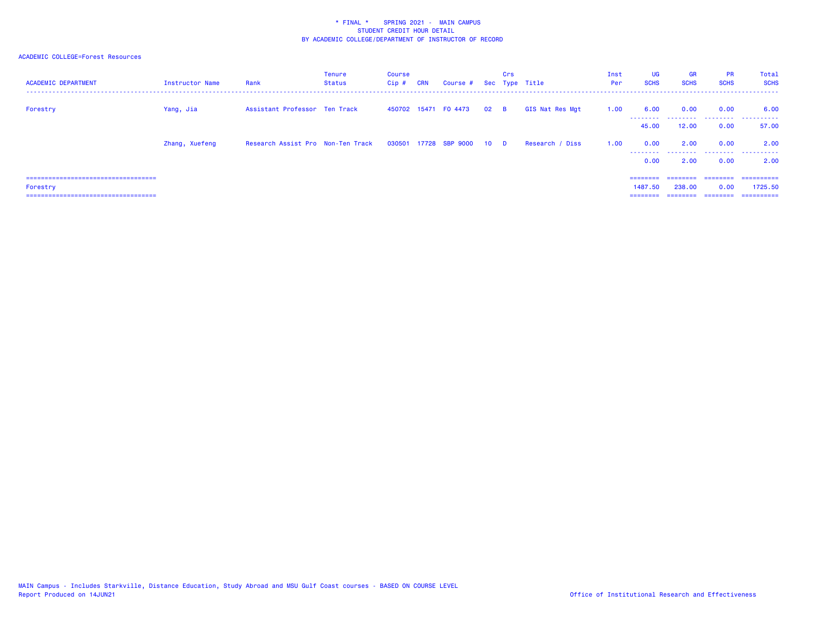| <b>ACADEMIC DEPARTMENT</b>             | Instructor Name | Rank                              | Tenure<br><b>Status</b> | Course<br>$Cip$ # | <b>CRN</b> | Course # Sec Type Title    |        | Crs |                 | Inst<br>Per | UG<br><b>SCHS</b> | <b>GR</b><br><b>SCHS</b> | <b>PR</b><br><b>SCHS</b> | Total<br><b>SCHS</b> |
|----------------------------------------|-----------------|-----------------------------------|-------------------------|-------------------|------------|----------------------------|--------|-----|-----------------|-------------|-------------------|--------------------------|--------------------------|----------------------|
| Forestry                               | Yang, Jia       | Assistant Professor Ten Track     |                         |                   |            | 450702 15471 F0 4473       | $02$ B |     | GIS Nat Res Mgt | 1.00        | 6.00<br>--------- | 0.00                     | 0.00                     | 6.00<br>             |
|                                        |                 |                                   |                         |                   |            |                            |        |     |                 |             | 45.00             | 12.00                    | 0.00                     | 57.00                |
|                                        | Zhang, Xuefeng  | Research Assist Pro Non-Ten Track |                         |                   |            | 030501 17728 SBP 9000 10 D |        |     | Research / Diss | 1.00        | 0.00<br>--------  | 2.00<br>.                | 0.00                     | 2.00<br>             |
|                                        |                 |                                   |                         |                   |            |                            |        |     |                 |             | 0.00              | 2.00                     | 0.00                     | 2.00                 |
| ====================================   |                 |                                   |                         |                   |            |                            |        |     |                 |             | ========          | ---------                | eeeeeee                  | ==========           |
| Forestry                               |                 |                                   |                         |                   |            |                            |        |     |                 |             | 1487.50           | 238,00                   | 0.00                     | 1725.50              |
| ====================================== |                 |                                   |                         |                   |            |                            |        |     |                 |             | ========          | ---------                | ========                 | ==========           |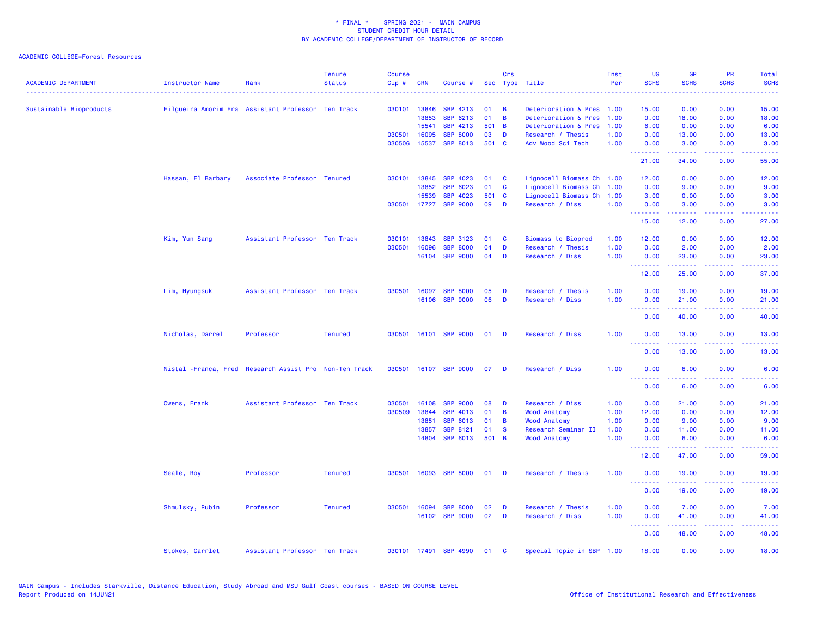| <b>ACADEMIC DEPARTMENT</b> | <b>Instructor Name</b> | Rank                                                    | <b>Tenure</b><br><b>Status</b> | <b>Course</b><br>Cip# | <b>CRN</b>   | Course #              |       | Crs          | Sec Type Title            | Inst<br>Per | <b>UG</b><br><b>SCHS</b>                                   | <b>GR</b><br><b>SCHS</b>                                   | PR<br><b>SCHS</b>                   | Total<br><b>SCHS</b>           |
|----------------------------|------------------------|---------------------------------------------------------|--------------------------------|-----------------------|--------------|-----------------------|-------|--------------|---------------------------|-------------|------------------------------------------------------------|------------------------------------------------------------|-------------------------------------|--------------------------------|
| Sustainable Bioproducts    |                        | Filgueira Amorim Fra Assistant Professor Ten Track      |                                |                       | 030101 13846 | SBP 4213              | 01    | B            | Deterioration & Pres 1.00 |             | 15.00                                                      | 0.00                                                       | 0.00                                | 15.00                          |
|                            |                        |                                                         |                                |                       | 13853        | SBP 6213              | 01    | B            | Deterioration & Pres      | 1.00        | 0.00                                                       | 18.00                                                      | 0.00                                | 18.00                          |
|                            |                        |                                                         |                                |                       | 15541        | SBP 4213              | 501 B |              | Deterioration & Pres      | 1.00        | 6.00                                                       | 0.00                                                       | 0.00                                | 6.00                           |
|                            |                        |                                                         |                                | 030501                | 16095        | <b>SBP 8000</b>       | 03    | D            | Research / Thesis         | 1.00        | 0.00                                                       | 13.00                                                      | 0.00                                | 13.00                          |
|                            |                        |                                                         |                                | 030506                | 15537        | SBP 8013              | 501   | $\mathbf{C}$ | Adv Wood Sci Tech         | 1.00        | 0.00                                                       | 3.00                                                       | 0.00                                | 3.00                           |
|                            |                        |                                                         |                                |                       |              |                       |       |              |                           |             | .<br>21.00                                                 | $\omega_{\alpha}=\omega_{\alpha}=\omega_{\alpha}$<br>34.00 | بالأباب<br>0.00                     | $\sim 100$ km $^{-1}$<br>55.00 |
|                            | Hassan, El Barbary     | Associate Professor Tenured                             |                                | 030101                | 13845        | <b>SBP 4023</b>       | 01    | <b>C</b>     | Lignocell Biomass Ch 1.00 |             | 12.00                                                      | 0.00                                                       | 0.00                                | 12.00                          |
|                            |                        |                                                         |                                |                       | 13852        | SBP 6023              | 01    | C            | Lignocell Biomass Ch 1.00 |             | 0.00                                                       | 9.00                                                       | 0.00                                | 9.00                           |
|                            |                        |                                                         |                                |                       | 15539        | SBP 4023              | 501 C |              | Lignocell Biomass Ch      | 1.00        | 3.00                                                       | 0.00                                                       | 0.00                                | 3.00                           |
|                            |                        |                                                         |                                |                       | 030501 17727 | <b>SBP 9000</b>       | 09    | D            | Research / Diss           | 1.00        | 0.00                                                       | 3.00                                                       | 0.00                                | 3.00                           |
|                            |                        |                                                         |                                |                       |              |                       |       |              |                           |             | <b><i><u><u> - - - - - - -</u></u></i></b><br>15.00        | -----<br>12.00                                             | والمحامر<br>0.00                    | المتمامين<br>27.00             |
|                            | Kim, Yun Sang          | Assistant Professor Ten Track                           |                                | 030101                | 13843        | SBP 3123              | 01    | C            | <b>Biomass to Bioprod</b> | 1.00        | 12.00                                                      | 0.00                                                       | 0.00                                | 12.00                          |
|                            |                        |                                                         |                                | 030501                | 16096        | <b>SBP 8000</b>       | 04    | D            | Research / Thesis         | 1.00        | 0.00                                                       | 2.00                                                       | 0.00                                | 2.00                           |
|                            |                        |                                                         |                                |                       | 16104        | <b>SBP 9000</b>       | 04    | D            | Research / Diss           | 1.00        | 0.00                                                       | 23.00                                                      | 0.00                                | 23.00                          |
|                            |                        |                                                         |                                |                       |              |                       |       |              |                           |             | <b>.</b><br>12.00                                          | بالأبابات<br>25.00                                         | $\sim$ $\sim$ $\sim$ $\sim$<br>0.00 | المستما<br>37.00               |
|                            | Lim, Hyungsuk          | Assistant Professor Ten Track                           |                                | 030501                | 16097        | <b>SBP 8000</b>       | 05    | D            | Research / Thesis         | 1.00        | 0.00                                                       | 19.00                                                      | 0.00                                | 19.00                          |
|                            |                        |                                                         |                                |                       |              | 16106 SBP 9000        | 06    | D            | Research / Diss           | 1.00        | 0.00                                                       | 21.00                                                      | 0.00                                | 21.00                          |
|                            |                        |                                                         |                                |                       |              |                       |       |              |                           |             | <b></b>                                                    | -------                                                    | .                                   | .                              |
|                            |                        |                                                         |                                |                       |              |                       |       |              |                           |             | 0.00                                                       | 40.00                                                      | 0.00                                | 40.00                          |
|                            | Nicholas, Darrel       | Professor                                               | <b>Tenured</b>                 | 030501                |              | 16101 SBP 9000        | 01    | D            | Research / Diss           | 1.00        | 0.00<br><b><i><u><u><b>a</b></u></u> a a a a a a a</i></b> | 13.00<br>.                                                 | 0.00<br>.                           | 13.00<br>.                     |
|                            |                        |                                                         |                                |                       |              |                       |       |              |                           |             | 0.00                                                       | 13.00                                                      | 0.00                                | 13.00                          |
|                            |                        | Nistal - Franca, Fred Research Assist Pro Non-Ten Track |                                |                       |              | 030501 16107 SBP 9000 | 07    | - D          | Research / Diss           | 1.00        | 0.00<br><b></b>                                            | 6.00                                                       | 0.00                                | 6.00                           |
|                            |                        |                                                         |                                |                       |              |                       |       |              |                           |             | 0.00                                                       | 6.00                                                       | 0.00                                | 6.00                           |
|                            | Owens, Frank           | Assistant Professor Ten Track                           |                                | 030501                | 16108        | <b>SBP 9000</b>       | 08    | D            | Research / Diss           | 1.00        | 0.00                                                       | 21.00                                                      | 0.00                                | 21.00                          |
|                            |                        |                                                         |                                | 030509                | 13844        | <b>SBP 4013</b>       | 01    | B            | <b>Wood Anatomy</b>       | 1.00        | 12.00                                                      | 0.00                                                       | 0.00                                | 12.00                          |
|                            |                        |                                                         |                                |                       | 13851        | <b>SBP 6013</b>       | 01    | B            | <b>Wood Anatomy</b>       | 1.00        | 0.00                                                       | 9.00                                                       | 0.00                                | 9.00                           |
|                            |                        |                                                         |                                |                       | 13857        | <b>SBP 8121</b>       | 01    | <b>S</b>     | Research Seminar II       | 1.00        | 0.00                                                       | 11.00                                                      | 0.00                                | 11.00                          |
|                            |                        |                                                         |                                |                       | 14804        | SBP 6013              | 501 B |              | <b>Wood Anatomy</b>       | 1.00        | 0.00<br><b><i><u><u> - - - - - - -</u></u></i></b>         | 6.00<br>المتمامين                                          | 0.00<br>.                           | 6.00<br>.                      |
|                            |                        |                                                         |                                |                       |              |                       |       |              |                           |             | 12.00                                                      | 47.00                                                      | 0.00                                | 59.00                          |
|                            | Seale, Roy             | Professor                                               | <b>Tenured</b>                 | 030501                | 16093        | <b>SBP 8000</b>       | 01    | D            | Research / Thesis         | 1.00        | 0.00<br><u> - - - - - - - -</u>                            | 19.00                                                      | 0.00                                | 19.00                          |
|                            |                        |                                                         |                                |                       |              |                       |       |              |                           |             | 0.00                                                       | 19.00                                                      | 0.00                                | 19.00                          |
|                            | Shmulsky, Rubin        | Professor                                               | <b>Tenured</b>                 | 030501                | 16094        | <b>SBP 8000</b>       | 02    | D            | Research / Thesis         | 1.00        | 0.00                                                       | 7.00                                                       | 0.00                                | 7.00                           |
|                            |                        |                                                         |                                |                       |              | 16102 SBP 9000        | 02    | D            | Research / Diss           | 1.00        | 0.00                                                       | 41.00                                                      | 0.00                                | 41.00                          |
|                            |                        |                                                         |                                |                       |              |                       |       |              |                           |             | .                                                          | .                                                          | .                                   | .                              |
|                            |                        |                                                         |                                |                       |              |                       |       |              |                           |             | 0.00                                                       | 48.00                                                      | 0.00                                | 48.00                          |
|                            | Stokes, Carrlet        | Assistant Professor Ten Track                           |                                |                       | 030101 17491 | SBP 4990              | 01    | C            | Special Topic in SBP 1.00 |             | 18.00                                                      | 0.00                                                       | 0.00                                | 18.00                          |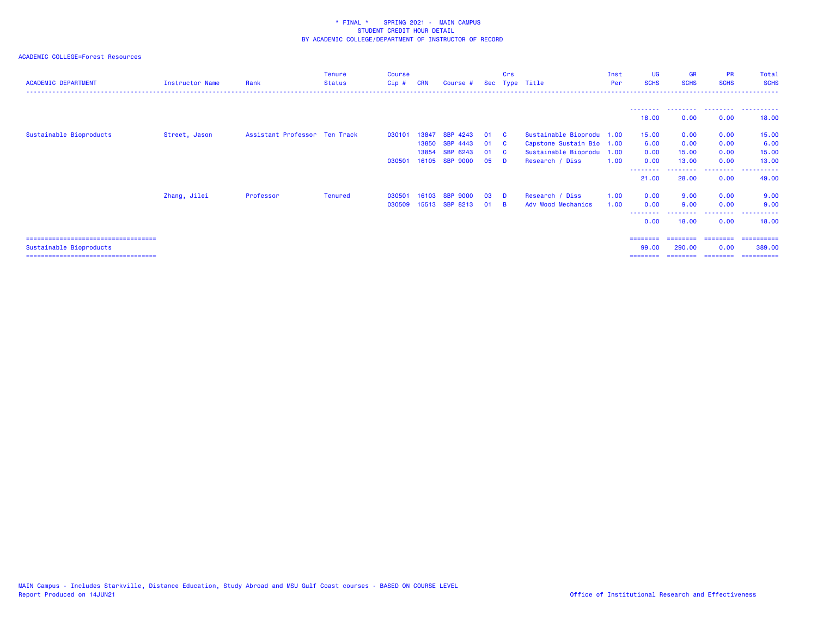| <b>ACADEMIC DEPARTMENT</b>                                        | Instructor Name | Rank                          | <b>Tenure</b><br><b>Status</b> | <b>Course</b><br>Cip# | <b>CRN</b> | Course #           |    | Crs      | Sec Type Title            | Inst<br>Per | <b>UG</b><br><b>SCHS</b> | <b>GR</b><br><b>SCHS</b> | <b>PR</b><br><b>SCHS</b>                                                                                                                                                                                                                                                                                                                                                                                                                                                                       | Total<br><b>SCHS</b><br>. |
|-------------------------------------------------------------------|-----------------|-------------------------------|--------------------------------|-----------------------|------------|--------------------|----|----------|---------------------------|-------------|--------------------------|--------------------------|------------------------------------------------------------------------------------------------------------------------------------------------------------------------------------------------------------------------------------------------------------------------------------------------------------------------------------------------------------------------------------------------------------------------------------------------------------------------------------------------|---------------------------|
|                                                                   |                 |                               |                                |                       |            |                    |    |          |                           |             |                          | .                        | .                                                                                                                                                                                                                                                                                                                                                                                                                                                                                              | .                         |
|                                                                   |                 |                               |                                |                       |            |                    |    |          |                           |             | 18.00                    | 0.00                     | 0.00                                                                                                                                                                                                                                                                                                                                                                                                                                                                                           | 18.00                     |
| Sustainable Bioproducts                                           | Street, Jason   | Assistant Professor Ten Track |                                | 030101                | 13847      | SBP 4243           | 01 | <b>C</b> | Sustainable Bioprodu 1.00 |             | 15.00                    | 0.00                     | 0.00                                                                                                                                                                                                                                                                                                                                                                                                                                                                                           | 15.00                     |
|                                                                   |                 |                               |                                |                       | 13850      | <b>SBP 4443</b>    | 01 | <b>C</b> | Capstone Sustain Bio 1.00 |             | 6.00                     | 0.00                     | 0.00                                                                                                                                                                                                                                                                                                                                                                                                                                                                                           | 6.00                      |
|                                                                   |                 |                               |                                |                       | 13854      | SBP 6243           | 01 | - C      | Sustainable Bioprodu 1.00 |             | 0.00                     | 15.00                    | 0.00                                                                                                                                                                                                                                                                                                                                                                                                                                                                                           | 15.00                     |
|                                                                   |                 |                               |                                | 030501                | 16105      | <b>SBP 9000</b>    | 05 | <b>D</b> | Research / Diss           | 1.00        | 0.00                     | 13.00                    | 0.00                                                                                                                                                                                                                                                                                                                                                                                                                                                                                           | 13.00                     |
|                                                                   |                 |                               |                                |                       |            |                    |    |          |                           |             | ---------                | --------                 | .                                                                                                                                                                                                                                                                                                                                                                                                                                                                                              | .                         |
|                                                                   |                 |                               |                                |                       |            |                    |    |          |                           |             | 21.00                    | 28.00                    | 0.00                                                                                                                                                                                                                                                                                                                                                                                                                                                                                           | 49.00                     |
|                                                                   | Zhang, Jilei    | Professor                     | <b>Tenured</b>                 | 030501                | 16103      | <b>SBP</b><br>9000 | 03 | <b>D</b> | Research / Diss           | 1.00        | 0.00                     | 9.00                     | 0.00                                                                                                                                                                                                                                                                                                                                                                                                                                                                                           | 9.00                      |
|                                                                   |                 |                               |                                | 030509                | 15513      | SBP 8213           | 01 | <b>B</b> | Adv Wood Mechanics        | 1.00        | 0.00                     | 9.00                     | 0.00                                                                                                                                                                                                                                                                                                                                                                                                                                                                                           | 9.00                      |
|                                                                   |                 |                               |                                |                       |            |                    |    |          |                           |             | --------<br>0.00         | <u>.</u><br>18.00        | ---------<br>0.00                                                                                                                                                                                                                                                                                                                                                                                                                                                                              | ----------<br>18.00       |
| =====================================                             |                 |                               |                                |                       |            |                    |    |          |                           |             | ========                 | ========                 | ========                                                                                                                                                                                                                                                                                                                                                                                                                                                                                       | -----------               |
| Sustainable Bioproducts<br>====================================== |                 |                               |                                |                       |            |                    |    |          |                           |             | 99.00                    | 290,00<br>========       | 0.00<br>$\begin{array}{cccccccccc} \multicolumn{2}{c}{} & \multicolumn{2}{c}{} & \multicolumn{2}{c}{} & \multicolumn{2}{c}{} & \multicolumn{2}{c}{} & \multicolumn{2}{c}{} & \multicolumn{2}{c}{} & \multicolumn{2}{c}{} & \multicolumn{2}{c}{} & \multicolumn{2}{c}{} & \multicolumn{2}{c}{} & \multicolumn{2}{c}{} & \multicolumn{2}{c}{} & \multicolumn{2}{c}{} & \multicolumn{2}{c}{} & \multicolumn{2}{c}{} & \multicolumn{2}{c}{} & \multicolumn{2}{c}{} & \multicolumn{2}{c}{} & \mult$ | 389,00<br>==========      |
|                                                                   |                 |                               |                                |                       |            |                    |    |          |                           |             | ========                 |                          |                                                                                                                                                                                                                                                                                                                                                                                                                                                                                                |                           |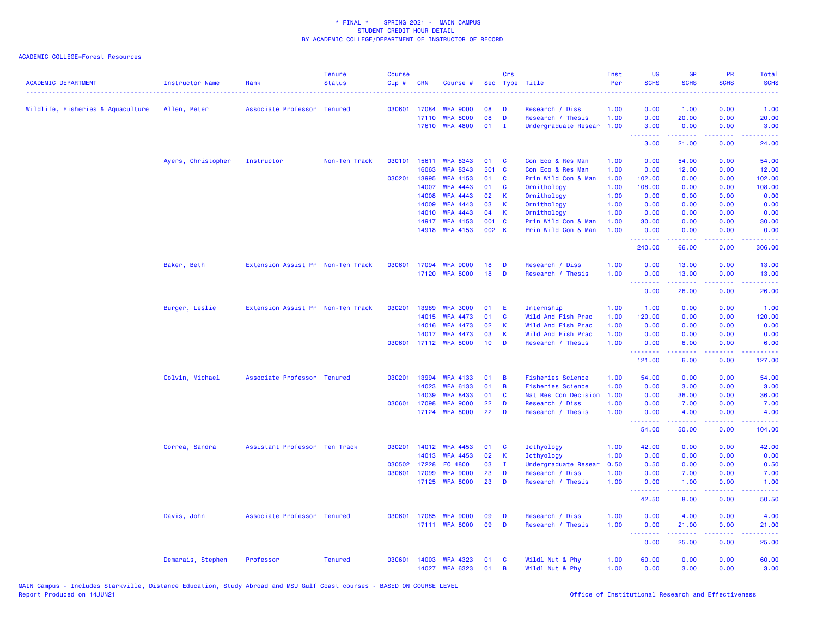## ACADEMIC COLLEGE=Forest Resources

| <b>ACADEMIC DEPARTMENT</b>        | Instructor Name    | Rank                              | <b>Tenure</b><br><b>Status</b> | <b>Course</b><br>Cip# | <b>CRN</b>     | Course #                           |                 | <b>Crs</b>   | Sec Type Title             | Inst<br>Per  | <b>UG</b><br><b>SCHS</b>                             | <b>GR</b><br><b>SCHS</b>                                                                                                           | PR<br><b>SCHS</b> | <b>Total</b><br><b>SCHS</b><br>22223                                                                                              |
|-----------------------------------|--------------------|-----------------------------------|--------------------------------|-----------------------|----------------|------------------------------------|-----------------|--------------|----------------------------|--------------|------------------------------------------------------|------------------------------------------------------------------------------------------------------------------------------------|-------------------|-----------------------------------------------------------------------------------------------------------------------------------|
| Wildlife, Fisheries & Aquaculture | Allen, Peter       | Associate Professor Tenured       |                                | 030601                | 17084          | <b>WFA 9000</b>                    | 08              | D            | Research / Diss            | 1.00         | 0.00                                                 | 1.00                                                                                                                               | 0.00              | 1.00                                                                                                                              |
|                                   |                    |                                   |                                |                       | 17110          | <b>WFA 8000</b>                    | 08              | D            | Research / Thesis          | 1.00         | 0.00                                                 | 20.00                                                                                                                              | 0.00              | 20.00                                                                                                                             |
|                                   |                    |                                   |                                |                       | 17610          | <b>WFA 4800</b>                    | 01              | Ι.           | Undergraduate Resear       | 1.00         | 3.00<br>.                                            | 0.00<br>.                                                                                                                          | 0.00<br>الأعامات  | 3.00<br>$\frac{1}{2} \left( \frac{1}{2} \right) \left( \frac{1}{2} \right) \left( \frac{1}{2} \right) \left( \frac{1}{2} \right)$ |
|                                   |                    |                                   |                                |                       |                |                                    |                 |              |                            |              | 3.00                                                 | 21.00                                                                                                                              | 0.00              | 24.00                                                                                                                             |
|                                   | Ayers, Christopher | Instructor                        | Non-Ten Track                  | 030101                | 15611          | <b>WFA 8343</b>                    | 01              | C            | Con Eco & Res Man          | 1.00         | 0.00                                                 | 54.00                                                                                                                              | 0.00              | 54.00                                                                                                                             |
|                                   |                    |                                   |                                |                       | 16063          | <b>WFA 8343</b>                    | 501             | C            | Con Eco & Res Man          | 1.00         | 0.00                                                 | 12.00                                                                                                                              | 0.00              | 12.00                                                                                                                             |
|                                   |                    |                                   |                                | 030201                | 13995<br>14007 | <b>WFA 4153</b><br><b>WFA 4443</b> | 01<br>01        | C<br>C       | Prin Wild Con & Man        | 1.00         | 102.00<br>108.00                                     | 0.00<br>0.00                                                                                                                       | 0.00<br>0.00      | 102.00<br>108.00                                                                                                                  |
|                                   |                    |                                   |                                |                       | 14008          | <b>WFA 4443</b>                    | 02              | $\mathsf K$  | Ornithology<br>Ornithology | 1.00<br>1.00 | 0.00                                                 | 0.00                                                                                                                               | 0.00              | 0.00                                                                                                                              |
|                                   |                    |                                   |                                |                       | 14009          | <b>WFA 4443</b>                    | 03              | K            | Ornithology                | 1.00         | 0.00                                                 | 0.00                                                                                                                               | 0.00              | 0.00                                                                                                                              |
|                                   |                    |                                   |                                |                       | 14010          | <b>WFA 4443</b>                    | 04              | K            | Ornithology                | 1.00         | 0.00                                                 | 0.00                                                                                                                               | 0.00              | 0.00                                                                                                                              |
|                                   |                    |                                   |                                |                       | 14917          | <b>WFA 4153</b>                    | 001 C           |              | Prin Wild Con & Man        | 1.00         | 30.00                                                | 0.00                                                                                                                               | 0.00              | 30.00                                                                                                                             |
|                                   |                    |                                   |                                |                       |                | 14918 WFA 4153                     | 002 K           |              | Prin Wild Con & Man        | 1.00         | 0.00                                                 | 0.00                                                                                                                               | 0.00              | 0.00                                                                                                                              |
|                                   |                    |                                   |                                |                       |                |                                    |                 |              |                            |              | <b><i><u><u> - - - - - - -</u></u></i></b><br>240.00 | 66.00                                                                                                                              | د د د د<br>0.00   | .<br>306.00                                                                                                                       |
|                                   | Baker, Beth        | Extension Assist Pr Non-Ten Track |                                | 030601                |                | 17094 WFA 9000                     | 18              | D            | Research / Diss            | 1.00         | 0.00                                                 | 13.00                                                                                                                              | 0.00              | 13.00                                                                                                                             |
|                                   |                    |                                   |                                |                       |                | 17120 WFA 8000                     | 18              | D            | Research / Thesis          | 1.00         | 0.00                                                 | 13.00                                                                                                                              | 0.00              | 13.00                                                                                                                             |
|                                   |                    |                                   |                                |                       |                |                                    |                 |              |                            |              | <b></b><br>0.00                                      | $\frac{1}{2} \left( \frac{1}{2} \right) \left( \frac{1}{2} \right) \left( \frac{1}{2} \right) \left( \frac{1}{2} \right)$<br>26.00 | د د د د<br>0.00   | $\omega$ is a set<br>26.00                                                                                                        |
|                                   | Burger, Leslie     | Extension Assist Pr Non-Ten Track |                                | 030201                | 13989          | <b>WFA 3000</b>                    | 01              | E            | Internship                 | 1.00         | 1.00                                                 | 0.00                                                                                                                               | 0.00              | 1.00                                                                                                                              |
|                                   |                    |                                   |                                |                       | 14015          | <b>WFA 4473</b>                    | 01              | C            | Wild And Fish Prac         | 1.00         | 120.00                                               | 0.00                                                                                                                               | 0.00              | 120.00                                                                                                                            |
|                                   |                    |                                   |                                |                       | 14016          | <b>WFA 4473</b>                    | 02              | $\mathsf K$  | Wild And Fish Prac         | 1.00         | 0.00                                                 | 0.00                                                                                                                               | 0.00              | 0.00                                                                                                                              |
|                                   |                    |                                   |                                |                       | 14017          | <b>WFA 4473</b>                    | 03              | K            | Wild And Fish Prac         | 1.00         | 0.00                                                 | 0.00                                                                                                                               | 0.00              | 0.00                                                                                                                              |
|                                   |                    |                                   |                                |                       |                | 030601 17112 WFA 8000              | 10 <sup>°</sup> | D            | Research / Thesis          | 1.00         | 0.00<br><b></b>                                      | 6.00<br>22222                                                                                                                      | 0.00<br>.         | 6.00<br>.                                                                                                                         |
|                                   |                    |                                   |                                |                       |                |                                    |                 |              |                            |              | 121.00                                               | 6.00                                                                                                                               | 0.00              | 127.00                                                                                                                            |
|                                   | Colvin, Michael    | Associate Professor Tenured       |                                | 030201                | 13994          | <b>WFA 4133</b>                    | 01              | B            | <b>Fisheries Science</b>   | 1.00         | 54.00                                                | 0.00                                                                                                                               | 0.00              | 54.00                                                                                                                             |
|                                   |                    |                                   |                                |                       | 14023          | <b>WFA 6133</b>                    | 01              | $\mathbf B$  | <b>Fisheries Science</b>   | 1.00         | 0.00                                                 | 3.00                                                                                                                               | 0.00              | 3.00                                                                                                                              |
|                                   |                    |                                   |                                |                       | 14039          | <b>WFA 8433</b>                    | 01              | $\mathbf{C}$ | Nat Res Con Decision       | 1.00         | 0.00                                                 | 36.00                                                                                                                              | 0.00              | 36.00                                                                                                                             |
|                                   |                    |                                   |                                | 030601                | 17098          | <b>WFA 9000</b>                    | 22              | D            | Research / Diss            | 1.00         | 0.00                                                 | 7.00                                                                                                                               | 0.00              | 7.00                                                                                                                              |
|                                   |                    |                                   |                                |                       |                | 17124 WFA 8000                     | 22              | D            | Research / Thesis          | 1.00         | 0.00<br>.                                            | 4.00<br>$- - - - -$                                                                                                                | 0.00<br>.         | 4.00<br>.                                                                                                                         |
|                                   |                    |                                   |                                |                       |                |                                    |                 |              |                            |              | 54.00                                                | 50.00                                                                                                                              | 0.00              | 104.00                                                                                                                            |
|                                   | Correa, Sandra     | Assistant Professor Ten Track     |                                | 030201                | 14012          | <b>WFA 4453</b>                    | 01              | C            | Icthyology                 | 1.00         | 42.00                                                | 0.00                                                                                                                               | 0.00              | 42.00                                                                                                                             |
|                                   |                    |                                   |                                |                       | 14013          | <b>WFA 4453</b>                    | 02              | $\mathsf K$  | Icthyology                 | 1.00         | 0.00                                                 | 0.00                                                                                                                               | 0.00              | 0.00                                                                                                                              |
|                                   |                    |                                   |                                | 030502                | 17228          | FO 4800                            | 03              | $\mathbf{I}$ | Undergraduate Resear       | 0.50         | 0.50                                                 | 0.00                                                                                                                               | 0.00              | 0.50                                                                                                                              |
|                                   |                    |                                   |                                | 030601                | 17099          | <b>WFA 9000</b>                    | 23              | D            | Research / Diss            | 1.00         | 0.00                                                 | 7.00                                                                                                                               | 0.00              | 7.00                                                                                                                              |
|                                   |                    |                                   |                                |                       |                | 17125 WFA 8000                     | 23              | D            | Research / Thesis          | 1.00         | 0.00<br><b><i><u>AAAAAAA</u></i></b>                 | 1.00<br>22222                                                                                                                      | 0.00<br>.         | 1.00<br>.                                                                                                                         |
|                                   |                    |                                   |                                |                       |                |                                    |                 |              |                            |              | 42.50                                                | 8.00                                                                                                                               | 0.00              | 50.50                                                                                                                             |
|                                   | Davis, John        | Associate Professor Tenured       |                                | 030601                | 17085          | <b>WFA 9000</b>                    | 09              | D            | Research / Diss            | 1.00         | 0.00                                                 | 4.00                                                                                                                               | 0.00              | 4.00                                                                                                                              |
|                                   |                    |                                   |                                |                       |                | 17111 WFA 8000                     | 09              | D            | Research / Thesis          | 1.00         | 0.00<br>.                                            | 21.00<br>.                                                                                                                         | 0.00<br>د د د د   | 21.00<br>والمالمات                                                                                                                |
|                                   |                    |                                   |                                |                       |                |                                    |                 |              |                            |              | 0.00                                                 | 25.00                                                                                                                              | 0.00              | 25.00                                                                                                                             |
|                                   | Demarais, Stephen  | Professor                         | <b>Tenured</b>                 | 030601                | 14003          | <b>WFA 4323</b>                    | 01              | C            | Wildl Nut & Phy            | 1.00         | 60.00                                                | 0.00                                                                                                                               | 0.00              | 60.00                                                                                                                             |
|                                   |                    |                                   |                                |                       | 14027          | <b>WFA 6323</b>                    | 01              | B            | Wildl Nut & Phy            | 1.00         | 0.00                                                 | 3.00                                                                                                                               | 0.00              | 3.00                                                                                                                              |

MAIN Campus - Includes Starkville, Distance Education, Study Abroad and MSU Gulf Coast courses - BASED ON COURSE LEVEL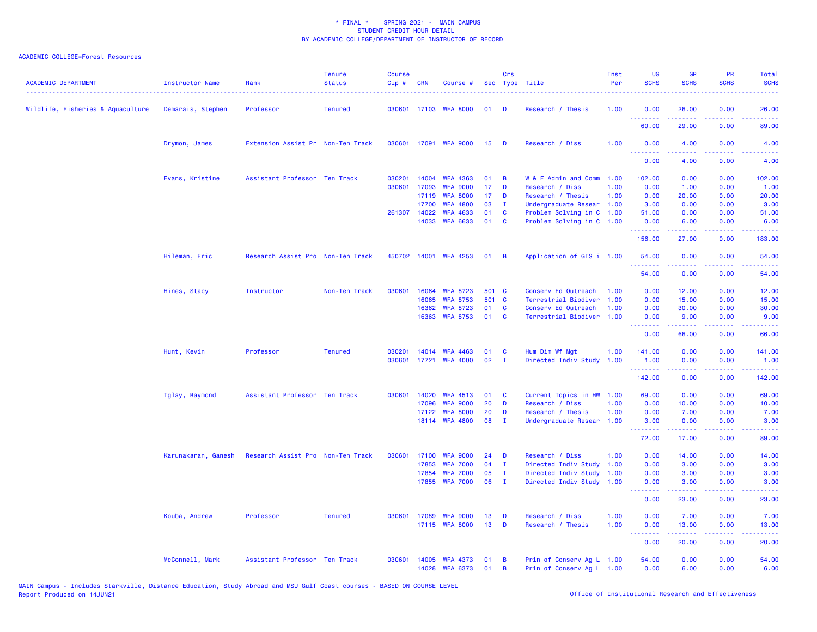| <b>ACADEMIC DEPARTMENT</b>        | Instructor Name     | Rank                              | <b>Tenure</b><br><b>Status</b> | <b>Course</b><br>Cip# | <b>CRN</b>     | Course #                           |          | Crs          | Sec Type Title                                         | Inst<br>Per  | <b>UG</b><br><b>SCHS</b>     | <b>GR</b><br><b>SCHS</b>                                                                                                                                     | PR<br><b>SCHS</b>                 | Total<br><b>SCHS</b>                                                                                                              |
|-----------------------------------|---------------------|-----------------------------------|--------------------------------|-----------------------|----------------|------------------------------------|----------|--------------|--------------------------------------------------------|--------------|------------------------------|--------------------------------------------------------------------------------------------------------------------------------------------------------------|-----------------------------------|-----------------------------------------------------------------------------------------------------------------------------------|
| Wildlife, Fisheries & Aquaculture | Demarais, Stephen   | Professor                         | <b>Tenured</b>                 |                       |                | 030601 17103 WFA 8000              | 01       | D            | Research / Thesis                                      | 1.00         | 0.00                         | 26.00                                                                                                                                                        | 0.00                              | 26.00                                                                                                                             |
|                                   |                     |                                   |                                |                       |                |                                    |          |              |                                                        |              | .<br>60.00                   | 29.00                                                                                                                                                        | 0.00                              | 89.00                                                                                                                             |
|                                   | Drymon, James       | Extension Assist Pr Non-Ten Track |                                |                       |                | 030601 17091 WFA 9000              | 15       | D            | Research / Diss                                        | 1.00         | 0.00<br><u>.</u>             | 4.00<br>.                                                                                                                                                    | 0.00<br>.                         | 4.00<br>$\frac{1}{2} \left( \frac{1}{2} \right) \left( \frac{1}{2} \right) \left( \frac{1}{2} \right) \left( \frac{1}{2} \right)$ |
|                                   |                     |                                   |                                |                       |                |                                    |          |              |                                                        |              | 0.00                         | 4.00                                                                                                                                                         | 0.00                              | 4.00                                                                                                                              |
|                                   | Evans, Kristine     | Assistant Professor Ten Track     |                                | 030201                | 14004          | <b>WFA 4363</b>                    | 01       | B            | W & F Admin and Comm                                   | 1.00         | 102.00                       | 0.00                                                                                                                                                         | 0.00                              | 102.00                                                                                                                            |
|                                   |                     |                                   |                                | 030601                | 17093          | <b>WFA 9000</b>                    | 17       | D            | Research / Diss                                        | 1.00         | 0.00                         | 1.00                                                                                                                                                         | 0.00                              | 1.00                                                                                                                              |
|                                   |                     |                                   |                                |                       | 17119          | <b>WFA 8000</b>                    | 17       | D            | Research / Thesis                                      | 1.00         | 0.00                         | 20.00                                                                                                                                                        | 0.00                              | 20.00                                                                                                                             |
|                                   |                     |                                   |                                |                       | 17700          | <b>WFA 4800</b>                    | 03       | $\mathbf{I}$ | Undergraduate Resear 1.00                              |              | 3.00                         | 0.00                                                                                                                                                         | 0.00                              | 3.00                                                                                                                              |
|                                   |                     |                                   |                                |                       | 261307 14022   | <b>WFA 4633</b>                    | 01       | C            | Problem Solving in C 1.00                              |              | 51.00                        | 0.00                                                                                                                                                         | 0.00                              | 51.00                                                                                                                             |
|                                   |                     |                                   |                                |                       | 14033          | <b>WFA 6633</b>                    | 01       | C            | Problem Solving in C 1.00                              |              | 0.00<br>.                    | 6.00<br>.                                                                                                                                                    | 0.00<br><b><i><u>ALLA</u></i></b> | 6.00<br>.                                                                                                                         |
|                                   |                     |                                   |                                |                       |                |                                    |          |              |                                                        |              | 156.00                       | 27.00                                                                                                                                                        | 0.00                              | 183.00                                                                                                                            |
|                                   | Hileman, Eric       | Research Assist Pro Non-Ten Track |                                | 450702                |                | 14001 WFA 4253                     | 01       | B            | Application of GIS i 1.00                              |              | 54.00                        | 0.00                                                                                                                                                         | 0.00<br>$- - -$                   | 54.00<br>.                                                                                                                        |
|                                   |                     |                                   |                                |                       |                |                                    |          |              |                                                        |              | 54.00                        | 0.00                                                                                                                                                         | 0.00                              | 54.00                                                                                                                             |
|                                   | Hines, Stacy        | Instructor                        | Non-Ten Track                  | 030601                | 16064          | <b>WFA 8723</b>                    | 501 C    |              | Conserv Ed Outreach                                    | 1.00         | 0.00                         | 12.00                                                                                                                                                        | 0.00                              | 12.00                                                                                                                             |
|                                   |                     |                                   |                                |                       | 16065          | <b>WFA 8753</b>                    | 501 C    |              | Terrestrial Biodiver                                   | 1.00         | 0.00                         | 15.00                                                                                                                                                        | 0.00                              | 15.00                                                                                                                             |
|                                   |                     |                                   |                                |                       | 16362          | <b>WFA 8723</b>                    | 01       | C            | Conserv Ed Outreach                                    | 1.00         | 0.00                         | 30.00                                                                                                                                                        | 0.00                              | 30.00                                                                                                                             |
|                                   |                     |                                   |                                |                       | 16363          | <b>WFA 8753</b>                    | 01       | C            | Terrestrial Biodiver                                   | 1.00         | 0.00                         | 9.00                                                                                                                                                         | 0.00                              | 9.00                                                                                                                              |
|                                   |                     |                                   |                                |                       |                |                                    |          |              |                                                        |              | .<br>0.00                    | 22222<br>66.00                                                                                                                                               | د د د د<br>0.00                   | وعاديات<br>66.00                                                                                                                  |
|                                   | Hunt, Kevin         | Professor                         | <b>Tenured</b>                 | 030201                | 14014          | <b>WFA 4463</b>                    | 01       | <b>C</b>     | Hum Dim Wf Mgt                                         | 1.00         | 141.00                       | 0.00                                                                                                                                                         | 0.00                              | 141.00                                                                                                                            |
|                                   |                     |                                   |                                | 030601                |                | 17721 WFA 4000                     | 02       | $\mathbf{I}$ | Directed Indiv Study                                   | 1.00         | 1.00                         | 0.00                                                                                                                                                         | 0.00                              | 1.00                                                                                                                              |
|                                   |                     |                                   |                                |                       |                |                                    |          |              |                                                        |              | <b><i><u>AAAAAAA</u></i></b> | 22222                                                                                                                                                        | .                                 | .                                                                                                                                 |
|                                   |                     |                                   |                                |                       |                |                                    |          |              |                                                        |              | 142.00                       | 0.00                                                                                                                                                         | 0.00                              | 142.00                                                                                                                            |
|                                   | Iglay, Raymond      | Assistant Professor Ten Track     |                                | 030601                | 14020          | <b>WFA 4513</b>                    | 01       | C            | Current Topics in HW                                   | 1.00         | 69.00                        | 0.00                                                                                                                                                         | 0.00                              | 69.00                                                                                                                             |
|                                   |                     |                                   |                                |                       | 17096          | <b>WFA 9000</b>                    | 20       | D            | Research / Diss                                        | 1.00         | 0.00                         | 10.00                                                                                                                                                        | 0.00                              | 10.00                                                                                                                             |
|                                   |                     |                                   |                                |                       | 17122          | <b>WFA 8000</b>                    | 20       | D            | Research / Thesis                                      | 1.00         | 0.00                         | 7.00                                                                                                                                                         | 0.00                              | 7.00                                                                                                                              |
|                                   |                     |                                   |                                |                       |                | 18114 WFA 4800                     | 08       | $\mathbf{I}$ | Undergraduate Resear                                   | 1.00         | 3.00<br><u>.</u>             | 0.00<br>$\frac{1}{2} \left( \frac{1}{2} \right) \left( \frac{1}{2} \right) \left( \frac{1}{2} \right) \left( \frac{1}{2} \right) \left( \frac{1}{2} \right)$ | 0.00<br>د د د د                   | 3.00<br>$\frac{1}{2} \left( \frac{1}{2} \right) \left( \frac{1}{2} \right) \left( \frac{1}{2} \right) \left( \frac{1}{2} \right)$ |
|                                   |                     |                                   |                                |                       |                |                                    |          |              |                                                        |              | 72.00                        | 17.00                                                                                                                                                        | 0.00                              | 89.00                                                                                                                             |
|                                   | Karunakaran, Ganesh | Research Assist Pro Non-Ten Track |                                | 030601                |                | 17100 WFA 9000                     | 24       | D            | Research / Diss                                        | 1.00         | 0.00                         | 14.00                                                                                                                                                        | 0.00                              | 14.00                                                                                                                             |
|                                   |                     |                                   |                                |                       | 17853          | <b>WFA 7000</b>                    | 04       | $\mathbf{I}$ | Directed Indiv Study                                   | 1.00         | 0.00                         | 3.00                                                                                                                                                         | 0.00                              | 3.00                                                                                                                              |
|                                   |                     |                                   |                                |                       | 17854          | <b>WFA 7000</b>                    | 05       | $\mathbf{I}$ | Directed Indiv Study                                   | 1.00         | 0.00                         | 3.00                                                                                                                                                         | 0.00                              | 3.00                                                                                                                              |
|                                   |                     |                                   |                                |                       |                | 17855 WFA 7000                     | 06       | $\mathbf{I}$ | Directed Indiv Study 1.00                              |              | 0.00                         | 3.00                                                                                                                                                         | 0.00                              | 3.00                                                                                                                              |
|                                   |                     |                                   |                                |                       |                |                                    |          |              |                                                        |              | <u> - - - - - - - -</u>      | .                                                                                                                                                            | .                                 | .                                                                                                                                 |
|                                   |                     |                                   |                                |                       |                |                                    |          |              |                                                        |              | 0.00                         | 23.00                                                                                                                                                        | 0.00                              | 23.00                                                                                                                             |
|                                   | Kouba, Andrew       | Professor                         | <b>Tenured</b>                 | 030601                | 17089          | <b>WFA 9000</b><br>17115 WFA 8000  | 13<br>13 | D<br>D       | Research / Diss<br>Research / Thesis                   | 1.00<br>1.00 | 0.00<br>0.00                 | 7.00<br>13.00                                                                                                                                                | 0.00<br>0.00                      | 7.00<br>13.00                                                                                                                     |
|                                   |                     |                                   |                                |                       |                |                                    |          |              |                                                        |              | .<br>0.00                    | $\frac{1}{2} \left( \frac{1}{2} \right) \left( \frac{1}{2} \right) \left( \frac{1}{2} \right) \left( \frac{1}{2} \right)$<br>20.00                           | د د د د<br>0.00                   | والمالمات<br>20.00                                                                                                                |
|                                   |                     |                                   |                                |                       |                |                                    |          |              |                                                        |              |                              |                                                                                                                                                              |                                   |                                                                                                                                   |
|                                   | McConnell, Mark     | Assistant Professor Ten Track     |                                | 030601                | 14005<br>14028 | <b>WFA 4373</b><br><b>WFA 6373</b> | 01<br>01 | В<br>B       | Prin of Conserv Ag L 1.00<br>Prin of Conserv Ag L 1.00 |              | 54.00<br>0.00                | 0.00<br>6.00                                                                                                                                                 | 0.00<br>0.00                      | 54.00<br>6.00                                                                                                                     |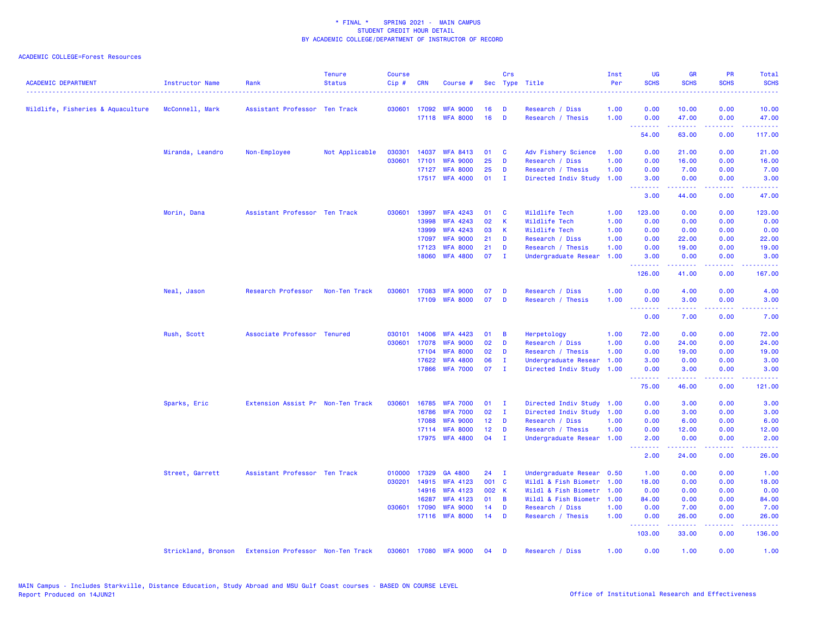| <b>ACADEMIC DEPARTMENT</b>        | <b>Instructor Name</b> | Rank                              | <b>Tenure</b><br><b>Status</b> | <b>Course</b><br>Cip# | <b>CRN</b>   | Course #              |                 | Crs            | Sec Type Title            | Inst<br>Per | <b>UG</b><br><b>SCHS</b>                                                                                                                                                                                                                                                                                                                                                                                                                                                                       | <b>GR</b><br><b>SCHS</b> | <b>PR</b><br><b>SCHS</b>            | Total<br><b>SCHS</b>                                                                                                              |
|-----------------------------------|------------------------|-----------------------------------|--------------------------------|-----------------------|--------------|-----------------------|-----------------|----------------|---------------------------|-------------|------------------------------------------------------------------------------------------------------------------------------------------------------------------------------------------------------------------------------------------------------------------------------------------------------------------------------------------------------------------------------------------------------------------------------------------------------------------------------------------------|--------------------------|-------------------------------------|-----------------------------------------------------------------------------------------------------------------------------------|
| Wildlife, Fisheries & Aquaculture | McConnell, Mark        | Assistant Professor Ten Track     |                                |                       | 030601 17092 | <b>WFA 9000</b>       | 16              | D              | Research / Diss           | 1.00        | 0.00                                                                                                                                                                                                                                                                                                                                                                                                                                                                                           | 10.00                    | 0.00                                | 10.00                                                                                                                             |
|                                   |                        |                                   |                                |                       |              | 17118 WFA 8000        | 16              | D              | Research / Thesis         | 1.00        | 0.00<br><b>.</b> .                                                                                                                                                                                                                                                                                                                                                                                                                                                                             | 47.00<br>المستمال        | 0.00<br>بالأباب                     | 47.00<br>.                                                                                                                        |
|                                   |                        |                                   |                                |                       |              |                       |                 |                |                           |             | 54.00                                                                                                                                                                                                                                                                                                                                                                                                                                                                                          | 63.00                    | 0.00                                | 117.00                                                                                                                            |
|                                   | Miranda, Leandro       | Non-Employee                      | Not Applicable                 | 030301                | 14037        | <b>WFA 8413</b>       | 01              | <b>C</b>       | Adv Fishery Science       | 1.00        | 0.00                                                                                                                                                                                                                                                                                                                                                                                                                                                                                           | 21.00                    | 0.00                                | 21.00                                                                                                                             |
|                                   |                        |                                   |                                | 030601                | 17101        | <b>WFA 9000</b>       | 25              | D              | Research / Diss           | 1.00        | 0.00                                                                                                                                                                                                                                                                                                                                                                                                                                                                                           | 16.00                    | 0.00                                | 16.00                                                                                                                             |
|                                   |                        |                                   |                                |                       | 17127        | <b>WFA 8000</b>       | 25              | D              | Research / Thesis         | 1.00        | 0.00                                                                                                                                                                                                                                                                                                                                                                                                                                                                                           | 7.00                     | 0.00                                | 7.00                                                                                                                              |
|                                   |                        |                                   |                                |                       |              | 17517 WFA 4000        | 01              | $\mathbf{I}$   | Directed Indiv Study      | 1.00        | 3.00<br><u>.</u>                                                                                                                                                                                                                                                                                                                                                                                                                                                                               | 0.00                     | 0.00<br>د د د د                     | 3.00<br>وعامات                                                                                                                    |
|                                   |                        |                                   |                                |                       |              |                       |                 |                |                           |             | 3.00                                                                                                                                                                                                                                                                                                                                                                                                                                                                                           | 44.00                    | 0.00                                | 47.00                                                                                                                             |
|                                   | Morin, Dana            | Assistant Professor Ten Track     |                                | 030601                | 13997        | <b>WFA 4243</b>       | 01              | <b>C</b>       | Wildlife Tech             | 1.00        | 123.00                                                                                                                                                                                                                                                                                                                                                                                                                                                                                         | 0.00                     | 0.00                                | 123.00                                                                                                                            |
|                                   |                        |                                   |                                |                       | 13998        | <b>WFA 4243</b>       | 02              | $\mathsf K$    | Wildlife Tech             | 1.00        | 0.00                                                                                                                                                                                                                                                                                                                                                                                                                                                                                           | 0.00                     | 0.00                                | 0.00                                                                                                                              |
|                                   |                        |                                   |                                |                       | 13999        | <b>WFA 4243</b>       | 03              | K              | Wildlife Tech             | 1.00        | 0.00                                                                                                                                                                                                                                                                                                                                                                                                                                                                                           | 0.00                     | 0.00                                | 0.00                                                                                                                              |
|                                   |                        |                                   |                                |                       | 17097        | <b>WFA 9000</b>       | 21              | D              | Research / Diss           | 1.00        | 0.00                                                                                                                                                                                                                                                                                                                                                                                                                                                                                           | 22.00                    | 0.00                                | 22.00                                                                                                                             |
|                                   |                        |                                   |                                |                       | 17123        | <b>WFA 8000</b>       | 21              | D              | Research / Thesis         | 1.00        | 0.00                                                                                                                                                                                                                                                                                                                                                                                                                                                                                           | 19.00                    | 0.00                                | 19.00                                                                                                                             |
|                                   |                        |                                   |                                |                       | 18060        | <b>WFA 4800</b>       | 07              | $\mathbf{I}$   | Undergraduate Resear      | 1.00        | 3.00<br>.                                                                                                                                                                                                                                                                                                                                                                                                                                                                                      | 0.00<br>د د د د د        | 0.00<br>بالمحامي                    | 3.00<br>المتمامين                                                                                                                 |
|                                   |                        |                                   |                                |                       |              |                       |                 |                |                           |             | 126.00                                                                                                                                                                                                                                                                                                                                                                                                                                                                                         | 41.00                    | 0.00                                | 167.00                                                                                                                            |
|                                   | Neal, Jason            | Research Professor                | Non-Ten Track                  | 030601                | 17083        | <b>WFA 9000</b>       | 07              | D              | Research / Diss           | 1.00        | 0.00                                                                                                                                                                                                                                                                                                                                                                                                                                                                                           | 4.00                     | 0.00                                | 4.00                                                                                                                              |
|                                   |                        |                                   |                                |                       |              | 17109 WFA 8000        | 07              | D              | Research / Thesis         | 1.00        | 0.00                                                                                                                                                                                                                                                                                                                                                                                                                                                                                           | 3.00                     | 0.00                                | 3.00                                                                                                                              |
|                                   |                        |                                   |                                |                       |              |                       |                 |                |                           |             | <u> - - - - - - - -</u><br>0.00                                                                                                                                                                                                                                                                                                                                                                                                                                                                | 2.2.2.2.2<br>7.00        | .<br>0.00                           | $\frac{1}{2} \left( \frac{1}{2} \right) \left( \frac{1}{2} \right) \left( \frac{1}{2} \right) \left( \frac{1}{2} \right)$<br>7.00 |
|                                   | Rush, Scott            | Associate Professor Tenured       |                                | 030101                | 14006        | <b>WFA 4423</b>       | 01              | B              | Herpetology               | 1.00        | 72.00                                                                                                                                                                                                                                                                                                                                                                                                                                                                                          | 0.00                     | 0.00                                | 72.00                                                                                                                             |
|                                   |                        |                                   |                                | 030601                | 17078        | <b>WFA 9000</b>       | 02              | D              | Research / Diss           | 1.00        | 0.00                                                                                                                                                                                                                                                                                                                                                                                                                                                                                           | 24.00                    | 0.00                                | 24.00                                                                                                                             |
|                                   |                        |                                   |                                |                       | 17104        | <b>WFA 8000</b>       | 02              | D              | Research / Thesis         | 1.00        | 0.00                                                                                                                                                                                                                                                                                                                                                                                                                                                                                           | 19.00                    | 0.00                                | 19.00                                                                                                                             |
|                                   |                        |                                   |                                |                       | 17622        | <b>WFA 4800</b>       | 06              | п.             | Undergraduate Resear      | 1.00        | 3.00                                                                                                                                                                                                                                                                                                                                                                                                                                                                                           | 0.00                     | 0.00                                | 3.00                                                                                                                              |
|                                   |                        |                                   |                                |                       | 17866        | <b>WFA 7000</b>       | 07              | $\mathbf{I}$   | Directed Indiv Study      | 1.00        | 0.00                                                                                                                                                                                                                                                                                                                                                                                                                                                                                           | 3.00                     | 0.00                                | 3.00                                                                                                                              |
|                                   |                        |                                   |                                |                       |              |                       |                 |                |                           |             | <b>.</b> .<br>75.00                                                                                                                                                                                                                                                                                                                                                                                                                                                                            | .<br>46.00               | $\sim$ $\sim$ $\sim$ $\sim$<br>0.00 | المتمام<br>121.00                                                                                                                 |
|                                   | Sparks, Eric           | Extension Assist Pr Non-Ten Track |                                | 030601                |              | 16785 WFA 7000        | 01              | - I            | Directed Indiv Study 1.00 |             | 0.00                                                                                                                                                                                                                                                                                                                                                                                                                                                                                           | 3.00                     | 0.00                                | 3.00                                                                                                                              |
|                                   |                        |                                   |                                |                       | 16786        | <b>WFA 7000</b>       | 02              | - I            | Directed Indiv Study      | 1.00        | 0.00                                                                                                                                                                                                                                                                                                                                                                                                                                                                                           | 3.00                     | 0.00                                | 3.00                                                                                                                              |
|                                   |                        |                                   |                                |                       | 17088        | <b>WFA 9000</b>       | 12              | <b>D</b>       | Research / Diss           | 1.00        | 0.00                                                                                                                                                                                                                                                                                                                                                                                                                                                                                           | 6.00                     | 0.00                                | 6.00                                                                                                                              |
|                                   |                        |                                   |                                |                       | 17114        | <b>WFA 8000</b>       | 12 <sub>2</sub> | D              | Research / Thesis         | 1.00        | 0.00                                                                                                                                                                                                                                                                                                                                                                                                                                                                                           | 12.00                    | 0.00                                | 12.00                                                                                                                             |
|                                   |                        |                                   |                                |                       |              | 17975 WFA 4800        | 04              | $\mathbf{I}$   | Undergraduate Resear 1.00 |             | 2.00<br>.                                                                                                                                                                                                                                                                                                                                                                                                                                                                                      | 0.00<br>.                | 0.00<br>.                           | 2.00<br>.                                                                                                                         |
|                                   |                        |                                   |                                |                       |              |                       |                 |                |                           |             | 2.00                                                                                                                                                                                                                                                                                                                                                                                                                                                                                           | 24.00                    | 0.00                                | 26.00                                                                                                                             |
|                                   | Street, Garrett        | Assistant Professor Ten Track     |                                | 010000                | 17329        | GA 4800               | 24              | - I            | Undergraduate Resear      | 0.50        | 1.00                                                                                                                                                                                                                                                                                                                                                                                                                                                                                           | 0.00                     | 0.00                                | 1.00                                                                                                                              |
|                                   |                        |                                   |                                | 030201                | 14915        | <b>WFA 4123</b>       | 001 C           |                | Wildl & Fish Biometr 1.00 |             | 18.00                                                                                                                                                                                                                                                                                                                                                                                                                                                                                          | 0.00                     | 0.00                                | 18.00                                                                                                                             |
|                                   |                        |                                   |                                |                       | 14916        | <b>WFA 4123</b>       | 002 K           |                | Wildl & Fish Biometr      | 1.00        | 0.00                                                                                                                                                                                                                                                                                                                                                                                                                                                                                           | 0.00                     | 0.00                                | 0.00                                                                                                                              |
|                                   |                        |                                   |                                |                       | 16287        | <b>WFA 4123</b>       | 01              | $\overline{B}$ | Wildl & Fish Biometr      | 1.00        | 84.00                                                                                                                                                                                                                                                                                                                                                                                                                                                                                          | 0.00                     | 0.00                                | 84.00                                                                                                                             |
|                                   |                        |                                   |                                |                       | 030601 17090 | <b>WFA 9000</b>       | 14              | D              | Research / Diss           | 1.00        | 0.00                                                                                                                                                                                                                                                                                                                                                                                                                                                                                           | 7.00                     | 0.00                                | 7.00                                                                                                                              |
|                                   |                        |                                   |                                |                       |              | 17116 WFA 8000        | 14              | <b>D</b>       | Research / Thesis         | 1.00        | 0.00<br>$\begin{array}{cccccccccccccc} \multicolumn{2}{c}{} & \multicolumn{2}{c}{} & \multicolumn{2}{c}{} & \multicolumn{2}{c}{} & \multicolumn{2}{c}{} & \multicolumn{2}{c}{} & \multicolumn{2}{c}{} & \multicolumn{2}{c}{} & \multicolumn{2}{c}{} & \multicolumn{2}{c}{} & \multicolumn{2}{c}{} & \multicolumn{2}{c}{} & \multicolumn{2}{c}{} & \multicolumn{2}{c}{} & \multicolumn{2}{c}{} & \multicolumn{2}{c}{} & \multicolumn{2}{c}{} & \multicolumn{2}{c}{} & \multicolumn{2}{c}{} & \$ | 26.00<br>.               | 0.00<br>.                           | 26.00<br>.                                                                                                                        |
|                                   |                        |                                   |                                |                       |              |                       |                 |                |                           |             | 103.00                                                                                                                                                                                                                                                                                                                                                                                                                                                                                         | 33.00                    | 0.00                                | 136.00                                                                                                                            |
|                                   | Strickland, Bronson    | Extension Professor Non-Ten Track |                                |                       |              | 030601 17080 WFA 9000 | 04              | D              | Research / Diss           | 1.00        | 0.00                                                                                                                                                                                                                                                                                                                                                                                                                                                                                           | 1.00                     | 0.00                                | 1.00                                                                                                                              |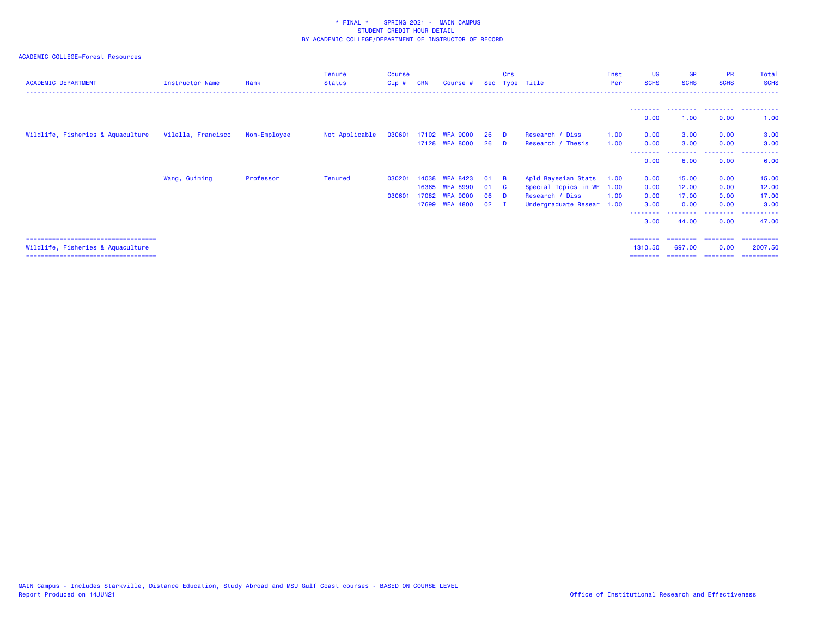| <b>ACADEMIC DEPARTMENT</b>            | <b>Instructor Name</b> | Rank         | <b>Tenure</b><br><b>Status</b> | <b>Course</b><br>$Cip$ # | <b>CRN</b> | Course #        |     | Crs      | Sec Type Title            | Inst<br>Per | <b>UG</b><br><b>SCHS</b> | <b>GR</b><br><b>SCHS</b> | <b>PR</b><br><b>SCHS</b> | Total<br><b>SCHS</b> |
|---------------------------------------|------------------------|--------------|--------------------------------|--------------------------|------------|-----------------|-----|----------|---------------------------|-------------|--------------------------|--------------------------|--------------------------|----------------------|
|                                       |                        |              |                                |                          |            |                 |     |          |                           |             | 0.00                     | 1.00                     | . <u>.</u><br>0.00       | 1.00                 |
| Wildlife, Fisheries & Aquaculture     | Vilella, Francisco     | Non-Employee | Not Applicable                 | 030601                   |            | 17102 WFA 9000  | 26  | <b>D</b> | Research / Diss           | 1.00        | 0.00                     | 3.00                     | 0.00                     | 3.00                 |
|                                       |                        |              |                                |                          |            | 17128 WFA 8000  | 26  | <b>D</b> | Research / Thesis         | 1.00        | 0.00                     | 3.00                     | 0.00                     | 3.00                 |
|                                       |                        |              |                                |                          |            |                 |     |          |                           |             | 0.00                     | 6.00                     | 0.00                     | 6.00                 |
|                                       | Wang, Guiming          | Professor    | <b>Tenured</b>                 | 03020                    | 14038      | <b>WFA 8423</b> | -01 | - B      | Apld Bayesian Stats       | 1.00        | 0.00                     | 15.00                    | 0.00                     | 15.00                |
|                                       |                        |              |                                |                          | 16365      | <b>WFA 8990</b> | 01  | - C      | Special Topics in WF      | 1.00        | 0.00                     | 12.00                    | 0.00                     | 12.00                |
|                                       |                        |              |                                | 03060                    | 17082      | WEA 9000        | 06  | - n      | Research / Diss           | 1.00        | 0.00                     | 17.00                    | 0.00                     | 17.00                |
|                                       |                        |              |                                |                          |            | 17699 WFA 4800  | 02  |          | Undergraduate Resear 1.00 |             | 3.00<br>--------         | 0.00                     | 0.00<br>.                | 3.00<br>.            |
|                                       |                        |              |                                |                          |            |                 |     |          |                           |             | 3.00                     | 44.00                    | 0.00                     | 47.00                |
| ===================================== |                        |              |                                |                          |            |                 |     |          |                           |             | ========                 | ========                 | ---------                | ==========           |
| Wildlife, Fisheries & Aquaculture     |                        |              |                                |                          |            |                 |     |          |                           |             | 1310.50                  | 697.00                   | 0.00                     | 2007.50              |
| ===================================== |                        |              |                                |                          |            |                 |     |          |                           |             | ========                 |                          | ---------                | ==========           |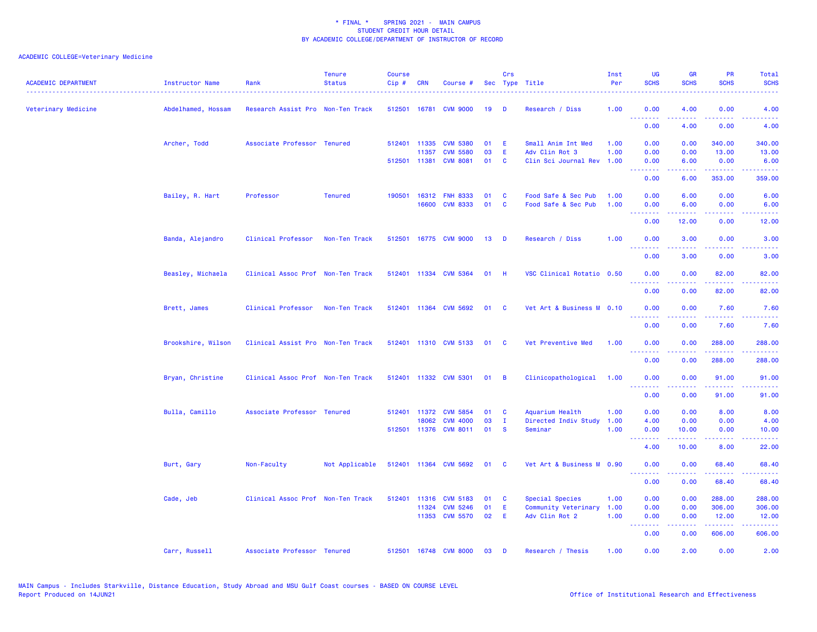| <b>ACADEMIC DEPARTMENT</b> | <b>Instructor Name</b> | Rank                              | <b>Tenure</b><br><b>Status</b> | <b>Course</b><br>Cip# | <b>CRN</b>            | Course #                           |              | Crs               | Sec Type Title                         | Inst<br>Per  | UG<br><b>SCHS</b>                                                                                                                                                                                                                                                                                                                                                                                                                                                                              | <b>GR</b><br><b>SCHS</b>                                                                                                                                      | <b>PR</b><br><b>SCHS</b>                                                                                                            | Total<br><b>SCHS</b>               |
|----------------------------|------------------------|-----------------------------------|--------------------------------|-----------------------|-----------------------|------------------------------------|--------------|-------------------|----------------------------------------|--------------|------------------------------------------------------------------------------------------------------------------------------------------------------------------------------------------------------------------------------------------------------------------------------------------------------------------------------------------------------------------------------------------------------------------------------------------------------------------------------------------------|---------------------------------------------------------------------------------------------------------------------------------------------------------------|-------------------------------------------------------------------------------------------------------------------------------------|------------------------------------|
| Veterinary Medicine        | Abdelhamed, Hossam     | Research Assist Pro Non-Ten Track |                                |                       |                       | 512501 16781 CVM 9000              | 19           | D                 | Research / Diss                        | 1.00         | 0.00<br><b><i><u><u> - - - - - - -</u></u></i></b>                                                                                                                                                                                                                                                                                                                                                                                                                                             | 4.00                                                                                                                                                          | 0.00<br><b>.</b> .                                                                                                                  | 4.00                               |
|                            |                        |                                   |                                |                       |                       |                                    |              |                   |                                        |              | 0.00                                                                                                                                                                                                                                                                                                                                                                                                                                                                                           | 4.00                                                                                                                                                          | 0.00                                                                                                                                | 4.00                               |
|                            | Archer, Todd           | Associate Professor Tenured       |                                |                       | 512401 11335          | <b>CVM 5380</b>                    | 01           | -E                | Small Anim Int Med                     | 1.00         | 0.00                                                                                                                                                                                                                                                                                                                                                                                                                                                                                           | 0.00                                                                                                                                                          | 340.00                                                                                                                              | 340.00                             |
|                            |                        |                                   |                                |                       | 11357<br>512501 11381 | <b>CVM 5580</b><br><b>CVM 8081</b> | 03<br>01     | E<br>$\mathbf{C}$ | Adv Clin Rot 3<br>Clin Sci Journal Rev | 1.00<br>1.00 | 0.00<br>0.00                                                                                                                                                                                                                                                                                                                                                                                                                                                                                   | 0.00<br>6.00                                                                                                                                                  | 13.00<br>0.00                                                                                                                       | 13.00<br>6.00                      |
|                            |                        |                                   |                                |                       |                       |                                    |              |                   |                                        |              | .<br>0.00                                                                                                                                                                                                                                                                                                                                                                                                                                                                                      | 6.00                                                                                                                                                          | $\frac{1}{2} \left( \frac{1}{2} \right) \left( \frac{1}{2} \right) \left( \frac{1}{2} \right) \left( \frac{1}{2} \right)$<br>353.00 | .<br>359.00                        |
|                            |                        |                                   |                                |                       |                       |                                    |              |                   |                                        |              |                                                                                                                                                                                                                                                                                                                                                                                                                                                                                                |                                                                                                                                                               |                                                                                                                                     |                                    |
|                            | Bailey, R. Hart        | Professor                         | <b>Tenured</b>                 |                       |                       | 190501 16312 FNH 8333              | 01           | $\mathbf{C}$      | Food Safe & Sec Pub                    | 1.00         | 0.00                                                                                                                                                                                                                                                                                                                                                                                                                                                                                           | 6.00                                                                                                                                                          | 0.00                                                                                                                                | 6.00                               |
|                            |                        |                                   |                                |                       | 16600                 | <b>CVM 8333</b>                    | 01           | <b>C</b>          | Food Safe & Sec Pub                    | 1.00         | 0.00<br>.                                                                                                                                                                                                                                                                                                                                                                                                                                                                                      | 6.00                                                                                                                                                          | 0.00                                                                                                                                | 6.00                               |
|                            |                        |                                   |                                |                       |                       |                                    |              |                   |                                        |              | 0.00                                                                                                                                                                                                                                                                                                                                                                                                                                                                                           | 12.00                                                                                                                                                         | 0.00                                                                                                                                | 12.00                              |
|                            | Banda, Alejandro       | Clinical Professor                | Non-Ten Track                  | 512501                |                       | 16775 CVM 9000                     | 13           | <b>D</b>          | Research / Diss                        | 1.00         | 0.00                                                                                                                                                                                                                                                                                                                                                                                                                                                                                           | 3.00                                                                                                                                                          | 0.00                                                                                                                                | 3.00                               |
|                            |                        |                                   |                                |                       |                       |                                    |              |                   |                                        |              | .<br>0.00                                                                                                                                                                                                                                                                                                                                                                                                                                                                                      | .<br>3.00                                                                                                                                                     | $\frac{1}{2} \left( \frac{1}{2} \right) \left( \frac{1}{2} \right) \left( \frac{1}{2} \right) \left( \frac{1}{2} \right)$<br>0.00   | .<br>3.00                          |
|                            | Beasley, Michaela      | Clinical Assoc Prof Non-Ten Track |                                |                       |                       | 512401 11334 CVM 5364              | $01$ H       |                   | VSC Clinical Rotatio 0.50              |              | 0.00                                                                                                                                                                                                                                                                                                                                                                                                                                                                                           | 0.00                                                                                                                                                          | 82.00                                                                                                                               | 82.00                              |
|                            |                        |                                   |                                |                       |                       |                                    |              |                   |                                        |              | <u> - - - - - - - -</u><br>0.00                                                                                                                                                                                                                                                                                                                                                                                                                                                                | .<br>0.00                                                                                                                                                     | .<br>82.00                                                                                                                          | .<br>82.00                         |
|                            | Brett, James           | Clinical Professor                | Non-Ten Track                  |                       |                       | 512401 11364 CVM 5692              | 01           | <b>C</b>          | Vet Art & Business M 0.10              |              | 0.00                                                                                                                                                                                                                                                                                                                                                                                                                                                                                           | 0.00                                                                                                                                                          | 7.60                                                                                                                                | 7.60                               |
|                            |                        |                                   |                                |                       |                       |                                    |              |                   |                                        |              | <u>.</u>                                                                                                                                                                                                                                                                                                                                                                                                                                                                                       | .                                                                                                                                                             | .                                                                                                                                   | $\sim$ $\sim$ $\sim$ $\sim$ $\sim$ |
|                            |                        |                                   |                                |                       |                       |                                    |              |                   |                                        |              | 0.00                                                                                                                                                                                                                                                                                                                                                                                                                                                                                           | 0.00                                                                                                                                                          | 7.60                                                                                                                                | 7.60                               |
|                            | Brookshire, Wilson     | Clinical Assist Pro Non-Ten Track |                                |                       |                       | 512401 11310 CVM 5133              | 01           | $\mathbf{C}$      | Vet Preventive Med                     | 1.00         | 0.00<br>$\begin{array}{cccccccccccccc} \multicolumn{2}{c}{} & \multicolumn{2}{c}{} & \multicolumn{2}{c}{} & \multicolumn{2}{c}{} & \multicolumn{2}{c}{} & \multicolumn{2}{c}{} & \multicolumn{2}{c}{} & \multicolumn{2}{c}{} & \multicolumn{2}{c}{} & \multicolumn{2}{c}{} & \multicolumn{2}{c}{} & \multicolumn{2}{c}{} & \multicolumn{2}{c}{} & \multicolumn{2}{c}{} & \multicolumn{2}{c}{} & \multicolumn{2}{c}{} & \multicolumn{2}{c}{} & \multicolumn{2}{c}{} & \multicolumn{2}{c}{} & \$ | 0.00                                                                                                                                                          | 288.00<br>.                                                                                                                         | 288.00<br>.                        |
|                            |                        |                                   |                                |                       |                       |                                    |              |                   |                                        |              | 0.00                                                                                                                                                                                                                                                                                                                                                                                                                                                                                           | 0.00                                                                                                                                                          | 288.00                                                                                                                              | 288.00                             |
|                            | Bryan, Christine       | Clinical Assoc Prof Non-Ten Track |                                |                       |                       | 512401 11332 CVM 5301              | $01 \quad B$ |                   | Clinicopathological                    | 1.00         | 0.00<br>.                                                                                                                                                                                                                                                                                                                                                                                                                                                                                      | 0.00                                                                                                                                                          | 91.00                                                                                                                               | 91.00<br>وعاعاها                   |
|                            |                        |                                   |                                |                       |                       |                                    |              |                   |                                        |              | 0.00                                                                                                                                                                                                                                                                                                                                                                                                                                                                                           | -----<br>0.00                                                                                                                                                 | -----<br>91.00                                                                                                                      | 91.00                              |
|                            | Bulla, Camillo         | Associate Professor Tenured       |                                | 512401                | 11372                 | <b>CVM 5854</b>                    | 01           | <b>C</b>          | Aquarium Health                        | 1.00         | 0.00                                                                                                                                                                                                                                                                                                                                                                                                                                                                                           | 0.00                                                                                                                                                          | 8.00                                                                                                                                | 8.00                               |
|                            |                        |                                   |                                |                       | 18062                 | <b>CVM 4000</b>                    | 03           | I.                | Directed Indiv Study                   | 1.00         | 4.00                                                                                                                                                                                                                                                                                                                                                                                                                                                                                           | 0.00                                                                                                                                                          | 0.00                                                                                                                                | 4.00                               |
|                            |                        |                                   |                                |                       |                       | 512501 11376 CVM 8011              | 01           | $\mathbf{s}$      | Seminar                                | 1.00         | 0.00<br>.                                                                                                                                                                                                                                                                                                                                                                                                                                                                                      | 10.00<br>$\frac{1}{2} \left( \frac{1}{2} \right) \left( \frac{1}{2} \right) \left( \frac{1}{2} \right) \left( \frac{1}{2} \right) \left( \frac{1}{2} \right)$ | 0.00<br>.                                                                                                                           | 10.00<br>وساعات                    |
|                            |                        |                                   |                                |                       |                       |                                    |              |                   |                                        |              | 4.00                                                                                                                                                                                                                                                                                                                                                                                                                                                                                           | 10.00                                                                                                                                                         | 8.00                                                                                                                                | 22.00                              |
|                            | Burt, Gary             | Non-Faculty                       | Not Applicable                 |                       |                       | 512401 11364 CVM 5692              | 01           | <b>C</b>          | Vet Art & Business M 0.90              |              | 0.00                                                                                                                                                                                                                                                                                                                                                                                                                                                                                           | 0.00                                                                                                                                                          | 68.40                                                                                                                               | 68.40                              |
|                            |                        |                                   |                                |                       |                       |                                    |              |                   |                                        |              | <u>.</u><br>0.00                                                                                                                                                                                                                                                                                                                                                                                                                                                                               | 22222<br>0.00                                                                                                                                                 | $\frac{1}{2} \left( \frac{1}{2} \right) \left( \frac{1}{2} \right) \left( \frac{1}{2} \right) \left( \frac{1}{2} \right)$<br>68.40  | وعاعاها<br>68.40                   |
|                            | Cade, Jeb              | Clinical Assoc Prof Non-Ten Track |                                | 512401                | 11316                 | <b>CVM 5183</b>                    | 01           | C                 | Special Species                        | 1.00         | 0.00                                                                                                                                                                                                                                                                                                                                                                                                                                                                                           | 0.00                                                                                                                                                          | 288.00                                                                                                                              | 288.00                             |
|                            |                        |                                   |                                |                       | 11324                 | <b>CVM 5246</b>                    | 01           | Ε                 | Community Veterinary                   | 1.00         | 0.00                                                                                                                                                                                                                                                                                                                                                                                                                                                                                           | 0.00                                                                                                                                                          | 306.00                                                                                                                              | 306.00                             |
|                            |                        |                                   |                                |                       |                       | 11353 CVM 5570                     | 02           | E                 | Adv Clin Rot 2                         | 1.00         | 0.00                                                                                                                                                                                                                                                                                                                                                                                                                                                                                           | 0.00                                                                                                                                                          | 12.00                                                                                                                               | 12.00                              |
|                            |                        |                                   |                                |                       |                       |                                    |              |                   |                                        |              | .<br>0.00                                                                                                                                                                                                                                                                                                                                                                                                                                                                                      | 0.00                                                                                                                                                          | .<br>606.00                                                                                                                         | .<br>606.00                        |
|                            | Carr, Russell          | Associate Professor Tenured       |                                |                       |                       | 512501 16748 CVM 8000              | 03           | D                 | Research / Thesis                      | 1.00         | 0.00                                                                                                                                                                                                                                                                                                                                                                                                                                                                                           | 2.00                                                                                                                                                          | 0.00                                                                                                                                | 2.00                               |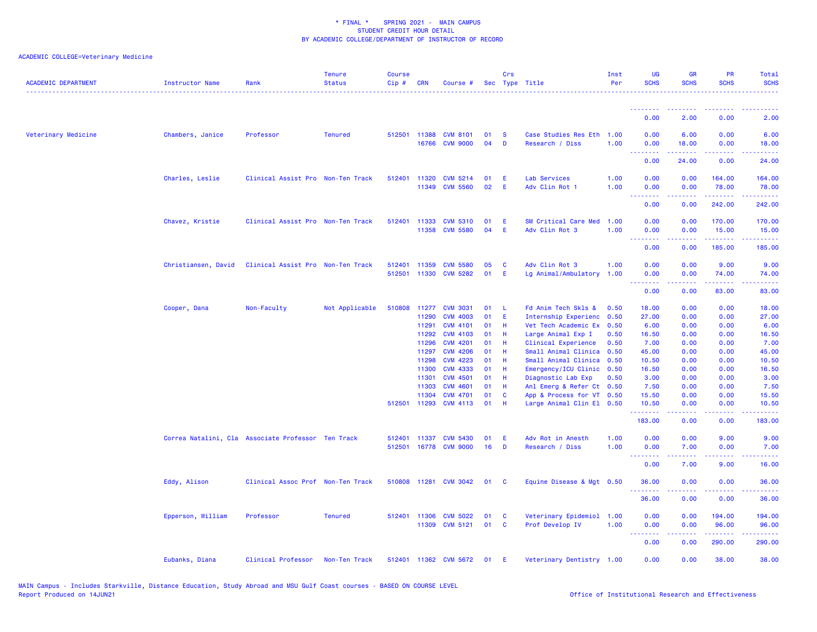| <b>ACADEMIC DEPARTMENT</b> | <b>Instructor Name</b> | Rank                                               | <b>Tenure</b><br><b>Status</b> | <b>Course</b><br>Cip# | <b>CRN</b>                   | Course #                                              |                | Crs           | Sec Type Title                                                      | Inst<br>Per          | <b>UG</b><br><b>SCHS</b>                 | <b>GR</b><br><b>SCHS</b> | <b>PR</b><br><b>SCHS</b>                                    | Total<br><b>SCHS</b>                                                                                                                     |
|----------------------------|------------------------|----------------------------------------------------|--------------------------------|-----------------------|------------------------------|-------------------------------------------------------|----------------|---------------|---------------------------------------------------------------------|----------------------|------------------------------------------|--------------------------|-------------------------------------------------------------|------------------------------------------------------------------------------------------------------------------------------------------|
|                            |                        |                                                    |                                |                       |                              |                                                       |                |               |                                                                     |                      | <u>.</u>                                 |                          |                                                             |                                                                                                                                          |
|                            |                        |                                                    |                                |                       |                              |                                                       |                |               |                                                                     |                      | 0.00                                     | 2.00                     | 0.00                                                        | 2.00                                                                                                                                     |
| Veterinary Medicine        | Chambers, Janice       | Professor                                          | <b>Tenured</b>                 |                       | 512501 11388<br>16766        | <b>CVM 8101</b><br><b>CVM 9000</b>                    | 01<br>04       | <b>S</b><br>D | Case Studies Res Eth 1.00<br>Research / Diss                        | 1.00                 | 0.00<br>0.00<br>$\omega$ is a $\omega$   | 6.00<br>18.00            | 0.00<br>0.00<br>$\omega_{\rm{eff}}$ and $\omega_{\rm{eff}}$ | 6.00<br>18.00                                                                                                                            |
|                            |                        |                                                    |                                |                       |                              |                                                       |                |               |                                                                     |                      | 0.00                                     | 24.00                    | 0.00                                                        | 24.00                                                                                                                                    |
|                            | Charles, Leslie        | Clinical Assist Pro Non-Ten Track                  |                                |                       | 512401 11320<br>11349        | <b>CVM 5214</b><br><b>CVM 5560</b>                    | 01<br>02       | E<br>Æ        | Lab Services<br>Adv Clin Rot 1                                      | 1.00<br>1.00         | 0.00<br>0.00                             | 0.00<br>0.00             | 164.00<br>78.00                                             | 164.00<br>78.00                                                                                                                          |
|                            |                        |                                                    |                                |                       |                              |                                                       |                |               |                                                                     |                      | د د د د<br>0.00                          | 0.00                     | 242.00                                                      | المتمامين<br>242.00                                                                                                                      |
|                            | Chavez, Kristie        | Clinical Assist Pro Non-Ten Track                  |                                |                       | 512401 11333<br>11358        | <b>CVM 5310</b><br><b>CVM 5580</b>                    | 01<br>04       | E<br>E        | SM Critical Care Med<br>Adv Clin Rot 3                              | 1.00<br>1.00         | 0.00<br>0.00<br>$\omega_{\rm{eff}}$<br>. | 0.00<br>0.00             | 170.00<br>15.00<br>والمرامي مرامي                           | 170.00<br>15.00                                                                                                                          |
|                            |                        |                                                    |                                |                       |                              |                                                       |                |               |                                                                     |                      | 0.00                                     | 0.00                     | 185.00                                                      | 185.00                                                                                                                                   |
|                            | Christiansen, David    | Clinical Assist Pro Non-Ten Track                  |                                |                       | 512401 11359<br>512501 11330 | <b>CVM 5580</b><br><b>CVM 5282</b>                    | 05<br>01       | <b>C</b><br>E | Adv Clin Rot 3<br>Lg Animal/Ambulatory                              | 1.00<br>1.00         | 0.00<br>0.00<br>.                        | 0.00<br>0.00             | 9.00<br>74.00<br>.                                          | 9.00<br>74.00<br>المستما                                                                                                                 |
|                            |                        |                                                    |                                |                       |                              |                                                       |                |               |                                                                     |                      | 0.00                                     | 0.00                     | 83.00                                                       | 83.00                                                                                                                                    |
|                            | Cooper, Dana           | Non-Faculty                                        | Not Applicable                 | 510808                | 11277<br>11290               | <b>CVM 3031</b><br><b>CVM 4003</b>                    | 01<br>01       | -L<br>E       | Fd Anim Tech Skls &<br>Internship Experienc                         | 0.50<br>0.50         | 18.00<br>27.00                           | 0.00<br>0.00             | 0.00<br>0.00                                                | 18.00<br>27.00                                                                                                                           |
|                            |                        |                                                    |                                |                       | 11291<br>11292               | <b>CVM 4101</b><br><b>CVM 4103</b>                    | 01<br>01       | -H<br>Н       | Vet Tech Academic Ex<br>Large Animal Exp I                          | 0.50<br>0.50         | 6.00<br>16.50                            | 0.00<br>0.00             | 0.00<br>0.00                                                | 6.00<br>16.50                                                                                                                            |
|                            |                        |                                                    |                                |                       | 11296<br>11297<br>11298      | <b>CVM 4201</b><br><b>CVM 4206</b><br><b>CVM 4223</b> | 01<br>01<br>01 | Н<br>H<br>Н   | Clinical Experience<br>Small Animal Clinica<br>Small Animal Clinica | 0.50<br>0.50<br>0.50 | 7.00<br>45.00<br>10.50                   | 0.00<br>0.00<br>0.00     | 0.00<br>0.00<br>0.00                                        | 7.00<br>45.00<br>10.50                                                                                                                   |
|                            |                        |                                                    |                                |                       | 11300<br>11301               | <b>CVM 4333</b><br><b>CVM 4501</b>                    | 01<br>01       | H<br>-H       | Emergency/ICU Clinic<br>Diagnostic Lab Exp                          | 0.50<br>0.50         | 16.50<br>3.00                            | 0.00<br>0.00             | 0.00<br>0.00                                                | 16.50<br>3.00                                                                                                                            |
|                            |                        |                                                    |                                |                       | 11303<br>11304               | <b>CVM 4601</b><br><b>CVM 4701</b>                    | 01<br>01       | -H<br>C       | Anl Emerg & Refer Ct 0.50<br>App & Process for VT 0.50              |                      | 7.50<br>15.50                            | 0.00<br>0.00             | 0.00<br>0.00                                                | 7.50<br>15.50                                                                                                                            |
|                            |                        |                                                    |                                |                       | 512501 11293                 | <b>CVM 4113</b>                                       | 01             | Н             | Large Animal Clin El 0.50                                           |                      | 10.50<br>.                               | 0.00                     | 0.00<br>$\sim$ $\sim$ $\sim$ $\sim$                         | 10.50                                                                                                                                    |
|                            |                        |                                                    |                                |                       |                              |                                                       |                |               |                                                                     |                      | 183.00                                   | 0.00                     | 0.00                                                        | 183.00                                                                                                                                   |
|                            |                        | Correa Natalini, Cla Associate Professor Ten Track |                                |                       |                              | 512401 11337 CVM 5430<br>512501 16778 CVM 9000        | 01<br>16       | E<br>D        | Adv Rot in Anesth<br>Research / Diss                                | 1.00<br>1.00         | 0.00<br>0.00<br>.                        | 0.00<br>7.00             | 9.00<br>0.00                                                | 9.00<br>7.00<br>$\omega$ is a set                                                                                                        |
|                            |                        |                                                    |                                |                       |                              |                                                       |                |               |                                                                     |                      | 0.00                                     | 7.00                     | 9.00                                                        | 16.00                                                                                                                                    |
|                            | Eddy, Alison           | Clinical Assoc Prof Non-Ten Track                  |                                |                       |                              | 510808 11281 CVM 3042                                 | 01             | C             | Equine Disease & Mgt 0.50                                           |                      | 36.00                                    | 0.00                     | 0.00                                                        | 36.00                                                                                                                                    |
|                            |                        |                                                    |                                |                       |                              |                                                       |                |               |                                                                     |                      | 36.00                                    | 0.00                     | 0.00                                                        | 36.00                                                                                                                                    |
|                            | Epperson, William      | Professor                                          | <b>Tenured</b>                 | 512401 11306          | 11309                        | <b>CVM 5022</b><br><b>CVM 5121</b>                    | 01<br>01       | C<br><b>C</b> | Veterinary Epidemiol 1.00<br>Prof Develop IV                        | 1.00                 | 0.00<br>0.00<br>.                        | 0.00<br>0.00<br>22222    | 194.00<br>96.00<br>.                                        | 194.00<br>96.00<br>$\begin{array}{cccccccccc} \bullet & \bullet & \bullet & \bullet & \bullet & \bullet & \bullet & \bullet \end{array}$ |
|                            |                        |                                                    |                                |                       |                              |                                                       |                |               |                                                                     |                      | 0.00                                     | 0.00                     | 290.00                                                      | 290.00                                                                                                                                   |
|                            | Eubanks, Diana         | Clinical Professor                                 | Non-Ten Track                  |                       |                              | 512401 11362 CVM 5672                                 | 01             | E             | Veterinary Dentistry 1.00                                           |                      | 0.00                                     | 0.00                     | 38.00                                                       | 38.00                                                                                                                                    |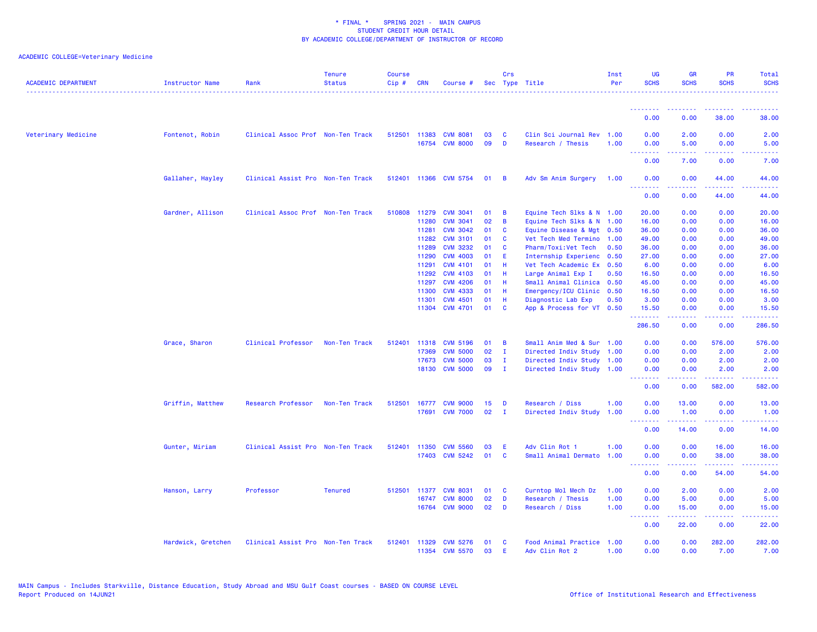| <b>ACADEMIC DEPARTMENT</b> | <b>Instructor Name</b> | Rank                              | <b>Tenure</b><br><b>Status</b> | <b>Course</b><br>Cip# | <b>CRN</b>   | Course #              |    | Crs          | Sec Type Title            | Inst<br>Per | UG<br><b>SCHS</b>               | <b>GR</b><br><b>SCHS</b> | PR<br><b>SCHS</b>  | Total<br><b>SCHS</b> |
|----------------------------|------------------------|-----------------------------------|--------------------------------|-----------------------|--------------|-----------------------|----|--------------|---------------------------|-------------|---------------------------------|--------------------------|--------------------|----------------------|
|                            |                        |                                   |                                |                       |              |                       |    |              |                           |             | <u> - - - - - - - -</u>         | <u> - - - - - - - -</u>  | . <u>.</u> .       | .                    |
|                            |                        |                                   |                                |                       |              |                       |    |              |                           |             | 0.00                            | 0.00                     | 38,00              | 38,00                |
| Veterinary Medicine        | Fontenot, Robin        | Clinical Assoc Prof Non-Ten Track |                                |                       | 512501 11383 | <b>CVM 8081</b>       | 03 | C            | Clin Sci Journal Rev 1.00 |             | 0.00                            | 2.00                     | 0.00               | 2.00                 |
|                            |                        |                                   |                                |                       | 16754        | <b>CVM 8000</b>       | 09 | D            | Research / Thesis         | 1.00        | 0.00                            | 5.00                     | 0.00               | 5.00                 |
|                            |                        |                                   |                                |                       |              |                       |    |              |                           |             | <b>.</b> .<br>0.00              | المستملة<br>7.00         | بالأباب<br>0.00    | .<br>7.00            |
|                            | Gallaher, Hayley       | Clinical Assist Pro Non-Ten Track |                                |                       |              | 512401 11366 CVM 5754 | 01 | <b>B</b>     | Adv Sm Anim Surgery       | 1.00        | 0.00                            | 0.00                     | 44.00              | 44.00                |
|                            |                        |                                   |                                |                       |              |                       |    |              |                           |             | <u> - - - - - - - -</u><br>0.00 | .<br>0.00                | -----<br>44.00     | .<br>44.00           |
|                            | Gardner, Allison       | Clinical Assoc Prof Non-Ten Track |                                | 510808                | 11279        | <b>CVM 3041</b>       | 01 | B            | Equine Tech Slks & N 1.00 |             | 20.00                           | 0.00                     | 0.00               | 20.00                |
|                            |                        |                                   |                                |                       | 11280        | <b>CVM 3041</b>       | 02 | B            | Equine Tech Slks & N 1.00 |             | 16.00                           | 0.00                     | 0.00               | 16.00                |
|                            |                        |                                   |                                |                       | 11281        | <b>CVM 3042</b>       | 01 | <b>C</b>     | Equine Disease & Mgt 0.50 |             | 36.00                           | 0.00                     | 0.00               | 36.00                |
|                            |                        |                                   |                                |                       | 11282        | <b>CVM 3101</b>       | 01 | C            | Vet Tech Med Termino      | 1.00        | 49.00                           | 0.00                     | 0.00               | 49.00                |
|                            |                        |                                   |                                |                       | 11289        | <b>CVM 3232</b>       | 01 | $\mathbf{C}$ |                           | 0.50        | 36.00                           | 0.00                     | 0.00               | 36.00                |
|                            |                        |                                   |                                |                       |              |                       |    |              | Pharm/Toxi:Vet Tech       |             |                                 |                          |                    |                      |
|                            |                        |                                   |                                |                       | 11290        | <b>CVM 4003</b>       | 01 | E.           | Internship Experienc      | 0.50        | 27.00                           | 0.00                     | 0.00               | 27.00                |
|                            |                        |                                   |                                |                       | 11291        | <b>CVM 4101</b>       | 01 | -H           | Vet Tech Academic Ex      | 0.50        | 6.00                            | 0.00                     | 0.00               | 6.00                 |
|                            |                        |                                   |                                |                       | 11292        | <b>CVM 4103</b>       | 01 | - H          | Large Animal Exp I        | 0.50        | 16.50                           | 0.00                     | 0.00               | 16.50                |
|                            |                        |                                   |                                |                       | 11297        | <b>CVM 4206</b>       | 01 | -H           | Small Animal Clinica 0.50 |             | 45.00                           | 0.00                     | 0.00               | 45.00                |
|                            |                        |                                   |                                |                       | 11300        | <b>CVM 4333</b>       | 01 | H            | Emergency/ICU Clinic 0.50 |             | 16.50                           | 0.00                     | 0.00               | 16.50                |
|                            |                        |                                   |                                |                       | 11301        | <b>CVM 4501</b>       | 01 | H            | Diagnostic Lab Exp        | 0.50        | 3.00                            | 0.00                     | 0.00               | 3.00                 |
|                            |                        |                                   |                                |                       |              | 11304 CVM 4701        | 01 | <b>C</b>     | App & Process for VT 0.50 |             | 15.50<br>.                      | 0.00                     | 0.00<br>.          | 15.50<br>.           |
|                            |                        |                                   |                                |                       |              |                       |    |              |                           |             | 286.50                          | <u>.</u><br>0.00         | 0.00               | 286.50               |
|                            | Grace, Sharon          | Clinical Professor                | Non-Ten Track                  | 512401                | 11318        | <b>CVM 5196</b>       | 01 | B            | Small Anim Med & Sur 1.00 |             | 0.00                            | 0.00                     | 576.00             | 576.00               |
|                            |                        |                                   |                                |                       | 17369        | <b>CVM 5000</b>       | 02 | $\mathbf I$  | Directed Indiv Study 1.00 |             | 0.00                            | 0.00                     | 2.00               | 2.00                 |
|                            |                        |                                   |                                |                       | 17673        | <b>CVM 5000</b>       | 03 | $\mathbf I$  | Directed Indiv Study 1.00 |             | 0.00                            | 0.00                     | 2.00               | 2.00                 |
|                            |                        |                                   |                                |                       | 18130        | <b>CVM 5000</b>       | 09 | I.           | Directed Indiv Study 1.00 |             | 0.00                            | 0.00                     | 2.00               | 2.00                 |
|                            |                        |                                   |                                |                       |              |                       |    |              |                           |             | .<br>0.00                       | 0.00                     | بالانادا<br>582.00 | .<br>582.00          |
|                            | Griffin, Matthew       | Research Professor                | Non-Ten Track                  | 512501                |              | 16777 CVM 9000        | 15 | D            | Research / Diss           | 1.00        | 0.00                            | 13.00                    | 0.00               | 13.00                |
|                            |                        |                                   |                                |                       | 17691        | <b>CVM 7000</b>       | 02 | п.           | Directed Indiv Study      | 1.00        | 0.00                            | 1.00                     | 0.00               | 1.00                 |
|                            |                        |                                   |                                |                       |              |                       |    |              |                           |             | .                               | .                        | .                  | وعاعاها              |
|                            |                        |                                   |                                |                       |              |                       |    |              |                           |             | 0.00                            | 14.00                    | 0.00               | 14.00                |
|                            | Gunter, Miriam         | Clinical Assist Pro Non-Ten Track |                                | 512401                | 11350        | <b>CVM 5560</b>       | 03 | Ε            | Adv Clin Rot 1            | 1.00        | 0.00                            | 0.00                     | 16.00              | 16.00                |
|                            |                        |                                   |                                |                       |              | 17403 CVM 5242        | 01 | $\mathbf{C}$ | Small Animal Dermato      | 1.00        | 0.00                            | 0.00                     | 38.00              | 38.00                |
|                            |                        |                                   |                                |                       |              |                       |    |              |                           |             | <b>.</b> .<br>0.00              | .<br>0.00                | بالأباء<br>54.00   | وعاعاها<br>54.00     |
|                            |                        |                                   |                                |                       |              |                       |    |              |                           |             |                                 |                          |                    |                      |
|                            | Hanson, Larry          | Professor                         | <b>Tenured</b>                 | 512501                | 11377        | <b>CVM 8031</b>       | 01 | <b>C</b>     | Curntop Mol Mech Dz       | 1.00        | 0.00                            | 2.00                     | 0.00               | 2.00                 |
|                            |                        |                                   |                                |                       | 16747        | <b>CVM 8000</b>       | 02 | D            | Research / Thesis         | 1.00        | 0.00                            | 5.00                     | 0.00               | 5.00                 |
|                            |                        |                                   |                                |                       |              | 16764 CVM 9000        | 02 | D            | Research / Diss           | 1.00        | 0.00<br>.                       | 15.00<br>د د د د د       | 0.00<br>د د د د    | 15.00<br>. د د د د   |
|                            |                        |                                   |                                |                       |              |                       |    |              |                           |             | 0.00                            | 22.00                    | 0.00               | 22.00                |
|                            | Hardwick, Gretchen     | Clinical Assist Pro Non-Ten Track |                                | 512401                | 11329        | <b>CVM 5276</b>       | 01 | C            | Food Animal Practice 1.00 |             | 0.00                            | 0.00                     | 282.00             | 282.00               |
|                            |                        |                                   |                                |                       |              | 11354 CVM 5570        | 03 | Ε            | Adv Clin Rot 2            | 1.00        | 0.00                            | 0.00                     | 7.00               | 7.00                 |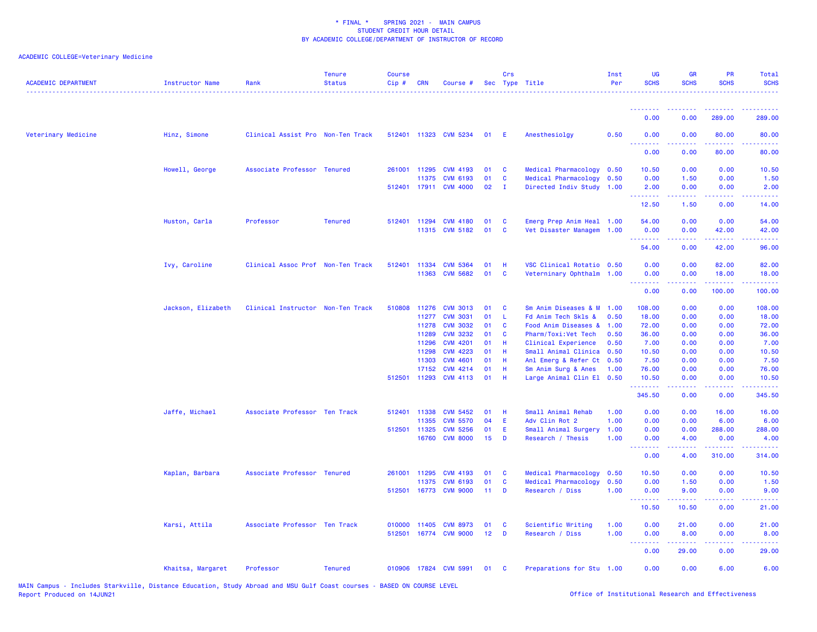# ACADEMIC COLLEGE=Veterinary Medicine

| <b>ACADEMIC DEPARTMENT</b> | Instructor Name    | Rank                              | <b>Tenure</b><br><b>Status</b> | <b>Course</b><br>Cip# | <b>CRN</b>     | Course #                                 |                 | Crs               | Sec Type Title                                    | Inst<br>Per  | UG<br><b>SCHS</b>                                  | <b>GR</b><br><b>SCHS</b> | <b>PR</b><br><b>SCHS</b> | Total<br><b>SCHS</b>                                                                                                              |
|----------------------------|--------------------|-----------------------------------|--------------------------------|-----------------------|----------------|------------------------------------------|-----------------|-------------------|---------------------------------------------------|--------------|----------------------------------------------------|--------------------------|--------------------------|-----------------------------------------------------------------------------------------------------------------------------------|
|                            |                    |                                   |                                |                       |                |                                          |                 |                   |                                                   |              | 0.00                                               | 0.00                     | 289.00                   | 289,00                                                                                                                            |
| Veterinary Medicine        |                    |                                   |                                |                       |                |                                          | 01              | E                 |                                                   | 0.50         | 0.00                                               | 0.00                     | 80.00                    |                                                                                                                                   |
|                            | Hinz, Simone       | Clinical Assist Pro Non-Ten Track |                                |                       |                | 512401 11323 CVM 5234                    |                 |                   | Anesthesiolgy                                     |              | <u>.</u>                                           |                          |                          | 80.00<br>.                                                                                                                        |
|                            |                    |                                   |                                |                       |                |                                          |                 |                   |                                                   |              | 0.00                                               | 0.00                     | 80.00                    | 80.00                                                                                                                             |
|                            | Howell, George     | Associate Professor Tenured       |                                |                       | 261001 11295   | <b>CVM 4193</b>                          | 01              | <b>C</b>          | Medical Pharmacology                              | 0.50         | 10.50                                              | 0.00                     | 0.00                     | 10.50                                                                                                                             |
|                            |                    |                                   |                                |                       | 11375          | <b>CVM 6193</b><br>512401 17911 CVM 4000 | 01<br>02        | C<br>$\mathbf{I}$ | Medical Pharmacology<br>Directed Indiv Study 1.00 | 0.50         | 0.00<br>2.00                                       | 1.50<br>0.00             | 0.00<br>0.00             | 1.50                                                                                                                              |
|                            |                    |                                   |                                |                       |                |                                          |                 |                   |                                                   |              | .                                                  | 22222                    | .                        | 2.00<br>$\frac{1}{2} \left( \frac{1}{2} \right) \left( \frac{1}{2} \right) \left( \frac{1}{2} \right) \left( \frac{1}{2} \right)$ |
|                            |                    |                                   |                                |                       |                |                                          |                 |                   |                                                   |              | 12.50                                              | 1.50                     | 0.00                     | 14.00                                                                                                                             |
|                            | Huston, Carla      | Professor                         | <b>Tenured</b>                 | 512401                | 11294          | <b>CVM 4180</b>                          | 01              | C                 | Emerg Prep Anim Heal 1.00                         |              | 54.00                                              | 0.00                     | 0.00                     | 54.00                                                                                                                             |
|                            |                    |                                   |                                |                       |                | 11315 CVM 5182                           | 01              | C                 | Vet Disaster Managem                              | 1.00         | 0.00<br>.                                          | 0.00                     | 42.00                    | 42.00                                                                                                                             |
|                            |                    |                                   |                                |                       |                |                                          |                 |                   |                                                   |              | 54.00                                              | 0.00                     | 42.00                    | 96.00                                                                                                                             |
|                            | Ivy, Caroline      | Clinical Assoc Prof Non-Ten Track |                                | 512401 11334          |                | <b>CVM 5364</b>                          | 01              | н                 | VSC Clinical Rotatio 0.50                         |              | 0.00                                               | 0.00                     | 82.00                    | 82.00                                                                                                                             |
|                            |                    |                                   |                                |                       |                | 11363 CVM 5682                           | 01              | C                 | Veterninary Ophthalm 1.00                         |              | 0.00                                               | 0.00                     | 18.00                    | 18.00                                                                                                                             |
|                            |                    |                                   |                                |                       |                |                                          |                 |                   |                                                   |              | <b><i><u><u> - - - - - - -</u></u></i></b><br>0.00 | .<br>0.00                | .<br>100.00              | .<br>100.00                                                                                                                       |
|                            | Jackson, Elizabeth | Clinical Instructor Non-Ten Track |                                | 510808 11276          |                | <b>CVM 3013</b>                          | 01              | C                 | Sm Anim Diseases & M                              | 1.00         | 108.00                                             | 0.00                     | 0.00                     | 108.00                                                                                                                            |
|                            |                    |                                   |                                |                       | 11277          | <b>CVM 3031</b>                          | 01              | L                 | Fd Anim Tech Skls &                               | 0.50         | 18.00                                              | 0.00                     | 0.00                     | 18.00                                                                                                                             |
|                            |                    |                                   |                                |                       | 11278          | <b>CVM 3032</b>                          | 01              | C                 | Food Anim Diseases &                              | 1.00         | 72.00                                              | 0.00                     | 0.00                     | 72.00                                                                                                                             |
|                            |                    |                                   |                                |                       | 11289<br>11296 | <b>CVM 3232</b><br><b>CVM 4201</b>       | 01<br>01        | C<br>н            | Pharm/Toxi:Vet Tech<br>Clinical Experience        | 0.50<br>0.50 | 36.00<br>7.00                                      | 0.00<br>0.00             | 0.00<br>0.00             | 36.00<br>7.00                                                                                                                     |
|                            |                    |                                   |                                |                       | 11298          | <b>CVM 4223</b>                          | 01              | H                 | Small Animal Clinica 0.50                         |              | 10.50                                              | 0.00                     | 0.00                     | 10.50                                                                                                                             |
|                            |                    |                                   |                                |                       | 11303          | <b>CVM 4601</b>                          | 01              | н                 | Anl Emerg & Refer Ct 0.50                         |              | 7.50                                               | 0.00                     | 0.00                     | 7.50                                                                                                                              |
|                            |                    |                                   |                                |                       | 17152          | <b>CVM 4214</b>                          | 01              | н                 | Sm Anim Surg & Anes                               | 1.00         | 76.00                                              | 0.00                     | 0.00                     | 76.00                                                                                                                             |
|                            |                    |                                   |                                | 512501                |                | 11293 CVM 4113                           | 01              | н                 | Large Animal Clin El 0.50                         |              | 10.50<br>.                                         | 0.00<br>-----            | 0.00<br>.                | 10.50<br>22222)                                                                                                                   |
|                            |                    |                                   |                                |                       |                |                                          |                 |                   |                                                   |              | 345.50                                             | 0.00                     | 0.00                     | 345.50                                                                                                                            |
|                            | Jaffe, Michael     | Associate Professor Ten Track     |                                | 512401 11338          |                | <b>CVM 5452</b>                          | 01              | н                 | Small Animal Rehab                                | 1.00         | 0.00                                               | 0.00                     | 16.00                    | 16.00                                                                                                                             |
|                            |                    |                                   |                                |                       | 11355          | <b>CVM 5570</b>                          | 04              | E                 | Adv Clin Rot 2                                    | 1.00         | 0.00                                               | 0.00                     | 6.00                     | 6.00                                                                                                                              |
|                            |                    |                                   |                                | 512501 11325          |                | <b>CVM 5256</b>                          | 01              | Ε                 | Small Animal Surgery                              | 1.00         | 0.00                                               | 0.00                     | 288.00                   | 288.00                                                                                                                            |
|                            |                    |                                   |                                |                       | 16760          | <b>CVM 8000</b>                          | 15 <sub>1</sub> | D                 | Research / Thesis                                 | 1.00         | 0.00<br><u>.</u>                                   | 4.00                     | 0.00<br>.                | 4.00<br>د د د د                                                                                                                   |
|                            |                    |                                   |                                |                       |                |                                          |                 |                   |                                                   |              | 0.00                                               | 4.00                     | 310.00                   | 314.00                                                                                                                            |
|                            | Kaplan, Barbara    | Associate Professor Tenured       |                                |                       | 261001 11295   | <b>CVM 4193</b>                          | 01              | C                 | Medical Pharmacology                              | 0.50         | 10.50                                              | 0.00                     | 0.00                     | 10.50                                                                                                                             |
|                            |                    |                                   |                                | 512501                | 11375          | <b>CVM 6193</b><br>16773 CVM 9000        | 01<br>11        | C<br>D            | Medical Pharmacology<br>Research / Diss           | 0.50<br>1.00 | 0.00<br>0.00                                       | 1.50<br>9.00             | 0.00<br>0.00             | 1.50<br>9.00                                                                                                                      |
|                            |                    |                                   |                                |                       |                |                                          |                 |                   |                                                   |              | <u>.</u>                                           |                          |                          | $\frac{1}{2} \left( \frac{1}{2} \right) \left( \frac{1}{2} \right) \left( \frac{1}{2} \right) \left( \frac{1}{2} \right)$         |
|                            |                    |                                   |                                |                       |                |                                          |                 |                   |                                                   |              | 10.50                                              | 10.50                    | 0.00                     | 21.00                                                                                                                             |
|                            | Karsi, Attila      | Associate Professor Ten Track     |                                | 010000 11405          |                | <b>CVM 8973</b>                          | 01              | C                 | Scientific Writing                                | 1.00         | 0.00                                               | 21.00                    | 0.00                     | 21.00                                                                                                                             |
|                            |                    |                                   |                                |                       |                | 512501 16774 CVM 9000                    | 12 <sup>2</sup> | D                 | Research / Diss                                   | 1.00         | 0.00<br><b></b>                                    | 8.00                     | 0.00<br>.                | 8.00                                                                                                                              |
|                            |                    |                                   |                                |                       |                |                                          |                 |                   |                                                   |              | 0.00                                               | 29.00                    | 0.00                     | 29.00                                                                                                                             |
|                            | Khaitsa, Margaret  | Professor                         | <b>Tenured</b>                 |                       |                | 010906 17824 CVM 5991                    | 01              | - C               | Preparations for Stu 1.00                         |              | 0.00                                               | 0.00                     | 6.00                     | 6.00                                                                                                                              |

MAIN Campus - Includes Starkville, Distance Education, Study Abroad and MSU Gulf Coast courses - BASED ON COURSE LEVEL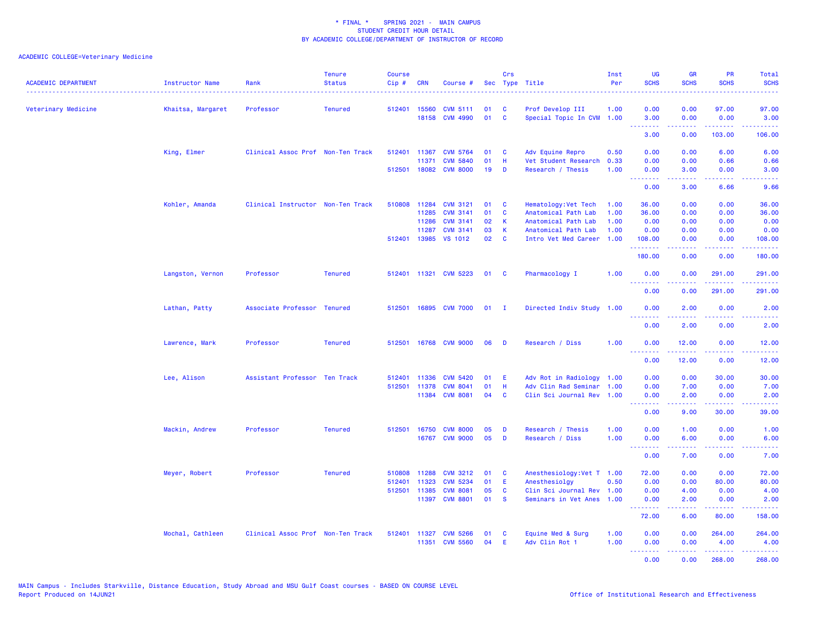| <b>ACADEMIC DEPARTMENT</b> | Instructor Name   | Rank                              | <b>Tenure</b><br><b>Status</b> | <b>Course</b><br>Cip# | <b>CRN</b>   | Course #              | Sec          | <b>Crs</b>   | Type Title                 | Inst<br>Per | <b>UG</b><br><b>SCHS</b>                           | <b>GR</b><br><b>SCHS</b> | PR<br><b>SCHS</b> | <b>Total</b><br><b>SCHS</b>                                                                                                                                  |
|----------------------------|-------------------|-----------------------------------|--------------------------------|-----------------------|--------------|-----------------------|--------------|--------------|----------------------------|-------------|----------------------------------------------------|--------------------------|-------------------|--------------------------------------------------------------------------------------------------------------------------------------------------------------|
| Veterinary Medicine        | Khaitsa, Margaret | Professor                         | <b>Tenured</b>                 | 512401                | 15560        | <b>CVM 5111</b>       | 01           | C            | Prof Develop III           | 1.00        | 0.00                                               | 0.00                     | 97.00             | 97.00                                                                                                                                                        |
|                            |                   |                                   |                                |                       |              | 18158 CVM 4990        | 01           | $\mathbf{C}$ | Special Topic In CVM 1.00  |             | 3.00<br><u> - - - - - - - -</u>                    | 0.00<br><u>.</u>         | 0.00<br><u>.</u>  | 3.00<br>.                                                                                                                                                    |
|                            |                   |                                   |                                |                       |              |                       |              |              |                            |             | 3.00                                               | 0.00                     | 103.00            | 106.00                                                                                                                                                       |
|                            | King, Elmer       | Clinical Assoc Prof Non-Ten Track |                                | 512401                | 11367        | <b>CVM 5764</b>       | 01           | C            | Adv Equine Repro           | 0.50        | 0.00                                               | 0.00                     | 6.00              | 6.00                                                                                                                                                         |
|                            |                   |                                   |                                |                       | 11371        | <b>CVM 5840</b>       | 01           | H            | Vet Student Research       | 0.33        | 0.00                                               | 0.00                     | 0.66              | 0.66                                                                                                                                                         |
|                            |                   |                                   |                                | 512501                |              | 18082 CVM 8000        | 19           | D            | Research / Thesis          | 1.00        | 0.00<br>.                                          | 3.00<br><b></b>          | 0.00<br>.         | 3.00<br>$\frac{1}{2} \left( \frac{1}{2} \right) \left( \frac{1}{2} \right) \left( \frac{1}{2} \right) \left( \frac{1}{2} \right)$                            |
|                            |                   |                                   |                                |                       |              |                       |              |              |                            |             | 0.00                                               | 3.00                     | 6.66              | 9.66                                                                                                                                                         |
|                            | Kohler, Amanda    | Clinical Instructor Non-Ten Track |                                | 510808                | 11284        | <b>CVM 3121</b>       | 01           | C            | Hematology: Vet Tech       | 1.00        | 36.00                                              | 0.00                     | 0.00              | 36.00                                                                                                                                                        |
|                            |                   |                                   |                                |                       | 11285        | <b>CVM 3141</b>       | 01           | C            | Anatomical Path Lab        | 1.00        | 36.00                                              | 0.00                     | 0.00              | 36.00                                                                                                                                                        |
|                            |                   |                                   |                                |                       | 11286        | <b>CVM 3141</b>       | 02           | $\mathsf K$  | Anatomical Path Lab        | 1.00        | 0.00                                               | 0.00                     | 0.00              | 0.00                                                                                                                                                         |
|                            |                   |                                   |                                |                       | 11287        | <b>CVM 3141</b>       | 03           | $\mathsf K$  | Anatomical Path Lab        | 1.00        | 0.00                                               | 0.00                     | 0.00              | 0.00                                                                                                                                                         |
|                            |                   |                                   |                                |                       | 512401 13985 | <b>VS 1012</b>        | 02           | C            | Intro Vet Med Career       | 1.00        | 108.00<br>.                                        | 0.00                     | 0.00<br>.         | 108.00<br>.                                                                                                                                                  |
|                            |                   |                                   |                                |                       |              |                       |              |              |                            |             | 180.00                                             | 0.00                     | 0.00              | 180.00                                                                                                                                                       |
|                            | Langston, Vernon  | Professor                         | <b>Tenured</b>                 |                       |              | 512401 11321 CVM 5223 | 01           | <b>C</b>     | Pharmacology I             | 1.00        | 0.00<br>.                                          | 0.00                     | 291.00            | 291.00<br>222223                                                                                                                                             |
|                            |                   |                                   |                                |                       |              |                       |              |              |                            |             | 0.00                                               | 0.00                     | 291.00            | 291.00                                                                                                                                                       |
|                            | Lathan, Patty     | Associate Professor Tenured       |                                | 512501                |              | 16895 CVM 7000        | $01 \quad I$ |              | Directed Indiv Study 1.00  |             | 0.00                                               | 2.00                     | 0.00              | 2.00                                                                                                                                                         |
|                            |                   |                                   |                                |                       |              |                       |              |              |                            |             | <b><i><u><u> - - - - - - -</u></u></i></b><br>0.00 | -----<br>2.00            | .<br>0.00         | $\frac{1}{2} \left( \frac{1}{2} \right) \left( \frac{1}{2} \right) \left( \frac{1}{2} \right) \left( \frac{1}{2} \right) \left( \frac{1}{2} \right)$<br>2.00 |
|                            | Lawrence, Mark    | Professor                         | <b>Tenured</b>                 | 512501                |              | 16768 CVM 9000        | 06           | D            | Research / Diss            | 1.00        | 0.00                                               | 12.00                    | 0.00              | 12.00                                                                                                                                                        |
|                            |                   |                                   |                                |                       |              |                       |              |              |                            |             | .<br>0.00                                          | .<br>12.00               | 22222<br>0.00     | .<br>12.00                                                                                                                                                   |
|                            | Lee, Alison       | Assistant Professor Ten Track     |                                | 512401                | 11336        | <b>CVM 5420</b>       | 01           | E.           | Adv Rot in Radiology       | 1.00        | 0.00                                               | 0.00                     | 30.00             | 30.00                                                                                                                                                        |
|                            |                   |                                   |                                | 512501                | 11378        | <b>CVM 8041</b>       | 01           | н            | Adv Clin Rad Seminar       | 1.00        | 0.00                                               | 7.00                     | 0.00              | 7.00                                                                                                                                                         |
|                            |                   |                                   |                                |                       | 11384        | <b>CVM 8081</b>       | 04           | $\mathbf{C}$ | Clin Sci Journal Rev 1.00  |             | 0.00<br>.                                          | 2.00<br>.                | 0.00<br>22222     | 2.00<br>$\sim$ $\sim$ $\sim$ $\sim$ $\sim$                                                                                                                   |
|                            |                   |                                   |                                |                       |              |                       |              |              |                            |             | 0.00                                               | 9.00                     | 30.00             | 39.00                                                                                                                                                        |
|                            | Mackin, Andrew    | Professor                         | <b>Tenured</b>                 | 512501                | 16750        | <b>CVM 8000</b>       | 05           | D            | Research / Thesis          | 1.00        | 0.00                                               | 1.00                     | 0.00              | 1.00                                                                                                                                                         |
|                            |                   |                                   |                                |                       |              | 16767 CVM 9000        | 05           | D            | Research / Diss            | 1.00        | 0.00<br><b><i><u><u> - - - - - - -</u></u></i></b> | 6.00                     | 0.00              | 6.00<br>.                                                                                                                                                    |
|                            |                   |                                   |                                |                       |              |                       |              |              |                            |             | 0.00                                               | 7.00                     | 0.00              | 7.00                                                                                                                                                         |
|                            | Meyer, Robert     | Professor                         | <b>Tenured</b>                 | 510808                | 11288        | <b>CVM 3212</b>       | 01           | C            | Anesthesiology: Vet T 1.00 |             | 72.00                                              | 0.00                     | 0.00              | 72.00                                                                                                                                                        |
|                            |                   |                                   |                                | 512401                | 11323        | <b>CVM 5234</b>       | 01           | E            | Anesthesiolgy              | 0.50        | 0.00                                               | 0.00                     | 80.00             | 80.00                                                                                                                                                        |
|                            |                   |                                   |                                | 512501                | 11385        | <b>CVM 8081</b>       | 05           | <b>C</b>     | Clin Sci Journal Rev       | 1.00        | 0.00                                               | 4.00                     | 0.00              | 4.00                                                                                                                                                         |
|                            |                   |                                   |                                |                       |              | 11397 CVM 8801        | 01           | <b>S</b>     | Seminars in Vet Anes 1.00  |             | 0.00<br>.                                          | 2.00                     | 0.00<br>.         | 2.00                                                                                                                                                         |
|                            |                   |                                   |                                |                       |              |                       |              |              |                            |             | 72.00                                              | 6.00                     | 80.00             | 158.00                                                                                                                                                       |
|                            | Mochal, Cathleen  | Clinical Assoc Prof Non-Ten Track |                                |                       | 512401 11327 | <b>CVM 5266</b>       | 01           | C            | Equine Med & Surg          | 1.00        | 0.00                                               | 0.00                     | 264.00            | 264.00                                                                                                                                                       |
|                            |                   |                                   |                                |                       | 11351        | <b>CVM 5560</b>       | 04           | E            | Adv Clin Rot 1             | 1.00        | 0.00<br>.                                          | 0.00                     | 4.00              | 4.00                                                                                                                                                         |
|                            |                   |                                   |                                |                       |              |                       |              |              |                            |             | 0.00                                               | 0.00                     | 268,00            | 268,00                                                                                                                                                       |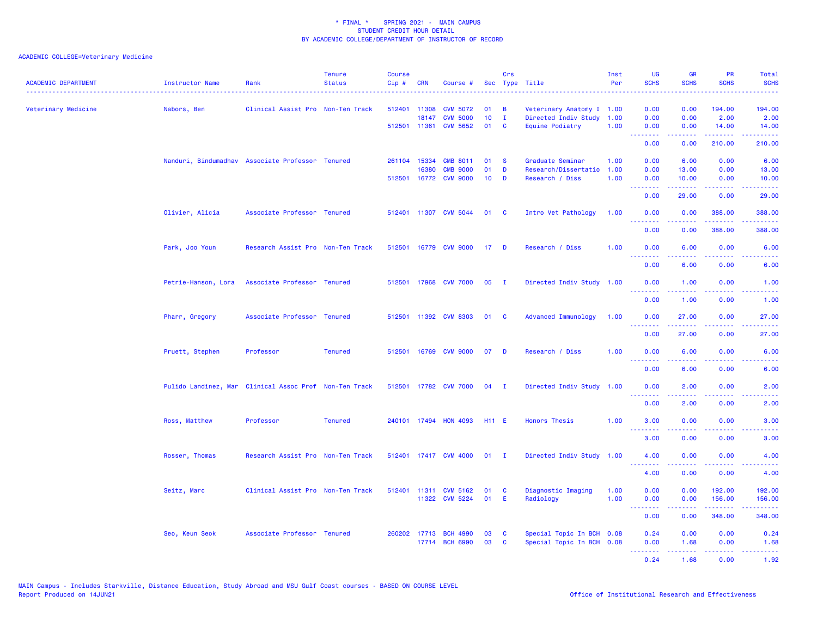| <b>ACADEMIC DEPARTMENT</b> | Instructor Name                                        | Rank                              | <b>Tenure</b><br><b>Status</b> | <b>Course</b><br>Cip# | <b>CRN</b>     | Course #                                 |                       | <b>Crs</b>        | Sec Type Title                                         | Inst<br>Per  | <b>UG</b><br><b>SCHS</b>                                 | <b>GR</b><br><b>SCHS</b>                                                                                                                                      | <b>PR</b><br><b>SCHS</b>       | <b>Total</b><br><b>SCHS</b>                                                                                                       |
|----------------------------|--------------------------------------------------------|-----------------------------------|--------------------------------|-----------------------|----------------|------------------------------------------|-----------------------|-------------------|--------------------------------------------------------|--------------|----------------------------------------------------------|---------------------------------------------------------------------------------------------------------------------------------------------------------------|--------------------------------|-----------------------------------------------------------------------------------------------------------------------------------|
| Veterinary Medicine        | Nabors, Ben                                            | Clinical Assist Pro Non-Ten Track |                                | 512401                | 11308<br>18147 | <b>CVM 5072</b><br><b>CVM 5000</b>       | 01<br>10 <sup>1</sup> | B<br>$\mathbf{I}$ | Veterinary Anatomy I 1.00<br>Directed Indiv Study      | 1.00         | 0.00<br>0.00                                             | 0.00<br>0.00                                                                                                                                                  | 194.00<br>2.00                 | 194.00<br>2.00                                                                                                                    |
|                            |                                                        |                                   |                                |                       | 512501 11361   | <b>CVM 5652</b>                          | 01                    | C                 | Equine Podiatry                                        | 1.00         | 0.00<br>.<br>0.00                                        | 0.00<br>0.00                                                                                                                                                  | 14.00<br>.<br>210.00           | 14.00<br>.<br>210.00                                                                                                              |
|                            | Nanduri, Bindumadhav Associate Professor Tenured       |                                   |                                |                       | 261104 15334   | <b>CMB 8011</b>                          | 01                    | -S                | Graduate Seminar                                       | 1.00         | 0.00                                                     | 6.00                                                                                                                                                          | 0.00                           | 6.00                                                                                                                              |
|                            |                                                        |                                   |                                |                       | 16380          | <b>CMB 9000</b><br>512501 16772 CVM 9000 | 01<br>10 <sub>1</sub> | D<br>D            | Research/Dissertatio<br>Research / Diss                | 1.00<br>1.00 | 0.00<br>0.00                                             | 13.00<br>10.00                                                                                                                                                | 0.00<br>0.00                   | 13.00<br>10.00                                                                                                                    |
|                            |                                                        |                                   |                                |                       |                |                                          |                       |                   |                                                        |              | <b><i><u><u> - - - - - - -</u></u></i></b><br>0.00       | .<br>29.00                                                                                                                                                    | المتمامين<br>0.00              | .<br>29.00                                                                                                                        |
|                            | Olivier, Alicia                                        | Associate Professor Tenured       |                                |                       |                | 512401 11307 CVM 5044                    | 01                    | $\mathbf{C}$      | Intro Vet Pathology                                    | 1.00         | 0.00<br>.                                                | 0.00<br>.                                                                                                                                                     | 388.00<br>.                    | 388.00<br>.                                                                                                                       |
|                            |                                                        |                                   |                                |                       |                |                                          |                       |                   |                                                        |              | 0.00                                                     | 0.00                                                                                                                                                          | 388.00                         | 388.00                                                                                                                            |
|                            | Park, Joo Youn                                         | Research Assist Pro Non-Ten Track |                                |                       |                | 512501 16779 CVM 9000                    | 17                    | D                 | Research / Diss                                        | 1.00         | 0.00<br><b><i><u><u><b>Little Little</b></u></u></i></b> | 6.00<br>.                                                                                                                                                     | 0.00<br>.                      | 6.00<br>$\frac{1}{2} \left( \frac{1}{2} \right) \left( \frac{1}{2} \right) \left( \frac{1}{2} \right) \left( \frac{1}{2} \right)$ |
|                            |                                                        |                                   |                                |                       |                |                                          |                       |                   |                                                        |              | 0.00                                                     | 6.00                                                                                                                                                          | 0.00                           | 6.00                                                                                                                              |
|                            | Petrie-Hanson, Lora                                    | Associate Professor Tenured       |                                |                       |                | 512501 17968 CVM 7000                    | 05                    | $\mathbf{I}$      | Directed Indiv Study 1.00                              |              | 0.00<br><b></b>                                          | 1.00                                                                                                                                                          | 0.00<br>ولالات                 | 1.00<br>والمرامين مرابط                                                                                                           |
|                            |                                                        |                                   |                                |                       |                |                                          |                       |                   |                                                        |              | 0.00                                                     | 1.00                                                                                                                                                          | 0.00                           | 1.00                                                                                                                              |
|                            | Pharr, Gregory                                         | Associate Professor Tenured       |                                |                       |                | 512501 11392 CVM 8303                    | 01                    | <b>C</b>          | <b>Advanced Immunology</b>                             | 1.00         | 0.00<br>.                                                | 27.00<br>$\frac{1}{2} \left( \frac{1}{2} \right) \left( \frac{1}{2} \right) \left( \frac{1}{2} \right) \left( \frac{1}{2} \right) \left( \frac{1}{2} \right)$ | 0.00<br>د د د د                | 27.00<br>وعاديات                                                                                                                  |
|                            | Pruett, Stephen                                        | Professor                         | <b>Tenured</b>                 |                       |                | 512501 16769 CVM 9000                    | 07                    | D                 | Research / Diss                                        | 1.00         | 0.00<br>0.00                                             | 27.00<br>6.00                                                                                                                                                 | 0.00<br>0.00                   | 27.00<br>6.00                                                                                                                     |
|                            |                                                        |                                   |                                |                       |                |                                          |                       |                   |                                                        |              | .<br>0.00                                                | 6.00                                                                                                                                                          | 0.00                           | 6.00                                                                                                                              |
|                            | Pulido Landinez, Mar Clinical Assoc Prof Non-Ten Track |                                   |                                |                       |                | 512501 17782 CVM 7000                    | 04                    | $\mathbf{I}$      | Directed Indiv Study 1.00                              |              | 0.00                                                     | 2.00                                                                                                                                                          | 0.00                           | 2.00                                                                                                                              |
|                            |                                                        |                                   |                                |                       |                |                                          |                       |                   |                                                        |              | 0.00                                                     | .<br>2.00                                                                                                                                                     | د د د د<br>0.00                | 2222.<br>2.00                                                                                                                     |
|                            | Ross, Matthew                                          | Professor                         | <b>Tenured</b>                 |                       |                | 240101 17494 HON 4093                    | <b>H11 E</b>          |                   | <b>Honors Thesis</b>                                   | 1.00         | 3.00                                                     | 0.00                                                                                                                                                          | 0.00                           | 3.00                                                                                                                              |
|                            |                                                        |                                   |                                |                       |                |                                          |                       |                   |                                                        |              | <b></b><br>3.00                                          | 0.00                                                                                                                                                          | $\sim$ $\sim$ $\sim$ .<br>0.00 | 3.00                                                                                                                              |
|                            | Rosser, Thomas                                         | Research Assist Pro Non-Ten Track |                                |                       |                | 512401 17417 CVM 4000                    | $01$ I                |                   | Directed Indiv Study 1.00                              |              | 4.00<br><b><i><u>AAAAAAA</u></i></b>                     | 0.00<br>22222                                                                                                                                                 | 0.00<br>.                      | 4.00<br>2222.                                                                                                                     |
|                            |                                                        |                                   |                                |                       |                |                                          |                       |                   |                                                        |              | 4.00                                                     | 0.00                                                                                                                                                          | 0.00                           | 4.00                                                                                                                              |
|                            | Seitz, Marc                                            | Clinical Assist Pro Non-Ten Track |                                |                       |                | 512401 11311 CVM 5162<br>11322 CVM 5224  | 01<br>01              | C<br>E            | Diagnostic Imaging<br>Radiology                        | 1.00<br>1.00 | 0.00<br>0.00                                             | 0.00<br>0.00                                                                                                                                                  | 192.00<br>156.00               | 192.00<br>156.00                                                                                                                  |
|                            |                                                        |                                   |                                |                       |                |                                          |                       |                   |                                                        |              | <b><i><u><u> - - - - - - -</u></u></i></b><br>0.00       | .<br>0.00                                                                                                                                                     | المستملك المناسب<br>348.00     | بالأباليات<br>348.00                                                                                                              |
|                            | Seo, Keun Seok                                         | Associate Professor Tenured       |                                |                       |                | 260202 17713 BCH 4990<br>17714 BCH 6990  | 03<br>03              | C<br>C            | Special Topic In BCH 0.08<br>Special Topic In BCH 0.08 |              | 0.24<br>0.00                                             | 0.00<br>1.68                                                                                                                                                  | 0.00<br>0.00                   | 0.24<br>1.68                                                                                                                      |
|                            |                                                        |                                   |                                |                       |                |                                          |                       |                   |                                                        |              | <b></b><br>0.24                                          | $\mathbf{L}^{\prime} = \mathbf{L}^{\prime} + \mathbf{L}^{\prime} + \mathbf{L}^{\prime}$<br>1.68                                                               | .<br>0.00                      | .<br>1.92                                                                                                                         |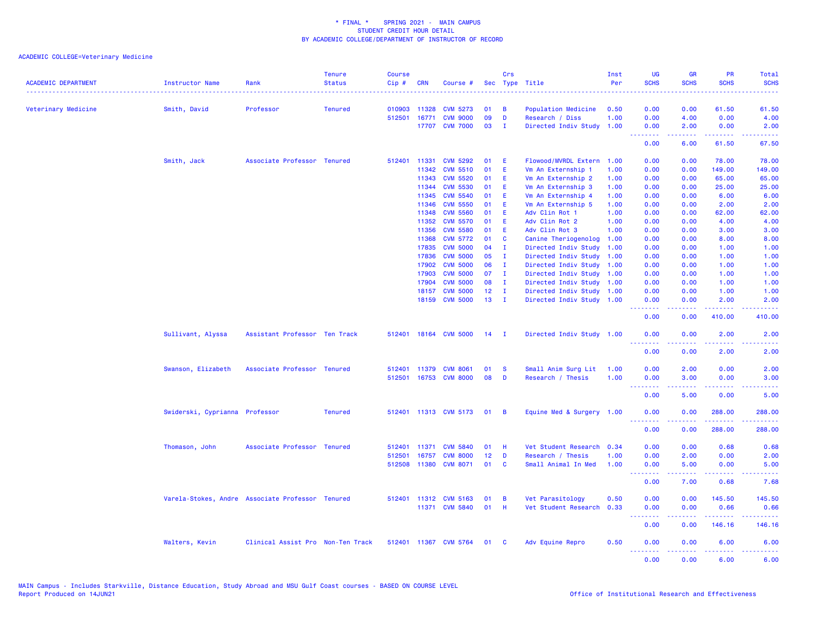| <b>ACADEMIC DEPARTMENT</b> | Instructor Name                                  | Rank                              | <b>Tenure</b><br><b>Status</b> | <b>Course</b><br>Cip# | <b>CRN</b> | Course #              |                 | Crs            | Sec Type Title            | Inst<br>Per | <b>UG</b><br><b>SCHS</b>                           | <b>GR</b><br><b>SCHS</b>                                                                                                                                     | PR<br><b>SCHS</b>                                                                                                                 | Total<br><b>SCHS</b>      |
|----------------------------|--------------------------------------------------|-----------------------------------|--------------------------------|-----------------------|------------|-----------------------|-----------------|----------------|---------------------------|-------------|----------------------------------------------------|--------------------------------------------------------------------------------------------------------------------------------------------------------------|-----------------------------------------------------------------------------------------------------------------------------------|---------------------------|
| Veterinary Medicine        | Smith, David                                     | Professor                         | <b>Tenured</b>                 | 010903                | 11328      | <b>CVM 5273</b>       | 01              | В              | Population Medicine       | 0.50        | 0.00                                               | 0.00                                                                                                                                                         | 61.50                                                                                                                             | 61.50                     |
|                            |                                                  |                                   |                                | 512501                | 16771      | <b>CVM 9000</b>       | 09              | D              | Research / Diss           | 1.00        | 0.00                                               | 4.00                                                                                                                                                         | 0.00                                                                                                                              | 4.00                      |
|                            |                                                  |                                   |                                |                       |            | 17707 CVM 7000        | 03              | п.             | Directed Indiv Study      | 1.00        | 0.00                                               | 2.00                                                                                                                                                         | 0.00                                                                                                                              | 2.00<br>.                 |
|                            |                                                  |                                   |                                |                       |            |                       |                 |                |                           |             | <b><i><u><u> - - - - - - -</u></u></i></b><br>0.00 | 22222<br>6.00                                                                                                                                                | <u>.</u><br>61.50                                                                                                                 | 67.50                     |
|                            | Smith, Jack                                      | Associate Professor Tenured       |                                | 512401                | 11331      | <b>CVM 5292</b>       | 01              | Ε              | Flowood/MVRDL Extern      | 1.00        | 0.00                                               | 0.00                                                                                                                                                         | 78.00                                                                                                                             | 78.00                     |
|                            |                                                  |                                   |                                |                       | 11342      | <b>CVM 5510</b>       | 01              | Ε              | Vm An Externship 1        | 1.00        | 0.00                                               | 0.00                                                                                                                                                         | 149.00                                                                                                                            | 149.00                    |
|                            |                                                  |                                   |                                |                       | 11343      | <b>CVM 5520</b>       | 01              | Ε              | Vm An Externship 2        | 1.00        | 0.00                                               | 0.00                                                                                                                                                         | 65.00                                                                                                                             | 65.00                     |
|                            |                                                  |                                   |                                |                       | 11344      | <b>CVM 5530</b>       | 01              | Ε              | Vm An Externship 3        | 1.00        | 0.00                                               | 0.00                                                                                                                                                         | 25.00                                                                                                                             | 25.00                     |
|                            |                                                  |                                   |                                |                       | 11345      | <b>CVM 5540</b>       | 01              | Ε              | Vm An Externship 4        | 1.00        | 0.00                                               | 0.00                                                                                                                                                         | 6.00                                                                                                                              | 6.00                      |
|                            |                                                  |                                   |                                |                       | 11346      | <b>CVM 5550</b>       | 01              | E.             | Vm An Externship 5        | 1.00        | 0.00                                               | 0.00                                                                                                                                                         | 2.00                                                                                                                              | 2.00                      |
|                            |                                                  |                                   |                                |                       | 11348      | <b>CVM 5560</b>       | 01              | Ε              | Adv Clin Rot 1            | 1.00        | 0.00                                               | 0.00                                                                                                                                                         | 62.00                                                                                                                             | 62.00                     |
|                            |                                                  |                                   |                                |                       | 11352      | <b>CVM 5570</b>       | 01              | Ε              | Adv Clin Rot 2            | 1.00        | 0.00                                               | 0.00                                                                                                                                                         | 4.00                                                                                                                              | 4.00                      |
|                            |                                                  |                                   |                                |                       | 11356      | <b>CVM 5580</b>       | 01              | Ε              | Adv Clin Rot 3            | 1.00        | 0.00                                               | 0.00                                                                                                                                                         | 3.00                                                                                                                              | 3.00                      |
|                            |                                                  |                                   |                                |                       | 11368      | <b>CVM 5772</b>       | 01              | C              | Canine Theriogenolog      | 1.00        | 0.00                                               | 0.00                                                                                                                                                         | 8.00                                                                                                                              | 8.00                      |
|                            |                                                  |                                   |                                |                       | 17835      | <b>CVM 5000</b>       | 04              | $\mathbf{I}$   | Directed Indiv Study      | 1.00        | 0.00                                               | 0.00                                                                                                                                                         | 1.00                                                                                                                              | 1.00                      |
|                            |                                                  |                                   |                                |                       | 17836      | <b>CVM 5000</b>       | 05              | $\mathbf{I}$   | Directed Indiv Study      | 1.00        | 0.00                                               | 0.00                                                                                                                                                         | 1.00                                                                                                                              | 1.00                      |
|                            |                                                  |                                   |                                |                       | 17902      | <b>CVM 5000</b>       | 06              | $\mathbf{I}$   | Directed Indiv Study      | 1.00        | 0.00                                               | 0.00                                                                                                                                                         | 1.00                                                                                                                              | 1.00                      |
|                            |                                                  |                                   |                                |                       | 17903      | <b>CVM 5000</b>       | 07              | $\mathbf{I}$   | Directed Indiv Study      | 1.00        | 0.00                                               | 0.00                                                                                                                                                         | 1.00                                                                                                                              | 1.00                      |
|                            |                                                  |                                   |                                |                       | 17904      | <b>CVM 5000</b>       | 08              | $\mathbf{I}$   | Directed Indiv Study 1.00 |             | 0.00                                               | 0.00                                                                                                                                                         | 1.00                                                                                                                              | 1.00                      |
|                            |                                                  |                                   |                                |                       | 18157      | <b>CVM 5000</b>       | 12 <sub>2</sub> | $\mathbf{I}$   | Directed Indiv Study 1.00 |             | 0.00                                               | 0.00                                                                                                                                                         | 1.00                                                                                                                              | 1.00                      |
|                            |                                                  |                                   |                                |                       | 18159      | <b>CVM 5000</b>       | 13              | $\mathbf{I}$   | Directed Indiv Study 1.00 |             | 0.00<br>$\omega_{\rm c}$ and $\omega_{\rm c}$      | 0.00                                                                                                                                                         | 2.00<br>$\frac{1}{2} \left( \frac{1}{2} \right) \left( \frac{1}{2} \right) \left( \frac{1}{2} \right) \left( \frac{1}{2} \right)$ | 2.00                      |
|                            |                                                  |                                   |                                |                       |            |                       |                 |                |                           |             | 0.00                                               | 0.00                                                                                                                                                         | 410.00                                                                                                                            | 410.00                    |
|                            | Sullivant, Alyssa                                | Assistant Professor Ten Track     |                                |                       |            | 512401 18164 CVM 5000 | 14              | $\blacksquare$ | Directed Indiv Study 1.00 |             | 0.00<br><b>.</b>                                   | 0.00                                                                                                                                                         | 2.00                                                                                                                              | 2.00                      |
|                            |                                                  |                                   |                                |                       |            |                       |                 |                |                           |             | 0.00                                               | 0.00                                                                                                                                                         | 2.00                                                                                                                              | 2.00                      |
|                            | Swanson, Elizabeth                               | Associate Professor Tenured       |                                |                       |            | 512401 11379 CVM 8061 | 01              | <b>S</b>       | Small Anim Surg Lit       | 1.00        | 0.00                                               | 2.00                                                                                                                                                         | 0.00                                                                                                                              | 2.00                      |
|                            |                                                  |                                   |                                | 512501                |            | 16753 CVM 8000        | 08              | D              | Research / Thesis         | 1.00        | 0.00                                               | 3.00                                                                                                                                                         | 0.00                                                                                                                              | 3.00                      |
|                            |                                                  |                                   |                                |                       |            |                       |                 |                |                           |             | <b><i><u><u><b>A</b></u></u> A A A A A A A</i></b> | 22222                                                                                                                                                        | .                                                                                                                                 | $\omega$ is $\omega$ in . |
|                            |                                                  |                                   |                                |                       |            |                       |                 |                |                           |             | 0.00                                               | 5.00                                                                                                                                                         | 0.00                                                                                                                              | 5.00                      |
|                            | Swiderski, Cyprianna Professor                   |                                   | <b>Tenured</b>                 |                       |            | 512401 11313 CVM 5173 | 01              | В              | Equine Med & Surgery 1.00 |             | 0.00                                               | 0.00                                                                                                                                                         | 288.00                                                                                                                            | 288.00                    |
|                            |                                                  |                                   |                                |                       |            |                       |                 |                |                           |             | 0.00                                               | 0.00                                                                                                                                                         | 288.00                                                                                                                            | 288.00                    |
|                            | Thomason, John                                   | Associate Professor Tenured       |                                | 512401                | 11371      | <b>CVM 5840</b>       | 01              | н              | Vet Student Research      | 0.34        | 0.00                                               | 0.00                                                                                                                                                         | 0.68                                                                                                                              | 0.68                      |
|                            |                                                  |                                   |                                | 512501                | 16757      | <b>CVM 8000</b>       | 12 <sub>2</sub> | D              | Research / Thesis         | 1.00        | 0.00                                               | 2.00                                                                                                                                                         | 0.00                                                                                                                              | 2.00                      |
|                            |                                                  |                                   |                                | 512508                | 11380      | <b>CVM 8071</b>       | 01              | C              | Small Animal In Med       | 1.00        | 0.00                                               | 5.00                                                                                                                                                         | 0.00                                                                                                                              | 5.00                      |
|                            |                                                  |                                   |                                |                       |            |                       |                 |                |                           |             | <b><i><u><u><b>A</b></u></u> A A A A A A A</i></b> | <b><i><u><u> - - - - -</u></u></i></b>                                                                                                                       | .                                                                                                                                 | .                         |
|                            |                                                  |                                   |                                |                       |            |                       |                 |                |                           |             | 0.00                                               | 7.00                                                                                                                                                         | 0.68                                                                                                                              | 7.68                      |
|                            | Varela-Stokes, Andre Associate Professor Tenured |                                   |                                |                       |            | 512401 11312 CVM 5163 | 01              | B              | Vet Parasitology          | 0.50        | 0.00                                               | 0.00                                                                                                                                                         | 145.50                                                                                                                            | 145.50                    |
|                            |                                                  |                                   |                                |                       |            | 11371 CVM 5840        | 01              | н              | Vet Student Research      | 0.33        | 0.00<br><u>.</u>                                   | 0.00                                                                                                                                                         | 0.66                                                                                                                              | 0.66                      |
|                            |                                                  |                                   |                                |                       |            |                       |                 |                |                           |             | 0.00                                               | 0.00                                                                                                                                                         | 146.16                                                                                                                            | 146.16                    |
|                            | Walters, Kevin                                   | Clinical Assist Pro Non-Ten Track |                                |                       |            | 512401 11367 CVM 5764 | 01              | - C            | Adv Equine Repro          | 0.50        | 0.00<br>.                                          | 0.00<br>$\frac{1}{2} \left( \frac{1}{2} \right) \left( \frac{1}{2} \right) \left( \frac{1}{2} \right) \left( \frac{1}{2} \right) \left( \frac{1}{2} \right)$ | 6.00<br>.                                                                                                                         | 6.00                      |
|                            |                                                  |                                   |                                |                       |            |                       |                 |                |                           |             | 0.00                                               | 0.00                                                                                                                                                         | 6.00                                                                                                                              | 6.00                      |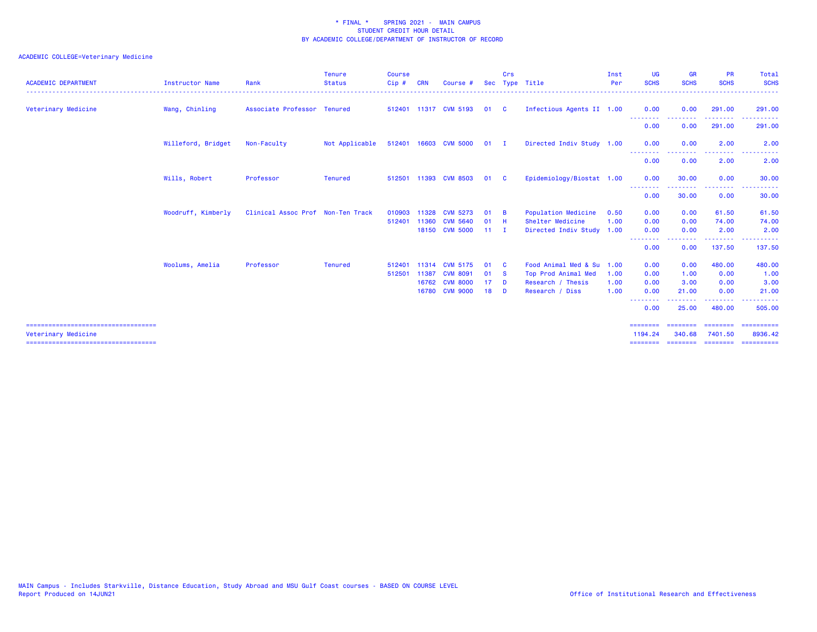| Instructor Name    | Rank        | <b>Tenure</b><br><b>Status</b><br><u>.</u> | <b>Course</b><br>$Cip$ #                                         | <b>CRN</b> | Course #                |                                                                                                                                                                                                  | Crs      |                                           | Inst<br>Per    | <b>UG</b><br><b>SCHS</b>                                                                                         | <b>GR</b><br><b>SCHS</b>                | <b>PR</b><br><b>SCHS</b> | Total<br><b>SCHS</b><br>------                                                                                                                                                                                                                                                                                                                                                                                                                                                                    |
|--------------------|-------------|--------------------------------------------|------------------------------------------------------------------|------------|-------------------------|--------------------------------------------------------------------------------------------------------------------------------------------------------------------------------------------------|----------|-------------------------------------------|----------------|------------------------------------------------------------------------------------------------------------------|-----------------------------------------|--------------------------|---------------------------------------------------------------------------------------------------------------------------------------------------------------------------------------------------------------------------------------------------------------------------------------------------------------------------------------------------------------------------------------------------------------------------------------------------------------------------------------------------|
| Wang, Chinling     |             |                                            |                                                                  |            |                         | 01                                                                                                                                                                                               | - C      |                                           |                | 0.00                                                                                                             | 0.00                                    | 291.00                   | 291.00                                                                                                                                                                                                                                                                                                                                                                                                                                                                                            |
|                    |             |                                            |                                                                  |            |                         |                                                                                                                                                                                                  |          |                                           |                | 0.00                                                                                                             | 0.00                                    | 291.00                   | .<br>291.00                                                                                                                                                                                                                                                                                                                                                                                                                                                                                       |
| Willeford, Bridget | Non-Faculty | Not Applicable                             |                                                                  |            |                         |                                                                                                                                                                                                  |          |                                           |                | 0.00                                                                                                             | 0.00                                    | 2.00                     | 2.00                                                                                                                                                                                                                                                                                                                                                                                                                                                                                              |
|                    |             |                                            |                                                                  |            |                         |                                                                                                                                                                                                  |          |                                           |                | --------<br>0.00                                                                                                 | 0.00                                    | .<br>2.00                | 2.00                                                                                                                                                                                                                                                                                                                                                                                                                                                                                              |
| Wills, Robert      | Professor   | <b>Tenured</b>                             |                                                                  |            |                         | 01                                                                                                                                                                                               | - C      |                                           |                | 0.00                                                                                                             | 30.00                                   | 0.00                     | 30.00                                                                                                                                                                                                                                                                                                                                                                                                                                                                                             |
|                    |             |                                            |                                                                  |            |                         |                                                                                                                                                                                                  |          |                                           |                | 0.00                                                                                                             | 30.00                                   | .<br>0.00                | 30.00                                                                                                                                                                                                                                                                                                                                                                                                                                                                                             |
| Woodruff, Kimberly |             |                                            | 010903                                                           |            |                         | 01                                                                                                                                                                                               | - B      | Population Medicine                       | 0.50           | 0.00                                                                                                             | 0.00                                    | 61.50                    | 61.50                                                                                                                                                                                                                                                                                                                                                                                                                                                                                             |
|                    |             |                                            | 512401                                                           | 11360      | <b>CVM 5640</b>         | 01                                                                                                                                                                                               |          | Shelter Medicine                          | 1.00           | 0.00                                                                                                             | 0.00                                    | 74.00                    | 74.00                                                                                                                                                                                                                                                                                                                                                                                                                                                                                             |
|                    |             |                                            |                                                                  |            |                         |                                                                                                                                                                                                  |          |                                           |                | --------                                                                                                         |                                         |                          | 2.00                                                                                                                                                                                                                                                                                                                                                                                                                                                                                              |
|                    |             |                                            |                                                                  |            |                         |                                                                                                                                                                                                  |          |                                           |                | 0.00                                                                                                             | 0.00                                    | 137.50                   | 137.50                                                                                                                                                                                                                                                                                                                                                                                                                                                                                            |
| Woolums, Amelia    | Professor   | <b>Tenured</b>                             | 512401                                                           |            |                         | 01                                                                                                                                                                                               | - C      | Food Animal Med & Su                      | 1.00           | 0.00                                                                                                             | 0.00                                    | 480.00                   | 480.00                                                                                                                                                                                                                                                                                                                                                                                                                                                                                            |
|                    |             |                                            | 512501                                                           |            |                         | 01                                                                                                                                                                                               |          | Top Prod Animal Med                       | 1.00           | 0.00                                                                                                             | 1.00                                    | 0.00                     | 1.00                                                                                                                                                                                                                                                                                                                                                                                                                                                                                              |
|                    |             |                                            |                                                                  |            |                         | 17 <sup>2</sup>                                                                                                                                                                                  | <b>D</b> | Research / Thesis                         | 1.00           | 0.00                                                                                                             | 3.00                                    | 0.00                     | 3.00                                                                                                                                                                                                                                                                                                                                                                                                                                                                                              |
|                    |             |                                            |                                                                  |            |                         | 18                                                                                                                                                                                               | - D      | Research / Diss                           | 1.00           | 0.00                                                                                                             | 21.00<br>.                              | 0.00                     | 21.00<br><u>.</u>                                                                                                                                                                                                                                                                                                                                                                                                                                                                                 |
|                    |             |                                            |                                                                  |            |                         |                                                                                                                                                                                                  |          |                                           |                | 0.00                                                                                                             | 25.00                                   | 480.00                   | 505.00                                                                                                                                                                                                                                                                                                                                                                                                                                                                                            |
|                    |             |                                            |                                                                  |            |                         |                                                                                                                                                                                                  |          |                                           |                | 1194.24                                                                                                          | 340.68                                  | ========<br>7401.50      | $\begin{array}{cccccccccc} \multicolumn{2}{c}{} & \multicolumn{2}{c}{} & \multicolumn{2}{c}{} & \multicolumn{2}{c}{} & \multicolumn{2}{c}{} & \multicolumn{2}{c}{} & \multicolumn{2}{c}{} & \multicolumn{2}{c}{} & \multicolumn{2}{c}{} & \multicolumn{2}{c}{} & \multicolumn{2}{c}{} & \multicolumn{2}{c}{} & \multicolumn{2}{c}{} & \multicolumn{2}{c}{} & \multicolumn{2}{c}{} & \multicolumn{2}{c}{} & \multicolumn{2}{c}{} & \multicolumn{2}{c}{} & \multicolumn{2}{c}{} & \mult$<br>8936.42 |
|                    |             |                                            | Associate Professor Tenured<br>Clinical Assoc Prof Non-Ten Track |            | 11328<br>11387<br>16780 | 512401 11317 CVM 5193<br>512401 16603 CVM 5000<br>512501 11393 CVM 8503<br><b>CVM 5273</b><br>18150 CVM 5000<br><b>CVM 5175</b><br>11314<br><b>CVM 8091</b><br>16762 CVM 8000<br><b>CVM 9000</b> |          | $01$ I<br>- H<br>$11 \quad I$<br><b>S</b> | Sec Type Title | Infectious Agents II 1.00<br>Directed Indiv Study 1.00<br>Epidemiology/Biostat 1.00<br>Directed Indiv Study 1.00 | --------<br><b></b><br>0.00<br>-------- | .<br>0.00                | .<br>2.00<br>.                                                                                                                                                                                                                                                                                                                                                                                                                                                                                    |